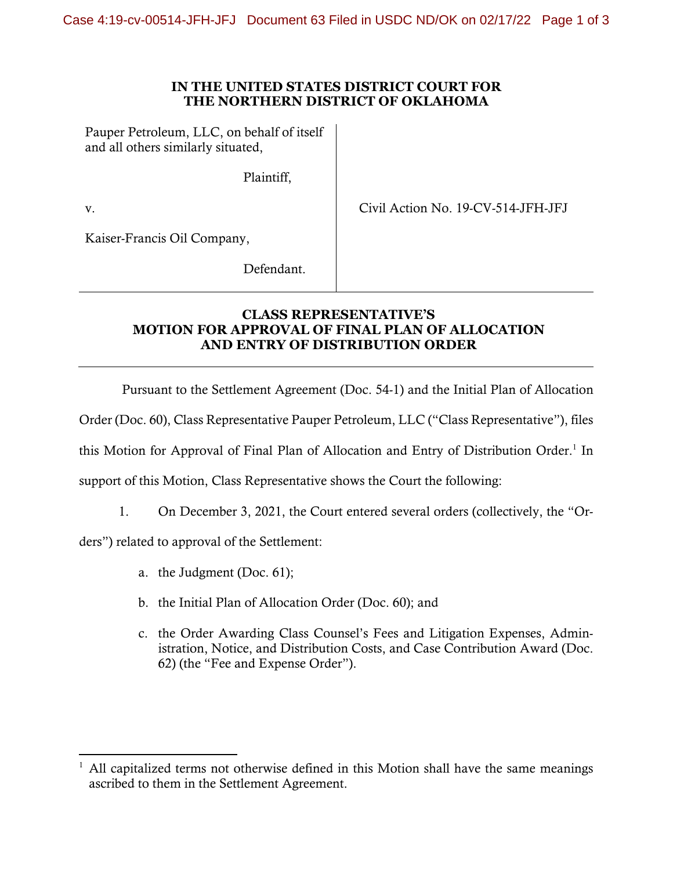## **IN THE UNITED STATES DISTRICT COURT FOR THE NORTHERN DISTRICT OF OKLAHOMA**

Pauper Petroleum, LLC, on behalf of itself and all others similarly situated,

Plaintiff,

v.

Civil Action No. 19-CV-514-JFH-JFJ

Kaiser-Francis Oil Company,

Defendant.

## **CLASS REPRESENTATIVE'S MOTION FOR APPROVAL OF FINAL PLAN OF ALLOCATION AND ENTRY OF DISTRIBUTION ORDER**

Pursuant to the Settlement Agreement (Doc. 54-1) and the Initial Plan of Allocation

Order (Doc. 60), Class Representative Pauper Petroleum, LLC ("Class Representative"), files

this Motion for Approval of Final Plan of Allocation and Entry of Distribution Order.<sup>1</sup> In

support of this Motion, Class Representative shows the Court the following:

1. On December 3, 2021, the Court entered several orders (collectively, the "Or-

ders") related to approval of the Settlement:

- a. the Judgment (Doc. 61);
- b. the Initial Plan of Allocation Order (Doc. 60); and
- c. the Order Awarding Class Counsel's Fees and Litigation Expenses, Administration, Notice, and Distribution Costs, and Case Contribution Award (Doc. 62) (the "Fee and Expense Order").

<sup>1</sup> All capitalized terms not otherwise defined in this Motion shall have the same meanings ascribed to them in the Settlement Agreement.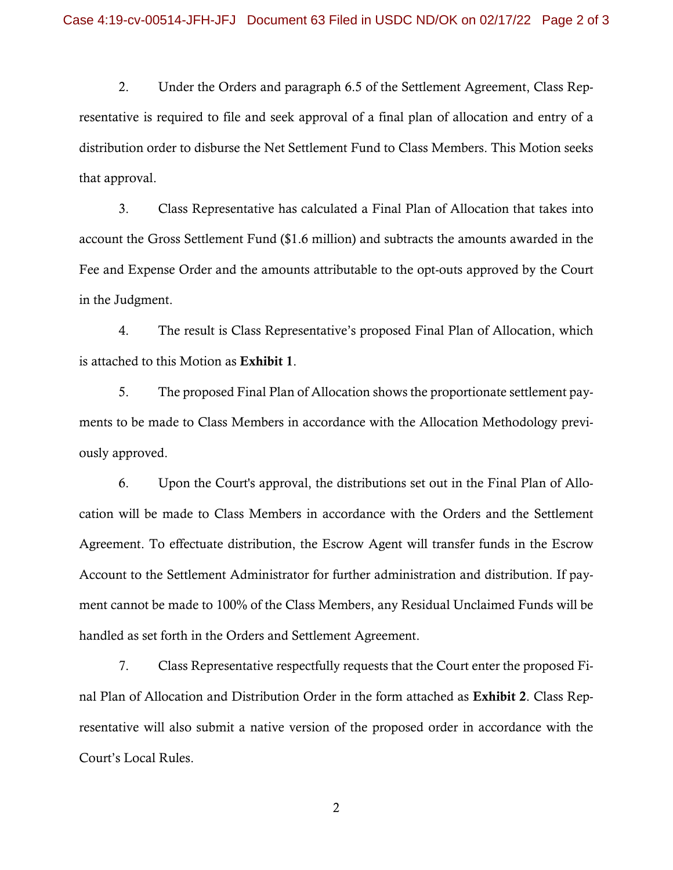2. Under the Orders and paragraph 6.5 of the Settlement Agreement, Class Representative is required to file and seek approval of a final plan of allocation and entry of a distribution order to disburse the Net Settlement Fund to Class Members. This Motion seeks that approval.

3. Class Representative has calculated a Final Plan of Allocation that takes into account the Gross Settlement Fund (\$1.6 million) and subtracts the amounts awarded in the Fee and Expense Order and the amounts attributable to the opt-outs approved by the Court in the Judgment.

4. The result is Class Representative's proposed Final Plan of Allocation, which is attached to this Motion as Exhibit 1.

5. The proposed Final Plan of Allocation shows the proportionate settlement payments to be made to Class Members in accordance with the Allocation Methodology previously approved.

6. Upon the Court's approval, the distributions set out in the Final Plan of Allocation will be made to Class Members in accordance with the Orders and the Settlement Agreement. To effectuate distribution, the Escrow Agent will transfer funds in the Escrow Account to the Settlement Administrator for further administration and distribution. If payment cannot be made to 100% of the Class Members, any Residual Unclaimed Funds will be handled as set forth in the Orders and Settlement Agreement.

7. Class Representative respectfully requests that the Court enter the proposed Final Plan of Allocation and Distribution Order in the form attached as Exhibit 2. Class Representative will also submit a native version of the proposed order in accordance with the Court's Local Rules.

2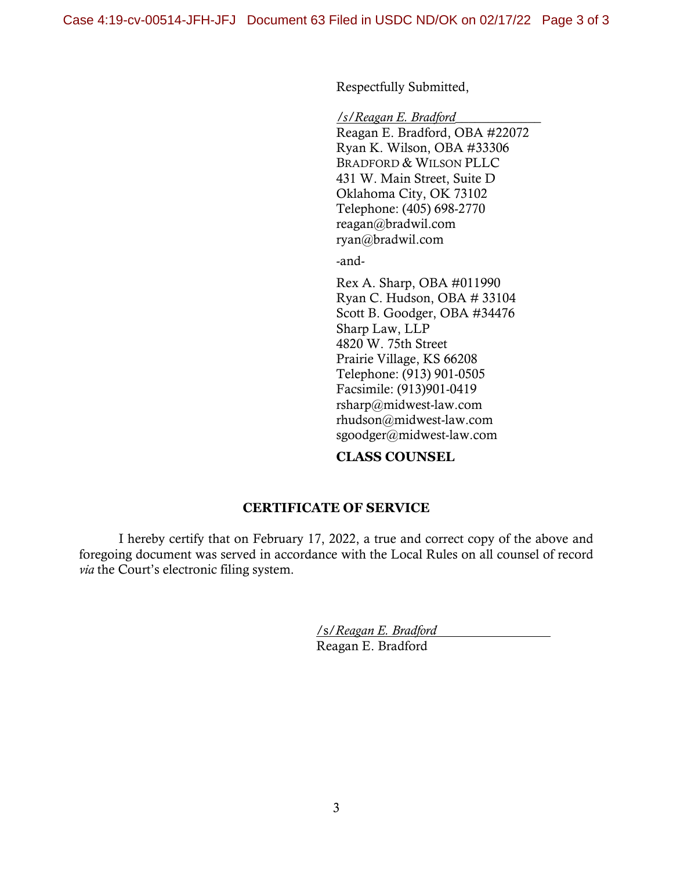Respectfully Submitted,

*/s/Reagan E. Bradford*\_\_\_\_\_\_\_\_\_\_\_\_\_

 Reagan E. Bradford, OBA #22072 Ryan K. Wilson, OBA #33306 BRADFORD & WILSON PLLC 431 W. Main Street, Suite D Oklahoma City, OK 73102 Telephone: (405) 698-2770 reagan@bradwil.com ryan@bradwil.com

-and-

Rex A. Sharp, OBA #011990 Ryan C. Hudson, OBA # 33104 Scott B. Goodger, OBA #34476 Sharp Law, LLP 4820 W. 75th Street Prairie Village, KS 66208 Telephone: (913) 901-0505 Facsimile: (913)901-0419 rsharp@midwest-law.com rhudson@midwest-law.com sgoodger@midwest-law.com

## **CLASS COUNSEL**

## **CERTIFICATE OF SERVICE**

I hereby certify that on February 17, 2022, a true and correct copy of the above and foregoing document was served in accordance with the Local Rules on all counsel of record *via* the Court's electronic filing system.

> /s/*Reagan E. Bradford* Reagan E. Bradford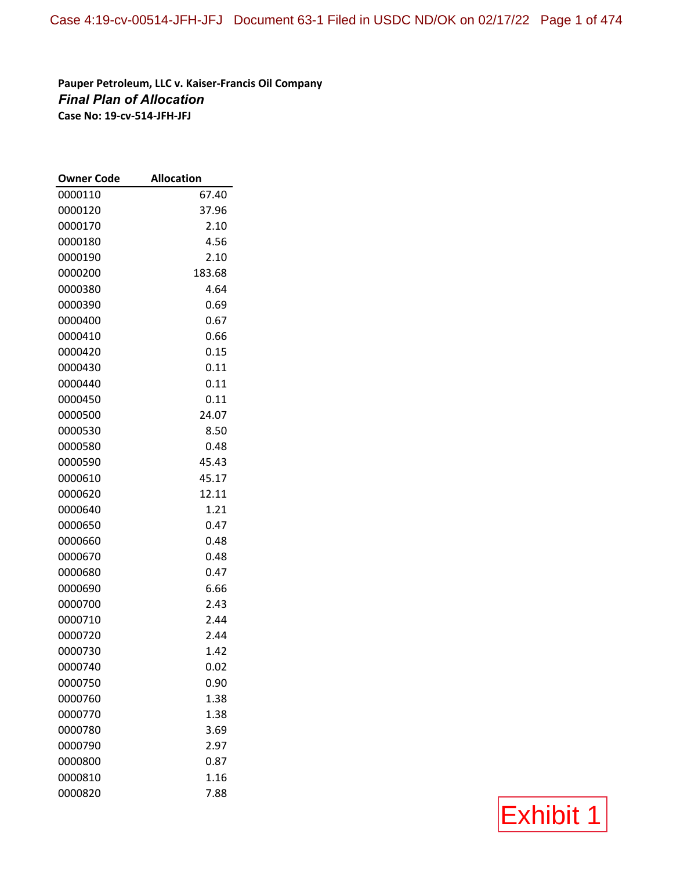**Pauper Petroleum, LLC v. Kaiser‐Francis Oil Company** *Final Plan of Allocation* **Case No: 19‐cv‐514‐JFH‐JFJ**

| <b>Owner Code</b>  | <b>Allocation</b> |
|--------------------|-------------------|
| 0000110            | 67.40             |
| 0000120            | 37.96             |
| 0000170            | 2.10              |
| 0000180            | 4.56              |
| 0000190            | 2.10              |
| 0000200            | 183.68            |
| 0000380            | 4.64              |
| 0000390            | 0.69              |
| 0000400            | 0.67              |
| 0000410            | 0.66              |
| 0000420            | 0.15              |
| 0000430            | 0.11              |
| 0000440            | 0.11              |
| 0000450            | 0.11              |
| 0000500            | 24.07             |
| 0000530            | 8.50              |
| 0000580            | 0.48              |
| 0000590            | 45.43             |
| 0000610            | 45.17             |
| 0000620            | 12.11             |
| 0000640            | 1.21              |
| 0000650            | 0.47              |
| 0000660            | 0.48              |
| 0000670            | 0.48              |
| 0000680            | 0.47              |
| 0000690            | 6.66              |
| 0000700            | 2.43              |
| 0000710<br>0000720 | 2.44<br>2.44      |
| 0000730            | 1.42              |
| 0000740            | 0.02              |
| 0000750            | 0.90              |
| 0000760            | 1.38              |
| 0000770            | 1.38              |
| 0000780            | 3.69              |
| 0000790            | 2.97              |
| 0000800            | 0.87              |
| 0000810            | 1.16              |
| 0000820            | 7.88              |

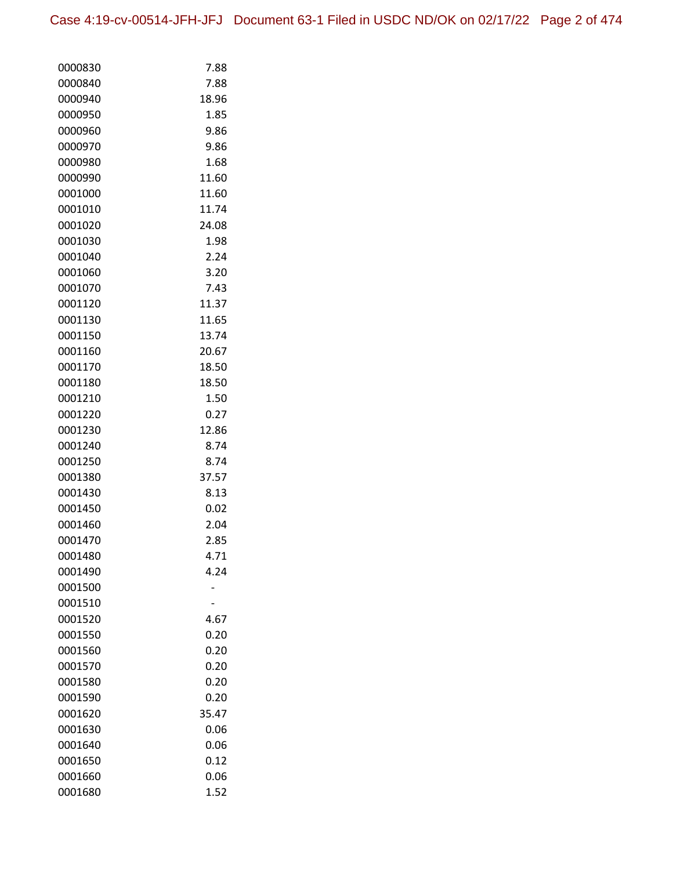| 0000830 | 7.88  |
|---------|-------|
| 0000840 | 7.88  |
| 0000940 | 18.96 |
| 0000950 | 1.85  |
| 0000960 | 9.86  |
| 0000970 | 9.86  |
| 0000980 | 1.68  |
| 0000990 | 11.60 |
| 0001000 | 11.60 |
| 0001010 | 11.74 |
| 0001020 | 24.08 |
| 0001030 | 1.98  |
| 0001040 | 2.24  |
| 0001060 | 3.20  |
| 0001070 | 7.43  |
| 0001120 | 11.37 |
| 0001130 | 11.65 |
| 0001150 | 13.74 |
| 0001160 | 20.67 |
| 0001170 | 18.50 |
| 0001180 | 18.50 |
| 0001210 | 1.50  |
| 0001220 | 0.27  |
| 0001230 | 12.86 |
| 0001240 | 8.74  |
| 0001250 | 8.74  |
| 0001380 | 37.57 |
| 0001430 | 8.13  |
| 0001450 | 0.02  |
| 0001460 | 2.04  |
| 0001470 | 2.85  |
| 0001480 | 4.71  |
| 0001490 | 4.24  |
| 0001500 |       |
| 0001510 |       |
| 0001520 | 4.67  |
| 0001550 | 0.20  |
| 0001560 | 0.20  |
| 0001570 | 0.20  |
| 0001580 | 0.20  |
| 0001590 | 0.20  |
| 0001620 | 35.47 |
| 0001630 | 0.06  |
| 0001640 | 0.06  |
| 0001650 | 0.12  |
| 0001660 | 0.06  |
| 0001680 | 1.52  |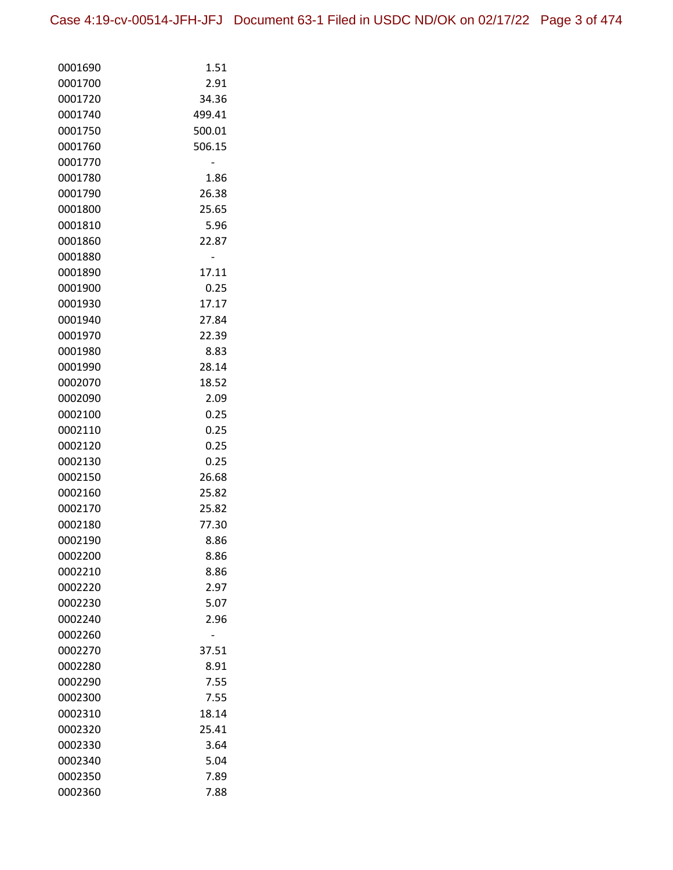| 0001690            | 1.51         |
|--------------------|--------------|
| 0001700            | 2.91         |
| 0001720            | 34.36        |
| 0001740            | 499.41       |
| 0001750            | 500.01       |
| 0001760            | 506.15       |
| 0001770            |              |
| 0001780            | 1.86         |
| 0001790            | 26.38        |
| 0001800            | 25.65        |
| 0001810            | 5.96         |
| 0001860            | 22.87        |
| 0001880            |              |
| 0001890            | 17.11        |
| 0001900            | 0.25         |
| 0001930            | 17.17        |
| 0001940            | 27.84        |
| 0001970            | 22.39        |
| 0001980            | 8.83         |
| 0001990            | 28.14        |
| 0002070            | 18.52        |
| 0002090            | 2.09         |
| 0002100            | 0.25         |
| 0002110            | 0.25         |
| 0002120            | 0.25         |
| 0002130            | 0.25         |
| 0002150            | 26.68        |
| 0002160            | 25.82        |
| 0002170            | 25.82        |
| 0002180            | 77.30        |
| 0002190            | 8.86         |
| 0002200            | 8.86         |
| 0002210<br>0002220 | 8.86<br>2.97 |
| 0002230            | 5.07         |
| 0002240            | 2.96         |
| 0002260            |              |
| 0002270            | 37.51        |
| 0002280            | 8.91         |
| 0002290            | 7.55         |
| 0002300            | 7.55         |
| 0002310            | 18.14        |
| 0002320            | 25.41        |
| 0002330            | 3.64         |
| 0002340            | 5.04         |
| 0002350            | 7.89         |
| 0002360            | 7.88         |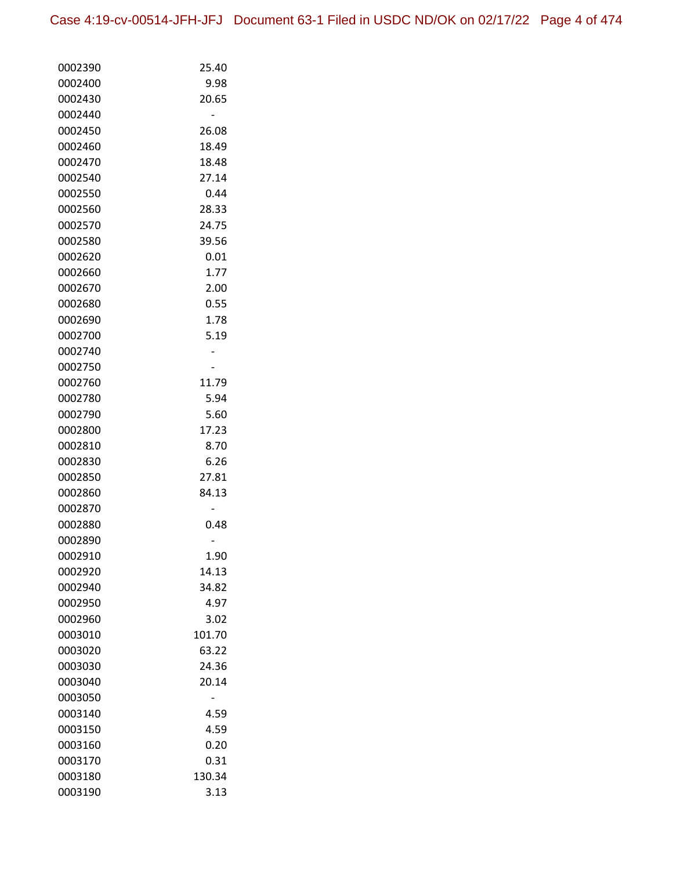| 0002390 | 25.40  |
|---------|--------|
| 0002400 | 9.98   |
| 0002430 | 20.65  |
| 0002440 |        |
| 0002450 | 26.08  |
| 0002460 | 18.49  |
| 0002470 | 18.48  |
| 0002540 | 27.14  |
| 0002550 | 0.44   |
| 0002560 | 28.33  |
| 0002570 | 24.75  |
| 0002580 | 39.56  |
| 0002620 | 0.01   |
| 0002660 | 1.77   |
| 0002670 | 2.00   |
| 0002680 | 0.55   |
| 0002690 | 1.78   |
| 0002700 | 5.19   |
| 0002740 |        |
| 0002750 |        |
| 0002760 | 11.79  |
| 0002780 | 5.94   |
| 0002790 | 5.60   |
| 0002800 | 17.23  |
| 0002810 | 8.70   |
| 0002830 | 6.26   |
| 0002850 | 27.81  |
| 0002860 | 84.13  |
| 0002870 |        |
| 0002880 | 0.48   |
| 0002890 |        |
| 0002910 | 1.90   |
| 0002920 | 14.13  |
| 0002940 | 34.82  |
| 0002950 | 4.97   |
| 0002960 | 3.02   |
| 0003010 | 101.70 |
| 0003020 | 63.22  |
| 0003030 | 24.36  |
| 0003040 | 20.14  |
| 0003050 |        |
| 0003140 | 4.59   |
| 0003150 | 4.59   |
| 0003160 | 0.20   |
| 0003170 | 0.31   |
| 0003180 | 130.34 |
| 0003190 | 3.13   |
|         |        |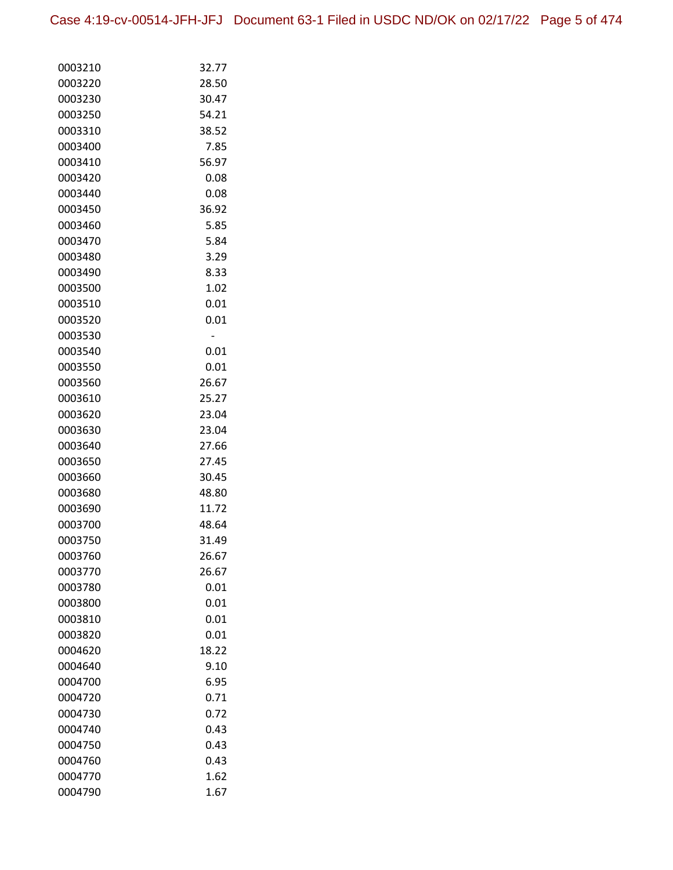| 0003210 | 32.77 |
|---------|-------|
| 0003220 | 28.50 |
| 0003230 | 30.47 |
| 0003250 | 54.21 |
| 0003310 | 38.52 |
| 0003400 | 7.85  |
| 0003410 | 56.97 |
| 0003420 | 0.08  |
| 0003440 | 0.08  |
| 0003450 | 36.92 |
| 0003460 | 5.85  |
| 0003470 | 5.84  |
| 0003480 | 3.29  |
| 0003490 | 8.33  |
| 0003500 | 1.02  |
| 0003510 | 0.01  |
| 0003520 | 0.01  |
| 0003530 |       |
| 0003540 | 0.01  |
| 0003550 | 0.01  |
| 0003560 | 26.67 |
| 0003610 | 25.27 |
| 0003620 | 23.04 |
| 0003630 | 23.04 |
| 0003640 | 27.66 |
| 0003650 | 27.45 |
| 0003660 | 30.45 |
| 0003680 | 48.80 |
| 0003690 | 11.72 |
| 0003700 | 48.64 |
| 0003750 | 31.49 |
| 0003760 | 26.67 |
| 0003770 | 26.67 |
| 0003780 | 0.01  |
| 0003800 | 0.01  |
| 0003810 | 0.01  |
| 0003820 | 0.01  |
| 0004620 | 18.22 |
| 0004640 | 9.10  |
| 0004700 | 6.95  |
| 0004720 | 0.71  |
| 0004730 | 0.72  |
| 0004740 | 0.43  |
| 0004750 | 0.43  |
| 0004760 | 0.43  |
| 0004770 | 1.62  |
| 0004790 | 1.67  |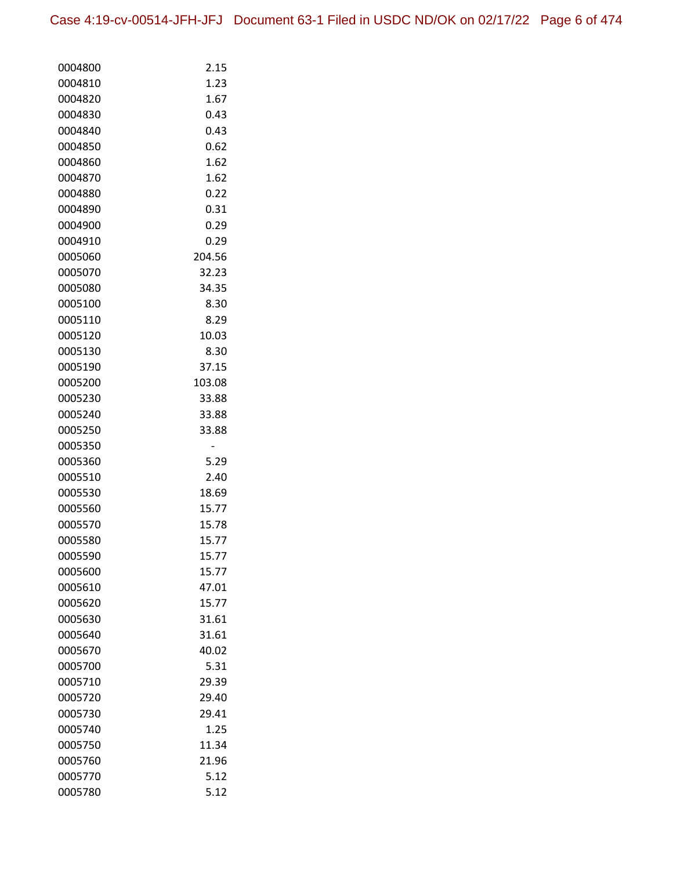| 0004800            | 2.15           |
|--------------------|----------------|
| 0004810            | 1.23           |
| 0004820            | 1.67           |
| 0004830            | 0.43           |
| 0004840            | 0.43           |
| 0004850            | 0.62           |
| 0004860            | 1.62           |
| 0004870            | 1.62           |
| 0004880            | 0.22           |
| 0004890            | 0.31           |
| 0004900            | 0.29           |
| 0004910            | 0.29           |
| 0005060            | 204.56         |
| 0005070            | 32.23          |
| 0005080            | 34.35          |
| 0005100            | 8.30           |
| 0005110            | 8.29           |
| 0005120            | 10.03          |
| 0005130            | 8.30           |
| 0005190            | 37.15          |
| 0005200            | 103.08         |
| 0005230            | 33.88          |
| 0005240            | 33.88          |
| 0005250            | 33.88          |
| 0005350            |                |
| 0005360            | 5.29           |
| 0005510            | 2.40           |
| 0005530            | 18.69          |
| 0005560            | 15.77          |
| 0005570            | 15.78          |
| 0005580            | 15.77          |
| 0005590            | 15.77          |
| 0005600            | 15.77          |
| 0005610            | 47.01          |
| 0005620<br>0005630 | 15.77<br>31.61 |
| 0005640            | 31.61          |
| 0005670            | 40.02          |
| 0005700            | 5.31           |
| 0005710            | 29.39          |
| 0005720            | 29.40          |
| 0005730            | 29.41          |
| 0005740            | 1.25           |
| 0005750            | 11.34          |
| 0005760            | 21.96          |
| 0005770            | 5.12           |
| 0005780            | 5.12           |
|                    |                |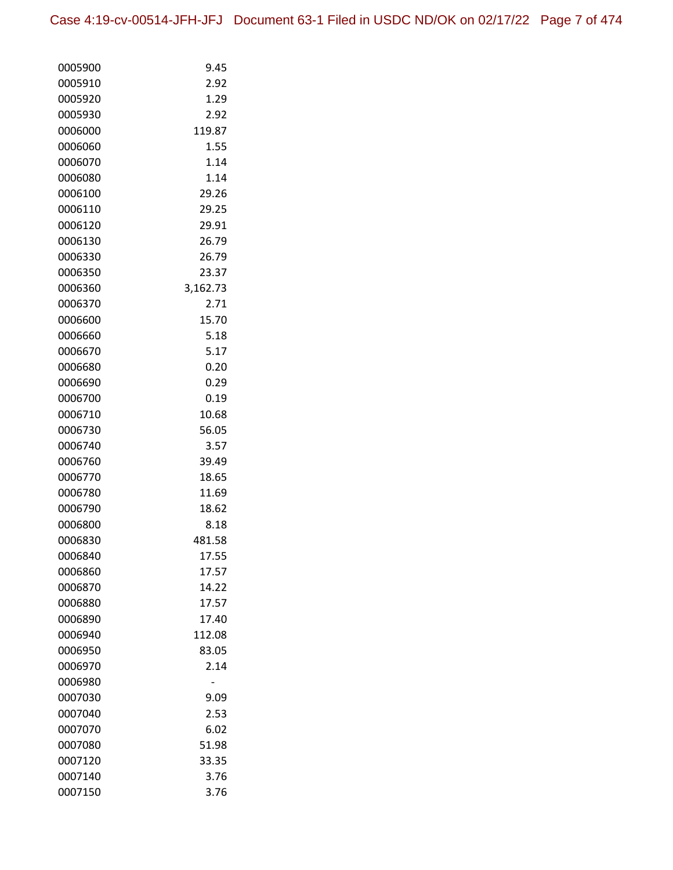| 0005900            | 9.45           |
|--------------------|----------------|
| 0005910            | 2.92           |
| 0005920            | 1.29           |
| 0005930            | 2.92           |
| 0006000            | 119.87         |
| 0006060            | 1.55           |
| 0006070            | 1.14           |
| 0006080            | 1.14           |
| 0006100            | 29.26          |
| 0006110            | 29.25          |
| 0006120            | 29.91          |
| 0006130            | 26.79          |
| 0006330            | 26.79          |
| 0006350            | 23.37          |
| 0006360            | 3,162.73       |
| 0006370            | 2.71           |
| 0006600            | 15.70          |
| 0006660            | 5.18           |
| 0006670            | 5.17           |
| 0006680            | 0.20           |
| 0006690            | 0.29           |
| 0006700            | 0.19           |
| 0006710            | 10.68          |
| 0006730            | 56.05          |
| 0006740            | 3.57           |
| 0006760            | 39.49          |
| 0006770            | 18.65          |
| 0006780            | 11.69          |
| 0006790            | 18.62          |
| 0006800            | 8.18           |
| 0006830            | 481.58         |
| 0006840            | 17.55          |
| 0006860            | 17.57          |
| 0006870            | 14.22          |
| 0006880            | 17.57<br>17.40 |
| 0006890            |                |
| 0006940            | 112.08         |
| 0006950            | 83.05          |
| 0006970            | 2.14           |
| 0006980            |                |
| 0007030<br>0007040 | 9.09<br>2.53   |
|                    |                |
| 0007070<br>0007080 | 6.02<br>51.98  |
| 0007120            | 33.35          |
| 0007140            | 3.76           |
| 0007150            | 3.76           |
|                    |                |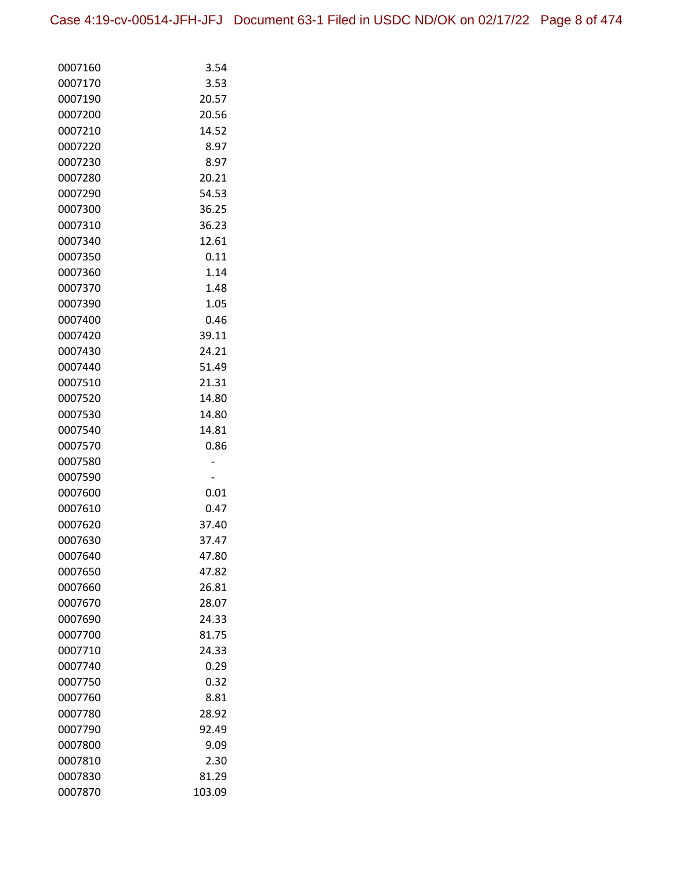| 0007160 | 3.54   |
|---------|--------|
| 0007170 | 3.53   |
| 0007190 | 20.57  |
| 0007200 | 20.56  |
| 0007210 | 14.52  |
| 0007220 | 8.97   |
| 0007230 | 8.97   |
| 0007280 | 20.21  |
| 0007290 | 54.53  |
| 0007300 | 36.25  |
| 0007310 | 36.23  |
| 0007340 | 12.61  |
| 0007350 | 0.11   |
| 0007360 | 1.14   |
| 0007370 | 1.48   |
| 0007390 | 1.05   |
| 0007400 | 0.46   |
| 0007420 | 39.11  |
| 0007430 | 24.21  |
| 0007440 | 51.49  |
| 0007510 | 21.31  |
| 0007520 | 14.80  |
| 0007530 | 14.80  |
| 0007540 | 14.81  |
| 0007570 | 0.86   |
| 0007580 |        |
| 0007590 |        |
| 0007600 | 0.01   |
| 0007610 | 0.47   |
| 0007620 | 37.40  |
| 0007630 | 37.47  |
| 0007640 | 47.80  |
| 0007650 | 47.82  |
| 0007660 | 26.81  |
| 0007670 | 28.07  |
| 0007690 | 24.33  |
| 0007700 | 81.75  |
| 0007710 | 24.33  |
| 0007740 | 0.29   |
| 0007750 | 0.32   |
| 0007760 | 8.81   |
| 0007780 | 28.92  |
| 0007790 | 92.49  |
| 0007800 | 9.09   |
| 0007810 | 2.30   |
| 0007830 | 81.29  |
| 0007870 | 103.09 |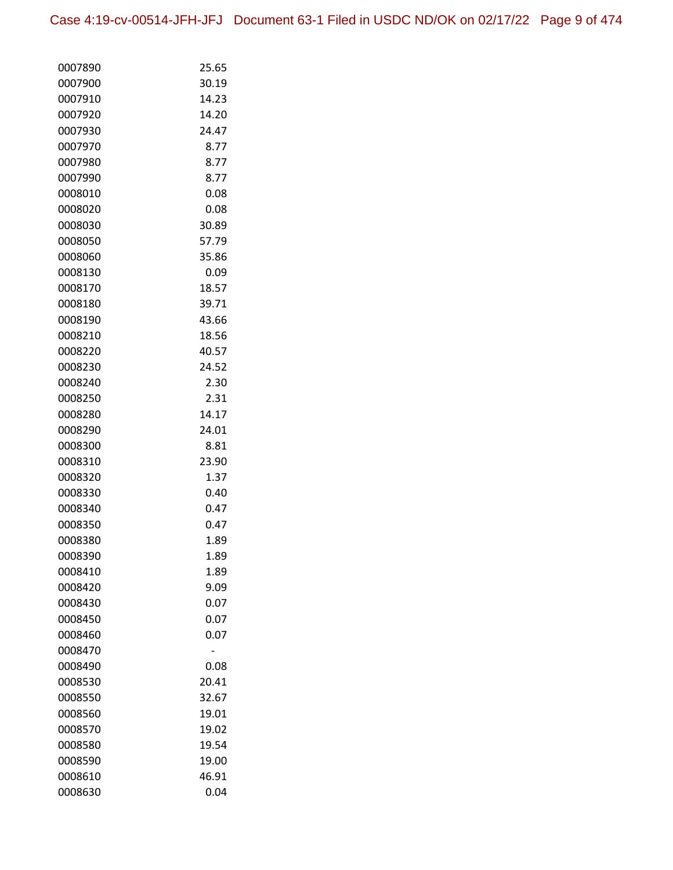| 0007890            | 25.65          |
|--------------------|----------------|
| 0007900            | 30.19          |
| 0007910            | 14.23          |
| 0007920            | 14.20          |
| 0007930            | 24.47          |
| 0007970            | 8.77           |
| 0007980            | 8.77           |
| 0007990            | 8.77           |
| 0008010            | 0.08           |
| 0008020            | 0.08           |
| 0008030            | 30.89          |
| 0008050            | 57.79          |
| 0008060            | 35.86          |
| 0008130            | 0.09           |
| 0008170            | 18.57          |
| 0008180            | 39.71          |
| 0008190            | 43.66          |
| 0008210            | 18.56          |
| 0008220            | 40.57          |
| 0008230            | 24.52          |
| 0008240            | 2.30           |
| 0008250            | 2.31           |
| 0008280            | 14.17          |
| 0008290            | 24.01          |
| 0008300            | 8.81           |
| 0008310            | 23.90          |
| 0008320            | 1.37           |
| 0008330            | 0.40           |
| 0008340            | 0.47           |
| 0008350            | 0.47           |
| 0008380            | 1.89           |
| 0008390            | 1.89           |
| 0008410            | 1.89           |
| 0008420            | 9.09           |
| 0008430            | 0.07           |
| 0008450            | 0.07           |
| 0008460            | 0.07           |
| 0008470            |                |
| 0008490            | 0.08           |
| 0008530            | 20.41          |
| 0008550            | 32.67          |
| 0008560            | 19.01          |
| 0008570            | 19.02          |
| 0008580<br>0008590 | 19.54<br>19.00 |
|                    |                |
| 0008610            | 46.91<br>0.04  |
| 0008630            |                |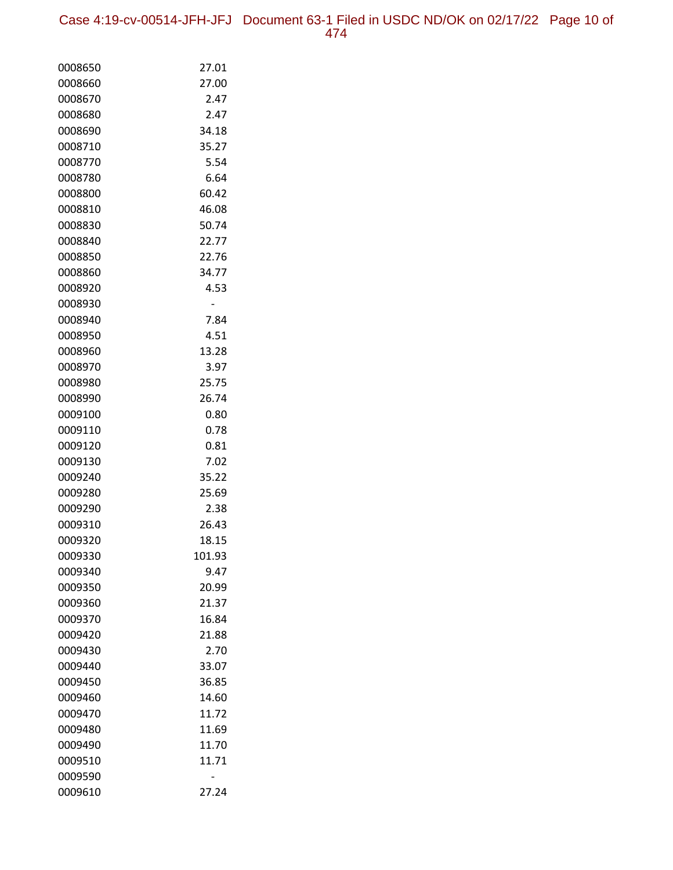Case 4:19-cv-00514-JFH-JFJ Document 63-1 Filed in USDC ND/OK on 02/17/22 Page 10 of 474

| 0008650 | 27.01  |
|---------|--------|
| 0008660 | 27.00  |
| 0008670 | 2.47   |
| 0008680 | 2.47   |
| 0008690 | 34.18  |
| 0008710 | 35.27  |
| 0008770 | 5.54   |
| 0008780 | 6.64   |
| 0008800 | 60.42  |
| 0008810 | 46.08  |
| 0008830 | 50.74  |
| 0008840 | 22.77  |
| 0008850 | 22.76  |
| 0008860 | 34.77  |
| 0008920 | 4.53   |
| 0008930 |        |
| 0008940 | 7.84   |
| 0008950 | 4.51   |
| 0008960 | 13.28  |
| 0008970 | 3.97   |
| 0008980 | 25.75  |
| 0008990 | 26.74  |
| 0009100 | 0.80   |
| 0009110 | 0.78   |
| 0009120 | 0.81   |
| 0009130 | 7.02   |
| 0009240 | 35.22  |
| 0009280 | 25.69  |
| 0009290 | 2.38   |
| 0009310 | 26.43  |
| 0009320 | 18.15  |
| 0009330 | 101.93 |
| 0009340 | 9.47   |
| 0009350 | 20.99  |
| 0009360 | 21.37  |
| 0009370 | 16.84  |
| 0009420 | 21.88  |
| 0009430 | 2.70   |
| 0009440 | 33.07  |
| 0009450 | 36.85  |
| 0009460 | 14.60  |
| 0009470 | 11.72  |
| 0009480 | 11.69  |
| 0009490 | 11.70  |
| 0009510 | 11.71  |
| 0009590 |        |
| 0009610 | 27.24  |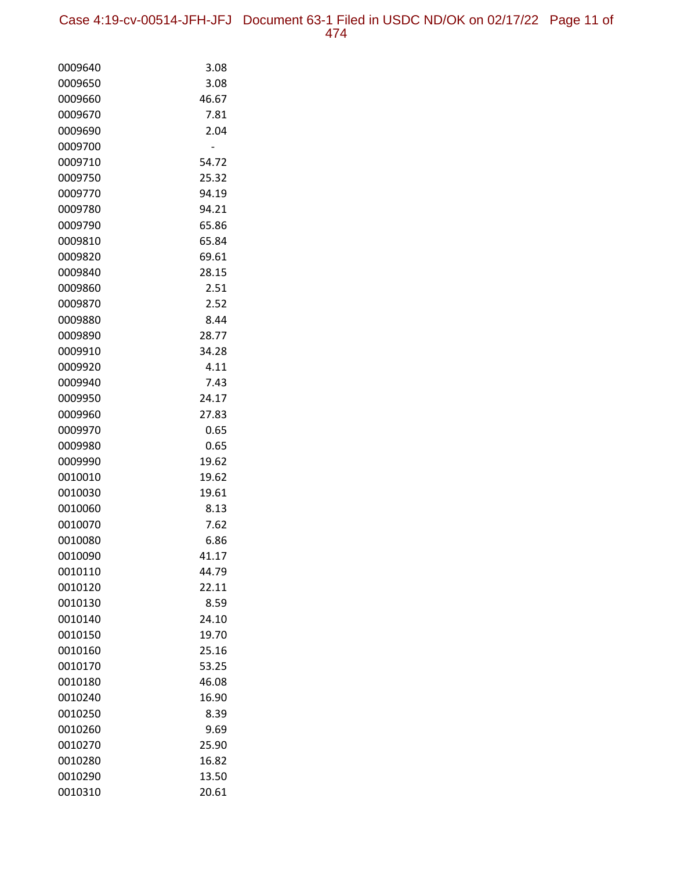| 0009640 | 3.08  |
|---------|-------|
| 0009650 | 3.08  |
| 0009660 | 46.67 |
| 0009670 | 7.81  |
| 0009690 | 2.04  |
| 0009700 |       |
| 0009710 | 54.72 |
| 0009750 | 25.32 |
| 0009770 | 94.19 |
| 0009780 | 94.21 |
| 0009790 | 65.86 |
| 0009810 | 65.84 |
| 0009820 | 69.61 |
| 0009840 | 28.15 |
| 0009860 | 2.51  |
| 0009870 | 2.52  |
| 0009880 | 8.44  |
| 0009890 | 28.77 |
| 0009910 | 34.28 |
| 0009920 | 4.11  |
| 0009940 | 7.43  |
| 0009950 | 24.17 |
| 0009960 | 27.83 |
| 0009970 | 0.65  |
| 0009980 | 0.65  |
| 0009990 | 19.62 |
| 0010010 | 19.62 |
| 0010030 | 19.61 |
| 0010060 | 8.13  |
| 0010070 | 7.62  |
| 0010080 | 6.86  |
| 0010090 | 41.17 |
| 0010110 | 44.79 |
| 0010120 | 22.11 |
| 0010130 | 8.59  |
| 0010140 | 24.10 |
| 0010150 | 19.70 |
| 0010160 | 25.16 |
| 0010170 | 53.25 |
| 0010180 | 46.08 |
| 0010240 | 16.90 |
| 0010250 | 8.39  |
| 0010260 | 9.69  |
| 0010270 | 25.90 |
| 0010280 | 16.82 |
| 0010290 | 13.50 |
| 0010310 | 20.61 |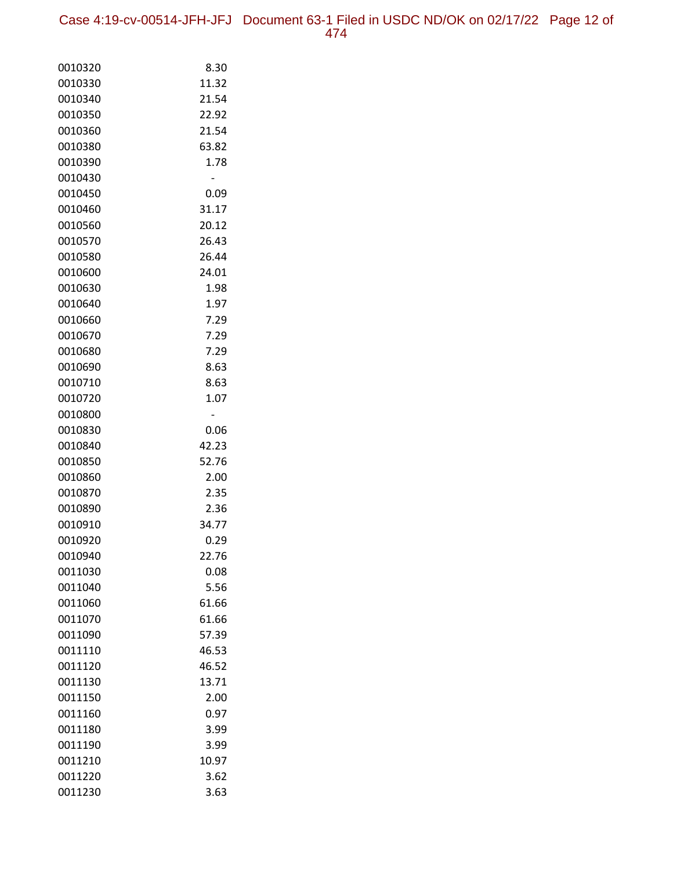Case 4:19-cv-00514-JFH-JFJ Document 63-1 Filed in USDC ND/OK on 02/17/22 Page 12 of 474

| 0010320            | 8.30          |
|--------------------|---------------|
| 0010330            | 11.32         |
| 0010340            | 21.54         |
| 0010350            | 22.92         |
| 0010360            | 21.54         |
| 0010380            | 63.82         |
| 0010390            | 1.78          |
| 0010430            |               |
| 0010450            | 0.09          |
| 0010460            | 31.17         |
| 0010560            | 20.12         |
| 0010570            | 26.43         |
| 0010580            | 26.44         |
| 0010600            | 24.01         |
| 0010630            | 1.98          |
| 0010640            | 1.97          |
| 0010660            | 7.29          |
| 0010670            | 7.29          |
| 0010680            | 7.29          |
| 0010690            | 8.63          |
| 0010710            | 8.63          |
| 0010720            | 1.07          |
| 0010800            |               |
| 0010830            | 0.06          |
| 0010840            | 42.23         |
| 0010850            | 52.76         |
| 0010860            | 2.00          |
| 0010870            | 2.35          |
| 0010890            | 2.36          |
| 0010910<br>0010920 | 34.77<br>0.29 |
| 0010940            | 22.76         |
| 0011030            | 0.08          |
| 0011040            | 5.56          |
| 0011060            | 61.66         |
| 0011070            | 61.66         |
| 0011090            | 57.39         |
| 0011110            | 46.53         |
| 0011120            | 46.52         |
| 0011130            | 13.71         |
| 0011150            | 2.00          |
| 0011160            | 0.97          |
| 0011180            | 3.99          |
| 0011190            | 3.99          |
| 0011210            | 10.97         |
| 0011220            | 3.62          |
| 0011230            | 3.63          |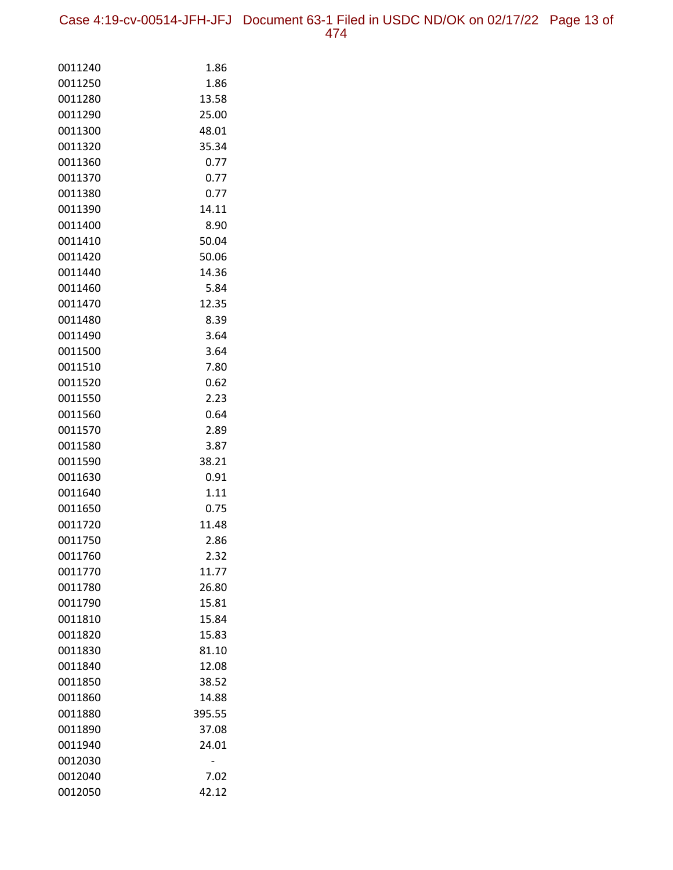| 0011240            | 1.86           |
|--------------------|----------------|
| 0011250            | 1.86           |
| 0011280            | 13.58          |
| 0011290            | 25.00          |
| 0011300            | 48.01          |
| 0011320            | 35.34          |
| 0011360            | 0.77           |
| 0011370            | 0.77           |
| 0011380            | 0.77           |
| 0011390            | 14.11          |
| 0011400            | 8.90           |
| 0011410            | 50.04          |
| 0011420            | 50.06          |
| 0011440            | 14.36          |
| 0011460            | 5.84           |
| 0011470            | 12.35          |
| 0011480            | 8.39           |
| 0011490            | 3.64           |
| 0011500            | 3.64           |
| 0011510            | 7.80           |
| 0011520            | 0.62           |
| 0011550            | 2.23           |
| 0011560            | 0.64           |
| 0011570            | 2.89           |
| 0011580            | 3.87           |
| 0011590            | 38.21          |
| 0011630            | 0.91           |
| 0011640            | 1.11           |
| 0011650            | 0.75           |
| 0011720            | 11.48          |
| 0011750            | 2.86           |
| 0011760            | 2.32           |
| 0011770            | 11.77          |
| 0011780<br>0011790 | 26.80<br>15.81 |
| 0011810            | 15.84          |
| 0011820            | 15.83          |
| 0011830            | 81.10          |
| 0011840            | 12.08          |
| 0011850            | 38.52          |
| 0011860            | 14.88          |
| 0011880            | 395.55         |
| 0011890            | 37.08          |
| 0011940            | 24.01          |
| 0012030            | -              |
| 0012040            | 7.02           |
| 0012050            | 42.12          |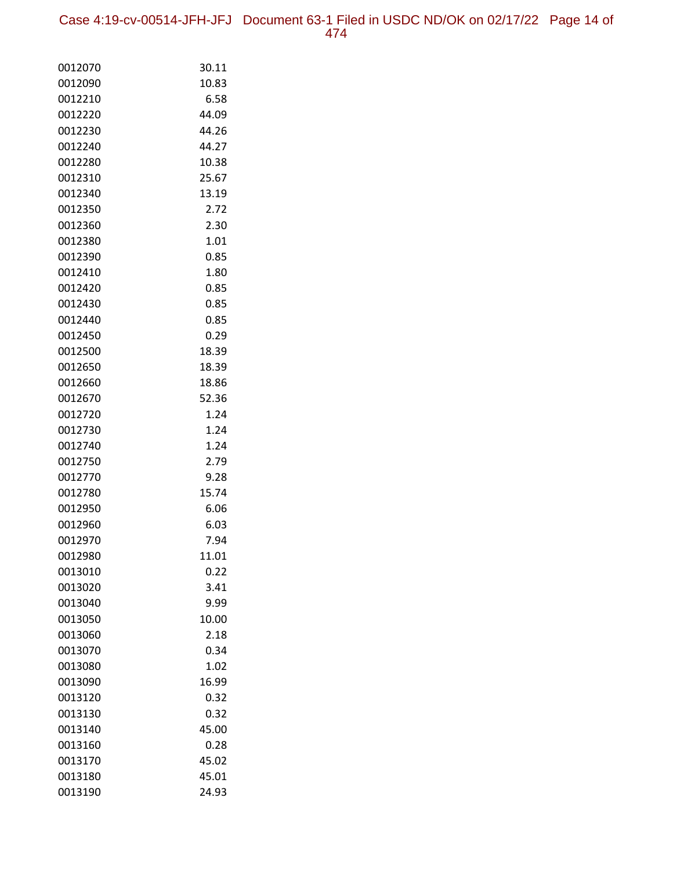Case 4:19-cv-00514-JFH-JFJ Document 63-1 Filed in USDC ND/OK on 02/17/22 Page 14 of 474

| 0012070 | 30.11 |
|---------|-------|
| 0012090 | 10.83 |
| 0012210 | 6.58  |
| 0012220 | 44.09 |
| 0012230 | 44.26 |
| 0012240 | 44.27 |
| 0012280 | 10.38 |
| 0012310 | 25.67 |
| 0012340 | 13.19 |
| 0012350 | 2.72  |
| 0012360 | 2.30  |
| 0012380 | 1.01  |
| 0012390 | 0.85  |
| 0012410 | 1.80  |
| 0012420 | 0.85  |
| 0012430 | 0.85  |
| 0012440 | 0.85  |
| 0012450 | 0.29  |
| 0012500 | 18.39 |
| 0012650 | 18.39 |
| 0012660 | 18.86 |
| 0012670 | 52.36 |
| 0012720 | 1.24  |
| 0012730 | 1.24  |
| 0012740 | 1.24  |
| 0012750 | 2.79  |
| 0012770 | 9.28  |
| 0012780 | 15.74 |
| 0012950 | 6.06  |
| 0012960 | 6.03  |
| 0012970 | 7.94  |
| 0012980 | 11.01 |
| 0013010 | 0.22  |
| 0013020 | 3.41  |
| 0013040 | 9.99  |
| 0013050 | 10.00 |
| 0013060 | 2.18  |
| 0013070 | 0.34  |
| 0013080 | 1.02  |
| 0013090 | 16.99 |
| 0013120 | 0.32  |
| 0013130 | 0.32  |
| 0013140 | 45.00 |
| 0013160 | 0.28  |
| 0013170 | 45.02 |
| 0013180 | 45.01 |
| 0013190 | 24.93 |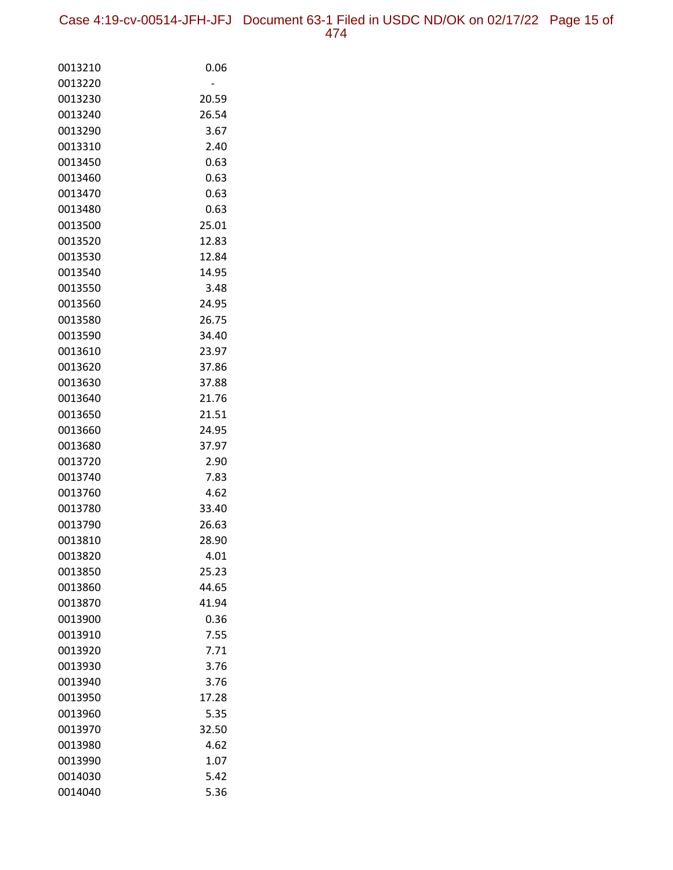Case 4:19-cv-00514-JFH-JFJ Document 63-1 Filed in USDC ND/OK on 02/17/22 Page 15 of 474

| 0013210            | 0.06          |
|--------------------|---------------|
| 0013220            |               |
| 0013230            | 20.59         |
| 0013240            | 26.54         |
| 0013290            | 3.67          |
| 0013310            | 2.40          |
| 0013450            | 0.63          |
| 0013460            | 0.63          |
| 0013470            | 0.63          |
| 0013480<br>0013500 | 0.63<br>25.01 |
| 0013520            | 12.83         |
| 0013530            | 12.84         |
| 0013540            | 14.95         |
| 0013550            | 3.48          |
| 0013560            | 24.95         |
| 0013580            | 26.75         |
| 0013590            | 34.40         |
| 0013610            | 23.97         |
| 0013620            | 37.86         |
| 0013630            | 37.88         |
| 0013640            | 21.76         |
| 0013650            | 21.51         |
| 0013660            | 24.95         |
| 0013680            | 37.97         |
| 0013720            | 2.90          |
| 0013740            | 7.83          |
| 0013760            | 4.62          |
| 0013780            | 33.40         |
| 0013790            | 26.63         |
| 0013810            | 28.90         |
| 0013820            | 4.01          |
| 0013850            | 25.23         |
| 0013860            | 44.65         |
| 0013870            | 41.94         |
| 0013900<br>0013910 | 0.36<br>7.55  |
| 0013920            | 7.71          |
| 0013930            | 3.76          |
| 0013940            | 3.76          |
| 0013950            | 17.28         |
| 0013960            | 5.35          |
| 0013970            | 32.50         |
| 0013980            | 4.62          |
| 0013990            | 1.07          |
| 0014030            | 5.42          |
| 0014040            | 5.36          |
|                    |               |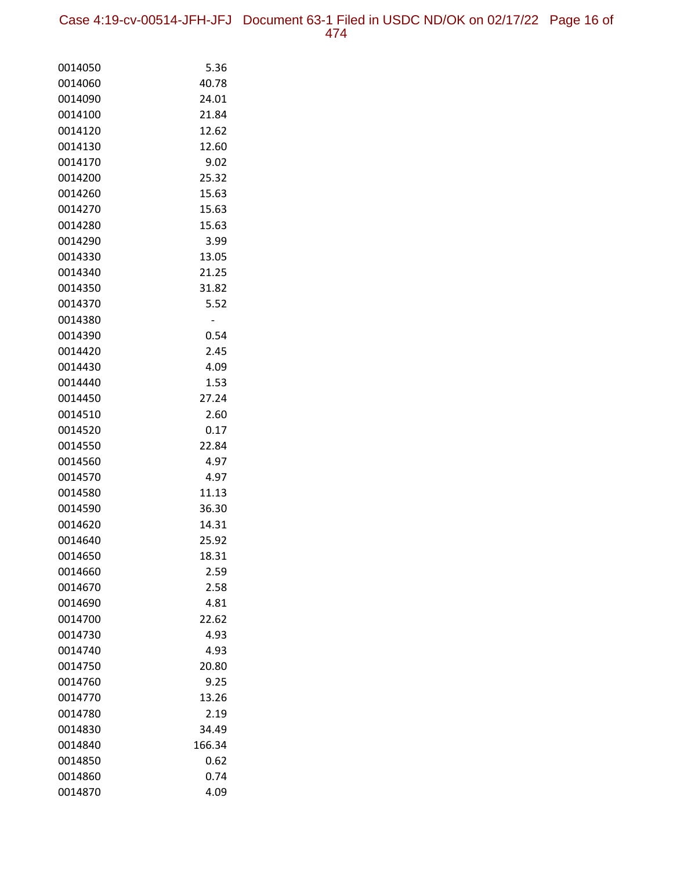Case 4:19-cv-00514-JFH-JFJ Document 63-1 Filed in USDC ND/OK on 02/17/22 Page 16 of 474

| 0014050 | 5.36   |
|---------|--------|
| 0014060 | 40.78  |
| 0014090 | 24.01  |
| 0014100 | 21.84  |
| 0014120 | 12.62  |
| 0014130 | 12.60  |
| 0014170 | 9.02   |
| 0014200 | 25.32  |
| 0014260 | 15.63  |
| 0014270 | 15.63  |
| 0014280 | 15.63  |
| 0014290 | 3.99   |
| 0014330 | 13.05  |
| 0014340 | 21.25  |
| 0014350 | 31.82  |
| 0014370 | 5.52   |
| 0014380 | -      |
| 0014390 | 0.54   |
| 0014420 | 2.45   |
| 0014430 | 4.09   |
| 0014440 | 1.53   |
| 0014450 | 27.24  |
| 0014510 | 2.60   |
| 0014520 | 0.17   |
| 0014550 | 22.84  |
| 0014560 | 4.97   |
| 0014570 | 4.97   |
| 0014580 | 11.13  |
| 0014590 | 36.30  |
| 0014620 | 14.31  |
| 0014640 | 25.92  |
| 0014650 | 18.31  |
| 0014660 | 2.59   |
| 0014670 | 2.58   |
| 0014690 | 4.81   |
| 0014700 | 22.62  |
| 0014730 | 4.93   |
| 0014740 | 4.93   |
| 0014750 | 20.80  |
| 0014760 | 9.25   |
| 0014770 | 13.26  |
| 0014780 | 2.19   |
| 0014830 | 34.49  |
| 0014840 | 166.34 |
| 0014850 | 0.62   |
| 0014860 | 0.74   |
| 0014870 | 4.09   |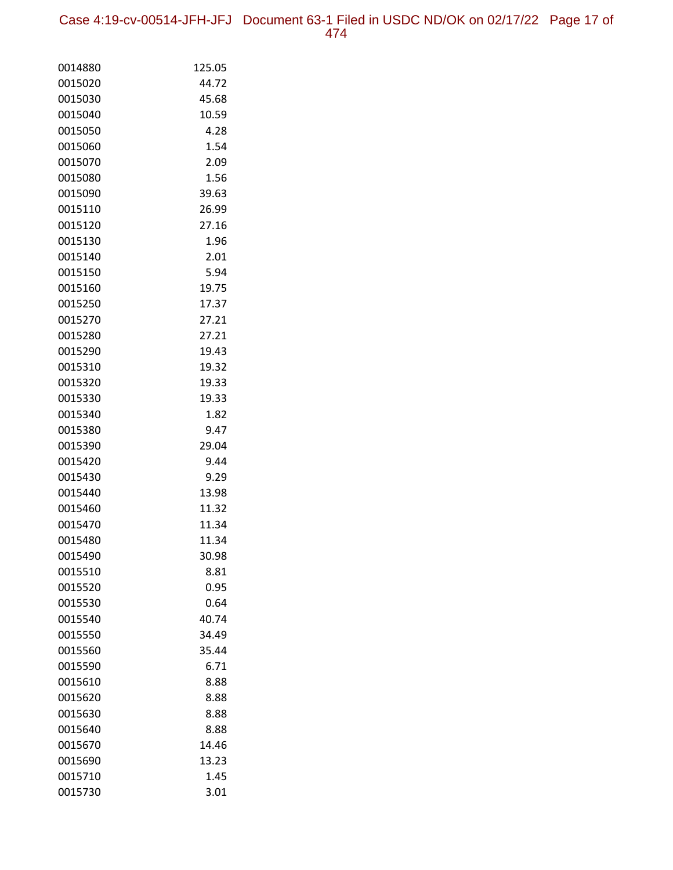Case 4:19-cv-00514-JFH-JFJ Document 63-1 Filed in USDC ND/OK on 02/17/22 Page 17 of 474

| 0014880 | 125.05 |
|---------|--------|
| 0015020 | 44.72  |
| 0015030 | 45.68  |
| 0015040 | 10.59  |
| 0015050 | 4.28   |
| 0015060 | 1.54   |
| 0015070 | 2.09   |
| 0015080 | 1.56   |
| 0015090 | 39.63  |
| 0015110 | 26.99  |
| 0015120 | 27.16  |
| 0015130 | 1.96   |
| 0015140 | 2.01   |
| 0015150 | 5.94   |
| 0015160 | 19.75  |
| 0015250 | 17.37  |
| 0015270 | 27.21  |
| 0015280 | 27.21  |
| 0015290 | 19.43  |
| 0015310 | 19.32  |
| 0015320 | 19.33  |
| 0015330 | 19.33  |
| 0015340 | 1.82   |
| 0015380 | 9.47   |
| 0015390 | 29.04  |
| 0015420 | 9.44   |
| 0015430 | 9.29   |
| 0015440 | 13.98  |
| 0015460 | 11.32  |
| 0015470 | 11.34  |
| 0015480 | 11.34  |
| 0015490 | 30.98  |
| 0015510 | 8.81   |
| 0015520 | 0.95   |
| 0015530 | 0.64   |
| 0015540 | 40.74  |
| 0015550 | 34.49  |
| 0015560 | 35.44  |
| 0015590 | 6.71   |
| 0015610 | 8.88   |
| 0015620 | 8.88   |
| 0015630 | 8.88   |
| 0015640 | 8.88   |
| 0015670 | 14.46  |
| 0015690 | 13.23  |
| 0015710 | 1.45   |
| 0015730 | 3.01   |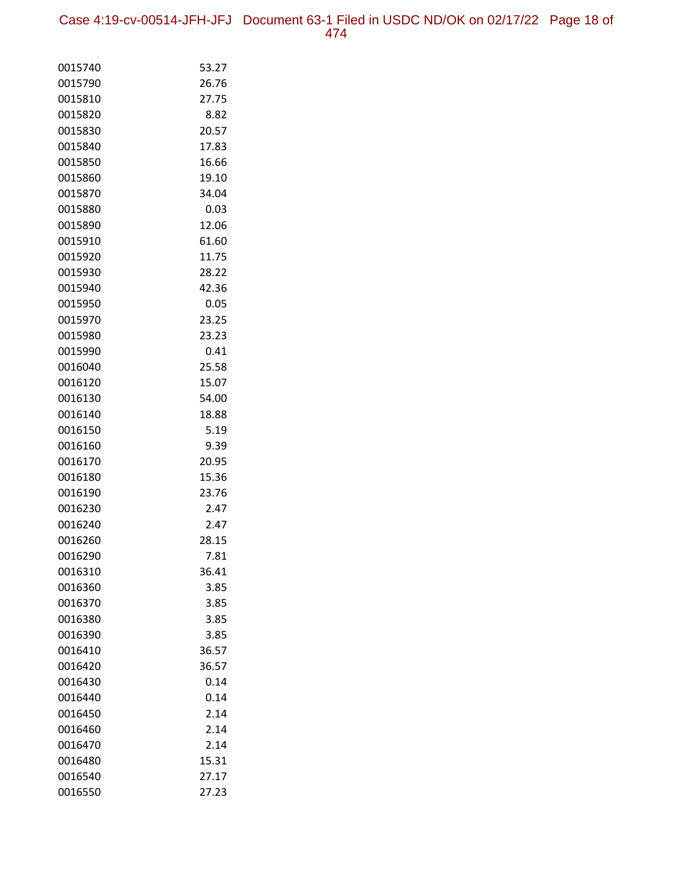Case 4:19-cv-00514-JFH-JFJ Document 63-1 Filed in USDC ND/OK on 02/17/22 Page 18 of 474

| 0015740 | 53.27 |
|---------|-------|
| 0015790 | 26.76 |
| 0015810 | 27.75 |
| 0015820 | 8.82  |
| 0015830 | 20.57 |
| 0015840 | 17.83 |
| 0015850 | 16.66 |
| 0015860 | 19.10 |
| 0015870 | 34.04 |
| 0015880 | 0.03  |
| 0015890 | 12.06 |
| 0015910 | 61.60 |
| 0015920 | 11.75 |
| 0015930 | 28.22 |
| 0015940 | 42.36 |
| 0015950 | 0.05  |
| 0015970 | 23.25 |
| 0015980 | 23.23 |
| 0015990 | 0.41  |
| 0016040 | 25.58 |
| 0016120 | 15.07 |
| 0016130 | 54.00 |
| 0016140 | 18.88 |
| 0016150 | 5.19  |
| 0016160 | 9.39  |
| 0016170 | 20.95 |
| 0016180 | 15.36 |
| 0016190 | 23.76 |
| 0016230 | 2.47  |
| 0016240 | 2.47  |
| 0016260 | 28.15 |
| 0016290 | 7.81  |
| 0016310 | 36.41 |
| 0016360 | 3.85  |
| 0016370 | 3.85  |
| 0016380 | 3.85  |
| 0016390 | 3.85  |
| 0016410 | 36.57 |
| 0016420 | 36.57 |
| 0016430 | 0.14  |
| 0016440 | 0.14  |
| 0016450 | 2.14  |
| 0016460 | 2.14  |
| 0016470 | 2.14  |
| 0016480 | 15.31 |
| 0016540 | 27.17 |
| 0016550 | 27.23 |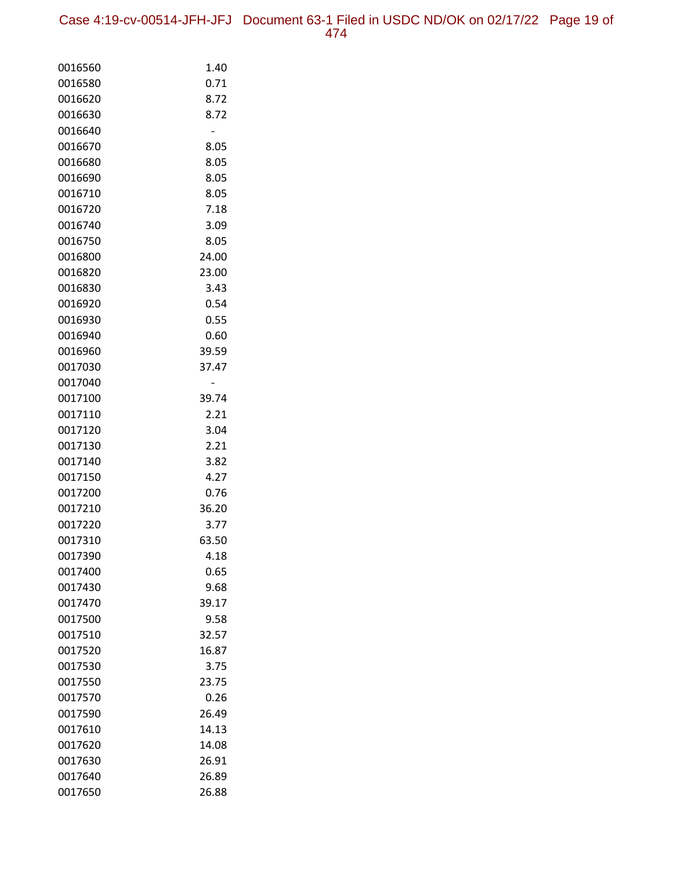Case 4:19-cv-00514-JFH-JFJ Document 63-1 Filed in USDC ND/OK on 02/17/22 Page 19 of 474

| 0016560            | 1.40          |
|--------------------|---------------|
| 0016580            | 0.71          |
| 0016620            | 8.72          |
| 0016630            | 8.72          |
| 0016640            |               |
| 0016670            | 8.05          |
| 0016680            | 8.05          |
| 0016690            | 8.05          |
| 0016710            | 8.05          |
| 0016720            | 7.18          |
| 0016740            | 3.09          |
| 0016750            | 8.05          |
| 0016800            | 24.00         |
| 0016820            | 23.00         |
| 0016830            | 3.43          |
| 0016920            | 0.54          |
| 0016930            | 0.55          |
| 0016940            | 0.60          |
| 0016960            | 39.59         |
| 0017030            | 37.47         |
| 0017040            |               |
| 0017100            | 39.74         |
| 0017110            | 2.21          |
| 0017120            | 3.04          |
| 0017130            | 2.21          |
| 0017140            | 3.82          |
| 0017150            | 4.27          |
| 0017200            | 0.76          |
| 0017210            | 36.20         |
| 0017220            | 3.77          |
| 0017310            | 63.50<br>4.18 |
| 0017390            |               |
| 0017400<br>0017430 | 0.65<br>9.68  |
| 0017470            | 39.17         |
| 0017500            | 9.58          |
| 0017510            | 32.57         |
| 0017520            | 16.87         |
| 0017530            | 3.75          |
| 0017550            | 23.75         |
| 0017570            | 0.26          |
| 0017590            | 26.49         |
| 0017610            | 14.13         |
| 0017620            | 14.08         |
| 0017630            | 26.91         |
| 0017640            | 26.89         |
| 0017650            | 26.88         |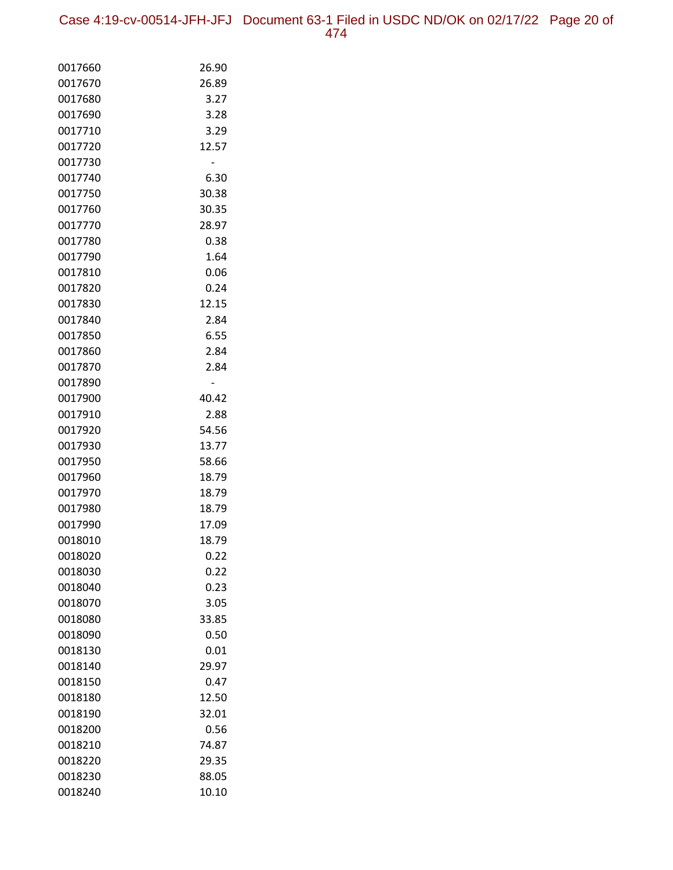Case 4:19-cv-00514-JFH-JFJ Document 63-1 Filed in USDC ND/OK on 02/17/22 Page 20 of 474

| 0017660 | 26.90 |
|---------|-------|
| 0017670 | 26.89 |
| 0017680 | 3.27  |
| 0017690 | 3.28  |
| 0017710 | 3.29  |
| 0017720 | 12.57 |
| 0017730 |       |
| 0017740 | 6.30  |
| 0017750 | 30.38 |
| 0017760 | 30.35 |
| 0017770 | 28.97 |
| 0017780 | 0.38  |
| 0017790 | 1.64  |
| 0017810 | 0.06  |
| 0017820 | 0.24  |
| 0017830 | 12.15 |
| 0017840 | 2.84  |
| 0017850 | 6.55  |
| 0017860 | 2.84  |
| 0017870 | 2.84  |
| 0017890 |       |
| 0017900 | 40.42 |
| 0017910 | 2.88  |
| 0017920 | 54.56 |
| 0017930 | 13.77 |
| 0017950 | 58.66 |
| 0017960 | 18.79 |
| 0017970 | 18.79 |
| 0017980 | 18.79 |
| 0017990 | 17.09 |
| 0018010 | 18.79 |
| 0018020 | 0.22  |
| 0018030 | 0.22  |
| 0018040 | 0.23  |
| 0018070 | 3.05  |
| 0018080 | 33.85 |
| 0018090 | 0.50  |
| 0018130 | 0.01  |
| 0018140 | 29.97 |
| 0018150 | 0.47  |
| 0018180 | 12.50 |
| 0018190 | 32.01 |
| 0018200 | 0.56  |
| 0018210 | 74.87 |
| 0018220 | 29.35 |
| 0018230 | 88.05 |
| 0018240 | 10.10 |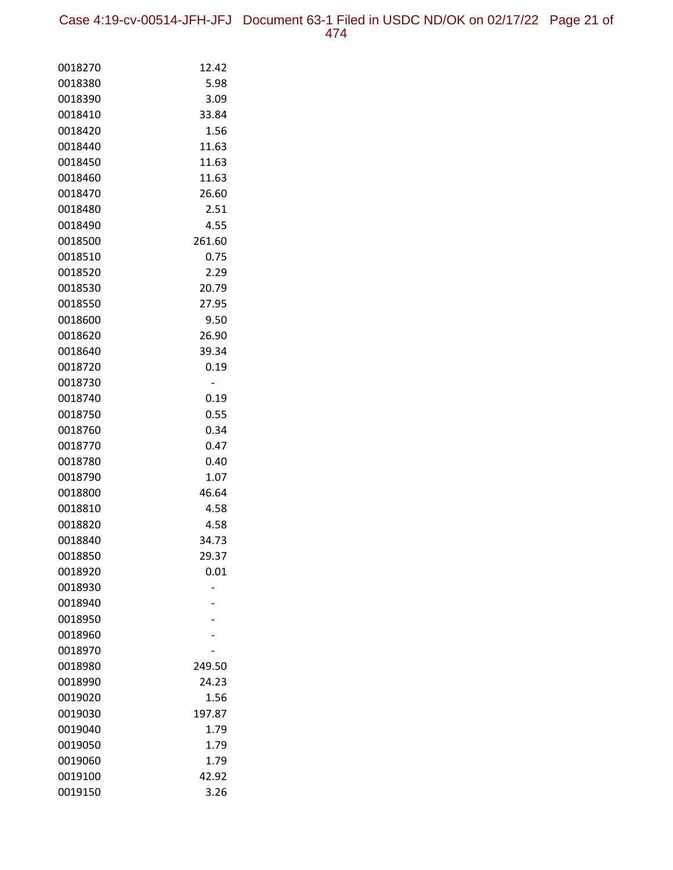Case 4:19-cv-00514-JFH-JFJ Document 63-1 Filed in USDC ND/OK on 02/17/22 Page 21 of 474

| 0018270 | 12.42  |
|---------|--------|
| 0018380 | 5.98   |
| 0018390 | 3.09   |
| 0018410 | 33.84  |
| 0018420 | 1.56   |
| 0018440 | 11.63  |
| 0018450 | 11.63  |
| 0018460 | 11.63  |
| 0018470 | 26.60  |
| 0018480 | 2.51   |
| 0018490 | 4.55   |
| 0018500 | 261.60 |
| 0018510 | 0.75   |
| 0018520 | 2.29   |
| 0018530 | 20.79  |
| 0018550 | 27.95  |
| 0018600 | 9.50   |
| 0018620 | 26.90  |
| 0018640 | 39.34  |
| 0018720 | 0.19   |
| 0018730 |        |
| 0018740 | 0.19   |
| 0018750 | 0.55   |
| 0018760 | 0.34   |
| 0018770 | 0.47   |
| 0018780 | 0.40   |
| 0018790 | 1.07   |
| 0018800 | 46.64  |
| 0018810 | 4.58   |
| 0018820 | 4.58   |
| 0018840 | 34.73  |
| 0018850 | 29.37  |
| 0018920 | 0.01   |
| 0018930 |        |
| 0018940 |        |
| 0018950 |        |
| 0018960 |        |
| 0018970 |        |
| 0018980 | 249.50 |
| 0018990 | 24.23  |
| 0019020 | 1.56   |
| 0019030 | 197.87 |
| 0019040 | 1.79   |
| 0019050 | 1.79   |
| 0019060 | 1.79   |
| 0019100 | 42.92  |
| 0019150 | 3.26   |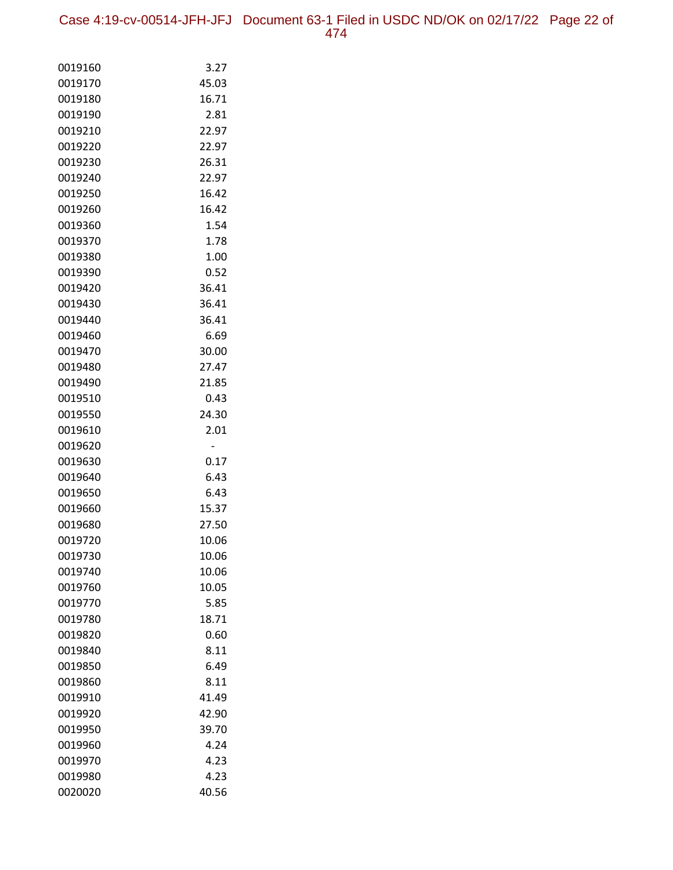Case 4:19-cv-00514-JFH-JFJ Document 63-1 Filed in USDC ND/OK on 02/17/22 Page 22 of 474

| 0019160 | 3.27  |
|---------|-------|
| 0019170 | 45.03 |
| 0019180 | 16.71 |
| 0019190 | 2.81  |
| 0019210 | 22.97 |
| 0019220 | 22.97 |
| 0019230 | 26.31 |
| 0019240 | 22.97 |
| 0019250 | 16.42 |
| 0019260 | 16.42 |
| 0019360 | 1.54  |
| 0019370 | 1.78  |
| 0019380 | 1.00  |
| 0019390 | 0.52  |
| 0019420 | 36.41 |
| 0019430 | 36.41 |
| 0019440 | 36.41 |
| 0019460 | 6.69  |
| 0019470 | 30.00 |
| 0019480 | 27.47 |
| 0019490 | 21.85 |
| 0019510 | 0.43  |
| 0019550 | 24.30 |
| 0019610 | 2.01  |
| 0019620 |       |
| 0019630 | 0.17  |
| 0019640 | 6.43  |
| 0019650 | 6.43  |
| 0019660 | 15.37 |
| 0019680 | 27.50 |
| 0019720 | 10.06 |
| 0019730 | 10.06 |
| 0019740 | 10.06 |
| 0019760 | 10.05 |
| 0019770 | 5.85  |
| 0019780 | 18.71 |
| 0019820 | 0.60  |
| 0019840 | 8.11  |
| 0019850 | 6.49  |
| 0019860 | 8.11  |
| 0019910 | 41.49 |
| 0019920 | 42.90 |
| 0019950 | 39.70 |
| 0019960 | 4.24  |
| 0019970 | 4.23  |
| 0019980 | 4.23  |
| 0020020 | 40.56 |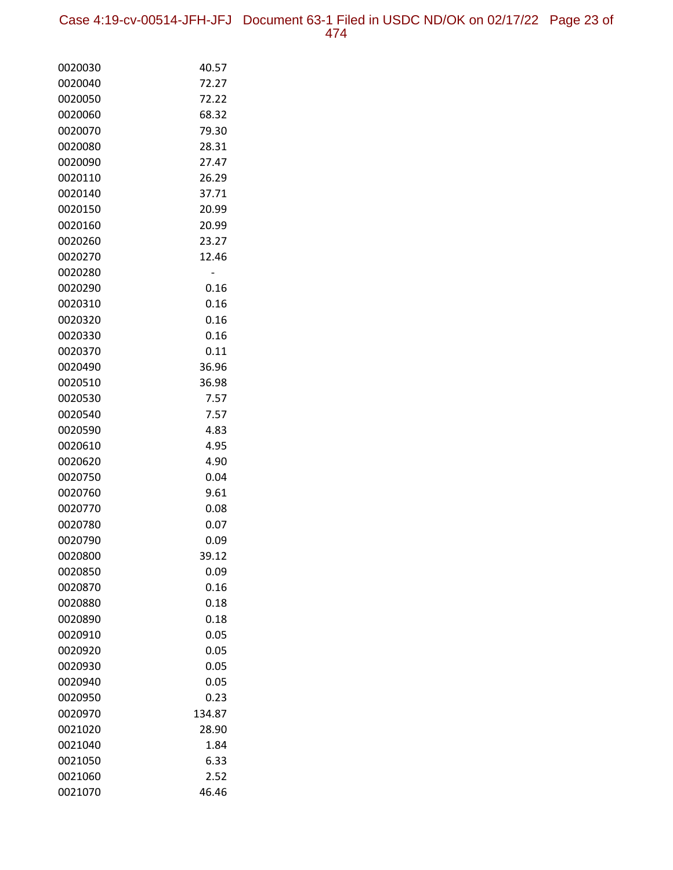Case 4:19-cv-00514-JFH-JFJ Document 63-1 Filed in USDC ND/OK on 02/17/22 Page 23 of 474

| 0020030 | 40.57  |
|---------|--------|
| 0020040 | 72.27  |
| 0020050 | 72.22  |
| 0020060 | 68.32  |
| 0020070 | 79.30  |
| 0020080 | 28.31  |
| 0020090 | 27.47  |
| 0020110 | 26.29  |
| 0020140 | 37.71  |
| 0020150 | 20.99  |
| 0020160 | 20.99  |
| 0020260 | 23.27  |
| 0020270 | 12.46  |
| 0020280 |        |
| 0020290 | 0.16   |
| 0020310 | 0.16   |
| 0020320 | 0.16   |
| 0020330 | 0.16   |
| 0020370 | 0.11   |
| 0020490 | 36.96  |
| 0020510 | 36.98  |
| 0020530 | 7.57   |
| 0020540 | 7.57   |
| 0020590 | 4.83   |
| 0020610 | 4.95   |
| 0020620 | 4.90   |
| 0020750 | 0.04   |
| 0020760 | 9.61   |
| 0020770 | 0.08   |
| 0020780 | 0.07   |
| 0020790 | 0.09   |
| 0020800 | 39.12  |
| 0020850 | 0.09   |
| 0020870 | 0.16   |
| 0020880 | 0.18   |
| 0020890 | 0.18   |
| 0020910 | 0.05   |
| 0020920 | 0.05   |
| 0020930 | 0.05   |
| 0020940 | 0.05   |
| 0020950 | 0.23   |
| 0020970 | 134.87 |
| 0021020 | 28.90  |
| 0021040 | 1.84   |
| 0021050 | 6.33   |
| 0021060 | 2.52   |
| 0021070 | 46.46  |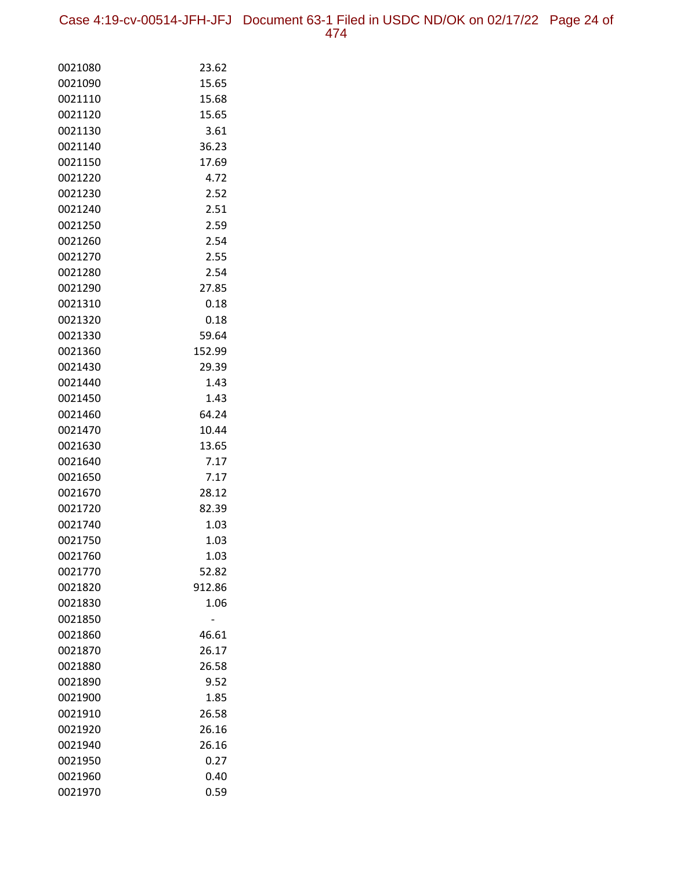Case 4:19-cv-00514-JFH-JFJ Document 63-1 Filed in USDC ND/OK on 02/17/22 Page 24 of 474

| 0021080 | 23.62  |
|---------|--------|
| 0021090 | 15.65  |
| 0021110 | 15.68  |
| 0021120 | 15.65  |
| 0021130 | 3.61   |
| 0021140 | 36.23  |
| 0021150 | 17.69  |
| 0021220 | 4.72   |
| 0021230 | 2.52   |
| 0021240 | 2.51   |
| 0021250 | 2.59   |
| 0021260 | 2.54   |
| 0021270 | 2.55   |
| 0021280 | 2.54   |
| 0021290 | 27.85  |
| 0021310 | 0.18   |
| 0021320 | 0.18   |
| 0021330 | 59.64  |
| 0021360 | 152.99 |
| 0021430 | 29.39  |
| 0021440 | 1.43   |
| 0021450 | 1.43   |
| 0021460 | 64.24  |
| 0021470 | 10.44  |
| 0021630 | 13.65  |
| 0021640 | 7.17   |
| 0021650 | 7.17   |
| 0021670 | 28.12  |
| 0021720 | 82.39  |
| 0021740 | 1.03   |
| 0021750 | 1.03   |
| 0021760 | 1.03   |
| 0021770 | 52.82  |
| 0021820 | 912.86 |
| 0021830 | 1.06   |
| 0021850 |        |
| 0021860 | 46.61  |
| 0021870 | 26.17  |
| 0021880 | 26.58  |
| 0021890 | 9.52   |
| 0021900 | 1.85   |
| 0021910 | 26.58  |
| 0021920 | 26.16  |
| 0021940 | 26.16  |
| 0021950 | 0.27   |
| 0021960 | 0.40   |
| 0021970 | 0.59   |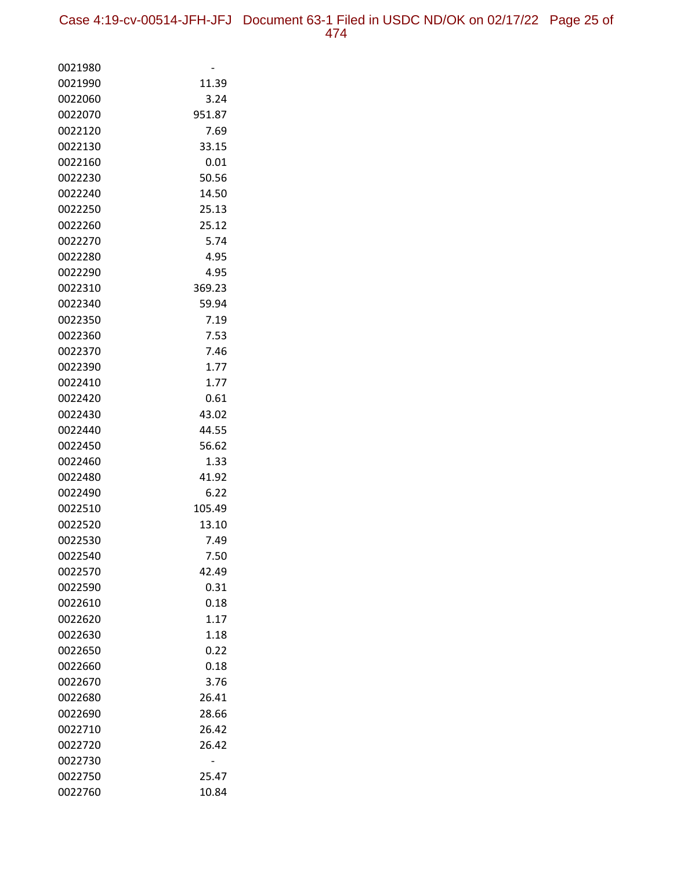| 0021980            |               |
|--------------------|---------------|
| 0021990            | 11.39         |
| 0022060            | 3.24          |
| 0022070            | 951.87        |
| 0022120            | 7.69          |
| 0022130            | 33.15         |
| 0022160            | 0.01          |
| 0022230            | 50.56         |
| 0022240            | 14.50         |
| 0022250            | 25.13         |
| 0022260            | 25.12         |
| 0022270            | 5.74          |
| 0022280            | 4.95          |
| 0022290            | 4.95          |
| 0022310            | 369.23        |
| 0022340            | 59.94         |
| 0022350            | 7.19          |
| 0022360            | 7.53          |
| 0022370            | 7.46          |
| 0022390            | 1.77          |
| 0022410            | 1.77          |
| 0022420            | 0.61          |
| 0022430            | 43.02         |
| 0022440            | 44.55         |
| 0022450            | 56.62<br>1.33 |
| 0022460<br>0022480 | 41.92         |
| 0022490            | 6.22          |
| 0022510            | 105.49        |
| 0022520            | 13.10         |
| 0022530            | 7.49          |
| 0022540            | 7.50          |
| 0022570            | 42.49         |
| 0022590            | 0.31          |
| 0022610            | 0.18          |
| 0022620            | 1.17          |
| 0022630            | 1.18          |
| 0022650            | 0.22          |
| 0022660            | 0.18          |
| 0022670            | 3.76          |
| 0022680            | 26.41         |
| 0022690            | 28.66         |
| 0022710            | 26.42         |
| 0022720            | 26.42         |
| 0022730            |               |
| 0022750            | 25.47         |
| 0022760            | 10.84         |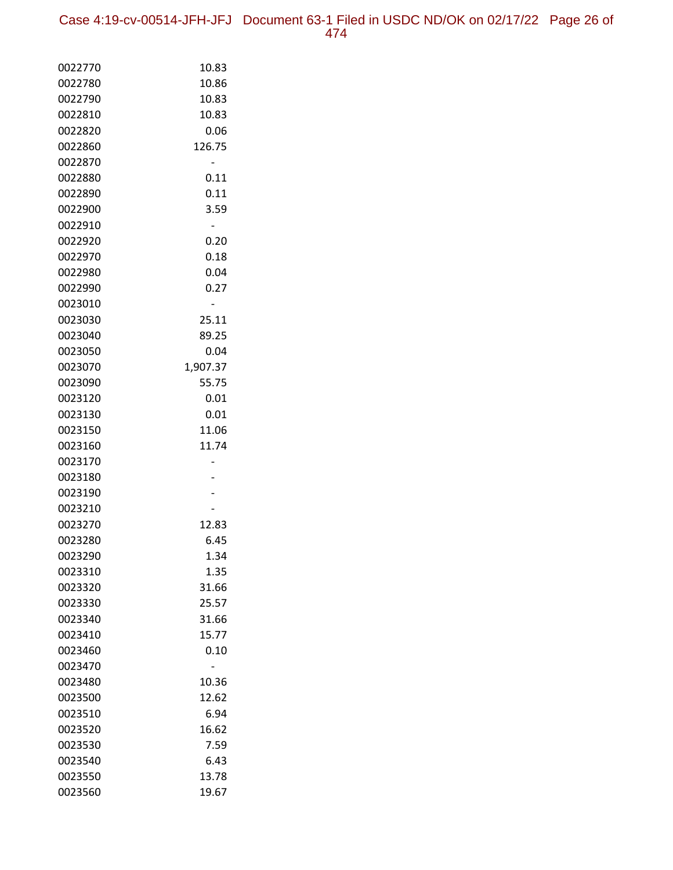Case 4:19-cv-00514-JFH-JFJ Document 63-1 Filed in USDC ND/OK on 02/17/22 Page 26 of 474

| 0022770 | 10.83    |
|---------|----------|
| 0022780 | 10.86    |
| 0022790 | 10.83    |
| 0022810 | 10.83    |
| 0022820 | 0.06     |
| 0022860 | 126.75   |
| 0022870 |          |
| 0022880 | 0.11     |
| 0022890 | 0.11     |
| 0022900 | 3.59     |
| 0022910 |          |
| 0022920 | 0.20     |
| 0022970 | 0.18     |
| 0022980 | 0.04     |
| 0022990 | 0.27     |
| 0023010 |          |
| 0023030 | 25.11    |
| 0023040 | 89.25    |
| 0023050 | 0.04     |
| 0023070 | 1,907.37 |
| 0023090 | 55.75    |
| 0023120 | 0.01     |
| 0023130 | 0.01     |
| 0023150 | 11.06    |
| 0023160 | 11.74    |
| 0023170 |          |
| 0023180 |          |
| 0023190 |          |
| 0023210 |          |
| 0023270 | 12.83    |
| 0023280 | 6.45     |
| 0023290 | 1.34     |
| 0023310 | 1.35     |
| 0023320 | 31.66    |
| 0023330 | 25.57    |
| 0023340 | 31.66    |
| 0023410 | 15.77    |
| 0023460 | 0.10     |
| 0023470 |          |
| 0023480 | 10.36    |
| 0023500 | 12.62    |
| 0023510 | 6.94     |
| 0023520 | 16.62    |
| 0023530 | 7.59     |
| 0023540 | 6.43     |
| 0023550 | 13.78    |
| 0023560 | 19.67    |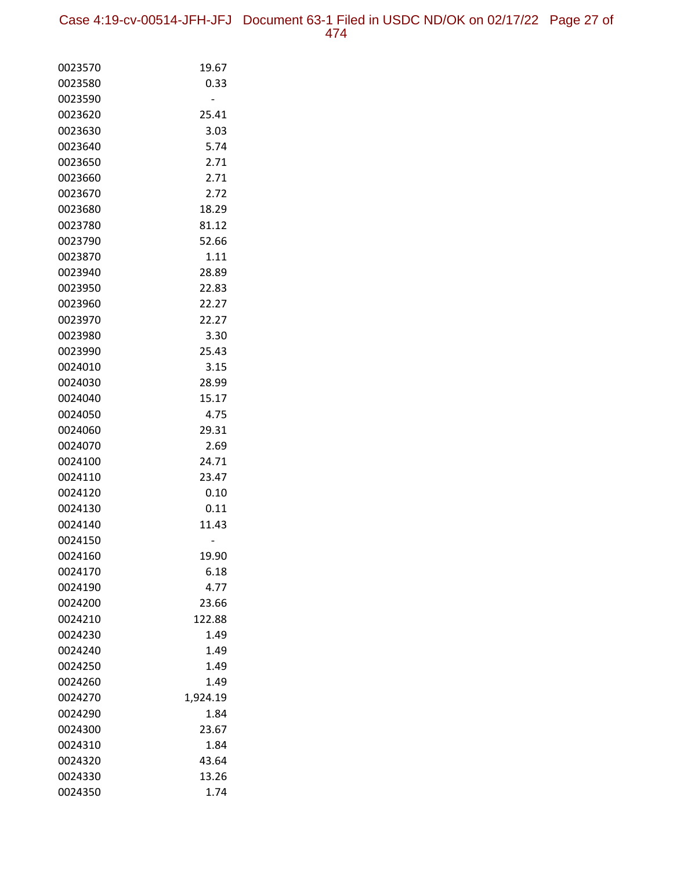| 0023570 | 19.67    |
|---------|----------|
| 0023580 | 0.33     |
| 0023590 |          |
| 0023620 | 25.41    |
| 0023630 | 3.03     |
| 0023640 | 5.74     |
| 0023650 | 2.71     |
| 0023660 | 2.71     |
| 0023670 | 2.72     |
| 0023680 | 18.29    |
| 0023780 | 81.12    |
| 0023790 | 52.66    |
| 0023870 | 1.11     |
| 0023940 | 28.89    |
| 0023950 | 22.83    |
| 0023960 | 22.27    |
| 0023970 | 22.27    |
| 0023980 | 3.30     |
| 0023990 | 25.43    |
| 0024010 | 3.15     |
| 0024030 | 28.99    |
| 0024040 | 15.17    |
| 0024050 | 4.75     |
| 0024060 | 29.31    |
| 0024070 | 2.69     |
| 0024100 | 24.71    |
| 0024110 | 23.47    |
| 0024120 | 0.10     |
| 0024130 | 0.11     |
| 0024140 | 11.43    |
| 0024150 |          |
| 0024160 | 19.90    |
| 0024170 | 6.18     |
| 0024190 | 4.77     |
| 0024200 | 23.66    |
| 0024210 | 122.88   |
| 0024230 | 1.49     |
| 0024240 | 1.49     |
| 0024250 | 1.49     |
| 0024260 | 1.49     |
| 0024270 | 1,924.19 |
| 0024290 | 1.84     |
| 0024300 | 23.67    |
| 0024310 | 1.84     |
| 0024320 | 43.64    |
| 0024330 | 13.26    |
| 0024350 | 1.74     |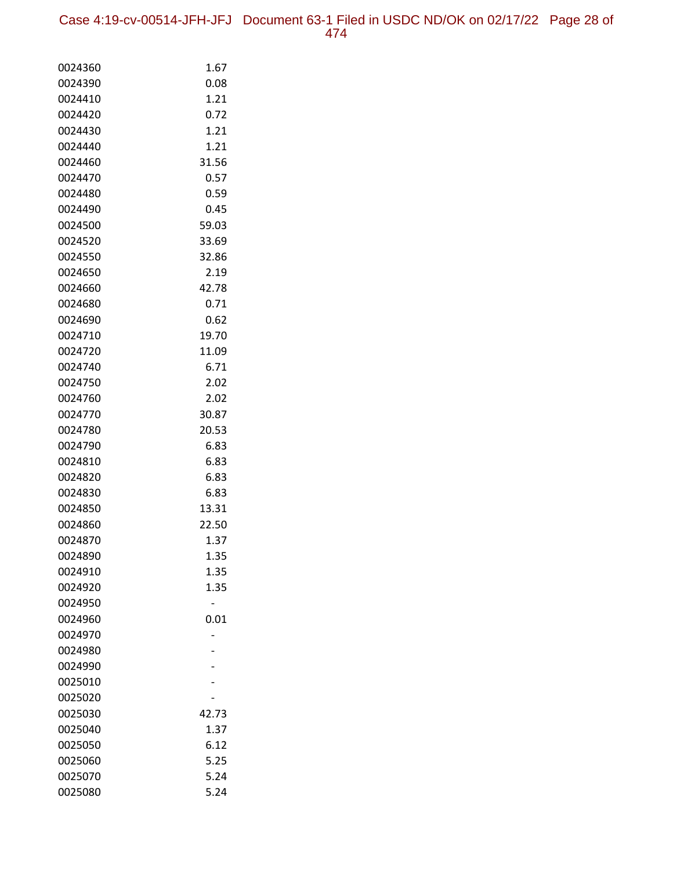| 0024360            | 1.67  |
|--------------------|-------|
| 0024390            | 0.08  |
| 0024410            | 1.21  |
| 0024420            | 0.72  |
| 0024430            | 1.21  |
| 0024440            | 1.21  |
| 0024460            | 31.56 |
| 0024470            | 0.57  |
| 0024480            | 0.59  |
| 0024490            | 0.45  |
| 0024500            | 59.03 |
| 0024520            | 33.69 |
| 0024550            | 32.86 |
| 0024650            | 2.19  |
| 0024660            | 42.78 |
| 0024680            | 0.71  |
| 0024690            | 0.62  |
| 0024710            | 19.70 |
| 0024720            | 11.09 |
| 0024740            | 6.71  |
| 0024750            | 2.02  |
| 0024760            | 2.02  |
| 0024770            | 30.87 |
| 0024780            | 20.53 |
| 0024790            | 6.83  |
| 0024810            | 6.83  |
| 0024820            | 6.83  |
| 0024830            | 6.83  |
| 0024850            | 13.31 |
| 0024860            | 22.50 |
| 0024870            | 1.37  |
| 0024890            | 1.35  |
| 0024910            | 1.35  |
| 0024920            | 1.35  |
| 0024950            |       |
| 0024960            | 0.01  |
| 0024970            |       |
| 0024980            |       |
| 0024990<br>0025010 |       |
|                    |       |
| 0025020<br>0025030 | 42.73 |
| 0025040            | 1.37  |
| 0025050            | 6.12  |
| 0025060            | 5.25  |
| 0025070            | 5.24  |
| 0025080            | 5.24  |
|                    |       |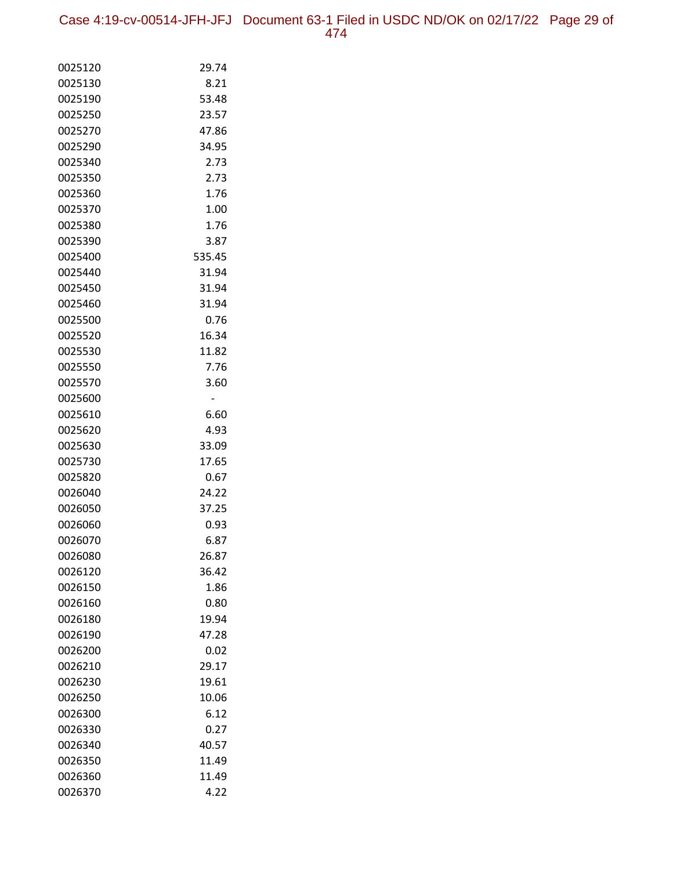Case 4:19-cv-00514-JFH-JFJ Document 63-1 Filed in USDC ND/OK on 02/17/22 Page 29 of 474

| 0025120 | 29.74  |
|---------|--------|
| 0025130 | 8.21   |
| 0025190 | 53.48  |
| 0025250 | 23.57  |
| 0025270 | 47.86  |
| 0025290 | 34.95  |
| 0025340 | 2.73   |
| 0025350 | 2.73   |
| 0025360 | 1.76   |
| 0025370 | 1.00   |
| 0025380 | 1.76   |
| 0025390 | 3.87   |
| 0025400 | 535.45 |
| 0025440 | 31.94  |
| 0025450 | 31.94  |
| 0025460 | 31.94  |
| 0025500 | 0.76   |
| 0025520 | 16.34  |
| 0025530 | 11.82  |
| 0025550 | 7.76   |
| 0025570 | 3.60   |
| 0025600 | -      |
| 0025610 | 6.60   |
| 0025620 | 4.93   |
| 0025630 | 33.09  |
| 0025730 | 17.65  |
| 0025820 | 0.67   |
| 0026040 | 24.22  |
| 0026050 | 37.25  |
| 0026060 | 0.93   |
| 0026070 | 6.87   |
| 0026080 | 26.87  |
| 0026120 | 36.42  |
| 0026150 | 1.86   |
| 0026160 | 0.80   |
| 0026180 | 19.94  |
| 0026190 | 47.28  |
| 0026200 | 0.02   |
| 0026210 | 29.17  |
| 0026230 | 19.61  |
| 0026250 | 10.06  |
| 0026300 | 6.12   |
| 0026330 | 0.27   |
| 0026340 | 40.57  |
| 0026350 | 11.49  |
| 0026360 | 11.49  |
| 0026370 | 4.22   |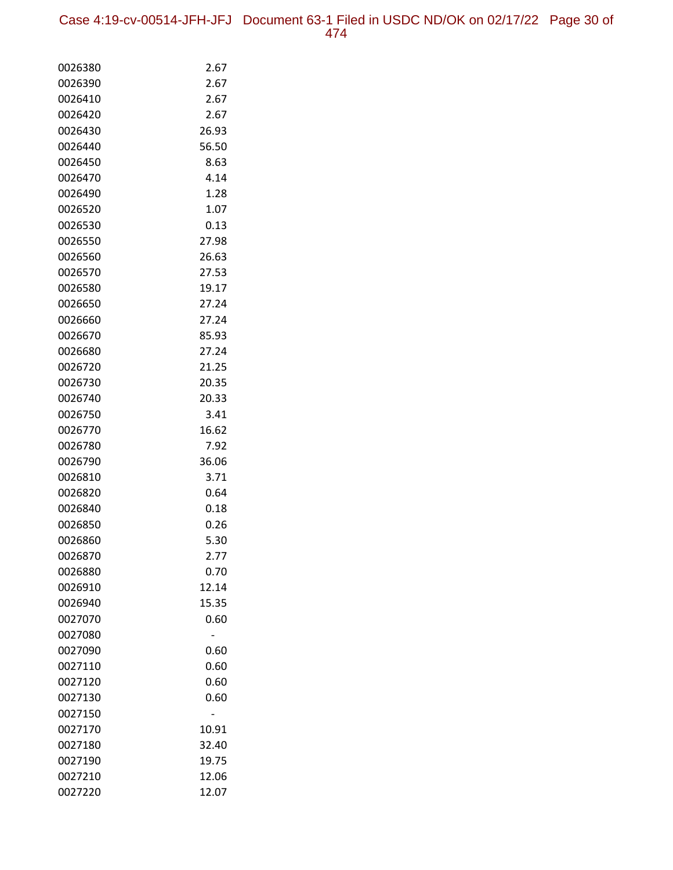Case 4:19-cv-00514-JFH-JFJ Document 63-1 Filed in USDC ND/OK on 02/17/22 Page 30 of 474

| 0026380 | 2.67  |
|---------|-------|
| 0026390 | 2.67  |
| 0026410 | 2.67  |
| 0026420 | 2.67  |
| 0026430 | 26.93 |
| 0026440 | 56.50 |
| 0026450 | 8.63  |
| 0026470 | 4.14  |
| 0026490 | 1.28  |
| 0026520 | 1.07  |
| 0026530 | 0.13  |
| 0026550 | 27.98 |
| 0026560 | 26.63 |
| 0026570 | 27.53 |
| 0026580 | 19.17 |
| 0026650 | 27.24 |
| 0026660 | 27.24 |
| 0026670 | 85.93 |
| 0026680 | 27.24 |
| 0026720 | 21.25 |
| 0026730 | 20.35 |
| 0026740 | 20.33 |
| 0026750 | 3.41  |
| 0026770 | 16.62 |
| 0026780 | 7.92  |
| 0026790 | 36.06 |
| 0026810 | 3.71  |
| 0026820 | 0.64  |
| 0026840 | 0.18  |
| 0026850 | 0.26  |
| 0026860 | 5.30  |
| 0026870 | 2.77  |
| 0026880 | 0.70  |
| 0026910 | 12.14 |
| 0026940 | 15.35 |
| 0027070 | 0.60  |
| 0027080 |       |
| 0027090 | 0.60  |
| 0027110 | 0.60  |
| 0027120 | 0.60  |
| 0027130 | 0.60  |
| 0027150 |       |
| 0027170 | 10.91 |
| 0027180 | 32.40 |
| 0027190 | 19.75 |
| 0027210 | 12.06 |
| 0027220 | 12.07 |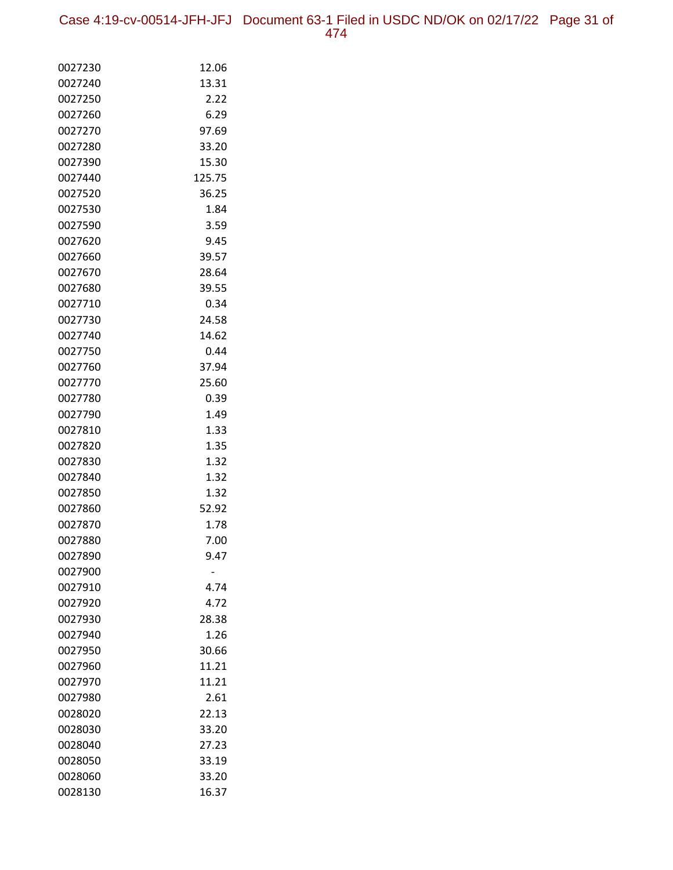| 0027230            | 12.06          |
|--------------------|----------------|
| 0027240            | 13.31          |
| 0027250            | 2.22           |
| 0027260            | 6.29           |
| 0027270            | 97.69          |
| 0027280            | 33.20          |
| 0027390            | 15.30          |
| 0027440            | 125.75         |
| 0027520            | 36.25          |
| 0027530            | 1.84           |
| 0027590            | 3.59           |
| 0027620            | 9.45           |
| 0027660            | 39.57          |
| 0027670            | 28.64          |
| 0027680            | 39.55          |
| 0027710            | 0.34           |
| 0027730            | 24.58          |
| 0027740            | 14.62          |
| 0027750            | 0.44           |
| 0027760            | 37.94          |
| 0027770            | 25.60          |
| 0027780            | 0.39           |
| 0027790            | 1.49           |
| 0027810            | 1.33           |
| 0027820            | 1.35           |
| 0027830            | 1.32           |
| 0027840            | 1.32           |
| 0027850            | 1.32           |
| 0027860            | 52.92          |
| 0027870            | 1.78           |
| 0027880            | 7.00           |
| 0027890            | 9.47           |
| 0027900            |                |
| 0027910<br>0027920 | 4.74<br>4.72   |
| 0027930            | 28.38          |
|                    |                |
| 0027940<br>0027950 | 1.26           |
|                    | 30.66<br>11.21 |
| 0027960<br>0027970 | 11.21          |
| 0027980            | 2.61           |
| 0028020            | 22.13          |
| 0028030            | 33.20          |
| 0028040            | 27.23          |
| 0028050            | 33.19          |
| 0028060            | 33.20          |
| 0028130            | 16.37          |
|                    |                |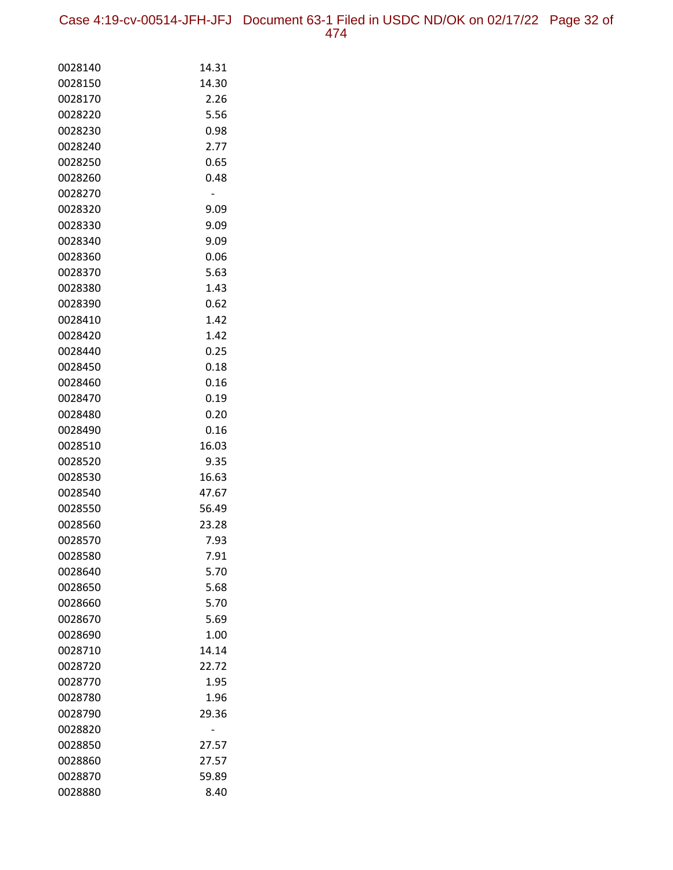Case 4:19-cv-00514-JFH-JFJ Document 63-1 Filed in USDC ND/OK on 02/17/22 Page 32 of 474

| 0028140 | 14.31 |
|---------|-------|
| 0028150 | 14.30 |
| 0028170 | 2.26  |
| 0028220 | 5.56  |
| 0028230 | 0.98  |
| 0028240 | 2.77  |
| 0028250 | 0.65  |
| 0028260 | 0.48  |
| 0028270 |       |
| 0028320 | 9.09  |
| 0028330 | 9.09  |
| 0028340 | 9.09  |
| 0028360 | 0.06  |
| 0028370 | 5.63  |
| 0028380 | 1.43  |
| 0028390 | 0.62  |
| 0028410 | 1.42  |
| 0028420 | 1.42  |
| 0028440 | 0.25  |
| 0028450 | 0.18  |
| 0028460 | 0.16  |
| 0028470 | 0.19  |
| 0028480 | 0.20  |
| 0028490 | 0.16  |
| 0028510 | 16.03 |
| 0028520 | 9.35  |
| 0028530 | 16.63 |
| 0028540 | 47.67 |
| 0028550 | 56.49 |
| 0028560 | 23.28 |
| 0028570 | 7.93  |
| 0028580 | 7.91  |
| 0028640 | 5.70  |
| 0028650 | 5.68  |
| 0028660 | 5.70  |
| 0028670 | 5.69  |
| 0028690 | 1.00  |
| 0028710 | 14.14 |
| 0028720 | 22.72 |
| 0028770 | 1.95  |
| 0028780 | 1.96  |
| 0028790 | 29.36 |
| 0028820 |       |
| 0028850 | 27.57 |
| 0028860 | 27.57 |
| 0028870 | 59.89 |
| 0028880 | 8.40  |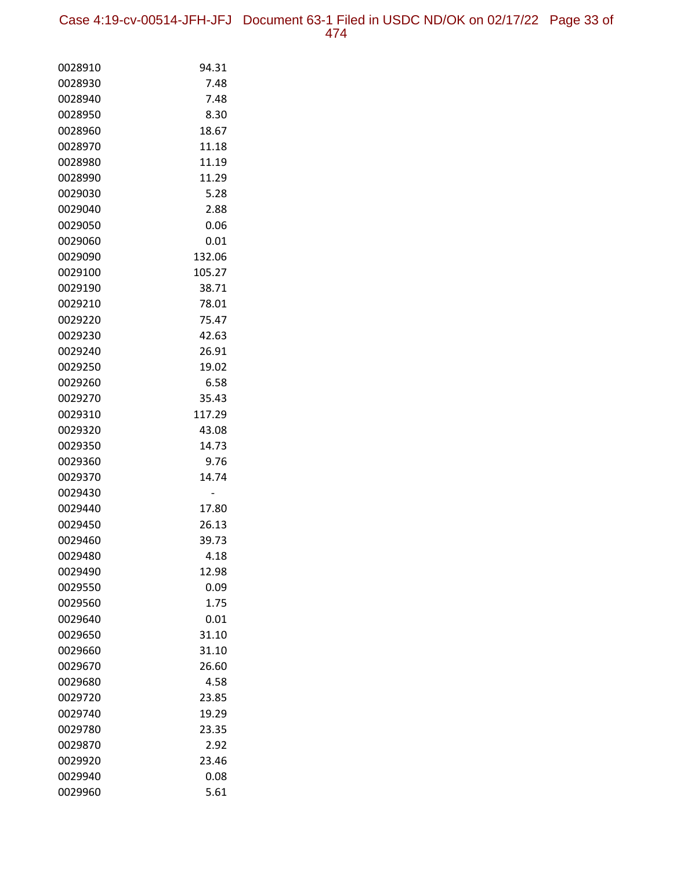Case 4:19-cv-00514-JFH-JFJ Document 63-1 Filed in USDC ND/OK on 02/17/22 Page 33 of 474

| 0028910 | 94.31  |
|---------|--------|
| 0028930 | 7.48   |
| 0028940 | 7.48   |
| 0028950 | 8.30   |
| 0028960 | 18.67  |
| 0028970 | 11.18  |
| 0028980 | 11.19  |
| 0028990 | 11.29  |
| 0029030 | 5.28   |
| 0029040 | 2.88   |
| 0029050 | 0.06   |
| 0029060 | 0.01   |
| 0029090 | 132.06 |
| 0029100 | 105.27 |
| 0029190 | 38.71  |
| 0029210 | 78.01  |
| 0029220 | 75.47  |
| 0029230 | 42.63  |
| 0029240 | 26.91  |
| 0029250 | 19.02  |
| 0029260 | 6.58   |
| 0029270 | 35.43  |
| 0029310 | 117.29 |
| 0029320 | 43.08  |
| 0029350 | 14.73  |
| 0029360 | 9.76   |
| 0029370 | 14.74  |
| 0029430 |        |
| 0029440 | 17.80  |
| 0029450 | 26.13  |
| 0029460 | 39.73  |
| 0029480 | 4.18   |
| 0029490 | 12.98  |
| 0029550 | 0.09   |
| 0029560 | 1.75   |
| 0029640 | 0.01   |
| 0029650 | 31.10  |
| 0029660 | 31.10  |
| 0029670 | 26.60  |
| 0029680 | 4.58   |
| 0029720 | 23.85  |
| 0029740 | 19.29  |
| 0029780 | 23.35  |
| 0029870 | 2.92   |
| 0029920 | 23.46  |
| 0029940 | 0.08   |
| 0029960 | 5.61   |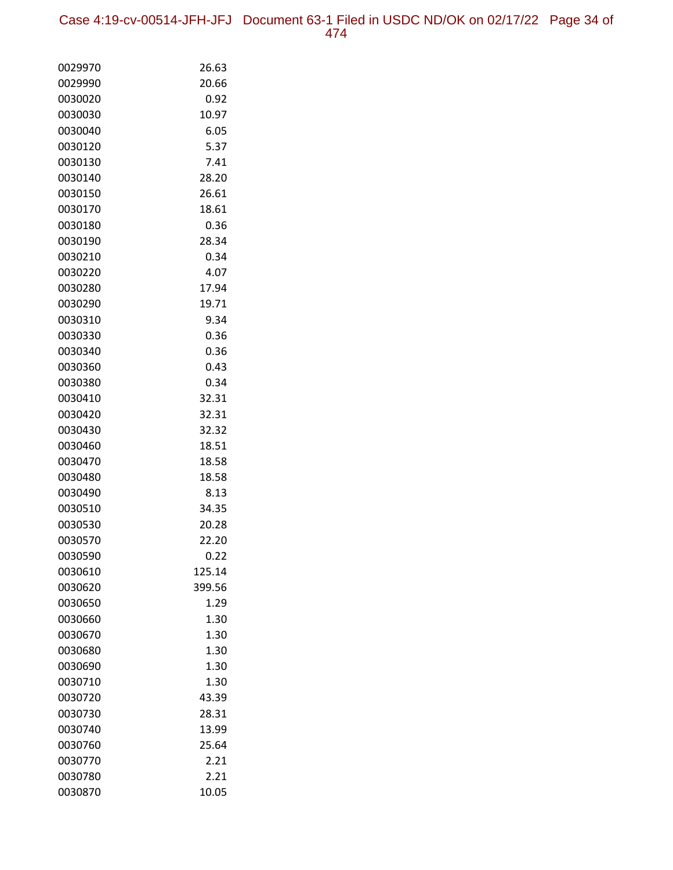Case 4:19-cv-00514-JFH-JFJ Document 63-1 Filed in USDC ND/OK on 02/17/22 Page 34 of 474

| 0029970            | 26.63          |
|--------------------|----------------|
| 0029990            | 20.66          |
| 0030020            | 0.92           |
| 0030030            | 10.97          |
| 0030040            | 6.05           |
| 0030120            | 5.37           |
| 0030130            | 7.41           |
| 0030140            | 28.20          |
| 0030150            | 26.61          |
| 0030170            | 18.61          |
| 0030180            | 0.36           |
| 0030190            | 28.34          |
| 0030210            | 0.34           |
| 0030220            | 4.07           |
| 0030280            | 17.94          |
| 0030290            | 19.71          |
| 0030310            | 9.34           |
| 0030330            | 0.36           |
| 0030340            | 0.36           |
| 0030360            | 0.43           |
| 0030380            | 0.34           |
| 0030410            | 32.31          |
| 0030420            | 32.31          |
| 0030430            | 32.32          |
| 0030460            | 18.51          |
| 0030470            | 18.58          |
| 0030480            | 18.58          |
| 0030490<br>0030510 | 8.13<br>34.35  |
|                    |                |
| 0030530<br>0030570 | 20.28<br>22.20 |
| 0030590            | 0.22           |
| 0030610            | 125.14         |
| 0030620            | 399.56         |
| 0030650            | 1.29           |
| 0030660            | 1.30           |
| 0030670            | 1.30           |
| 0030680            | 1.30           |
| 0030690            | 1.30           |
| 0030710            | 1.30           |
| 0030720            | 43.39          |
| 0030730            | 28.31          |
| 0030740            | 13.99          |
| 0030760            | 25.64          |
| 0030770            | 2.21           |
| 0030780            | 2.21           |
| 0030870            | 10.05          |
|                    |                |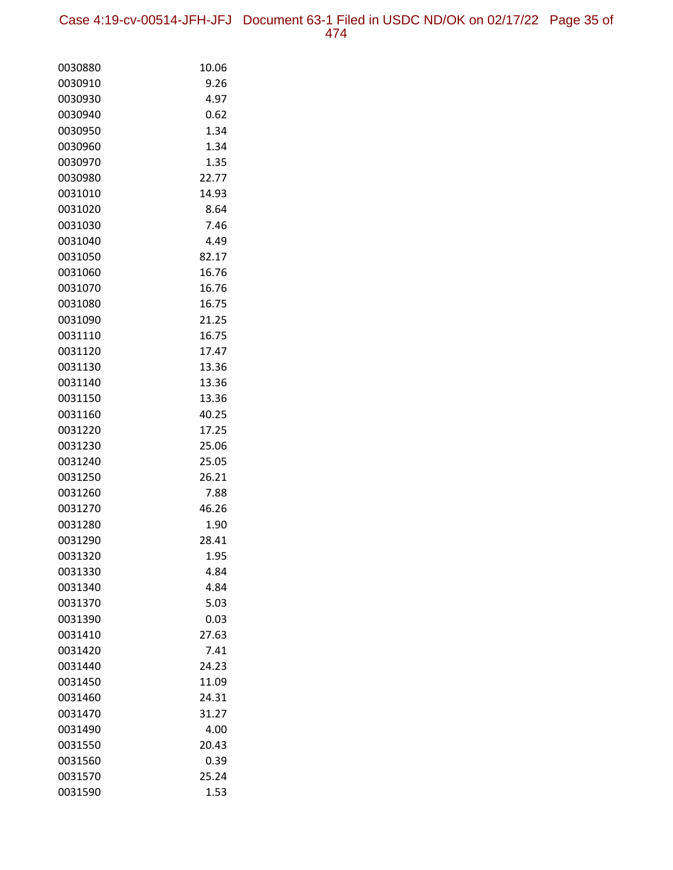Case 4:19-cv-00514-JFH-JFJ Document 63-1 Filed in USDC ND/OK on 02/17/22 Page 35 of 474

| 0030880 | 10.06 |
|---------|-------|
| 0030910 | 9.26  |
| 0030930 | 4.97  |
| 0030940 | 0.62  |
| 0030950 | 1.34  |
| 0030960 | 1.34  |
| 0030970 | 1.35  |
| 0030980 | 22.77 |
| 0031010 | 14.93 |
| 0031020 | 8.64  |
| 0031030 | 7.46  |
| 0031040 | 4.49  |
| 0031050 | 82.17 |
| 0031060 | 16.76 |
| 0031070 | 16.76 |
| 0031080 | 16.75 |
| 0031090 | 21.25 |
| 0031110 | 16.75 |
| 0031120 | 17.47 |
| 0031130 | 13.36 |
| 0031140 | 13.36 |
| 0031150 | 13.36 |
| 0031160 | 40.25 |
| 0031220 | 17.25 |
| 0031230 | 25.06 |
| 0031240 | 25.05 |
| 0031250 | 26.21 |
| 0031260 | 7.88  |
| 0031270 | 46.26 |
| 0031280 | 1.90  |
| 0031290 | 28.41 |
| 0031320 | 1.95  |
| 0031330 | 4.84  |
| 0031340 | 4.84  |
| 0031370 | 5.03  |
| 0031390 | 0.03  |
| 0031410 | 27.63 |
| 0031420 | 7.41  |
| 0031440 | 24.23 |
| 0031450 | 11.09 |
| 0031460 | 24.31 |
| 0031470 | 31.27 |
| 0031490 | 4.00  |
| 0031550 | 20.43 |
| 0031560 | 0.39  |
| 0031570 | 25.24 |
| 0031590 | 1.53  |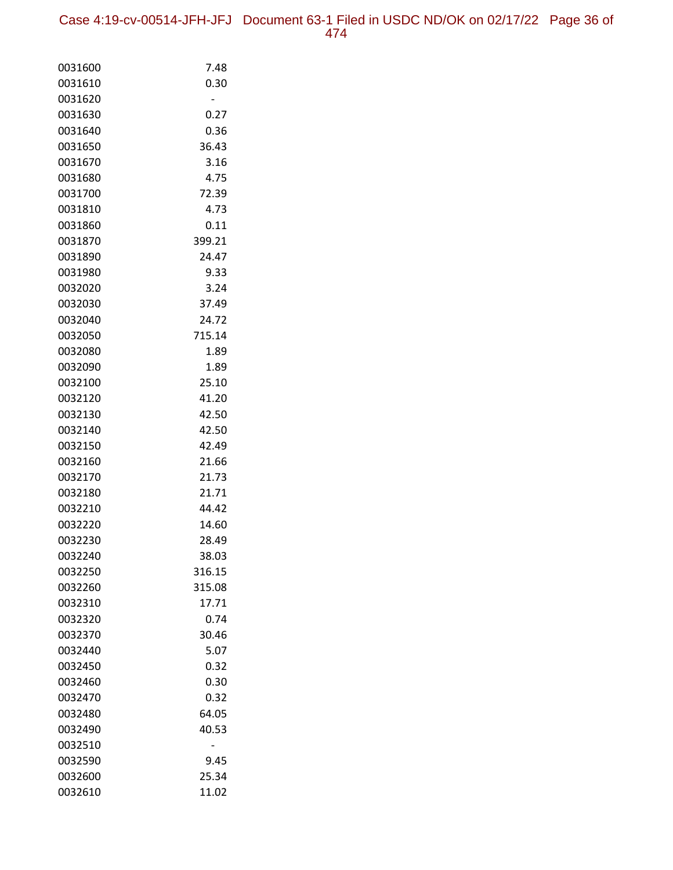| 0031600 | 7.48   |
|---------|--------|
| 0031610 | 0.30   |
| 0031620 |        |
| 0031630 | 0.27   |
| 0031640 | 0.36   |
| 0031650 | 36.43  |
| 0031670 | 3.16   |
| 0031680 | 4.75   |
| 0031700 | 72.39  |
| 0031810 | 4.73   |
| 0031860 | 0.11   |
| 0031870 | 399.21 |
| 0031890 | 24.47  |
| 0031980 | 9.33   |
| 0032020 | 3.24   |
| 0032030 | 37.49  |
| 0032040 | 24.72  |
| 0032050 | 715.14 |
| 0032080 | 1.89   |
| 0032090 | 1.89   |
| 0032100 | 25.10  |
| 0032120 | 41.20  |
| 0032130 | 42.50  |
| 0032140 | 42.50  |
| 0032150 | 42.49  |
| 0032160 | 21.66  |
| 0032170 | 21.73  |
| 0032180 | 21.71  |
| 0032210 | 44.42  |
| 0032220 | 14.60  |
| 0032230 | 28.49  |
| 0032240 | 38.03  |
| 0032250 | 316.15 |
| 0032260 | 315.08 |
| 0032310 | 17.71  |
| 0032320 | 0.74   |
| 0032370 | 30.46  |
| 0032440 | 5.07   |
| 0032450 | 0.32   |
| 0032460 | 0.30   |
| 0032470 | 0.32   |
| 0032480 | 64.05  |
| 0032490 | 40.53  |
| 0032510 |        |
| 0032590 | 9.45   |
| 0032600 | 25.34  |
| 0032610 | 11.02  |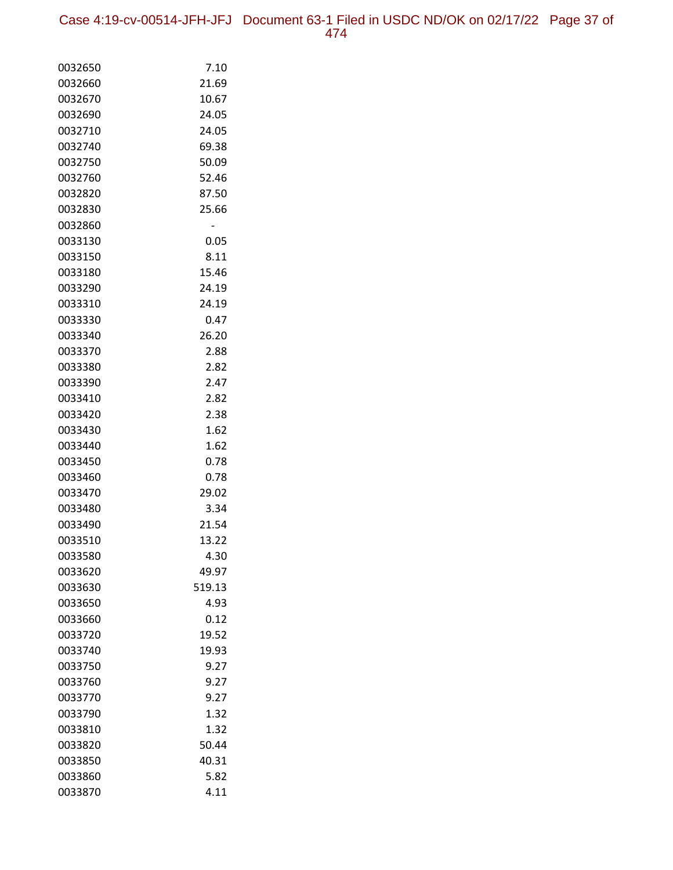Case 4:19-cv-00514-JFH-JFJ Document 63-1 Filed in USDC ND/OK on 02/17/22 Page 37 of 474

| 0032650            | 7.10          |
|--------------------|---------------|
| 0032660            | 21.69         |
| 0032670            | 10.67         |
| 0032690            | 24.05         |
| 0032710            | 24.05         |
| 0032740            | 69.38         |
| 0032750            | 50.09         |
| 0032760            | 52.46         |
| 0032820            | 87.50         |
| 0032830            | 25.66         |
| 0032860            |               |
| 0033130            | 0.05          |
| 0033150            | 8.11          |
| 0033180            | 15.46         |
| 0033290            | 24.19         |
| 0033310            | 24.19         |
| 0033330            | 0.47          |
| 0033340            | 26.20         |
| 0033370            | 2.88          |
| 0033380            | 2.82          |
| 0033390            | 2.47          |
| 0033410            | 2.82          |
| 0033420            | 2.38          |
| 0033430            | 1.62          |
| 0033440            | 1.62          |
| 0033450            | 0.78          |
| 0033460            | 0.78          |
| 0033470            | 29.02         |
| 0033480            | 3.34          |
| 0033490            | 21.54         |
| 0033510            | 13.22         |
| 0033580            | 4.30          |
| 0033620            | 49.97         |
| 0033630            | 519.13        |
| 0033650<br>0033660 | 4.93          |
| 0033720            | 0.12          |
|                    | 19.52         |
| 0033740<br>0033750 | 19.93<br>9.27 |
| 0033760            | 9.27          |
| 0033770            | 9.27          |
| 0033790            | 1.32          |
| 0033810            | 1.32          |
| 0033820            | 50.44         |
| 0033850            | 40.31         |
| 0033860            | 5.82          |
| 0033870            | 4.11          |
|                    |               |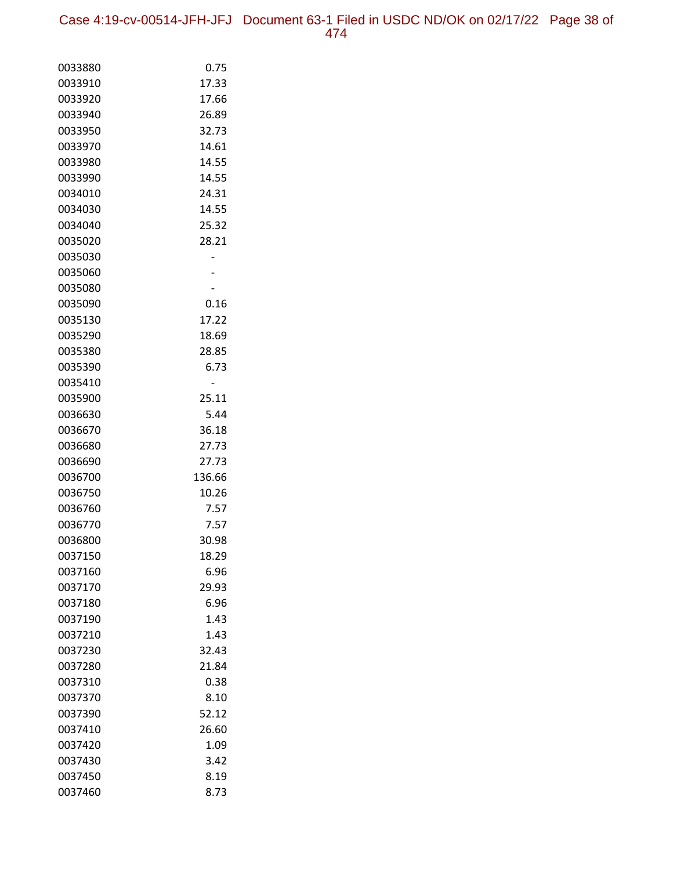Case 4:19-cv-00514-JFH-JFJ Document 63-1 Filed in USDC ND/OK on 02/17/22 Page 38 of 474

| 0033880 | 0.75   |
|---------|--------|
| 0033910 | 17.33  |
| 0033920 | 17.66  |
| 0033940 | 26.89  |
| 0033950 | 32.73  |
| 0033970 | 14.61  |
| 0033980 | 14.55  |
| 0033990 | 14.55  |
| 0034010 | 24.31  |
| 0034030 | 14.55  |
| 0034040 | 25.32  |
| 0035020 | 28.21  |
| 0035030 |        |
| 0035060 |        |
| 0035080 |        |
| 0035090 | 0.16   |
| 0035130 | 17.22  |
| 0035290 | 18.69  |
| 0035380 | 28.85  |
| 0035390 | 6.73   |
| 0035410 |        |
| 0035900 | 25.11  |
| 0036630 | 5.44   |
| 0036670 | 36.18  |
| 0036680 | 27.73  |
| 0036690 | 27.73  |
| 0036700 | 136.66 |
| 0036750 | 10.26  |
| 0036760 | 7.57   |
| 0036770 | 7.57   |
| 0036800 | 30.98  |
| 0037150 | 18.29  |
| 0037160 | 6.96   |
| 0037170 | 29.93  |
| 0037180 | 6.96   |
| 0037190 | 1.43   |
| 0037210 | 1.43   |
| 0037230 | 32.43  |
| 0037280 | 21.84  |
| 0037310 | 0.38   |
| 0037370 | 8.10   |
| 0037390 | 52.12  |
| 0037410 | 26.60  |
| 0037420 | 1.09   |
| 0037430 | 3.42   |
| 0037450 | 8.19   |
| 0037460 | 8.73   |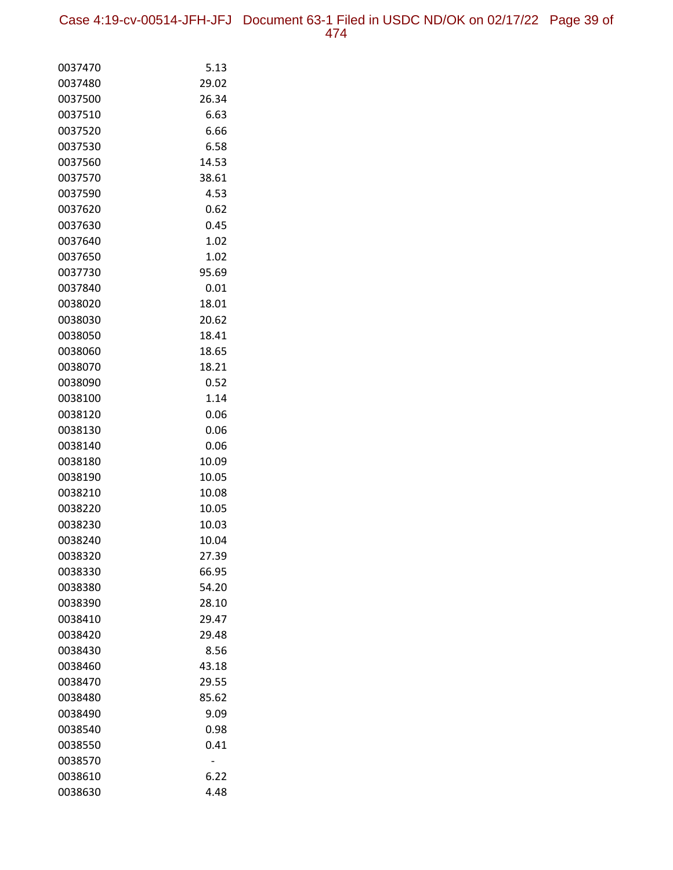| 0037470 | 5.13  |
|---------|-------|
| 0037480 | 29.02 |
| 0037500 | 26.34 |
| 0037510 | 6.63  |
| 0037520 | 6.66  |
| 0037530 | 6.58  |
| 0037560 | 14.53 |
| 0037570 | 38.61 |
| 0037590 | 4.53  |
| 0037620 | 0.62  |
| 0037630 | 0.45  |
| 0037640 | 1.02  |
| 0037650 | 1.02  |
| 0037730 | 95.69 |
| 0037840 | 0.01  |
| 0038020 | 18.01 |
| 0038030 | 20.62 |
| 0038050 | 18.41 |
| 0038060 | 18.65 |
| 0038070 | 18.21 |
| 0038090 | 0.52  |
| 0038100 | 1.14  |
| 0038120 | 0.06  |
| 0038130 | 0.06  |
| 0038140 | 0.06  |
| 0038180 | 10.09 |
| 0038190 | 10.05 |
| 0038210 | 10.08 |
| 0038220 | 10.05 |
| 0038230 | 10.03 |
| 0038240 | 10.04 |
| 0038320 | 27.39 |
| 0038330 | 66.95 |
| 0038380 | 54.20 |
| 0038390 | 28.10 |
| 0038410 | 29.47 |
| 0038420 | 29.48 |
| 0038430 | 8.56  |
| 0038460 | 43.18 |
| 0038470 | 29.55 |
| 0038480 | 85.62 |
| 0038490 | 9.09  |
| 0038540 | 0.98  |
| 0038550 | 0.41  |
| 0038570 |       |
| 0038610 | 6.22  |
| 0038630 | 4.48  |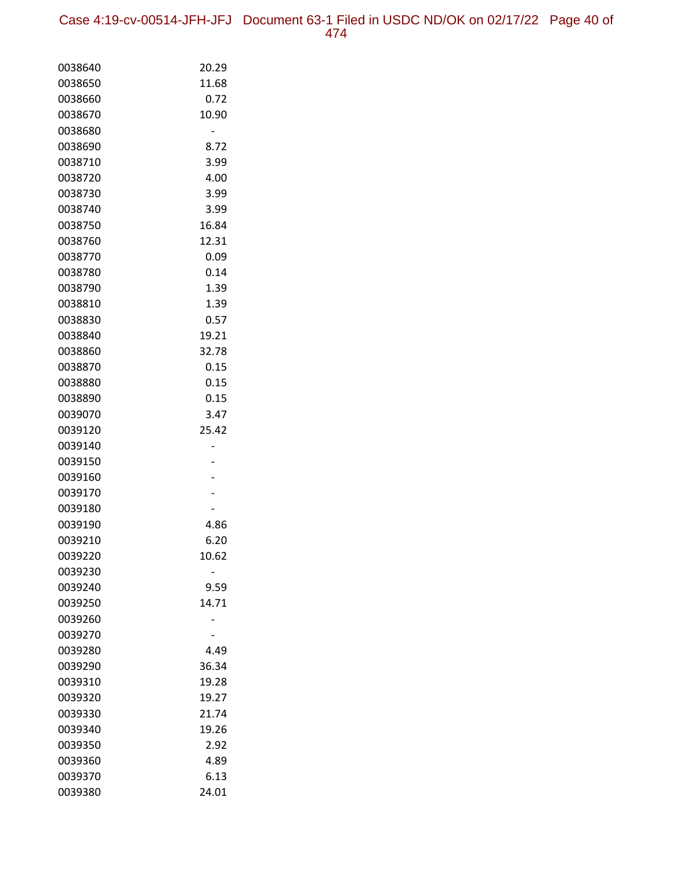Case 4:19-cv-00514-JFH-JFJ Document 63-1 Filed in USDC ND/OK on 02/17/22 Page 40 of 474

| 0038640 | 20.29 |
|---------|-------|
| 0038650 | 11.68 |
| 0038660 | 0.72  |
| 0038670 | 10.90 |
| 0038680 |       |
| 0038690 | 8.72  |
| 0038710 | 3.99  |
| 0038720 | 4.00  |
| 0038730 | 3.99  |
| 0038740 | 3.99  |
| 0038750 | 16.84 |
| 0038760 | 12.31 |
| 0038770 | 0.09  |
| 0038780 | 0.14  |
| 0038790 | 1.39  |
| 0038810 | 1.39  |
| 0038830 | 0.57  |
| 0038840 | 19.21 |
| 0038860 | 32.78 |
| 0038870 | 0.15  |
| 0038880 | 0.15  |
| 0038890 | 0.15  |
| 0039070 | 3.47  |
| 0039120 | 25.42 |
| 0039140 |       |
| 0039150 |       |
| 0039160 |       |
| 0039170 |       |
| 0039180 |       |
| 0039190 | 4.86  |
| 0039210 | 6.20  |
| 0039220 | 10.62 |
| 0039230 |       |
| 0039240 | 9.59  |
| 0039250 | 14.71 |
| 0039260 |       |
| 0039270 |       |
| 0039280 | 4.49  |
| 0039290 | 36.34 |
| 0039310 | 19.28 |
| 0039320 | 19.27 |
| 0039330 | 21.74 |
| 0039340 | 19.26 |
| 0039350 | 2.92  |
| 0039360 | 4.89  |
| 0039370 | 6.13  |
| 0039380 | 24.01 |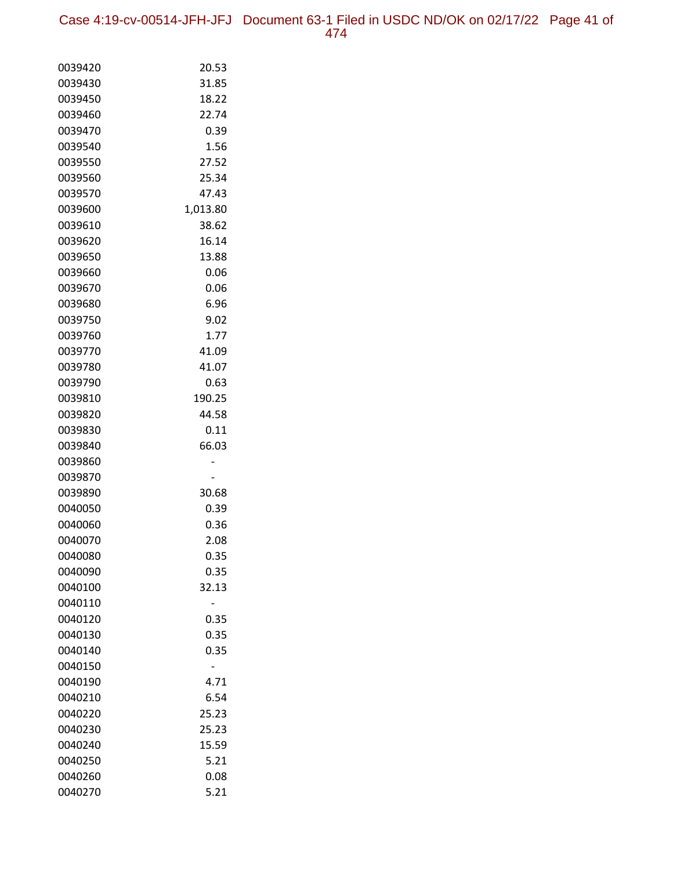Case 4:19-cv-00514-JFH-JFJ Document 63-1 Filed in USDC ND/OK on 02/17/22 Page 41 of 474

| 0039420 | 20.53    |
|---------|----------|
| 0039430 | 31.85    |
| 0039450 | 18.22    |
| 0039460 | 22.74    |
| 0039470 | 0.39     |
| 0039540 | 1.56     |
| 0039550 | 27.52    |
| 0039560 | 25.34    |
| 0039570 | 47.43    |
| 0039600 | 1,013.80 |
| 0039610 | 38.62    |
| 0039620 | 16.14    |
| 0039650 | 13.88    |
| 0039660 | 0.06     |
| 0039670 | 0.06     |
| 0039680 | 6.96     |
| 0039750 | 9.02     |
| 0039760 | 1.77     |
| 0039770 | 41.09    |
| 0039780 | 41.07    |
| 0039790 | 0.63     |
| 0039810 | 190.25   |
| 0039820 | 44.58    |
| 0039830 | 0.11     |
| 0039840 | 66.03    |
| 0039860 |          |
| 0039870 |          |
| 0039890 | 30.68    |
| 0040050 | 0.39     |
| 0040060 | 0.36     |
| 0040070 | 2.08     |
| 0040080 | 0.35     |
| 0040090 | 0.35     |
| 0040100 | 32.13    |
| 0040110 |          |
| 0040120 | 0.35     |
| 0040130 | 0.35     |
| 0040140 | 0.35     |
| 0040150 |          |
| 0040190 | 4.71     |
| 0040210 | 6.54     |
| 0040220 | 25.23    |
| 0040230 | 25.23    |
| 0040240 | 15.59    |
| 0040250 | 5.21     |
| 0040260 | 0.08     |
| 0040270 | 5.21     |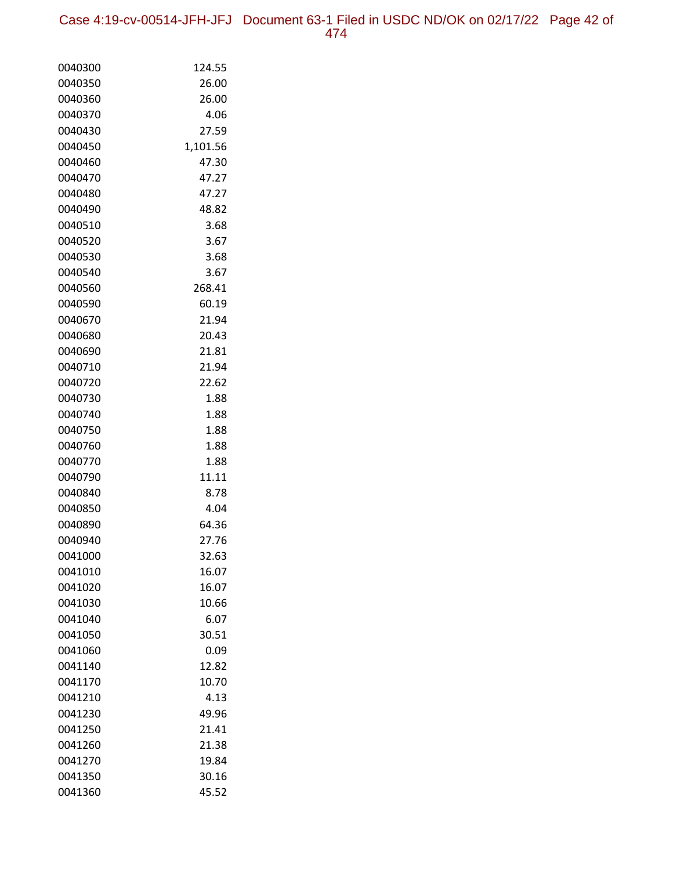Case 4:19-cv-00514-JFH-JFJ Document 63-1 Filed in USDC ND/OK on 02/17/22 Page 42 of 474

| 0040300 | 124.55   |
|---------|----------|
| 0040350 | 26.00    |
| 0040360 | 26.00    |
| 0040370 | 4.06     |
| 0040430 | 27.59    |
| 0040450 | 1,101.56 |
| 0040460 | 47.30    |
| 0040470 | 47.27    |
| 0040480 | 47.27    |
| 0040490 | 48.82    |
| 0040510 | 3.68     |
| 0040520 | 3.67     |
| 0040530 | 3.68     |
| 0040540 | 3.67     |
| 0040560 | 268.41   |
| 0040590 | 60.19    |
| 0040670 | 21.94    |
| 0040680 | 20.43    |
| 0040690 | 21.81    |
| 0040710 | 21.94    |
| 0040720 | 22.62    |
| 0040730 | 1.88     |
| 0040740 | 1.88     |
| 0040750 | 1.88     |
| 0040760 | 1.88     |
| 0040770 | 1.88     |
| 0040790 | 11.11    |
| 0040840 | 8.78     |
| 0040850 | 4.04     |
| 0040890 | 64.36    |
| 0040940 | 27.76    |
| 0041000 | 32.63    |
| 0041010 | 16.07    |
| 0041020 | 16.07    |
| 0041030 | 10.66    |
| 0041040 | 6.07     |
| 0041050 | 30.51    |
| 0041060 | 0.09     |
| 0041140 | 12.82    |
| 0041170 | 10.70    |
| 0041210 | 4.13     |
| 0041230 | 49.96    |
| 0041250 | 21.41    |
| 0041260 | 21.38    |
| 0041270 | 19.84    |
| 0041350 | 30.16    |
| 0041360 | 45.52    |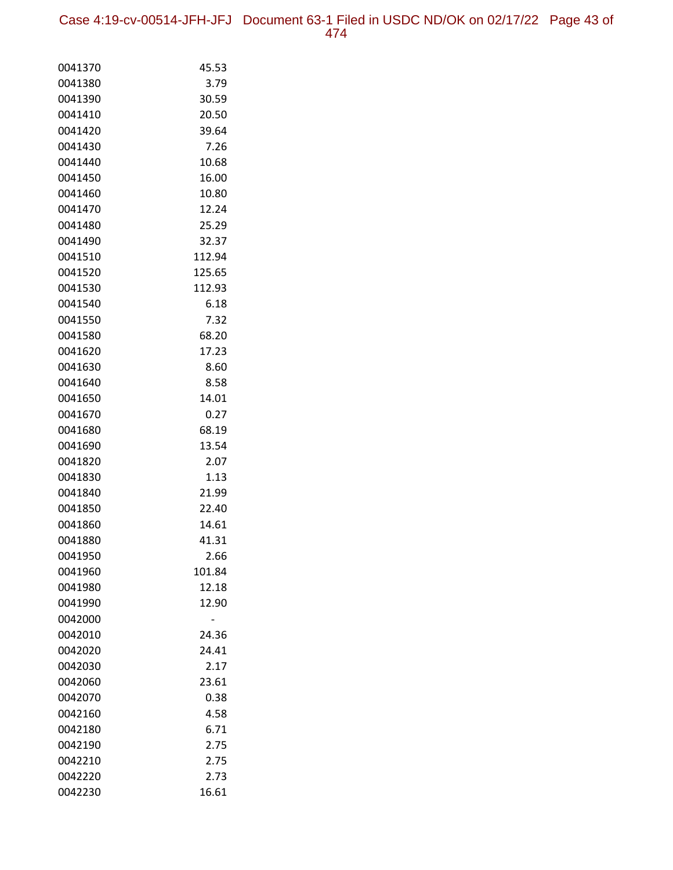Case 4:19-cv-00514-JFH-JFJ Document 63-1 Filed in USDC ND/OK on 02/17/22 Page 43 of 474

| 0041370 | 45.53  |
|---------|--------|
| 0041380 | 3.79   |
| 0041390 | 30.59  |
| 0041410 | 20.50  |
| 0041420 | 39.64  |
| 0041430 | 7.26   |
| 0041440 | 10.68  |
| 0041450 | 16.00  |
| 0041460 | 10.80  |
| 0041470 | 12.24  |
| 0041480 | 25.29  |
| 0041490 | 32.37  |
| 0041510 | 112.94 |
| 0041520 | 125.65 |
| 0041530 | 112.93 |
| 0041540 | 6.18   |
| 0041550 | 7.32   |
| 0041580 | 68.20  |
| 0041620 | 17.23  |
| 0041630 | 8.60   |
| 0041640 | 8.58   |
| 0041650 | 14.01  |
| 0041670 | 0.27   |
| 0041680 | 68.19  |
| 0041690 | 13.54  |
| 0041820 | 2.07   |
| 0041830 | 1.13   |
| 0041840 | 21.99  |
| 0041850 | 22.40  |
| 0041860 | 14.61  |
| 0041880 | 41.31  |
| 0041950 | 2.66   |
| 0041960 | 101.84 |
| 0041980 | 12.18  |
| 0041990 | 12.90  |
| 0042000 |        |
| 0042010 | 24.36  |
| 0042020 | 24.41  |
| 0042030 | 2.17   |
| 0042060 | 23.61  |
| 0042070 | 0.38   |
| 0042160 | 4.58   |
| 0042180 | 6.71   |
| 0042190 | 2.75   |
| 0042210 | 2.75   |
| 0042220 | 2.73   |
| 0042230 | 16.61  |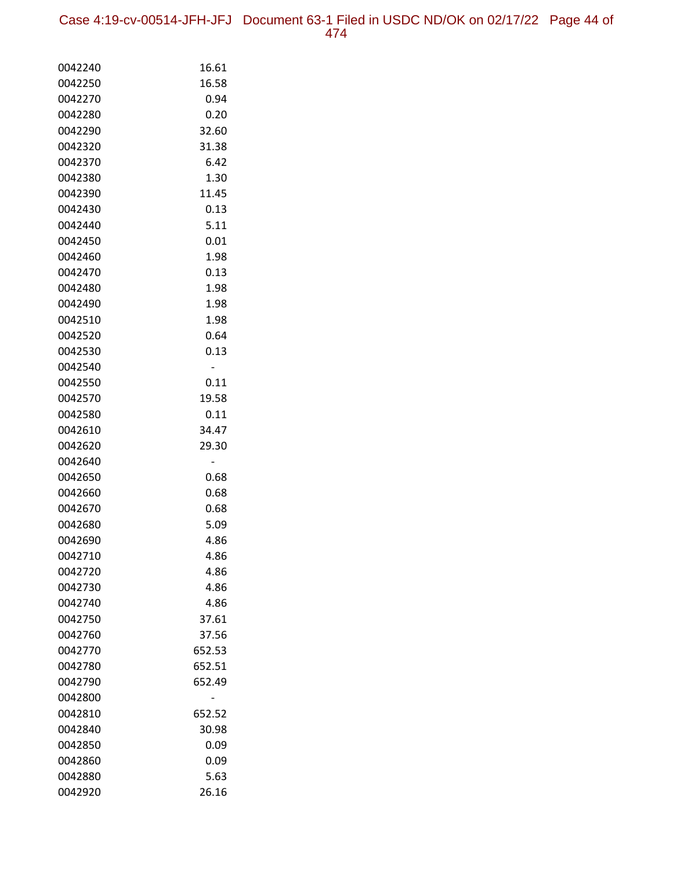| 0042240 | 16.61  |
|---------|--------|
| 0042250 | 16.58  |
| 0042270 | 0.94   |
| 0042280 | 0.20   |
| 0042290 | 32.60  |
| 0042320 | 31.38  |
| 0042370 | 6.42   |
| 0042380 | 1.30   |
| 0042390 | 11.45  |
| 0042430 | 0.13   |
| 0042440 | 5.11   |
| 0042450 | 0.01   |
| 0042460 | 1.98   |
| 0042470 | 0.13   |
| 0042480 | 1.98   |
| 0042490 | 1.98   |
| 0042510 | 1.98   |
| 0042520 | 0.64   |
| 0042530 | 0.13   |
| 0042540 |        |
| 0042550 | 0.11   |
| 0042570 | 19.58  |
| 0042580 | 0.11   |
| 0042610 | 34.47  |
| 0042620 | 29.30  |
| 0042640 | -      |
| 0042650 | 0.68   |
| 0042660 | 0.68   |
| 0042670 | 0.68   |
| 0042680 | 5.09   |
| 0042690 | 4.86   |
| 0042710 | 4.86   |
| 0042720 | 4.86   |
| 0042730 | 4.86   |
| 0042740 | 4.86   |
| 0042750 | 37.61  |
| 0042760 | 37.56  |
| 0042770 | 652.53 |
| 0042780 | 652.51 |
| 0042790 | 652.49 |
| 0042800 |        |
| 0042810 | 652.52 |
| 0042840 | 30.98  |
| 0042850 | 0.09   |
| 0042860 | 0.09   |
| 0042880 | 5.63   |
| 0042920 | 26.16  |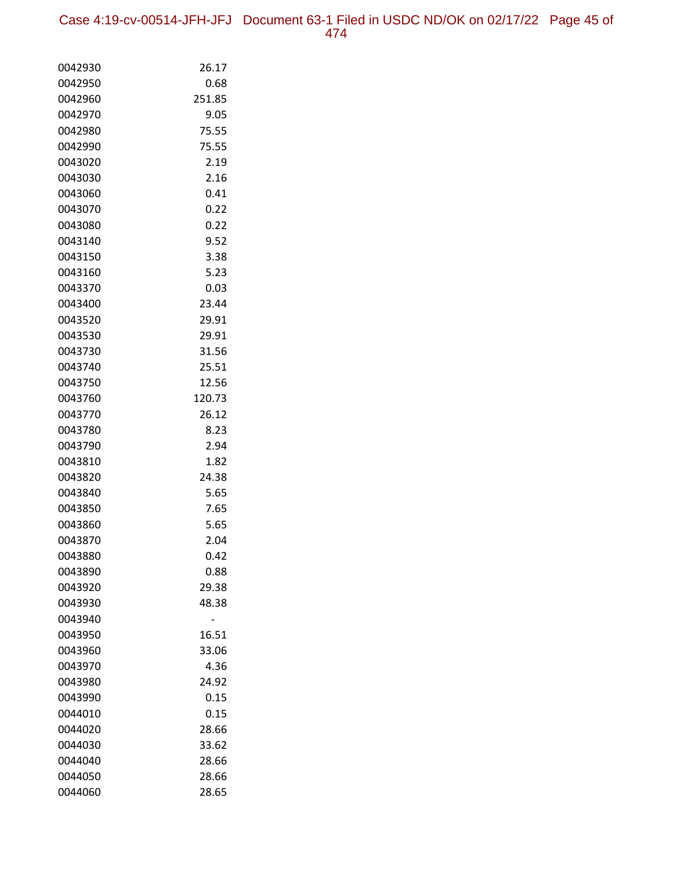| 0042930 | 26.17  |
|---------|--------|
| 0042950 | 0.68   |
| 0042960 | 251.85 |
| 0042970 | 9.05   |
| 0042980 | 75.55  |
| 0042990 | 75.55  |
| 0043020 | 2.19   |
| 0043030 | 2.16   |
| 0043060 | 0.41   |
| 0043070 | 0.22   |
| 0043080 | 0.22   |
| 0043140 | 9.52   |
| 0043150 | 3.38   |
| 0043160 | 5.23   |
| 0043370 | 0.03   |
| 0043400 | 23.44  |
| 0043520 | 29.91  |
| 0043530 | 29.91  |
| 0043730 | 31.56  |
| 0043740 | 25.51  |
| 0043750 | 12.56  |
| 0043760 | 120.73 |
| 0043770 | 26.12  |
| 0043780 | 8.23   |
| 0043790 | 2.94   |
| 0043810 | 1.82   |
| 0043820 | 24.38  |
| 0043840 | 5.65   |
| 0043850 | 7.65   |
| 0043860 | 5.65   |
| 0043870 | 2.04   |
| 0043880 | 0.42   |
| 0043890 | 0.88   |
| 0043920 | 29.38  |
| 0043930 | 48.38  |
| 0043940 |        |
| 0043950 | 16.51  |
| 0043960 | 33.06  |
| 0043970 | 4.36   |
| 0043980 | 24.92  |
| 0043990 | 0.15   |
| 0044010 | 0.15   |
| 0044020 | 28.66  |
| 0044030 | 33.62  |
| 0044040 | 28.66  |
| 0044050 | 28.66  |
| 0044060 | 28.65  |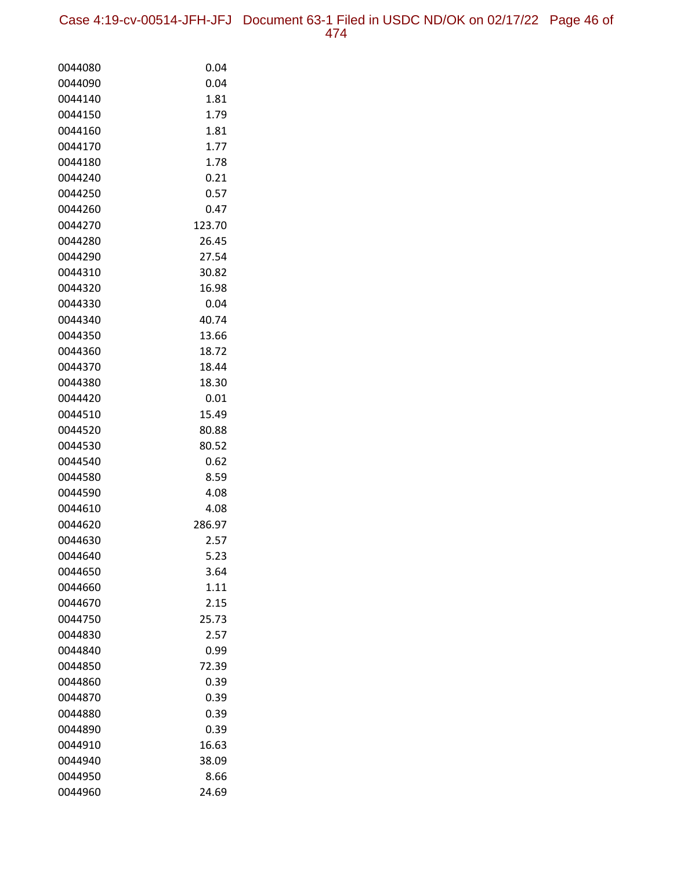Case 4:19-cv-00514-JFH-JFJ Document 63-1 Filed in USDC ND/OK on 02/17/22 Page 46 of 474

| 0044080 | 0.04   |
|---------|--------|
| 0044090 | 0.04   |
| 0044140 | 1.81   |
| 0044150 | 1.79   |
| 0044160 | 1.81   |
| 0044170 | 1.77   |
| 0044180 | 1.78   |
| 0044240 | 0.21   |
| 0044250 | 0.57   |
| 0044260 | 0.47   |
| 0044270 | 123.70 |
| 0044280 | 26.45  |
| 0044290 | 27.54  |
| 0044310 | 30.82  |
| 0044320 | 16.98  |
| 0044330 | 0.04   |
| 0044340 | 40.74  |
| 0044350 | 13.66  |
| 0044360 | 18.72  |
| 0044370 | 18.44  |
| 0044380 | 18.30  |
| 0044420 | 0.01   |
| 0044510 | 15.49  |
| 0044520 | 80.88  |
| 0044530 | 80.52  |
| 0044540 | 0.62   |
| 0044580 | 8.59   |
| 0044590 | 4.08   |
| 0044610 | 4.08   |
| 0044620 | 286.97 |
| 0044630 | 2.57   |
| 0044640 | 5.23   |
| 0044650 | 3.64   |
| 0044660 | 1.11   |
| 0044670 | 2.15   |
| 0044750 | 25.73  |
| 0044830 | 2.57   |
| 0044840 | 0.99   |
| 0044850 | 72.39  |
| 0044860 | 0.39   |
| 0044870 | 0.39   |
| 0044880 | 0.39   |
| 0044890 | 0.39   |
| 0044910 | 16.63  |
| 0044940 | 38.09  |
| 0044950 | 8.66   |
| 0044960 | 24.69  |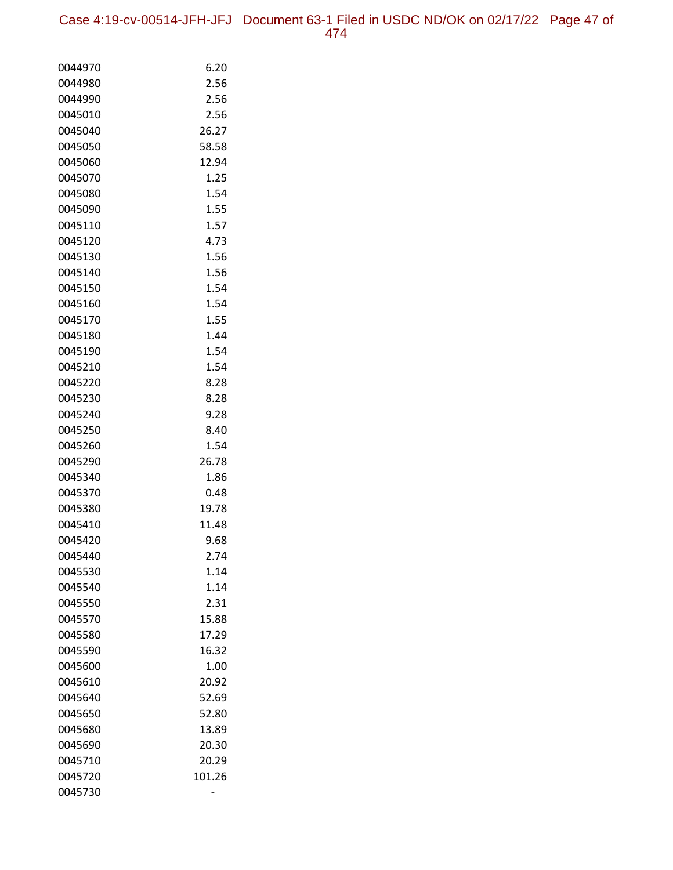| 0044970 | 6.20   |
|---------|--------|
| 0044980 | 2.56   |
| 0044990 | 2.56   |
| 0045010 | 2.56   |
| 0045040 | 26.27  |
| 0045050 | 58.58  |
| 0045060 | 12.94  |
| 0045070 | 1.25   |
| 0045080 | 1.54   |
| 0045090 | 1.55   |
| 0045110 | 1.57   |
| 0045120 | 4.73   |
| 0045130 | 1.56   |
| 0045140 | 1.56   |
| 0045150 | 1.54   |
| 0045160 | 1.54   |
| 0045170 | 1.55   |
| 0045180 | 1.44   |
| 0045190 | 1.54   |
| 0045210 | 1.54   |
| 0045220 | 8.28   |
| 0045230 | 8.28   |
| 0045240 | 9.28   |
| 0045250 | 8.40   |
| 0045260 | 1.54   |
| 0045290 | 26.78  |
| 0045340 | 1.86   |
| 0045370 | 0.48   |
| 0045380 | 19.78  |
| 0045410 | 11.48  |
| 0045420 | 9.68   |
| 0045440 | 2.74   |
| 0045530 | 1.14   |
| 0045540 | 1.14   |
| 0045550 | 2.31   |
| 0045570 | 15.88  |
| 0045580 | 17.29  |
| 0045590 | 16.32  |
| 0045600 | 1.00   |
| 0045610 | 20.92  |
| 0045640 | 52.69  |
| 0045650 | 52.80  |
| 0045680 | 13.89  |
| 0045690 | 20.30  |
| 0045710 | 20.29  |
| 0045720 | 101.26 |
| 0045730 |        |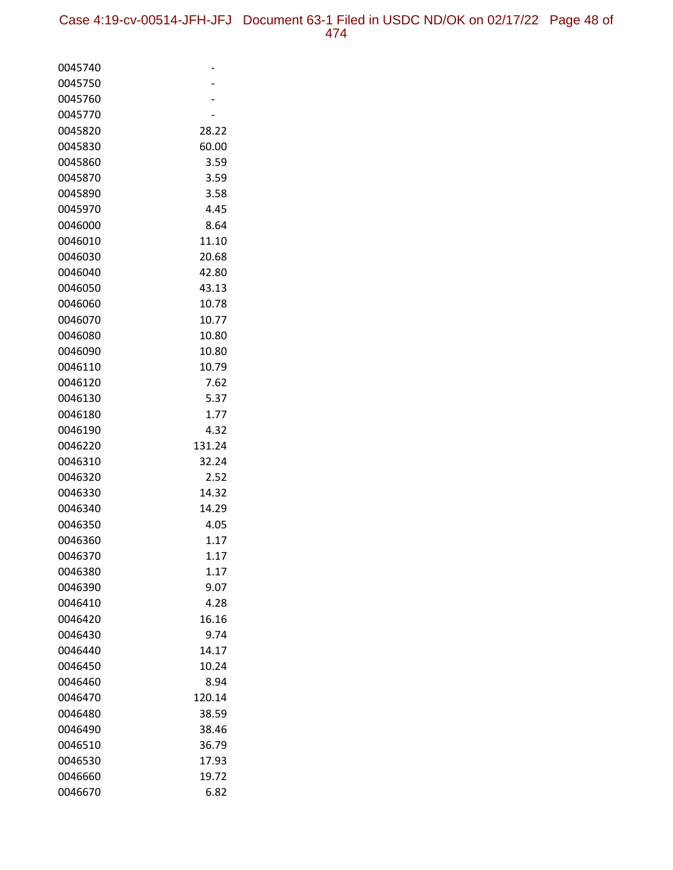| 0045740            |              |
|--------------------|--------------|
| 0045750            |              |
| 0045760            |              |
| 0045770            |              |
| 0045820            | 28.22        |
| 0045830            | 60.00        |
| 0045860            | 3.59         |
| 0045870            | 3.59         |
| 0045890            | 3.58         |
| 0045970            | 4.45         |
| 0046000            | 8.64         |
| 0046010            | 11.10        |
| 0046030            | 20.68        |
| 0046040            | 42.80        |
| 0046050            | 43.13        |
| 0046060            | 10.78        |
| 0046070            | 10.77        |
| 0046080            | 10.80        |
| 0046090            | 10.80        |
| 0046110            | 10.79        |
| 0046120            | 7.62         |
| 0046130            | 5.37         |
| 0046180            | 1.77         |
| 0046190            | 4.32         |
| 0046220            | 131.24       |
| 0046310            | 32.24        |
| 0046320            | 2.52         |
| 0046330            | 14.32        |
| 0046340            | 14.29        |
| 0046350            | 4.05         |
| 0046360<br>0046370 | 1.17<br>1.17 |
|                    |              |
| 0046380<br>0046390 | 1.17         |
| 0046410            | 9.07<br>4.28 |
| 0046420            | 16.16        |
| 0046430            | 9.74         |
| 0046440            | 14.17        |
| 0046450            | 10.24        |
| 0046460            | 8.94         |
| 0046470            | 120.14       |
| 0046480            | 38.59        |
| 0046490            | 38.46        |
| 0046510            | 36.79        |
| 0046530            | 17.93        |
| 0046660            | 19.72        |
| 0046670            | 6.82         |
|                    |              |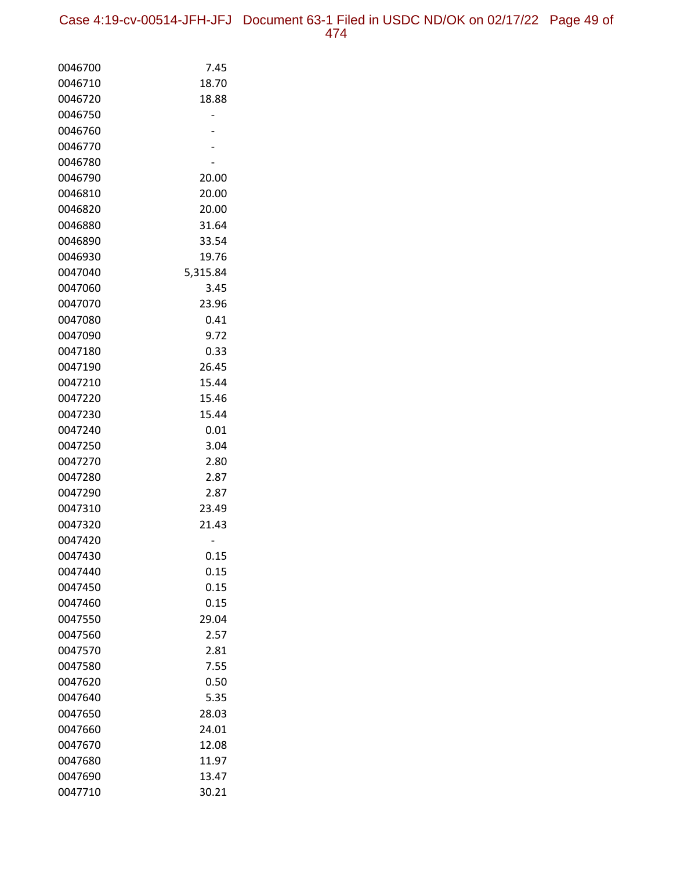| 0046700            | 7.45         |
|--------------------|--------------|
| 0046710            | 18.70        |
| 0046720            | 18.88        |
| 0046750            |              |
| 0046760            |              |
| 0046770            |              |
| 0046780            |              |
| 0046790            | 20.00        |
| 0046810            | 20.00        |
| 0046820            | 20.00        |
| 0046880            | 31.64        |
| 0046890            | 33.54        |
| 0046930            | 19.76        |
| 0047040            | 5,315.84     |
| 0047060            | 3.45         |
| 0047070            | 23.96        |
| 0047080            | 0.41         |
| 0047090            | 9.72         |
| 0047180            | 0.33         |
| 0047190            | 26.45        |
| 0047210            | 15.44        |
| 0047220            | 15.46        |
| 0047230            | 15.44        |
| 0047240            | 0.01         |
| 0047250            | 3.04         |
| 0047270            | 2.80         |
| 0047280            | 2.87         |
| 0047290            | 2.87         |
| 0047310            | 23.49        |
| 0047320            | 21.43        |
| 0047420            |              |
| 0047430            | 0.15         |
| 0047440<br>0047450 | 0.15<br>0.15 |
|                    | 0.15         |
| 0047460<br>0047550 | 29.04        |
| 0047560            | 2.57         |
| 0047570            | 2.81         |
| 0047580            | 7.55         |
| 0047620            | 0.50         |
| 0047640            | 5.35         |
| 0047650            | 28.03        |
| 0047660            | 24.01        |
| 0047670            | 12.08        |
| 0047680            | 11.97        |
| 0047690            | 13.47        |
| 0047710            | 30.21        |
|                    |              |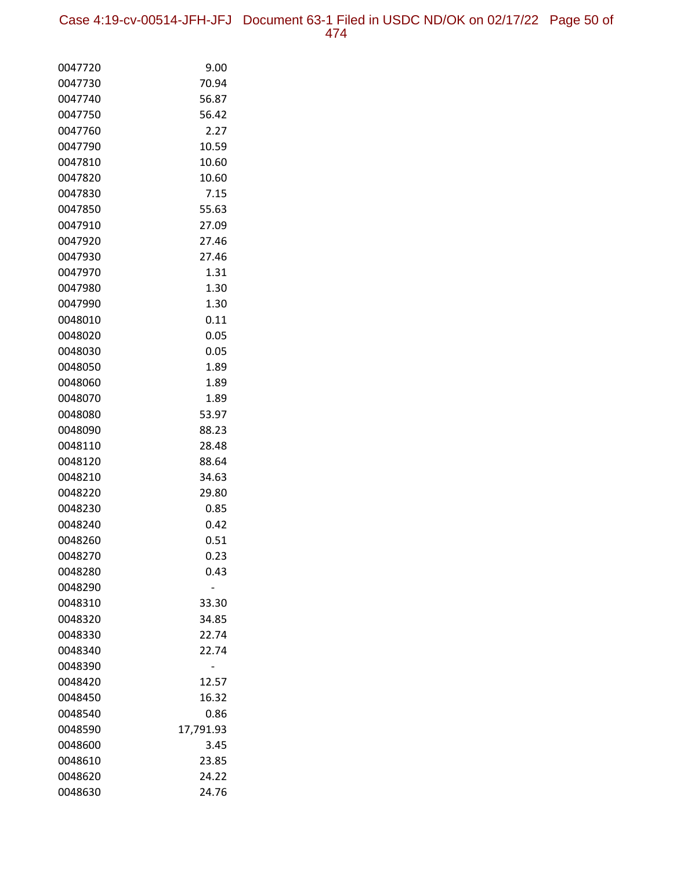Case 4:19-cv-00514-JFH-JFJ Document 63-1 Filed in USDC ND/OK on 02/17/22 Page 50 of 474

| 0047720 | 9.00      |
|---------|-----------|
| 0047730 | 70.94     |
| 0047740 | 56.87     |
| 0047750 | 56.42     |
| 0047760 | 2.27      |
| 0047790 | 10.59     |
| 0047810 | 10.60     |
| 0047820 | 10.60     |
| 0047830 | 7.15      |
| 0047850 | 55.63     |
| 0047910 | 27.09     |
| 0047920 | 27.46     |
| 0047930 | 27.46     |
| 0047970 | 1.31      |
| 0047980 | 1.30      |
| 0047990 | 1.30      |
| 0048010 | 0.11      |
| 0048020 | 0.05      |
| 0048030 | 0.05      |
| 0048050 | 1.89      |
| 0048060 | 1.89      |
| 0048070 | 1.89      |
| 0048080 | 53.97     |
| 0048090 | 88.23     |
| 0048110 | 28.48     |
| 0048120 | 88.64     |
| 0048210 | 34.63     |
| 0048220 | 29.80     |
| 0048230 | 0.85      |
| 0048240 | 0.42      |
| 0048260 | 0.51      |
| 0048270 | 0.23      |
| 0048280 | 0.43      |
| 0048290 |           |
| 0048310 | 33.30     |
| 0048320 | 34.85     |
| 0048330 | 22.74     |
| 0048340 | 22.74     |
| 0048390 |           |
| 0048420 | 12.57     |
| 0048450 | 16.32     |
| 0048540 | 0.86      |
| 0048590 | 17,791.93 |
| 0048600 | 3.45      |
| 0048610 | 23.85     |
| 0048620 | 24.22     |
| 0048630 | 24.76     |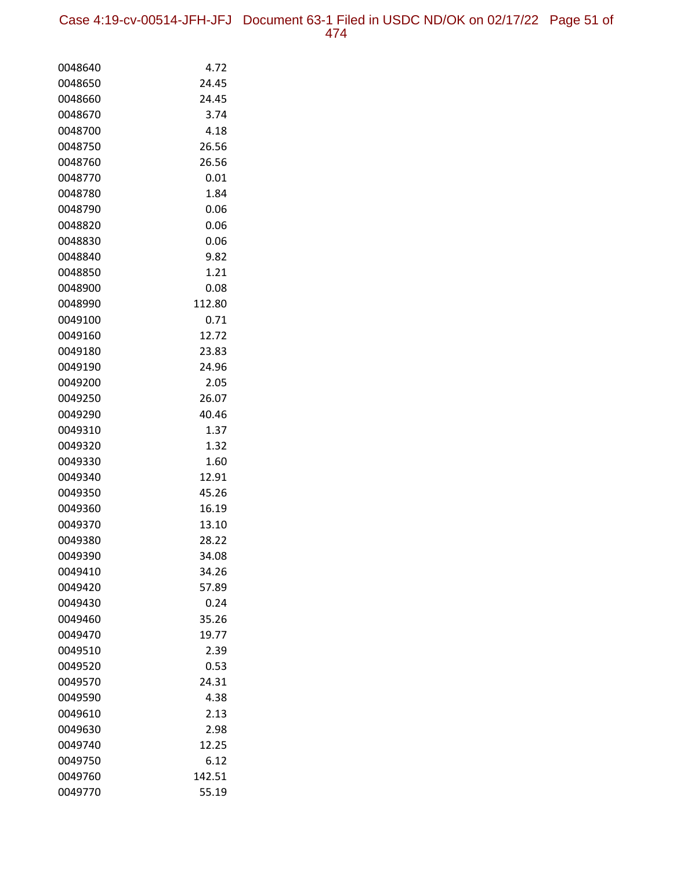Case 4:19-cv-00514-JFH-JFJ Document 63-1 Filed in USDC ND/OK on 02/17/22 Page 51 of 474

| 0048640 | 4.72   |
|---------|--------|
| 0048650 | 24.45  |
| 0048660 | 24.45  |
| 0048670 | 3.74   |
| 0048700 | 4.18   |
| 0048750 | 26.56  |
| 0048760 | 26.56  |
| 0048770 | 0.01   |
| 0048780 | 1.84   |
| 0048790 | 0.06   |
| 0048820 | 0.06   |
| 0048830 | 0.06   |
| 0048840 | 9.82   |
| 0048850 | 1.21   |
| 0048900 | 0.08   |
| 0048990 | 112.80 |
| 0049100 | 0.71   |
| 0049160 | 12.72  |
| 0049180 | 23.83  |
| 0049190 | 24.96  |
| 0049200 | 2.05   |
| 0049250 | 26.07  |
| 0049290 | 40.46  |
| 0049310 | 1.37   |
| 0049320 | 1.32   |
| 0049330 | 1.60   |
| 0049340 | 12.91  |
| 0049350 | 45.26  |
| 0049360 | 16.19  |
| 0049370 | 13.10  |
| 0049380 | 28.22  |
| 0049390 | 34.08  |
| 0049410 | 34.26  |
| 0049420 | 57.89  |
| 0049430 | 0.24   |
| 0049460 | 35.26  |
| 0049470 | 19.77  |
| 0049510 | 2.39   |
| 0049520 | 0.53   |
| 0049570 | 24.31  |
| 0049590 | 4.38   |
| 0049610 | 2.13   |
| 0049630 | 2.98   |
| 0049740 | 12.25  |
| 0049750 | 6.12   |
| 0049760 | 142.51 |
| 0049770 | 55.19  |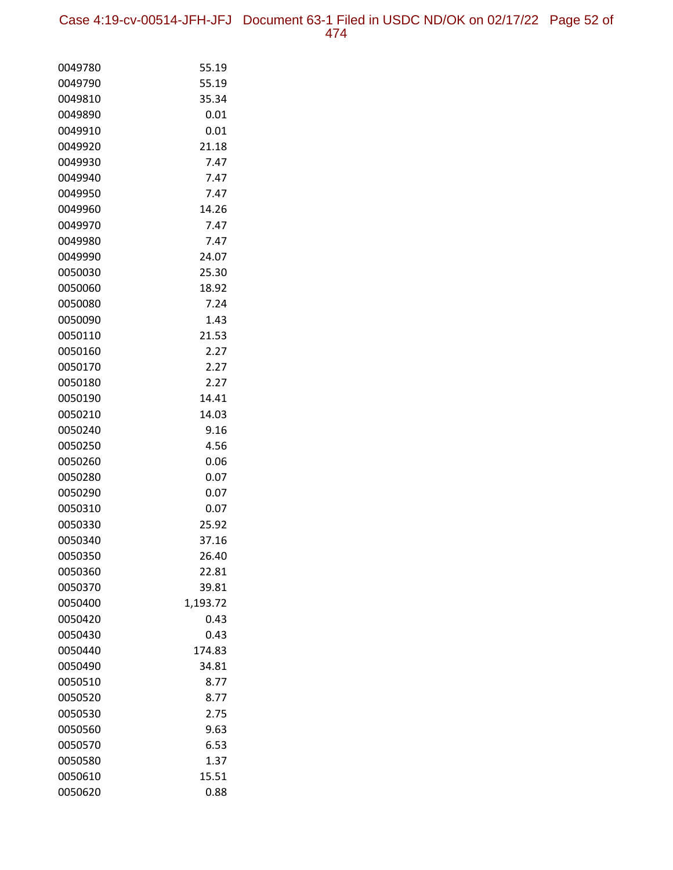| 0049780 | 55.19    |
|---------|----------|
| 0049790 | 55.19    |
| 0049810 | 35.34    |
| 0049890 | 0.01     |
| 0049910 | 0.01     |
| 0049920 | 21.18    |
| 0049930 | 7.47     |
| 0049940 | 7.47     |
| 0049950 | 7.47     |
| 0049960 | 14.26    |
| 0049970 | 7.47     |
| 0049980 | 7.47     |
| 0049990 | 24.07    |
| 0050030 | 25.30    |
| 0050060 | 18.92    |
| 0050080 | 7.24     |
| 0050090 | 1.43     |
| 0050110 | 21.53    |
| 0050160 | 2.27     |
| 0050170 | 2.27     |
| 0050180 | 2.27     |
| 0050190 | 14.41    |
| 0050210 | 14.03    |
| 0050240 | 9.16     |
| 0050250 | 4.56     |
| 0050260 | 0.06     |
| 0050280 | 0.07     |
| 0050290 | 0.07     |
| 0050310 | 0.07     |
| 0050330 | 25.92    |
| 0050340 | 37.16    |
| 0050350 | 26.40    |
| 0050360 | 22.81    |
| 0050370 | 39.81    |
| 0050400 | 1,193.72 |
| 0050420 | 0.43     |
| 0050430 | 0.43     |
| 0050440 | 174.83   |
| 0050490 | 34.81    |
| 0050510 | 8.77     |
| 0050520 | 8.77     |
| 0050530 | 2.75     |
| 0050560 | 9.63     |
| 0050570 | 6.53     |
| 0050580 | 1.37     |
| 0050610 | 15.51    |
| 0050620 | 0.88     |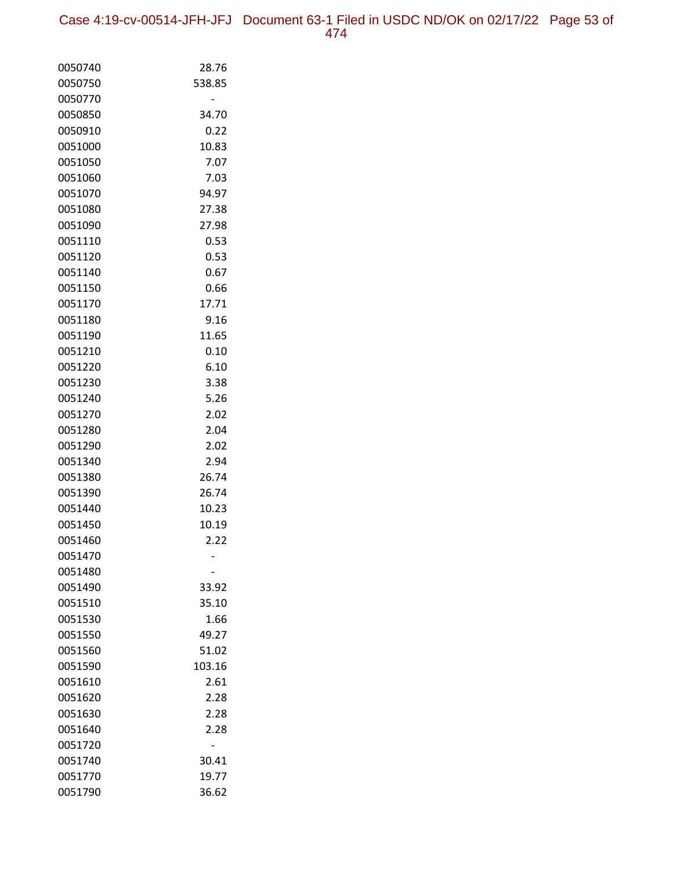| 0050740 | 28.76  |
|---------|--------|
| 0050750 | 538.85 |
| 0050770 |        |
| 0050850 | 34.70  |
| 0050910 | 0.22   |
| 0051000 | 10.83  |
| 0051050 | 7.07   |
| 0051060 | 7.03   |
| 0051070 | 94.97  |
| 0051080 | 27.38  |
| 0051090 | 27.98  |
| 0051110 | 0.53   |
| 0051120 | 0.53   |
| 0051140 | 0.67   |
| 0051150 | 0.66   |
| 0051170 | 17.71  |
| 0051180 | 9.16   |
| 0051190 | 11.65  |
| 0051210 | 0.10   |
| 0051220 | 6.10   |
| 0051230 | 3.38   |
| 0051240 | 5.26   |
| 0051270 | 2.02   |
| 0051280 | 2.04   |
| 0051290 | 2.02   |
| 0051340 | 2.94   |
| 0051380 | 26.74  |
| 0051390 | 26.74  |
| 0051440 | 10.23  |
| 0051450 | 10.19  |
| 0051460 | 2.22   |
| 0051470 |        |
| 0051480 |        |
| 0051490 | 33.92  |
| 0051510 | 35.10  |
| 0051530 | 1.66   |
| 0051550 | 49.27  |
| 0051560 | 51.02  |
| 0051590 | 103.16 |
| 0051610 | 2.61   |
| 0051620 | 2.28   |
| 0051630 | 2.28   |
| 0051640 | 2.28   |
| 0051720 |        |
| 0051740 | 30.41  |
| 0051770 | 19.77  |
| 0051790 | 36.62  |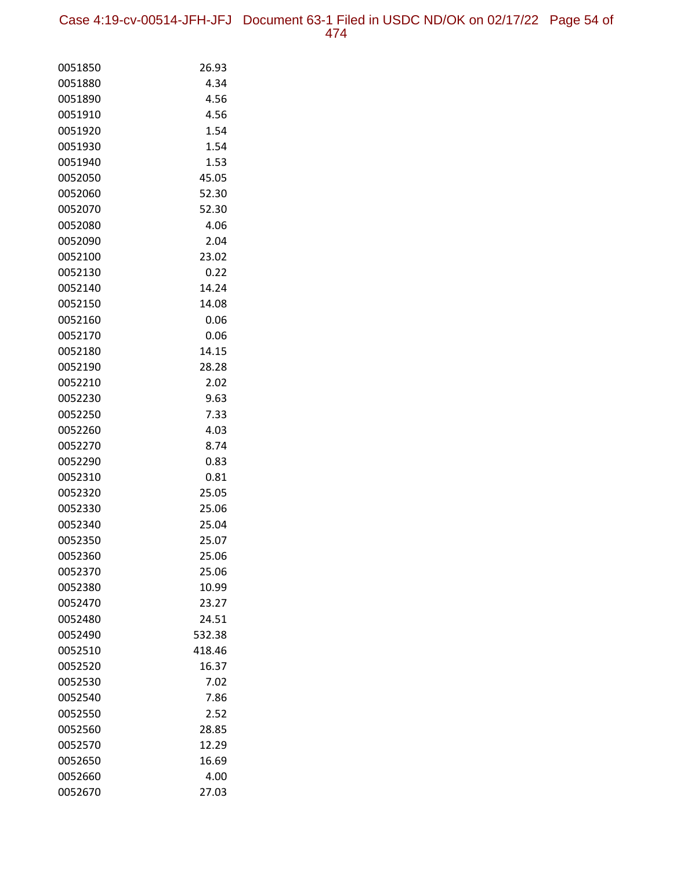Case 4:19-cv-00514-JFH-JFJ Document 63-1 Filed in USDC ND/OK on 02/17/22 Page 54 of 474

| 0051850            | 26.93           |
|--------------------|-----------------|
| 0051880            | 4.34            |
| 0051890            | 4.56            |
| 0051910            | 4.56            |
| 0051920            | 1.54            |
| 0051930            | 1.54            |
| 0051940            | 1.53            |
| 0052050            | 45.05           |
| 0052060            | 52.30           |
| 0052070            | 52.30           |
| 0052080            | 4.06            |
| 0052090            | 2.04            |
| 0052100            | 23.02           |
| 0052130            | 0.22            |
| 0052140            | 14.24           |
| 0052150            | 14.08           |
| 0052160            | 0.06            |
| 0052170            | 0.06            |
| 0052180            | 14.15           |
| 0052190            | 28.28           |
| 0052210            | 2.02            |
| 0052230            | 9.63            |
| 0052250            | 7.33            |
| 0052260            | 4.03            |
| 0052270            | 8.74            |
| 0052290            | 0.83            |
| 0052310            | 0.81            |
| 0052320            | 25.05           |
| 0052330            | 25.06           |
| 0052340            | 25.04           |
| 0052350            | 25.07           |
| 0052360            | 25.06           |
| 0052370            | 25.06           |
| 0052380            | 10.99           |
| 0052470            | 23.27           |
| 0052480            | 24.51<br>532.38 |
| 0052490<br>0052510 |                 |
| 0052520            | 418.46<br>16.37 |
| 0052530            | 7.02            |
| 0052540            | 7.86            |
| 0052550            | 2.52            |
| 0052560            | 28.85           |
| 0052570            | 12.29           |
| 0052650            | 16.69           |
| 0052660            | 4.00            |
| 0052670            | 27.03           |
|                    |                 |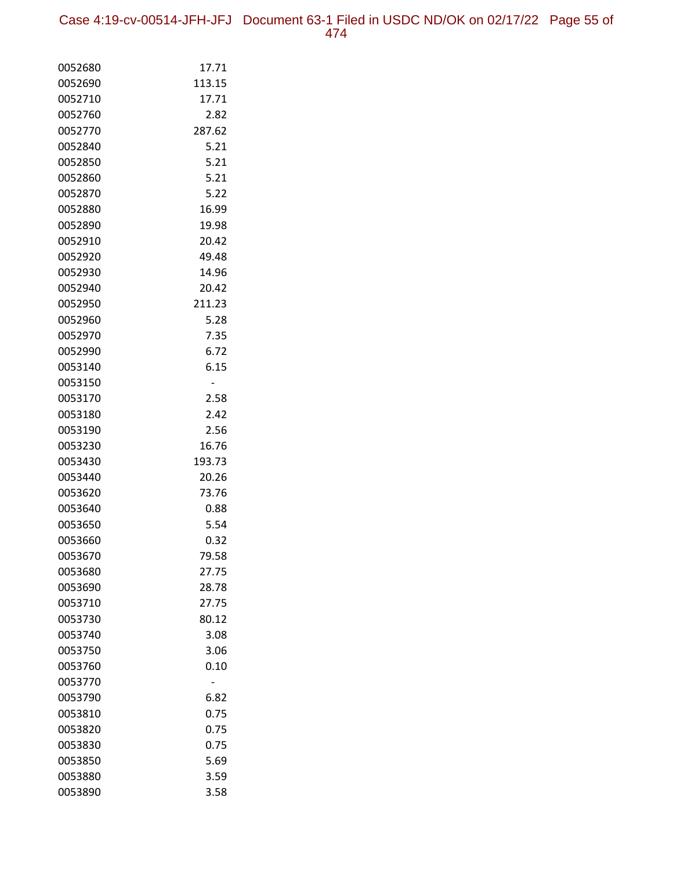| 0052680 | 17.71  |
|---------|--------|
| 0052690 | 113.15 |
| 0052710 | 17.71  |
| 0052760 | 2.82   |
| 0052770 | 287.62 |
| 0052840 | 5.21   |
| 0052850 | 5.21   |
| 0052860 | 5.21   |
| 0052870 | 5.22   |
| 0052880 | 16.99  |
| 0052890 | 19.98  |
| 0052910 | 20.42  |
| 0052920 | 49.48  |
| 0052930 | 14.96  |
| 0052940 | 20.42  |
| 0052950 | 211.23 |
| 0052960 | 5.28   |
| 0052970 | 7.35   |
| 0052990 | 6.72   |
| 0053140 | 6.15   |
| 0053150 |        |
| 0053170 | 2.58   |
| 0053180 | 2.42   |
| 0053190 | 2.56   |
| 0053230 | 16.76  |
| 0053430 | 193.73 |
| 0053440 | 20.26  |
| 0053620 | 73.76  |
| 0053640 | 0.88   |
| 0053650 | 5.54   |
| 0053660 | 0.32   |
| 0053670 | 79.58  |
| 0053680 | 27.75  |
| 0053690 | 28.78  |
| 0053710 | 27.75  |
| 0053730 | 80.12  |
| 0053740 | 3.08   |
| 0053750 | 3.06   |
| 0053760 | 0.10   |
| 0053770 |        |
| 0053790 | 6.82   |
| 0053810 | 0.75   |
| 0053820 | 0.75   |
| 0053830 | 0.75   |
| 0053850 | 5.69   |
| 0053880 | 3.59   |
| 0053890 | 3.58   |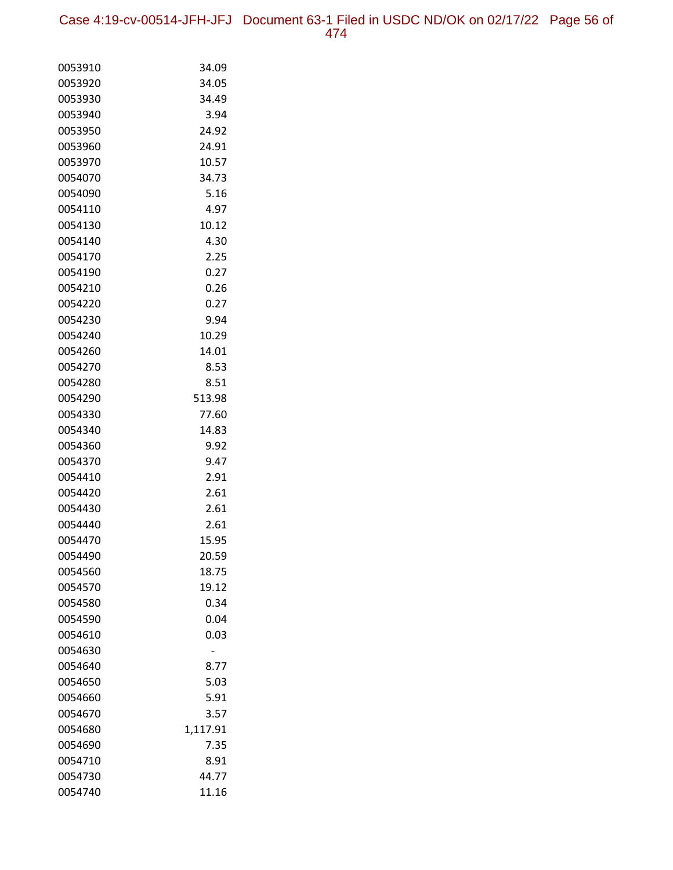Case 4:19-cv-00514-JFH-JFJ Document 63-1 Filed in USDC ND/OK on 02/17/22 Page 56 of 474

| 0053910 | 34.09    |
|---------|----------|
| 0053920 | 34.05    |
| 0053930 | 34.49    |
| 0053940 | 3.94     |
| 0053950 | 24.92    |
| 0053960 | 24.91    |
| 0053970 | 10.57    |
| 0054070 | 34.73    |
| 0054090 | 5.16     |
| 0054110 | 4.97     |
| 0054130 | 10.12    |
| 0054140 | 4.30     |
| 0054170 | 2.25     |
| 0054190 | 0.27     |
| 0054210 | 0.26     |
| 0054220 | 0.27     |
| 0054230 | 9.94     |
| 0054240 | 10.29    |
| 0054260 | 14.01    |
| 0054270 | 8.53     |
| 0054280 | 8.51     |
| 0054290 | 513.98   |
| 0054330 | 77.60    |
| 0054340 | 14.83    |
| 0054360 | 9.92     |
| 0054370 | 9.47     |
| 0054410 | 2.91     |
| 0054420 | 2.61     |
| 0054430 | 2.61     |
| 0054440 | 2.61     |
| 0054470 | 15.95    |
| 0054490 | 20.59    |
| 0054560 | 18.75    |
| 0054570 | 19.12    |
| 0054580 | 0.34     |
| 0054590 | 0.04     |
| 0054610 | 0.03     |
| 0054630 |          |
| 0054640 | 8.77     |
| 0054650 | 5.03     |
| 0054660 | 5.91     |
| 0054670 | 3.57     |
| 0054680 | 1,117.91 |
| 0054690 | 7.35     |
| 0054710 | 8.91     |
| 0054730 | 44.77    |
| 0054740 | 11.16    |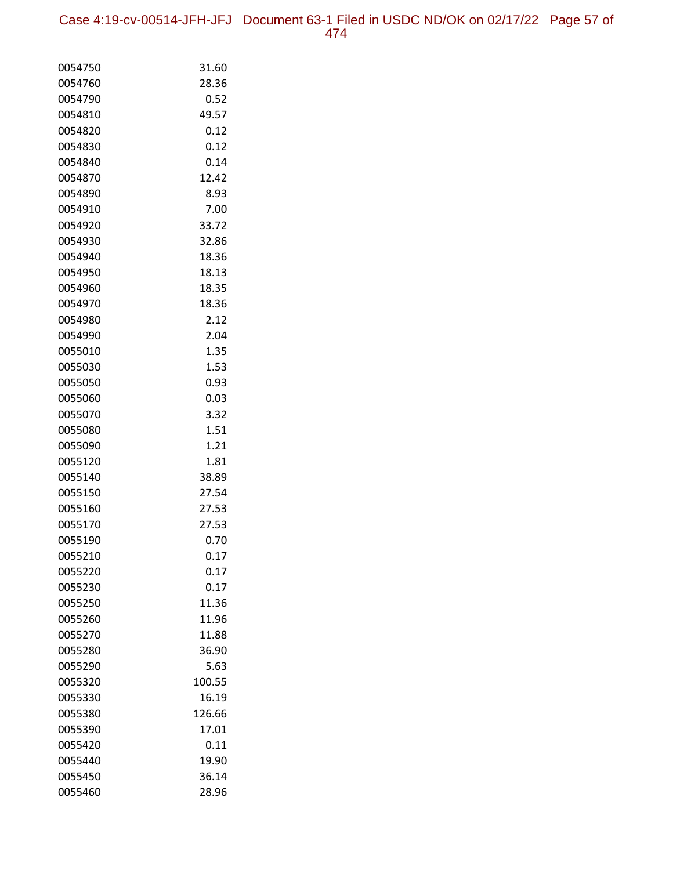| 0054750 | 31.60  |
|---------|--------|
| 0054760 | 28.36  |
| 0054790 | 0.52   |
| 0054810 | 49.57  |
| 0054820 | 0.12   |
| 0054830 | 0.12   |
| 0054840 | 0.14   |
| 0054870 | 12.42  |
| 0054890 | 8.93   |
| 0054910 | 7.00   |
| 0054920 | 33.72  |
| 0054930 | 32.86  |
| 0054940 | 18.36  |
| 0054950 | 18.13  |
| 0054960 | 18.35  |
| 0054970 | 18.36  |
| 0054980 | 2.12   |
| 0054990 | 2.04   |
| 0055010 | 1.35   |
| 0055030 | 1.53   |
| 0055050 | 0.93   |
| 0055060 | 0.03   |
| 0055070 | 3.32   |
| 0055080 | 1.51   |
| 0055090 | 1.21   |
| 0055120 | 1.81   |
| 0055140 | 38.89  |
| 0055150 | 27.54  |
| 0055160 | 27.53  |
| 0055170 | 27.53  |
| 0055190 | 0.70   |
| 0055210 | 0.17   |
| 0055220 | 0.17   |
| 0055230 | 0.17   |
| 0055250 | 11.36  |
| 0055260 | 11.96  |
| 0055270 | 11.88  |
| 0055280 | 36.90  |
| 0055290 | 5.63   |
| 0055320 | 100.55 |
| 0055330 | 16.19  |
| 0055380 | 126.66 |
| 0055390 | 17.01  |
| 0055420 | 0.11   |
| 0055440 | 19.90  |
| 0055450 | 36.14  |
| 0055460 | 28.96  |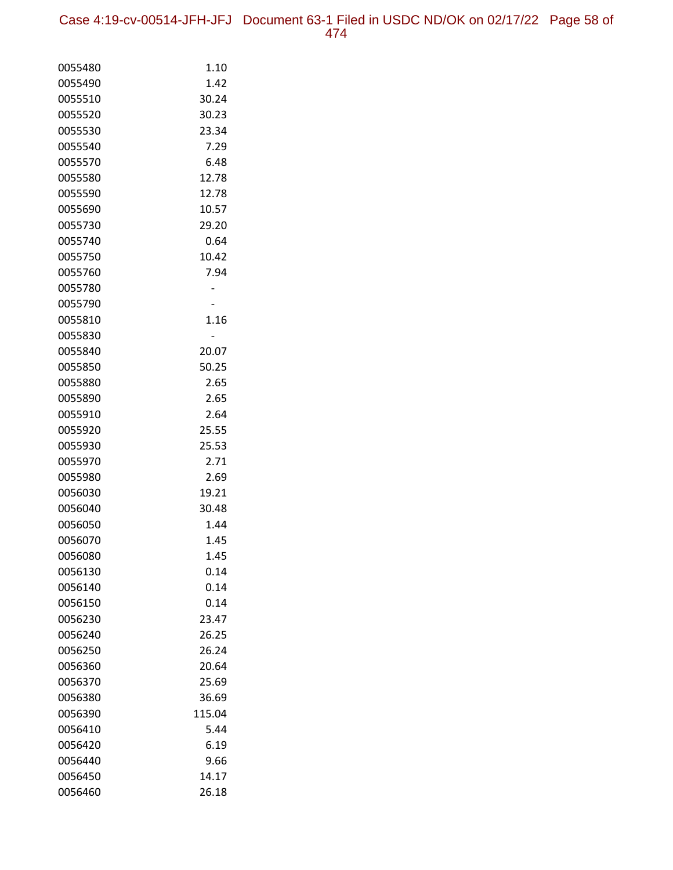| 0055480 | 1.10   |
|---------|--------|
| 0055490 | 1.42   |
| 0055510 | 30.24  |
| 0055520 | 30.23  |
| 0055530 | 23.34  |
| 0055540 | 7.29   |
| 0055570 | 6.48   |
| 0055580 | 12.78  |
| 0055590 | 12.78  |
| 0055690 | 10.57  |
| 0055730 | 29.20  |
| 0055740 | 0.64   |
| 0055750 | 10.42  |
| 0055760 | 7.94   |
| 0055780 |        |
| 0055790 |        |
| 0055810 | 1.16   |
| 0055830 |        |
| 0055840 | 20.07  |
| 0055850 | 50.25  |
| 0055880 | 2.65   |
| 0055890 | 2.65   |
| 0055910 | 2.64   |
| 0055920 | 25.55  |
| 0055930 | 25.53  |
| 0055970 | 2.71   |
| 0055980 | 2.69   |
| 0056030 | 19.21  |
| 0056040 | 30.48  |
| 0056050 | 1.44   |
| 0056070 | 1.45   |
| 0056080 | 1.45   |
| 0056130 | 0.14   |
| 0056140 | 0.14   |
| 0056150 | 0.14   |
| 0056230 | 23.47  |
| 0056240 | 26.25  |
| 0056250 | 26.24  |
| 0056360 | 20.64  |
| 0056370 | 25.69  |
| 0056380 | 36.69  |
| 0056390 | 115.04 |
| 0056410 | 5.44   |
| 0056420 | 6.19   |
| 0056440 | 9.66   |
| 0056450 | 14.17  |
| 0056460 | 26.18  |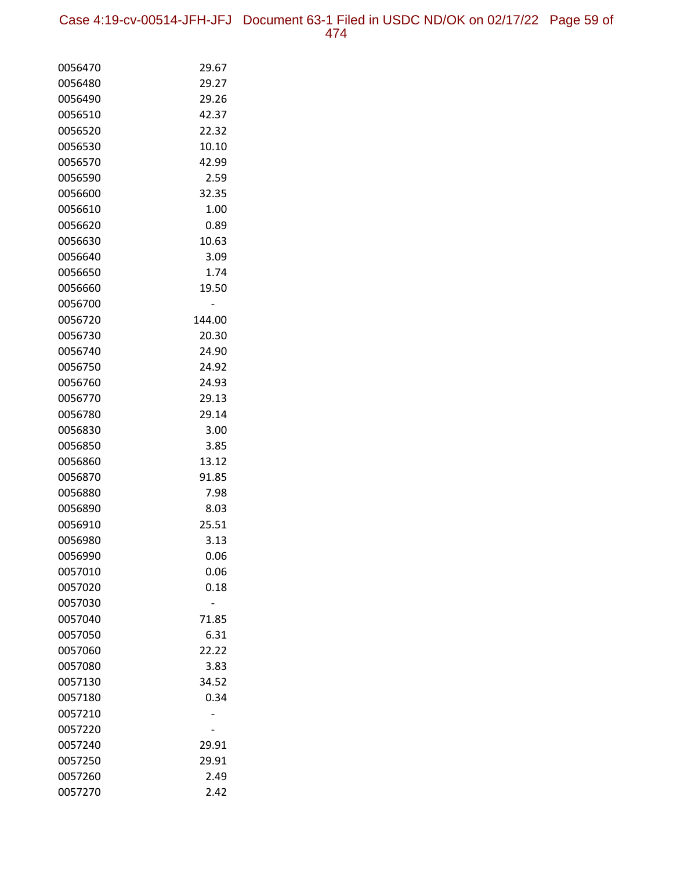Case 4:19-cv-00514-JFH-JFJ Document 63-1 Filed in USDC ND/OK on 02/17/22 Page 59 of 474

| 0056470            | 29.67  |
|--------------------|--------|
| 0056480            | 29.27  |
| 0056490            | 29.26  |
| 0056510            | 42.37  |
| 0056520            | 22.32  |
| 0056530            | 10.10  |
| 0056570            | 42.99  |
| 0056590            | 2.59   |
| 0056600            | 32.35  |
| 0056610            | 1.00   |
| 0056620            | 0.89   |
| 0056630            | 10.63  |
| 0056640            | 3.09   |
| 0056650            | 1.74   |
| 0056660            | 19.50  |
| 0056700            |        |
| 0056720            | 144.00 |
| 0056730            | 20.30  |
| 0056740            | 24.90  |
| 0056750            | 24.92  |
| 0056760            | 24.93  |
| 0056770            | 29.13  |
| 0056780            | 29.14  |
| 0056830            | 3.00   |
| 0056850            | 3.85   |
| 0056860            | 13.12  |
| 0056870            | 91.85  |
| 0056880            | 7.98   |
| 0056890            | 8.03   |
| 0056910            | 25.51  |
| 0056980            | 3.13   |
| 0056990            | 0.06   |
| 0057010            | 0.06   |
| 0057020<br>0057030 | 0.18   |
| 0057040            | 71.85  |
| 0057050            | 6.31   |
| 0057060            | 22.22  |
| 0057080            | 3.83   |
| 0057130            | 34.52  |
| 0057180            | 0.34   |
| 0057210            |        |
| 0057220            |        |
| 0057240            | 29.91  |
| 0057250            | 29.91  |
| 0057260            | 2.49   |
| 0057270            | 2.42   |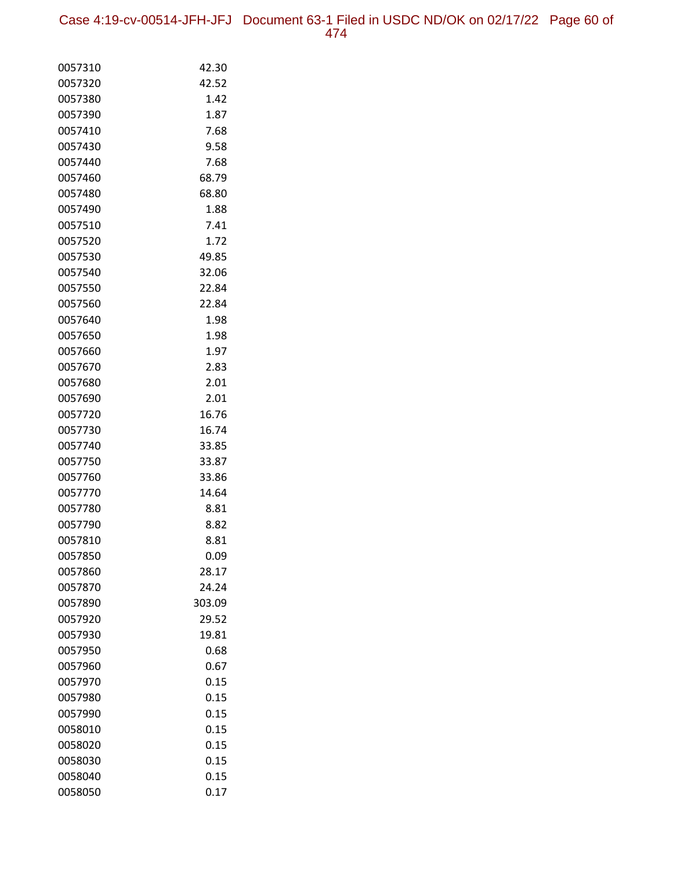Case 4:19-cv-00514-JFH-JFJ Document 63-1 Filed in USDC ND/OK on 02/17/22 Page 60 of 474

| 0057310            | 42.30         |
|--------------------|---------------|
| 0057320            | 42.52         |
| 0057380            | 1.42          |
| 0057390            | 1.87          |
| 0057410            | 7.68          |
| 0057430            | 9.58          |
| 0057440            | 7.68          |
| 0057460            | 68.79         |
| 0057480            | 68.80         |
| 0057490            | 1.88          |
| 0057510            | 7.41          |
| 0057520            | 1.72          |
| 0057530            | 49.85         |
| 0057540            | 32.06         |
| 0057550            | 22.84         |
| 0057560            | 22.84         |
| 0057640            | 1.98          |
| 0057650            | 1.98          |
| 0057660            | 1.97          |
| 0057670            | 2.83          |
| 0057680            | 2.01          |
| 0057690<br>0057720 | 2.01<br>16.76 |
| 0057730            | 16.74         |
| 0057740            | 33.85         |
| 0057750            | 33.87         |
| 0057760            | 33.86         |
| 0057770            | 14.64         |
| 0057780            | 8.81          |
| 0057790            | 8.82          |
| 0057810            | 8.81          |
| 0057850            | 0.09          |
| 0057860            | 28.17         |
| 0057870            | 24.24         |
| 0057890            | 303.09        |
| 0057920            | 29.52         |
| 0057930            | 19.81         |
| 0057950            | 0.68          |
| 0057960            | 0.67          |
| 0057970            | 0.15          |
| 0057980            | 0.15          |
| 0057990            | 0.15          |
| 0058010            | 0.15          |
| 0058020            | 0.15          |
| 0058030            | 0.15          |
| 0058040            | 0.15          |
| 0058050            | 0.17          |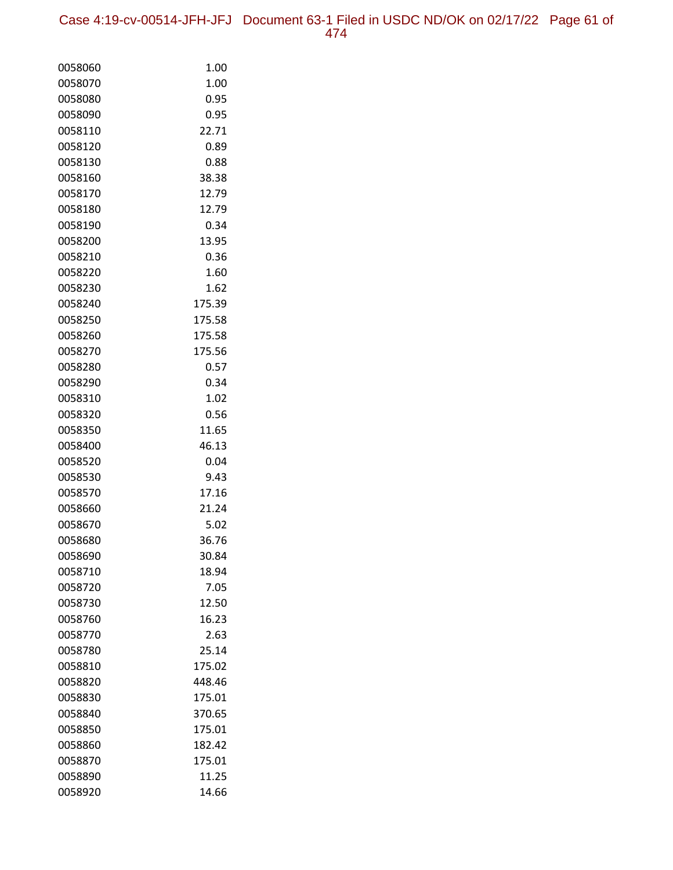| 0058060 | 1.00   |
|---------|--------|
| 0058070 | 1.00   |
| 0058080 | 0.95   |
| 0058090 | 0.95   |
| 0058110 | 22.71  |
| 0058120 | 0.89   |
| 0058130 | 0.88   |
| 0058160 | 38.38  |
| 0058170 | 12.79  |
| 0058180 | 12.79  |
| 0058190 | 0.34   |
| 0058200 | 13.95  |
| 0058210 | 0.36   |
| 0058220 | 1.60   |
| 0058230 | 1.62   |
| 0058240 | 175.39 |
| 0058250 | 175.58 |
| 0058260 | 175.58 |
| 0058270 | 175.56 |
| 0058280 | 0.57   |
| 0058290 | 0.34   |
| 0058310 | 1.02   |
| 0058320 | 0.56   |
| 0058350 | 11.65  |
| 0058400 | 46.13  |
| 0058520 | 0.04   |
| 0058530 | 9.43   |
| 0058570 | 17.16  |
| 0058660 | 21.24  |
| 0058670 | 5.02   |
| 0058680 | 36.76  |
| 0058690 | 30.84  |
| 0058710 | 18.94  |
| 0058720 | 7.05   |
| 0058730 | 12.50  |
| 0058760 | 16.23  |
| 0058770 | 2.63   |
| 0058780 | 25.14  |
| 0058810 | 175.02 |
| 0058820 | 448.46 |
| 0058830 | 175.01 |
| 0058840 | 370.65 |
| 0058850 | 175.01 |
| 0058860 | 182.42 |
| 0058870 | 175.01 |
| 0058890 | 11.25  |
| 0058920 | 14.66  |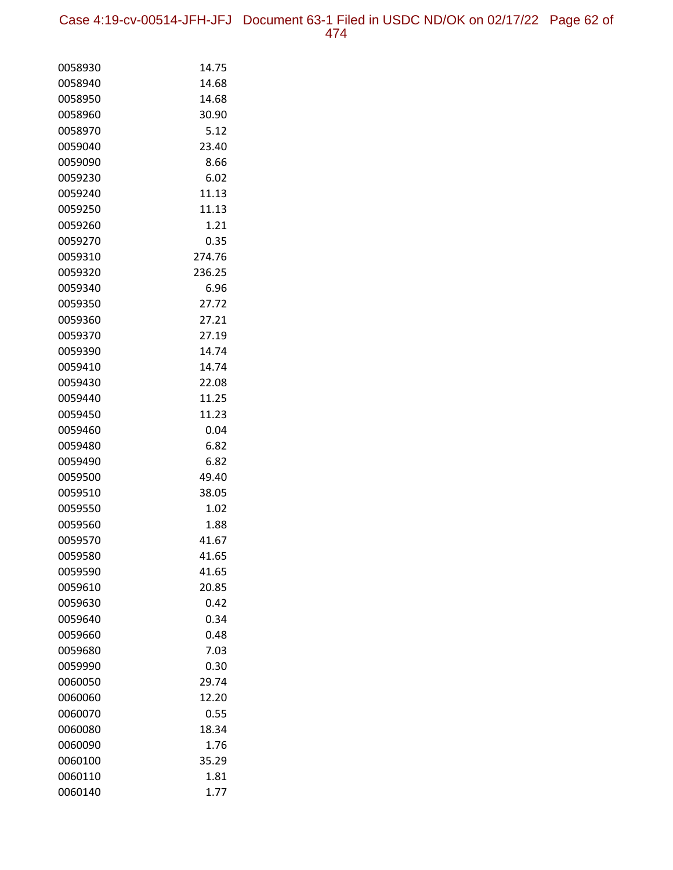Case 4:19-cv-00514-JFH-JFJ Document 63-1 Filed in USDC ND/OK on 02/17/22 Page 62 of 474

| 0058930            | 14.75          |
|--------------------|----------------|
| 0058940            | 14.68          |
| 0058950            | 14.68          |
| 0058960            | 30.90          |
| 0058970            | 5.12           |
| 0059040            | 23.40          |
| 0059090            | 8.66           |
| 0059230            | 6.02           |
| 0059240            | 11.13          |
| 0059250            | 11.13          |
| 0059260            | 1.21           |
| 0059270            | 0.35           |
| 0059310            | 274.76         |
| 0059320            | 236.25         |
| 0059340            | 6.96           |
| 0059350            | 27.72          |
| 0059360            | 27.21          |
| 0059370            | 27.19          |
| 0059390            | 14.74          |
| 0059410            | 14.74          |
| 0059430            | 22.08          |
| 0059440            | 11.25          |
| 0059450            | 11.23          |
| 0059460            | 0.04           |
| 0059480            | 6.82           |
| 0059490            | 6.82           |
| 0059500<br>0059510 | 49.40<br>38.05 |
| 0059550            | 1.02           |
| 0059560            | 1.88           |
| 0059570            | 41.67          |
| 0059580            | 41.65          |
| 0059590            | 41.65          |
| 0059610            | 20.85          |
| 0059630            | 0.42           |
| 0059640            | 0.34           |
| 0059660            | 0.48           |
| 0059680            | 7.03           |
| 0059990            | 0.30           |
| 0060050            | 29.74          |
| 0060060            | 12.20          |
| 0060070            | 0.55           |
| 0060080            | 18.34          |
| 0060090            | 1.76           |
| 0060100            | 35.29          |
| 0060110            | 1.81           |
| 0060140            | 1.77           |
|                    |                |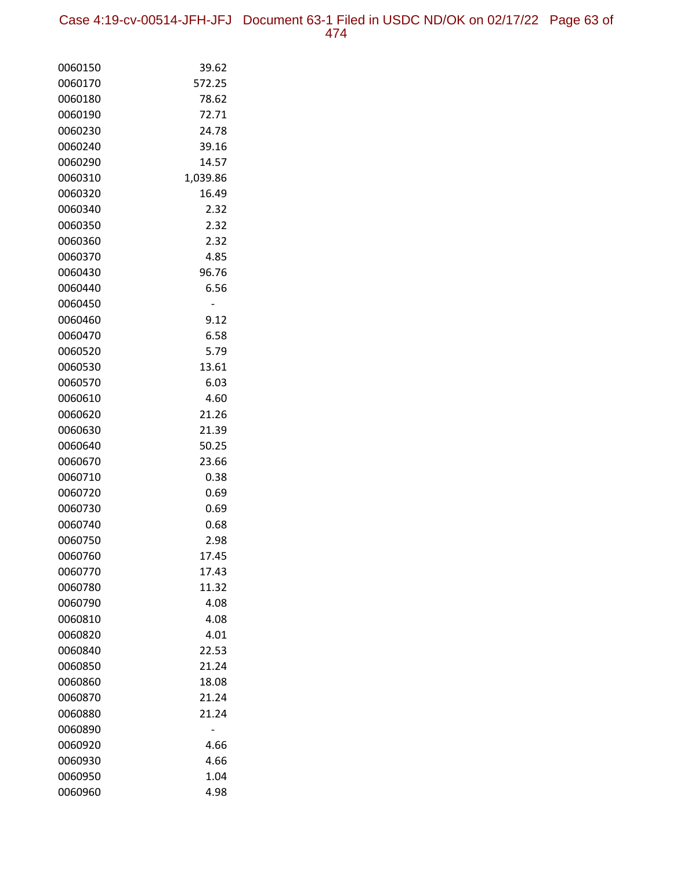Case 4:19-cv-00514-JFH-JFJ Document 63-1 Filed in USDC ND/OK on 02/17/22 Page 63 of 474

| 0060150 | 39.62    |
|---------|----------|
| 0060170 | 572.25   |
| 0060180 | 78.62    |
| 0060190 | 72.71    |
| 0060230 | 24.78    |
| 0060240 | 39.16    |
| 0060290 | 14.57    |
| 0060310 | 1,039.86 |
| 0060320 | 16.49    |
| 0060340 | 2.32     |
| 0060350 | 2.32     |
| 0060360 | 2.32     |
| 0060370 | 4.85     |
| 0060430 | 96.76    |
| 0060440 | 6.56     |
| 0060450 |          |
| 0060460 | 9.12     |
| 0060470 | 6.58     |
| 0060520 | 5.79     |
| 0060530 | 13.61    |
| 0060570 | 6.03     |
| 0060610 | 4.60     |
| 0060620 | 21.26    |
| 0060630 | 21.39    |
| 0060640 | 50.25    |
| 0060670 | 23.66    |
| 0060710 | 0.38     |
| 0060720 | 0.69     |
| 0060730 | 0.69     |
| 0060740 | 0.68     |
| 0060750 | 2.98     |
| 0060760 | 17.45    |
| 0060770 | 17.43    |
| 0060780 | 11.32    |
| 0060790 | 4.08     |
| 0060810 | 4.08     |
| 0060820 | 4.01     |
| 0060840 | 22.53    |
| 0060850 | 21.24    |
| 0060860 | 18.08    |
| 0060870 | 21.24    |
| 0060880 | 21.24    |
| 0060890 |          |
| 0060920 | 4.66     |
| 0060930 | 4.66     |
| 0060950 | 1.04     |
| 0060960 | 4.98     |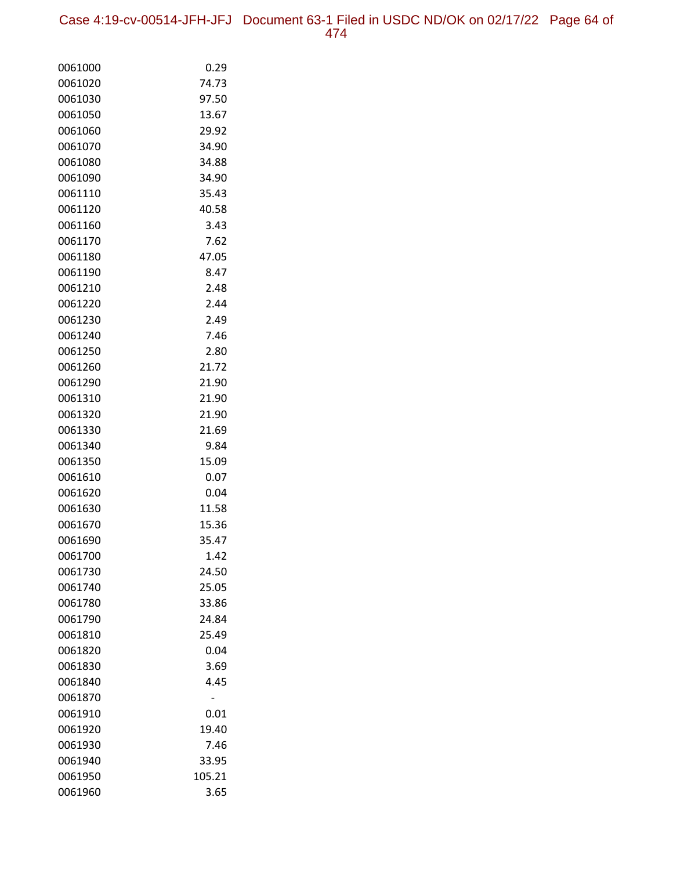Case 4:19-cv-00514-JFH-JFJ Document 63-1 Filed in USDC ND/OK on 02/17/22 Page 64 of 474

| 0061000 | 0.29   |
|---------|--------|
| 0061020 | 74.73  |
| 0061030 | 97.50  |
| 0061050 | 13.67  |
| 0061060 | 29.92  |
| 0061070 | 34.90  |
| 0061080 | 34.88  |
| 0061090 | 34.90  |
| 0061110 | 35.43  |
| 0061120 | 40.58  |
| 0061160 | 3.43   |
| 0061170 | 7.62   |
| 0061180 | 47.05  |
| 0061190 | 8.47   |
| 0061210 | 2.48   |
| 0061220 | 2.44   |
| 0061230 | 2.49   |
| 0061240 | 7.46   |
| 0061250 | 2.80   |
| 0061260 | 21.72  |
| 0061290 | 21.90  |
| 0061310 | 21.90  |
| 0061320 | 21.90  |
| 0061330 | 21.69  |
| 0061340 | 9.84   |
| 0061350 | 15.09  |
| 0061610 | 0.07   |
| 0061620 | 0.04   |
| 0061630 | 11.58  |
| 0061670 | 15.36  |
| 0061690 | 35.47  |
| 0061700 | 1.42   |
| 0061730 | 24.50  |
| 0061740 | 25.05  |
| 0061780 | 33.86  |
| 0061790 | 24.84  |
| 0061810 | 25.49  |
| 0061820 | 0.04   |
| 0061830 | 3.69   |
| 0061840 | 4.45   |
| 0061870 |        |
| 0061910 | 0.01   |
| 0061920 | 19.40  |
| 0061930 | 7.46   |
| 0061940 | 33.95  |
| 0061950 | 105.21 |
| 0061960 | 3.65   |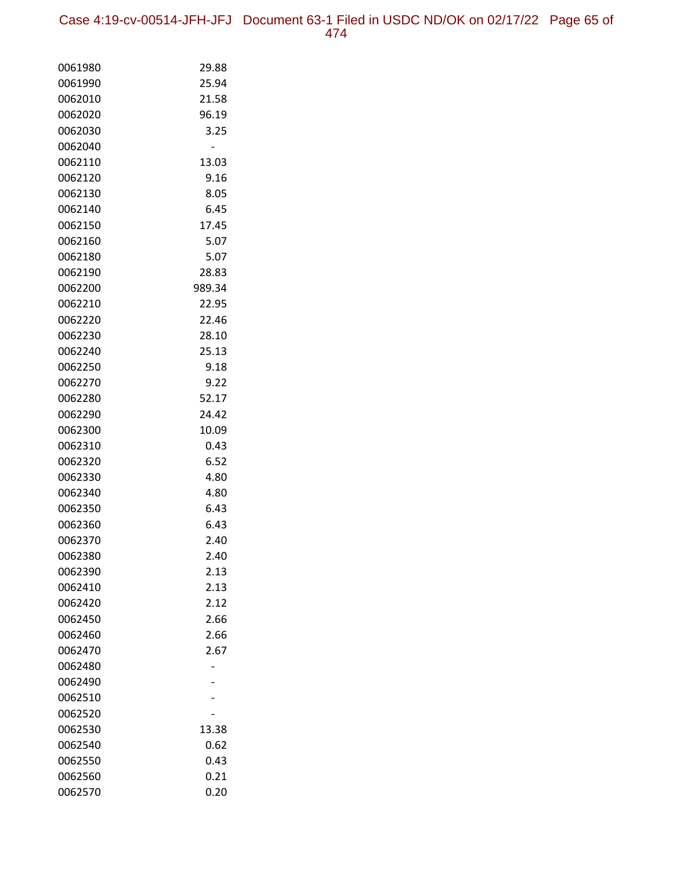Case 4:19-cv-00514-JFH-JFJ Document 63-1 Filed in USDC ND/OK on 02/17/22 Page 65 of 474

| 0061980 | 29.88  |
|---------|--------|
| 0061990 | 25.94  |
| 0062010 | 21.58  |
| 0062020 | 96.19  |
| 0062030 | 3.25   |
| 0062040 |        |
| 0062110 | 13.03  |
| 0062120 | 9.16   |
| 0062130 | 8.05   |
| 0062140 | 6.45   |
| 0062150 | 17.45  |
| 0062160 | 5.07   |
| 0062180 | 5.07   |
| 0062190 | 28.83  |
| 0062200 | 989.34 |
| 0062210 | 22.95  |
| 0062220 | 22.46  |
| 0062230 | 28.10  |
| 0062240 | 25.13  |
| 0062250 | 9.18   |
| 0062270 | 9.22   |
| 0062280 | 52.17  |
| 0062290 | 24.42  |
| 0062300 | 10.09  |
| 0062310 | 0.43   |
| 0062320 | 6.52   |
| 0062330 | 4.80   |
| 0062340 | 4.80   |
| 0062350 | 6.43   |
| 0062360 | 6.43   |
| 0062370 | 2.40   |
| 0062380 | 2.40   |
| 0062390 | 2.13   |
| 0062410 | 2.13   |
| 0062420 | 2.12   |
| 0062450 | 2.66   |
| 0062460 | 2.66   |
| 0062470 | 2.67   |
| 0062480 |        |
| 0062490 |        |
| 0062510 |        |
| 0062520 |        |
| 0062530 | 13.38  |
| 0062540 | 0.62   |
| 0062550 | 0.43   |
| 0062560 | 0.21   |
| 0062570 | 0.20   |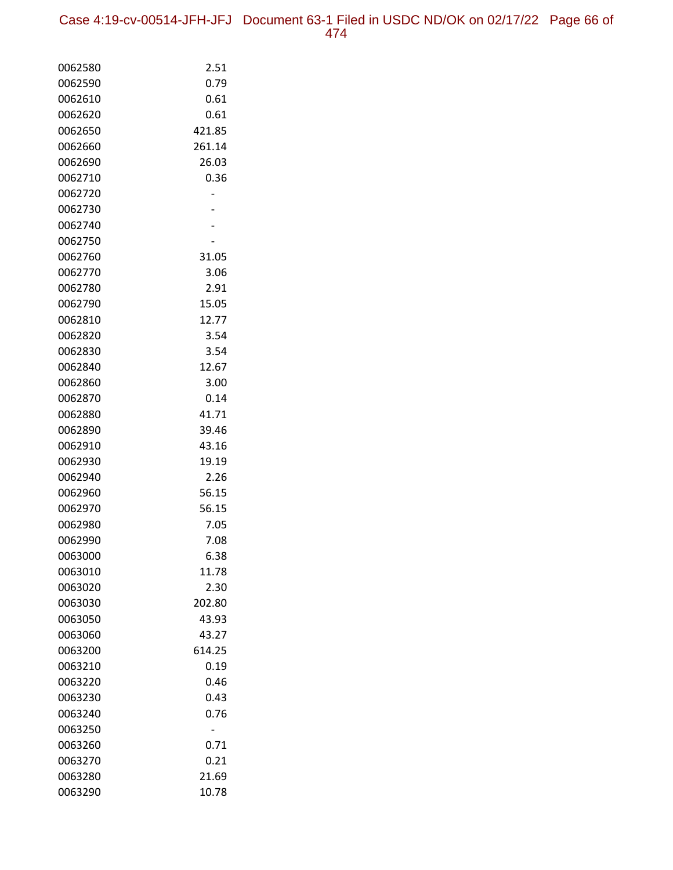| 0062580            | 2.51            |
|--------------------|-----------------|
| 0062590            | 0.79            |
| 0062610            | 0.61            |
| 0062620            | 0.61            |
| 0062650            | 421.85          |
| 0062660            | 261.14          |
| 0062690            | 26.03           |
| 0062710            | 0.36            |
| 0062720            |                 |
| 0062730            |                 |
| 0062740            |                 |
| 0062750            |                 |
| 0062760            | 31.05           |
| 0062770            | 3.06            |
| 0062780            | 2.91            |
| 0062790            | 15.05           |
| 0062810            | 12.77           |
| 0062820            | 3.54            |
| 0062830            | 3.54            |
| 0062840            | 12.67           |
| 0062860            | 3.00            |
| 0062870            | 0.14            |
| 0062880            | 41.71           |
| 0062890            | 39.46           |
| 0062910            | 43.16           |
| 0062930            | 19.19           |
| 0062940            | 2.26            |
| 0062960            | 56.15           |
| 0062970            | 56.15           |
| 0062980            | 7.05            |
| 0062990            | 7.08            |
| 0063000            | 6.38            |
| 0063010            | 11.78           |
| 0063020            | 2.30            |
| 0063030<br>0063050 | 202.80          |
|                    | 43.93           |
| 0063060<br>0063200 | 43.27<br>614.25 |
| 0063210            | 0.19            |
| 0063220            | 0.46            |
| 0063230            | 0.43            |
| 0063240            | 0.76            |
| 0063250            |                 |
| 0063260            | 0.71            |
| 0063270            | 0.21            |
| 0063280            | 21.69           |
| 0063290            | 10.78           |
|                    |                 |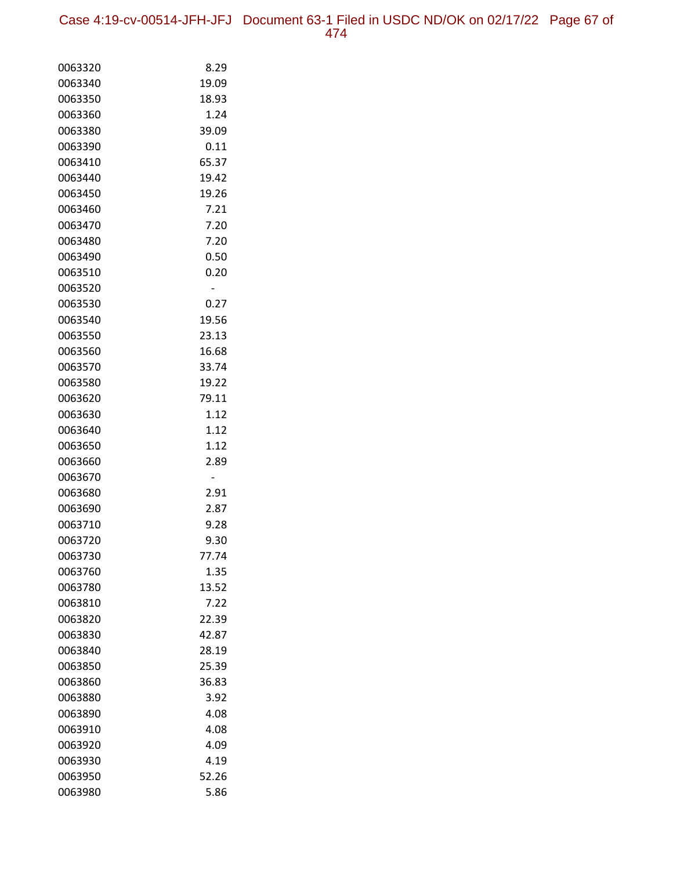| 0063320 | 8.29  |
|---------|-------|
| 0063340 | 19.09 |
| 0063350 | 18.93 |
| 0063360 | 1.24  |
| 0063380 | 39.09 |
| 0063390 | 0.11  |
| 0063410 | 65.37 |
| 0063440 | 19.42 |
| 0063450 | 19.26 |
| 0063460 | 7.21  |
| 0063470 | 7.20  |
| 0063480 | 7.20  |
| 0063490 | 0.50  |
| 0063510 | 0.20  |
| 0063520 |       |
| 0063530 | 0.27  |
| 0063540 | 19.56 |
| 0063550 | 23.13 |
| 0063560 | 16.68 |
| 0063570 | 33.74 |
| 0063580 | 19.22 |
| 0063620 | 79.11 |
| 0063630 | 1.12  |
| 0063640 | 1.12  |
| 0063650 | 1.12  |
| 0063660 | 2.89  |
| 0063670 | -     |
| 0063680 | 2.91  |
| 0063690 | 2.87  |
| 0063710 | 9.28  |
| 0063720 | 9.30  |
| 0063730 | 77.74 |
| 0063760 | 1.35  |
| 0063780 | 13.52 |
| 0063810 | 7.22  |
| 0063820 | 22.39 |
| 0063830 | 42.87 |
| 0063840 | 28.19 |
| 0063850 | 25.39 |
| 0063860 | 36.83 |
| 0063880 | 3.92  |
| 0063890 | 4.08  |
| 0063910 | 4.08  |
| 0063920 | 4.09  |
| 0063930 | 4.19  |
| 0063950 | 52.26 |
| 0063980 | 5.86  |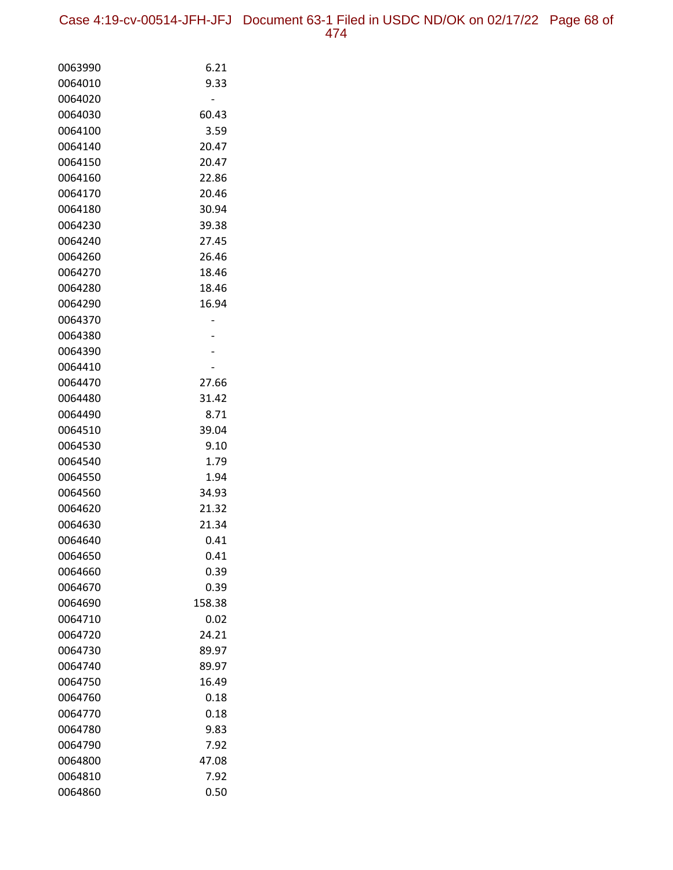| 0063990 | 6.21   |
|---------|--------|
| 0064010 | 9.33   |
| 0064020 |        |
| 0064030 | 60.43  |
| 0064100 | 3.59   |
| 0064140 | 20.47  |
| 0064150 | 20.47  |
| 0064160 | 22.86  |
| 0064170 | 20.46  |
| 0064180 | 30.94  |
| 0064230 | 39.38  |
| 0064240 | 27.45  |
| 0064260 | 26.46  |
| 0064270 | 18.46  |
| 0064280 | 18.46  |
| 0064290 | 16.94  |
| 0064370 |        |
| 0064380 |        |
| 0064390 |        |
| 0064410 |        |
| 0064470 | 27.66  |
| 0064480 | 31.42  |
| 0064490 | 8.71   |
| 0064510 | 39.04  |
| 0064530 | 9.10   |
| 0064540 | 1.79   |
| 0064550 | 1.94   |
| 0064560 | 34.93  |
| 0064620 | 21.32  |
| 0064630 | 21.34  |
| 0064640 | 0.41   |
| 0064650 | 0.41   |
| 0064660 | 0.39   |
| 0064670 | 0.39   |
| 0064690 | 158.38 |
| 0064710 | 0.02   |
| 0064720 | 24.21  |
| 0064730 | 89.97  |
| 0064740 | 89.97  |
| 0064750 | 16.49  |
| 0064760 | 0.18   |
| 0064770 | 0.18   |
| 0064780 | 9.83   |
| 0064790 | 7.92   |
| 0064800 | 47.08  |
| 0064810 | 7.92   |
| 0064860 | 0.50   |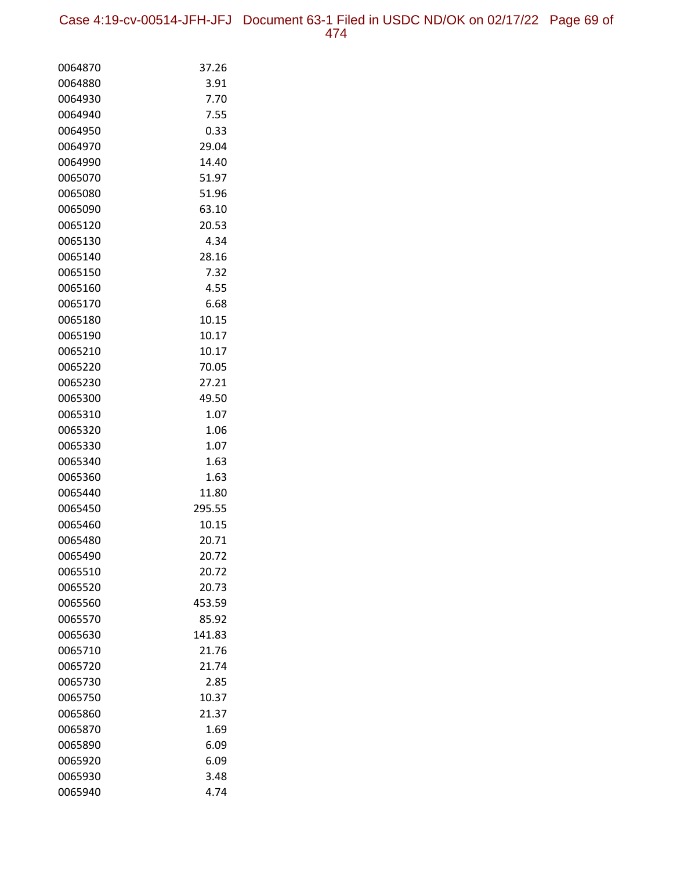| 0064870 | 37.26  |
|---------|--------|
| 0064880 | 3.91   |
| 0064930 | 7.70   |
| 0064940 | 7.55   |
| 0064950 | 0.33   |
| 0064970 | 29.04  |
| 0064990 | 14.40  |
| 0065070 | 51.97  |
| 0065080 | 51.96  |
| 0065090 | 63.10  |
| 0065120 | 20.53  |
| 0065130 | 4.34   |
| 0065140 | 28.16  |
| 0065150 | 7.32   |
| 0065160 | 4.55   |
| 0065170 | 6.68   |
| 0065180 | 10.15  |
| 0065190 | 10.17  |
| 0065210 | 10.17  |
| 0065220 | 70.05  |
| 0065230 | 27.21  |
| 0065300 | 49.50  |
| 0065310 | 1.07   |
| 0065320 | 1.06   |
| 0065330 | 1.07   |
| 0065340 | 1.63   |
| 0065360 | 1.63   |
| 0065440 | 11.80  |
| 0065450 | 295.55 |
| 0065460 | 10.15  |
| 0065480 | 20.71  |
| 0065490 | 20.72  |
| 0065510 | 20.72  |
| 0065520 | 20.73  |
| 0065560 | 453.59 |
| 0065570 | 85.92  |
| 0065630 | 141.83 |
| 0065710 | 21.76  |
| 0065720 | 21.74  |
| 0065730 | 2.85   |
| 0065750 | 10.37  |
| 0065860 | 21.37  |
| 0065870 | 1.69   |
| 0065890 | 6.09   |
| 0065920 | 6.09   |
| 0065930 | 3.48   |
| 0065940 | 4.74   |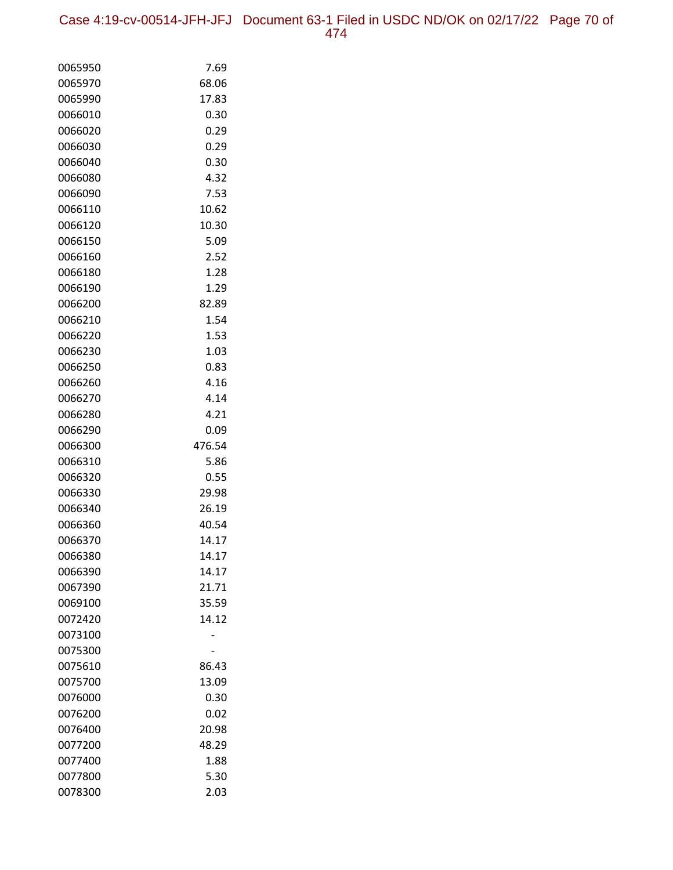| 0065950 | 7.69   |
|---------|--------|
| 0065970 | 68.06  |
| 0065990 | 17.83  |
| 0066010 | 0.30   |
| 0066020 | 0.29   |
| 0066030 | 0.29   |
| 0066040 | 0.30   |
| 0066080 | 4.32   |
| 0066090 | 7.53   |
| 0066110 | 10.62  |
| 0066120 | 10.30  |
| 0066150 | 5.09   |
| 0066160 | 2.52   |
| 0066180 | 1.28   |
| 0066190 | 1.29   |
| 0066200 | 82.89  |
| 0066210 | 1.54   |
| 0066220 | 1.53   |
| 0066230 | 1.03   |
| 0066250 | 0.83   |
| 0066260 | 4.16   |
| 0066270 | 4.14   |
| 0066280 | 4.21   |
| 0066290 | 0.09   |
| 0066300 | 476.54 |
| 0066310 | 5.86   |
| 0066320 | 0.55   |
| 0066330 | 29.98  |
| 0066340 | 26.19  |
| 0066360 | 40.54  |
| 0066370 | 14.17  |
| 0066380 | 14.17  |
| 0066390 | 14.17  |
| 0067390 | 21.71  |
| 0069100 | 35.59  |
| 0072420 | 14.12  |
| 0073100 |        |
| 0075300 |        |
| 0075610 | 86.43  |
| 0075700 | 13.09  |
| 0076000 | 0.30   |
| 0076200 | 0.02   |
| 0076400 | 20.98  |
| 0077200 | 48.29  |
| 0077400 | 1.88   |
| 0077800 | 5.30   |
| 0078300 | 2.03   |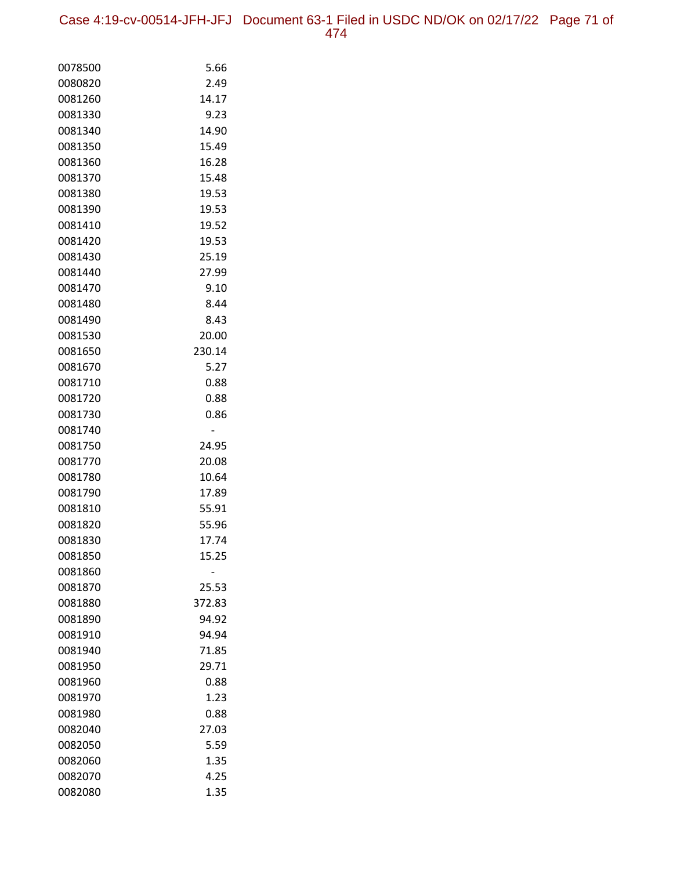| 0078500 | 5.66   |
|---------|--------|
| 0080820 | 2.49   |
| 0081260 | 14.17  |
| 0081330 | 9.23   |
| 0081340 | 14.90  |
| 0081350 | 15.49  |
| 0081360 | 16.28  |
| 0081370 | 15.48  |
| 0081380 | 19.53  |
| 0081390 | 19.53  |
| 0081410 | 19.52  |
| 0081420 | 19.53  |
| 0081430 | 25.19  |
| 0081440 | 27.99  |
| 0081470 | 9.10   |
| 0081480 | 8.44   |
| 0081490 | 8.43   |
| 0081530 | 20.00  |
| 0081650 | 230.14 |
| 0081670 | 5.27   |
| 0081710 | 0.88   |
| 0081720 | 0.88   |
| 0081730 | 0.86   |
| 0081740 |        |
| 0081750 | 24.95  |
| 0081770 | 20.08  |
| 0081780 | 10.64  |
| 0081790 | 17.89  |
| 0081810 | 55.91  |
| 0081820 | 55.96  |
| 0081830 | 17.74  |
| 0081850 | 15.25  |
| 0081860 |        |
| 0081870 | 25.53  |
| 0081880 | 372.83 |
| 0081890 | 94.92  |
| 0081910 | 94.94  |
| 0081940 | 71.85  |
| 0081950 | 29.71  |
| 0081960 | 0.88   |
| 0081970 | 1.23   |
| 0081980 | 0.88   |
| 0082040 | 27.03  |
| 0082050 | 5.59   |
| 0082060 | 1.35   |
| 0082070 | 4.25   |
| 0082080 | 1.35   |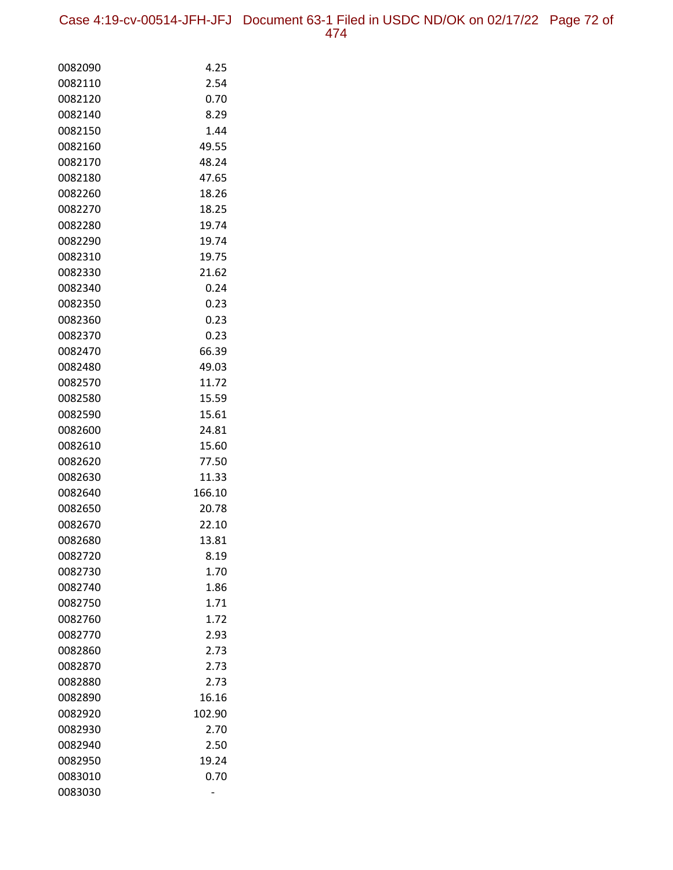Case 4:19-cv-00514-JFH-JFJ Document 63-1 Filed in USDC ND/OK on 02/17/22 Page 72 of 474

| 0082090 | 4.25   |
|---------|--------|
| 0082110 | 2.54   |
| 0082120 | 0.70   |
| 0082140 | 8.29   |
| 0082150 | 1.44   |
| 0082160 | 49.55  |
| 0082170 | 48.24  |
| 0082180 | 47.65  |
| 0082260 | 18.26  |
| 0082270 | 18.25  |
| 0082280 | 19.74  |
| 0082290 | 19.74  |
| 0082310 | 19.75  |
| 0082330 | 21.62  |
| 0082340 | 0.24   |
| 0082350 | 0.23   |
| 0082360 | 0.23   |
| 0082370 | 0.23   |
| 0082470 | 66.39  |
| 0082480 | 49.03  |
| 0082570 | 11.72  |
| 0082580 | 15.59  |
| 0082590 | 15.61  |
| 0082600 | 24.81  |
| 0082610 | 15.60  |
| 0082620 | 77.50  |
| 0082630 | 11.33  |
| 0082640 | 166.10 |
| 0082650 | 20.78  |
| 0082670 | 22.10  |
| 0082680 | 13.81  |
| 0082720 | 8.19   |
| 0082730 | 1.70   |
| 0082740 | 1.86   |
| 0082750 | 1.71   |
| 0082760 | 1.72   |
| 0082770 | 2.93   |
| 0082860 | 2.73   |
| 0082870 | 2.73   |
| 0082880 | 2.73   |
| 0082890 | 16.16  |
| 0082920 | 102.90 |
| 0082930 | 2.70   |
| 0082940 | 2.50   |
| 0082950 | 19.24  |
| 0083010 | 0.70   |
| 0083030 |        |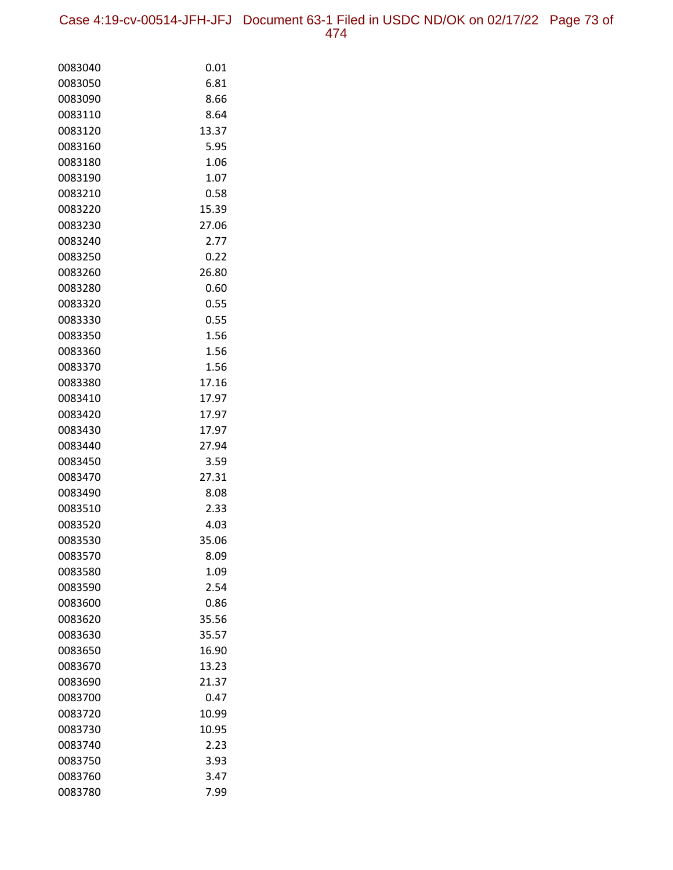| 0083040            | 0.01          |
|--------------------|---------------|
| 0083050            | 6.81          |
| 0083090            | 8.66          |
| 0083110            | 8.64          |
| 0083120            | 13.37         |
| 0083160            | 5.95          |
| 0083180            | 1.06          |
| 0083190            | 1.07          |
| 0083210            | 0.58          |
| 0083220            | 15.39         |
| 0083230            | 27.06         |
| 0083240            | 2.77          |
| 0083250            | 0.22          |
| 0083260            | 26.80         |
| 0083280            | 0.60          |
| 0083320            | 0.55          |
| 0083330            | 0.55          |
| 0083350            | 1.56          |
| 0083360            | 1.56          |
| 0083370            | 1.56          |
| 0083380            | 17.16         |
| 0083410            | 17.97         |
| 0083420            | 17.97         |
| 0083430            | 17.97         |
| 0083440            | 27.94         |
| 0083450            | 3.59          |
| 0083470            | 27.31         |
| 0083490            | 8.08          |
| 0083510            | 2.33          |
| 0083520            | 4.03          |
| 0083530            | 35.06         |
| 0083570            | 8.09          |
| 0083580            | 1.09          |
| 0083590            | 2.54          |
| 0083600            | 0.86          |
| 0083620            | 35.56         |
| 0083630            | 35.57         |
| 0083650            | 16.90         |
| 0083670            | 13.23         |
| 0083690            | 21.37         |
| 0083700            | 0.47          |
| 0083720            | 10.99         |
| 0083730<br>0083740 | 10.95<br>2.23 |
| 0083750            | 3.93          |
| 0083760            | 3.47          |
| 0083780            | 7.99          |
|                    |               |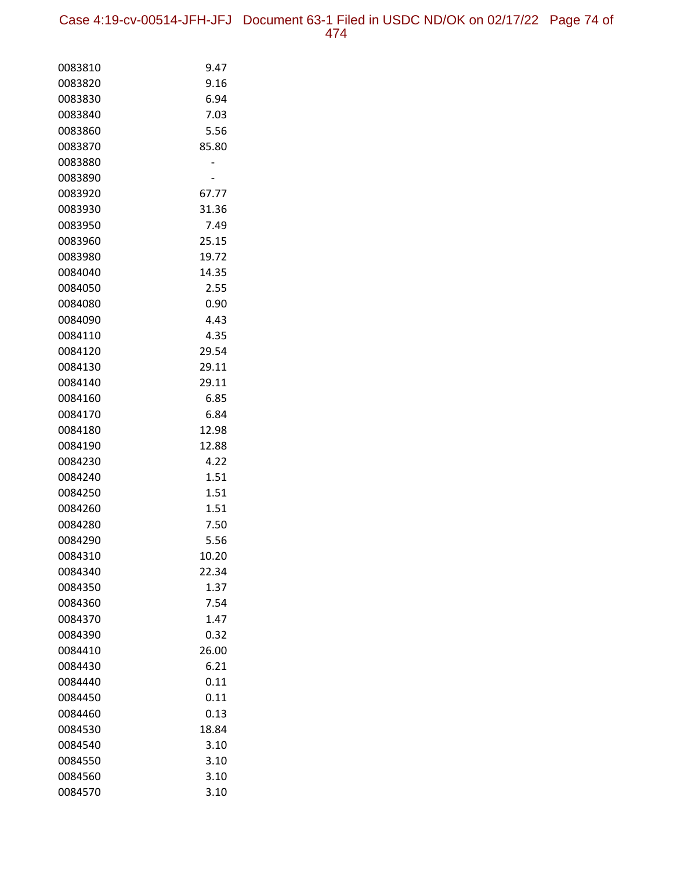| 0083810            | 9.47         |
|--------------------|--------------|
| 0083820            | 9.16         |
| 0083830            | 6.94         |
| 0083840            | 7.03         |
| 0083860            | 5.56         |
| 0083870            | 85.80        |
| 0083880            |              |
| 0083890            |              |
| 0083920            | 67.77        |
| 0083930            | 31.36        |
| 0083950            | 7.49         |
| 0083960            | 25.15        |
| 0083980            | 19.72        |
| 0084040            | 14.35        |
| 0084050            | 2.55         |
| 0084080            | 0.90         |
| 0084090            | 4.43         |
| 0084110            | 4.35         |
| 0084120            | 29.54        |
| 0084130            | 29.11        |
| 0084140            | 29.11        |
| 0084160            | 6.85         |
| 0084170            | 6.84         |
| 0084180            | 12.98        |
| 0084190            | 12.88        |
| 0084230            | 4.22         |
| 0084240<br>0084250 | 1.51<br>1.51 |
| 0084260            | 1.51         |
| 0084280            | 7.50         |
| 0084290            | 5.56         |
| 0084310            | 10.20        |
| 0084340            | 22.34        |
| 0084350            | 1.37         |
| 0084360            | 7.54         |
| 0084370            | 1.47         |
| 0084390            | 0.32         |
| 0084410            | 26.00        |
| 0084430            | 6.21         |
| 0084440            | 0.11         |
| 0084450            | 0.11         |
| 0084460            | 0.13         |
| 0084530            | 18.84        |
| 0084540            | 3.10         |
| 0084550            | 3.10         |
| 0084560            | 3.10         |
| 0084570            | 3.10         |
|                    |              |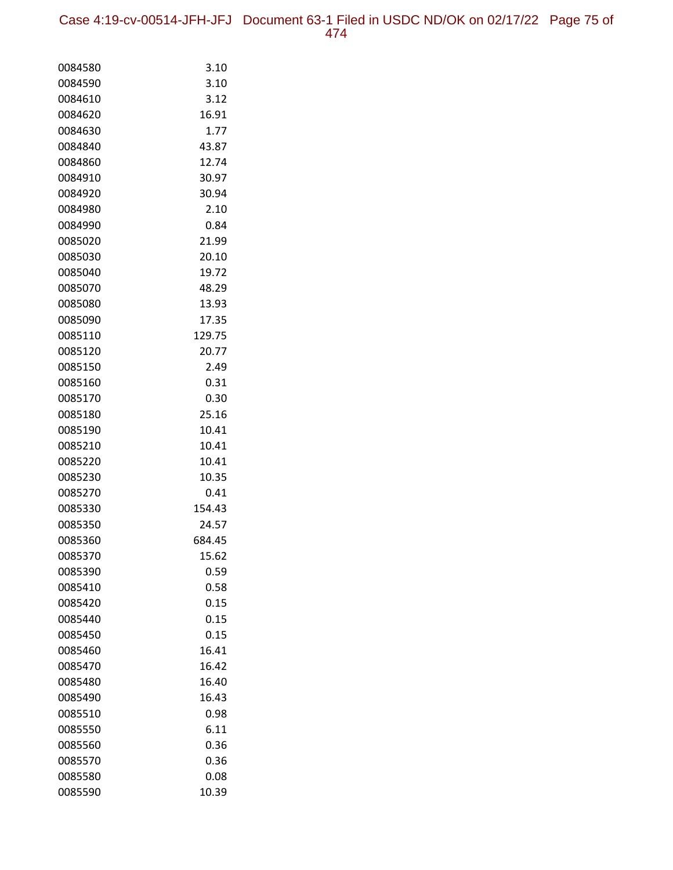| 0084580 | 3.10   |
|---------|--------|
| 0084590 | 3.10   |
| 0084610 | 3.12   |
| 0084620 | 16.91  |
| 0084630 | 1.77   |
| 0084840 | 43.87  |
| 0084860 | 12.74  |
| 0084910 | 30.97  |
| 0084920 | 30.94  |
| 0084980 | 2.10   |
| 0084990 | 0.84   |
| 0085020 | 21.99  |
| 0085030 | 20.10  |
| 0085040 | 19.72  |
| 0085070 | 48.29  |
| 0085080 | 13.93  |
| 0085090 | 17.35  |
| 0085110 | 129.75 |
| 0085120 | 20.77  |
| 0085150 | 2.49   |
| 0085160 | 0.31   |
| 0085170 | 0.30   |
| 0085180 | 25.16  |
| 0085190 | 10.41  |
| 0085210 | 10.41  |
| 0085220 | 10.41  |
| 0085230 | 10.35  |
| 0085270 | 0.41   |
| 0085330 | 154.43 |
| 0085350 | 24.57  |
| 0085360 | 684.45 |
| 0085370 | 15.62  |
| 0085390 | 0.59   |
| 0085410 | 0.58   |
| 0085420 | 0.15   |
| 0085440 | 0.15   |
| 0085450 | 0.15   |
| 0085460 | 16.41  |
| 0085470 | 16.42  |
| 0085480 | 16.40  |
| 0085490 | 16.43  |
| 0085510 | 0.98   |
| 0085550 | 6.11   |
| 0085560 | 0.36   |
| 0085570 | 0.36   |
| 0085580 | 0.08   |
| 0085590 | 10.39  |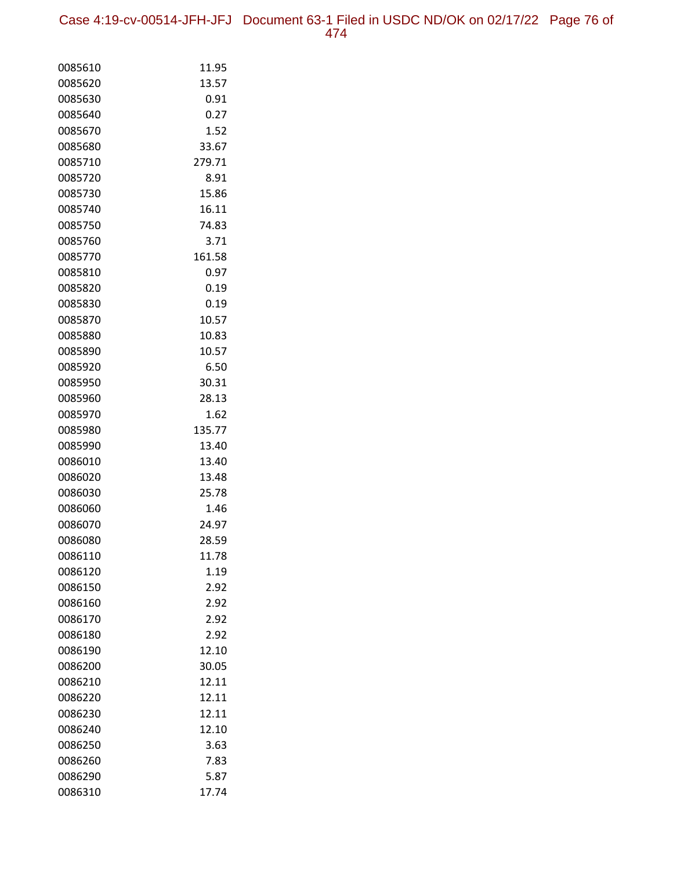Case 4:19-cv-00514-JFH-JFJ Document 63-1 Filed in USDC ND/OK on 02/17/22 Page 76 of 474

| 0085610            | 11.95         |
|--------------------|---------------|
| 0085620            | 13.57         |
| 0085630            | 0.91          |
| 0085640            | 0.27          |
| 0085670            | 1.52          |
| 0085680            | 33.67         |
| 0085710            | 279.71        |
| 0085720            | 8.91          |
| 0085730            | 15.86         |
| 0085740            | 16.11         |
| 0085750            | 74.83         |
| 0085760            | 3.71          |
| 0085770            | 161.58        |
| 0085810            | 0.97          |
| 0085820            | 0.19          |
| 0085830            | 0.19          |
| 0085870            | 10.57         |
| 0085880            | 10.83         |
| 0085890            | 10.57         |
| 0085920            | 6.50          |
| 0085950            | 30.31         |
| 0085960            | 28.13         |
| 0085970            | 1.62          |
| 0085980            | 135.77        |
| 0085990            | 13.40         |
| 0086010            | 13.40         |
| 0086020            | 13.48         |
| 0086030            | 25.78         |
| 0086060            | 1.46          |
| 0086070            | 24.97         |
| 0086080            | 28.59         |
| 0086110            | 11.78<br>1.19 |
| 0086120<br>0086150 | 2.92          |
| 0086160            | 2.92          |
| 0086170            | 2.92          |
| 0086180            | 2.92          |
| 0086190            | 12.10         |
| 0086200            | 30.05         |
| 0086210            | 12.11         |
| 0086220            | 12.11         |
| 0086230            | 12.11         |
| 0086240            | 12.10         |
| 0086250            | 3.63          |
| 0086260            | 7.83          |
| 0086290            | 5.87          |
| 0086310            | 17.74         |
|                    |               |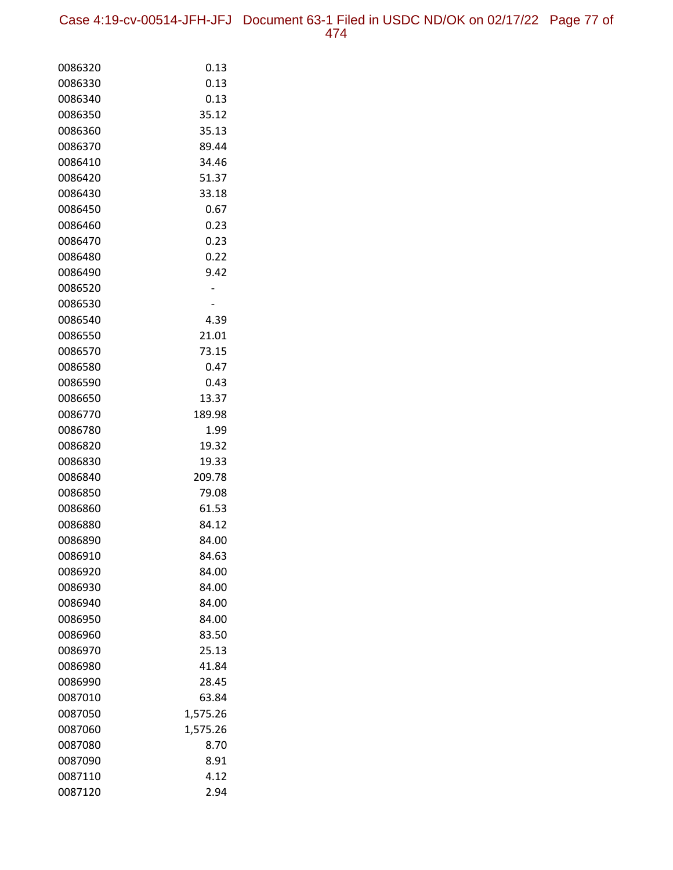| 0086320            | 0.13             |
|--------------------|------------------|
| 0086330            | 0.13             |
| 0086340            | 0.13             |
| 0086350            | 35.12            |
| 0086360            | 35.13            |
| 0086370            | 89.44            |
| 0086410            | 34.46            |
| 0086420            | 51.37            |
| 0086430            | 33.18            |
| 0086450            | 0.67             |
| 0086460            | 0.23             |
| 0086470            | 0.23             |
| 0086480            | 0.22             |
| 0086490            | 9.42             |
| 0086520            |                  |
| 0086530            |                  |
| 0086540            | 4.39             |
| 0086550            | 21.01            |
| 0086570            | 73.15            |
| 0086580            | 0.47             |
| 0086590            | 0.43             |
| 0086650            | 13.37            |
| 0086770            | 189.98           |
| 0086780            | 1.99             |
| 0086820            | 19.32            |
| 0086830            | 19.33            |
| 0086840            | 209.78           |
| 0086850            | 79.08            |
| 0086860            | 61.53            |
| 0086880            | 84.12            |
| 0086890            | 84.00            |
| 0086910            | 84.63            |
| 0086920            | 84.00            |
| 0086930            | 84.00            |
| 0086940            | 84.00            |
| 0086950            | 84.00            |
| 0086960            | 83.50            |
| 0086970<br>0086980 | 25.13<br>41.84   |
|                    | 28.45            |
| 0086990<br>0087010 | 63.84            |
| 0087050            | 1,575.26         |
| 0087060            |                  |
| 0087080            | 1,575.26<br>8.70 |
| 0087090            | 8.91             |
| 0087110            | 4.12             |
| 0087120            | 2.94             |
|                    |                  |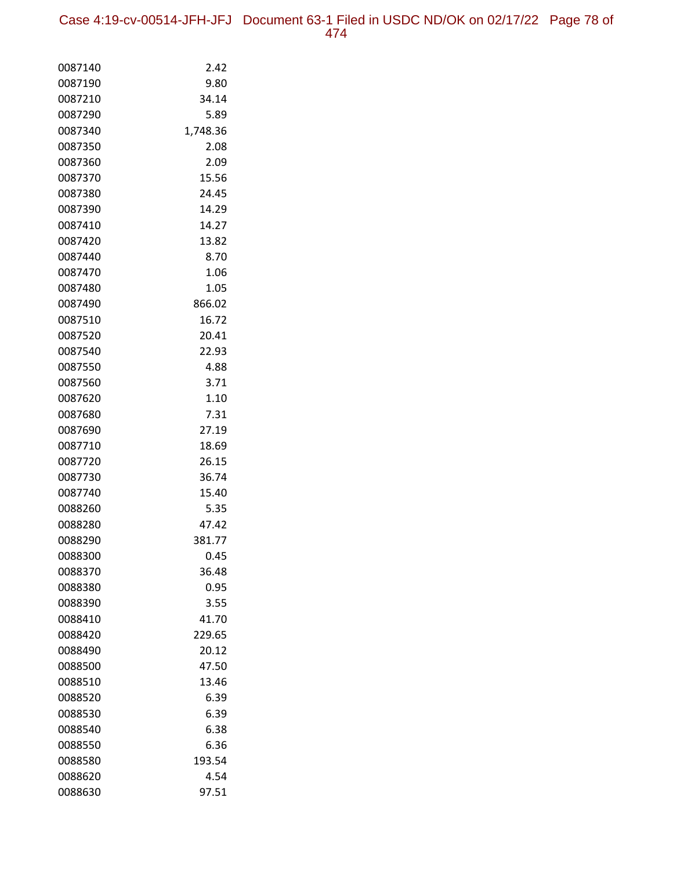| 0087140 | 2.42     |
|---------|----------|
| 0087190 | 9.80     |
| 0087210 | 34.14    |
| 0087290 | 5.89     |
| 0087340 | 1,748.36 |
| 0087350 | 2.08     |
| 0087360 | 2.09     |
| 0087370 | 15.56    |
| 0087380 | 24.45    |
| 0087390 | 14.29    |
| 0087410 | 14.27    |
| 0087420 | 13.82    |
| 0087440 | 8.70     |
| 0087470 | 1.06     |
| 0087480 | 1.05     |
| 0087490 | 866.02   |
| 0087510 | 16.72    |
| 0087520 | 20.41    |
| 0087540 | 22.93    |
| 0087550 | 4.88     |
| 0087560 | 3.71     |
| 0087620 | 1.10     |
| 0087680 | 7.31     |
| 0087690 | 27.19    |
| 0087710 | 18.69    |
| 0087720 | 26.15    |
| 0087730 | 36.74    |
| 0087740 | 15.40    |
| 0088260 | 5.35     |
| 0088280 | 47.42    |
| 0088290 | 381.77   |
| 0088300 | 0.45     |
| 0088370 | 36.48    |
| 0088380 | 0.95     |
| 0088390 | 3.55     |
| 0088410 | 41.70    |
| 0088420 | 229.65   |
| 0088490 | 20.12    |
| 0088500 | 47.50    |
| 0088510 | 13.46    |
| 0088520 | 6.39     |
| 0088530 | 6.39     |
| 0088540 | 6.38     |
| 0088550 | 6.36     |
| 0088580 | 193.54   |
| 0088620 | 4.54     |
| 0088630 | 97.51    |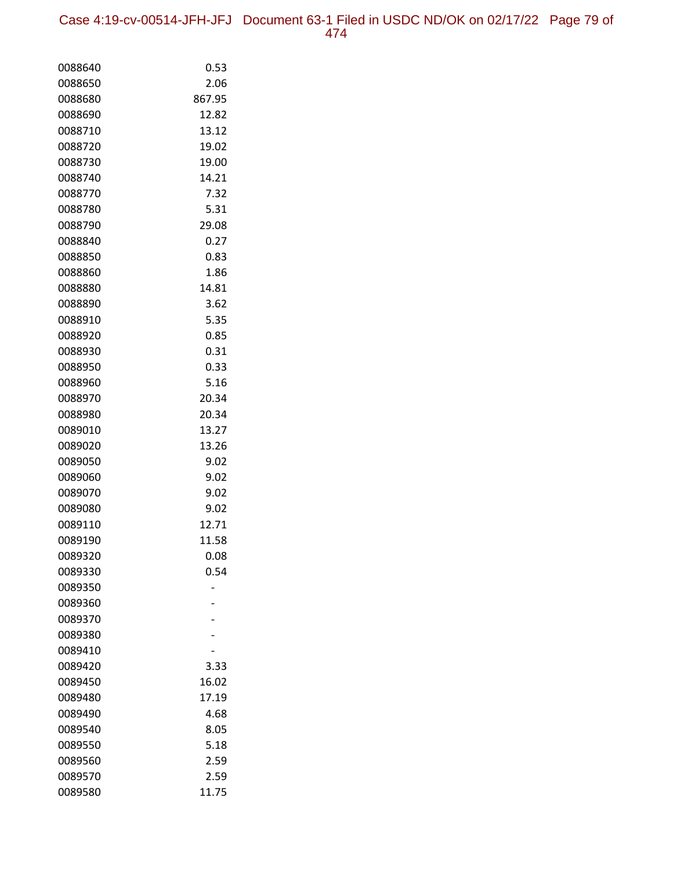| 0088640 | 0.53   |
|---------|--------|
| 0088650 | 2.06   |
| 0088680 | 867.95 |
| 0088690 | 12.82  |
| 0088710 | 13.12  |
| 0088720 | 19.02  |
| 0088730 | 19.00  |
| 0088740 | 14.21  |
| 0088770 | 7.32   |
| 0088780 | 5.31   |
| 0088790 | 29.08  |
| 0088840 | 0.27   |
| 0088850 | 0.83   |
| 0088860 | 1.86   |
| 0088880 | 14.81  |
| 0088890 | 3.62   |
| 0088910 | 5.35   |
| 0088920 | 0.85   |
| 0088930 | 0.31   |
| 0088950 | 0.33   |
| 0088960 | 5.16   |
| 0088970 | 20.34  |
| 0088980 | 20.34  |
| 0089010 | 13.27  |
| 0089020 | 13.26  |
| 0089050 | 9.02   |
| 0089060 | 9.02   |
| 0089070 | 9.02   |
| 0089080 | 9.02   |
| 0089110 | 12.71  |
| 0089190 | 11.58  |
| 0089320 | 0.08   |
| 0089330 | 0.54   |
| 0089350 |        |
| 0089360 |        |
| 0089370 |        |
| 0089380 |        |
| 0089410 |        |
| 0089420 | 3.33   |
| 0089450 | 16.02  |
| 0089480 | 17.19  |
| 0089490 | 4.68   |
| 0089540 | 8.05   |
| 0089550 | 5.18   |
| 0089560 | 2.59   |
| 0089570 | 2.59   |
| 0089580 | 11.75  |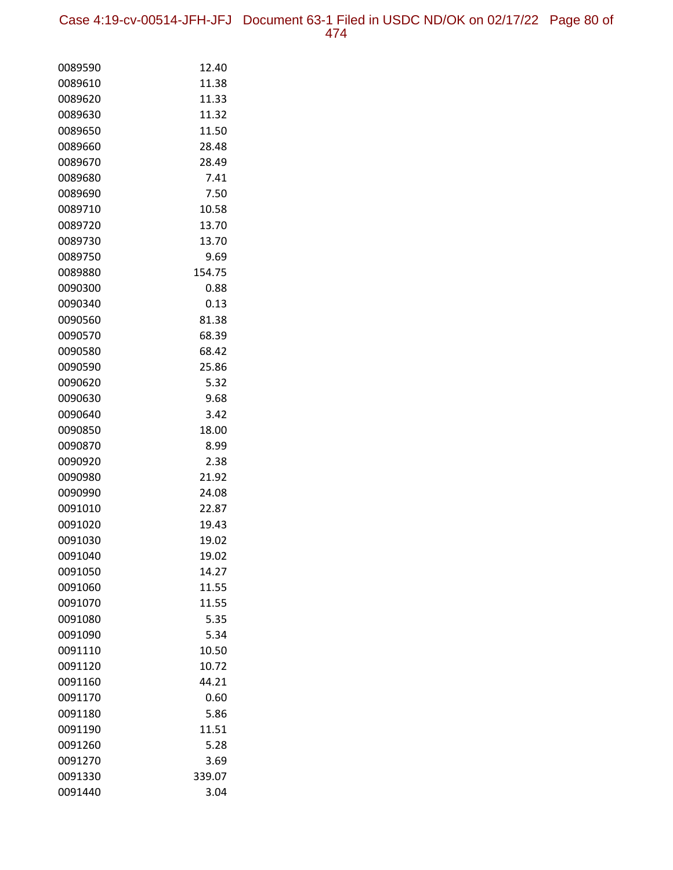Case 4:19-cv-00514-JFH-JFJ Document 63-1 Filed in USDC ND/OK on 02/17/22 Page 80 of 474

| 0089590 | 12.40  |
|---------|--------|
| 0089610 | 11.38  |
| 0089620 | 11.33  |
| 0089630 | 11.32  |
| 0089650 | 11.50  |
| 0089660 | 28.48  |
| 0089670 | 28.49  |
| 0089680 | 7.41   |
| 0089690 | 7.50   |
| 0089710 | 10.58  |
| 0089720 | 13.70  |
| 0089730 | 13.70  |
| 0089750 | 9.69   |
| 0089880 | 154.75 |
| 0090300 | 0.88   |
| 0090340 | 0.13   |
| 0090560 | 81.38  |
| 0090570 | 68.39  |
| 0090580 | 68.42  |
| 0090590 | 25.86  |
| 0090620 | 5.32   |
| 0090630 | 9.68   |
| 0090640 | 3.42   |
| 0090850 | 18.00  |
| 0090870 | 8.99   |
| 0090920 | 2.38   |
| 0090980 | 21.92  |
| 0090990 | 24.08  |
| 0091010 | 22.87  |
| 0091020 | 19.43  |
| 0091030 | 19.02  |
| 0091040 | 19.02  |
| 0091050 | 14.27  |
| 0091060 | 11.55  |
| 0091070 | 11.55  |
| 0091080 | 5.35   |
| 0091090 | 5.34   |
| 0091110 | 10.50  |
| 0091120 | 10.72  |
| 0091160 | 44.21  |
| 0091170 | 0.60   |
| 0091180 | 5.86   |
| 0091190 | 11.51  |
| 0091260 | 5.28   |
| 0091270 | 3.69   |
| 0091330 | 339.07 |
| 0091440 | 3.04   |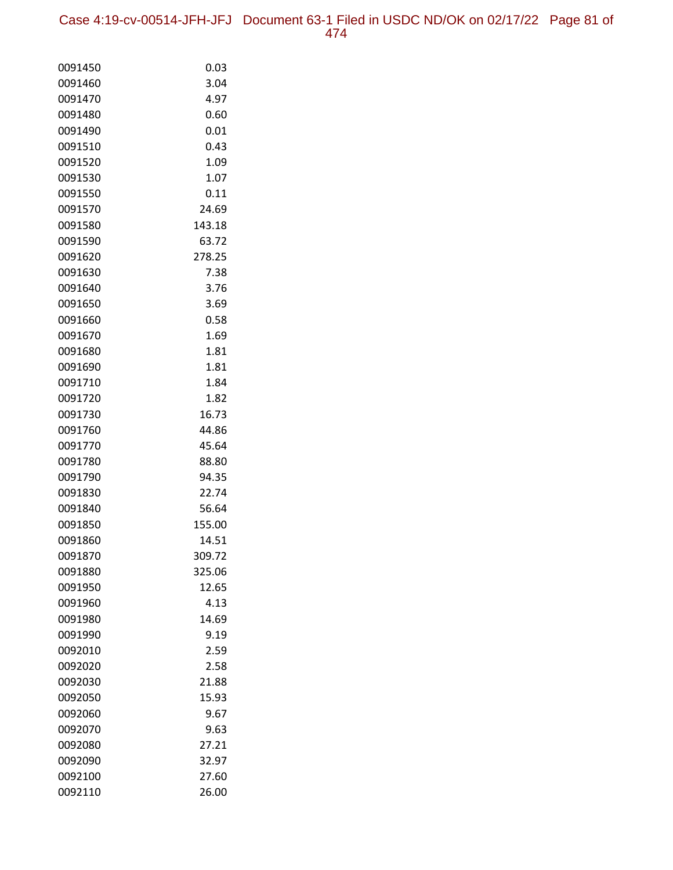Case 4:19-cv-00514-JFH-JFJ Document 63-1 Filed in USDC ND/OK on 02/17/22 Page 81 of 474

| 0091450            | 0.03         |
|--------------------|--------------|
| 0091460            | 3.04         |
| 0091470            | 4.97         |
| 0091480            | 0.60         |
| 0091490            | 0.01         |
| 0091510            | 0.43         |
| 0091520            | 1.09         |
| 0091530            | 1.07         |
| 0091550            | 0.11         |
| 0091570            | 24.69        |
| 0091580            | 143.18       |
| 0091590            | 63.72        |
| 0091620            | 278.25       |
| 0091630            | 7.38         |
| 0091640            | 3.76         |
| 0091650            | 3.69         |
| 0091660            | 0.58<br>1.69 |
| 0091670<br>0091680 | 1.81         |
| 0091690            | 1.81         |
| 0091710            | 1.84         |
| 0091720            | 1.82         |
| 0091730            | 16.73        |
| 0091760            | 44.86        |
| 0091770            | 45.64        |
| 0091780            | 88.80        |
| 0091790            | 94.35        |
| 0091830            | 22.74        |
| 0091840            | 56.64        |
| 0091850            | 155.00       |
| 0091860            | 14.51        |
| 0091870            | 309.72       |
| 0091880            | 325.06       |
| 0091950            | 12.65        |
| 0091960            | 4.13         |
| 0091980            | 14.69        |
| 0091990            | 9.19         |
| 0092010            | 2.59         |
| 0092020            | 2.58         |
| 0092030            | 21.88        |
| 0092050            | 15.93        |
| 0092060            | 9.67         |
| 0092070            | 9.63         |
| 0092080            | 27.21        |
| 0092090            | 32.97        |
| 0092100            | 27.60        |
| 0092110            | 26.00        |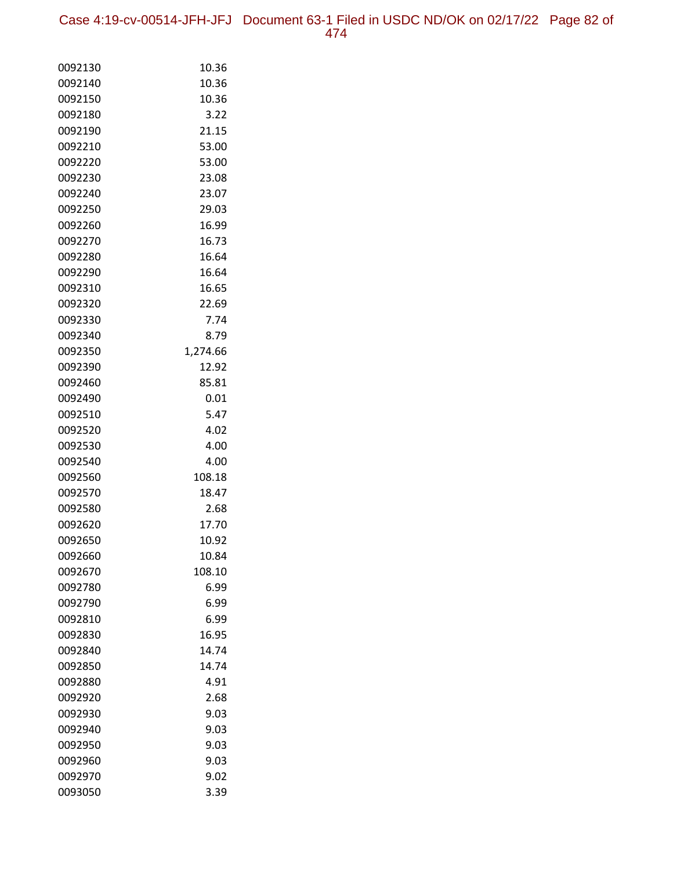Case 4:19-cv-00514-JFH-JFJ Document 63-1 Filed in USDC ND/OK on 02/17/22 Page 82 of 474

| 0092130            | 10.36          |
|--------------------|----------------|
| 0092140            | 10.36          |
| 0092150            | 10.36          |
| 0092180            | 3.22           |
| 0092190            | 21.15          |
| 0092210            | 53.00          |
| 0092220            | 53.00          |
| 0092230            | 23.08          |
| 0092240            | 23.07          |
| 0092250            | 29.03          |
| 0092260            | 16.99          |
| 0092270            | 16.73          |
| 0092280            | 16.64          |
| 0092290            | 16.64          |
| 0092310            | 16.65          |
| 0092320            | 22.69          |
| 0092330            | 7.74           |
| 0092340            | 8.79           |
| 0092350            | 1,274.66       |
| 0092390            | 12.92          |
| 0092460            | 85.81          |
| 0092490            | 0.01           |
| 0092510            | 5.47           |
| 0092520            | 4.02           |
| 0092530            | 4.00           |
| 0092540<br>0092560 | 4.00<br>108.18 |
| 0092570            | 18.47          |
| 0092580            | 2.68           |
| 0092620            | 17.70          |
| 0092650            | 10.92          |
| 0092660            | 10.84          |
| 0092670            | 108.10         |
| 0092780            | 6.99           |
| 0092790            | 6.99           |
| 0092810            | 6.99           |
| 0092830            | 16.95          |
| 0092840            | 14.74          |
| 0092850            | 14.74          |
| 0092880            | 4.91           |
| 0092920            | 2.68           |
| 0092930            | 9.03           |
| 0092940            | 9.03           |
| 0092950            | 9.03           |
| 0092960            | 9.03           |
| 0092970            | 9.02           |
| 0093050            | 3.39           |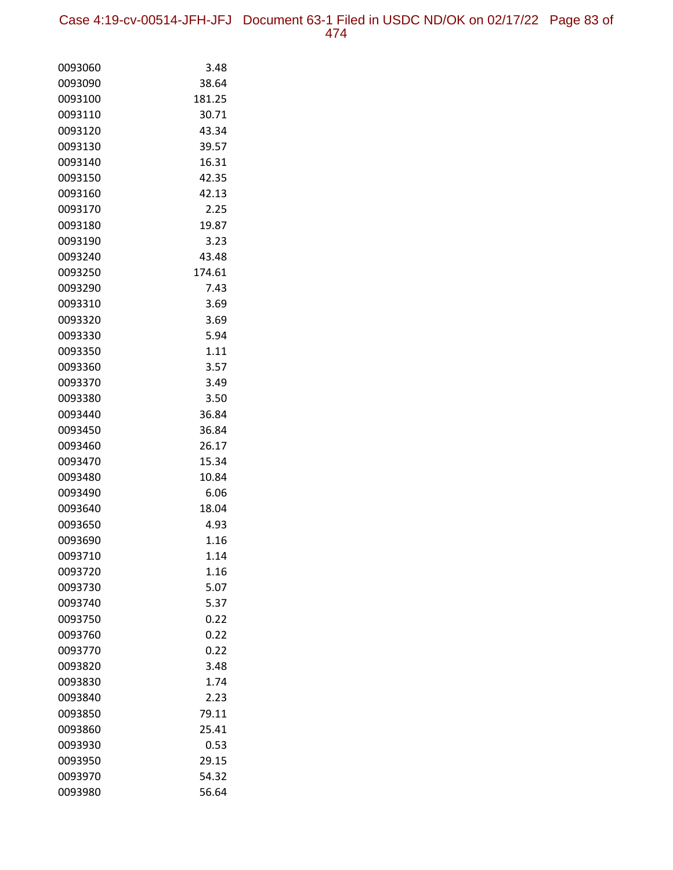| 0093060 | 3.48   |
|---------|--------|
| 0093090 | 38.64  |
| 0093100 | 181.25 |
| 0093110 | 30.71  |
| 0093120 | 43.34  |
| 0093130 | 39.57  |
| 0093140 | 16.31  |
| 0093150 | 42.35  |
| 0093160 | 42.13  |
| 0093170 | 2.25   |
| 0093180 | 19.87  |
| 0093190 | 3.23   |
| 0093240 | 43.48  |
| 0093250 | 174.61 |
| 0093290 | 7.43   |
| 0093310 | 3.69   |
| 0093320 | 3.69   |
| 0093330 | 5.94   |
| 0093350 | 1.11   |
| 0093360 | 3.57   |
| 0093370 | 3.49   |
| 0093380 | 3.50   |
| 0093440 | 36.84  |
| 0093450 | 36.84  |
| 0093460 | 26.17  |
| 0093470 | 15.34  |
| 0093480 | 10.84  |
| 0093490 | 6.06   |
| 0093640 | 18.04  |
| 0093650 | 4.93   |
| 0093690 | 1.16   |
| 0093710 | 1.14   |
| 0093720 | 1.16   |
| 0093730 | 5.07   |
| 0093740 | 5.37   |
| 0093750 | 0.22   |
| 0093760 | 0.22   |
| 0093770 | 0.22   |
| 0093820 | 3.48   |
| 0093830 | 1.74   |
| 0093840 | 2.23   |
| 0093850 | 79.11  |
| 0093860 | 25.41  |
| 0093930 | 0.53   |
| 0093950 | 29.15  |
| 0093970 | 54.32  |
| 0093980 | 56.64  |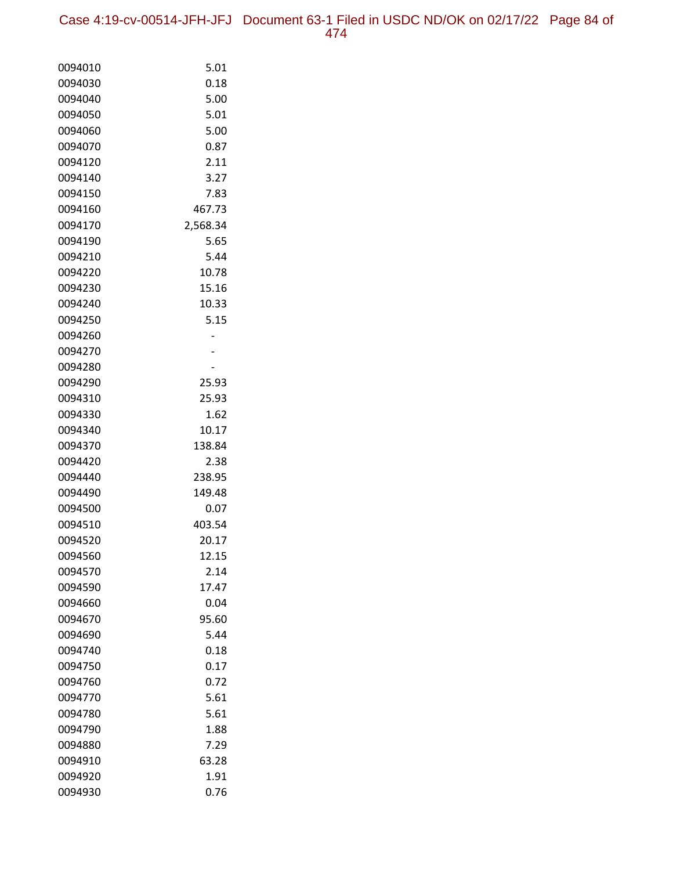Case 4:19-cv-00514-JFH-JFJ Document 63-1 Filed in USDC ND/OK on 02/17/22 Page 84 of 474

| 0094010 | 5.01     |
|---------|----------|
| 0094030 | 0.18     |
| 0094040 | 5.00     |
| 0094050 | 5.01     |
| 0094060 | 5.00     |
| 0094070 | 0.87     |
| 0094120 | 2.11     |
| 0094140 | 3.27     |
| 0094150 | 7.83     |
| 0094160 | 467.73   |
| 0094170 | 2,568.34 |
| 0094190 | 5.65     |
| 0094210 | 5.44     |
| 0094220 | 10.78    |
| 0094230 | 15.16    |
| 0094240 | 10.33    |
| 0094250 | 5.15     |
| 0094260 |          |
| 0094270 |          |
| 0094280 |          |
| 0094290 | 25.93    |
| 0094310 | 25.93    |
| 0094330 | 1.62     |
| 0094340 | 10.17    |
| 0094370 | 138.84   |
| 0094420 | 2.38     |
| 0094440 | 238.95   |
| 0094490 | 149.48   |
| 0094500 | 0.07     |
| 0094510 | 403.54   |
| 0094520 | 20.17    |
| 0094560 | 12.15    |
| 0094570 | 2.14     |
| 0094590 | 17.47    |
| 0094660 | 0.04     |
| 0094670 | 95.60    |
| 0094690 | 5.44     |
| 0094740 | 0.18     |
| 0094750 | 0.17     |
| 0094760 | 0.72     |
| 0094770 | 5.61     |
| 0094780 | 5.61     |
| 0094790 | 1.88     |
| 0094880 | 7.29     |
| 0094910 | 63.28    |
| 0094920 | 1.91     |
| 0094930 | 0.76     |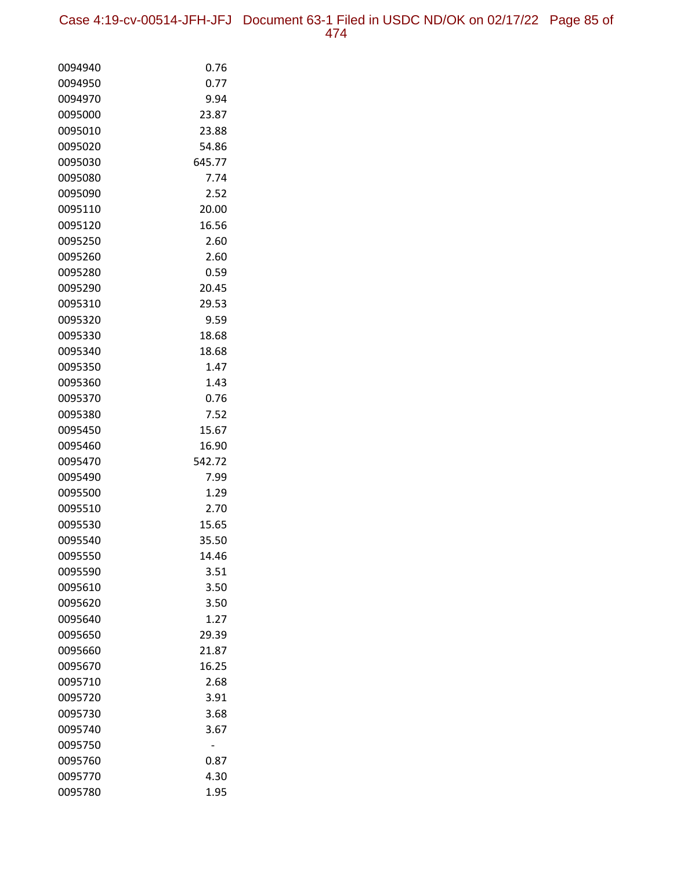Case 4:19-cv-00514-JFH-JFJ Document 63-1 Filed in USDC ND/OK on 02/17/22 Page 85 of 474

| 0094940            | 0.76         |
|--------------------|--------------|
| 0094950            | 0.77         |
| 0094970            | 9.94         |
| 0095000            | 23.87        |
| 0095010            | 23.88        |
| 0095020            | 54.86        |
| 0095030            | 645.77       |
| 0095080            | 7.74         |
| 0095090            | 2.52         |
| 0095110            | 20.00        |
| 0095120            | 16.56        |
| 0095250            | 2.60         |
| 0095260            | 2.60         |
| 0095280            | 0.59         |
| 0095290            | 20.45        |
| 0095310            | 29.53        |
| 0095320            | 9.59         |
| 0095330            | 18.68        |
| 0095340            | 18.68        |
| 0095350            | 1.47         |
| 0095360            | 1.43         |
| 0095370            | 0.76         |
| 0095380            | 7.52         |
| 0095450            | 15.67        |
| 0095460            | 16.90        |
| 0095470            | 542.72       |
| 0095490            | 7.99         |
| 0095500            | 1.29         |
| 0095510            | 2.70         |
| 0095530            | 15.65        |
| 0095540            | 35.50        |
| 0095550            | 14.46        |
| 0095590<br>0095610 | 3.51<br>3.50 |
| 0095620            | 3.50         |
| 0095640            | 1.27         |
| 0095650            | 29.39        |
| 0095660            | 21.87        |
| 0095670            | 16.25        |
| 0095710            | 2.68         |
| 0095720            | 3.91         |
| 0095730            | 3.68         |
| 0095740            | 3.67         |
| 0095750            |              |
| 0095760            | 0.87         |
| 0095770            | 4.30         |
| 0095780            | 1.95         |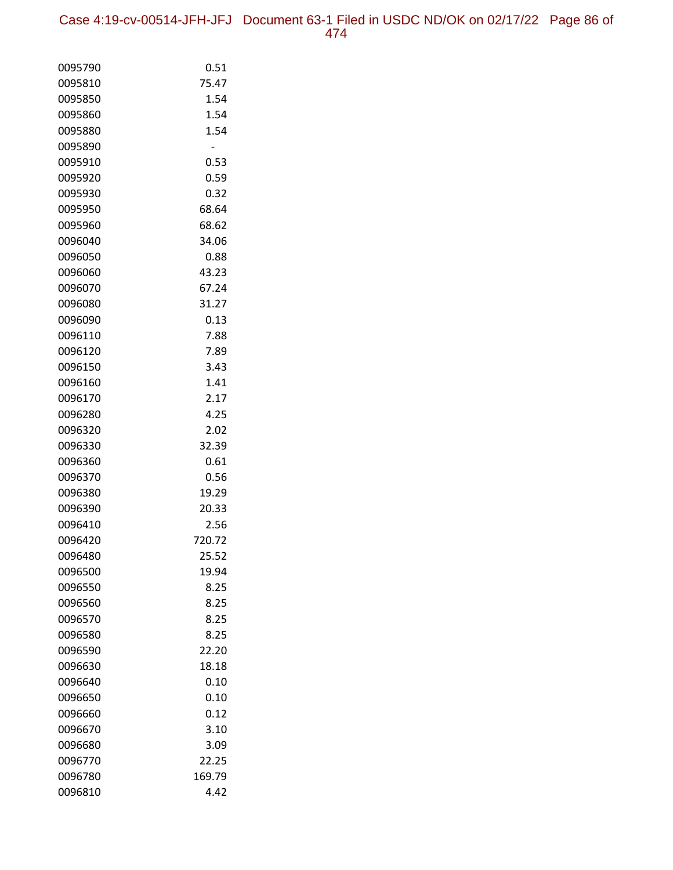Case 4:19-cv-00514-JFH-JFJ Document 63-1 Filed in USDC ND/OK on 02/17/22 Page 86 of 474

| 0095790 | 0.51   |
|---------|--------|
| 0095810 | 75.47  |
| 0095850 | 1.54   |
| 0095860 | 1.54   |
| 0095880 | 1.54   |
| 0095890 |        |
| 0095910 | 0.53   |
| 0095920 | 0.59   |
| 0095930 | 0.32   |
| 0095950 | 68.64  |
| 0095960 | 68.62  |
| 0096040 | 34.06  |
| 0096050 | 0.88   |
| 0096060 | 43.23  |
| 0096070 | 67.24  |
| 0096080 | 31.27  |
| 0096090 | 0.13   |
| 0096110 | 7.88   |
| 0096120 | 7.89   |
| 0096150 | 3.43   |
| 0096160 | 1.41   |
| 0096170 | 2.17   |
| 0096280 | 4.25   |
| 0096320 | 2.02   |
| 0096330 | 32.39  |
| 0096360 | 0.61   |
| 0096370 | 0.56   |
| 0096380 | 19.29  |
| 0096390 | 20.33  |
| 0096410 | 2.56   |
| 0096420 | 720.72 |
| 0096480 | 25.52  |
| 0096500 | 19.94  |
| 0096550 | 8.25   |
| 0096560 | 8.25   |
| 0096570 | 8.25   |
| 0096580 | 8.25   |
| 0096590 | 22.20  |
| 0096630 | 18.18  |
| 0096640 | 0.10   |
| 0096650 | 0.10   |
| 0096660 | 0.12   |
| 0096670 | 3.10   |
| 0096680 | 3.09   |
| 0096770 | 22.25  |
| 0096780 | 169.79 |
| 0096810 | 4.42   |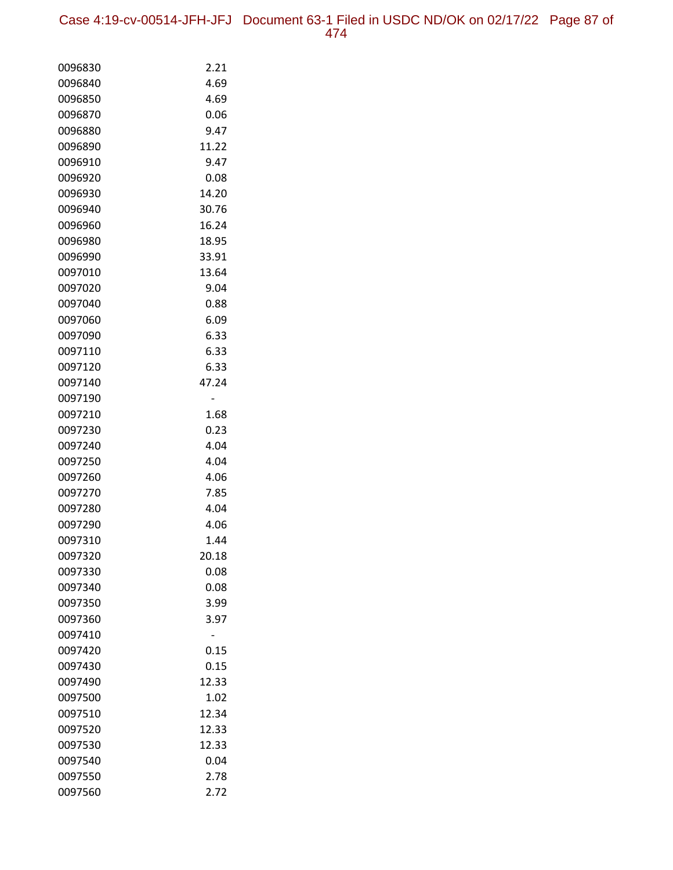Case 4:19-cv-00514-JFH-JFJ Document 63-1 Filed in USDC ND/OK on 02/17/22 Page 87 of 474

| 0096830 | 2.21  |
|---------|-------|
| 0096840 | 4.69  |
| 0096850 | 4.69  |
| 0096870 | 0.06  |
| 0096880 | 9.47  |
| 0096890 | 11.22 |
| 0096910 | 9.47  |
| 0096920 | 0.08  |
| 0096930 | 14.20 |
| 0096940 | 30.76 |
| 0096960 | 16.24 |
| 0096980 | 18.95 |
| 0096990 | 33.91 |
| 0097010 | 13.64 |
| 0097020 | 9.04  |
| 0097040 | 0.88  |
| 0097060 | 6.09  |
| 0097090 | 6.33  |
| 0097110 | 6.33  |
| 0097120 | 6.33  |
| 0097140 | 47.24 |
| 0097190 |       |
| 0097210 | 1.68  |
| 0097230 | 0.23  |
| 0097240 | 4.04  |
| 0097250 | 4.04  |
| 0097260 | 4.06  |
| 0097270 | 7.85  |
| 0097280 | 4.04  |
| 0097290 | 4.06  |
| 0097310 | 1.44  |
| 0097320 | 20.18 |
| 0097330 | 0.08  |
| 0097340 | 0.08  |
| 0097350 | 3.99  |
| 0097360 | 3.97  |
| 0097410 |       |
| 0097420 | 0.15  |
| 0097430 | 0.15  |
| 0097490 | 12.33 |
| 0097500 | 1.02  |
| 0097510 | 12.34 |
| 0097520 | 12.33 |
| 0097530 | 12.33 |
| 0097540 | 0.04  |
| 0097550 | 2.78  |
| 0097560 | 2.72  |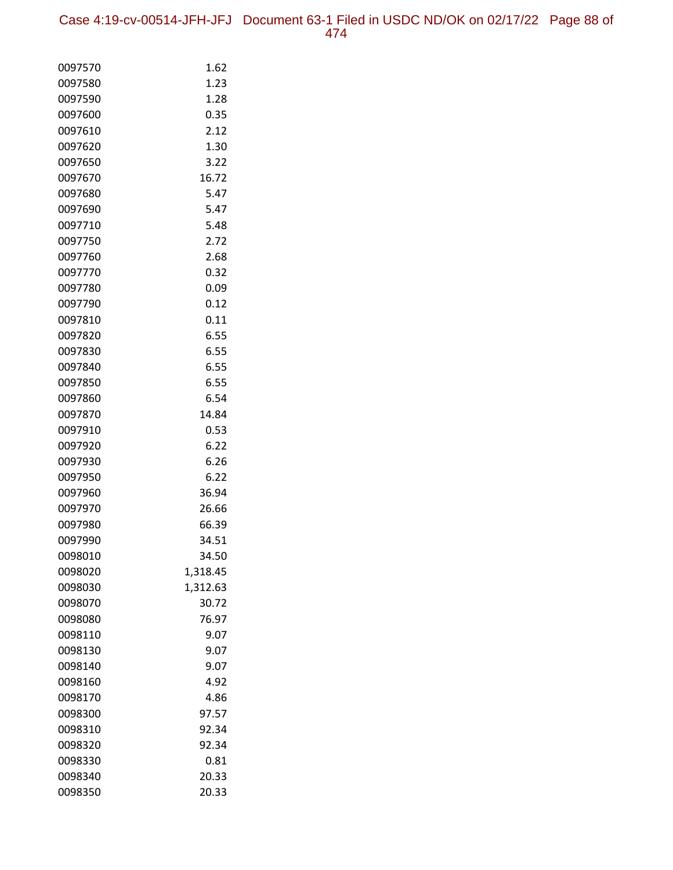| 0097570 | 1.62     |
|---------|----------|
| 0097580 | 1.23     |
| 0097590 | 1.28     |
| 0097600 | 0.35     |
| 0097610 | 2.12     |
| 0097620 | 1.30     |
| 0097650 | 3.22     |
| 0097670 | 16.72    |
| 0097680 | 5.47     |
| 0097690 | 5.47     |
| 0097710 | 5.48     |
| 0097750 | 2.72     |
| 0097760 | 2.68     |
| 0097770 | 0.32     |
| 0097780 | 0.09     |
| 0097790 | 0.12     |
| 0097810 | 0.11     |
| 0097820 | 6.55     |
| 0097830 | 6.55     |
| 0097840 | 6.55     |
| 0097850 | 6.55     |
| 0097860 | 6.54     |
| 0097870 | 14.84    |
| 0097910 | 0.53     |
| 0097920 | 6.22     |
| 0097930 | 6.26     |
| 0097950 | 6.22     |
| 0097960 | 36.94    |
| 0097970 | 26.66    |
| 0097980 | 66.39    |
| 0097990 | 34.51    |
| 0098010 | 34.50    |
| 0098020 | 1,318.45 |
| 0098030 | 1,312.63 |
| 0098070 | 30.72    |
| 0098080 | 76.97    |
| 0098110 | 9.07     |
| 0098130 | 9.07     |
| 0098140 | 9.07     |
| 0098160 | 4.92     |
| 0098170 | 4.86     |
| 0098300 | 97.57    |
| 0098310 | 92.34    |
| 0098320 | 92.34    |
| 0098330 | 0.81     |
| 0098340 | 20.33    |
| 0098350 | 20.33    |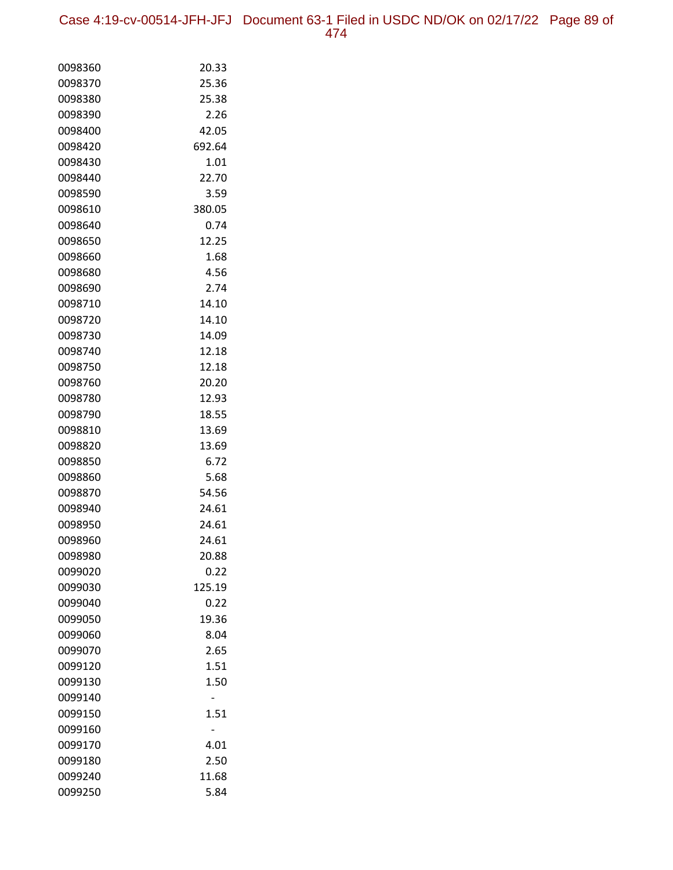Case 4:19-cv-00514-JFH-JFJ Document 63-1 Filed in USDC ND/OK on 02/17/22 Page 89 of 474

| 0098360 | 20.33  |
|---------|--------|
| 0098370 | 25.36  |
| 0098380 | 25.38  |
| 0098390 | 2.26   |
| 0098400 | 42.05  |
| 0098420 | 692.64 |
| 0098430 | 1.01   |
| 0098440 | 22.70  |
| 0098590 | 3.59   |
| 0098610 | 380.05 |
| 0098640 | 0.74   |
| 0098650 | 12.25  |
| 0098660 | 1.68   |
| 0098680 | 4.56   |
| 0098690 | 2.74   |
| 0098710 | 14.10  |
| 0098720 | 14.10  |
| 0098730 | 14.09  |
| 0098740 | 12.18  |
| 0098750 | 12.18  |
| 0098760 | 20.20  |
| 0098780 | 12.93  |
| 0098790 | 18.55  |
| 0098810 | 13.69  |
| 0098820 | 13.69  |
| 0098850 | 6.72   |
| 0098860 | 5.68   |
| 0098870 | 54.56  |
| 0098940 | 24.61  |
| 0098950 | 24.61  |
| 0098960 | 24.61  |
| 0098980 | 20.88  |
| 0099020 | 0.22   |
| 0099030 | 125.19 |
| 0099040 | 0.22   |
| 0099050 | 19.36  |
| 0099060 | 8.04   |
| 0099070 | 2.65   |
| 0099120 | 1.51   |
| 0099130 | 1.50   |
| 0099140 |        |
| 0099150 | 1.51   |
| 0099160 |        |
| 0099170 | 4.01   |
| 0099180 | 2.50   |
| 0099240 | 11.68  |
| 0099250 | 5.84   |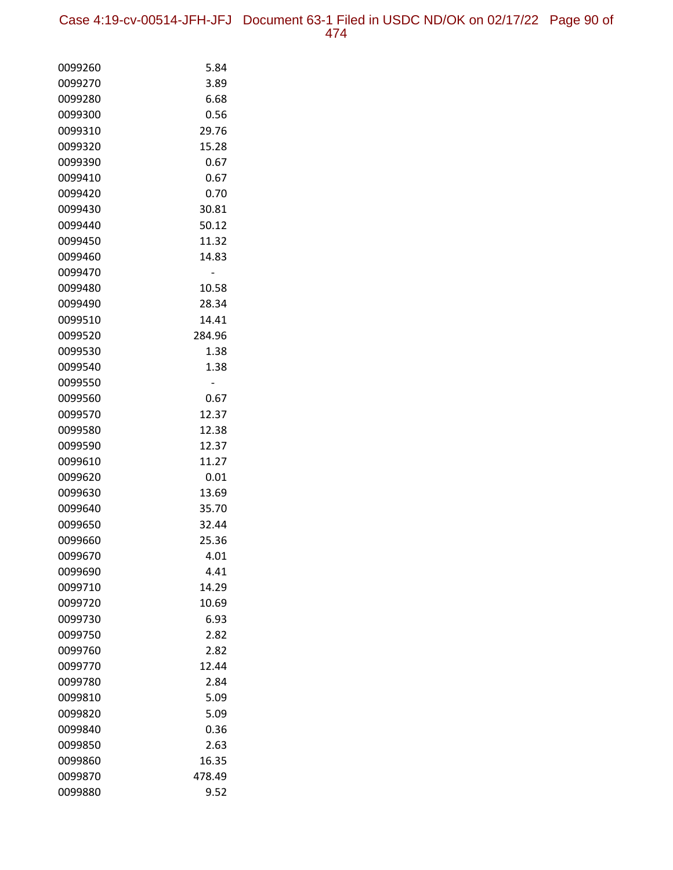| 0099260 | 5.84   |
|---------|--------|
| 0099270 | 3.89   |
| 0099280 | 6.68   |
| 0099300 | 0.56   |
| 0099310 | 29.76  |
| 0099320 | 15.28  |
| 0099390 | 0.67   |
| 0099410 | 0.67   |
| 0099420 | 0.70   |
| 0099430 | 30.81  |
| 0099440 | 50.12  |
| 0099450 | 11.32  |
| 0099460 | 14.83  |
| 0099470 |        |
| 0099480 | 10.58  |
| 0099490 | 28.34  |
| 0099510 | 14.41  |
| 0099520 | 284.96 |
| 0099530 | 1.38   |
| 0099540 | 1.38   |
| 0099550 |        |
| 0099560 | 0.67   |
| 0099570 | 12.37  |
| 0099580 | 12.38  |
| 0099590 | 12.37  |
| 0099610 | 11.27  |
| 0099620 | 0.01   |
| 0099630 | 13.69  |
| 0099640 | 35.70  |
| 0099650 | 32.44  |
| 0099660 | 25.36  |
| 0099670 | 4.01   |
| 0099690 | 4.41   |
| 0099710 | 14.29  |
| 0099720 | 10.69  |
| 0099730 | 6.93   |
| 0099750 | 2.82   |
| 0099760 | 2.82   |
| 0099770 | 12.44  |
| 0099780 | 2.84   |
| 0099810 | 5.09   |
| 0099820 | 5.09   |
| 0099840 | 0.36   |
| 0099850 | 2.63   |
| 0099860 | 16.35  |
| 0099870 | 478.49 |
| 0099880 | 9.52   |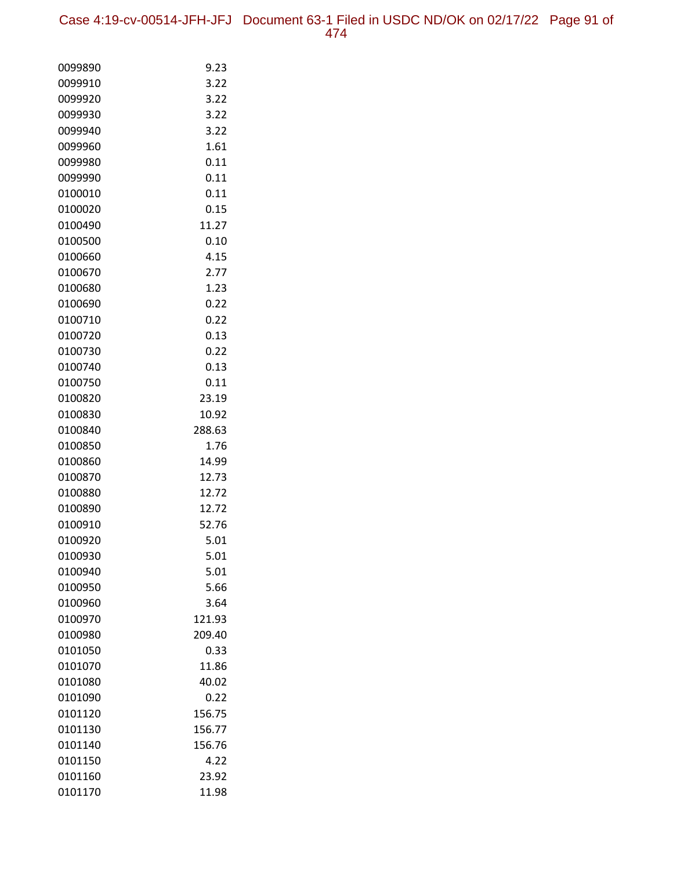| 0099890 | 9.23   |
|---------|--------|
| 0099910 | 3.22   |
| 0099920 | 3.22   |
| 0099930 | 3.22   |
| 0099940 | 3.22   |
| 0099960 | 1.61   |
| 0099980 | 0.11   |
| 0099990 | 0.11   |
| 0100010 | 0.11   |
| 0100020 | 0.15   |
| 0100490 | 11.27  |
| 0100500 | 0.10   |
| 0100660 | 4.15   |
| 0100670 | 2.77   |
| 0100680 | 1.23   |
| 0100690 | 0.22   |
| 0100710 | 0.22   |
| 0100720 | 0.13   |
| 0100730 | 0.22   |
| 0100740 | 0.13   |
| 0100750 | 0.11   |
| 0100820 | 23.19  |
| 0100830 | 10.92  |
| 0100840 | 288.63 |
| 0100850 | 1.76   |
| 0100860 | 14.99  |
| 0100870 | 12.73  |
| 0100880 | 12.72  |
| 0100890 | 12.72  |
| 0100910 | 52.76  |
| 0100920 | 5.01   |
| 0100930 | 5.01   |
| 0100940 | 5.01   |
| 0100950 | 5.66   |
| 0100960 | 3.64   |
| 0100970 | 121.93 |
| 0100980 | 209.40 |
| 0101050 | 0.33   |
| 0101070 | 11.86  |
| 0101080 | 40.02  |
| 0101090 | 0.22   |
| 0101120 | 156.75 |
| 0101130 | 156.77 |
| 0101140 | 156.76 |
| 0101150 | 4.22   |
| 0101160 | 23.92  |
| 0101170 | 11.98  |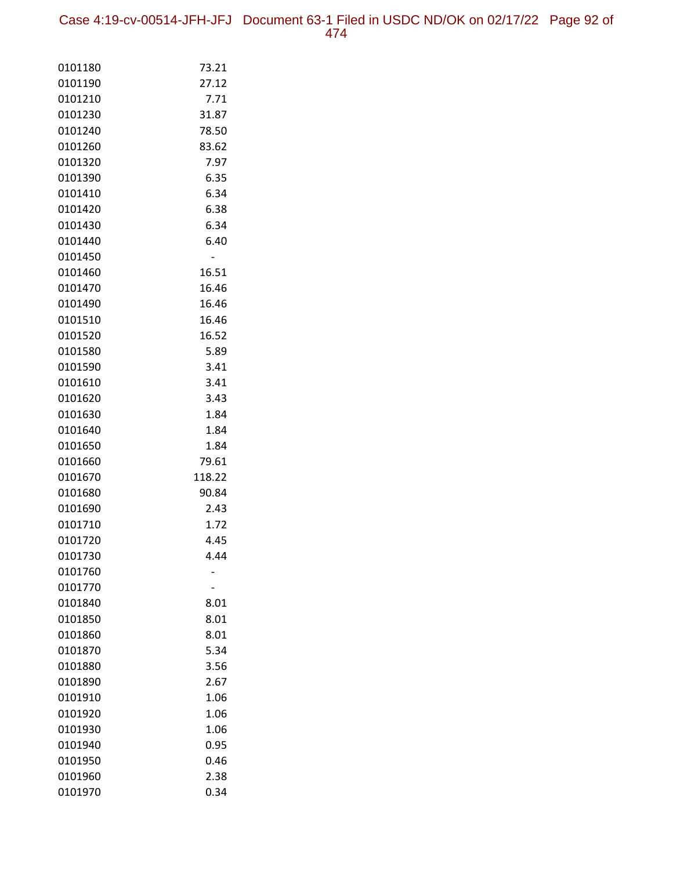Case 4:19-cv-00514-JFH-JFJ Document 63-1 Filed in USDC ND/OK on 02/17/22 Page 92 of 474

| 0101180            | 73.21        |
|--------------------|--------------|
| 0101190            | 27.12        |
| 0101210            | 7.71         |
| 0101230            | 31.87        |
| 0101240            | 78.50        |
| 0101260            | 83.62        |
| 0101320            | 7.97         |
| 0101390            | 6.35         |
| 0101410            | 6.34         |
| 0101420            | 6.38         |
| 0101430            | 6.34         |
| 0101440            | 6.40         |
| 0101450            |              |
| 0101460            | 16.51        |
| 0101470            | 16.46        |
| 0101490            | 16.46        |
| 0101510            | 16.46        |
| 0101520            | 16.52        |
| 0101580            | 5.89         |
| 0101590            | 3.41         |
| 0101610            | 3.41         |
| 0101620            | 3.43         |
| 0101630            | 1.84         |
| 0101640            | 1.84         |
| 0101650            | 1.84         |
| 0101660            | 79.61        |
| 0101670            | 118.22       |
| 0101680            | 90.84        |
| 0101690            | 2.43         |
| 0101710            | 1.72         |
| 0101720            | 4.45<br>4.44 |
| 0101730<br>0101760 |              |
| 0101770            |              |
| 0101840            | 8.01         |
| 0101850            | 8.01         |
| 0101860            | 8.01         |
| 0101870            | 5.34         |
| 0101880            | 3.56         |
| 0101890            | 2.67         |
| 0101910            | 1.06         |
| 0101920            | 1.06         |
| 0101930            | 1.06         |
| 0101940            | 0.95         |
| 0101950            | 0.46         |
| 0101960            | 2.38         |
| 0101970            | 0.34         |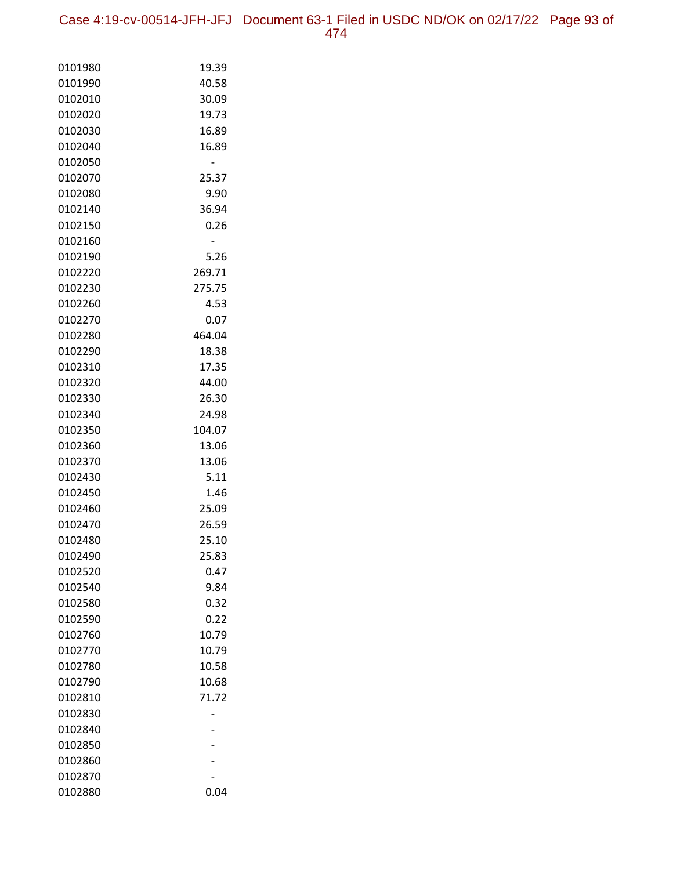Case 4:19-cv-00514-JFH-JFJ Document 63-1 Filed in USDC ND/OK on 02/17/22 Page 93 of 474

| 0101980 | 19.39  |
|---------|--------|
| 0101990 | 40.58  |
| 0102010 | 30.09  |
| 0102020 | 19.73  |
| 0102030 | 16.89  |
| 0102040 | 16.89  |
| 0102050 |        |
| 0102070 | 25.37  |
| 0102080 | 9.90   |
| 0102140 | 36.94  |
| 0102150 | 0.26   |
| 0102160 |        |
| 0102190 | 5.26   |
| 0102220 | 269.71 |
| 0102230 | 275.75 |
| 0102260 | 4.53   |
| 0102270 | 0.07   |
| 0102280 | 464.04 |
| 0102290 | 18.38  |
| 0102310 | 17.35  |
| 0102320 | 44.00  |
| 0102330 | 26.30  |
| 0102340 | 24.98  |
| 0102350 | 104.07 |
| 0102360 | 13.06  |
| 0102370 | 13.06  |
| 0102430 | 5.11   |
| 0102450 | 1.46   |
| 0102460 | 25.09  |
| 0102470 | 26.59  |
| 0102480 | 25.10  |
| 0102490 | 25.83  |
| 0102520 | 0.47   |
| 0102540 | 9.84   |
| 0102580 | 0.32   |
| 0102590 | 0.22   |
| 0102760 | 10.79  |
| 0102770 | 10.79  |
| 0102780 | 10.58  |
| 0102790 | 10.68  |
| 0102810 | 71.72  |
| 0102830 |        |
| 0102840 |        |
| 0102850 |        |
| 0102860 |        |
| 0102870 |        |
| 0102880 | 0.04   |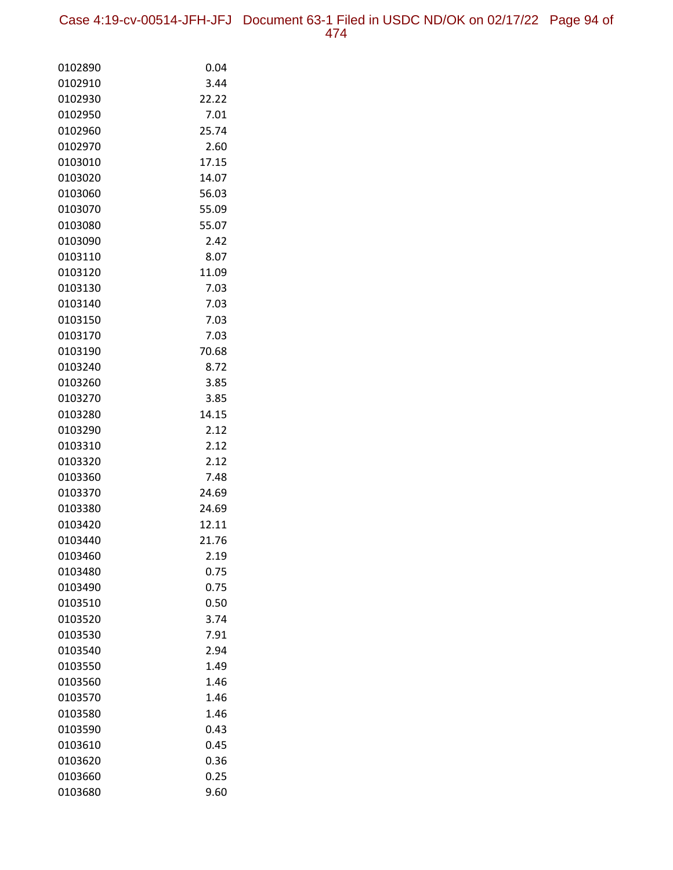Case 4:19-cv-00514-JFH-JFJ Document 63-1 Filed in USDC ND/OK on 02/17/22 Page 94 of 474

| 0102890            | 0.04         |
|--------------------|--------------|
| 0102910            | 3.44         |
| 0102930            | 22.22        |
| 0102950            | 7.01         |
| 0102960            | 25.74        |
| 0102970            | 2.60         |
| 0103010            | 17.15        |
| 0103020            | 14.07        |
| 0103060            | 56.03        |
| 0103070            | 55.09        |
| 0103080            | 55.07        |
| 0103090            | 2.42         |
| 0103110            | 8.07         |
| 0103120            | 11.09        |
| 0103130            | 7.03         |
| 0103140            | 7.03         |
| 0103150            | 7.03         |
| 0103170            | 7.03         |
| 0103190            | 70.68        |
| 0103240            | 8.72         |
| 0103260            | 3.85         |
| 0103270            | 3.85         |
| 0103280            | 14.15        |
| 0103290            | 2.12         |
| 0103310            | 2.12         |
| 0103320            | 2.12         |
| 0103360            | 7.48         |
| 0103370            | 24.69        |
| 0103380            | 24.69        |
| 0103420            | 12.11        |
| 0103440            | 21.76        |
| 0103460            | 2.19         |
| 0103480            | 0.75         |
| 0103490            | 0.75<br>0.50 |
| 0103510            | 3.74         |
| 0103520<br>0103530 |              |
|                    | 7.91         |
| 0103540            | 2.94         |
| 0103550<br>0103560 | 1.49<br>1.46 |
| 0103570            | 1.46         |
| 0103580            | 1.46         |
| 0103590            | 0.43         |
| 0103610            | 0.45         |
| 0103620            | 0.36         |
| 0103660            | 0.25         |
| 0103680            | 9.60         |
|                    |              |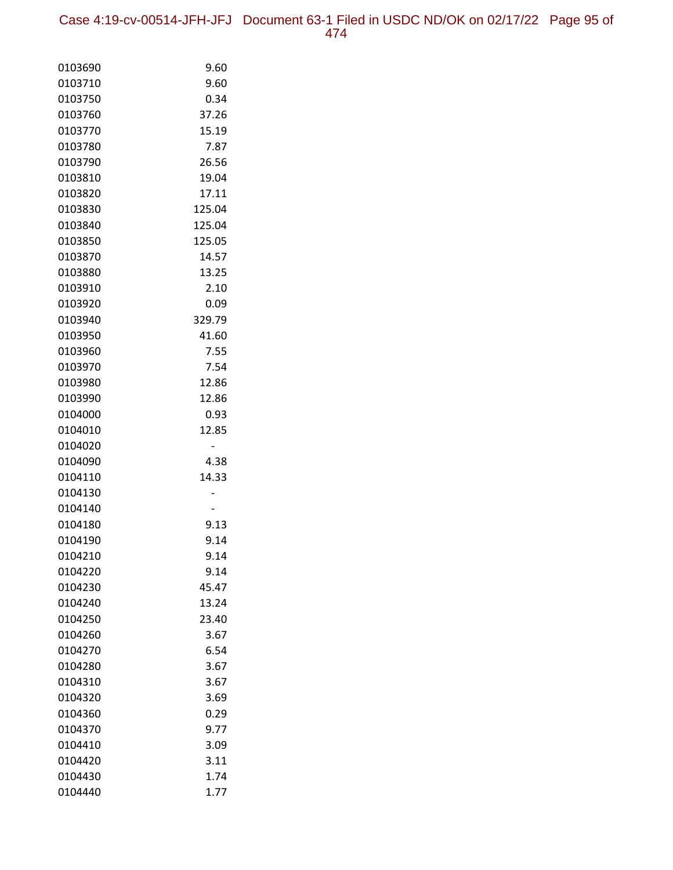Case 4:19-cv-00514-JFH-JFJ Document 63-1 Filed in USDC ND/OK on 02/17/22 Page 95 of 474

| 0103690            | 9.60         |
|--------------------|--------------|
| 0103710            | 9.60         |
| 0103750            | 0.34         |
| 0103760            | 37.26        |
| 0103770            | 15.19        |
| 0103780            | 7.87         |
| 0103790            | 26.56        |
| 0103810            | 19.04        |
| 0103820            | 17.11        |
| 0103830            | 125.04       |
| 0103840            | 125.04       |
| 0103850            | 125.05       |
| 0103870            | 14.57        |
| 0103880            | 13.25        |
| 0103910            | 2.10         |
| 0103920            | 0.09         |
| 0103940            | 329.79       |
| 0103950            | 41.60        |
| 0103960            | 7.55         |
| 0103970            | 7.54         |
| 0103980            | 12.86        |
| 0103990            | 12.86        |
| 0104000            | 0.93         |
| 0104010            | 12.85        |
| 0104020            |              |
| 0104090            | 4.38         |
| 0104110            | 14.33        |
| 0104130            |              |
| 0104140            |              |
| 0104180            | 9.13         |
| 0104190            | 9.14         |
| 0104210            | 9.14         |
| 0104220            | 9.14         |
| 0104230            | 45.47        |
| 0104240            | 13.24        |
| 0104250            | 23.40        |
| 0104260            | 3.67         |
| 0104270            | 6.54         |
| 0104280            | 3.67         |
| 0104310            | 3.67         |
| 0104320            | 3.69         |
| 0104360            | 0.29         |
| 0104370            | 9.77         |
| 0104410<br>0104420 | 3.09<br>3.11 |
|                    |              |
| 0104430<br>0104440 | 1.74<br>1.77 |
|                    |              |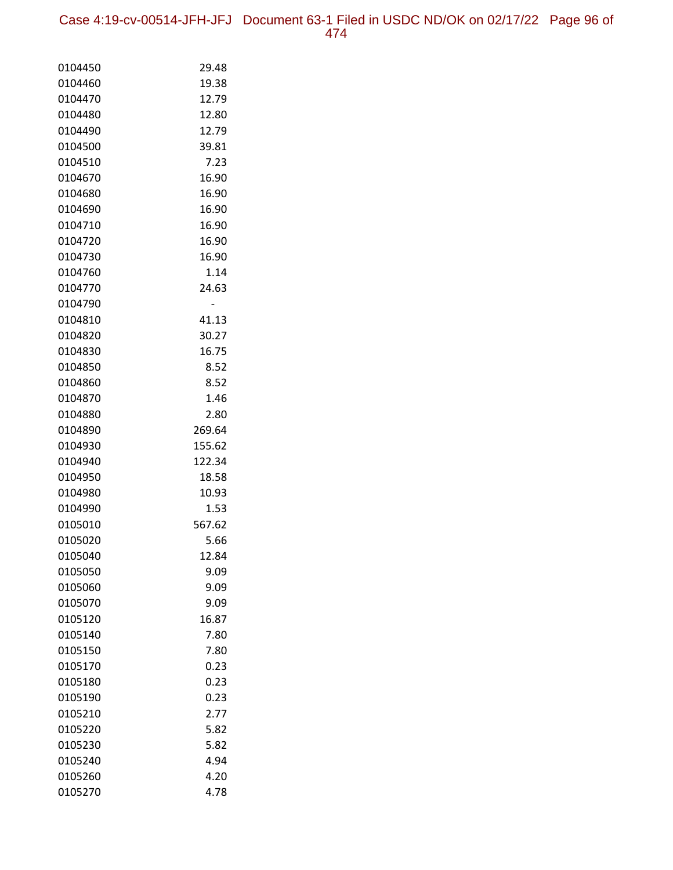Case 4:19-cv-00514-JFH-JFJ Document 63-1 Filed in USDC ND/OK on 02/17/22 Page 96 of 474

| 0104450            | 29.48          |
|--------------------|----------------|
| 0104460            | 19.38          |
| 0104470            | 12.79          |
| 0104480            | 12.80          |
| 0104490            | 12.79          |
| 0104500            | 39.81          |
| 0104510            | 7.23           |
| 0104670            | 16.90          |
| 0104680            | 16.90          |
| 0104690            | 16.90          |
| 0104710            | 16.90          |
| 0104720            | 16.90          |
| 0104730            | 16.90          |
| 0104760            | 1.14           |
| 0104770            | 24.63          |
| 0104790            |                |
| 0104810            | 41.13          |
| 0104820            | 30.27          |
| 0104830            | 16.75          |
| 0104850            | 8.52           |
| 0104860            | 8.52           |
| 0104870            | 1.46           |
| 0104880            | 2.80           |
| 0104890            | 269.64         |
| 0104930            | 155.62         |
| 0104940            | 122.34         |
| 0104950            | 18.58          |
| 0104980            | 10.93          |
| 0104990            | 1.53           |
| 0105010<br>0105020 | 567.62<br>5.66 |
| 0105040            | 12.84          |
| 0105050            | 9.09           |
| 0105060            | 9.09           |
| 0105070            | 9.09           |
| 0105120            | 16.87          |
| 0105140            | 7.80           |
| 0105150            | 7.80           |
| 0105170            | 0.23           |
| 0105180            | 0.23           |
| 0105190            | 0.23           |
| 0105210            | 2.77           |
| 0105220            | 5.82           |
| 0105230            | 5.82           |
| 0105240            | 4.94           |
| 0105260            | 4.20           |
| 0105270            | 4.78           |
|                    |                |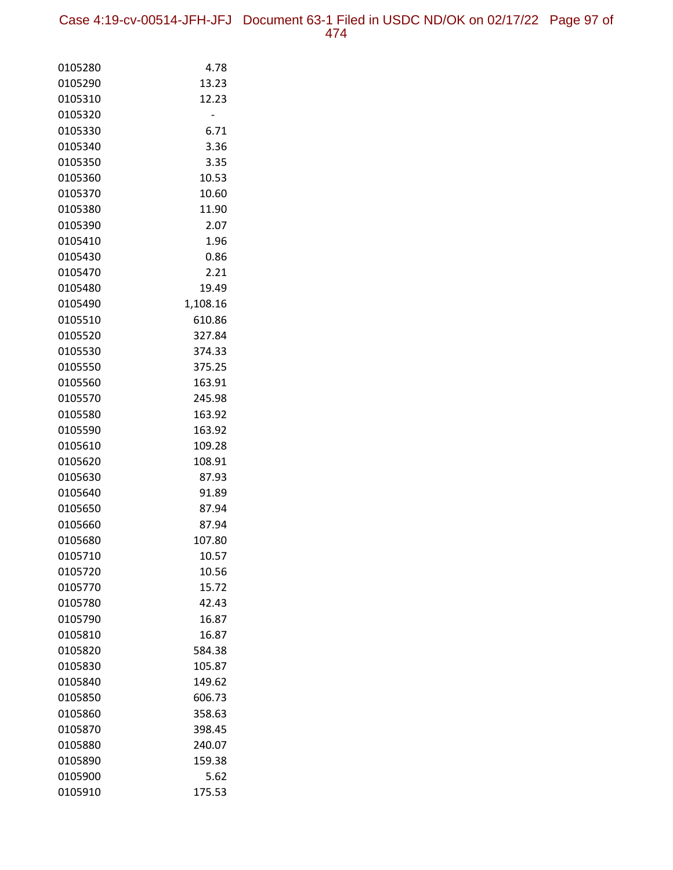| 0105280 | 4.78     |
|---------|----------|
| 0105290 | 13.23    |
| 0105310 | 12.23    |
| 0105320 |          |
| 0105330 | 6.71     |
| 0105340 | 3.36     |
| 0105350 | 3.35     |
| 0105360 | 10.53    |
| 0105370 | 10.60    |
| 0105380 | 11.90    |
| 0105390 | 2.07     |
| 0105410 | 1.96     |
| 0105430 | 0.86     |
| 0105470 | 2.21     |
| 0105480 | 19.49    |
| 0105490 | 1,108.16 |
| 0105510 | 610.86   |
| 0105520 | 327.84   |
| 0105530 | 374.33   |
| 0105550 | 375.25   |
| 0105560 | 163.91   |
| 0105570 | 245.98   |
| 0105580 | 163.92   |
| 0105590 | 163.92   |
| 0105610 | 109.28   |
| 0105620 | 108.91   |
| 0105630 | 87.93    |
| 0105640 | 91.89    |
| 0105650 | 87.94    |
| 0105660 | 87.94    |
| 0105680 | 107.80   |
| 0105710 | 10.57    |
| 0105720 | 10.56    |
| 0105770 | 15.72    |
| 0105780 | 42.43    |
| 0105790 | 16.87    |
| 0105810 | 16.87    |
| 0105820 | 584.38   |
| 0105830 | 105.87   |
| 0105840 | 149.62   |
| 0105850 | 606.73   |
| 0105860 | 358.63   |
| 0105870 | 398.45   |
| 0105880 | 240.07   |
| 0105890 | 159.38   |
| 0105900 | 5.62     |
| 0105910 | 175.53   |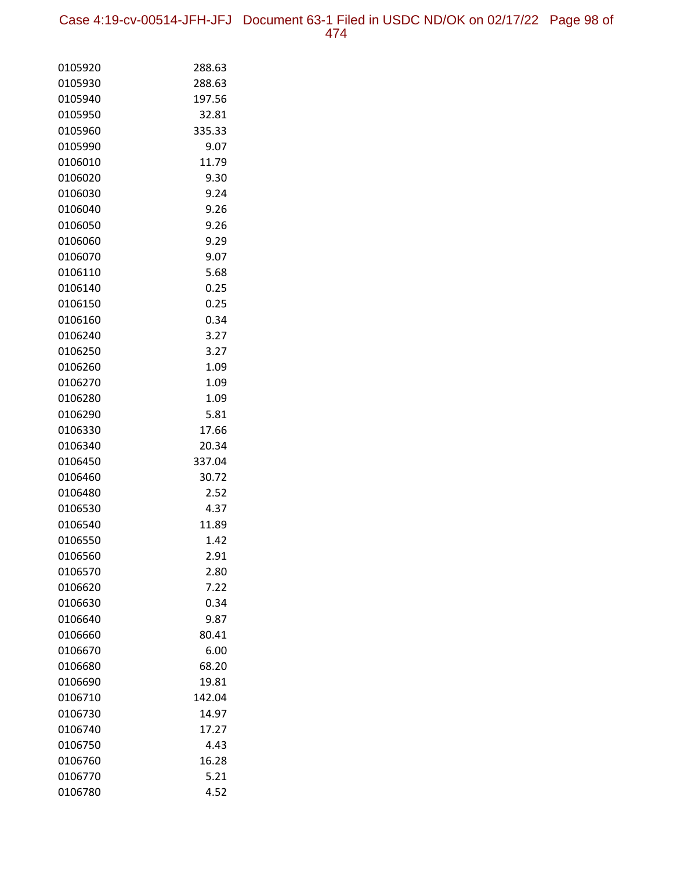Case 4:19-cv-00514-JFH-JFJ Document 63-1 Filed in USDC ND/OK on 02/17/22 Page 98 of 474

| 0105920 | 288.63 |
|---------|--------|
| 0105930 | 288.63 |
| 0105940 | 197.56 |
| 0105950 | 32.81  |
| 0105960 | 335.33 |
| 0105990 | 9.07   |
| 0106010 | 11.79  |
| 0106020 | 9.30   |
| 0106030 | 9.24   |
| 0106040 | 9.26   |
| 0106050 | 9.26   |
| 0106060 | 9.29   |
| 0106070 | 9.07   |
| 0106110 | 5.68   |
| 0106140 | 0.25   |
| 0106150 | 0.25   |
| 0106160 | 0.34   |
| 0106240 | 3.27   |
| 0106250 | 3.27   |
| 0106260 | 1.09   |
| 0106270 | 1.09   |
| 0106280 | 1.09   |
| 0106290 | 5.81   |
| 0106330 | 17.66  |
| 0106340 | 20.34  |
| 0106450 | 337.04 |
| 0106460 | 30.72  |
| 0106480 | 2.52   |
| 0106530 | 4.37   |
| 0106540 | 11.89  |
| 0106550 | 1.42   |
| 0106560 | 2.91   |
| 0106570 | 2.80   |
| 0106620 | 7.22   |
| 0106630 | 0.34   |
| 0106640 | 9.87   |
| 0106660 | 80.41  |
| 0106670 | 6.00   |
| 0106680 | 68.20  |
| 0106690 | 19.81  |
| 0106710 | 142.04 |
| 0106730 | 14.97  |
| 0106740 | 17.27  |
| 0106750 | 4.43   |
| 0106760 | 16.28  |
| 0106770 | 5.21   |
| 0106780 | 4.52   |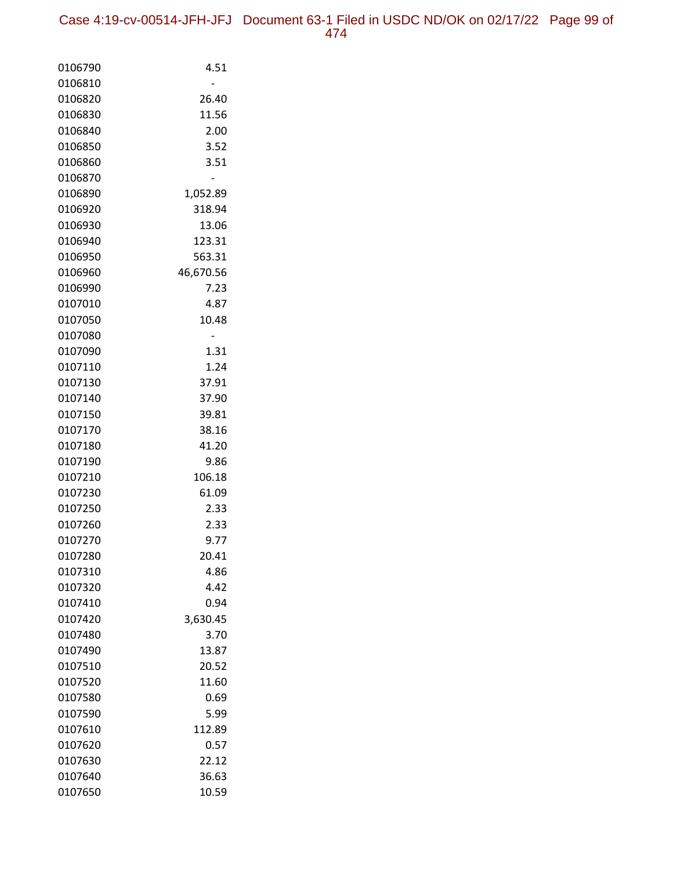| 0106790 | 4.51      |
|---------|-----------|
| 0106810 |           |
| 0106820 | 26.40     |
| 0106830 | 11.56     |
| 0106840 | 2.00      |
| 0106850 | 3.52      |
| 0106860 | 3.51      |
| 0106870 |           |
| 0106890 | 1,052.89  |
| 0106920 | 318.94    |
| 0106930 | 13.06     |
| 0106940 | 123.31    |
| 0106950 | 563.31    |
| 0106960 | 46,670.56 |
| 0106990 | 7.23      |
| 0107010 | 4.87      |
| 0107050 | 10.48     |
| 0107080 |           |
| 0107090 | 1.31      |
| 0107110 | 1.24      |
| 0107130 | 37.91     |
| 0107140 | 37.90     |
| 0107150 | 39.81     |
| 0107170 | 38.16     |
| 0107180 | 41.20     |
| 0107190 | 9.86      |
| 0107210 | 106.18    |
| 0107230 | 61.09     |
| 0107250 | 2.33      |
| 0107260 | 2.33      |
| 0107270 | 9.77      |
| 0107280 | 20.41     |
| 0107310 | 4.86      |
| 0107320 | 4.42      |
| 0107410 | 0.94      |
| 0107420 | 3,630.45  |
| 0107480 | 3.70      |
| 0107490 | 13.87     |
| 0107510 | 20.52     |
| 0107520 | 11.60     |
| 0107580 | 0.69      |
| 0107590 | 5.99      |
| 0107610 | 112.89    |
| 0107620 | 0.57      |
| 0107630 | 22.12     |
| 0107640 | 36.63     |
| 0107650 | 10.59     |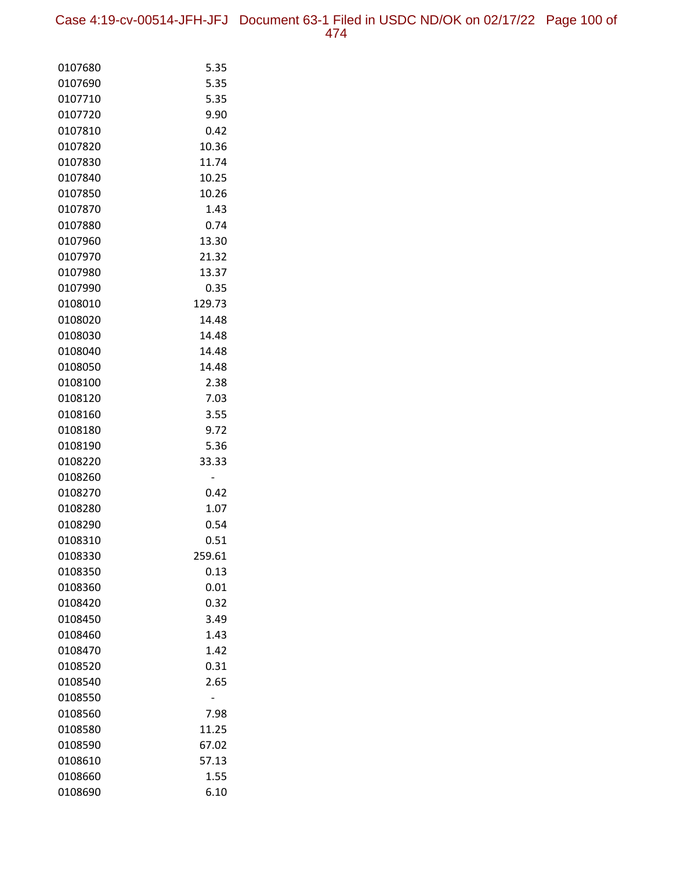Case 4:19-cv-00514-JFH-JFJ Document 63-1 Filed in USDC ND/OK on 02/17/22 Page 100 of 474

| 0107680            | 5.35         |
|--------------------|--------------|
| 0107690            | 5.35         |
| 0107710            | 5.35         |
| 0107720            | 9.90         |
| 0107810            | 0.42         |
| 0107820            | 10.36        |
| 0107830            | 11.74        |
| 0107840            | 10.25        |
| 0107850            | 10.26        |
| 0107870            | 1.43         |
| 0107880            | 0.74         |
| 0107960            | 13.30        |
| 0107970            | 21.32        |
| 0107980            | 13.37        |
| 0107990            | 0.35         |
| 0108010            | 129.73       |
| 0108020            | 14.48        |
| 0108030            | 14.48        |
| 0108040            | 14.48        |
| 0108050            | 14.48        |
| 0108100            | 2.38         |
| 0108120            | 7.03         |
| 0108160            | 3.55         |
| 0108180<br>0108190 | 9.72<br>5.36 |
| 0108220            | 33.33        |
| 0108260            |              |
| 0108270            | 0.42         |
| 0108280            | 1.07         |
| 0108290            | 0.54         |
| 0108310            | 0.51         |
| 0108330            | 259.61       |
| 0108350            | 0.13         |
| 0108360            | 0.01         |
| 0108420            | 0.32         |
| 0108450            | 3.49         |
| 0108460            | 1.43         |
| 0108470            | 1.42         |
| 0108520            | 0.31         |
| 0108540            | 2.65         |
| 0108550            |              |
| 0108560            | 7.98         |
| 0108580            | 11.25        |
| 0108590            | 67.02        |
| 0108610            | 57.13        |
| 0108660            | 1.55         |
| 0108690            | 6.10         |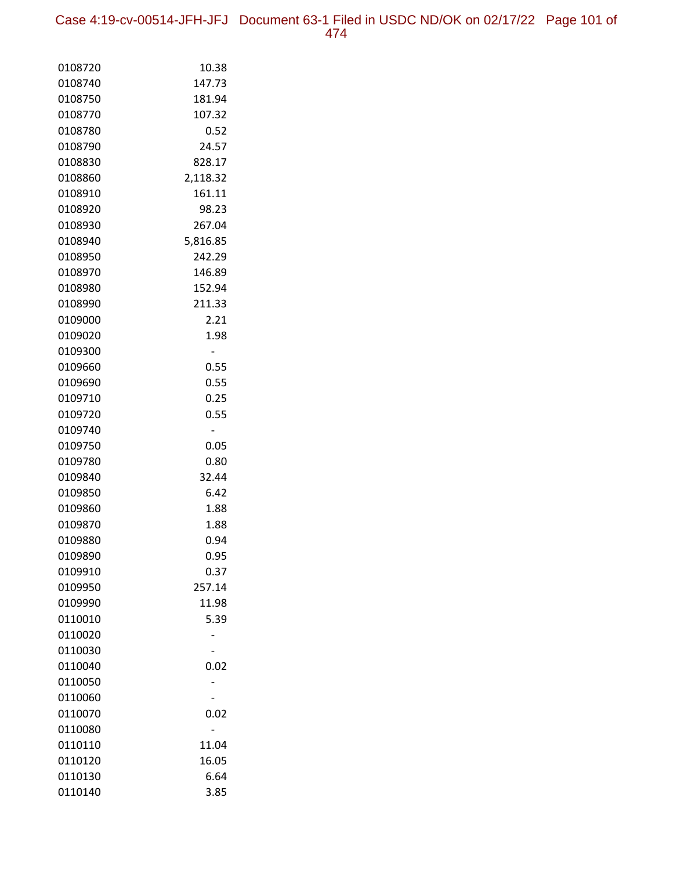Case 4:19-cv-00514-JFH-JFJ Document 63-1 Filed in USDC ND/OK on 02/17/22 Page 101 of

|--|--|

| 0108720 | 10.38    |
|---------|----------|
| 0108740 | 147.73   |
| 0108750 | 181.94   |
| 0108770 | 107.32   |
| 0108780 | 0.52     |
| 0108790 | 24.57    |
| 0108830 | 828.17   |
| 0108860 | 2,118.32 |
| 0108910 | 161.11   |
| 0108920 | 98.23    |
| 0108930 | 267.04   |
| 0108940 | 5,816.85 |
| 0108950 | 242.29   |
| 0108970 | 146.89   |
| 0108980 | 152.94   |
| 0108990 | 211.33   |
| 0109000 | 2.21     |
| 0109020 | 1.98     |
| 0109300 | -        |
| 0109660 | 0.55     |
| 0109690 | 0.55     |
| 0109710 | 0.25     |
| 0109720 | 0.55     |
| 0109740 | -        |
| 0109750 | 0.05     |
| 0109780 | 0.80     |
| 0109840 | 32.44    |
| 0109850 | 6.42     |
| 0109860 | 1.88     |
| 0109870 | 1.88     |
| 0109880 | 0.94     |
| 0109890 | 0.95     |
| 0109910 | 0.37     |
| 0109950 | 257.14   |
| 0109990 | 11.98    |
| 0110010 | 5.39     |
| 0110020 |          |
| 0110030 |          |
| 0110040 | 0.02     |
| 0110050 |          |
| 0110060 |          |
| 0110070 | 0.02     |
| 0110080 |          |
| 0110110 | 11.04    |
| 0110120 | 16.05    |
| 0110130 | 6.64     |
| 0110140 | 3.85     |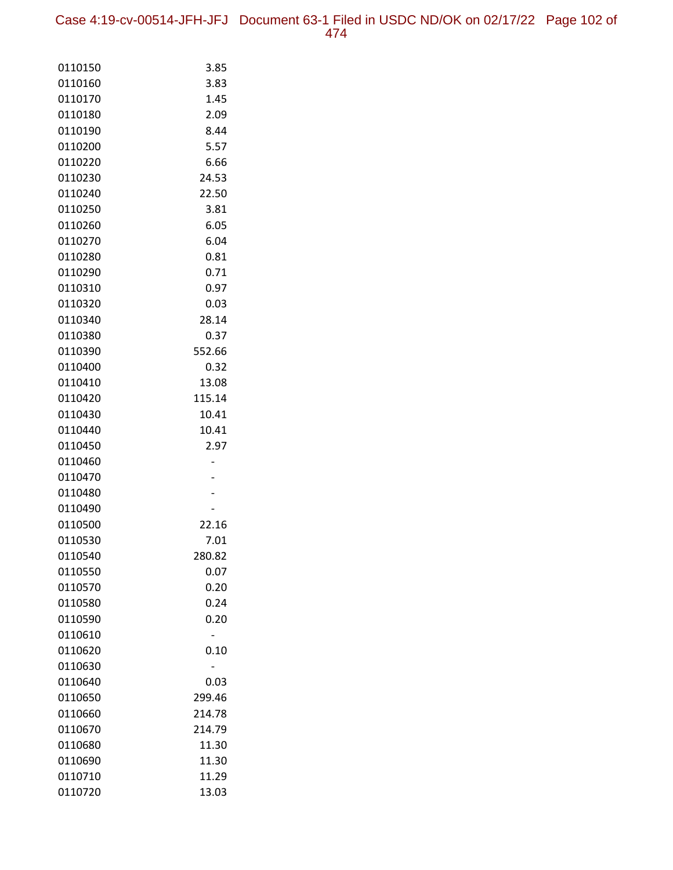Case 4:19-cv-00514-JFH-JFJ Document 63-1 Filed in USDC ND/OK on 02/17/22 Page 102 of 474

| 0110150            | 3.85   |
|--------------------|--------|
| 0110160            | 3.83   |
| 0110170            | 1.45   |
| 0110180            | 2.09   |
| 0110190            | 8.44   |
| 0110200            | 5.57   |
| 0110220            | 6.66   |
| 0110230            | 24.53  |
| 0110240            | 22.50  |
| 0110250            | 3.81   |
| 0110260            | 6.05   |
| 0110270            | 6.04   |
| 0110280            | 0.81   |
| 0110290            | 0.71   |
| 0110310            | 0.97   |
| 0110320            | 0.03   |
| 0110340            | 28.14  |
| 0110380            | 0.37   |
| 0110390            | 552.66 |
| 0110400            | 0.32   |
| 0110410            | 13.08  |
| 0110420            | 115.14 |
| 0110430            | 10.41  |
| 0110440            | 10.41  |
| 0110450            | 2.97   |
| 0110460<br>0110470 |        |
| 0110480            |        |
| 0110490            |        |
| 0110500            | 22.16  |
| 0110530            | 7.01   |
| 0110540            | 280.82 |
| 0110550            | 0.07   |
| 0110570            | 0.20   |
| 0110580            | 0.24   |
| 0110590            | 0.20   |
| 0110610            |        |
| 0110620            | 0.10   |
| 0110630            |        |
| 0110640            | 0.03   |
| 0110650            | 299.46 |
| 0110660            | 214.78 |
| 0110670            | 214.79 |
| 0110680            | 11.30  |
| 0110690            | 11.30  |
| 0110710            | 11.29  |
| 0110720            | 13.03  |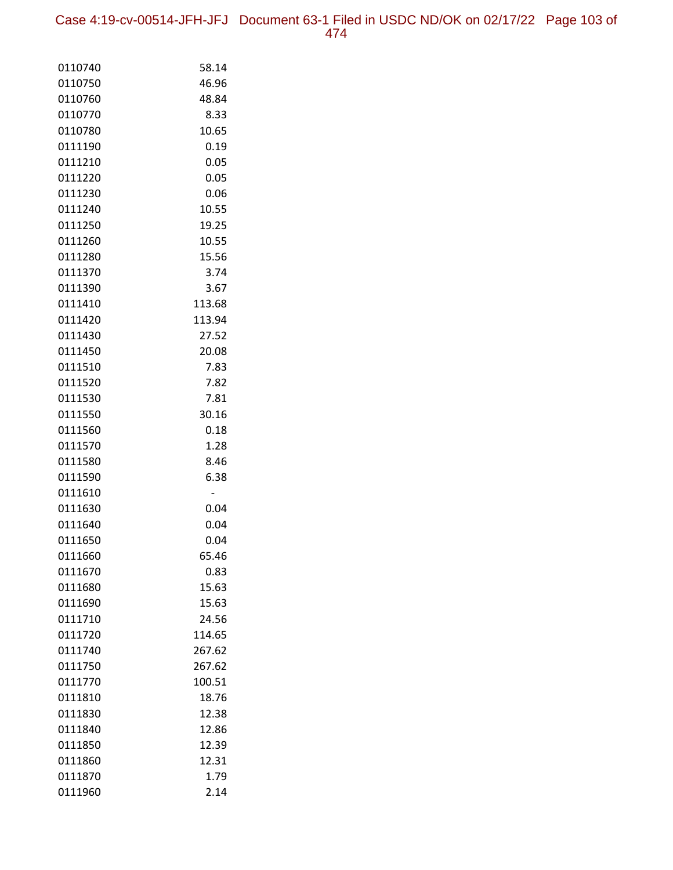Case 4:19-cv-00514-JFH-JFJ Document 63-1 Filed in USDC ND/OK on 02/17/22 Page 103 of 474

| 0110740 | 58.14  |
|---------|--------|
| 0110750 | 46.96  |
| 0110760 | 48.84  |
| 0110770 | 8.33   |
| 0110780 | 10.65  |
| 0111190 | 0.19   |
| 0111210 | 0.05   |
| 0111220 | 0.05   |
| 0111230 | 0.06   |
| 0111240 | 10.55  |
| 0111250 | 19.25  |
| 0111260 | 10.55  |
| 0111280 | 15.56  |
| 0111370 | 3.74   |
| 0111390 | 3.67   |
| 0111410 | 113.68 |
| 0111420 | 113.94 |
| 0111430 | 27.52  |
| 0111450 | 20.08  |
| 0111510 | 7.83   |
| 0111520 | 7.82   |
| 0111530 | 7.81   |
| 0111550 | 30.16  |
| 0111560 | 0.18   |
| 0111570 | 1.28   |
| 0111580 | 8.46   |
| 0111590 | 6.38   |
| 0111610 |        |
| 0111630 | 0.04   |
| 0111640 | 0.04   |
| 0111650 | 0.04   |
| 0111660 | 65.46  |
| 0111670 | 0.83   |
| 0111680 | 15.63  |
| 0111690 | 15.63  |
| 0111710 | 24.56  |
| 0111720 | 114.65 |
| 0111740 | 267.62 |
| 0111750 | 267.62 |
| 0111770 | 100.51 |
| 0111810 | 18.76  |
| 0111830 | 12.38  |
| 0111840 | 12.86  |
| 0111850 | 12.39  |
| 0111860 | 12.31  |
| 0111870 | 1.79   |
| 0111960 | 2.14   |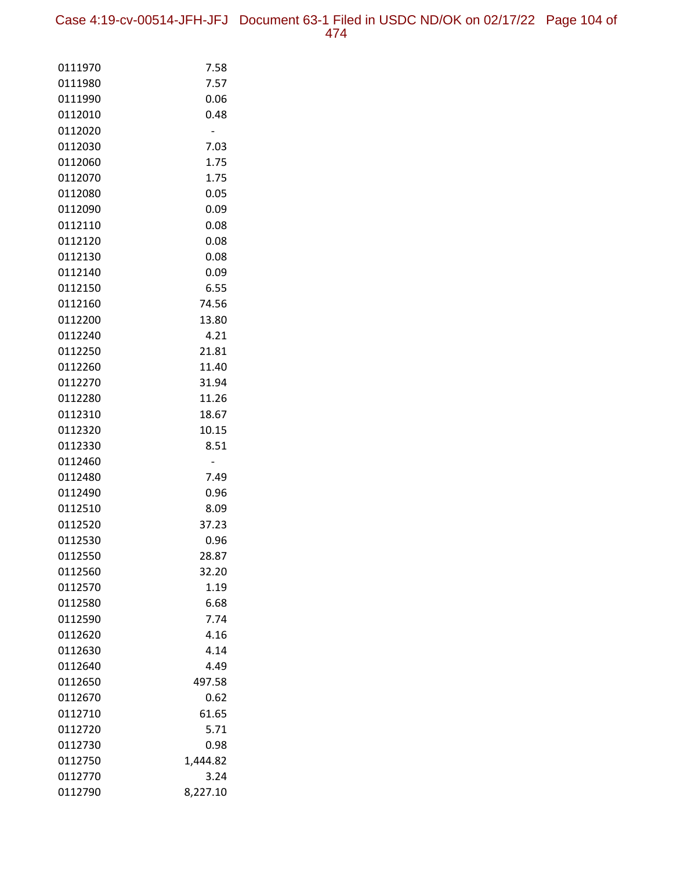Case 4:19-cv-00514-JFH-JFJ Document 63-1 Filed in USDC ND/OK on 02/17/22 Page 104 of 474

| 0111970            | 7.58     |
|--------------------|----------|
| 0111980            | 7.57     |
| 0111990            | 0.06     |
| 0112010            | 0.48     |
| 0112020            |          |
| 0112030            | 7.03     |
| 0112060            | 1.75     |
| 0112070            | 1.75     |
| 0112080            | 0.05     |
| 0112090            | 0.09     |
| 0112110            | 0.08     |
| 0112120            | 0.08     |
| 0112130            | 0.08     |
| 0112140            | 0.09     |
| 0112150            | 6.55     |
| 0112160            | 74.56    |
| 0112200            | 13.80    |
| 0112240            | 4.21     |
| 0112250            | 21.81    |
| 0112260            | 11.40    |
| 0112270            | 31.94    |
| 0112280            | 11.26    |
| 0112310            | 18.67    |
| 0112320            | 10.15    |
| 0112330<br>0112460 | 8.51     |
| 0112480            | 7.49     |
| 0112490            | 0.96     |
| 0112510            | 8.09     |
| 0112520            | 37.23    |
| 0112530            | 0.96     |
| 0112550            | 28.87    |
| 0112560            | 32.20    |
| 0112570            | 1.19     |
| 0112580            | 6.68     |
| 0112590            | 7.74     |
| 0112620            | 4.16     |
| 0112630            | 4.14     |
| 0112640            | 4.49     |
| 0112650            | 497.58   |
| 0112670            | 0.62     |
| 0112710            | 61.65    |
| 0112720            | 5.71     |
| 0112730            | 0.98     |
| 0112750            | 1,444.82 |
| 0112770            | 3.24     |
| 0112790            | 8,227.10 |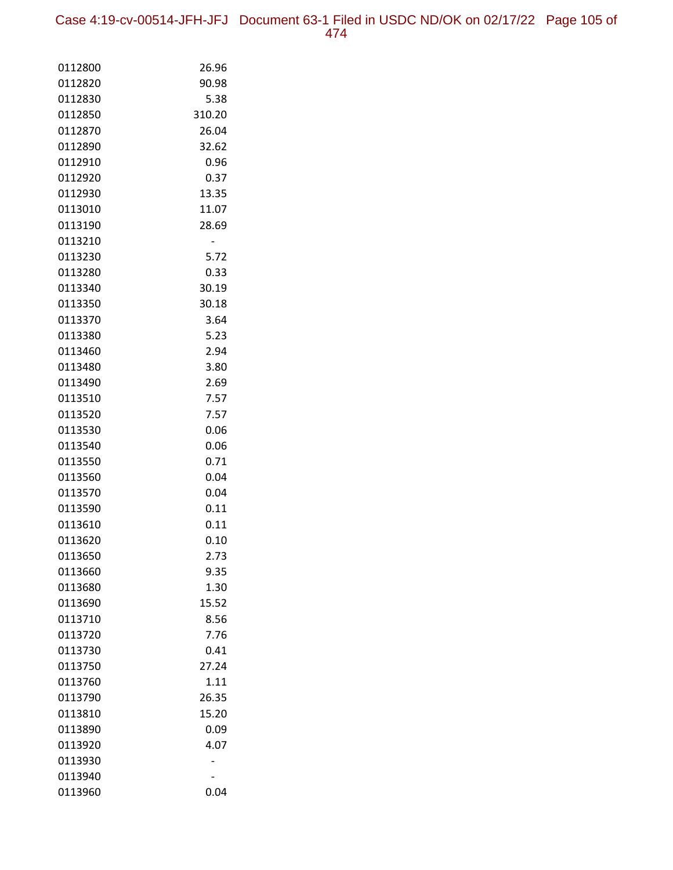Case 4:19-cv-00514-JFH-JFJ Document 63-1 Filed in USDC ND/OK on 02/17/22 Page 105 of 474

| 0112800 | 26.96  |
|---------|--------|
| 0112820 | 90.98  |
| 0112830 | 5.38   |
| 0112850 | 310.20 |
| 0112870 | 26.04  |
| 0112890 | 32.62  |
| 0112910 | 0.96   |
| 0112920 | 0.37   |
| 0112930 | 13.35  |
| 0113010 | 11.07  |
| 0113190 | 28.69  |
| 0113210 |        |
| 0113230 | 5.72   |
| 0113280 | 0.33   |
| 0113340 | 30.19  |
| 0113350 | 30.18  |
| 0113370 | 3.64   |
| 0113380 | 5.23   |
| 0113460 | 2.94   |
| 0113480 | 3.80   |
| 0113490 | 2.69   |
| 0113510 | 7.57   |
| 0113520 | 7.57   |
| 0113530 | 0.06   |
| 0113540 | 0.06   |
| 0113550 | 0.71   |
| 0113560 | 0.04   |
| 0113570 | 0.04   |
| 0113590 | 0.11   |
| 0113610 | 0.11   |
| 0113620 | 0.10   |
| 0113650 | 2.73   |
| 0113660 | 9.35   |
| 0113680 | 1.30   |
| 0113690 | 15.52  |
| 0113710 | 8.56   |
| 0113720 | 7.76   |
| 0113730 | 0.41   |
| 0113750 | 27.24  |
| 0113760 | 1.11   |
| 0113790 | 26.35  |
| 0113810 | 15.20  |
| 0113890 | 0.09   |
| 0113920 | 4.07   |
| 0113930 |        |
| 0113940 |        |
| 0113960 | 0.04   |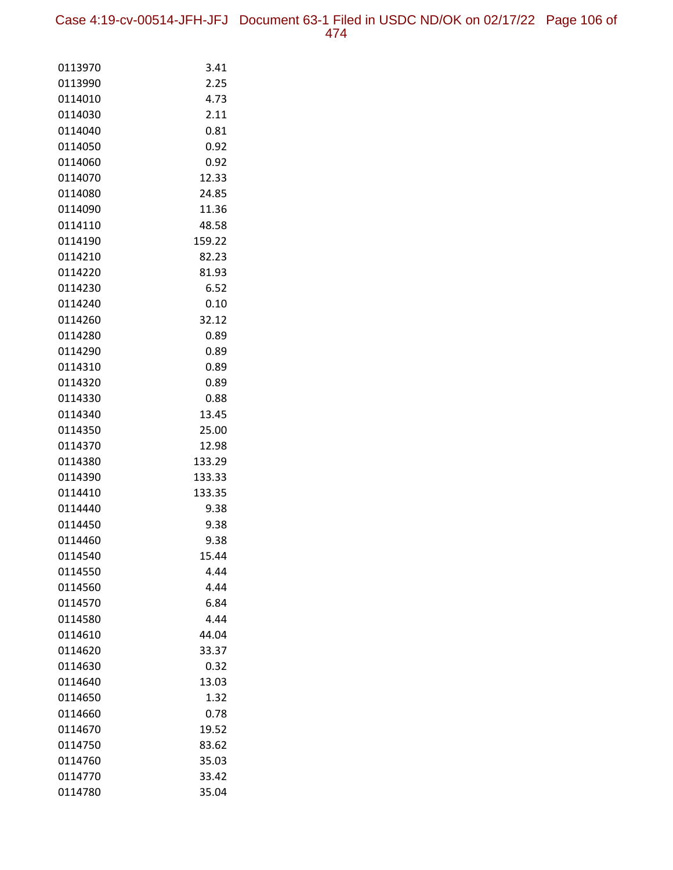Case 4:19-cv-00514-JFH-JFJ Document 63-1 Filed in USDC ND/OK on 02/17/22 Page 106 of 474

| 0113970            | 3.41         |
|--------------------|--------------|
| 0113990            | 2.25         |
| 0114010            | 4.73         |
| 0114030            | 2.11         |
| 0114040            | 0.81         |
| 0114050            | 0.92         |
| 0114060            | 0.92         |
| 0114070            | 12.33        |
| 0114080            | 24.85        |
| 0114090            | 11.36        |
| 0114110            | 48.58        |
| 0114190            | 159.22       |
| 0114210            | 82.23        |
| 0114220            | 81.93        |
| 0114230            | 6.52         |
| 0114240            | 0.10         |
| 0114260            | 32.12        |
| 0114280            | 0.89         |
| 0114290            | 0.89         |
| 0114310            | 0.89         |
| 0114320            | 0.89         |
| 0114330            | 0.88         |
| 0114340            | 13.45        |
| 0114350            | 25.00        |
| 0114370            | 12.98        |
| 0114380            | 133.29       |
| 0114390            | 133.33       |
| 0114410            | 133.35       |
| 0114440            | 9.38         |
| 0114450            | 9.38<br>9.38 |
| 0114460            | 15.44        |
| 0114540<br>0114550 | 4.44         |
| 0114560            | 4.44         |
| 0114570            | 6.84         |
| 0114580            | 4.44         |
| 0114610            | 44.04        |
| 0114620            | 33.37        |
| 0114630            | 0.32         |
| 0114640            | 13.03        |
| 0114650            | 1.32         |
| 0114660            | 0.78         |
| 0114670            | 19.52        |
| 0114750            | 83.62        |
| 0114760            | 35.03        |
| 0114770            | 33.42        |
| 0114780            | 35.04        |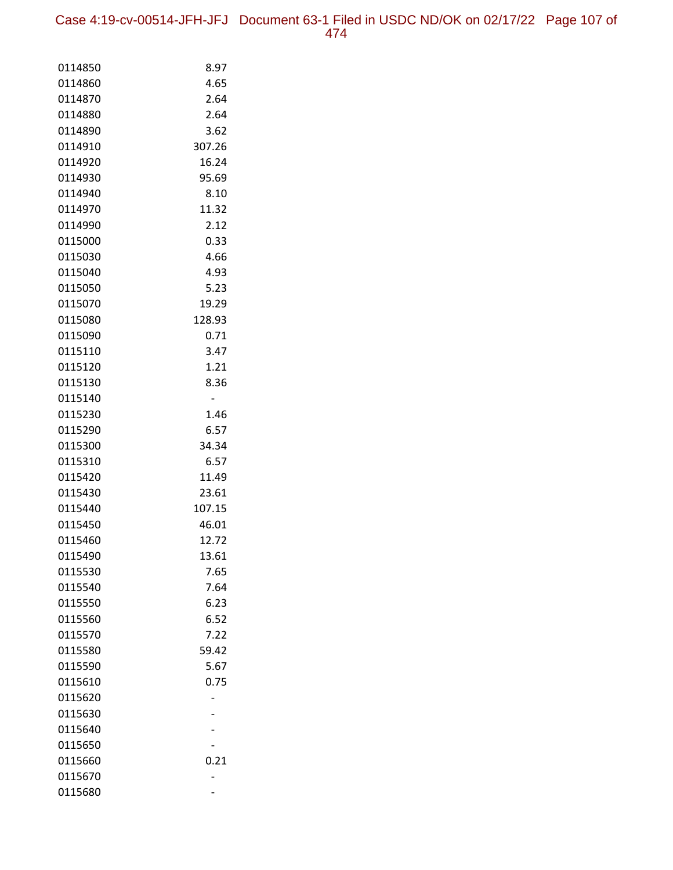Case 4:19-cv-00514-JFH-JFJ Document 63-1 Filed in USDC ND/OK on 02/17/22 Page 107 of 474

| 0114850            | 8.97            |
|--------------------|-----------------|
| 0114860            | 4.65            |
| 0114870            | 2.64            |
| 0114880            | 2.64            |
| 0114890            | 3.62            |
| 0114910            | 307.26          |
| 0114920            | 16.24           |
| 0114930            | 95.69           |
| 0114940            | 8.10            |
| 0114970            | 11.32           |
| 0114990            | 2.12            |
| 0115000            | 0.33            |
| 0115030            | 4.66            |
| 0115040            | 4.93            |
| 0115050            | 5.23            |
| 0115070            | 19.29           |
| 0115080            | 128.93          |
| 0115090            | 0.71            |
| 0115110            | 3.47            |
| 0115120            | 1.21            |
| 0115130            | 8.36            |
| 0115140            |                 |
| 0115230            | 1.46            |
| 0115290            | 6.57            |
| 0115300            | 34.34           |
| 0115310            | 6.57            |
| 0115420<br>0115430 | 11.49           |
| 0115440            | 23.61<br>107.15 |
| 0115450            | 46.01           |
| 0115460            | 12.72           |
| 0115490            | 13.61           |
| 0115530            | 7.65            |
| 0115540            | 7.64            |
| 0115550            | 6.23            |
| 0115560            | 6.52            |
| 0115570            | 7.22            |
| 0115580            | 59.42           |
| 0115590            | 5.67            |
| 0115610            | 0.75            |
| 0115620            |                 |
| 0115630            |                 |
| 0115640            |                 |
| 0115650            |                 |
| 0115660            | 0.21            |
| 0115670            |                 |
| 0115680            |                 |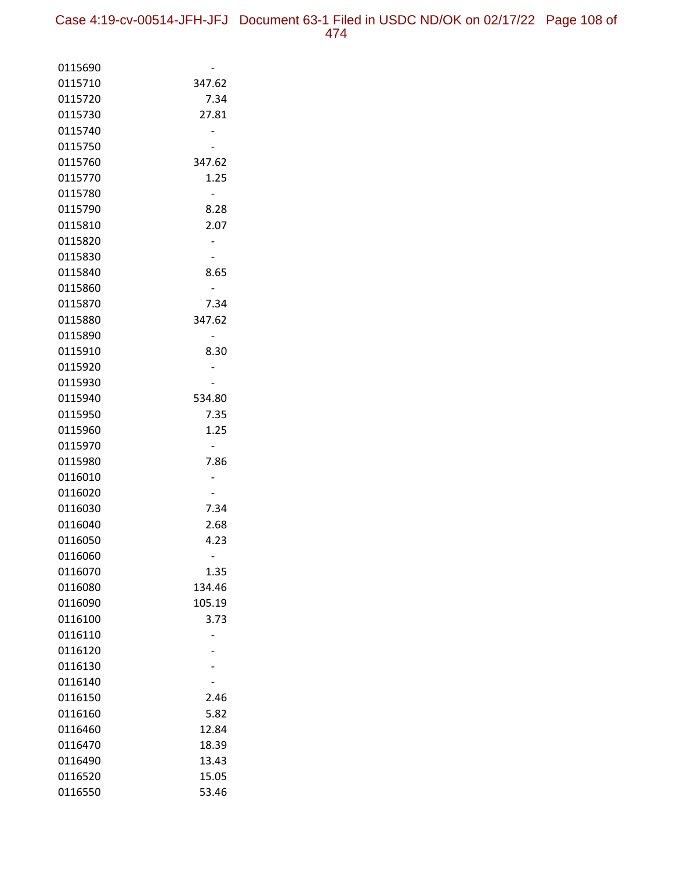| 0115690            |                |
|--------------------|----------------|
| 0115710            | 347.62         |
| 0115720            | 7.34           |
| 0115730            | 27.81          |
| 0115740            |                |
| 0115750            |                |
| 0115760            | 347.62         |
| 0115770            | 1.25           |
| 0115780            |                |
| 0115790            | 8.28           |
| 0115810            | 2.07           |
| 0115820            |                |
| 0115830            |                |
| 0115840            | 8.65           |
| 0115860            |                |
| 0115870            | 7.34           |
| 0115880            | 347.62         |
| 0115890            |                |
| 0115910            | 8.30           |
| 0115920            |                |
| 0115930            |                |
| 0115940            | 534.80         |
| 0115950            | 7.35           |
| 0115960            | 1.25           |
| 0115970            |                |
| 0115980            | 7.86           |
| 0116010            |                |
| 0116020            |                |
| 0116030            | 7.34           |
| 0116040            | 2.68           |
| 0116050            | 4.23           |
| 0116060            |                |
| 0116070<br>0116080 | 1.35<br>134.46 |
| 0116090            | 105.19         |
| 0116100            | 3.73           |
| 0116110            |                |
| 0116120            |                |
| 0116130            |                |
| 0116140            |                |
| 0116150            |                |
| 0116160            | 2.46<br>5.82   |
| 0116460            | 12.84          |
| 0116470            | 18.39          |
| 0116490            | 13.43          |
| 0116520            | 15.05          |
| 0116550            | 53.46          |
|                    |                |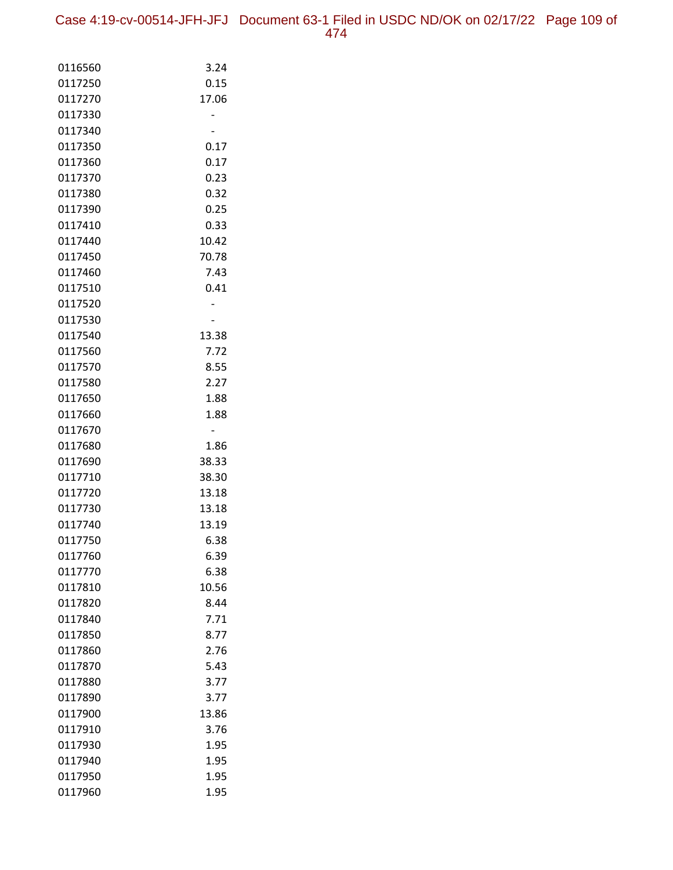| 0116560            | 3.24         |
|--------------------|--------------|
| 0117250            | 0.15         |
| 0117270            | 17.06        |
| 0117330            |              |
| 0117340            |              |
| 0117350            | 0.17         |
| 0117360            | 0.17         |
| 0117370            | 0.23         |
| 0117380            | 0.32         |
| 0117390            | 0.25         |
| 0117410            | 0.33         |
| 0117440            | 10.42        |
| 0117450            | 70.78        |
| 0117460            | 7.43         |
| 0117510            | 0.41         |
| 0117520            |              |
| 0117530            |              |
| 0117540            | 13.38        |
| 0117560            | 7.72         |
| 0117570            | 8.55<br>2.27 |
| 0117580<br>0117650 | 1.88         |
| 0117660            | 1.88         |
| 0117670            |              |
| 0117680            | 1.86         |
| 0117690            | 38.33        |
| 0117710            | 38.30        |
| 0117720            | 13.18        |
| 0117730            | 13.18        |
| 0117740            | 13.19        |
| 0117750            | 6.38         |
| 0117760            | 6.39         |
| 0117770            | 6.38         |
| 0117810            | 10.56        |
| 0117820            | 8.44         |
| 0117840            | 7.71         |
| 0117850            | 8.77         |
| 0117860            | 2.76         |
| 0117870            | 5.43         |
| 0117880            | 3.77         |
| 0117890            | 3.77         |
| 0117900            | 13.86        |
| 0117910            | 3.76         |
| 0117930            | 1.95         |
| 0117940            | 1.95         |
| 0117950            | 1.95         |
| 0117960            | 1.95         |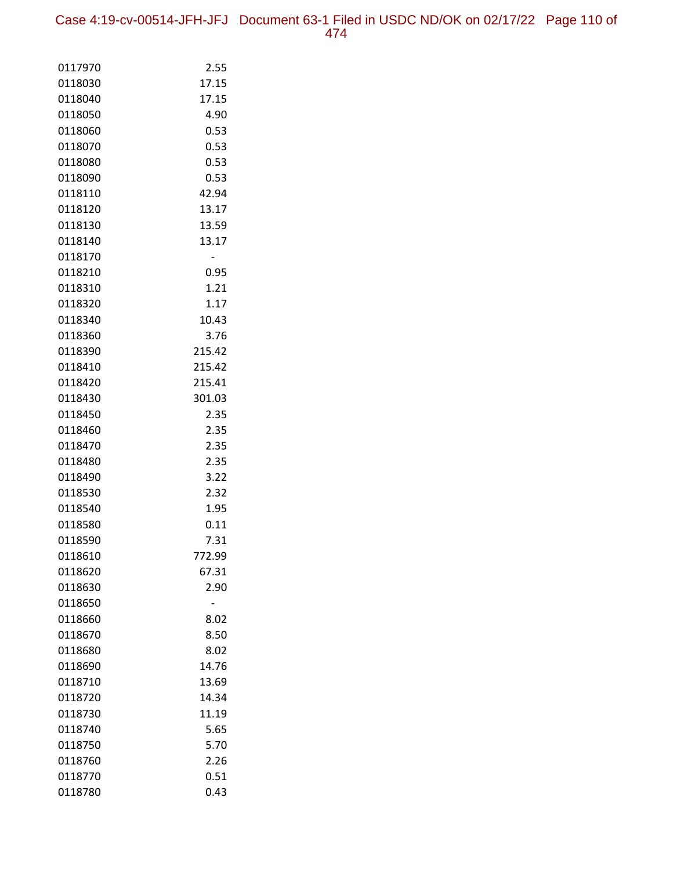Case 4:19-cv-00514-JFH-JFJ Document 63-1 Filed in USDC ND/OK on 02/17/22 Page 110 of 474

| 0117970            | 2.55         |
|--------------------|--------------|
| 0118030            | 17.15        |
| 0118040            | 17.15        |
| 0118050            | 4.90         |
| 0118060            | 0.53         |
| 0118070            | 0.53         |
| 0118080            | 0.53         |
| 0118090            | 0.53         |
| 0118110            | 42.94        |
| 0118120            | 13.17        |
| 0118130            | 13.59        |
| 0118140            | 13.17        |
| 0118170            |              |
| 0118210            | 0.95         |
| 0118310            | 1.21         |
| 0118320            | 1.17         |
| 0118340            | 10.43        |
| 0118360            | 3.76         |
| 0118390            | 215.42       |
| 0118410            | 215.42       |
| 0118420            | 215.41       |
| 0118430            | 301.03       |
| 0118450            | 2.35         |
| 0118460            | 2.35         |
| 0118470            | 2.35         |
| 0118480            | 2.35         |
| 0118490            | 3.22         |
| 0118530            | 2.32         |
| 0118540<br>0118580 | 1.95<br>0.11 |
| 0118590            | 7.31         |
| 0118610            | 772.99       |
| 0118620            | 67.31        |
| 0118630            | 2.90         |
| 0118650            |              |
| 0118660            | 8.02         |
| 0118670            | 8.50         |
| 0118680            | 8.02         |
| 0118690            | 14.76        |
| 0118710            | 13.69        |
| 0118720            | 14.34        |
| 0118730            | 11.19        |
| 0118740            | 5.65         |
| 0118750            | 5.70         |
| 0118760            | 2.26         |
| 0118770            | 0.51         |
| 0118780            | 0.43         |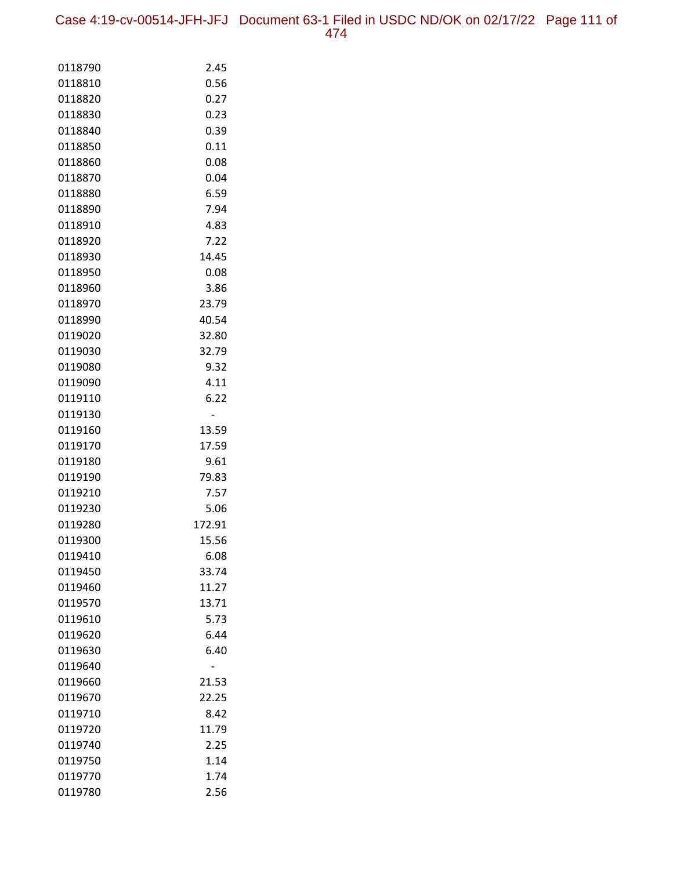Case 4:19-cv-00514-JFH-JFJ Document 63-1 Filed in USDC ND/OK on 02/17/22 Page 111 of 474

| 0118790            | 2.45          |
|--------------------|---------------|
| 0118810            | 0.56          |
| 0118820            | 0.27          |
| 0118830            | 0.23          |
| 0118840            | 0.39          |
| 0118850            | 0.11          |
| 0118860            | 0.08          |
| 0118870            | 0.04          |
| 0118880            | 6.59          |
| 0118890            | 7.94          |
| 0118910            | 4.83          |
| 0118920            | 7.22          |
| 0118930            | 14.45         |
| 0118950            | 0.08          |
| 0118960            | 3.86          |
| 0118970            | 23.79         |
| 0118990            | 40.54         |
| 0119020            | 32.80         |
| 0119030            | 32.79         |
| 0119080            | 9.32          |
| 0119090            | 4.11          |
| 0119110            | 6.22          |
| 0119130            |               |
| 0119160            | 13.59         |
| 0119170            | 17.59         |
| 0119180            | 9.61          |
| 0119190            | 79.83         |
| 0119210            | 7.57          |
| 0119230            | 5.06          |
| 0119280            | 172.91        |
| 0119300            | 15.56         |
| 0119410            | 6.08<br>33.74 |
| 0119450<br>0119460 | 11.27         |
| 0119570            | 13.71         |
| 0119610            | 5.73          |
| 0119620            | 6.44          |
| 0119630            | 6.40          |
| 0119640            |               |
| 0119660            | 21.53         |
| 0119670            | 22.25         |
| 0119710            | 8.42          |
| 0119720            | 11.79         |
| 0119740            | 2.25          |
| 0119750            | 1.14          |
| 0119770            | 1.74          |
| 0119780            | 2.56          |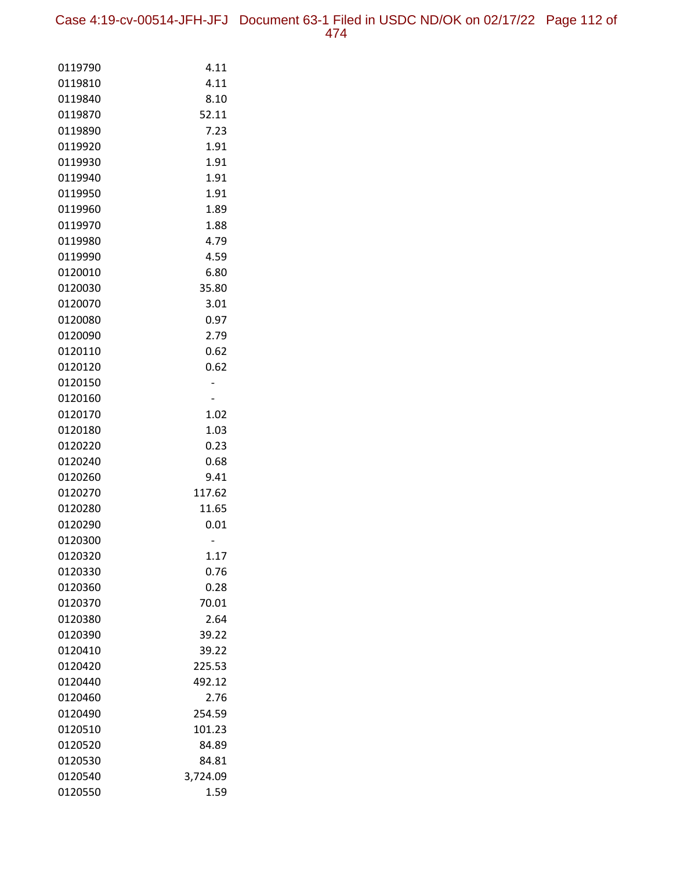| 0119790 | 4.11     |
|---------|----------|
| 0119810 | 4.11     |
| 0119840 | 8.10     |
| 0119870 | 52.11    |
| 0119890 | 7.23     |
| 0119920 | 1.91     |
| 0119930 | 1.91     |
| 0119940 | 1.91     |
| 0119950 | 1.91     |
| 0119960 | 1.89     |
| 0119970 | 1.88     |
| 0119980 | 4.79     |
| 0119990 | 4.59     |
| 0120010 | 6.80     |
| 0120030 | 35.80    |
| 0120070 | 3.01     |
| 0120080 | 0.97     |
| 0120090 | 2.79     |
| 0120110 | 0.62     |
| 0120120 | 0.62     |
| 0120150 |          |
| 0120160 |          |
| 0120170 | 1.02     |
| 0120180 | 1.03     |
| 0120220 | 0.23     |
| 0120240 | 0.68     |
| 0120260 | 9.41     |
| 0120270 | 117.62   |
| 0120280 | 11.65    |
| 0120290 | 0.01     |
| 0120300 |          |
| 0120320 | 1.17     |
| 0120330 | 0.76     |
| 0120360 | 0.28     |
| 0120370 | 70.01    |
| 0120380 | 2.64     |
| 0120390 | 39.22    |
| 0120410 | 39.22    |
| 0120420 | 225.53   |
| 0120440 | 492.12   |
| 0120460 | 2.76     |
| 0120490 | 254.59   |
| 0120510 | 101.23   |
| 0120520 | 84.89    |
| 0120530 | 84.81    |
| 0120540 | 3,724.09 |
| 0120550 | 1.59     |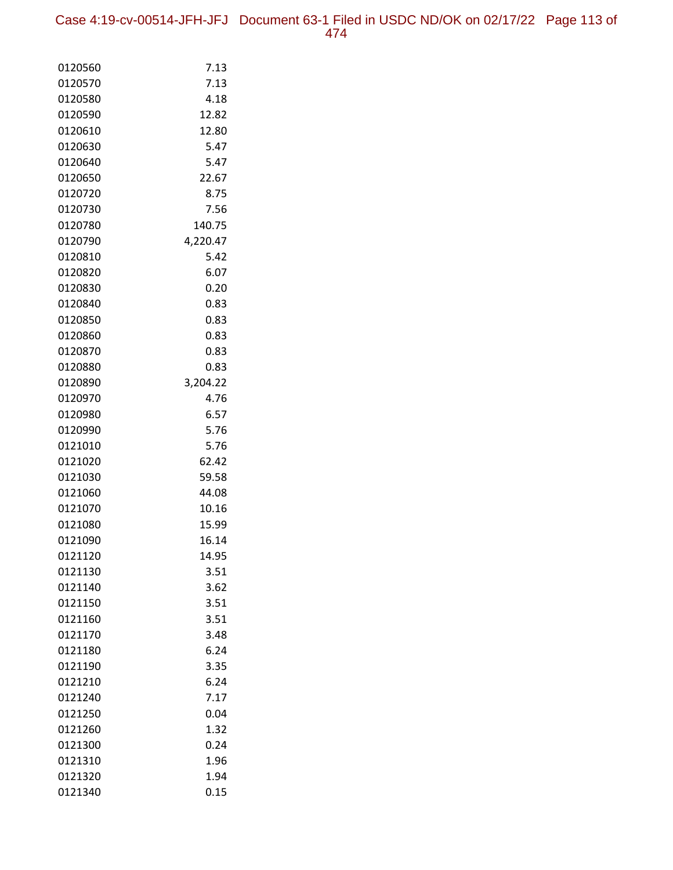Case 4:19-cv-00514-JFH-JFJ Document 63-1 Filed in USDC ND/OK on 02/17/22 Page 113 of

| 0120560            | 7.13           |
|--------------------|----------------|
| 0120570            | 7.13           |
| 0120580            | 4.18           |
| 0120590            | 12.82          |
| 0120610            | 12.80          |
| 0120630            | 5.47           |
| 0120640            | 5.47           |
| 0120650            | 22.67          |
| 0120720            | 8.75           |
| 0120730            | 7.56           |
| 0120780            | 140.75         |
| 0120790            | 4,220.47       |
| 0120810            | 5.42           |
| 0120820            | 6.07           |
| 0120830            | 0.20           |
| 0120840            | 0.83           |
| 0120850            | 0.83           |
| 0120860            | 0.83           |
| 0120870            | 0.83           |
| 0120880            | 0.83           |
| 0120890            | 3,204.22       |
| 0120970            | 4.76           |
| 0120980            | 6.57           |
| 0120990            | 5.76           |
| 0121010            | 5.76           |
| 0121020            | 62.42          |
| 0121030            | 59.58          |
| 0121060            | 44.08          |
| 0121070            | 10.16          |
| 0121080            | 15.99          |
| 0121090<br>0121120 | 16.14<br>14.95 |
| 0121130            | 3.51           |
| 0121140            | 3.62           |
| 0121150            | 3.51           |
| 0121160            | 3.51           |
| 0121170            | 3.48           |
| 0121180            | 6.24           |
| 0121190            | 3.35           |
| 0121210            | 6.24           |
| 0121240            | 7.17           |
| 0121250            | 0.04           |
| 0121260            | 1.32           |
| 0121300            | 0.24           |
| 0121310            | 1.96           |
| 0121320            | 1.94           |
| 0121340            | 0.15           |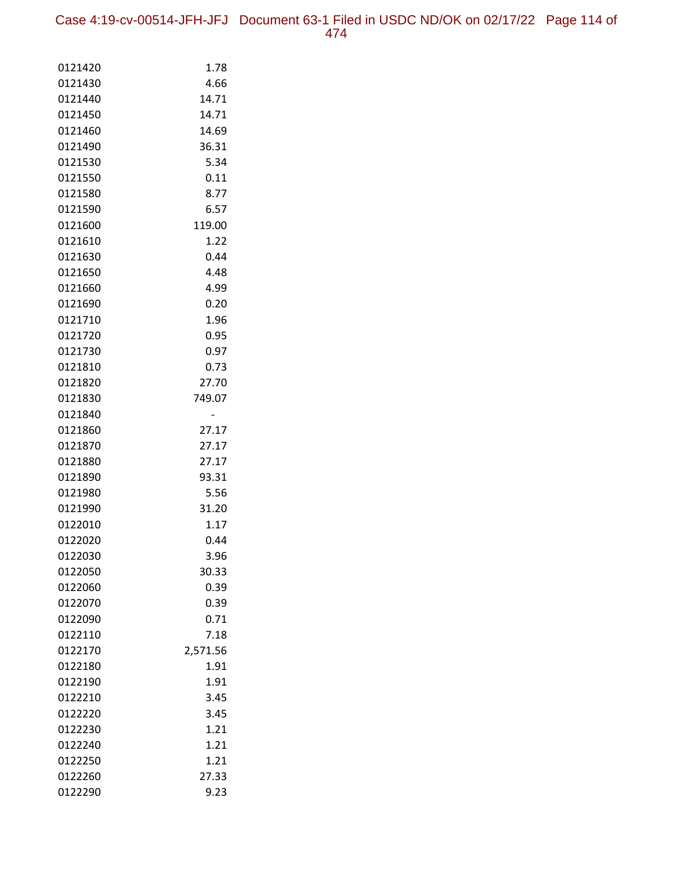Case 4:19-cv-00514-JFH-JFJ Document 63-1 Filed in USDC ND/OK on 02/17/22 Page 114 of 474

| 0121420            | 1.78         |
|--------------------|--------------|
| 0121430            | 4.66         |
| 0121440            | 14.71        |
| 0121450            | 14.71        |
| 0121460            | 14.69        |
| 0121490            | 36.31        |
| 0121530            | 5.34         |
| 0121550            | 0.11         |
| 0121580            | 8.77         |
| 0121590            | 6.57         |
| 0121600            | 119.00       |
| 0121610            | 1.22         |
| 0121630            | 0.44         |
| 0121650            | 4.48         |
| 0121660            | 4.99         |
| 0121690            | 0.20         |
| 0121710            | 1.96         |
| 0121720            | 0.95         |
| 0121730            | 0.97         |
| 0121810            | 0.73         |
| 0121820            | 27.70        |
| 0121830            | 749.07       |
| 0121840            |              |
| 0121860            | 27.17        |
| 0121870            | 27.17        |
| 0121880            | 27.17        |
| 0121890            | 93.31        |
| 0121980            | 5.56         |
| 0121990            | 31.20        |
| 0122010            | 1.17         |
| 0122020            | 0.44         |
| 0122030            | 3.96         |
| 0122050            | 30.33        |
| 0122060            | 0.39         |
| 0122070<br>0122090 | 0.39<br>0.71 |
| 0122110            | 7.18         |
| 0122170            | 2,571.56     |
| 0122180            | 1.91         |
| 0122190            | 1.91         |
| 0122210            | 3.45         |
| 0122220            | 3.45         |
| 0122230            | 1.21         |
| 0122240            | 1.21         |
| 0122250            | 1.21         |
| 0122260            | 27.33        |
| 0122290            | 9.23         |
|                    |              |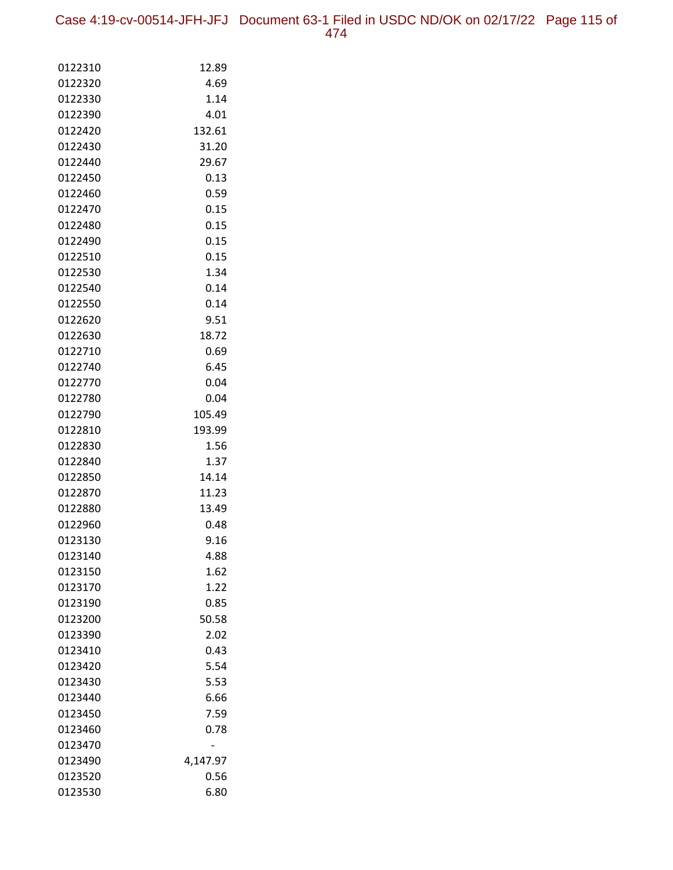Case 4:19-cv-00514-JFH-JFJ Document 63-1 Filed in USDC ND/OK on 02/17/22 Page 115 of 474

| 0122310 | 12.89    |
|---------|----------|
| 0122320 | 4.69     |
| 0122330 | 1.14     |
| 0122390 | 4.01     |
| 0122420 | 132.61   |
| 0122430 | 31.20    |
| 0122440 | 29.67    |
| 0122450 | 0.13     |
| 0122460 | 0.59     |
| 0122470 | 0.15     |
| 0122480 | 0.15     |
| 0122490 | 0.15     |
| 0122510 | 0.15     |
| 0122530 | 1.34     |
| 0122540 | 0.14     |
| 0122550 | 0.14     |
| 0122620 | 9.51     |
| 0122630 | 18.72    |
| 0122710 | 0.69     |
| 0122740 | 6.45     |
| 0122770 | 0.04     |
| 0122780 | 0.04     |
| 0122790 | 105.49   |
| 0122810 | 193.99   |
| 0122830 | 1.56     |
| 0122840 | 1.37     |
| 0122850 | 14.14    |
| 0122870 | 11.23    |
| 0122880 | 13.49    |
| 0122960 | 0.48     |
| 0123130 | 9.16     |
| 0123140 | 4.88     |
| 0123150 | 1.62     |
| 0123170 | 1.22     |
| 0123190 | 0.85     |
| 0123200 | 50.58    |
| 0123390 | 2.02     |
| 0123410 | 0.43     |
| 0123420 | 5.54     |
| 0123430 | 5.53     |
| 0123440 | 6.66     |
| 0123450 | 7.59     |
| 0123460 | 0.78     |
| 0123470 |          |
| 0123490 | 4,147.97 |
| 0123520 | 0.56     |
| 0123530 | 6.80     |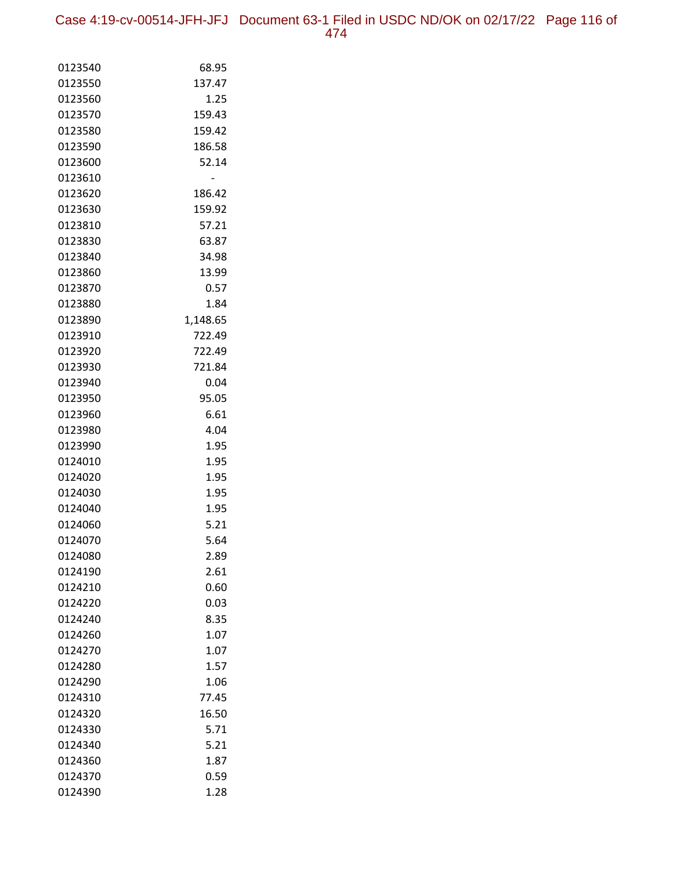Case 4:19-cv-00514-JFH-JFJ Document 63-1 Filed in USDC ND/OK on 02/17/22 Page 116 of 474

| 0123540 | 68.95    |
|---------|----------|
| 0123550 | 137.47   |
| 0123560 | 1.25     |
| 0123570 | 159.43   |
| 0123580 | 159.42   |
| 0123590 | 186.58   |
| 0123600 | 52.14    |
| 0123610 |          |
| 0123620 | 186.42   |
| 0123630 | 159.92   |
| 0123810 | 57.21    |
| 0123830 | 63.87    |
| 0123840 | 34.98    |
| 0123860 | 13.99    |
| 0123870 | 0.57     |
| 0123880 | 1.84     |
| 0123890 | 1,148.65 |
| 0123910 | 722.49   |
| 0123920 | 722.49   |
| 0123930 | 721.84   |
| 0123940 | 0.04     |
| 0123950 | 95.05    |
| 0123960 | 6.61     |
| 0123980 | 4.04     |
| 0123990 | 1.95     |
| 0124010 | 1.95     |
| 0124020 | 1.95     |
| 0124030 | 1.95     |
| 0124040 | 1.95     |
| 0124060 | 5.21     |
| 0124070 | 5.64     |
| 0124080 | 2.89     |
| 0124190 | 2.61     |
| 0124210 | 0.60     |
| 0124220 | 0.03     |
| 0124240 | 8.35     |
| 0124260 | 1.07     |
| 0124270 | 1.07     |
| 0124280 | 1.57     |
| 0124290 | 1.06     |
| 0124310 | 77.45    |
| 0124320 | 16.50    |
| 0124330 | 5.71     |
| 0124340 | 5.21     |
| 0124360 | 1.87     |
| 0124370 | 0.59     |
| 0124390 | 1.28     |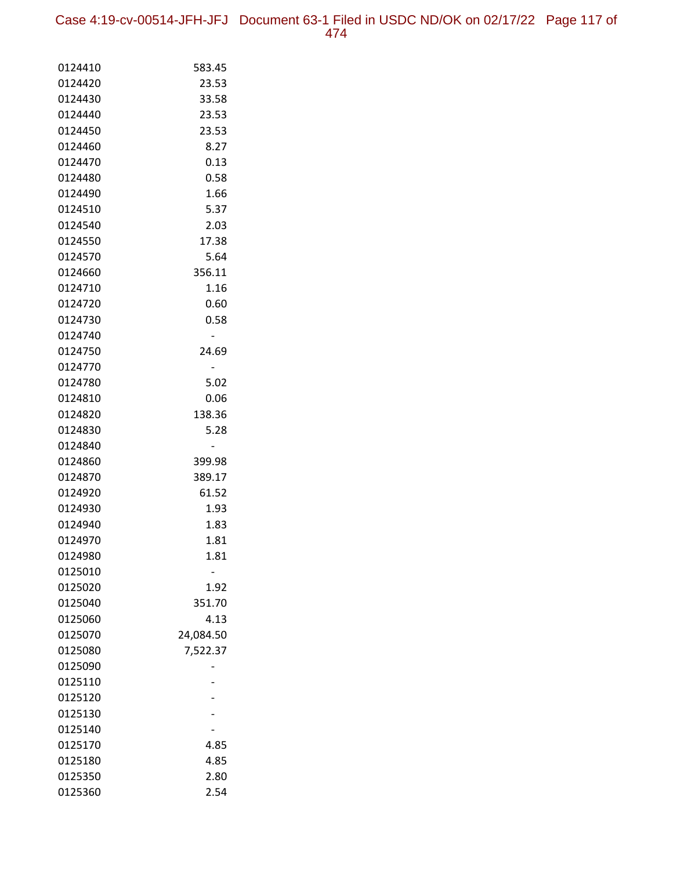Case 4:19-cv-00514-JFH-JFJ Document 63-1 Filed in USDC ND/OK on 02/17/22 Page 117 of 474

| 0124410 | 583.45    |
|---------|-----------|
| 0124420 | 23.53     |
| 0124430 | 33.58     |
| 0124440 | 23.53     |
| 0124450 | 23.53     |
| 0124460 | 8.27      |
| 0124470 | 0.13      |
| 0124480 | 0.58      |
| 0124490 | 1.66      |
| 0124510 | 5.37      |
| 0124540 | 2.03      |
| 0124550 | 17.38     |
| 0124570 | 5.64      |
| 0124660 | 356.11    |
| 0124710 | 1.16      |
| 0124720 | 0.60      |
| 0124730 | 0.58      |
| 0124740 |           |
| 0124750 | 24.69     |
| 0124770 |           |
| 0124780 | 5.02      |
| 0124810 | 0.06      |
| 0124820 | 138.36    |
| 0124830 | 5.28      |
| 0124840 |           |
| 0124860 | 399.98    |
| 0124870 | 389.17    |
| 0124920 | 61.52     |
| 0124930 | 1.93      |
| 0124940 | 1.83      |
| 0124970 | 1.81      |
| 0124980 | 1.81      |
| 0125010 |           |
| 0125020 | 1.92      |
| 0125040 | 351.70    |
| 0125060 | 4.13      |
| 0125070 | 24,084.50 |
| 0125080 | 7,522.37  |
| 0125090 |           |
| 0125110 |           |
| 0125120 |           |
| 0125130 |           |
| 0125140 |           |
| 0125170 | 4.85      |
| 0125180 | 4.85      |
| 0125350 | 2.80      |
| 0125360 | 2.54      |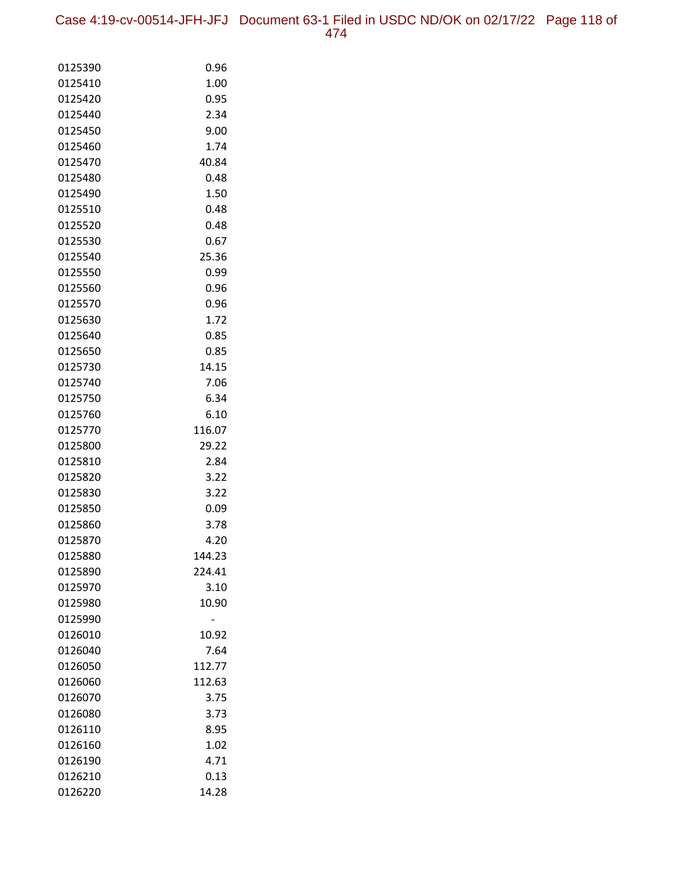Case 4:19-cv-00514-JFH-JFJ Document 63-1 Filed in USDC ND/OK on 02/17/22 Page 118 of 474

| 0125390            | 0.96         |
|--------------------|--------------|
| 0125410            | 1.00         |
| 0125420            | 0.95         |
| 0125440            | 2.34         |
| 0125450            | 9.00         |
| 0125460            | 1.74         |
| 0125470            | 40.84        |
| 0125480            | 0.48         |
| 0125490            | 1.50         |
| 0125510            | 0.48         |
| 0125520            | 0.48         |
| 0125530            | 0.67         |
| 0125540            | 25.36        |
| 0125550            | 0.99         |
| 0125560            | 0.96         |
| 0125570            | 0.96         |
| 0125630            | 1.72         |
| 0125640            | 0.85         |
| 0125650            | 0.85         |
| 0125730            | 14.15        |
| 0125740            | 7.06         |
| 0125750            | 6.34         |
| 0125760            | 6.10         |
| 0125770            | 116.07       |
| 0125800            | 29.22        |
| 0125810            | 2.84         |
| 0125820            | 3.22         |
| 0125830            | 3.22         |
| 0125850            | 0.09         |
| 0125860<br>0125870 | 3.78<br>4.20 |
| 0125880            | 144.23       |
| 0125890            | 224.41       |
| 0125970            | 3.10         |
| 0125980            | 10.90        |
| 0125990            |              |
| 0126010            | 10.92        |
| 0126040            | 7.64         |
| 0126050            | 112.77       |
| 0126060            | 112.63       |
| 0126070            | 3.75         |
| 0126080            | 3.73         |
| 0126110            | 8.95         |
| 0126160            | 1.02         |
| 0126190            | 4.71         |
| 0126210            | 0.13         |
| 0126220            | 14.28        |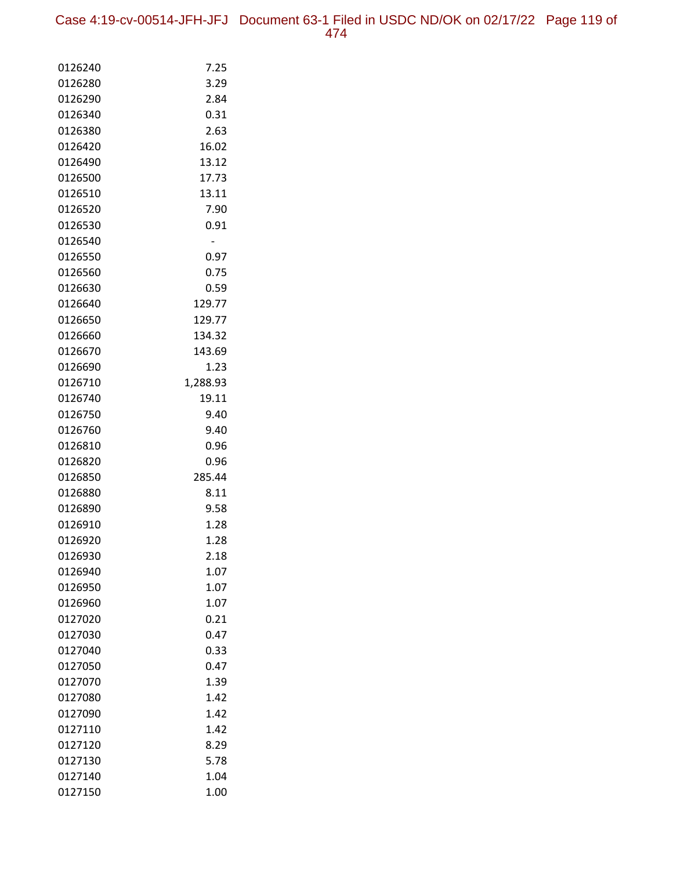Case 4:19-cv-00514-JFH-JFJ Document 63-1 Filed in USDC ND/OK on 02/17/22 Page 119 of 474

| 0126240            | 7.25           |
|--------------------|----------------|
| 0126280            | 3.29           |
| 0126290            | 2.84           |
| 0126340            | 0.31           |
| 0126380            | 2.63           |
| 0126420            | 16.02          |
| 0126490            | 13.12          |
| 0126500            | 17.73          |
| 0126510            | 13.11          |
| 0126520            | 7.90           |
| 0126530            | 0.91           |
| 0126540            | $\overline{a}$ |
| 0126550            | 0.97           |
| 0126560            | 0.75           |
| 0126630            | 0.59           |
| 0126640            | 129.77         |
| 0126650            | 129.77         |
| 0126660            | 134.32         |
| 0126670            | 143.69         |
| 0126690            | 1.23           |
| 0126710            | 1,288.93       |
| 0126740            | 19.11          |
| 0126750            | 9.40           |
| 0126760            | 9.40           |
| 0126810            | 0.96           |
| 0126820            | 0.96           |
| 0126850            | 285.44         |
| 0126880            | 8.11           |
| 0126890            | 9.58           |
| 0126910            | 1.28           |
| 0126920            | 1.28           |
| 0126930            | 2.18           |
| 0126940            | 1.07           |
| 0126950            | 1.07           |
| 0126960            | 1.07           |
| 0127020            | 0.21           |
| 0127030            | 0.47           |
| 0127040            | 0.33           |
| 0127050            | 0.47           |
| 0127070            | 1.39           |
| 0127080            | 1.42           |
| 0127090            | 1.42           |
| 0127110            | 1.42<br>8.29   |
| 0127120<br>0127130 | 5.78           |
|                    | 1.04           |
| 0127140            |                |
| 0127150            | 1.00           |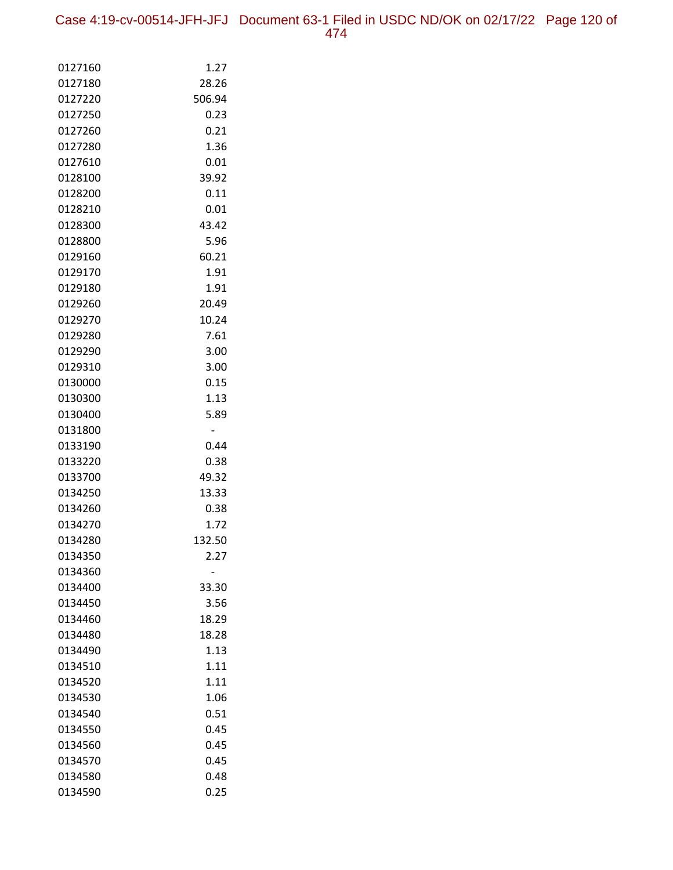| 0127160            | 1.27           |
|--------------------|----------------|
| 0127180            | 28.26          |
| 0127220            | 506.94         |
| 0127250            | 0.23           |
| 0127260            | 0.21           |
| 0127280            | 1.36           |
| 0127610            | 0.01           |
| 0128100            | 39.92          |
| 0128200            | 0.11           |
| 0128210            | 0.01           |
| 0128300            | 43.42          |
| 0128800            | 5.96           |
| 0129160            | 60.21          |
| 0129170            | 1.91           |
| 0129180            | 1.91           |
| 0129260            | 20.49          |
| 0129270            | 10.24          |
| 0129280            | 7.61           |
| 0129290            | 3.00           |
| 0129310            | 3.00           |
| 0130000            | 0.15           |
| 0130300            | 1.13           |
| 0130400            | 5.89           |
| 0131800            |                |
| 0133190            | 0.44           |
| 0133220            | 0.38           |
| 0133700<br>0134250 | 49.32<br>13.33 |
| 0134260            | 0.38           |
| 0134270            | 1.72           |
| 0134280            | 132.50         |
| 0134350            | 2.27           |
| 0134360            |                |
| 0134400            | 33.30          |
| 0134450            | 3.56           |
| 0134460            | 18.29          |
| 0134480            | 18.28          |
| 0134490            | 1.13           |
| 0134510            | 1.11           |
| 0134520            | 1.11           |
| 0134530            | 1.06           |
| 0134540            | 0.51           |
| 0134550            | 0.45           |
| 0134560            | 0.45           |
| 0134570            | 0.45           |
| 0134580            | 0.48           |
| 0134590            | 0.25           |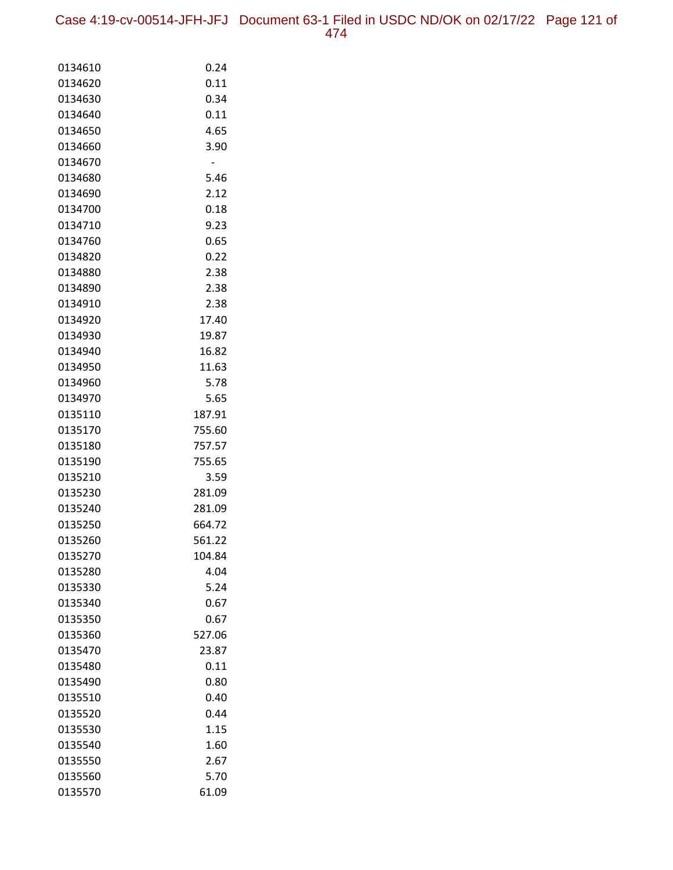Case 4:19-cv-00514-JFH-JFJ Document 63-1 Filed in USDC ND/OK on 02/17/22 Page 121 of 474

| 0134610            | 0.24             |
|--------------------|------------------|
| 0134620            | 0.11             |
| 0134630            | 0.34             |
| 0134640            | 0.11             |
| 0134650            | 4.65             |
| 0134660            | 3.90             |
| 0134670            | -                |
| 0134680            | 5.46             |
| 0134690            | 2.12             |
| 0134700            | 0.18             |
| 0134710            | 9.23             |
| 0134760            | 0.65             |
| 0134820            | 0.22             |
| 0134880            | 2.38             |
| 0134890            | 2.38             |
| 0134910            | 2.38             |
| 0134920            | 17.40            |
| 0134930            | 19.87            |
| 0134940            | 16.82            |
| 0134950            | 11.63            |
| 0134960            | 5.78             |
| 0134970            | 5.65             |
| 0135110            | 187.91           |
| 0135170            | 755.60           |
| 0135180<br>0135190 | 757.57<br>755.65 |
| 0135210            | 3.59             |
| 0135230            | 281.09           |
| 0135240            | 281.09           |
| 0135250            | 664.72           |
| 0135260            | 561.22           |
| 0135270            | 104.84           |
| 0135280            | 4.04             |
| 0135330            | 5.24             |
| 0135340            | 0.67             |
| 0135350            | 0.67             |
| 0135360            | 527.06           |
| 0135470            | 23.87            |
| 0135480            | 0.11             |
| 0135490            | 0.80             |
| 0135510            | 0.40             |
| 0135520            | 0.44             |
| 0135530            | 1.15             |
| 0135540            | 1.60             |
| 0135550            | 2.67             |
| 0135560            | 5.70             |
| 0135570            | 61.09            |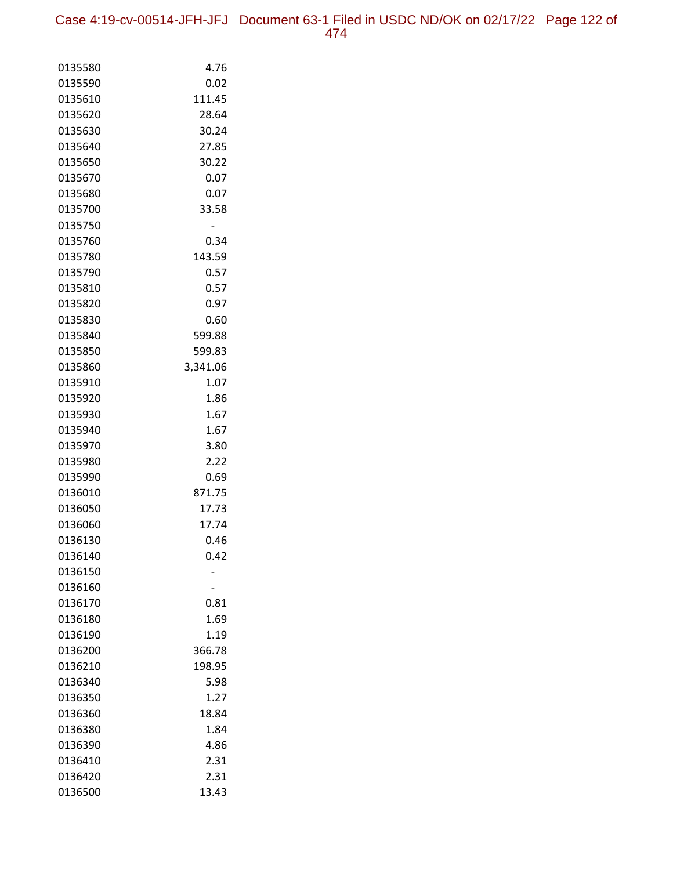Case 4:19-cv-00514-JFH-JFJ Document 63-1 Filed in USDC ND/OK on 02/17/22 Page 122 of

|--|--|

| 0135580            | 4.76           |
|--------------------|----------------|
| 0135590            | 0.02           |
| 0135610            | 111.45         |
| 0135620            | 28.64          |
| 0135630            | 30.24          |
| 0135640            | 27.85          |
| 0135650            | 30.22          |
| 0135670            | 0.07           |
| 0135680            | 0.07           |
| 0135700            | 33.58          |
| 0135750            |                |
| 0135760            | 0.34           |
| 0135780            | 143.59         |
| 0135790            | 0.57           |
| 0135810            | 0.57           |
| 0135820            | 0.97           |
| 0135830            | 0.60           |
| 0135840            | 599.88         |
| 0135850            | 599.83         |
| 0135860            | 3,341.06       |
| 0135910            | 1.07           |
| 0135920            | 1.86           |
| 0135930            | 1.67           |
| 0135940            | 1.67           |
| 0135970            | 3.80           |
| 0135980            | 2.22           |
| 0135990<br>0136010 | 0.69<br>871.75 |
| 0136050            | 17.73          |
| 0136060            | 17.74          |
| 0136130            | 0.46           |
| 0136140            | 0.42           |
| 0136150            |                |
| 0136160            |                |
| 0136170            | 0.81           |
| 0136180            | 1.69           |
| 0136190            | 1.19           |
| 0136200            | 366.78         |
| 0136210            | 198.95         |
| 0136340            | 5.98           |
| 0136350            | 1.27           |
| 0136360            | 18.84          |
| 0136380            | 1.84           |
| 0136390            | 4.86           |
| 0136410            | 2.31           |
| 0136420            | 2.31           |
| 0136500            | 13.43          |
|                    |                |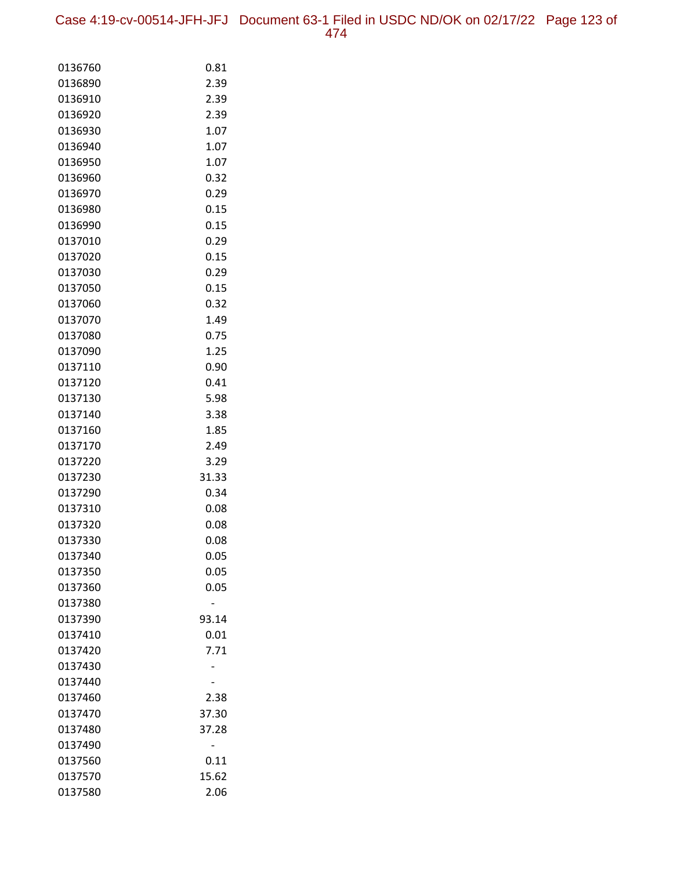| 0136760            | 0.81  |
|--------------------|-------|
| 0136890            | 2.39  |
| 0136910            | 2.39  |
| 0136920            | 2.39  |
| 0136930            | 1.07  |
| 0136940            | 1.07  |
| 0136950            | 1.07  |
| 0136960            | 0.32  |
| 0136970            | 0.29  |
| 0136980            | 0.15  |
| 0136990            | 0.15  |
| 0137010            | 0.29  |
| 0137020            | 0.15  |
| 0137030            | 0.29  |
| 0137050            | 0.15  |
| 0137060            | 0.32  |
| 0137070            | 1.49  |
| 0137080            | 0.75  |
| 0137090            | 1.25  |
| 0137110            | 0.90  |
| 0137120            | 0.41  |
| 0137130            | 5.98  |
| 0137140            | 3.38  |
| 0137160            | 1.85  |
| 0137170            | 2.49  |
| 0137220            | 3.29  |
| 0137230            | 31.33 |
| 0137290            | 0.34  |
| 0137310            | 0.08  |
| 0137320            | 0.08  |
| 0137330            | 0.08  |
| 0137340            | 0.05  |
| 0137350            | 0.05  |
| 0137360            | 0.05  |
| 0137380<br>0137390 | 93.14 |
| 0137410            | 0.01  |
| 0137420            | 7.71  |
| 0137430            |       |
| 0137440            |       |
| 0137460            | 2.38  |
| 0137470            | 37.30 |
| 0137480            | 37.28 |
| 0137490            |       |
| 0137560            | 0.11  |
| 0137570            | 15.62 |
| 0137580            | 2.06  |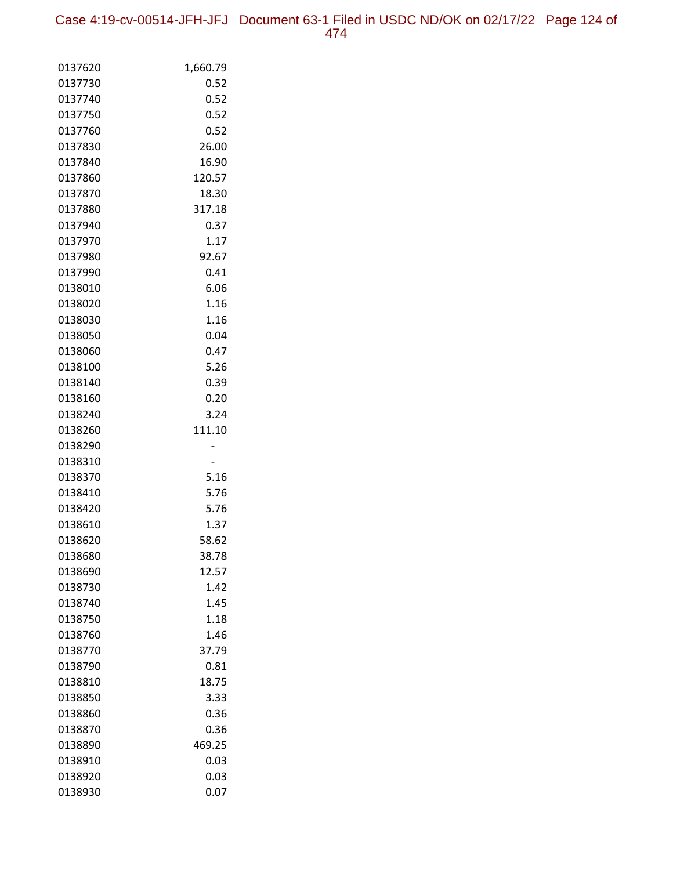Case 4:19-cv-00514-JFH-JFJ Document 63-1 Filed in USDC ND/OK on 02/17/22 Page 124 of 474

| 0137620            | 1,660.79     |
|--------------------|--------------|
| 0137730            | 0.52         |
| 0137740            | 0.52         |
| 0137750            | 0.52         |
| 0137760            | 0.52         |
| 0137830            | 26.00        |
| 0137840            | 16.90        |
| 0137860            | 120.57       |
| 0137870            | 18.30        |
| 0137880            | 317.18       |
| 0137940            | 0.37         |
| 0137970            | 1.17         |
| 0137980            | 92.67        |
| 0137990            | 0.41         |
| 0138010            | 6.06         |
| 0138020            | 1.16         |
| 0138030            | 1.16         |
| 0138050            | 0.04         |
| 0138060            | 0.47         |
| 0138100            | 5.26         |
| 0138140            | 0.39         |
| 0138160            | 0.20         |
| 0138240            | 3.24         |
| 0138260            | 111.10       |
| 0138290            |              |
| 0138310            |              |
| 0138370            | 5.16<br>5.76 |
| 0138410<br>0138420 | 5.76         |
| 0138610            | 1.37         |
| 0138620            | 58.62        |
| 0138680            | 38.78        |
| 0138690            | 12.57        |
| 0138730            | 1.42         |
| 0138740            | 1.45         |
| 0138750            | 1.18         |
| 0138760            | 1.46         |
| 0138770            | 37.79        |
| 0138790            | 0.81         |
| 0138810            | 18.75        |
| 0138850            | 3.33         |
| 0138860            | 0.36         |
| 0138870            | 0.36         |
| 0138890            | 469.25       |
| 0138910            | 0.03         |
| 0138920            | 0.03         |
| 0138930            | 0.07         |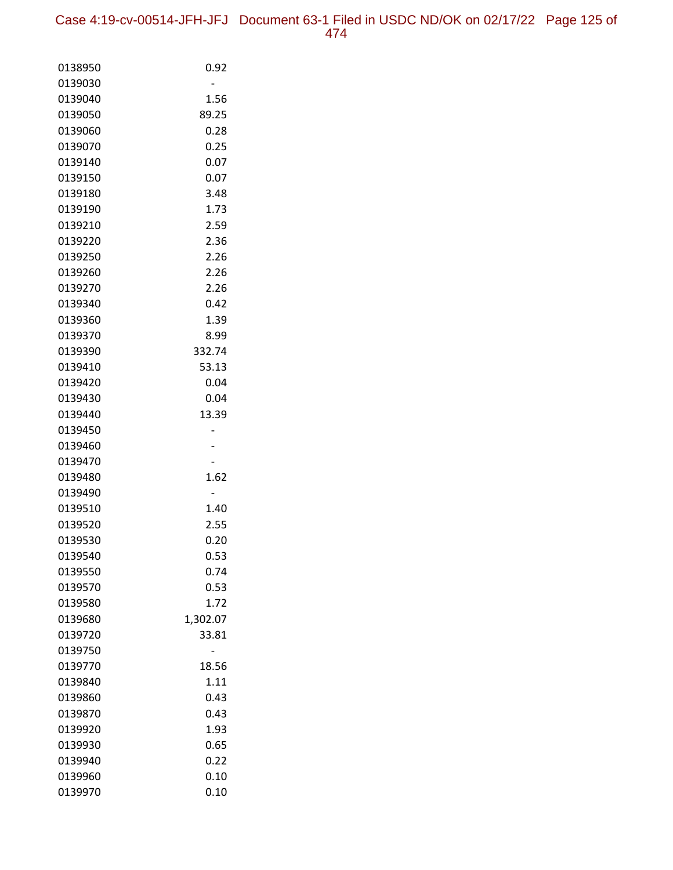| 0138950            | 0.92         |
|--------------------|--------------|
| 0139030            |              |
| 0139040            | 1.56         |
| 0139050            | 89.25        |
| 0139060            | 0.28         |
| 0139070            | 0.25         |
| 0139140            | 0.07         |
| 0139150            | 0.07         |
| 0139180            | 3.48         |
| 0139190            | 1.73         |
| 0139210            | 2.59         |
| 0139220            | 2.36         |
| 0139250            | 2.26         |
| 0139260            | 2.26         |
| 0139270            | 2.26         |
| 0139340            | 0.42         |
| 0139360            | 1.39         |
| 0139370            | 8.99         |
| 0139390            | 332.74       |
| 0139410            | 53.13        |
| 0139420            | 0.04         |
| 0139430            | 0.04         |
| 0139440            | 13.39        |
| 0139450            |              |
| 0139460            |              |
| 0139470            |              |
| 0139480            | 1.62         |
| 0139490            |              |
| 0139510            | 1.40         |
| 0139520            | 2.55         |
| 0139530            | 0.20         |
| 0139540            | 0.53         |
| 0139550            | 0.74<br>0.53 |
| 0139570            |              |
| 0139580<br>0139680 | 1.72         |
|                    | 1,302.07     |
| 0139720<br>0139750 | 33.81        |
| 0139770            | 18.56        |
| 0139840            | 1.11         |
| 0139860            | 0.43         |
| 0139870            | 0.43         |
| 0139920            | 1.93         |
| 0139930            | 0.65         |
| 0139940            | 0.22         |
| 0139960            | 0.10         |
| 0139970            | 0.10         |
|                    |              |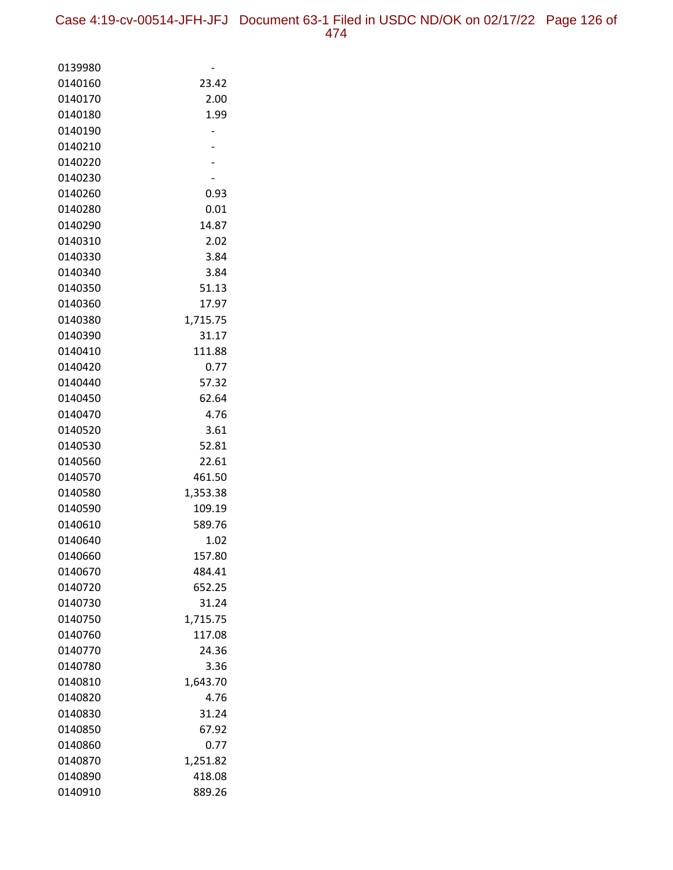| 0139980            |                |
|--------------------|----------------|
| 0140160            | 23.42          |
| 0140170            | 2.00           |
| 0140180            | 1.99           |
| 0140190            |                |
| 0140210            |                |
| 0140220            |                |
| 0140230            |                |
| 0140260            | 0.93           |
| 0140280            | 0.01           |
| 0140290            | 14.87          |
| 0140310            | 2.02           |
| 0140330            | 3.84           |
| 0140340            | 3.84           |
| 0140350            | 51.13          |
| 0140360            | 17.97          |
| 0140380            | 1,715.75       |
| 0140390            | 31.17          |
| 0140410            | 111.88         |
| 0140420            | 0.77           |
| 0140440            | 57.32          |
| 0140450            | 62.64          |
| 0140470            | 4.76           |
| 0140520            | 3.61           |
| 0140530            | 52.81          |
| 0140560            | 22.61          |
| 0140570            | 461.50         |
| 0140580            | 1,353.38       |
| 0140590            | 109.19         |
| 0140610            | 589.76         |
| 0140640<br>0140660 | 1.02<br>157.80 |
| 0140670            | 484.41         |
| 0140720            | 652.25         |
| 0140730            | 31.24          |
| 0140750            | 1,715.75       |
| 0140760            | 117.08         |
| 0140770            | 24.36          |
| 0140780            | 3.36           |
| 0140810            | 1,643.70       |
| 0140820            | 4.76           |
| 0140830            | 31.24          |
| 0140850            | 67.92          |
| 0140860            | 0.77           |
| 0140870            | 1,251.82       |
| 0140890            | 418.08         |
| 0140910            | 889.26         |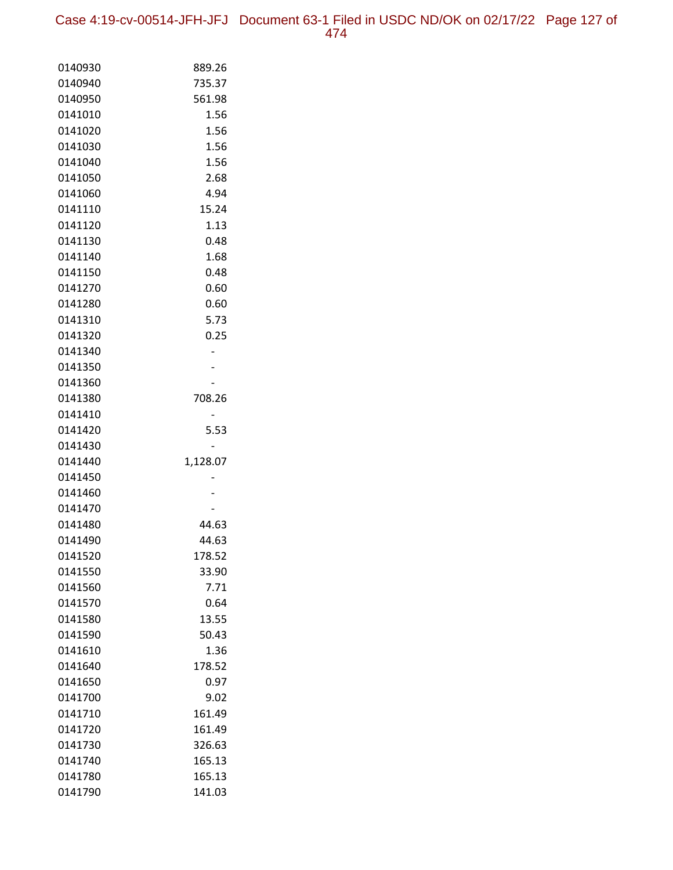Case 4:19-cv-00514-JFH-JFJ Document 63-1 Filed in USDC ND/OK on 02/17/22 Page 127 of 474

| 0140930 | 889.26   |
|---------|----------|
| 0140940 | 735.37   |
| 0140950 | 561.98   |
| 0141010 | 1.56     |
| 0141020 | 1.56     |
| 0141030 | 1.56     |
| 0141040 | 1.56     |
| 0141050 | 2.68     |
| 0141060 | 4.94     |
| 0141110 | 15.24    |
| 0141120 | 1.13     |
| 0141130 | 0.48     |
| 0141140 | 1.68     |
| 0141150 | 0.48     |
| 0141270 | 0.60     |
|         |          |
| 0141280 | 0.60     |
| 0141310 | 5.73     |
| 0141320 | 0.25     |
| 0141340 |          |
| 0141350 |          |
| 0141360 |          |
| 0141380 | 708.26   |
| 0141410 |          |
| 0141420 | 5.53     |
| 0141430 |          |
| 0141440 | 1,128.07 |
| 0141450 |          |
| 0141460 |          |
| 0141470 |          |
| 0141480 | 44.63    |
| 0141490 | 44.63    |
| 0141520 | 178.52   |
| 0141550 | 33.90    |
| 0141560 | 7.71     |
| 0141570 | 0.64     |
| 0141580 | 13.55    |
| 0141590 | 50.43    |
| 0141610 | 1.36     |
| 0141640 | 178.52   |
| 0141650 | 0.97     |
| 0141700 | 9.02     |
| 0141710 | 161.49   |
| 0141720 | 161.49   |
| 0141730 | 326.63   |
| 0141740 | 165.13   |
| 0141780 | 165.13   |
| 0141790 | 141.03   |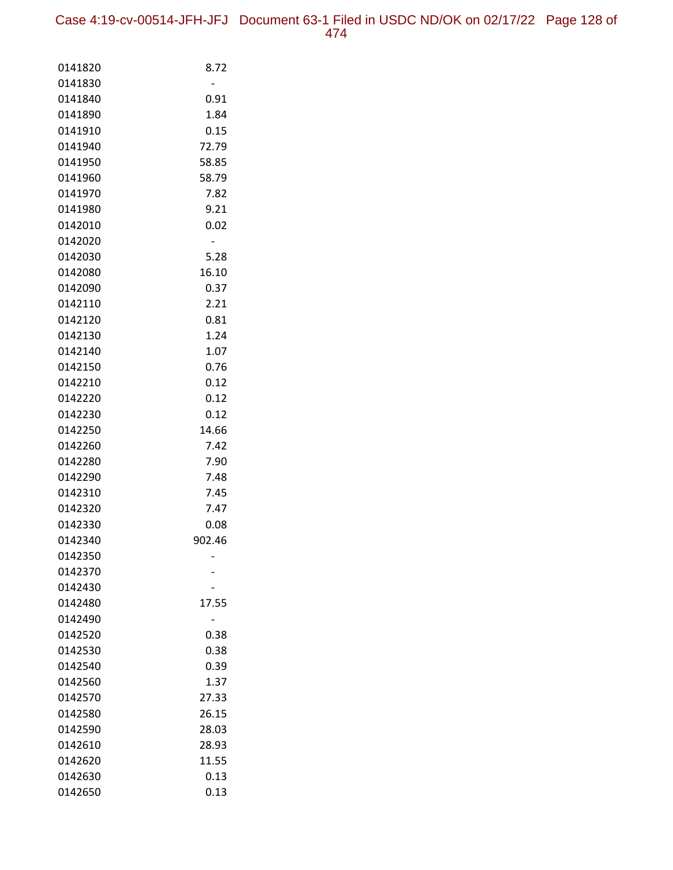| 0141820            | 8.72         |
|--------------------|--------------|
| 0141830            |              |
| 0141840            | 0.91         |
| 0141890            | 1.84         |
| 0141910            | 0.15         |
| 0141940            | 72.79        |
| 0141950            | 58.85        |
| 0141960            | 58.79        |
| 0141970            | 7.82         |
| 0141980            | 9.21         |
| 0142010            | 0.02         |
| 0142020            | -            |
| 0142030            | 5.28         |
| 0142080            | 16.10        |
| 0142090            | 0.37         |
| 0142110            | 2.21         |
| 0142120<br>0142130 | 0.81<br>1.24 |
| 0142140            | 1.07         |
| 0142150            | 0.76         |
| 0142210            | 0.12         |
| 0142220            | 0.12         |
| 0142230            | 0.12         |
| 0142250            | 14.66        |
| 0142260            | 7.42         |
| 0142280            | 7.90         |
| 0142290            | 7.48         |
| 0142310            | 7.45         |
| 0142320            | 7.47         |
| 0142330            | 0.08         |
| 0142340            | 902.46       |
| 0142350            |              |
| 0142370            |              |
| 0142430            |              |
| 0142480            | 17.55        |
| 0142490            |              |
| 0142520            | 0.38         |
| 0142530            | 0.38         |
| 0142540            | 0.39         |
| 0142560            | 1.37         |
| 0142570            | 27.33        |
| 0142580            | 26.15        |
| 0142590            | 28.03        |
| 0142610            | 28.93        |
| 0142620            | 11.55        |
| 0142630            | 0.13         |
| 0142650            | 0.13         |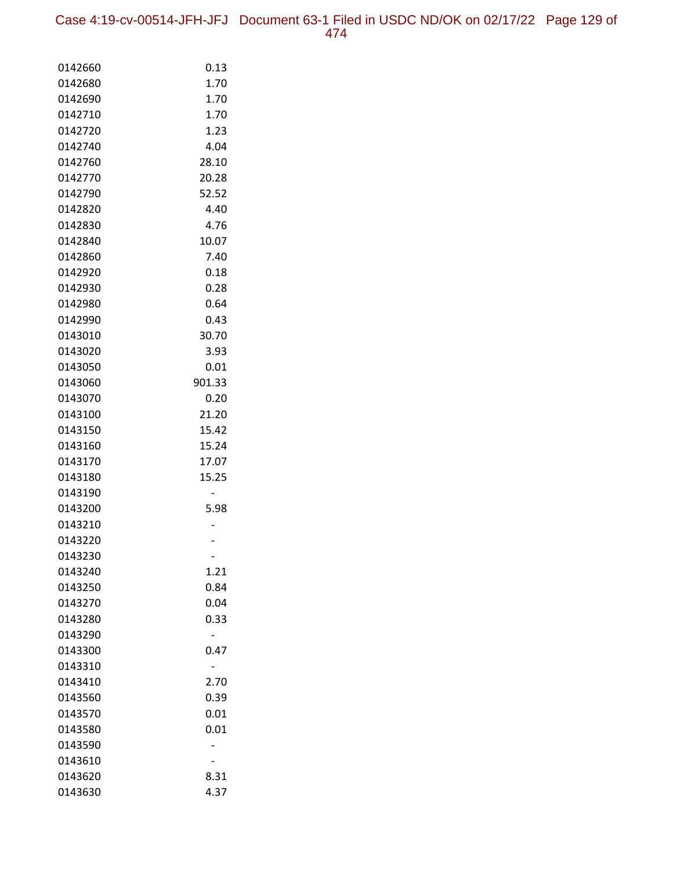Case 4:19-cv-00514-JFH-JFJ Document 63-1 Filed in USDC ND/OK on 02/17/22 Page 129 of 474

| 0142660            | 0.13   |
|--------------------|--------|
| 0142680            | 1.70   |
| 0142690            | 1.70   |
| 0142710            | 1.70   |
| 0142720            | 1.23   |
| 0142740            | 4.04   |
| 0142760            | 28.10  |
| 0142770            | 20.28  |
| 0142790            | 52.52  |
| 0142820            | 4.40   |
| 0142830            | 4.76   |
| 0142840            | 10.07  |
| 0142860            | 7.40   |
| 0142920            | 0.18   |
| 0142930            | 0.28   |
| 0142980            | 0.64   |
| 0142990            | 0.43   |
| 0143010            | 30.70  |
| 0143020            | 3.93   |
| 0143050            | 0.01   |
| 0143060            | 901.33 |
| 0143070            | 0.20   |
| 0143100            | 21.20  |
| 0143150            | 15.42  |
| 0143160            | 15.24  |
| 0143170            | 17.07  |
| 0143180<br>0143190 | 15.25  |
| 0143200            | 5.98   |
| 0143210            |        |
| 0143220            |        |
| 0143230            |        |
| 0143240            | 1.21   |
| 0143250            | 0.84   |
| 0143270            | 0.04   |
| 0143280            | 0.33   |
| 0143290            |        |
| 0143300            | 0.47   |
| 0143310            |        |
| 0143410            | 2.70   |
| 0143560            | 0.39   |
| 0143570            | 0.01   |
| 0143580            | 0.01   |
| 0143590            |        |
| 0143610            |        |
| 0143620            | 8.31   |
| 0143630            | 4.37   |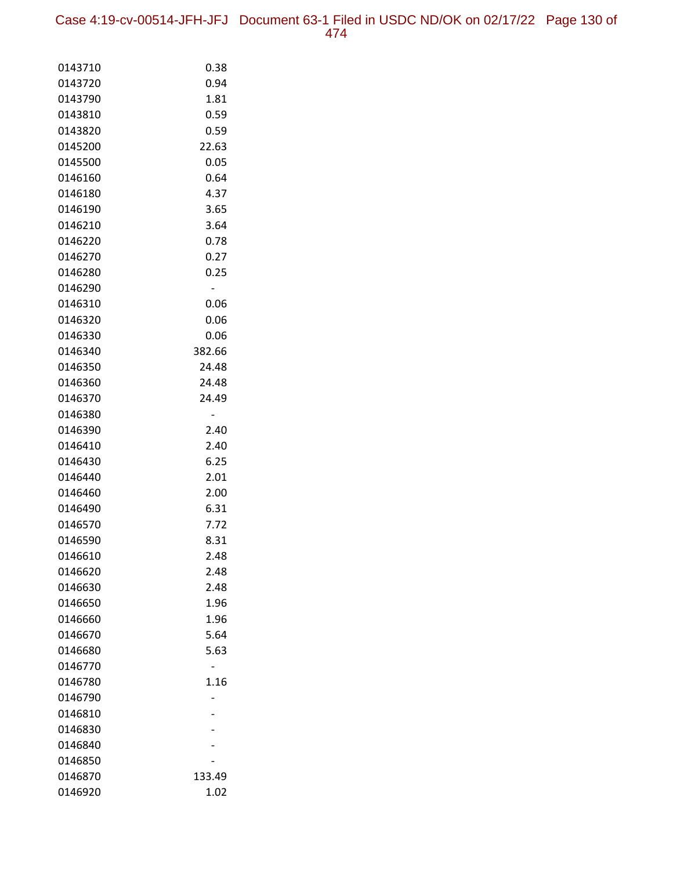Case 4:19-cv-00514-JFH-JFJ Document 63-1 Filed in USDC ND/OK on 02/17/22 Page 130 of 474

| 0143710 | 0.38   |
|---------|--------|
| 0143720 | 0.94   |
| 0143790 | 1.81   |
| 0143810 | 0.59   |
| 0143820 | 0.59   |
| 0145200 | 22.63  |
| 0145500 | 0.05   |
| 0146160 | 0.64   |
| 0146180 | 4.37   |
| 0146190 | 3.65   |
| 0146210 | 3.64   |
| 0146220 | 0.78   |
| 0146270 | 0.27   |
| 0146280 | 0.25   |
| 0146290 | -      |
| 0146310 | 0.06   |
| 0146320 | 0.06   |
| 0146330 | 0.06   |
| 0146340 | 382.66 |
| 0146350 | 24.48  |
| 0146360 | 24.48  |
| 0146370 | 24.49  |
| 0146380 |        |
| 0146390 | 2.40   |
| 0146410 | 2.40   |
| 0146430 | 6.25   |
| 0146440 | 2.01   |
| 0146460 | 2.00   |
| 0146490 | 6.31   |
| 0146570 | 7.72   |
| 0146590 | 8.31   |
| 0146610 | 2.48   |
| 0146620 | 2.48   |
| 0146630 | 2.48   |
| 0146650 | 1.96   |
| 0146660 | 1.96   |
| 0146670 | 5.64   |
| 0146680 | 5.63   |
| 0146770 |        |
| 0146780 | 1.16   |
| 0146790 |        |
| 0146810 |        |
| 0146830 |        |
| 0146840 |        |
| 0146850 |        |
| 0146870 | 133.49 |
| 0146920 | 1.02   |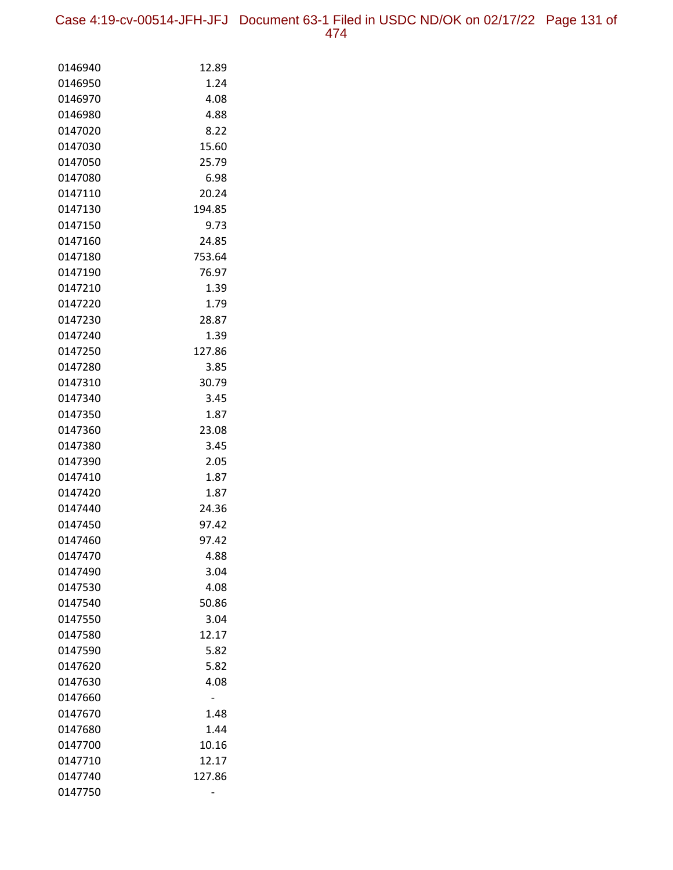Case 4:19-cv-00514-JFH-JFJ Document 63-1 Filed in USDC ND/OK on 02/17/22 Page 131 of 474

| 0146940 | 12.89  |
|---------|--------|
| 0146950 | 1.24   |
| 0146970 | 4.08   |
| 0146980 | 4.88   |
| 0147020 | 8.22   |
| 0147030 | 15.60  |
| 0147050 | 25.79  |
| 0147080 | 6.98   |
| 0147110 | 20.24  |
| 0147130 | 194.85 |
| 0147150 | 9.73   |
| 0147160 | 24.85  |
| 0147180 | 753.64 |
| 0147190 | 76.97  |
| 0147210 | 1.39   |
| 0147220 | 1.79   |
| 0147230 | 28.87  |
| 0147240 | 1.39   |
| 0147250 | 127.86 |
| 0147280 | 3.85   |
| 0147310 | 30.79  |
| 0147340 | 3.45   |
| 0147350 | 1.87   |
| 0147360 | 23.08  |
| 0147380 | 3.45   |
| 0147390 | 2.05   |
| 0147410 | 1.87   |
| 0147420 | 1.87   |
| 0147440 | 24.36  |
| 0147450 | 97.42  |
| 0147460 | 97.42  |
| 0147470 | 4.88   |
| 0147490 | 3.04   |
| 0147530 | 4.08   |
| 0147540 | 50.86  |
| 0147550 | 3.04   |
| 0147580 | 12.17  |
| 0147590 | 5.82   |
| 0147620 | 5.82   |
| 0147630 | 4.08   |
| 0147660 |        |
| 0147670 | 1.48   |
| 0147680 | 1.44   |
| 0147700 | 10.16  |
| 0147710 | 12.17  |
| 0147740 | 127.86 |
| 0147750 |        |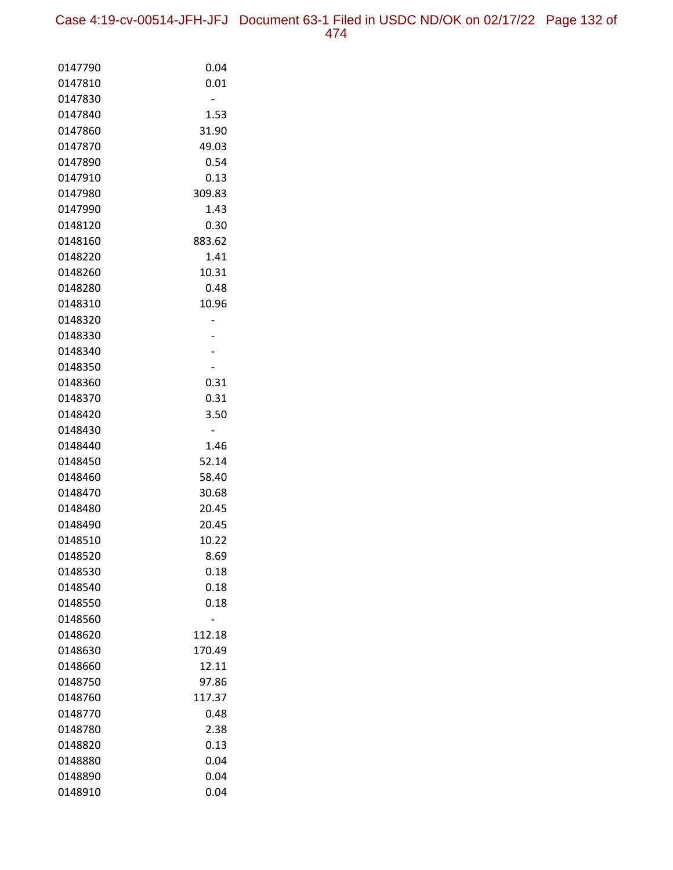Case 4:19-cv-00514-JFH-JFJ Document 63-1 Filed in USDC ND/OK on 02/17/22 Page 132 of 474

| 0147790            | 0.04   |
|--------------------|--------|
| 0147810            | 0.01   |
| 0147830            |        |
| 0147840            | 1.53   |
| 0147860            | 31.90  |
| 0147870            | 49.03  |
| 0147890            | 0.54   |
| 0147910            | 0.13   |
| 0147980            | 309.83 |
| 0147990            | 1.43   |
| 0148120            | 0.30   |
| 0148160            | 883.62 |
| 0148220            | 1.41   |
| 0148260            | 10.31  |
| 0148280            | 0.48   |
| 0148310            | 10.96  |
| 0148320            |        |
| 0148330            |        |
| 0148340            |        |
| 0148350            |        |
| 0148360            | 0.31   |
| 0148370            | 0.31   |
| 0148420            | 3.50   |
| 0148430            |        |
| 0148440            | 1.46   |
| 0148450            | 52.14  |
| 0148460            | 58.40  |
| 0148470            | 30.68  |
| 0148480            | 20.45  |
| 0148490            | 20.45  |
| 0148510            | 10.22  |
| 0148520            | 8.69   |
| 0148530            | 0.18   |
| 0148540            | 0.18   |
| 0148550<br>0148560 | 0.18   |
| 0148620            | 112.18 |
| 0148630            | 170.49 |
| 0148660            | 12.11  |
| 0148750            | 97.86  |
| 0148760            | 117.37 |
| 0148770            | 0.48   |
| 0148780            | 2.38   |
| 0148820            | 0.13   |
| 0148880            | 0.04   |
| 0148890            | 0.04   |
| 0148910            | 0.04   |
|                    |        |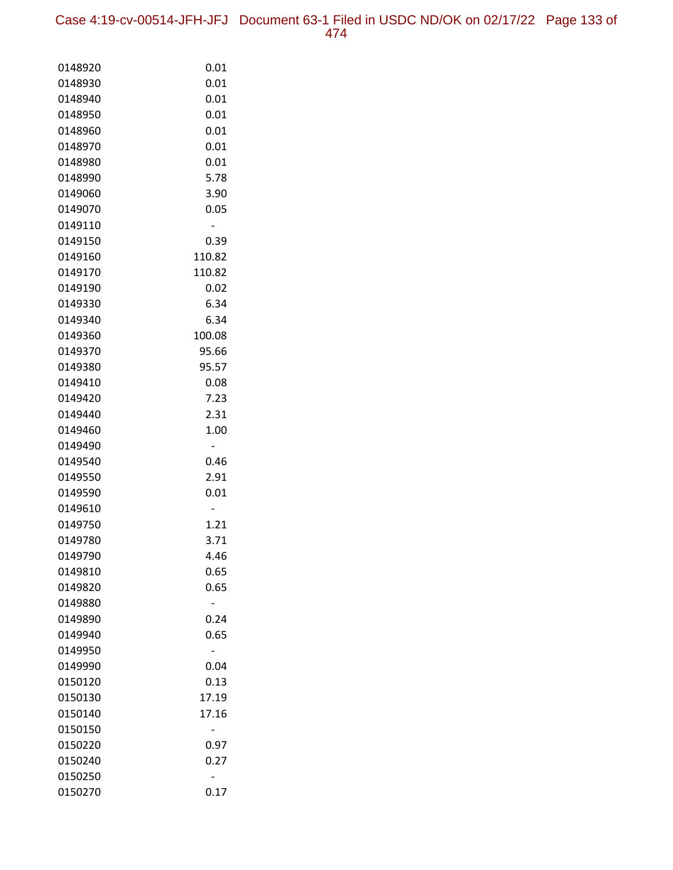Case 4:19-cv-00514-JFH-JFJ Document 63-1 Filed in USDC ND/OK on 02/17/22 Page 133 of 474

| 0148920            | 0.01         |
|--------------------|--------------|
| 0148930            | 0.01         |
| 0148940            | 0.01         |
| 0148950            | 0.01         |
| 0148960            | 0.01         |
| 0148970            | 0.01         |
| 0148980            | 0.01         |
| 0148990            | 5.78         |
| 0149060            | 3.90         |
| 0149070            | 0.05         |
| 0149110            | -            |
| 0149150            | 0.39         |
| 0149160            | 110.82       |
| 0149170            | 110.82       |
| 0149190            | 0.02         |
| 0149330            | 6.34         |
| 0149340            | 6.34         |
| 0149360            | 100.08       |
| 0149370            | 95.66        |
| 0149380            | 95.57        |
| 0149410            | 0.08         |
| 0149420            | 7.23         |
| 0149440            | 2.31         |
| 0149460            | 1.00         |
| 0149490            | -            |
| 0149540            | 0.46         |
| 0149550            | 2.91         |
| 0149590            | 0.01         |
| 0149610            |              |
| 0149750            | 1.21         |
| 0149780<br>0149790 | 3.71         |
|                    | 4.46         |
| 0149810            | 0.65<br>0.65 |
| 0149820<br>0149880 |              |
| 0149890            | 0.24         |
| 0149940            | 0.65         |
| 0149950            |              |
| 0149990            | 0.04         |
| 0150120            | 0.13         |
| 0150130            | 17.19        |
| 0150140            | 17.16        |
| 0150150            |              |
| 0150220            | 0.97         |
| 0150240            | 0.27         |
| 0150250            |              |
| 0150270            | 0.17         |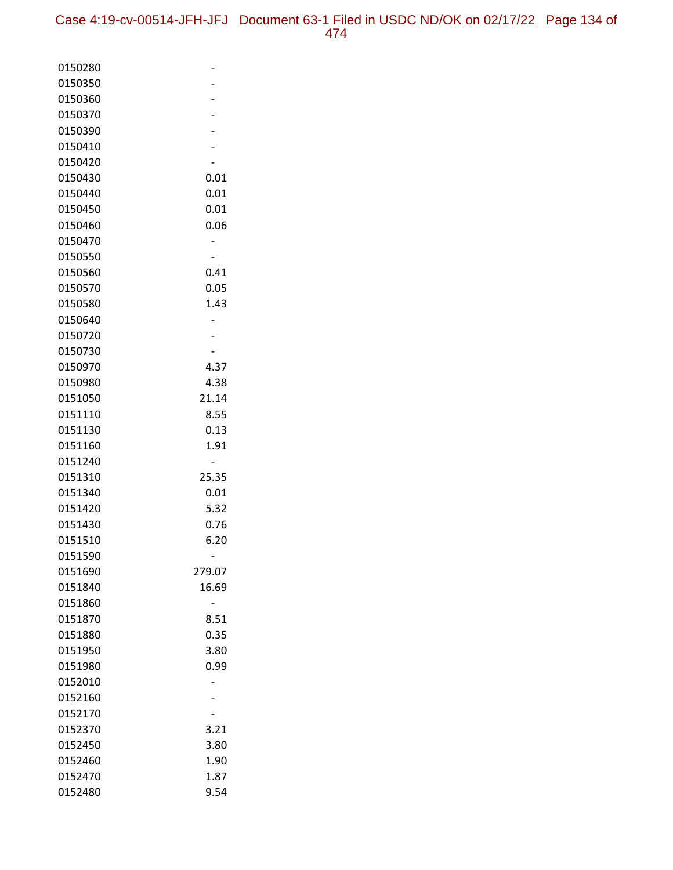| 0150280 |        |
|---------|--------|
| 0150350 |        |
| 0150360 |        |
| 0150370 |        |
| 0150390 |        |
| 0150410 |        |
| 0150420 |        |
| 0150430 | 0.01   |
| 0150440 | 0.01   |
| 0150450 | 0.01   |
| 0150460 | 0.06   |
| 0150470 |        |
| 0150550 |        |
| 0150560 | 0.41   |
| 0150570 | 0.05   |
| 0150580 | 1.43   |
| 0150640 |        |
| 0150720 |        |
| 0150730 |        |
| 0150970 | 4.37   |
| 0150980 | 4.38   |
| 0151050 | 21.14  |
| 0151110 | 8.55   |
| 0151130 | 0.13   |
| 0151160 | 1.91   |
| 0151240 |        |
| 0151310 | 25.35  |
| 0151340 | 0.01   |
| 0151420 | 5.32   |
| 0151430 | 0.76   |
| 0151510 | 6.20   |
| 0151590 |        |
| 0151690 | 279.07 |
| 0151840 | 16.69  |
| 0151860 |        |
| 0151870 | 8.51   |
| 0151880 | 0.35   |
| 0151950 | 3.80   |
| 0151980 | 0.99   |
| 0152010 |        |
| 0152160 |        |
| 0152170 |        |
| 0152370 | 3.21   |
| 0152450 | 3.80   |
| 0152460 | 1.90   |
| 0152470 | 1.87   |
| 0152480 | 9.54   |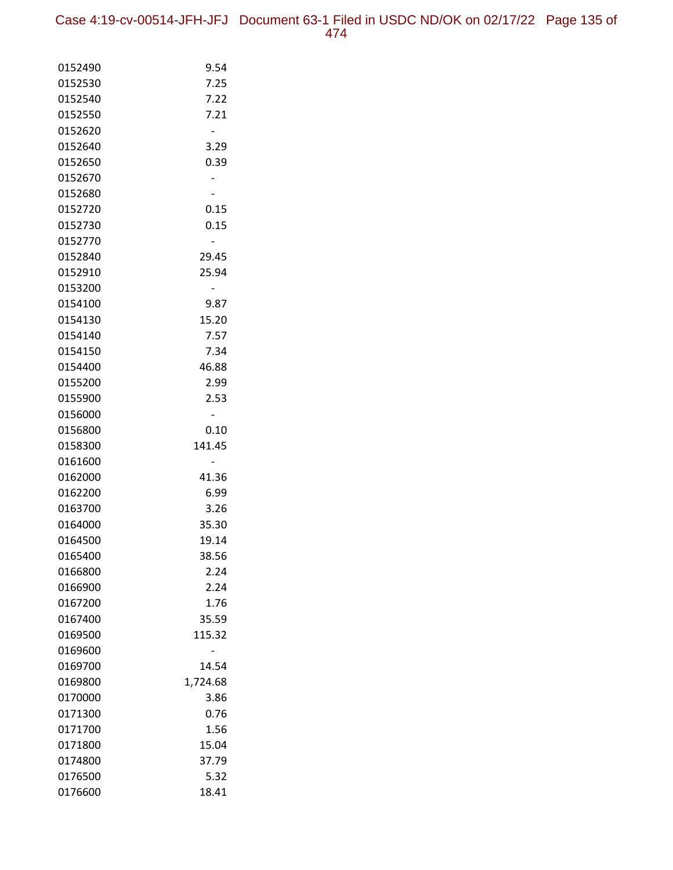| 0152490 | 9.54     |
|---------|----------|
| 0152530 | 7.25     |
| 0152540 | 7.22     |
| 0152550 | 7.21     |
| 0152620 |          |
| 0152640 | 3.29     |
| 0152650 | 0.39     |
| 0152670 |          |
| 0152680 |          |
| 0152720 | 0.15     |
| 0152730 | 0.15     |
| 0152770 |          |
| 0152840 | 29.45    |
| 0152910 | 25.94    |
| 0153200 |          |
| 0154100 | 9.87     |
| 0154130 | 15.20    |
| 0154140 | 7.57     |
| 0154150 | 7.34     |
| 0154400 | 46.88    |
| 0155200 | 2.99     |
| 0155900 | 2.53     |
| 0156000 |          |
| 0156800 | 0.10     |
| 0158300 | 141.45   |
| 0161600 |          |
| 0162000 | 41.36    |
| 0162200 | 6.99     |
| 0163700 | 3.26     |
| 0164000 | 35.30    |
| 0164500 | 19.14    |
| 0165400 | 38.56    |
| 0166800 | 2.24     |
| 0166900 | 2.24     |
| 0167200 | 1.76     |
| 0167400 | 35.59    |
| 0169500 | 115.32   |
| 0169600 |          |
| 0169700 | 14.54    |
| 0169800 | 1,724.68 |
| 0170000 | 3.86     |
| 0171300 | 0.76     |
| 0171700 | 1.56     |
| 0171800 | 15.04    |
| 0174800 | 37.79    |
| 0176500 | 5.32     |
| 0176600 | 18.41    |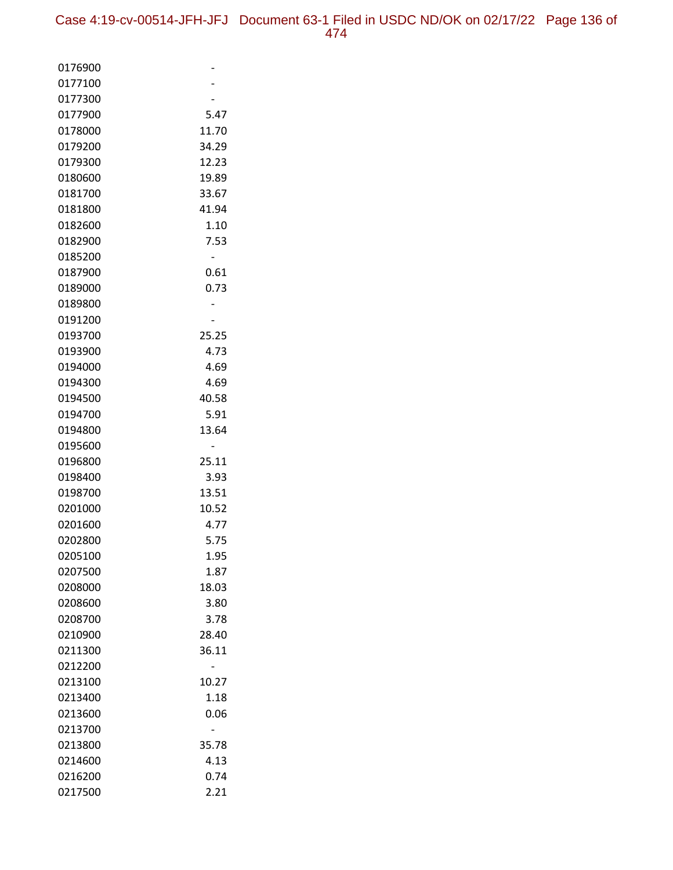| 0176900            |               |
|--------------------|---------------|
| 0177100            |               |
| 0177300            |               |
| 0177900            | 5.47          |
| 0178000            | 11.70         |
| 0179200            | 34.29         |
| 0179300            | 12.23         |
| 0180600            | 19.89         |
| 0181700            | 33.67         |
| 0181800            | 41.94         |
| 0182600            | 1.10          |
| 0182900            | 7.53          |
| 0185200            |               |
| 0187900            | 0.61          |
| 0189000            | 0.73          |
| 0189800            |               |
| 0191200            |               |
| 0193700            | 25.25         |
| 0193900            | 4.73          |
| 0194000            | 4.69          |
| 0194300            | 4.69          |
| 0194500            | 40.58         |
| 0194700            | 5.91          |
| 0194800            | 13.64         |
| 0195600            |               |
| 0196800            | 25.11         |
| 0198400            | 3.93          |
| 0198700            | 13.51         |
| 0201000<br>0201600 | 10.52<br>4.77 |
| 0202800            | 5.75          |
| 0205100            | 1.95          |
| 0207500            | 1.87          |
| 0208000            | 18.03         |
| 0208600            | 3.80          |
| 0208700            | 3.78          |
| 0210900            | 28.40         |
| 0211300            | 36.11         |
| 0212200            |               |
| 0213100            | 10.27         |
| 0213400            | 1.18          |
| 0213600            | 0.06          |
| 0213700            |               |
| 0213800            | 35.78         |
| 0214600            | 4.13          |
| 0216200            | 0.74          |
| 0217500            | 2.21          |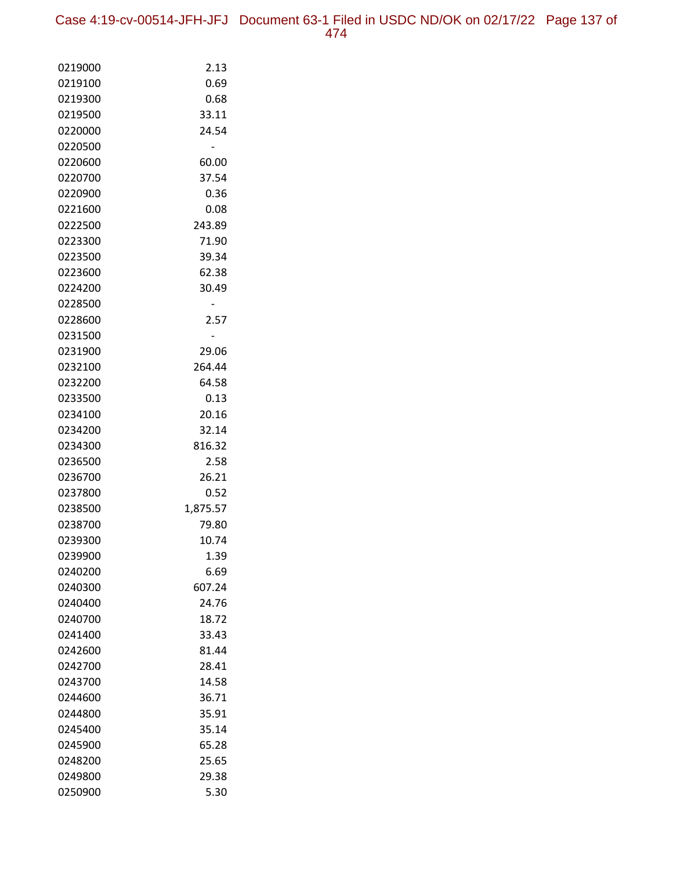Case 4:19-cv-00514-JFH-JFJ Document 63-1 Filed in USDC ND/OK on 02/17/22 Page 137 of 474

| 0219000            | 2.13           |
|--------------------|----------------|
| 0219100            | 0.69           |
| 0219300            | 0.68           |
| 0219500            | 33.11          |
| 0220000            | 24.54          |
| 0220500            |                |
| 0220600            | 60.00          |
| 0220700            | 37.54          |
| 0220900            | 0.36           |
| 0221600            | 0.08           |
| 0222500            | 243.89         |
| 0223300            | 71.90          |
| 0223500            | 39.34          |
| 0223600            | 62.38          |
| 0224200            | 30.49          |
| 0228500            |                |
| 0228600            | 2.57           |
| 0231500            |                |
| 0231900            | 29.06          |
| 0232100            | 264.44         |
| 0232200            | 64.58          |
| 0233500            | 0.13           |
| 0234100<br>0234200 | 20.16<br>32.14 |
| 0234300            | 816.32         |
| 0236500            | 2.58           |
| 0236700            | 26.21          |
| 0237800            | 0.52           |
| 0238500            | 1,875.57       |
| 0238700            | 79.80          |
| 0239300            | 10.74          |
| 0239900            | 1.39           |
| 0240200            | 6.69           |
| 0240300            | 607.24         |
| 0240400            | 24.76          |
| 0240700            | 18.72          |
| 0241400            | 33.43          |
| 0242600            | 81.44          |
| 0242700            | 28.41          |
| 0243700            | 14.58          |
| 0244600            | 36.71          |
| 0244800            | 35.91          |
| 0245400            | 35.14          |
| 0245900            | 65.28          |
| 0248200            | 25.65          |
| 0249800            | 29.38          |
| 0250900            | 5.30           |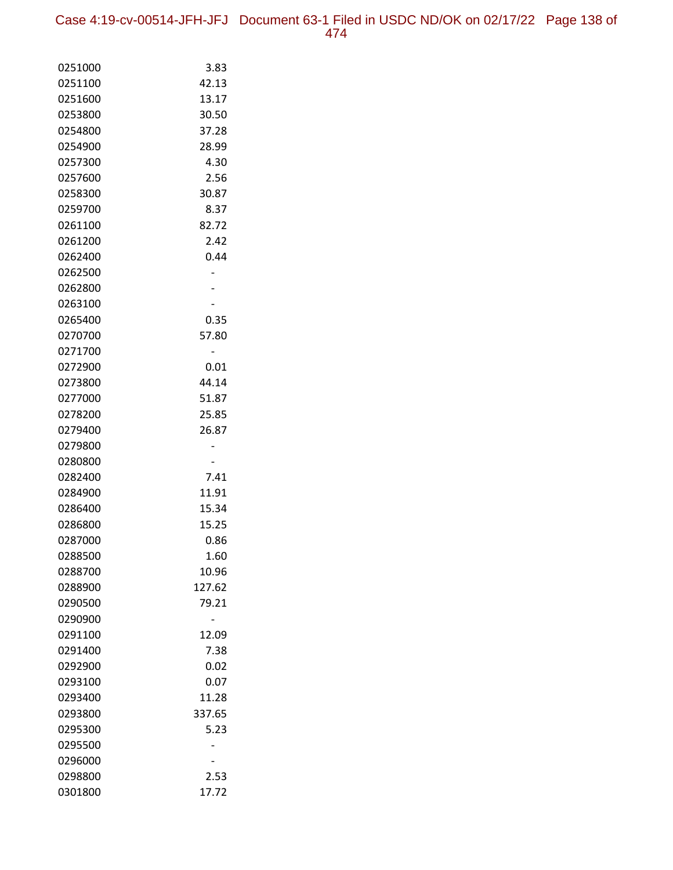Case 4:19-cv-00514-JFH-JFJ Document 63-1 Filed in USDC ND/OK on 02/17/22 Page 138 of 474

| 0251000            | 3.83         |
|--------------------|--------------|
| 0251100            | 42.13        |
| 0251600            | 13.17        |
| 0253800            | 30.50        |
| 0254800            | 37.28        |
| 0254900            | 28.99        |
| 0257300            | 4.30         |
| 0257600            | 2.56         |
| 0258300            | 30.87        |
| 0259700            | 8.37         |
| 0261100            | 82.72        |
| 0261200            | 2.42         |
| 0262400            | 0.44         |
| 0262500            |              |
| 0262800            |              |
| 0263100            |              |
| 0265400            | 0.35         |
| 0270700            | 57.80        |
| 0271700            |              |
| 0272900            | 0.01         |
| 0273800            | 44.14        |
| 0277000            | 51.87        |
| 0278200            | 25.85        |
| 0279400            | 26.87        |
| 0279800            |              |
| 0280800            |              |
| 0282400            | 7.41         |
| 0284900            | 11.91        |
| 0286400            | 15.34        |
| 0286800<br>0287000 | 15.25        |
|                    | 0.86<br>1.60 |
| 0288500<br>0288700 | 10.96        |
| 0288900            | 127.62       |
| 0290500            | 79.21        |
| 0290900            |              |
| 0291100            | 12.09        |
| 0291400            | 7.38         |
| 0292900            | 0.02         |
| 0293100            | 0.07         |
| 0293400            | 11.28        |
| 0293800            | 337.65       |
| 0295300            | 5.23         |
| 0295500            |              |
| 0296000            |              |
| 0298800            | 2.53         |
| 0301800            | 17.72        |
|                    |              |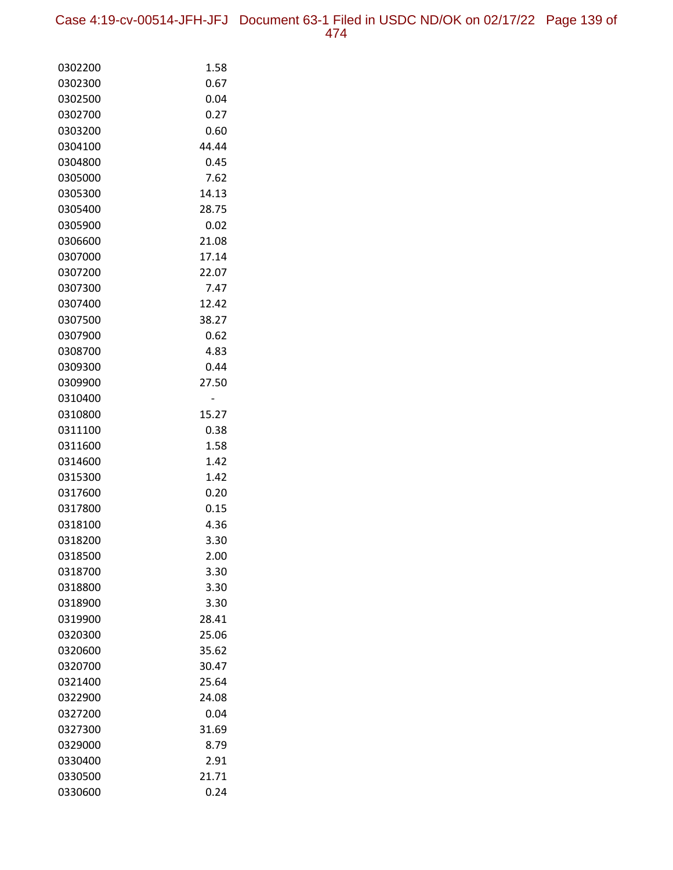Case 4:19-cv-00514-JFH-JFJ Document 63-1 Filed in USDC ND/OK on 02/17/22 Page 139 of 474

| 0302200            | 1.58          |
|--------------------|---------------|
| 0302300            | 0.67          |
| 0302500            | 0.04          |
| 0302700            | 0.27          |
| 0303200            | 0.60          |
| 0304100            | 44.44         |
| 0304800            | 0.45          |
| 0305000            | 7.62          |
| 0305300            | 14.13         |
| 0305400            | 28.75         |
| 0305900            | 0.02          |
| 0306600            | 21.08         |
| 0307000            | 17.14         |
| 0307200            | 22.07         |
| 0307300            | 7.47          |
| 0307400            | 12.42         |
| 0307500            | 38.27         |
| 0307900            | 0.62          |
| 0308700            | 4.83          |
| 0309300            | 0.44          |
| 0309900            | 27.50         |
| 0310400            |               |
| 0310800<br>0311100 | 15.27<br>0.38 |
| 0311600            | 1.58          |
| 0314600            | 1.42          |
| 0315300            | 1.42          |
| 0317600            | 0.20          |
| 0317800            | 0.15          |
| 0318100            | 4.36          |
| 0318200            | 3.30          |
| 0318500            | 2.00          |
| 0318700            | 3.30          |
| 0318800            | 3.30          |
| 0318900            | 3.30          |
| 0319900            | 28.41         |
| 0320300            | 25.06         |
| 0320600            | 35.62         |
| 0320700            | 30.47         |
| 0321400            | 25.64         |
| 0322900            | 24.08         |
| 0327200            | 0.04          |
| 0327300            | 31.69         |
| 0329000            | 8.79          |
| 0330400            | 2.91          |
| 0330500            | 21.71         |
| 0330600            | 0.24          |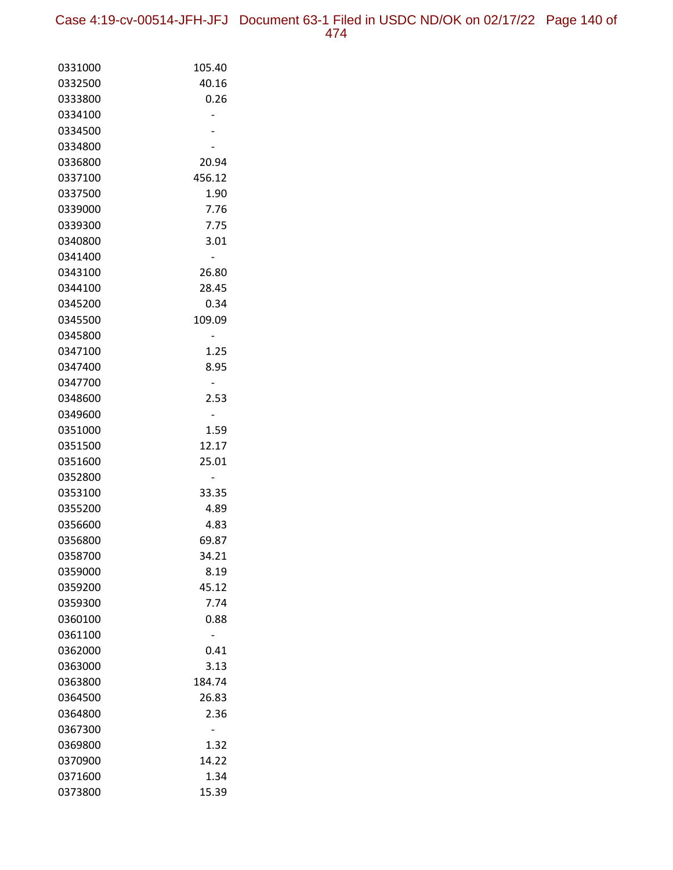| 0331000 | 105.40 |
|---------|--------|
| 0332500 | 40.16  |
| 0333800 | 0.26   |
| 0334100 |        |
| 0334500 |        |
| 0334800 |        |
| 0336800 | 20.94  |
| 0337100 | 456.12 |
| 0337500 | 1.90   |
| 0339000 | 7.76   |
| 0339300 | 7.75   |
| 0340800 | 3.01   |
| 0341400 |        |
| 0343100 | 26.80  |
| 0344100 | 28.45  |
| 0345200 | 0.34   |
| 0345500 | 109.09 |
| 0345800 |        |
| 0347100 | 1.25   |
| 0347400 | 8.95   |
| 0347700 |        |
| 0348600 | 2.53   |
| 0349600 |        |
| 0351000 | 1.59   |
| 0351500 | 12.17  |
| 0351600 | 25.01  |
| 0352800 |        |
| 0353100 | 33.35  |
| 0355200 | 4.89   |
| 0356600 | 4.83   |
| 0356800 | 69.87  |
| 0358700 | 34.21  |
| 0359000 | 8.19   |
| 0359200 | 45.12  |
| 0359300 | 7.74   |
| 0360100 | 0.88   |
| 0361100 |        |
| 0362000 | 0.41   |
| 0363000 | 3.13   |
| 0363800 | 184.74 |
| 0364500 | 26.83  |
| 0364800 | 2.36   |
| 0367300 |        |
| 0369800 | 1.32   |
| 0370900 | 14.22  |
| 0371600 | 1.34   |
| 0373800 | 15.39  |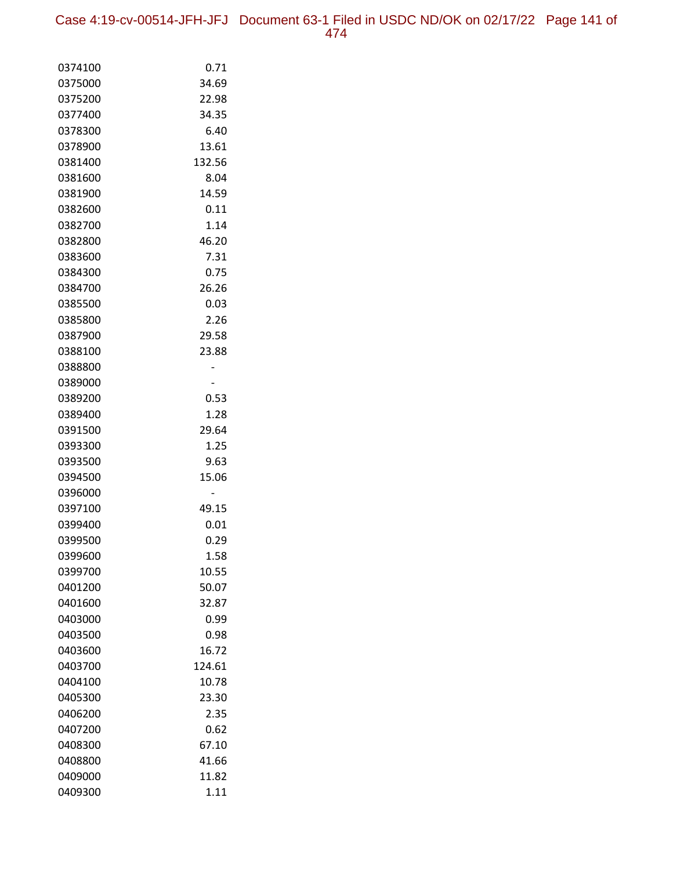Case 4:19-cv-00514-JFH-JFJ Document 63-1 Filed in USDC ND/OK on 02/17/22 Page 141 of 474

| 0374100 | 0.71   |
|---------|--------|
| 0375000 | 34.69  |
| 0375200 | 22.98  |
| 0377400 | 34.35  |
| 0378300 | 6.40   |
| 0378900 | 13.61  |
| 0381400 | 132.56 |
| 0381600 | 8.04   |
| 0381900 | 14.59  |
| 0382600 | 0.11   |
| 0382700 | 1.14   |
| 0382800 | 46.20  |
| 0383600 | 7.31   |
| 0384300 | 0.75   |
| 0384700 | 26.26  |
| 0385500 | 0.03   |
| 0385800 | 2.26   |
| 0387900 | 29.58  |
| 0388100 | 23.88  |
| 0388800 |        |
| 0389000 |        |
| 0389200 | 0.53   |
| 0389400 | 1.28   |
| 0391500 | 29.64  |
| 0393300 | 1.25   |
| 0393500 | 9.63   |
| 0394500 | 15.06  |
| 0396000 |        |
| 0397100 | 49.15  |
| 0399400 | 0.01   |
| 0399500 | 0.29   |
| 0399600 | 1.58   |
| 0399700 | 10.55  |
| 0401200 | 50.07  |
| 0401600 | 32.87  |
| 0403000 | 0.99   |
| 0403500 | 0.98   |
| 0403600 | 16.72  |
| 0403700 | 124.61 |
| 0404100 | 10.78  |
| 0405300 | 23.30  |
| 0406200 | 2.35   |
| 0407200 | 0.62   |
| 0408300 | 67.10  |
| 0408800 | 41.66  |
| 0409000 | 11.82  |
| 0409300 | 1.11   |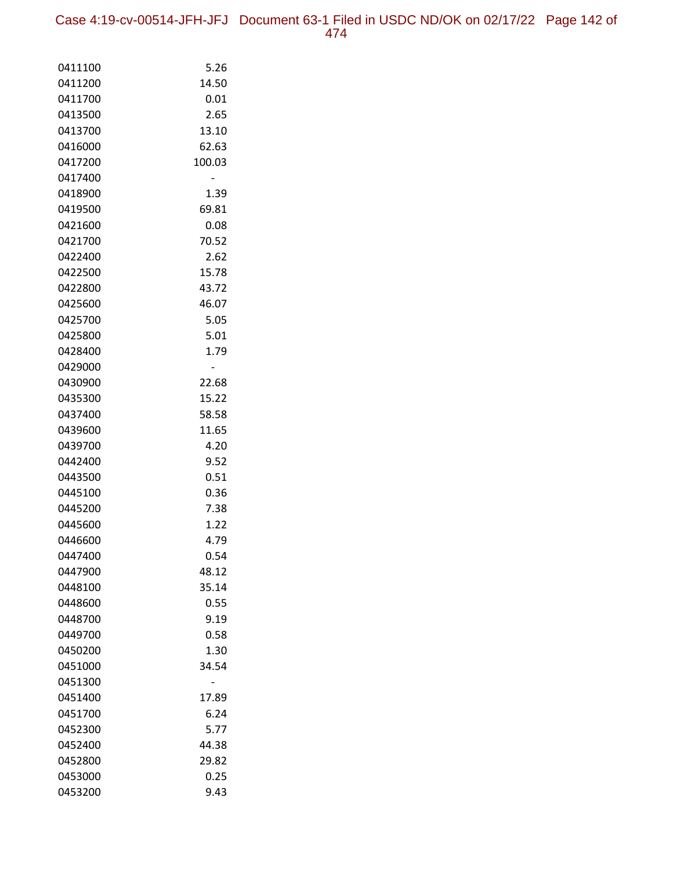Case 4:19-cv-00514-JFH-JFJ Document 63-1 Filed in USDC ND/OK on 02/17/22 Page 142 of 474

| 0411100            | 5.26          |
|--------------------|---------------|
| 0411200            | 14.50         |
| 0411700            | 0.01          |
| 0413500            | 2.65          |
| 0413700            | 13.10         |
| 0416000            | 62.63         |
| 0417200            | 100.03        |
| 0417400            |               |
| 0418900            | 1.39          |
| 0419500            | 69.81         |
| 0421600            | 0.08          |
| 0421700            | 70.52         |
| 0422400            | 2.62          |
| 0422500            | 15.78         |
| 0422800            | 43.72         |
| 0425600            | 46.07         |
| 0425700            | 5.05          |
| 0425800            | 5.01          |
| 0428400            | 1.79          |
| 0429000            |               |
| 0430900            | 22.68         |
| 0435300            | 15.22         |
| 0437400            | 58.58         |
| 0439600            | 11.65         |
| 0439700            | 4.20          |
| 0442400            | 9.52          |
| 0443500            | 0.51          |
| 0445100            | 0.36          |
| 0445200            | 7.38          |
| 0445600            | 1.22          |
| 0446600            | 4.79          |
| 0447400            | 0.54          |
| 0447900            | 48.12         |
| 0448100            | 35.14<br>0.55 |
| 0448600<br>0448700 | 9.19          |
|                    | 0.58          |
| 0449700            | 1.30          |
| 0450200            | 34.54         |
| 0451000<br>0451300 |               |
| 0451400            | 17.89         |
| 0451700            | 6.24          |
| 0452300            | 5.77          |
| 0452400            | 44.38         |
| 0452800            | 29.82         |
| 0453000            | 0.25          |
| 0453200            | 9.43          |
|                    |               |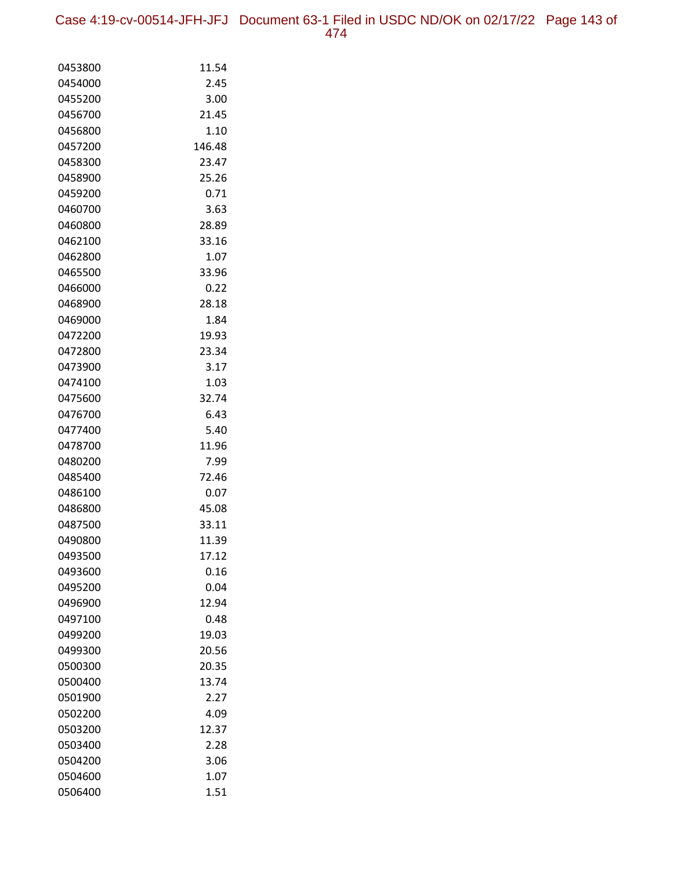| 0453800            | 11.54         |
|--------------------|---------------|
| 0454000            | 2.45          |
| 0455200            | 3.00          |
| 0456700            | 21.45         |
| 0456800            | 1.10          |
| 0457200            | 146.48        |
| 0458300            | 23.47         |
| 0458900            | 25.26         |
| 0459200            | 0.71          |
| 0460700            | 3.63          |
| 0460800            | 28.89         |
| 0462100            | 33.16         |
| 0462800            | 1.07          |
| 0465500            | 33.96         |
| 0466000            | 0.22          |
| 0468900            | 28.18         |
| 0469000            | 1.84          |
| 0472200            | 19.93         |
| 0472800            | 23.34         |
| 0473900            | 3.17          |
| 0474100            | 1.03          |
| 0475600            | 32.74         |
| 0476700            | 6.43          |
| 0477400            | 5.40          |
| 0478700            | 11.96         |
| 0480200            | 7.99          |
| 0485400            | 72.46         |
| 0486100            | 0.07          |
| 0486800            | 45.08         |
| 0487500            | 33.11         |
| 0490800            | 11.39         |
| 0493500            | 17.12         |
| 0493600            | 0.16          |
| 0495200            | 0.04          |
| 0496900<br>0497100 | 12.94<br>0.48 |
| 0499200            | 19.03         |
| 0499300            | 20.56         |
| 0500300            | 20.35         |
| 0500400            | 13.74         |
| 0501900            | 2.27          |
|                    |               |
| 0502200<br>0503200 | 4.09<br>12.37 |
| 0503400            | 2.28          |
| 0504200            | 3.06          |
| 0504600            | 1.07          |
| 0506400            | 1.51          |
|                    |               |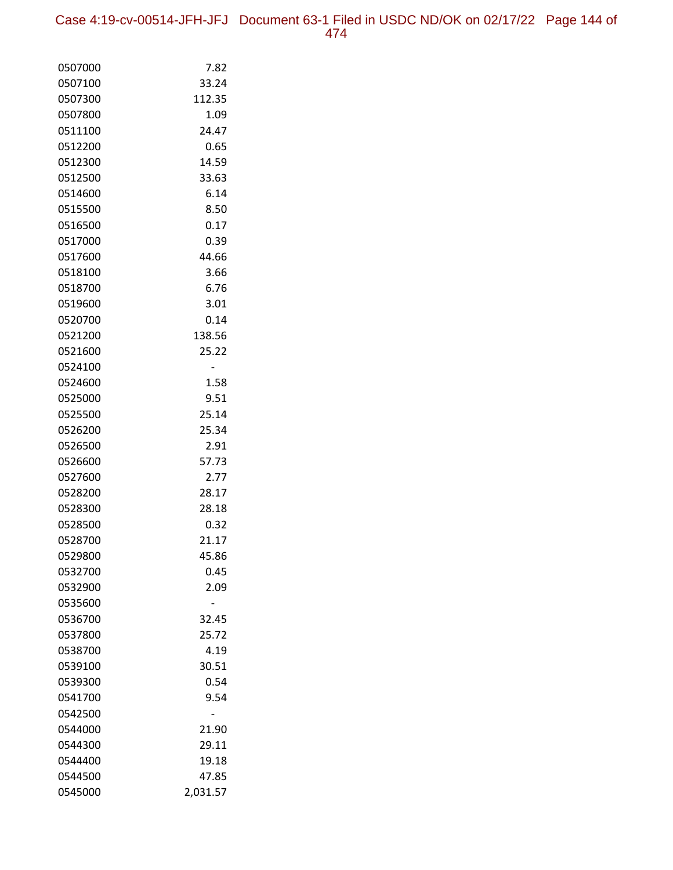| 0507000 | 7.82     |
|---------|----------|
| 0507100 | 33.24    |
| 0507300 | 112.35   |
| 0507800 | 1.09     |
| 0511100 | 24.47    |
| 0512200 | 0.65     |
| 0512300 | 14.59    |
| 0512500 | 33.63    |
| 0514600 | 6.14     |
| 0515500 | 8.50     |
| 0516500 | 0.17     |
| 0517000 | 0.39     |
| 0517600 | 44.66    |
| 0518100 | 3.66     |
| 0518700 | 6.76     |
| 0519600 | 3.01     |
| 0520700 | 0.14     |
| 0521200 | 138.56   |
| 0521600 | 25.22    |
| 0524100 |          |
| 0524600 | 1.58     |
| 0525000 | 9.51     |
| 0525500 | 25.14    |
| 0526200 | 25.34    |
| 0526500 | 2.91     |
| 0526600 | 57.73    |
| 0527600 | 2.77     |
| 0528200 | 28.17    |
| 0528300 | 28.18    |
| 0528500 | 0.32     |
| 0528700 | 21.17    |
| 0529800 | 45.86    |
| 0532700 | 0.45     |
| 0532900 | 2.09     |
| 0535600 |          |
| 0536700 | 32.45    |
| 0537800 | 25.72    |
| 0538700 | 4.19     |
| 0539100 | 30.51    |
| 0539300 | 0.54     |
| 0541700 | 9.54     |
| 0542500 |          |
| 0544000 | 21.90    |
| 0544300 | 29.11    |
| 0544400 | 19.18    |
| 0544500 | 47.85    |
| 0545000 | 2,031.57 |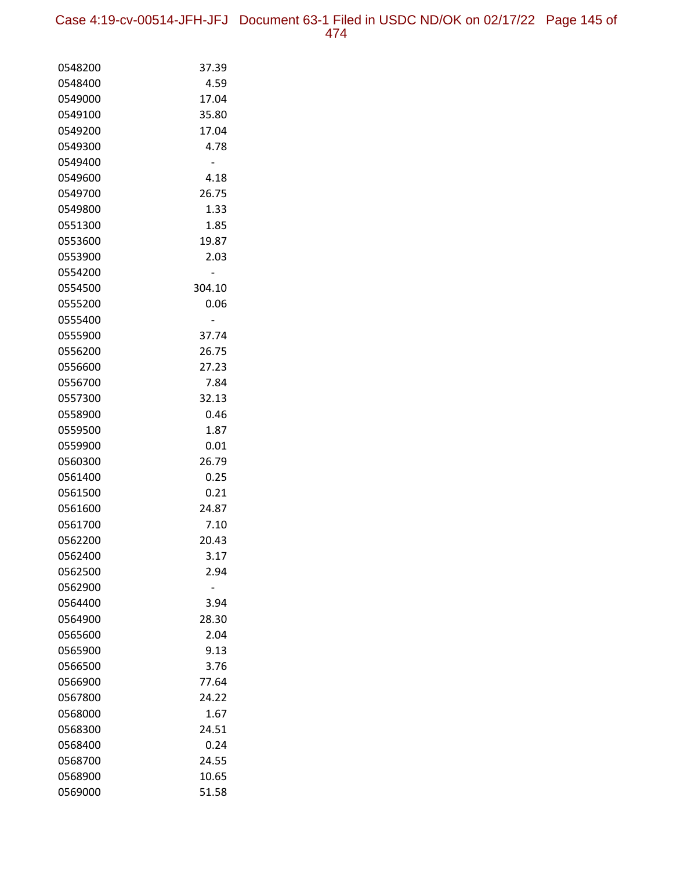Case 4:19-cv-00514-JFH-JFJ Document 63-1 Filed in USDC ND/OK on 02/17/22 Page 145 of 474

| 0548200 | 37.39  |
|---------|--------|
| 0548400 | 4.59   |
| 0549000 | 17.04  |
| 0549100 | 35.80  |
| 0549200 | 17.04  |
| 0549300 | 4.78   |
| 0549400 |        |
| 0549600 | 4.18   |
| 0549700 | 26.75  |
| 0549800 | 1.33   |
| 0551300 | 1.85   |
| 0553600 | 19.87  |
| 0553900 | 2.03   |
| 0554200 |        |
| 0554500 | 304.10 |
| 0555200 | 0.06   |
| 0555400 |        |
| 0555900 | 37.74  |
| 0556200 | 26.75  |
| 0556600 | 27.23  |
| 0556700 | 7.84   |
| 0557300 | 32.13  |
| 0558900 | 0.46   |
| 0559500 | 1.87   |
| 0559900 | 0.01   |
| 0560300 | 26.79  |
| 0561400 | 0.25   |
| 0561500 | 0.21   |
| 0561600 | 24.87  |
| 0561700 | 7.10   |
| 0562200 | 20.43  |
| 0562400 | 3.17   |
| 0562500 | 2.94   |
| 0562900 |        |
| 0564400 | 3.94   |
| 0564900 | 28.30  |
| 0565600 | 2.04   |
| 0565900 | 9.13   |
| 0566500 | 3.76   |
| 0566900 | 77.64  |
| 0567800 | 24.22  |
| 0568000 | 1.67   |
| 0568300 | 24.51  |
| 0568400 | 0.24   |
| 0568700 | 24.55  |
| 0568900 | 10.65  |
| 0569000 | 51.58  |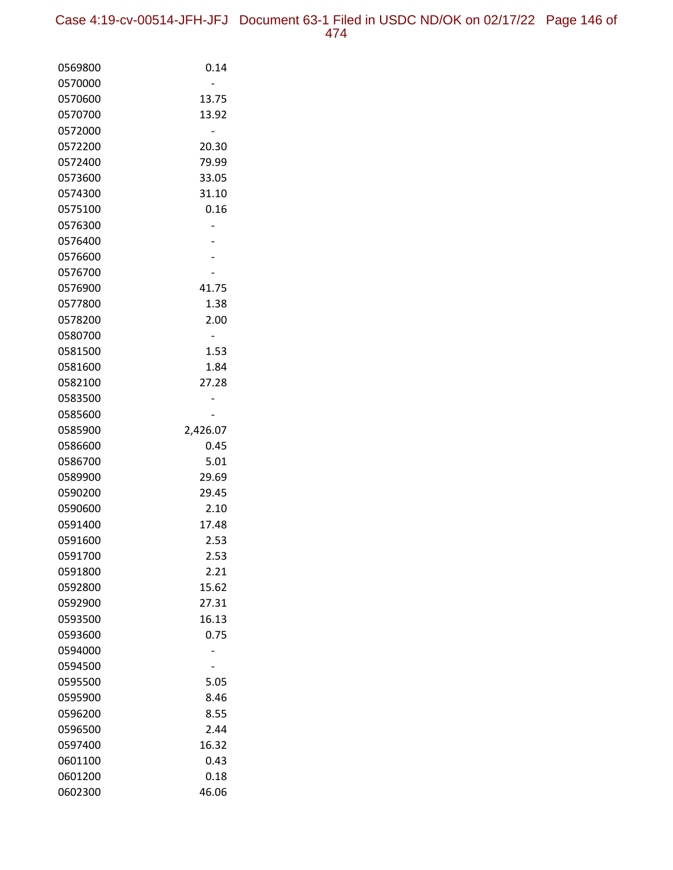| 0569800            | 0.14          |
|--------------------|---------------|
| 0570000            |               |
| 0570600            | 13.75         |
| 0570700            | 13.92         |
| 0572000            |               |
| 0572200            | 20.30         |
| 0572400            | 79.99         |
| 0573600            | 33.05         |
| 0574300            | 31.10         |
| 0575100            | 0.16          |
| 0576300            |               |
| 0576400            |               |
| 0576600            |               |
| 0576700            |               |
| 0576900            | 41.75         |
| 0577800            | 1.38          |
| 0578200            | 2.00          |
| 0580700            |               |
| 0581500            | 1.53          |
| 0581600            | 1.84          |
| 0582100            | 27.28         |
| 0583500            |               |
| 0585600            |               |
| 0585900            | 2,426.07      |
| 0586600            | 0.45          |
| 0586700            | 5.01          |
| 0589900            | 29.69         |
| 0590200            | 29.45         |
| 0590600            | 2.10          |
| 0591400            | 17.48         |
| 0591600            | 2.53          |
| 0591700            | 2.53          |
| 0591800            | 2.21<br>15.62 |
| 0592800            | 27.31         |
| 0592900<br>0593500 | 16.13         |
| 0593600            | 0.75          |
| 0594000            |               |
| 0594500            |               |
| 0595500            | 5.05          |
| 0595900            | 8.46          |
| 0596200            | 8.55          |
| 0596500            | 2.44          |
| 0597400            | 16.32         |
| 0601100            | 0.43          |
| 0601200            | 0.18          |
| 0602300            | 46.06         |
|                    |               |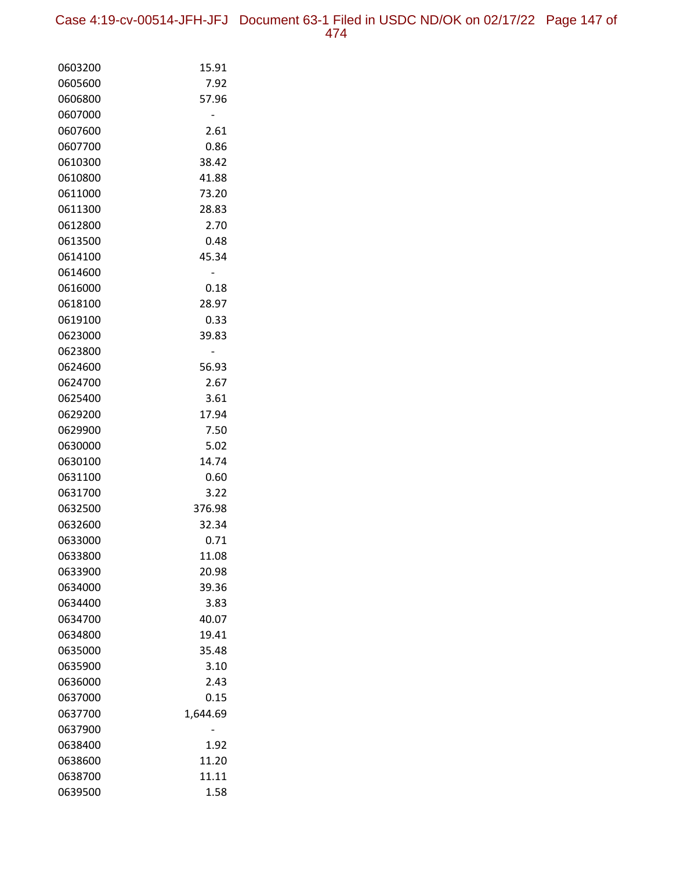Case 4:19-cv-00514-JFH-JFJ Document 63-1 Filed in USDC ND/OK on 02/17/22 Page 147 of 474

| 0603200            | 15.91        |
|--------------------|--------------|
| 0605600            | 7.92         |
| 0606800            | 57.96        |
| 0607000            |              |
| 0607600            | 2.61         |
| 0607700            | 0.86         |
| 0610300            | 38.42        |
| 0610800            | 41.88        |
| 0611000            | 73.20        |
| 0611300            | 28.83        |
| 0612800            | 2.70         |
| 0613500            | 0.48         |
| 0614100            | 45.34        |
| 0614600            |              |
| 0616000            | 0.18         |
| 0618100            | 28.97        |
| 0619100            | 0.33         |
| 0623000            | 39.83        |
| 0623800            |              |
| 0624600            | 56.93        |
| 0624700            | 2.67         |
| 0625400            | 3.61         |
| 0629200            | 17.94        |
| 0629900            | 7.50         |
| 0630000            | 5.02         |
| 0630100            | 14.74        |
| 0631100<br>0631700 | 0.60<br>3.22 |
| 0632500            | 376.98       |
| 0632600            | 32.34        |
| 0633000            | 0.71         |
| 0633800            | 11.08        |
| 0633900            | 20.98        |
| 0634000            | 39.36        |
| 0634400            | 3.83         |
| 0634700            | 40.07        |
| 0634800            | 19.41        |
| 0635000            | 35.48        |
| 0635900            | 3.10         |
| 0636000            | 2.43         |
| 0637000            | 0.15         |
| 0637700            | 1,644.69     |
| 0637900            |              |
| 0638400            | 1.92         |
| 0638600            | 11.20        |
| 0638700            | 11.11        |
| 0639500            | 1.58         |
|                    |              |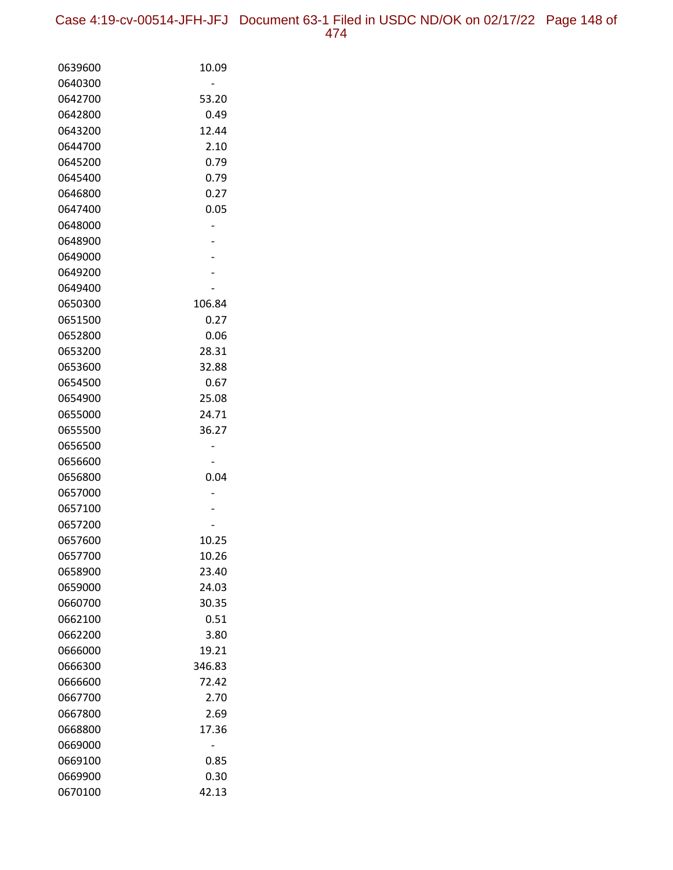Case 4:19-cv-00514-JFH-JFJ Document 63-1 Filed in USDC ND/OK on 02/17/22 Page 148 of 474

| 0639600 | 10.09  |
|---------|--------|
| 0640300 |        |
| 0642700 | 53.20  |
| 0642800 | 0.49   |
| 0643200 | 12.44  |
| 0644700 | 2.10   |
| 0645200 | 0.79   |
| 0645400 | 0.79   |
| 0646800 | 0.27   |
| 0647400 | 0.05   |
| 0648000 |        |
| 0648900 |        |
| 0649000 |        |
| 0649200 |        |
| 0649400 |        |
| 0650300 | 106.84 |
| 0651500 | 0.27   |
| 0652800 | 0.06   |
| 0653200 | 28.31  |
| 0653600 | 32.88  |
| 0654500 | 0.67   |
| 0654900 | 25.08  |
| 0655000 | 24.71  |
| 0655500 | 36.27  |
| 0656500 |        |
| 0656600 |        |
| 0656800 | 0.04   |
| 0657000 |        |
| 0657100 |        |
| 0657200 |        |
| 0657600 | 10.25  |
| 0657700 | 10.26  |
| 0658900 | 23.40  |
| 0659000 | 24.03  |
| 0660700 | 30.35  |
| 0662100 | 0.51   |
| 0662200 | 3.80   |
| 0666000 | 19.21  |
| 0666300 | 346.83 |
| 0666600 | 72.42  |
| 0667700 | 2.70   |
| 0667800 | 2.69   |
| 0668800 | 17.36  |
| 0669000 |        |
| 0669100 | 0.85   |
| 0669900 | 0.30   |
| 0670100 | 42.13  |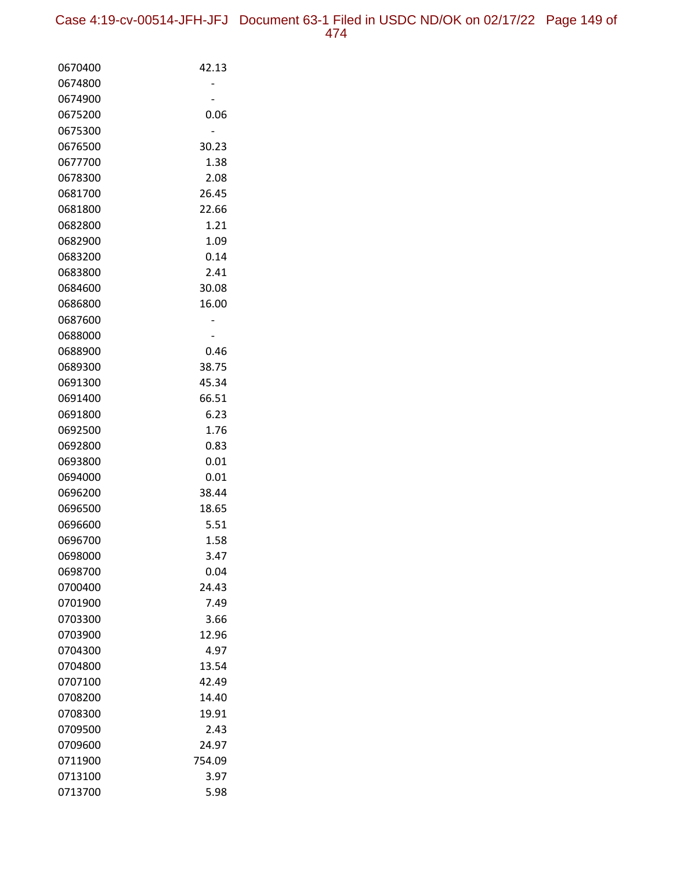| 0670400            | 42.13         |
|--------------------|---------------|
| 0674800            |               |
| 0674900            |               |
| 0675200            | 0.06          |
| 0675300            |               |
| 0676500            | 30.23         |
| 0677700            | 1.38          |
| 0678300            | 2.08          |
| 0681700            | 26.45         |
| 0681800            | 22.66         |
| 0682800            | 1.21          |
| 0682900            | 1.09          |
| 0683200            | 0.14          |
| 0683800            | 2.41          |
| 0684600            | 30.08         |
| 0686800            | 16.00         |
| 0687600            |               |
| 0688000            |               |
| 0688900            | 0.46          |
| 0689300            | 38.75         |
| 0691300            | 45.34         |
| 0691400            | 66.51         |
| 0691800            | 6.23          |
| 0692500            | 1.76          |
| 0692800            | 0.83          |
| 0693800            | 0.01          |
| 0694000            | 0.01          |
| 0696200            | 38.44         |
| 0696500            | 18.65         |
| 0696600            | 5.51          |
| 0696700<br>0698000 | 1.58<br>3.47  |
|                    |               |
| 0698700            | 0.04          |
| 0700400<br>0701900 | 24.43<br>7.49 |
| 0703300            | 3.66          |
| 0703900            | 12.96         |
| 0704300            | 4.97          |
| 0704800            | 13.54         |
| 0707100            | 42.49         |
| 0708200            | 14.40         |
| 0708300            | 19.91         |
| 0709500            | 2.43          |
| 0709600            | 24.97         |
| 0711900            | 754.09        |
| 0713100            | 3.97          |
| 0713700            | 5.98          |
|                    |               |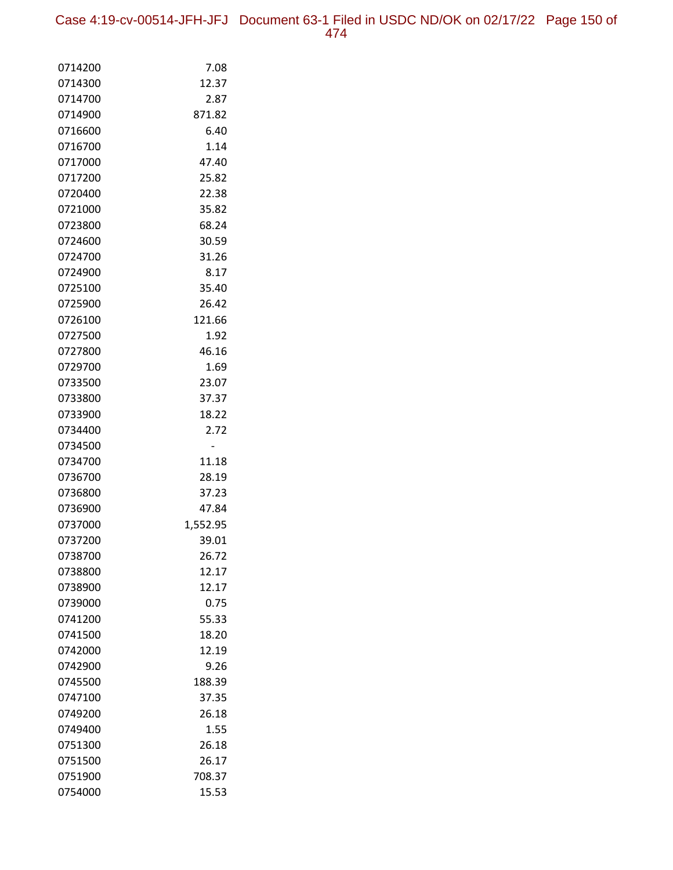| 0714200 | 7.08     |
|---------|----------|
| 0714300 | 12.37    |
| 0714700 | 2.87     |
| 0714900 | 871.82   |
| 0716600 | 6.40     |
| 0716700 | 1.14     |
| 0717000 | 47.40    |
| 0717200 | 25.82    |
| 0720400 | 22.38    |
| 0721000 | 35.82    |
| 0723800 | 68.24    |
| 0724600 | 30.59    |
| 0724700 | 31.26    |
| 0724900 | 8.17     |
| 0725100 | 35.40    |
| 0725900 | 26.42    |
| 0726100 | 121.66   |
| 0727500 | 1.92     |
| 0727800 | 46.16    |
| 0729700 | 1.69     |
| 0733500 | 23.07    |
| 0733800 | 37.37    |
| 0733900 | 18.22    |
| 0734400 | 2.72     |
| 0734500 |          |
| 0734700 | 11.18    |
| 0736700 | 28.19    |
| 0736800 | 37.23    |
| 0736900 | 47.84    |
| 0737000 | 1,552.95 |
| 0737200 | 39.01    |
| 0738700 | 26.72    |
| 0738800 | 12.17    |
| 0738900 | 12.17    |
| 0739000 | 0.75     |
| 0741200 | 55.33    |
| 0741500 | 18.20    |
| 0742000 | 12.19    |
| 0742900 | 9.26     |
| 0745500 | 188.39   |
| 0747100 | 37.35    |
| 0749200 | 26.18    |
| 0749400 | 1.55     |
| 0751300 | 26.18    |
| 0751500 | 26.17    |
| 0751900 | 708.37   |
| 0754000 | 15.53    |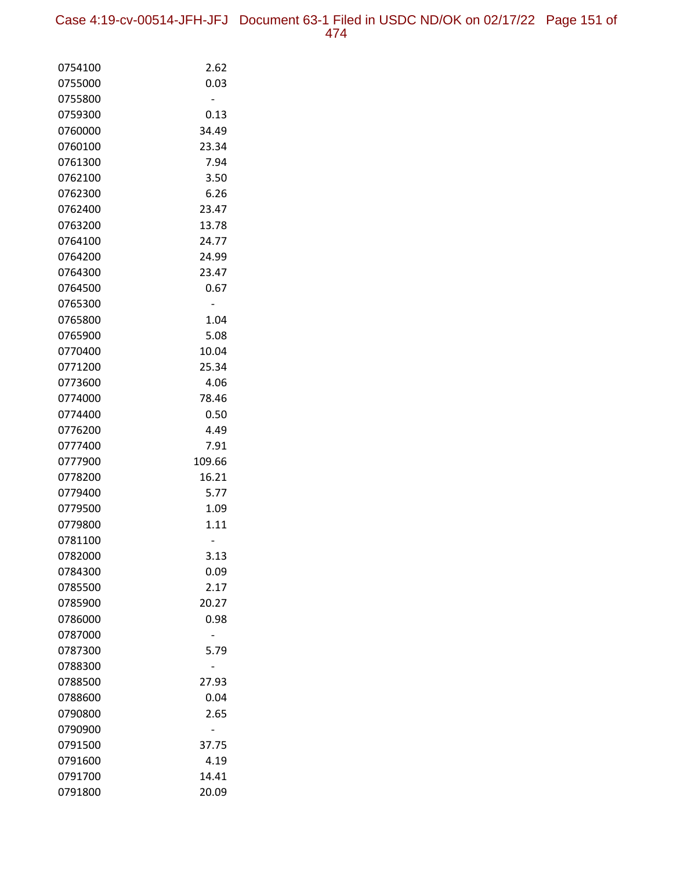| 0754100 | 2.62   |
|---------|--------|
| 0755000 | 0.03   |
| 0755800 |        |
| 0759300 | 0.13   |
| 0760000 | 34.49  |
| 0760100 | 23.34  |
| 0761300 | 7.94   |
| 0762100 | 3.50   |
| 0762300 | 6.26   |
| 0762400 | 23.47  |
| 0763200 | 13.78  |
| 0764100 | 24.77  |
| 0764200 | 24.99  |
| 0764300 | 23.47  |
| 0764500 | 0.67   |
| 0765300 |        |
| 0765800 | 1.04   |
| 0765900 | 5.08   |
| 0770400 | 10.04  |
| 0771200 | 25.34  |
| 0773600 | 4.06   |
| 0774000 | 78.46  |
| 0774400 | 0.50   |
| 0776200 | 4.49   |
| 0777400 | 7.91   |
| 0777900 | 109.66 |
| 0778200 | 16.21  |
| 0779400 | 5.77   |
| 0779500 | 1.09   |
| 0779800 | 1.11   |
| 0781100 |        |
| 0782000 | 3.13   |
| 0784300 | 0.09   |
| 0785500 | 2.17   |
| 0785900 | 20.27  |
| 0786000 | 0.98   |
| 0787000 |        |
| 0787300 | 5.79   |
| 0788300 |        |
| 0788500 | 27.93  |
| 0788600 | 0.04   |
| 0790800 | 2.65   |
| 0790900 |        |
| 0791500 | 37.75  |
| 0791600 | 4.19   |
| 0791700 | 14.41  |
| 0791800 | 20.09  |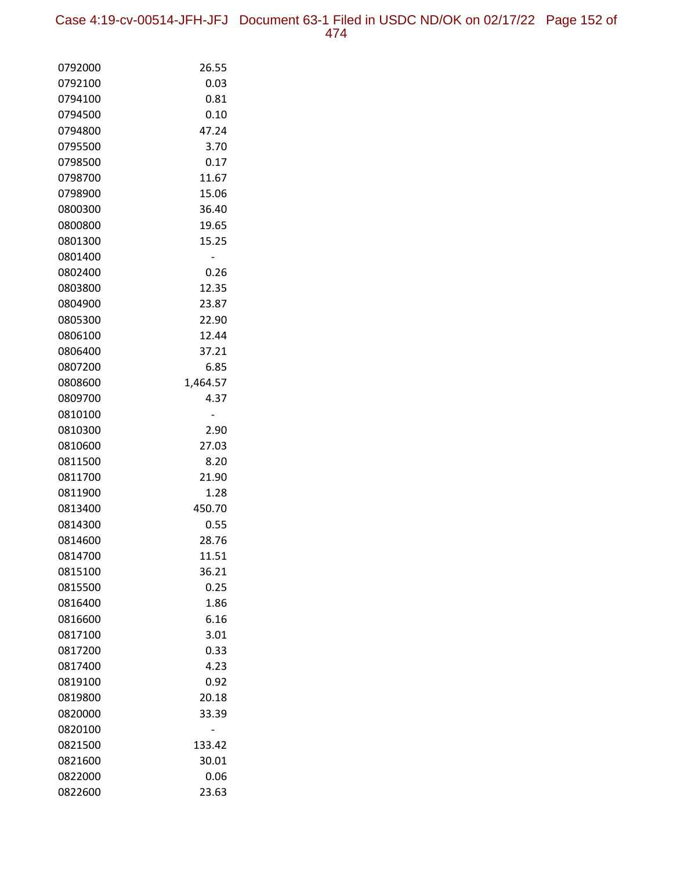Case 4:19-cv-00514-JFH-JFJ Document 63-1 Filed in USDC ND/OK on 02/17/22 Page 152 of 474

| 0792000 | 26.55    |
|---------|----------|
| 0792100 | 0.03     |
| 0794100 | 0.81     |
| 0794500 | 0.10     |
| 0794800 | 47.24    |
| 0795500 | 3.70     |
| 0798500 | 0.17     |
| 0798700 | 11.67    |
| 0798900 | 15.06    |
| 0800300 | 36.40    |
| 0800800 | 19.65    |
| 0801300 | 15.25    |
| 0801400 |          |
| 0802400 | 0.26     |
| 0803800 | 12.35    |
| 0804900 | 23.87    |
| 0805300 | 22.90    |
| 0806100 | 12.44    |
| 0806400 | 37.21    |
| 0807200 | 6.85     |
| 0808600 | 1,464.57 |
| 0809700 | 4.37     |
| 0810100 |          |
| 0810300 | 2.90     |
| 0810600 | 27.03    |
| 0811500 | 8.20     |
| 0811700 | 21.90    |
| 0811900 | 1.28     |
| 0813400 | 450.70   |
| 0814300 | 0.55     |
| 0814600 | 28.76    |
| 0814700 | 11.51    |
| 0815100 | 36.21    |
| 0815500 | 0.25     |
| 0816400 | 1.86     |
| 0816600 | 6.16     |
| 0817100 | 3.01     |
| 0817200 | 0.33     |
| 0817400 | 4.23     |
| 0819100 | 0.92     |
| 0819800 | 20.18    |
| 0820000 | 33.39    |
| 0820100 |          |
| 0821500 | 133.42   |
| 0821600 | 30.01    |
| 0822000 | 0.06     |
| 0822600 | 23.63    |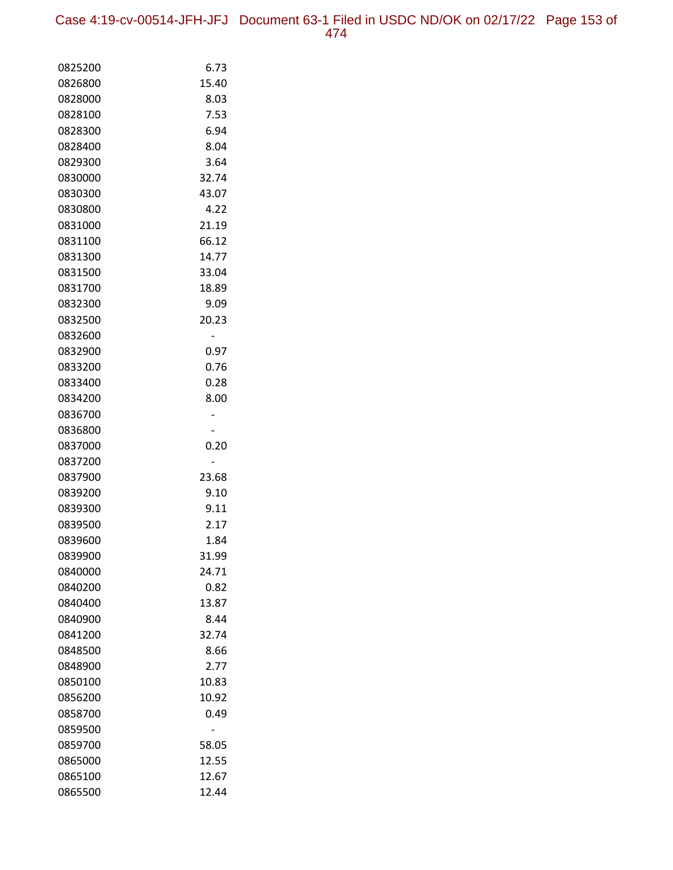| 0825200            | 6.73           |
|--------------------|----------------|
| 0826800            | 15.40          |
| 0828000            | 8.03           |
| 0828100            | 7.53           |
| 0828300            | 6.94           |
| 0828400            | 8.04           |
| 0829300            | 3.64           |
| 0830000            | 32.74          |
| 0830300            | 43.07          |
| 0830800            | 4.22           |
| 0831000            | 21.19          |
| 0831100            | 66.12          |
| 0831300            | 14.77          |
| 0831500            | 33.04          |
| 0831700            | 18.89          |
| 0832300            | 9.09           |
| 0832500            | 20.23          |
| 0832600            |                |
| 0832900            | 0.97           |
| 0833200            | 0.76           |
| 0833400            | 0.28           |
| 0834200            | 8.00           |
| 0836700            |                |
| 0836800            |                |
| 0837000            | 0.20           |
| 0837200            |                |
| 0837900            | 23.68          |
| 0839200            | 9.10           |
| 0839300            | 9.11           |
| 0839500            | 2.17           |
| 0839600            | 1.84           |
| 0839900            | 31.99          |
| 0840000            | 24.71          |
| 0840200            | 0.82           |
| 0840400            | 13.87          |
| 0840900            | 8.44           |
| 0841200            | 32.74          |
| 0848500            | 8.66           |
| 0848900            | 2.77           |
| 0850100            | 10.83          |
| 0856200            | 10.92          |
| 0858700            | 0.49           |
| 0859500            |                |
| 0859700<br>0865000 | 58.05<br>12.55 |
|                    |                |
| 0865100<br>0865500 | 12.67<br>12.44 |
|                    |                |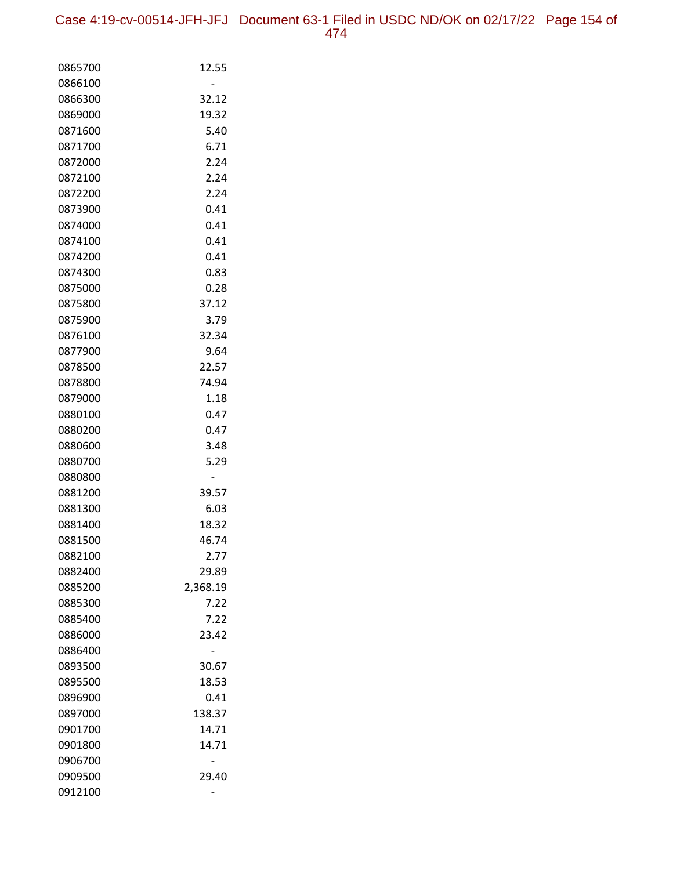| 0865700 | 12.55    |
|---------|----------|
| 0866100 |          |
| 0866300 | 32.12    |
| 0869000 | 19.32    |
| 0871600 | 5.40     |
| 0871700 | 6.71     |
| 0872000 | 2.24     |
| 0872100 | 2.24     |
| 0872200 | 2.24     |
| 0873900 | 0.41     |
| 0874000 | 0.41     |
| 0874100 | 0.41     |
| 0874200 | 0.41     |
| 0874300 | 0.83     |
| 0875000 | 0.28     |
| 0875800 | 37.12    |
| 0875900 | 3.79     |
| 0876100 | 32.34    |
| 0877900 | 9.64     |
| 0878500 | 22.57    |
| 0878800 | 74.94    |
| 0879000 | 1.18     |
| 0880100 | 0.47     |
| 0880200 | 0.47     |
| 0880600 | 3.48     |
| 0880700 | 5.29     |
| 0880800 |          |
| 0881200 | 39.57    |
| 0881300 | 6.03     |
| 0881400 | 18.32    |
| 0881500 | 46.74    |
| 0882100 | 2.77     |
| 0882400 | 29.89    |
| 0885200 | 2,368.19 |
| 0885300 | 7.22     |
| 0885400 | 7.22     |
| 0886000 | 23.42    |
| 0886400 |          |
| 0893500 | 30.67    |
| 0895500 | 18.53    |
| 0896900 | 0.41     |
| 0897000 | 138.37   |
| 0901700 | 14.71    |
| 0901800 | 14.71    |
| 0906700 |          |
| 0909500 | 29.40    |
| 0912100 |          |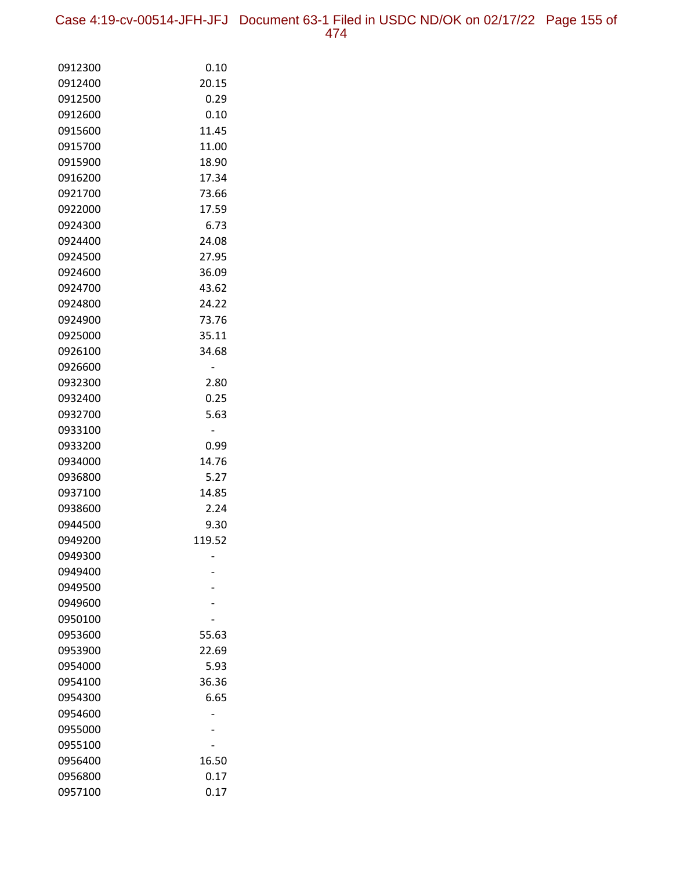Case 4:19-cv-00514-JFH-JFJ Document 63-1 Filed in USDC ND/OK on 02/17/22 Page 155 of 474

| 0912300            | 0.10   |
|--------------------|--------|
| 0912400            | 20.15  |
| 0912500            | 0.29   |
| 0912600            | 0.10   |
| 0915600            | 11.45  |
| 0915700            | 11.00  |
| 0915900            | 18.90  |
| 0916200            | 17.34  |
| 0921700            | 73.66  |
| 0922000            | 17.59  |
| 0924300            | 6.73   |
| 0924400            | 24.08  |
| 0924500            | 27.95  |
| 0924600            | 36.09  |
| 0924700            | 43.62  |
| 0924800            | 24.22  |
| 0924900            | 73.76  |
| 0925000            | 35.11  |
| 0926100            | 34.68  |
| 0926600            |        |
| 0932300            | 2.80   |
| 0932400            | 0.25   |
| 0932700            | 5.63   |
| 0933100            |        |
| 0933200            | 0.99   |
| 0934000            | 14.76  |
| 0936800            | 5.27   |
| 0937100            | 14.85  |
| 0938600            | 2.24   |
| 0944500            | 9.30   |
| 0949200            | 119.52 |
| 0949300            |        |
| 0949400<br>0949500 |        |
| 0949600            |        |
| 0950100            |        |
| 0953600            | 55.63  |
| 0953900            | 22.69  |
| 0954000            | 5.93   |
| 0954100            | 36.36  |
| 0954300            | 6.65   |
| 0954600            |        |
| 0955000            |        |
| 0955100            |        |
| 0956400            | 16.50  |
| 0956800            | 0.17   |
| 0957100            | 0.17   |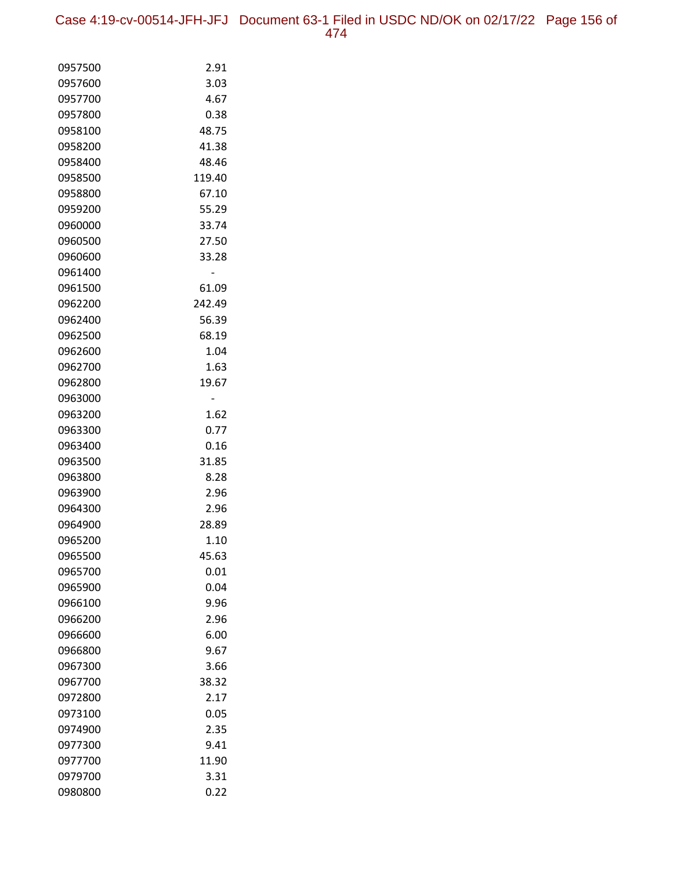Case 4:19-cv-00514-JFH-JFJ Document 63-1 Filed in USDC ND/OK on 02/17/22 Page 156 of 474

| 0957500            | 2.91          |
|--------------------|---------------|
| 0957600            | 3.03          |
| 0957700            | 4.67          |
| 0957800            | 0.38          |
| 0958100            | 48.75         |
| 0958200            | 41.38         |
| 0958400            | 48.46         |
| 0958500            | 119.40        |
| 0958800            | 67.10         |
| 0959200            | 55.29         |
| 0960000            | 33.74         |
| 0960500            | 27.50         |
| 0960600            | 33.28         |
| 0961400            |               |
| 0961500            | 61.09         |
| 0962200            | 242.49        |
| 0962400            | 56.39         |
| 0962500            | 68.19         |
| 0962600            | 1.04          |
| 0962700            | 1.63          |
| 0962800            | 19.67         |
| 0963000            |               |
| 0963200            | 1.62          |
| 0963300            | 0.77          |
| 0963400            | 0.16          |
| 0963500            | 31.85         |
| 0963800            | 8.28          |
| 0963900            | 2.96          |
| 0964300<br>0964900 | 2.96          |
| 0965200            | 28.89<br>1.10 |
| 0965500            | 45.63         |
| 0965700            | 0.01          |
| 0965900            | 0.04          |
| 0966100            | 9.96          |
| 0966200            | 2.96          |
| 0966600            | 6.00          |
| 0966800            | 9.67          |
| 0967300            | 3.66          |
| 0967700            | 38.32         |
| 0972800            | 2.17          |
| 0973100            | 0.05          |
| 0974900            | 2.35          |
| 0977300            | 9.41          |
| 0977700            | 11.90         |
| 0979700            | 3.31          |
| 0980800            | 0.22          |
|                    |               |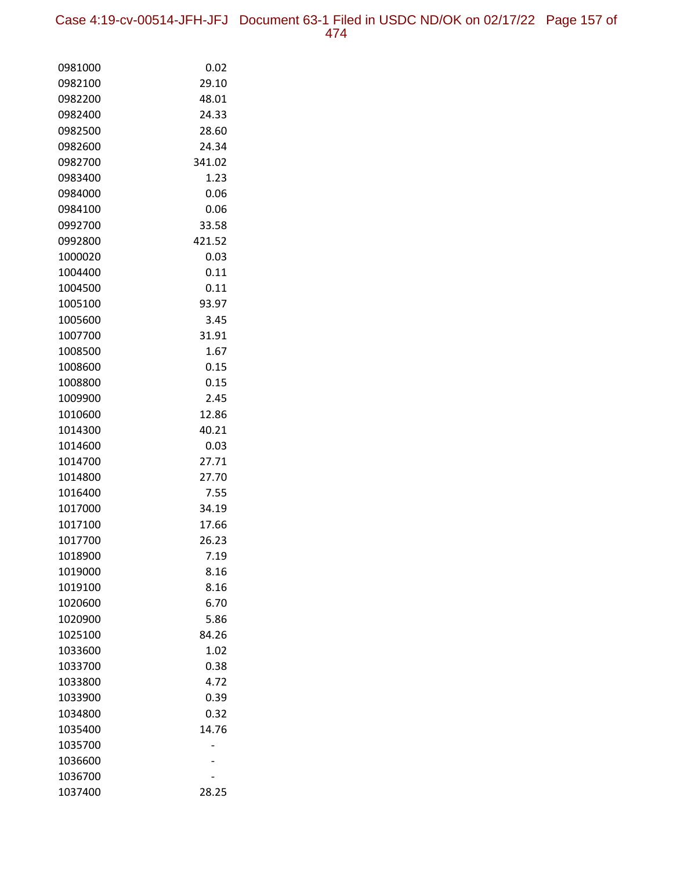Case 4:19-cv-00514-JFH-JFJ Document 63-1 Filed in USDC ND/OK on 02/17/22 Page 157 of 474

| 0981000            | 0.02          |
|--------------------|---------------|
| 0982100            | 29.10         |
| 0982200            | 48.01         |
| 0982400            | 24.33         |
| 0982500            | 28.60         |
| 0982600            | 24.34         |
| 0982700            | 341.02        |
| 0983400            | 1.23          |
| 0984000            | 0.06          |
| 0984100            | 0.06          |
| 0992700            | 33.58         |
| 0992800            | 421.52        |
| 1000020            | 0.03          |
| 1004400            | 0.11          |
| 1004500            | 0.11          |
| 1005100            | 93.97         |
| 1005600            | 3.45          |
| 1007700            | 31.91         |
| 1008500            | 1.67          |
| 1008600            | 0.15          |
| 1008800            | 0.15          |
| 1009900            | 2.45          |
| 1010600            | 12.86         |
| 1014300            | 40.21         |
| 1014600            | 0.03          |
| 1014700            | 27.71         |
| 1014800            | 27.70         |
| 1016400            | 7.55          |
| 1017000            | 34.19         |
| 1017100            | 17.66         |
| 1017700            | 26.23         |
| 1018900            | 7.19          |
| 1019000            | 8.16          |
| 1019100            | 8.16          |
| 1020600            | 6.70          |
| 1020900            | 5.86<br>84.26 |
| 1025100            |               |
| 1033600            | 1.02          |
| 1033700<br>1033800 | 0.38<br>4.72  |
| 1033900            | 0.39          |
| 1034800            | 0.32          |
| 1035400            | 14.76         |
| 1035700            |               |
| 1036600            |               |
| 1036700            |               |
| 1037400            | 28.25         |
|                    |               |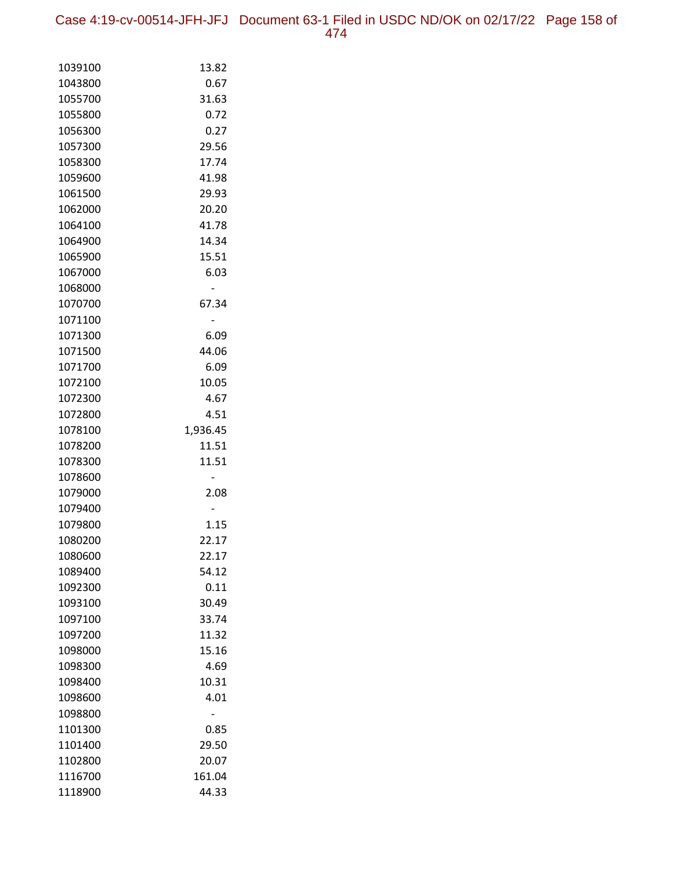Case 4:19-cv-00514-JFH-JFJ Document 63-1 Filed in USDC ND/OK on 02/17/22 Page 158 of 474

| 1039100            | 13.82         |
|--------------------|---------------|
| 1043800            | 0.67          |
| 1055700            | 31.63         |
| 1055800            | 0.72          |
| 1056300            | 0.27          |
| 1057300            | 29.56         |
| 1058300            | 17.74         |
| 1059600            | 41.98         |
| 1061500            | 29.93         |
| 1062000            | 20.20         |
| 1064100            | 41.78         |
| 1064900            | 14.34         |
| 1065900            | 15.51         |
| 1067000            | 6.03          |
| 1068000            |               |
| 1070700            | 67.34         |
| 1071100            |               |
| 1071300            | 6.09          |
| 1071500            | 44.06         |
| 1071700            | 6.09          |
| 1072100            | 10.05         |
| 1072300            | 4.67          |
| 1072800            | 4.51          |
| 1078100            | 1,936.45      |
| 1078200            | 11.51         |
| 1078300            | 11.51         |
| 1078600            |               |
| 1079000            | 2.08          |
| 1079400            |               |
| 1079800            | 1.15<br>22.17 |
| 1080200            | 22.17         |
| 1080600            |               |
| 1089400            | 54.12         |
| 1092300<br>1093100 | 0.11<br>30.49 |
| 1097100            | 33.74         |
| 1097200            | 11.32         |
| 1098000            | 15.16         |
| 1098300            | 4.69          |
| 1098400            | 10.31         |
| 1098600            | 4.01          |
| 1098800            |               |
| 1101300            | 0.85          |
| 1101400            | 29.50         |
| 1102800            | 20.07         |
| 1116700            | 161.04        |
| 1118900            | 44.33         |
|                    |               |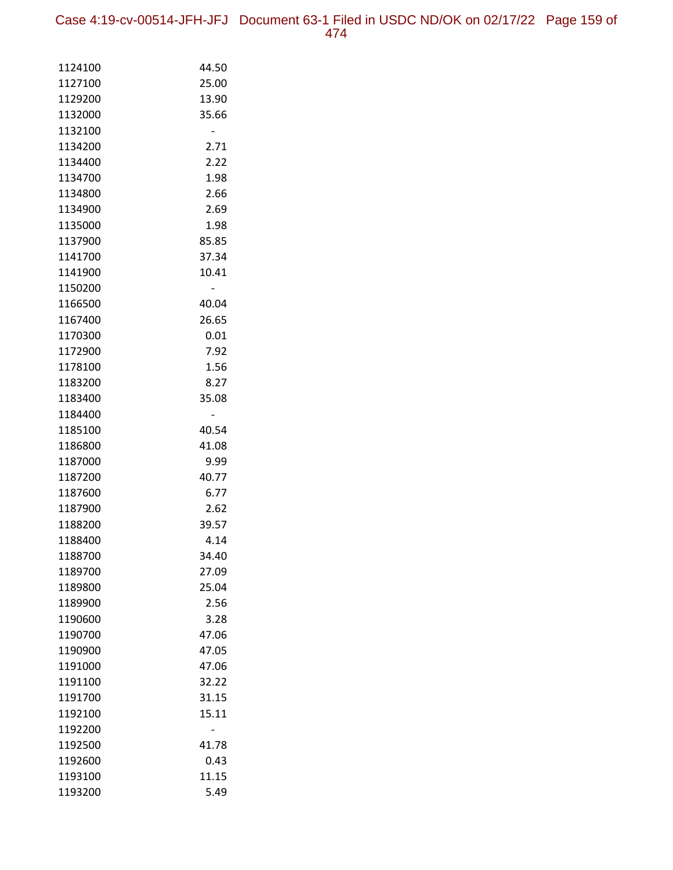Case 4:19-cv-00514-JFH-JFJ Document 63-1 Filed in USDC ND/OK on 02/17/22 Page 159 of 474

| 1124100            | 44.50         |
|--------------------|---------------|
| 1127100            | 25.00         |
| 1129200            | 13.90         |
| 1132000            | 35.66         |
| 1132100            |               |
| 1134200            | 2.71          |
| 1134400            | 2.22          |
| 1134700            | 1.98          |
| 1134800            | 2.66          |
| 1134900            | 2.69          |
| 1135000            | 1.98          |
| 1137900            | 85.85         |
| 1141700            | 37.34         |
| 1141900            | 10.41         |
| 1150200            |               |
| 1166500            | 40.04         |
| 1167400            | 26.65         |
| 1170300            | 0.01          |
| 1172900            | 7.92          |
| 1178100            | 1.56          |
| 1183200            | 8.27          |
| 1183400            | 35.08         |
| 1184400            |               |
| 1185100            | 40.54         |
| 1186800            | 41.08         |
| 1187000            | 9.99          |
| 1187200            | 40.77<br>6.77 |
| 1187600<br>1187900 | 2.62          |
| 1188200            | 39.57         |
| 1188400            | 4.14          |
| 1188700            | 34.40         |
| 1189700            | 27.09         |
| 1189800            | 25.04         |
| 1189900            | 2.56          |
| 1190600            | 3.28          |
| 1190700            | 47.06         |
| 1190900            | 47.05         |
| 1191000            | 47.06         |
| 1191100            | 32.22         |
| 1191700            | 31.15         |
| 1192100            | 15.11         |
| 1192200            |               |
| 1192500            | 41.78         |
| 1192600            | 0.43          |
| 1193100            | 11.15         |
| 1193200            | 5.49          |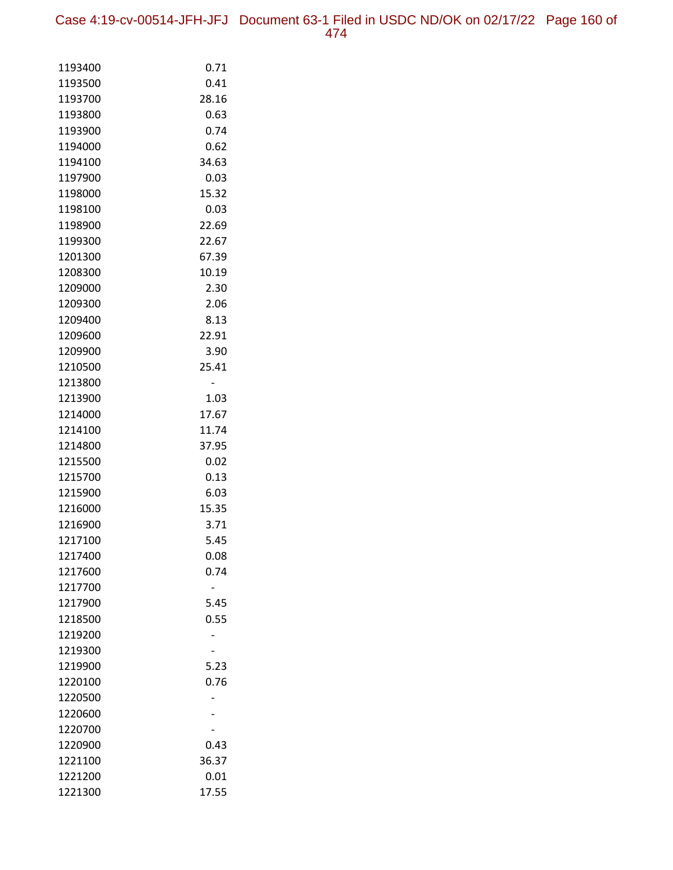| 1193400            | 0.71  |
|--------------------|-------|
| 1193500            | 0.41  |
| 1193700            | 28.16 |
| 1193800            | 0.63  |
| 1193900            | 0.74  |
| 1194000            | 0.62  |
| 1194100            | 34.63 |
| 1197900            | 0.03  |
| 1198000            | 15.32 |
| 1198100            | 0.03  |
| 1198900            | 22.69 |
| 1199300            | 22.67 |
| 1201300            | 67.39 |
| 1208300            | 10.19 |
| 1209000            | 2.30  |
| 1209300            | 2.06  |
| 1209400            | 8.13  |
| 1209600            | 22.91 |
| 1209900            | 3.90  |
| 1210500            | 25.41 |
| 1213800            | -     |
| 1213900            | 1.03  |
| 1214000            | 17.67 |
| 1214100            | 11.74 |
| 1214800            | 37.95 |
| 1215500            | 0.02  |
| 1215700            | 0.13  |
| 1215900            | 6.03  |
| 1216000            | 15.35 |
| 1216900            | 3.71  |
| 1217100            | 5.45  |
| 1217400            | 0.08  |
| 1217600            | 0.74  |
| 1217700            |       |
| 1217900            | 5.45  |
| 1218500            | 0.55  |
| 1219200<br>1219300 |       |
| 1219900            | 5.23  |
| 1220100            | 0.76  |
| 1220500            |       |
| 1220600            |       |
| 1220700            |       |
| 1220900            | 0.43  |
| 1221100            | 36.37 |
| 1221200            | 0.01  |
| 1221300            | 17.55 |
|                    |       |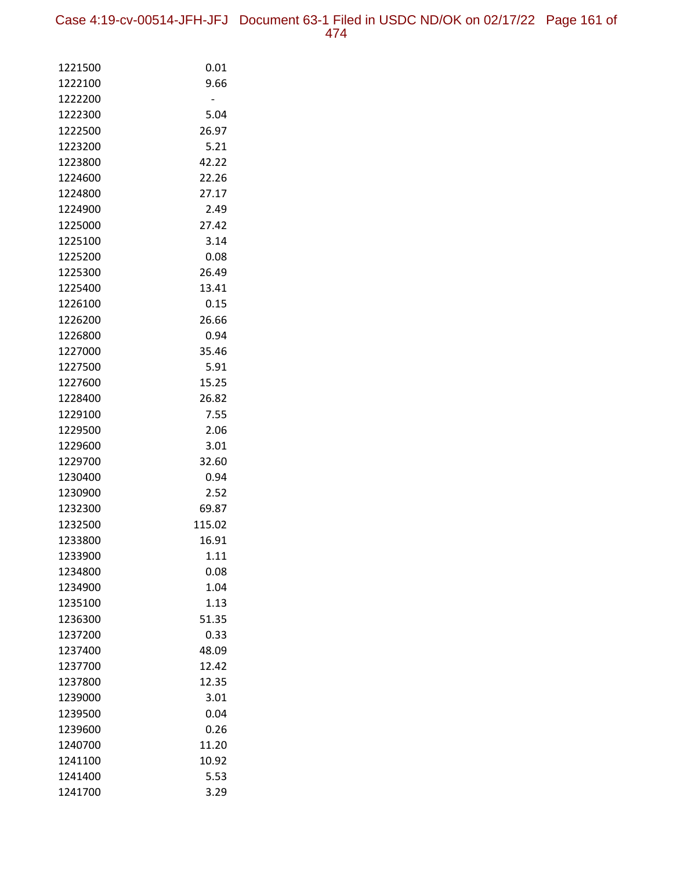Case 4:19-cv-00514-JFH-JFJ Document 63-1 Filed in USDC ND/OK on 02/17/22 Page 161 of 474

| 1221500 | 0.01   |
|---------|--------|
| 1222100 | 9.66   |
| 1222200 |        |
| 1222300 | 5.04   |
| 1222500 | 26.97  |
| 1223200 | 5.21   |
| 1223800 | 42.22  |
| 1224600 | 22.26  |
| 1224800 | 27.17  |
| 1224900 | 2.49   |
| 1225000 | 27.42  |
| 1225100 | 3.14   |
| 1225200 | 0.08   |
| 1225300 | 26.49  |
| 1225400 | 13.41  |
| 1226100 | 0.15   |
| 1226200 | 26.66  |
| 1226800 | 0.94   |
| 1227000 | 35.46  |
| 1227500 | 5.91   |
| 1227600 | 15.25  |
| 1228400 | 26.82  |
| 1229100 | 7.55   |
| 1229500 | 2.06   |
| 1229600 | 3.01   |
| 1229700 | 32.60  |
| 1230400 | 0.94   |
| 1230900 | 2.52   |
| 1232300 | 69.87  |
| 1232500 | 115.02 |
| 1233800 | 16.91  |
| 1233900 | 1.11   |
| 1234800 | 0.08   |
| 1234900 | 1.04   |
| 1235100 | 1.13   |
| 1236300 | 51.35  |
| 1237200 | 0.33   |
| 1237400 | 48.09  |
| 1237700 | 12.42  |
| 1237800 | 12.35  |
| 1239000 | 3.01   |
| 1239500 | 0.04   |
| 1239600 | 0.26   |
| 1240700 | 11.20  |
| 1241100 | 10.92  |
| 1241400 | 5.53   |
| 1241700 | 3.29   |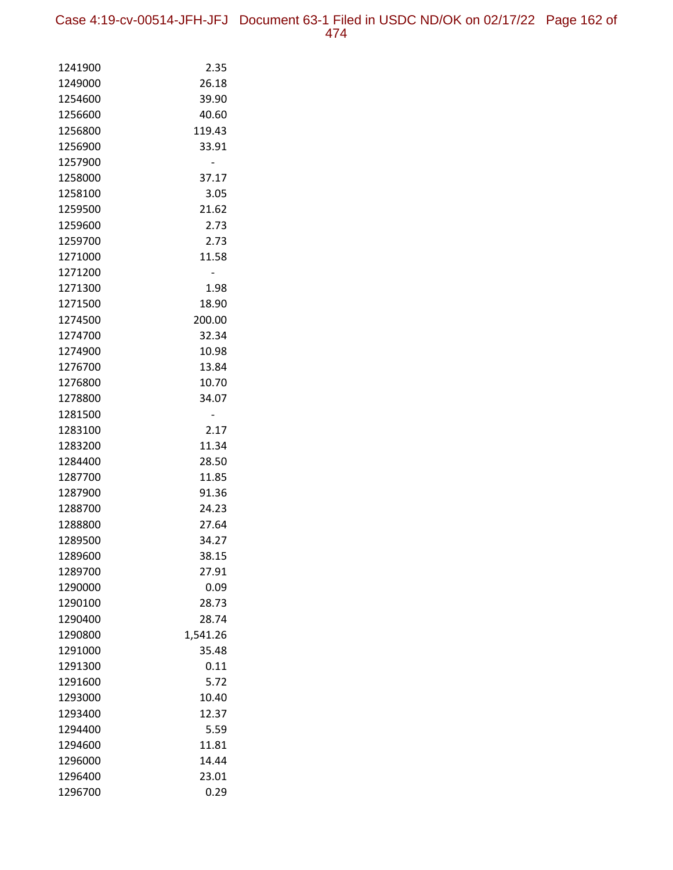Case 4:19-cv-00514-JFH-JFJ Document 63-1 Filed in USDC ND/OK on 02/17/22 Page 162 of 474

| 1241900            | 2.35              |
|--------------------|-------------------|
| 1249000            | 26.18             |
| 1254600            | 39.90             |
| 1256600            | 40.60             |
| 1256800            | 119.43            |
| 1256900            | 33.91             |
| 1257900            |                   |
| 1258000            | 37.17             |
| 1258100            | 3.05              |
| 1259500            | 21.62             |
| 1259600            | 2.73              |
| 1259700            | 2.73              |
| 1271000            | 11.58             |
| 1271200            |                   |
| 1271300            | 1.98              |
| 1271500            | 18.90             |
| 1274500            | 200.00            |
| 1274700            | 32.34             |
| 1274900            | 10.98             |
| 1276700            | 13.84             |
| 1276800            | 10.70             |
| 1278800            | 34.07             |
| 1281500            |                   |
| 1283100            | 2.17              |
| 1283200            | 11.34             |
| 1284400            | 28.50             |
| 1287700            | 11.85             |
| 1287900            | 91.36             |
| 1288700            | 24.23             |
| 1288800            | 27.64             |
| 1289500            | 34.27             |
| 1289600            | 38.15             |
| 1289700            | 27.91             |
| 1290000            | 0.09<br>28.73     |
| 1290100<br>1290400 | 28.74             |
|                    |                   |
| 1290800<br>1291000 | 1,541.26<br>35.48 |
| 1291300            | 0.11              |
| 1291600            | 5.72              |
| 1293000            | 10.40             |
| 1293400            | 12.37             |
| 1294400            | 5.59              |
| 1294600            | 11.81             |
| 1296000            | 14.44             |
| 1296400            | 23.01             |
| 1296700            | 0.29              |
|                    |                   |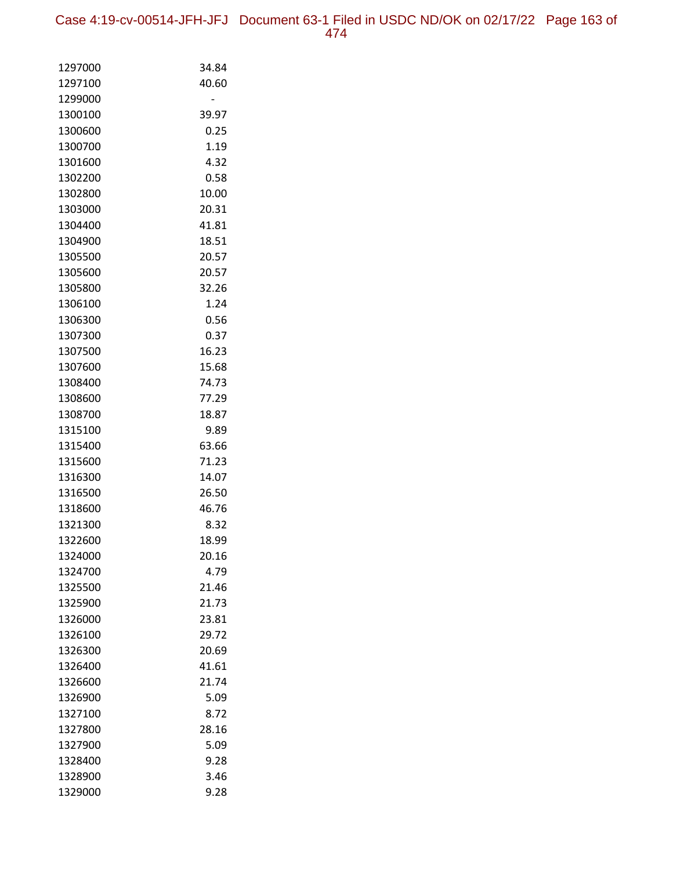Case 4:19-cv-00514-JFH-JFJ Document 63-1 Filed in USDC ND/OK on 02/17/22 Page 163 of 474

| 1297000            | 34.84          |
|--------------------|----------------|
| 1297100            | 40.60          |
| 1299000            |                |
| 1300100            | 39.97          |
| 1300600            | 0.25           |
| 1300700            | 1.19           |
| 1301600            | 4.32           |
| 1302200            | 0.58           |
| 1302800            | 10.00          |
| 1303000            | 20.31          |
| 1304400            | 41.81          |
| 1304900            | 18.51          |
| 1305500            | 20.57          |
| 1305600            | 20.57          |
| 1305800            | 32.26          |
| 1306100            | 1.24           |
| 1306300            | 0.56           |
| 1307300            | 0.37           |
| 1307500            | 16.23          |
| 1307600            | 15.68          |
| 1308400            | 74.73          |
| 1308600            | 77.29          |
| 1308700            | 18.87          |
| 1315100            | 9.89           |
| 1315400            | 63.66<br>71.23 |
| 1315600<br>1316300 | 14.07          |
| 1316500            | 26.50          |
| 1318600            | 46.76          |
| 1321300            | 8.32           |
| 1322600            | 18.99          |
| 1324000            | 20.16          |
| 1324700            | 4.79           |
| 1325500            | 21.46          |
| 1325900            | 21.73          |
| 1326000            | 23.81          |
| 1326100            | 29.72          |
| 1326300            | 20.69          |
| 1326400            | 41.61          |
| 1326600            | 21.74          |
| 1326900            | 5.09           |
| 1327100            | 8.72           |
| 1327800            | 28.16          |
| 1327900            | 5.09           |
| 1328400            | 9.28           |
| 1328900            | 3.46           |
| 1329000            | 9.28           |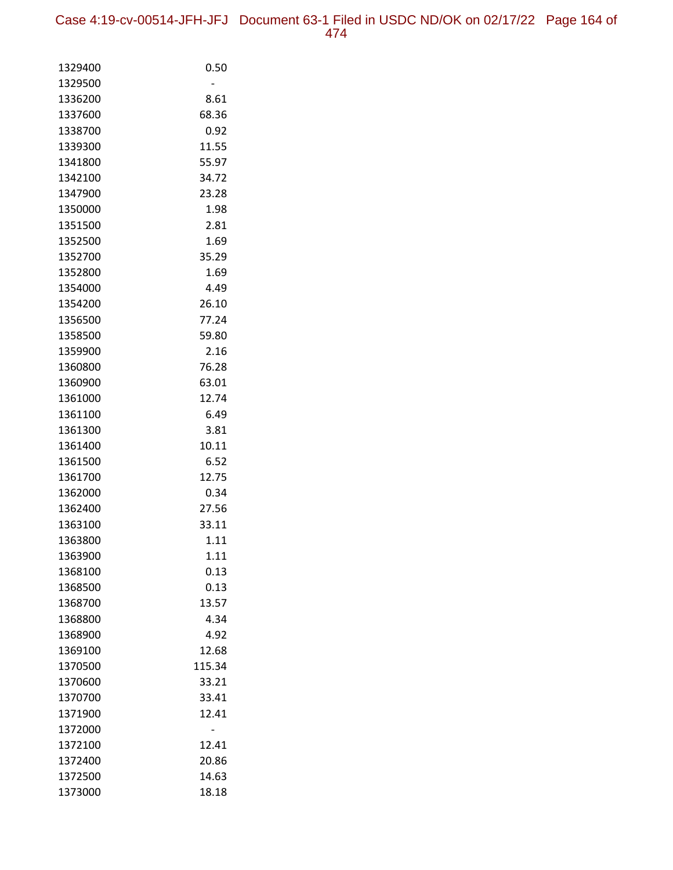| 1329400 | 0.50   |
|---------|--------|
| 1329500 |        |
| 1336200 | 8.61   |
| 1337600 | 68.36  |
| 1338700 | 0.92   |
| 1339300 | 11.55  |
| 1341800 | 55.97  |
| 1342100 | 34.72  |
| 1347900 | 23.28  |
| 1350000 | 1.98   |
| 1351500 | 2.81   |
| 1352500 | 1.69   |
| 1352700 | 35.29  |
| 1352800 | 1.69   |
| 1354000 | 4.49   |
| 1354200 | 26.10  |
| 1356500 | 77.24  |
| 1358500 | 59.80  |
| 1359900 | 2.16   |
| 1360800 | 76.28  |
| 1360900 | 63.01  |
| 1361000 | 12.74  |
| 1361100 | 6.49   |
| 1361300 | 3.81   |
| 1361400 | 10.11  |
| 1361500 | 6.52   |
| 1361700 | 12.75  |
| 1362000 | 0.34   |
| 1362400 | 27.56  |
| 1363100 | 33.11  |
| 1363800 | 1.11   |
| 1363900 | 1.11   |
| 1368100 | 0.13   |
| 1368500 | 0.13   |
| 1368700 | 13.57  |
| 1368800 | 4.34   |
| 1368900 | 4.92   |
| 1369100 | 12.68  |
| 1370500 | 115.34 |
| 1370600 | 33.21  |
| 1370700 | 33.41  |
| 1371900 | 12.41  |
| 1372000 |        |
| 1372100 | 12.41  |
| 1372400 | 20.86  |
| 1372500 | 14.63  |
| 1373000 | 18.18  |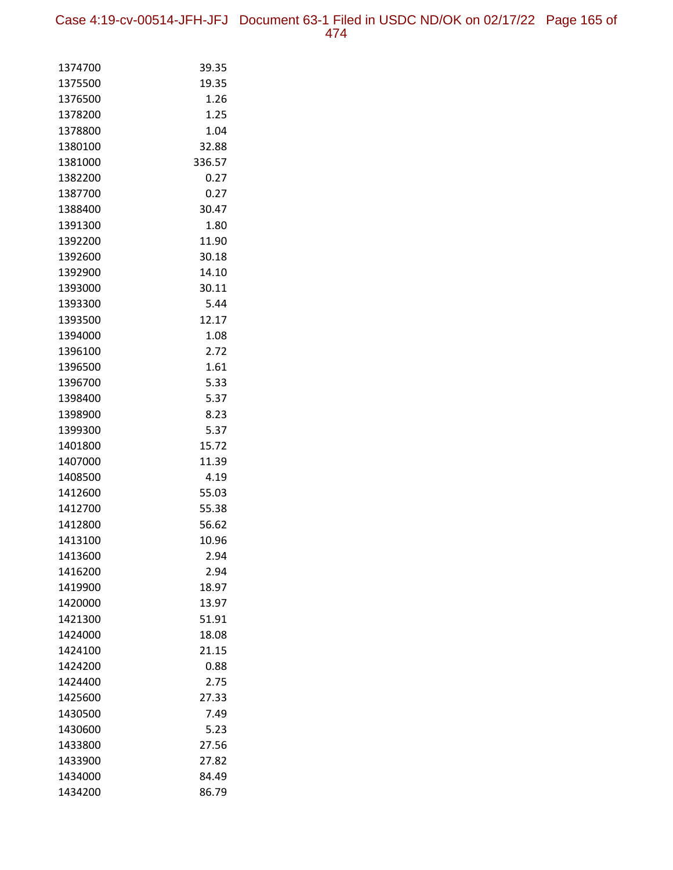Case 4:19-cv-00514-JFH-JFJ Document 63-1 Filed in USDC ND/OK on 02/17/22 Page 165 of 474

| 1374700            | 39.35        |
|--------------------|--------------|
| 1375500            | 19.35        |
| 1376500            | 1.26         |
| 1378200            | 1.25         |
| 1378800            | 1.04         |
| 1380100            | 32.88        |
| 1381000            | 336.57       |
| 1382200            | 0.27         |
| 1387700            | 0.27         |
| 1388400            | 30.47        |
| 1391300            | 1.80         |
| 1392200            | 11.90        |
| 1392600            | 30.18        |
| 1392900            | 14.10        |
| 1393000            | 30.11        |
| 1393300            | 5.44         |
| 1393500            | 12.17        |
| 1394000            | 1.08         |
| 1396100            | 2.72         |
| 1396500            | 1.61         |
| 1396700            | 5.33         |
| 1398400            | 5.37         |
| 1398900            | 8.23         |
| 1399300            | 5.37         |
| 1401800            | 15.72        |
| 1407000            | 11.39        |
| 1408500            | 4.19         |
| 1412600            | 55.03        |
| 1412700            | 55.38        |
| 1412800            | 56.62        |
| 1413100            | 10.96        |
| 1413600            | 2.94         |
| 1416200            | 2.94         |
| 1419900            | 18.97        |
| 1420000            | 13.97        |
| 1421300<br>1424000 | 51.91        |
| 1424100            | 18.08        |
| 1424200            | 21.15        |
| 1424400            | 0.88<br>2.75 |
|                    | 27.33        |
| 1425600<br>1430500 | 7.49         |
| 1430600            | 5.23         |
| 1433800            | 27.56        |
| 1433900            | 27.82        |
| 1434000            | 84.49        |
| 1434200            | 86.79        |
|                    |              |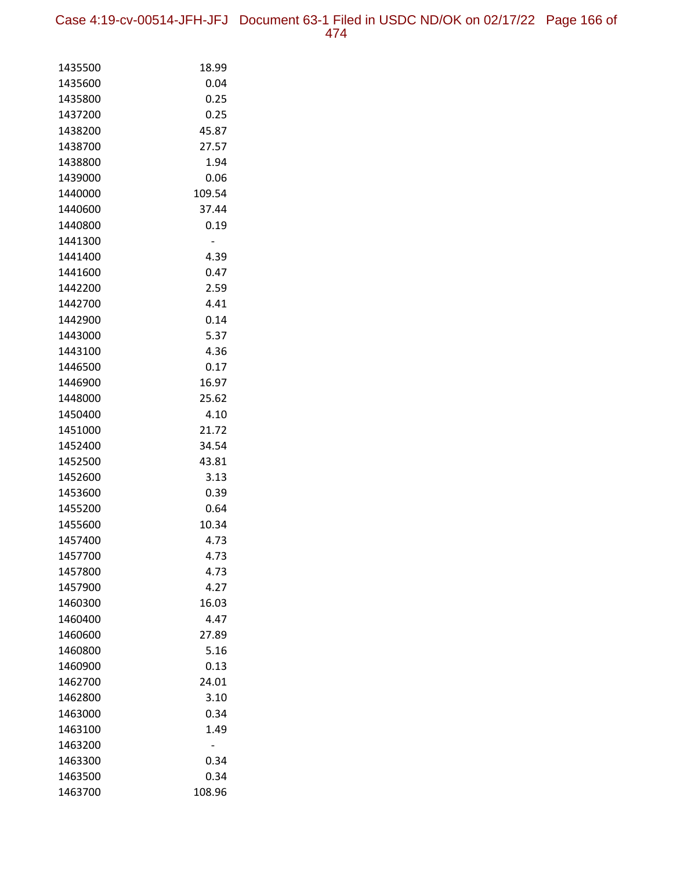Case 4:19-cv-00514-JFH-JFJ Document 63-1 Filed in USDC ND/OK on 02/17/22 Page 166 of 474

| 1435500 | 18.99  |
|---------|--------|
| 1435600 | 0.04   |
| 1435800 | 0.25   |
| 1437200 | 0.25   |
| 1438200 | 45.87  |
| 1438700 | 27.57  |
| 1438800 | 1.94   |
| 1439000 | 0.06   |
| 1440000 | 109.54 |
| 1440600 | 37.44  |
| 1440800 | 0.19   |
| 1441300 |        |
| 1441400 | 4.39   |
| 1441600 | 0.47   |
| 1442200 | 2.59   |
| 1442700 | 4.41   |
| 1442900 | 0.14   |
| 1443000 | 5.37   |
| 1443100 | 4.36   |
| 1446500 | 0.17   |
| 1446900 | 16.97  |
| 1448000 | 25.62  |
| 1450400 | 4.10   |
| 1451000 | 21.72  |
| 1452400 | 34.54  |
| 1452500 | 43.81  |
| 1452600 | 3.13   |
| 1453600 | 0.39   |
| 1455200 | 0.64   |
| 1455600 | 10.34  |
| 1457400 | 4.73   |
| 1457700 | 4.73   |
| 1457800 | 4.73   |
| 1457900 | 4.27   |
| 1460300 | 16.03  |
| 1460400 | 4.47   |
| 1460600 | 27.89  |
| 1460800 | 5.16   |
| 1460900 | 0.13   |
| 1462700 | 24.01  |
| 1462800 | 3.10   |
| 1463000 | 0.34   |
| 1463100 | 1.49   |
| 1463200 |        |
| 1463300 | 0.34   |
| 1463500 | 0.34   |
| 1463700 | 108.96 |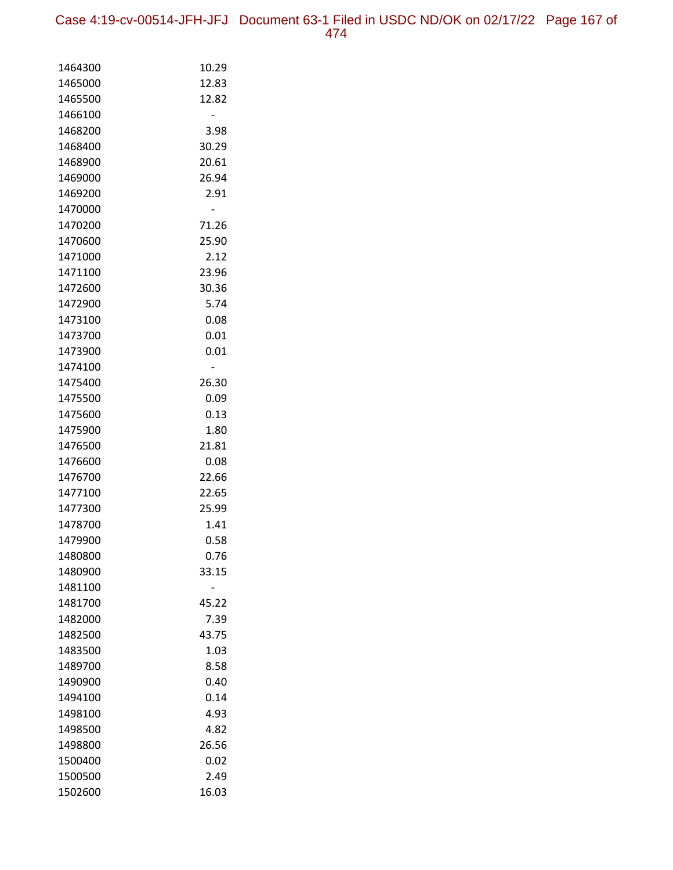Case 4:19-cv-00514-JFH-JFJ Document 63-1 Filed in USDC ND/OK on 02/17/22 Page 167 of 474

| 1464300            | 10.29         |
|--------------------|---------------|
| 1465000            | 12.83         |
| 1465500            | 12.82         |
| 1466100            |               |
| 1468200            | 3.98          |
| 1468400            | 30.29         |
| 1468900            | 20.61         |
| 1469000            | 26.94         |
| 1469200            | 2.91          |
| 1470000            |               |
| 1470200            | 71.26         |
| 1470600            | 25.90         |
| 1471000            | 2.12          |
| 1471100            | 23.96         |
| 1472600            | 30.36         |
| 1472900            | 5.74          |
| 1473100            | 0.08          |
| 1473700            | 0.01          |
| 1473900            | 0.01          |
| 1474100            |               |
| 1475400            | 26.30         |
| 1475500            | 0.09          |
| 1475600            | 0.13          |
| 1475900            | 1.80          |
| 1476500            | 21.81         |
| 1476600            | 0.08          |
| 1476700            | 22.66         |
| 1477100            | 22.65         |
| 1477300            | 25.99         |
| 1478700            | 1.41          |
| 1479900            | 0.58          |
| 1480800            | 0.76          |
| 1480900            | 33.15         |
| 1481100            |               |
| 1481700            | 45.22         |
| 1482000            | 7.39<br>43.75 |
| 1482500            | 1.03          |
| 1483500<br>1489700 | 8.58          |
| 1490900            | 0.40          |
|                    |               |
| 1494100<br>1498100 | 0.14<br>4.93  |
| 1498500            | 4.82          |
| 1498800            | 26.56         |
| 1500400            | 0.02          |
| 1500500            | 2.49          |
| 1502600            | 16.03         |
|                    |               |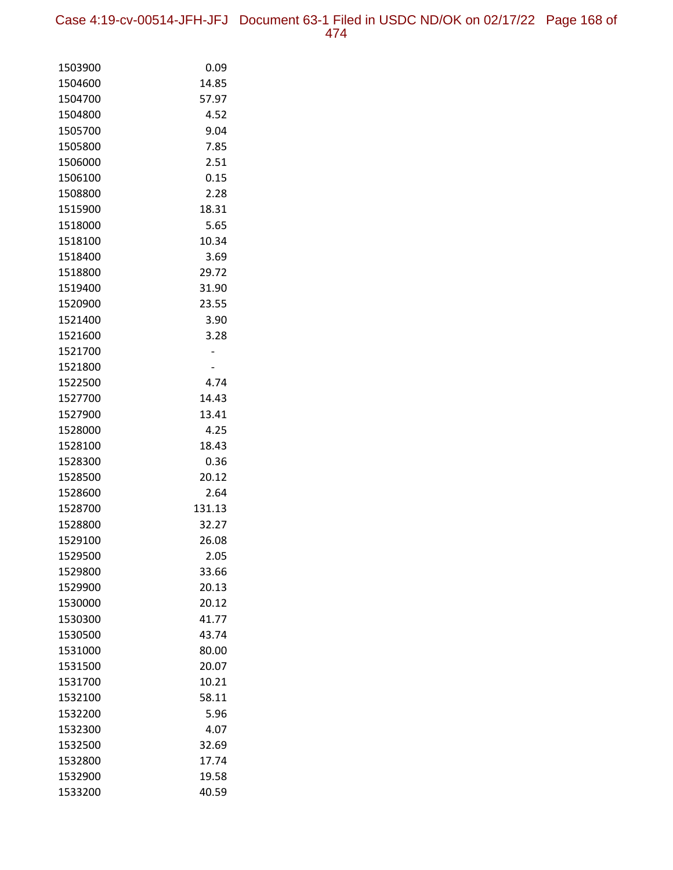Case 4:19-cv-00514-JFH-JFJ Document 63-1 Filed in USDC ND/OK on 02/17/22 Page 168 of 474

| 1503900 | 0.09   |
|---------|--------|
| 1504600 | 14.85  |
| 1504700 | 57.97  |
| 1504800 | 4.52   |
| 1505700 | 9.04   |
| 1505800 | 7.85   |
| 1506000 | 2.51   |
| 1506100 | 0.15   |
| 1508800 | 2.28   |
| 1515900 | 18.31  |
| 1518000 | 5.65   |
| 1518100 | 10.34  |
| 1518400 | 3.69   |
| 1518800 | 29.72  |
| 1519400 | 31.90  |
| 1520900 | 23.55  |
| 1521400 | 3.90   |
| 1521600 | 3.28   |
| 1521700 |        |
| 1521800 |        |
| 1522500 | 4.74   |
| 1527700 | 14.43  |
| 1527900 | 13.41  |
| 1528000 | 4.25   |
| 1528100 | 18.43  |
| 1528300 | 0.36   |
| 1528500 | 20.12  |
| 1528600 | 2.64   |
| 1528700 | 131.13 |
| 1528800 | 32.27  |
| 1529100 | 26.08  |
| 1529500 | 2.05   |
| 1529800 | 33.66  |
| 1529900 | 20.13  |
| 1530000 | 20.12  |
| 1530300 | 41.77  |
| 1530500 | 43.74  |
| 1531000 | 80.00  |
| 1531500 | 20.07  |
| 1531700 | 10.21  |
| 1532100 | 58.11  |
| 1532200 | 5.96   |
| 1532300 | 4.07   |
| 1532500 | 32.69  |
| 1532800 | 17.74  |
| 1532900 | 19.58  |
| 1533200 | 40.59  |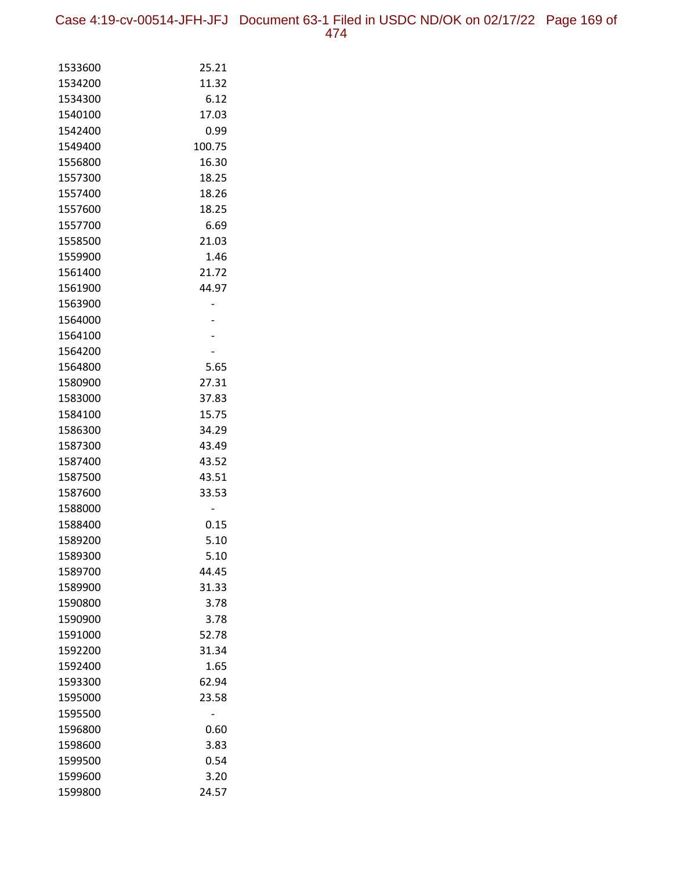Case 4:19-cv-00514-JFH-JFJ Document 63-1 Filed in USDC ND/OK on 02/17/22 Page 169 of 474

| 1533600 | 25.21  |
|---------|--------|
| 1534200 | 11.32  |
| 1534300 | 6.12   |
| 1540100 | 17.03  |
| 1542400 | 0.99   |
| 1549400 | 100.75 |
| 1556800 | 16.30  |
| 1557300 | 18.25  |
| 1557400 | 18.26  |
| 1557600 | 18.25  |
| 1557700 | 6.69   |
| 1558500 | 21.03  |
| 1559900 | 1.46   |
| 1561400 | 21.72  |
| 1561900 | 44.97  |
| 1563900 |        |
| 1564000 |        |
| 1564100 |        |
| 1564200 |        |
| 1564800 | 5.65   |
| 1580900 | 27.31  |
| 1583000 | 37.83  |
| 1584100 | 15.75  |
| 1586300 | 34.29  |
| 1587300 | 43.49  |
| 1587400 | 43.52  |
| 1587500 | 43.51  |
| 1587600 | 33.53  |
| 1588000 |        |
| 1588400 | 0.15   |
| 1589200 | 5.10   |
| 1589300 | 5.10   |
| 1589700 | 44.45  |
| 1589900 | 31.33  |
| 1590800 | 3.78   |
| 1590900 | 3.78   |
| 1591000 | 52.78  |
| 1592200 | 31.34  |
| 1592400 | 1.65   |
| 1593300 | 62.94  |
| 1595000 | 23.58  |
| 1595500 |        |
| 1596800 | 0.60   |
| 1598600 | 3.83   |
| 1599500 | 0.54   |
| 1599600 | 3.20   |
| 1599800 | 24.57  |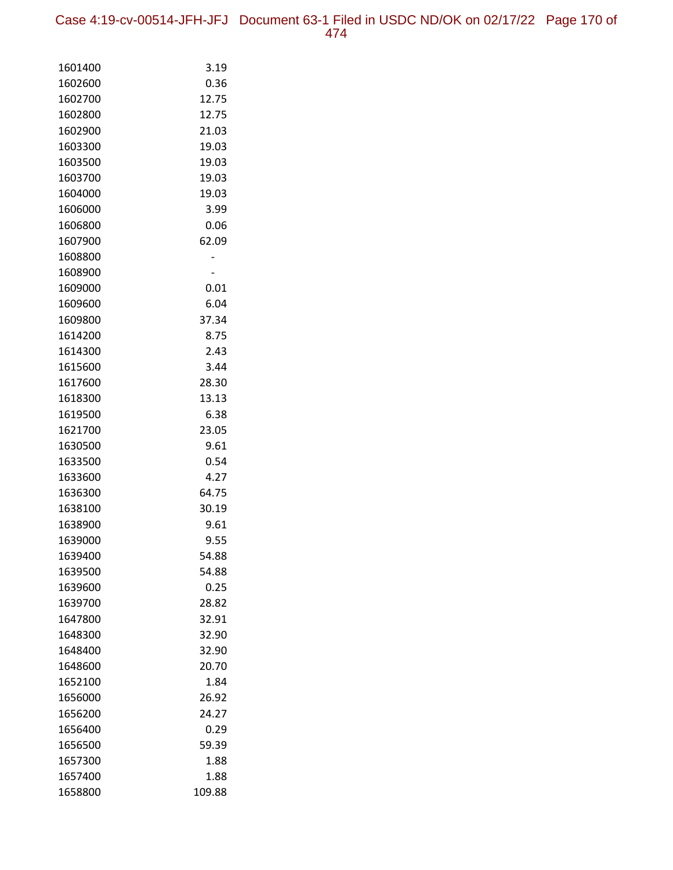Case 4:19-cv-00514-JFH-JFJ Document 63-1 Filed in USDC ND/OK on 02/17/22 Page 170 of 474

| 1601400 | 3.19   |
|---------|--------|
| 1602600 | 0.36   |
| 1602700 | 12.75  |
| 1602800 | 12.75  |
| 1602900 | 21.03  |
| 1603300 | 19.03  |
| 1603500 | 19.03  |
| 1603700 | 19.03  |
| 1604000 | 19.03  |
| 1606000 | 3.99   |
| 1606800 | 0.06   |
| 1607900 | 62.09  |
| 1608800 |        |
| 1608900 |        |
| 1609000 | 0.01   |
| 1609600 | 6.04   |
| 1609800 | 37.34  |
| 1614200 | 8.75   |
| 1614300 | 2.43   |
| 1615600 | 3.44   |
| 1617600 | 28.30  |
| 1618300 | 13.13  |
| 1619500 | 6.38   |
| 1621700 | 23.05  |
| 1630500 | 9.61   |
| 1633500 | 0.54   |
| 1633600 | 4.27   |
| 1636300 | 64.75  |
| 1638100 | 30.19  |
| 1638900 | 9.61   |
| 1639000 | 9.55   |
| 1639400 | 54.88  |
| 1639500 | 54.88  |
| 1639600 | 0.25   |
| 1639700 | 28.82  |
| 1647800 | 32.91  |
| 1648300 | 32.90  |
| 1648400 | 32.90  |
| 1648600 | 20.70  |
| 1652100 | 1.84   |
| 1656000 | 26.92  |
| 1656200 | 24.27  |
| 1656400 | 0.29   |
| 1656500 | 59.39  |
| 1657300 | 1.88   |
| 1657400 | 1.88   |
| 1658800 | 109.88 |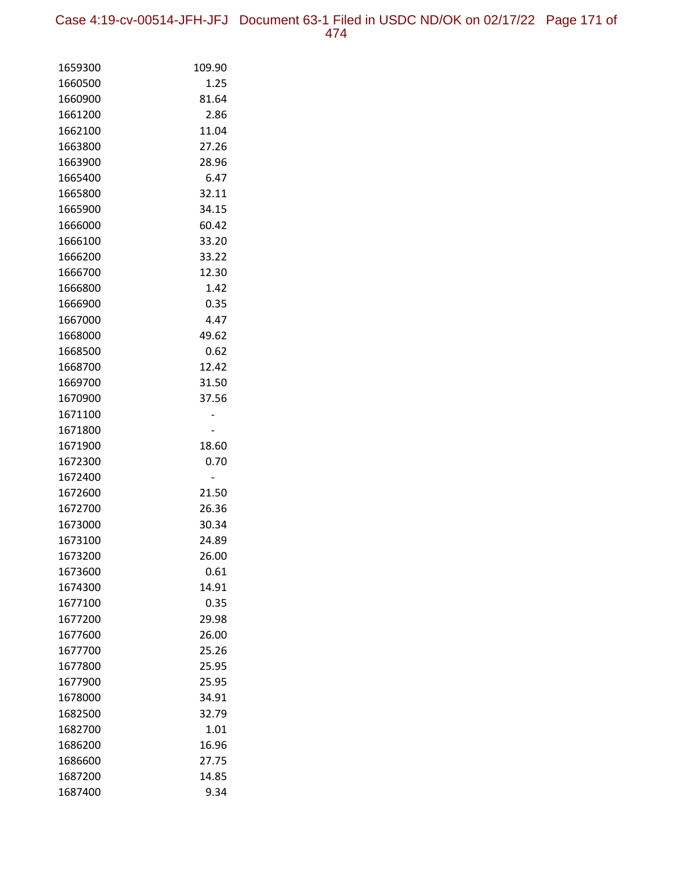Case 4:19-cv-00514-JFH-JFJ Document 63-1 Filed in USDC ND/OK on 02/17/22 Page 171 of 474

| 1659300            | 109.90        |
|--------------------|---------------|
| 1660500            | 1.25          |
| 1660900            | 81.64         |
| 1661200            | 2.86          |
| 1662100            | 11.04         |
| 1663800            | 27.26         |
| 1663900            | 28.96         |
| 1665400            | 6.47          |
| 1665800            | 32.11         |
| 1665900            | 34.15         |
| 1666000            | 60.42         |
| 1666100            | 33.20         |
| 1666200            | 33.22         |
| 1666700            | 12.30         |
| 1666800            | 1.42          |
| 1666900            | 0.35          |
| 1667000            | 4.47          |
| 1668000            | 49.62         |
| 1668500            | 0.62          |
| 1668700            | 12.42         |
| 1669700            | 31.50         |
| 1670900            | 37.56         |
| 1671100            |               |
| 1671800            |               |
| 1671900            | 18.60         |
| 1672300            | 0.70          |
| 1672400            |               |
| 1672600            | 21.50         |
| 1672700            | 26.36         |
| 1673000            | 30.34         |
| 1673100            | 24.89         |
| 1673200            | 26.00         |
| 1673600<br>1674300 | 0.61<br>14.91 |
| 1677100            | 0.35          |
| 1677200            | 29.98         |
| 1677600            | 26.00         |
| 1677700            | 25.26         |
| 1677800            | 25.95         |
| 1677900            | 25.95         |
| 1678000            | 34.91         |
| 1682500            | 32.79         |
| 1682700            | 1.01          |
| 1686200            | 16.96         |
| 1686600            | 27.75         |
| 1687200            | 14.85         |
| 1687400            | 9.34          |
|                    |               |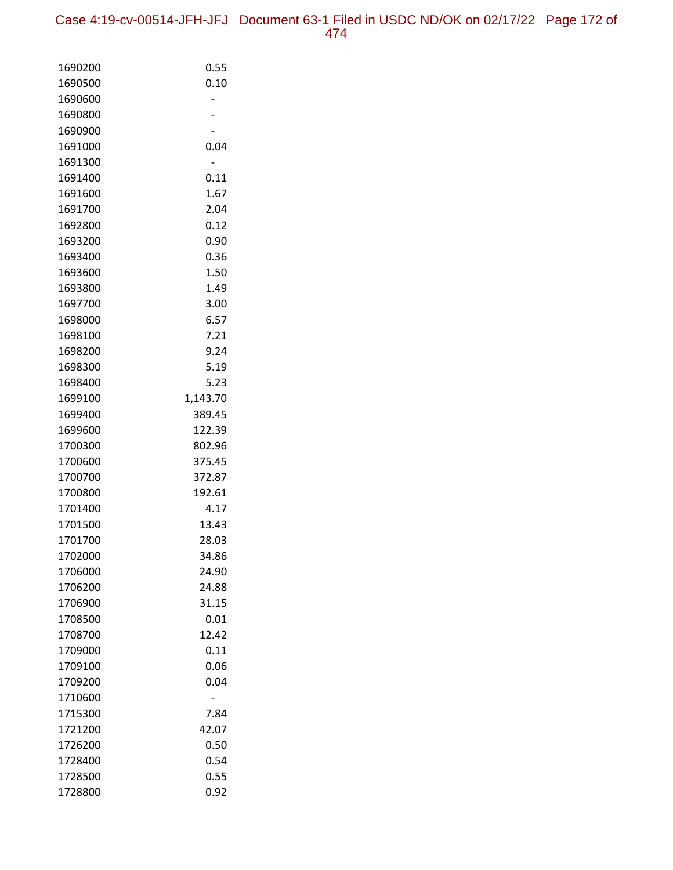Case 4:19-cv-00514-JFH-JFJ Document 63-1 Filed in USDC ND/OK on 02/17/22 Page 172 of 474

| 1690200            | 0.55             |
|--------------------|------------------|
| 1690500            | 0.10             |
| 1690600            |                  |
| 1690800            |                  |
| 1690900            |                  |
| 1691000            | 0.04             |
| 1691300            |                  |
| 1691400            | 0.11             |
| 1691600            | 1.67             |
| 1691700            | 2.04             |
| 1692800            | 0.12             |
| 1693200            | 0.90             |
| 1693400            | 0.36             |
| 1693600            | 1.50             |
| 1693800            | 1.49             |
| 1697700            | 3.00             |
| 1698000            | 6.57             |
| 1698100            | 7.21             |
| 1698200            | 9.24             |
| 1698300            | 5.19             |
| 1698400            | 5.23             |
| 1699100            | 1,143.70         |
| 1699400            | 389.45           |
| 1699600            | 122.39           |
| 1700300<br>1700600 | 802.96<br>375.45 |
| 1700700            | 372.87           |
| 1700800            | 192.61           |
| 1701400            | 4.17             |
| 1701500            | 13.43            |
| 1701700            | 28.03            |
| 1702000            | 34.86            |
| 1706000            | 24.90            |
| 1706200            | 24.88            |
| 1706900            | 31.15            |
| 1708500            | 0.01             |
| 1708700            | 12.42            |
| 1709000            | 0.11             |
| 1709100            | 0.06             |
| 1709200            | 0.04             |
| 1710600            |                  |
| 1715300            | 7.84             |
| 1721200            | 42.07            |
| 1726200            | 0.50             |
| 1728400            | 0.54             |
| 1728500            | 0.55             |
| 1728800            | 0.92             |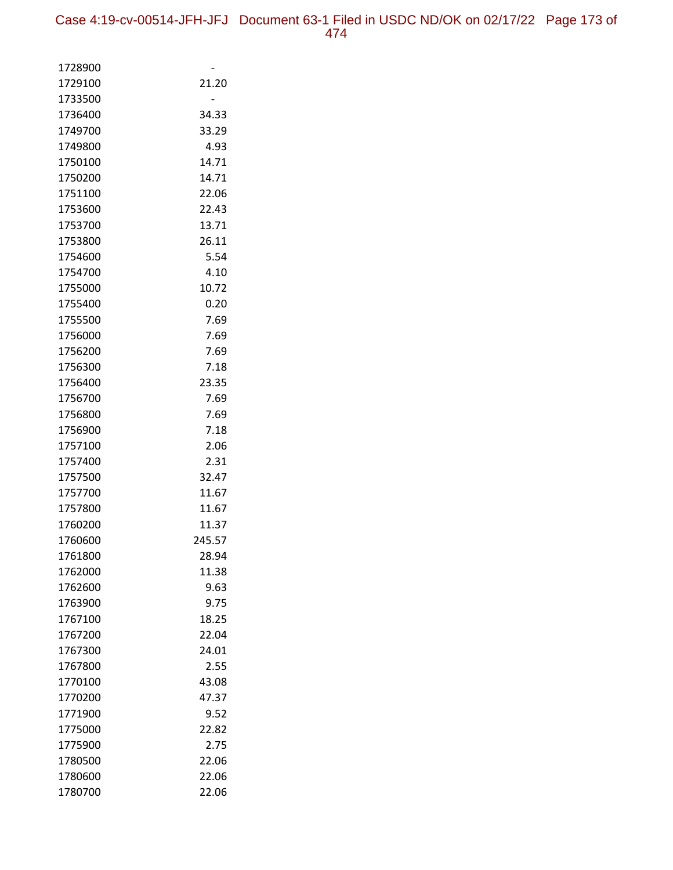| 1728900            |               |
|--------------------|---------------|
| 1729100            | 21.20         |
| 1733500            |               |
| 1736400            | 34.33         |
| 1749700            | 33.29         |
| 1749800            | 4.93          |
| 1750100            | 14.71         |
| 1750200            | 14.71         |
| 1751100            | 22.06         |
| 1753600            | 22.43         |
| 1753700            | 13.71         |
| 1753800            | 26.11         |
| 1754600            | 5.54          |
| 1754700            | 4.10          |
| 1755000            | 10.72         |
| 1755400            | 0.20          |
| 1755500            | 7.69          |
| 1756000            | 7.69          |
| 1756200            | 7.69          |
| 1756300            | 7.18          |
| 1756400            | 23.35         |
| 1756700            | 7.69          |
| 1756800            | 7.69          |
| 1756900            | 7.18          |
| 1757100            | 2.06          |
| 1757400            | 2.31          |
| 1757500            | 32.47         |
| 1757700            | 11.67         |
| 1757800            | 11.67         |
| 1760200            | 11.37         |
| 1760600            | 245.57        |
| 1761800            | 28.94         |
| 1762000            | 11.38         |
| 1762600            | 9.63          |
| 1763900            | 9.75          |
| 1767100            | 18.25         |
| 1767200            | 22.04         |
| 1767300            | 24.01         |
| 1767800            | 2.55          |
| 1770100            | 43.08         |
| 1770200<br>1771900 | 47.37<br>9.52 |
| 1775000            | 22.82         |
| 1775900            | 2.75          |
| 1780500            | 22.06         |
| 1780600            | 22.06         |
| 1780700            | 22.06         |
|                    |               |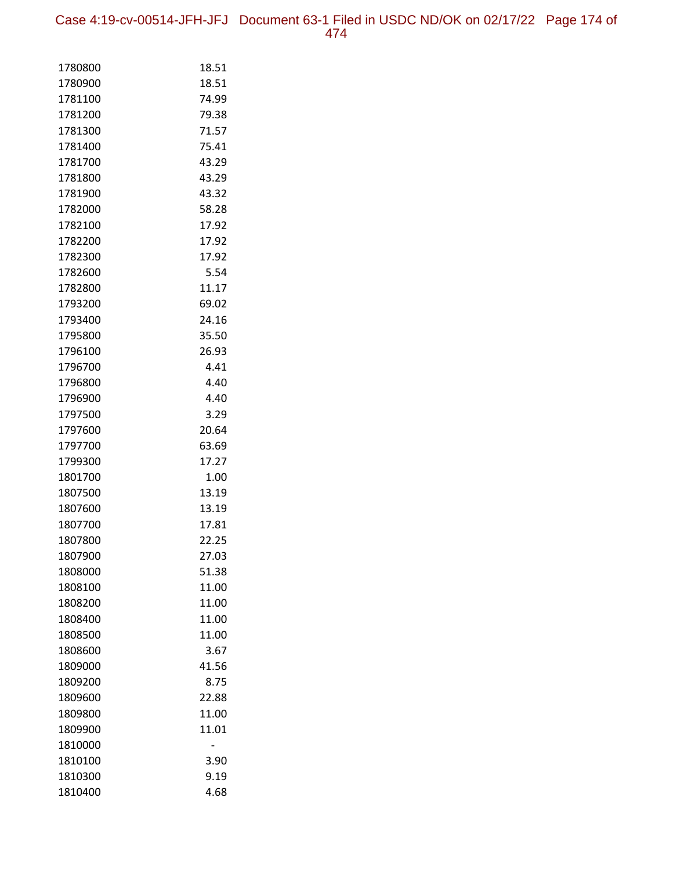Case 4:19-cv-00514-JFH-JFJ Document 63-1 Filed in USDC ND/OK on 02/17/22 Page 174 of 474

| 1780800 | 18.51 |
|---------|-------|
| 1780900 | 18.51 |
| 1781100 | 74.99 |
| 1781200 | 79.38 |
| 1781300 | 71.57 |
| 1781400 | 75.41 |
| 1781700 | 43.29 |
| 1781800 | 43.29 |
| 1781900 | 43.32 |
| 1782000 | 58.28 |
| 1782100 | 17.92 |
| 1782200 | 17.92 |
| 1782300 | 17.92 |
| 1782600 | 5.54  |
| 1782800 | 11.17 |
| 1793200 | 69.02 |
| 1793400 | 24.16 |
| 1795800 | 35.50 |
| 1796100 | 26.93 |
| 1796700 | 4.41  |
| 1796800 | 4.40  |
| 1796900 | 4.40  |
| 1797500 | 3.29  |
| 1797600 | 20.64 |
| 1797700 | 63.69 |
| 1799300 | 17.27 |
| 1801700 | 1.00  |
| 1807500 | 13.19 |
| 1807600 | 13.19 |
| 1807700 | 17.81 |
| 1807800 | 22.25 |
| 1807900 | 27.03 |
| 1808000 | 51.38 |
| 1808100 | 11.00 |
| 1808200 | 11.00 |
| 1808400 | 11.00 |
| 1808500 | 11.00 |
| 1808600 | 3.67  |
| 1809000 | 41.56 |
| 1809200 | 8.75  |
| 1809600 | 22.88 |
| 1809800 | 11.00 |
| 1809900 | 11.01 |
| 1810000 |       |
| 1810100 | 3.90  |
| 1810300 | 9.19  |
| 1810400 | 4.68  |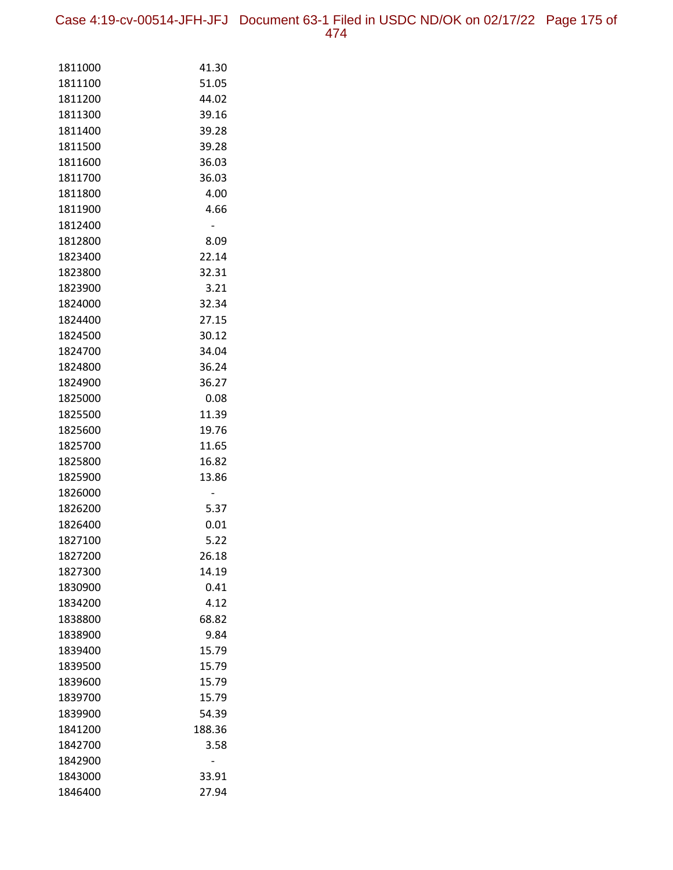Case 4:19-cv-00514-JFH-JFJ Document 63-1 Filed in USDC ND/OK on 02/17/22 Page 175 of 474

| 1811000            | 41.30          |
|--------------------|----------------|
| 1811100            | 51.05          |
| 1811200            | 44.02          |
| 1811300            | 39.16          |
| 1811400            | 39.28          |
| 1811500            | 39.28          |
| 1811600            | 36.03          |
| 1811700            | 36.03          |
| 1811800            | 4.00           |
| 1811900            | 4.66           |
| 1812400            |                |
| 1812800            | 8.09           |
| 1823400            | 22.14          |
| 1823800            | 32.31          |
| 1823900            | 3.21           |
| 1824000            | 32.34          |
| 1824400            | 27.15          |
| 1824500            | 30.12          |
| 1824700            | 34.04          |
| 1824800            | 36.24          |
| 1824900            | 36.27          |
| 1825000            | 0.08           |
| 1825500            | 11.39          |
| 1825600            | 19.76          |
| 1825700            | 11.65          |
| 1825800<br>1825900 | 16.82<br>13.86 |
| 1826000            |                |
| 1826200            | 5.37           |
| 1826400            | 0.01           |
| 1827100            | 5.22           |
| 1827200            | 26.18          |
| 1827300            | 14.19          |
| 1830900            | 0.41           |
| 1834200            | 4.12           |
| 1838800            | 68.82          |
| 1838900            | 9.84           |
| 1839400            | 15.79          |
| 1839500            | 15.79          |
| 1839600            | 15.79          |
| 1839700            | 15.79          |
| 1839900            | 54.39          |
| 1841200            | 188.36         |
| 1842700            | 3.58           |
| 1842900            |                |
| 1843000            | 33.91          |
| 1846400            | 27.94          |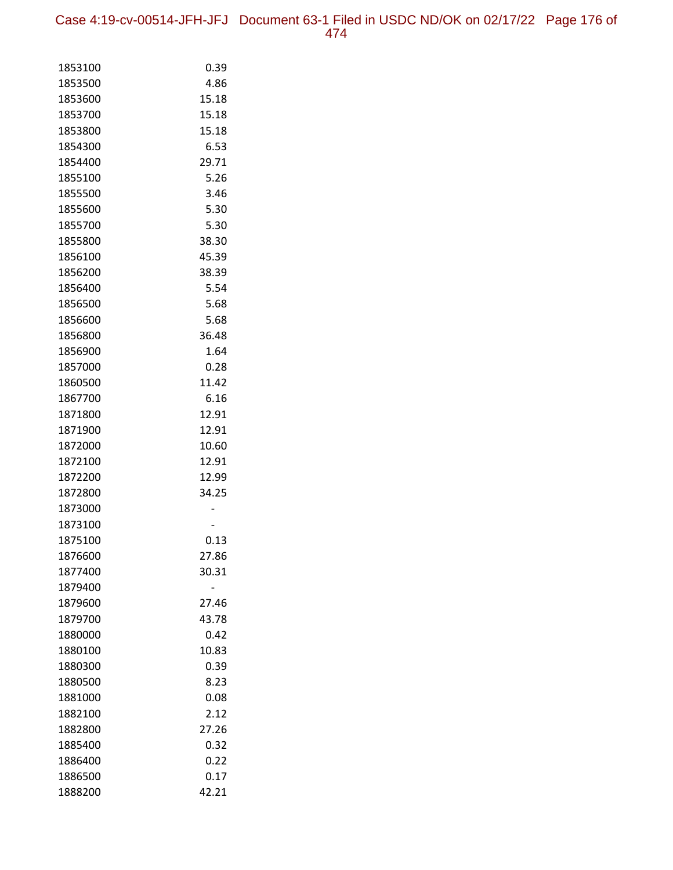Case 4:19-cv-00514-JFH-JFJ Document 63-1 Filed in USDC ND/OK on 02/17/22 Page 176 of 474

| 1853100            | 0.39          |
|--------------------|---------------|
| 1853500            | 4.86          |
| 1853600            | 15.18         |
| 1853700            | 15.18         |
| 1853800            | 15.18         |
| 1854300            | 6.53          |
| 1854400            | 29.71         |
| 1855100            | 5.26          |
| 1855500            | 3.46          |
| 1855600            | 5.30          |
| 1855700            | 5.30          |
| 1855800            | 38.30         |
| 1856100            | 45.39         |
| 1856200            | 38.39         |
| 1856400            | 5.54          |
| 1856500            | 5.68          |
| 1856600            | 5.68          |
| 1856800            | 36.48         |
| 1856900            | 1.64          |
| 1857000            | 0.28          |
| 1860500            | 11.42         |
| 1867700            | 6.16          |
| 1871800            | 12.91         |
| 1871900            | 12.91         |
| 1872000            | 10.60         |
| 1872100            | 12.91         |
| 1872200            | 12.99         |
| 1872800            | 34.25         |
| 1873000            |               |
| 1873100            |               |
| 1875100<br>1876600 | 0.13<br>27.86 |
| 1877400            | 30.31         |
| 1879400            |               |
| 1879600            | 27.46         |
| 1879700            | 43.78         |
| 1880000            | 0.42          |
| 1880100            | 10.83         |
| 1880300            | 0.39          |
| 1880500            | 8.23          |
| 1881000            | 0.08          |
| 1882100            | 2.12          |
| 1882800            | 27.26         |
| 1885400            | 0.32          |
| 1886400            | 0.22          |
| 1886500            | 0.17          |
| 1888200            | 42.21         |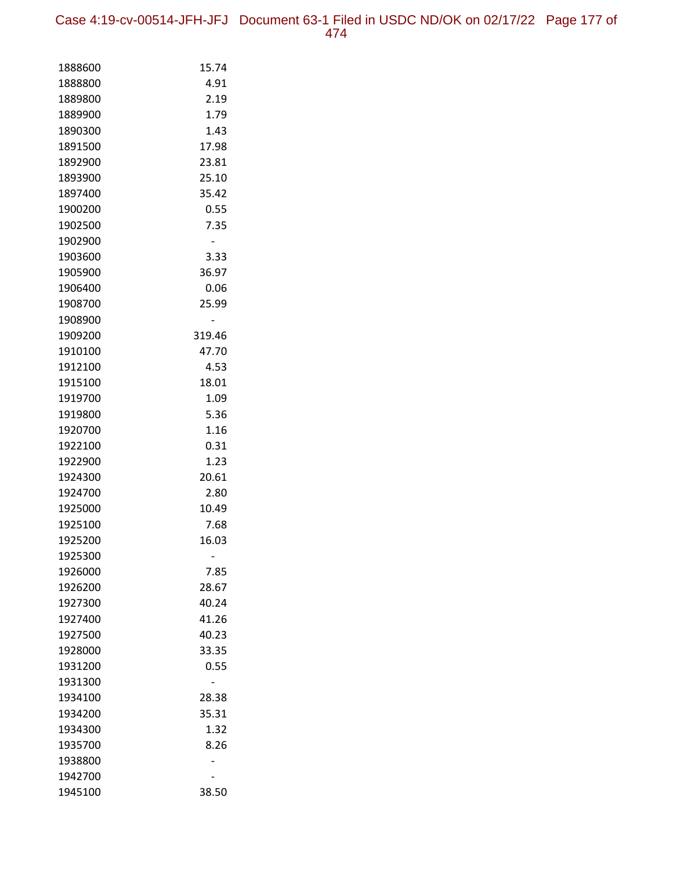Case 4:19-cv-00514-JFH-JFJ Document 63-1 Filed in USDC ND/OK on 02/17/22 Page 177 of 474

| 1888600 | 15.74          |
|---------|----------------|
| 1888800 | 4.91           |
| 1889800 | 2.19           |
| 1889900 | 1.79           |
| 1890300 | 1.43           |
| 1891500 | 17.98          |
| 1892900 | 23.81          |
| 1893900 | 25.10          |
| 1897400 | 35.42          |
| 1900200 | 0.55           |
| 1902500 | 7.35           |
| 1902900 | $\overline{a}$ |
| 1903600 | 3.33           |
| 1905900 | 36.97          |
| 1906400 | 0.06           |
| 1908700 | 25.99          |
| 1908900 |                |
| 1909200 | 319.46         |
| 1910100 | 47.70          |
| 1912100 | 4.53           |
| 1915100 | 18.01          |
| 1919700 | 1.09           |
| 1919800 | 5.36           |
| 1920700 | 1.16           |
| 1922100 | 0.31           |
| 1922900 | 1.23           |
| 1924300 | 20.61          |
| 1924700 | 2.80           |
| 1925000 | 10.49          |
| 1925100 | 7.68           |
| 1925200 | 16.03          |
| 1925300 |                |
| 1926000 | 7.85           |
| 1926200 | 28.67          |
| 1927300 | 40.24          |
| 1927400 | 41.26          |
| 1927500 | 40.23          |
| 1928000 | 33.35          |
| 1931200 | 0.55           |
| 1931300 |                |
| 1934100 | 28.38          |
| 1934200 | 35.31          |
| 1934300 | 1.32           |
| 1935700 | 8.26           |
| 1938800 |                |
| 1942700 |                |
| 1945100 | 38.50          |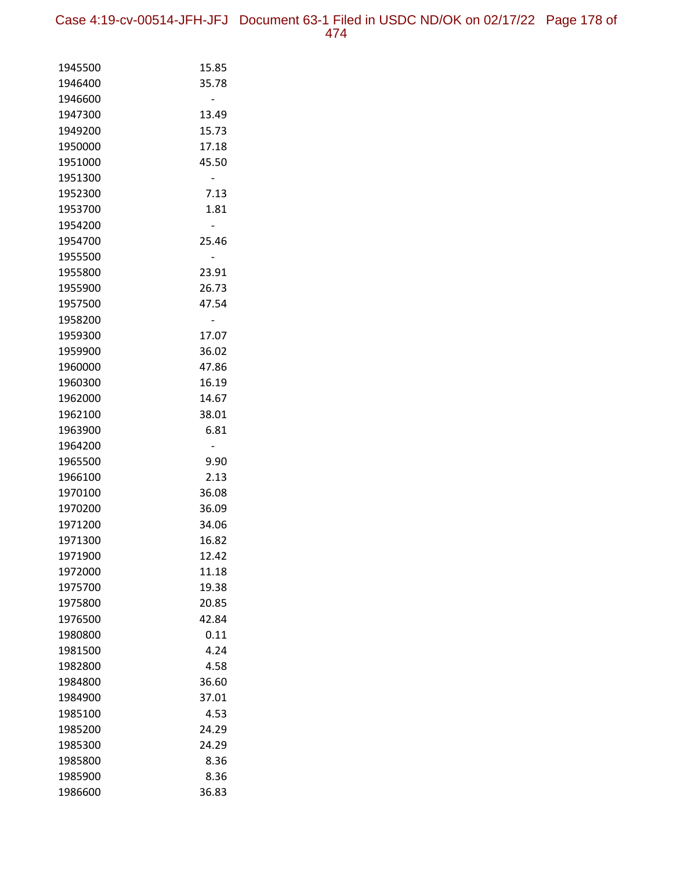Case 4:19-cv-00514-JFH-JFJ Document 63-1 Filed in USDC ND/OK on 02/17/22 Page 178 of 474

| 1945500 | 15.85 |
|---------|-------|
| 1946400 | 35.78 |
| 1946600 |       |
| 1947300 | 13.49 |
| 1949200 | 15.73 |
| 1950000 | 17.18 |
| 1951000 | 45.50 |
| 1951300 |       |
| 1952300 | 7.13  |
| 1953700 | 1.81  |
| 1954200 |       |
| 1954700 | 25.46 |
| 1955500 |       |
| 1955800 | 23.91 |
| 1955900 | 26.73 |
| 1957500 | 47.54 |
| 1958200 |       |
| 1959300 | 17.07 |
| 1959900 | 36.02 |
| 1960000 | 47.86 |
| 1960300 | 16.19 |
| 1962000 | 14.67 |
| 1962100 | 38.01 |
| 1963900 | 6.81  |
| 1964200 |       |
| 1965500 | 9.90  |
| 1966100 | 2.13  |
| 1970100 | 36.08 |
| 1970200 | 36.09 |
| 1971200 | 34.06 |
| 1971300 | 16.82 |
| 1971900 | 12.42 |
| 1972000 | 11.18 |
| 1975700 | 19.38 |
| 1975800 | 20.85 |
| 1976500 | 42.84 |
| 1980800 | 0.11  |
| 1981500 | 4.24  |
| 1982800 | 4.58  |
| 1984800 | 36.60 |
| 1984900 | 37.01 |
| 1985100 | 4.53  |
| 1985200 | 24.29 |
| 1985300 | 24.29 |
| 1985800 | 8.36  |
| 1985900 | 8.36  |
| 1986600 | 36.83 |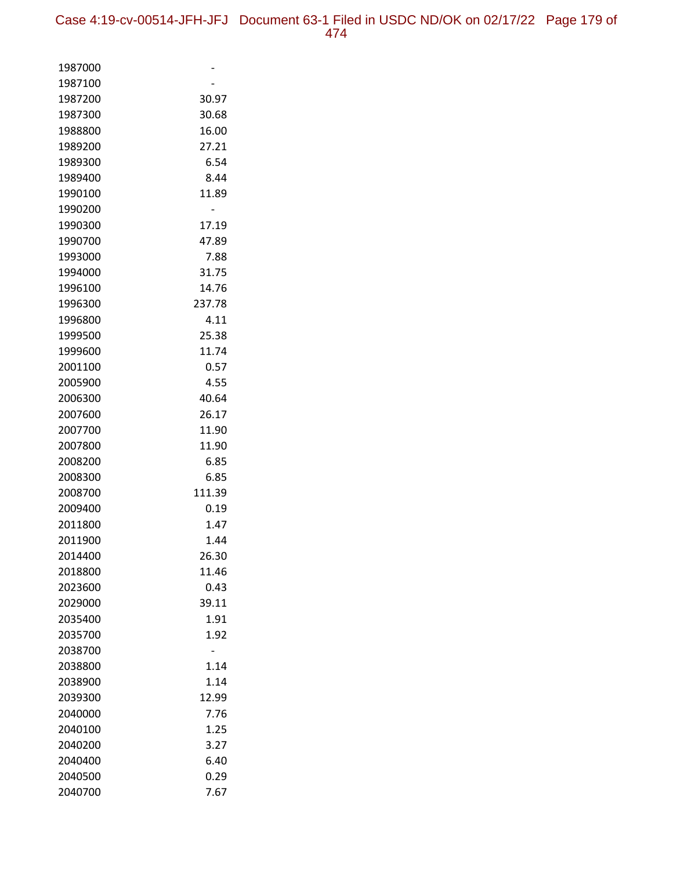| 1987000            |               |
|--------------------|---------------|
| 1987100            |               |
| 1987200            | 30.97         |
| 1987300            | 30.68         |
| 1988800            | 16.00         |
| 1989200            | 27.21         |
| 1989300            | 6.54          |
| 1989400            | 8.44          |
| 1990100            | 11.89         |
| 1990200            |               |
| 1990300            | 17.19         |
| 1990700            | 47.89         |
| 1993000            | 7.88          |
| 1994000            | 31.75         |
| 1996100            | 14.76         |
| 1996300            | 237.78        |
| 1996800            | 4.11          |
| 1999500            | 25.38         |
| 1999600            | 11.74         |
| 2001100            | 0.57          |
| 2005900            | 4.55          |
| 2006300            | 40.64         |
| 2007600            | 26.17         |
| 2007700            | 11.90         |
| 2007800            | 11.90         |
| 2008200            | 6.85          |
| 2008300            | 6.85          |
| 2008700            | 111.39        |
| 2009400            | 0.19          |
| 2011800            | 1.47          |
| 2011900            | 1.44          |
| 2014400            | 26.30         |
| 2018800<br>2023600 | 11.46<br>0.43 |
| 2029000            | 39.11         |
| 2035400            | 1.91          |
| 2035700            | 1.92          |
| 2038700            |               |
| 2038800            | 1.14          |
| 2038900            | 1.14          |
| 2039300            | 12.99         |
| 2040000            | 7.76          |
| 2040100            | 1.25          |
| 2040200            | 3.27          |
| 2040400            | 6.40          |
| 2040500            | 0.29          |
| 2040700            | 7.67          |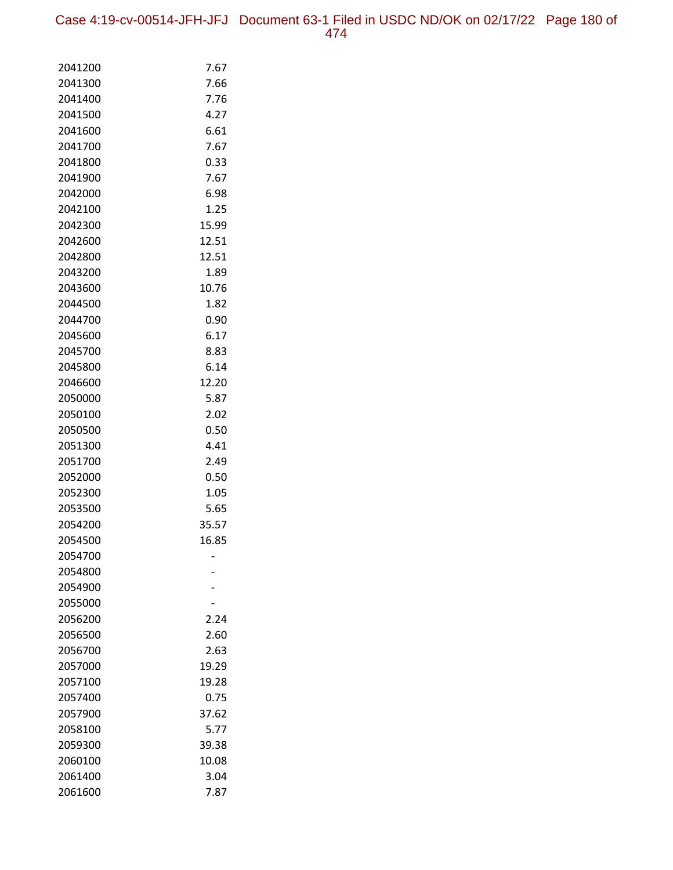Case 4:19-cv-00514-JFH-JFJ Document 63-1 Filed in USDC ND/OK on 02/17/22 Page 180 of 474

| 2041200            | 7.67          |
|--------------------|---------------|
| 2041300            | 7.66          |
| 2041400            | 7.76          |
| 2041500            | 4.27          |
| 2041600            | 6.61          |
| 2041700            | 7.67          |
| 2041800            | 0.33          |
| 2041900            | 7.67          |
| 2042000            | 6.98          |
| 2042100            | 1.25          |
| 2042300            | 15.99         |
| 2042600            | 12.51         |
| 2042800            | 12.51         |
| 2043200            | 1.89          |
| 2043600            | 10.76         |
| 2044500            | 1.82          |
| 2044700            | 0.90          |
| 2045600            | 6.17          |
| 2045700            | 8.83          |
| 2045800            | 6.14          |
| 2046600            | 12.20         |
| 2050000            | 5.87          |
| 2050100            | 2.02          |
| 2050500            | 0.50          |
| 2051300            | 4.41          |
| 2051700            | 2.49          |
| 2052000            | 0.50          |
| 2052300<br>2053500 | 1.05          |
| 2054200            | 5.65<br>35.57 |
| 2054500            | 16.85         |
| 2054700            |               |
| 2054800            |               |
| 2054900            |               |
| 2055000            |               |
| 2056200            | 2.24          |
| 2056500            | 2.60          |
| 2056700            | 2.63          |
| 2057000            | 19.29         |
| 2057100            | 19.28         |
| 2057400            | 0.75          |
| 2057900            | 37.62         |
| 2058100            | 5.77          |
| 2059300            | 39.38         |
| 2060100            | 10.08         |
| 2061400            | 3.04          |
| 2061600            | 7.87          |
|                    |               |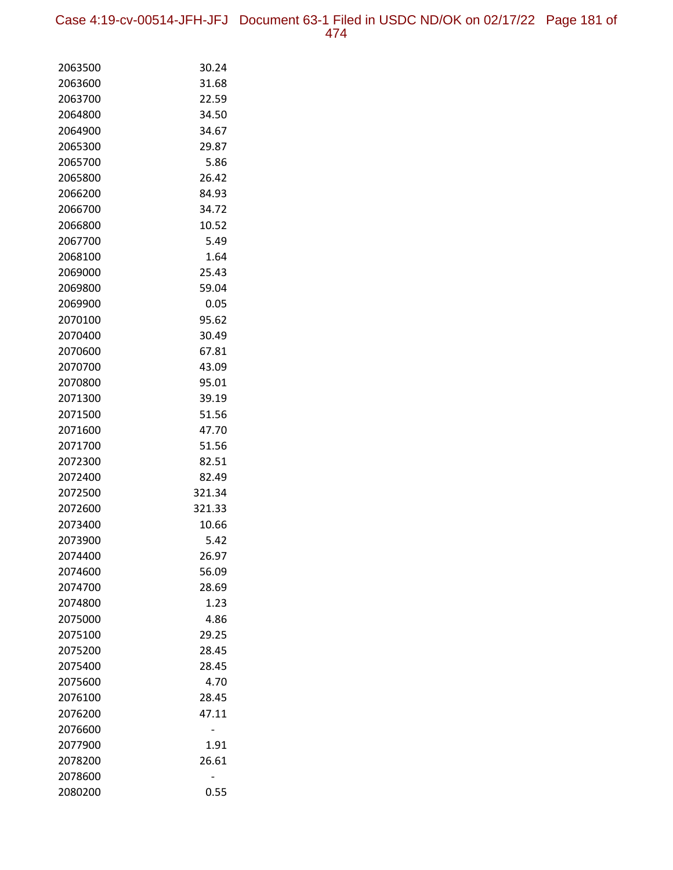Case 4:19-cv-00514-JFH-JFJ Document 63-1 Filed in USDC ND/OK on 02/17/22 Page 181 of 474

| 2063500            | 30.24          |
|--------------------|----------------|
| 2063600            | 31.68          |
| 2063700            | 22.59          |
| 2064800            | 34.50          |
| 2064900            | 34.67          |
| 2065300            | 29.87          |
| 2065700            | 5.86           |
| 2065800            | 26.42          |
| 2066200            | 84.93          |
| 2066700            | 34.72          |
| 2066800            | 10.52          |
| 2067700            | 5.49           |
| 2068100            | 1.64           |
| 2069000            | 25.43          |
| 2069800            | 59.04          |
| 2069900            | 0.05           |
| 2070100            | 95.62          |
| 2070400            | 30.49          |
| 2070600            | 67.81          |
| 2070700            | 43.09          |
| 2070800            | 95.01          |
| 2071300            | 39.19          |
| 2071500            | 51.56          |
| 2071600            | 47.70          |
| 2071700            | 51.56          |
| 2072300            | 82.51          |
| 2072400            | 82.49          |
| 2072500            | 321.34         |
| 2072600            | 321.33         |
| 2073400            | 10.66          |
| 2073900            | 5.42           |
| 2074400<br>2074600 | 26.97<br>56.09 |
| 2074700            | 28.69          |
| 2074800            | 1.23           |
| 2075000            | 4.86           |
| 2075100            | 29.25          |
| 2075200            | 28.45          |
| 2075400            | 28.45          |
| 2075600            | 4.70           |
| 2076100            | 28.45          |
| 2076200            | 47.11          |
| 2076600            |                |
| 2077900            | 1.91           |
| 2078200            | 26.61          |
| 2078600            |                |
| 2080200            | 0.55           |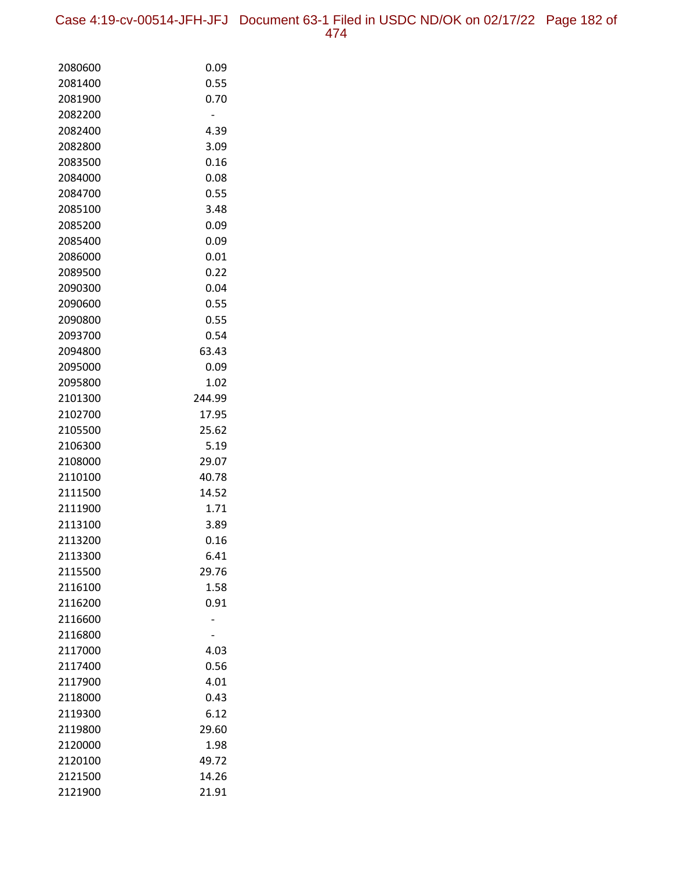Case 4:19-cv-00514-JFH-JFJ Document 63-1 Filed in USDC ND/OK on 02/17/22 Page 182 of 474

| 2080600            | 0.09          |
|--------------------|---------------|
| 2081400            | 0.55          |
| 2081900            | 0.70          |
| 2082200            |               |
| 2082400            | 4.39          |
| 2082800            | 3.09          |
| 2083500            | 0.16          |
| 2084000            | 0.08          |
| 2084700            | 0.55          |
| 2085100            | 3.48          |
| 2085200            | 0.09          |
| 2085400            | 0.09          |
| 2086000            | 0.01          |
| 2089500            | 0.22          |
| 2090300            | 0.04          |
| 2090600            | 0.55          |
| 2090800            | 0.55          |
| 2093700            | 0.54          |
| 2094800            | 63.43         |
| 2095000            | 0.09          |
| 2095800            | 1.02          |
| 2101300            | 244.99        |
| 2102700            | 17.95         |
| 2105500            | 25.62         |
| 2106300            | 5.19          |
| 2108000            | 29.07         |
| 2110100            | 40.78         |
| 2111500            | 14.52         |
| 2111900            | 1.71          |
| 2113100            | 3.89          |
| 2113200            | 0.16          |
| 2113300            | 6.41<br>29.76 |
| 2115500<br>2116100 | 1.58          |
| 2116200            | 0.91          |
| 2116600            |               |
| 2116800            |               |
| 2117000            | 4.03          |
| 2117400            | 0.56          |
| 2117900            | 4.01          |
| 2118000            | 0.43          |
| 2119300            | 6.12          |
| 2119800            | 29.60         |
| 2120000            | 1.98          |
| 2120100            | 49.72         |
| 2121500            | 14.26         |
| 2121900            | 21.91         |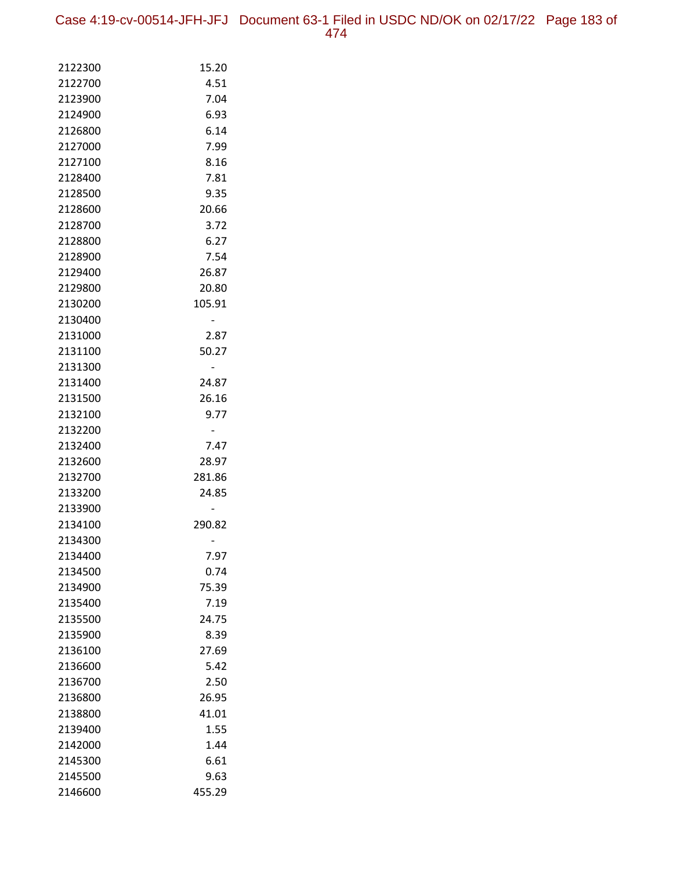Case 4:19-cv-00514-JFH-JFJ Document 63-1 Filed in USDC ND/OK on 02/17/22 Page 183 of 474

| 2122300 | 15.20  |
|---------|--------|
| 2122700 | 4.51   |
| 2123900 | 7.04   |
| 2124900 | 6.93   |
| 2126800 | 6.14   |
| 2127000 | 7.99   |
| 2127100 | 8.16   |
| 2128400 | 7.81   |
| 2128500 | 9.35   |
| 2128600 | 20.66  |
| 2128700 | 3.72   |
| 2128800 | 6.27   |
| 2128900 | 7.54   |
| 2129400 | 26.87  |
| 2129800 | 20.80  |
| 2130200 | 105.91 |
| 2130400 |        |
| 2131000 | 2.87   |
| 2131100 | 50.27  |
| 2131300 |        |
| 2131400 | 24.87  |
| 2131500 | 26.16  |
| 2132100 | 9.77   |
| 2132200 |        |
| 2132400 | 7.47   |
| 2132600 | 28.97  |
| 2132700 | 281.86 |
| 2133200 | 24.85  |
| 2133900 |        |
| 2134100 | 290.82 |
| 2134300 |        |
| 2134400 | 7.97   |
| 2134500 | 0.74   |
| 2134900 | 75.39  |
| 2135400 | 7.19   |
| 2135500 | 24.75  |
| 2135900 | 8.39   |
| 2136100 | 27.69  |
| 2136600 | 5.42   |
| 2136700 | 2.50   |
| 2136800 | 26.95  |
| 2138800 | 41.01  |
| 2139400 | 1.55   |
| 2142000 | 1.44   |
| 2145300 | 6.61   |
| 2145500 | 9.63   |
| 2146600 | 455.29 |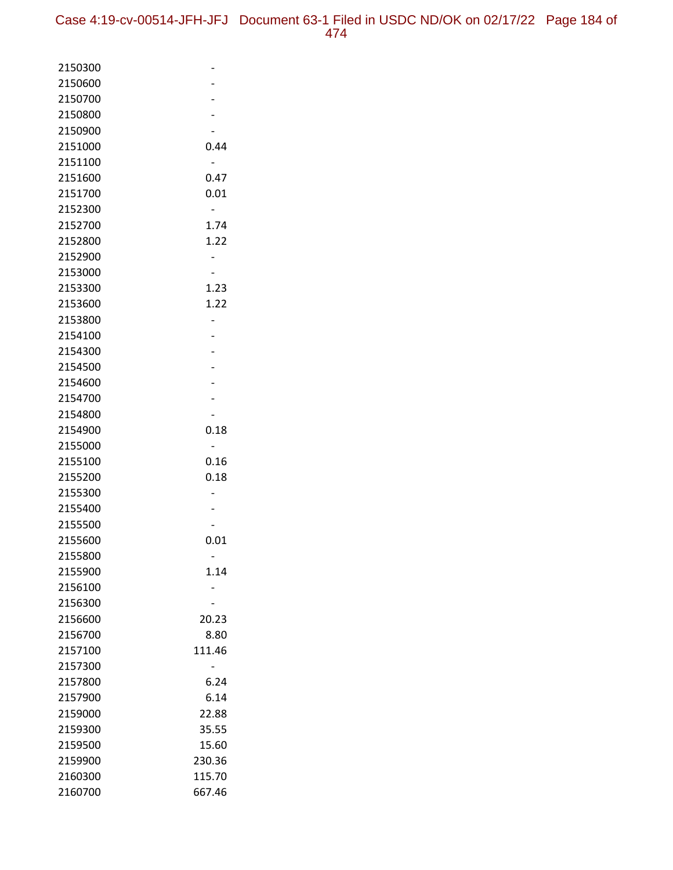| 2150300 |        |
|---------|--------|
| 2150600 |        |
| 2150700 |        |
| 2150800 |        |
| 2150900 |        |
| 2151000 | 0.44   |
| 2151100 |        |
| 2151600 | 0.47   |
| 2151700 | 0.01   |
| 2152300 |        |
| 2152700 | 1.74   |
| 2152800 | 1.22   |
| 2152900 |        |
| 2153000 |        |
| 2153300 | 1.23   |
| 2153600 | 1.22   |
| 2153800 |        |
| 2154100 |        |
| 2154300 |        |
| 2154500 |        |
| 2154600 |        |
| 2154700 |        |
| 2154800 |        |
| 2154900 | 0.18   |
| 2155000 |        |
| 2155100 | 0.16   |
| 2155200 | 0.18   |
| 2155300 |        |
| 2155400 |        |
| 2155500 |        |
| 2155600 | 0.01   |
| 2155800 |        |
| 2155900 | 1.14   |
| 2156100 |        |
| 2156300 |        |
| 2156600 | 20.23  |
| 2156700 | 8.80   |
| 2157100 | 111.46 |
| 2157300 |        |
| 2157800 | 6.24   |
| 2157900 | 6.14   |
| 2159000 | 22.88  |
| 2159300 | 35.55  |
| 2159500 | 15.60  |
| 2159900 | 230.36 |
| 2160300 | 115.70 |
| 2160700 | 667.46 |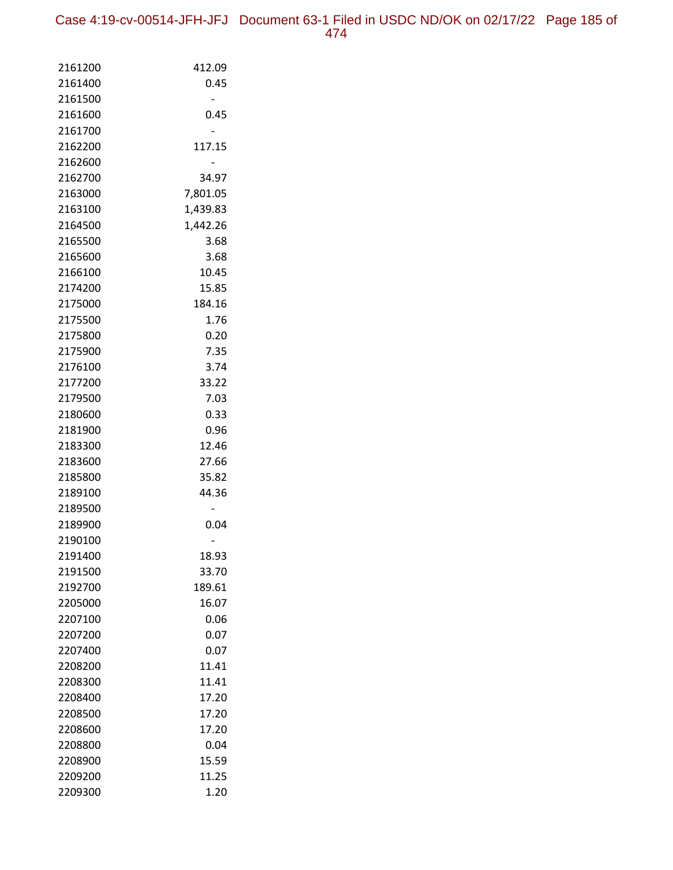Case 4:19-cv-00514-JFH-JFJ Document 63-1 Filed in USDC ND/OK on 02/17/22 Page 185 of 474

| 2161200<br>412.09<br>2161400<br>0.45<br>2161500<br>0.45<br>2161600<br>2161700<br>2162200<br>117.15<br>2162600<br>2162700<br>34.97<br>2163000<br>7,801.05<br>2163100<br>1,439.83<br>1,442.26<br>2164500<br>2165500<br>3.68<br>3.68<br>2165600<br>10.45<br>2166100<br>2174200<br>15.85<br>184.16<br>2175000<br>2175500<br>1.76<br>2175800<br>0.20<br>7.35<br>2175900<br>3.74<br>2176100<br>33.22<br>2177200<br>2179500<br>7.03<br>0.33<br>2180600<br>2181900<br>0.96<br>12.46<br>2183300<br>2183600<br>27.66<br>35.82<br>2185800<br>44.36<br>2189100<br>2189500<br>0.04<br>2189900<br>2190100<br>2191400<br>18.93<br>33.70<br>2191500<br>189.61<br>2192700<br>2205000<br>16.07<br>2207100<br>0.06<br>2207200<br>0.07<br>2207400<br>0.07<br>11.41<br>2208200<br>2208300<br>11.41<br>17.20<br>2208400<br>17.20<br>2208500<br>2208600<br>17.20<br>2208800<br>0.04<br>15.59<br>2208900<br>11.25<br>2209200<br>2209300<br>1.20 |  |
|-------------------------------------------------------------------------------------------------------------------------------------------------------------------------------------------------------------------------------------------------------------------------------------------------------------------------------------------------------------------------------------------------------------------------------------------------------------------------------------------------------------------------------------------------------------------------------------------------------------------------------------------------------------------------------------------------------------------------------------------------------------------------------------------------------------------------------------------------------------------------------------------------------------------------|--|
|                                                                                                                                                                                                                                                                                                                                                                                                                                                                                                                                                                                                                                                                                                                                                                                                                                                                                                                         |  |
|                                                                                                                                                                                                                                                                                                                                                                                                                                                                                                                                                                                                                                                                                                                                                                                                                                                                                                                         |  |
|                                                                                                                                                                                                                                                                                                                                                                                                                                                                                                                                                                                                                                                                                                                                                                                                                                                                                                                         |  |
|                                                                                                                                                                                                                                                                                                                                                                                                                                                                                                                                                                                                                                                                                                                                                                                                                                                                                                                         |  |
|                                                                                                                                                                                                                                                                                                                                                                                                                                                                                                                                                                                                                                                                                                                                                                                                                                                                                                                         |  |
|                                                                                                                                                                                                                                                                                                                                                                                                                                                                                                                                                                                                                                                                                                                                                                                                                                                                                                                         |  |
|                                                                                                                                                                                                                                                                                                                                                                                                                                                                                                                                                                                                                                                                                                                                                                                                                                                                                                                         |  |
|                                                                                                                                                                                                                                                                                                                                                                                                                                                                                                                                                                                                                                                                                                                                                                                                                                                                                                                         |  |
|                                                                                                                                                                                                                                                                                                                                                                                                                                                                                                                                                                                                                                                                                                                                                                                                                                                                                                                         |  |
|                                                                                                                                                                                                                                                                                                                                                                                                                                                                                                                                                                                                                                                                                                                                                                                                                                                                                                                         |  |
|                                                                                                                                                                                                                                                                                                                                                                                                                                                                                                                                                                                                                                                                                                                                                                                                                                                                                                                         |  |
|                                                                                                                                                                                                                                                                                                                                                                                                                                                                                                                                                                                                                                                                                                                                                                                                                                                                                                                         |  |
|                                                                                                                                                                                                                                                                                                                                                                                                                                                                                                                                                                                                                                                                                                                                                                                                                                                                                                                         |  |
|                                                                                                                                                                                                                                                                                                                                                                                                                                                                                                                                                                                                                                                                                                                                                                                                                                                                                                                         |  |
|                                                                                                                                                                                                                                                                                                                                                                                                                                                                                                                                                                                                                                                                                                                                                                                                                                                                                                                         |  |
|                                                                                                                                                                                                                                                                                                                                                                                                                                                                                                                                                                                                                                                                                                                                                                                                                                                                                                                         |  |
|                                                                                                                                                                                                                                                                                                                                                                                                                                                                                                                                                                                                                                                                                                                                                                                                                                                                                                                         |  |
|                                                                                                                                                                                                                                                                                                                                                                                                                                                                                                                                                                                                                                                                                                                                                                                                                                                                                                                         |  |
|                                                                                                                                                                                                                                                                                                                                                                                                                                                                                                                                                                                                                                                                                                                                                                                                                                                                                                                         |  |
|                                                                                                                                                                                                                                                                                                                                                                                                                                                                                                                                                                                                                                                                                                                                                                                                                                                                                                                         |  |
|                                                                                                                                                                                                                                                                                                                                                                                                                                                                                                                                                                                                                                                                                                                                                                                                                                                                                                                         |  |
|                                                                                                                                                                                                                                                                                                                                                                                                                                                                                                                                                                                                                                                                                                                                                                                                                                                                                                                         |  |
|                                                                                                                                                                                                                                                                                                                                                                                                                                                                                                                                                                                                                                                                                                                                                                                                                                                                                                                         |  |
|                                                                                                                                                                                                                                                                                                                                                                                                                                                                                                                                                                                                                                                                                                                                                                                                                                                                                                                         |  |
|                                                                                                                                                                                                                                                                                                                                                                                                                                                                                                                                                                                                                                                                                                                                                                                                                                                                                                                         |  |
|                                                                                                                                                                                                                                                                                                                                                                                                                                                                                                                                                                                                                                                                                                                                                                                                                                                                                                                         |  |
|                                                                                                                                                                                                                                                                                                                                                                                                                                                                                                                                                                                                                                                                                                                                                                                                                                                                                                                         |  |
|                                                                                                                                                                                                                                                                                                                                                                                                                                                                                                                                                                                                                                                                                                                                                                                                                                                                                                                         |  |
|                                                                                                                                                                                                                                                                                                                                                                                                                                                                                                                                                                                                                                                                                                                                                                                                                                                                                                                         |  |
|                                                                                                                                                                                                                                                                                                                                                                                                                                                                                                                                                                                                                                                                                                                                                                                                                                                                                                                         |  |
|                                                                                                                                                                                                                                                                                                                                                                                                                                                                                                                                                                                                                                                                                                                                                                                                                                                                                                                         |  |
|                                                                                                                                                                                                                                                                                                                                                                                                                                                                                                                                                                                                                                                                                                                                                                                                                                                                                                                         |  |
|                                                                                                                                                                                                                                                                                                                                                                                                                                                                                                                                                                                                                                                                                                                                                                                                                                                                                                                         |  |
|                                                                                                                                                                                                                                                                                                                                                                                                                                                                                                                                                                                                                                                                                                                                                                                                                                                                                                                         |  |
|                                                                                                                                                                                                                                                                                                                                                                                                                                                                                                                                                                                                                                                                                                                                                                                                                                                                                                                         |  |
|                                                                                                                                                                                                                                                                                                                                                                                                                                                                                                                                                                                                                                                                                                                                                                                                                                                                                                                         |  |
|                                                                                                                                                                                                                                                                                                                                                                                                                                                                                                                                                                                                                                                                                                                                                                                                                                                                                                                         |  |
|                                                                                                                                                                                                                                                                                                                                                                                                                                                                                                                                                                                                                                                                                                                                                                                                                                                                                                                         |  |
|                                                                                                                                                                                                                                                                                                                                                                                                                                                                                                                                                                                                                                                                                                                                                                                                                                                                                                                         |  |
|                                                                                                                                                                                                                                                                                                                                                                                                                                                                                                                                                                                                                                                                                                                                                                                                                                                                                                                         |  |
|                                                                                                                                                                                                                                                                                                                                                                                                                                                                                                                                                                                                                                                                                                                                                                                                                                                                                                                         |  |
|                                                                                                                                                                                                                                                                                                                                                                                                                                                                                                                                                                                                                                                                                                                                                                                                                                                                                                                         |  |
|                                                                                                                                                                                                                                                                                                                                                                                                                                                                                                                                                                                                                                                                                                                                                                                                                                                                                                                         |  |
|                                                                                                                                                                                                                                                                                                                                                                                                                                                                                                                                                                                                                                                                                                                                                                                                                                                                                                                         |  |
|                                                                                                                                                                                                                                                                                                                                                                                                                                                                                                                                                                                                                                                                                                                                                                                                                                                                                                                         |  |
|                                                                                                                                                                                                                                                                                                                                                                                                                                                                                                                                                                                                                                                                                                                                                                                                                                                                                                                         |  |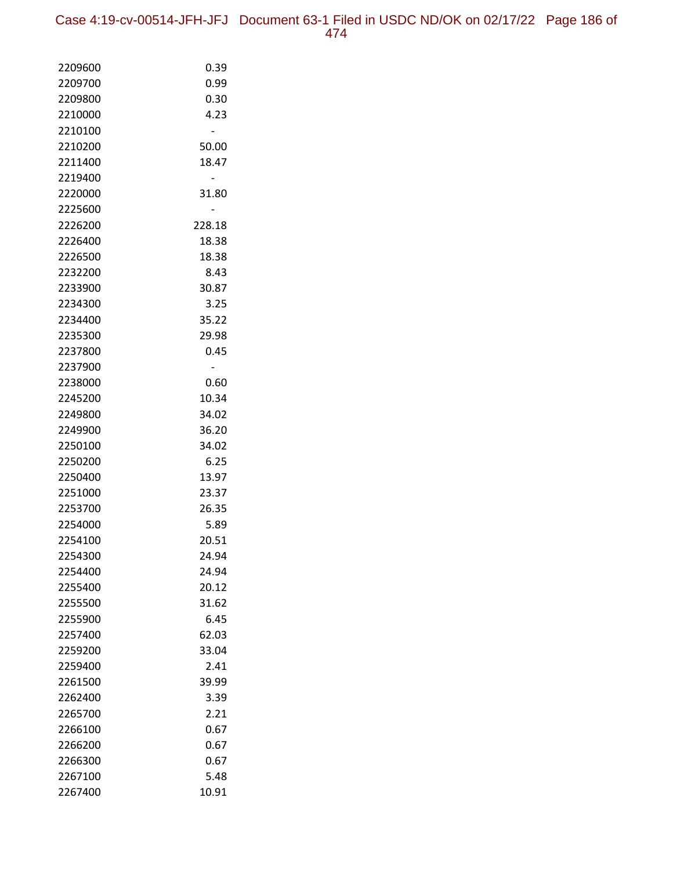| 2209600            | 0.39           |
|--------------------|----------------|
| 2209700            | 0.99           |
| 2209800            | 0.30           |
| 2210000            | 4.23           |
| 2210100            |                |
| 2210200            | 50.00          |
| 2211400            | 18.47          |
| 2219400            |                |
| 2220000            | 31.80          |
| 2225600            |                |
| 2226200            | 228.18         |
| 2226400            | 18.38          |
| 2226500            | 18.38          |
| 2232200            | 8.43           |
| 2233900            | 30.87          |
| 2234300            | 3.25           |
| 2234400            | 35.22          |
| 2235300            | 29.98          |
| 2237800            | 0.45           |
| 2237900            |                |
| 2238000            | 0.60           |
| 2245200            | 10.34          |
| 2249800            | 34.02          |
| 2249900            | 36.20          |
| 2250100            | 34.02          |
| 2250200            | 6.25           |
| 2250400<br>2251000 | 13.97<br>23.37 |
| 2253700            | 26.35          |
| 2254000            | 5.89           |
| 2254100            | 20.51          |
| 2254300            | 24.94          |
| 2254400            | 24.94          |
| 2255400            | 20.12          |
| 2255500            | 31.62          |
| 2255900            | 6.45           |
| 2257400            | 62.03          |
| 2259200            | 33.04          |
| 2259400            | 2.41           |
| 2261500            | 39.99          |
| 2262400            | 3.39           |
| 2265700            | 2.21           |
| 2266100            | 0.67           |
| 2266200            | 0.67           |
| 2266300            | 0.67           |
| 2267100            | 5.48           |
| 2267400            | 10.91          |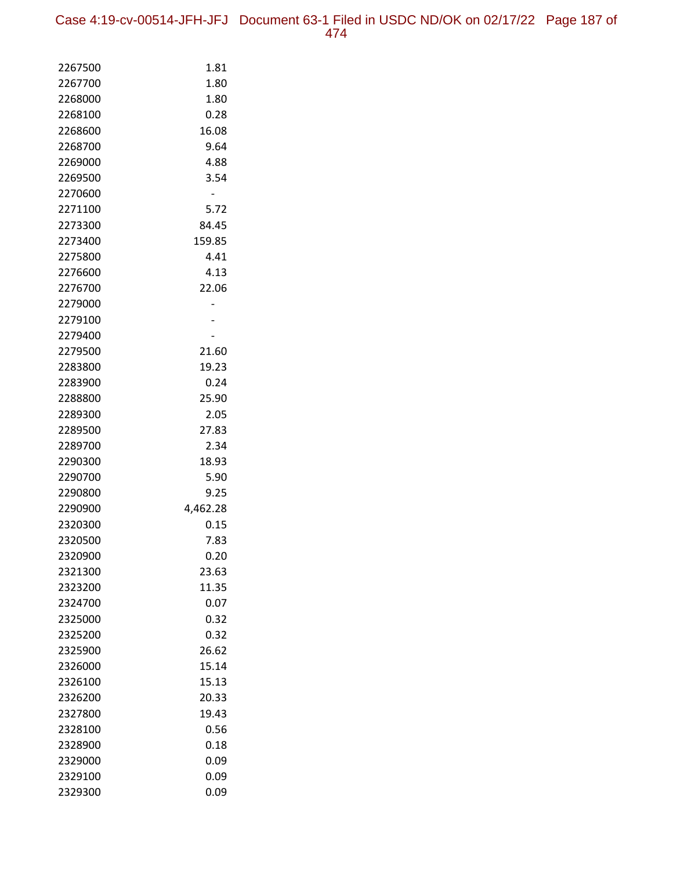| 2267500 | 1.81     |
|---------|----------|
| 2267700 | 1.80     |
| 2268000 | 1.80     |
| 2268100 | 0.28     |
| 2268600 | 16.08    |
| 2268700 | 9.64     |
| 2269000 | 4.88     |
| 2269500 | 3.54     |
| 2270600 |          |
| 2271100 | 5.72     |
| 2273300 | 84.45    |
| 2273400 | 159.85   |
| 2275800 | 4.41     |
| 2276600 | 4.13     |
| 2276700 | 22.06    |
| 2279000 |          |
| 2279100 |          |
| 2279400 |          |
| 2279500 | 21.60    |
| 2283800 | 19.23    |
| 2283900 | 0.24     |
| 2288800 | 25.90    |
| 2289300 | 2.05     |
| 2289500 | 27.83    |
| 2289700 | 2.34     |
| 2290300 | 18.93    |
| 2290700 | 5.90     |
| 2290800 | 9.25     |
| 2290900 | 4,462.28 |
| 2320300 | 0.15     |
| 2320500 | 7.83     |
| 2320900 | 0.20     |
| 2321300 | 23.63    |
| 2323200 | 11.35    |
| 2324700 | 0.07     |
| 2325000 | 0.32     |
| 2325200 | 0.32     |
| 2325900 | 26.62    |
| 2326000 | 15.14    |
| 2326100 | 15.13    |
| 2326200 | 20.33    |
| 2327800 | 19.43    |
| 2328100 | 0.56     |
| 2328900 | 0.18     |
| 2329000 | 0.09     |
| 2329100 | 0.09     |
| 2329300 | 0.09     |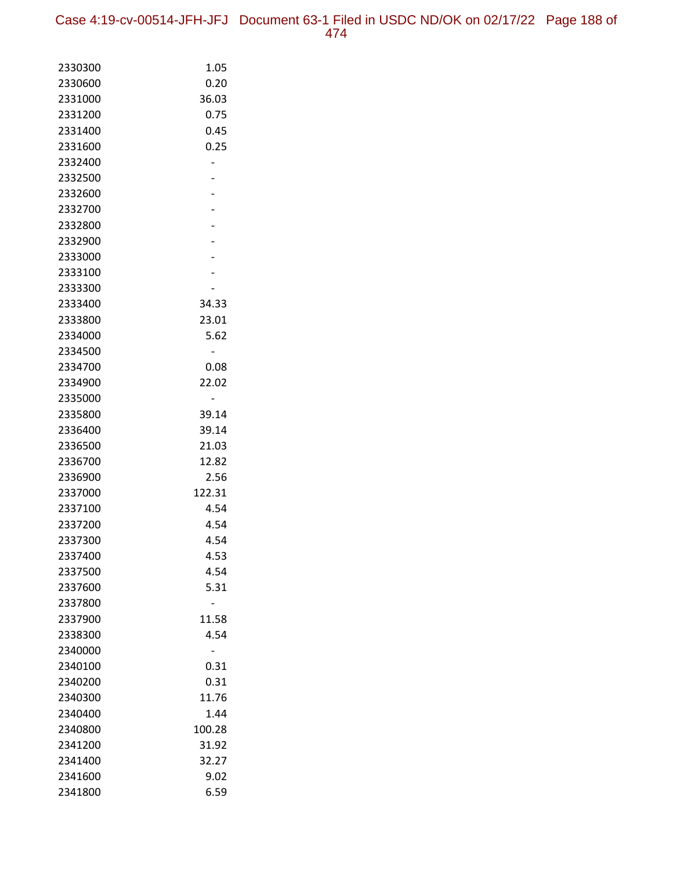| 2330300 | 1.05   |
|---------|--------|
| 2330600 | 0.20   |
| 2331000 | 36.03  |
| 2331200 | 0.75   |
| 2331400 | 0.45   |
| 2331600 | 0.25   |
| 2332400 |        |
| 2332500 |        |
| 2332600 |        |
| 2332700 |        |
| 2332800 |        |
| 2332900 |        |
| 2333000 |        |
| 2333100 |        |
| 2333300 |        |
| 2333400 | 34.33  |
| 2333800 | 23.01  |
| 2334000 | 5.62   |
| 2334500 |        |
| 2334700 | 0.08   |
| 2334900 | 22.02  |
| 2335000 |        |
| 2335800 | 39.14  |
| 2336400 | 39.14  |
| 2336500 | 21.03  |
| 2336700 | 12.82  |
| 2336900 | 2.56   |
| 2337000 | 122.31 |
| 2337100 | 4.54   |
| 2337200 | 4.54   |
| 2337300 | 4.54   |
| 2337400 | 4.53   |
| 2337500 | 4.54   |
| 2337600 | 5.31   |
| 2337800 |        |
| 2337900 | 11.58  |
| 2338300 | 4.54   |
| 2340000 |        |
| 2340100 | 0.31   |
| 2340200 | 0.31   |
| 2340300 | 11.76  |
| 2340400 | 1.44   |
| 2340800 | 100.28 |
| 2341200 | 31.92  |
| 2341400 | 32.27  |
| 2341600 | 9.02   |
| 2341800 | 6.59   |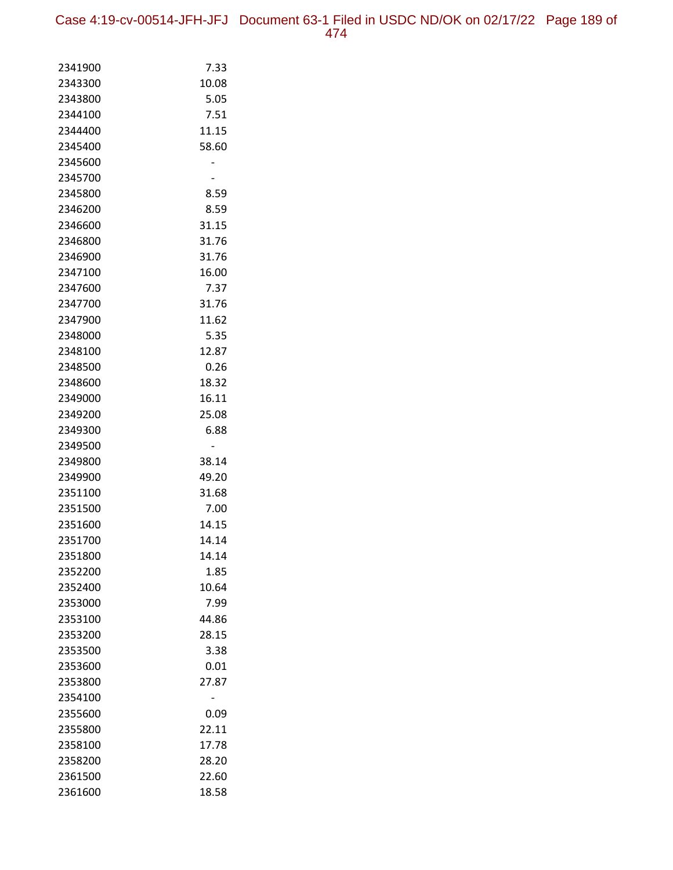| 2341900            | 7.33  |
|--------------------|-------|
| 2343300            | 10.08 |
| 2343800            | 5.05  |
| 2344100            | 7.51  |
| 2344400            | 11.15 |
| 2345400            | 58.60 |
| 2345600            |       |
| 2345700            |       |
| 2345800            | 8.59  |
| 2346200            | 8.59  |
| 2346600            | 31.15 |
| 2346800            | 31.76 |
| 2346900            | 31.76 |
| 2347100            | 16.00 |
| 2347600            | 7.37  |
| 2347700            | 31.76 |
| 2347900            | 11.62 |
| 2348000            | 5.35  |
| 2348100            | 12.87 |
| 2348500            | 0.26  |
| 2348600            | 18.32 |
| 2349000            | 16.11 |
| 2349200            | 25.08 |
| 2349300            | 6.88  |
| 2349500            |       |
| 2349800            | 38.14 |
| 2349900            | 49.20 |
| 2351100            | 31.68 |
| 2351500            | 7.00  |
| 2351600            | 14.15 |
| 2351700            | 14.14 |
| 2351800            | 14.14 |
| 2352200            | 1.85  |
| 2352400            | 10.64 |
| 2353000            | 7.99  |
| 2353100            | 44.86 |
| 2353200            | 28.15 |
| 2353500            | 3.38  |
| 2353600            | 0.01  |
| 2353800            | 27.87 |
| 2354100<br>2355600 | 0.09  |
| 2355800            | 22.11 |
| 2358100            | 17.78 |
| 2358200            | 28.20 |
| 2361500            | 22.60 |
| 2361600            | 18.58 |
|                    |       |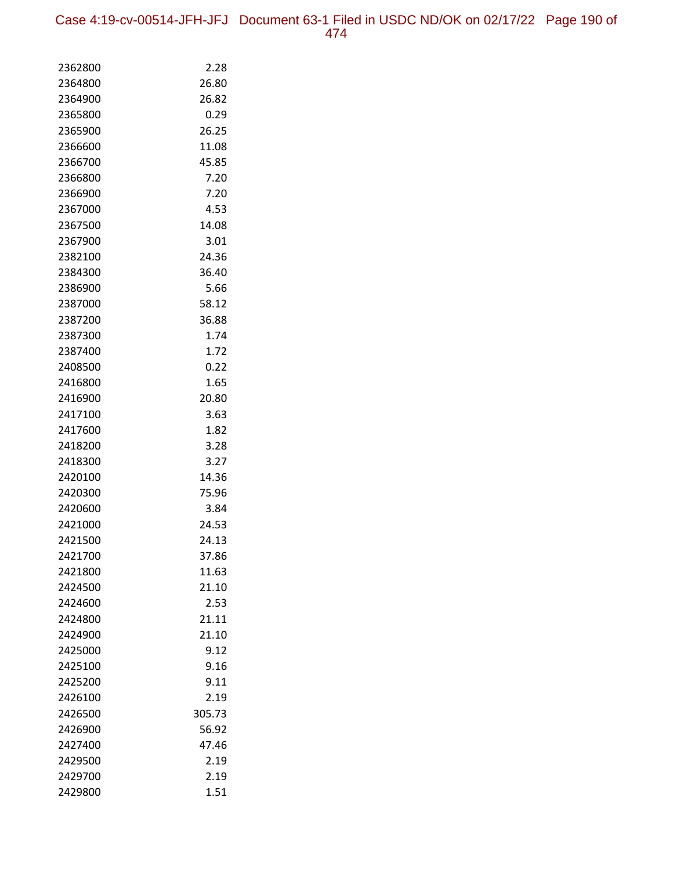| 2362800 | 2.28   |
|---------|--------|
| 2364800 | 26.80  |
| 2364900 | 26.82  |
| 2365800 | 0.29   |
| 2365900 | 26.25  |
| 2366600 | 11.08  |
| 2366700 | 45.85  |
| 2366800 | 7.20   |
| 2366900 | 7.20   |
| 2367000 | 4.53   |
| 2367500 | 14.08  |
| 2367900 | 3.01   |
| 2382100 | 24.36  |
| 2384300 | 36.40  |
| 2386900 | 5.66   |
| 2387000 | 58.12  |
| 2387200 | 36.88  |
| 2387300 | 1.74   |
| 2387400 | 1.72   |
| 2408500 | 0.22   |
| 2416800 | 1.65   |
| 2416900 | 20.80  |
| 2417100 | 3.63   |
| 2417600 | 1.82   |
| 2418200 | 3.28   |
| 2418300 | 3.27   |
| 2420100 | 14.36  |
| 2420300 | 75.96  |
| 2420600 | 3.84   |
| 2421000 | 24.53  |
| 2421500 | 24.13  |
| 2421700 | 37.86  |
| 2421800 | 11.63  |
| 2424500 | 21.10  |
| 2424600 | 2.53   |
| 2424800 | 21.11  |
| 2424900 | 21.10  |
| 2425000 | 9.12   |
| 2425100 | 9.16   |
| 2425200 | 9.11   |
| 2426100 | 2.19   |
| 2426500 | 305.73 |
| 2426900 | 56.92  |
| 2427400 | 47.46  |
| 2429500 | 2.19   |
| 2429700 | 2.19   |
| 2429800 | 1.51   |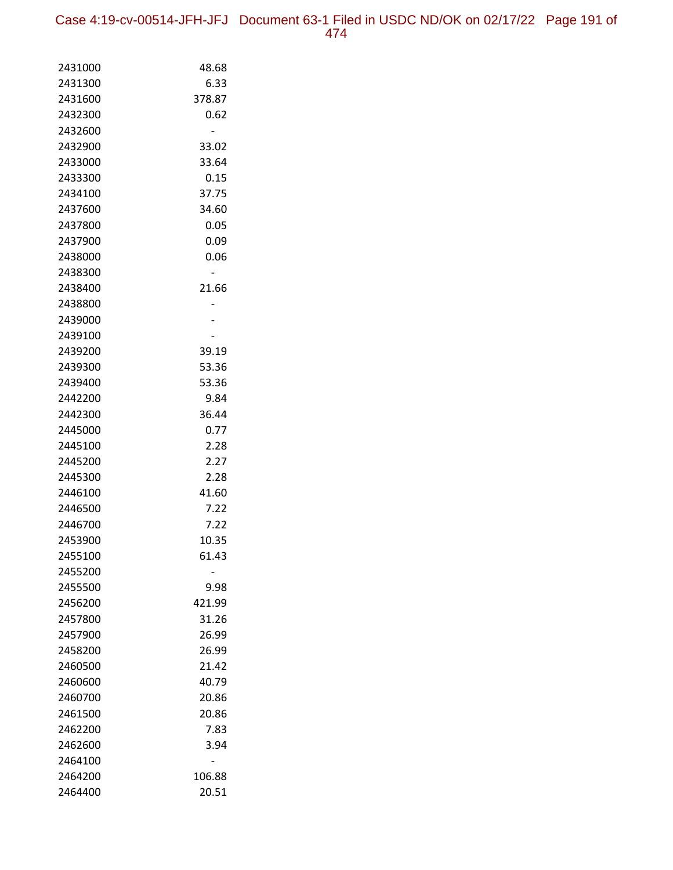| 2431000 | 48.68  |
|---------|--------|
| 2431300 | 6.33   |
| 2431600 | 378.87 |
| 2432300 | 0.62   |
| 2432600 |        |
| 2432900 | 33.02  |
| 2433000 | 33.64  |
| 2433300 | 0.15   |
| 2434100 | 37.75  |
| 2437600 | 34.60  |
| 2437800 | 0.05   |
| 2437900 | 0.09   |
| 2438000 | 0.06   |
| 2438300 |        |
| 2438400 | 21.66  |
| 2438800 |        |
| 2439000 |        |
| 2439100 |        |
| 2439200 | 39.19  |
| 2439300 | 53.36  |
| 2439400 | 53.36  |
| 2442200 | 9.84   |
| 2442300 | 36.44  |
| 2445000 | 0.77   |
| 2445100 | 2.28   |
| 2445200 | 2.27   |
| 2445300 | 2.28   |
| 2446100 | 41.60  |
| 2446500 | 7.22   |
| 2446700 | 7.22   |
| 2453900 | 10.35  |
| 2455100 | 61.43  |
| 2455200 |        |
| 2455500 | 9.98   |
| 2456200 | 421.99 |
| 2457800 | 31.26  |
| 2457900 | 26.99  |
| 2458200 | 26.99  |
| 2460500 | 21.42  |
| 2460600 | 40.79  |
| 2460700 | 20.86  |
| 2461500 | 20.86  |
| 2462200 | 7.83   |
| 2462600 | 3.94   |
| 2464100 |        |
| 2464200 | 106.88 |
| 2464400 | 20.51  |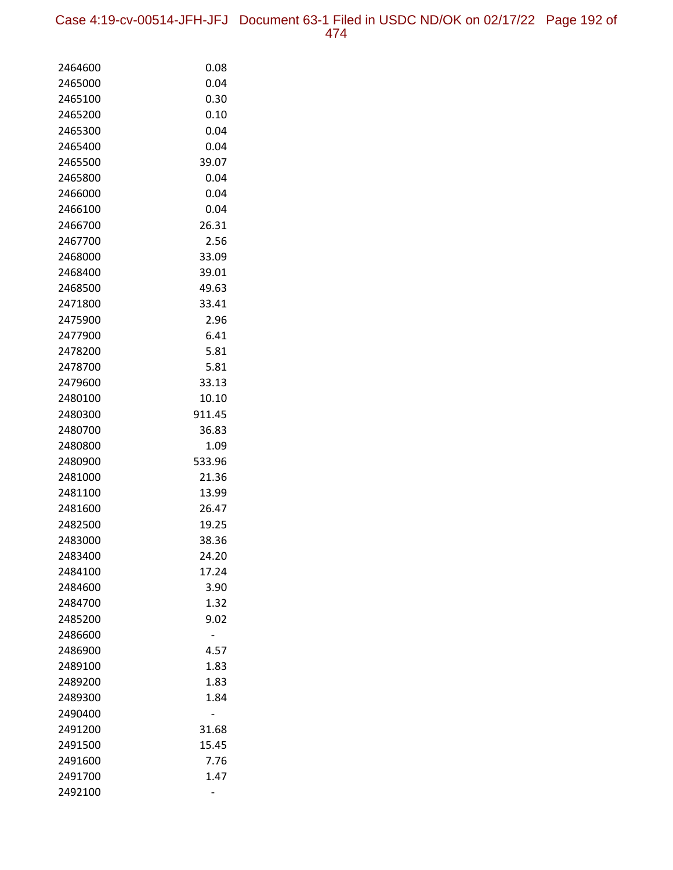Case 4:19-cv-00514-JFH-JFJ Document 63-1 Filed in USDC ND/OK on 02/17/22 Page 192 of 474

| 2464600            | 0.08          |
|--------------------|---------------|
| 2465000            | 0.04          |
| 2465100            | 0.30          |
| 2465200            | 0.10          |
| 2465300            | 0.04          |
| 2465400            | 0.04          |
| 2465500            | 39.07         |
| 2465800            | 0.04          |
| 2466000            | 0.04          |
| 2466100            | 0.04          |
| 2466700            | 26.31         |
| 2467700            | 2.56          |
| 2468000            | 33.09         |
| 2468400            | 39.01         |
| 2468500            | 49.63         |
| 2471800            | 33.41         |
| 2475900            | 2.96          |
| 2477900            | 6.41          |
| 2478200            | 5.81          |
| 2478700            | 5.81          |
| 2479600            | 33.13         |
| 2480100            | 10.10         |
| 2480300            | 911.45        |
| 2480700            | 36.83         |
| 2480800            | 1.09          |
| 2480900            | 533.96        |
| 2481000            | 21.36         |
| 2481100            | 13.99         |
| 2481600            | 26.47         |
| 2482500            | 19.25         |
| 2483000            | 38.36         |
| 2483400            | 24.20         |
| 2484100<br>2484600 | 17.24<br>3.90 |
| 2484700            | 1.32          |
| 2485200            | 9.02          |
| 2486600            |               |
| 2486900            | 4.57          |
| 2489100            | 1.83          |
| 2489200            | 1.83          |
| 2489300            | 1.84          |
| 2490400            |               |
| 2491200            | 31.68         |
| 2491500            | 15.45         |
| 2491600            | 7.76          |
| 2491700            | 1.47          |
| 2492100            |               |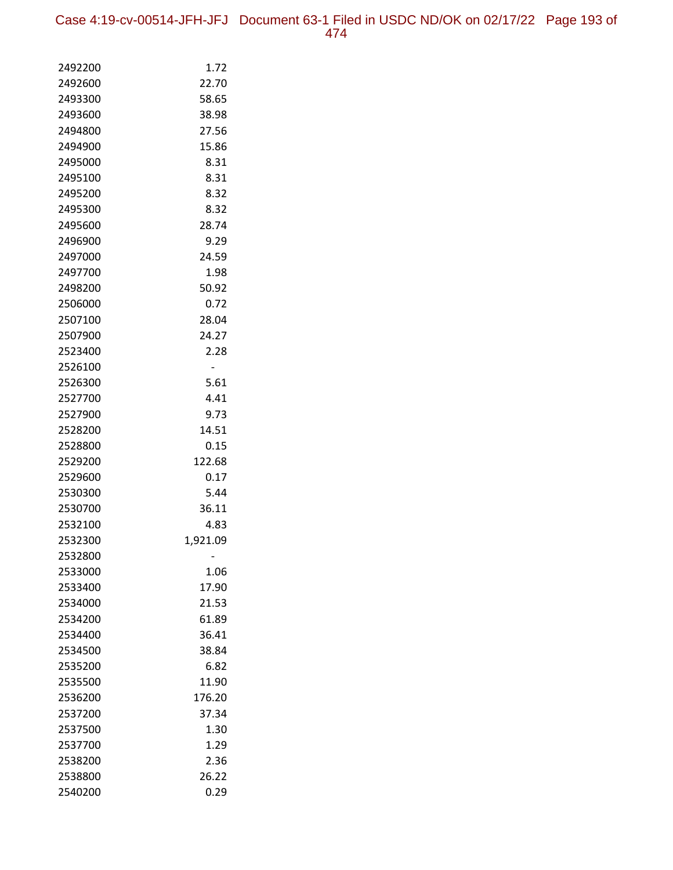Case 4:19-cv-00514-JFH-JFJ Document 63-1 Filed in USDC ND/OK on 02/17/22 Page 193 of 474

| 2492200            | 1.72         |
|--------------------|--------------|
| 2492600            | 22.70        |
| 2493300            | 58.65        |
| 2493600            | 38.98        |
| 2494800            | 27.56        |
| 2494900            | 15.86        |
| 2495000            | 8.31         |
| 2495100            | 8.31         |
| 2495200            | 8.32         |
| 2495300            | 8.32         |
| 2495600            | 28.74        |
| 2496900            | 9.29         |
| 2497000            | 24.59        |
| 2497700            | 1.98         |
| 2498200            | 50.92        |
| 2506000            | 0.72         |
| 2507100            | 28.04        |
| 2507900            | 24.27        |
| 2523400            | 2.28         |
| 2526100            |              |
| 2526300            | 5.61         |
| 2527700            | 4.41         |
| 2527900            | 9.73         |
| 2528200            | 14.51        |
| 2528800            | 0.15         |
| 2529200<br>2529600 | 122.68       |
| 2530300            | 0.17<br>5.44 |
| 2530700            | 36.11        |
| 2532100            | 4.83         |
| 2532300            | 1,921.09     |
| 2532800            |              |
| 2533000            | 1.06         |
| 2533400            | 17.90        |
| 2534000            | 21.53        |
| 2534200            | 61.89        |
| 2534400            | 36.41        |
| 2534500            | 38.84        |
| 2535200            | 6.82         |
| 2535500            | 11.90        |
| 2536200            | 176.20       |
| 2537200            | 37.34        |
| 2537500            | 1.30         |
| 2537700            | 1.29         |
| 2538200            | 2.36         |
| 2538800            | 26.22        |
| 2540200            | 0.29         |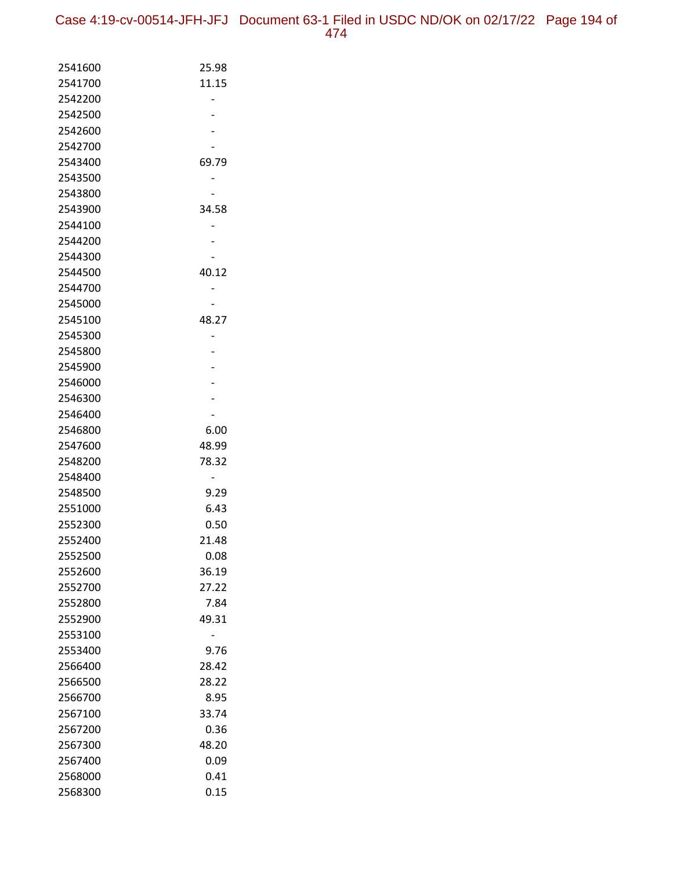| 2541600            | 25.98         |
|--------------------|---------------|
| 2541700            | 11.15         |
| 2542200            |               |
| 2542500            |               |
| 2542600            |               |
| 2542700            |               |
| 2543400            | 69.79         |
| 2543500            |               |
| 2543800            |               |
| 2543900            | 34.58         |
| 2544100            |               |
| 2544200            |               |
| 2544300            |               |
| 2544500            | 40.12         |
| 2544700            |               |
| 2545000            |               |
| 2545100            | 48.27         |
| 2545300            |               |
| 2545800            |               |
| 2545900            |               |
| 2546000            |               |
| 2546300            |               |
| 2546400            |               |
| 2546800            | 6.00          |
| 2547600            | 48.99         |
| 2548200            | 78.32         |
| 2548400            |               |
| 2548500            | 9.29          |
| 2551000            | 6.43          |
| 2552300            | 0.50          |
| 2552400            | 21.48<br>0.08 |
| 2552500            |               |
| 2552600            | 36.19         |
| 2552700            | 27.22         |
| 2552800<br>2552900 | 7.84<br>49.31 |
| 2553100            |               |
| 2553400            |               |
| 2566400            | 9.76<br>28.42 |
| 2566500            | 28.22         |
| 2566700            | 8.95          |
| 2567100            | 33.74         |
| 2567200            | 0.36          |
| 2567300            | 48.20         |
| 2567400            | 0.09          |
| 2568000            | 0.41          |
| 2568300            | 0.15          |
|                    |               |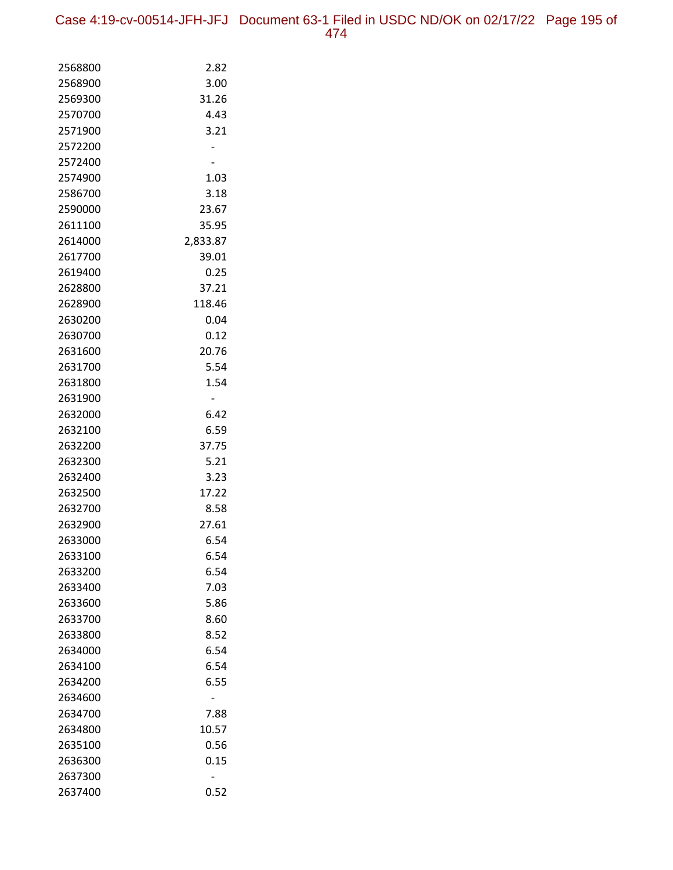| 2568800 | 2.82     |
|---------|----------|
| 2568900 | 3.00     |
| 2569300 | 31.26    |
| 2570700 | 4.43     |
| 2571900 | 3.21     |
| 2572200 |          |
| 2572400 |          |
| 2574900 | 1.03     |
| 2586700 | 3.18     |
| 2590000 | 23.67    |
| 2611100 | 35.95    |
| 2614000 | 2,833.87 |
| 2617700 | 39.01    |
| 2619400 | 0.25     |
| 2628800 | 37.21    |
| 2628900 | 118.46   |
| 2630200 | 0.04     |
| 2630700 | 0.12     |
| 2631600 | 20.76    |
| 2631700 | 5.54     |
| 2631800 | 1.54     |
| 2631900 | -        |
| 2632000 | 6.42     |
| 2632100 | 6.59     |
| 2632200 | 37.75    |
| 2632300 | 5.21     |
| 2632400 | 3.23     |
| 2632500 | 17.22    |
| 2632700 | 8.58     |
| 2632900 | 27.61    |
| 2633000 | 6.54     |
| 2633100 | 6.54     |
| 2633200 | 6.54     |
| 2633400 | 7.03     |
| 2633600 | 5.86     |
| 2633700 | 8.60     |
| 2633800 | 8.52     |
| 2634000 | 6.54     |
| 2634100 | 6.54     |
| 2634200 | 6.55     |
| 2634600 |          |
| 2634700 | 7.88     |
| 2634800 | 10.57    |
| 2635100 | 0.56     |
| 2636300 | 0.15     |
| 2637300 |          |
| 2637400 | 0.52     |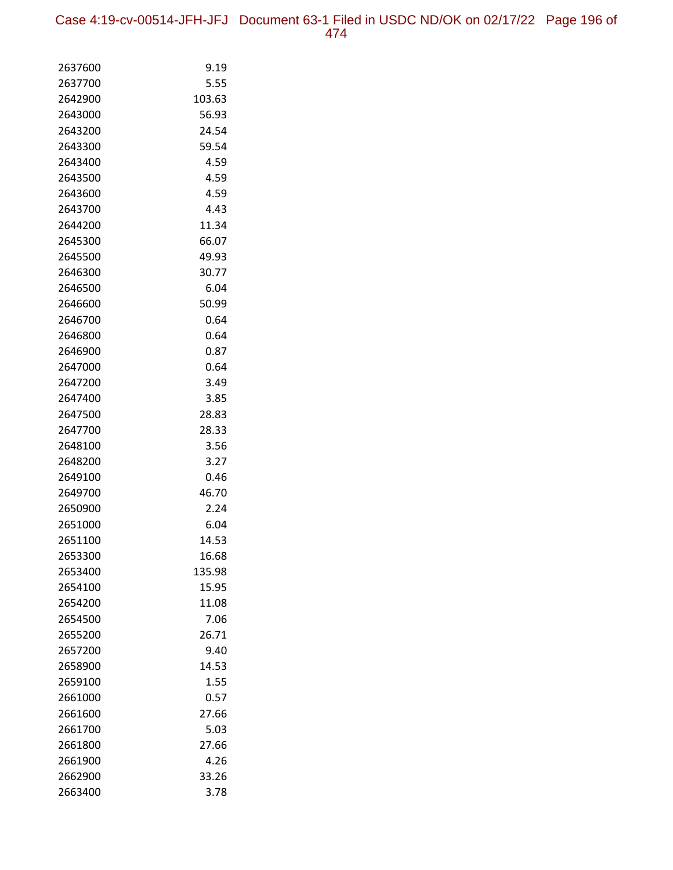| 2637600            | 9.19          |
|--------------------|---------------|
| 2637700            | 5.55          |
| 2642900            | 103.63        |
| 2643000            | 56.93         |
| 2643200            | 24.54         |
| 2643300            | 59.54         |
| 2643400            | 4.59          |
| 2643500            | 4.59          |
| 2643600            | 4.59          |
| 2643700            | 4.43          |
| 2644200            | 11.34         |
| 2645300            | 66.07         |
| 2645500            | 49.93         |
| 2646300            | 30.77         |
| 2646500            | 6.04          |
| 2646600            | 50.99         |
| 2646700            | 0.64          |
| 2646800            | 0.64          |
| 2646900            | 0.87          |
| 2647000            | 0.64          |
| 2647200            | 3.49          |
| 2647400            | 3.85          |
| 2647500            | 28.83         |
| 2647700            | 28.33         |
| 2648100            | 3.56          |
| 2648200            | 3.27          |
| 2649100            | 0.46          |
| 2649700            | 46.70         |
| 2650900            | 2.24          |
| 2651000            | 6.04          |
| 2651100            | 14.53         |
| 2653300            | 16.68         |
| 2653400            | 135.98        |
| 2654100            | 15.95         |
| 2654200            | 11.08         |
| 2654500            | 7.06          |
| 2655200<br>2657200 | 26.71         |
| 2658900            | 9.40<br>14.53 |
| 2659100            | 1.55          |
| 2661000            | 0.57          |
| 2661600            | 27.66         |
| 2661700            | 5.03          |
| 2661800            | 27.66         |
| 2661900            | 4.26          |
| 2662900            | 33.26         |
| 2663400            | 3.78          |
|                    |               |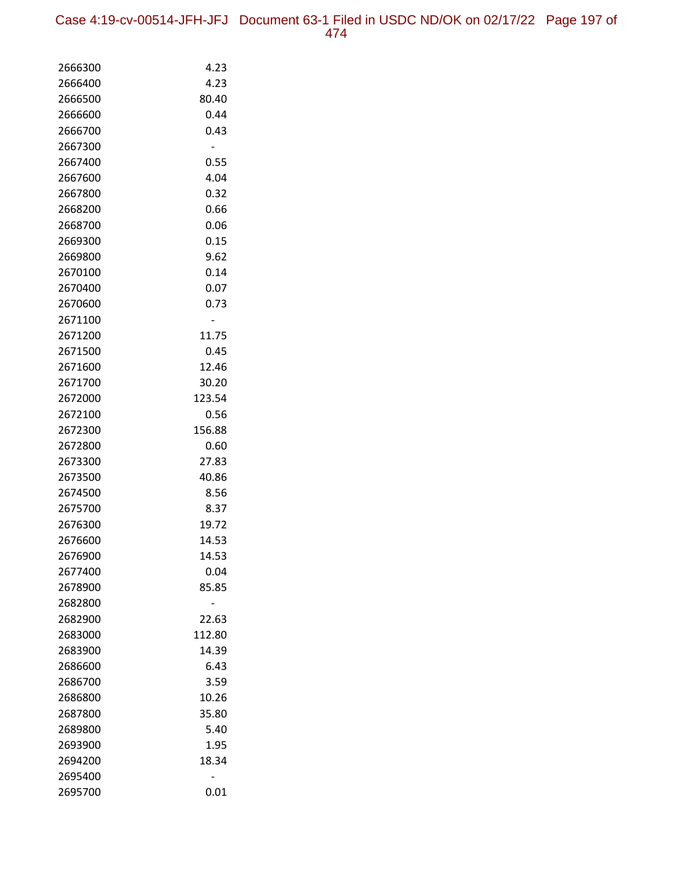| 2666300            | 4.23           |
|--------------------|----------------|
| 2666400            | 4.23           |
| 2666500            | 80.40          |
| 2666600            | 0.44           |
| 2666700            | 0.43           |
| 2667300            |                |
| 2667400            | 0.55           |
| 2667600            | 4.04           |
| 2667800            | 0.32           |
| 2668200            | 0.66           |
| 2668700            | 0.06           |
| 2669300            | 0.15           |
| 2669800            | 9.62           |
| 2670100            | 0.14           |
| 2670400            | 0.07           |
| 2670600            | 0.73           |
| 2671100            |                |
| 2671200            | 11.75          |
| 2671500            | 0.45           |
| 2671600            | 12.46          |
| 2671700            | 30.20          |
| 2672000            | 123.54         |
| 2672100<br>2672300 | 0.56<br>156.88 |
| 2672800            | 0.60           |
| 2673300            | 27.83          |
| 2673500            | 40.86          |
| 2674500            | 8.56           |
| 2675700            | 8.37           |
| 2676300            | 19.72          |
| 2676600            | 14.53          |
| 2676900            | 14.53          |
| 2677400            | 0.04           |
| 2678900            | 85.85          |
| 2682800            |                |
| 2682900            | 22.63          |
| 2683000            | 112.80         |
| 2683900            | 14.39          |
| 2686600            | 6.43           |
| 2686700            | 3.59           |
| 2686800            | 10.26          |
| 2687800            | 35.80          |
| 2689800            | 5.40           |
| 2693900            | 1.95           |
| 2694200            | 18.34          |
| 2695400            |                |
| 2695700            | 0.01           |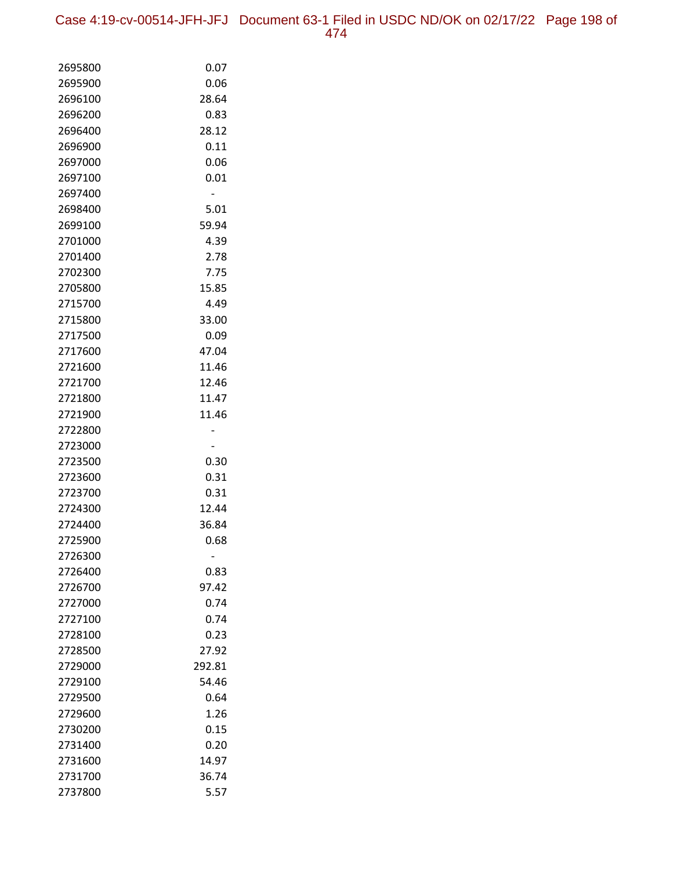Case 4:19-cv-00514-JFH-JFJ Document 63-1 Filed in USDC ND/OK on 02/17/22 Page 198 of 474

| 2695800            | 0.07           |
|--------------------|----------------|
| 2695900            | 0.06           |
| 2696100            | 28.64          |
| 2696200            | 0.83           |
| 2696400            | 28.12          |
| 2696900            | 0.11           |
| 2697000            | 0.06           |
| 2697100            | 0.01           |
| 2697400            |                |
| 2698400            | 5.01           |
| 2699100            | 59.94          |
| 2701000            | 4.39           |
| 2701400            | 2.78           |
| 2702300            | 7.75           |
| 2705800            | 15.85          |
| 2715700            | 4.49           |
| 2715800            | 33.00          |
| 2717500            | 0.09           |
| 2717600            | 47.04          |
| 2721600            | 11.46          |
| 2721700            | 12.46          |
| 2721800            | 11.47          |
| 2721900            | 11.46          |
| 2722800            |                |
| 2723000            |                |
| 2723500            | 0.30           |
| 2723600            | 0.31           |
| 2723700            | 0.31           |
| 2724300<br>2724400 | 12.44<br>36.84 |
| 2725900            | 0.68           |
| 2726300            |                |
| 2726400            | 0.83           |
| 2726700            | 97.42          |
| 2727000            | 0.74           |
| 2727100            | 0.74           |
| 2728100            | 0.23           |
| 2728500            | 27.92          |
| 2729000            | 292.81         |
| 2729100            | 54.46          |
| 2729500            | 0.64           |
| 2729600            | 1.26           |
| 2730200            | 0.15           |
| 2731400            | 0.20           |
| 2731600            | 14.97          |
| 2731700            | 36.74          |
| 2737800            | 5.57           |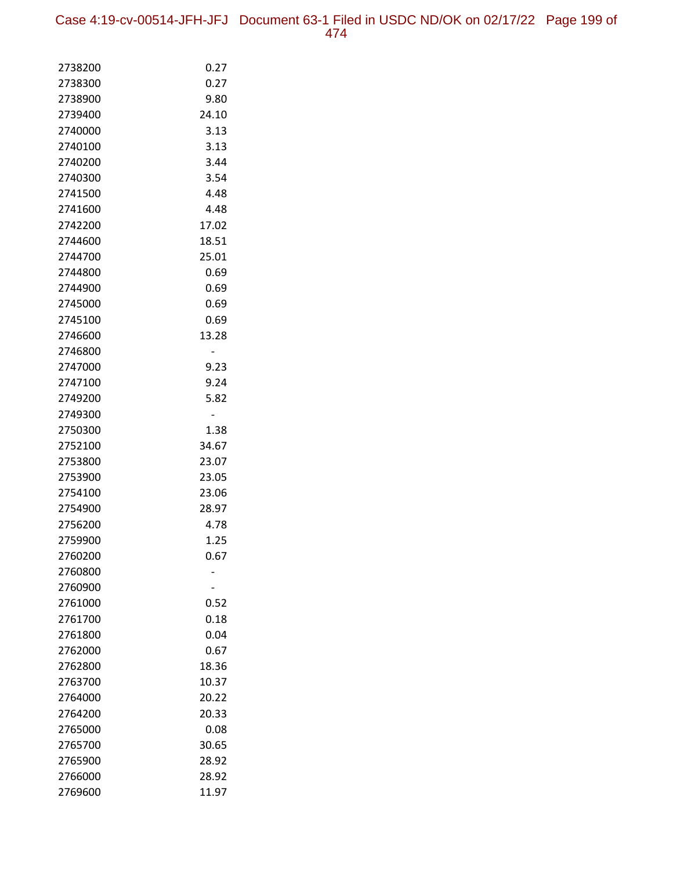Case 4:19-cv-00514-JFH-JFJ Document 63-1 Filed in USDC ND/OK on 02/17/22 Page 199 of 474

| 2738200            | 0.27         |
|--------------------|--------------|
| 2738300            | 0.27         |
| 2738900            | 9.80         |
| 2739400            | 24.10        |
| 2740000            | 3.13         |
| 2740100            | 3.13         |
| 2740200            | 3.44         |
| 2740300            | 3.54         |
| 2741500            | 4.48         |
| 2741600            | 4.48         |
| 2742200            | 17.02        |
| 2744600            | 18.51        |
| 2744700            | 25.01        |
| 2744800            | 0.69         |
| 2744900            | 0.69         |
| 2745000            | 0.69         |
| 2745100            | 0.69         |
| 2746600            | 13.28        |
| 2746800            |              |
| 2747000            | 9.23         |
| 2747100            | 9.24         |
| 2749200            | 5.82         |
| 2749300            |              |
| 2750300            | 1.38         |
| 2752100            | 34.67        |
| 2753800            | 23.07        |
| 2753900            | 23.05        |
| 2754100            | 23.06        |
| 2754900            | 28.97        |
| 2756200            | 4.78         |
| 2759900            | 1.25         |
| 2760200            | 0.67         |
| 2760800            |              |
| 2760900            |              |
| 2761000<br>2761700 | 0.52<br>0.18 |
| 2761800            | 0.04         |
| 2762000            | 0.67         |
| 2762800            | 18.36        |
| 2763700            | 10.37        |
| 2764000            | 20.22        |
| 2764200            | 20.33        |
| 2765000            | 0.08         |
| 2765700            | 30.65        |
| 2765900            | 28.92        |
| 2766000            | 28.92        |
| 2769600            | 11.97        |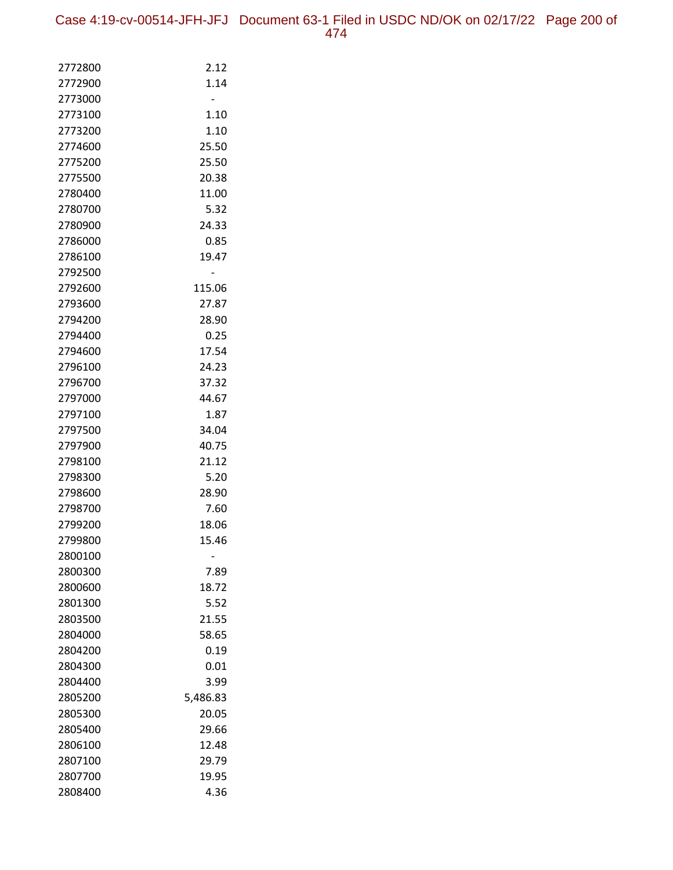| 2772800 | 2.12     |
|---------|----------|
| 2772900 | 1.14     |
| 2773000 |          |
| 2773100 | 1.10     |
| 2773200 | 1.10     |
| 2774600 | 25.50    |
| 2775200 | 25.50    |
| 2775500 | 20.38    |
| 2780400 | 11.00    |
| 2780700 | 5.32     |
| 2780900 | 24.33    |
| 2786000 | 0.85     |
| 2786100 | 19.47    |
| 2792500 |          |
| 2792600 | 115.06   |
| 2793600 | 27.87    |
| 2794200 | 28.90    |
| 2794400 | 0.25     |
| 2794600 | 17.54    |
| 2796100 | 24.23    |
| 2796700 | 37.32    |
| 2797000 | 44.67    |
| 2797100 | 1.87     |
| 2797500 | 34.04    |
| 2797900 | 40.75    |
| 2798100 | 21.12    |
| 2798300 | 5.20     |
| 2798600 | 28.90    |
| 2798700 | 7.60     |
| 2799200 | 18.06    |
| 2799800 | 15.46    |
| 2800100 |          |
| 2800300 | 7.89     |
| 2800600 | 18.72    |
| 2801300 | 5.52     |
| 2803500 | 21.55    |
| 2804000 | 58.65    |
| 2804200 | 0.19     |
| 2804300 | 0.01     |
| 2804400 | 3.99     |
| 2805200 | 5,486.83 |
| 2805300 | 20.05    |
| 2805400 | 29.66    |
| 2806100 | 12.48    |
| 2807100 | 29.79    |
| 2807700 | 19.95    |
| 2808400 | 4.36     |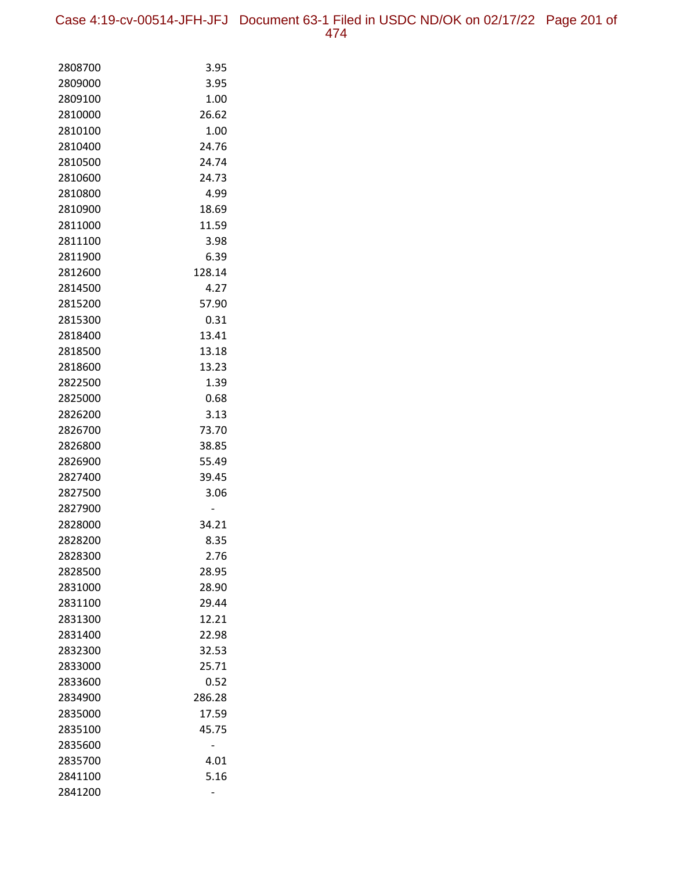Case 4:19-cv-00514-JFH-JFJ Document 63-1 Filed in USDC ND/OK on 02/17/22 Page 201 of 474

| 2808700 | 3.95   |
|---------|--------|
| 2809000 | 3.95   |
| 2809100 | 1.00   |
| 2810000 | 26.62  |
| 2810100 | 1.00   |
| 2810400 | 24.76  |
| 2810500 | 24.74  |
| 2810600 | 24.73  |
| 2810800 | 4.99   |
| 2810900 | 18.69  |
| 2811000 | 11.59  |
| 2811100 | 3.98   |
| 2811900 | 6.39   |
| 2812600 | 128.14 |
| 2814500 | 4.27   |
| 2815200 | 57.90  |
| 2815300 | 0.31   |
| 2818400 | 13.41  |
| 2818500 | 13.18  |
| 2818600 | 13.23  |
| 2822500 | 1.39   |
| 2825000 | 0.68   |
| 2826200 | 3.13   |
| 2826700 | 73.70  |
| 2826800 | 38.85  |
| 2826900 | 55.49  |
| 2827400 | 39.45  |
| 2827500 | 3.06   |
| 2827900 |        |
| 2828000 | 34.21  |
| 2828200 | 8.35   |
| 2828300 | 2.76   |
| 2828500 | 28.95  |
| 2831000 | 28.90  |
| 2831100 | 29.44  |
| 2831300 | 12.21  |
| 2831400 | 22.98  |
| 2832300 | 32.53  |
| 2833000 | 25.71  |
| 2833600 | 0.52   |
| 2834900 | 286.28 |
| 2835000 | 17.59  |
| 2835100 | 45.75  |
| 2835600 |        |
| 2835700 | 4.01   |
| 2841100 | 5.16   |
| 2841200 |        |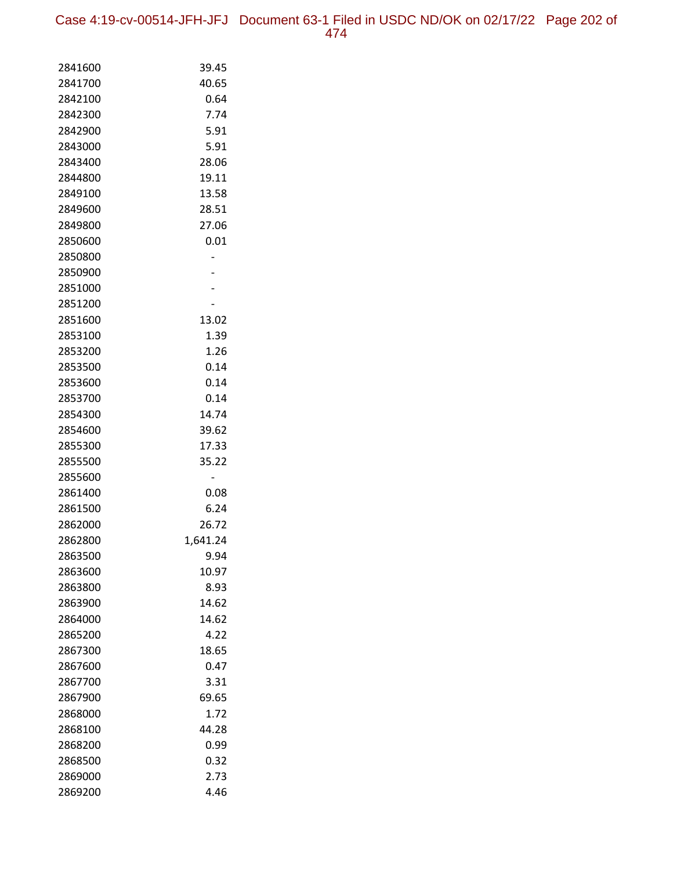Case 4:19-cv-00514-JFH-JFJ Document 63-1 Filed in USDC ND/OK on 02/17/22 Page 202 of 474

| 2841600            | 39.45        |
|--------------------|--------------|
| 2841700            | 40.65        |
| 2842100            | 0.64         |
| 2842300            | 7.74         |
| 2842900            | 5.91         |
| 2843000            | 5.91         |
| 2843400            | 28.06        |
| 2844800            | 19.11        |
| 2849100            | 13.58        |
| 2849600            | 28.51        |
| 2849800            | 27.06        |
| 2850600            | 0.01         |
| 2850800            |              |
| 2850900            |              |
| 2851000            |              |
| 2851200            |              |
| 2851600            | 13.02        |
| 2853100            | 1.39<br>1.26 |
| 2853200<br>2853500 | 0.14         |
| 2853600            | 0.14         |
| 2853700            | 0.14         |
| 2854300            | 14.74        |
| 2854600            | 39.62        |
| 2855300            | 17.33        |
| 2855500            | 35.22        |
| 2855600            |              |
| 2861400            | 0.08         |
| 2861500            | 6.24         |
| 2862000            | 26.72        |
| 2862800            | 1,641.24     |
| 2863500            | 9.94         |
| 2863600            | 10.97        |
| 2863800            | 8.93         |
| 2863900            | 14.62        |
| 2864000            | 14.62        |
| 2865200            | 4.22         |
| 2867300            | 18.65        |
| 2867600            | 0.47         |
| 2867700            | 3.31         |
| 2867900            | 69.65        |
| 2868000            | 1.72         |
| 2868100            | 44.28        |
| 2868200            | 0.99         |
| 2868500            | 0.32         |
| 2869000            | 2.73         |
| 2869200            | 4.46         |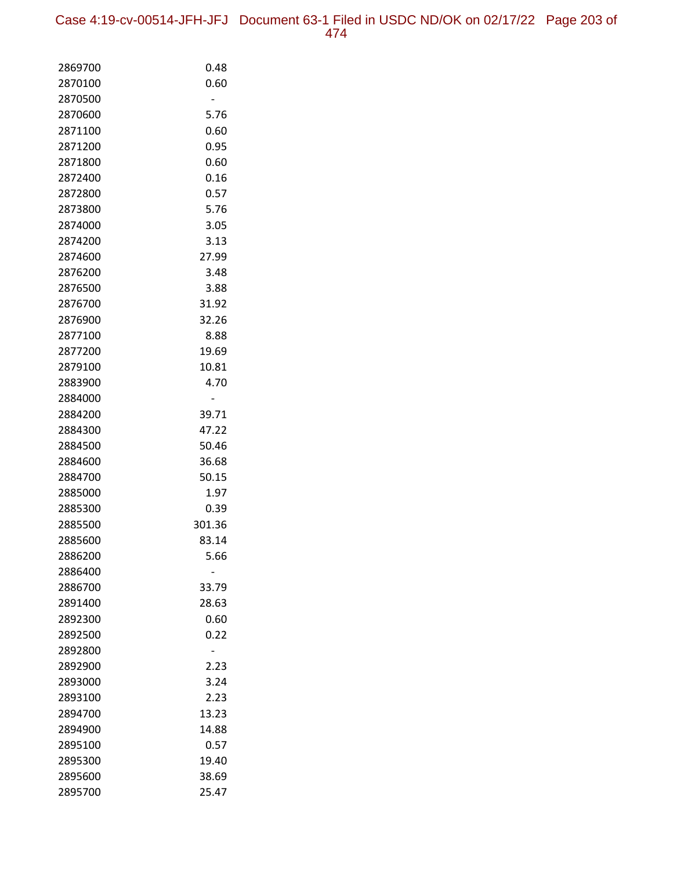Case 4:19-cv-00514-JFH-JFJ Document 63-1 Filed in USDC ND/OK on 02/17/22 Page 203 of 474

| 2869700            | 0.48   |
|--------------------|--------|
| 2870100            | 0.60   |
| 2870500            |        |
| 2870600            | 5.76   |
| 2871100            | 0.60   |
| 2871200            | 0.95   |
| 2871800            | 0.60   |
| 2872400            | 0.16   |
| 2872800            | 0.57   |
| 2873800            | 5.76   |
| 2874000            | 3.05   |
| 2874200            | 3.13   |
| 2874600            | 27.99  |
| 2876200            | 3.48   |
| 2876500            | 3.88   |
| 2876700            | 31.92  |
| 2876900            | 32.26  |
| 2877100            | 8.88   |
| 2877200            | 19.69  |
| 2879100            | 10.81  |
| 2883900            | 4.70   |
| 2884000            |        |
| 2884200            | 39.71  |
| 2884300            | 47.22  |
| 2884500            | 50.46  |
| 2884600            | 36.68  |
| 2884700            | 50.15  |
| 2885000            | 1.97   |
| 2885300            | 0.39   |
| 2885500            | 301.36 |
| 2885600            | 83.14  |
| 2886200            | 5.66   |
| 2886400            | 33.79  |
| 2886700<br>2891400 | 28.63  |
| 2892300            | 0.60   |
| 2892500            | 0.22   |
| 2892800            |        |
| 2892900            | 2.23   |
| 2893000            | 3.24   |
| 2893100            | 2.23   |
| 2894700            | 13.23  |
| 2894900            | 14.88  |
| 2895100            | 0.57   |
| 2895300            | 19.40  |
| 2895600            | 38.69  |
| 2895700            | 25.47  |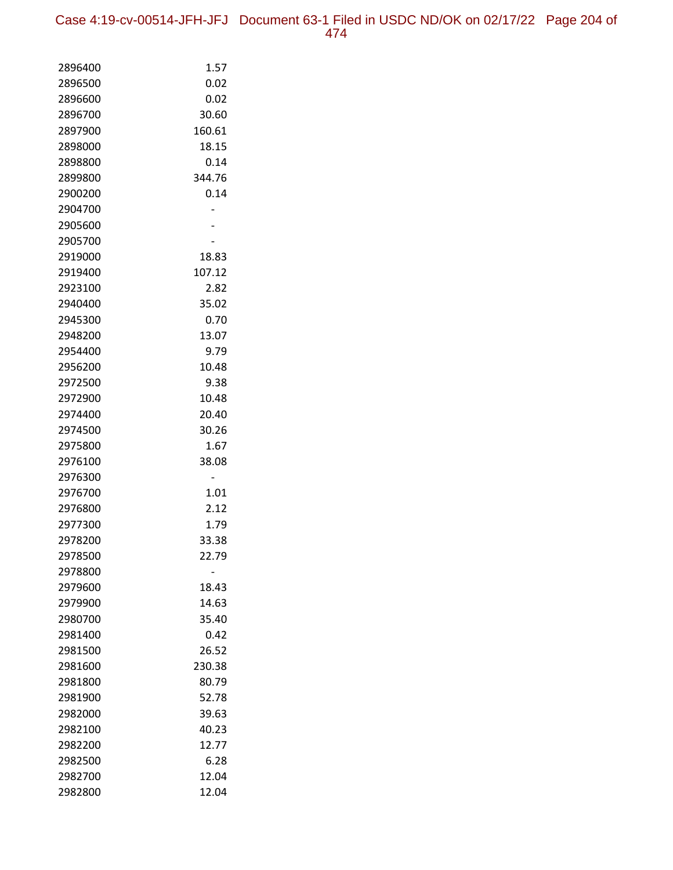Case 4:19-cv-00514-JFH-JFJ Document 63-1 Filed in USDC ND/OK on 02/17/22 Page 204 of 474

| 2896400            | 1.57   |
|--------------------|--------|
| 2896500            | 0.02   |
| 2896600            | 0.02   |
| 2896700            | 30.60  |
| 2897900            | 160.61 |
| 2898000            | 18.15  |
| 2898800            | 0.14   |
| 2899800            | 344.76 |
| 2900200            | 0.14   |
| 2904700            |        |
| 2905600            |        |
| 2905700            |        |
| 2919000            | 18.83  |
| 2919400            | 107.12 |
| 2923100            | 2.82   |
| 2940400            | 35.02  |
| 2945300            | 0.70   |
| 2948200            | 13.07  |
| 2954400            | 9.79   |
| 2956200            | 10.48  |
| 2972500            | 9.38   |
| 2972900            | 10.48  |
| 2974400            | 20.40  |
| 2974500            | 30.26  |
| 2975800            | 1.67   |
| 2976100            | 38.08  |
| 2976300            |        |
| 2976700            | 1.01   |
| 2976800            | 2.12   |
| 2977300            | 1.79   |
| 2978200            | 33.38  |
| 2978500            | 22.79  |
| 2978800<br>2979600 | 18.43  |
| 2979900            | 14.63  |
| 2980700            | 35.40  |
| 2981400            | 0.42   |
| 2981500            | 26.52  |
| 2981600            | 230.38 |
| 2981800            | 80.79  |
| 2981900            | 52.78  |
| 2982000            | 39.63  |
| 2982100            | 40.23  |
| 2982200            | 12.77  |
| 2982500            | 6.28   |
| 2982700            | 12.04  |
| 2982800            | 12.04  |
|                    |        |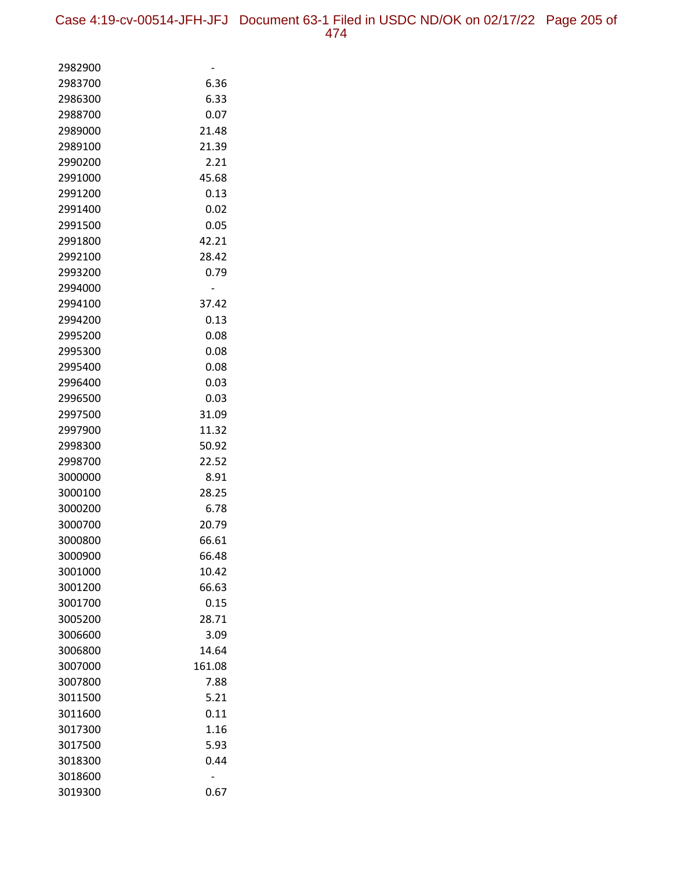| 2982900 |        |
|---------|--------|
| 2983700 | 6.36   |
| 2986300 | 6.33   |
| 2988700 | 0.07   |
| 2989000 | 21.48  |
| 2989100 | 21.39  |
| 2990200 | 2.21   |
| 2991000 | 45.68  |
| 2991200 | 0.13   |
| 2991400 | 0.02   |
| 2991500 | 0.05   |
| 2991800 | 42.21  |
| 2992100 | 28.42  |
| 2993200 | 0.79   |
| 2994000 |        |
| 2994100 | 37.42  |
| 2994200 | 0.13   |
| 2995200 | 0.08   |
| 2995300 | 0.08   |
| 2995400 | 0.08   |
| 2996400 | 0.03   |
| 2996500 | 0.03   |
| 2997500 | 31.09  |
| 2997900 | 11.32  |
| 2998300 | 50.92  |
| 2998700 | 22.52  |
| 3000000 | 8.91   |
| 3000100 | 28.25  |
| 3000200 | 6.78   |
| 3000700 | 20.79  |
| 3000800 | 66.61  |
| 3000900 | 66.48  |
| 3001000 | 10.42  |
| 3001200 | 66.63  |
| 3001700 | 0.15   |
| 3005200 | 28.71  |
| 3006600 | 3.09   |
| 3006800 | 14.64  |
| 3007000 | 161.08 |
| 3007800 | 7.88   |
| 3011500 | 5.21   |
| 3011600 | 0.11   |
| 3017300 | 1.16   |
| 3017500 | 5.93   |
| 3018300 | 0.44   |
| 3018600 |        |
| 3019300 | 0.67   |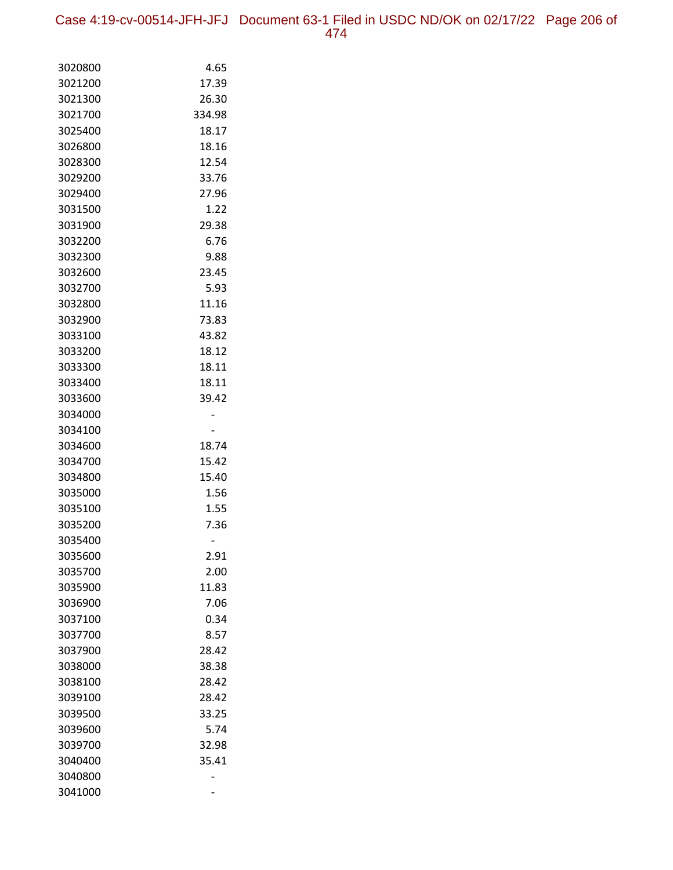Case 4:19-cv-00514-JFH-JFJ Document 63-1 Filed in USDC ND/OK on 02/17/22 Page 206 of 474

| 3020800 | 4.65   |
|---------|--------|
| 3021200 | 17.39  |
| 3021300 | 26.30  |
| 3021700 | 334.98 |
| 3025400 | 18.17  |
| 3026800 | 18.16  |
| 3028300 | 12.54  |
| 3029200 | 33.76  |
| 3029400 | 27.96  |
| 3031500 | 1.22   |
| 3031900 | 29.38  |
| 3032200 | 6.76   |
| 3032300 | 9.88   |
| 3032600 | 23.45  |
| 3032700 | 5.93   |
| 3032800 | 11.16  |
| 3032900 | 73.83  |
| 3033100 | 43.82  |
| 3033200 | 18.12  |
| 3033300 | 18.11  |
| 3033400 | 18.11  |
| 3033600 | 39.42  |
| 3034000 |        |
| 3034100 |        |
| 3034600 | 18.74  |
| 3034700 | 15.42  |
| 3034800 | 15.40  |
| 3035000 | 1.56   |
| 3035100 | 1.55   |
| 3035200 | 7.36   |
| 3035400 |        |
| 3035600 | 2.91   |
| 3035700 | 2.00   |
| 3035900 | 11.83  |
| 3036900 | 7.06   |
| 3037100 | 0.34   |
| 3037700 | 8.57   |
| 3037900 | 28.42  |
| 3038000 | 38.38  |
| 3038100 | 28.42  |
| 3039100 | 28.42  |
| 3039500 | 33.25  |
| 3039600 | 5.74   |
| 3039700 | 32.98  |
| 3040400 | 35.41  |
| 3040800 |        |
| 3041000 |        |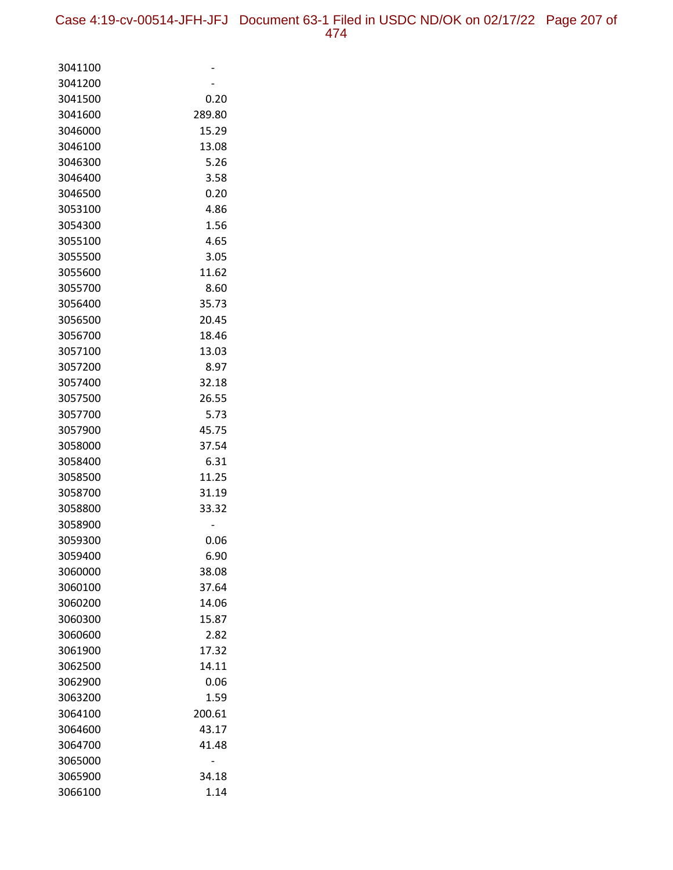| 3041100            |        |
|--------------------|--------|
| 3041200            |        |
| 3041500            | 0.20   |
| 3041600            | 289.80 |
| 3046000            | 15.29  |
| 3046100            | 13.08  |
| 3046300            | 5.26   |
| 3046400            | 3.58   |
| 3046500            | 0.20   |
| 3053100            | 4.86   |
| 3054300            | 1.56   |
| 3055100            | 4.65   |
| 3055500            | 3.05   |
| 3055600            | 11.62  |
| 3055700            | 8.60   |
| 3056400            | 35.73  |
| 3056500            | 20.45  |
| 3056700            | 18.46  |
| 3057100            | 13.03  |
| 3057200            | 8.97   |
| 3057400            | 32.18  |
| 3057500            | 26.55  |
| 3057700            | 5.73   |
| 3057900            | 45.75  |
| 3058000            | 37.54  |
| 3058400            | 6.31   |
| 3058500            | 11.25  |
| 3058700            | 31.19  |
| 3058800            | 33.32  |
| 3058900            |        |
| 3059300            | 0.06   |
| 3059400            | 6.90   |
| 3060000            | 38.08  |
| 3060100            | 37.64  |
| 3060200            | 14.06  |
| 3060300            | 15.87  |
| 3060600            | 2.82   |
| 3061900            | 17.32  |
| 3062500            | 14.11  |
| 3062900            | 0.06   |
| 3063200            | 1.59   |
| 3064100            | 200.61 |
| 3064600<br>3064700 | 43.17  |
|                    | 41.48  |
| 3065000            |        |
| 3065900            | 34.18  |
| 3066100            | 1.14   |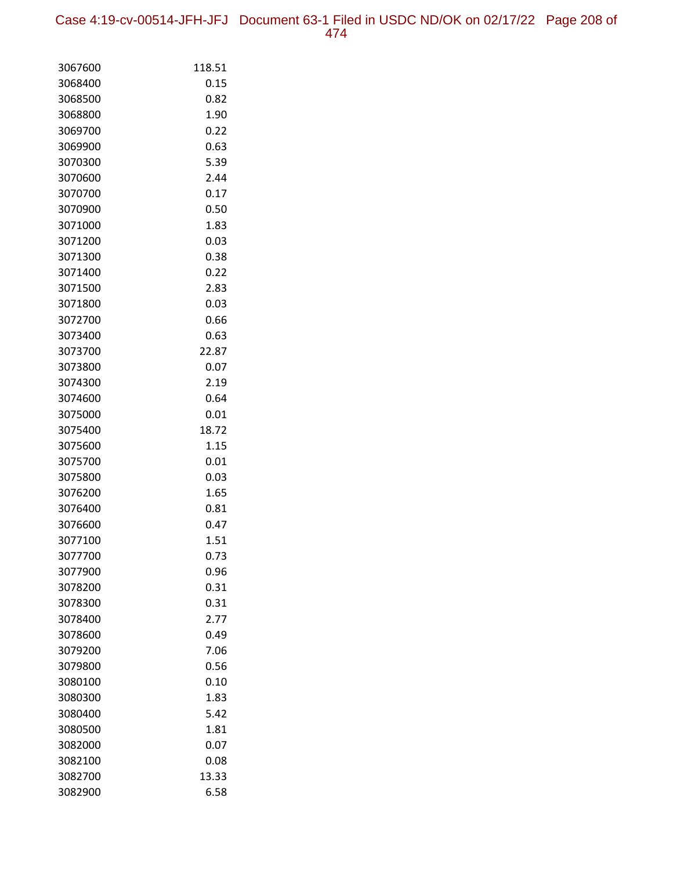| 3067600 | 118.51 |
|---------|--------|
| 3068400 | 0.15   |
| 3068500 | 0.82   |
| 3068800 | 1.90   |
| 3069700 | 0.22   |
| 3069900 | 0.63   |
| 3070300 | 5.39   |
| 3070600 | 2.44   |
| 3070700 | 0.17   |
| 3070900 | 0.50   |
| 3071000 | 1.83   |
| 3071200 | 0.03   |
| 3071300 | 0.38   |
| 3071400 | 0.22   |
| 3071500 | 2.83   |
| 3071800 | 0.03   |
| 3072700 | 0.66   |
| 3073400 | 0.63   |
| 3073700 | 22.87  |
| 3073800 | 0.07   |
| 3074300 | 2.19   |
| 3074600 | 0.64   |
| 3075000 | 0.01   |
| 3075400 | 18.72  |
| 3075600 | 1.15   |
| 3075700 | 0.01   |
| 3075800 | 0.03   |
| 3076200 | 1.65   |
| 3076400 | 0.81   |
| 3076600 | 0.47   |
| 3077100 | 1.51   |
| 3077700 | 0.73   |
| 3077900 | 0.96   |
| 3078200 | 0.31   |
| 3078300 | 0.31   |
| 3078400 | 2.77   |
| 3078600 | 0.49   |
| 3079200 | 7.06   |
| 3079800 | 0.56   |
| 3080100 | 0.10   |
| 3080300 | 1.83   |
| 3080400 | 5.42   |
| 3080500 | 1.81   |
| 3082000 | 0.07   |
| 3082100 | 0.08   |
| 3082700 | 13.33  |
| 3082900 | 6.58   |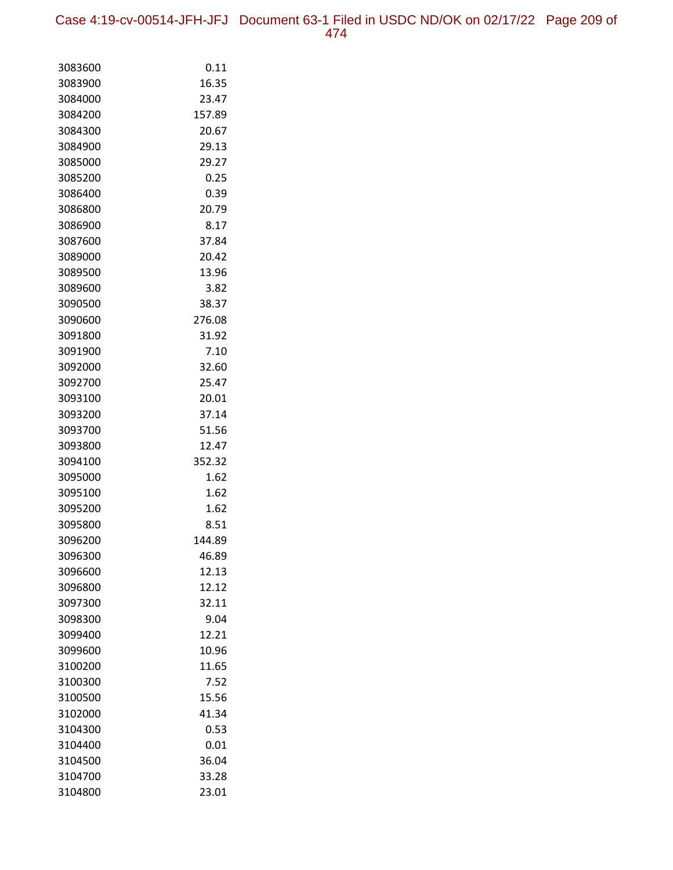Case 4:19-cv-00514-JFH-JFJ Document 63-1 Filed in USDC ND/OK on 02/17/22 Page 209 of 474

| 3083600            | 0.11          |
|--------------------|---------------|
| 3083900            | 16.35         |
| 3084000            | 23.47         |
| 3084200            | 157.89        |
| 3084300            | 20.67         |
| 3084900            | 29.13         |
| 3085000            | 29.27         |
| 3085200            | 0.25          |
| 3086400            | 0.39          |
| 3086800            | 20.79         |
| 3086900            | 8.17          |
| 3087600            | 37.84         |
| 3089000            | 20.42         |
| 3089500            | 13.96         |
| 3089600            | 3.82          |
| 3090500            | 38.37         |
| 3090600            | 276.08        |
| 3091800            | 31.92         |
| 3091900            | 7.10          |
| 3092000            | 32.60         |
| 3092700            | 25.47         |
| 3093100            | 20.01         |
| 3093200            | 37.14         |
| 3093700            | 51.56         |
| 3093800            | 12.47         |
| 3094100            | 352.32        |
| 3095000            | 1.62          |
| 3095100            | 1.62          |
| 3095200            | 1.62          |
| 3095800            | 8.51          |
| 3096200            | 144.89        |
| 3096300            | 46.89         |
| 3096600            | 12.13         |
| 3096800            | 12.12         |
| 3097300            | 32.11         |
| 3098300            | 9.04          |
| 3099400            | 12.21         |
| 3099600            | 10.96         |
| 3100200            | 11.65         |
| 3100300            | 7.52          |
| 3100500            | 15.56         |
| 3102000            | 41.34         |
| 3104300            | 0.53          |
| 3104400<br>3104500 | 0.01<br>36.04 |
|                    |               |
| 3104700            | 33.28         |
| 3104800            | 23.01         |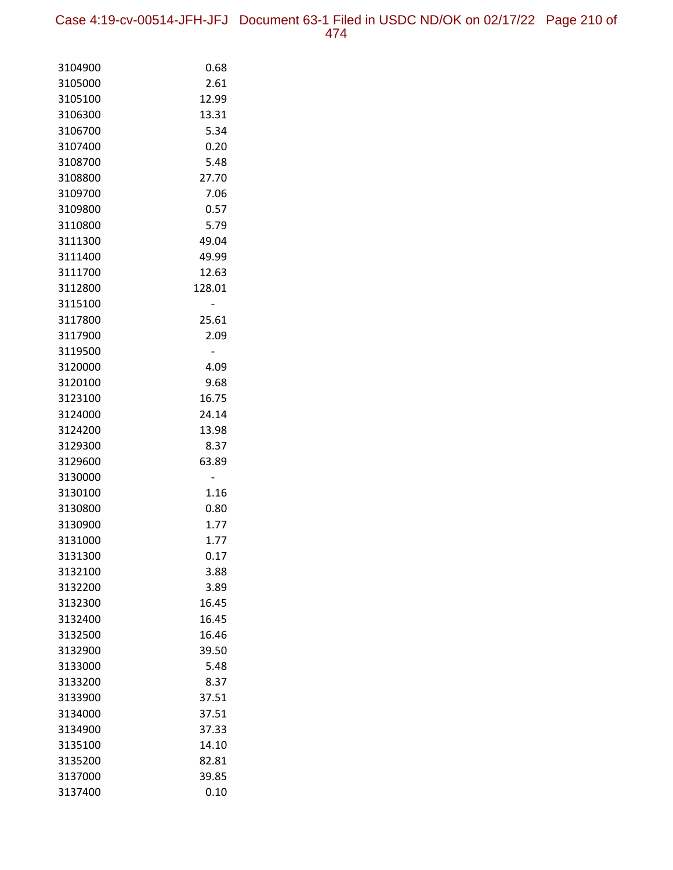| 3104900 | 0.68   |
|---------|--------|
| 3105000 | 2.61   |
| 3105100 | 12.99  |
| 3106300 | 13.31  |
| 3106700 | 5.34   |
| 3107400 | 0.20   |
| 3108700 | 5.48   |
| 3108800 | 27.70  |
| 3109700 | 7.06   |
| 3109800 | 0.57   |
| 3110800 | 5.79   |
| 3111300 | 49.04  |
| 3111400 | 49.99  |
| 3111700 | 12.63  |
| 3112800 | 128.01 |
| 3115100 |        |
| 3117800 | 25.61  |
| 3117900 | 2.09   |
| 3119500 |        |
| 3120000 | 4.09   |
| 3120100 | 9.68   |
| 3123100 | 16.75  |
| 3124000 | 24.14  |
| 3124200 | 13.98  |
| 3129300 | 8.37   |
| 3129600 | 63.89  |
| 3130000 |        |
| 3130100 | 1.16   |
| 3130800 | 0.80   |
| 3130900 | 1.77   |
| 3131000 | 1.77   |
| 3131300 | 0.17   |
| 3132100 | 3.88   |
| 3132200 | 3.89   |
| 3132300 | 16.45  |
| 3132400 | 16.45  |
| 3132500 | 16.46  |
| 3132900 | 39.50  |
| 3133000 | 5.48   |
| 3133200 | 8.37   |
| 3133900 | 37.51  |
| 3134000 | 37.51  |
| 3134900 | 37.33  |
| 3135100 | 14.10  |
| 3135200 | 82.81  |
| 3137000 | 39.85  |
| 3137400 | 0.10   |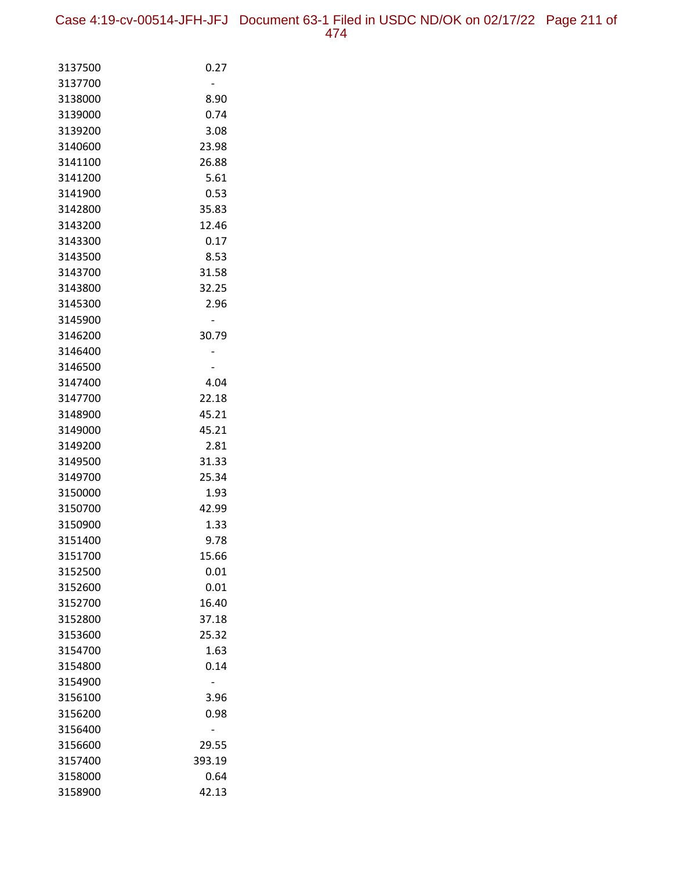| 3137500            | 0.27   |
|--------------------|--------|
| 3137700            |        |
| 3138000            | 8.90   |
| 3139000            | 0.74   |
| 3139200            | 3.08   |
| 3140600            | 23.98  |
| 3141100            | 26.88  |
| 3141200            | 5.61   |
| 3141900            | 0.53   |
| 3142800            | 35.83  |
| 3143200            | 12.46  |
| 3143300            | 0.17   |
| 3143500            | 8.53   |
| 3143700            | 31.58  |
| 3143800            | 32.25  |
| 3145300            | 2.96   |
| 3145900<br>3146200 | 30.79  |
| 3146400            |        |
| 3146500            |        |
| 3147400            | 4.04   |
| 3147700            | 22.18  |
| 3148900            | 45.21  |
| 3149000            | 45.21  |
| 3149200            | 2.81   |
| 3149500            | 31.33  |
| 3149700            | 25.34  |
| 3150000            | 1.93   |
| 3150700            | 42.99  |
| 3150900            | 1.33   |
| 3151400            | 9.78   |
| 3151700            | 15.66  |
| 3152500            | 0.01   |
| 3152600            | 0.01   |
| 3152700            | 16.40  |
| 3152800            | 37.18  |
| 3153600            | 25.32  |
| 3154700            | 1.63   |
| 3154800            | 0.14   |
| 3154900            |        |
| 3156100            | 3.96   |
| 3156200            | 0.98   |
| 3156400            |        |
| 3156600            | 29.55  |
| 3157400            | 393.19 |
| 3158000            | 0.64   |
| 3158900            | 42.13  |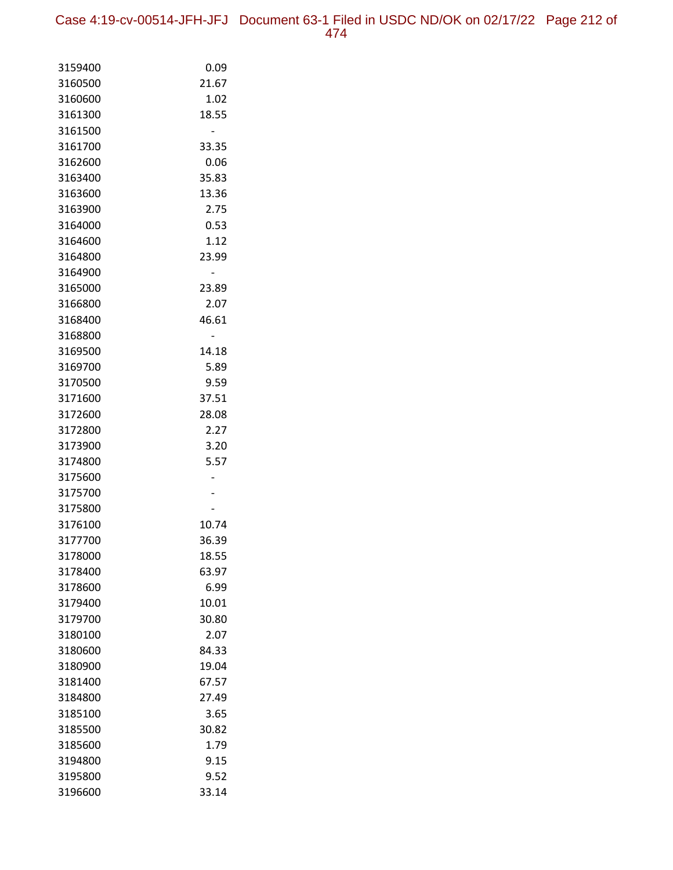Case 4:19-cv-00514-JFH-JFJ Document 63-1 Filed in USDC ND/OK on 02/17/22 Page 212 of 474

| 3159400 | 0.09  |
|---------|-------|
| 3160500 | 21.67 |
| 3160600 | 1.02  |
| 3161300 | 18.55 |
| 3161500 |       |
| 3161700 | 33.35 |
| 3162600 | 0.06  |
| 3163400 | 35.83 |
| 3163600 | 13.36 |
| 3163900 | 2.75  |
| 3164000 | 0.53  |
| 3164600 | 1.12  |
| 3164800 | 23.99 |
| 3164900 |       |
| 3165000 | 23.89 |
| 3166800 | 2.07  |
| 3168400 | 46.61 |
| 3168800 |       |
| 3169500 | 14.18 |
| 3169700 | 5.89  |
| 3170500 | 9.59  |
| 3171600 | 37.51 |
| 3172600 | 28.08 |
| 3172800 | 2.27  |
| 3173900 | 3.20  |
| 3174800 | 5.57  |
| 3175600 |       |
| 3175700 |       |
| 3175800 |       |
| 3176100 | 10.74 |
| 3177700 | 36.39 |
| 3178000 | 18.55 |
| 3178400 | 63.97 |
| 3178600 | 6.99  |
| 3179400 | 10.01 |
| 3179700 | 30.80 |
| 3180100 | 2.07  |
| 3180600 | 84.33 |
| 3180900 | 19.04 |
| 3181400 | 67.57 |
| 3184800 | 27.49 |
| 3185100 | 3.65  |
| 3185500 | 30.82 |
| 3185600 | 1.79  |
| 3194800 | 9.15  |
| 3195800 | 9.52  |
| 3196600 | 33.14 |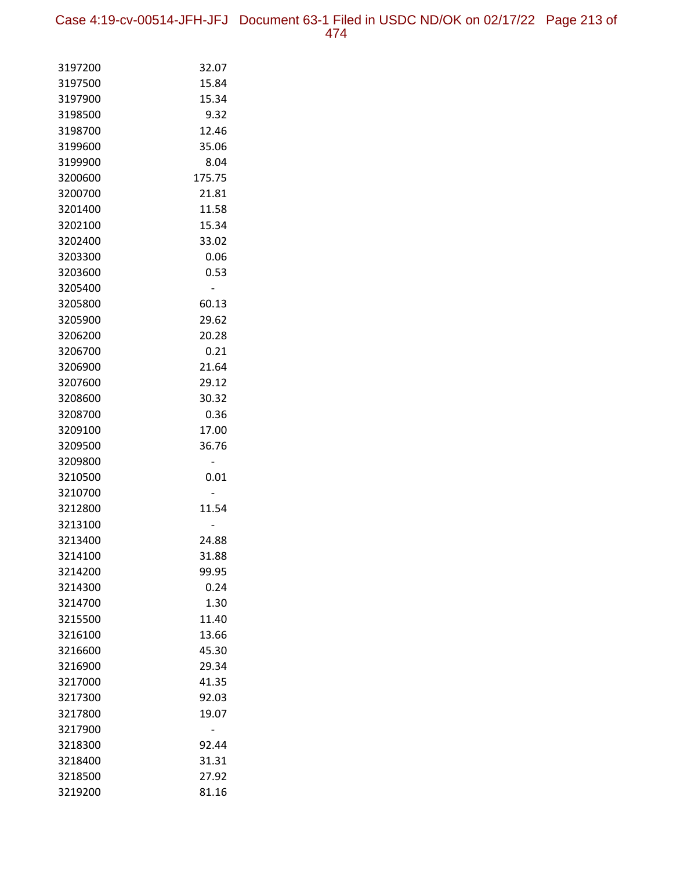Case 4:19-cv-00514-JFH-JFJ Document 63-1 Filed in USDC ND/OK on 02/17/22 Page 213 of 474

| 3197200 | 32.07  |
|---------|--------|
| 3197500 | 15.84  |
| 3197900 | 15.34  |
| 3198500 | 9.32   |
| 3198700 | 12.46  |
| 3199600 | 35.06  |
| 3199900 | 8.04   |
| 3200600 | 175.75 |
| 3200700 | 21.81  |
| 3201400 | 11.58  |
| 3202100 | 15.34  |
| 3202400 | 33.02  |
| 3203300 | 0.06   |
| 3203600 | 0.53   |
| 3205400 |        |
| 3205800 | 60.13  |
| 3205900 | 29.62  |
| 3206200 | 20.28  |
| 3206700 | 0.21   |
| 3206900 | 21.64  |
| 3207600 | 29.12  |
| 3208600 | 30.32  |
| 3208700 | 0.36   |
| 3209100 | 17.00  |
| 3209500 | 36.76  |
| 3209800 |        |
| 3210500 | 0.01   |
| 3210700 |        |
| 3212800 | 11.54  |
| 3213100 |        |
| 3213400 | 24.88  |
| 3214100 | 31.88  |
| 3214200 | 99.95  |
| 3214300 | 0.24   |
| 3214700 | 1.30   |
| 3215500 | 11.40  |
| 3216100 | 13.66  |
| 3216600 | 45.30  |
| 3216900 | 29.34  |
| 3217000 | 41.35  |
| 3217300 | 92.03  |
| 3217800 | 19.07  |
| 3217900 |        |
| 3218300 | 92.44  |
| 3218400 | 31.31  |
| 3218500 | 27.92  |
| 3219200 | 81.16  |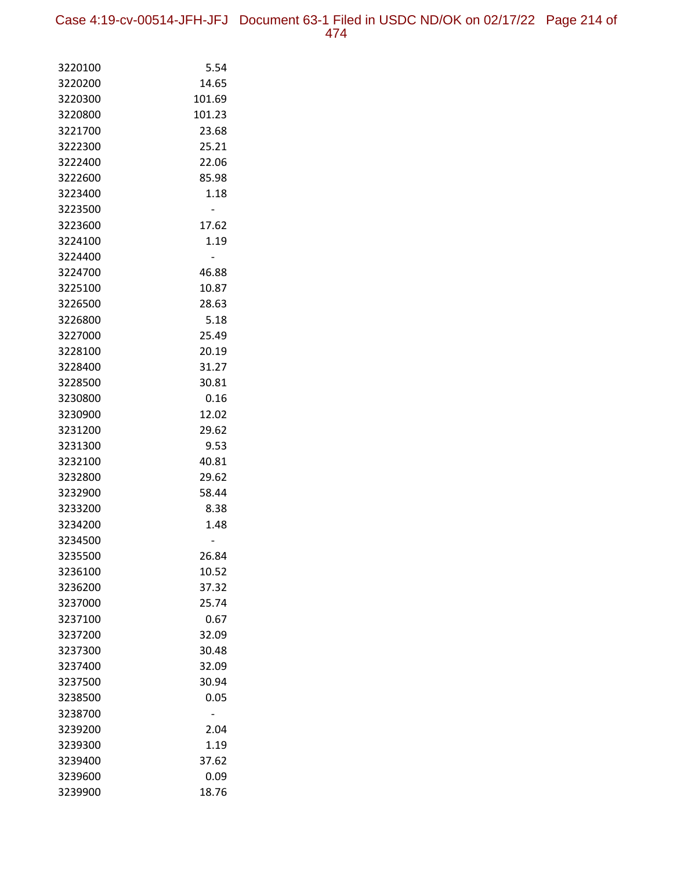| 3220100            | 5.54   |
|--------------------|--------|
| 3220200            | 14.65  |
| 3220300            | 101.69 |
| 3220800            | 101.23 |
| 3221700            | 23.68  |
| 3222300            | 25.21  |
| 3222400            | 22.06  |
| 3222600            | 85.98  |
| 3223400            | 1.18   |
| 3223500            |        |
| 3223600            | 17.62  |
| 3224100            | 1.19   |
| 3224400            |        |
| 3224700            | 46.88  |
| 3225100            | 10.87  |
| 3226500            | 28.63  |
| 3226800            | 5.18   |
| 3227000            | 25.49  |
| 3228100            | 20.19  |
| 3228400            | 31.27  |
| 3228500            | 30.81  |
| 3230800            | 0.16   |
| 3230900            | 12.02  |
| 3231200            | 29.62  |
| 3231300            | 9.53   |
| 3232100            | 40.81  |
| 3232800            | 29.62  |
| 3232900            | 58.44  |
| 3233200            | 8.38   |
| 3234200<br>3234500 | 1.48   |
| 3235500            | 26.84  |
| 3236100            | 10.52  |
| 3236200            | 37.32  |
| 3237000            | 25.74  |
| 3237100            | 0.67   |
| 3237200            | 32.09  |
| 3237300            | 30.48  |
| 3237400            | 32.09  |
| 3237500            | 30.94  |
| 3238500            | 0.05   |
| 3238700            |        |
| 3239200            | 2.04   |
| 3239300            | 1.19   |
| 3239400            | 37.62  |
| 3239600            | 0.09   |
| 3239900            | 18.76  |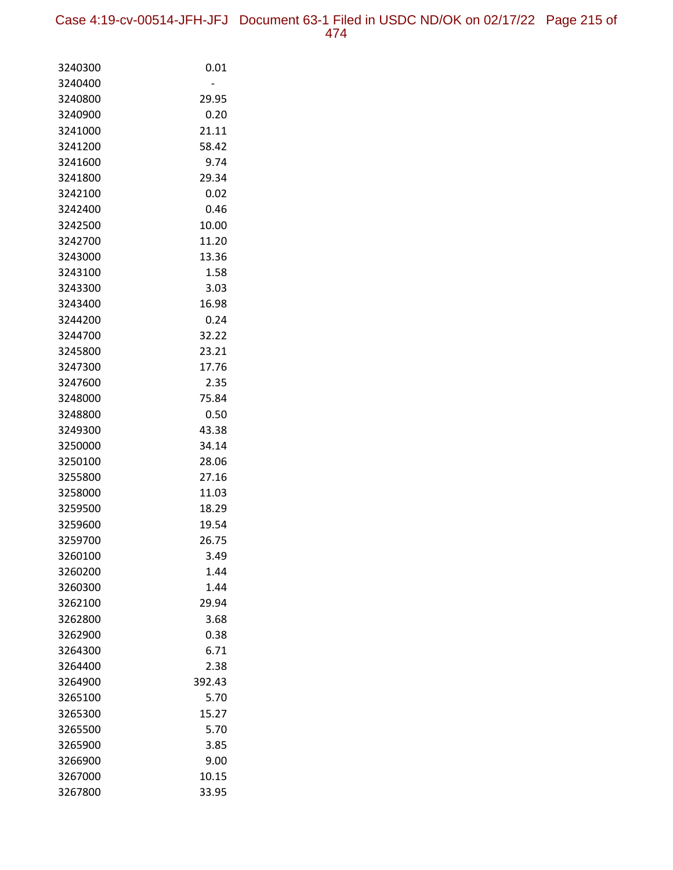| 3240300 | 0.01   |
|---------|--------|
| 3240400 |        |
| 3240800 | 29.95  |
| 3240900 | 0.20   |
| 3241000 | 21.11  |
| 3241200 | 58.42  |
| 3241600 | 9.74   |
| 3241800 | 29.34  |
| 3242100 | 0.02   |
| 3242400 | 0.46   |
| 3242500 | 10.00  |
| 3242700 | 11.20  |
| 3243000 | 13.36  |
| 3243100 | 1.58   |
| 3243300 | 3.03   |
| 3243400 | 16.98  |
| 3244200 | 0.24   |
| 3244700 | 32.22  |
| 3245800 | 23.21  |
| 3247300 | 17.76  |
| 3247600 | 2.35   |
| 3248000 | 75.84  |
| 3248800 | 0.50   |
| 3249300 | 43.38  |
| 3250000 | 34.14  |
| 3250100 | 28.06  |
| 3255800 | 27.16  |
| 3258000 | 11.03  |
| 3259500 | 18.29  |
| 3259600 | 19.54  |
| 3259700 | 26.75  |
| 3260100 | 3.49   |
| 3260200 | 1.44   |
| 3260300 | 1.44   |
| 3262100 | 29.94  |
| 3262800 | 3.68   |
| 3262900 | 0.38   |
| 3264300 | 6.71   |
| 3264400 | 2.38   |
| 3264900 | 392.43 |
| 3265100 | 5.70   |
| 3265300 | 15.27  |
| 3265500 | 5.70   |
| 3265900 | 3.85   |
| 3266900 | 9.00   |
| 3267000 | 10.15  |
| 3267800 | 33.95  |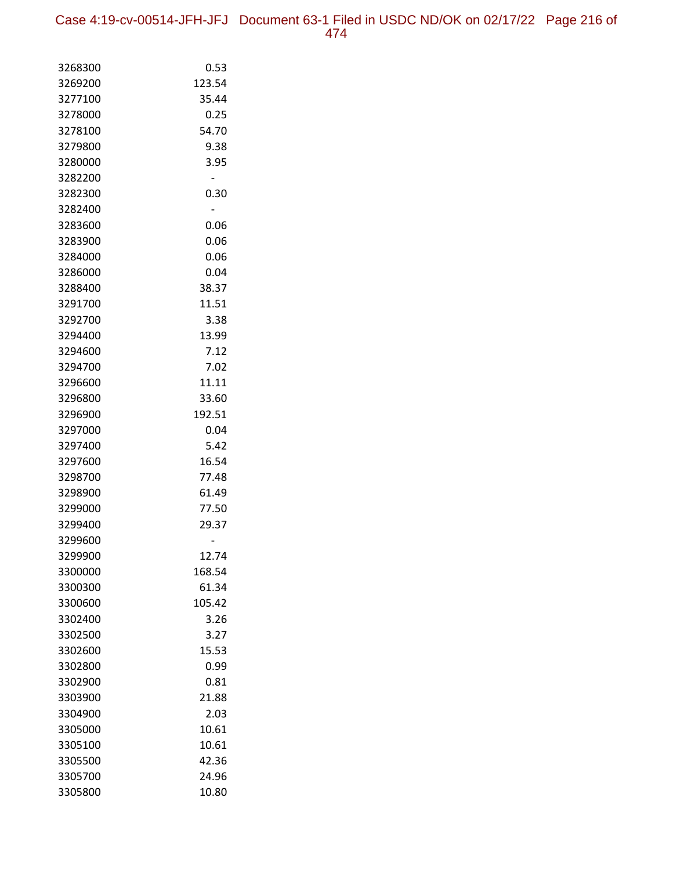| 3268300            | 0.53   |
|--------------------|--------|
| 3269200            | 123.54 |
| 3277100            | 35.44  |
| 3278000            | 0.25   |
| 3278100            | 54.70  |
| 3279800            | 9.38   |
| 3280000            | 3.95   |
| 3282200            |        |
| 3282300            | 0.30   |
| 3282400            |        |
| 3283600            | 0.06   |
| 3283900            | 0.06   |
| 3284000            | 0.06   |
| 3286000            | 0.04   |
| 3288400            | 38.37  |
| 3291700            | 11.51  |
| 3292700            | 3.38   |
| 3294400            | 13.99  |
| 3294600            | 7.12   |
| 3294700            | 7.02   |
| 3296600            | 11.11  |
| 3296800            | 33.60  |
| 3296900            | 192.51 |
| 3297000            | 0.04   |
| 3297400            | 5.42   |
| 3297600            | 16.54  |
| 3298700            | 77.48  |
| 3298900            | 61.49  |
| 3299000            | 77.50  |
| 3299400            | 29.37  |
| 3299600<br>3299900 | 12.74  |
| 3300000            | 168.54 |
| 3300300            | 61.34  |
| 3300600            | 105.42 |
| 3302400            | 3.26   |
| 3302500            | 3.27   |
| 3302600            | 15.53  |
| 3302800            | 0.99   |
| 3302900            | 0.81   |
| 3303900            | 21.88  |
| 3304900            | 2.03   |
| 3305000            | 10.61  |
| 3305100            | 10.61  |
| 3305500            | 42.36  |
| 3305700            | 24.96  |
| 3305800            | 10.80  |
|                    |        |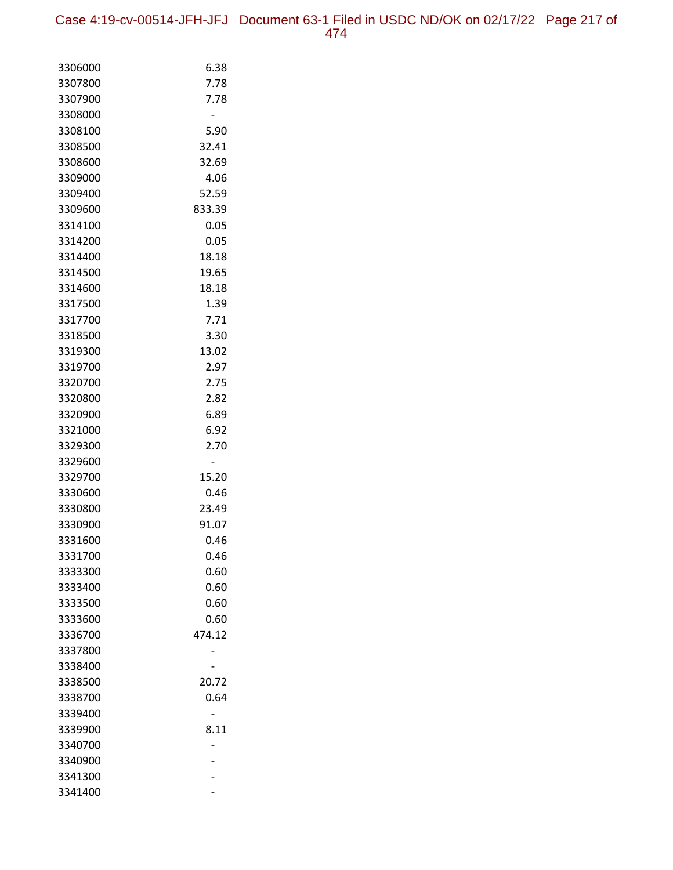Case 4:19-cv-00514-JFH-JFJ Document 63-1 Filed in USDC ND/OK on 02/17/22 Page 217 of

| 3306000 | 6.38   |
|---------|--------|
| 3307800 | 7.78   |
| 3307900 | 7.78   |
| 3308000 |        |
| 3308100 | 5.90   |
| 3308500 | 32.41  |
| 3308600 | 32.69  |
| 3309000 | 4.06   |
| 3309400 | 52.59  |
| 3309600 | 833.39 |
| 3314100 | 0.05   |
| 3314200 | 0.05   |
| 3314400 | 18.18  |
| 3314500 | 19.65  |
| 3314600 | 18.18  |
| 3317500 | 1.39   |
| 3317700 | 7.71   |
| 3318500 | 3.30   |
| 3319300 | 13.02  |
| 3319700 | 2.97   |
| 3320700 | 2.75   |
| 3320800 | 2.82   |
| 3320900 | 6.89   |
| 3321000 | 6.92   |
| 3329300 | 2.70   |
| 3329600 |        |
| 3329700 | 15.20  |
| 3330600 | 0.46   |
| 3330800 | 23.49  |
| 3330900 | 91.07  |
| 3331600 | 0.46   |
| 3331700 | 0.46   |
| 3333300 | 0.60   |
| 3333400 | 0.60   |
| 3333500 | 0.60   |
| 3333600 | 0.60   |
| 3336700 | 474.12 |
| 3337800 |        |
| 3338400 |        |
| 3338500 | 20.72  |
| 3338700 | 0.64   |
| 3339400 |        |
| 3339900 | 8.11   |
| 3340700 |        |
| 3340900 |        |
| 3341300 |        |
| 3341400 |        |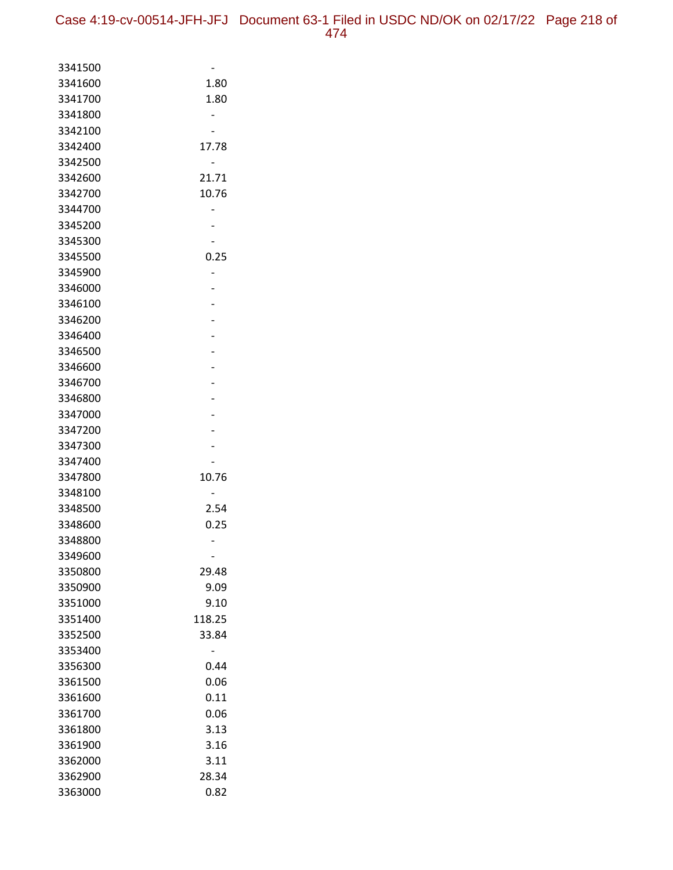| 3341500            |        |
|--------------------|--------|
| 3341600            | 1.80   |
| 3341700            | 1.80   |
| 3341800            |        |
| 3342100            |        |
| 3342400            | 17.78  |
| 3342500            |        |
| 3342600            | 21.71  |
| 3342700            | 10.76  |
| 3344700            |        |
| 3345200            |        |
| 3345300            |        |
| 3345500            | 0.25   |
| 3345900            |        |
| 3346000            |        |
| 3346100            |        |
| 3346200            | -      |
| 3346400            |        |
| 3346500            |        |
| 3346600            |        |
| 3346700            |        |
| 3346800            |        |
| 3347000<br>3347200 |        |
| 3347300            |        |
| 3347400            |        |
| 3347800            | 10.76  |
| 3348100            |        |
| 3348500            | 2.54   |
| 3348600            | 0.25   |
| 3348800            |        |
| 3349600            |        |
| 3350800            | 29.48  |
| 3350900            | 9.09   |
| 3351000            | 9.10   |
| 3351400            | 118.25 |
| 3352500            | 33.84  |
| 3353400            |        |
| 3356300            | 0.44   |
| 3361500            | 0.06   |
| 3361600            | 0.11   |
| 3361700            | 0.06   |
| 3361800            | 3.13   |
| 3361900            | 3.16   |
| 3362000            | 3.11   |
| 3362900            | 28.34  |
| 3363000            | 0.82   |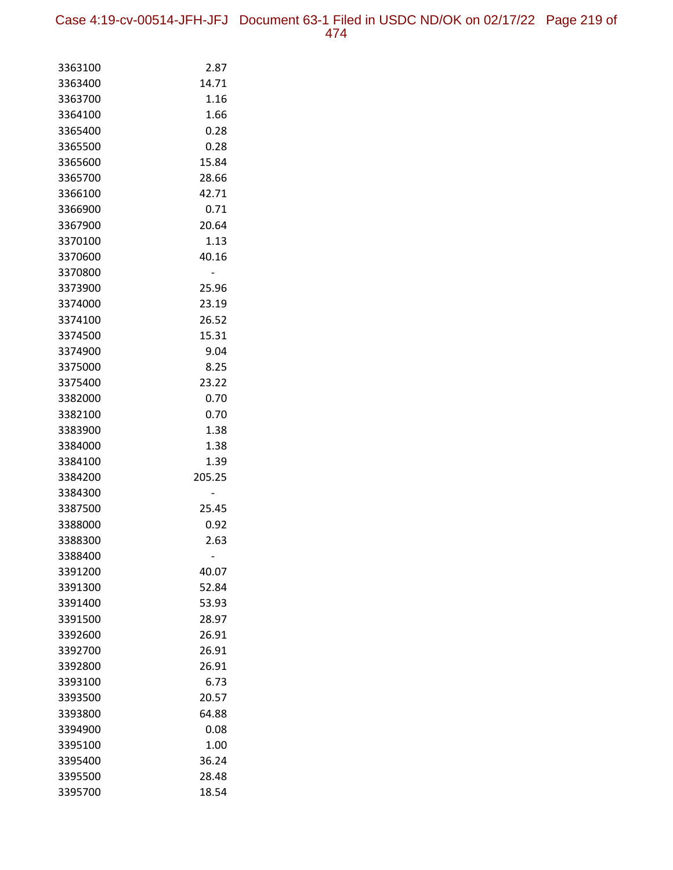Case 4:19-cv-00514-JFH-JFJ Document 63-1 Filed in USDC ND/OK on 02/17/22 Page 219 of 474

| 3363100            | 2.87   |
|--------------------|--------|
| 3363400            | 14.71  |
| 3363700            | 1.16   |
| 3364100            | 1.66   |
| 3365400            | 0.28   |
| 3365500            | 0.28   |
| 3365600            | 15.84  |
| 3365700            | 28.66  |
| 3366100            | 42.71  |
| 3366900            | 0.71   |
| 3367900            | 20.64  |
| 3370100            | 1.13   |
| 3370600            | 40.16  |
| 3370800            |        |
| 3373900            | 25.96  |
| 3374000            | 23.19  |
| 3374100            | 26.52  |
| 3374500            | 15.31  |
| 3374900            | 9.04   |
| 3375000            | 8.25   |
| 3375400            | 23.22  |
| 3382000            | 0.70   |
| 3382100            | 0.70   |
| 3383900            | 1.38   |
| 3384000            | 1.38   |
| 3384100            | 1.39   |
| 3384200            | 205.25 |
| 3384300            |        |
| 3387500            | 25.45  |
| 3388000<br>3388300 | 0.92   |
| 3388400            | 2.63   |
| 3391200            | 40.07  |
| 3391300            | 52.84  |
| 3391400            | 53.93  |
| 3391500            | 28.97  |
| 3392600            | 26.91  |
| 3392700            | 26.91  |
| 3392800            | 26.91  |
| 3393100            | 6.73   |
| 3393500            | 20.57  |
| 3393800            | 64.88  |
| 3394900            | 0.08   |
| 3395100            | 1.00   |
| 3395400            | 36.24  |
| 3395500            | 28.48  |
| 3395700            | 18.54  |
|                    |        |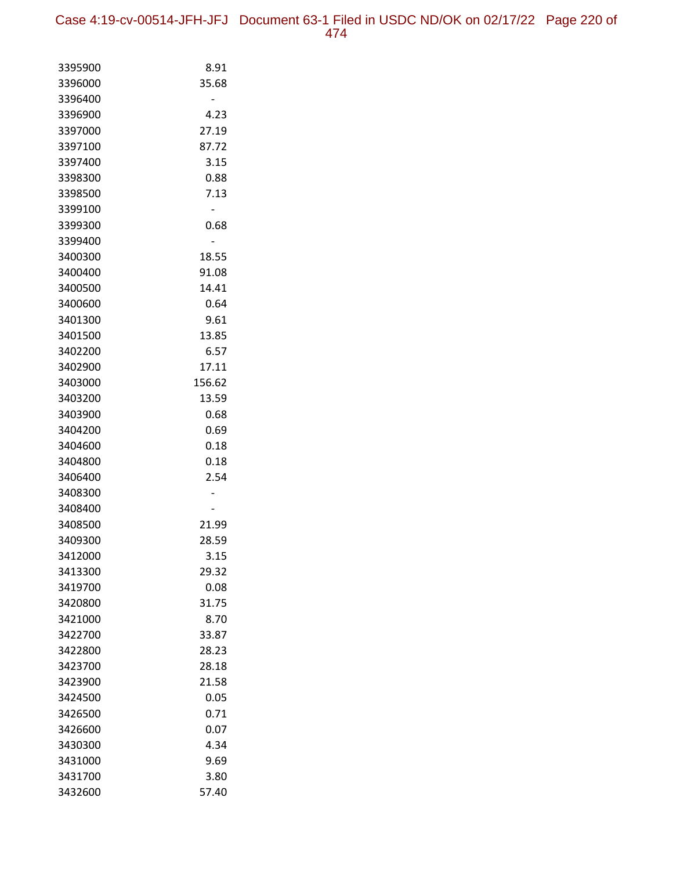| 3395900 | 8.91   |
|---------|--------|
| 3396000 | 35.68  |
| 3396400 |        |
| 3396900 | 4.23   |
| 3397000 | 27.19  |
| 3397100 | 87.72  |
| 3397400 | 3.15   |
| 3398300 | 0.88   |
| 3398500 | 7.13   |
| 3399100 |        |
| 3399300 | 0.68   |
| 3399400 |        |
| 3400300 | 18.55  |
| 3400400 | 91.08  |
| 3400500 | 14.41  |
| 3400600 | 0.64   |
| 3401300 | 9.61   |
| 3401500 | 13.85  |
| 3402200 | 6.57   |
| 3402900 | 17.11  |
| 3403000 | 156.62 |
| 3403200 | 13.59  |
| 3403900 | 0.68   |
| 3404200 | 0.69   |
| 3404600 | 0.18   |
| 3404800 | 0.18   |
| 3406400 | 2.54   |
| 3408300 |        |
| 3408400 |        |
| 3408500 | 21.99  |
| 3409300 | 28.59  |
| 3412000 | 3.15   |
| 3413300 | 29.32  |
| 3419700 | 0.08   |
| 3420800 | 31.75  |
| 3421000 | 8.70   |
| 3422700 | 33.87  |
| 3422800 | 28.23  |
| 3423700 | 28.18  |
| 3423900 | 21.58  |
| 3424500 | 0.05   |
| 3426500 | 0.71   |
| 3426600 | 0.07   |
| 3430300 | 4.34   |
| 3431000 | 9.69   |
| 3431700 | 3.80   |
| 3432600 | 57.40  |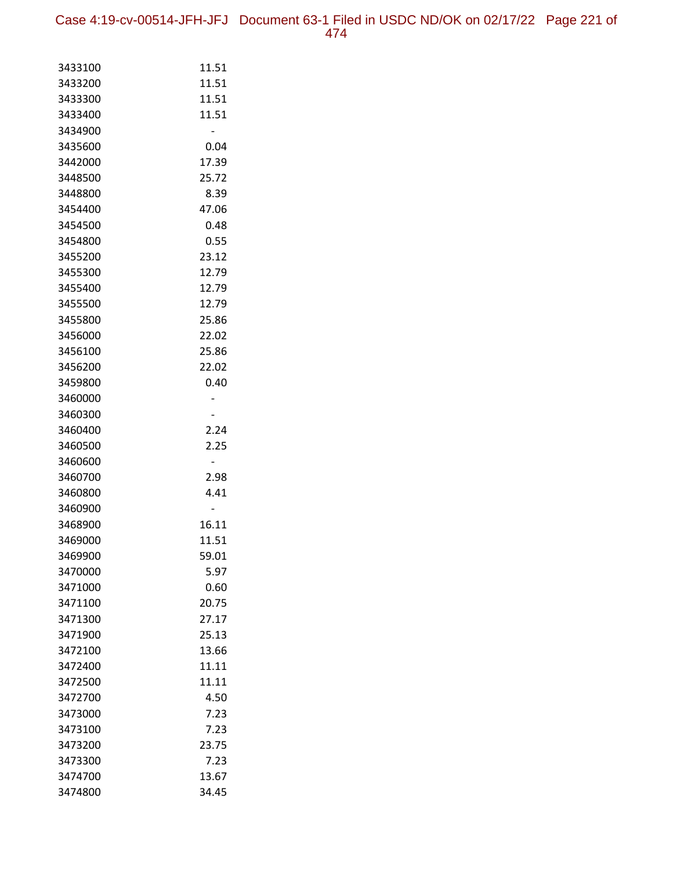Case 4:19-cv-00514-JFH-JFJ Document 63-1 Filed in USDC ND/OK on 02/17/22 Page 221 of 474

| 3433100 | 11.51 |
|---------|-------|
| 3433200 | 11.51 |
| 3433300 | 11.51 |
| 3433400 | 11.51 |
| 3434900 |       |
| 3435600 | 0.04  |
| 3442000 | 17.39 |
| 3448500 | 25.72 |
| 3448800 | 8.39  |
| 3454400 | 47.06 |
| 3454500 | 0.48  |
| 3454800 | 0.55  |
| 3455200 | 23.12 |
| 3455300 | 12.79 |
| 3455400 | 12.79 |
| 3455500 | 12.79 |
| 3455800 | 25.86 |
| 3456000 | 22.02 |
| 3456100 | 25.86 |
| 3456200 | 22.02 |
| 3459800 | 0.40  |
| 3460000 |       |
| 3460300 |       |
| 3460400 | 2.24  |
| 3460500 | 2.25  |
| 3460600 |       |
| 3460700 | 2.98  |
| 3460800 | 4.41  |
| 3460900 |       |
| 3468900 | 16.11 |
| 3469000 | 11.51 |
| 3469900 | 59.01 |
| 3470000 | 5.97  |
| 3471000 | 0.60  |
| 3471100 | 20.75 |
| 3471300 | 27.17 |
| 3471900 | 25.13 |
| 3472100 | 13.66 |
| 3472400 | 11.11 |
| 3472500 | 11.11 |
| 3472700 | 4.50  |
| 3473000 | 7.23  |
| 3473100 | 7.23  |
| 3473200 | 23.75 |
| 3473300 | 7.23  |
| 3474700 | 13.67 |
| 3474800 | 34.45 |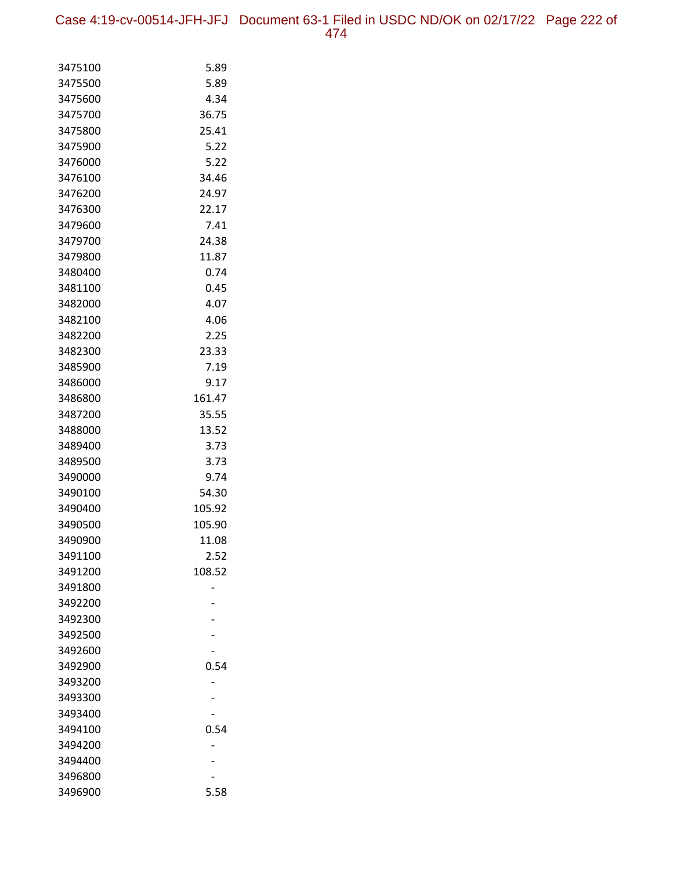| 3475100 | 5.89   |
|---------|--------|
| 3475500 | 5.89   |
| 3475600 | 4.34   |
| 3475700 | 36.75  |
| 3475800 | 25.41  |
| 3475900 | 5.22   |
| 3476000 | 5.22   |
| 3476100 | 34.46  |
| 3476200 | 24.97  |
| 3476300 | 22.17  |
| 3479600 | 7.41   |
| 3479700 | 24.38  |
| 3479800 | 11.87  |
| 3480400 | 0.74   |
| 3481100 | 0.45   |
| 3482000 | 4.07   |
| 3482100 | 4.06   |
| 3482200 | 2.25   |
| 3482300 | 23.33  |
| 3485900 | 7.19   |
| 3486000 | 9.17   |
| 3486800 | 161.47 |
| 3487200 | 35.55  |
| 3488000 | 13.52  |
| 3489400 | 3.73   |
| 3489500 | 3.73   |
| 3490000 | 9.74   |
| 3490100 | 54.30  |
| 3490400 | 105.92 |
| 3490500 | 105.90 |
| 3490900 | 11.08  |
| 3491100 | 2.52   |
| 3491200 | 108.52 |
| 3491800 |        |
| 3492200 |        |
| 3492300 |        |
| 3492500 |        |
| 3492600 |        |
| 3492900 | 0.54   |
| 3493200 |        |
| 3493300 |        |
| 3493400 |        |
| 3494100 | 0.54   |
| 3494200 |        |
| 3494400 |        |
| 3496800 |        |
| 3496900 | 5.58   |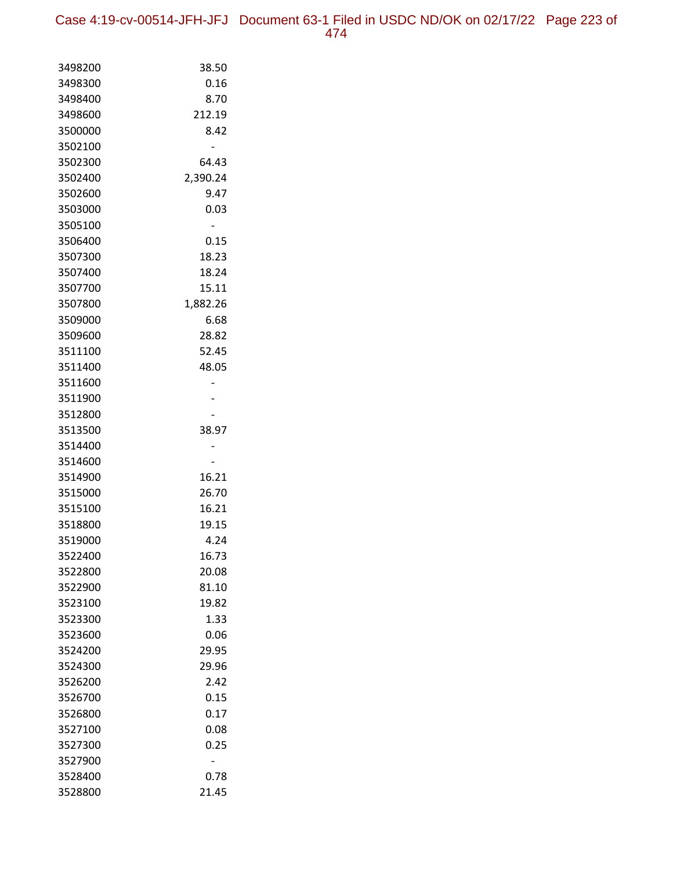| 3498200 | 38.50    |
|---------|----------|
| 3498300 | 0.16     |
| 3498400 | 8.70     |
| 3498600 | 212.19   |
| 3500000 | 8.42     |
| 3502100 |          |
| 3502300 | 64.43    |
| 3502400 | 2,390.24 |
| 3502600 | 9.47     |
| 3503000 | 0.03     |
| 3505100 |          |
| 3506400 | 0.15     |
| 3507300 | 18.23    |
| 3507400 | 18.24    |
| 3507700 | 15.11    |
| 3507800 | 1,882.26 |
| 3509000 | 6.68     |
| 3509600 | 28.82    |
| 3511100 | 52.45    |
| 3511400 | 48.05    |
| 3511600 |          |
| 3511900 |          |
| 3512800 |          |
| 3513500 | 38.97    |
| 3514400 |          |
| 3514600 |          |
| 3514900 | 16.21    |
| 3515000 | 26.70    |
| 3515100 | 16.21    |
| 3518800 | 19.15    |
| 3519000 | 4.24     |
| 3522400 | 16.73    |
| 3522800 | 20.08    |
| 3522900 | 81.10    |
| 3523100 | 19.82    |
| 3523300 | 1.33     |
| 3523600 | 0.06     |
| 3524200 | 29.95    |
| 3524300 | 29.96    |
| 3526200 | 2.42     |
| 3526700 | 0.15     |
| 3526800 | 0.17     |
| 3527100 | 0.08     |
| 3527300 | 0.25     |
| 3527900 |          |
| 3528400 | 0.78     |
| 3528800 | 21.45    |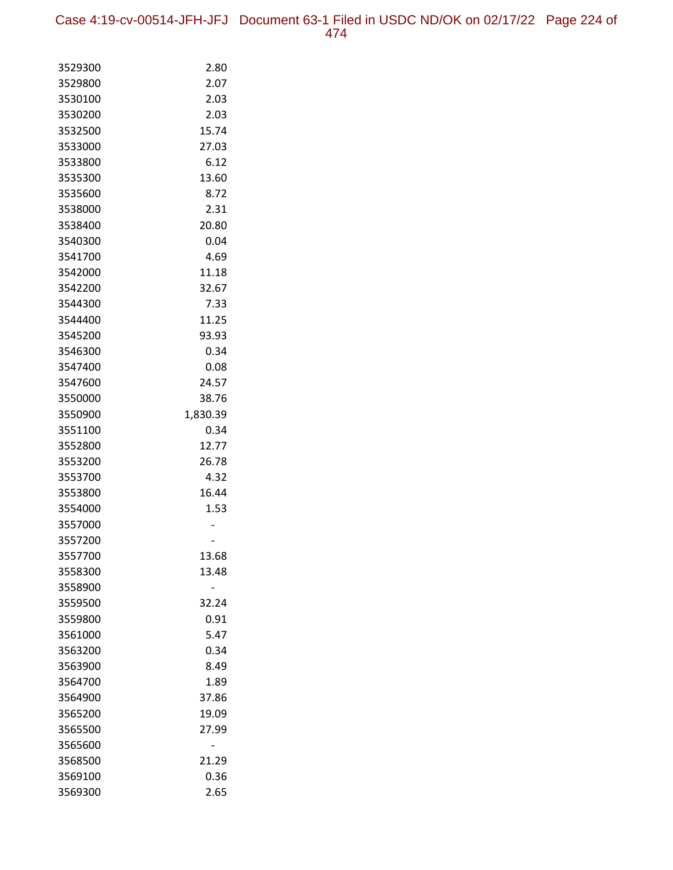Case 4:19-cv-00514-JFH-JFJ Document 63-1 Filed in USDC ND/OK on 02/17/22 Page 224 of 474

| 3529300            | 2.80          |
|--------------------|---------------|
| 3529800            | 2.07          |
| 3530100            | 2.03          |
| 3530200            | 2.03          |
| 3532500            | 15.74         |
| 3533000            | 27.03         |
| 3533800            | 6.12          |
| 3535300            | 13.60         |
| 3535600            | 8.72          |
| 3538000            | 2.31          |
| 3538400            | 20.80         |
| 3540300            | 0.04          |
| 3541700            | 4.69          |
| 3542000            | 11.18         |
| 3542200            | 32.67         |
| 3544300            | 7.33          |
| 3544400            | 11.25         |
| 3545200            | 93.93         |
| 3546300            | 0.34          |
| 3547400            | 0.08          |
| 3547600            | 24.57         |
| 3550000            | 38.76         |
| 3550900            | 1,830.39      |
| 3551100            | 0.34          |
| 3552800            | 12.77         |
| 3553200            | 26.78         |
| 3553700<br>3553800 | 4.32<br>16.44 |
| 3554000            | 1.53          |
| 3557000            |               |
| 3557200            |               |
| 3557700            | 13.68         |
| 3558300            | 13.48         |
| 3558900            |               |
| 3559500            | 32.24         |
| 3559800            | 0.91          |
| 3561000            | 5.47          |
| 3563200            | 0.34          |
| 3563900            | 8.49          |
| 3564700            | 1.89          |
| 3564900            | 37.86         |
| 3565200            | 19.09         |
| 3565500            | 27.99         |
| 3565600            |               |
| 3568500            | 21.29         |
| 3569100            | 0.36          |
| 3569300            | 2.65          |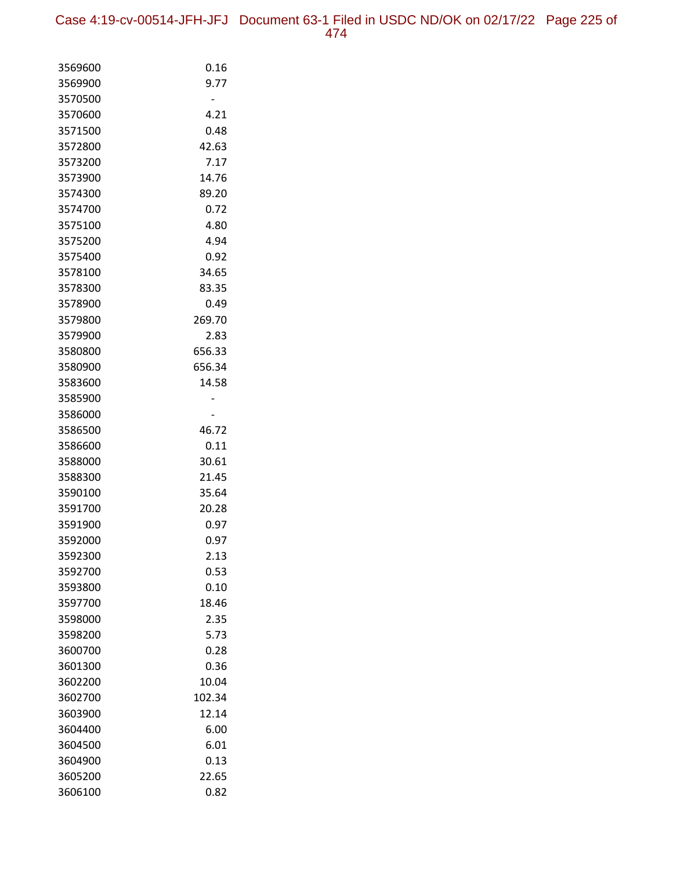Case 4:19-cv-00514-JFH-JFJ Document 63-1 Filed in USDC ND/OK on 02/17/22 Page 225 of 474

| 3569600            | 0.16          |
|--------------------|---------------|
| 3569900            | 9.77          |
| 3570500            |               |
| 3570600            | 4.21          |
| 3571500            | 0.48          |
| 3572800            | 42.63         |
| 3573200            | 7.17          |
| 3573900            | 14.76         |
| 3574300            | 89.20         |
| 3574700            | 0.72          |
| 3575100            | 4.80          |
| 3575200            | 4.94          |
| 3575400            | 0.92          |
| 3578100            | 34.65         |
| 3578300            | 83.35         |
| 3578900            | 0.49          |
| 3579800            | 269.70        |
| 3579900            | 2.83          |
| 3580800            | 656.33        |
| 3580900            | 656.34        |
| 3583600            | 14.58         |
| 3585900            |               |
| 3586000            |               |
| 3586500            | 46.72         |
| 3586600            | 0.11          |
| 3588000            | 30.61         |
| 3588300            | 21.45         |
| 3590100            | 35.64         |
| 3591700            | 20.28         |
| 3591900            | 0.97          |
| 3592000            | 0.97          |
| 3592300            | 2.13          |
| 3592700<br>3593800 | 0.53          |
| 3597700            | 0.10<br>18.46 |
| 3598000            | 2.35          |
| 3598200            | 5.73          |
| 3600700            | 0.28          |
| 3601300            | 0.36          |
| 3602200            | 10.04         |
| 3602700            | 102.34        |
| 3603900            | 12.14         |
| 3604400            | 6.00          |
| 3604500            | 6.01          |
| 3604900            | 0.13          |
| 3605200            | 22.65         |
| 3606100            | 0.82          |
|                    |               |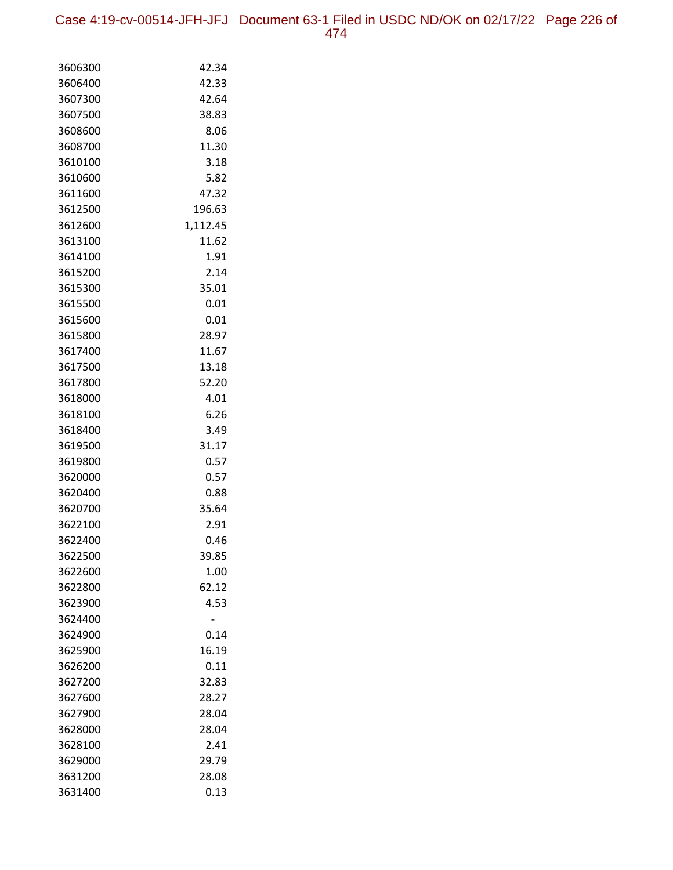Case 4:19-cv-00514-JFH-JFJ Document 63-1 Filed in USDC ND/OK on 02/17/22 Page 226 of

| 3606300            | 42.34        |
|--------------------|--------------|
| 3606400            | 42.33        |
| 3607300            | 42.64        |
| 3607500            | 38.83        |
| 3608600            | 8.06         |
| 3608700            | 11.30        |
| 3610100            | 3.18         |
| 3610600            | 5.82         |
| 3611600            | 47.32        |
| 3612500            | 196.63       |
| 3612600            | 1,112.45     |
| 3613100            | 11.62        |
| 3614100            | 1.91         |
| 3615200            | 2.14         |
| 3615300            | 35.01        |
| 3615500            | 0.01         |
| 3615600            | 0.01         |
| 3615800            | 28.97        |
| 3617400            | 11.67        |
| 3617500            | 13.18        |
| 3617800            | 52.20        |
| 3618000            | 4.01         |
| 3618100            | 6.26         |
| 3618400            | 3.49         |
| 3619500            | 31.17        |
| 3619800            | 0.57         |
| 3620000            | 0.57<br>0.88 |
| 3620400<br>3620700 | 35.64        |
| 3622100            | 2.91         |
| 3622400            | 0.46         |
| 3622500            | 39.85        |
| 3622600            | 1.00         |
| 3622800            | 62.12        |
| 3623900            | 4.53         |
| 3624400            |              |
| 3624900            | 0.14         |
| 3625900            | 16.19        |
| 3626200            | 0.11         |
| 3627200            | 32.83        |
| 3627600            | 28.27        |
| 3627900            | 28.04        |
| 3628000            | 28.04        |
| 3628100            | 2.41         |
| 3629000            | 29.79        |
| 3631200            | 28.08        |
| 3631400            | 0.13         |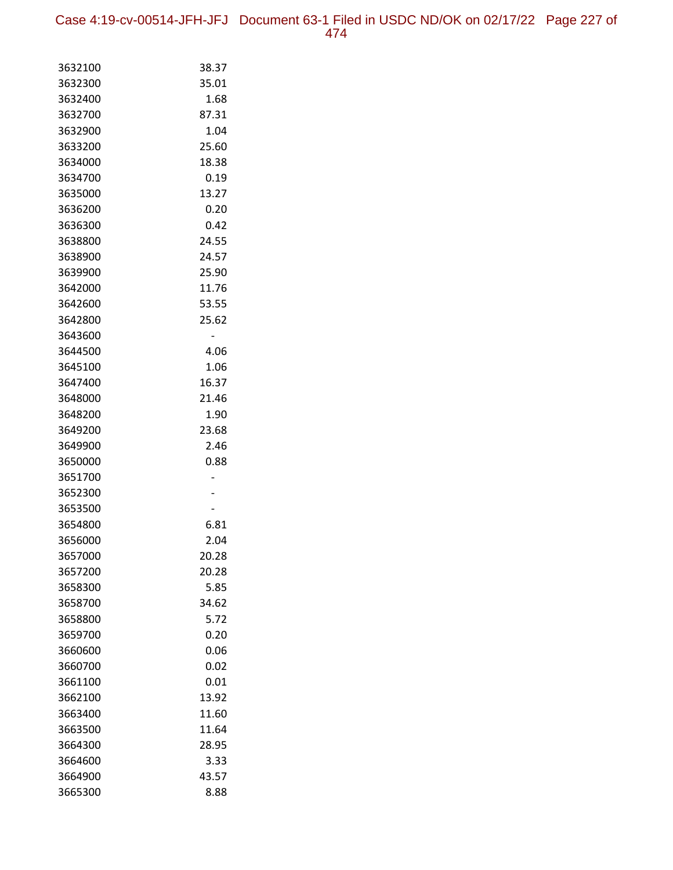Case 4:19-cv-00514-JFH-JFJ Document 63-1 Filed in USDC ND/OK on 02/17/22 Page 227 of 474

| 3632100 | 38.37 |
|---------|-------|
| 3632300 | 35.01 |
| 3632400 | 1.68  |
| 3632700 | 87.31 |
| 3632900 | 1.04  |
| 3633200 | 25.60 |
| 3634000 | 18.38 |
| 3634700 | 0.19  |
| 3635000 | 13.27 |
| 3636200 | 0.20  |
| 3636300 | 0.42  |
| 3638800 | 24.55 |
| 3638900 | 24.57 |
| 3639900 | 25.90 |
| 3642000 | 11.76 |
| 3642600 | 53.55 |
| 3642800 | 25.62 |
| 3643600 |       |
| 3644500 | 4.06  |
| 3645100 | 1.06  |
| 3647400 | 16.37 |
| 3648000 | 21.46 |
| 3648200 | 1.90  |
| 3649200 | 23.68 |
| 3649900 | 2.46  |
| 3650000 | 0.88  |
| 3651700 |       |
| 3652300 |       |
| 3653500 |       |
| 3654800 | 6.81  |
| 3656000 | 2.04  |
| 3657000 | 20.28 |
| 3657200 | 20.28 |
| 3658300 | 5.85  |
| 3658700 | 34.62 |
| 3658800 | 5.72  |
| 3659700 | 0.20  |
| 3660600 | 0.06  |
| 3660700 | 0.02  |
| 3661100 | 0.01  |
| 3662100 | 13.92 |
| 3663400 | 11.60 |
| 3663500 | 11.64 |
| 3664300 | 28.95 |
| 3664600 | 3.33  |
| 3664900 | 43.57 |
| 3665300 | 8.88  |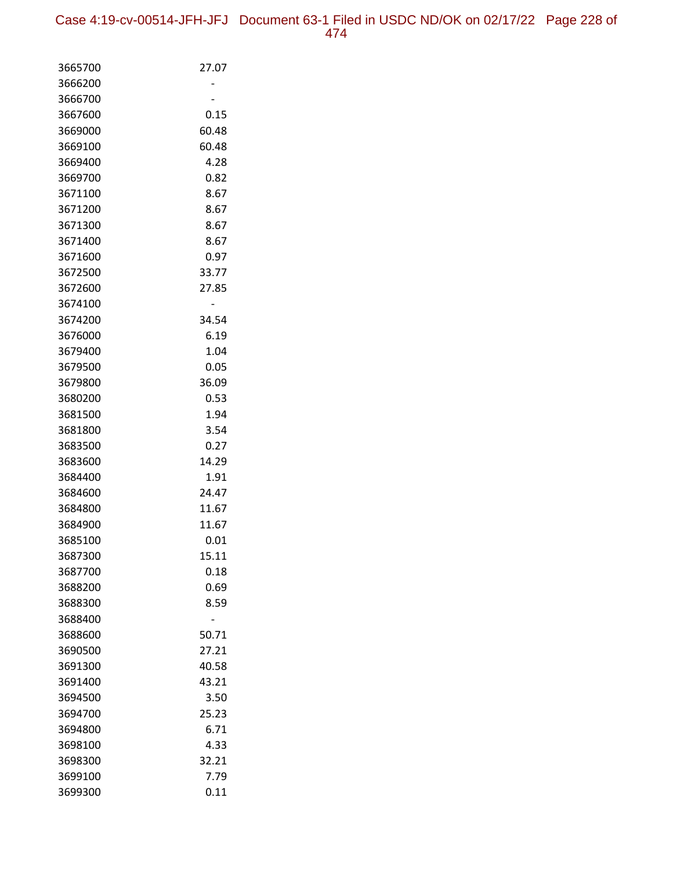| 3665700 | 27.07         |
|---------|---------------|
| 3666200 |               |
| 3666700 |               |
| 3667600 | 0.15          |
| 3669000 | 60.48         |
| 3669100 | 60.48         |
| 3669400 | 4.28          |
| 3669700 | 0.82          |
| 3671100 | 8.67          |
| 3671200 | 8.67          |
| 3671300 | 8.67          |
| 3671400 | 8.67          |
| 3671600 | 0.97          |
| 3672500 | 33.77         |
| 3672600 | 27.85         |
| 3674100 |               |
| 3674200 | 34.54         |
| 3676000 | 6.19          |
| 3679400 | 1.04          |
| 3679500 | 0.05          |
| 3679800 | 36.09         |
| 3680200 | 0.53          |
| 3681500 | 1.94          |
| 3681800 | 3.54          |
| 3683500 | 0.27          |
| 3683600 | 14.29         |
| 3684400 | 1.91          |
| 3684600 | 24.47         |
| 3684800 | 11.67         |
| 3684900 | 11.67         |
| 3685100 | 0.01          |
| 3687300 | 15.11         |
| 3687700 | 0.18          |
| 3688200 | 0.69          |
| 3688300 | 8.59          |
| 3688400 |               |
| 3688600 | 50.71         |
| 3690500 | 27.21         |
| 3691300 | 40.58         |
| 3691400 | 43.21         |
| 3694500 | 3.50          |
| 3694700 | 25.23<br>6.71 |
| 3694800 |               |
| 3698100 | 4.33          |
| 3698300 | 32.21         |
| 3699100 | 7.79          |
| 3699300 | 0.11          |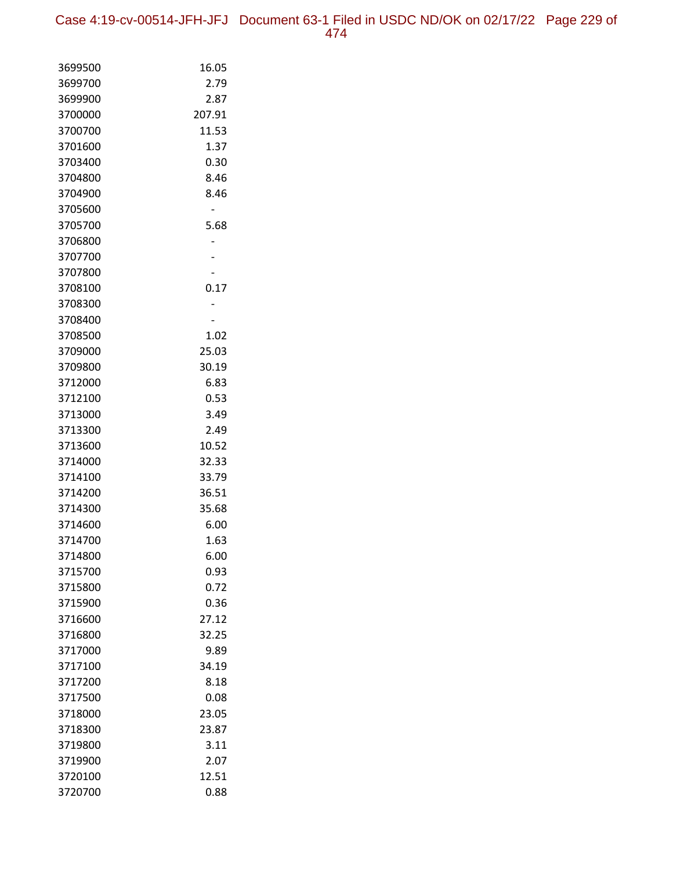Case 4:19-cv-00514-JFH-JFJ Document 63-1 Filed in USDC ND/OK on 02/17/22 Page 229 of 474

| 3699500 | 16.05  |
|---------|--------|
| 3699700 | 2.79   |
| 3699900 | 2.87   |
| 3700000 | 207.91 |
| 3700700 | 11.53  |
| 3701600 | 1.37   |
| 3703400 | 0.30   |
| 3704800 | 8.46   |
| 3704900 | 8.46   |
| 3705600 |        |
| 3705700 | 5.68   |
| 3706800 |        |
| 3707700 |        |
| 3707800 |        |
| 3708100 | 0.17   |
| 3708300 |        |
| 3708400 |        |
| 3708500 | 1.02   |
| 3709000 | 25.03  |
| 3709800 | 30.19  |
| 3712000 | 6.83   |
| 3712100 | 0.53   |
| 3713000 | 3.49   |
| 3713300 | 2.49   |
| 3713600 | 10.52  |
| 3714000 | 32.33  |
| 3714100 | 33.79  |
| 3714200 | 36.51  |
| 3714300 | 35.68  |
| 3714600 | 6.00   |
| 3714700 | 1.63   |
| 3714800 | 6.00   |
| 3715700 | 0.93   |
| 3715800 | 0.72   |
| 3715900 | 0.36   |
| 3716600 | 27.12  |
| 3716800 | 32.25  |
| 3717000 | 9.89   |
| 3717100 | 34.19  |
| 3717200 | 8.18   |
| 3717500 | 0.08   |
| 3718000 | 23.05  |
| 3718300 | 23.87  |
| 3719800 | 3.11   |
| 3719900 | 2.07   |
| 3720100 | 12.51  |
| 3720700 | 0.88   |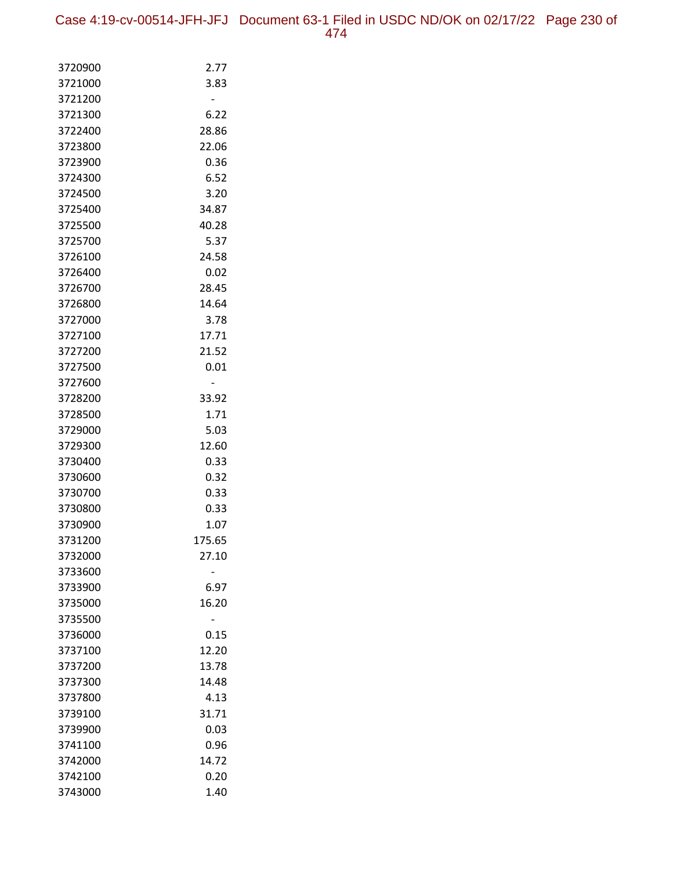| 3720900 | 2.77   |
|---------|--------|
| 3721000 | 3.83   |
| 3721200 |        |
| 3721300 | 6.22   |
| 3722400 | 28.86  |
| 3723800 | 22.06  |
| 3723900 | 0.36   |
| 3724300 | 6.52   |
| 3724500 | 3.20   |
| 3725400 | 34.87  |
| 3725500 | 40.28  |
| 3725700 | 5.37   |
| 3726100 | 24.58  |
| 3726400 | 0.02   |
| 3726700 | 28.45  |
| 3726800 | 14.64  |
| 3727000 | 3.78   |
| 3727100 | 17.71  |
| 3727200 | 21.52  |
| 3727500 | 0.01   |
| 3727600 |        |
| 3728200 | 33.92  |
| 3728500 | 1.71   |
| 3729000 | 5.03   |
| 3729300 | 12.60  |
| 3730400 | 0.33   |
| 3730600 | 0.32   |
| 3730700 | 0.33   |
| 3730800 | 0.33   |
| 3730900 | 1.07   |
| 3731200 | 175.65 |
| 3732000 | 27.10  |
| 3733600 |        |
| 3733900 | 6.97   |
| 3735000 | 16.20  |
| 3735500 |        |
| 3736000 | 0.15   |
| 3737100 | 12.20  |
| 3737200 | 13.78  |
| 3737300 | 14.48  |
| 3737800 | 4.13   |
| 3739100 | 31.71  |
| 3739900 | 0.03   |
| 3741100 | 0.96   |
| 3742000 | 14.72  |
| 3742100 | 0.20   |
| 3743000 | 1.40   |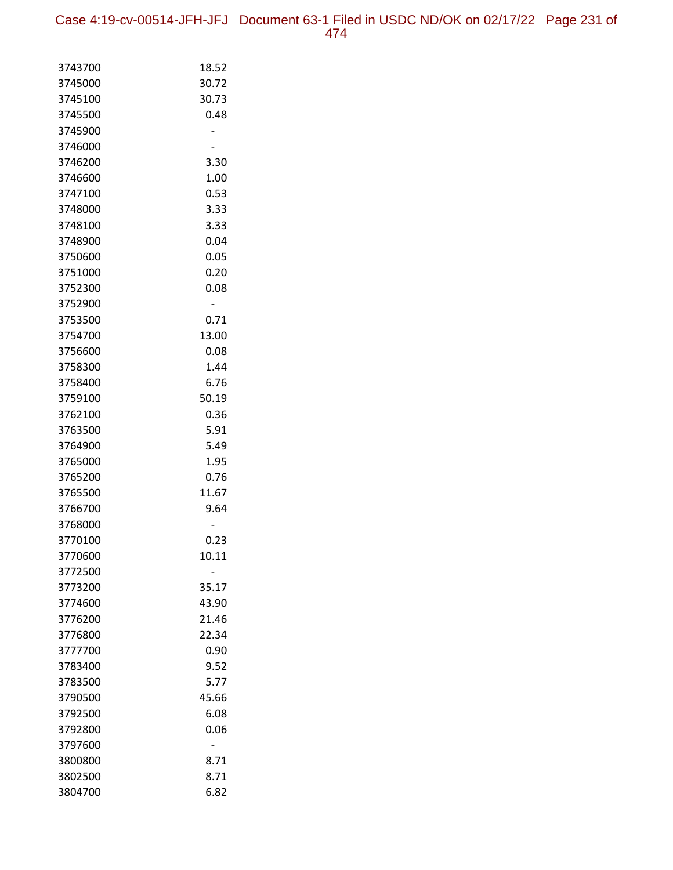Case 4:19-cv-00514-JFH-JFJ Document 63-1 Filed in USDC ND/OK on 02/17/22 Page 231 of 474

| 3743700            | 18.52         |
|--------------------|---------------|
| 3745000            | 30.72         |
| 3745100            | 30.73         |
| 3745500            | 0.48          |
| 3745900            |               |
| 3746000            |               |
| 3746200            | 3.30          |
| 3746600            | 1.00          |
| 3747100            | 0.53          |
| 3748000            | 3.33          |
| 3748100            | 3.33          |
| 3748900            | 0.04          |
| 3750600            | 0.05          |
| 3751000            | 0.20          |
| 3752300            | 0.08          |
| 3752900            |               |
| 3753500            | 0.71          |
| 3754700            | 13.00         |
| 3756600            | 0.08          |
| 3758300            | 1.44          |
| 3758400            | 6.76          |
| 3759100            | 50.19         |
| 3762100            | 0.36          |
| 3763500            | 5.91          |
| 3764900            | 5.49          |
| 3765000            | 1.95          |
| 3765200<br>3765500 | 0.76<br>11.67 |
|                    |               |
| 3766700<br>3768000 | 9.64          |
| 3770100            | 0.23          |
| 3770600            | 10.11         |
| 3772500            |               |
| 3773200            | 35.17         |
| 3774600            | 43.90         |
| 3776200            | 21.46         |
| 3776800            | 22.34         |
| 3777700            | 0.90          |
| 3783400            | 9.52          |
| 3783500            | 5.77          |
| 3790500            | 45.66         |
| 3792500            | 6.08          |
| 3792800            | 0.06          |
| 3797600            |               |
| 3800800            | 8.71          |
| 3802500            | 8.71          |
| 3804700            | 6.82          |
|                    |               |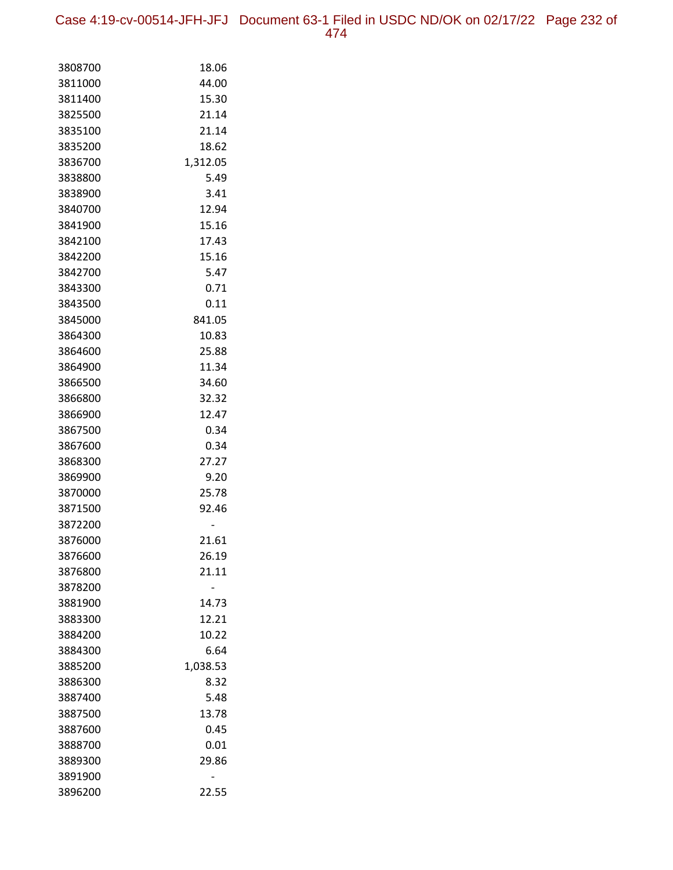Case 4:19-cv-00514-JFH-JFJ Document 63-1 Filed in USDC ND/OK on 02/17/22 Page 232 of 474

| 3808700            | 18.06         |
|--------------------|---------------|
| 3811000            | 44.00         |
| 3811400            | 15.30         |
| 3825500            | 21.14         |
| 3835100            | 21.14         |
| 3835200            | 18.62         |
| 3836700            | 1,312.05      |
| 3838800            | 5.49          |
| 3838900            | 3.41          |
| 3840700            | 12.94         |
| 3841900            | 15.16         |
| 3842100            | 17.43         |
| 3842200            | 15.16         |
| 3842700            | 5.47          |
| 3843300            | 0.71          |
| 3843500            | 0.11          |
| 3845000            | 841.05        |
| 3864300            | 10.83         |
| 3864600            | 25.88         |
| 3864900            | 11.34         |
| 3866500            | 34.60         |
| 3866800            | 32.32         |
| 3866900            | 12.47         |
| 3867500            | 0.34          |
| 3867600            | 0.34          |
| 3868300            | 27.27         |
| 3869900<br>3870000 | 9.20<br>25.78 |
| 3871500            | 92.46         |
| 3872200            |               |
| 3876000            | 21.61         |
| 3876600            | 26.19         |
| 3876800            | 21.11         |
| 3878200            |               |
| 3881900            | 14.73         |
| 3883300            | 12.21         |
| 3884200            | 10.22         |
| 3884300            | 6.64          |
| 3885200            | 1,038.53      |
| 3886300            | 8.32          |
| 3887400            | 5.48          |
| 3887500            | 13.78         |
| 3887600            | 0.45          |
| 3888700            | 0.01          |
| 3889300            | 29.86         |
| 3891900            |               |
| 3896200            | 22.55         |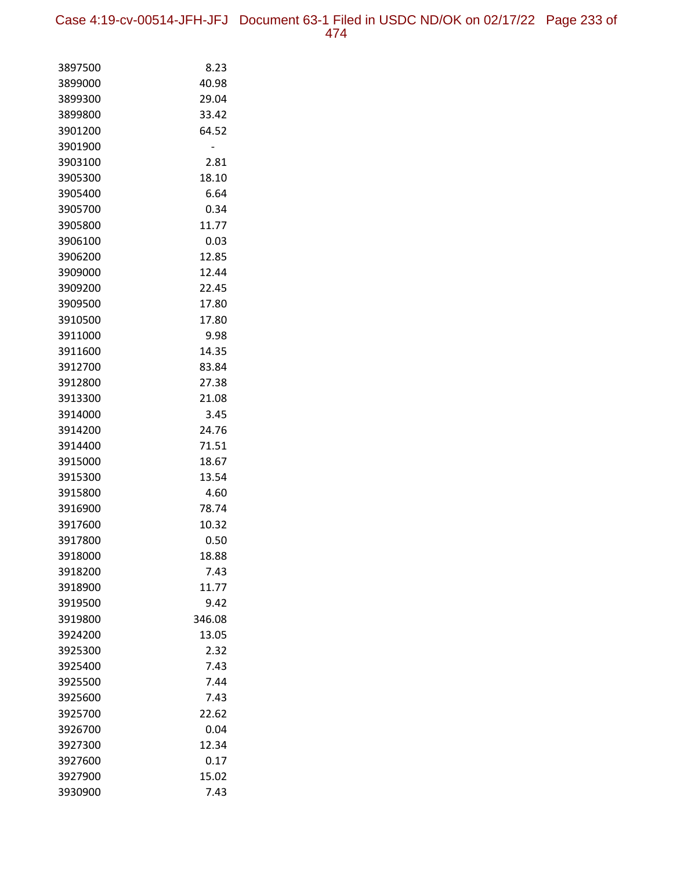Case 4:19-cv-00514-JFH-JFJ Document 63-1 Filed in USDC ND/OK on 02/17/22 Page 233 of 474

| 3897500            | 8.23           |
|--------------------|----------------|
| 3899000            | 40.98          |
| 3899300            | 29.04          |
| 3899800            | 33.42          |
| 3901200            | 64.52          |
| 3901900            |                |
| 3903100            | 2.81           |
| 3905300            | 18.10          |
| 3905400            | 6.64           |
| 3905700            | 0.34           |
| 3905800            | 11.77          |
| 3906100            | 0.03           |
| 3906200            | 12.85          |
| 3909000            | 12.44          |
| 3909200            | 22.45          |
| 3909500            | 17.80          |
| 3910500            | 17.80          |
| 3911000            | 9.98           |
| 3911600            | 14.35          |
| 3912700            | 83.84          |
| 3912800            | 27.38          |
| 3913300            | 21.08          |
| 3914000            | 3.45           |
| 3914200            | 24.76          |
| 3914400            | 71.51          |
| 3915000            | 18.67          |
| 3915300            | 13.54          |
| 3915800<br>3916900 | 4.60           |
| 3917600            | 78.74<br>10.32 |
| 3917800            | 0.50           |
| 3918000            | 18.88          |
| 3918200            | 7.43           |
| 3918900            | 11.77          |
| 3919500            | 9.42           |
| 3919800            | 346.08         |
| 3924200            | 13.05          |
| 3925300            | 2.32           |
| 3925400            | 7.43           |
| 3925500            | 7.44           |
| 3925600            | 7.43           |
| 3925700            | 22.62          |
| 3926700            | 0.04           |
| 3927300            | 12.34          |
| 3927600            | 0.17           |
| 3927900            | 15.02          |
| 3930900            | 7.43           |
|                    |                |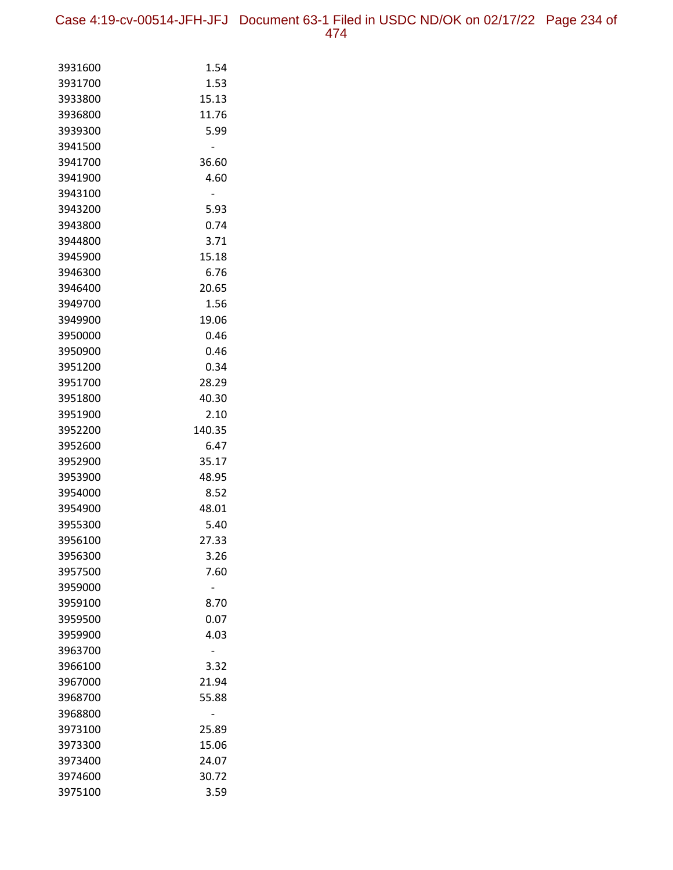| 3931600 | 1.54   |
|---------|--------|
| 3931700 | 1.53   |
| 3933800 | 15.13  |
| 3936800 | 11.76  |
| 3939300 | 5.99   |
| 3941500 |        |
| 3941700 | 36.60  |
| 3941900 | 4.60   |
| 3943100 |        |
| 3943200 | 5.93   |
| 3943800 | 0.74   |
| 3944800 | 3.71   |
| 3945900 | 15.18  |
| 3946300 | 6.76   |
| 3946400 | 20.65  |
| 3949700 | 1.56   |
| 3949900 | 19.06  |
| 3950000 | 0.46   |
| 3950900 | 0.46   |
| 3951200 | 0.34   |
| 3951700 | 28.29  |
| 3951800 | 40.30  |
| 3951900 | 2.10   |
| 3952200 | 140.35 |
| 3952600 | 6.47   |
| 3952900 | 35.17  |
| 3953900 | 48.95  |
| 3954000 | 8.52   |
| 3954900 | 48.01  |
| 3955300 | 5.40   |
| 3956100 | 27.33  |
| 3956300 | 3.26   |
| 3957500 | 7.60   |
| 3959000 |        |
| 3959100 | 8.70   |
| 3959500 | 0.07   |
| 3959900 | 4.03   |
| 3963700 |        |
| 3966100 | 3.32   |
| 3967000 | 21.94  |
| 3968700 | 55.88  |
| 3968800 |        |
| 3973100 | 25.89  |
| 3973300 | 15.06  |
| 3973400 | 24.07  |
| 3974600 | 30.72  |
| 3975100 | 3.59   |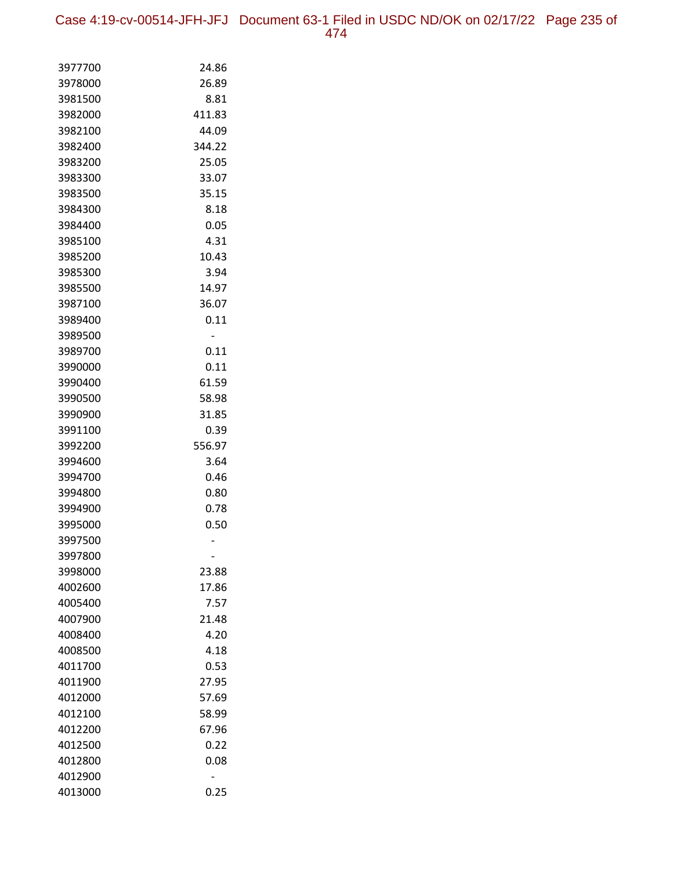Case 4:19-cv-00514-JFH-JFJ Document 63-1 Filed in USDC ND/OK on 02/17/22 Page 235 of 474

| 3977700 | 24.86  |
|---------|--------|
| 3978000 | 26.89  |
| 3981500 | 8.81   |
| 3982000 | 411.83 |
| 3982100 | 44.09  |
| 3982400 | 344.22 |
| 3983200 | 25.05  |
| 3983300 | 33.07  |
| 3983500 | 35.15  |
| 3984300 | 8.18   |
| 3984400 | 0.05   |
| 3985100 | 4.31   |
| 3985200 | 10.43  |
| 3985300 | 3.94   |
| 3985500 | 14.97  |
| 3987100 | 36.07  |
| 3989400 | 0.11   |
| 3989500 |        |
| 3989700 | 0.11   |
| 3990000 | 0.11   |
| 3990400 | 61.59  |
| 3990500 | 58.98  |
| 3990900 | 31.85  |
| 3991100 | 0.39   |
| 3992200 | 556.97 |
| 3994600 | 3.64   |
| 3994700 | 0.46   |
| 3994800 | 0.80   |
| 3994900 | 0.78   |
| 3995000 | 0.50   |
| 3997500 |        |
| 3997800 |        |
| 3998000 | 23.88  |
| 4002600 | 17.86  |
| 4005400 | 7.57   |
| 4007900 | 21.48  |
| 4008400 | 4.20   |
| 4008500 | 4.18   |
| 4011700 | 0.53   |
| 4011900 | 27.95  |
| 4012000 | 57.69  |
| 4012100 | 58.99  |
| 4012200 | 67.96  |
| 4012500 | 0.22   |
| 4012800 | 0.08   |
| 4012900 |        |
| 4013000 | 0.25   |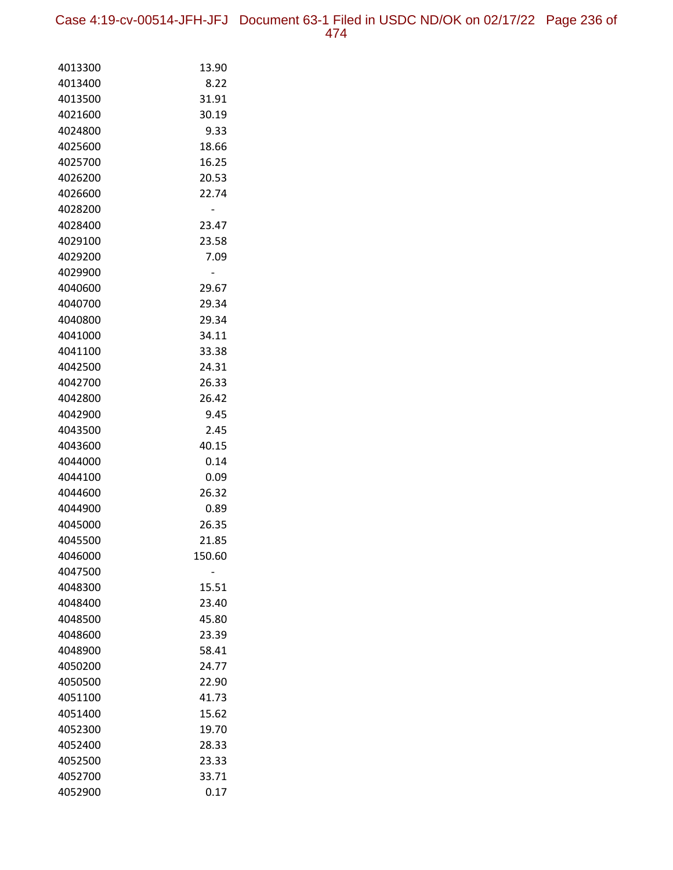Case 4:19-cv-00514-JFH-JFJ Document 63-1 Filed in USDC ND/OK on 02/17/22 Page 236 of 474

| 4013300            | 13.90         |
|--------------------|---------------|
| 4013400            | 8.22          |
| 4013500            | 31.91         |
| 4021600            | 30.19         |
| 4024800            | 9.33          |
| 4025600            | 18.66         |
| 4025700            | 16.25         |
| 4026200            | 20.53         |
| 4026600            | 22.74         |
| 4028200            |               |
| 4028400            | 23.47         |
| 4029100            | 23.58         |
| 4029200            | 7.09          |
| 4029900            |               |
| 4040600            | 29.67         |
| 4040700            | 29.34         |
| 4040800            | 29.34         |
| 4041000            | 34.11         |
| 4041100            | 33.38         |
| 4042500            | 24.31         |
| 4042700            | 26.33         |
| 4042800            | 26.42         |
| 4042900            | 9.45          |
| 4043500<br>4043600 | 2.45          |
| 4044000            | 40.15<br>0.14 |
| 4044100            | 0.09          |
| 4044600            | 26.32         |
| 4044900            | 0.89          |
| 4045000            | 26.35         |
| 4045500            | 21.85         |
| 4046000            | 150.60        |
| 4047500            |               |
| 4048300            | 15.51         |
| 4048400            | 23.40         |
| 4048500            | 45.80         |
| 4048600            | 23.39         |
| 4048900            | 58.41         |
| 4050200            | 24.77         |
| 4050500            | 22.90         |
| 4051100            | 41.73         |
| 4051400            | 15.62         |
| 4052300            | 19.70         |
| 4052400            | 28.33         |
| 4052500            | 23.33         |
| 4052700            | 33.71         |
| 4052900            | 0.17          |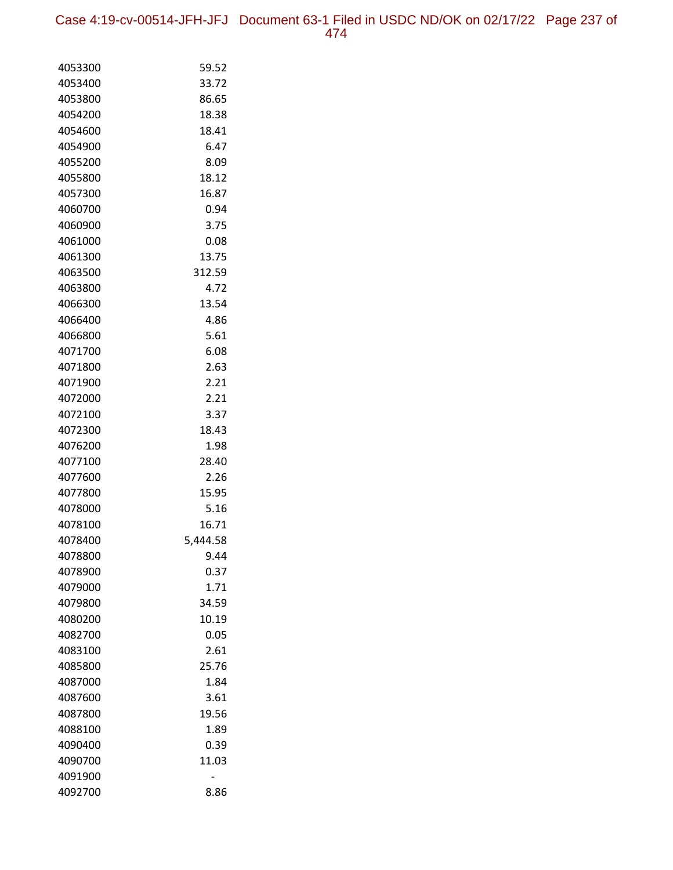Case 4:19-cv-00514-JFH-JFJ Document 63-1 Filed in USDC ND/OK on 02/17/22 Page 237 of 474

| 4053300            | 59.52         |
|--------------------|---------------|
| 4053400            | 33.72         |
| 4053800            | 86.65         |
| 4054200            | 18.38         |
| 4054600            | 18.41         |
| 4054900            | 6.47          |
| 4055200            | 8.09          |
| 4055800            | 18.12         |
| 4057300            | 16.87         |
| 4060700            | 0.94          |
| 4060900            | 3.75          |
| 4061000            | 0.08          |
| 4061300            | 13.75         |
| 4063500            | 312.59        |
| 4063800            | 4.72          |
| 4066300            | 13.54         |
| 4066400            | 4.86          |
| 4066800            | 5.61          |
| 4071700            | 6.08          |
| 4071800            | 2.63          |
| 4071900            | 2.21          |
| 4072000            | 2.21          |
| 4072100            | 3.37          |
| 4072300            | 18.43         |
| 4076200            | 1.98          |
| 4077100            | 28.40         |
| 4077600            | 2.26          |
| 4077800            | 15.95         |
| 4078000            | 5.16          |
| 4078100            | 16.71         |
| 4078400            | 5,444.58      |
| 4078800            | 9.44          |
| 4078900            | 0.37          |
| 4079000            | 1.71<br>34.59 |
| 4079800<br>4080200 | 10.19         |
| 4082700            | 0.05          |
| 4083100            | 2.61          |
| 4085800            | 25.76         |
| 4087000            | 1.84          |
| 4087600            | 3.61          |
| 4087800            | 19.56         |
| 4088100            | 1.89          |
| 4090400            | 0.39          |
| 4090700            | 11.03         |
| 4091900            |               |
| 4092700            | 8.86          |
|                    |               |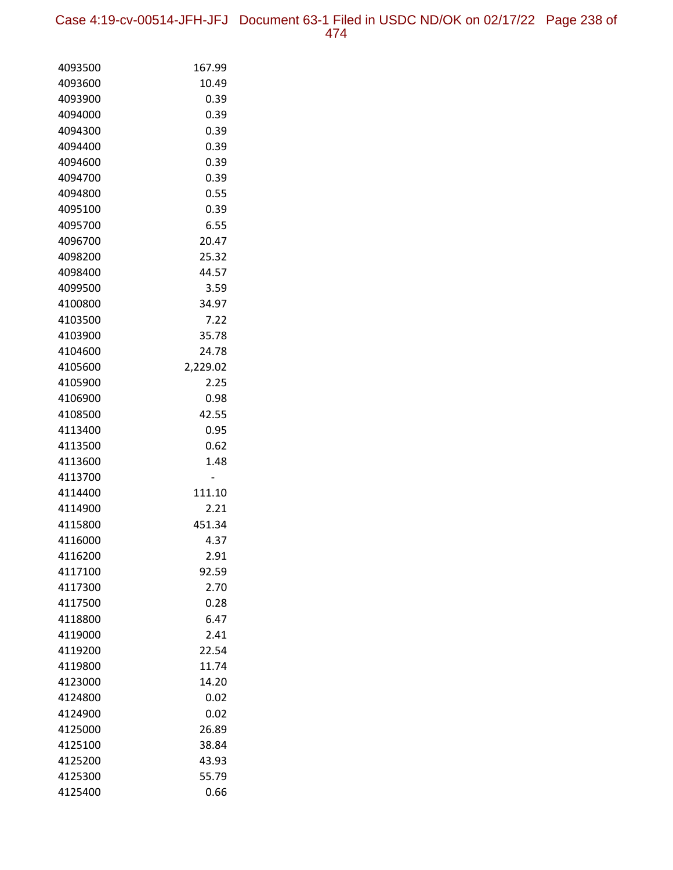Case 4:19-cv-00514-JFH-JFJ Document 63-1 Filed in USDC ND/OK on 02/17/22 Page 238 of 474

| 4093500 | 167.99   |
|---------|----------|
| 4093600 | 10.49    |
| 4093900 | 0.39     |
| 4094000 | 0.39     |
| 4094300 | 0.39     |
| 4094400 | 0.39     |
| 4094600 | 0.39     |
| 4094700 | 0.39     |
| 4094800 | 0.55     |
| 4095100 | 0.39     |
| 4095700 | 6.55     |
| 4096700 | 20.47    |
| 4098200 | 25.32    |
| 4098400 | 44.57    |
| 4099500 | 3.59     |
| 4100800 | 34.97    |
| 4103500 | 7.22     |
| 4103900 | 35.78    |
| 4104600 | 24.78    |
| 4105600 | 2,229.02 |
| 4105900 | 2.25     |
| 4106900 | 0.98     |
| 4108500 | 42.55    |
| 4113400 | 0.95     |
| 4113500 | 0.62     |
| 4113600 | 1.48     |
| 4113700 |          |
| 4114400 | 111.10   |
| 4114900 | 2.21     |
| 4115800 | 451.34   |
| 4116000 | 4.37     |
| 4116200 | 2.91     |
| 4117100 | 92.59    |
| 4117300 | 2.70     |
| 4117500 | 0.28     |
| 4118800 | 6.47     |
| 4119000 | 2.41     |
| 4119200 | 22.54    |
| 4119800 | 11.74    |
| 4123000 | 14.20    |
| 4124800 | 0.02     |
| 4124900 | 0.02     |
| 4125000 | 26.89    |
| 4125100 | 38.84    |
| 4125200 | 43.93    |
| 4125300 | 55.79    |
| 4125400 | 0.66     |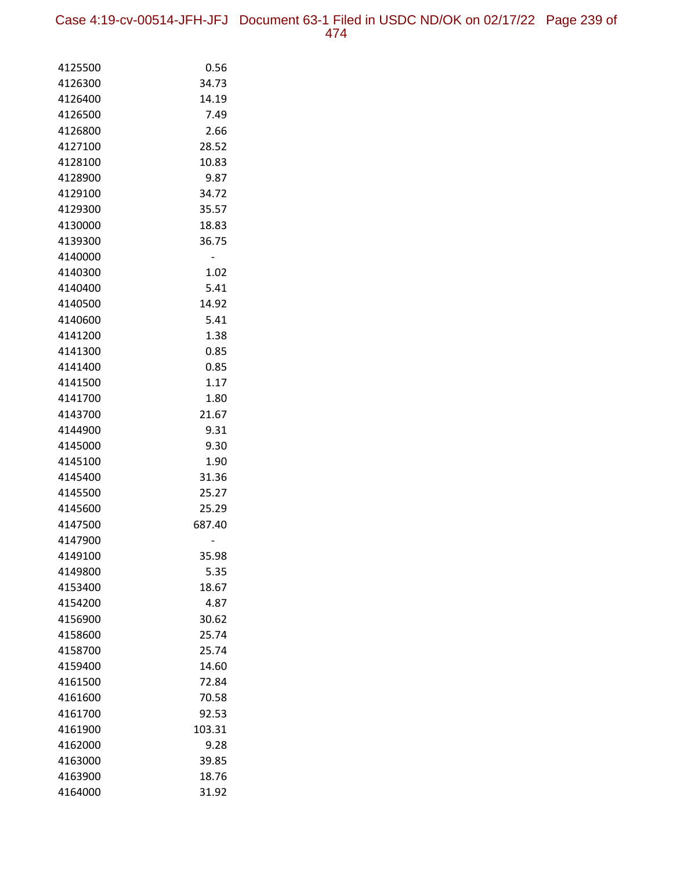Case 4:19-cv-00514-JFH-JFJ Document 63-1 Filed in USDC ND/OK on 02/17/22 Page 239 of 474

| 4125500            | 0.56           |
|--------------------|----------------|
| 4126300            | 34.73          |
| 4126400            | 14.19          |
| 4126500            | 7.49           |
| 4126800            | 2.66           |
| 4127100            | 28.52          |
| 4128100            | 10.83          |
| 4128900            | 9.87           |
| 4129100            | 34.72          |
| 4129300            | 35.57          |
| 4130000            | 18.83          |
| 4139300            | 36.75          |
| 4140000            |                |
| 4140300<br>4140400 | 1.02<br>5.41   |
| 4140500            | 14.92          |
| 4140600            | 5.41           |
| 4141200            | 1.38           |
| 4141300            | 0.85           |
| 4141400            | 0.85           |
| 4141500            | 1.17           |
| 4141700            | 1.80           |
| 4143700            | 21.67          |
| 4144900            | 9.31           |
| 4145000            | 9.30           |
| 4145100            | 1.90           |
| 4145400            | 31.36          |
| 4145500            | 25.27          |
| 4145600            | 25.29          |
| 4147500            | 687.40         |
| 4147900            |                |
| 4149100            | 35.98          |
| 4149800            | 5.35           |
| 4153400            | 18.67          |
| 4154200            | 4.87           |
| 4156900            | 30.62          |
| 4158600            | 25.74          |
| 4158700<br>4159400 | 25.74<br>14.60 |
| 4161500            | 72.84          |
| 4161600            | 70.58          |
| 4161700            | 92.53          |
| 4161900            | 103.31         |
| 4162000            | 9.28           |
| 4163000            | 39.85          |
| 4163900            | 18.76          |
| 4164000            | 31.92          |
|                    |                |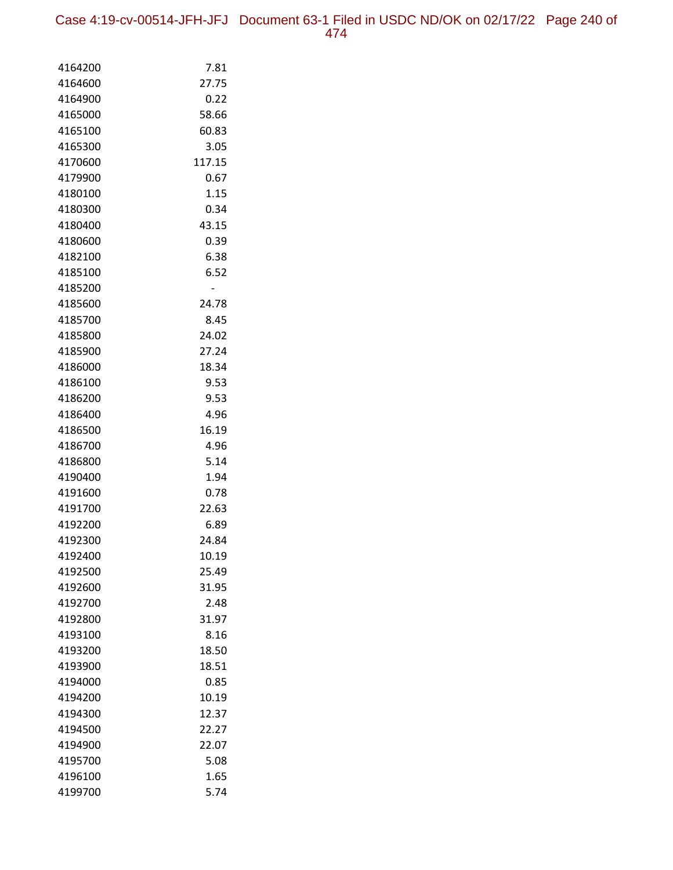Case 4:19-cv-00514-JFH-JFJ Document 63-1 Filed in USDC ND/OK on 02/17/22 Page 240 of 474

| 4164200            | 7.81          |
|--------------------|---------------|
| 4164600            | 27.75         |
| 4164900            | 0.22          |
| 4165000            | 58.66         |
| 4165100            | 60.83         |
| 4165300            | 3.05          |
| 4170600            | 117.15        |
| 4179900            | 0.67          |
| 4180100            | 1.15          |
| 4180300            | 0.34          |
| 4180400            | 43.15         |
| 4180600            | 0.39          |
| 4182100            | 6.38          |
| 4185100            | 6.52          |
| 4185200            |               |
| 4185600            | 24.78         |
| 4185700            | 8.45          |
| 4185800            | 24.02         |
| 4185900            | 27.24         |
| 4186000            | 18.34         |
| 4186100            | 9.53          |
| 4186200            | 9.53          |
| 4186400<br>4186500 | 4.96<br>16.19 |
| 4186700            | 4.96          |
| 4186800            | 5.14          |
| 4190400            | 1.94          |
| 4191600            | 0.78          |
| 4191700            | 22.63         |
| 4192200            | 6.89          |
| 4192300            | 24.84         |
| 4192400            | 10.19         |
| 4192500            | 25.49         |
| 4192600            | 31.95         |
| 4192700            | 2.48          |
| 4192800            | 31.97         |
| 4193100            | 8.16          |
| 4193200            | 18.50         |
| 4193900            | 18.51         |
| 4194000            | 0.85          |
| 4194200            | 10.19         |
| 4194300            | 12.37         |
| 4194500            | 22.27         |
| 4194900            | 22.07         |
| 4195700            | 5.08          |
| 4196100            | 1.65          |
| 4199700            | 5.74          |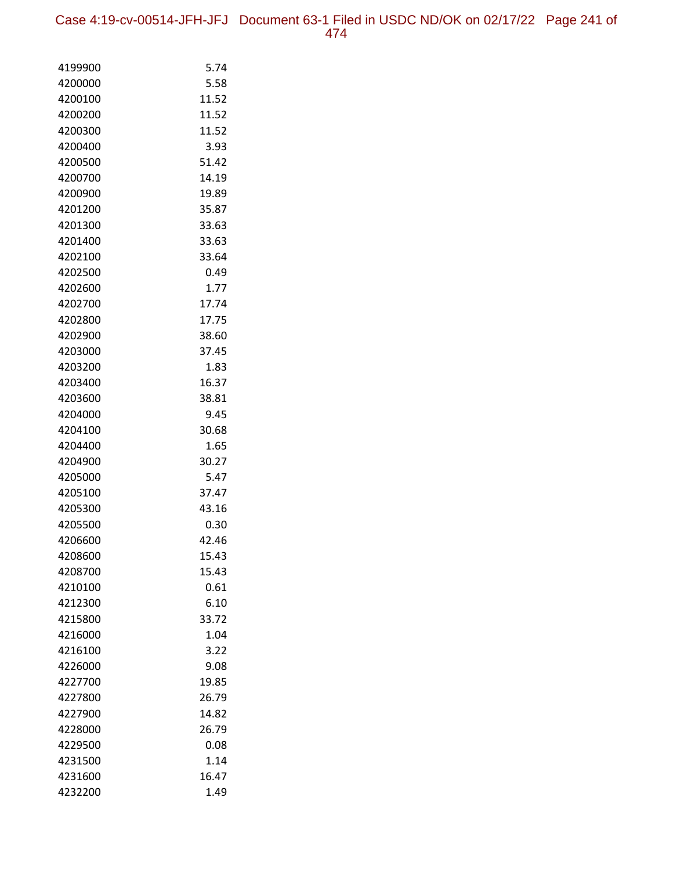| 4199900 | 5.74  |
|---------|-------|
| 4200000 | 5.58  |
| 4200100 | 11.52 |
| 4200200 | 11.52 |
| 4200300 | 11.52 |
| 4200400 | 3.93  |
| 4200500 | 51.42 |
| 4200700 | 14.19 |
| 4200900 | 19.89 |
| 4201200 | 35.87 |
| 4201300 | 33.63 |
| 4201400 | 33.63 |
| 4202100 | 33.64 |
| 4202500 | 0.49  |
| 4202600 | 1.77  |
| 4202700 | 17.74 |
| 4202800 | 17.75 |
| 4202900 | 38.60 |
| 4203000 | 37.45 |
| 4203200 | 1.83  |
| 4203400 | 16.37 |
| 4203600 | 38.81 |
| 4204000 | 9.45  |
| 4204100 | 30.68 |
| 4204400 | 1.65  |
| 4204900 | 30.27 |
| 4205000 | 5.47  |
| 4205100 | 37.47 |
| 4205300 | 43.16 |
| 4205500 | 0.30  |
| 4206600 | 42.46 |
| 4208600 | 15.43 |
| 4208700 | 15.43 |
| 4210100 | 0.61  |
| 4212300 | 6.10  |
| 4215800 | 33.72 |
| 4216000 | 1.04  |
| 4216100 | 3.22  |
| 4226000 | 9.08  |
| 4227700 | 19.85 |
| 4227800 | 26.79 |
| 4227900 | 14.82 |
| 4228000 | 26.79 |
| 4229500 | 0.08  |
| 4231500 | 1.14  |
| 4231600 | 16.47 |
| 4232200 | 1.49  |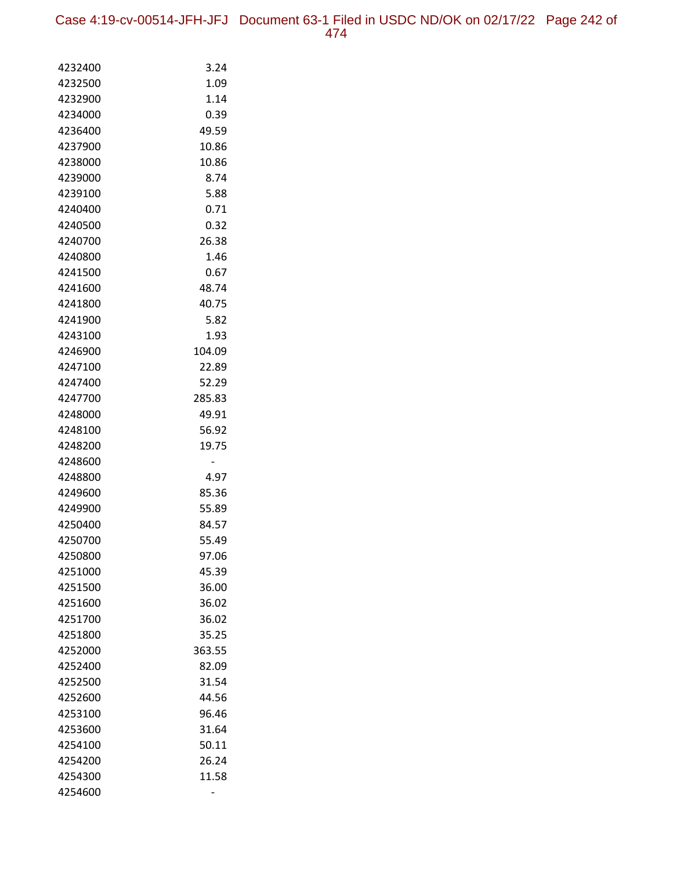Case 4:19-cv-00514-JFH-JFJ Document 63-1 Filed in USDC ND/OK on 02/17/22 Page 242 of 474

| 4232400            | 3.24           |
|--------------------|----------------|
| 4232500            | 1.09           |
| 4232900            | 1.14           |
| 4234000            | 0.39           |
| 4236400            | 49.59          |
| 4237900            | 10.86          |
| 4238000            | 10.86          |
| 4239000            | 8.74           |
| 4239100            | 5.88           |
| 4240400            | 0.71           |
| 4240500            | 0.32           |
| 4240700            | 26.38          |
| 4240800            | 1.46           |
| 4241500            | 0.67           |
| 4241600            | 48.74          |
| 4241800            | 40.75          |
| 4241900            | 5.82           |
| 4243100            | 1.93           |
| 4246900            | 104.09         |
| 4247100            | 22.89          |
| 4247400            | 52.29          |
| 4247700            | 285.83         |
| 4248000            | 49.91          |
| 4248100            | 56.92          |
| 4248200            | 19.75          |
| 4248600            |                |
| 4248800            | 4.97           |
| 4249600            | 85.36          |
| 4249900            | 55.89          |
| 4250400            | 84.57          |
| 4250700            | 55.49          |
| 4250800<br>4251000 | 97.06<br>45.39 |
| 4251500            | 36.00          |
| 4251600            | 36.02          |
| 4251700            | 36.02          |
| 4251800            | 35.25          |
| 4252000            | 363.55         |
| 4252400            | 82.09          |
| 4252500            | 31.54          |
| 4252600            | 44.56          |
| 4253100            | 96.46          |
| 4253600            | 31.64          |
| 4254100            | 50.11          |
| 4254200            | 26.24          |
| 4254300            | 11.58          |
| 4254600            |                |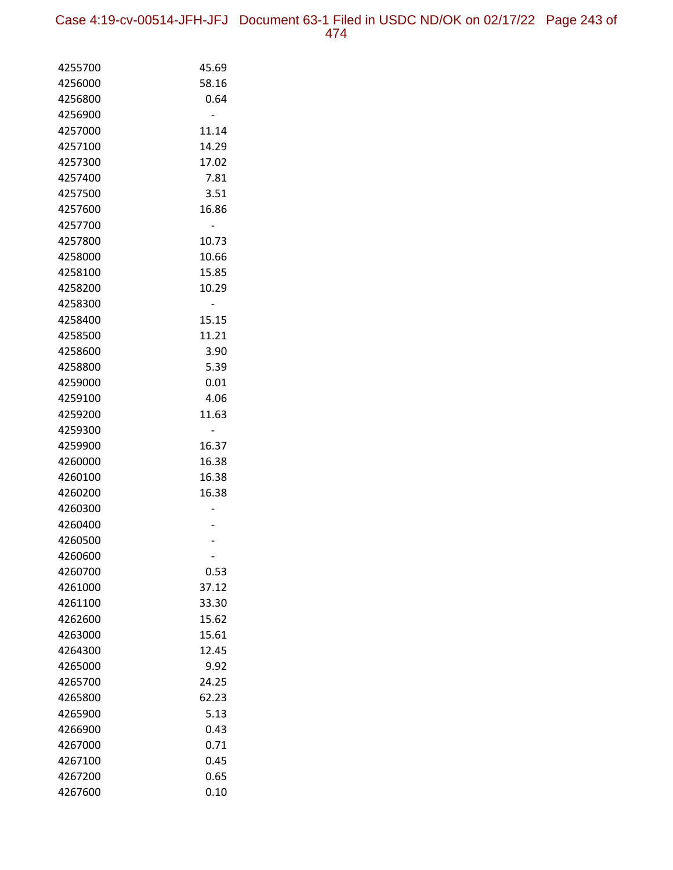Case 4:19-cv-00514-JFH-JFJ Document 63-1 Filed in USDC ND/OK on 02/17/22 Page 243 of 474

| 4255700            | 45.69 |
|--------------------|-------|
| 4256000            | 58.16 |
| 4256800            | 0.64  |
| 4256900            |       |
| 4257000            | 11.14 |
| 4257100            | 14.29 |
| 4257300            | 17.02 |
| 4257400            | 7.81  |
| 4257500            | 3.51  |
| 4257600            | 16.86 |
| 4257700            |       |
| 4257800            | 10.73 |
| 4258000            | 10.66 |
| 4258100            | 15.85 |
| 4258200            | 10.29 |
| 4258300            |       |
| 4258400            | 15.15 |
| 4258500            | 11.21 |
| 4258600            | 3.90  |
| 4258800            | 5.39  |
| 4259000            | 0.01  |
| 4259100            | 4.06  |
| 4259200            | 11.63 |
| 4259300            |       |
| 4259900            | 16.37 |
| 4260000            | 16.38 |
| 4260100            | 16.38 |
| 4260200            | 16.38 |
| 4260300            |       |
| 4260400            |       |
| 4260500<br>4260600 |       |
| 4260700            | 0.53  |
| 4261000            | 37.12 |
| 4261100            | 33.30 |
| 4262600            | 15.62 |
| 4263000            | 15.61 |
| 4264300            | 12.45 |
| 4265000            | 9.92  |
| 4265700            | 24.25 |
| 4265800            | 62.23 |
| 4265900            | 5.13  |
| 4266900            | 0.43  |
| 4267000            | 0.71  |
| 4267100            | 0.45  |
| 4267200            | 0.65  |
| 4267600            | 0.10  |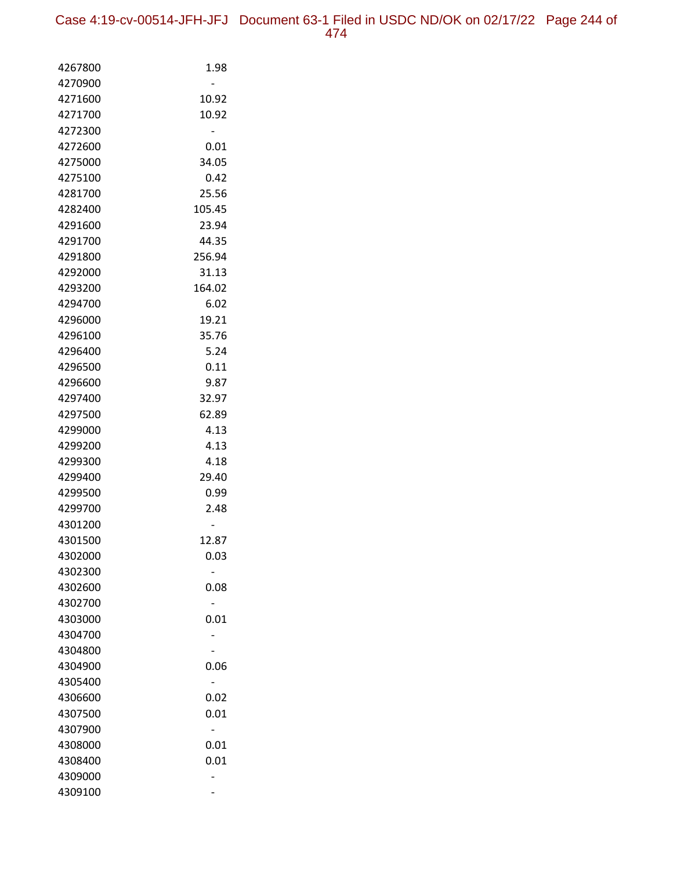| 4267800 | 1.98   |
|---------|--------|
| 4270900 |        |
| 4271600 | 10.92  |
| 4271700 | 10.92  |
| 4272300 |        |
| 4272600 | 0.01   |
| 4275000 | 34.05  |
| 4275100 | 0.42   |
| 4281700 | 25.56  |
| 4282400 | 105.45 |
| 4291600 | 23.94  |
| 4291700 | 44.35  |
| 4291800 | 256.94 |
| 4292000 | 31.13  |
| 4293200 | 164.02 |
| 4294700 | 6.02   |
| 4296000 | 19.21  |
| 4296100 | 35.76  |
| 4296400 | 5.24   |
| 4296500 | 0.11   |
| 4296600 | 9.87   |
| 4297400 | 32.97  |
| 4297500 | 62.89  |
| 4299000 | 4.13   |
| 4299200 | 4.13   |
| 4299300 | 4.18   |
| 4299400 | 29.40  |
| 4299500 | 0.99   |
| 4299700 | 2.48   |
| 4301200 |        |
| 4301500 | 12.87  |
| 4302000 | 0.03   |
| 4302300 |        |
| 4302600 | 0.08   |
| 4302700 |        |
| 4303000 | 0.01   |
| 4304700 |        |
| 4304800 |        |
| 4304900 | 0.06   |
| 4305400 |        |
| 4306600 | 0.02   |
| 4307500 | 0.01   |
| 4307900 |        |
| 4308000 | 0.01   |
| 4308400 | 0.01   |
| 4309000 |        |
| 4309100 |        |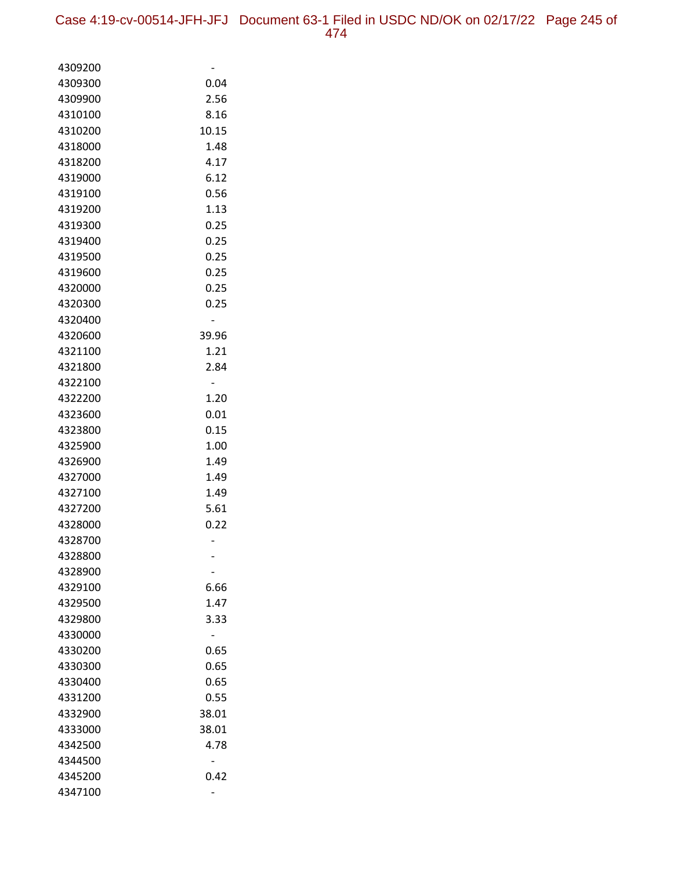| 4309200            |              |
|--------------------|--------------|
| 4309300            | 0.04         |
| 4309900            | 2.56         |
| 4310100            | 8.16         |
| 4310200            | 10.15        |
| 4318000            | 1.48         |
| 4318200            | 4.17         |
| 4319000            | 6.12         |
| 4319100            | 0.56         |
| 4319200            | 1.13         |
| 4319300            | 0.25         |
| 4319400            | 0.25         |
| 4319500            | 0.25         |
| 4319600            | 0.25         |
| 4320000            | 0.25         |
| 4320300            | 0.25         |
| 4320400            |              |
| 4320600            | 39.96        |
| 4321100            | 1.21         |
| 4321800            | 2.84         |
| 4322100            |              |
| 4322200            | 1.20         |
| 4323600            | 0.01         |
| 4323800            | 0.15         |
| 4325900            | 1.00         |
| 4326900            | 1.49         |
| 4327000            | 1.49         |
| 4327100            | 1.49         |
| 4327200            | 5.61         |
| 4328000            | 0.22         |
| 4328700            |              |
| 4328800            |              |
| 4328900            |              |
| 4329100            | 6.66<br>1.47 |
| 4329500<br>4329800 | 3.33         |
|                    |              |
| 4330000<br>4330200 | 0.65         |
| 4330300            | 0.65         |
| 4330400            | 0.65         |
| 4331200            | 0.55         |
| 4332900            | 38.01        |
| 4333000            | 38.01        |
| 4342500            | 4.78         |
| 4344500            |              |
| 4345200            | 0.42         |
| 4347100            |              |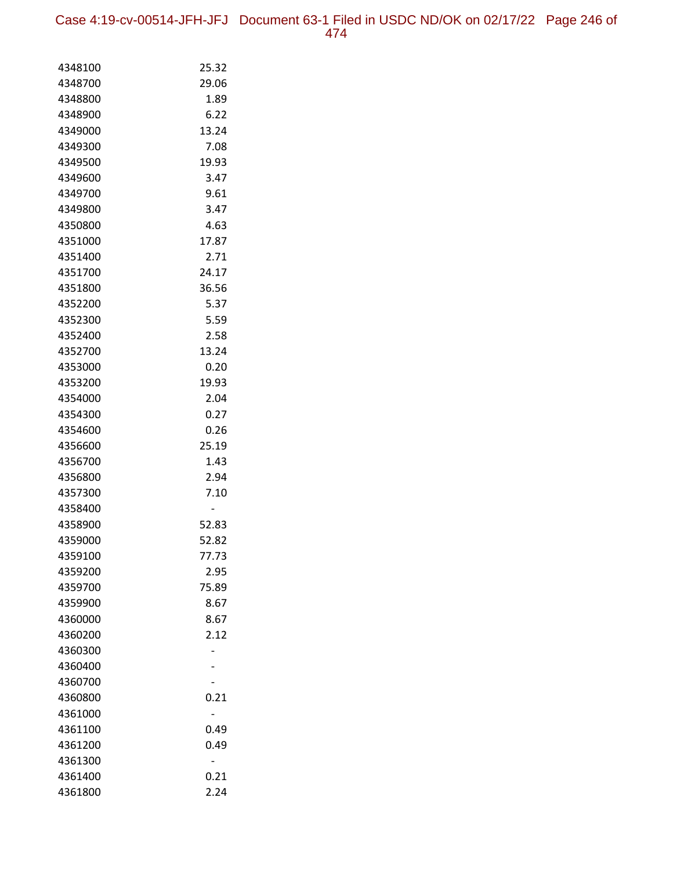Case 4:19-cv-00514-JFH-JFJ Document 63-1 Filed in USDC ND/OK on 02/17/22 Page 246 of 474

| 4348100            | 25.32        |
|--------------------|--------------|
| 4348700            | 29.06        |
| 4348800            | 1.89         |
| 4348900            | 6.22         |
| 4349000            | 13.24        |
| 4349300            | 7.08         |
| 4349500            | 19.93        |
| 4349600            | 3.47         |
| 4349700            | 9.61         |
| 4349800            | 3.47         |
| 4350800            | 4.63         |
| 4351000            | 17.87        |
| 4351400            | 2.71         |
| 4351700            | 24.17        |
| 4351800            | 36.56        |
| 4352200            | 5.37         |
| 4352300            | 5.59         |
| 4352400            | 2.58         |
| 4352700            | 13.24        |
| 4353000            | 0.20         |
| 4353200            | 19.93        |
| 4354000            | 2.04         |
| 4354300            | 0.27         |
| 4354600            | 0.26         |
| 4356600            | 25.19        |
| 4356700            | 1.43         |
| 4356800            | 2.94<br>7.10 |
| 4357300<br>4358400 |              |
| 4358900            | 52.83        |
| 4359000            | 52.82        |
| 4359100            | 77.73        |
| 4359200            | 2.95         |
| 4359700            | 75.89        |
| 4359900            | 8.67         |
| 4360000            | 8.67         |
| 4360200            | 2.12         |
| 4360300            |              |
| 4360400            |              |
| 4360700            |              |
| 4360800            | 0.21         |
| 4361000            |              |
| 4361100            | 0.49         |
| 4361200            | 0.49         |
| 4361300            |              |
| 4361400            | 0.21         |
| 4361800            | 2.24         |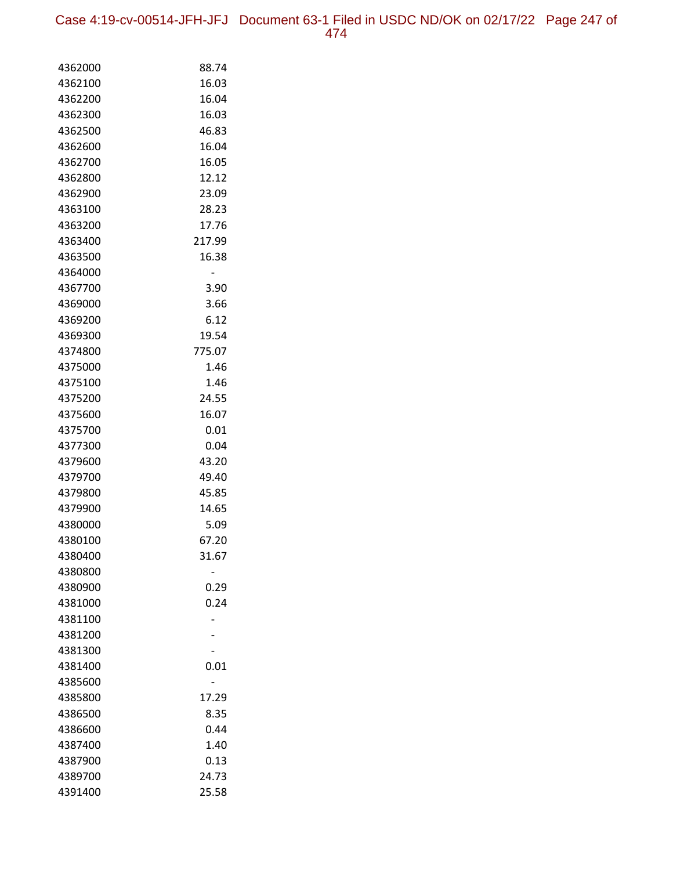Case 4:19-cv-00514-JFH-JFJ Document 63-1 Filed in USDC ND/OK on 02/17/22 Page 247 of 474

| 4362000            | 88.74  |
|--------------------|--------|
| 4362100            | 16.03  |
| 4362200            | 16.04  |
| 4362300            | 16.03  |
| 4362500            | 46.83  |
| 4362600            | 16.04  |
| 4362700            | 16.05  |
| 4362800            | 12.12  |
| 4362900            | 23.09  |
| 4363100            | 28.23  |
| 4363200            | 17.76  |
| 4363400            | 217.99 |
| 4363500            | 16.38  |
| 4364000            |        |
| 4367700            | 3.90   |
| 4369000            | 3.66   |
| 4369200            | 6.12   |
| 4369300            | 19.54  |
| 4374800            | 775.07 |
| 4375000            | 1.46   |
| 4375100            | 1.46   |
| 4375200            | 24.55  |
| 4375600            | 16.07  |
| 4375700            | 0.01   |
| 4377300            | 0.04   |
| 4379600            | 43.20  |
| 4379700            | 49.40  |
| 4379800            | 45.85  |
| 4379900            | 14.65  |
| 4380000            | 5.09   |
| 4380100            | 67.20  |
| 4380400            | 31.67  |
| 4380800<br>4380900 | 0.29   |
| 4381000            | 0.24   |
| 4381100            |        |
| 4381200            |        |
| 4381300            |        |
| 4381400            | 0.01   |
| 4385600            |        |
| 4385800            | 17.29  |
| 4386500            | 8.35   |
| 4386600            | 0.44   |
| 4387400            | 1.40   |
| 4387900            | 0.13   |
| 4389700            | 24.73  |
| 4391400            | 25.58  |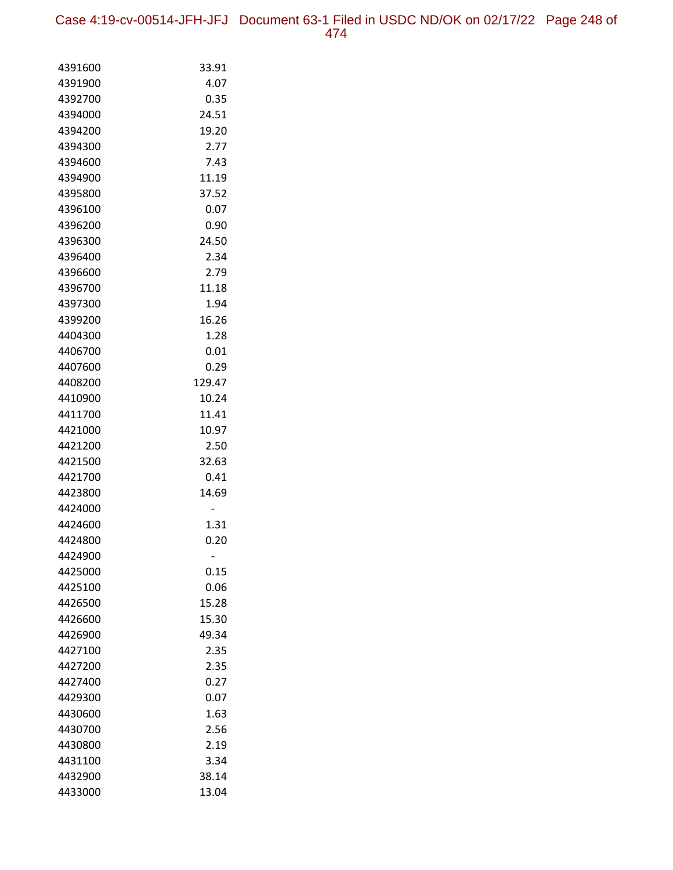Case 4:19-cv-00514-JFH-JFJ Document 63-1 Filed in USDC ND/OK on 02/17/22 Page 248 of 474

| 4391600 | 33.91  |
|---------|--------|
| 4391900 | 4.07   |
| 4392700 | 0.35   |
| 4394000 | 24.51  |
| 4394200 | 19.20  |
| 4394300 | 2.77   |
| 4394600 | 7.43   |
| 4394900 | 11.19  |
| 4395800 | 37.52  |
| 4396100 | 0.07   |
| 4396200 | 0.90   |
| 4396300 | 24.50  |
| 4396400 | 2.34   |
| 4396600 | 2.79   |
| 4396700 | 11.18  |
| 4397300 | 1.94   |
| 4399200 | 16.26  |
| 4404300 | 1.28   |
| 4406700 | 0.01   |
| 4407600 | 0.29   |
| 4408200 | 129.47 |
| 4410900 | 10.24  |
| 4411700 | 11.41  |
| 4421000 | 10.97  |
| 4421200 | 2.50   |
| 4421500 | 32.63  |
| 4421700 | 0.41   |
| 4423800 | 14.69  |
| 4424000 |        |
| 4424600 | 1.31   |
| 4424800 | 0.20   |
| 4424900 |        |
| 4425000 | 0.15   |
| 4425100 | 0.06   |
| 4426500 | 15.28  |
| 4426600 | 15.30  |
| 4426900 | 49.34  |
| 4427100 | 2.35   |
| 4427200 | 2.35   |
| 4427400 | 0.27   |
| 4429300 | 0.07   |
| 4430600 | 1.63   |
| 4430700 | 2.56   |
| 4430800 | 2.19   |
| 4431100 | 3.34   |
| 4432900 | 38.14  |
| 4433000 | 13.04  |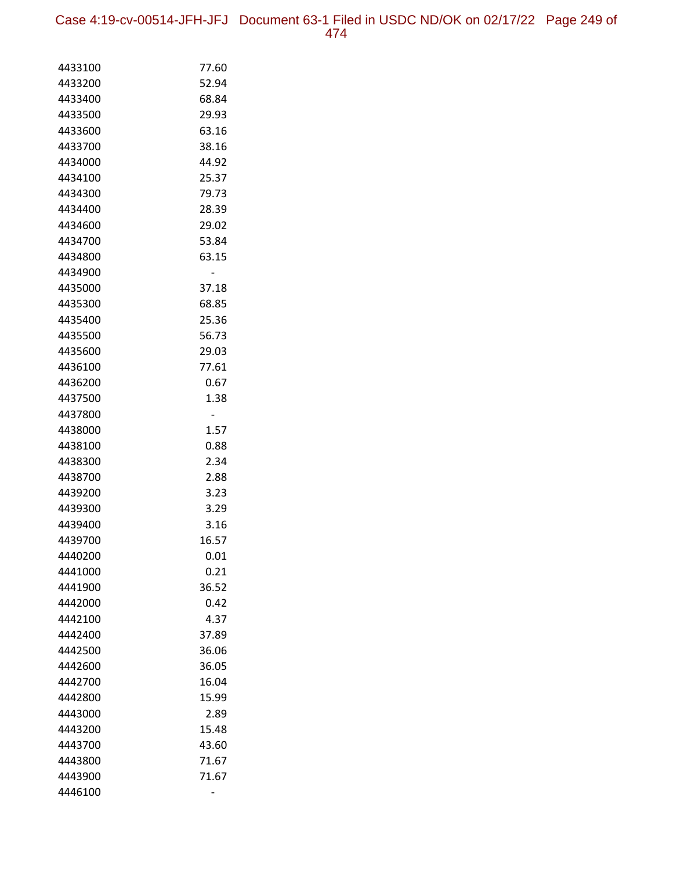Case 4:19-cv-00514-JFH-JFJ Document 63-1 Filed in USDC ND/OK on 02/17/22 Page 249 of 474

| 4433100            | 77.60          |
|--------------------|----------------|
| 4433200            | 52.94          |
| 4433400            | 68.84          |
| 4433500            | 29.93          |
| 4433600            | 63.16          |
| 4433700            | 38.16          |
| 4434000            | 44.92          |
| 4434100            | 25.37          |
| 4434300            | 79.73          |
| 4434400            | 28.39          |
| 4434600            | 29.02          |
| 4434700            | 53.84          |
| 4434800            | 63.15          |
| 4434900            |                |
| 4435000            | 37.18          |
| 4435300            | 68.85          |
| 4435400            | 25.36          |
| 4435500            | 56.73          |
| 4435600            | 29.03          |
| 4436100            | 77.61          |
| 4436200            | 0.67           |
| 4437500            | 1.38           |
| 4437800            |                |
| 4438000            | 1.57           |
| 4438100            | 0.88           |
| 4438300            | 2.34           |
| 4438700            | 2.88           |
| 4439200            | 3.23           |
| 4439300            | 3.29           |
| 4439400            | 3.16           |
| 4439700            | 16.57          |
| 4440200            | 0.01           |
| 4441000            | 0.21           |
| 4441900            | 36.52          |
| 4442000            | 0.42           |
| 4442100            | 4.37           |
| 4442400            | 37.89          |
| 4442500            | 36.06          |
| 4442600            | 36.05          |
| 4442700            | 16.04          |
| 4442800            | 15.99          |
| 4443000            | 2.89           |
| 4443200<br>4443700 | 15.48<br>43.60 |
| 4443800            | 71.67          |
| 4443900            | 71.67          |
| 4446100            |                |
|                    |                |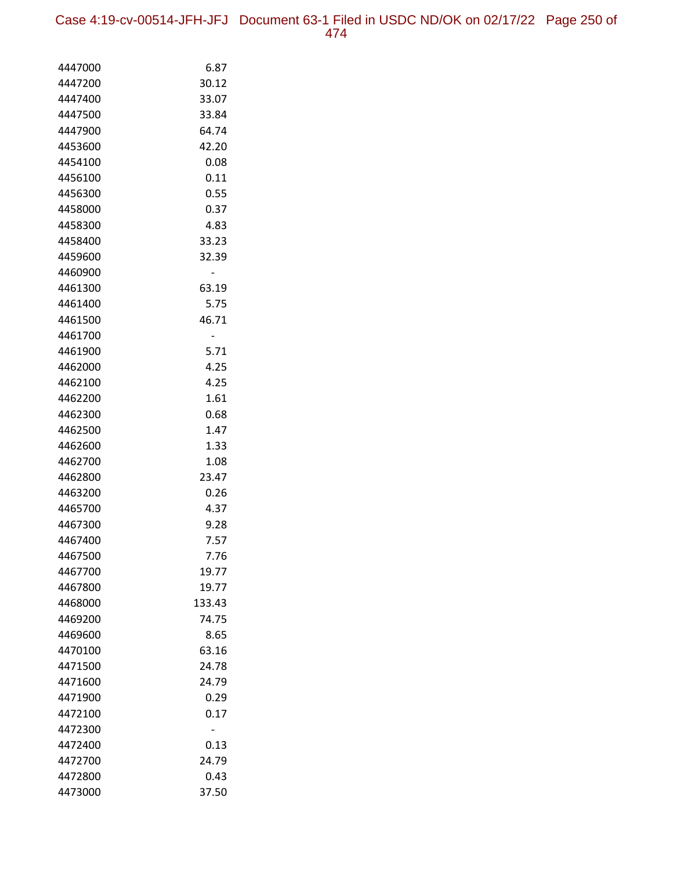Case 4:19-cv-00514-JFH-JFJ Document 63-1 Filed in USDC ND/OK on 02/17/22 Page 250 of 474

| 4447000 | 6.87   |
|---------|--------|
| 4447200 | 30.12  |
| 4447400 | 33.07  |
| 4447500 | 33.84  |
| 4447900 | 64.74  |
| 4453600 | 42.20  |
| 4454100 | 0.08   |
| 4456100 | 0.11   |
| 4456300 | 0.55   |
| 4458000 | 0.37   |
| 4458300 | 4.83   |
| 4458400 | 33.23  |
| 4459600 | 32.39  |
| 4460900 |        |
| 4461300 | 63.19  |
| 4461400 | 5.75   |
| 4461500 | 46.71  |
| 4461700 |        |
| 4461900 | 5.71   |
| 4462000 | 4.25   |
| 4462100 | 4.25   |
| 4462200 | 1.61   |
| 4462300 | 0.68   |
| 4462500 | 1.47   |
| 4462600 | 1.33   |
| 4462700 | 1.08   |
| 4462800 | 23.47  |
| 4463200 | 0.26   |
| 4465700 | 4.37   |
| 4467300 | 9.28   |
| 4467400 | 7.57   |
| 4467500 | 7.76   |
| 4467700 | 19.77  |
| 4467800 | 19.77  |
| 4468000 | 133.43 |
| 4469200 | 74.75  |
| 4469600 | 8.65   |
| 4470100 | 63.16  |
| 4471500 | 24.78  |
| 4471600 | 24.79  |
| 4471900 | 0.29   |
| 4472100 | 0.17   |
| 4472300 |        |
| 4472400 | 0.13   |
| 4472700 | 24.79  |
| 4472800 | 0.43   |
| 4473000 | 37.50  |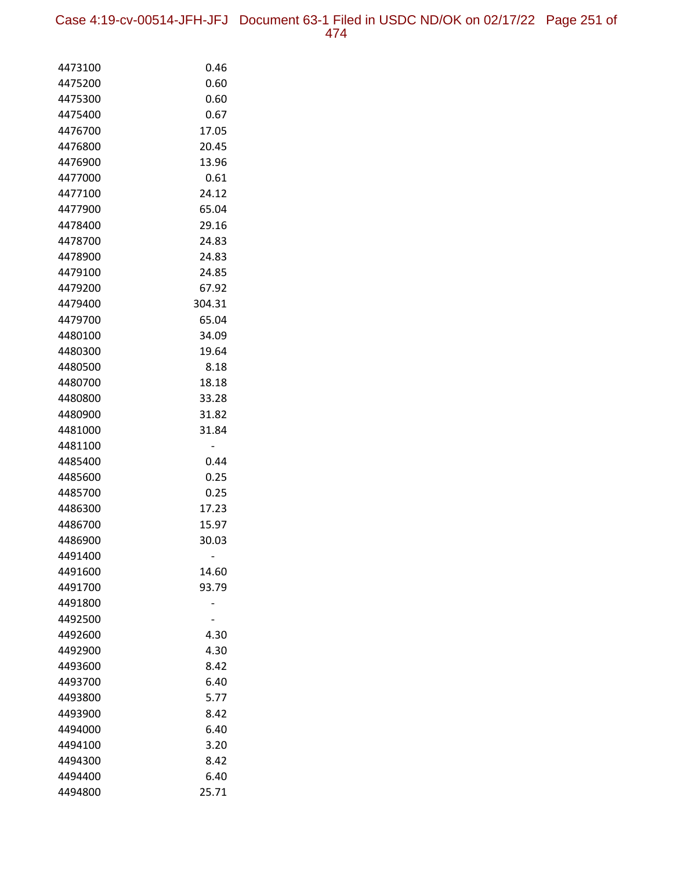Case 4:19-cv-00514-JFH-JFJ Document 63-1 Filed in USDC ND/OK on 02/17/22 Page 251 of 474

| 4473100 | 0.46   |
|---------|--------|
| 4475200 | 0.60   |
| 4475300 | 0.60   |
| 4475400 | 0.67   |
| 4476700 | 17.05  |
| 4476800 | 20.45  |
| 4476900 | 13.96  |
| 4477000 | 0.61   |
| 4477100 | 24.12  |
| 4477900 | 65.04  |
| 4478400 | 29.16  |
| 4478700 | 24.83  |
| 4478900 | 24.83  |
| 4479100 | 24.85  |
| 4479200 | 67.92  |
| 4479400 | 304.31 |
| 4479700 | 65.04  |
| 4480100 | 34.09  |
| 4480300 | 19.64  |
| 4480500 | 8.18   |
| 4480700 | 18.18  |
| 4480800 | 33.28  |
| 4480900 | 31.82  |
| 4481000 | 31.84  |
| 4481100 |        |
| 4485400 | 0.44   |
| 4485600 | 0.25   |
| 4485700 | 0.25   |
| 4486300 | 17.23  |
| 4486700 | 15.97  |
| 4486900 | 30.03  |
| 4491400 |        |
| 4491600 | 14.60  |
| 4491700 | 93.79  |
| 4491800 |        |
| 4492500 |        |
| 4492600 | 4.30   |
| 4492900 | 4.30   |
| 4493600 | 8.42   |
| 4493700 | 6.40   |
| 4493800 | 5.77   |
| 4493900 | 8.42   |
| 4494000 | 6.40   |
| 4494100 | 3.20   |
| 4494300 | 8.42   |
| 4494400 | 6.40   |
| 4494800 | 25.71  |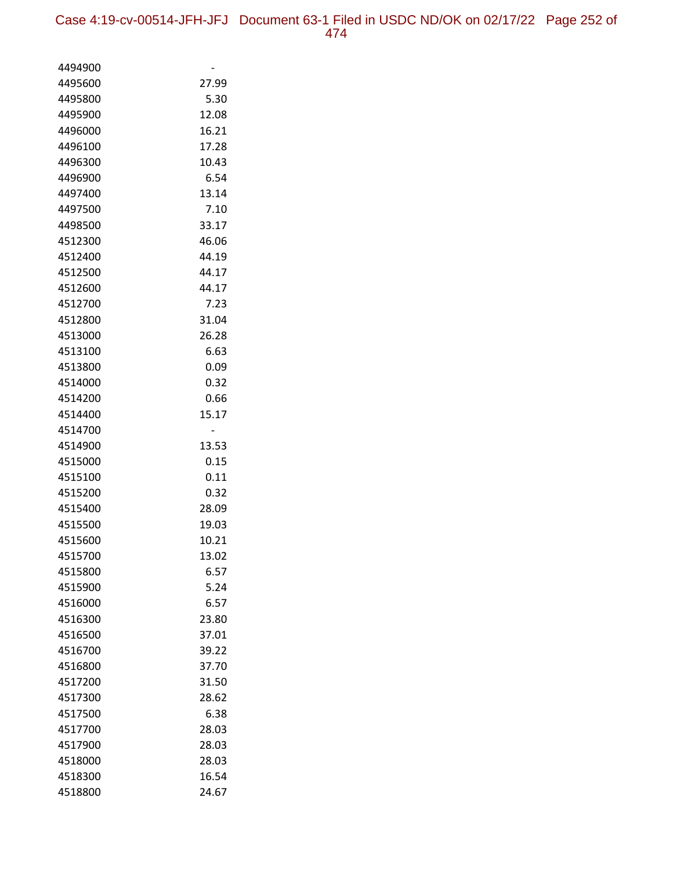| 4494900            |                |
|--------------------|----------------|
| 4495600            | 27.99          |
| 4495800            | 5.30           |
| 4495900            | 12.08          |
| 4496000            | 16.21          |
| 4496100            | 17.28          |
| 4496300            | 10.43          |
| 4496900            | 6.54           |
| 4497400            | 13.14          |
| 4497500            | 7.10           |
| 4498500            | 33.17          |
| 4512300            | 46.06          |
| 4512400            | 44.19          |
| 4512500            | 44.17          |
| 4512600            | 44.17          |
| 4512700            | 7.23           |
| 4512800            | 31.04          |
| 4513000            | 26.28          |
| 4513100            | 6.63           |
| 4513800            | 0.09           |
| 4514000            | 0.32           |
| 4514200            | 0.66           |
| 4514400            | 15.17          |
| 4514700            | -              |
| 4514900            | 13.53          |
| 4515000            | 0.15           |
| 4515100            | 0.11           |
| 4515200            | 0.32           |
| 4515400            | 28.09          |
| 4515500            | 19.03          |
| 4515600            | 10.21<br>13.02 |
| 4515700<br>4515800 | 6.57           |
| 4515900            | 5.24           |
| 4516000            | 6.57           |
| 4516300            | 23.80          |
| 4516500            | 37.01          |
| 4516700            | 39.22          |
| 4516800            | 37.70          |
| 4517200            | 31.50          |
| 4517300            | 28.62          |
| 4517500            | 6.38           |
| 4517700            | 28.03          |
| 4517900            | 28.03          |
| 4518000            | 28.03          |
| 4518300            | 16.54          |
| 4518800            | 24.67          |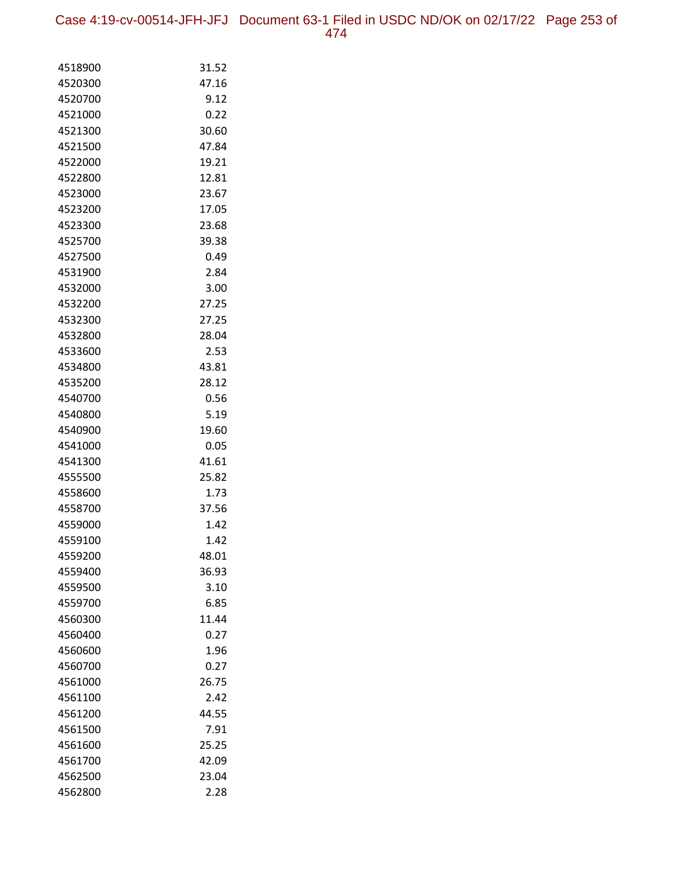Case 4:19-cv-00514-JFH-JFJ Document 63-1 Filed in USDC ND/OK on 02/17/22 Page 253 of 474

| 4518900            | 31.52          |
|--------------------|----------------|
| 4520300            | 47.16          |
| 4520700            | 9.12           |
| 4521000            | 0.22           |
| 4521300            | 30.60          |
| 4521500            | 47.84          |
| 4522000            | 19.21          |
| 4522800            | 12.81          |
| 4523000            | 23.67          |
| 4523200            | 17.05          |
| 4523300            | 23.68          |
| 4525700            | 39.38          |
| 4527500            | 0.49           |
| 4531900            | 2.84           |
| 4532000            | 3.00           |
| 4532200            | 27.25          |
| 4532300            | 27.25          |
| 4532800            | 28.04          |
| 4533600            | 2.53           |
| 4534800            | 43.81          |
| 4535200            | 28.12          |
| 4540700            | 0.56           |
| 4540800            | 5.19           |
| 4540900            | 19.60          |
| 4541000            | 0.05           |
| 4541300            | 41.61          |
| 4555500            | 25.82          |
| 4558600            | 1.73           |
| 4558700            | 37.56          |
| 4559000            | 1.42           |
| 4559100            | 1.42           |
| 4559200<br>4559400 | 48.01<br>36.93 |
| 4559500            | 3.10           |
| 4559700            | 6.85           |
| 4560300            | 11.44          |
| 4560400            | 0.27           |
| 4560600            | 1.96           |
| 4560700            | 0.27           |
| 4561000            | 26.75          |
| 4561100            | 2.42           |
| 4561200            | 44.55          |
| 4561500            | 7.91           |
| 4561600            | 25.25          |
| 4561700            | 42.09          |
| 4562500            | 23.04          |
| 4562800            | 2.28           |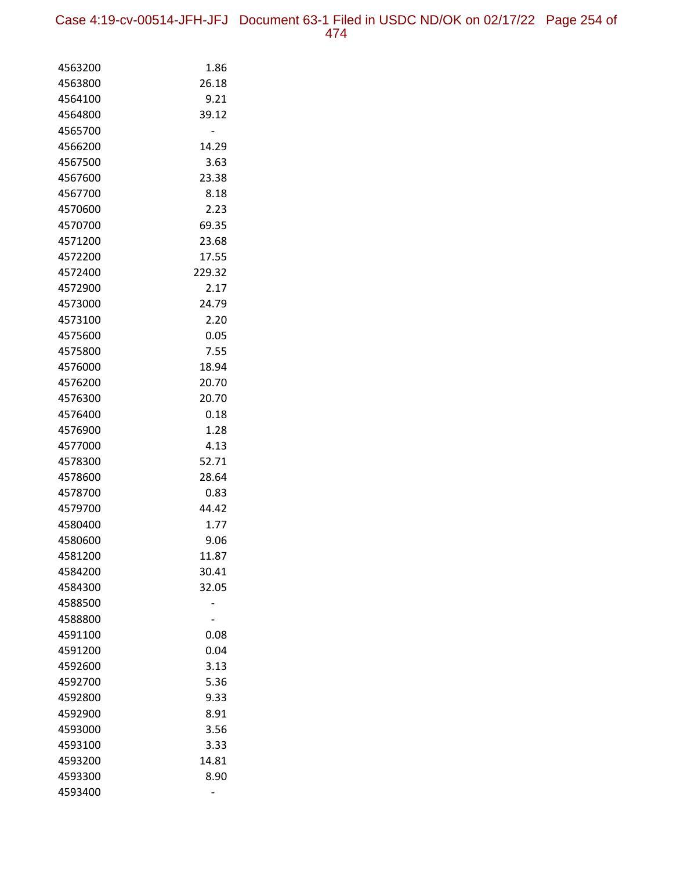Case 4:19-cv-00514-JFH-JFJ Document 63-1 Filed in USDC ND/OK on 02/17/22 Page 254 of 474

| 4563200            | 1.86           |
|--------------------|----------------|
| 4563800            | 26.18          |
| 4564100            | 9.21           |
| 4564800            | 39.12          |
| 4565700            |                |
| 4566200            | 14.29          |
| 4567500            | 3.63           |
| 4567600            | 23.38          |
| 4567700            | 8.18           |
| 4570600            | 2.23           |
| 4570700            | 69.35          |
| 4571200            | 23.68          |
| 4572200            | 17.55          |
| 4572400            | 229.32         |
| 4572900            | 2.17           |
| 4573000            | 24.79          |
| 4573100            | 2.20           |
| 4575600            | 0.05           |
| 4575800            | 7.55           |
| 4576000            | 18.94          |
| 4576200            | 20.70          |
| 4576300            | 20.70          |
| 4576400            | 0.18           |
| 4576900            | 1.28           |
| 4577000            | 4.13           |
| 4578300            | 52.71          |
| 4578600            | 28.64          |
| 4578700            | 0.83           |
| 4579700            | 44.42          |
| 4580400            | 1.77           |
| 4580600            | 9.06           |
| 4581200            | 11.87          |
| 4584200<br>4584300 | 30.41<br>32.05 |
| 4588500            |                |
| 4588800            |                |
| 4591100            | 0.08           |
| 4591200            | 0.04           |
| 4592600            | 3.13           |
| 4592700            | 5.36           |
| 4592800            | 9.33           |
| 4592900            | 8.91           |
| 4593000            | 3.56           |
| 4593100            | 3.33           |
| 4593200            | 14.81          |
| 4593300            | 8.90           |
| 4593400            |                |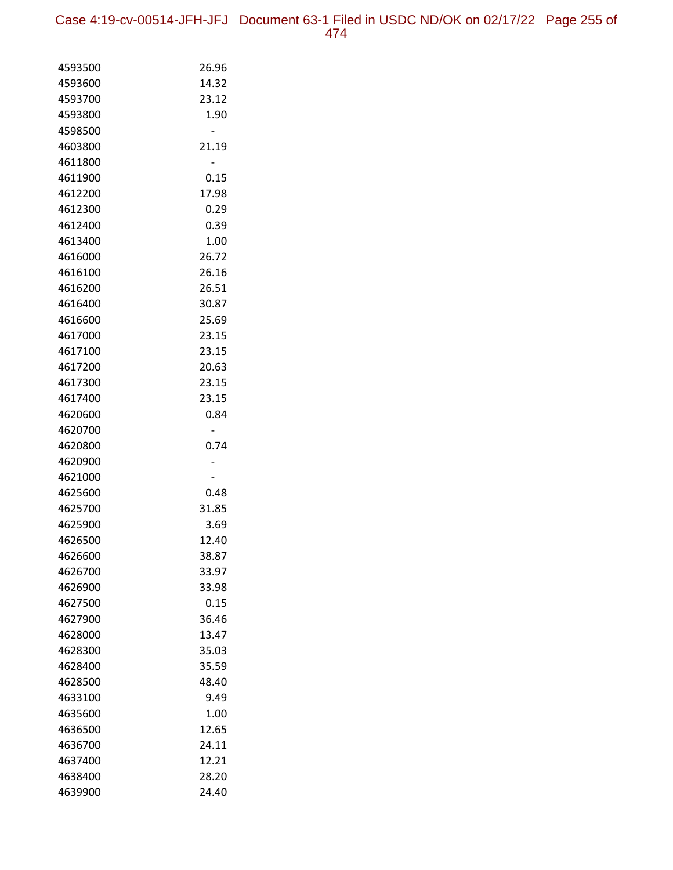Case 4:19-cv-00514-JFH-JFJ Document 63-1 Filed in USDC ND/OK on 02/17/22 Page 255 of 474

| 4593500 | 26.96 |
|---------|-------|
| 4593600 | 14.32 |
| 4593700 | 23.12 |
| 4593800 | 1.90  |
| 4598500 |       |
| 4603800 | 21.19 |
| 4611800 |       |
| 4611900 | 0.15  |
| 4612200 | 17.98 |
| 4612300 | 0.29  |
| 4612400 | 0.39  |
| 4613400 | 1.00  |
| 4616000 | 26.72 |
| 4616100 | 26.16 |
| 4616200 | 26.51 |
| 4616400 | 30.87 |
| 4616600 | 25.69 |
| 4617000 | 23.15 |
| 4617100 | 23.15 |
| 4617200 | 20.63 |
| 4617300 | 23.15 |
| 4617400 | 23.15 |
| 4620600 | 0.84  |
| 4620700 |       |
| 4620800 | 0.74  |
| 4620900 |       |
| 4621000 |       |
| 4625600 | 0.48  |
| 4625700 | 31.85 |
| 4625900 | 3.69  |
| 4626500 | 12.40 |
| 4626600 | 38.87 |
| 4626700 | 33.97 |
| 4626900 | 33.98 |
| 4627500 | 0.15  |
| 4627900 | 36.46 |
| 4628000 | 13.47 |
| 4628300 | 35.03 |
| 4628400 | 35.59 |
| 4628500 | 48.40 |
| 4633100 | 9.49  |
| 4635600 | 1.00  |
| 4636500 | 12.65 |
| 4636700 | 24.11 |
| 4637400 | 12.21 |
| 4638400 | 28.20 |
| 4639900 | 24.40 |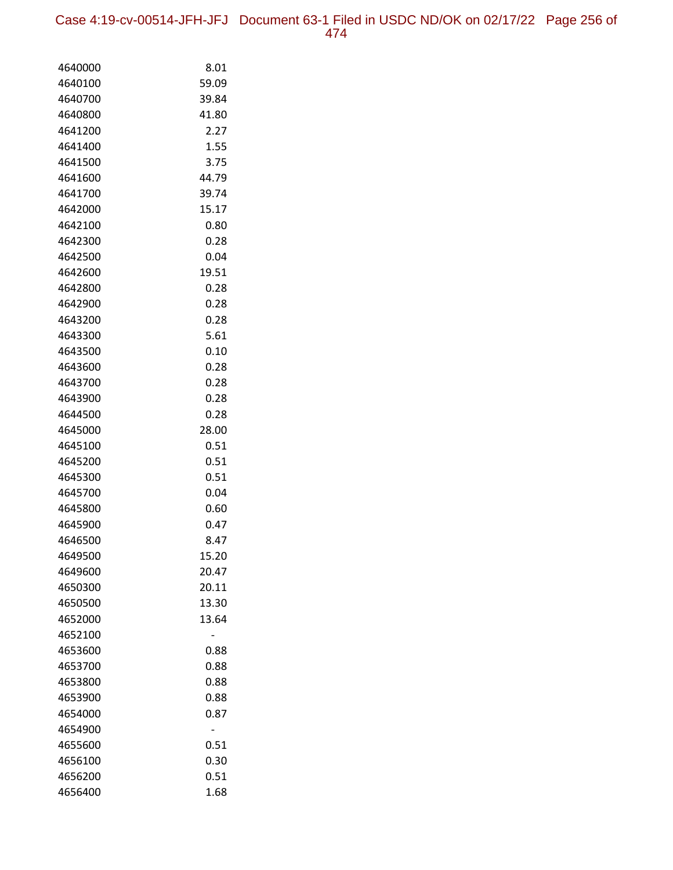Case 4:19-cv-00514-JFH-JFJ Document 63-1 Filed in USDC ND/OK on 02/17/22 Page 256 of 474

| 4640000            | 8.01         |
|--------------------|--------------|
| 4640100            | 59.09        |
| 4640700            | 39.84        |
| 4640800            | 41.80        |
| 4641200            | 2.27         |
| 4641400            | 1.55         |
| 4641500            | 3.75         |
| 4641600            | 44.79        |
| 4641700            | 39.74        |
| 4642000            | 15.17        |
| 4642100            | 0.80         |
| 4642300            | 0.28         |
| 4642500            | 0.04         |
| 4642600            | 19.51        |
| 4642800            | 0.28         |
| 4642900            | 0.28         |
| 4643200            | 0.28         |
| 4643300            | 5.61         |
| 4643500            | 0.10         |
| 4643600            | 0.28         |
| 4643700            | 0.28         |
| 4643900            | 0.28         |
| 4644500            | 0.28         |
| 4645000            | 28.00        |
| 4645100            | 0.51         |
| 4645200            | 0.51         |
| 4645300            | 0.51         |
| 4645700            | 0.04         |
| 4645800            | 0.60         |
| 4645900            | 0.47         |
| 4646500            | 8.47         |
| 4649500            | 15.20        |
| 4649600            | 20.47        |
| 4650300            | 20.11        |
| 4650500            | 13.30        |
| 4652000            | 13.64        |
| 4652100            |              |
| 4653600            | 0.88<br>0.88 |
| 4653700            |              |
| 4653800<br>4653900 | 0.88<br>0.88 |
| 4654000            | 0.87         |
| 4654900            |              |
| 4655600            | 0.51         |
| 4656100            | 0.30         |
| 4656200            | 0.51         |
| 4656400            | 1.68         |
|                    |              |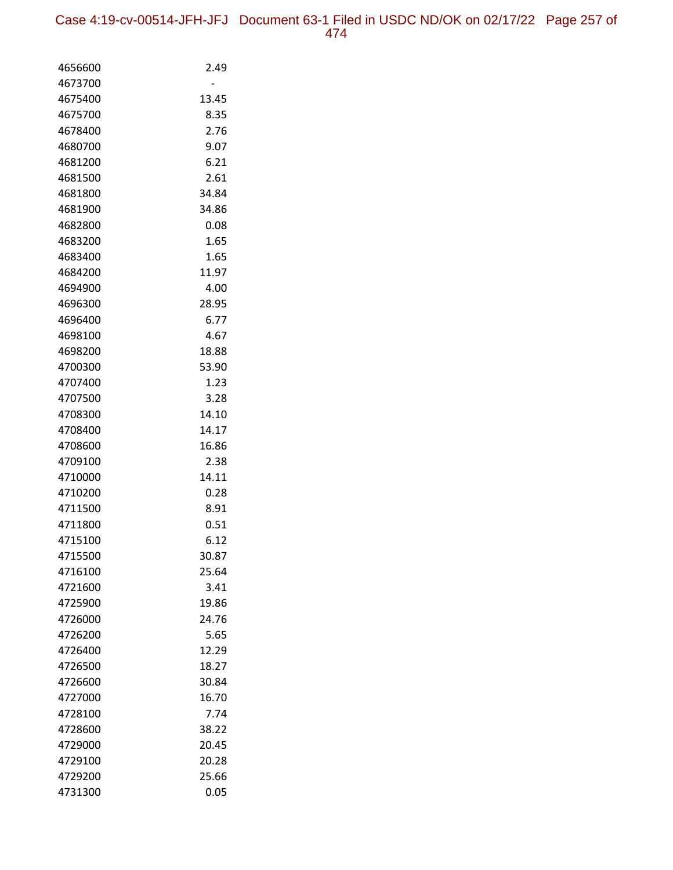| 4656600            | 2.49           |
|--------------------|----------------|
| 4673700            |                |
| 4675400            | 13.45          |
| 4675700            | 8.35           |
| 4678400            | 2.76           |
| 4680700            | 9.07           |
| 4681200            | 6.21           |
| 4681500            | 2.61           |
| 4681800            | 34.84          |
| 4681900            | 34.86          |
| 4682800            | 0.08           |
| 4683200            | 1.65           |
| 4683400            | 1.65           |
| 4684200            | 11.97          |
| 4694900            | 4.00           |
| 4696300            | 28.95          |
| 4696400            | 6.77           |
| 4698100            | 4.67           |
| 4698200<br>4700300 | 18.88<br>53.90 |
| 4707400            | 1.23           |
| 4707500            | 3.28           |
| 4708300            | 14.10          |
| 4708400            | 14.17          |
| 4708600            | 16.86          |
| 4709100            | 2.38           |
| 4710000            | 14.11          |
| 4710200            | 0.28           |
| 4711500            | 8.91           |
| 4711800            | 0.51           |
| 4715100            | 6.12           |
| 4715500            | 30.87          |
| 4716100            | 25.64          |
| 4721600            | 3.41           |
| 4725900            | 19.86          |
| 4726000            | 24.76          |
| 4726200            | 5.65           |
| 4726400            | 12.29          |
| 4726500            | 18.27          |
| 4726600            | 30.84          |
| 4727000            | 16.70          |
| 4728100            | 7.74           |
| 4728600            | 38.22          |
| 4729000            | 20.45          |
| 4729100            | 20.28          |
| 4729200            | 25.66          |
| 4731300            | 0.05           |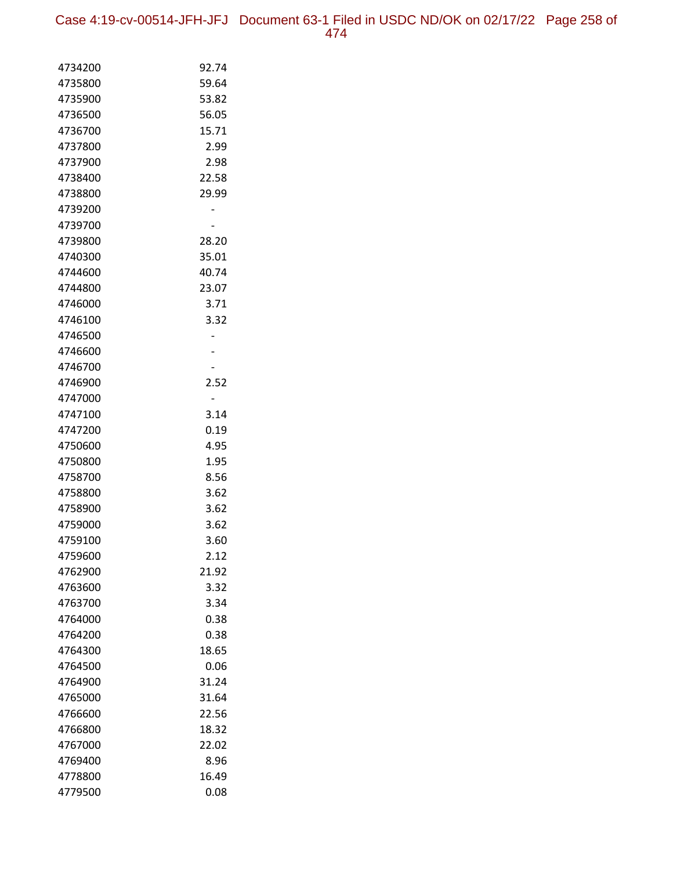Case 4:19-cv-00514-JFH-JFJ Document 63-1 Filed in USDC ND/OK on 02/17/22 Page 258 of 474

| 4734200 | 92.74 |
|---------|-------|
| 4735800 | 59.64 |
| 4735900 | 53.82 |
| 4736500 | 56.05 |
| 4736700 | 15.71 |
| 4737800 | 2.99  |
| 4737900 | 2.98  |
| 4738400 | 22.58 |
| 4738800 | 29.99 |
| 4739200 |       |
| 4739700 |       |
| 4739800 | 28.20 |
| 4740300 | 35.01 |
| 4744600 | 40.74 |
| 4744800 | 23.07 |
| 4746000 | 3.71  |
| 4746100 | 3.32  |
| 4746500 |       |
| 4746600 |       |
| 4746700 |       |
| 4746900 | 2.52  |
| 4747000 |       |
| 4747100 | 3.14  |
| 4747200 | 0.19  |
| 4750600 | 4.95  |
| 4750800 | 1.95  |
| 4758700 | 8.56  |
| 4758800 | 3.62  |
| 4758900 | 3.62  |
| 4759000 | 3.62  |
| 4759100 | 3.60  |
| 4759600 | 2.12  |
| 4762900 | 21.92 |
| 4763600 | 3.32  |
| 4763700 | 3.34  |
| 4764000 | 0.38  |
| 4764200 | 0.38  |
| 4764300 | 18.65 |
| 4764500 | 0.06  |
| 4764900 | 31.24 |
| 4765000 | 31.64 |
| 4766600 | 22.56 |
| 4766800 | 18.32 |
| 4767000 | 22.02 |
| 4769400 | 8.96  |
| 4778800 | 16.49 |
| 4779500 | 0.08  |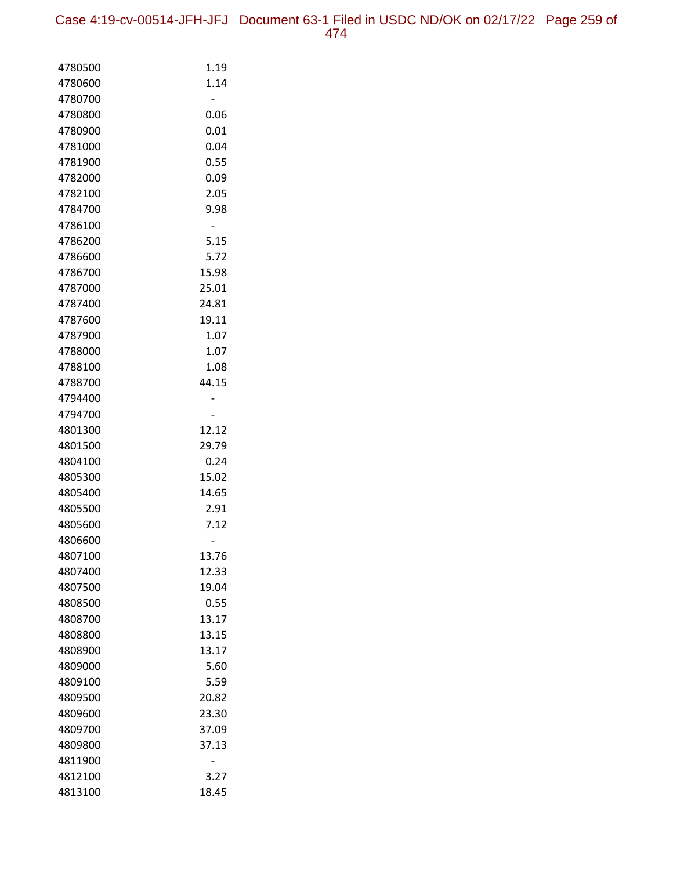Case 4:19-cv-00514-JFH-JFJ Document 63-1 Filed in USDC ND/OK on 02/17/22 Page 259 of 474

| 4780500 | 1.19  |
|---------|-------|
| 4780600 | 1.14  |
| 4780700 |       |
| 4780800 | 0.06  |
| 4780900 | 0.01  |
| 4781000 | 0.04  |
| 4781900 | 0.55  |
| 4782000 | 0.09  |
| 4782100 | 2.05  |
| 4784700 | 9.98  |
| 4786100 |       |
| 4786200 | 5.15  |
| 4786600 | 5.72  |
| 4786700 | 15.98 |
| 4787000 | 25.01 |
| 4787400 | 24.81 |
| 4787600 | 19.11 |
| 4787900 | 1.07  |
| 4788000 | 1.07  |
| 4788100 | 1.08  |
| 4788700 | 44.15 |
| 4794400 |       |
| 4794700 |       |
| 4801300 | 12.12 |
| 4801500 | 29.79 |
| 4804100 | 0.24  |
| 4805300 | 15.02 |
| 4805400 | 14.65 |
| 4805500 | 2.91  |
| 4805600 | 7.12  |
| 4806600 |       |
| 4807100 | 13.76 |
| 4807400 | 12.33 |
| 4807500 | 19.04 |
| 4808500 | 0.55  |
| 4808700 | 13.17 |
| 4808800 | 13.15 |
| 4808900 | 13.17 |
| 4809000 | 5.60  |
| 4809100 | 5.59  |
| 4809500 | 20.82 |
| 4809600 | 23.30 |
| 4809700 | 37.09 |
| 4809800 | 37.13 |
| 4811900 |       |
| 4812100 | 3.27  |
| 4813100 | 18.45 |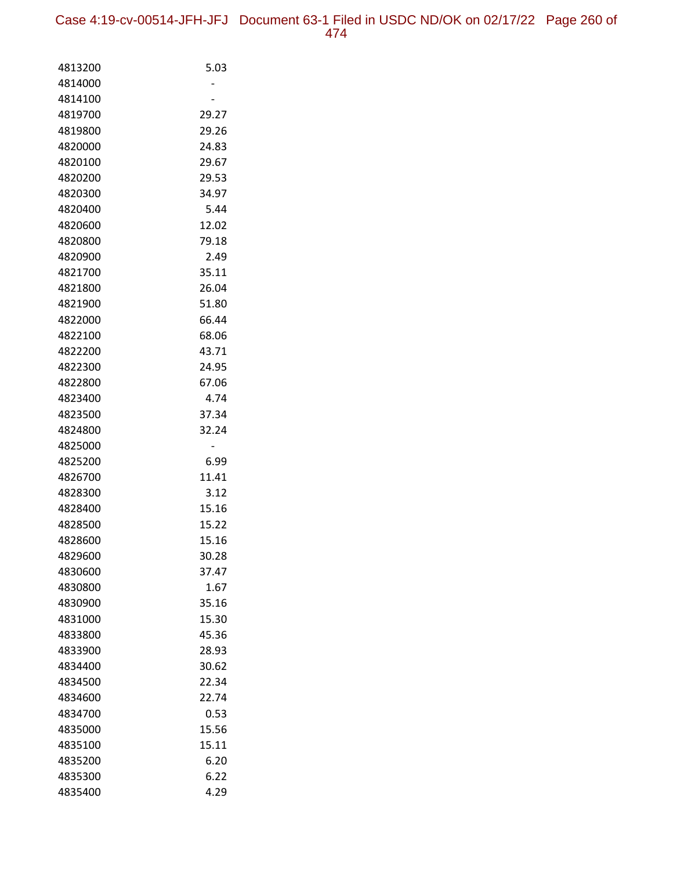| 4813200 | 5.03  |
|---------|-------|
| 4814000 |       |
| 4814100 |       |
| 4819700 | 29.27 |
| 4819800 | 29.26 |
| 4820000 | 24.83 |
| 4820100 | 29.67 |
| 4820200 | 29.53 |
| 4820300 | 34.97 |
| 4820400 | 5.44  |
| 4820600 | 12.02 |
| 4820800 | 79.18 |
| 4820900 | 2.49  |
| 4821700 | 35.11 |
| 4821800 | 26.04 |
| 4821900 | 51.80 |
| 4822000 | 66.44 |
| 4822100 | 68.06 |
| 4822200 | 43.71 |
| 4822300 | 24.95 |
| 4822800 | 67.06 |
| 4823400 | 4.74  |
| 4823500 | 37.34 |
| 4824800 | 32.24 |
| 4825000 |       |
| 4825200 | 6.99  |
| 4826700 | 11.41 |
| 4828300 | 3.12  |
| 4828400 | 15.16 |
| 4828500 | 15.22 |
| 4828600 | 15.16 |
| 4829600 | 30.28 |
| 4830600 | 37.47 |
| 4830800 | 1.67  |
| 4830900 | 35.16 |
| 4831000 | 15.30 |
| 4833800 | 45.36 |
| 4833900 | 28.93 |
| 4834400 | 30.62 |
| 4834500 | 22.34 |
| 4834600 | 22.74 |
| 4834700 | 0.53  |
| 4835000 | 15.56 |
| 4835100 | 15.11 |
| 4835200 | 6.20  |
| 4835300 | 6.22  |
| 4835400 | 4.29  |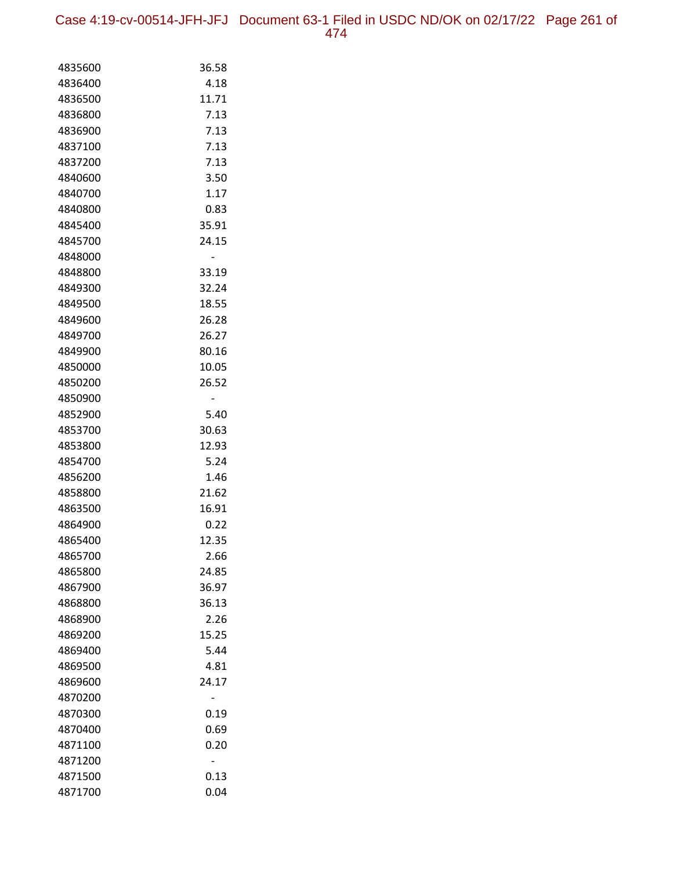Case 4:19-cv-00514-JFH-JFJ Document 63-1 Filed in USDC ND/OK on 02/17/22 Page 261 of 474

| 4835600 | 36.58 |
|---------|-------|
| 4836400 | 4.18  |
| 4836500 | 11.71 |
| 4836800 | 7.13  |
| 4836900 | 7.13  |
| 4837100 | 7.13  |
| 4837200 | 7.13  |
| 4840600 | 3.50  |
| 4840700 | 1.17  |
| 4840800 | 0.83  |
| 4845400 | 35.91 |
| 4845700 | 24.15 |
| 4848000 |       |
| 4848800 | 33.19 |
| 4849300 | 32.24 |
| 4849500 | 18.55 |
| 4849600 | 26.28 |
| 4849700 | 26.27 |
| 4849900 | 80.16 |
| 4850000 | 10.05 |
| 4850200 | 26.52 |
| 4850900 |       |
| 4852900 | 5.40  |
| 4853700 | 30.63 |
| 4853800 | 12.93 |
| 4854700 | 5.24  |
| 4856200 | 1.46  |
| 4858800 | 21.62 |
| 4863500 | 16.91 |
| 4864900 | 0.22  |
| 4865400 | 12.35 |
| 4865700 | 2.66  |
| 4865800 | 24.85 |
| 4867900 | 36.97 |
| 4868800 | 36.13 |
| 4868900 | 2.26  |
| 4869200 | 15.25 |
| 4869400 | 5.44  |
| 4869500 | 4.81  |
| 4869600 | 24.17 |
| 4870200 |       |
| 4870300 | 0.19  |
| 4870400 | 0.69  |
| 4871100 | 0.20  |
| 4871200 | -     |
| 4871500 | 0.13  |
| 4871700 | 0.04  |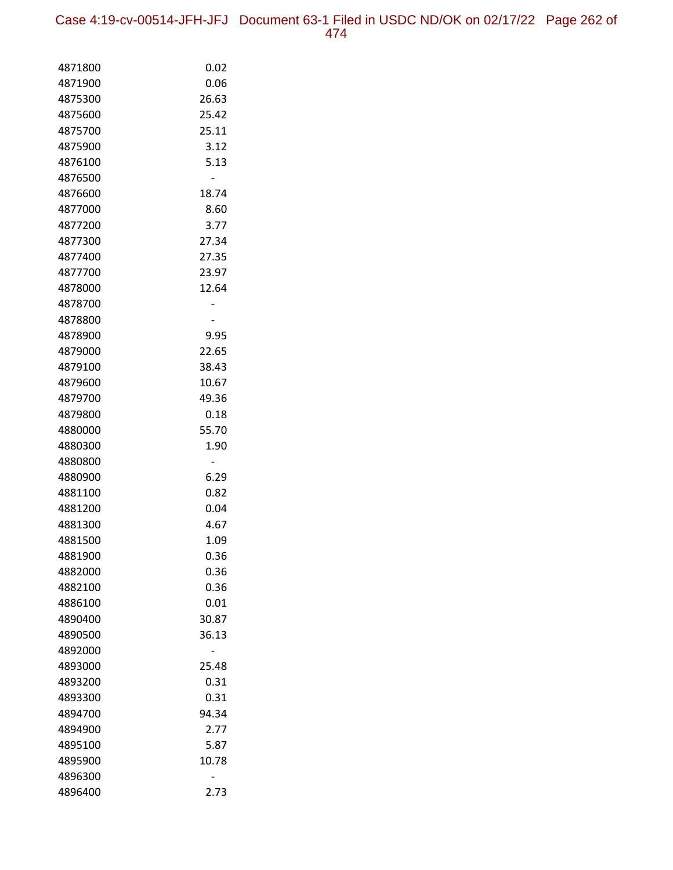Case 4:19-cv-00514-JFH-JFJ Document 63-1 Filed in USDC ND/OK on 02/17/22 Page 262 of 474

| 4871800            | 0.02          |
|--------------------|---------------|
| 4871900            | 0.06          |
| 4875300            | 26.63         |
| 4875600            | 25.42         |
| 4875700            | 25.11         |
| 4875900            | 3.12          |
| 4876100            | 5.13          |
| 4876500            |               |
| 4876600            | 18.74         |
| 4877000            | 8.60          |
| 4877200            | 3.77          |
| 4877300            | 27.34         |
| 4877400            | 27.35         |
| 4877700            | 23.97         |
| 4878000            | 12.64         |
| 4878700            |               |
| 4878800            |               |
| 4878900            | 9.95          |
| 4879000            | 22.65         |
| 4879100            | 38.43         |
| 4879600            | 10.67         |
| 4879700            | 49.36         |
| 4879800            | 0.18          |
| 4880000            | 55.70         |
| 4880300            | 1.90          |
| 4880800            | -             |
| 4880900            | 6.29          |
| 4881100            | 0.82          |
| 4881200            | 0.04          |
| 4881300            | 4.67          |
| 4881500            | 1.09          |
| 4881900            | 0.36          |
| 4882000            | 0.36          |
| 4882100            | 0.36          |
| 4886100            | 0.01          |
| 4890400            | 30.87         |
| 4890500            | 36.13         |
| 4892000            |               |
| 4893000<br>4893200 | 25.48<br>0.31 |
|                    | 0.31          |
| 4893300<br>4894700 | 94.34         |
| 4894900            | 2.77          |
| 4895100            | 5.87          |
| 4895900            | 10.78         |
| 4896300            |               |
| 4896400            | 2.73          |
|                    |               |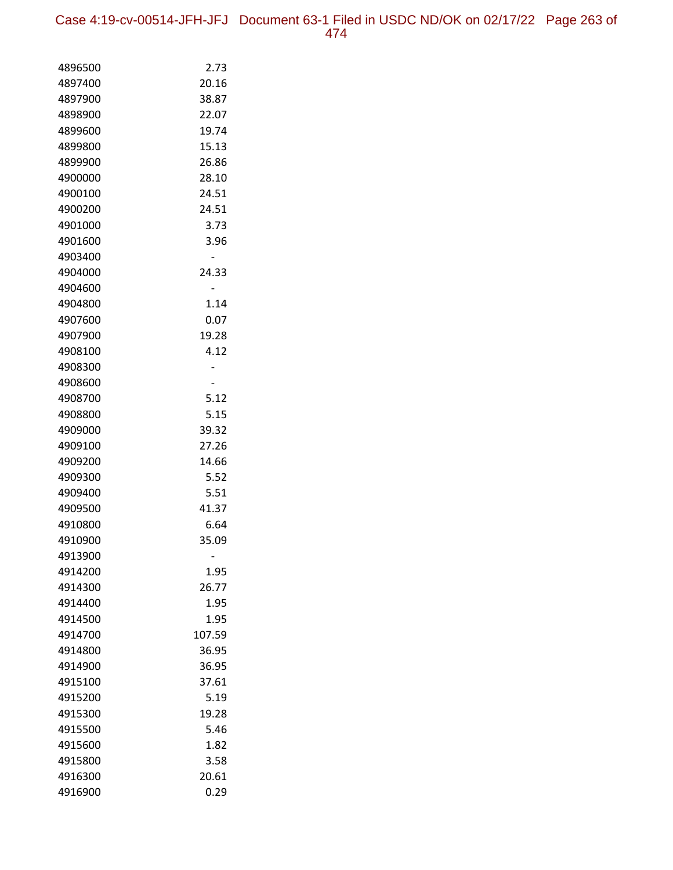Case 4:19-cv-00514-JFH-JFJ Document 63-1 Filed in USDC ND/OK on 02/17/22 Page 263 of 474

| 4896500<br>2.73<br>20.16<br>4897400<br>4897900<br>38.87<br>4898900<br>22.07<br>19.74<br>4899600<br>15.13<br>4899800<br>26.86<br>4899900<br>4900000<br>28.10<br>24.51<br>4900100<br>24.51<br>4900200<br>4901000<br>3.73<br>4901600<br>3.96<br>4903400<br>4904000<br>24.33<br>4904600<br>4904800<br>1.14<br>4907600<br>0.07<br>19.28<br>4907900<br>4908100<br>4.12<br>4908300<br>4908600<br>4908700<br>5.12<br>5.15<br>4908800<br>39.32<br>4909000<br>4909100<br>27.26<br>4909200<br>14.66<br>5.52<br>4909300<br>5.51<br>4909400<br>4909500<br>41.37<br>6.64<br>4910800<br>35.09<br>4910900<br>4913900<br>4914200<br>1.95<br>26.77<br>4914300<br>4914400<br>1.95<br>1.95<br>4914500<br>107.59<br>4914700<br>36.95<br>4914800<br>36.95<br>4914900<br>4915100<br>37.61<br>5.19<br>4915200<br>4915300<br>19.28<br>5.46<br>4915500<br>1.82<br>4915600<br>3.58<br>4915800 |  |
|--------------------------------------------------------------------------------------------------------------------------------------------------------------------------------------------------------------------------------------------------------------------------------------------------------------------------------------------------------------------------------------------------------------------------------------------------------------------------------------------------------------------------------------------------------------------------------------------------------------------------------------------------------------------------------------------------------------------------------------------------------------------------------------------------------------------------------------------------------------------|--|
|                                                                                                                                                                                                                                                                                                                                                                                                                                                                                                                                                                                                                                                                                                                                                                                                                                                                    |  |
|                                                                                                                                                                                                                                                                                                                                                                                                                                                                                                                                                                                                                                                                                                                                                                                                                                                                    |  |
|                                                                                                                                                                                                                                                                                                                                                                                                                                                                                                                                                                                                                                                                                                                                                                                                                                                                    |  |
|                                                                                                                                                                                                                                                                                                                                                                                                                                                                                                                                                                                                                                                                                                                                                                                                                                                                    |  |
|                                                                                                                                                                                                                                                                                                                                                                                                                                                                                                                                                                                                                                                                                                                                                                                                                                                                    |  |
|                                                                                                                                                                                                                                                                                                                                                                                                                                                                                                                                                                                                                                                                                                                                                                                                                                                                    |  |
|                                                                                                                                                                                                                                                                                                                                                                                                                                                                                                                                                                                                                                                                                                                                                                                                                                                                    |  |
|                                                                                                                                                                                                                                                                                                                                                                                                                                                                                                                                                                                                                                                                                                                                                                                                                                                                    |  |
|                                                                                                                                                                                                                                                                                                                                                                                                                                                                                                                                                                                                                                                                                                                                                                                                                                                                    |  |
|                                                                                                                                                                                                                                                                                                                                                                                                                                                                                                                                                                                                                                                                                                                                                                                                                                                                    |  |
|                                                                                                                                                                                                                                                                                                                                                                                                                                                                                                                                                                                                                                                                                                                                                                                                                                                                    |  |
|                                                                                                                                                                                                                                                                                                                                                                                                                                                                                                                                                                                                                                                                                                                                                                                                                                                                    |  |
|                                                                                                                                                                                                                                                                                                                                                                                                                                                                                                                                                                                                                                                                                                                                                                                                                                                                    |  |
|                                                                                                                                                                                                                                                                                                                                                                                                                                                                                                                                                                                                                                                                                                                                                                                                                                                                    |  |
|                                                                                                                                                                                                                                                                                                                                                                                                                                                                                                                                                                                                                                                                                                                                                                                                                                                                    |  |
|                                                                                                                                                                                                                                                                                                                                                                                                                                                                                                                                                                                                                                                                                                                                                                                                                                                                    |  |
|                                                                                                                                                                                                                                                                                                                                                                                                                                                                                                                                                                                                                                                                                                                                                                                                                                                                    |  |
|                                                                                                                                                                                                                                                                                                                                                                                                                                                                                                                                                                                                                                                                                                                                                                                                                                                                    |  |
|                                                                                                                                                                                                                                                                                                                                                                                                                                                                                                                                                                                                                                                                                                                                                                                                                                                                    |  |
|                                                                                                                                                                                                                                                                                                                                                                                                                                                                                                                                                                                                                                                                                                                                                                                                                                                                    |  |
|                                                                                                                                                                                                                                                                                                                                                                                                                                                                                                                                                                                                                                                                                                                                                                                                                                                                    |  |
|                                                                                                                                                                                                                                                                                                                                                                                                                                                                                                                                                                                                                                                                                                                                                                                                                                                                    |  |
|                                                                                                                                                                                                                                                                                                                                                                                                                                                                                                                                                                                                                                                                                                                                                                                                                                                                    |  |
|                                                                                                                                                                                                                                                                                                                                                                                                                                                                                                                                                                                                                                                                                                                                                                                                                                                                    |  |
|                                                                                                                                                                                                                                                                                                                                                                                                                                                                                                                                                                                                                                                                                                                                                                                                                                                                    |  |
|                                                                                                                                                                                                                                                                                                                                                                                                                                                                                                                                                                                                                                                                                                                                                                                                                                                                    |  |
|                                                                                                                                                                                                                                                                                                                                                                                                                                                                                                                                                                                                                                                                                                                                                                                                                                                                    |  |
|                                                                                                                                                                                                                                                                                                                                                                                                                                                                                                                                                                                                                                                                                                                                                                                                                                                                    |  |
|                                                                                                                                                                                                                                                                                                                                                                                                                                                                                                                                                                                                                                                                                                                                                                                                                                                                    |  |
|                                                                                                                                                                                                                                                                                                                                                                                                                                                                                                                                                                                                                                                                                                                                                                                                                                                                    |  |
|                                                                                                                                                                                                                                                                                                                                                                                                                                                                                                                                                                                                                                                                                                                                                                                                                                                                    |  |
|                                                                                                                                                                                                                                                                                                                                                                                                                                                                                                                                                                                                                                                                                                                                                                                                                                                                    |  |
|                                                                                                                                                                                                                                                                                                                                                                                                                                                                                                                                                                                                                                                                                                                                                                                                                                                                    |  |
|                                                                                                                                                                                                                                                                                                                                                                                                                                                                                                                                                                                                                                                                                                                                                                                                                                                                    |  |
|                                                                                                                                                                                                                                                                                                                                                                                                                                                                                                                                                                                                                                                                                                                                                                                                                                                                    |  |
|                                                                                                                                                                                                                                                                                                                                                                                                                                                                                                                                                                                                                                                                                                                                                                                                                                                                    |  |
|                                                                                                                                                                                                                                                                                                                                                                                                                                                                                                                                                                                                                                                                                                                                                                                                                                                                    |  |
|                                                                                                                                                                                                                                                                                                                                                                                                                                                                                                                                                                                                                                                                                                                                                                                                                                                                    |  |
|                                                                                                                                                                                                                                                                                                                                                                                                                                                                                                                                                                                                                                                                                                                                                                                                                                                                    |  |
|                                                                                                                                                                                                                                                                                                                                                                                                                                                                                                                                                                                                                                                                                                                                                                                                                                                                    |  |
|                                                                                                                                                                                                                                                                                                                                                                                                                                                                                                                                                                                                                                                                                                                                                                                                                                                                    |  |
|                                                                                                                                                                                                                                                                                                                                                                                                                                                                                                                                                                                                                                                                                                                                                                                                                                                                    |  |
|                                                                                                                                                                                                                                                                                                                                                                                                                                                                                                                                                                                                                                                                                                                                                                                                                                                                    |  |
|                                                                                                                                                                                                                                                                                                                                                                                                                                                                                                                                                                                                                                                                                                                                                                                                                                                                    |  |
| 20.61<br>4916300                                                                                                                                                                                                                                                                                                                                                                                                                                                                                                                                                                                                                                                                                                                                                                                                                                                   |  |
| 0.29<br>4916900                                                                                                                                                                                                                                                                                                                                                                                                                                                                                                                                                                                                                                                                                                                                                                                                                                                    |  |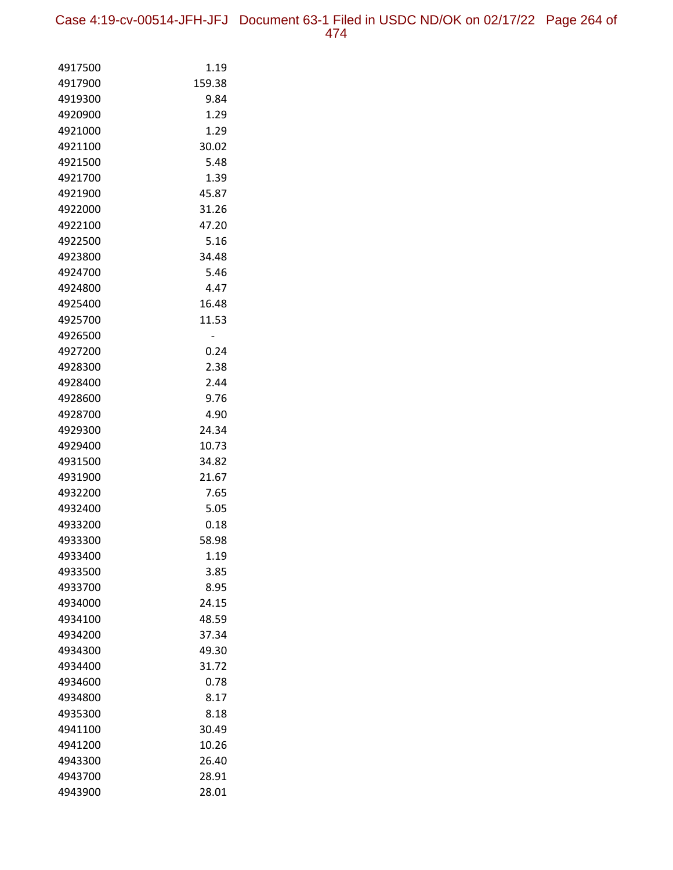| 4917500 | 1.19   |
|---------|--------|
| 4917900 | 159.38 |
| 4919300 | 9.84   |
| 4920900 | 1.29   |
| 4921000 | 1.29   |
| 4921100 | 30.02  |
| 4921500 | 5.48   |
| 4921700 | 1.39   |
| 4921900 | 45.87  |
| 4922000 | 31.26  |
| 4922100 | 47.20  |
| 4922500 | 5.16   |
| 4923800 | 34.48  |
| 4924700 | 5.46   |
| 4924800 | 4.47   |
| 4925400 | 16.48  |
| 4925700 | 11.53  |
| 4926500 |        |
| 4927200 | 0.24   |
| 4928300 | 2.38   |
| 4928400 | 2.44   |
| 4928600 | 9.76   |
| 4928700 | 4.90   |
| 4929300 | 24.34  |
| 4929400 | 10.73  |
| 4931500 | 34.82  |
| 4931900 | 21.67  |
| 4932200 | 7.65   |
| 4932400 | 5.05   |
| 4933200 | 0.18   |
| 4933300 | 58.98  |
| 4933400 | 1.19   |
| 4933500 | 3.85   |
| 4933700 | 8.95   |
| 4934000 | 24.15  |
| 4934100 | 48.59  |
| 4934200 | 37.34  |
| 4934300 | 49.30  |
| 4934400 | 31.72  |
| 4934600 | 0.78   |
| 4934800 | 8.17   |
| 4935300 | 8.18   |
| 4941100 | 30.49  |
| 4941200 | 10.26  |
| 4943300 | 26.40  |
| 4943700 | 28.91  |
| 4943900 | 28.01  |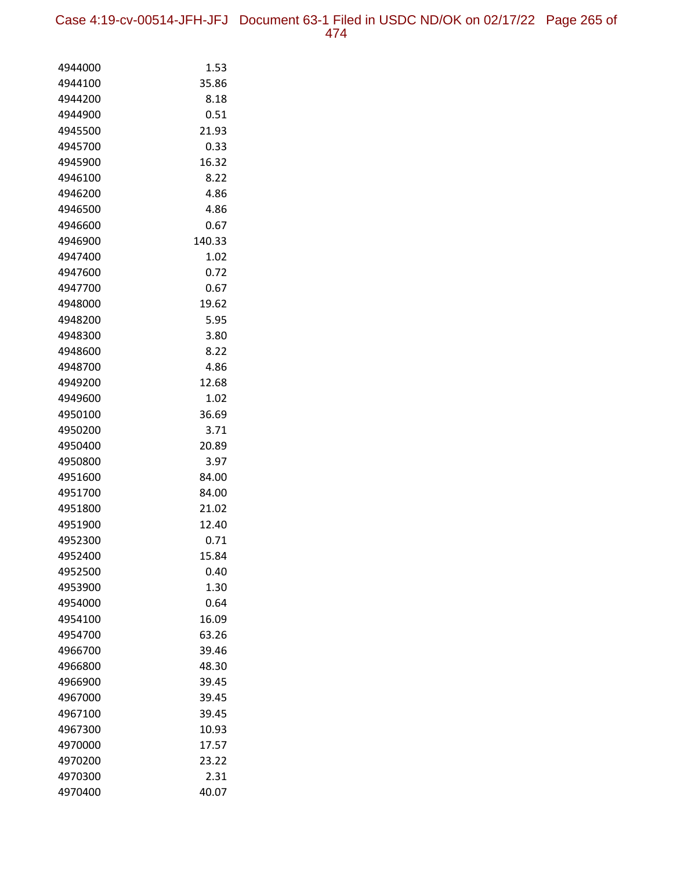| 4944000 | 1.53   |
|---------|--------|
| 4944100 | 35.86  |
| 4944200 | 8.18   |
| 4944900 | 0.51   |
| 4945500 | 21.93  |
| 4945700 | 0.33   |
| 4945900 | 16.32  |
| 4946100 | 8.22   |
| 4946200 | 4.86   |
| 4946500 | 4.86   |
| 4946600 | 0.67   |
| 4946900 | 140.33 |
| 4947400 | 1.02   |
| 4947600 | 0.72   |
| 4947700 | 0.67   |
| 4948000 | 19.62  |
| 4948200 | 5.95   |
| 4948300 | 3.80   |
| 4948600 | 8.22   |
| 4948700 | 4.86   |
| 4949200 | 12.68  |
| 4949600 | 1.02   |
| 4950100 | 36.69  |
| 4950200 | 3.71   |
| 4950400 | 20.89  |
| 4950800 | 3.97   |
| 4951600 | 84.00  |
| 4951700 | 84.00  |
| 4951800 | 21.02  |
| 4951900 | 12.40  |
| 4952300 | 0.71   |
| 4952400 | 15.84  |
| 4952500 | 0.40   |
| 4953900 | 1.30   |
| 4954000 | 0.64   |
| 4954100 | 16.09  |
| 4954700 | 63.26  |
| 4966700 | 39.46  |
| 4966800 | 48.30  |
| 4966900 | 39.45  |
| 4967000 | 39.45  |
| 4967100 | 39.45  |
| 4967300 | 10.93  |
| 4970000 | 17.57  |
| 4970200 | 23.22  |
| 4970300 | 2.31   |
| 4970400 | 40.07  |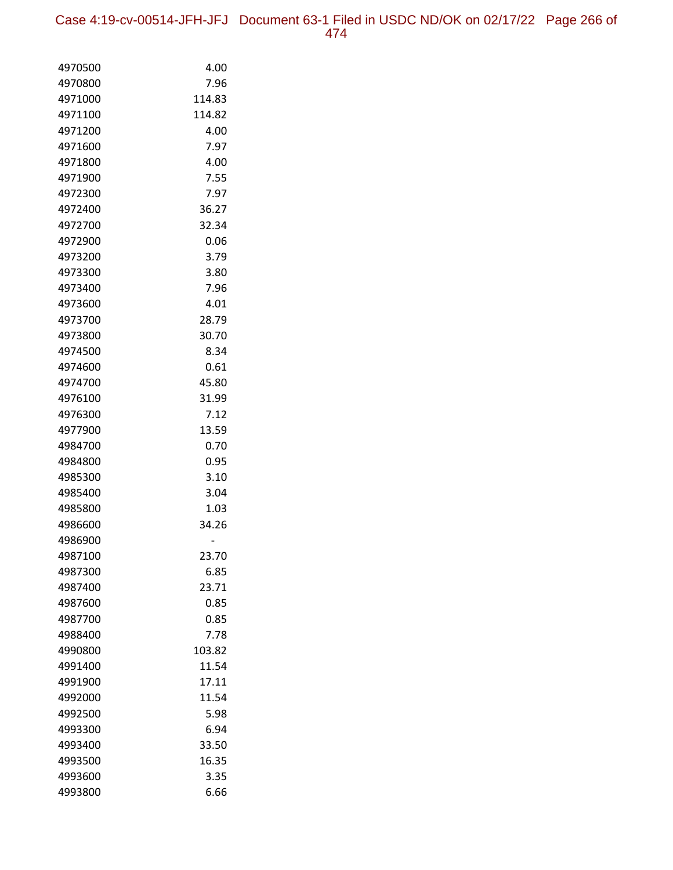Case 4:19-cv-00514-JFH-JFJ Document 63-1 Filed in USDC ND/OK on 02/17/22 Page 266 of 474

| 4970500 | 4.00   |
|---------|--------|
| 4970800 | 7.96   |
| 4971000 | 114.83 |
| 4971100 | 114.82 |
| 4971200 | 4.00   |
| 4971600 | 7.97   |
| 4971800 | 4.00   |
| 4971900 | 7.55   |
| 4972300 | 7.97   |
| 4972400 | 36.27  |
| 4972700 | 32.34  |
| 4972900 | 0.06   |
| 4973200 | 3.79   |
| 4973300 | 3.80   |
| 4973400 | 7.96   |
| 4973600 | 4.01   |
| 4973700 | 28.79  |
| 4973800 | 30.70  |
| 4974500 | 8.34   |
| 4974600 | 0.61   |
| 4974700 | 45.80  |
| 4976100 | 31.99  |
| 4976300 | 7.12   |
| 4977900 | 13.59  |
| 4984700 | 0.70   |
| 4984800 | 0.95   |
| 4985300 | 3.10   |
| 4985400 | 3.04   |
| 4985800 | 1.03   |
| 4986600 | 34.26  |
| 4986900 |        |
| 4987100 | 23.70  |
| 4987300 | 6.85   |
| 4987400 | 23.71  |
| 4987600 | 0.85   |
| 4987700 | 0.85   |
| 4988400 | 7.78   |
| 4990800 | 103.82 |
| 4991400 | 11.54  |
| 4991900 | 17.11  |
| 4992000 | 11.54  |
| 4992500 | 5.98   |
| 4993300 | 6.94   |
| 4993400 | 33.50  |
| 4993500 | 16.35  |
| 4993600 | 3.35   |
| 4993800 | 6.66   |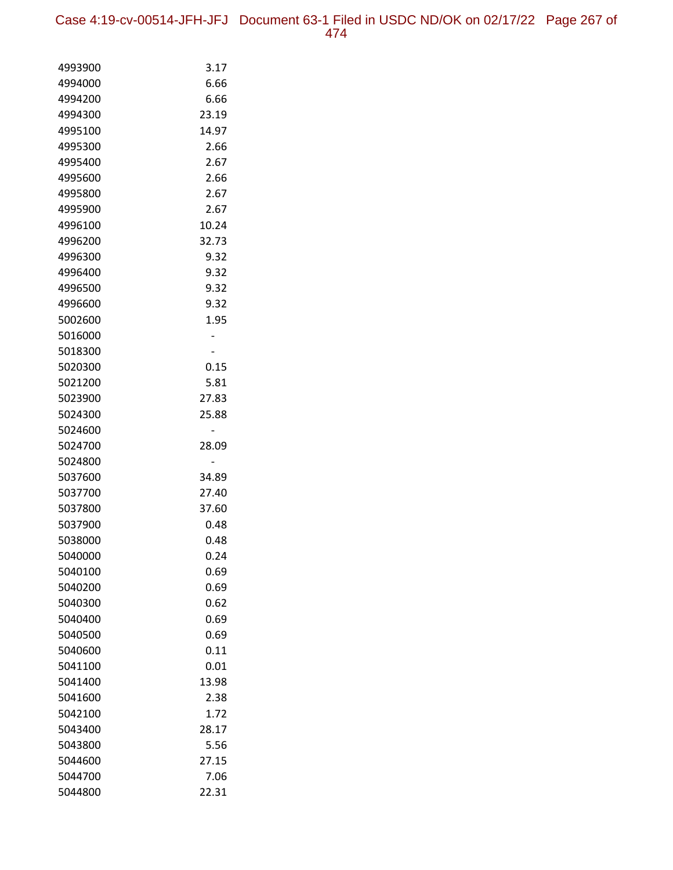| 4993900 | 3.17  |
|---------|-------|
| 4994000 | 6.66  |
| 4994200 | 6.66  |
| 4994300 | 23.19 |
| 4995100 | 14.97 |
| 4995300 | 2.66  |
| 4995400 | 2.67  |
| 4995600 | 2.66  |
| 4995800 | 2.67  |
| 4995900 | 2.67  |
| 4996100 | 10.24 |
| 4996200 | 32.73 |
| 4996300 | 9.32  |
| 4996400 | 9.32  |
| 4996500 | 9.32  |
| 4996600 | 9.32  |
| 5002600 | 1.95  |
| 5016000 |       |
| 5018300 |       |
| 5020300 | 0.15  |
| 5021200 | 5.81  |
| 5023900 | 27.83 |
| 5024300 | 25.88 |
| 5024600 |       |
| 5024700 | 28.09 |
| 5024800 |       |
| 5037600 | 34.89 |
| 5037700 | 27.40 |
| 5037800 | 37.60 |
| 5037900 | 0.48  |
| 5038000 | 0.48  |
| 5040000 | 0.24  |
| 5040100 | 0.69  |
| 5040200 | 0.69  |
| 5040300 | 0.62  |
| 5040400 | 0.69  |
| 5040500 | 0.69  |
| 5040600 | 0.11  |
| 5041100 | 0.01  |
| 5041400 | 13.98 |
| 5041600 | 2.38  |
| 5042100 | 1.72  |
| 5043400 | 28.17 |
| 5043800 | 5.56  |
| 5044600 | 27.15 |
| 5044700 | 7.06  |
| 5044800 | 22.31 |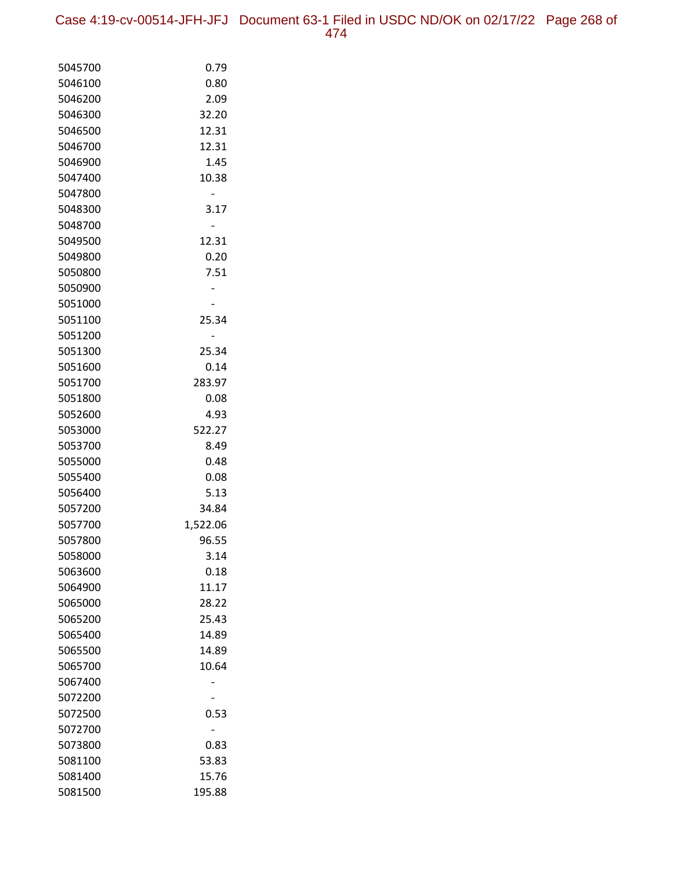| 5045700 | 0.79     |
|---------|----------|
| 5046100 | 0.80     |
| 5046200 | 2.09     |
| 5046300 | 32.20    |
| 5046500 | 12.31    |
| 5046700 | 12.31    |
| 5046900 | 1.45     |
| 5047400 | 10.38    |
| 5047800 |          |
| 5048300 | 3.17     |
| 5048700 |          |
| 5049500 | 12.31    |
| 5049800 | 0.20     |
| 5050800 | 7.51     |
| 5050900 |          |
| 5051000 |          |
| 5051100 | 25.34    |
| 5051200 |          |
| 5051300 | 25.34    |
| 5051600 | 0.14     |
| 5051700 | 283.97   |
| 5051800 | 0.08     |
| 5052600 | 4.93     |
| 5053000 | 522.27   |
| 5053700 | 8.49     |
| 5055000 | 0.48     |
| 5055400 | 0.08     |
| 5056400 | 5.13     |
| 5057200 | 34.84    |
| 5057700 | 1,522.06 |
| 5057800 | 96.55    |
| 5058000 | 3.14     |
| 5063600 | 0.18     |
| 5064900 | 11.17    |
| 5065000 | 28.22    |
| 5065200 | 25.43    |
| 5065400 | 14.89    |
| 5065500 | 14.89    |
| 5065700 | 10.64    |
| 5067400 |          |
| 5072200 |          |
| 5072500 | 0.53     |
| 5072700 |          |
| 5073800 | 0.83     |
| 5081100 | 53.83    |
| 5081400 | 15.76    |
| 5081500 | 195.88   |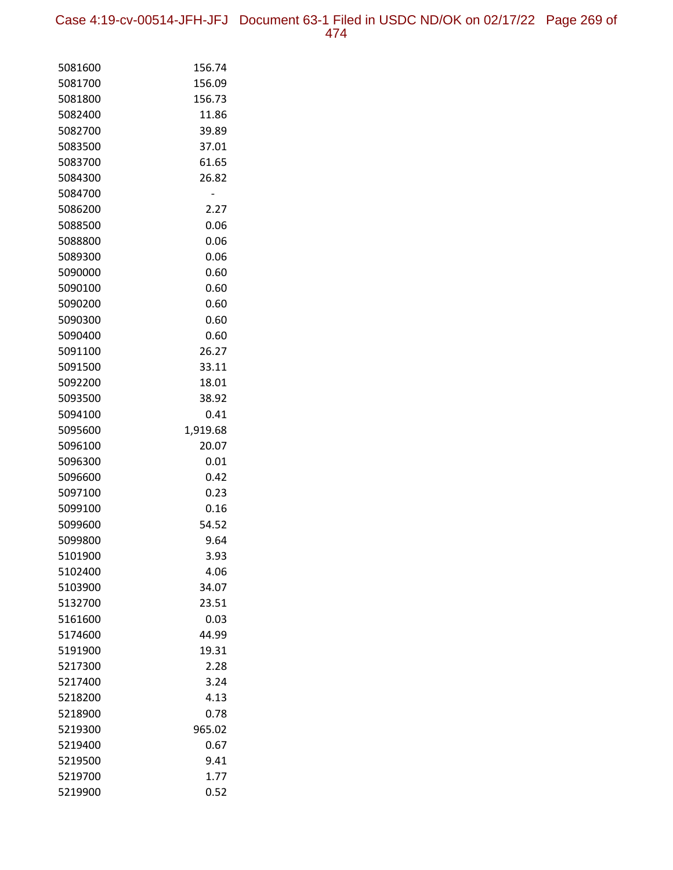Case 4:19-cv-00514-JFH-JFJ Document 63-1 Filed in USDC ND/OK on 02/17/22 Page 269 of 474

| 5081600            | 156.74       |
|--------------------|--------------|
| 5081700            | 156.09       |
| 5081800            | 156.73       |
| 5082400            | 11.86        |
| 5082700            | 39.89        |
| 5083500            | 37.01        |
| 5083700            | 61.65        |
| 5084300            | 26.82        |
| 5084700            |              |
| 5086200            | 2.27         |
| 5088500            | 0.06         |
| 5088800            | 0.06         |
| 5089300            | 0.06         |
| 5090000            | 0.60         |
| 5090100            | 0.60         |
| 5090200            | 0.60         |
| 5090300            | 0.60         |
| 5090400            | 0.60         |
| 5091100            | 26.27        |
| 5091500            | 33.11        |
| 5092200            | 18.01        |
| 5093500            | 38.92        |
| 5094100            | 0.41         |
| 5095600            | 1,919.68     |
| 5096100            | 20.07        |
| 5096300            | 0.01         |
| 5096600            | 0.42         |
| 5097100            | 0.23         |
| 5099100            | 0.16         |
| 5099600            | 54.52        |
| 5099800<br>5101900 | 9.64         |
|                    | 3.93<br>4.06 |
| 5102400<br>5103900 | 34.07        |
| 5132700            | 23.51        |
| 5161600            | 0.03         |
| 5174600            | 44.99        |
| 5191900            | 19.31        |
| 5217300            | 2.28         |
| 5217400            | 3.24         |
| 5218200            | 4.13         |
| 5218900            | 0.78         |
| 5219300            | 965.02       |
| 5219400            | 0.67         |
| 5219500            | 9.41         |
| 5219700            | 1.77         |
| 5219900            | 0.52         |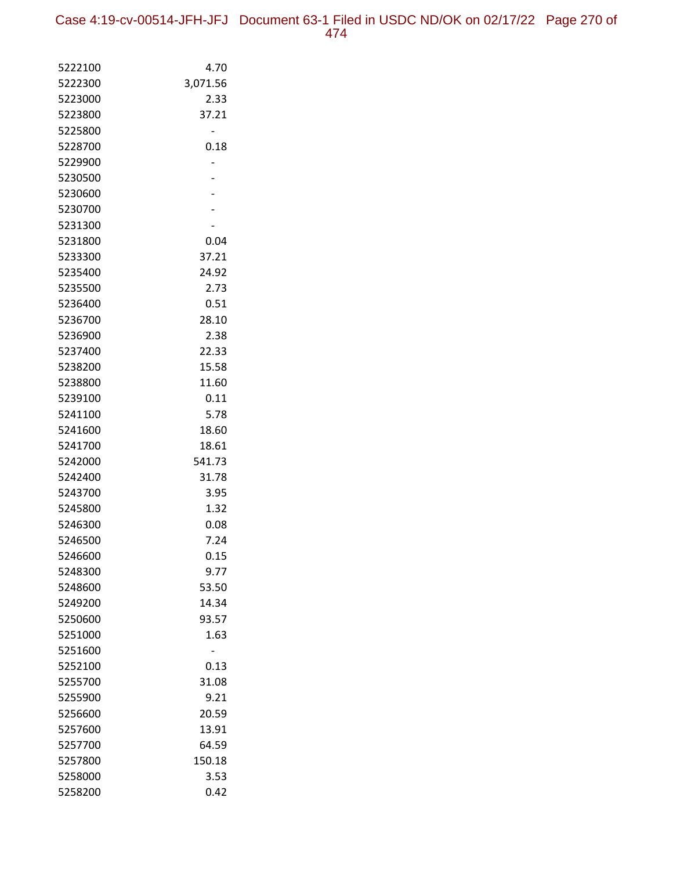| 5222100 | 4.70     |
|---------|----------|
| 5222300 | 3,071.56 |
| 5223000 | 2.33     |
| 5223800 | 37.21    |
| 5225800 |          |
| 5228700 | 0.18     |
| 5229900 |          |
| 5230500 |          |
| 5230600 |          |
| 5230700 |          |
| 5231300 |          |
| 5231800 | 0.04     |
| 5233300 | 37.21    |
| 5235400 | 24.92    |
| 5235500 | 2.73     |
| 5236400 | 0.51     |
| 5236700 | 28.10    |
| 5236900 | 2.38     |
| 5237400 | 22.33    |
| 5238200 | 15.58    |
| 5238800 | 11.60    |
| 5239100 | 0.11     |
| 5241100 | 5.78     |
| 5241600 | 18.60    |
| 5241700 | 18.61    |
| 5242000 | 541.73   |
| 5242400 | 31.78    |
| 5243700 | 3.95     |
| 5245800 | 1.32     |
| 5246300 | 0.08     |
| 5246500 | 7.24     |
| 5246600 | 0.15     |
| 5248300 | 9.77     |
| 5248600 | 53.50    |
| 5249200 | 14.34    |
| 5250600 | 93.57    |
| 5251000 | 1.63     |
| 5251600 |          |
| 5252100 | 0.13     |
| 5255700 | 31.08    |
| 5255900 | 9.21     |
| 5256600 | 20.59    |
| 5257600 | 13.91    |
| 5257700 | 64.59    |
| 5257800 | 150.18   |
| 5258000 | 3.53     |
| 5258200 | 0.42     |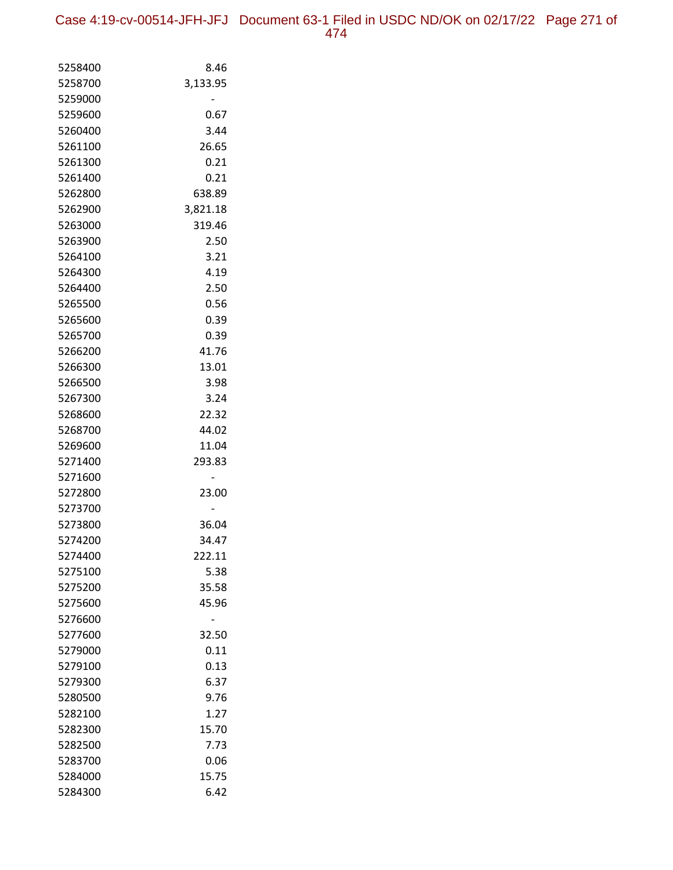| 5258400 | 8.46     |
|---------|----------|
| 5258700 | 3,133.95 |
| 5259000 |          |
| 5259600 | 0.67     |
| 5260400 | 3.44     |
| 5261100 | 26.65    |
| 5261300 | 0.21     |
| 5261400 | 0.21     |
| 5262800 | 638.89   |
| 5262900 | 3,821.18 |
| 5263000 | 319.46   |
| 5263900 | 2.50     |
| 5264100 | 3.21     |
| 5264300 | 4.19     |
| 5264400 | 2.50     |
| 5265500 | 0.56     |
| 5265600 | 0.39     |
| 5265700 | 0.39     |
| 5266200 | 41.76    |
| 5266300 | 13.01    |
| 5266500 | 3.98     |
| 5267300 | 3.24     |
| 5268600 | 22.32    |
| 5268700 | 44.02    |
| 5269600 | 11.04    |
| 5271400 | 293.83   |
| 5271600 |          |
| 5272800 | 23.00    |
| 5273700 |          |
| 5273800 | 36.04    |
| 5274200 | 34.47    |
| 5274400 | 222.11   |
| 5275100 | 5.38     |
| 5275200 | 35.58    |
| 5275600 | 45.96    |
| 5276600 |          |
| 5277600 | 32.50    |
| 5279000 | 0.11     |
| 5279100 | 0.13     |
| 5279300 | 6.37     |
| 5280500 | 9.76     |
| 5282100 | 1.27     |
| 5282300 | 15.70    |
| 5282500 | 7.73     |
| 5283700 | 0.06     |
| 5284000 | 15.75    |
| 5284300 | 6.42     |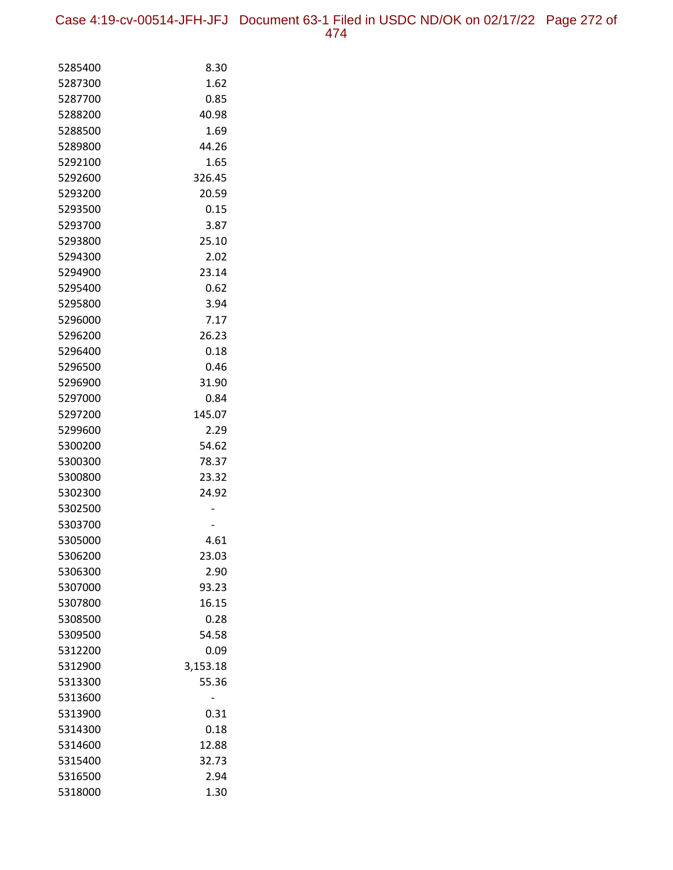Case 4:19-cv-00514-JFH-JFJ Document 63-1 Filed in USDC ND/OK on 02/17/22 Page 272 of 474

| 5285400 | 8.30     |
|---------|----------|
| 5287300 | 1.62     |
| 5287700 | 0.85     |
| 5288200 | 40.98    |
| 5288500 | 1.69     |
| 5289800 | 44.26    |
| 5292100 | 1.65     |
| 5292600 | 326.45   |
| 5293200 | 20.59    |
| 5293500 | 0.15     |
| 5293700 | 3.87     |
| 5293800 | 25.10    |
| 5294300 | 2.02     |
| 5294900 | 23.14    |
| 5295400 | 0.62     |
| 5295800 | 3.94     |
| 5296000 | 7.17     |
| 5296200 | 26.23    |
| 5296400 | 0.18     |
| 5296500 | 0.46     |
| 5296900 | 31.90    |
| 5297000 | 0.84     |
| 5297200 | 145.07   |
| 5299600 | 2.29     |
| 5300200 | 54.62    |
| 5300300 | 78.37    |
| 5300800 | 23.32    |
| 5302300 | 24.92    |
| 5302500 |          |
| 5303700 |          |
| 5305000 | 4.61     |
| 5306200 | 23.03    |
| 5306300 | 2.90     |
| 5307000 | 93.23    |
| 5307800 | 16.15    |
| 5308500 | 0.28     |
| 5309500 | 54.58    |
| 5312200 | 0.09     |
| 5312900 | 3,153.18 |
| 5313300 | 55.36    |
| 5313600 |          |
| 5313900 | 0.31     |
| 5314300 | 0.18     |
| 5314600 | 12.88    |
| 5315400 | 32.73    |
| 5316500 | 2.94     |
| 5318000 | 1.30     |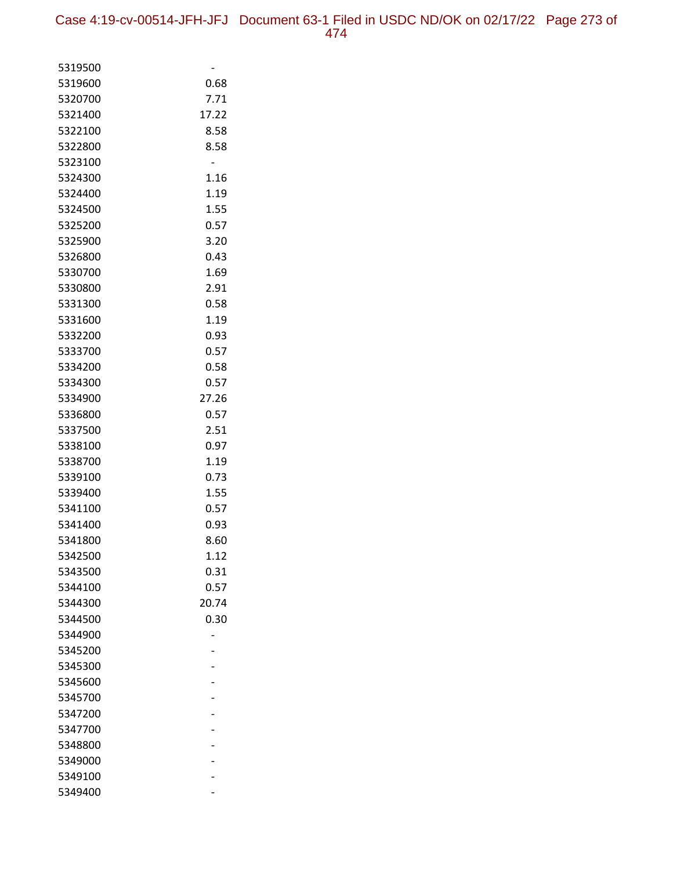| 5319500 |       |
|---------|-------|
| 5319600 | 0.68  |
| 5320700 | 7.71  |
| 5321400 | 17.22 |
| 5322100 | 8.58  |
| 5322800 | 8.58  |
| 5323100 |       |
| 5324300 | 1.16  |
| 5324400 | 1.19  |
| 5324500 | 1.55  |
| 5325200 | 0.57  |
| 5325900 | 3.20  |
| 5326800 | 0.43  |
| 5330700 | 1.69  |
| 5330800 | 2.91  |
| 5331300 | 0.58  |
| 5331600 | 1.19  |
| 5332200 | 0.93  |
| 5333700 | 0.57  |
| 5334200 | 0.58  |
| 5334300 | 0.57  |
| 5334900 | 27.26 |
| 5336800 | 0.57  |
| 5337500 | 2.51  |
| 5338100 | 0.97  |
| 5338700 | 1.19  |
| 5339100 | 0.73  |
| 5339400 | 1.55  |
| 5341100 | 0.57  |
| 5341400 | 0.93  |
| 5341800 | 8.60  |
| 5342500 | 1.12  |
| 5343500 | 0.31  |
| 5344100 | 0.57  |
| 5344300 | 20.74 |
| 5344500 | 0.30  |
| 5344900 |       |
| 5345200 |       |
| 5345300 |       |
| 5345600 |       |
| 5345700 |       |
| 5347200 |       |
| 5347700 |       |
| 5348800 |       |
| 5349000 |       |
| 5349100 |       |
| 5349400 |       |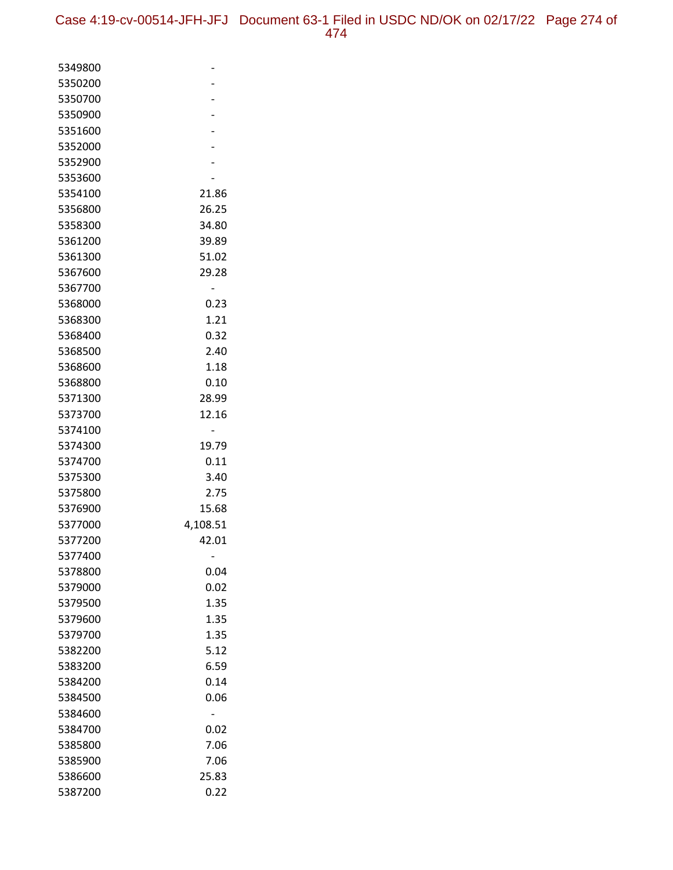| 5349800 |          |
|---------|----------|
| 5350200 |          |
| 5350700 |          |
| 5350900 |          |
| 5351600 |          |
| 5352000 |          |
| 5352900 |          |
| 5353600 |          |
| 5354100 | 21.86    |
| 5356800 | 26.25    |
| 5358300 | 34.80    |
| 5361200 | 39.89    |
| 5361300 | 51.02    |
| 5367600 | 29.28    |
| 5367700 |          |
| 5368000 | 0.23     |
| 5368300 | 1.21     |
| 5368400 | 0.32     |
| 5368500 | 2.40     |
| 5368600 | 1.18     |
| 5368800 | 0.10     |
| 5371300 | 28.99    |
| 5373700 | 12.16    |
| 5374100 |          |
| 5374300 | 19.79    |
| 5374700 | 0.11     |
| 5375300 | 3.40     |
| 5375800 | 2.75     |
| 5376900 | 15.68    |
| 5377000 | 4,108.51 |
| 5377200 | 42.01    |
| 5377400 |          |
| 5378800 | 0.04     |
| 5379000 | 0.02     |
| 5379500 | 1.35     |
| 5379600 | 1.35     |
| 5379700 | 1.35     |
| 5382200 | 5.12     |
| 5383200 | 6.59     |
| 5384200 | 0.14     |
| 5384500 | 0.06     |
| 5384600 |          |
| 5384700 | 0.02     |
| 5385800 | 7.06     |
| 5385900 | 7.06     |
| 5386600 | 25.83    |
| 5387200 | 0.22     |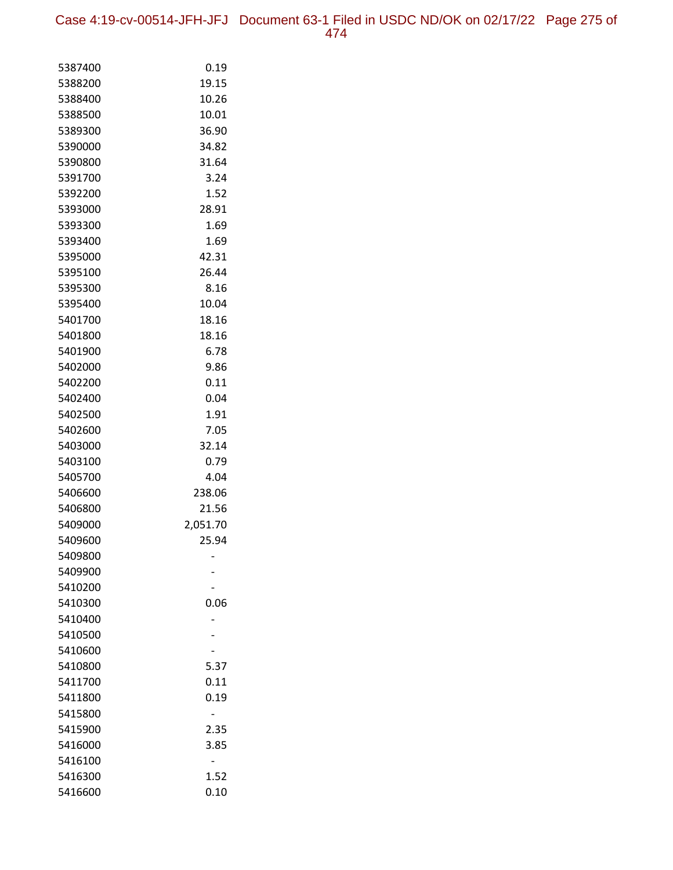Case 4:19-cv-00514-JFH-JFJ Document 63-1 Filed in USDC ND/OK on 02/17/22 Page 275 of 474

| 5387400            | 0.19     |
|--------------------|----------|
| 5388200            | 19.15    |
| 5388400            | 10.26    |
| 5388500            | 10.01    |
| 5389300            | 36.90    |
| 5390000            | 34.82    |
| 5390800            | 31.64    |
| 5391700            | 3.24     |
| 5392200            | 1.52     |
| 5393000            | 28.91    |
| 5393300            | 1.69     |
| 5393400            | 1.69     |
| 5395000            | 42.31    |
| 5395100            | 26.44    |
| 5395300            | 8.16     |
| 5395400            | 10.04    |
| 5401700            | 18.16    |
| 5401800            | 18.16    |
| 5401900            | 6.78     |
| 5402000            | 9.86     |
| 5402200            | 0.11     |
| 5402400            | 0.04     |
| 5402500            | 1.91     |
| 5402600            | 7.05     |
| 5403000            | 32.14    |
| 5403100            | 0.79     |
| 5405700            | 4.04     |
| 5406600            | 238.06   |
| 5406800            | 21.56    |
| 5409000            | 2,051.70 |
| 5409600            | 25.94    |
| 5409800            |          |
| 5409900            |          |
| 5410200<br>5410300 | 0.06     |
| 5410400            |          |
| 5410500            |          |
| 5410600            |          |
| 5410800            | 5.37     |
| 5411700            | 0.11     |
| 5411800            | 0.19     |
| 5415800            |          |
| 5415900            | 2.35     |
| 5416000            | 3.85     |
| 5416100            |          |
| 5416300            | 1.52     |
| 5416600            | 0.10     |
|                    |          |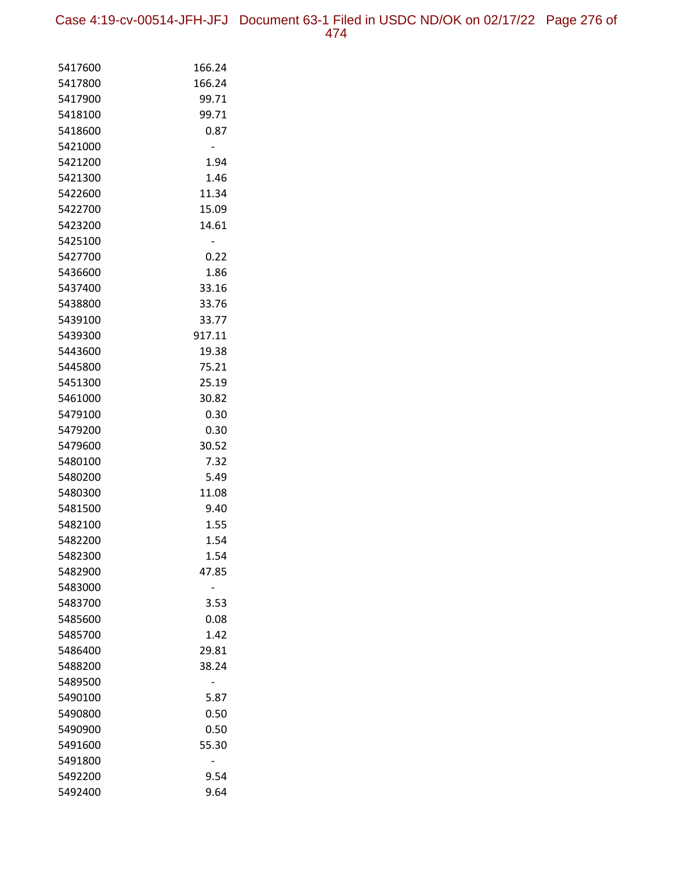Case 4:19-cv-00514-JFH-JFJ Document 63-1 Filed in USDC ND/OK on 02/17/22 Page 276 of 474

| 5417600 | 166.24 |
|---------|--------|
| 5417800 | 166.24 |
| 5417900 | 99.71  |
| 5418100 | 99.71  |
| 5418600 | 0.87   |
| 5421000 |        |
| 5421200 | 1.94   |
| 5421300 | 1.46   |
| 5422600 | 11.34  |
| 5422700 | 15.09  |
| 5423200 | 14.61  |
| 5425100 | -      |
| 5427700 | 0.22   |
| 5436600 | 1.86   |
| 5437400 | 33.16  |
| 5438800 | 33.76  |
| 5439100 | 33.77  |
| 5439300 | 917.11 |
| 5443600 | 19.38  |
| 5445800 | 75.21  |
| 5451300 | 25.19  |
| 5461000 | 30.82  |
| 5479100 | 0.30   |
| 5479200 | 0.30   |
| 5479600 | 30.52  |
| 5480100 | 7.32   |
| 5480200 | 5.49   |
| 5480300 | 11.08  |
| 5481500 | 9.40   |
| 5482100 | 1.55   |
| 5482200 | 1.54   |
| 5482300 | 1.54   |
| 5482900 | 47.85  |
| 5483000 |        |
| 5483700 | 3.53   |
| 5485600 | 0.08   |
| 5485700 | 1.42   |
| 5486400 | 29.81  |
| 5488200 | 38.24  |
| 5489500 |        |
| 5490100 | 5.87   |
| 5490800 | 0.50   |
| 5490900 | 0.50   |
| 5491600 | 55.30  |
| 5491800 |        |
| 5492200 | 9.54   |
| 5492400 | 9.64   |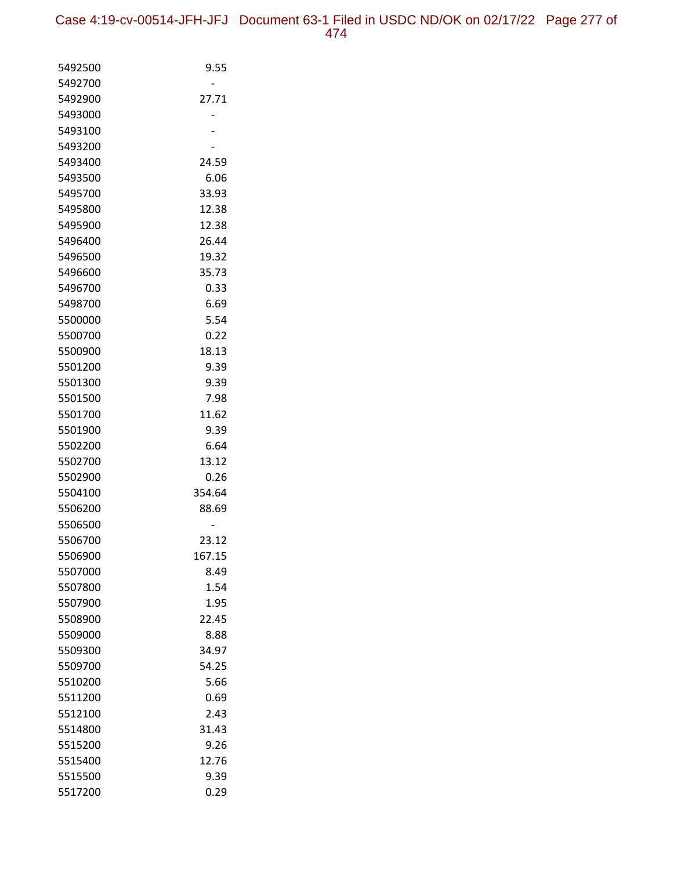| 5492500 | 9.55   |
|---------|--------|
| 5492700 |        |
| 5492900 | 27.71  |
| 5493000 |        |
| 5493100 |        |
| 5493200 |        |
| 5493400 | 24.59  |
| 5493500 | 6.06   |
| 5495700 | 33.93  |
| 5495800 | 12.38  |
| 5495900 | 12.38  |
| 5496400 | 26.44  |
| 5496500 | 19.32  |
| 5496600 | 35.73  |
| 5496700 | 0.33   |
| 5498700 | 6.69   |
| 5500000 | 5.54   |
| 5500700 | 0.22   |
| 5500900 | 18.13  |
| 5501200 | 9.39   |
| 5501300 | 9.39   |
| 5501500 | 7.98   |
| 5501700 | 11.62  |
| 5501900 | 9.39   |
| 5502200 | 6.64   |
| 5502700 | 13.12  |
| 5502900 | 0.26   |
| 5504100 | 354.64 |
| 5506200 | 88.69  |
| 5506500 |        |
| 5506700 | 23.12  |
| 5506900 | 167.15 |
| 5507000 | 8.49   |
| 5507800 | 1.54   |
| 5507900 | 1.95   |
| 5508900 | 22.45  |
| 5509000 | 8.88   |
| 5509300 | 34.97  |
| 5509700 | 54.25  |
| 5510200 | 5.66   |
| 5511200 | 0.69   |
| 5512100 | 2.43   |
| 5514800 | 31.43  |
| 5515200 | 9.26   |
| 5515400 | 12.76  |
| 5515500 | 9.39   |
| 5517200 | 0.29   |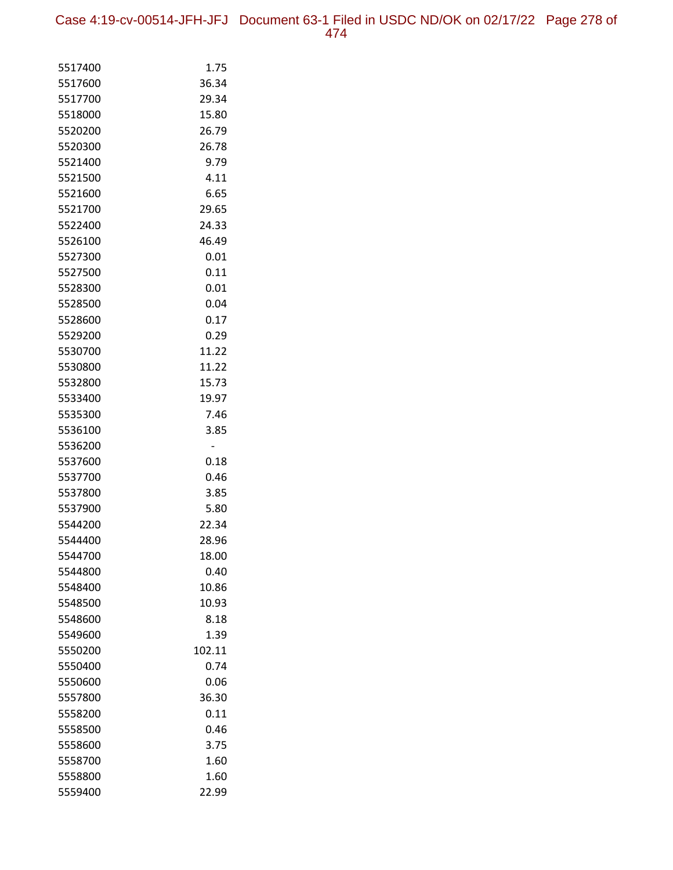Case 4:19-cv-00514-JFH-JFJ Document 63-1 Filed in USDC ND/OK on 02/17/22 Page 278 of 474

| 5517400            | 1.75          |
|--------------------|---------------|
| 5517600            | 36.34         |
| 5517700            | 29.34         |
| 5518000            | 15.80         |
| 5520200            | 26.79         |
| 5520300            | 26.78         |
| 5521400            | 9.79          |
| 5521500            | 4.11          |
| 5521600            | 6.65          |
| 5521700            | 29.65         |
| 5522400            | 24.33         |
| 5526100            | 46.49         |
| 5527300            | 0.01          |
| 5527500            | 0.11          |
| 5528300            | 0.01          |
| 5528500            | 0.04          |
| 5528600            | 0.17          |
| 5529200            | 0.29          |
| 5530700            | 11.22         |
| 5530800            | 11.22         |
| 5532800            | 15.73         |
| 5533400            | 19.97         |
| 5535300            | 7.46          |
| 5536100            | 3.85          |
| 5536200            | -             |
| 5537600            | 0.18          |
| 5537700            | 0.46          |
| 5537800<br>5537900 | 3.85          |
| 5544200            | 5.80<br>22.34 |
| 5544400            | 28.96         |
| 5544700            | 18.00         |
| 5544800            | 0.40          |
| 5548400            | 10.86         |
| 5548500            | 10.93         |
| 5548600            | 8.18          |
| 5549600            | 1.39          |
| 5550200            | 102.11        |
| 5550400            | 0.74          |
| 5550600            | 0.06          |
| 5557800            | 36.30         |
| 5558200            | 0.11          |
| 5558500            | 0.46          |
| 5558600            | 3.75          |
| 5558700            | 1.60          |
| 5558800            | 1.60          |
| 5559400            | 22.99         |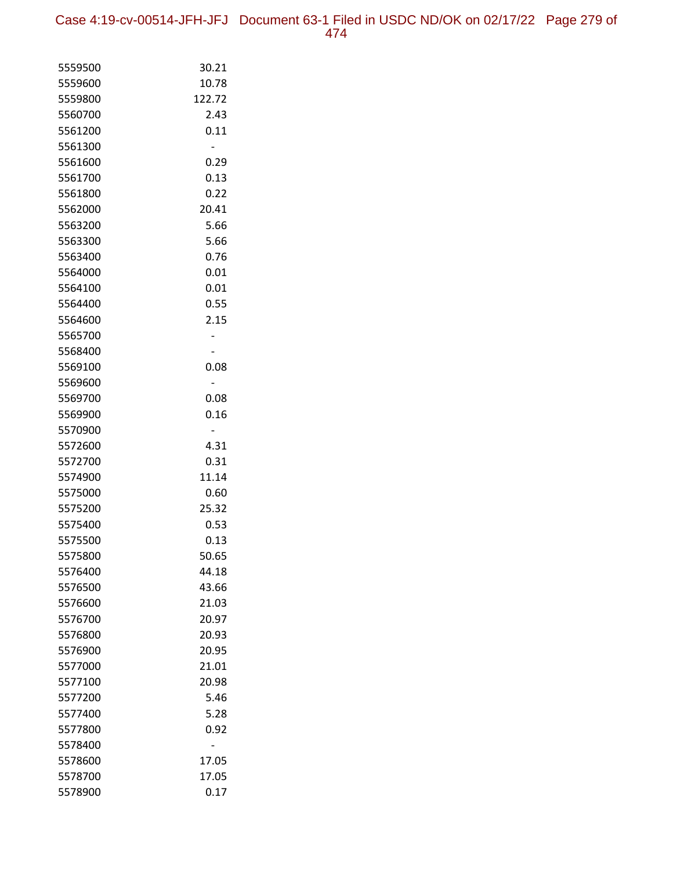Case 4:19-cv-00514-JFH-JFJ Document 63-1 Filed in USDC ND/OK on 02/17/22 Page 279 of 474

| 5559500            | 30.21          |
|--------------------|----------------|
| 5559600            | 10.78          |
| 5559800            | 122.72         |
| 5560700            | 2.43           |
| 5561200            | 0.11           |
| 5561300            | -              |
| 5561600            | 0.29           |
| 5561700            | 0.13           |
| 5561800            | 0.22           |
| 5562000            | 20.41          |
| 5563200            | 5.66           |
| 5563300            | 5.66           |
| 5563400            | 0.76           |
| 5564000            | 0.01           |
| 5564100            | 0.01           |
| 5564400            | 0.55           |
| 5564600            | 2.15           |
| 5565700            |                |
| 5568400            |                |
| 5569100            | 0.08           |
| 5569600            | -              |
| 5569700            | 0.08           |
| 5569900            | 0.16           |
| 5570900            |                |
| 5572600            | 4.31           |
| 5572700            | 0.31           |
| 5574900            | 11.14          |
| 5575000            | 0.60           |
| 5575200            | 25.32          |
| 5575400<br>5575500 | 0.53           |
|                    | 0.13           |
| 5575800<br>5576400 | 50.65<br>44.18 |
| 5576500            | 43.66          |
| 5576600            | 21.03          |
| 5576700            | 20.97          |
| 5576800            | 20.93          |
| 5576900            | 20.95          |
| 5577000            | 21.01          |
| 5577100            | 20.98          |
| 5577200            | 5.46           |
| 5577400            | 5.28           |
| 5577800            | 0.92           |
| 5578400            |                |
| 5578600            | 17.05          |
| 5578700            | 17.05          |
| 5578900            | 0.17           |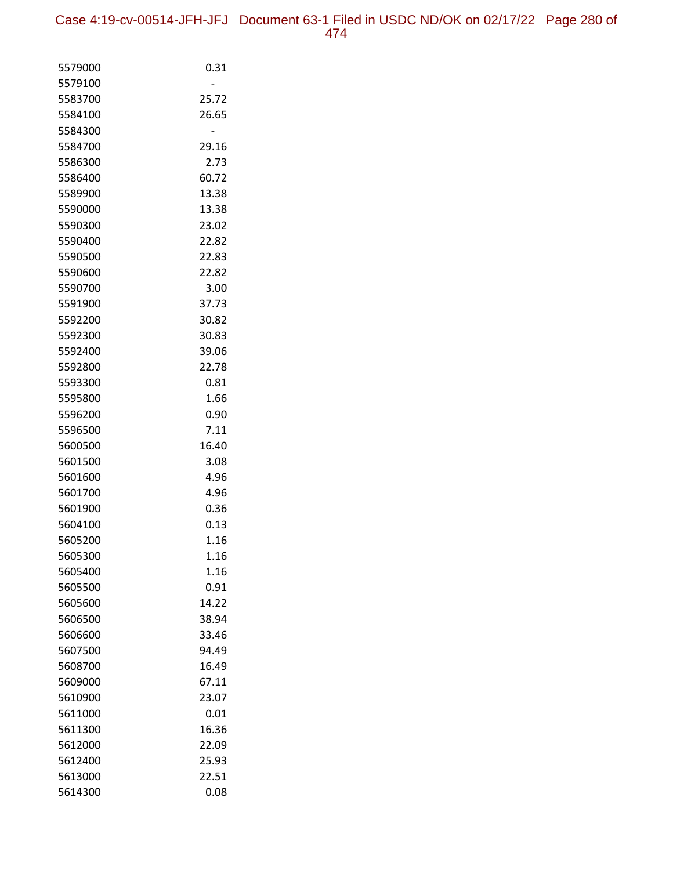Case 4:19-cv-00514-JFH-JFJ Document 63-1 Filed in USDC ND/OK on 02/17/22 Page 280 of 474

| 5579000            | 0.31          |
|--------------------|---------------|
| 5579100            |               |
| 5583700            | 25.72         |
| 5584100            | 26.65         |
| 5584300            |               |
| 5584700            | 29.16         |
| 5586300            | 2.73          |
| 5586400            | 60.72         |
| 5589900            | 13.38         |
| 5590000            | 13.38         |
| 5590300            | 23.02         |
| 5590400            | 22.82         |
| 5590500            | 22.83         |
| 5590600<br>5590700 | 22.82         |
|                    | 3.00<br>37.73 |
| 5591900<br>5592200 | 30.82         |
| 5592300            | 30.83         |
| 5592400            | 39.06         |
| 5592800            | 22.78         |
| 5593300            | 0.81          |
| 5595800            | 1.66          |
| 5596200            | 0.90          |
| 5596500            | 7.11          |
| 5600500            | 16.40         |
| 5601500            | 3.08          |
| 5601600            | 4.96          |
| 5601700            | 4.96          |
| 5601900            | 0.36          |
| 5604100            | 0.13          |
| 5605200            | 1.16          |
| 5605300            | 1.16          |
| 5605400            | 1.16          |
| 5605500            | 0.91          |
| 5605600            | 14.22         |
| 5606500            | 38.94         |
| 5606600            | 33.46         |
| 5607500            | 94.49         |
| 5608700            | 16.49         |
| 5609000            | 67.11         |
| 5610900            | 23.07         |
| 5611000            | 0.01          |
| 5611300            | 16.36         |
| 5612000            | 22.09         |
| 5612400            | 25.93         |
| 5613000            | 22.51         |
| 5614300            | 0.08          |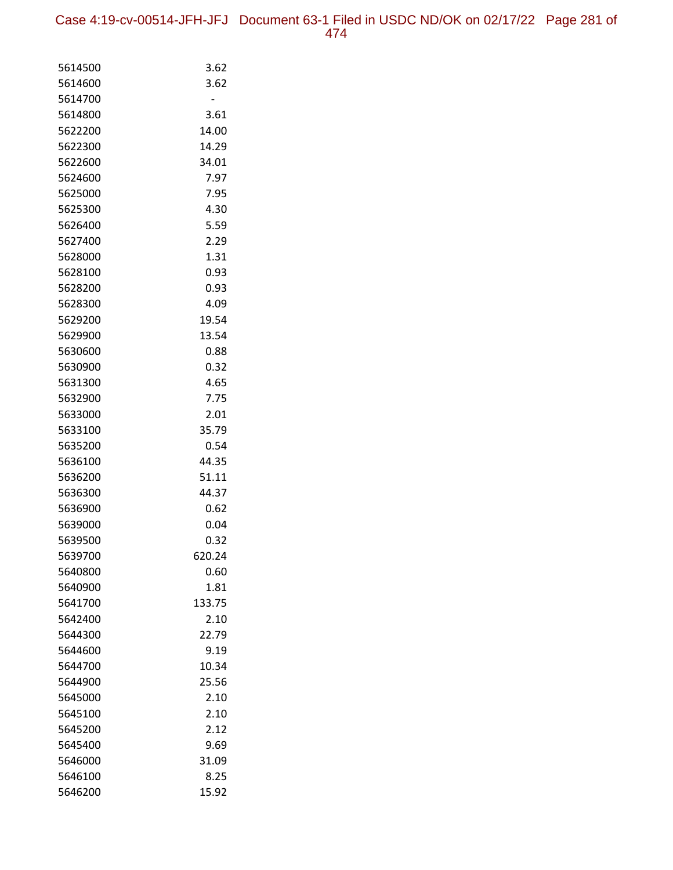| 5614500            | 3.62           |
|--------------------|----------------|
| 5614600            | 3.62           |
| 5614700            |                |
| 5614800            | 3.61           |
| 5622200            | 14.00          |
| 5622300            | 14.29          |
| 5622600            | 34.01          |
| 5624600            | 7.97           |
| 5625000            | 7.95           |
| 5625300            | 4.30           |
| 5626400            | 5.59           |
| 5627400            | 2.29           |
| 5628000            | 1.31           |
| 5628100            | 0.93           |
| 5628200            | 0.93           |
| 5628300            | 4.09           |
| 5629200            | 19.54          |
| 5629900            | 13.54          |
| 5630600            | 0.88           |
| 5630900            | 0.32           |
| 5631300            | 4.65           |
| 5632900            | 7.75           |
| 5633000            | 2.01           |
| 5633100            | 35.79          |
| 5635200            | 0.54           |
| 5636100            | 44.35          |
| 5636200            | 51.11          |
| 5636300            | 44.37          |
| 5636900            | 0.62           |
| 5639000            | 0.04           |
| 5639500            | 0.32           |
| 5639700            | 620.24         |
| 5640800            | 0.60           |
| 5640900<br>5641700 | 1.81<br>133.75 |
| 5642400            | 2.10           |
| 5644300            | 22.79          |
| 5644600            | 9.19           |
| 5644700            | 10.34          |
| 5644900            | 25.56          |
| 5645000            | 2.10           |
| 5645100            | 2.10           |
| 5645200            | 2.12           |
| 5645400            | 9.69           |
| 5646000            | 31.09          |
| 5646100            | 8.25           |
| 5646200            | 15.92          |
|                    |                |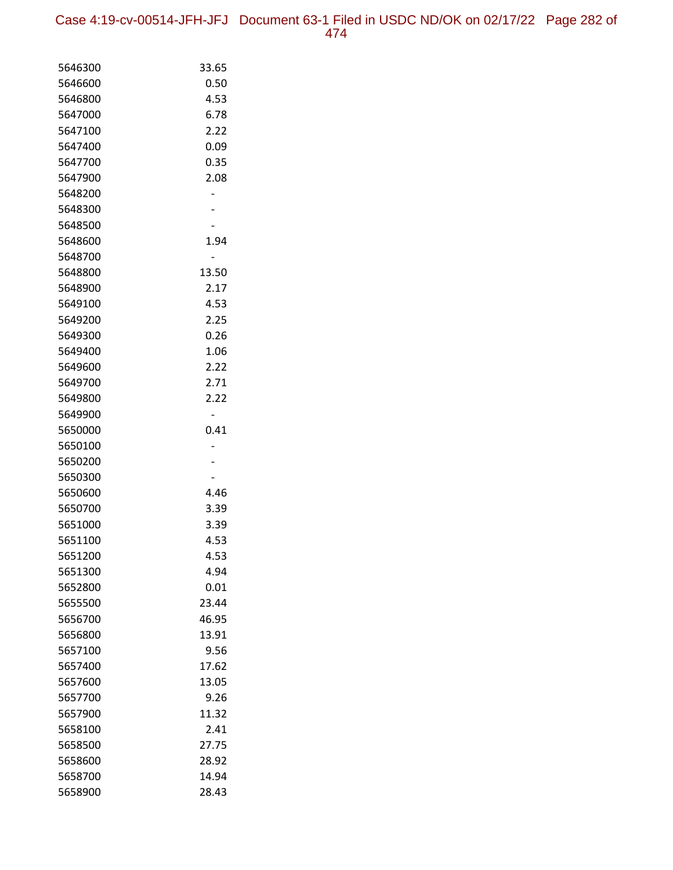Case 4:19-cv-00514-JFH-JFJ Document 63-1 Filed in USDC ND/OK on 02/17/22 Page 282 of 474

| 5646300 | 33.65 |
|---------|-------|
| 5646600 | 0.50  |
| 5646800 | 4.53  |
| 5647000 | 6.78  |
| 5647100 | 2.22  |
| 5647400 | 0.09  |
| 5647700 | 0.35  |
| 5647900 | 2.08  |
| 5648200 |       |
| 5648300 |       |
| 5648500 |       |
| 5648600 | 1.94  |
| 5648700 |       |
| 5648800 | 13.50 |
| 5648900 | 2.17  |
| 5649100 | 4.53  |
| 5649200 | 2.25  |
| 5649300 | 0.26  |
| 5649400 | 1.06  |
| 5649600 | 2.22  |
| 5649700 | 2.71  |
| 5649800 | 2.22  |
| 5649900 |       |
| 5650000 | 0.41  |
| 5650100 |       |
| 5650200 |       |
| 5650300 |       |
| 5650600 | 4.46  |
| 5650700 | 3.39  |
| 5651000 | 3.39  |
| 5651100 | 4.53  |
| 5651200 | 4.53  |
| 5651300 | 4.94  |
| 5652800 | 0.01  |
| 5655500 | 23.44 |
| 5656700 | 46.95 |
| 5656800 | 13.91 |
| 5657100 | 9.56  |
| 5657400 | 17.62 |
| 5657600 | 13.05 |
| 5657700 | 9.26  |
| 5657900 | 11.32 |
| 5658100 | 2.41  |
| 5658500 | 27.75 |
| 5658600 | 28.92 |
| 5658700 | 14.94 |
| 5658900 | 28.43 |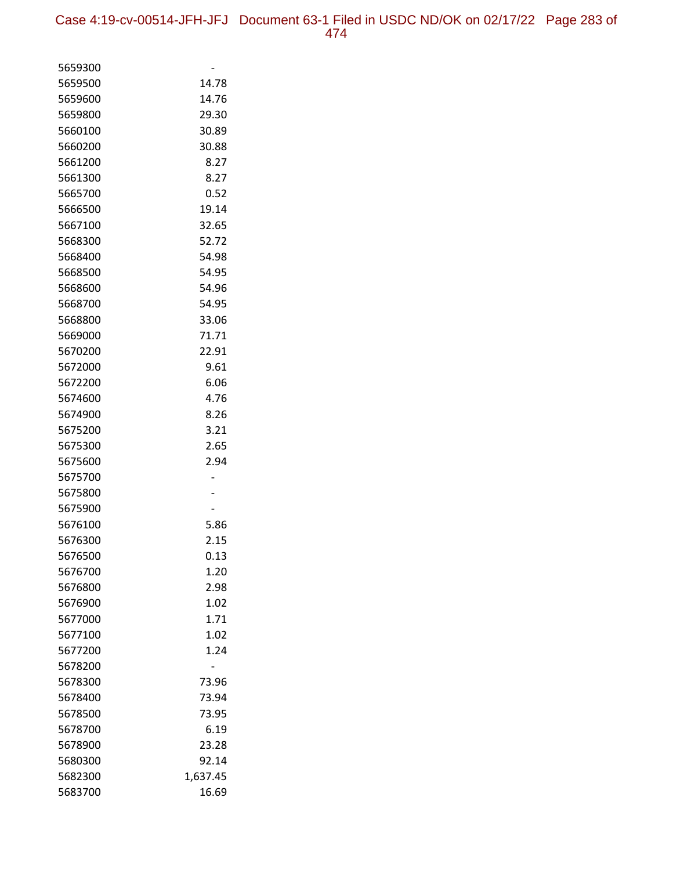| 5659300            |              |
|--------------------|--------------|
| 5659500            | 14.78        |
| 5659600            | 14.76        |
| 5659800            | 29.30        |
| 5660100            | 30.89        |
| 5660200            | 30.88        |
| 5661200            | 8.27         |
| 5661300            | 8.27         |
| 5665700            | 0.52         |
| 5666500            | 19.14        |
| 5667100            | 32.65        |
| 5668300            | 52.72        |
| 5668400            | 54.98        |
| 5668500            | 54.95        |
| 5668600            | 54.96        |
| 5668700            | 54.95        |
| 5668800            | 33.06        |
| 5669000            | 71.71        |
| 5670200            | 22.91        |
| 5672000            | 9.61         |
| 5672200            | 6.06         |
| 5674600            | 4.76         |
| 5674900            | 8.26         |
| 5675200            | 3.21         |
| 5675300<br>5675600 | 2.65<br>2.94 |
| 5675700            |              |
| 5675800            |              |
| 5675900            |              |
| 5676100            | 5.86         |
| 5676300            | 2.15         |
| 5676500            | 0.13         |
| 5676700            | 1.20         |
| 5676800            | 2.98         |
| 5676900            | 1.02         |
| 5677000            | 1.71         |
| 5677100            | 1.02         |
| 5677200            | 1.24         |
| 5678200            |              |
| 5678300            | 73.96        |
| 5678400            | 73.94        |
| 5678500            | 73.95        |
| 5678700            | 6.19         |
| 5678900            | 23.28        |
| 5680300            | 92.14        |
| 5682300            | 1,637.45     |
| 5683700            | 16.69        |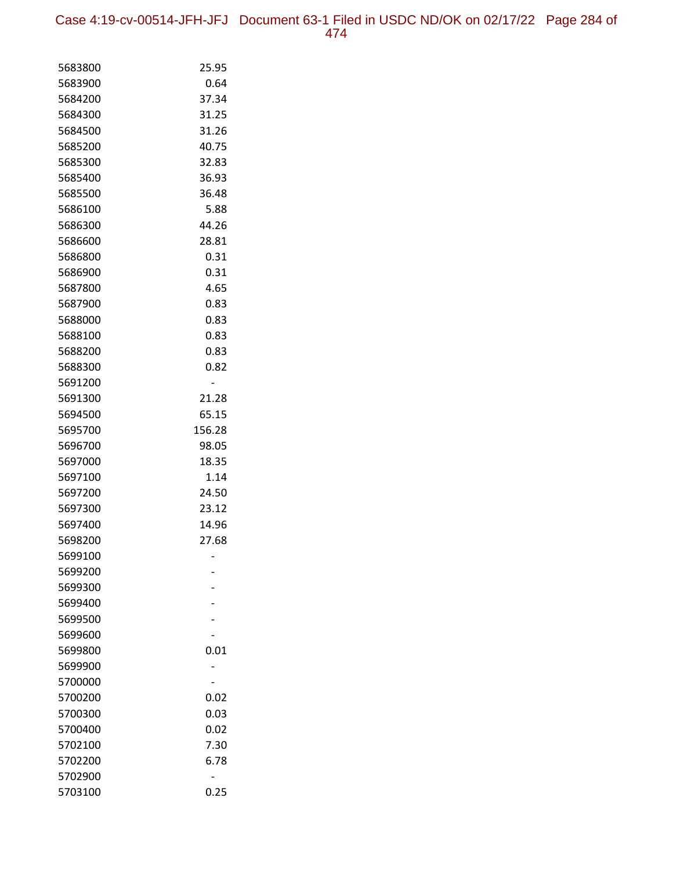Case 4:19-cv-00514-JFH-JFJ Document 63-1 Filed in USDC ND/OK on 02/17/22 Page 284 of 474

| 5683800            | 25.95          |
|--------------------|----------------|
| 5683900            | 0.64           |
| 5684200            | 37.34          |
| 5684300            | 31.25          |
| 5684500            | 31.26          |
| 5685200            | 40.75          |
| 5685300            | 32.83          |
| 5685400            | 36.93          |
| 5685500            | 36.48          |
| 5686100            | 5.88           |
| 5686300            | 44.26          |
| 5686600            | 28.81          |
| 5686800            | 0.31           |
| 5686900            | 0.31           |
| 5687800            | 4.65           |
| 5687900            | 0.83           |
| 5688000            | 0.83           |
| 5688100            | 0.83           |
| 5688200            | 0.83           |
| 5688300            | 0.82           |
| 5691200            |                |
| 5691300            | 21.28          |
| 5694500            | 65.15          |
| 5695700            | 156.28         |
| 5696700            | 98.05          |
| 5697000            | 18.35          |
| 5697100            | 1.14           |
| 5697200            | 24.50          |
| 5697300            | 23.12          |
| 5697400<br>5698200 | 14.96<br>27.68 |
| 5699100            |                |
| 5699200            |                |
| 5699300            |                |
| 5699400            |                |
| 5699500            |                |
| 5699600            |                |
| 5699800            | 0.01           |
| 5699900            |                |
| 5700000            |                |
| 5700200            | 0.02           |
| 5700300            | 0.03           |
| 5700400            | 0.02           |
| 5702100            | 7.30           |
| 5702200            | 6.78           |
| 5702900            |                |
| 5703100            | 0.25           |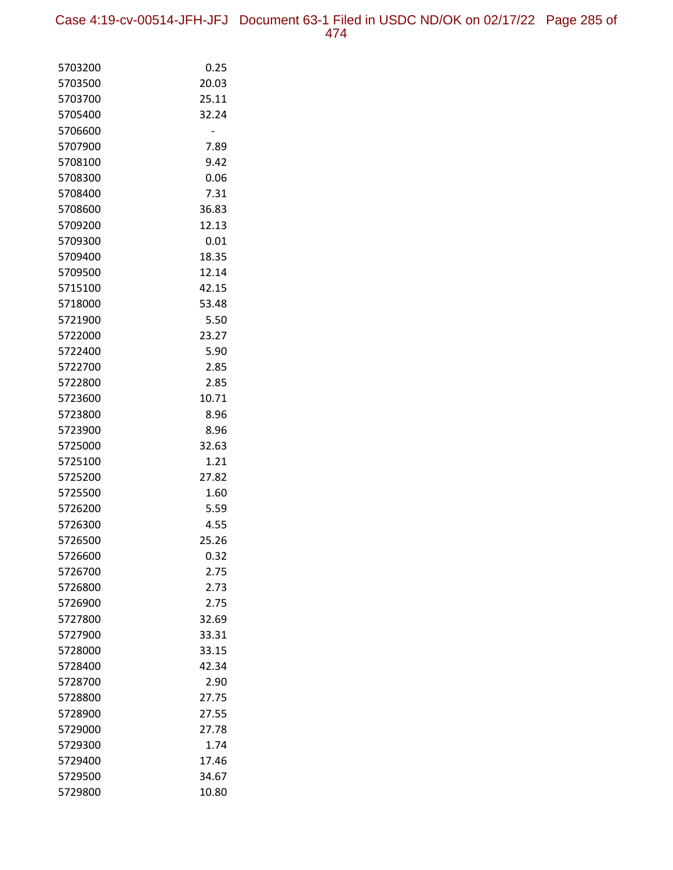Case 4:19-cv-00514-JFH-JFJ Document 63-1 Filed in USDC ND/OK on 02/17/22 Page 285 of 474

| 5703200            | 0.25         |
|--------------------|--------------|
| 5703500            | 20.03        |
| 5703700            | 25.11        |
| 5705400            | 32.24        |
| 5706600            |              |
| 5707900            | 7.89         |
| 5708100            | 9.42         |
| 5708300            | 0.06         |
| 5708400            | 7.31         |
| 5708600            | 36.83        |
| 5709200            | 12.13        |
| 5709300            | 0.01         |
| 5709400            | 18.35        |
| 5709500            | 12.14        |
| 5715100            | 42.15        |
| 5718000            | 53.48        |
| 5721900            | 5.50         |
| 5722000            | 23.27        |
| 5722400            | 5.90         |
| 5722700            | 2.85         |
| 5722800            | 2.85         |
| 5723600            | 10.71        |
| 5723800            | 8.96         |
| 5723900            | 8.96         |
| 5725000            | 32.63        |
| 5725100            | 1.21         |
| 5725200            | 27.82        |
| 5725500            | 1.60         |
| 5726200            | 5.59         |
| 5726300            | 4.55         |
| 5726500            | 25.26        |
| 5726600            | 0.32         |
| 5726700<br>5726800 | 2.75<br>2.73 |
| 5726900            | 2.75         |
| 5727800            | 32.69        |
| 5727900            | 33.31        |
| 5728000            | 33.15        |
| 5728400            | 42.34        |
| 5728700            | 2.90         |
| 5728800            | 27.75        |
| 5728900            | 27.55        |
| 5729000            | 27.78        |
| 5729300            | 1.74         |
| 5729400            | 17.46        |
| 5729500            | 34.67        |
| 5729800            | 10.80        |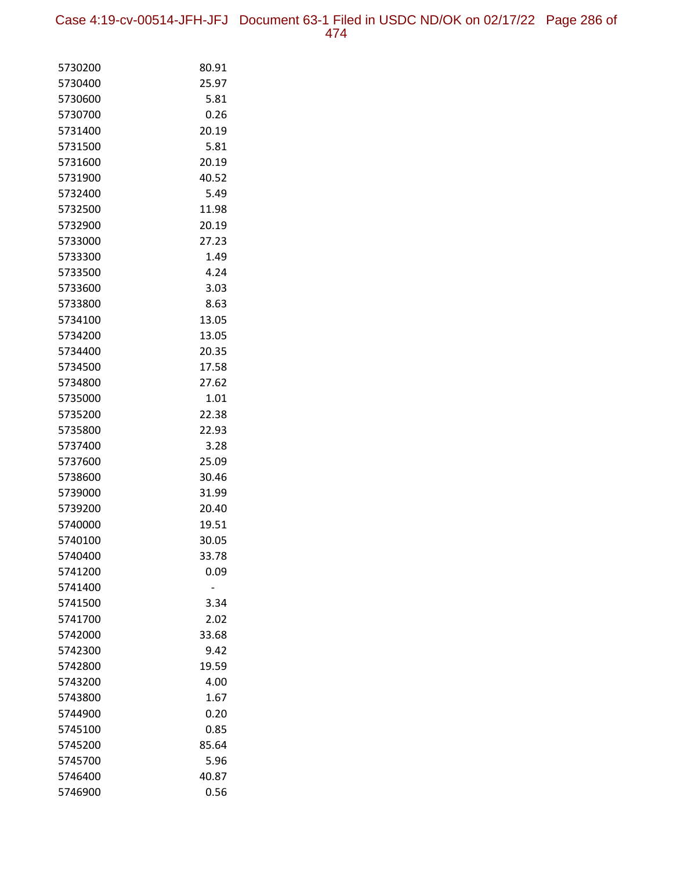Case 4:19-cv-00514-JFH-JFJ Document 63-1 Filed in USDC ND/OK on 02/17/22 Page 286 of 474

| 5730200            | 80.91          |
|--------------------|----------------|
| 5730400            | 25.97          |
| 5730600            | 5.81           |
| 5730700            | 0.26           |
| 5731400            | 20.19          |
| 5731500            | 5.81           |
| 5731600            | 20.19          |
| 5731900            | 40.52          |
| 5732400            | 5.49           |
| 5732500            | 11.98          |
| 5732900            | 20.19          |
| 5733000            | 27.23          |
| 5733300            | 1.49           |
| 5733500            | 4.24           |
| 5733600            | 3.03           |
| 5733800            | 8.63           |
| 5734100            | 13.05          |
| 5734200            | 13.05          |
| 5734400            | 20.35          |
| 5734500            | 17.58          |
| 5734800            | 27.62          |
| 5735000            | 1.01           |
| 5735200            | 22.38          |
| 5735800            | 22.93          |
| 5737400            | 3.28           |
| 5737600            | 25.09          |
| 5738600            | 30.46          |
| 5739000<br>5739200 | 31.99          |
| 5740000            | 20.40<br>19.51 |
| 5740100            | 30.05          |
| 5740400            | 33.78          |
| 5741200            | 0.09           |
| 5741400            |                |
| 5741500            | 3.34           |
| 5741700            | 2.02           |
| 5742000            | 33.68          |
| 5742300            | 9.42           |
| 5742800            | 19.59          |
| 5743200            | 4.00           |
| 5743800            | 1.67           |
| 5744900            | 0.20           |
| 5745100            | 0.85           |
| 5745200            | 85.64          |
| 5745700            | 5.96           |
| 5746400            | 40.87          |
| 5746900            | 0.56           |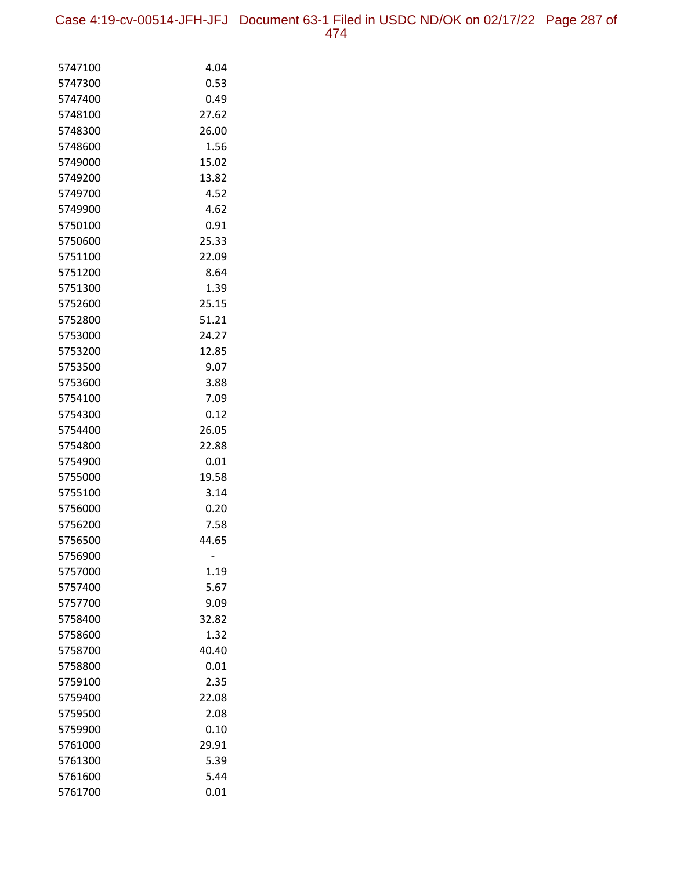Case 4:19-cv-00514-JFH-JFJ Document 63-1 Filed in USDC ND/OK on 02/17/22 Page 287 of 474

| 5747100            | 4.04          |
|--------------------|---------------|
| 5747300            | 0.53          |
| 5747400            | 0.49          |
| 5748100            | 27.62         |
| 5748300            | 26.00         |
| 5748600            | 1.56          |
| 5749000            | 15.02         |
| 5749200            | 13.82         |
| 5749700            | 4.52          |
| 5749900            | 4.62          |
| 5750100            | 0.91          |
| 5750600            | 25.33         |
| 5751100            | 22.09         |
| 5751200            | 8.64          |
| 5751300            | 1.39          |
| 5752600            | 25.15         |
| 5752800            | 51.21         |
| 5753000            | 24.27         |
| 5753200            | 12.85         |
| 5753500            | 9.07          |
| 5753600            | 3.88          |
| 5754100            | 7.09          |
| 5754300            | 0.12          |
| 5754400            | 26.05         |
| 5754800            | 22.88         |
| 5754900            | 0.01          |
| 5755000            | 19.58         |
| 5755100            | 3.14          |
| 5756000            | 0.20          |
| 5756200            | 7.58          |
| 5756500            | 44.65         |
| 5756900            |               |
| 5757000            | 1.19          |
| 5757400<br>5757700 | 5.67          |
|                    | 9.09          |
| 5758400<br>5758600 | 32.82<br>1.32 |
| 5758700            | 40.40         |
| 5758800            | 0.01          |
| 5759100            | 2.35          |
| 5759400            | 22.08         |
| 5759500            | 2.08          |
| 5759900            | 0.10          |
| 5761000            | 29.91         |
| 5761300            | 5.39          |
| 5761600            | 5.44          |
| 5761700            | 0.01          |
|                    |               |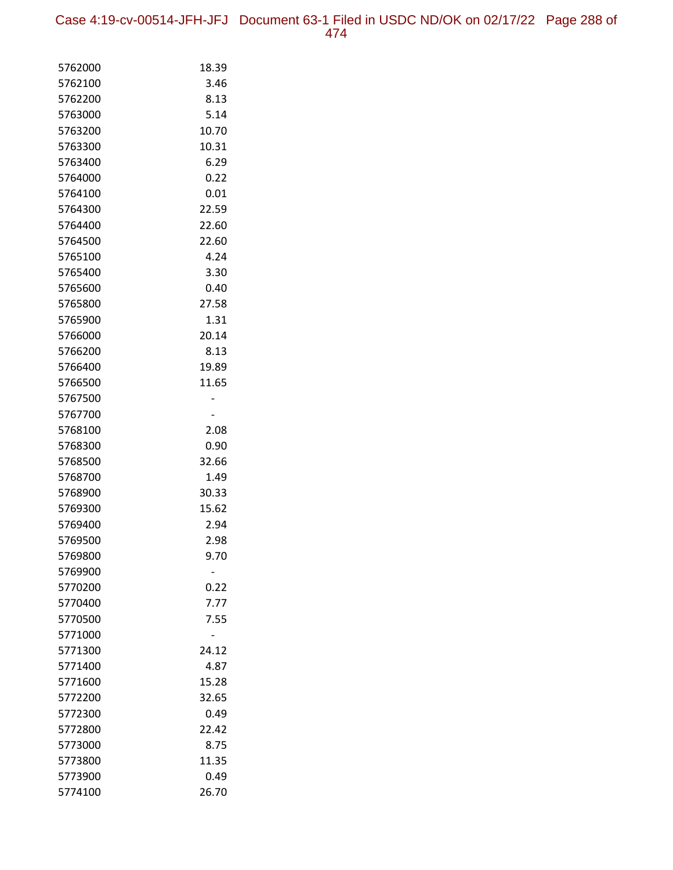Case 4:19-cv-00514-JFH-JFJ Document 63-1 Filed in USDC ND/OK on 02/17/22 Page 288 of 474

| 5762000            | 18.39 |
|--------------------|-------|
| 5762100            | 3.46  |
| 5762200            | 8.13  |
| 5763000            | 5.14  |
| 5763200            | 10.70 |
| 5763300            | 10.31 |
| 5763400            | 6.29  |
| 5764000            | 0.22  |
| 5764100            | 0.01  |
| 5764300            | 22.59 |
| 5764400            | 22.60 |
| 5764500            | 22.60 |
| 5765100            | 4.24  |
| 5765400            | 3.30  |
| 5765600            | 0.40  |
| 5765800            | 27.58 |
| 5765900            | 1.31  |
| 5766000            | 20.14 |
| 5766200            | 8.13  |
| 5766400            | 19.89 |
| 5766500            | 11.65 |
| 5767500            |       |
| 5767700            |       |
| 5768100            | 2.08  |
| 5768300            | 0.90  |
| 5768500            | 32.66 |
| 5768700            | 1.49  |
| 5768900            | 30.33 |
| 5769300            | 15.62 |
| 5769400            | 2.94  |
| 5769500            | 2.98  |
| 5769800<br>5769900 | 9.70  |
| 5770200            | 0.22  |
| 5770400            | 7.77  |
| 5770500            | 7.55  |
| 5771000            |       |
| 5771300            | 24.12 |
| 5771400            | 4.87  |
| 5771600            | 15.28 |
| 5772200            | 32.65 |
| 5772300            | 0.49  |
| 5772800            | 22.42 |
| 5773000            | 8.75  |
| 5773800            | 11.35 |
| 5773900            | 0.49  |
| 5774100            | 26.70 |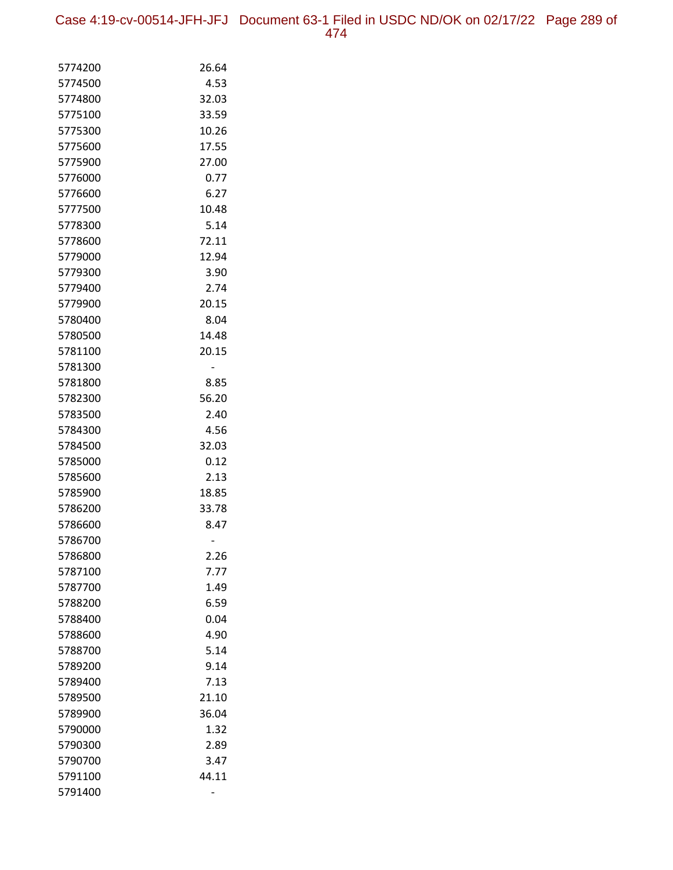Case 4:19-cv-00514-JFH-JFJ Document 63-1 Filed in USDC ND/OK on 02/17/22 Page 289 of 474

| 5774200            | 26.64         |
|--------------------|---------------|
| 5774500            | 4.53          |
| 5774800            | 32.03         |
| 5775100            | 33.59         |
| 5775300            | 10.26         |
| 5775600            | 17.55         |
| 5775900            | 27.00         |
| 5776000            | 0.77          |
| 5776600            | 6.27          |
| 5777500            | 10.48         |
| 5778300            | 5.14          |
| 5778600            | 72.11         |
| 5779000            | 12.94         |
| 5779300            | 3.90          |
| 5779400            | 2.74          |
| 5779900            | 20.15         |
| 5780400            | 8.04          |
| 5780500            | 14.48         |
| 5781100            | 20.15         |
| 5781300            |               |
| 5781800            | 8.85          |
| 5782300            | 56.20         |
| 5783500            | 2.40          |
| 5784300            | 4.56          |
| 5784500            | 32.03         |
| 5785000            | 0.12          |
| 5785600<br>5785900 | 2.13<br>18.85 |
| 5786200            | 33.78         |
| 5786600            | 8.47          |
| 5786700            |               |
| 5786800            | 2.26          |
| 5787100            | 7.77          |
| 5787700            | 1.49          |
| 5788200            | 6.59          |
| 5788400            | 0.04          |
| 5788600            | 4.90          |
| 5788700            | 5.14          |
| 5789200            | 9.14          |
| 5789400            | 7.13          |
| 5789500            | 21.10         |
| 5789900            | 36.04         |
| 5790000            | 1.32          |
| 5790300            | 2.89          |
| 5790700            | 3.47          |
| 5791100            | 44.11         |
| 5791400            |               |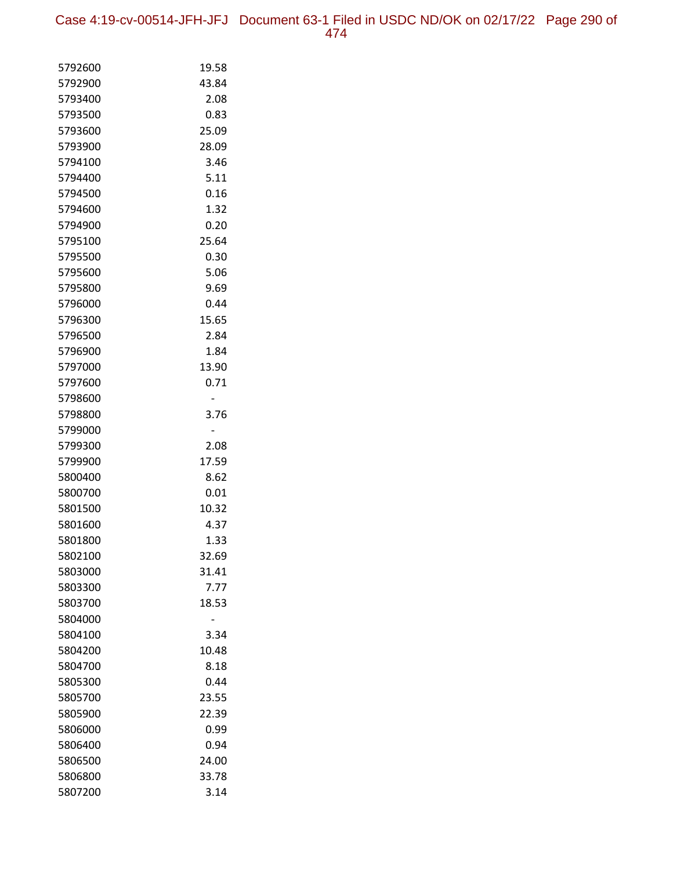Case 4:19-cv-00514-JFH-JFJ Document 63-1 Filed in USDC ND/OK on 02/17/22 Page 290 of 474

| 5792600 | 19.58 |
|---------|-------|
| 5792900 | 43.84 |
| 5793400 | 2.08  |
| 5793500 | 0.83  |
| 5793600 | 25.09 |
| 5793900 | 28.09 |
| 5794100 | 3.46  |
| 5794400 | 5.11  |
| 5794500 | 0.16  |
| 5794600 | 1.32  |
| 5794900 | 0.20  |
| 5795100 | 25.64 |
| 5795500 | 0.30  |
| 5795600 | 5.06  |
| 5795800 | 9.69  |
| 5796000 | 0.44  |
| 5796300 | 15.65 |
| 5796500 | 2.84  |
| 5796900 | 1.84  |
| 5797000 | 13.90 |
| 5797600 | 0.71  |
| 5798600 |       |
| 5798800 | 3.76  |
| 5799000 |       |
| 5799300 | 2.08  |
| 5799900 | 17.59 |
| 5800400 | 8.62  |
| 5800700 | 0.01  |
| 5801500 | 10.32 |
| 5801600 | 4.37  |
| 5801800 | 1.33  |
| 5802100 | 32.69 |
| 5803000 | 31.41 |
| 5803300 | 7.77  |
| 5803700 | 18.53 |
| 5804000 |       |
| 5804100 | 3.34  |
| 5804200 | 10.48 |
| 5804700 | 8.18  |
| 5805300 | 0.44  |
| 5805700 | 23.55 |
| 5805900 | 22.39 |
| 5806000 | 0.99  |
| 5806400 | 0.94  |
| 5806500 | 24.00 |
| 5806800 | 33.78 |
| 5807200 | 3.14  |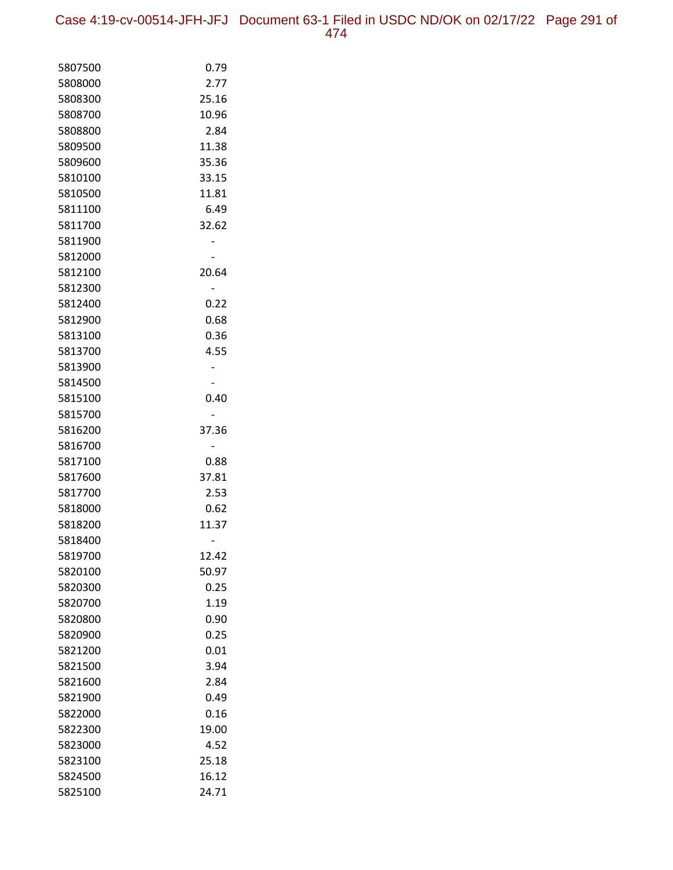Case 4:19-cv-00514-JFH-JFJ Document 63-1 Filed in USDC ND/OK on 02/17/22 Page 291 of 474

| 5807500            | 0.79  |
|--------------------|-------|
| 5808000            | 2.77  |
| 5808300            | 25.16 |
| 5808700            | 10.96 |
| 5808800            | 2.84  |
| 5809500            | 11.38 |
| 5809600            | 35.36 |
| 5810100            | 33.15 |
| 5810500            | 11.81 |
| 5811100            | 6.49  |
| 5811700            | 32.62 |
| 5811900            |       |
| 5812000            |       |
| 5812100            | 20.64 |
| 5812300            |       |
| 5812400            | 0.22  |
| 5812900            | 0.68  |
| 5813100            | 0.36  |
| 5813700            | 4.55  |
| 5813900            |       |
| 5814500            |       |
| 5815100            | 0.40  |
| 5815700            |       |
| 5816200            | 37.36 |
| 5816700            |       |
| 5817100            | 0.88  |
| 5817600            | 37.81 |
| 5817700            | 2.53  |
| 5818000            | 0.62  |
| 5818200<br>5818400 | 11.37 |
| 5819700            | 12.42 |
| 5820100            | 50.97 |
| 5820300            | 0.25  |
| 5820700            | 1.19  |
| 5820800            | 0.90  |
| 5820900            | 0.25  |
| 5821200            | 0.01  |
| 5821500            | 3.94  |
| 5821600            | 2.84  |
| 5821900            | 0.49  |
| 5822000            | 0.16  |
| 5822300            | 19.00 |
| 5823000            | 4.52  |
| 5823100            | 25.18 |
| 5824500            | 16.12 |
| 5825100            | 24.71 |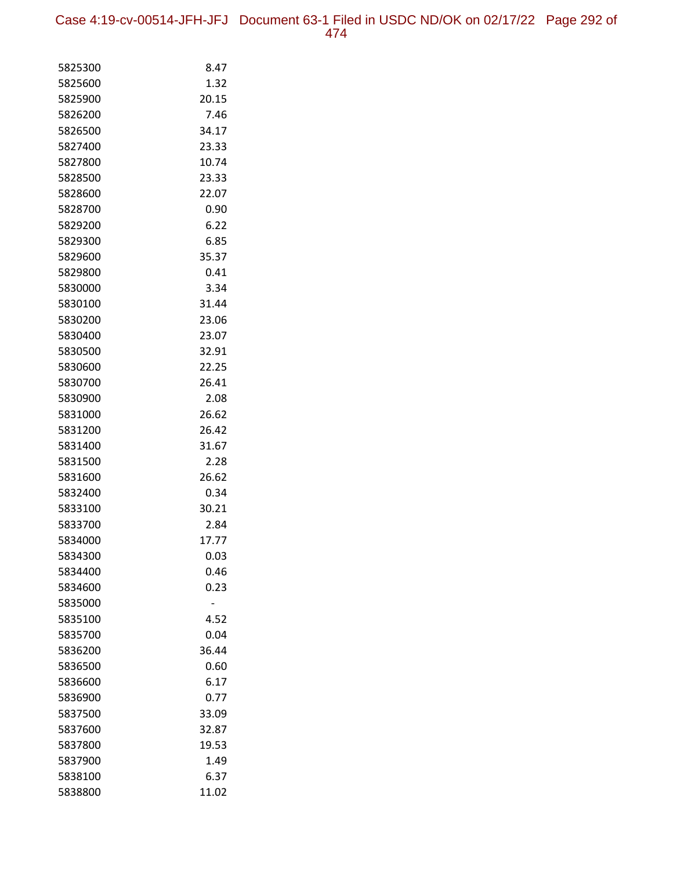| 5825300 | 8.47  |
|---------|-------|
| 5825600 | 1.32  |
| 5825900 | 20.15 |
| 5826200 | 7.46  |
| 5826500 | 34.17 |
| 5827400 | 23.33 |
| 5827800 | 10.74 |
| 5828500 | 23.33 |
| 5828600 | 22.07 |
| 5828700 | 0.90  |
| 5829200 | 6.22  |
| 5829300 | 6.85  |
| 5829600 | 35.37 |
| 5829800 | 0.41  |
| 5830000 | 3.34  |
| 5830100 | 31.44 |
| 5830200 | 23.06 |
| 5830400 | 23.07 |
| 5830500 | 32.91 |
| 5830600 | 22.25 |
| 5830700 | 26.41 |
| 5830900 | 2.08  |
| 5831000 | 26.62 |
| 5831200 | 26.42 |
| 5831400 | 31.67 |
| 5831500 | 2.28  |
| 5831600 | 26.62 |
| 5832400 | 0.34  |
| 5833100 | 30.21 |
| 5833700 | 2.84  |
| 5834000 | 17.77 |
| 5834300 | 0.03  |
| 5834400 | 0.46  |
| 5834600 | 0.23  |
| 5835000 |       |
| 5835100 | 4.52  |
| 5835700 | 0.04  |
| 5836200 | 36.44 |
| 5836500 | 0.60  |
| 5836600 | 6.17  |
| 5836900 | 0.77  |
| 5837500 | 33.09 |
| 5837600 | 32.87 |
| 5837800 | 19.53 |
| 5837900 | 1.49  |
| 5838100 | 6.37  |
| 5838800 | 11.02 |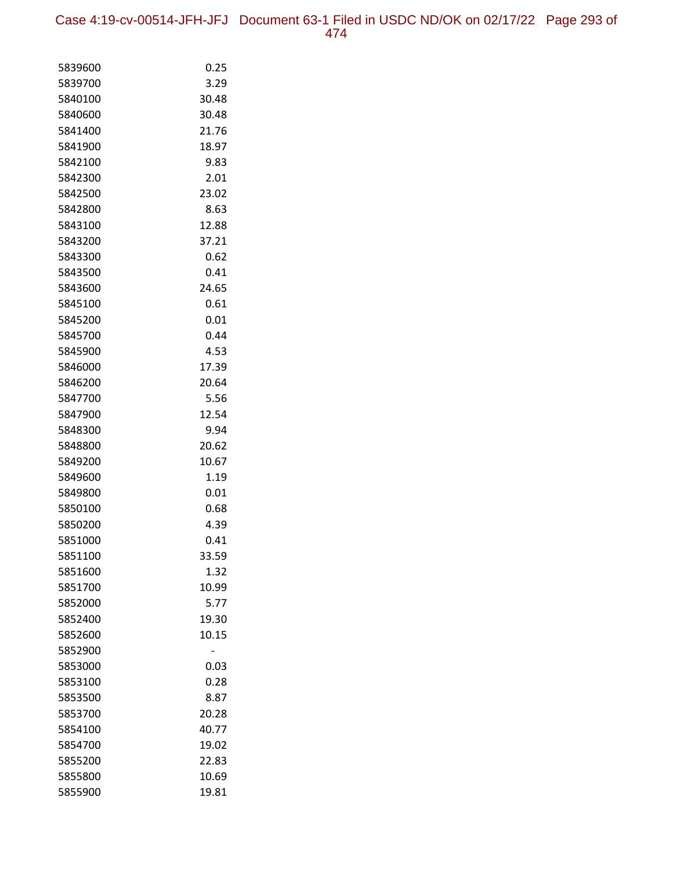Case 4:19-cv-00514-JFH-JFJ Document 63-1 Filed in USDC ND/OK on 02/17/22 Page 293 of 474

| 5839600 | 0.25  |
|---------|-------|
| 5839700 | 3.29  |
| 5840100 | 30.48 |
| 5840600 | 30.48 |
| 5841400 | 21.76 |
| 5841900 | 18.97 |
| 5842100 | 9.83  |
| 5842300 | 2.01  |
| 5842500 | 23.02 |
| 5842800 | 8.63  |
| 5843100 | 12.88 |
| 5843200 | 37.21 |
| 5843300 | 0.62  |
| 5843500 | 0.41  |
| 5843600 | 24.65 |
| 5845100 | 0.61  |
| 5845200 | 0.01  |
| 5845700 | 0.44  |
| 5845900 | 4.53  |
| 5846000 | 17.39 |
| 5846200 | 20.64 |
| 5847700 | 5.56  |
| 5847900 | 12.54 |
| 5848300 | 9.94  |
| 5848800 | 20.62 |
| 5849200 | 10.67 |
| 5849600 | 1.19  |
| 5849800 | 0.01  |
| 5850100 | 0.68  |
| 5850200 | 4.39  |
| 5851000 | 0.41  |
| 5851100 | 33.59 |
| 5851600 | 1.32  |
| 5851700 | 10.99 |
| 5852000 | 5.77  |
| 5852400 | 19.30 |
| 5852600 | 10.15 |
| 5852900 |       |
| 5853000 | 0.03  |
| 5853100 | 0.28  |
| 5853500 | 8.87  |
| 5853700 | 20.28 |
| 5854100 | 40.77 |
| 5854700 | 19.02 |
| 5855200 | 22.83 |
| 5855800 | 10.69 |
| 5855900 | 19.81 |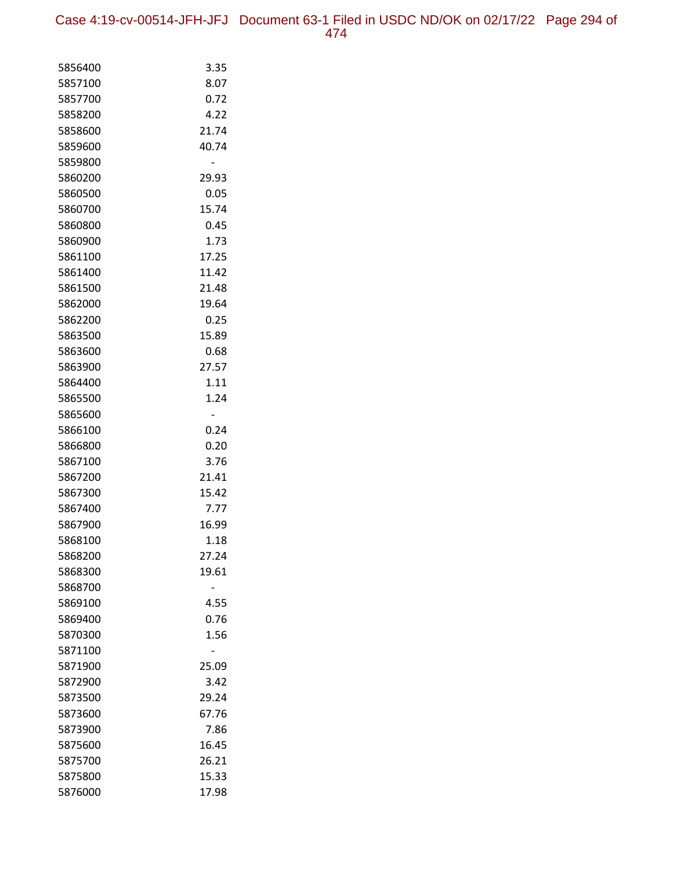Case 4:19-cv-00514-JFH-JFJ Document 63-1 Filed in USDC ND/OK on 02/17/22 Page 294 of 474

| 5856400 | 3.35  |
|---------|-------|
| 5857100 | 8.07  |
| 5857700 | 0.72  |
| 5858200 | 4.22  |
| 5858600 | 21.74 |
| 5859600 | 40.74 |
| 5859800 |       |
| 5860200 | 29.93 |
| 5860500 | 0.05  |
| 5860700 | 15.74 |
| 5860800 | 0.45  |
| 5860900 | 1.73  |
| 5861100 | 17.25 |
| 5861400 | 11.42 |
| 5861500 | 21.48 |
| 5862000 | 19.64 |
| 5862200 | 0.25  |
| 5863500 | 15.89 |
| 5863600 | 0.68  |
| 5863900 | 27.57 |
| 5864400 | 1.11  |
| 5865500 | 1.24  |
| 5865600 |       |
| 5866100 | 0.24  |
| 5866800 | 0.20  |
| 5867100 | 3.76  |
| 5867200 | 21.41 |
| 5867300 | 15.42 |
| 5867400 | 7.77  |
| 5867900 | 16.99 |
| 5868100 | 1.18  |
| 5868200 | 27.24 |
| 5868300 | 19.61 |
| 5868700 |       |
| 5869100 | 4.55  |
| 5869400 | 0.76  |
| 5870300 | 1.56  |
| 5871100 |       |
| 5871900 | 25.09 |
| 5872900 | 3.42  |
| 5873500 | 29.24 |
| 5873600 | 67.76 |
| 5873900 | 7.86  |
| 5875600 | 16.45 |
| 5875700 | 26.21 |
| 5875800 | 15.33 |
| 5876000 | 17.98 |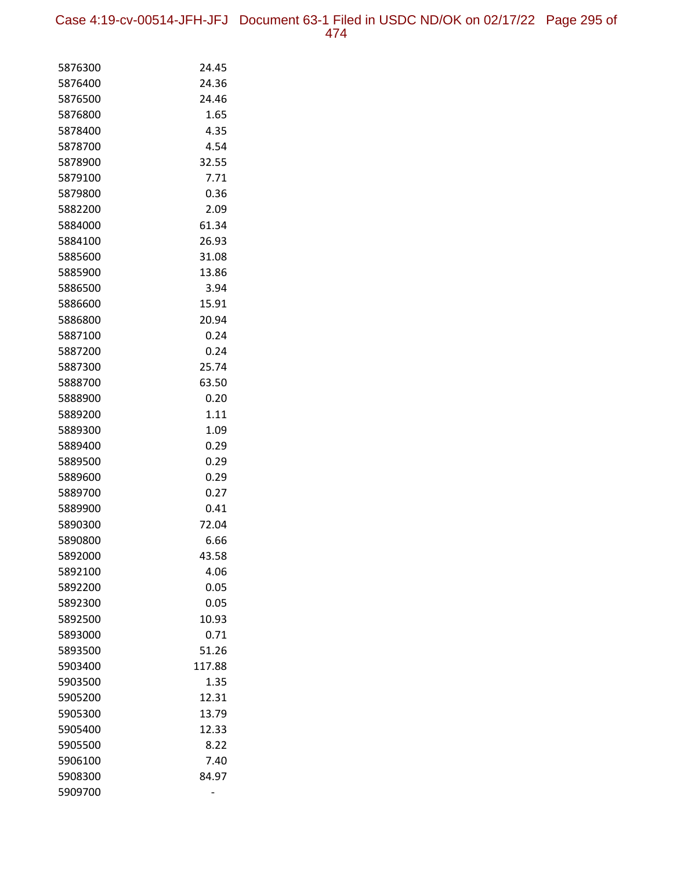Case 4:19-cv-00514-JFH-JFJ Document 63-1 Filed in USDC ND/OK on 02/17/22 Page 295 of 474

| 5876300            | 24.45        |
|--------------------|--------------|
| 5876400            | 24.36        |
| 5876500            | 24.46        |
| 5876800            | 1.65         |
| 5878400            | 4.35         |
| 5878700            | 4.54         |
| 5878900            | 32.55        |
| 5879100            | 7.71         |
| 5879800            | 0.36         |
| 5882200            | 2.09         |
| 5884000            | 61.34        |
| 5884100            | 26.93        |
| 5885600            | 31.08        |
| 5885900            | 13.86        |
| 5886500            | 3.94         |
| 5886600            | 15.91        |
| 5886800            | 20.94        |
| 5887100            | 0.24         |
| 5887200            | 0.24         |
| 5887300            | 25.74        |
| 5888700            | 63.50        |
| 5888900            | 0.20         |
| 5889200            | 1.11         |
| 5889300            | 1.09         |
| 5889400            | 0.29         |
| 5889500            | 0.29         |
| 5889600            | 0.29<br>0.27 |
| 5889700            | 0.41         |
| 5889900<br>5890300 | 72.04        |
| 5890800            | 6.66         |
| 5892000            | 43.58        |
| 5892100            | 4.06         |
| 5892200            | 0.05         |
| 5892300            | 0.05         |
| 5892500            | 10.93        |
| 5893000            | 0.71         |
| 5893500            | 51.26        |
| 5903400            | 117.88       |
| 5903500            | 1.35         |
| 5905200            | 12.31        |
| 5905300            | 13.79        |
| 5905400            | 12.33        |
| 5905500            | 8.22         |
| 5906100            | 7.40         |
| 5908300            | 84.97        |
| 5909700            |              |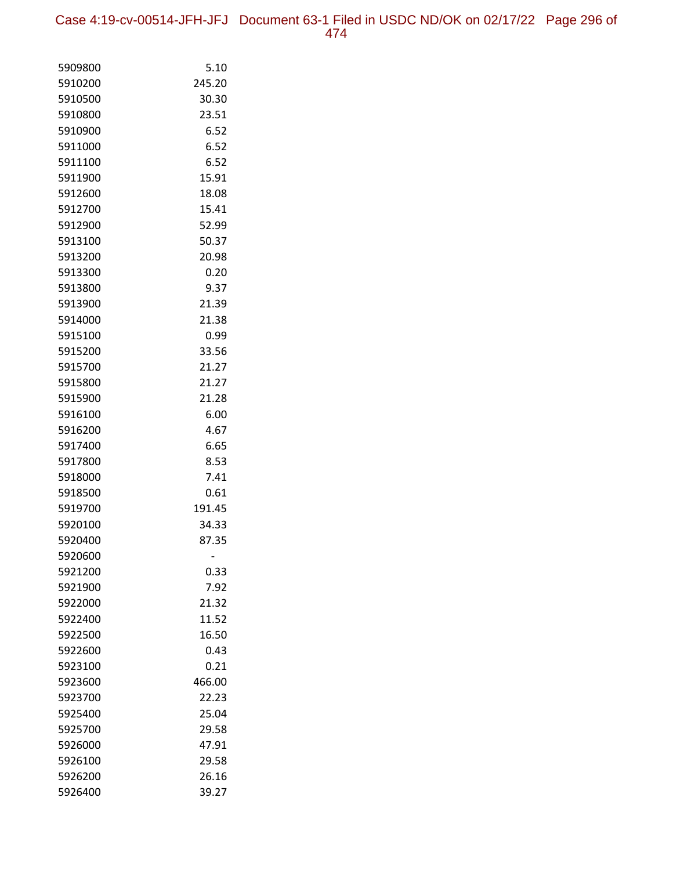| 5909800 | 5.10   |
|---------|--------|
| 5910200 | 245.20 |
| 5910500 | 30.30  |
| 5910800 | 23.51  |
| 5910900 | 6.52   |
| 5911000 | 6.52   |
| 5911100 | 6.52   |
| 5911900 | 15.91  |
| 5912600 | 18.08  |
| 5912700 | 15.41  |
| 5912900 | 52.99  |
| 5913100 | 50.37  |
| 5913200 | 20.98  |
| 5913300 | 0.20   |
| 5913800 | 9.37   |
| 5913900 | 21.39  |
| 5914000 | 21.38  |
| 5915100 | 0.99   |
| 5915200 | 33.56  |
| 5915700 | 21.27  |
| 5915800 | 21.27  |
| 5915900 | 21.28  |
| 5916100 | 6.00   |
| 5916200 | 4.67   |
| 5917400 | 6.65   |
| 5917800 | 8.53   |
| 5918000 | 7.41   |
| 5918500 | 0.61   |
| 5919700 | 191.45 |
| 5920100 | 34.33  |
| 5920400 | 87.35  |
| 5920600 |        |
| 5921200 | 0.33   |
| 5921900 | 7.92   |
| 5922000 | 21.32  |
| 5922400 | 11.52  |
| 5922500 | 16.50  |
| 5922600 | 0.43   |
| 5923100 | 0.21   |
| 5923600 | 466.00 |
| 5923700 | 22.23  |
| 5925400 | 25.04  |
| 5925700 | 29.58  |
| 5926000 | 47.91  |
| 5926100 | 29.58  |
| 5926200 | 26.16  |
| 5926400 | 39.27  |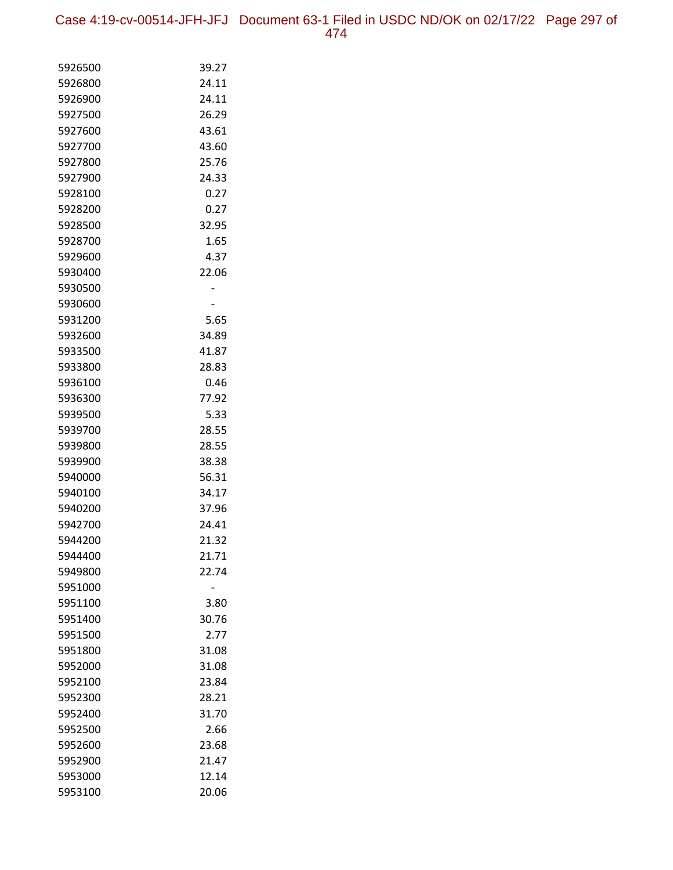Case 4:19-cv-00514-JFH-JFJ Document 63-1 Filed in USDC ND/OK on 02/17/22 Page 297 of 474

| 5926500            | 39.27          |
|--------------------|----------------|
| 5926800            | 24.11          |
| 5926900            | 24.11          |
| 5927500            | 26.29          |
| 5927600            | 43.61          |
| 5927700            | 43.60          |
| 5927800            | 25.76          |
| 5927900            | 24.33          |
| 5928100            | 0.27           |
| 5928200            | 0.27           |
| 5928500            | 32.95          |
| 5928700            | 1.65           |
| 5929600            | 4.37           |
| 5930400            | 22.06          |
| 5930500            |                |
| 5930600            |                |
| 5931200            | 5.65           |
| 5932600            | 34.89          |
| 5933500            | 41.87          |
| 5933800            | 28.83          |
| 5936100            | 0.46           |
| 5936300            | 77.92          |
| 5939500            | 5.33           |
| 5939700            | 28.55          |
| 5939800            | 28.55          |
| 5939900<br>5940000 | 38.38          |
| 5940100            | 56.31<br>34.17 |
| 5940200            | 37.96          |
| 5942700            | 24.41          |
| 5944200            | 21.32          |
| 5944400            | 21.71          |
| 5949800            | 22.74          |
| 5951000            |                |
| 5951100            | 3.80           |
| 5951400            | 30.76          |
| 5951500            | 2.77           |
| 5951800            | 31.08          |
| 5952000            | 31.08          |
| 5952100            | 23.84          |
| 5952300            | 28.21          |
| 5952400            | 31.70          |
| 5952500            | 2.66           |
| 5952600            | 23.68          |
| 5952900            | 21.47          |
| 5953000            | 12.14          |
| 5953100            | 20.06          |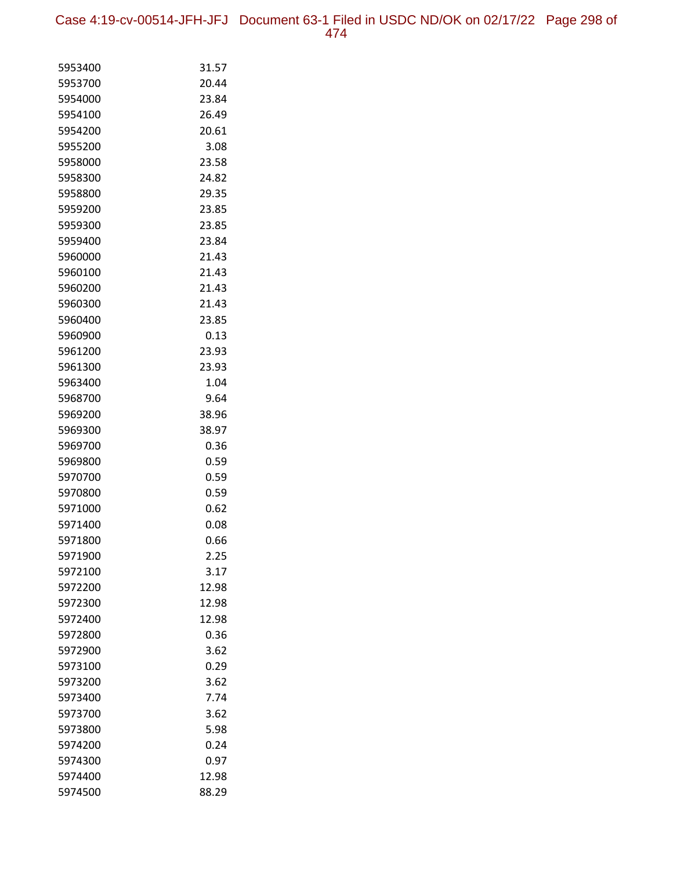Case 4:19-cv-00514-JFH-JFJ Document 63-1 Filed in USDC ND/OK on 02/17/22 Page 298 of 474

| 5953400<br>31.57<br>5953700<br>20.44<br>5954000<br>23.84<br>5954100<br>26.49<br>5954200<br>20.61<br>5955200<br>3.08<br>5958000<br>23.58<br>24.82<br>5958300<br>5958800<br>29.35<br>5959200<br>23.85<br>5959300<br>23.85<br>5959400<br>23.84<br>21.43<br>5960000<br>5960100<br>21.43<br>5960200<br>21.43<br>5960300<br>21.43<br>5960400<br>23.85 |  |
|-------------------------------------------------------------------------------------------------------------------------------------------------------------------------------------------------------------------------------------------------------------------------------------------------------------------------------------------------|--|
|                                                                                                                                                                                                                                                                                                                                                 |  |
|                                                                                                                                                                                                                                                                                                                                                 |  |
|                                                                                                                                                                                                                                                                                                                                                 |  |
|                                                                                                                                                                                                                                                                                                                                                 |  |
|                                                                                                                                                                                                                                                                                                                                                 |  |
|                                                                                                                                                                                                                                                                                                                                                 |  |
|                                                                                                                                                                                                                                                                                                                                                 |  |
|                                                                                                                                                                                                                                                                                                                                                 |  |
|                                                                                                                                                                                                                                                                                                                                                 |  |
|                                                                                                                                                                                                                                                                                                                                                 |  |
|                                                                                                                                                                                                                                                                                                                                                 |  |
|                                                                                                                                                                                                                                                                                                                                                 |  |
|                                                                                                                                                                                                                                                                                                                                                 |  |
|                                                                                                                                                                                                                                                                                                                                                 |  |
|                                                                                                                                                                                                                                                                                                                                                 |  |
|                                                                                                                                                                                                                                                                                                                                                 |  |
|                                                                                                                                                                                                                                                                                                                                                 |  |
| 0.13<br>5960900                                                                                                                                                                                                                                                                                                                                 |  |
| 5961200<br>23.93                                                                                                                                                                                                                                                                                                                                |  |
| 5961300<br>23.93                                                                                                                                                                                                                                                                                                                                |  |
| 5963400<br>1.04                                                                                                                                                                                                                                                                                                                                 |  |
| 5968700<br>9.64                                                                                                                                                                                                                                                                                                                                 |  |
| 38.96<br>5969200                                                                                                                                                                                                                                                                                                                                |  |
| 38.97<br>5969300                                                                                                                                                                                                                                                                                                                                |  |
| 5969700<br>0.36                                                                                                                                                                                                                                                                                                                                 |  |
| 0.59<br>5969800                                                                                                                                                                                                                                                                                                                                 |  |
| 5970700<br>0.59                                                                                                                                                                                                                                                                                                                                 |  |
| 5970800<br>0.59                                                                                                                                                                                                                                                                                                                                 |  |
| 0.62<br>5971000                                                                                                                                                                                                                                                                                                                                 |  |
| 5971400<br>0.08                                                                                                                                                                                                                                                                                                                                 |  |
| 5971800<br>0.66                                                                                                                                                                                                                                                                                                                                 |  |
| 5971900<br>2.25                                                                                                                                                                                                                                                                                                                                 |  |
| 5972100<br>3.17                                                                                                                                                                                                                                                                                                                                 |  |
| 5972200<br>12.98<br>5972300                                                                                                                                                                                                                                                                                                                     |  |
| 12.98<br>12.98<br>5972400                                                                                                                                                                                                                                                                                                                       |  |
| 5972800<br>0.36                                                                                                                                                                                                                                                                                                                                 |  |
| 5972900<br>3.62                                                                                                                                                                                                                                                                                                                                 |  |
| 0.29<br>5973100                                                                                                                                                                                                                                                                                                                                 |  |
| 5973200<br>3.62                                                                                                                                                                                                                                                                                                                                 |  |
| 7.74<br>5973400                                                                                                                                                                                                                                                                                                                                 |  |
| 5973700<br>3.62                                                                                                                                                                                                                                                                                                                                 |  |
| 5973800<br>5.98                                                                                                                                                                                                                                                                                                                                 |  |
| 5974200<br>0.24                                                                                                                                                                                                                                                                                                                                 |  |
| 0.97<br>5974300                                                                                                                                                                                                                                                                                                                                 |  |
| 5974400<br>12.98                                                                                                                                                                                                                                                                                                                                |  |
| 5974500<br>88.29                                                                                                                                                                                                                                                                                                                                |  |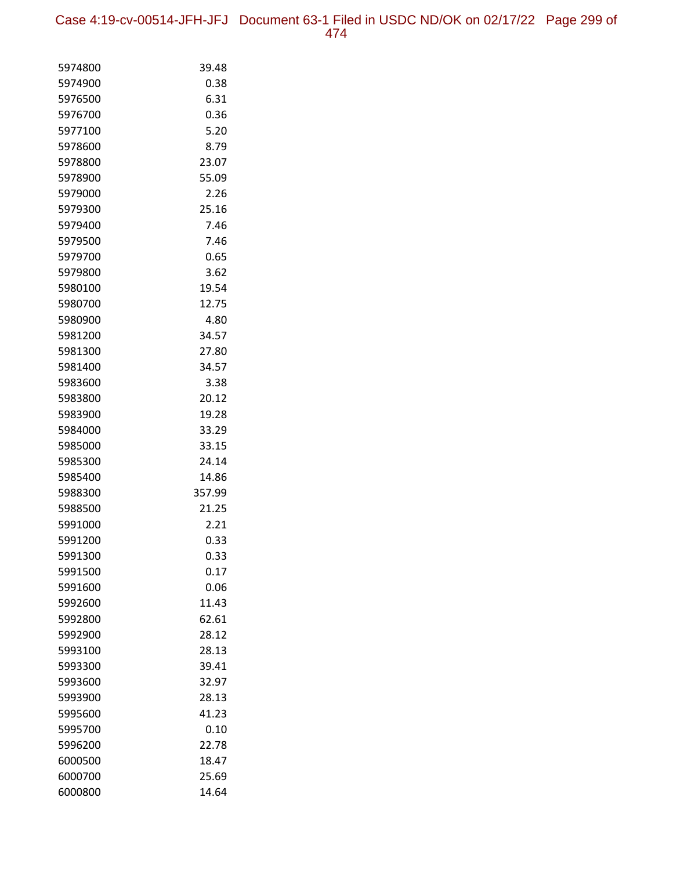Case 4:19-cv-00514-JFH-JFJ Document 63-1 Filed in USDC ND/OK on 02/17/22 Page 299 of 474

| 5974800            | 39.48        |
|--------------------|--------------|
| 5974900            | 0.38         |
| 5976500            | 6.31         |
| 5976700            | 0.36         |
| 5977100            | 5.20         |
| 5978600            | 8.79         |
| 5978800            | 23.07        |
| 5978900            | 55.09        |
| 5979000            | 2.26         |
| 5979300            | 25.16        |
| 5979400            | 7.46         |
| 5979500            | 7.46         |
| 5979700            | 0.65         |
| 5979800            | 3.62         |
| 5980100            | 19.54        |
| 5980700            | 12.75        |
| 5980900            | 4.80         |
| 5981200            | 34.57        |
| 5981300            | 27.80        |
| 5981400            | 34.57        |
| 5983600            | 3.38         |
| 5983800            | 20.12        |
| 5983900            | 19.28        |
| 5984000            | 33.29        |
| 5985000            | 33.15        |
| 5985300            | 24.14        |
| 5985400            | 14.86        |
| 5988300            | 357.99       |
| 5988500            | 21.25        |
| 5991000            | 2.21         |
| 5991200            | 0.33<br>0.33 |
| 5991300<br>5991500 | 0.17         |
| 5991600            | 0.06         |
| 5992600            | 11.43        |
| 5992800            | 62.61        |
| 5992900            | 28.12        |
| 5993100            | 28.13        |
| 5993300            | 39.41        |
| 5993600            | 32.97        |
| 5993900            | 28.13        |
| 5995600            | 41.23        |
| 5995700            | 0.10         |
| 5996200            | 22.78        |
| 6000500            | 18.47        |
| 6000700            | 25.69        |
| 6000800            | 14.64        |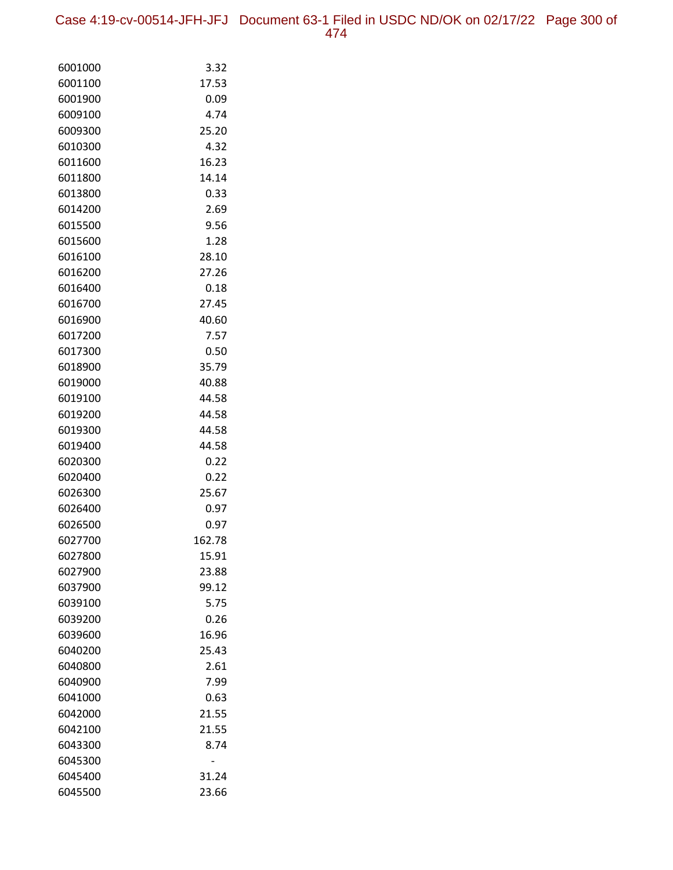Case 4:19-cv-00514-JFH-JFJ Document 63-1 Filed in USDC ND/OK on 02/17/22 Page 300 of 474

| 6001000            | 3.32          |
|--------------------|---------------|
| 6001100            | 17.53         |
| 6001900            | 0.09          |
| 6009100            | 4.74          |
| 6009300            | 25.20         |
| 6010300            | 4.32          |
| 6011600            | 16.23         |
| 6011800            | 14.14         |
| 6013800            | 0.33          |
| 6014200            | 2.69          |
| 6015500            | 9.56          |
| 6015600            | 1.28          |
| 6016100            | 28.10         |
| 6016200            | 27.26         |
| 6016400            | 0.18          |
| 6016700            | 27.45         |
| 6016900            | 40.60         |
| 6017200            | 7.57          |
| 6017300            | 0.50          |
| 6018900            | 35.79         |
| 6019000            | 40.88         |
| 6019100            | 44.58         |
| 6019200            | 44.58         |
| 6019300            | 44.58         |
| 6019400            | 44.58         |
| 6020300            | 0.22          |
| 6020400            | 0.22<br>25.67 |
| 6026300<br>6026400 | 0.97          |
| 6026500            | 0.97          |
| 6027700            | 162.78        |
| 6027800            | 15.91         |
| 6027900            | 23.88         |
| 6037900            | 99.12         |
| 6039100            | 5.75          |
| 6039200            | 0.26          |
| 6039600            | 16.96         |
| 6040200            | 25.43         |
| 6040800            | 2.61          |
| 6040900            | 7.99          |
| 6041000            | 0.63          |
| 6042000            | 21.55         |
| 6042100            | 21.55         |
| 6043300            | 8.74          |
| 6045300            |               |
| 6045400            | 31.24         |
| 6045500            | 23.66         |
|                    |               |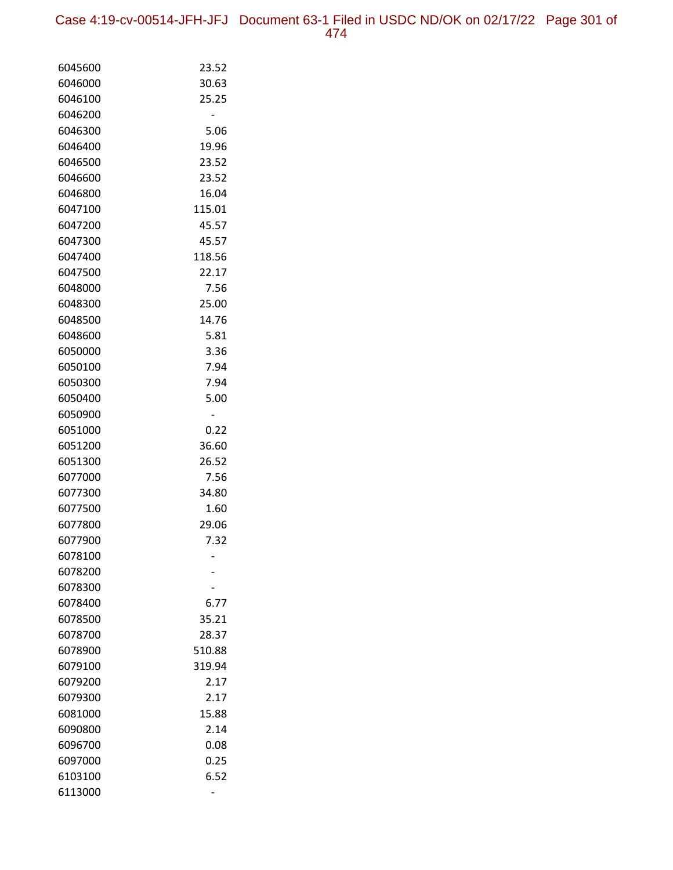Case 4:19-cv-00514-JFH-JFJ Document 63-1 Filed in USDC ND/OK on 02/17/22 Page 301 of 474

| 6045600            | 23.52         |
|--------------------|---------------|
| 6046000            | 30.63         |
| 6046100            | 25.25         |
| 6046200            |               |
| 6046300            | 5.06          |
| 6046400            | 19.96         |
| 6046500            | 23.52         |
| 6046600            | 23.52         |
| 6046800            | 16.04         |
| 6047100            | 115.01        |
| 6047200            | 45.57         |
| 6047300            | 45.57         |
| 6047400            | 118.56        |
| 6047500            | 22.17         |
| 6048000            | 7.56          |
| 6048300            | 25.00         |
| 6048500            | 14.76         |
| 6048600            | 5.81          |
| 6050000            | 3.36          |
| 6050100            | 7.94          |
| 6050300            | 7.94          |
| 6050400            | 5.00          |
| 6050900            |               |
| 6051000            | 0.22          |
| 6051200            | 36.60         |
| 6051300            | 26.52         |
| 6077000            | 7.56          |
| 6077300            | 34.80         |
| 6077500<br>6077800 | 1.60<br>29.06 |
| 6077900            | 7.32          |
| 6078100            |               |
| 6078200            |               |
| 6078300            |               |
| 6078400            | 6.77          |
| 6078500            | 35.21         |
| 6078700            | 28.37         |
| 6078900            | 510.88        |
| 6079100            | 319.94        |
| 6079200            | 2.17          |
| 6079300            | 2.17          |
| 6081000            | 15.88         |
| 6090800            | 2.14          |
| 6096700            | 0.08          |
| 6097000            | 0.25          |
| 6103100            | 6.52          |
| 6113000            |               |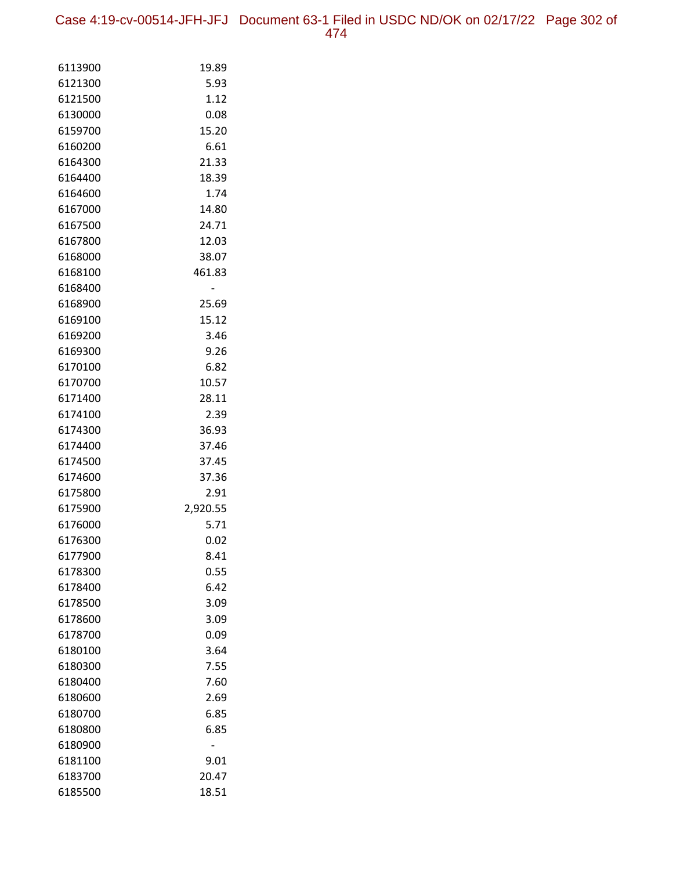Case 4:19-cv-00514-JFH-JFJ Document 63-1 Filed in USDC ND/OK on 02/17/22 Page 302 of 474

| 6113900            | 19.89         |
|--------------------|---------------|
| 6121300            | 5.93          |
| 6121500            | 1.12          |
| 6130000            | 0.08          |
| 6159700            | 15.20         |
| 6160200            | 6.61          |
| 6164300            | 21.33         |
| 6164400            | 18.39         |
| 6164600            | 1.74          |
| 6167000            | 14.80         |
| 6167500            | 24.71         |
| 6167800            | 12.03         |
| 6168000            | 38.07         |
| 6168100            | 461.83        |
| 6168400            |               |
| 6168900            | 25.69         |
| 6169100            | 15.12         |
| 6169200            | 3.46          |
| 6169300            | 9.26          |
| 6170100            | 6.82          |
| 6170700            | 10.57         |
| 6171400            | 28.11         |
| 6174100            | 2.39          |
| 6174300            | 36.93         |
| 6174400            | 37.46         |
| 6174500            | 37.45         |
| 6174600<br>6175800 | 37.36<br>2.91 |
| 6175900            | 2,920.55      |
| 6176000            | 5.71          |
| 6176300            | 0.02          |
| 6177900            | 8.41          |
| 6178300            | 0.55          |
| 6178400            | 6.42          |
| 6178500            | 3.09          |
| 6178600            | 3.09          |
| 6178700            | 0.09          |
| 6180100            | 3.64          |
| 6180300            | 7.55          |
| 6180400            | 7.60          |
| 6180600            | 2.69          |
| 6180700            | 6.85          |
| 6180800            | 6.85          |
| 6180900            |               |
| 6181100            | 9.01          |
| 6183700            | 20.47         |
| 6185500            | 18.51         |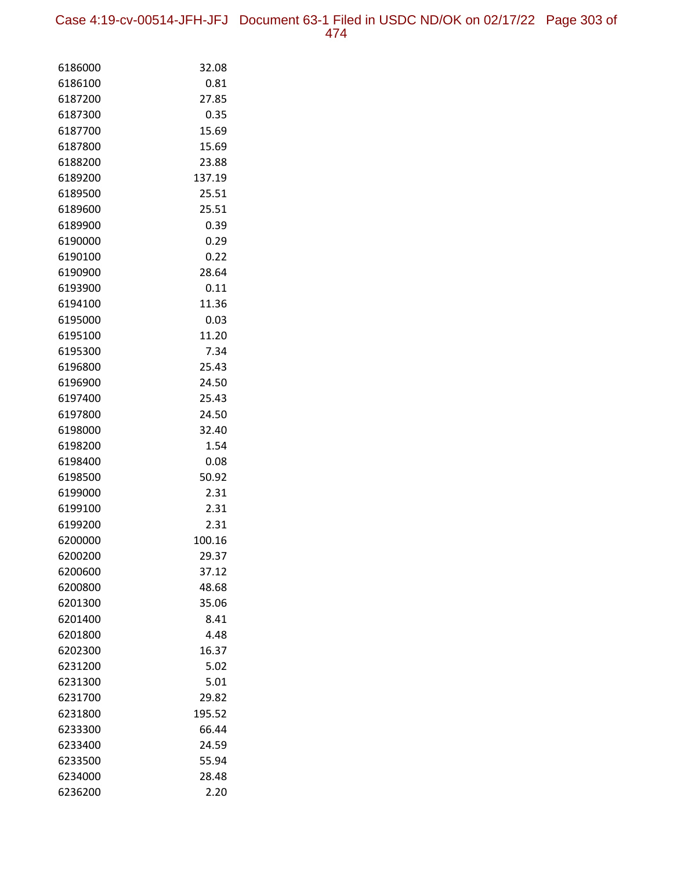Case 4:19-cv-00514-JFH-JFJ Document 63-1 Filed in USDC ND/OK on 02/17/22 Page 303 of 474

| 6186000<br>32.08<br>6186100<br>0.81<br>6187200<br>27.85<br>6187300<br>0.35<br>15.69<br>6187700<br>6187800<br>15.69<br>23.88<br>6188200<br>137.19<br>6189200<br>6189500<br>25.51<br>6189600<br>25.51<br>6189900<br>0.39<br>0.29<br>6190000<br>6190100<br>0.22<br>28.64<br>6190900<br>0.11<br>6193900<br>11.36<br>6194100<br>6195000<br>0.03<br>6195100<br>11.20<br>6195300<br>7.34<br>25.43<br>6196800<br>6196900<br>24.50<br>6197400<br>25.43<br>24.50<br>6197800<br>6198000<br>32.40<br>1.54<br>6198200<br>6198400<br>0.08<br>6198500<br>50.92<br>6199000<br>2.31<br>2.31<br>6199100<br>6199200<br>2.31<br>6200000<br>100.16<br>6200200<br>29.37<br>6200600<br>37.12<br>48.68<br>6200800<br>35.06<br>6201300<br>6201400<br>8.41<br>6201800<br>4.48<br>16.37<br>6202300<br>6231200<br>5.02<br>5.01<br>6231300<br>6231700<br>29.82<br>195.52<br>6231800<br>6233300<br>66.44<br>24.59<br>6233400<br>55.94<br>6233500<br>6234000<br>28.48 |         |      |
|----------------------------------------------------------------------------------------------------------------------------------------------------------------------------------------------------------------------------------------------------------------------------------------------------------------------------------------------------------------------------------------------------------------------------------------------------------------------------------------------------------------------------------------------------------------------------------------------------------------------------------------------------------------------------------------------------------------------------------------------------------------------------------------------------------------------------------------------------------------------------------------------------------------------------------------|---------|------|
|                                                                                                                                                                                                                                                                                                                                                                                                                                                                                                                                                                                                                                                                                                                                                                                                                                                                                                                                        |         |      |
|                                                                                                                                                                                                                                                                                                                                                                                                                                                                                                                                                                                                                                                                                                                                                                                                                                                                                                                                        |         |      |
|                                                                                                                                                                                                                                                                                                                                                                                                                                                                                                                                                                                                                                                                                                                                                                                                                                                                                                                                        |         |      |
|                                                                                                                                                                                                                                                                                                                                                                                                                                                                                                                                                                                                                                                                                                                                                                                                                                                                                                                                        |         |      |
|                                                                                                                                                                                                                                                                                                                                                                                                                                                                                                                                                                                                                                                                                                                                                                                                                                                                                                                                        |         |      |
|                                                                                                                                                                                                                                                                                                                                                                                                                                                                                                                                                                                                                                                                                                                                                                                                                                                                                                                                        |         |      |
|                                                                                                                                                                                                                                                                                                                                                                                                                                                                                                                                                                                                                                                                                                                                                                                                                                                                                                                                        |         |      |
|                                                                                                                                                                                                                                                                                                                                                                                                                                                                                                                                                                                                                                                                                                                                                                                                                                                                                                                                        |         |      |
|                                                                                                                                                                                                                                                                                                                                                                                                                                                                                                                                                                                                                                                                                                                                                                                                                                                                                                                                        |         |      |
|                                                                                                                                                                                                                                                                                                                                                                                                                                                                                                                                                                                                                                                                                                                                                                                                                                                                                                                                        |         |      |
|                                                                                                                                                                                                                                                                                                                                                                                                                                                                                                                                                                                                                                                                                                                                                                                                                                                                                                                                        |         |      |
|                                                                                                                                                                                                                                                                                                                                                                                                                                                                                                                                                                                                                                                                                                                                                                                                                                                                                                                                        |         |      |
|                                                                                                                                                                                                                                                                                                                                                                                                                                                                                                                                                                                                                                                                                                                                                                                                                                                                                                                                        |         |      |
|                                                                                                                                                                                                                                                                                                                                                                                                                                                                                                                                                                                                                                                                                                                                                                                                                                                                                                                                        |         |      |
|                                                                                                                                                                                                                                                                                                                                                                                                                                                                                                                                                                                                                                                                                                                                                                                                                                                                                                                                        |         |      |
|                                                                                                                                                                                                                                                                                                                                                                                                                                                                                                                                                                                                                                                                                                                                                                                                                                                                                                                                        |         |      |
|                                                                                                                                                                                                                                                                                                                                                                                                                                                                                                                                                                                                                                                                                                                                                                                                                                                                                                                                        |         |      |
|                                                                                                                                                                                                                                                                                                                                                                                                                                                                                                                                                                                                                                                                                                                                                                                                                                                                                                                                        |         |      |
|                                                                                                                                                                                                                                                                                                                                                                                                                                                                                                                                                                                                                                                                                                                                                                                                                                                                                                                                        |         |      |
|                                                                                                                                                                                                                                                                                                                                                                                                                                                                                                                                                                                                                                                                                                                                                                                                                                                                                                                                        |         |      |
|                                                                                                                                                                                                                                                                                                                                                                                                                                                                                                                                                                                                                                                                                                                                                                                                                                                                                                                                        |         |      |
|                                                                                                                                                                                                                                                                                                                                                                                                                                                                                                                                                                                                                                                                                                                                                                                                                                                                                                                                        |         |      |
|                                                                                                                                                                                                                                                                                                                                                                                                                                                                                                                                                                                                                                                                                                                                                                                                                                                                                                                                        |         |      |
|                                                                                                                                                                                                                                                                                                                                                                                                                                                                                                                                                                                                                                                                                                                                                                                                                                                                                                                                        |         |      |
|                                                                                                                                                                                                                                                                                                                                                                                                                                                                                                                                                                                                                                                                                                                                                                                                                                                                                                                                        |         |      |
|                                                                                                                                                                                                                                                                                                                                                                                                                                                                                                                                                                                                                                                                                                                                                                                                                                                                                                                                        |         |      |
|                                                                                                                                                                                                                                                                                                                                                                                                                                                                                                                                                                                                                                                                                                                                                                                                                                                                                                                                        |         |      |
|                                                                                                                                                                                                                                                                                                                                                                                                                                                                                                                                                                                                                                                                                                                                                                                                                                                                                                                                        |         |      |
|                                                                                                                                                                                                                                                                                                                                                                                                                                                                                                                                                                                                                                                                                                                                                                                                                                                                                                                                        |         |      |
|                                                                                                                                                                                                                                                                                                                                                                                                                                                                                                                                                                                                                                                                                                                                                                                                                                                                                                                                        |         |      |
|                                                                                                                                                                                                                                                                                                                                                                                                                                                                                                                                                                                                                                                                                                                                                                                                                                                                                                                                        |         |      |
|                                                                                                                                                                                                                                                                                                                                                                                                                                                                                                                                                                                                                                                                                                                                                                                                                                                                                                                                        |         |      |
|                                                                                                                                                                                                                                                                                                                                                                                                                                                                                                                                                                                                                                                                                                                                                                                                                                                                                                                                        |         |      |
|                                                                                                                                                                                                                                                                                                                                                                                                                                                                                                                                                                                                                                                                                                                                                                                                                                                                                                                                        |         |      |
|                                                                                                                                                                                                                                                                                                                                                                                                                                                                                                                                                                                                                                                                                                                                                                                                                                                                                                                                        |         |      |
|                                                                                                                                                                                                                                                                                                                                                                                                                                                                                                                                                                                                                                                                                                                                                                                                                                                                                                                                        |         |      |
|                                                                                                                                                                                                                                                                                                                                                                                                                                                                                                                                                                                                                                                                                                                                                                                                                                                                                                                                        |         |      |
|                                                                                                                                                                                                                                                                                                                                                                                                                                                                                                                                                                                                                                                                                                                                                                                                                                                                                                                                        |         |      |
|                                                                                                                                                                                                                                                                                                                                                                                                                                                                                                                                                                                                                                                                                                                                                                                                                                                                                                                                        |         |      |
|                                                                                                                                                                                                                                                                                                                                                                                                                                                                                                                                                                                                                                                                                                                                                                                                                                                                                                                                        |         |      |
|                                                                                                                                                                                                                                                                                                                                                                                                                                                                                                                                                                                                                                                                                                                                                                                                                                                                                                                                        |         |      |
|                                                                                                                                                                                                                                                                                                                                                                                                                                                                                                                                                                                                                                                                                                                                                                                                                                                                                                                                        |         |      |
|                                                                                                                                                                                                                                                                                                                                                                                                                                                                                                                                                                                                                                                                                                                                                                                                                                                                                                                                        |         |      |
|                                                                                                                                                                                                                                                                                                                                                                                                                                                                                                                                                                                                                                                                                                                                                                                                                                                                                                                                        |         |      |
|                                                                                                                                                                                                                                                                                                                                                                                                                                                                                                                                                                                                                                                                                                                                                                                                                                                                                                                                        |         |      |
|                                                                                                                                                                                                                                                                                                                                                                                                                                                                                                                                                                                                                                                                                                                                                                                                                                                                                                                                        | 6236200 | 2.20 |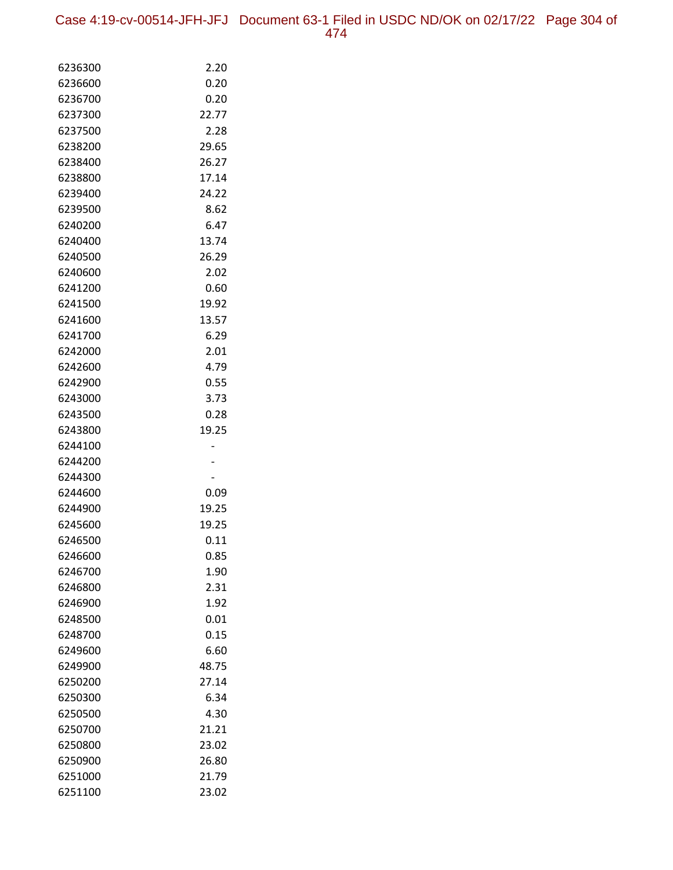Case 4:19-cv-00514-JFH-JFJ Document 63-1 Filed in USDC ND/OK on 02/17/22 Page 304 of 474

| 6236300            | 2.20          |
|--------------------|---------------|
| 6236600            | 0.20          |
| 6236700            | 0.20          |
| 6237300            | 22.77         |
| 6237500            | 2.28          |
| 6238200            | 29.65         |
| 6238400            | 26.27         |
| 6238800            | 17.14         |
| 6239400            | 24.22         |
| 6239500            | 8.62          |
| 6240200            | 6.47          |
| 6240400            | 13.74         |
| 6240500            | 26.29         |
| 6240600            | 2.02          |
| 6241200            | 0.60          |
| 6241500            | 19.92         |
| 6241600            | 13.57         |
| 6241700            | 6.29          |
| 6242000            | 2.01          |
| 6242600            | 4.79          |
| 6242900            | 0.55          |
| 6243000            | 3.73          |
| 6243500            | 0.28          |
| 6243800            | 19.25         |
| 6244100            |               |
| 6244200            |               |
| 6244300            |               |
| 6244600            | 0.09          |
| 6244900            | 19.25         |
| 6245600<br>6246500 | 19.25<br>0.11 |
| 6246600            | 0.85          |
| 6246700            | 1.90          |
| 6246800            | 2.31          |
| 6246900            | 1.92          |
| 6248500            | 0.01          |
| 6248700            | 0.15          |
| 6249600            | 6.60          |
| 6249900            | 48.75         |
| 6250200            | 27.14         |
| 6250300            | 6.34          |
| 6250500            | 4.30          |
| 6250700            | 21.21         |
| 6250800            | 23.02         |
| 6250900            | 26.80         |
| 6251000            | 21.79         |
| 6251100            | 23.02         |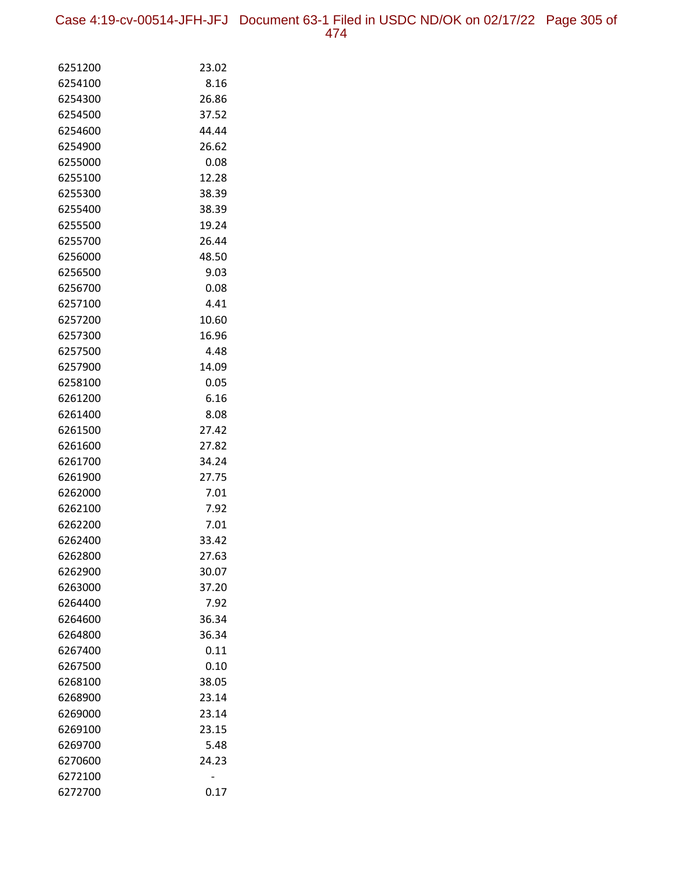Case 4:19-cv-00514-JFH-JFJ Document 63-1 Filed in USDC ND/OK on 02/17/22 Page 305 of 474

| 6251200            | 23.02        |
|--------------------|--------------|
| 6254100            | 8.16         |
| 6254300            | 26.86        |
| 6254500            | 37.52        |
| 6254600            | 44.44        |
| 6254900            | 26.62        |
| 6255000            | 0.08         |
| 6255100            | 12.28        |
| 6255300            | 38.39        |
| 6255400            | 38.39        |
| 6255500            | 19.24        |
| 6255700            | 26.44        |
| 6256000            | 48.50        |
| 6256500            | 9.03         |
| 6256700            | 0.08         |
| 6257100            | 4.41         |
| 6257200            | 10.60        |
| 6257300            | 16.96        |
| 6257500            | 4.48         |
| 6257900            | 14.09        |
| 6258100            | 0.05         |
| 6261200            | 6.16         |
| 6261400            | 8.08         |
| 6261500            | 27.42        |
| 6261600            | 27.82        |
| 6261700            | 34.24        |
| 6261900            | 27.75        |
| 6262000            | 7.01         |
| 6262100<br>6262200 | 7.92<br>7.01 |
| 6262400            | 33.42        |
| 6262800            | 27.63        |
| 6262900            | 30.07        |
| 6263000            | 37.20        |
| 6264400            | 7.92         |
| 6264600            | 36.34        |
| 6264800            | 36.34        |
| 6267400            | 0.11         |
| 6267500            | 0.10         |
| 6268100            | 38.05        |
| 6268900            | 23.14        |
| 6269000            | 23.14        |
| 6269100            | 23.15        |
| 6269700            | 5.48         |
| 6270600            | 24.23        |
| 6272100            |              |
| 6272700            | 0.17         |
|                    |              |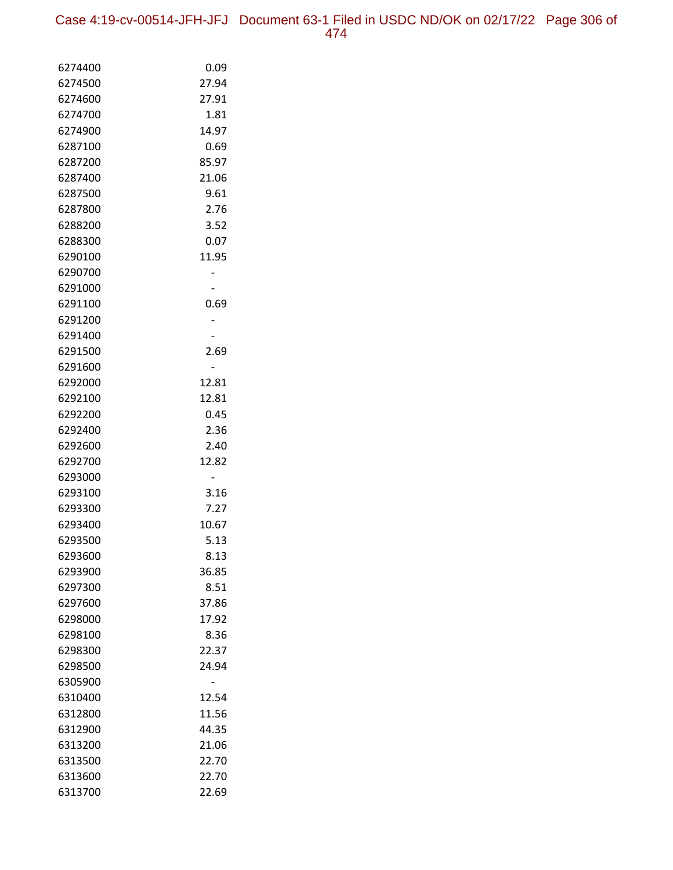Case 4:19-cv-00514-JFH-JFJ Document 63-1 Filed in USDC ND/OK on 02/17/22 Page 306 of 474

| 6274400            | 0.09          |
|--------------------|---------------|
| 6274500            | 27.94         |
| 6274600            | 27.91         |
| 6274700            | 1.81          |
| 6274900            | 14.97         |
| 6287100            | 0.69          |
| 6287200            | 85.97         |
| 6287400            | 21.06         |
| 6287500            | 9.61          |
| 6287800            | 2.76          |
| 6288200            | 3.52          |
| 6288300            | 0.07          |
| 6290100            | 11.95         |
| 6290700            |               |
| 6291000            |               |
| 6291100            | 0.69          |
| 6291200            |               |
| 6291400            |               |
| 6291500            | 2.69          |
| 6291600            |               |
| 6292000            | 12.81         |
| 6292100            | 12.81         |
| 6292200            | 0.45          |
| 6292400            | 2.36          |
| 6292600            | 2.40          |
| 6292700            | 12.82         |
| 6293000            |               |
| 6293100            | 3.16          |
| 6293300            | 7.27          |
| 6293400<br>6293500 | 10.67<br>5.13 |
| 6293600            | 8.13          |
| 6293900            | 36.85         |
| 6297300            | 8.51          |
| 6297600            | 37.86         |
| 6298000            | 17.92         |
| 6298100            | 8.36          |
| 6298300            | 22.37         |
| 6298500            | 24.94         |
| 6305900            |               |
| 6310400            | 12.54         |
| 6312800            | 11.56         |
| 6312900            | 44.35         |
| 6313200            | 21.06         |
| 6313500            | 22.70         |
| 6313600            | 22.70         |
| 6313700            | 22.69         |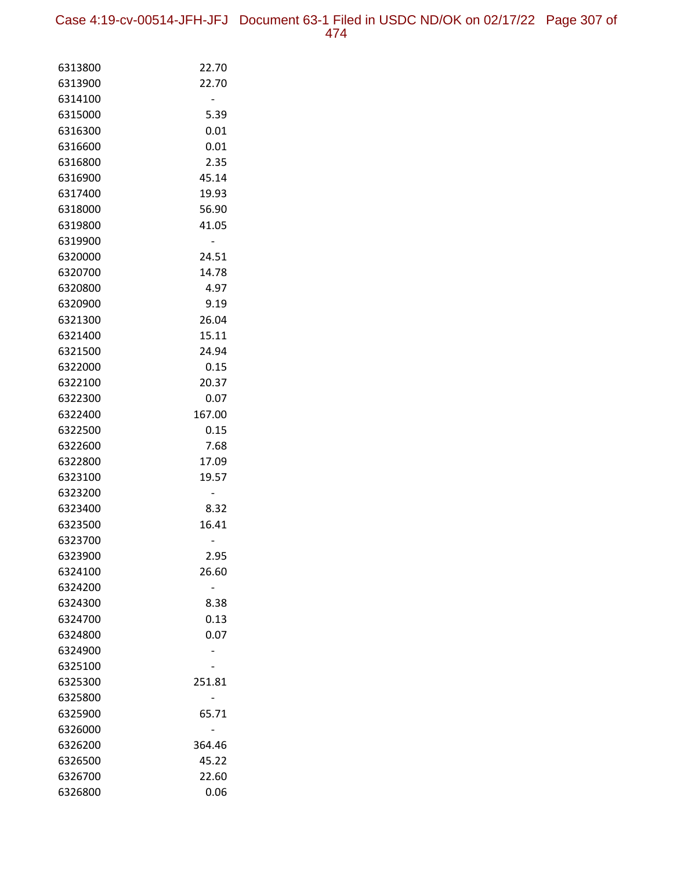Case 4:19-cv-00514-JFH-JFJ Document 63-1 Filed in USDC ND/OK on 02/17/22 Page 307 of 474

| 6313800 | 22.70  |
|---------|--------|
| 6313900 | 22.70  |
| 6314100 |        |
| 6315000 | 5.39   |
| 6316300 | 0.01   |
| 6316600 | 0.01   |
| 6316800 | 2.35   |
| 6316900 | 45.14  |
| 6317400 | 19.93  |
| 6318000 | 56.90  |
| 6319800 | 41.05  |
| 6319900 |        |
| 6320000 | 24.51  |
| 6320700 | 14.78  |
| 6320800 | 4.97   |
| 6320900 | 9.19   |
| 6321300 | 26.04  |
| 6321400 | 15.11  |
| 6321500 | 24.94  |
| 6322000 | 0.15   |
| 6322100 | 20.37  |
| 6322300 | 0.07   |
| 6322400 | 167.00 |
| 6322500 | 0.15   |
| 6322600 | 7.68   |
| 6322800 | 17.09  |
| 6323100 | 19.57  |
| 6323200 |        |
| 6323400 | 8.32   |
| 6323500 | 16.41  |
| 6323700 |        |
| 6323900 | 2.95   |
| 6324100 | 26.60  |
| 6324200 |        |
| 6324300 | 8.38   |
| 6324700 | 0.13   |
| 6324800 | 0.07   |
| 6324900 |        |
| 6325100 |        |
| 6325300 | 251.81 |
| 6325800 |        |
| 6325900 | 65.71  |
| 6326000 |        |
| 6326200 | 364.46 |
| 6326500 | 45.22  |
| 6326700 | 22.60  |
| 6326800 | 0.06   |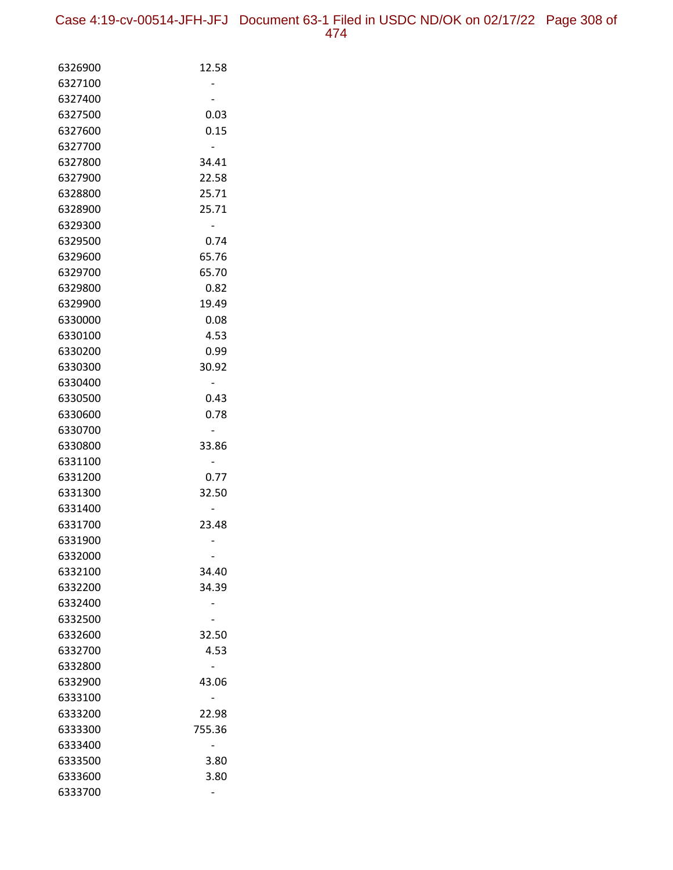| 6326900            | 12.58  |
|--------------------|--------|
| 6327100            |        |
| 6327400            |        |
| 6327500            | 0.03   |
| 6327600            | 0.15   |
| 6327700            |        |
| 6327800            | 34.41  |
| 6327900            | 22.58  |
| 6328800            | 25.71  |
| 6328900            | 25.71  |
| 6329300            |        |
| 6329500            | 0.74   |
| 6329600            | 65.76  |
| 6329700            | 65.70  |
| 6329800            | 0.82   |
| 6329900            | 19.49  |
| 6330000            | 0.08   |
| 6330100            | 4.53   |
| 6330200            | 0.99   |
| 6330300            | 30.92  |
| 6330400            |        |
| 6330500            | 0.43   |
| 6330600<br>6330700 | 0.78   |
| 6330800            |        |
| 6331100            | 33.86  |
| 6331200            | 0.77   |
| 6331300            | 32.50  |
| 6331400            |        |
| 6331700            | 23.48  |
| 6331900            |        |
| 6332000            |        |
| 6332100            | 34.40  |
| 6332200            | 34.39  |
| 6332400            |        |
| 6332500            |        |
| 6332600            | 32.50  |
| 6332700            | 4.53   |
| 6332800            |        |
| 6332900            | 43.06  |
| 6333100            |        |
| 6333200            | 22.98  |
| 6333300            | 755.36 |
| 6333400            |        |
| 6333500            | 3.80   |
| 6333600            | 3.80   |
| 6333700            |        |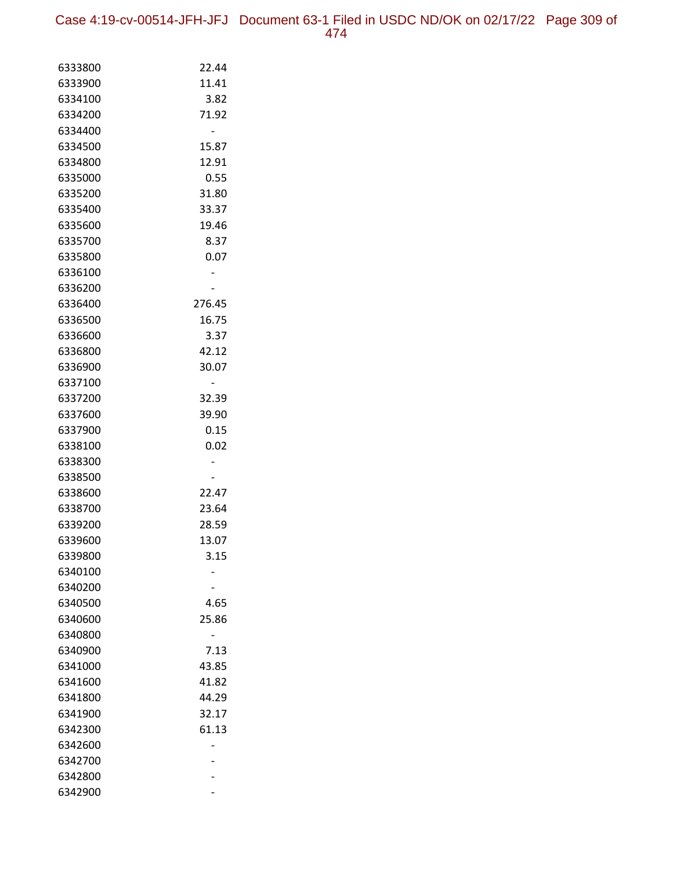Case 4:19-cv-00514-JFH-JFJ Document 63-1 Filed in USDC ND/OK on 02/17/22 Page 309 of 474

| 6333800            | 22.44  |
|--------------------|--------|
| 6333900            | 11.41  |
| 6334100            | 3.82   |
| 6334200            | 71.92  |
| 6334400            |        |
| 6334500            | 15.87  |
| 6334800            | 12.91  |
| 6335000            | 0.55   |
| 6335200            | 31.80  |
| 6335400            | 33.37  |
| 6335600            | 19.46  |
| 6335700            | 8.37   |
| 6335800            | 0.07   |
| 6336100            |        |
| 6336200            |        |
| 6336400            | 276.45 |
| 6336500            | 16.75  |
| 6336600            | 3.37   |
| 6336800            | 42.12  |
| 6336900            | 30.07  |
| 6337100            |        |
| 6337200            | 32.39  |
| 6337600            | 39.90  |
| 6337900            | 0.15   |
| 6338100            | 0.02   |
| 6338300            |        |
| 6338500            |        |
| 6338600            | 22.47  |
| 6338700            | 23.64  |
| 6339200            | 28.59  |
| 6339600            | 13.07  |
| 6339800            | 3.15   |
| 6340100            |        |
| 6340200<br>6340500 | 4.65   |
| 6340600            | 25.86  |
| 6340800            |        |
| 6340900            | 7.13   |
| 6341000            | 43.85  |
| 6341600            | 41.82  |
| 6341800            | 44.29  |
| 6341900            | 32.17  |
| 6342300            | 61.13  |
| 6342600            |        |
| 6342700            |        |
| 6342800            |        |
| 6342900            |        |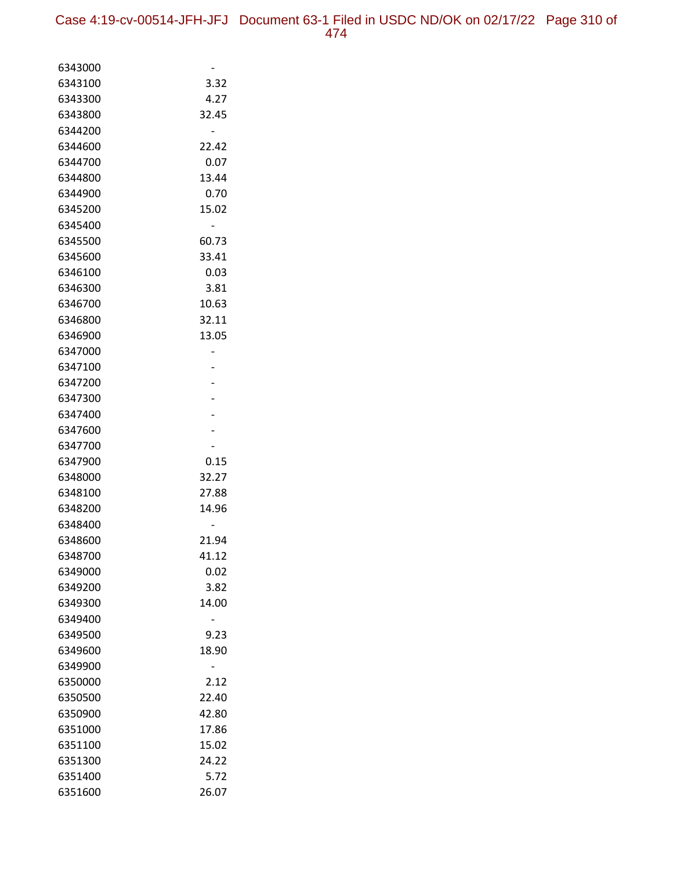| 6343000            |                |
|--------------------|----------------|
| 6343100            | 3.32           |
| 6343300            | 4.27           |
| 6343800            | 32.45          |
| 6344200            |                |
| 6344600            | 22.42          |
| 6344700            | 0.07           |
| 6344800            | 13.44          |
| 6344900            | 0.70           |
| 6345200            | 15.02          |
| 6345400            |                |
| 6345500            | 60.73          |
| 6345600            | 33.41          |
| 6346100            | 0.03           |
| 6346300            | 3.81           |
| 6346700            | 10.63          |
| 6346800            | 32.11          |
| 6346900            | 13.05          |
| 6347000            |                |
| 6347100            |                |
| 6347200            |                |
| 6347300            |                |
| 6347400            |                |
| 6347600            |                |
| 6347700            |                |
| 6347900            | 0.15           |
| 6348000            | 32.27          |
| 6348100<br>6348200 | 27.88<br>14.96 |
| 6348400            |                |
| 6348600            | 21.94          |
| 6348700            | 41.12          |
| 6349000            | 0.02           |
| 6349200            | 3.82           |
| 6349300            | 14.00          |
| 6349400            |                |
| 6349500            | 9.23           |
| 6349600            | 18.90          |
| 6349900            |                |
| 6350000            | 2.12           |
| 6350500            | 22.40          |
| 6350900            | 42.80          |
| 6351000            | 17.86          |
| 6351100            | 15.02          |
| 6351300            | 24.22          |
| 6351400            | 5.72           |
| 6351600            | 26.07          |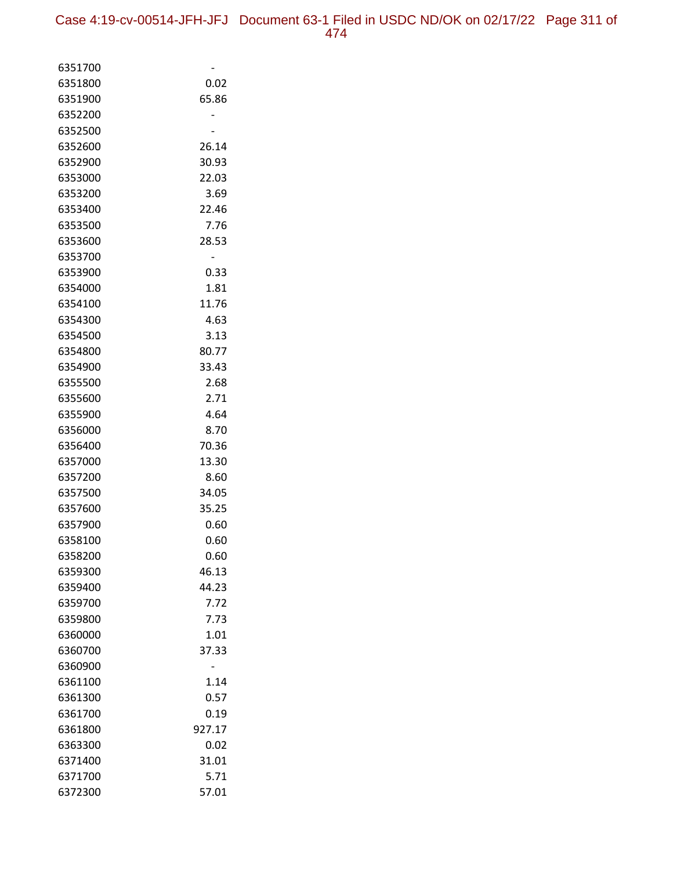| 6351700 |        |
|---------|--------|
| 6351800 | 0.02   |
| 6351900 | 65.86  |
| 6352200 |        |
| 6352500 |        |
| 6352600 | 26.14  |
| 6352900 | 30.93  |
| 6353000 | 22.03  |
| 6353200 | 3.69   |
| 6353400 | 22.46  |
| 6353500 | 7.76   |
| 6353600 | 28.53  |
| 6353700 |        |
| 6353900 | 0.33   |
| 6354000 | 1.81   |
| 6354100 | 11.76  |
| 6354300 | 4.63   |
| 6354500 | 3.13   |
| 6354800 | 80.77  |
| 6354900 | 33.43  |
| 6355500 | 2.68   |
| 6355600 | 2.71   |
| 6355900 | 4.64   |
| 6356000 | 8.70   |
| 6356400 | 70.36  |
| 6357000 | 13.30  |
| 6357200 | 8.60   |
| 6357500 | 34.05  |
| 6357600 | 35.25  |
| 6357900 | 0.60   |
| 6358100 | 0.60   |
| 6358200 | 0.60   |
| 6359300 | 46.13  |
| 6359400 | 44.23  |
| 6359700 | 7.72   |
| 6359800 | 7.73   |
| 6360000 | 1.01   |
| 6360700 | 37.33  |
| 6360900 |        |
| 6361100 | 1.14   |
| 6361300 | 0.57   |
| 6361700 | 0.19   |
| 6361800 | 927.17 |
| 6363300 | 0.02   |
| 6371400 | 31.01  |
| 6371700 | 5.71   |
| 6372300 | 57.01  |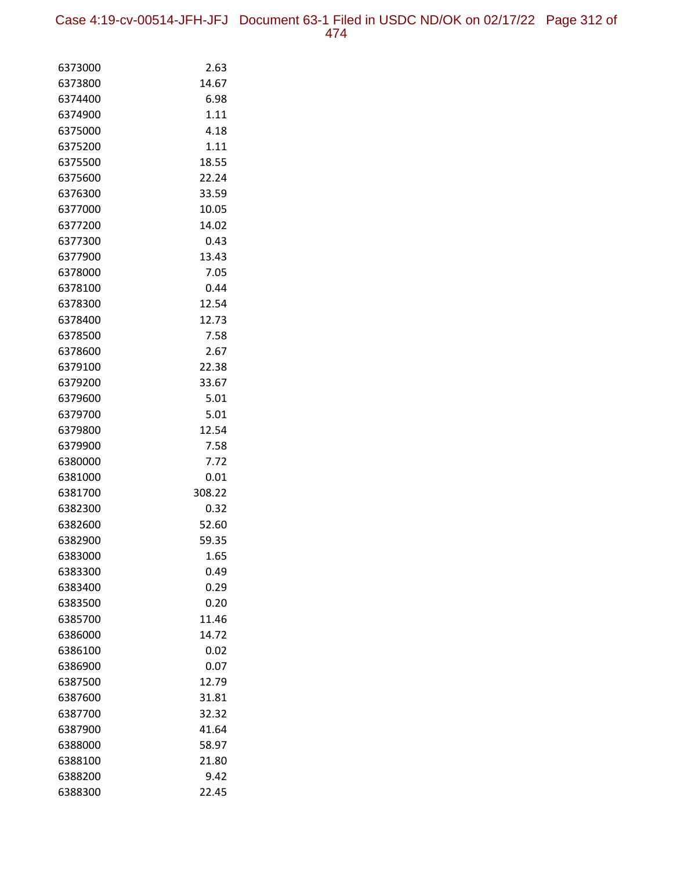| 6373000            | 2.63         |
|--------------------|--------------|
| 6373800            | 14.67        |
| 6374400            | 6.98         |
| 6374900            | 1.11         |
| 6375000            | 4.18         |
| 6375200            | 1.11         |
| 6375500            | 18.55        |
| 6375600            | 22.24        |
| 6376300            | 33.59        |
| 6377000            | 10.05        |
| 6377200            | 14.02        |
| 6377300            | 0.43         |
| 6377900            | 13.43        |
| 6378000            | 7.05         |
| 6378100            | 0.44         |
| 6378300            | 12.54        |
| 6378400            | 12.73        |
| 6378500            | 7.58         |
| 6378600            | 2.67         |
| 6379100            | 22.38        |
| 6379200            | 33.67        |
| 6379600<br>6379700 | 5.01<br>5.01 |
| 6379800            | 12.54        |
| 6379900            | 7.58         |
| 6380000            | 7.72         |
| 6381000            | 0.01         |
| 6381700            | 308.22       |
| 6382300            | 0.32         |
| 6382600            | 52.60        |
| 6382900            | 59.35        |
| 6383000            | 1.65         |
| 6383300            | 0.49         |
| 6383400            | 0.29         |
| 6383500            | 0.20         |
| 6385700            | 11.46        |
| 6386000            | 14.72        |
| 6386100            | 0.02         |
| 6386900            | 0.07         |
| 6387500            | 12.79        |
| 6387600            | 31.81        |
| 6387700            | 32.32        |
| 6387900            | 41.64        |
| 6388000            | 58.97        |
| 6388100            | 21.80        |
| 6388200            | 9.42         |
| 6388300            | 22.45        |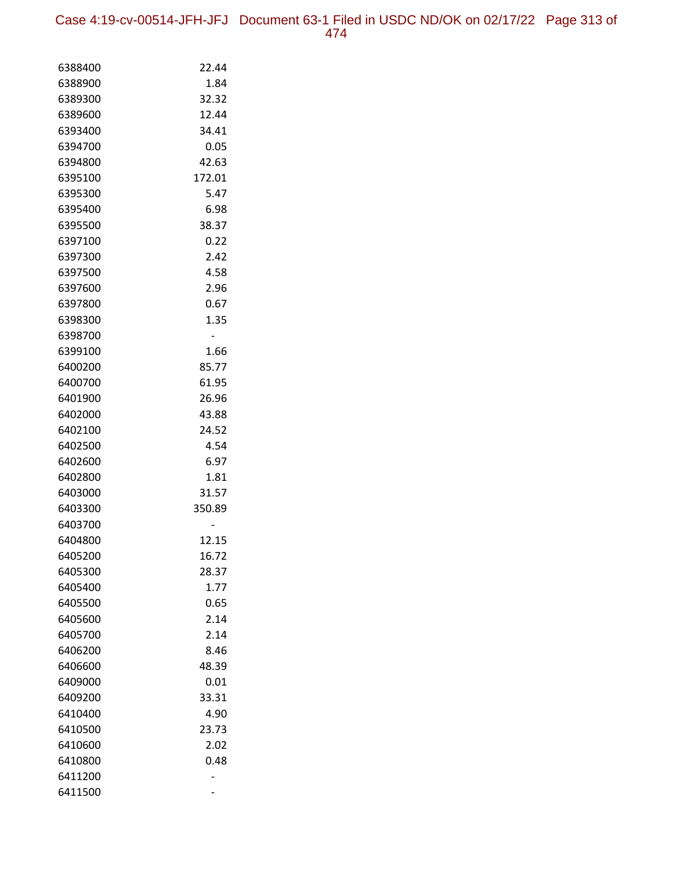Case 4:19-cv-00514-JFH-JFJ Document 63-1 Filed in USDC ND/OK on 02/17/22 Page 313 of 474

| 6388400            | 22.44        |
|--------------------|--------------|
| 6388900            | 1.84         |
| 6389300            | 32.32        |
| 6389600            | 12.44        |
| 6393400            | 34.41        |
| 6394700            | 0.05         |
| 6394800            | 42.63        |
| 6395100            | 172.01       |
| 6395300            | 5.47         |
| 6395400            | 6.98         |
| 6395500            | 38.37        |
| 6397100            | 0.22         |
| 6397300            | 2.42         |
| 6397500            | 4.58         |
| 6397600            | 2.96         |
| 6397800            | 0.67         |
| 6398300            | 1.35         |
| 6398700            |              |
| 6399100            | 1.66         |
| 6400200            | 85.77        |
| 6400700            | 61.95        |
| 6401900            | 26.96        |
| 6402000            | 43.88        |
| 6402100            | 24.52        |
| 6402500            | 4.54         |
| 6402600            | 6.97         |
| 6402800            | 1.81         |
| 6403000            | 31.57        |
| 6403300            | 350.89       |
| 6403700            |              |
| 6404800            | 12.15        |
| 6405200            | 16.72        |
| 6405300<br>6405400 | 28.37        |
| 6405500            | 1.77<br>0.65 |
| 6405600            | 2.14         |
| 6405700            | 2.14         |
| 6406200            | 8.46         |
| 6406600            | 48.39        |
| 6409000            | 0.01         |
| 6409200            | 33.31        |
| 6410400            | 4.90         |
| 6410500            | 23.73        |
| 6410600            | 2.02         |
| 6410800            | 0.48         |
| 6411200            |              |
| 6411500            |              |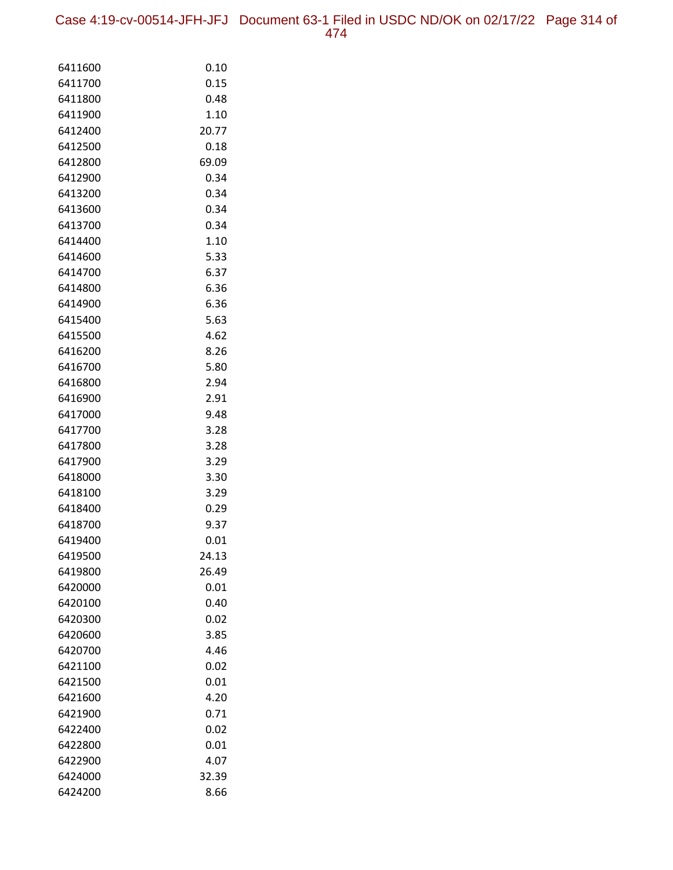Case 4:19-cv-00514-JFH-JFJ Document 63-1 Filed in USDC ND/OK on 02/17/22 Page 314 of 474

| 6411600            | 0.10           |
|--------------------|----------------|
| 6411700            | 0.15           |
| 6411800            | 0.48           |
| 6411900            | 1.10           |
| 6412400            | 20.77          |
| 6412500            | 0.18           |
| 6412800            | 69.09          |
| 6412900            | 0.34           |
| 6413200            | 0.34           |
| 6413600            | 0.34           |
| 6413700            | 0.34           |
| 6414400            | 1.10           |
| 6414600            | 5.33           |
| 6414700            | 6.37           |
| 6414800            | 6.36           |
| 6414900            | 6.36           |
| 6415400            | 5.63           |
| 6415500            | 4.62           |
| 6416200            | 8.26           |
| 6416700            | 5.80           |
| 6416800            | 2.94           |
| 6416900            | 2.91           |
| 6417000            | 9.48           |
| 6417700            | 3.28           |
| 6417800            | 3.28           |
| 6417900            | 3.29           |
| 6418000            | 3.30           |
| 6418100            | 3.29           |
| 6418400            | 0.29           |
| 6418700            | 9.37           |
| 6419400            | 0.01           |
| 6419500            | 24.13<br>26.49 |
| 6419800<br>6420000 | 0.01           |
| 6420100            | 0.40           |
| 6420300            | 0.02           |
| 6420600            | 3.85           |
| 6420700            | 4.46           |
| 6421100            | 0.02           |
| 6421500            | 0.01           |
| 6421600            | 4.20           |
| 6421900            | 0.71           |
| 6422400            | 0.02           |
| 6422800            | 0.01           |
| 6422900            | 4.07           |
| 6424000            | 32.39          |
| 6424200            | 8.66           |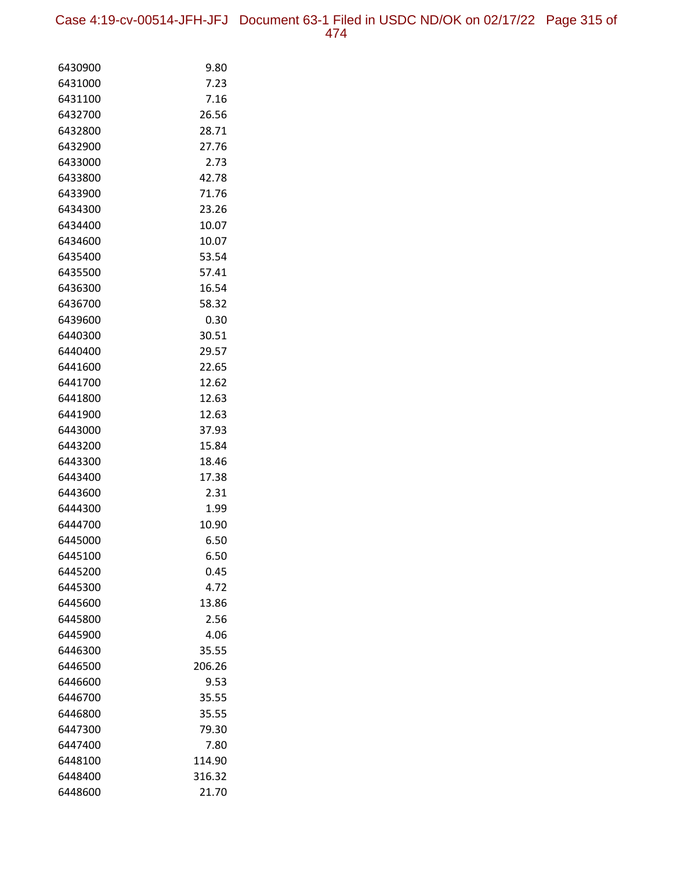Case 4:19-cv-00514-JFH-JFJ Document 63-1 Filed in USDC ND/OK on 02/17/22 Page 315 of 474

| 6430900<br>9.80<br>7.23<br>6431000<br>7.16<br>6431100<br>26.56<br>6432700<br>28.71<br>6432800<br>27.76<br>6432900<br>6433000<br>2.73<br>42.78<br>6433800<br>71.76<br>6433900<br>23.26<br>6434300<br>6434400<br>10.07<br>10.07<br>6434600<br>53.54<br>6435400<br>57.41<br>6435500<br>16.54<br>6436300<br>6436700<br>58.32<br>6439600<br>0.30<br>30.51<br>6440300<br>6440400<br>29.57<br>6441600<br>22.65<br>6441700<br>12.62<br>6441800<br>12.63<br>6441900<br>12.63<br>6443000<br>37.93<br>6443200<br>15.84<br>6443300<br>18.46<br>17.38<br>6443400<br>2.31<br>6443600<br>6444300<br>1.99<br>10.90<br>6444700<br>6445000<br>6.50<br>6445100<br>6.50<br>6445200<br>0.45<br>4.72<br>6445300<br>6445600<br>13.86<br>2.56<br>6445800<br>6445900<br>4.06<br>35.55<br>6446300<br>6446500<br>206.26<br>6446600<br>9.53<br>35.55<br>6446700<br>35.55<br>6446800<br>6447300<br>79.30 |  |
|-----------------------------------------------------------------------------------------------------------------------------------------------------------------------------------------------------------------------------------------------------------------------------------------------------------------------------------------------------------------------------------------------------------------------------------------------------------------------------------------------------------------------------------------------------------------------------------------------------------------------------------------------------------------------------------------------------------------------------------------------------------------------------------------------------------------------------------------------------------------------------|--|
|                                                                                                                                                                                                                                                                                                                                                                                                                                                                                                                                                                                                                                                                                                                                                                                                                                                                             |  |
|                                                                                                                                                                                                                                                                                                                                                                                                                                                                                                                                                                                                                                                                                                                                                                                                                                                                             |  |
|                                                                                                                                                                                                                                                                                                                                                                                                                                                                                                                                                                                                                                                                                                                                                                                                                                                                             |  |
|                                                                                                                                                                                                                                                                                                                                                                                                                                                                                                                                                                                                                                                                                                                                                                                                                                                                             |  |
|                                                                                                                                                                                                                                                                                                                                                                                                                                                                                                                                                                                                                                                                                                                                                                                                                                                                             |  |
|                                                                                                                                                                                                                                                                                                                                                                                                                                                                                                                                                                                                                                                                                                                                                                                                                                                                             |  |
|                                                                                                                                                                                                                                                                                                                                                                                                                                                                                                                                                                                                                                                                                                                                                                                                                                                                             |  |
|                                                                                                                                                                                                                                                                                                                                                                                                                                                                                                                                                                                                                                                                                                                                                                                                                                                                             |  |
|                                                                                                                                                                                                                                                                                                                                                                                                                                                                                                                                                                                                                                                                                                                                                                                                                                                                             |  |
|                                                                                                                                                                                                                                                                                                                                                                                                                                                                                                                                                                                                                                                                                                                                                                                                                                                                             |  |
|                                                                                                                                                                                                                                                                                                                                                                                                                                                                                                                                                                                                                                                                                                                                                                                                                                                                             |  |
|                                                                                                                                                                                                                                                                                                                                                                                                                                                                                                                                                                                                                                                                                                                                                                                                                                                                             |  |
|                                                                                                                                                                                                                                                                                                                                                                                                                                                                                                                                                                                                                                                                                                                                                                                                                                                                             |  |
|                                                                                                                                                                                                                                                                                                                                                                                                                                                                                                                                                                                                                                                                                                                                                                                                                                                                             |  |
|                                                                                                                                                                                                                                                                                                                                                                                                                                                                                                                                                                                                                                                                                                                                                                                                                                                                             |  |
|                                                                                                                                                                                                                                                                                                                                                                                                                                                                                                                                                                                                                                                                                                                                                                                                                                                                             |  |
|                                                                                                                                                                                                                                                                                                                                                                                                                                                                                                                                                                                                                                                                                                                                                                                                                                                                             |  |
|                                                                                                                                                                                                                                                                                                                                                                                                                                                                                                                                                                                                                                                                                                                                                                                                                                                                             |  |
|                                                                                                                                                                                                                                                                                                                                                                                                                                                                                                                                                                                                                                                                                                                                                                                                                                                                             |  |
|                                                                                                                                                                                                                                                                                                                                                                                                                                                                                                                                                                                                                                                                                                                                                                                                                                                                             |  |
|                                                                                                                                                                                                                                                                                                                                                                                                                                                                                                                                                                                                                                                                                                                                                                                                                                                                             |  |
|                                                                                                                                                                                                                                                                                                                                                                                                                                                                                                                                                                                                                                                                                                                                                                                                                                                                             |  |
|                                                                                                                                                                                                                                                                                                                                                                                                                                                                                                                                                                                                                                                                                                                                                                                                                                                                             |  |
|                                                                                                                                                                                                                                                                                                                                                                                                                                                                                                                                                                                                                                                                                                                                                                                                                                                                             |  |
|                                                                                                                                                                                                                                                                                                                                                                                                                                                                                                                                                                                                                                                                                                                                                                                                                                                                             |  |
|                                                                                                                                                                                                                                                                                                                                                                                                                                                                                                                                                                                                                                                                                                                                                                                                                                                                             |  |
|                                                                                                                                                                                                                                                                                                                                                                                                                                                                                                                                                                                                                                                                                                                                                                                                                                                                             |  |
|                                                                                                                                                                                                                                                                                                                                                                                                                                                                                                                                                                                                                                                                                                                                                                                                                                                                             |  |
|                                                                                                                                                                                                                                                                                                                                                                                                                                                                                                                                                                                                                                                                                                                                                                                                                                                                             |  |
|                                                                                                                                                                                                                                                                                                                                                                                                                                                                                                                                                                                                                                                                                                                                                                                                                                                                             |  |
|                                                                                                                                                                                                                                                                                                                                                                                                                                                                                                                                                                                                                                                                                                                                                                                                                                                                             |  |
|                                                                                                                                                                                                                                                                                                                                                                                                                                                                                                                                                                                                                                                                                                                                                                                                                                                                             |  |
|                                                                                                                                                                                                                                                                                                                                                                                                                                                                                                                                                                                                                                                                                                                                                                                                                                                                             |  |
|                                                                                                                                                                                                                                                                                                                                                                                                                                                                                                                                                                                                                                                                                                                                                                                                                                                                             |  |
|                                                                                                                                                                                                                                                                                                                                                                                                                                                                                                                                                                                                                                                                                                                                                                                                                                                                             |  |
|                                                                                                                                                                                                                                                                                                                                                                                                                                                                                                                                                                                                                                                                                                                                                                                                                                                                             |  |
|                                                                                                                                                                                                                                                                                                                                                                                                                                                                                                                                                                                                                                                                                                                                                                                                                                                                             |  |
|                                                                                                                                                                                                                                                                                                                                                                                                                                                                                                                                                                                                                                                                                                                                                                                                                                                                             |  |
|                                                                                                                                                                                                                                                                                                                                                                                                                                                                                                                                                                                                                                                                                                                                                                                                                                                                             |  |
|                                                                                                                                                                                                                                                                                                                                                                                                                                                                                                                                                                                                                                                                                                                                                                                                                                                                             |  |
|                                                                                                                                                                                                                                                                                                                                                                                                                                                                                                                                                                                                                                                                                                                                                                                                                                                                             |  |
|                                                                                                                                                                                                                                                                                                                                                                                                                                                                                                                                                                                                                                                                                                                                                                                                                                                                             |  |
| 6447400<br>7.80                                                                                                                                                                                                                                                                                                                                                                                                                                                                                                                                                                                                                                                                                                                                                                                                                                                             |  |
| 6448100<br>114.90                                                                                                                                                                                                                                                                                                                                                                                                                                                                                                                                                                                                                                                                                                                                                                                                                                                           |  |
| 6448400<br>316.32                                                                                                                                                                                                                                                                                                                                                                                                                                                                                                                                                                                                                                                                                                                                                                                                                                                           |  |
| 6448600<br>21.70                                                                                                                                                                                                                                                                                                                                                                                                                                                                                                                                                                                                                                                                                                                                                                                                                                                            |  |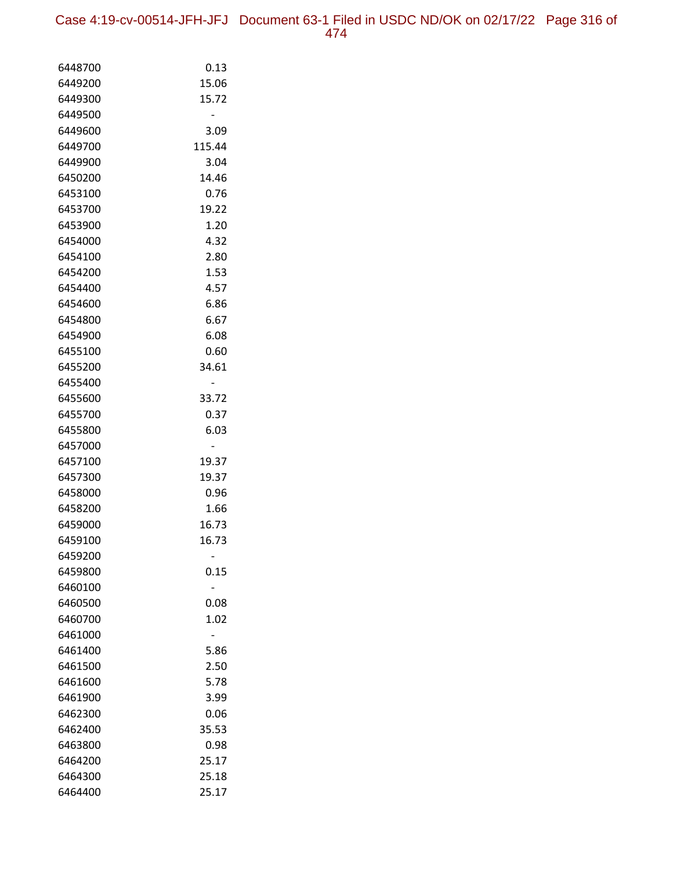Case 4:19-cv-00514-JFH-JFJ Document 63-1 Filed in USDC ND/OK on 02/17/22 Page 316 of 474

| 6448700            | 0.13   |
|--------------------|--------|
| 6449200            | 15.06  |
| 6449300            | 15.72  |
| 6449500            |        |
| 6449600            | 3.09   |
| 6449700            | 115.44 |
| 6449900            | 3.04   |
| 6450200            | 14.46  |
| 6453100            | 0.76   |
| 6453700            | 19.22  |
| 6453900            | 1.20   |
| 6454000            | 4.32   |
| 6454100            | 2.80   |
| 6454200            | 1.53   |
| 6454400            | 4.57   |
| 6454600            | 6.86   |
| 6454800            | 6.67   |
| 6454900            | 6.08   |
| 6455100            | 0.60   |
| 6455200            | 34.61  |
| 6455400            |        |
| 6455600            | 33.72  |
| 6455700            | 0.37   |
| 6455800            | 6.03   |
| 6457000            |        |
| 6457100            | 19.37  |
| 6457300            | 19.37  |
| 6458000            | 0.96   |
| 6458200            | 1.66   |
| 6459000            | 16.73  |
| 6459100            | 16.73  |
| 6459200            |        |
| 6459800<br>6460100 | 0.15   |
| 6460500            | 0.08   |
| 6460700            | 1.02   |
| 6461000            |        |
| 6461400            | 5.86   |
| 6461500            | 2.50   |
| 6461600            | 5.78   |
| 6461900            | 3.99   |
| 6462300            | 0.06   |
| 6462400            | 35.53  |
| 6463800            | 0.98   |
| 6464200            | 25.17  |
| 6464300            | 25.18  |
| 6464400            | 25.17  |
|                    |        |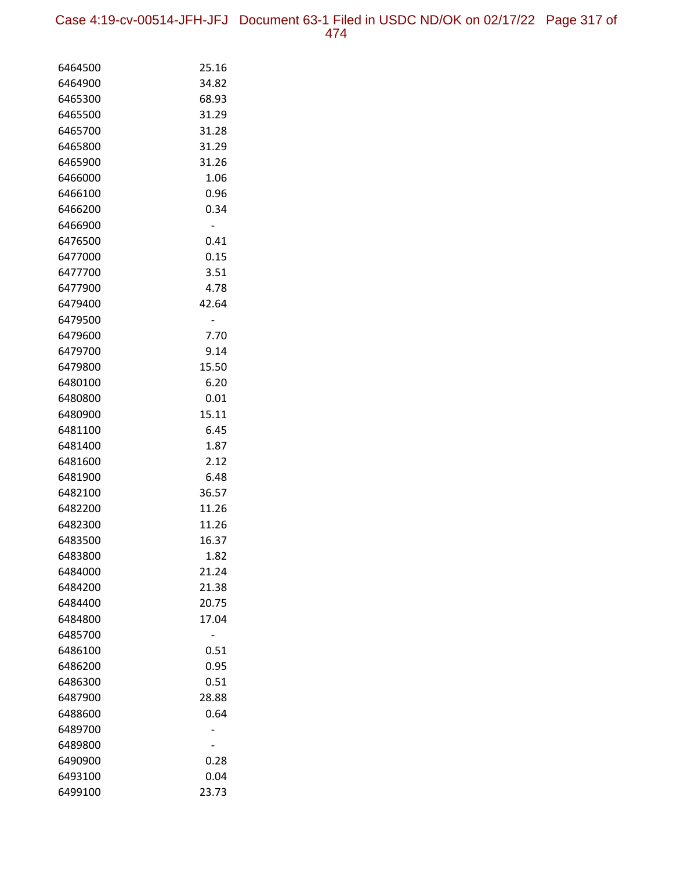Case 4:19-cv-00514-JFH-JFJ Document 63-1 Filed in USDC ND/OK on 02/17/22 Page 317 of 474

| 6464500 | 25.16 |
|---------|-------|
| 6464900 | 34.82 |
| 6465300 | 68.93 |
| 6465500 | 31.29 |
| 6465700 | 31.28 |
| 6465800 | 31.29 |
| 6465900 | 31.26 |
| 6466000 | 1.06  |
| 6466100 | 0.96  |
| 6466200 | 0.34  |
| 6466900 | -     |
| 6476500 | 0.41  |
| 6477000 | 0.15  |
| 6477700 | 3.51  |
| 6477900 | 4.78  |
| 6479400 | 42.64 |
| 6479500 | -     |
| 6479600 | 7.70  |
| 6479700 | 9.14  |
| 6479800 | 15.50 |
| 6480100 | 6.20  |
| 6480800 | 0.01  |
| 6480900 | 15.11 |
| 6481100 | 6.45  |
| 6481400 | 1.87  |
| 6481600 | 2.12  |
| 6481900 | 6.48  |
| 6482100 | 36.57 |
| 6482200 | 11.26 |
| 6482300 | 11.26 |
| 6483500 | 16.37 |
| 6483800 | 1.82  |
| 6484000 | 21.24 |
| 6484200 | 21.38 |
| 6484400 | 20.75 |
| 6484800 | 17.04 |
| 6485700 |       |
| 6486100 | 0.51  |
| 6486200 | 0.95  |
| 6486300 | 0.51  |
| 6487900 | 28.88 |
| 6488600 | 0.64  |
| 6489700 |       |
| 6489800 |       |
| 6490900 | 0.28  |
| 6493100 | 0.04  |
| 6499100 | 23.73 |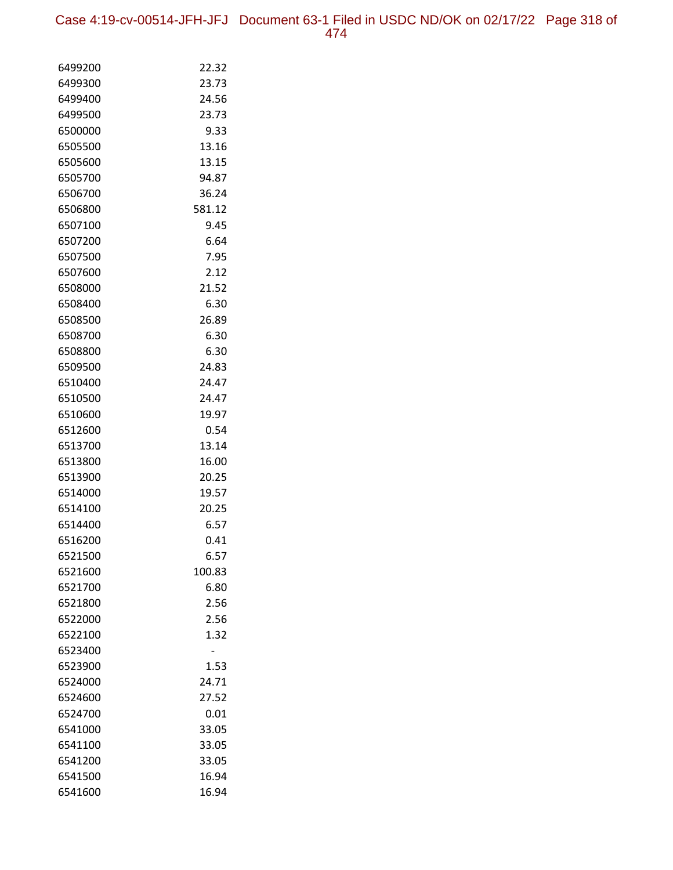Case 4:19-cv-00514-JFH-JFJ Document 63-1 Filed in USDC ND/OK on 02/17/22 Page 318 of 474

| 6499200 | 22.32  |
|---------|--------|
| 6499300 | 23.73  |
| 6499400 | 24.56  |
| 6499500 | 23.73  |
| 6500000 | 9.33   |
| 6505500 | 13.16  |
| 6505600 | 13.15  |
| 6505700 | 94.87  |
| 6506700 | 36.24  |
| 6506800 | 581.12 |
| 6507100 | 9.45   |
| 6507200 | 6.64   |
| 6507500 | 7.95   |
| 6507600 | 2.12   |
| 6508000 | 21.52  |
| 6508400 | 6.30   |
| 6508500 | 26.89  |
| 6508700 | 6.30   |
| 6508800 | 6.30   |
| 6509500 | 24.83  |
| 6510400 | 24.47  |
| 6510500 | 24.47  |
| 6510600 | 19.97  |
| 6512600 | 0.54   |
| 6513700 | 13.14  |
| 6513800 | 16.00  |
| 6513900 | 20.25  |
| 6514000 | 19.57  |
| 6514100 | 20.25  |
| 6514400 | 6.57   |
| 6516200 | 0.41   |
| 6521500 | 6.57   |
| 6521600 | 100.83 |
| 6521700 | 6.80   |
| 6521800 | 2.56   |
| 6522000 | 2.56   |
| 6522100 | 1.32   |
| 6523400 |        |
| 6523900 | 1.53   |
| 6524000 | 24.71  |
| 6524600 | 27.52  |
| 6524700 | 0.01   |
| 6541000 | 33.05  |
| 6541100 | 33.05  |
| 6541200 | 33.05  |
| 6541500 | 16.94  |
| 6541600 | 16.94  |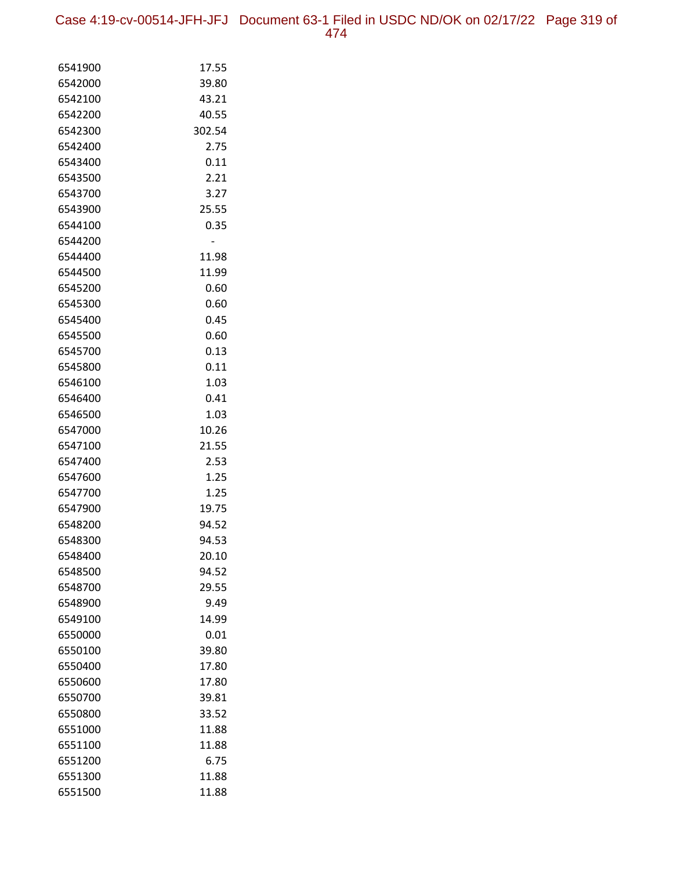Case 4:19-cv-00514-JFH-JFJ Document 63-1 Filed in USDC ND/OK on 02/17/22 Page 319 of 474

| 6541900 | 17.55  |
|---------|--------|
| 6542000 | 39.80  |
| 6542100 | 43.21  |
| 6542200 | 40.55  |
| 6542300 | 302.54 |
| 6542400 | 2.75   |
| 6543400 | 0.11   |
| 6543500 | 2.21   |
| 6543700 | 3.27   |
| 6543900 | 25.55  |
| 6544100 | 0.35   |
| 6544200 |        |
| 6544400 | 11.98  |
| 6544500 | 11.99  |
| 6545200 | 0.60   |
| 6545300 | 0.60   |
| 6545400 | 0.45   |
| 6545500 | 0.60   |
| 6545700 | 0.13   |
| 6545800 | 0.11   |
| 6546100 | 1.03   |
| 6546400 | 0.41   |
| 6546500 | 1.03   |
| 6547000 | 10.26  |
| 6547100 | 21.55  |
| 6547400 | 2.53   |
| 6547600 | 1.25   |
| 6547700 | 1.25   |
| 6547900 | 19.75  |
| 6548200 | 94.52  |
| 6548300 | 94.53  |
| 6548400 | 20.10  |
| 6548500 | 94.52  |
| 6548700 | 29.55  |
| 6548900 | 9.49   |
| 6549100 | 14.99  |
| 6550000 | 0.01   |
| 6550100 | 39.80  |
| 6550400 | 17.80  |
| 6550600 | 17.80  |
| 6550700 | 39.81  |
| 6550800 | 33.52  |
| 6551000 | 11.88  |
| 6551100 | 11.88  |
| 6551200 | 6.75   |
| 6551300 | 11.88  |
| 6551500 | 11.88  |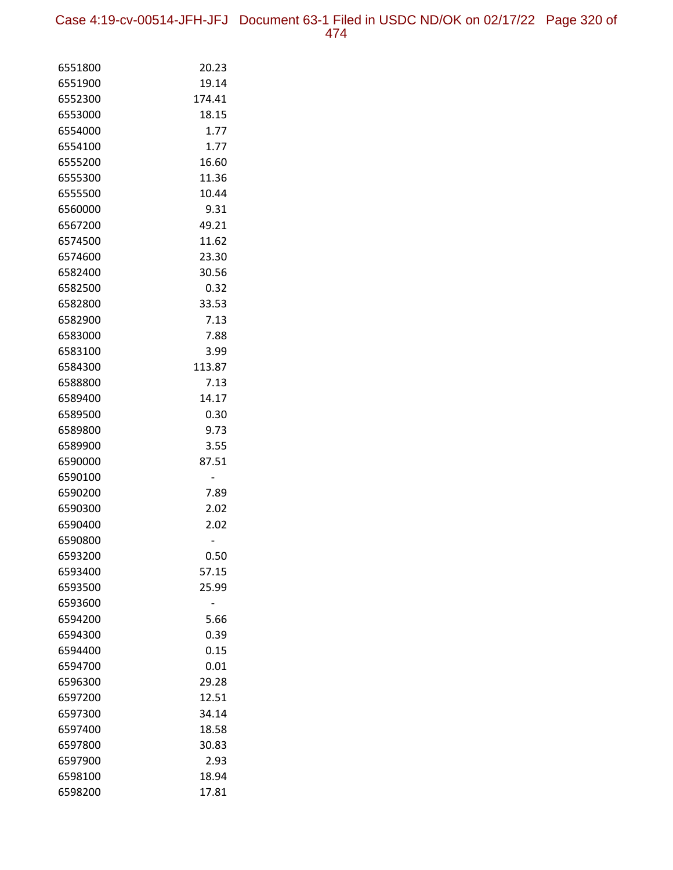Case 4:19-cv-00514-JFH-JFJ Document 63-1 Filed in USDC ND/OK on 02/17/22 Page 320 of 474

| 6551800            | 20.23  |
|--------------------|--------|
| 6551900            | 19.14  |
| 6552300            | 174.41 |
| 6553000            | 18.15  |
| 6554000            | 1.77   |
| 6554100            | 1.77   |
| 6555200            | 16.60  |
| 6555300            | 11.36  |
| 6555500            | 10.44  |
| 6560000            | 9.31   |
| 6567200            | 49.21  |
| 6574500            | 11.62  |
| 6574600            | 23.30  |
| 6582400            | 30.56  |
| 6582500            | 0.32   |
| 6582800            | 33.53  |
| 6582900            | 7.13   |
| 6583000            | 7.88   |
| 6583100            | 3.99   |
| 6584300            | 113.87 |
| 6588800            | 7.13   |
| 6589400            | 14.17  |
| 6589500            | 0.30   |
| 6589800            | 9.73   |
| 6589900            | 3.55   |
| 6590000<br>6590100 | 87.51  |
| 6590200            | 7.89   |
| 6590300            | 2.02   |
| 6590400            | 2.02   |
| 6590800            |        |
| 6593200            | 0.50   |
| 6593400            | 57.15  |
| 6593500            | 25.99  |
| 6593600            |        |
| 6594200            | 5.66   |
| 6594300            | 0.39   |
| 6594400            | 0.15   |
| 6594700            | 0.01   |
| 6596300            | 29.28  |
| 6597200            | 12.51  |
| 6597300            | 34.14  |
| 6597400            | 18.58  |
| 6597800            | 30.83  |
| 6597900            | 2.93   |
| 6598100            | 18.94  |
| 6598200            | 17.81  |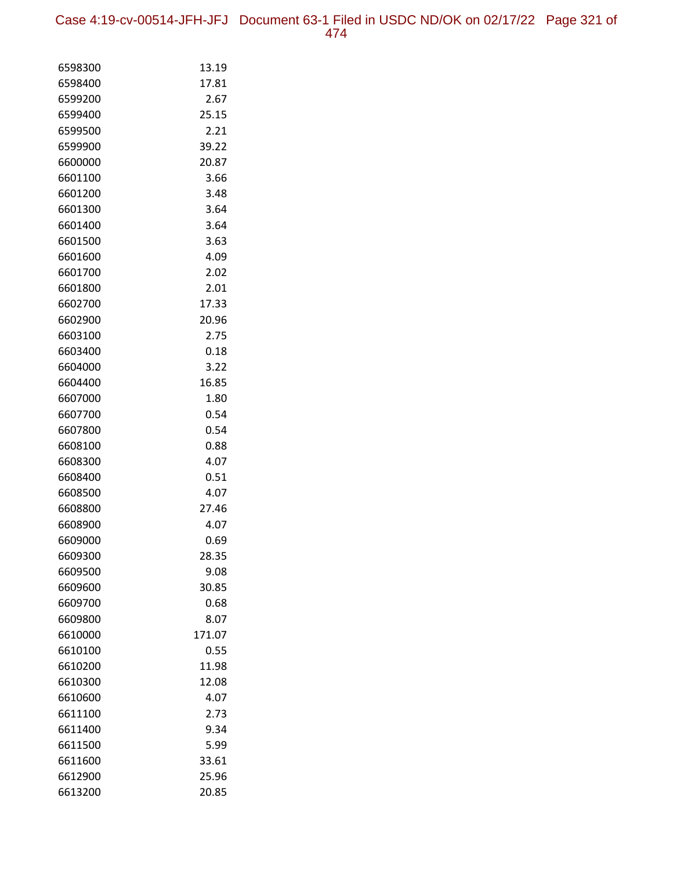Case 4:19-cv-00514-JFH-JFJ Document 63-1 Filed in USDC ND/OK on 02/17/22 Page 321 of 474

| 6598300            | 13.19         |
|--------------------|---------------|
| 6598400            | 17.81         |
| 6599200            | 2.67          |
| 6599400            | 25.15         |
| 6599500            | 2.21          |
| 6599900            | 39.22         |
| 6600000            | 20.87         |
| 6601100            | 3.66          |
| 6601200            | 3.48          |
| 6601300            | 3.64          |
| 6601400            | 3.64          |
| 6601500            | 3.63          |
| 6601600            | 4.09          |
| 6601700            | 2.02          |
| 6601800            | 2.01          |
| 6602700            | 17.33         |
| 6602900            | 20.96         |
| 6603100            | 2.75          |
| 6603400            | 0.18          |
| 6604000            | 3.22          |
| 6604400            | 16.85         |
| 6607000            | 1.80          |
| 6607700            | 0.54          |
| 6607800            | 0.54          |
| 6608100            | 0.88          |
| 6608300            | 4.07          |
| 6608400            | 0.51          |
| 6608500            | 4.07          |
| 6608800<br>6608900 | 27.46<br>4.07 |
| 6609000            | 0.69          |
| 6609300            | 28.35         |
| 6609500            | 9.08          |
| 6609600            | 30.85         |
| 6609700            | 0.68          |
| 6609800            | 8.07          |
| 6610000            | 171.07        |
| 6610100            | 0.55          |
| 6610200            | 11.98         |
| 6610300            | 12.08         |
| 6610600            | 4.07          |
| 6611100            | 2.73          |
| 6611400            | 9.34          |
| 6611500            | 5.99          |
| 6611600            | 33.61         |
| 6612900            | 25.96         |
| 6613200            | 20.85         |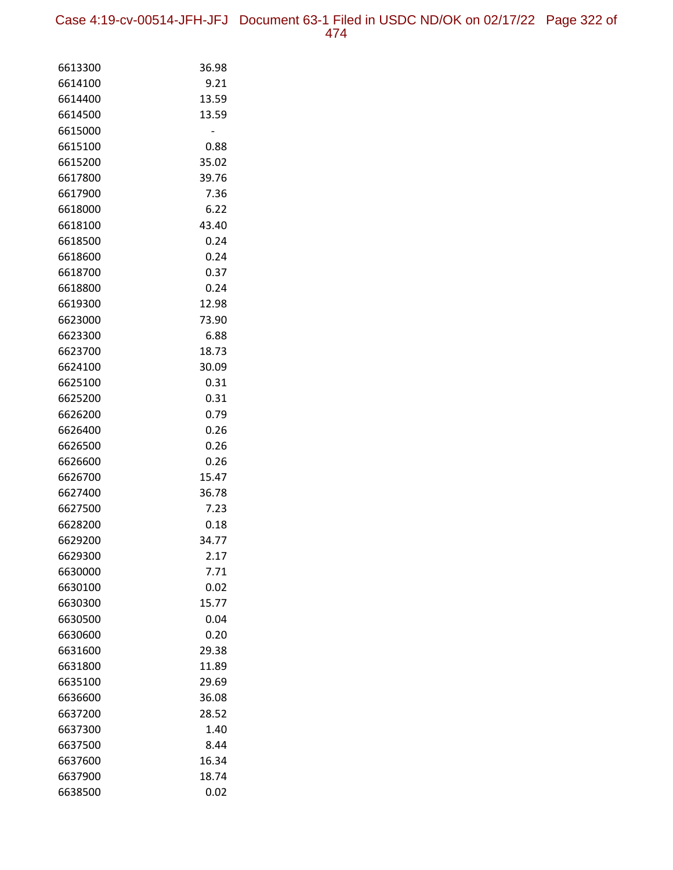Case 4:19-cv-00514-JFH-JFJ Document 63-1 Filed in USDC ND/OK on 02/17/22 Page 322 of 474

| 6613300 | 36.98 |
|---------|-------|
| 6614100 | 9.21  |
| 6614400 | 13.59 |
| 6614500 | 13.59 |
| 6615000 |       |
| 6615100 | 0.88  |
| 6615200 | 35.02 |
| 6617800 | 39.76 |
| 6617900 | 7.36  |
| 6618000 | 6.22  |
| 6618100 | 43.40 |
| 6618500 | 0.24  |
| 6618600 | 0.24  |
| 6618700 | 0.37  |
| 6618800 | 0.24  |
| 6619300 | 12.98 |
| 6623000 | 73.90 |
| 6623300 | 6.88  |
| 6623700 | 18.73 |
| 6624100 | 30.09 |
| 6625100 | 0.31  |
| 6625200 | 0.31  |
| 6626200 | 0.79  |
| 6626400 | 0.26  |
| 6626500 | 0.26  |
| 6626600 | 0.26  |
| 6626700 | 15.47 |
| 6627400 | 36.78 |
| 6627500 | 7.23  |
| 6628200 | 0.18  |
| 6629200 | 34.77 |
| 6629300 | 2.17  |
| 6630000 | 7.71  |
| 6630100 | 0.02  |
| 6630300 | 15.77 |
| 6630500 | 0.04  |
| 6630600 | 0.20  |
| 6631600 | 29.38 |
| 6631800 | 11.89 |
| 6635100 | 29.69 |
| 6636600 | 36.08 |
| 6637200 | 28.52 |
| 6637300 | 1.40  |
| 6637500 | 8.44  |
| 6637600 | 16.34 |
| 6637900 | 18.74 |
| 6638500 | 0.02  |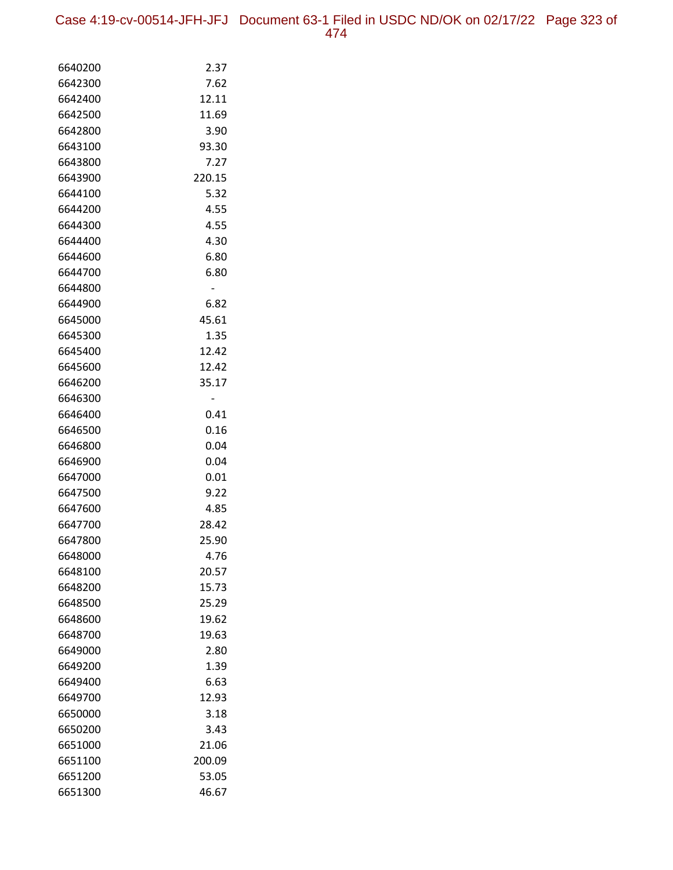Case 4:19-cv-00514-JFH-JFJ Document 63-1 Filed in USDC ND/OK on 02/17/22 Page 323 of 474

| 6640200 | 2.37           |
|---------|----------------|
| 6642300 | 7.62           |
| 6642400 | 12.11          |
| 6642500 | 11.69          |
| 6642800 | 3.90           |
| 6643100 | 93.30          |
| 6643800 | 7.27           |
| 6643900 | 220.15         |
| 6644100 | 5.32           |
| 6644200 | 4.55           |
| 6644300 | 4.55           |
| 6644400 | 4.30           |
| 6644600 | 6.80           |
| 6644700 | 6.80           |
| 6644800 | $\overline{a}$ |
| 6644900 | 6.82           |
| 6645000 | 45.61          |
| 6645300 | 1.35           |
| 6645400 | 12.42          |
| 6645600 | 12.42          |
| 6646200 | 35.17          |
| 6646300 |                |
| 6646400 | 0.41           |
| 6646500 | 0.16           |
| 6646800 | 0.04           |
| 6646900 | 0.04           |
| 6647000 | 0.01           |
| 6647500 | 9.22           |
| 6647600 | 4.85           |
| 6647700 | 28.42          |
| 6647800 | 25.90          |
| 6648000 | 4.76           |
| 6648100 | 20.57          |
| 6648200 | 15.73          |
| 6648500 | 25.29          |
| 6648600 | 19.62          |
| 6648700 | 19.63          |
| 6649000 | 2.80           |
| 6649200 | 1.39           |
| 6649400 | 6.63           |
| 6649700 | 12.93          |
| 6650000 | 3.18           |
| 6650200 | 3.43           |
| 6651000 | 21.06          |
| 6651100 | 200.09         |
| 6651200 | 53.05          |
| 6651300 | 46.67          |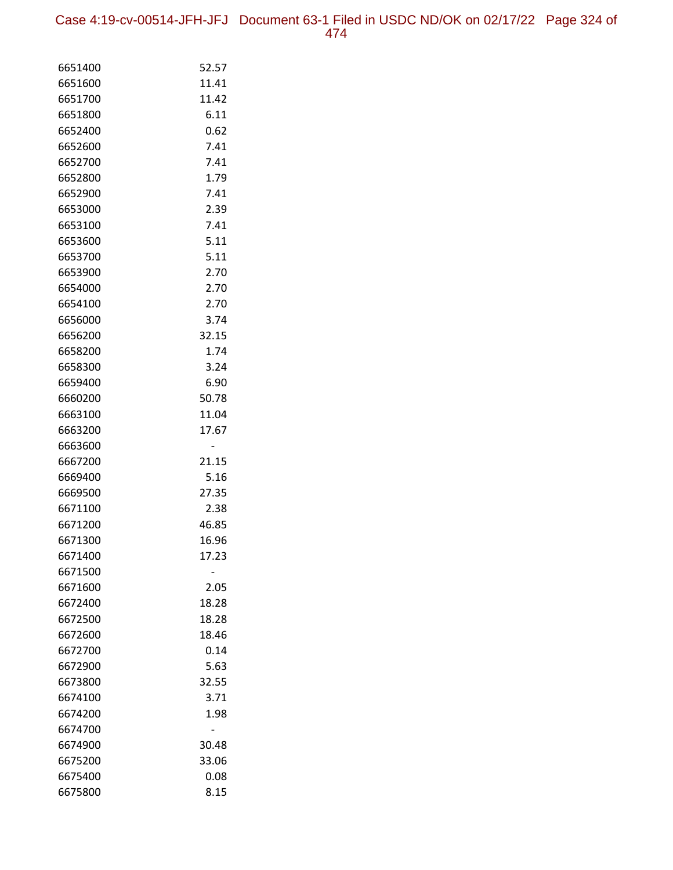Case 4:19-cv-00514-JFH-JFJ Document 63-1 Filed in USDC ND/OK on 02/17/22 Page 324 of 474

| 6651400            | 52.57          |
|--------------------|----------------|
| 6651600            | 11.41          |
| 6651700            | 11.42          |
| 6651800            | 6.11           |
| 6652400            | 0.62           |
| 6652600            | 7.41           |
| 6652700            | 7.41           |
| 6652800            | 1.79           |
| 6652900            | 7.41           |
| 6653000            | 2.39           |
| 6653100            | 7.41           |
| 6653600            | 5.11           |
| 6653700            | 5.11           |
| 6653900            | 2.70           |
| 6654000            | 2.70           |
| 6654100            | 2.70           |
| 6656000            | 3.74           |
| 6656200            | 32.15          |
| 6658200            | 1.74           |
| 6658300            | 3.24           |
| 6659400            | 6.90           |
| 6660200            | 50.78          |
| 6663100            | 11.04          |
| 6663200            | 17.67          |
| 6663600            |                |
| 6667200            | 21.15          |
| 6669400            | 5.16           |
| 6669500            | 27.35          |
| 6671100            | 2.38           |
| 6671200<br>6671300 | 46.85          |
|                    | 16.96<br>17.23 |
| 6671400<br>6671500 |                |
| 6671600            | 2.05           |
| 6672400            | 18.28          |
| 6672500            | 18.28          |
| 6672600            | 18.46          |
| 6672700            | 0.14           |
| 6672900            | 5.63           |
| 6673800            | 32.55          |
| 6674100            | 3.71           |
| 6674200            | 1.98           |
| 6674700            |                |
| 6674900            | 30.48          |
| 6675200            | 33.06          |
| 6675400            | 0.08           |
| 6675800            | 8.15           |
|                    |                |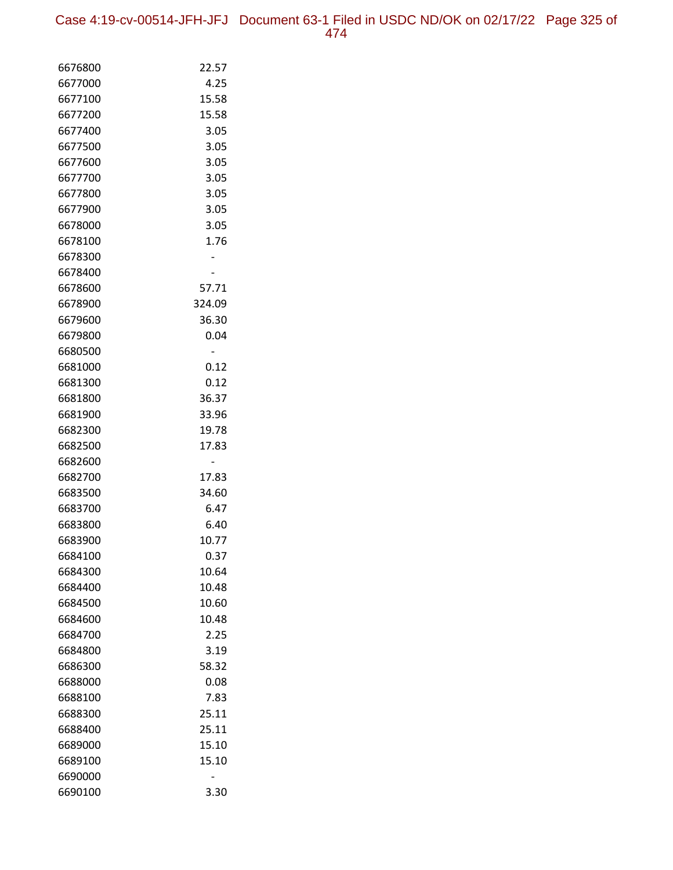Case 4:19-cv-00514-JFH-JFJ Document 63-1 Filed in USDC ND/OK on 02/17/22 Page 325 of 474

| 6676800            | 22.57      |
|--------------------|------------|
| 6677000            | 4.25       |
| 6677100            | 15.58      |
| 6677200            | 15.58      |
| 6677400            | 3.05       |
| 6677500            | 3.05       |
| 6677600            | 3.05       |
| 6677700            | 3.05       |
| 6677800            | 3.05       |
| 6677900            | 3.05       |
| 6678000            | 3.05       |
| 6678100            | 1.76       |
| 6678300            |            |
| 6678400            |            |
| 6678600            | 57.71      |
| 6678900            | 324.09     |
| 6679600            | 36.30      |
| 6679800            | 0.04       |
| 6680500            |            |
| 6681000            | 0.12       |
| 6681300            | 0.12       |
| 6681800            | 36.37      |
| 6681900            | 33.96      |
| 6682300            | 19.78      |
| 6682500            | 17.83      |
| 6682600<br>6682700 | -<br>17.83 |
| 6683500            | 34.60      |
| 6683700            | 6.47       |
| 6683800            | 6.40       |
| 6683900            | 10.77      |
| 6684100            | 0.37       |
| 6684300            | 10.64      |
| 6684400            | 10.48      |
| 6684500            | 10.60      |
| 6684600            | 10.48      |
| 6684700            | 2.25       |
| 6684800            | 3.19       |
| 6686300            | 58.32      |
| 6688000            | 0.08       |
| 6688100            | 7.83       |
| 6688300            | 25.11      |
| 6688400            | 25.11      |
| 6689000            | 15.10      |
| 6689100            | 15.10      |
| 6690000            |            |
| 6690100            | 3.30       |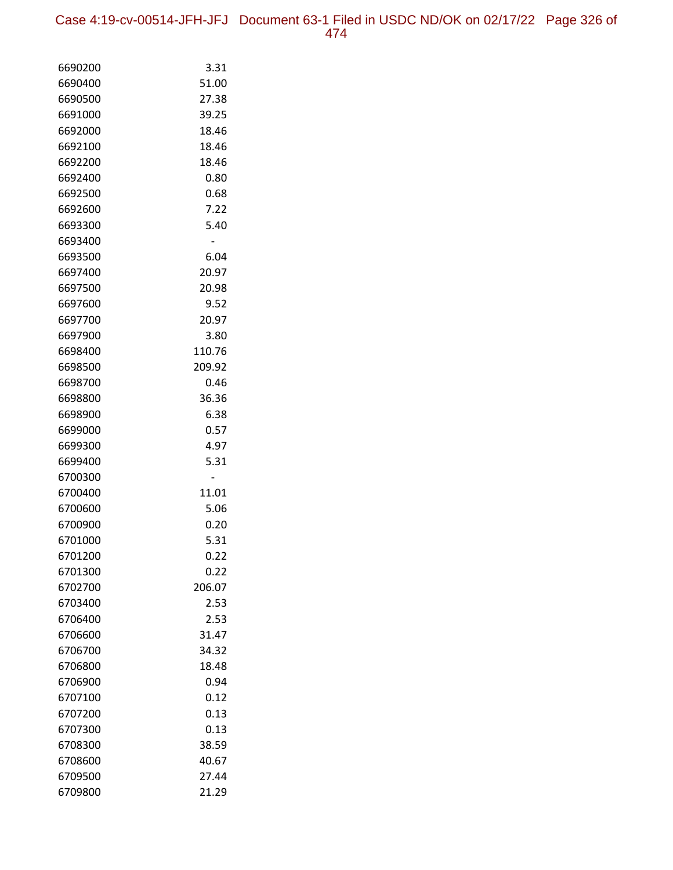Case 4:19-cv-00514-JFH-JFJ Document 63-1 Filed in USDC ND/OK on 02/17/22 Page 326 of 474

| 6690200            | 3.31           |
|--------------------|----------------|
| 6690400            | 51.00          |
| 6690500            | 27.38          |
| 6691000            | 39.25          |
| 6692000            | 18.46          |
| 6692100            | 18.46          |
| 6692200            | 18.46          |
| 6692400            | 0.80           |
| 6692500            | 0.68           |
| 6692600            | 7.22           |
| 6693300            | 5.40           |
| 6693400            |                |
| 6693500            | 6.04           |
| 6697400            | 20.97          |
| 6697500            | 20.98          |
| 6697600            | 9.52           |
| 6697700            | 20.97          |
| 6697900            | 3.80           |
| 6698400            | 110.76         |
| 6698500            | 209.92         |
| 6698700            | 0.46           |
| 6698800            | 36.36          |
| 6698900            | 6.38           |
| 6699000            | 0.57           |
| 6699300            | 4.97           |
| 6699400            | 5.31           |
| 6700300            |                |
| 6700400            | 11.01          |
| 6700600            | 5.06           |
| 6700900            | 0.20           |
| 6701000            | 5.31           |
| 6701200            | 0.22           |
| 6701300            | 0.22           |
| 6702700            | 206.07         |
| 6703400            | 2.53           |
| 6706400            | 2.53           |
| 6706600            | 31.47          |
| 6706700            | 34.32          |
| 6706800            | 18.48          |
| 6706900            | 0.94           |
| 6707100            | 0.12           |
| 6707200            | 0.13           |
| 6707300            | 0.13           |
| 6708300<br>6708600 | 38.59<br>40.67 |
|                    |                |
| 6709500            | 27.44          |
| 6709800            | 21.29          |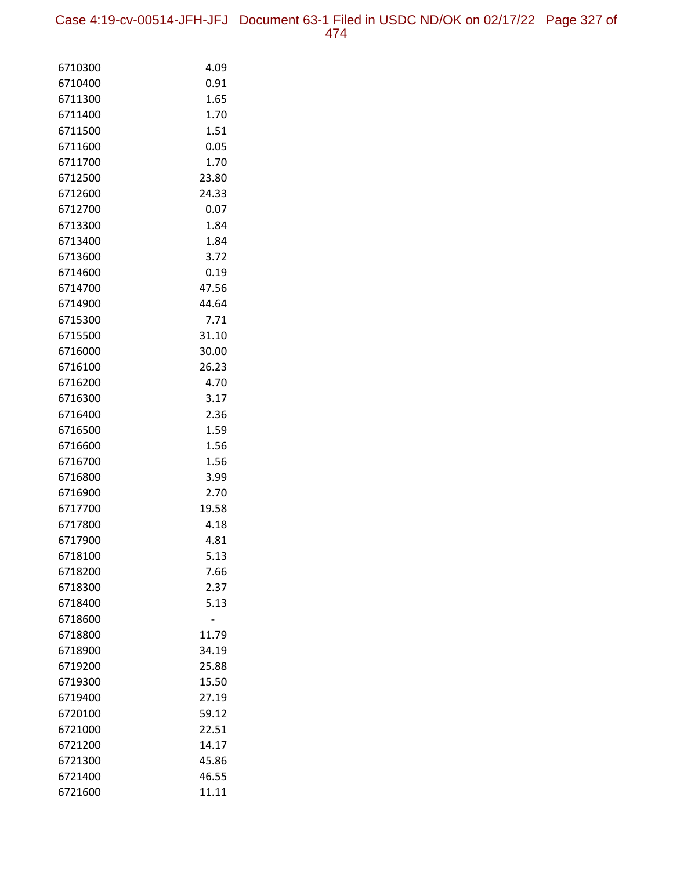Case 4:19-cv-00514-JFH-JFJ Document 63-1 Filed in USDC ND/OK on 02/17/22 Page 327 of 474

| 6710300            | 4.09           |
|--------------------|----------------|
| 6710400            | 0.91           |
| 6711300            | 1.65           |
| 6711400            | 1.70           |
| 6711500            | 1.51           |
| 6711600            | 0.05           |
| 6711700            | 1.70           |
| 6712500            | 23.80          |
| 6712600            | 24.33          |
| 6712700            | 0.07           |
| 6713300            | 1.84           |
| 6713400            | 1.84           |
| 6713600            | 3.72           |
| 6714600            | 0.19           |
| 6714700            | 47.56          |
| 6714900            | 44.64          |
| 6715300            | 7.71           |
| 6715500            | 31.10          |
| 6716000            | 30.00          |
| 6716100            | 26.23          |
| 6716200            | 4.70           |
| 6716300            | 3.17           |
| 6716400            | 2.36           |
| 6716500            | 1.59           |
| 6716600            | 1.56           |
| 6716700            | 1.56           |
| 6716800            | 3.99           |
| 6716900            | 2.70           |
| 6717700            | 19.58          |
| 6717800            | 4.18           |
| 6717900            | 4.81           |
| 6718100            | 5.13           |
| 6718200            | 7.66           |
| 6718300            | 2.37           |
| 6718400            | 5.13           |
| 6718600<br>6718800 |                |
| 6718900            | 11.79<br>34.19 |
| 6719200            | 25.88          |
| 6719300            | 15.50          |
| 6719400            | 27.19          |
| 6720100            | 59.12          |
| 6721000            | 22.51          |
| 6721200            | 14.17          |
| 6721300            | 45.86          |
| 6721400            | 46.55          |
| 6721600            | 11.11          |
|                    |                |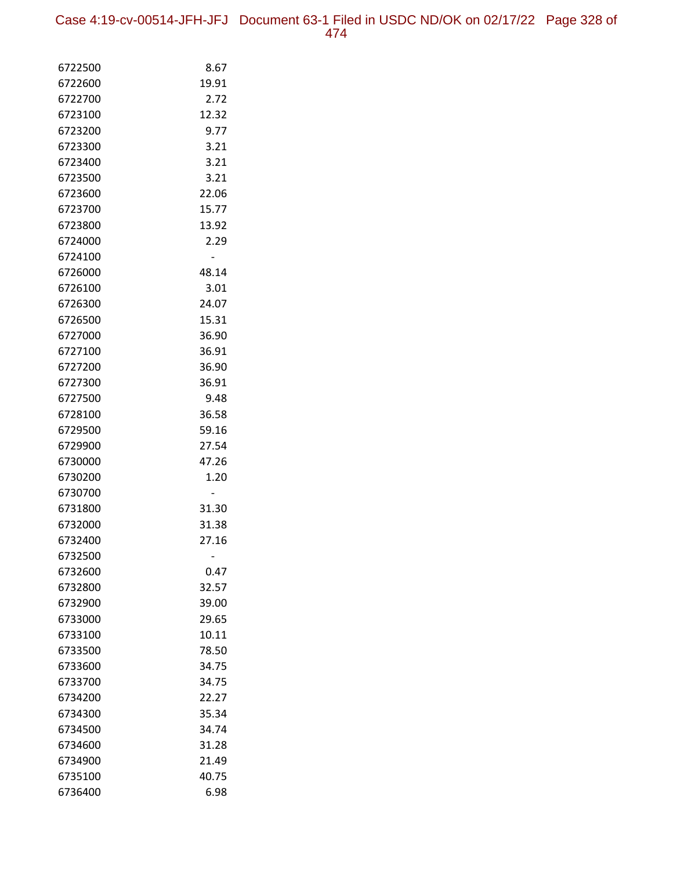Case 4:19-cv-00514-JFH-JFJ Document 63-1 Filed in USDC ND/OK on 02/17/22 Page 328 of 474

| 6722500            | 8.67           |
|--------------------|----------------|
| 6722600            | 19.91          |
| 6722700            | 2.72           |
| 6723100            | 12.32          |
| 6723200            | 9.77           |
| 6723300            | 3.21           |
| 6723400            | 3.21           |
| 6723500            | 3.21           |
| 6723600            | 22.06          |
| 6723700            | 15.77          |
| 6723800            | 13.92          |
| 6724000            | 2.29           |
| 6724100            |                |
| 6726000            | 48.14          |
| 6726100            | 3.01           |
| 6726300            | 24.07          |
| 6726500            | 15.31          |
| 6727000            | 36.90          |
| 6727100            | 36.91          |
| 6727200            | 36.90          |
| 6727300            | 36.91          |
| 6727500            | 9.48           |
| 6728100            | 36.58          |
| 6729500            | 59.16          |
| 6729900            | 27.54          |
| 6730000            | 47.26          |
| 6730200            | 1.20           |
| 6730700            |                |
| 6731800            | 31.30          |
| 6732000            | 31.38          |
| 6732400            | 27.16          |
| 6732500            |                |
| 6732600            | 0.47           |
| 6732800            | 32.57          |
| 6732900            | 39.00<br>29.65 |
| 6733000            | 10.11          |
| 6733100<br>6733500 |                |
|                    | 78.50<br>34.75 |
| 6733600            |                |
| 6733700<br>6734200 | 34.75<br>22.27 |
| 6734300            | 35.34          |
| 6734500            | 34.74          |
| 6734600            | 31.28          |
| 6734900            | 21.49          |
| 6735100            | 40.75          |
| 6736400            | 6.98           |
|                    |                |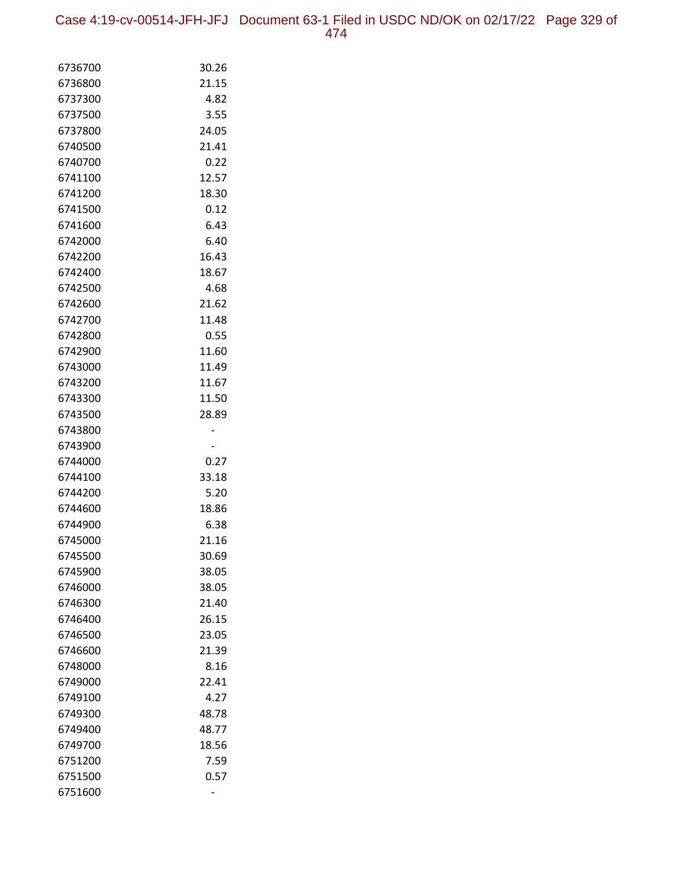Case 4:19-cv-00514-JFH-JFJ Document 63-1 Filed in USDC ND/OK on 02/17/22 Page 329 of 474

| 6736700            | 30.26 |
|--------------------|-------|
| 6736800            | 21.15 |
| 6737300            | 4.82  |
| 6737500            | 3.55  |
| 6737800            | 24.05 |
| 6740500            | 21.41 |
| 6740700            | 0.22  |
| 6741100            | 12.57 |
| 6741200            | 18.30 |
| 6741500            | 0.12  |
| 6741600            | 6.43  |
| 6742000            | 6.40  |
| 6742200            | 16.43 |
| 6742400            | 18.67 |
| 6742500            | 4.68  |
| 6742600            | 21.62 |
| 6742700            | 11.48 |
| 6742800            | 0.55  |
| 6742900            | 11.60 |
| 6743000            | 11.49 |
| 6743200            | 11.67 |
| 6743300            | 11.50 |
| 6743500            | 28.89 |
| 6743800<br>6743900 |       |
| 6744000            | 0.27  |
| 6744100            | 33.18 |
| 6744200            | 5.20  |
| 6744600            | 18.86 |
| 6744900            | 6.38  |
| 6745000            | 21.16 |
| 6745500            | 30.69 |
| 6745900            | 38.05 |
| 6746000            | 38.05 |
| 6746300            | 21.40 |
| 6746400            | 26.15 |
| 6746500            | 23.05 |
| 6746600            | 21.39 |
| 6748000            | 8.16  |
| 6749000            | 22.41 |
| 6749100            | 4.27  |
| 6749300            | 48.78 |
| 6749400            |       |
|                    | 48.77 |
| 6749700            | 18.56 |
| 6751200            | 7.59  |
| 6751500<br>6751600 | 0.57  |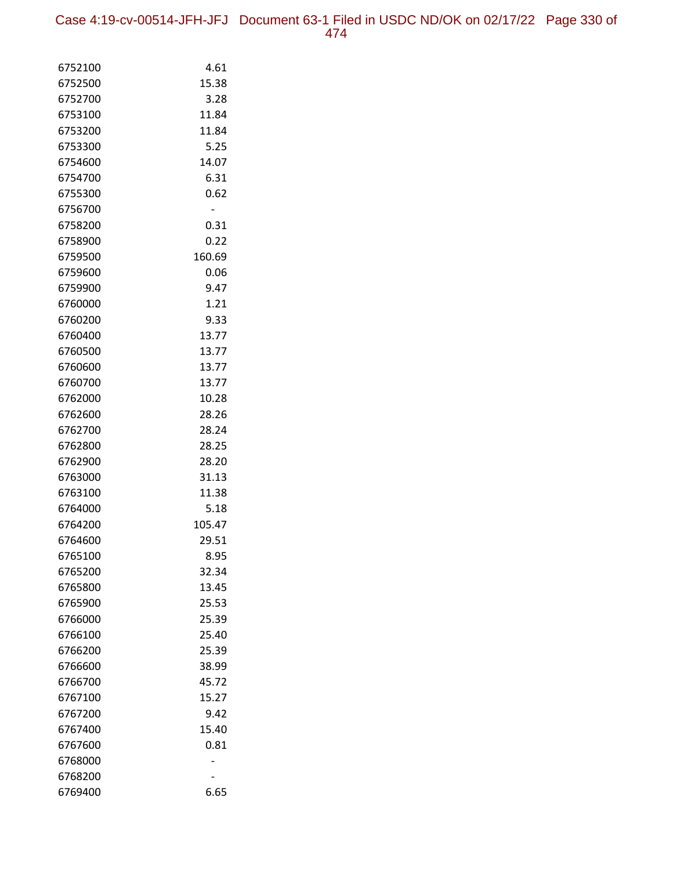Case 4:19-cv-00514-JFH-JFJ Document 63-1 Filed in USDC ND/OK on 02/17/22 Page 330 of 474

| 6752100 | 4.61   |
|---------|--------|
| 6752500 | 15.38  |
| 6752700 | 3.28   |
| 6753100 | 11.84  |
| 6753200 | 11.84  |
| 6753300 | 5.25   |
| 6754600 | 14.07  |
| 6754700 | 6.31   |
| 6755300 | 0.62   |
| 6756700 |        |
| 6758200 | 0.31   |
| 6758900 | 0.22   |
| 6759500 | 160.69 |
| 6759600 | 0.06   |
| 6759900 | 9.47   |
| 6760000 | 1.21   |
| 6760200 | 9.33   |
| 6760400 | 13.77  |
| 6760500 | 13.77  |
| 6760600 | 13.77  |
| 6760700 | 13.77  |
| 6762000 | 10.28  |
| 6762600 | 28.26  |
| 6762700 | 28.24  |
| 6762800 | 28.25  |
| 6762900 | 28.20  |
| 6763000 | 31.13  |
| 6763100 | 11.38  |
| 6764000 | 5.18   |
| 6764200 | 105.47 |
| 6764600 | 29.51  |
| 6765100 | 8.95   |
| 6765200 | 32.34  |
| 6765800 | 13.45  |
| 6765900 | 25.53  |
| 6766000 | 25.39  |
| 6766100 | 25.40  |
| 6766200 | 25.39  |
| 6766600 | 38.99  |
| 6766700 | 45.72  |
| 6767100 | 15.27  |
| 6767200 | 9.42   |
| 6767400 | 15.40  |
| 6767600 | 0.81   |
| 6768000 |        |
| 6768200 |        |
| 6769400 | 6.65   |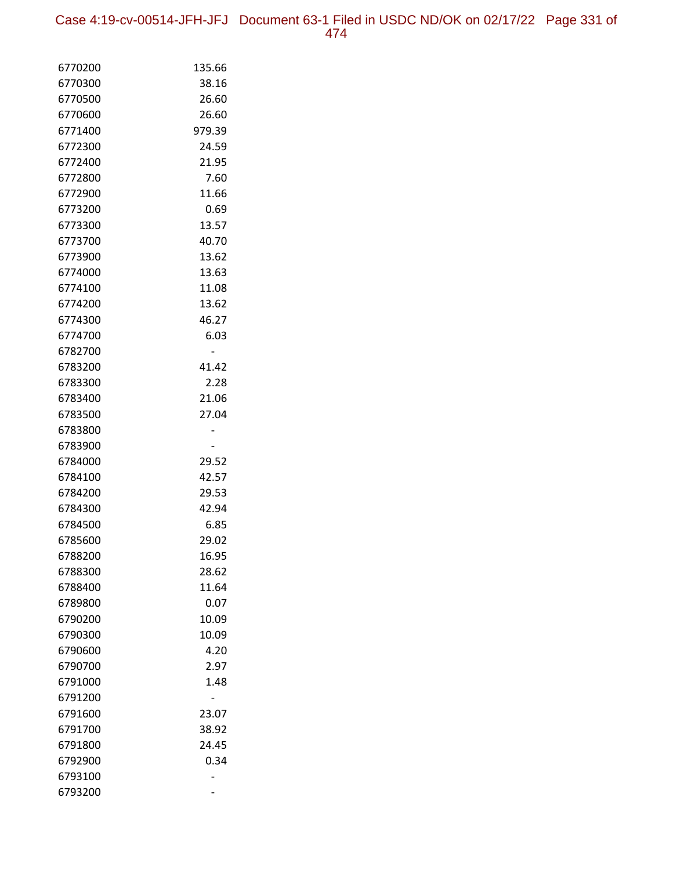Case 4:19-cv-00514-JFH-JFJ Document 63-1 Filed in USDC ND/OK on 02/17/22 Page 331 of 474

| 6770200            | 135.66         |
|--------------------|----------------|
| 6770300            | 38.16          |
| 6770500            | 26.60          |
| 6770600            | 26.60          |
| 6771400            | 979.39         |
| 6772300            | 24.59          |
| 6772400            | 21.95          |
| 6772800            | 7.60           |
| 6772900            | 11.66          |
| 6773200            | 0.69           |
| 6773300            | 13.57          |
| 6773700            | 40.70          |
| 6773900            | 13.62          |
| 6774000            | 13.63          |
| 6774100            | 11.08          |
| 6774200            | 13.62          |
| 6774300            | 46.27          |
| 6774700            | 6.03           |
| 6782700            |                |
| 6783200            | 41.42          |
| 6783300            | 2.28           |
| 6783400            | 21.06          |
| 6783500            | 27.04          |
| 6783800            |                |
| 6783900            |                |
| 6784000            | 29.52          |
| 6784100            | 42.57          |
| 6784200            | 29.53          |
| 6784300            | 42.94          |
| 6784500<br>6785600 | 6.85           |
| 6788200            | 29.02          |
| 6788300            | 16.95<br>28.62 |
| 6788400            | 11.64          |
| 6789800            | 0.07           |
| 6790200            | 10.09          |
| 6790300            | 10.09          |
| 6790600            | 4.20           |
| 6790700            | 2.97           |
| 6791000            | 1.48           |
| 6791200            |                |
| 6791600            | 23.07          |
| 6791700            | 38.92          |
| 6791800            | 24.45          |
| 6792900            | 0.34           |
| 6793100            |                |
| 6793200            |                |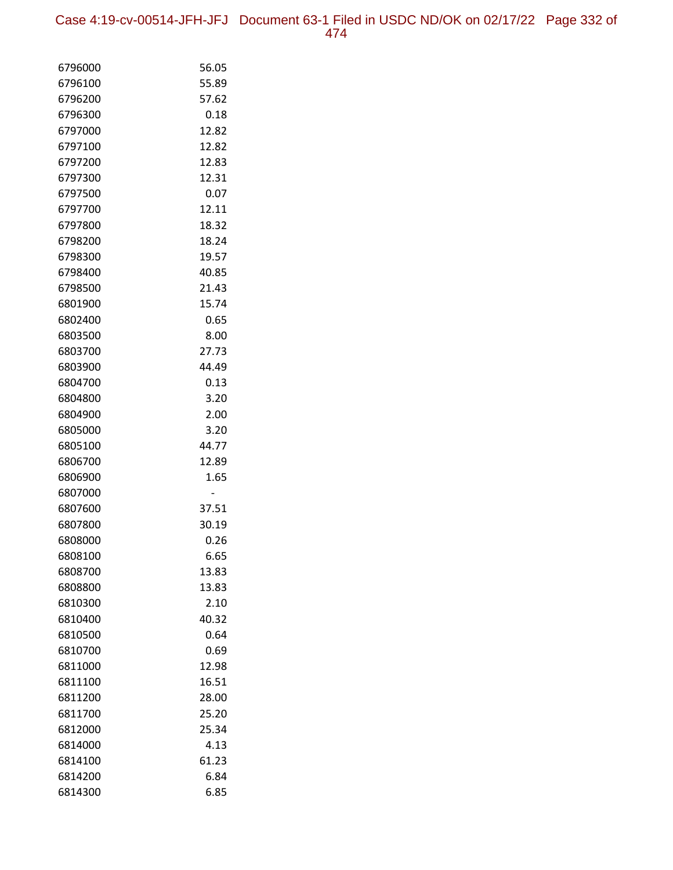Case 4:19-cv-00514-JFH-JFJ Document 63-1 Filed in USDC ND/OK on 02/17/22 Page 332 of 474

| 6796000            | 56.05          |
|--------------------|----------------|
| 6796100            | 55.89          |
| 6796200            | 57.62          |
| 6796300            | 0.18           |
| 6797000            | 12.82          |
| 6797100            | 12.82          |
| 6797200            | 12.83          |
| 6797300            | 12.31          |
| 6797500            | 0.07           |
| 6797700            | 12.11          |
| 6797800            | 18.32          |
| 6798200            | 18.24          |
| 6798300            | 19.57          |
| 6798400            | 40.85          |
| 6798500            | 21.43          |
| 6801900            | 15.74          |
| 6802400            | 0.65           |
| 6803500            | 8.00           |
| 6803700            | 27.73          |
| 6803900            | 44.49          |
| 6804700            | 0.13           |
| 6804800            | 3.20           |
| 6804900            | 2.00           |
| 6805000            | 3.20           |
| 6805100            | 44.77          |
| 6806700            | 12.89          |
| 6806900            | 1.65           |
| 6807000            |                |
| 6807600<br>6807800 | 37.51<br>30.19 |
| 6808000            | 0.26           |
| 6808100            | 6.65           |
| 6808700            | 13.83          |
| 6808800            | 13.83          |
| 6810300            | 2.10           |
| 6810400            | 40.32          |
| 6810500            | 0.64           |
| 6810700            | 0.69           |
| 6811000            | 12.98          |
| 6811100            | 16.51          |
| 6811200            | 28.00          |
| 6811700            | 25.20          |
| 6812000            | 25.34          |
| 6814000            | 4.13           |
| 6814100            | 61.23          |
| 6814200            | 6.84           |
| 6814300            | 6.85           |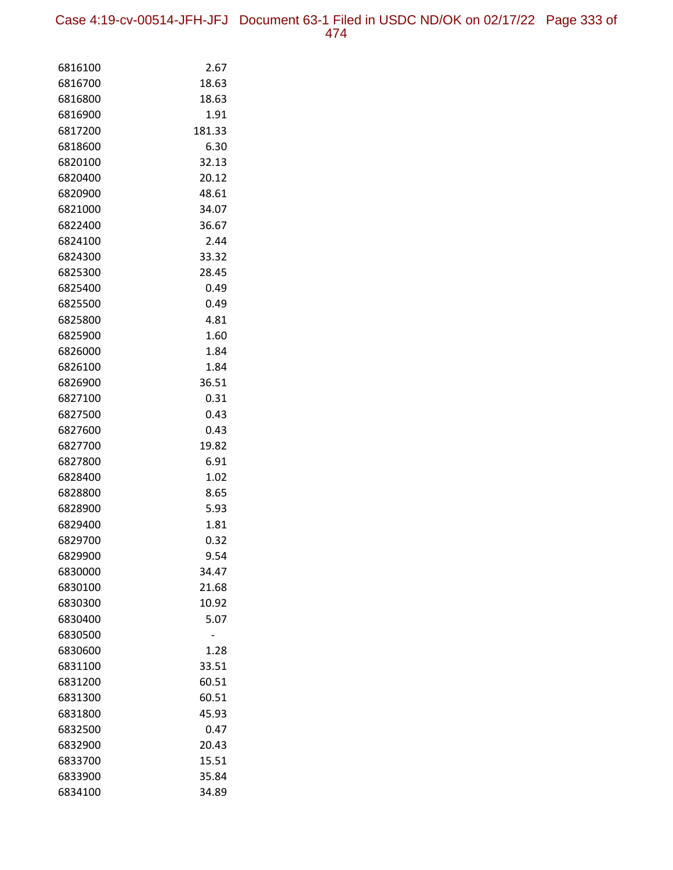Case 4:19-cv-00514-JFH-JFJ Document 63-1 Filed in USDC ND/OK on 02/17/22 Page 333 of 474

| 6816100 | 2.67   |
|---------|--------|
| 6816700 | 18.63  |
| 6816800 | 18.63  |
| 6816900 | 1.91   |
| 6817200 | 181.33 |
| 6818600 | 6.30   |
| 6820100 | 32.13  |
| 6820400 | 20.12  |
| 6820900 | 48.61  |
| 6821000 | 34.07  |
| 6822400 | 36.67  |
| 6824100 | 2.44   |
| 6824300 | 33.32  |
| 6825300 | 28.45  |
| 6825400 | 0.49   |
| 6825500 | 0.49   |
| 6825800 | 4.81   |
| 6825900 | 1.60   |
| 6826000 | 1.84   |
| 6826100 | 1.84   |
| 6826900 | 36.51  |
| 6827100 | 0.31   |
| 6827500 | 0.43   |
| 6827600 | 0.43   |
| 6827700 | 19.82  |
| 6827800 | 6.91   |
| 6828400 | 1.02   |
| 6828800 | 8.65   |
| 6828900 | 5.93   |
| 6829400 | 1.81   |
| 6829700 | 0.32   |
| 6829900 | 9.54   |
| 6830000 | 34.47  |
| 6830100 | 21.68  |
| 6830300 | 10.92  |
| 6830400 | 5.07   |
| 6830500 |        |
| 6830600 | 1.28   |
| 6831100 | 33.51  |
| 6831200 | 60.51  |
| 6831300 | 60.51  |
| 6831800 | 45.93  |
| 6832500 | 0.47   |
| 6832900 | 20.43  |
| 6833700 | 15.51  |
| 6833900 | 35.84  |
| 6834100 | 34.89  |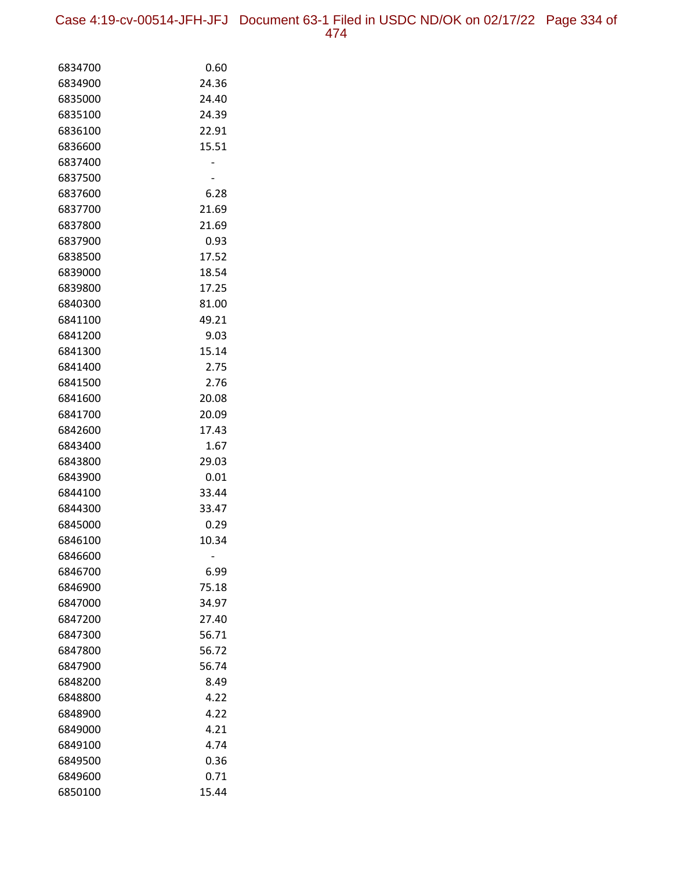Case 4:19-cv-00514-JFH-JFJ Document 63-1 Filed in USDC ND/OK on 02/17/22 Page 334 of 474

| 6834700            | 0.60          |
|--------------------|---------------|
| 6834900            | 24.36         |
| 6835000            | 24.40         |
| 6835100            | 24.39         |
| 6836100            | 22.91         |
| 6836600            | 15.51         |
| 6837400            |               |
| 6837500            |               |
| 6837600            | 6.28          |
| 6837700            | 21.69         |
| 6837800            | 21.69         |
| 6837900            | 0.93          |
| 6838500            | 17.52         |
| 6839000            | 18.54         |
| 6839800            | 17.25         |
| 6840300            | 81.00         |
| 6841100            | 49.21         |
| 6841200            | 9.03          |
| 6841300            | 15.14         |
| 6841400            | 2.75          |
| 6841500            | 2.76          |
| 6841600            | 20.08         |
| 6841700            | 20.09         |
| 6842600            | 17.43         |
| 6843400            | 1.67          |
| 6843800            | 29.03         |
| 6843900            | 0.01          |
| 6844100            | 33.44         |
| 6844300            | 33.47         |
| 6845000            | 0.29          |
| 6846100            | 10.34         |
| 6846600<br>6846700 |               |
| 6846900            | 6.99<br>75.18 |
| 6847000            | 34.97         |
| 6847200            | 27.40         |
| 6847300            | 56.71         |
| 6847800            | 56.72         |
| 6847900            | 56.74         |
| 6848200            | 8.49          |
| 6848800            | 4.22          |
| 6848900            | 4.22          |
| 6849000            | 4.21          |
| 6849100            | 4.74          |
| 6849500            | 0.36          |
| 6849600            | 0.71          |
| 6850100            | 15.44         |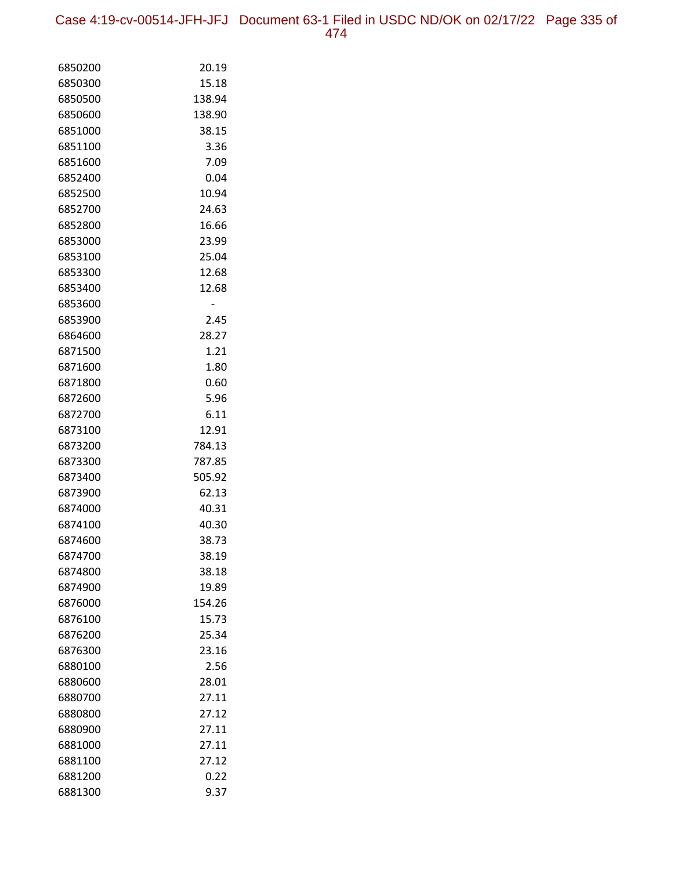Case 4:19-cv-00514-JFH-JFJ Document 63-1 Filed in USDC ND/OK on 02/17/22 Page 335 of 474

| 6850200 | 20.19  |
|---------|--------|
| 6850300 | 15.18  |
| 6850500 | 138.94 |
| 6850600 | 138.90 |
| 6851000 | 38.15  |
| 6851100 | 3.36   |
| 6851600 | 7.09   |
| 6852400 | 0.04   |
| 6852500 | 10.94  |
| 6852700 | 24.63  |
| 6852800 | 16.66  |
| 6853000 | 23.99  |
| 6853100 | 25.04  |
| 6853300 | 12.68  |
| 6853400 | 12.68  |
| 6853600 | -      |
| 6853900 | 2.45   |
| 6864600 | 28.27  |
| 6871500 | 1.21   |
| 6871600 | 1.80   |
| 6871800 | 0.60   |
| 6872600 | 5.96   |
| 6872700 | 6.11   |
| 6873100 | 12.91  |
| 6873200 | 784.13 |
| 6873300 | 787.85 |
| 6873400 | 505.92 |
| 6873900 | 62.13  |
| 6874000 | 40.31  |
| 6874100 | 40.30  |
| 6874600 | 38.73  |
| 6874700 | 38.19  |
| 6874800 | 38.18  |
| 6874900 | 19.89  |
| 6876000 | 154.26 |
| 6876100 | 15.73  |
| 6876200 | 25.34  |
| 6876300 | 23.16  |
| 6880100 | 2.56   |
| 6880600 | 28.01  |
| 6880700 | 27.11  |
| 6880800 | 27.12  |
| 6880900 | 27.11  |
| 6881000 | 27.11  |
| 6881100 | 27.12  |
| 6881200 | 0.22   |
| 6881300 | 9.37   |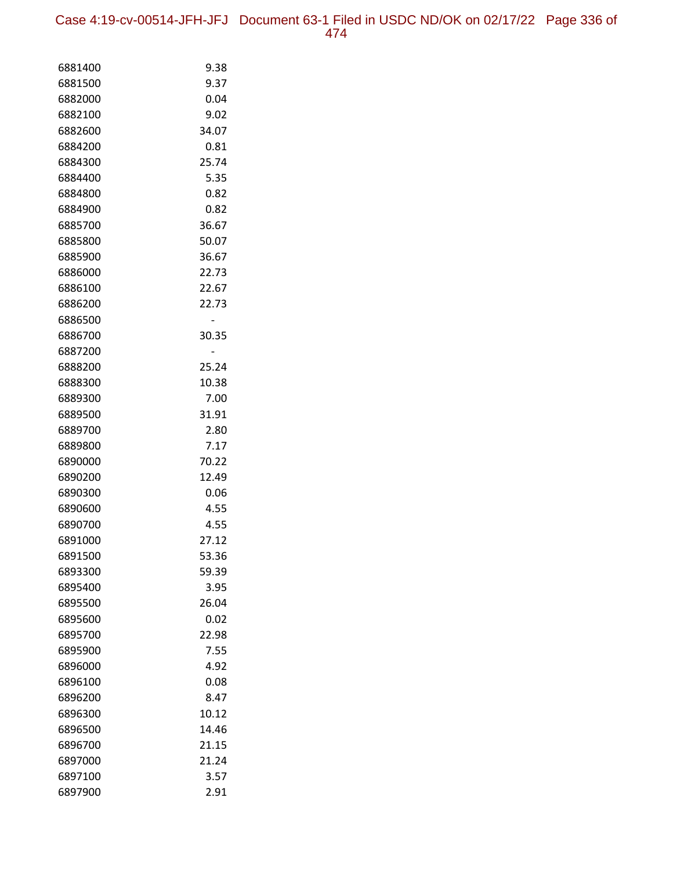Case 4:19-cv-00514-JFH-JFJ Document 63-1 Filed in USDC ND/OK on 02/17/22 Page 336 of 474

| 6881400            | 9.38          |
|--------------------|---------------|
| 6881500            | 9.37          |
| 6882000            | 0.04          |
| 6882100            | 9.02          |
| 6882600            | 34.07         |
| 6884200            | 0.81          |
| 6884300            | 25.74         |
| 6884400            | 5.35          |
| 6884800            | 0.82          |
| 6884900            | 0.82          |
| 6885700            | 36.67         |
| 6885800            | 50.07         |
| 6885900            | 36.67         |
| 6886000            | 22.73         |
| 6886100            | 22.67         |
| 6886200            | 22.73         |
| 6886500            |               |
| 6886700            | 30.35         |
| 6887200            |               |
| 6888200            | 25.24         |
| 6888300            | 10.38         |
| 6889300            | 7.00          |
| 6889500            | 31.91         |
| 6889700            | 2.80          |
| 6889800            | 7.17          |
| 6890000            | 70.22         |
| 6890200<br>6890300 | 12.49<br>0.06 |
| 6890600            | 4.55          |
| 6890700            | 4.55          |
| 6891000            | 27.12         |
| 6891500            | 53.36         |
| 6893300            | 59.39         |
| 6895400            | 3.95          |
| 6895500            | 26.04         |
| 6895600            | 0.02          |
| 6895700            | 22.98         |
| 6895900            | 7.55          |
| 6896000            | 4.92          |
| 6896100            | 0.08          |
| 6896200            | 8.47          |
| 6896300            | 10.12         |
| 6896500            | 14.46         |
| 6896700            | 21.15         |
| 6897000            | 21.24         |
| 6897100            | 3.57          |
| 6897900            | 2.91          |
|                    |               |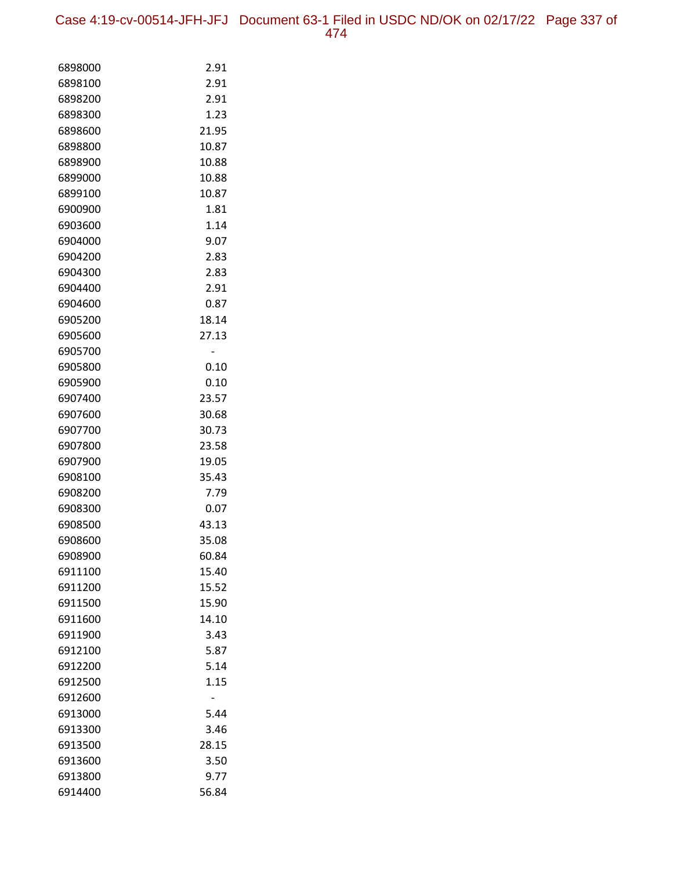Case 4:19-cv-00514-JFH-JFJ Document 63-1 Filed in USDC ND/OK on 02/17/22 Page 337 of 474

| 6898000 | 2.91  |
|---------|-------|
| 6898100 | 2.91  |
| 6898200 | 2.91  |
| 6898300 | 1.23  |
| 6898600 | 21.95 |
| 6898800 | 10.87 |
| 6898900 | 10.88 |
| 6899000 | 10.88 |
| 6899100 | 10.87 |
| 6900900 | 1.81  |
| 6903600 | 1.14  |
| 6904000 | 9.07  |
| 6904200 | 2.83  |
| 6904300 | 2.83  |
| 6904400 | 2.91  |
| 6904600 | 0.87  |
| 6905200 | 18.14 |
| 6905600 | 27.13 |
| 6905700 |       |
| 6905800 | 0.10  |
| 6905900 | 0.10  |
| 6907400 | 23.57 |
| 6907600 | 30.68 |
| 6907700 | 30.73 |
| 6907800 | 23.58 |
| 6907900 | 19.05 |
| 6908100 | 35.43 |
| 6908200 | 7.79  |
| 6908300 | 0.07  |
| 6908500 | 43.13 |
| 6908600 | 35.08 |
| 6908900 | 60.84 |
| 6911100 | 15.40 |
| 6911200 | 15.52 |
| 6911500 | 15.90 |
| 6911600 | 14.10 |
| 6911900 | 3.43  |
| 6912100 | 5.87  |
| 6912200 | 5.14  |
| 6912500 | 1.15  |
| 6912600 |       |
| 6913000 | 5.44  |
| 6913300 | 3.46  |
| 6913500 | 28.15 |
| 6913600 | 3.50  |
| 6913800 | 9.77  |
| 6914400 | 56.84 |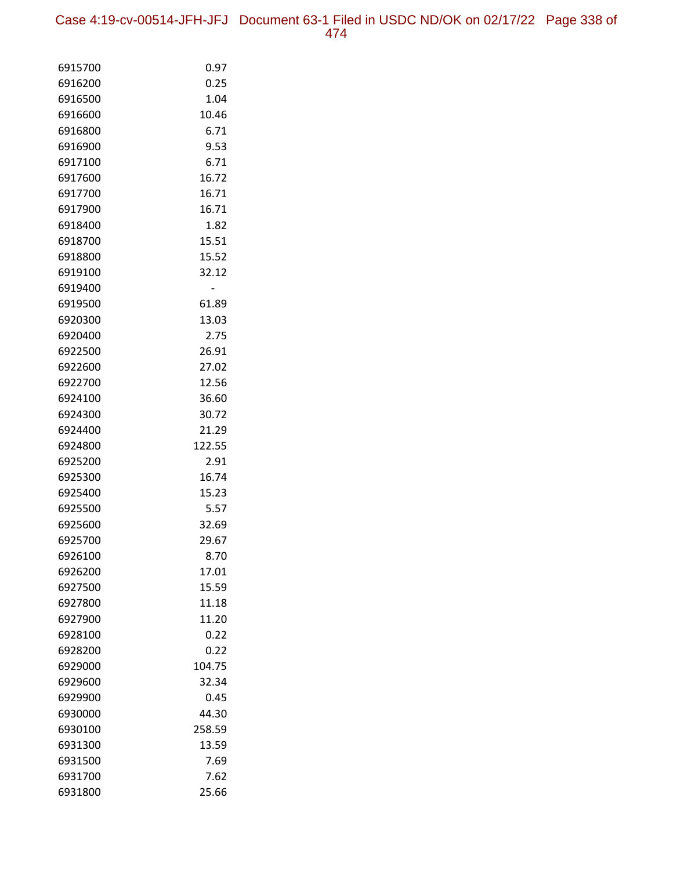Case 4:19-cv-00514-JFH-JFJ Document 63-1 Filed in USDC ND/OK on 02/17/22 Page 338 of 474

| 6915700            | 0.97           |
|--------------------|----------------|
| 6916200            | 0.25           |
| 6916500            | 1.04           |
| 6916600            | 10.46          |
| 6916800            | 6.71           |
| 6916900            | 9.53           |
| 6917100            | 6.71           |
| 6917600            | 16.72          |
| 6917700            | 16.71          |
| 6917900            | 16.71          |
| 6918400            | 1.82           |
| 6918700            | 15.51          |
| 6918800            | 15.52          |
| 6919100            | 32.12          |
| 6919400            |                |
| 6919500            | 61.89          |
| 6920300            | 13.03          |
| 6920400            | 2.75           |
| 6922500            | 26.91          |
| 6922600            | 27.02          |
| 6922700            | 12.56          |
| 6924100            | 36.60          |
| 6924300            | 30.72          |
| 6924400            | 21.29          |
| 6924800            | 122.55         |
| 6925200            | 2.91           |
| 6925300            | 16.74          |
| 6925400            | 15.23          |
| 6925500            | 5.57           |
| 6925600<br>6925700 | 32.69<br>29.67 |
| 6926100            |                |
| 6926200            | 8.70<br>17.01  |
| 6927500            | 15.59          |
| 6927800            | 11.18          |
| 6927900            | 11.20          |
| 6928100            | 0.22           |
| 6928200            | 0.22           |
| 6929000            | 104.75         |
| 6929600            | 32.34          |
| 6929900            | 0.45           |
| 6930000            | 44.30          |
| 6930100            | 258.59         |
| 6931300            | 13.59          |
| 6931500            | 7.69           |
| 6931700            | 7.62           |
| 6931800            | 25.66          |
|                    |                |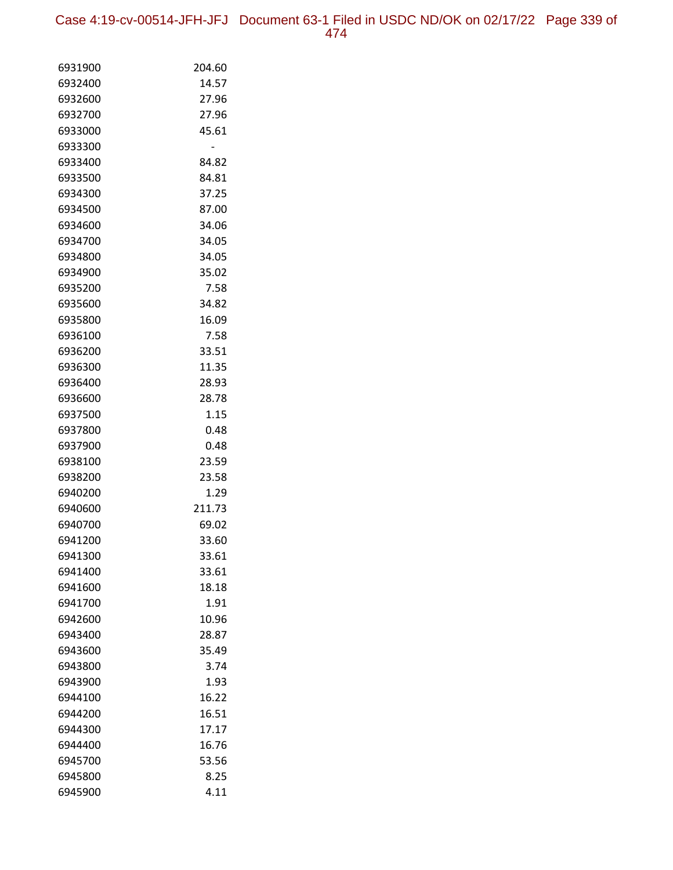Case 4:19-cv-00514-JFH-JFJ Document 63-1 Filed in USDC ND/OK on 02/17/22 Page 339 of 474

| 6931900            | 204.60         |
|--------------------|----------------|
| 6932400            | 14.57          |
| 6932600            | 27.96          |
| 6932700            | 27.96          |
| 6933000            | 45.61          |
| 6933300            |                |
| 6933400            | 84.82          |
| 6933500            | 84.81          |
| 6934300            | 37.25          |
| 6934500            | 87.00          |
| 6934600            | 34.06          |
| 6934700            | 34.05          |
| 6934800            | 34.05          |
| 6934900            | 35.02          |
| 6935200            | 7.58           |
| 6935600            | 34.82          |
| 6935800            | 16.09          |
| 6936100            | 7.58           |
| 6936200            | 33.51          |
| 6936300            | 11.35          |
| 6936400            | 28.93          |
| 6936600            | 28.78          |
| 6937500            | 1.15           |
| 6937800            | 0.48           |
| 6937900            | 0.48           |
| 6938100            | 23.59          |
| 6938200            | 23.58          |
| 6940200            | 1.29           |
| 6940600            | 211.73         |
| 6940700            | 69.02          |
| 6941200            | 33.60          |
| 6941300            | 33.61          |
| 6941400            | 33.61          |
| 6941600            | 18.18          |
| 6941700            | 1.91           |
| 6942600            | 10.96          |
| 6943400            | 28.87          |
| 6943600            | 35.49          |
| 6943800<br>6943900 | 3.74           |
|                    | 1.93           |
| 6944100            | 16.22          |
| 6944200            | 16.51          |
| 6944300            | 17.17          |
| 6944400<br>6945700 | 16.76<br>53.56 |
|                    |                |
| 6945800            | 8.25           |
| 6945900            | 4.11           |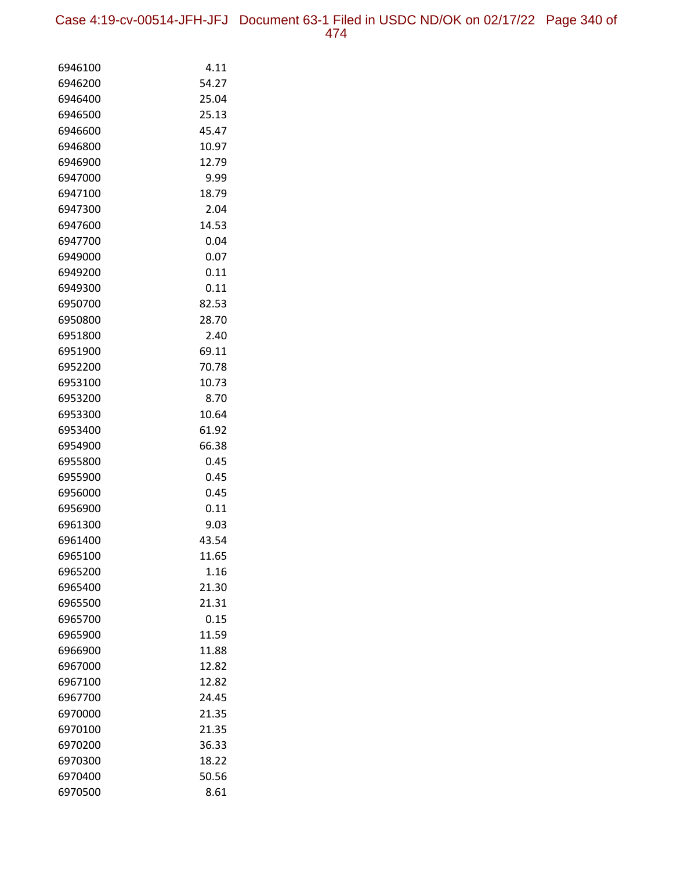Case 4:19-cv-00514-JFH-JFJ Document 63-1 Filed in USDC ND/OK on 02/17/22 Page 340 of 474

| 6946100            | 4.11          |
|--------------------|---------------|
| 6946200            | 54.27         |
| 6946400            | 25.04         |
| 6946500            | 25.13         |
| 6946600            | 45.47         |
| 6946800            | 10.97         |
| 6946900            | 12.79         |
| 6947000            | 9.99          |
| 6947100            | 18.79         |
| 6947300            | 2.04          |
| 6947600            | 14.53         |
| 6947700            | 0.04          |
| 6949000            | 0.07          |
| 6949200            | 0.11          |
| 6949300            | 0.11          |
| 6950700            | 82.53         |
| 6950800            | 28.70         |
| 6951800            | 2.40          |
| 6951900            | 69.11         |
| 6952200            | 70.78         |
| 6953100            | 10.73         |
| 6953200            | 8.70          |
| 6953300            | 10.64         |
| 6953400            | 61.92         |
| 6954900<br>6955800 | 66.38<br>0.45 |
| 6955900            | 0.45          |
| 6956000            | 0.45          |
| 6956900            | 0.11          |
| 6961300            | 9.03          |
| 6961400            | 43.54         |
| 6965100            | 11.65         |
| 6965200            | 1.16          |
| 6965400            | 21.30         |
| 6965500            | 21.31         |
| 6965700            | 0.15          |
| 6965900            | 11.59         |
| 6966900            | 11.88         |
| 6967000            | 12.82         |
| 6967100            | 12.82         |
| 6967700            | 24.45         |
| 6970000            | 21.35         |
| 6970100            | 21.35         |
| 6970200            | 36.33         |
| 6970300            | 18.22         |
| 6970400            | 50.56         |
| 6970500            | 8.61          |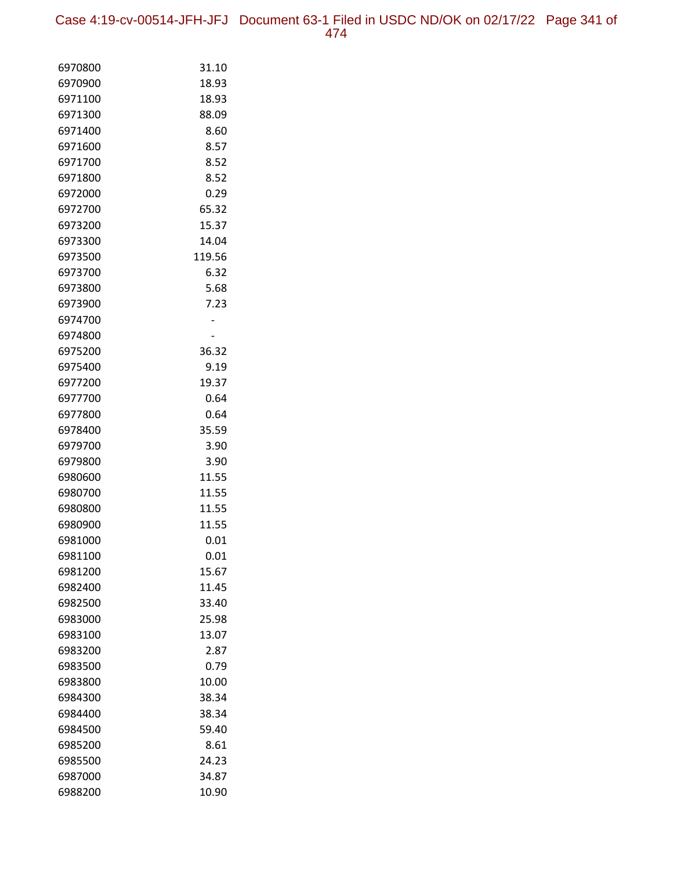Case 4:19-cv-00514-JFH-JFJ Document 63-1 Filed in USDC ND/OK on 02/17/22 Page 341 of 474

| 6970800            | 31.10         |
|--------------------|---------------|
| 6970900            | 18.93         |
| 6971100            | 18.93         |
| 6971300            | 88.09         |
| 6971400            | 8.60          |
| 6971600            | 8.57          |
| 6971700            | 8.52          |
| 6971800            | 8.52          |
| 6972000            | 0.29          |
| 6972700            | 65.32         |
| 6973200            | 15.37         |
| 6973300            | 14.04         |
| 6973500            | 119.56        |
| 6973700            | 6.32          |
| 6973800            | 5.68          |
| 6973900            | 7.23          |
| 6974700            |               |
| 6974800            |               |
| 6975200            | 36.32         |
| 6975400            | 9.19          |
| 6977200            | 19.37         |
| 6977700            | 0.64          |
| 6977800            | 0.64          |
| 6978400            | 35.59         |
| 6979700            | 3.90          |
| 6979800            | 3.90          |
| 6980600            | 11.55         |
| 6980700            | 11.55         |
| 6980800<br>6980900 | 11.55         |
| 6981000            | 11.55<br>0.01 |
| 6981100            | 0.01          |
| 6981200            | 15.67         |
| 6982400            | 11.45         |
| 6982500            | 33.40         |
| 6983000            | 25.98         |
| 6983100            | 13.07         |
| 6983200            | 2.87          |
| 6983500            | 0.79          |
| 6983800            | 10.00         |
| 6984300            | 38.34         |
| 6984400            | 38.34         |
| 6984500            | 59.40         |
| 6985200            | 8.61          |
| 6985500            | 24.23         |
| 6987000            | 34.87         |
| 6988200            | 10.90         |
|                    |               |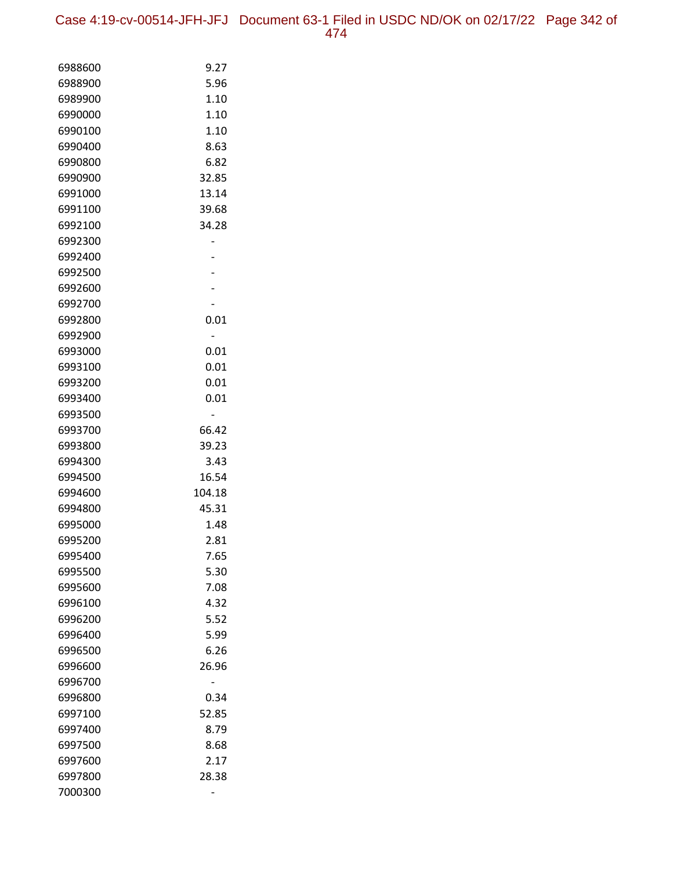| 6988600 | 9.27   |
|---------|--------|
| 6988900 | 5.96   |
| 6989900 | 1.10   |
| 6990000 | 1.10   |
| 6990100 | 1.10   |
| 6990400 | 8.63   |
| 6990800 | 6.82   |
| 6990900 | 32.85  |
| 6991000 | 13.14  |
| 6991100 | 39.68  |
| 6992100 | 34.28  |
| 6992300 |        |
| 6992400 |        |
| 6992500 |        |
| 6992600 |        |
| 6992700 |        |
| 6992800 | 0.01   |
| 6992900 |        |
| 6993000 | 0.01   |
| 6993100 | 0.01   |
| 6993200 | 0.01   |
| 6993400 | 0.01   |
| 6993500 |        |
| 6993700 | 66.42  |
| 6993800 | 39.23  |
| 6994300 | 3.43   |
| 6994500 | 16.54  |
| 6994600 | 104.18 |
| 6994800 | 45.31  |
| 6995000 | 1.48   |
| 6995200 | 2.81   |
| 6995400 | 7.65   |
| 6995500 | 5.30   |
| 6995600 | 7.08   |
| 6996100 | 4.32   |
| 6996200 | 5.52   |
| 6996400 | 5.99   |
| 6996500 | 6.26   |
| 6996600 | 26.96  |
| 6996700 |        |
| 6996800 | 0.34   |
| 6997100 | 52.85  |
| 6997400 | 8.79   |
| 6997500 | 8.68   |
| 6997600 | 2.17   |
| 6997800 | 28.38  |
| 7000300 |        |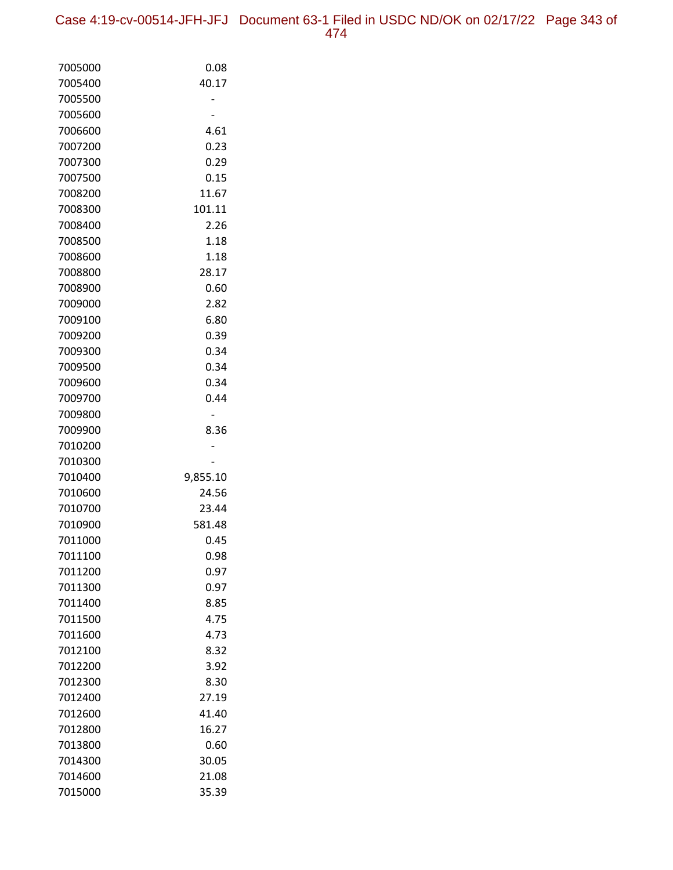| 7005000 | 0.08     |
|---------|----------|
| 7005400 | 40.17    |
| 7005500 |          |
| 7005600 |          |
| 7006600 | 4.61     |
| 7007200 | 0.23     |
| 7007300 | 0.29     |
| 7007500 | 0.15     |
| 7008200 | 11.67    |
| 7008300 | 101.11   |
| 7008400 | 2.26     |
| 7008500 | 1.18     |
| 7008600 | 1.18     |
| 7008800 | 28.17    |
| 7008900 | 0.60     |
| 7009000 | 2.82     |
| 7009100 | 6.80     |
| 7009200 | 0.39     |
| 7009300 | 0.34     |
| 7009500 | 0.34     |
| 7009600 | 0.34     |
| 7009700 | 0.44     |
| 7009800 |          |
| 7009900 | 8.36     |
| 7010200 |          |
| 7010300 |          |
| 7010400 | 9,855.10 |
| 7010600 | 24.56    |
| 7010700 | 23.44    |
| 7010900 | 581.48   |
| 7011000 | 0.45     |
| 7011100 | 0.98     |
| 7011200 | 0.97     |
| 7011300 | 0.97     |
| 7011400 | 8.85     |
| 7011500 | 4.75     |
| 7011600 | 4.73     |
| 7012100 | 8.32     |
| 7012200 | 3.92     |
| 7012300 | 8.30     |
| 7012400 | 27.19    |
| 7012600 | 41.40    |
| 7012800 | 16.27    |
| 7013800 | 0.60     |
| 7014300 | 30.05    |
| 7014600 | 21.08    |
| 7015000 | 35.39    |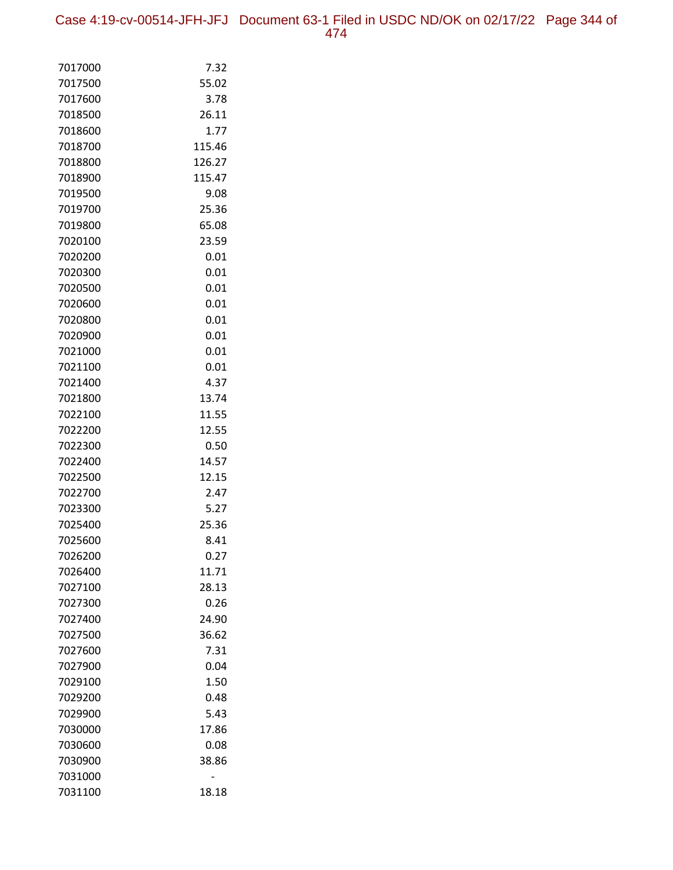Case 4:19-cv-00514-JFH-JFJ Document 63-1 Filed in USDC ND/OK on 02/17/22 Page 344 of 474

| 7017000            | 7.32           |
|--------------------|----------------|
| 7017500            | 55.02          |
| 7017600            | 3.78           |
| 7018500            | 26.11          |
| 7018600            | 1.77           |
| 7018700            | 115.46         |
| 7018800            | 126.27         |
| 7018900            | 115.47         |
| 7019500            | 9.08           |
| 7019700            | 25.36          |
| 7019800            | 65.08          |
| 7020100            | 23.59          |
| 7020200            | 0.01           |
| 7020300            | 0.01           |
| 7020500            | 0.01           |
| 7020600            | 0.01           |
| 7020800            | 0.01           |
| 7020900            | 0.01           |
| 7021000            | 0.01           |
| 7021100            | 0.01           |
| 7021400            | 4.37           |
| 7021800            | 13.74          |
| 7022100<br>7022200 | 11.55<br>12.55 |
| 7022300            | 0.50           |
| 7022400            | 14.57          |
| 7022500            | 12.15          |
| 7022700            | 2.47           |
| 7023300            | 5.27           |
| 7025400            | 25.36          |
| 7025600            | 8.41           |
| 7026200            | 0.27           |
| 7026400            | 11.71          |
| 7027100            | 28.13          |
| 7027300            | 0.26           |
| 7027400            | 24.90          |
| 7027500            | 36.62          |
| 7027600            | 7.31           |
| 7027900            | 0.04           |
| 7029100            | 1.50           |
| 7029200            | 0.48           |
| 7029900            | 5.43           |
| 7030000            | 17.86          |
| 7030600            | 0.08           |
| 7030900            | 38.86          |
| 7031000            |                |
| 7031100            | 18.18          |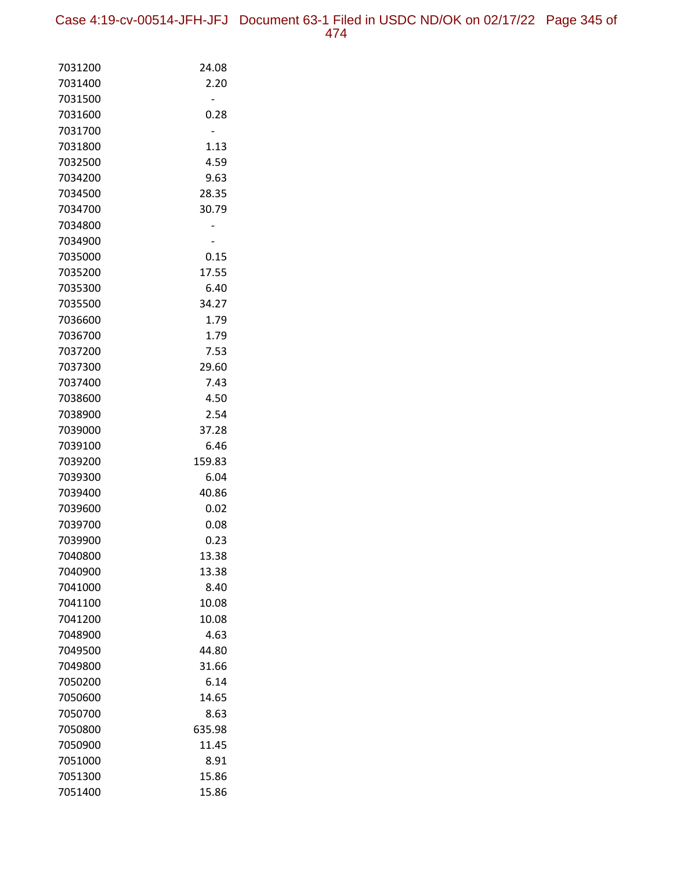Case 4:19-cv-00514-JFH-JFJ Document 63-1 Filed in USDC ND/OK on 02/17/22 Page 345 of 474

| 7031200            | 24.08         |
|--------------------|---------------|
| 7031400            | 2.20          |
| 7031500            |               |
| 7031600            | 0.28          |
| 7031700            |               |
| 7031800            | 1.13          |
| 7032500            | 4.59          |
| 7034200            | 9.63          |
| 7034500            | 28.35         |
| 7034700            | 30.79         |
| 7034800            |               |
| 7034900            |               |
| 7035000            | 0.15          |
| 7035200            | 17.55         |
| 7035300            | 6.40          |
| 7035500            | 34.27         |
| 7036600            | 1.79          |
| 7036700            | 1.79          |
| 7037200            | 7.53          |
| 7037300            | 29.60         |
| 7037400            | 7.43          |
| 7038600            | 4.50          |
| 7038900            | 2.54          |
| 7039000            | 37.28         |
| 7039100            | 6.46          |
| 7039200            | 159.83        |
| 7039300            | 6.04          |
| 7039400            | 40.86         |
| 7039600            | 0.02          |
| 7039700            | 0.08          |
| 7039900            | 0.23          |
| 7040800            | 13.38         |
| 7040900<br>7041000 | 13.38<br>8.40 |
| 7041100            | 10.08         |
| 7041200            | 10.08         |
| 7048900            | 4.63          |
| 7049500            | 44.80         |
| 7049800            | 31.66         |
| 7050200            | 6.14          |
| 7050600            | 14.65         |
| 7050700            | 8.63          |
| 7050800            | 635.98        |
| 7050900            | 11.45         |
| 7051000            | 8.91          |
| 7051300            | 15.86         |
| 7051400            | 15.86         |
|                    |               |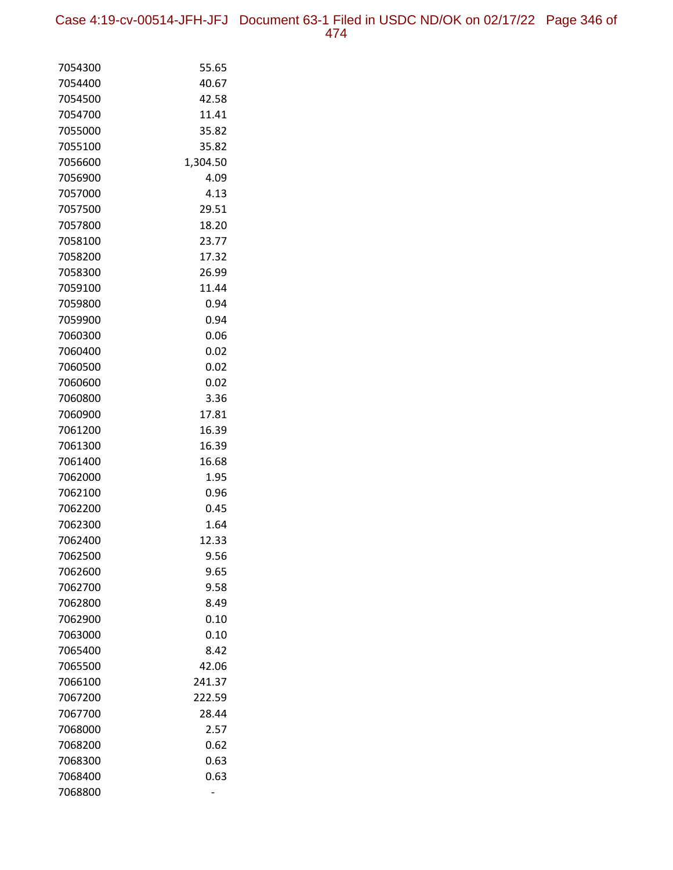Case 4:19-cv-00514-JFH-JFJ Document 63-1 Filed in USDC ND/OK on 02/17/22 Page 346 of 474

| 7054300 | 55.65    |
|---------|----------|
| 7054400 | 40.67    |
| 7054500 | 42.58    |
| 7054700 | 11.41    |
| 7055000 | 35.82    |
| 7055100 | 35.82    |
| 7056600 | 1,304.50 |
| 7056900 | 4.09     |
| 7057000 | 4.13     |
| 7057500 | 29.51    |
| 7057800 | 18.20    |
| 7058100 | 23.77    |
| 7058200 | 17.32    |
| 7058300 | 26.99    |
| 7059100 | 11.44    |
| 7059800 | 0.94     |
| 7059900 | 0.94     |
| 7060300 | 0.06     |
| 7060400 | 0.02     |
| 7060500 | 0.02     |
| 7060600 | 0.02     |
| 7060800 | 3.36     |
| 7060900 | 17.81    |
| 7061200 | 16.39    |
| 7061300 | 16.39    |
| 7061400 | 16.68    |
| 7062000 | 1.95     |
| 7062100 | 0.96     |
| 7062200 | 0.45     |
| 7062300 | 1.64     |
| 7062400 | 12.33    |
| 7062500 | 9.56     |
| 7062600 | 9.65     |
| 7062700 | 9.58     |
| 7062800 | 8.49     |
| 7062900 | 0.10     |
| 7063000 | 0.10     |
| 7065400 | 8.42     |
| 7065500 | 42.06    |
| 7066100 | 241.37   |
| 7067200 | 222.59   |
| 7067700 | 28.44    |
| 7068000 | 2.57     |
| 7068200 | 0.62     |
| 7068300 | 0.63     |
| 7068400 | 0.63     |
| 7068800 |          |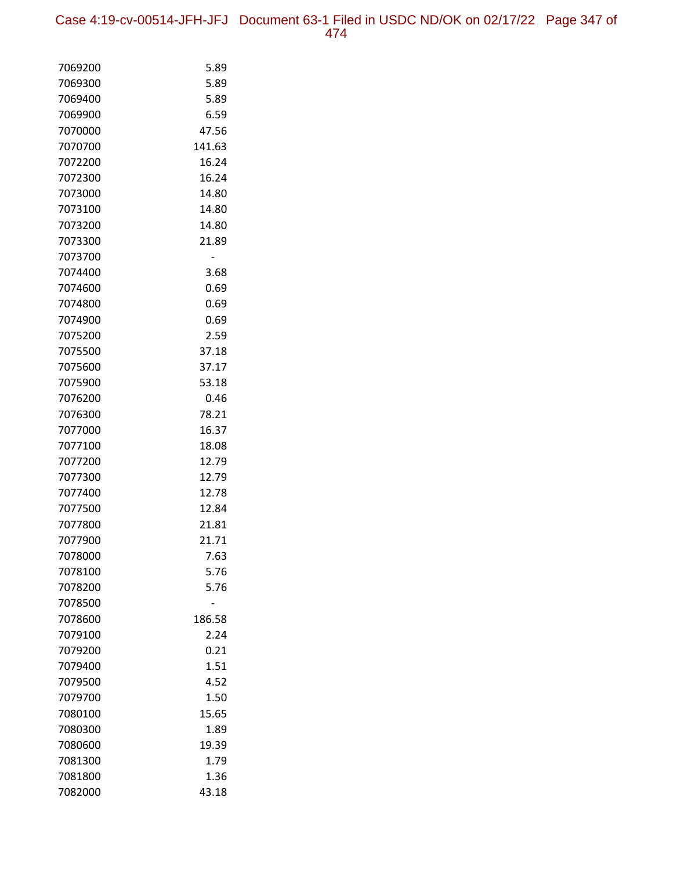| 7069200 | 5.89   |
|---------|--------|
| 7069300 | 5.89   |
| 7069400 | 5.89   |
| 7069900 | 6.59   |
| 7070000 | 47.56  |
| 7070700 | 141.63 |
| 7072200 | 16.24  |
| 7072300 | 16.24  |
| 7073000 | 14.80  |
| 7073100 | 14.80  |
| 7073200 | 14.80  |
| 7073300 | 21.89  |
| 7073700 |        |
| 7074400 | 3.68   |
| 7074600 | 0.69   |
| 7074800 | 0.69   |
| 7074900 | 0.69   |
| 7075200 | 2.59   |
| 7075500 | 37.18  |
| 7075600 | 37.17  |
| 7075900 | 53.18  |
| 7076200 | 0.46   |
| 7076300 | 78.21  |
| 7077000 | 16.37  |
| 7077100 | 18.08  |
| 7077200 | 12.79  |
| 7077300 | 12.79  |
| 7077400 | 12.78  |
| 7077500 | 12.84  |
| 7077800 | 21.81  |
| 7077900 | 21.71  |
| 7078000 | 7.63   |
| 7078100 | 5.76   |
| 7078200 | 5.76   |
| 7078500 |        |
| 7078600 | 186.58 |
| 7079100 | 2.24   |
| 7079200 | 0.21   |
| 7079400 | 1.51   |
| 7079500 | 4.52   |
| 7079700 | 1.50   |
| 7080100 | 15.65  |
| 7080300 | 1.89   |
| 7080600 | 19.39  |
| 7081300 | 1.79   |
| 7081800 | 1.36   |
| 7082000 | 43.18  |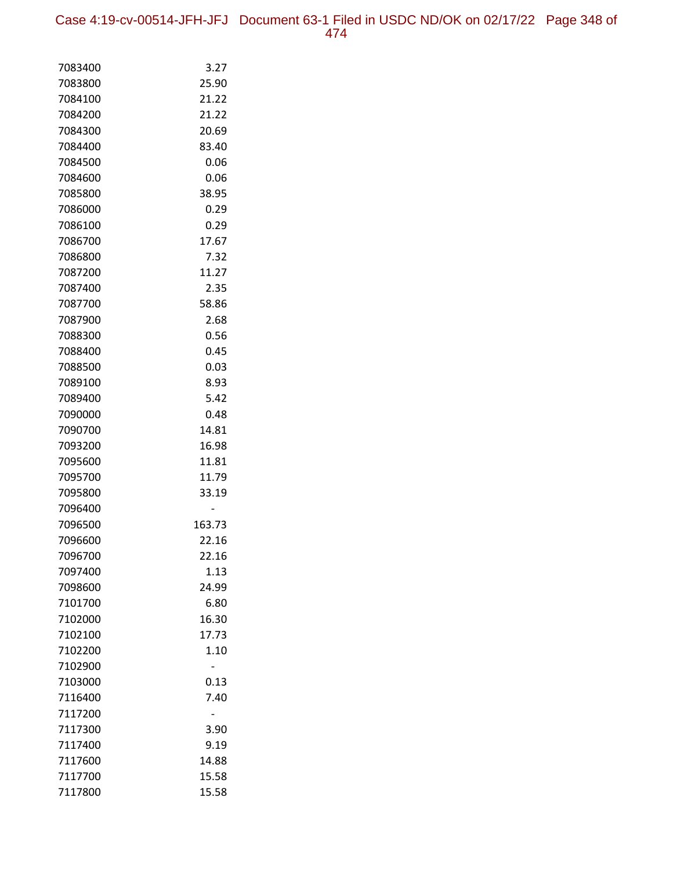Case 4:19-cv-00514-JFH-JFJ Document 63-1 Filed in USDC ND/OK on 02/17/22 Page 348 of 474

| 7083400            | 3.27           |
|--------------------|----------------|
| 7083800            | 25.90          |
| 7084100            | 21.22          |
| 7084200            | 21.22          |
| 7084300            | 20.69          |
| 7084400            | 83.40          |
| 7084500            | 0.06           |
| 7084600            | 0.06           |
| 7085800            | 38.95          |
| 7086000            | 0.29           |
| 7086100            | 0.29           |
| 7086700            | 17.67          |
| 7086800            | 7.32           |
| 7087200            | 11.27          |
| 7087400            | 2.35           |
| 7087700            | 58.86          |
| 7087900            | 2.68           |
| 7088300            | 0.56           |
| 7088400            | 0.45           |
| 7088500            | 0.03           |
| 7089100            | 8.93           |
| 7089400            | 5.42           |
| 7090000            | 0.48           |
| 7090700            | 14.81          |
| 7093200            | 16.98          |
| 7095600            | 11.81          |
| 7095700<br>7095800 | 11.79<br>33.19 |
| 7096400            |                |
| 7096500            | 163.73         |
| 7096600            | 22.16          |
| 7096700            | 22.16          |
| 7097400            | 1.13           |
| 7098600            | 24.99          |
| 7101700            | 6.80           |
| 7102000            | 16.30          |
| 7102100            | 17.73          |
| 7102200            | 1.10           |
| 7102900            |                |
| 7103000            | 0.13           |
| 7116400            | 7.40           |
| 7117200            |                |
| 7117300            | 3.90           |
| 7117400            | 9.19           |
| 7117600            | 14.88          |
| 7117700            | 15.58          |
| 7117800            | 15.58          |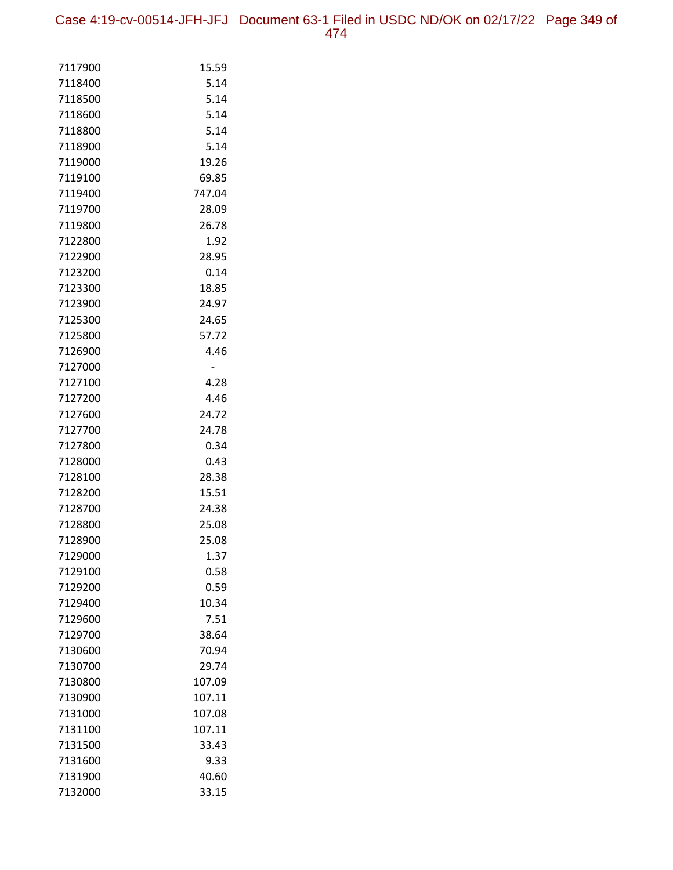Case 4:19-cv-00514-JFH-JFJ Document 63-1 Filed in USDC ND/OK on 02/17/22 Page 349 of 474

| 7117900            | 15.59        |
|--------------------|--------------|
| 7118400            | 5.14         |
| 7118500            | 5.14         |
| 7118600            | 5.14         |
| 7118800            | 5.14         |
| 7118900            | 5.14         |
| 7119000            | 19.26        |
| 7119100            | 69.85        |
| 7119400            | 747.04       |
| 7119700            | 28.09        |
| 7119800            | 26.78        |
| 7122800            | 1.92         |
| 7122900            | 28.95        |
| 7123200            | 0.14         |
| 7123300            | 18.85        |
| 7123900            | 24.97        |
| 7125300            | 24.65        |
| 7125800            | 57.72        |
| 7126900            | 4.46         |
| 7127000            |              |
| 7127100            | 4.28         |
| 7127200            | 4.46         |
| 7127600            | 24.72        |
| 7127700            | 24.78        |
| 7127800            | 0.34<br>0.43 |
| 7128000<br>7128100 | 28.38        |
| 7128200            | 15.51        |
| 7128700            | 24.38        |
| 7128800            | 25.08        |
| 7128900            | 25.08        |
| 7129000            | 1.37         |
| 7129100            | 0.58         |
| 7129200            | 0.59         |
| 7129400            | 10.34        |
| 7129600            | 7.51         |
| 7129700            | 38.64        |
| 7130600            | 70.94        |
| 7130700            | 29.74        |
| 7130800            | 107.09       |
| 7130900            | 107.11       |
| 7131000            | 107.08       |
| 7131100            | 107.11       |
| 7131500            | 33.43        |
| 7131600            | 9.33         |
| 7131900            | 40.60        |
| 7132000            | 33.15        |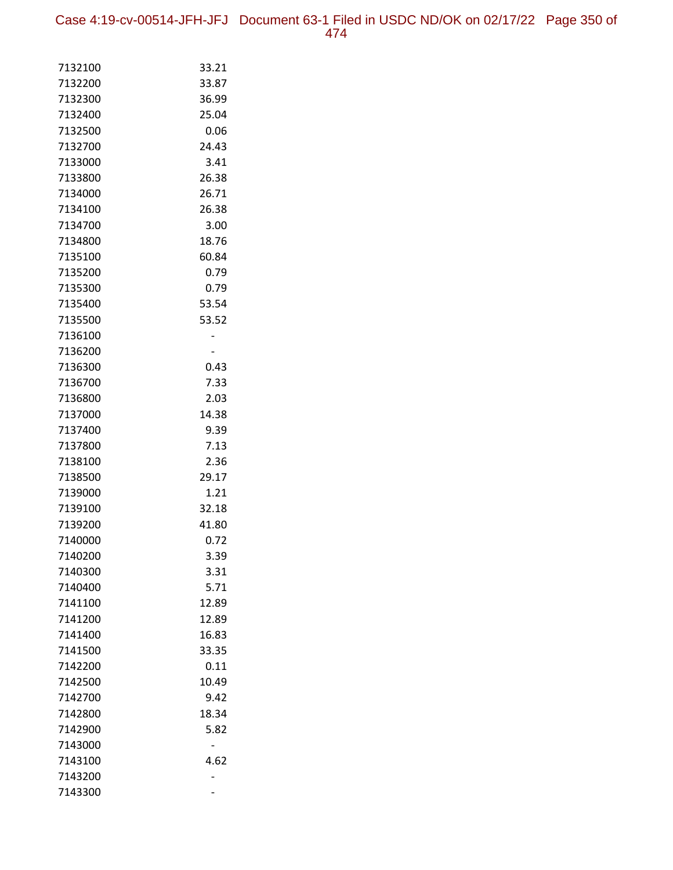Case 4:19-cv-00514-JFH-JFJ Document 63-1 Filed in USDC ND/OK on 02/17/22 Page 350 of 474

| 7132100            | 33.21         |
|--------------------|---------------|
| 7132200            | 33.87         |
| 7132300            | 36.99         |
| 7132400            | 25.04         |
| 7132500            | 0.06          |
| 7132700            | 24.43         |
| 7133000            | 3.41          |
| 7133800            | 26.38         |
| 7134000            | 26.71         |
| 7134100            | 26.38         |
| 7134700            | 3.00          |
| 7134800            | 18.76         |
| 7135100            | 60.84         |
| 7135200            | 0.79          |
| 7135300            | 0.79          |
| 7135400            | 53.54         |
| 7135500            | 53.52         |
| 7136100            |               |
| 7136200            |               |
| 7136300            | 0.43          |
| 7136700            | 7.33          |
| 7136800            | 2.03          |
| 7137000            | 14.38         |
| 7137400            | 9.39          |
| 7137800            | 7.13          |
| 7138100            | 2.36          |
| 7138500<br>7139000 | 29.17<br>1.21 |
| 7139100            | 32.18         |
| 7139200            | 41.80         |
| 7140000            | 0.72          |
| 7140200            | 3.39          |
| 7140300            | 3.31          |
| 7140400            | 5.71          |
| 7141100            | 12.89         |
| 7141200            | 12.89         |
| 7141400            | 16.83         |
| 7141500            | 33.35         |
| 7142200            | 0.11          |
| 7142500            | 10.49         |
| 7142700            | 9.42          |
| 7142800            | 18.34         |
| 7142900            | 5.82          |
| 7143000            |               |
| 7143100            | 4.62          |
| 7143200            |               |
| 7143300            |               |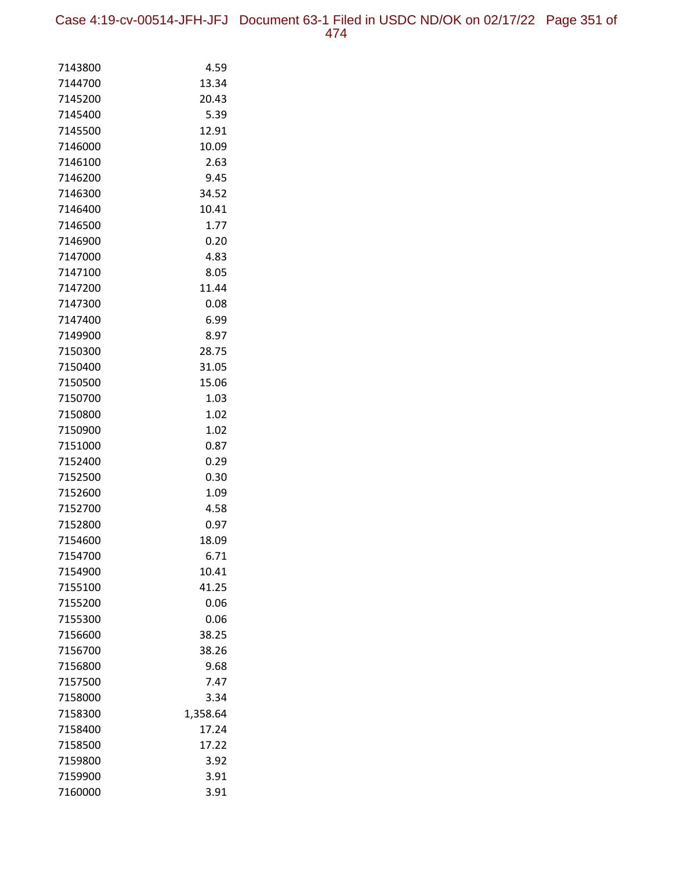Case 4:19-cv-00514-JFH-JFJ Document 63-1 Filed in USDC ND/OK on 02/17/22 Page 351 of 474

| 7143800            | 4.59          |
|--------------------|---------------|
| 7144700            | 13.34         |
| 7145200            | 20.43         |
| 7145400            | 5.39          |
| 7145500            | 12.91         |
| 7146000            | 10.09         |
| 7146100            | 2.63          |
| 7146200            | 9.45          |
| 7146300            | 34.52         |
| 7146400            | 10.41         |
| 7146500            | 1.77          |
| 7146900            | 0.20          |
| 7147000            | 4.83          |
| 7147100            | 8.05          |
| 7147200            | 11.44         |
| 7147300            | 0.08          |
| 7147400            | 6.99          |
| 7149900            | 8.97          |
| 7150300            | 28.75         |
| 7150400            | 31.05         |
| 7150500            | 15.06         |
| 7150700            | 1.03          |
| 7150800            | 1.02          |
| 7150900            | 1.02          |
| 7151000            | 0.87          |
| 7152400            | 0.29          |
| 7152500            | 0.30          |
| 7152600            | 1.09          |
| 7152700            | 4.58          |
| 7152800<br>7154600 | 0.97<br>18.09 |
| 7154700            | 6.71          |
| 7154900            | 10.41         |
| 7155100            | 41.25         |
| 7155200            | 0.06          |
| 7155300            | 0.06          |
| 7156600            | 38.25         |
| 7156700            | 38.26         |
| 7156800            | 9.68          |
| 7157500            | 7.47          |
| 7158000            | 3.34          |
| 7158300            | 1,358.64      |
| 7158400            | 17.24         |
| 7158500            | 17.22         |
| 7159800            | 3.92          |
| 7159900            | 3.91          |
| 7160000            | 3.91          |
|                    |               |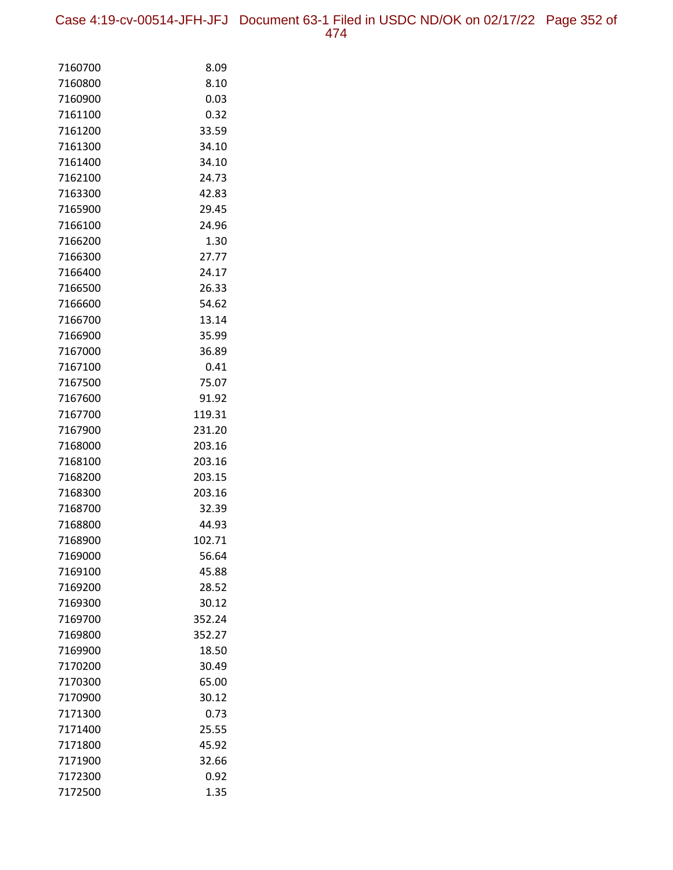| 7160700 | 8.09   |
|---------|--------|
| 7160800 | 8.10   |
| 7160900 | 0.03   |
| 7161100 | 0.32   |
| 7161200 | 33.59  |
| 7161300 | 34.10  |
| 7161400 | 34.10  |
| 7162100 | 24.73  |
| 7163300 | 42.83  |
| 7165900 | 29.45  |
| 7166100 | 24.96  |
| 7166200 | 1.30   |
| 7166300 | 27.77  |
| 7166400 | 24.17  |
| 7166500 | 26.33  |
| 7166600 | 54.62  |
| 7166700 | 13.14  |
| 7166900 | 35.99  |
| 7167000 | 36.89  |
| 7167100 | 0.41   |
| 7167500 | 75.07  |
| 7167600 | 91.92  |
| 7167700 | 119.31 |
| 7167900 | 231.20 |
| 7168000 | 203.16 |
| 7168100 | 203.16 |
| 7168200 | 203.15 |
| 7168300 | 203.16 |
| 7168700 | 32.39  |
| 7168800 | 44.93  |
| 7168900 | 102.71 |
| 7169000 | 56.64  |
| 7169100 | 45.88  |
| 7169200 | 28.52  |
| 7169300 | 30.12  |
| 7169700 | 352.24 |
| 7169800 | 352.27 |
| 7169900 | 18.50  |
| 7170200 | 30.49  |
| 7170300 | 65.00  |
| 7170900 | 30.12  |
| 7171300 | 0.73   |
| 7171400 | 25.55  |
| 7171800 | 45.92  |
| 7171900 | 32.66  |
| 7172300 | 0.92   |
| 7172500 | 1.35   |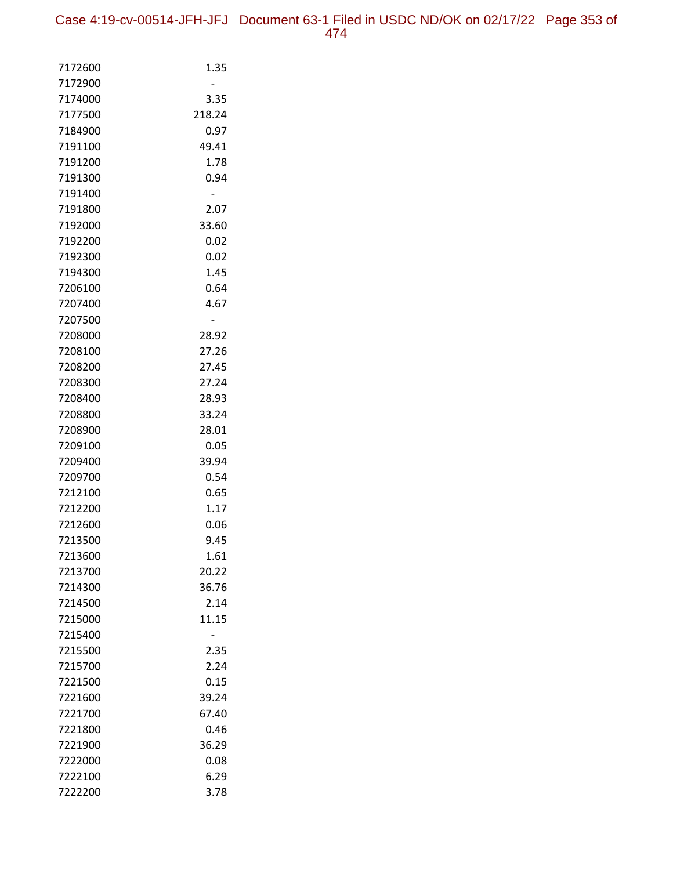| 7172600            | 1.35   |
|--------------------|--------|
| 7172900            |        |
| 7174000            | 3.35   |
| 7177500            | 218.24 |
| 7184900            | 0.97   |
| 7191100            | 49.41  |
| 7191200            | 1.78   |
| 7191300            | 0.94   |
| 7191400            |        |
| 7191800            | 2.07   |
| 7192000            | 33.60  |
| 7192200            | 0.02   |
| 7192300            | 0.02   |
| 7194300            | 1.45   |
| 7206100            | 0.64   |
| 7207400            | 4.67   |
| 7207500            | 28.92  |
| 7208000<br>7208100 | 27.26  |
| 7208200            | 27.45  |
| 7208300            | 27.24  |
| 7208400            | 28.93  |
| 7208800            | 33.24  |
| 7208900            | 28.01  |
| 7209100            | 0.05   |
| 7209400            | 39.94  |
| 7209700            | 0.54   |
| 7212100            | 0.65   |
| 7212200            | 1.17   |
| 7212600            | 0.06   |
| 7213500            | 9.45   |
| 7213600            | 1.61   |
| 7213700            | 20.22  |
| 7214300            | 36.76  |
| 7214500            | 2.14   |
| 7215000            | 11.15  |
| 7215400            |        |
| 7215500            | 2.35   |
| 7215700            | 2.24   |
| 7221500            | 0.15   |
| 7221600            | 39.24  |
| 7221700            | 67.40  |
| 7221800            | 0.46   |
| 7221900            | 36.29  |
| 7222000            | 0.08   |
| 7222100            | 6.29   |
| 7222200            | 3.78   |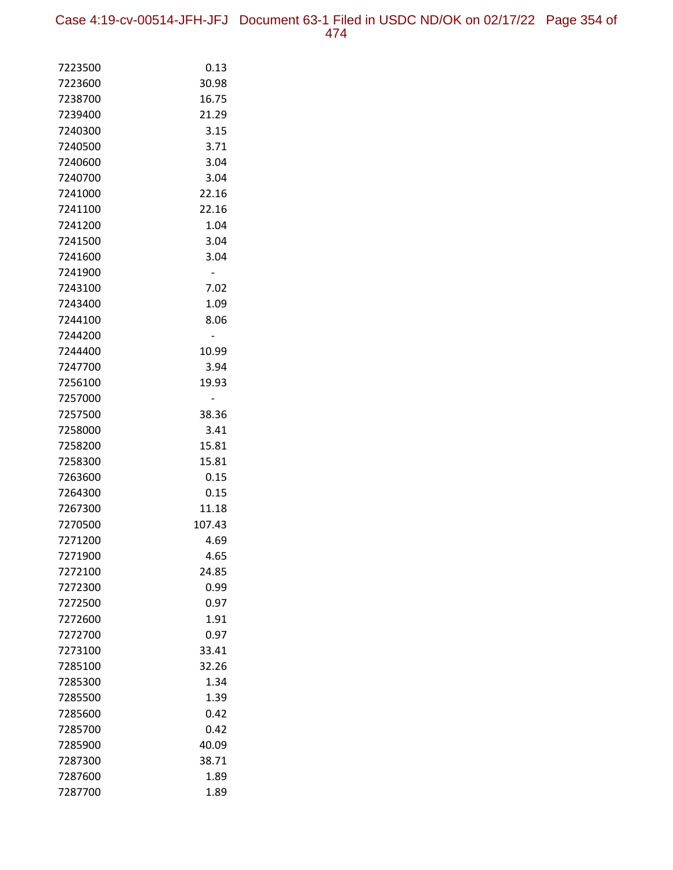Case 4:19-cv-00514-JFH-JFJ Document 63-1 Filed in USDC ND/OK on 02/17/22 Page 354 of 474

| 7223500            | 0.13         |
|--------------------|--------------|
| 7223600            | 30.98        |
| 7238700            | 16.75        |
| 7239400            | 21.29        |
| 7240300            | 3.15         |
| 7240500            | 3.71         |
| 7240600            | 3.04         |
| 7240700            | 3.04         |
| 7241000            | 22.16        |
| 7241100            | 22.16        |
| 7241200            | 1.04         |
| 7241500            | 3.04         |
| 7241600            | 3.04         |
| 7241900            |              |
| 7243100            | 7.02         |
| 7243400            | 1.09         |
| 7244100            | 8.06         |
| 7244200            |              |
| 7244400            | 10.99        |
| 7247700            | 3.94         |
| 7256100            | 19.93        |
| 7257000            |              |
| 7257500            | 38.36        |
| 7258000            | 3.41         |
| 7258200            | 15.81        |
| 7258300            | 15.81        |
| 7263600<br>7264300 | 0.15<br>0.15 |
| 7267300            | 11.18        |
| 7270500            | 107.43       |
| 7271200            | 4.69         |
| 7271900            | 4.65         |
| 7272100            | 24.85        |
| 7272300            | 0.99         |
| 7272500            | 0.97         |
| 7272600            | 1.91         |
| 7272700            | 0.97         |
| 7273100            | 33.41        |
| 7285100            | 32.26        |
| 7285300            | 1.34         |
| 7285500            | 1.39         |
| 7285600            | 0.42         |
| 7285700            | 0.42         |
| 7285900            | 40.09        |
| 7287300            | 38.71        |
| 7287600            | 1.89         |
| 7287700            | 1.89         |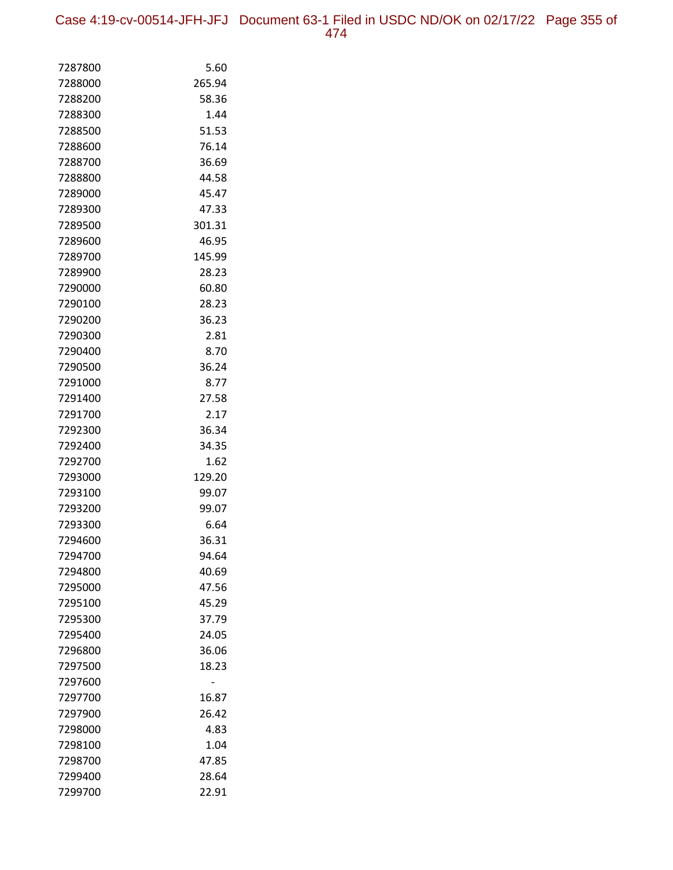| 7287800 | 5.60   |
|---------|--------|
| 7288000 | 265.94 |
| 7288200 | 58.36  |
| 7288300 | 1.44   |
| 7288500 | 51.53  |
| 7288600 | 76.14  |
| 7288700 | 36.69  |
| 7288800 | 44.58  |
| 7289000 | 45.47  |
| 7289300 | 47.33  |
| 7289500 | 301.31 |
| 7289600 | 46.95  |
| 7289700 | 145.99 |
| 7289900 | 28.23  |
| 7290000 | 60.80  |
| 7290100 | 28.23  |
| 7290200 | 36.23  |
| 7290300 | 2.81   |
| 7290400 | 8.70   |
| 7290500 | 36.24  |
| 7291000 | 8.77   |
| 7291400 | 27.58  |
| 7291700 | 2.17   |
| 7292300 | 36.34  |
| 7292400 | 34.35  |
| 7292700 | 1.62   |
| 7293000 | 129.20 |
| 7293100 | 99.07  |
| 7293200 | 99.07  |
| 7293300 | 6.64   |
| 7294600 | 36.31  |
| 7294700 | 94.64  |
| 7294800 | 40.69  |
| 7295000 | 47.56  |
| 7295100 | 45.29  |
| 7295300 | 37.79  |
| 7295400 | 24.05  |
| 7296800 | 36.06  |
| 7297500 | 18.23  |
| 7297600 |        |
| 7297700 | 16.87  |
| 7297900 | 26.42  |
| 7298000 | 4.83   |
| 7298100 | 1.04   |
| 7298700 | 47.85  |
| 7299400 | 28.64  |
| 7299700 | 22.91  |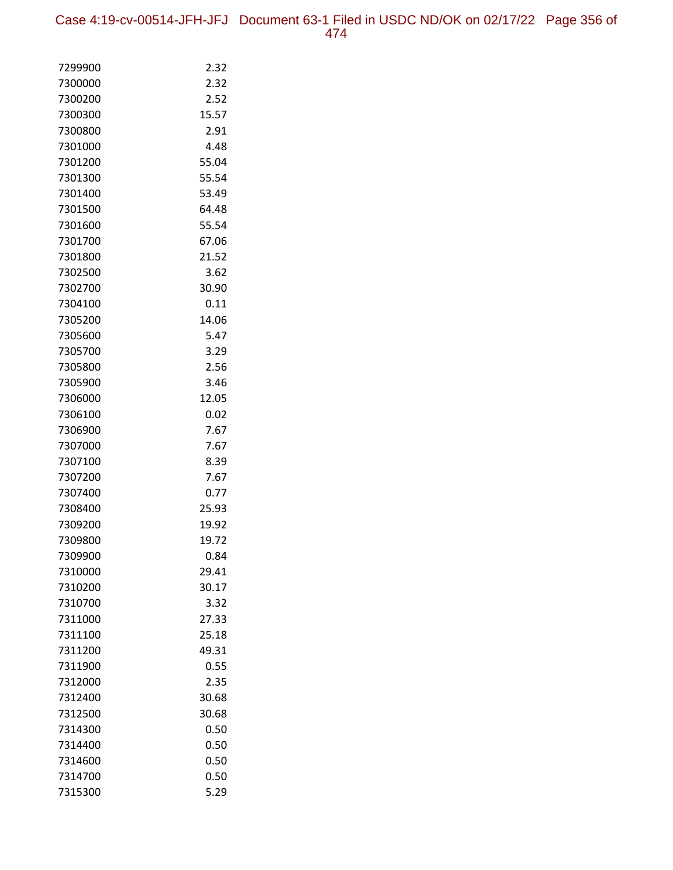| 7299900            | 2.32         |
|--------------------|--------------|
| 7300000            | 2.32         |
| 7300200            | 2.52         |
| 7300300            | 15.57        |
| 7300800            | 2.91         |
| 7301000            | 4.48         |
| 7301200            | 55.04        |
| 7301300            | 55.54        |
| 7301400            | 53.49        |
| 7301500            | 64.48        |
| 7301600            | 55.54        |
| 7301700            | 67.06        |
| 7301800            | 21.52        |
| 7302500            | 3.62         |
| 7302700            | 30.90        |
| 7304100            | 0.11         |
| 7305200            | 14.06        |
| 7305600            | 5.47         |
| 7305700            | 3.29         |
| 7305800            | 2.56         |
| 7305900            | 3.46         |
| 7306000            | 12.05        |
| 7306100            | 0.02         |
| 7306900            | 7.67         |
| 7307000            | 7.67         |
| 7307100<br>7307200 | 8.39<br>7.67 |
| 7307400            | 0.77         |
| 7308400            | 25.93        |
| 7309200            | 19.92        |
| 7309800            | 19.72        |
| 7309900            | 0.84         |
| 7310000            | 29.41        |
| 7310200            | 30.17        |
| 7310700            | 3.32         |
| 7311000            | 27.33        |
| 7311100            | 25.18        |
| 7311200            | 49.31        |
| 7311900            | 0.55         |
| 7312000            | 2.35         |
| 7312400            | 30.68        |
| 7312500            | 30.68        |
| 7314300            | 0.50         |
| 7314400            | 0.50         |
| 7314600            | 0.50         |
| 7314700            | 0.50         |
| 7315300            | 5.29         |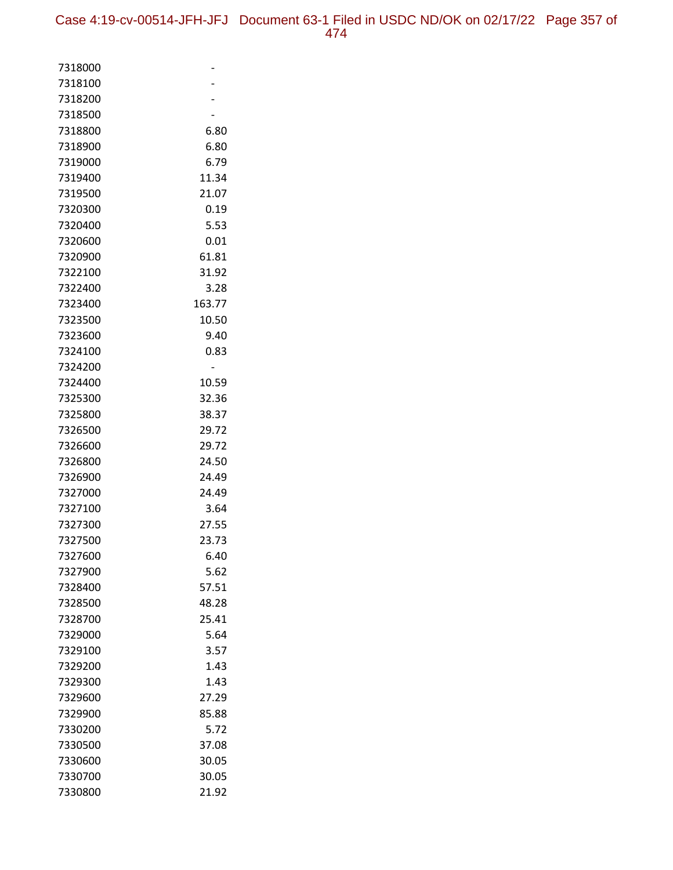| 7318000 |        |
|---------|--------|
| 7318100 |        |
| 7318200 |        |
| 7318500 |        |
| 7318800 | 6.80   |
| 7318900 | 6.80   |
| 7319000 | 6.79   |
| 7319400 | 11.34  |
| 7319500 | 21.07  |
| 7320300 | 0.19   |
| 7320400 | 5.53   |
| 7320600 | 0.01   |
| 7320900 | 61.81  |
| 7322100 | 31.92  |
| 7322400 | 3.28   |
| 7323400 | 163.77 |
| 7323500 | 10.50  |
| 7323600 | 9.40   |
| 7324100 | 0.83   |
| 7324200 |        |
| 7324400 | 10.59  |
| 7325300 | 32.36  |
| 7325800 | 38.37  |
| 7326500 | 29.72  |
| 7326600 | 29.72  |
| 7326800 | 24.50  |
| 7326900 | 24.49  |
| 7327000 | 24.49  |
| 7327100 | 3.64   |
| 7327300 | 27.55  |
| 7327500 | 23.73  |
| 7327600 | 6.40   |
| 7327900 | 5.62   |
| 7328400 | 57.51  |
| 7328500 | 48.28  |
| 7328700 | 25.41  |
| 7329000 | 5.64   |
| 7329100 | 3.57   |
| 7329200 | 1.43   |
| 7329300 | 1.43   |
| 7329600 | 27.29  |
| 7329900 | 85.88  |
| 7330200 | 5.72   |
| 7330500 | 37.08  |
| 7330600 | 30.05  |
| 7330700 | 30.05  |
| 7330800 | 21.92  |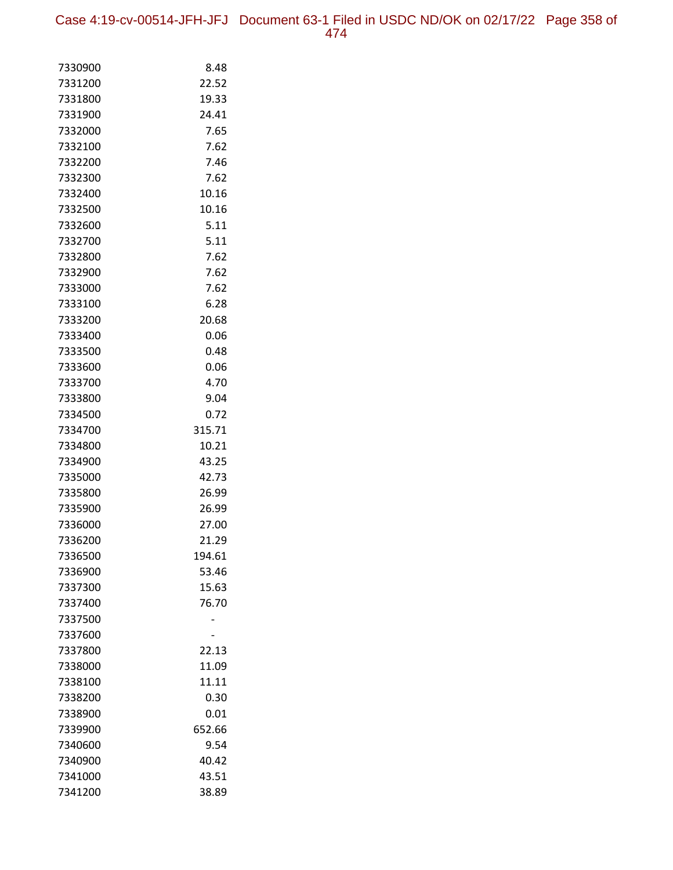Case 4:19-cv-00514-JFH-JFJ Document 63-1 Filed in USDC ND/OK on 02/17/22 Page 358 of 474

| 7330900            | 8.48           |
|--------------------|----------------|
| 7331200            | 22.52          |
| 7331800            | 19.33          |
| 7331900            | 24.41          |
| 7332000            | 7.65           |
| 7332100            | 7.62           |
| 7332200            | 7.46           |
| 7332300            | 7.62           |
| 7332400            | 10.16          |
| 7332500            | 10.16          |
| 7332600            | 5.11           |
| 7332700            | 5.11           |
| 7332800            | 7.62           |
| 7332900            | 7.62           |
| 7333000            | 7.62           |
| 7333100            | 6.28           |
| 7333200            | 20.68          |
| 7333400            | 0.06           |
| 7333500            | 0.48           |
| 7333600            | 0.06           |
| 7333700            | 4.70           |
| 7333800            | 9.04           |
| 7334500            | 0.72           |
| 7334700            | 315.71         |
| 7334800            | 10.21          |
| 7334900            | 43.25          |
| 7335000<br>7335800 | 42.73<br>26.99 |
| 7335900            | 26.99          |
| 7336000            | 27.00          |
| 7336200            | 21.29          |
| 7336500            | 194.61         |
| 7336900            | 53.46          |
| 7337300            | 15.63          |
| 7337400            | 76.70          |
| 7337500            |                |
| 7337600            |                |
| 7337800            | 22.13          |
| 7338000            | 11.09          |
| 7338100            | 11.11          |
| 7338200            | 0.30           |
| 7338900            | 0.01           |
| 7339900            | 652.66         |
| 7340600            | 9.54           |
| 7340900            | 40.42          |
| 7341000            | 43.51          |
| 7341200            | 38.89          |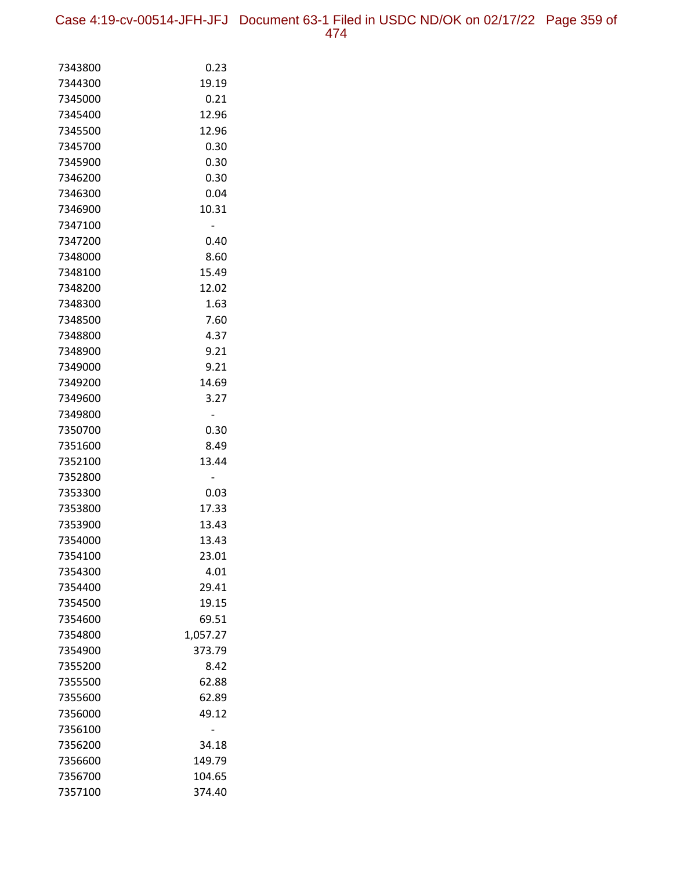Case 4:19-cv-00514-JFH-JFJ Document 63-1 Filed in USDC ND/OK on 02/17/22 Page 359 of 474

| 7343800            | 0.23          |
|--------------------|---------------|
| 7344300            | 19.19         |
| 7345000            | 0.21          |
| 7345400            | 12.96         |
| 7345500            | 12.96         |
| 7345700            | 0.30          |
| 7345900            | 0.30          |
| 7346200            | 0.30          |
| 7346300            | 0.04          |
| 7346900            | 10.31         |
| 7347100            | -             |
| 7347200            | 0.40          |
| 7348000            | 8.60          |
| 7348100            | 15.49         |
| 7348200            | 12.02         |
| 7348300            | 1.63          |
| 7348500            | 7.60          |
| 7348800            | 4.37          |
| 7348900            | 9.21          |
| 7349000            | 9.21          |
| 7349200            | 14.69         |
| 7349600            | 3.27          |
| 7349800            |               |
| 7350700            | 0.30          |
| 7351600            | 8.49          |
| 7352100            | 13.44         |
| 7352800            |               |
| 7353300            | 0.03          |
| 7353800            | 17.33         |
| 7353900            | 13.43         |
| 7354000            | 13.43         |
| 7354100            | 23.01<br>4.01 |
| 7354300<br>7354400 | 29.41         |
| 7354500            | 19.15         |
| 7354600            | 69.51         |
| 7354800            | 1,057.27      |
| 7354900            | 373.79        |
| 7355200            | 8.42          |
| 7355500            | 62.88         |
| 7355600            | 62.89         |
| 7356000            | 49.12         |
| 7356100            |               |
| 7356200            | 34.18         |
| 7356600            | 149.79        |
| 7356700            | 104.65        |
| 7357100            | 374.40        |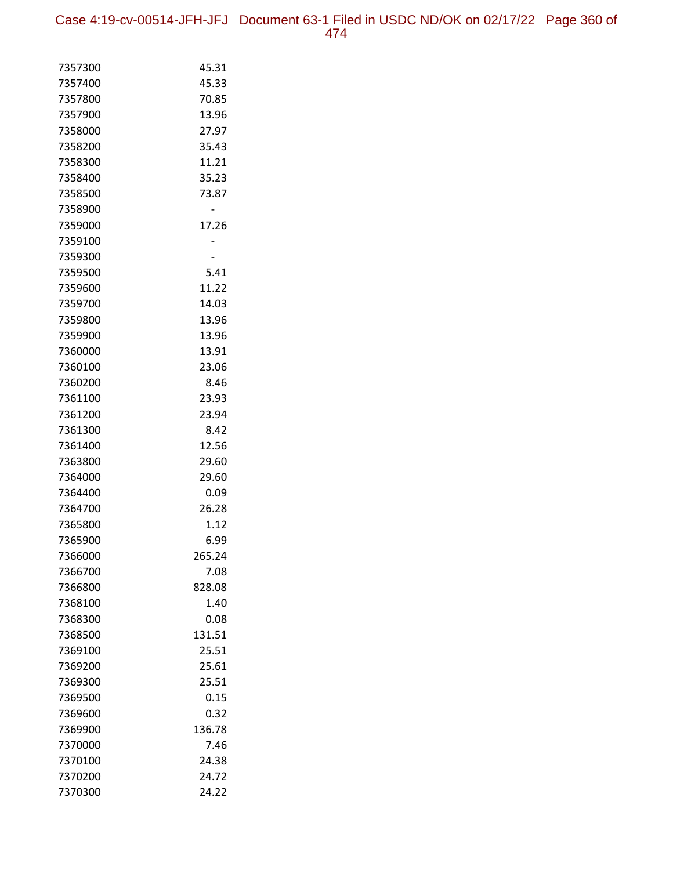Case 4:19-cv-00514-JFH-JFJ Document 63-1 Filed in USDC ND/OK on 02/17/22 Page 360 of 474

| 7357300            | 45.31          |
|--------------------|----------------|
| 7357400            | 45.33          |
| 7357800            | 70.85          |
| 7357900            | 13.96          |
| 7358000            | 27.97          |
| 7358200            | 35.43          |
| 7358300            | 11.21          |
| 7358400            | 35.23          |
| 7358500            | 73.87          |
| 7358900            |                |
| 7359000            | 17.26          |
| 7359100            |                |
| 7359300            |                |
| 7359500            | 5.41           |
| 7359600            | 11.22          |
| 7359700            | 14.03          |
| 7359800            | 13.96          |
| 7359900            | 13.96          |
| 7360000            | 13.91          |
| 7360100            | 23.06          |
| 7360200            | 8.46           |
| 7361100            | 23.93          |
| 7361200            | 23.94          |
| 7361300            | 8.42           |
| 7361400            | 12.56          |
| 7363800            | 29.60          |
| 7364000            | 29.60          |
| 7364400            | 0.09           |
| 7364700            | 26.28          |
| 7365800            | 1.12           |
| 7365900            | 6.99           |
| 7366000            | 265.24         |
| 7366700            | 7.08           |
| 7366800            | 828.08         |
| 7368100            | 1.40           |
| 7368300            | 0.08           |
| 7368500            | 131.51         |
| 7369100            | 25.51          |
| 7369200            | 25.61          |
| 7369300            | 25.51          |
| 7369500            | 0.15           |
| 7369600            | 0.32           |
| 7369900            | 136.78<br>7.46 |
| 7370000<br>7370100 | 24.38          |
| 7370200            | 24.72          |
|                    |                |
| 7370300            | 24.22          |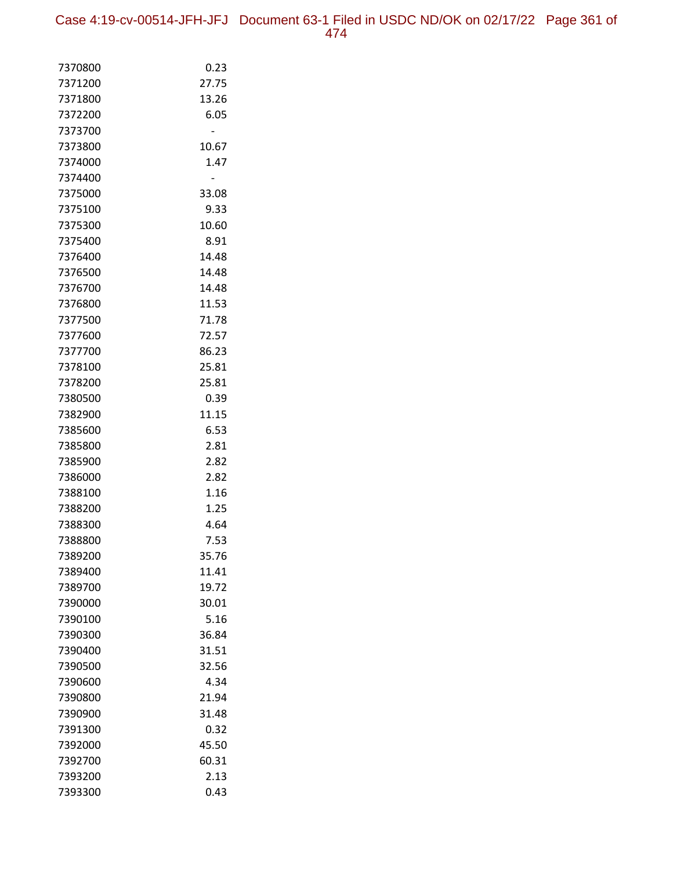Case 4:19-cv-00514-JFH-JFJ Document 63-1 Filed in USDC ND/OK on 02/17/22 Page 361 of

| 7370800            | 0.23         |
|--------------------|--------------|
| 7371200            | 27.75        |
| 7371800            | 13.26        |
| 7372200            | 6.05         |
| 7373700            |              |
| 7373800            | 10.67        |
| 7374000            | 1.47         |
| 7374400            |              |
| 7375000            | 33.08        |
| 7375100            | 9.33         |
| 7375300            | 10.60        |
| 7375400            | 8.91         |
| 7376400            | 14.48        |
| 7376500            | 14.48        |
| 7376700            | 14.48        |
| 7376800            | 11.53        |
| 7377500            | 71.78        |
| 7377600            | 72.57        |
| 7377700            | 86.23        |
| 7378100            | 25.81        |
| 7378200            | 25.81        |
| 7380500            | 0.39         |
| 7382900            | 11.15        |
| 7385600            | 6.53         |
| 7385800            | 2.81         |
| 7385900            | 2.82         |
| 7386000            | 2.82         |
| 7388100<br>7388200 | 1.16<br>1.25 |
| 7388300            | 4.64         |
| 7388800            | 7.53         |
| 7389200            | 35.76        |
| 7389400            | 11.41        |
| 7389700            | 19.72        |
| 7390000            | 30.01        |
| 7390100            | 5.16         |
| 7390300            | 36.84        |
| 7390400            | 31.51        |
| 7390500            | 32.56        |
| 7390600            | 4.34         |
| 7390800            | 21.94        |
| 7390900            | 31.48        |
| 7391300            | 0.32         |
| 7392000            | 45.50        |
| 7392700            | 60.31        |
| 7393200            | 2.13         |
| 7393300            | 0.43         |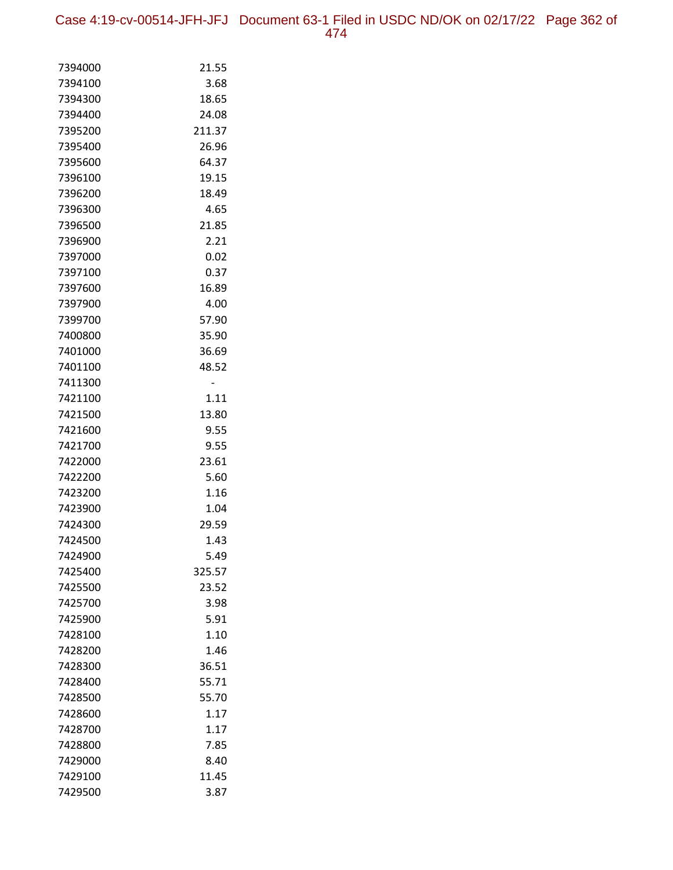Case 4:19-cv-00514-JFH-JFJ Document 63-1 Filed in USDC ND/OK on 02/17/22 Page 362 of 474

| 7394000 | 21.55  |
|---------|--------|
| 7394100 | 3.68   |
| 7394300 | 18.65  |
| 7394400 | 24.08  |
| 7395200 | 211.37 |
| 7395400 | 26.96  |
| 7395600 | 64.37  |
| 7396100 | 19.15  |
| 7396200 | 18.49  |
| 7396300 | 4.65   |
| 7396500 | 21.85  |
| 7396900 | 2.21   |
| 7397000 | 0.02   |
| 7397100 | 0.37   |
| 7397600 | 16.89  |
| 7397900 | 4.00   |
| 7399700 | 57.90  |
| 7400800 | 35.90  |
| 7401000 | 36.69  |
| 7401100 | 48.52  |
| 7411300 |        |
| 7421100 | 1.11   |
| 7421500 | 13.80  |
| 7421600 | 9.55   |
| 7421700 | 9.55   |
| 7422000 | 23.61  |
| 7422200 | 5.60   |
| 7423200 | 1.16   |
| 7423900 | 1.04   |
| 7424300 | 29.59  |
| 7424500 | 1.43   |
| 7424900 | 5.49   |
| 7425400 | 325.57 |
| 7425500 | 23.52  |
| 7425700 | 3.98   |
| 7425900 | 5.91   |
| 7428100 | 1.10   |
| 7428200 | 1.46   |
| 7428300 | 36.51  |
| 7428400 | 55.71  |
| 7428500 | 55.70  |
| 7428600 | 1.17   |
| 7428700 | 1.17   |
| 7428800 | 7.85   |
| 7429000 | 8.40   |
| 7429100 | 11.45  |
| 7429500 | 3.87   |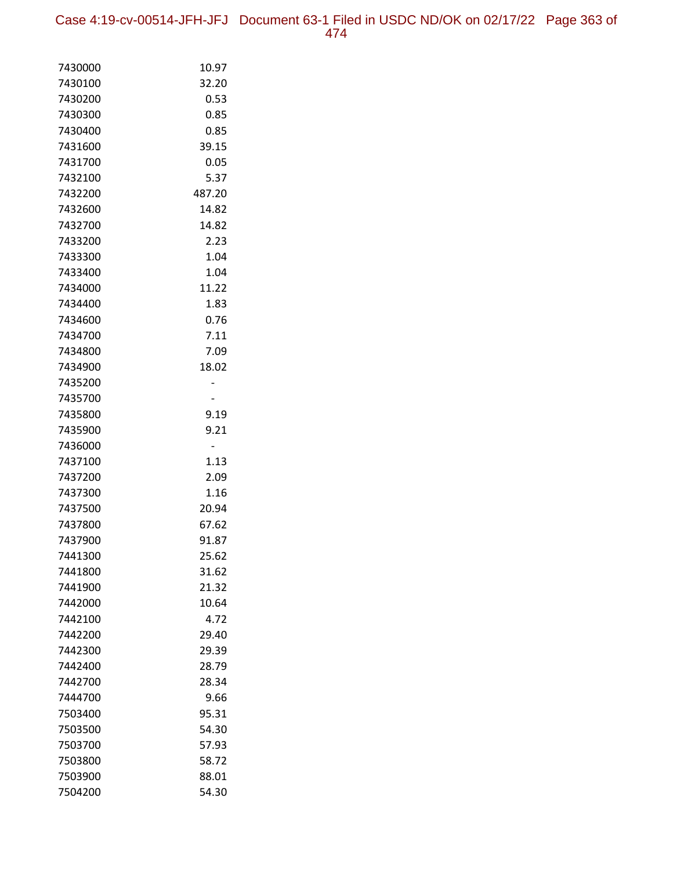Case 4:19-cv-00514-JFH-JFJ Document 63-1 Filed in USDC ND/OK on 02/17/22 Page 363 of 474

| 7430000 | 10.97  |
|---------|--------|
| 7430100 | 32.20  |
| 7430200 | 0.53   |
| 7430300 | 0.85   |
| 7430400 | 0.85   |
| 7431600 | 39.15  |
| 7431700 | 0.05   |
| 7432100 | 5.37   |
| 7432200 | 487.20 |
| 7432600 | 14.82  |
| 7432700 | 14.82  |
| 7433200 | 2.23   |
| 7433300 | 1.04   |
| 7433400 | 1.04   |
| 7434000 | 11.22  |
| 7434400 | 1.83   |
| 7434600 | 0.76   |
| 7434700 | 7.11   |
| 7434800 | 7.09   |
| 7434900 | 18.02  |
| 7435200 |        |
| 7435700 |        |
| 7435800 | 9.19   |
| 7435900 | 9.21   |
| 7436000 |        |
| 7437100 | 1.13   |
| 7437200 | 2.09   |
| 7437300 | 1.16   |
| 7437500 | 20.94  |
| 7437800 | 67.62  |
| 7437900 | 91.87  |
| 7441300 | 25.62  |
| 7441800 | 31.62  |
| 7441900 | 21.32  |
| 7442000 | 10.64  |
| 7442100 | 4.72   |
| 7442200 | 29.40  |
| 7442300 | 29.39  |
| 7442400 | 28.79  |
| 7442700 | 28.34  |
| 7444700 | 9.66   |
| 7503400 | 95.31  |
| 7503500 | 54.30  |
| 7503700 | 57.93  |
| 7503800 | 58.72  |
| 7503900 | 88.01  |
| 7504200 | 54.30  |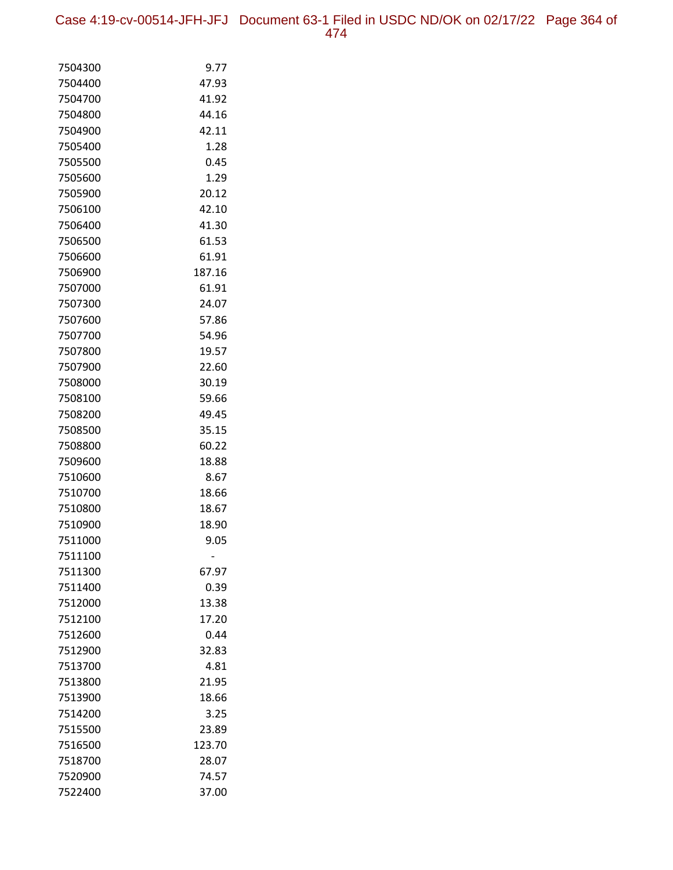Case 4:19-cv-00514-JFH-JFJ Document 63-1 Filed in USDC ND/OK on 02/17/22 Page 364 of 474

| 7504300            | 9.77          |
|--------------------|---------------|
| 7504400            | 47.93         |
| 7504700            | 41.92         |
| 7504800            | 44.16         |
| 7504900            | 42.11         |
| 7505400            | 1.28          |
| 7505500            | 0.45          |
| 7505600            | 1.29          |
| 7505900            | 20.12         |
| 7506100            | 42.10         |
| 7506400            | 41.30         |
| 7506500            | 61.53         |
| 7506600            | 61.91         |
| 7506900            | 187.16        |
| 7507000            | 61.91         |
| 7507300            | 24.07         |
| 7507600            | 57.86         |
| 7507700            | 54.96         |
| 7507800            | 19.57         |
| 7507900            | 22.60         |
| 7508000            | 30.19         |
| 7508100            | 59.66         |
| 7508200            | 49.45         |
| 7508500            | 35.15         |
| 7508800            | 60.22         |
| 7509600            | 18.88         |
| 7510600            | 8.67          |
| 7510700            | 18.66         |
| 7510800            | 18.67         |
| 7510900            | 18.90         |
| 7511000            | 9.05          |
| 7511100            |               |
| 7511300<br>7511400 | 67.97<br>0.39 |
| 7512000            | 13.38         |
| 7512100            | 17.20         |
| 7512600            | 0.44          |
| 7512900            | 32.83         |
| 7513700            | 4.81          |
| 7513800            | 21.95         |
| 7513900            | 18.66         |
| 7514200            | 3.25          |
| 7515500            | 23.89         |
| 7516500            | 123.70        |
| 7518700            | 28.07         |
| 7520900            | 74.57         |
| 7522400            | 37.00         |
|                    |               |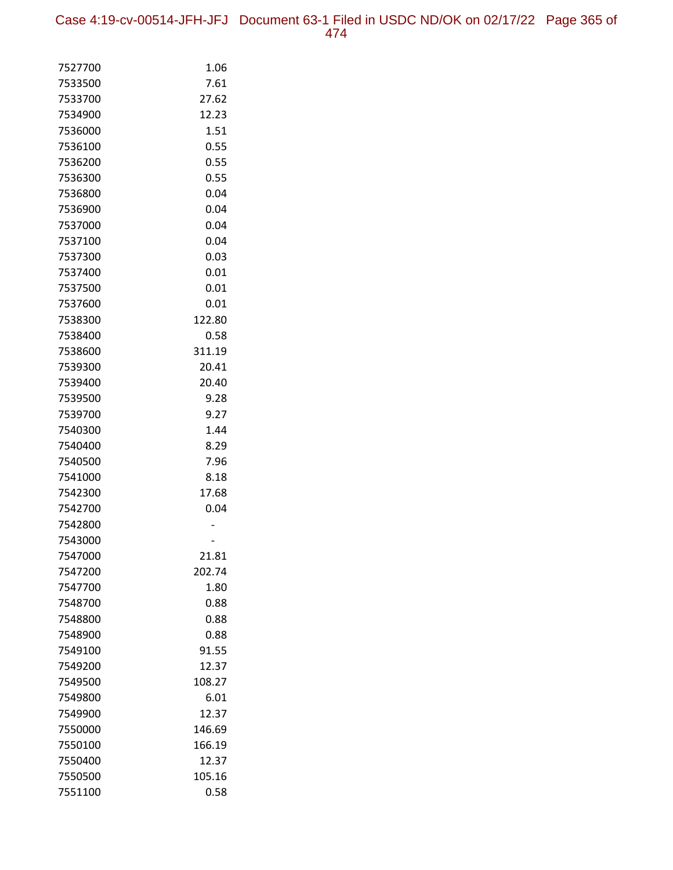Case 4:19-cv-00514-JFH-JFJ Document 63-1 Filed in USDC ND/OK on 02/17/22 Page 365 of 474

| 7527700            | 1.06             |
|--------------------|------------------|
| 7533500            | 7.61             |
| 7533700            | 27.62            |
| 7534900            | 12.23            |
| 7536000            | 1.51             |
| 7536100            | 0.55             |
| 7536200            | 0.55             |
| 7536300            | 0.55             |
| 7536800            | 0.04             |
| 7536900            | 0.04             |
| 7537000            | 0.04             |
| 7537100            | 0.04             |
| 7537300            | 0.03             |
| 7537400            | 0.01             |
| 7537500            | 0.01             |
| 7537600            | 0.01             |
| 7538300            | 122.80           |
| 7538400            | 0.58             |
| 7538600            | 311.19           |
| 7539300            | 20.41            |
| 7539400            | 20.40            |
| 7539500            | 9.28             |
| 7539700            | 9.27             |
| 7540300            | 1.44             |
| 7540400            | 8.29             |
| 7540500            | 7.96             |
| 7541000            | 8.18             |
| 7542300            | 17.68            |
| 7542700            | 0.04             |
| 7542800            |                  |
| 7543000            |                  |
| 7547000            | 21.81            |
| 7547200            | 202.74           |
| 7547700            | 1.80             |
| 7548700            | 0.88             |
| 7548800            | 0.88             |
| 7548900            | 0.88             |
| 7549100            | 91.55            |
| 7549200            | 12.37            |
| 7549500            | 108.27           |
| 7549800            | 6.01             |
| 7549900            | 12.37            |
| 7550000<br>7550100 | 146.69<br>166.19 |
| 7550400            | 12.37            |
| 7550500            | 105.16           |
|                    |                  |
| 7551100            | 0.58             |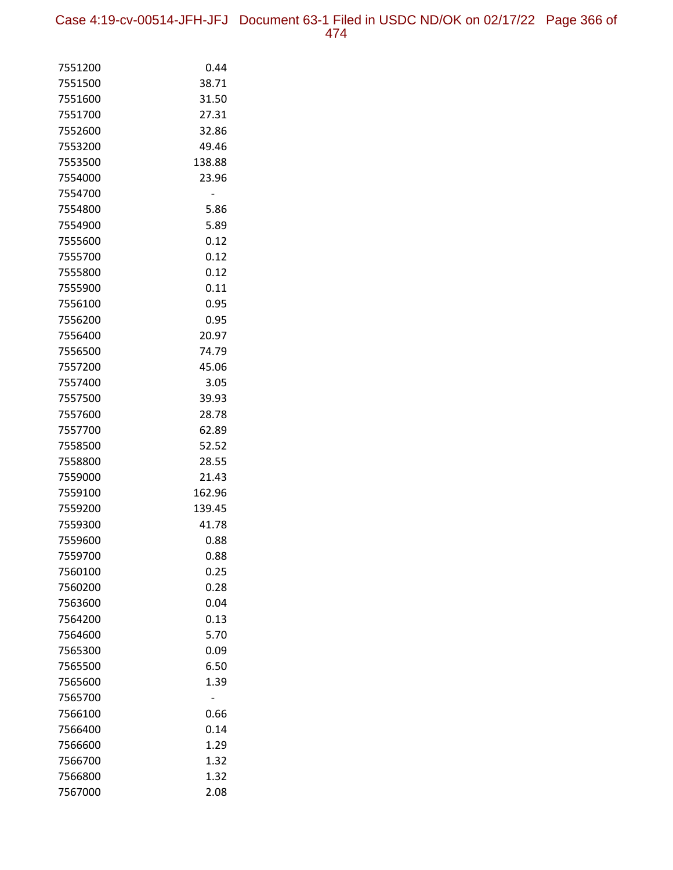Case 4:19-cv-00514-JFH-JFJ Document 63-1 Filed in USDC ND/OK on 02/17/22 Page 366 of

|--|--|

| 7551200            | 0.44           |
|--------------------|----------------|
| 7551500            | 38.71          |
| 7551600            | 31.50          |
| 7551700            | 27.31          |
| 7552600            | 32.86          |
| 7553200            | 49.46          |
| 7553500            | 138.88         |
| 7554000            | 23.96          |
| 7554700            |                |
| 7554800            | 5.86           |
| 7554900            | 5.89           |
| 7555600            | 0.12           |
| 7555700            | 0.12           |
| 7555800            | 0.12           |
| 7555900            | 0.11           |
| 7556100            | 0.95           |
| 7556200            | 0.95           |
| 7556400            | 20.97          |
| 7556500            | 74.79          |
| 7557200            | 45.06          |
| 7557400            | 3.05           |
| 7557500            | 39.93          |
| 7557600            | 28.78          |
| 7557700            | 62.89          |
| 7558500<br>7558800 | 52.52          |
| 7559000            | 28.55<br>21.43 |
| 7559100            | 162.96         |
| 7559200            | 139.45         |
| 7559300            | 41.78          |
| 7559600            | 0.88           |
| 7559700            | 0.88           |
| 7560100            | 0.25           |
| 7560200            | 0.28           |
| 7563600            | 0.04           |
| 7564200            | 0.13           |
| 7564600            | 5.70           |
| 7565300            | 0.09           |
| 7565500            | 6.50           |
| 7565600            | 1.39           |
| 7565700            |                |
| 7566100            | 0.66           |
| 7566400            | 0.14           |
| 7566600            | 1.29           |
| 7566700            | 1.32           |
| 7566800            | 1.32           |
| 7567000            | 2.08           |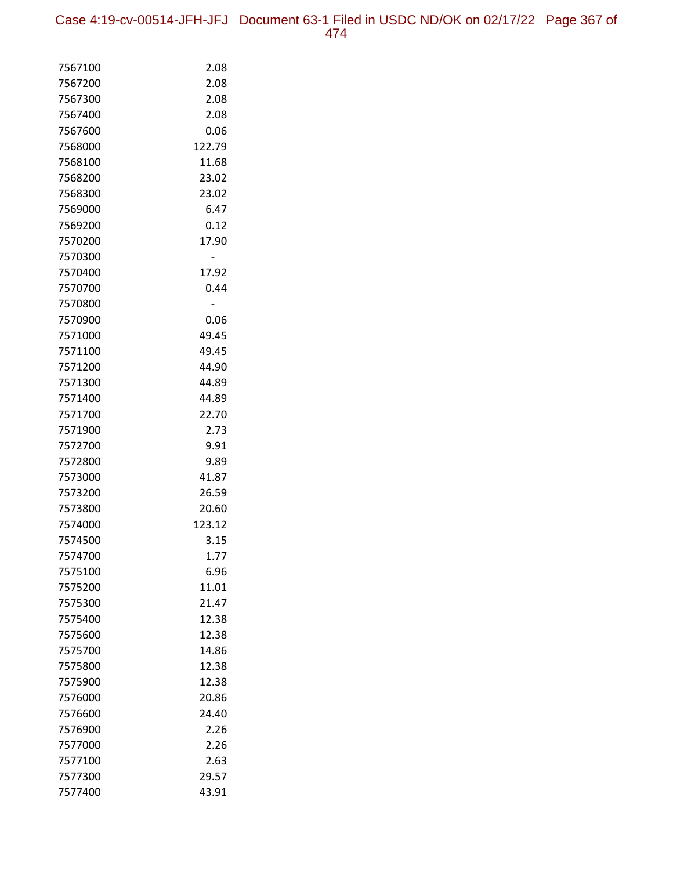Case 4:19-cv-00514-JFH-JFJ Document 63-1 Filed in USDC ND/OK on 02/17/22 Page 367 of 474

| 7567100 | 2.08   |
|---------|--------|
| 7567200 | 2.08   |
| 7567300 | 2.08   |
| 7567400 | 2.08   |
| 7567600 | 0.06   |
| 7568000 | 122.79 |
| 7568100 | 11.68  |
| 7568200 | 23.02  |
| 7568300 | 23.02  |
| 7569000 | 6.47   |
| 7569200 | 0.12   |
| 7570200 | 17.90  |
| 7570300 |        |
| 7570400 | 17.92  |
| 7570700 | 0.44   |
| 7570800 |        |
| 7570900 | 0.06   |
| 7571000 | 49.45  |
| 7571100 | 49.45  |
| 7571200 | 44.90  |
| 7571300 | 44.89  |
| 7571400 | 44.89  |
| 7571700 | 22.70  |
| 7571900 | 2.73   |
| 7572700 | 9.91   |
| 7572800 | 9.89   |
| 7573000 | 41.87  |
| 7573200 | 26.59  |
| 7573800 | 20.60  |
| 7574000 | 123.12 |
| 7574500 | 3.15   |
| 7574700 | 1.77   |
| 7575100 | 6.96   |
| 7575200 | 11.01  |
| 7575300 | 21.47  |
| 7575400 | 12.38  |
| 7575600 | 12.38  |
| 7575700 | 14.86  |
| 7575800 | 12.38  |
| 7575900 | 12.38  |
| 7576000 | 20.86  |
| 7576600 | 24.40  |
| 7576900 | 2.26   |
| 7577000 | 2.26   |
| 7577100 | 2.63   |
| 7577300 | 29.57  |
| 7577400 | 43.91  |
|         |        |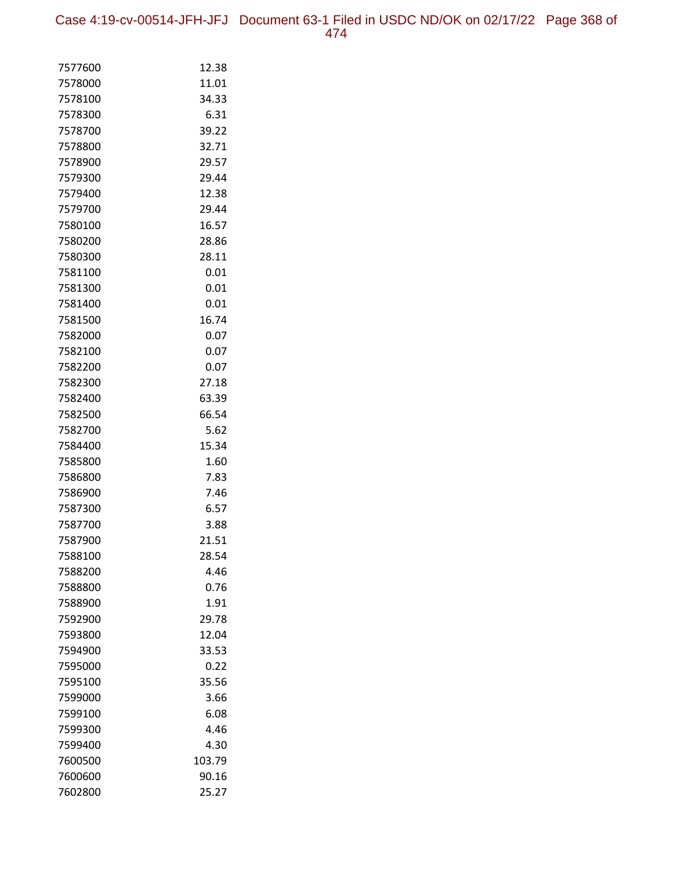Case 4:19-cv-00514-JFH-JFJ Document 63-1 Filed in USDC ND/OK on 02/17/22 Page 368 of 474

| 7577600 | 12.38  |
|---------|--------|
| 7578000 | 11.01  |
| 7578100 | 34.33  |
| 7578300 | 6.31   |
| 7578700 | 39.22  |
| 7578800 | 32.71  |
| 7578900 | 29.57  |
| 7579300 | 29.44  |
| 7579400 | 12.38  |
| 7579700 | 29.44  |
| 7580100 | 16.57  |
| 7580200 | 28.86  |
| 7580300 | 28.11  |
| 7581100 | 0.01   |
| 7581300 | 0.01   |
| 7581400 | 0.01   |
| 7581500 | 16.74  |
| 7582000 | 0.07   |
| 7582100 | 0.07   |
| 7582200 | 0.07   |
| 7582300 | 27.18  |
| 7582400 | 63.39  |
| 7582500 | 66.54  |
| 7582700 | 5.62   |
| 7584400 | 15.34  |
| 7585800 | 1.60   |
| 7586800 | 7.83   |
| 7586900 | 7.46   |
| 7587300 | 6.57   |
| 7587700 | 3.88   |
| 7587900 | 21.51  |
| 7588100 | 28.54  |
| 7588200 | 4.46   |
| 7588800 | 0.76   |
| 7588900 | 1.91   |
| 7592900 | 29.78  |
| 7593800 | 12.04  |
| 7594900 | 33.53  |
| 7595000 | 0.22   |
| 7595100 | 35.56  |
| 7599000 | 3.66   |
| 7599100 | 6.08   |
| 7599300 | 4.46   |
| 7599400 | 4.30   |
| 7600500 | 103.79 |
| 7600600 | 90.16  |
| 7602800 | 25.27  |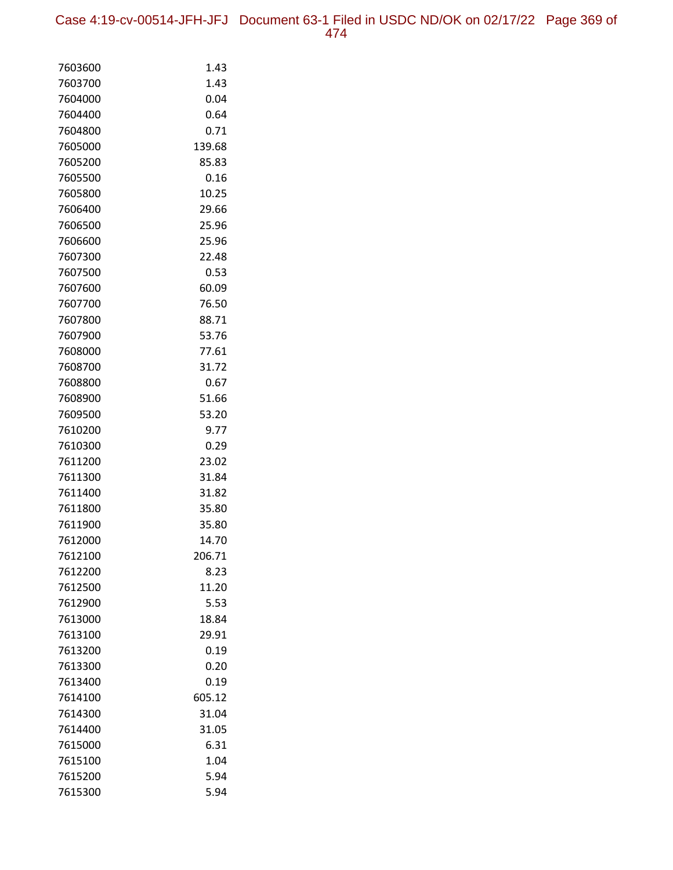Case 4:19-cv-00514-JFH-JFJ Document 63-1 Filed in USDC ND/OK on 02/17/22 Page 369 of 474

| 7603600            | 1.43         |
|--------------------|--------------|
| 7603700            | 1.43         |
| 7604000            | 0.04         |
| 7604400            | 0.64         |
| 7604800            | 0.71         |
| 7605000            | 139.68       |
| 7605200            | 85.83        |
| 7605500            | 0.16         |
| 7605800            | 10.25        |
| 7606400            | 29.66        |
| 7606500            | 25.96        |
| 7606600            | 25.96        |
| 7607300            | 22.48        |
| 7607500            | 0.53         |
| 7607600            | 60.09        |
| 7607700            | 76.50        |
| 7607800            | 88.71        |
| 7607900            | 53.76        |
| 7608000            | 77.61        |
| 7608700            | 31.72        |
| 7608800            | 0.67         |
| 7608900            | 51.66        |
| 7609500            | 53.20        |
| 7610200            | 9.77         |
| 7610300            | 0.29         |
| 7611200            | 23.02        |
| 7611300            | 31.84        |
| 7611400            | 31.82        |
| 7611800            | 35.80        |
| 7611900            | 35.80        |
| 7612000            | 14.70        |
| 7612100            | 206.71       |
| 7612200            | 8.23         |
| 7612500            | 11.20        |
| 7612900            | 5.53         |
| 7613000            | 18.84        |
| 7613100            | 29.91        |
| 7613200<br>7613300 | 0.19<br>0.20 |
| 7613400            | 0.19         |
| 7614100            | 605.12       |
| 7614300            | 31.04        |
| 7614400            | 31.05        |
| 7615000            | 6.31         |
| 7615100            | 1.04         |
| 7615200            | 5.94         |
| 7615300            | 5.94         |
|                    |              |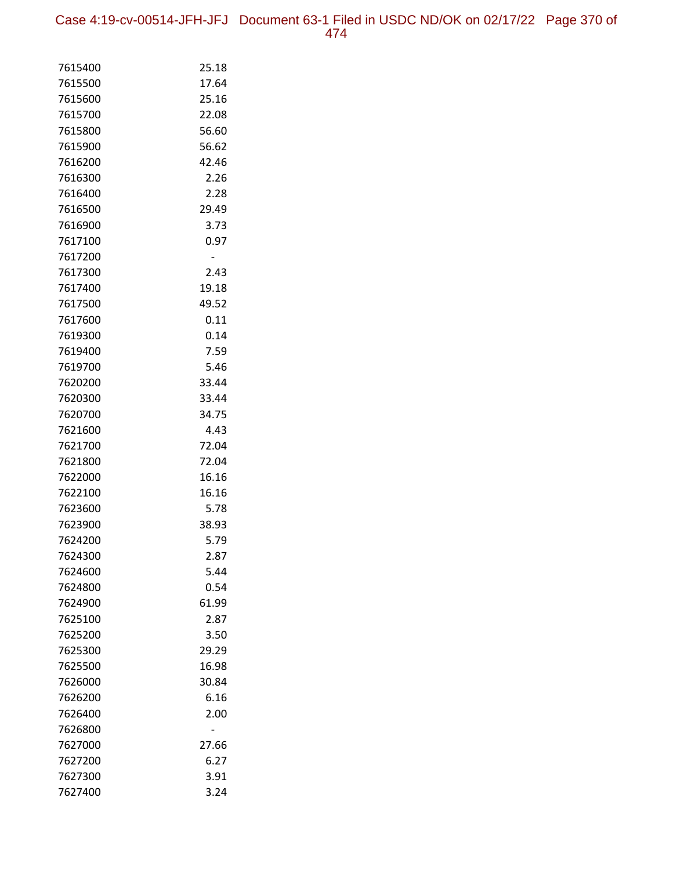Case 4:19-cv-00514-JFH-JFJ Document 63-1 Filed in USDC ND/OK on 02/17/22 Page 370 of 474

| 7615400 | 25.18 |
|---------|-------|
| 7615500 | 17.64 |
| 7615600 | 25.16 |
| 7615700 | 22.08 |
| 7615800 | 56.60 |
| 7615900 | 56.62 |
| 7616200 | 42.46 |
| 7616300 | 2.26  |
| 7616400 | 2.28  |
| 7616500 | 29.49 |
| 7616900 | 3.73  |
| 7617100 | 0.97  |
| 7617200 |       |
| 7617300 | 2.43  |
| 7617400 | 19.18 |
| 7617500 | 49.52 |
| 7617600 | 0.11  |
| 7619300 | 0.14  |
| 7619400 | 7.59  |
| 7619700 | 5.46  |
| 7620200 | 33.44 |
| 7620300 | 33.44 |
| 7620700 | 34.75 |
| 7621600 | 4.43  |
| 7621700 | 72.04 |
| 7621800 | 72.04 |
| 7622000 | 16.16 |
| 7622100 | 16.16 |
| 7623600 | 5.78  |
| 7623900 | 38.93 |
| 7624200 | 5.79  |
| 7624300 | 2.87  |
| 7624600 | 5.44  |
| 7624800 | 0.54  |
| 7624900 | 61.99 |
| 7625100 | 2.87  |
| 7625200 | 3.50  |
| 7625300 | 29.29 |
| 7625500 | 16.98 |
| 7626000 | 30.84 |
| 7626200 | 6.16  |
| 7626400 | 2.00  |
| 7626800 |       |
| 7627000 | 27.66 |
| 7627200 | 6.27  |
| 7627300 | 3.91  |
| 7627400 | 3.24  |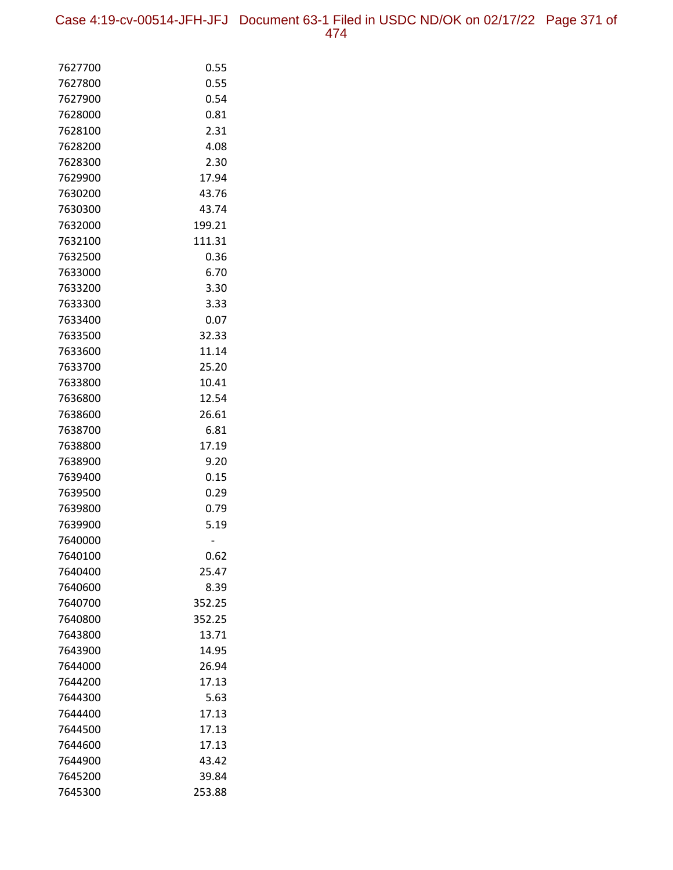Case 4:19-cv-00514-JFH-JFJ Document 63-1 Filed in USDC ND/OK on 02/17/22 Page 371 of 474

| 7627700 | 0.55   |
|---------|--------|
| 7627800 | 0.55   |
| 7627900 | 0.54   |
| 7628000 | 0.81   |
| 7628100 | 2.31   |
| 7628200 | 4.08   |
| 7628300 | 2.30   |
| 7629900 | 17.94  |
| 7630200 | 43.76  |
| 7630300 | 43.74  |
| 7632000 | 199.21 |
| 7632100 | 111.31 |
| 7632500 | 0.36   |
| 7633000 | 6.70   |
| 7633200 | 3.30   |
| 7633300 | 3.33   |
| 7633400 | 0.07   |
| 7633500 | 32.33  |
| 7633600 | 11.14  |
| 7633700 | 25.20  |
| 7633800 | 10.41  |
| 7636800 | 12.54  |
| 7638600 | 26.61  |
| 7638700 | 6.81   |
| 7638800 | 17.19  |
| 7638900 | 9.20   |
| 7639400 | 0.15   |
| 7639500 | 0.29   |
| 7639800 | 0.79   |
| 7639900 | 5.19   |
| 7640000 |        |
| 7640100 | 0.62   |
| 7640400 | 25.47  |
| 7640600 | 8.39   |
| 7640700 | 352.25 |
| 7640800 | 352.25 |
| 7643800 | 13.71  |
| 7643900 | 14.95  |
| 7644000 | 26.94  |
| 7644200 | 17.13  |
| 7644300 | 5.63   |
| 7644400 | 17.13  |
| 7644500 | 17.13  |
| 7644600 | 17.13  |
| 7644900 | 43.42  |
| 7645200 | 39.84  |
| 7645300 | 253.88 |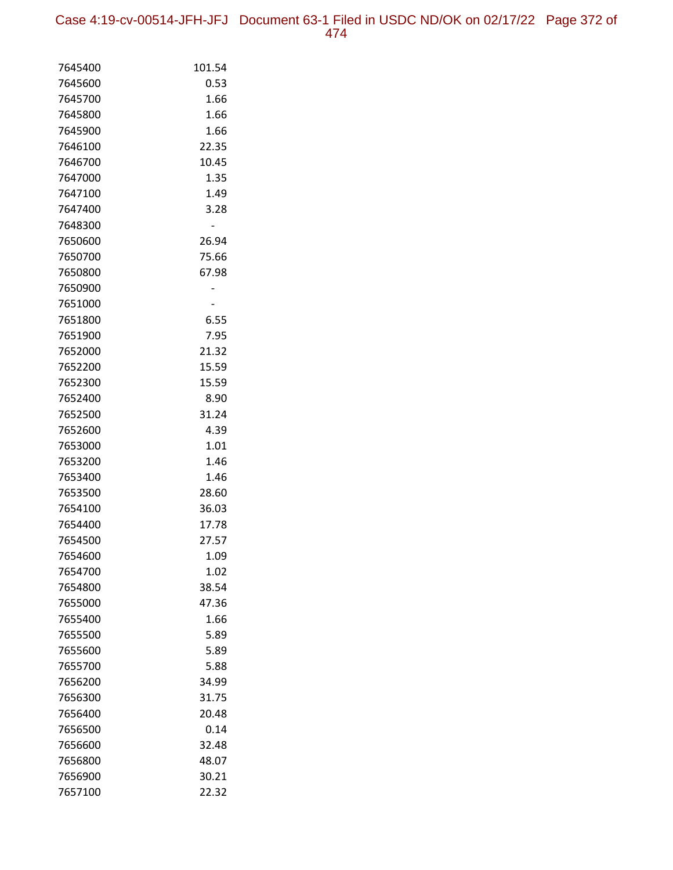| 7645400 | 101.54 |
|---------|--------|
| 7645600 | 0.53   |
| 7645700 | 1.66   |
| 7645800 | 1.66   |
| 7645900 | 1.66   |
| 7646100 | 22.35  |
| 7646700 | 10.45  |
| 7647000 | 1.35   |
| 7647100 | 1.49   |
| 7647400 | 3.28   |
| 7648300 |        |
| 7650600 | 26.94  |
| 7650700 | 75.66  |
| 7650800 | 67.98  |
| 7650900 |        |
| 7651000 |        |
| 7651800 | 6.55   |
| 7651900 | 7.95   |
| 7652000 | 21.32  |
| 7652200 | 15.59  |
| 7652300 | 15.59  |
| 7652400 | 8.90   |
| 7652500 | 31.24  |
| 7652600 | 4.39   |
| 7653000 | 1.01   |
| 7653200 | 1.46   |
| 7653400 | 1.46   |
| 7653500 | 28.60  |
| 7654100 | 36.03  |
| 7654400 | 17.78  |
| 7654500 | 27.57  |
| 7654600 | 1.09   |
| 7654700 | 1.02   |
| 7654800 | 38.54  |
| 7655000 | 47.36  |
| 7655400 | 1.66   |
| 7655500 | 5.89   |
| 7655600 | 5.89   |
| 7655700 | 5.88   |
| 7656200 | 34.99  |
| 7656300 | 31.75  |
| 7656400 | 20.48  |
| 7656500 | 0.14   |
| 7656600 | 32.48  |
| 7656800 | 48.07  |
| 7656900 | 30.21  |
| 7657100 | 22.32  |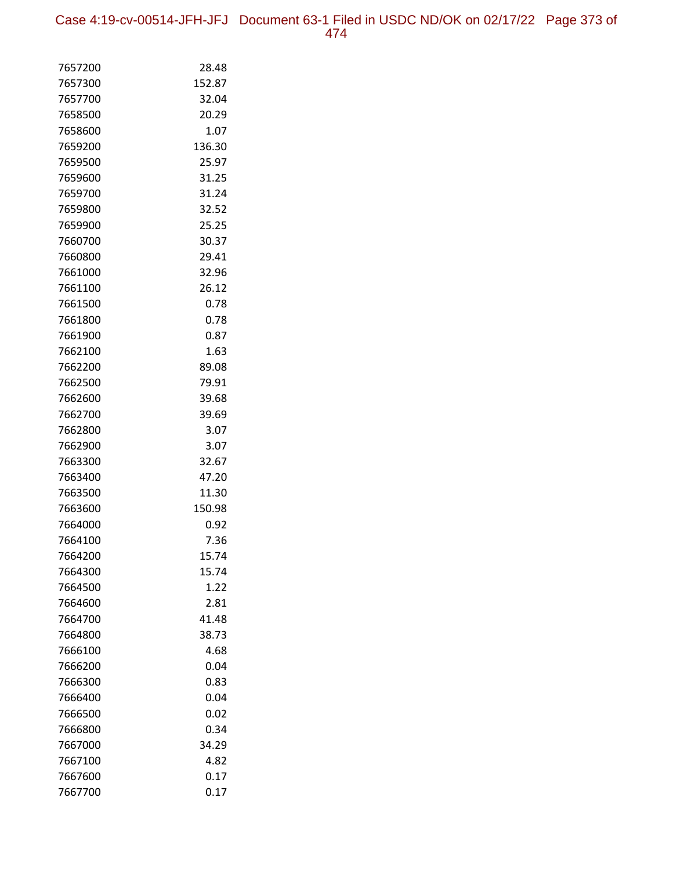Case 4:19-cv-00514-JFH-JFJ Document 63-1 Filed in USDC ND/OK on 02/17/22 Page 373 of 474

| 7657200<br>28.48<br>7657300<br>152.87<br>7657700<br>32.04<br>7658500<br>20.29<br>1.07<br>7658600<br>136.30<br>7659200<br>7659500<br>25.97<br>31.25<br>7659600<br>7659700<br>31.24<br>32.52<br>7659800<br>25.25<br>7659900<br>30.37<br>7660700<br>7660800<br>29.41<br>7661000<br>32.96<br>26.12<br>7661100<br>7661500<br>0.78<br>7661800<br>0.78<br>0.87<br>7661900<br>1.63<br>7662100<br>89.08<br>7662200<br>7662500<br>79.91<br>39.68<br>7662600<br>39.69<br>7662700<br>7662800<br>3.07<br>7662900<br>3.07<br>7663300<br>32.67<br>47.20<br>7663400<br>7663500<br>11.30<br>150.98<br>7663600<br>7664000<br>0.92<br>7.36<br>7664100<br>15.74<br>7664200<br>15.74<br>7664300<br>7664500<br>1.22<br>7664600<br>2.81<br>41.48<br>7664700<br>7664800<br>38.73<br>7666100<br>4.68<br>0.04<br>7666200<br>7666300<br>0.83<br>0.04<br>7666400<br>7666500<br>0.02<br>0.34<br>7666800<br>34.29<br>7667000<br>4.82<br>7667100 |         |      |
|-------------------------------------------------------------------------------------------------------------------------------------------------------------------------------------------------------------------------------------------------------------------------------------------------------------------------------------------------------------------------------------------------------------------------------------------------------------------------------------------------------------------------------------------------------------------------------------------------------------------------------------------------------------------------------------------------------------------------------------------------------------------------------------------------------------------------------------------------------------------------------------------------------------------|---------|------|
|                                                                                                                                                                                                                                                                                                                                                                                                                                                                                                                                                                                                                                                                                                                                                                                                                                                                                                                   |         |      |
|                                                                                                                                                                                                                                                                                                                                                                                                                                                                                                                                                                                                                                                                                                                                                                                                                                                                                                                   |         |      |
|                                                                                                                                                                                                                                                                                                                                                                                                                                                                                                                                                                                                                                                                                                                                                                                                                                                                                                                   |         |      |
|                                                                                                                                                                                                                                                                                                                                                                                                                                                                                                                                                                                                                                                                                                                                                                                                                                                                                                                   |         |      |
|                                                                                                                                                                                                                                                                                                                                                                                                                                                                                                                                                                                                                                                                                                                                                                                                                                                                                                                   |         |      |
|                                                                                                                                                                                                                                                                                                                                                                                                                                                                                                                                                                                                                                                                                                                                                                                                                                                                                                                   |         |      |
|                                                                                                                                                                                                                                                                                                                                                                                                                                                                                                                                                                                                                                                                                                                                                                                                                                                                                                                   |         |      |
|                                                                                                                                                                                                                                                                                                                                                                                                                                                                                                                                                                                                                                                                                                                                                                                                                                                                                                                   |         |      |
|                                                                                                                                                                                                                                                                                                                                                                                                                                                                                                                                                                                                                                                                                                                                                                                                                                                                                                                   |         |      |
|                                                                                                                                                                                                                                                                                                                                                                                                                                                                                                                                                                                                                                                                                                                                                                                                                                                                                                                   |         |      |
|                                                                                                                                                                                                                                                                                                                                                                                                                                                                                                                                                                                                                                                                                                                                                                                                                                                                                                                   |         |      |
|                                                                                                                                                                                                                                                                                                                                                                                                                                                                                                                                                                                                                                                                                                                                                                                                                                                                                                                   |         |      |
|                                                                                                                                                                                                                                                                                                                                                                                                                                                                                                                                                                                                                                                                                                                                                                                                                                                                                                                   |         |      |
|                                                                                                                                                                                                                                                                                                                                                                                                                                                                                                                                                                                                                                                                                                                                                                                                                                                                                                                   |         |      |
|                                                                                                                                                                                                                                                                                                                                                                                                                                                                                                                                                                                                                                                                                                                                                                                                                                                                                                                   |         |      |
|                                                                                                                                                                                                                                                                                                                                                                                                                                                                                                                                                                                                                                                                                                                                                                                                                                                                                                                   |         |      |
|                                                                                                                                                                                                                                                                                                                                                                                                                                                                                                                                                                                                                                                                                                                                                                                                                                                                                                                   |         |      |
|                                                                                                                                                                                                                                                                                                                                                                                                                                                                                                                                                                                                                                                                                                                                                                                                                                                                                                                   |         |      |
|                                                                                                                                                                                                                                                                                                                                                                                                                                                                                                                                                                                                                                                                                                                                                                                                                                                                                                                   |         |      |
|                                                                                                                                                                                                                                                                                                                                                                                                                                                                                                                                                                                                                                                                                                                                                                                                                                                                                                                   |         |      |
|                                                                                                                                                                                                                                                                                                                                                                                                                                                                                                                                                                                                                                                                                                                                                                                                                                                                                                                   |         |      |
|                                                                                                                                                                                                                                                                                                                                                                                                                                                                                                                                                                                                                                                                                                                                                                                                                                                                                                                   |         |      |
|                                                                                                                                                                                                                                                                                                                                                                                                                                                                                                                                                                                                                                                                                                                                                                                                                                                                                                                   |         |      |
|                                                                                                                                                                                                                                                                                                                                                                                                                                                                                                                                                                                                                                                                                                                                                                                                                                                                                                                   |         |      |
|                                                                                                                                                                                                                                                                                                                                                                                                                                                                                                                                                                                                                                                                                                                                                                                                                                                                                                                   |         |      |
|                                                                                                                                                                                                                                                                                                                                                                                                                                                                                                                                                                                                                                                                                                                                                                                                                                                                                                                   |         |      |
|                                                                                                                                                                                                                                                                                                                                                                                                                                                                                                                                                                                                                                                                                                                                                                                                                                                                                                                   |         |      |
|                                                                                                                                                                                                                                                                                                                                                                                                                                                                                                                                                                                                                                                                                                                                                                                                                                                                                                                   |         |      |
|                                                                                                                                                                                                                                                                                                                                                                                                                                                                                                                                                                                                                                                                                                                                                                                                                                                                                                                   |         |      |
|                                                                                                                                                                                                                                                                                                                                                                                                                                                                                                                                                                                                                                                                                                                                                                                                                                                                                                                   |         |      |
|                                                                                                                                                                                                                                                                                                                                                                                                                                                                                                                                                                                                                                                                                                                                                                                                                                                                                                                   |         |      |
|                                                                                                                                                                                                                                                                                                                                                                                                                                                                                                                                                                                                                                                                                                                                                                                                                                                                                                                   |         |      |
|                                                                                                                                                                                                                                                                                                                                                                                                                                                                                                                                                                                                                                                                                                                                                                                                                                                                                                                   |         |      |
|                                                                                                                                                                                                                                                                                                                                                                                                                                                                                                                                                                                                                                                                                                                                                                                                                                                                                                                   |         |      |
|                                                                                                                                                                                                                                                                                                                                                                                                                                                                                                                                                                                                                                                                                                                                                                                                                                                                                                                   |         |      |
|                                                                                                                                                                                                                                                                                                                                                                                                                                                                                                                                                                                                                                                                                                                                                                                                                                                                                                                   |         |      |
|                                                                                                                                                                                                                                                                                                                                                                                                                                                                                                                                                                                                                                                                                                                                                                                                                                                                                                                   |         |      |
|                                                                                                                                                                                                                                                                                                                                                                                                                                                                                                                                                                                                                                                                                                                                                                                                                                                                                                                   |         |      |
|                                                                                                                                                                                                                                                                                                                                                                                                                                                                                                                                                                                                                                                                                                                                                                                                                                                                                                                   |         |      |
|                                                                                                                                                                                                                                                                                                                                                                                                                                                                                                                                                                                                                                                                                                                                                                                                                                                                                                                   |         |      |
|                                                                                                                                                                                                                                                                                                                                                                                                                                                                                                                                                                                                                                                                                                                                                                                                                                                                                                                   |         |      |
|                                                                                                                                                                                                                                                                                                                                                                                                                                                                                                                                                                                                                                                                                                                                                                                                                                                                                                                   |         |      |
|                                                                                                                                                                                                                                                                                                                                                                                                                                                                                                                                                                                                                                                                                                                                                                                                                                                                                                                   |         |      |
|                                                                                                                                                                                                                                                                                                                                                                                                                                                                                                                                                                                                                                                                                                                                                                                                                                                                                                                   |         |      |
|                                                                                                                                                                                                                                                                                                                                                                                                                                                                                                                                                                                                                                                                                                                                                                                                                                                                                                                   |         |      |
|                                                                                                                                                                                                                                                                                                                                                                                                                                                                                                                                                                                                                                                                                                                                                                                                                                                                                                                   | 7667600 | 0.17 |
| 0.17<br>7667700                                                                                                                                                                                                                                                                                                                                                                                                                                                                                                                                                                                                                                                                                                                                                                                                                                                                                                   |         |      |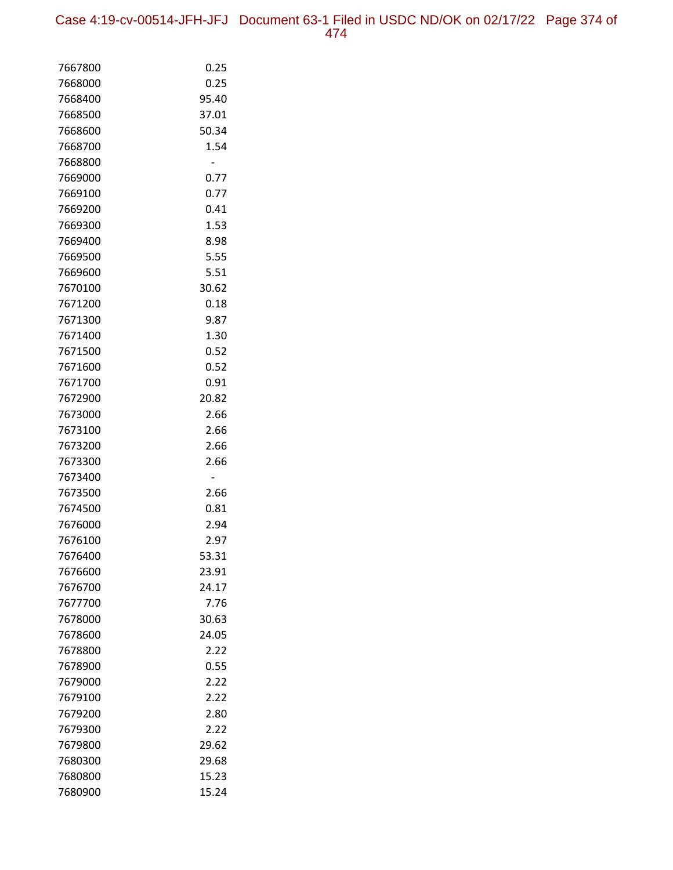Case 4:19-cv-00514-JFH-JFJ Document 63-1 Filed in USDC ND/OK on 02/17/22 Page 374 of 474

| 7667800            | 0.25          |
|--------------------|---------------|
| 7668000            | 0.25          |
| 7668400            | 95.40         |
| 7668500            | 37.01         |
| 7668600            | 50.34         |
| 7668700            | 1.54          |
| 7668800            |               |
| 7669000            | 0.77          |
| 7669100            | 0.77          |
| 7669200            | 0.41          |
| 7669300            | 1.53          |
| 7669400            | 8.98          |
| 7669500            | 5.55          |
| 7669600            | 5.51          |
| 7670100            | 30.62         |
| 7671200            | 0.18          |
| 7671300            | 9.87          |
| 7671400            | 1.30          |
| 7671500            | 0.52          |
| 7671600            | 0.52          |
| 7671700            | 0.91          |
| 7672900            | 20.82         |
| 7673000            | 2.66          |
| 7673100            | 2.66          |
| 7673200            | 2.66          |
| 7673300            | 2.66          |
| 7673400            |               |
| 7673500            | 2.66          |
| 7674500            | 0.81          |
| 7676000            | 2.94          |
| 7676100            | 2.97          |
| 7676400            | 53.31         |
| 7676600            | 23.91         |
| 7676700            | 24.17         |
| 7677700            | 7.76          |
| 7678000            | 30.63         |
| 7678600            | 24.05         |
| 7678800            | 2.22          |
| 7678900            | 0.55          |
| 7679000            | 2.22          |
| 7679100            | 2.22          |
| 7679200            | 2.80          |
| 7679300<br>7679800 | 2.22<br>29.62 |
| 7680300            | 29.68         |
| 7680800            | 15.23         |
| 7680900            | 15.24         |
|                    |               |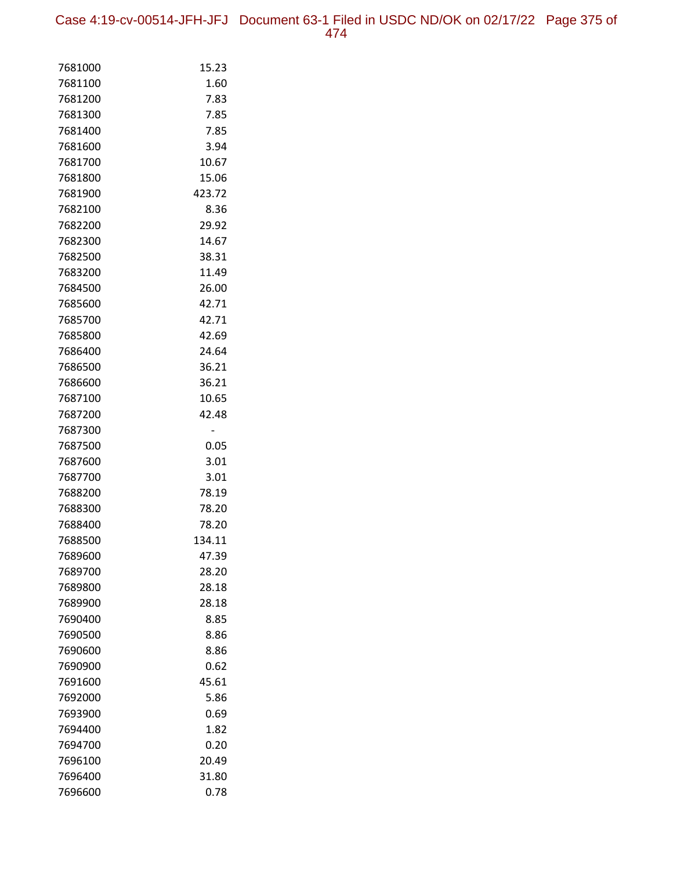Case 4:19-cv-00514-JFH-JFJ Document 63-1 Filed in USDC ND/OK on 02/17/22 Page 375 of 474

| 7681000            | 15.23          |
|--------------------|----------------|
| 7681100            | 1.60           |
| 7681200            | 7.83           |
| 7681300            | 7.85           |
| 7681400            | 7.85           |
| 7681600            | 3.94           |
| 7681700            | 10.67          |
| 7681800            | 15.06          |
| 7681900            | 423.72         |
| 7682100            | 8.36           |
| 7682200            | 29.92          |
| 7682300            | 14.67          |
| 7682500            | 38.31          |
| 7683200            | 11.49          |
| 7684500            | 26.00          |
| 7685600            | 42.71          |
| 7685700            | 42.71          |
| 7685800            | 42.69          |
| 7686400            | 24.64          |
| 7686500            | 36.21          |
| 7686600            | 36.21          |
| 7687100            | 10.65          |
| 7687200            | 42.48          |
| 7687300            |                |
| 7687500            | 0.05           |
| 7687600            | 3.01           |
| 7687700            | 3.01           |
| 7688200            | 78.19          |
| 7688300            | 78.20          |
| 7688400            | 78.20          |
| 7688500            | 134.11         |
| 7689600            | 47.39          |
| 7689700<br>7689800 | 28.20<br>28.18 |
| 7689900            | 28.18          |
| 7690400            | 8.85           |
| 7690500            | 8.86           |
| 7690600            | 8.86           |
| 7690900            | 0.62           |
| 7691600            | 45.61          |
| 7692000            | 5.86           |
| 7693900            | 0.69           |
| 7694400            | 1.82           |
| 7694700            | 0.20           |
| 7696100            | 20.49          |
| 7696400            | 31.80          |
| 7696600            | 0.78           |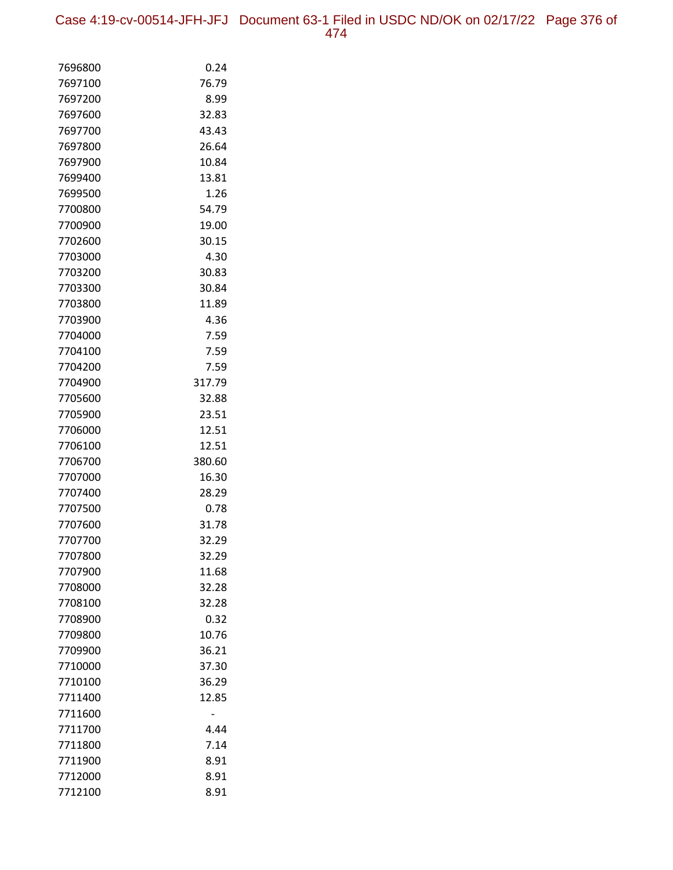Case 4:19-cv-00514-JFH-JFJ Document 63-1 Filed in USDC ND/OK on 02/17/22 Page 376 of 474

| 7696800 | 0.24   |
|---------|--------|
| 7697100 | 76.79  |
| 7697200 | 8.99   |
| 7697600 | 32.83  |
| 7697700 | 43.43  |
| 7697800 | 26.64  |
| 7697900 | 10.84  |
| 7699400 | 13.81  |
| 7699500 | 1.26   |
| 7700800 | 54.79  |
| 7700900 | 19.00  |
| 7702600 | 30.15  |
| 7703000 | 4.30   |
| 7703200 | 30.83  |
| 7703300 | 30.84  |
| 7703800 | 11.89  |
| 7703900 | 4.36   |
| 7704000 | 7.59   |
| 7704100 | 7.59   |
| 7704200 | 7.59   |
| 7704900 | 317.79 |
| 7705600 | 32.88  |
| 7705900 | 23.51  |
| 7706000 | 12.51  |
| 7706100 | 12.51  |
| 7706700 | 380.60 |
| 7707000 | 16.30  |
| 7707400 | 28.29  |
| 7707500 | 0.78   |
| 7707600 | 31.78  |
| 7707700 | 32.29  |
| 7707800 | 32.29  |
| 7707900 | 11.68  |
| 7708000 | 32.28  |
| 7708100 | 32.28  |
| 7708900 | 0.32   |
| 7709800 | 10.76  |
| 7709900 | 36.21  |
| 7710000 | 37.30  |
| 7710100 | 36.29  |
| 7711400 | 12.85  |
| 7711600 |        |
| 7711700 | 4.44   |
| 7711800 | 7.14   |
| 7711900 | 8.91   |
| 7712000 | 8.91   |
| 7712100 | 8.91   |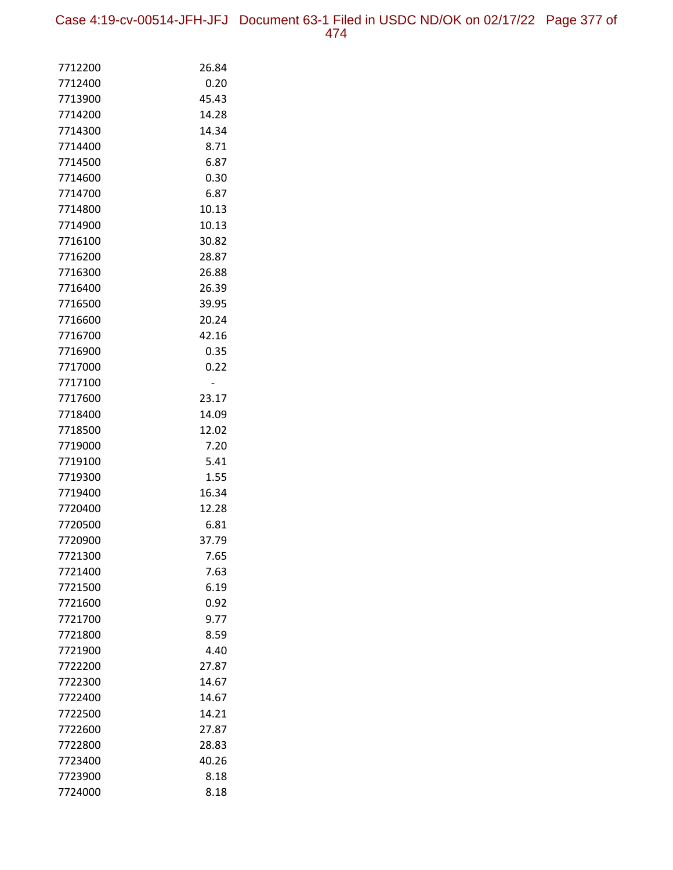Case 4:19-cv-00514-JFH-JFJ Document 63-1 Filed in USDC ND/OK on 02/17/22 Page 377 of 474

| 7712200 | 26.84 |
|---------|-------|
| 7712400 | 0.20  |
| 7713900 | 45.43 |
| 7714200 | 14.28 |
| 7714300 | 14.34 |
| 7714400 | 8.71  |
| 7714500 | 6.87  |
| 7714600 | 0.30  |
| 7714700 | 6.87  |
| 7714800 | 10.13 |
| 7714900 | 10.13 |
| 7716100 | 30.82 |
| 7716200 | 28.87 |
| 7716300 | 26.88 |
| 7716400 | 26.39 |
| 7716500 | 39.95 |
| 7716600 | 20.24 |
| 7716700 | 42.16 |
| 7716900 | 0.35  |
| 7717000 | 0.22  |
| 7717100 |       |
| 7717600 | 23.17 |
| 7718400 | 14.09 |
| 7718500 | 12.02 |
| 7719000 | 7.20  |
| 7719100 | 5.41  |
| 7719300 | 1.55  |
| 7719400 | 16.34 |
| 7720400 | 12.28 |
| 7720500 | 6.81  |
| 7720900 | 37.79 |
| 7721300 | 7.65  |
| 7721400 | 7.63  |
| 7721500 | 6.19  |
| 7721600 | 0.92  |
| 7721700 | 9.77  |
| 7721800 | 8.59  |
| 7721900 | 4.40  |
| 7722200 | 27.87 |
| 7722300 | 14.67 |
| 7722400 | 14.67 |
| 7722500 | 14.21 |
| 7722600 | 27.87 |
| 7722800 | 28.83 |
| 7723400 | 40.26 |
| 7723900 | 8.18  |
| 7724000 | 8.18  |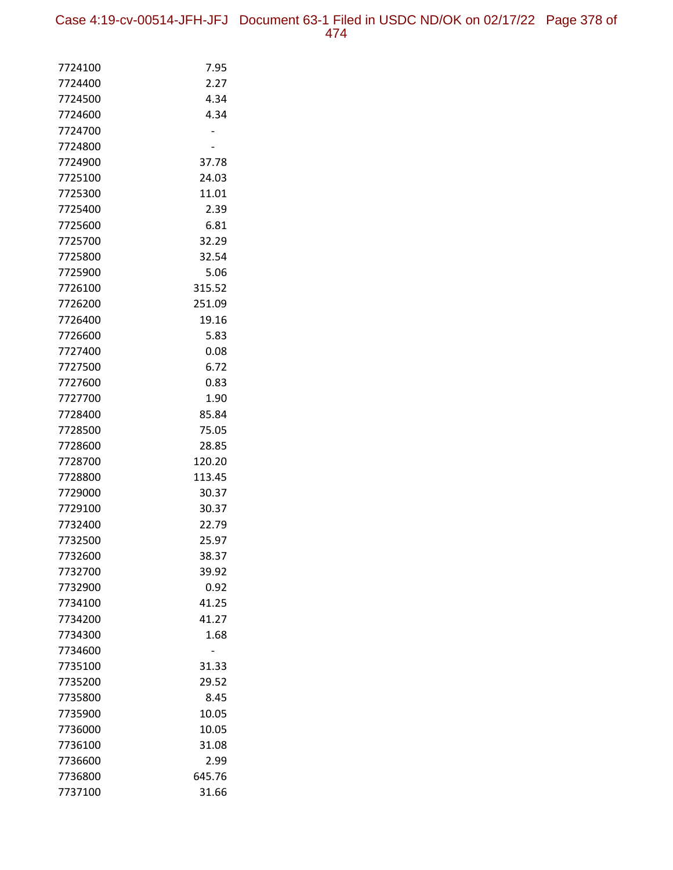Case 4:19-cv-00514-JFH-JFJ Document 63-1 Filed in USDC ND/OK on 02/17/22 Page 378 of

| 7724100            | 7.95            |
|--------------------|-----------------|
| 7724400            | 2.27            |
| 7724500            | 4.34            |
| 7724600            | 4.34            |
| 7724700            |                 |
| 7724800            |                 |
| 7724900            | 37.78           |
| 7725100            | 24.03           |
| 7725300            | 11.01           |
| 7725400            | 2.39            |
| 7725600            | 6.81            |
| 7725700            | 32.29           |
| 7725800            | 32.54           |
| 7725900            | 5.06            |
| 7726100            | 315.52          |
| 7726200            | 251.09          |
| 7726400            | 19.16           |
| 7726600            | 5.83            |
| 7727400            | 0.08            |
| 7727500            | 6.72            |
| 7727600            | 0.83            |
| 7727700            | 1.90            |
| 7728400            | 85.84           |
| 7728500            | 75.05           |
| 7728600            | 28.85           |
| 7728700            | 120.20          |
| 7728800<br>7729000 | 113.45<br>30.37 |
| 7729100            | 30.37           |
| 7732400            | 22.79           |
| 7732500            | 25.97           |
| 7732600            | 38.37           |
| 7732700            | 39.92           |
| 7732900            | 0.92            |
| 7734100            | 41.25           |
| 7734200            | 41.27           |
| 7734300            | 1.68            |
| 7734600            |                 |
| 7735100            | 31.33           |
| 7735200            | 29.52           |
| 7735800            | 8.45            |
| 7735900            | 10.05           |
| 7736000            | 10.05           |
| 7736100            | 31.08           |
| 7736600            | 2.99            |
| 7736800            | 645.76          |
| 7737100            | 31.66           |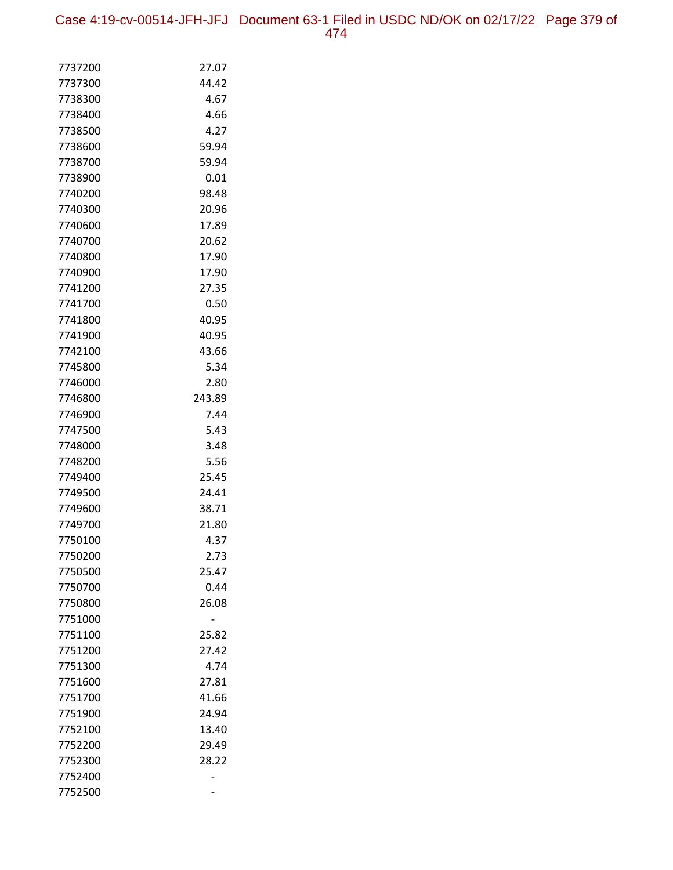Case 4:19-cv-00514-JFH-JFJ Document 63-1 Filed in USDC ND/OK on 02/17/22 Page 379 of 474

| 7737200            | 27.07          |
|--------------------|----------------|
| 7737300            | 44.42          |
| 7738300            | 4.67           |
| 7738400            | 4.66           |
| 7738500            | 4.27           |
| 7738600            | 59.94          |
| 7738700            | 59.94          |
| 7738900            | 0.01           |
| 7740200            | 98.48          |
| 7740300            | 20.96          |
| 7740600            | 17.89          |
| 7740700            | 20.62          |
| 7740800            | 17.90          |
| 7740900            | 17.90          |
| 7741200            | 27.35          |
| 7741700            | 0.50           |
| 7741800            | 40.95          |
| 7741900            | 40.95          |
| 7742100            | 43.66          |
| 7745800            | 5.34           |
| 7746000            | 2.80<br>243.89 |
| 7746800<br>7746900 | 7.44           |
| 7747500            | 5.43           |
| 7748000            | 3.48           |
| 7748200            | 5.56           |
| 7749400            | 25.45          |
| 7749500            | 24.41          |
| 7749600            | 38.71          |
| 7749700            | 21.80          |
| 7750100            | 4.37           |
| 7750200            | 2.73           |
| 7750500            | 25.47          |
| 7750700            | 0.44           |
| 7750800            | 26.08          |
| 7751000            |                |
| 7751100            | 25.82          |
| 7751200            | 27.42          |
| 7751300            | 4.74           |
| 7751600            | 27.81          |
| 7751700            | 41.66          |
| 7751900            | 24.94          |
| 7752100            | 13.40          |
| 7752200            | 29.49          |
| 7752300            | 28.22          |
| 7752400            |                |
| 7752500            |                |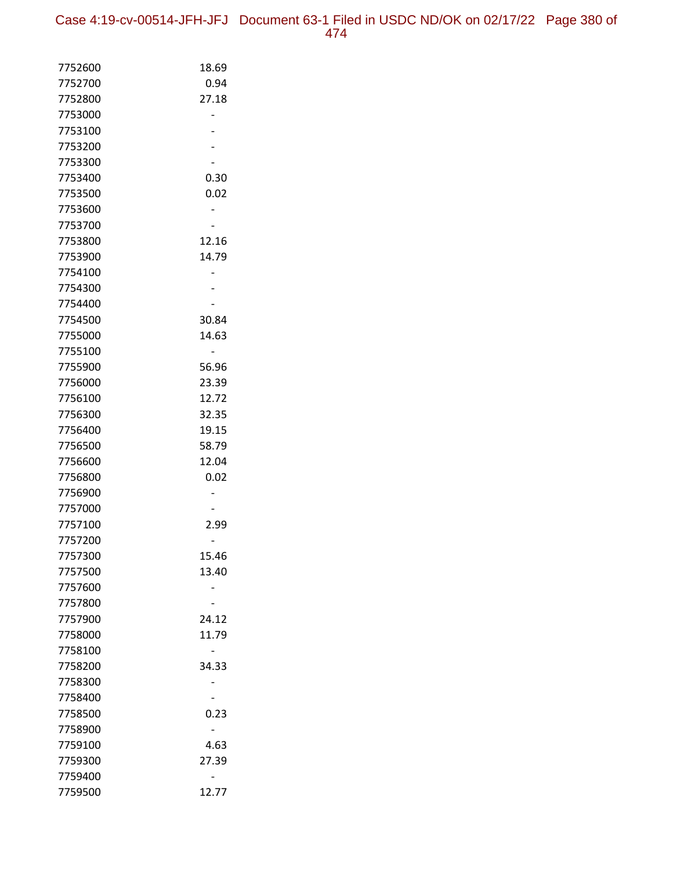| 7752600 | 18.69 |
|---------|-------|
| 7752700 | 0.94  |
| 7752800 | 27.18 |
| 7753000 |       |
| 7753100 |       |
| 7753200 |       |
| 7753300 |       |
| 7753400 | 0.30  |
| 7753500 | 0.02  |
| 7753600 |       |
| 7753700 |       |
| 7753800 | 12.16 |
| 7753900 | 14.79 |
| 7754100 |       |
| 7754300 |       |
| 7754400 |       |
| 7754500 | 30.84 |
| 7755000 | 14.63 |
| 7755100 |       |
| 7755900 | 56.96 |
| 7756000 | 23.39 |
| 7756100 | 12.72 |
| 7756300 | 32.35 |
| 7756400 | 19.15 |
| 7756500 | 58.79 |
| 7756600 | 12.04 |
| 7756800 | 0.02  |
| 7756900 |       |
| 7757000 |       |
| 7757100 | 2.99  |
| 7757200 |       |
| 7757300 | 15.46 |
| 7757500 | 13.40 |
| 7757600 |       |
| 7757800 |       |
| 7757900 | 24.12 |
| 7758000 | 11.79 |
| 7758100 |       |
| 7758200 | 34.33 |
| 7758300 |       |
| 7758400 |       |
| 7758500 | 0.23  |
| 7758900 |       |
| 7759100 | 4.63  |
| 7759300 | 27.39 |
| 7759400 |       |
| 7759500 | 12.77 |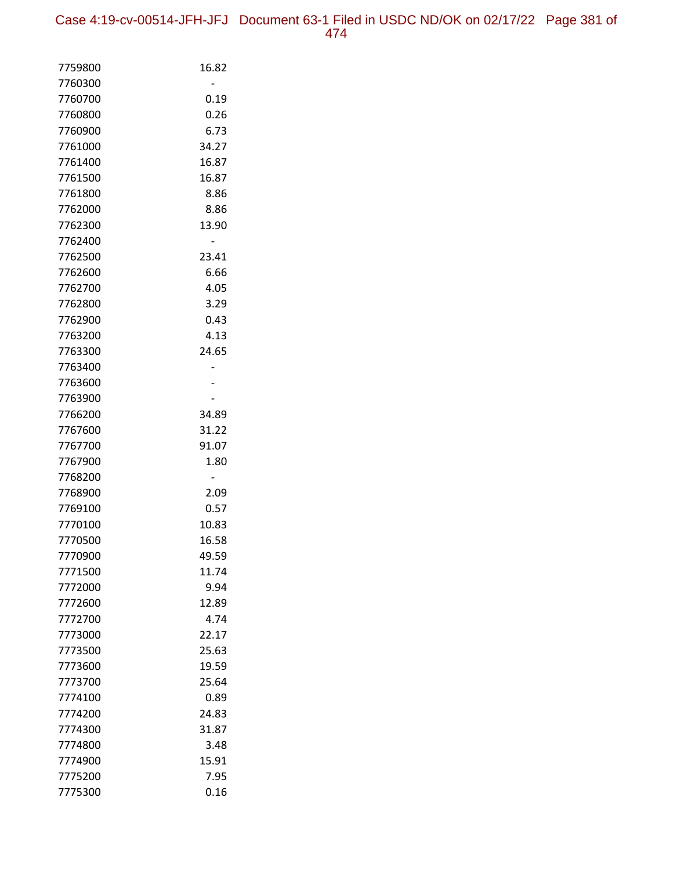| 7759800            | 16.82          |
|--------------------|----------------|
| 7760300            |                |
| 7760700            | 0.19           |
| 7760800            | 0.26           |
| 7760900            | 6.73           |
| 7761000            | 34.27          |
| 7761400            | 16.87          |
| 7761500            | 16.87          |
| 7761800            | 8.86           |
| 7762000            | 8.86           |
| 7762300            | 13.90          |
| 7762400            |                |
| 7762500            | 23.41          |
| 7762600            | 6.66           |
| 7762700            | 4.05           |
| 7762800            | 3.29           |
| 7762900            | 0.43           |
| 7763200            | 4.13           |
| 7763300            | 24.65          |
| 7763400            |                |
| 7763600            |                |
| 7763900            |                |
| 7766200            | 34.89          |
| 7767600            | 31.22          |
| 7767700            | 91.07          |
| 7767900            | 1.80           |
| 7768200            |                |
| 7768900            | 2.09           |
| 7769100            | 0.57           |
| 7770100            | 10.83          |
| 7770500<br>7770900 | 16.58<br>49.59 |
| 7771500            |                |
|                    | 11.74          |
| 7772000<br>7772600 | 9.94<br>12.89  |
| 7772700            | 4.74           |
| 7773000            | 22.17          |
| 7773500            | 25.63          |
| 7773600            | 19.59          |
| 7773700            | 25.64          |
| 7774100            | 0.89           |
| 7774200            | 24.83          |
| 7774300            | 31.87          |
| 7774800            | 3.48           |
| 7774900            | 15.91          |
| 7775200            | 7.95           |
| 7775300            | 0.16           |
|                    |                |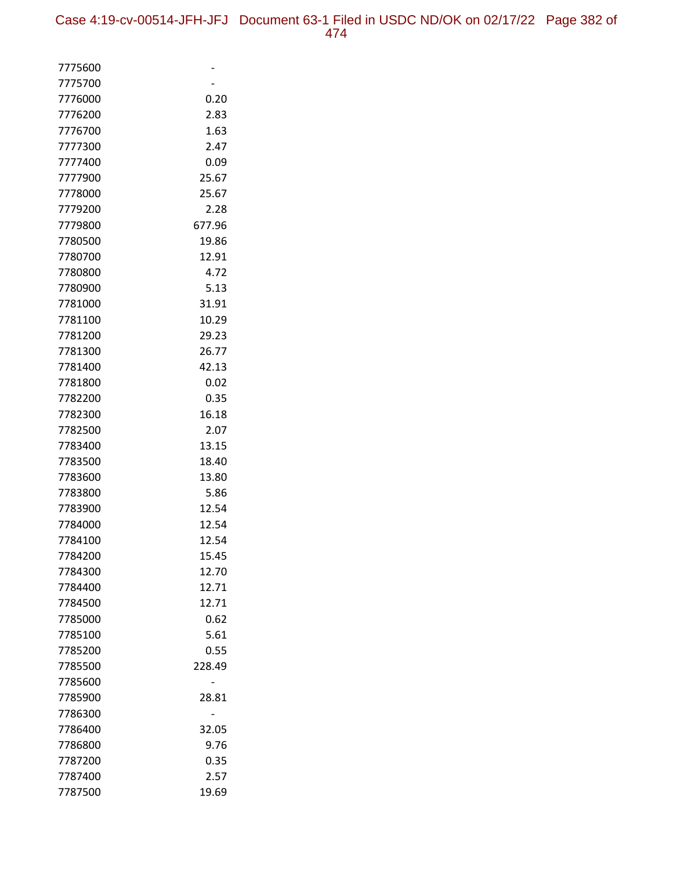| 7775600            |        |
|--------------------|--------|
| 7775700            |        |
| 7776000            | 0.20   |
| 7776200            | 2.83   |
| 7776700            | 1.63   |
| 7777300            | 2.47   |
| 7777400            | 0.09   |
| 7777900            | 25.67  |
| 7778000            | 25.67  |
| 7779200            | 2.28   |
| 7779800            | 677.96 |
| 7780500            | 19.86  |
| 7780700            | 12.91  |
| 7780800            | 4.72   |
| 7780900            | 5.13   |
| 7781000            | 31.91  |
| 7781100            | 10.29  |
| 7781200            | 29.23  |
| 7781300            | 26.77  |
| 7781400            | 42.13  |
| 7781800            | 0.02   |
| 7782200            | 0.35   |
| 7782300            | 16.18  |
| 7782500            | 2.07   |
| 7783400            | 13.15  |
| 7783500            | 18.40  |
| 7783600            | 13.80  |
| 7783800            | 5.86   |
| 7783900            | 12.54  |
| 7784000            | 12.54  |
| 7784100            | 12.54  |
| 7784200            | 15.45  |
| 7784300            | 12.70  |
| 7784400            | 12.71  |
| 7784500            | 12.71  |
| 7785000            | 0.62   |
| 7785100            | 5.61   |
| 7785200            | 0.55   |
| 7785500            | 228.49 |
| 7785600            |        |
| 7785900            | 28.81  |
| 7786300<br>7786400 | 32.05  |
| 7786800            | 9.76   |
| 7787200            | 0.35   |
| 7787400            | 2.57   |
| 7787500            | 19.69  |
|                    |        |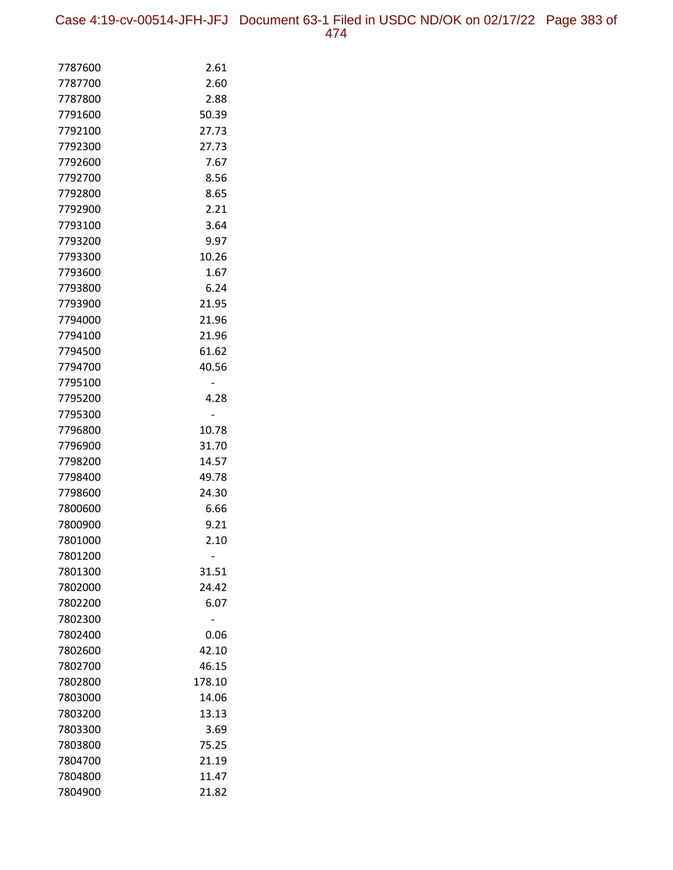| 7787600            | 2.61          |
|--------------------|---------------|
| 7787700            | 2.60          |
| 7787800            | 2.88          |
| 7791600            | 50.39         |
| 7792100            | 27.73         |
| 7792300            | 27.73         |
| 7792600            | 7.67          |
| 7792700            | 8.56          |
| 7792800            | 8.65          |
| 7792900            | 2.21          |
| 7793100            | 3.64          |
| 7793200            | 9.97          |
| 7793300            | 10.26         |
| 7793600            | 1.67          |
| 7793800            | 6.24          |
| 7793900            | 21.95         |
| 7794000            | 21.96         |
| 7794100            | 21.96         |
| 7794500            | 61.62         |
| 7794700            | 40.56         |
| 7795100            |               |
| 7795200            | 4.28          |
| 7795300            |               |
| 7796800            | 10.78         |
| 7796900            | 31.70         |
| 7798200            | 14.57         |
| 7798400            | 49.78         |
| 7798600            | 24.30         |
| 7800600            | 6.66          |
| 7800900            | 9.21          |
| 7801000            | 2.10          |
| 7801200            |               |
| 7801300            | 31.51         |
| 7802000<br>7802200 | 24.42<br>6.07 |
| 7802300            |               |
| 7802400            | 0.06          |
| 7802600            | 42.10         |
| 7802700            | 46.15         |
| 7802800            | 178.10        |
| 7803000            | 14.06         |
| 7803200            | 13.13         |
| 7803300            | 3.69          |
| 7803800            | 75.25         |
| 7804700            | 21.19         |
| 7804800            | 11.47         |
| 7804900            | 21.82         |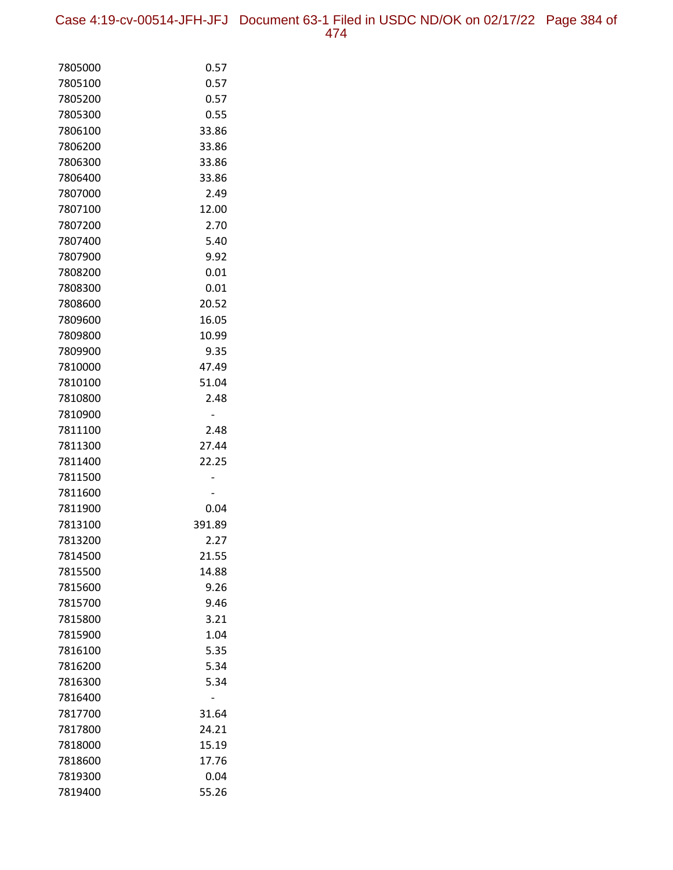Case 4:19-cv-00514-JFH-JFJ Document 63-1 Filed in USDC ND/OK on 02/17/22 Page 384 of 474

| 7805000 | 0.57   |
|---------|--------|
| 7805100 | 0.57   |
| 7805200 | 0.57   |
| 7805300 | 0.55   |
| 7806100 | 33.86  |
| 7806200 | 33.86  |
| 7806300 | 33.86  |
| 7806400 | 33.86  |
| 7807000 | 2.49   |
| 7807100 | 12.00  |
| 7807200 | 2.70   |
| 7807400 | 5.40   |
| 7807900 | 9.92   |
| 7808200 | 0.01   |
| 7808300 | 0.01   |
| 7808600 | 20.52  |
| 7809600 | 16.05  |
| 7809800 | 10.99  |
| 7809900 | 9.35   |
| 7810000 | 47.49  |
| 7810100 | 51.04  |
| 7810800 | 2.48   |
| 7810900 |        |
| 7811100 | 2.48   |
| 7811300 | 27.44  |
| 7811400 | 22.25  |
| 7811500 |        |
| 7811600 |        |
| 7811900 | 0.04   |
| 7813100 | 391.89 |
| 7813200 | 2.27   |
| 7814500 | 21.55  |
| 7815500 | 14.88  |
| 7815600 | 9.26   |
| 7815700 | 9.46   |
| 7815800 | 3.21   |
| 7815900 | 1.04   |
| 7816100 | 5.35   |
| 7816200 | 5.34   |
| 7816300 | 5.34   |
| 7816400 |        |
| 7817700 | 31.64  |
| 7817800 | 24.21  |
| 7818000 | 15.19  |
| 7818600 | 17.76  |
| 7819300 | 0.04   |
| 7819400 | 55.26  |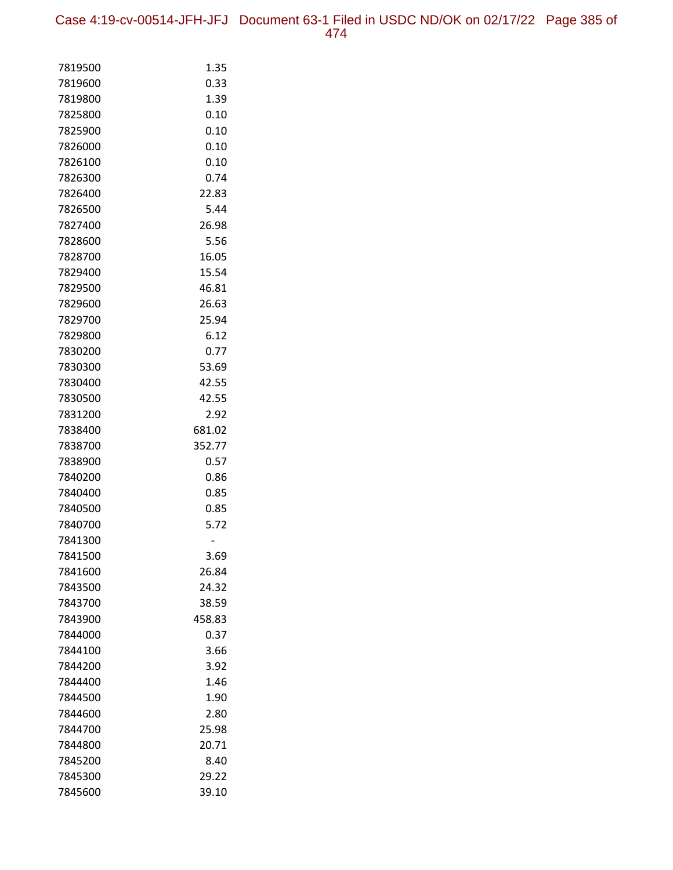Case 4:19-cv-00514-JFH-JFJ Document 63-1 Filed in USDC ND/OK on 02/17/22 Page 385 of 474

| 7819500            | 1.35           |
|--------------------|----------------|
| 7819600            | 0.33           |
| 7819800            | 1.39           |
| 7825800            | 0.10           |
| 7825900            | 0.10           |
| 7826000            | 0.10           |
| 7826100            | 0.10           |
| 7826300            | 0.74           |
| 7826400            | 22.83          |
| 7826500            | 5.44           |
| 7827400            | 26.98          |
| 7828600            | 5.56           |
| 7828700            | 16.05          |
| 7829400            | 15.54          |
| 7829500            | 46.81          |
| 7829600            | 26.63          |
| 7829700            | 25.94          |
| 7829800            | 6.12           |
| 7830200            | 0.77           |
| 7830300            | 53.69          |
| 7830400            | 42.55          |
| 7830500            | 42.55          |
| 7831200            | 2.92           |
| 7838400            | 681.02         |
| 7838700            | 352.77         |
| 7838900            | 0.57           |
| 7840200            | 0.86           |
| 7840400            | 0.85           |
| 7840500            | 0.85           |
| 7840700            | 5.72           |
| 7841300            |                |
| 7841500            | 3.69           |
| 7841600            | 26.84          |
| 7843500<br>7843700 | 24.32<br>38.59 |
| 7843900            | 458.83         |
| 7844000            | 0.37           |
| 7844100            | 3.66           |
| 7844200            | 3.92           |
| 7844400            | 1.46           |
| 7844500            | 1.90           |
| 7844600            | 2.80           |
| 7844700            | 25.98          |
| 7844800            | 20.71          |
| 7845200            | 8.40           |
| 7845300            | 29.22          |
| 7845600            | 39.10          |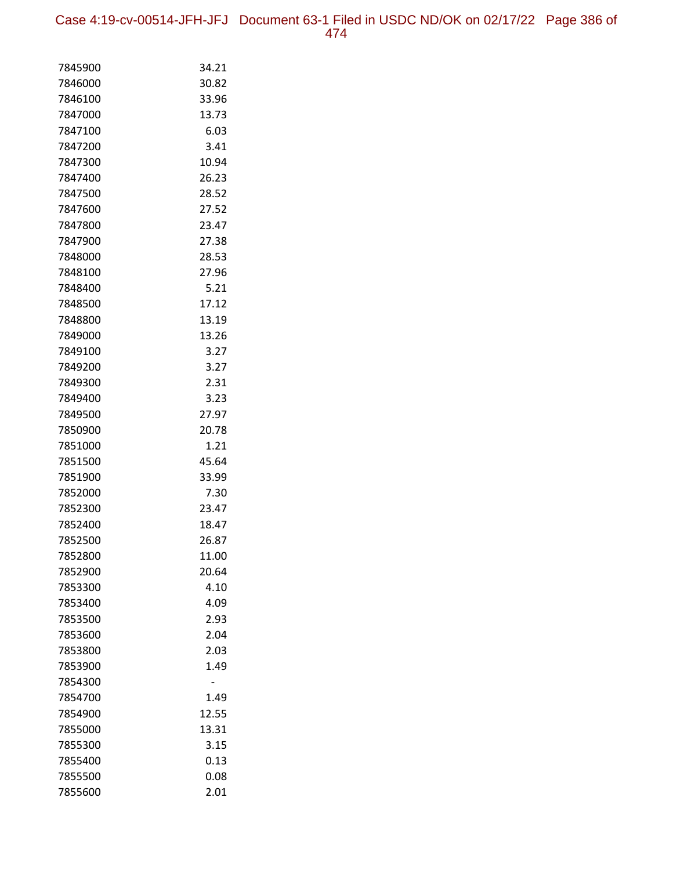Case 4:19-cv-00514-JFH-JFJ Document 63-1 Filed in USDC ND/OK on 02/17/22 Page 386 of 474

| 7845900            | 34.21         |
|--------------------|---------------|
| 7846000            | 30.82         |
| 7846100            | 33.96         |
| 7847000            | 13.73         |
| 7847100            | 6.03          |
| 7847200            | 3.41          |
| 7847300            | 10.94         |
| 7847400            | 26.23         |
| 7847500            | 28.52         |
| 7847600            | 27.52         |
| 7847800            | 23.47         |
| 7847900            | 27.38         |
| 7848000            | 28.53         |
| 7848100            | 27.96         |
| 7848400            | 5.21          |
| 7848500            | 17.12         |
| 7848800            | 13.19         |
| 7849000            | 13.26         |
| 7849100            | 3.27          |
| 7849200            | 3.27          |
| 7849300            | 2.31          |
| 7849400            | 3.23          |
| 7849500            | 27.97         |
| 7850900            | 20.78         |
| 7851000            | 1.21          |
| 7851500            | 45.64         |
| 7851900            | 33.99<br>7.30 |
| 7852000<br>7852300 | 23.47         |
| 7852400            | 18.47         |
| 7852500            | 26.87         |
| 7852800            | 11.00         |
| 7852900            | 20.64         |
| 7853300            | 4.10          |
| 7853400            | 4.09          |
| 7853500            | 2.93          |
| 7853600            | 2.04          |
| 7853800            | 2.03          |
| 7853900            | 1.49          |
| 7854300            |               |
| 7854700            | 1.49          |
| 7854900            | 12.55         |
| 7855000            | 13.31         |
| 7855300            | 3.15          |
| 7855400            | 0.13          |
| 7855500            | 0.08          |
| 7855600            | 2.01          |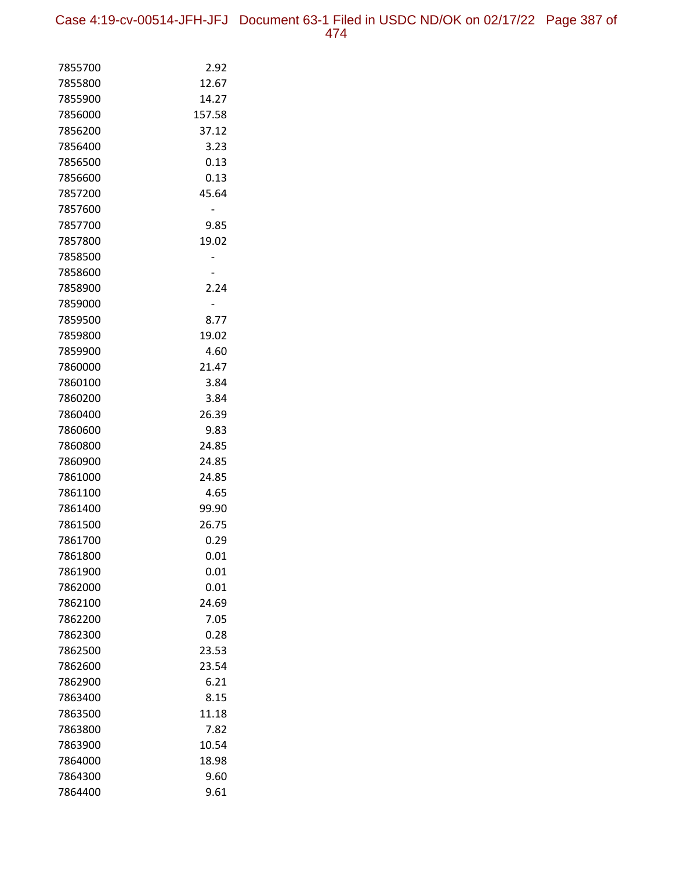Case 4:19-cv-00514-JFH-JFJ Document 63-1 Filed in USDC ND/OK on 02/17/22 Page 387 of 474

| 7855700            | 2.92         |
|--------------------|--------------|
| 7855800            | 12.67        |
| 7855900            | 14.27        |
| 7856000            | 157.58       |
| 7856200            | 37.12        |
| 7856400            | 3.23         |
| 7856500            | 0.13         |
| 7856600            | 0.13         |
| 7857200            | 45.64        |
| 7857600            |              |
| 7857700            | 9.85         |
| 7857800            | 19.02        |
| 7858500            |              |
| 7858600            |              |
| 7858900            | 2.24         |
| 7859000            | -            |
| 7859500            | 8.77         |
| 7859800            | 19.02        |
| 7859900            | 4.60         |
| 7860000            | 21.47        |
| 7860100            | 3.84         |
| 7860200            | 3.84         |
| 7860400            | 26.39        |
| 7860600            | 9.83         |
| 7860800            | 24.85        |
| 7860900            | 24.85        |
| 7861000            | 24.85        |
| 7861100            | 4.65         |
| 7861400            | 99.90        |
| 7861500            | 26.75        |
| 7861700            | 0.29         |
| 7861800            | 0.01<br>0.01 |
| 7861900<br>7862000 | 0.01         |
| 7862100            | 24.69        |
| 7862200            | 7.05         |
| 7862300            | 0.28         |
| 7862500            | 23.53        |
| 7862600            | 23.54        |
| 7862900            | 6.21         |
| 7863400            | 8.15         |
| 7863500            | 11.18        |
| 7863800            | 7.82         |
| 7863900            | 10.54        |
| 7864000            | 18.98        |
| 7864300            | 9.60         |
| 7864400            | 9.61         |
|                    |              |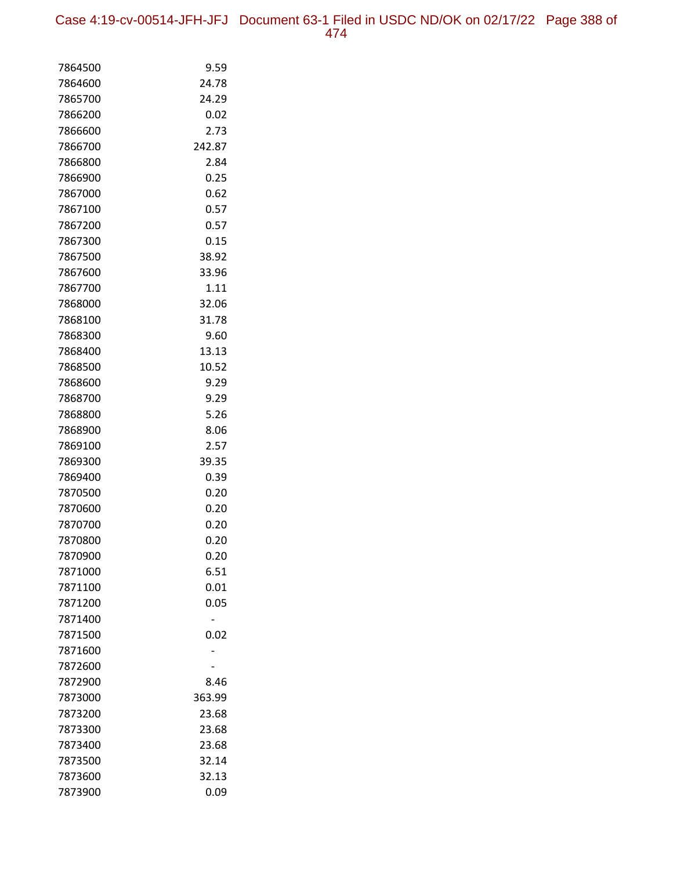Case 4:19-cv-00514-JFH-JFJ Document 63-1 Filed in USDC ND/OK on 02/17/22 Page 388 of 474

| 7864500            | 9.59         |
|--------------------|--------------|
| 7864600            | 24.78        |
| 7865700            | 24.29        |
| 7866200            | 0.02         |
| 7866600            | 2.73         |
| 7866700            | 242.87       |
| 7866800            | 2.84         |
| 7866900            | 0.25         |
| 7867000            | 0.62         |
| 7867100            | 0.57         |
| 7867200            | 0.57         |
| 7867300            | 0.15         |
| 7867500            | 38.92        |
| 7867600            | 33.96        |
| 7867700            | 1.11         |
| 7868000            | 32.06        |
| 7868100            | 31.78        |
| 7868300            | 9.60         |
| 7868400            | 13.13        |
| 7868500            | 10.52        |
| 7868600            | 9.29         |
| 7868700            | 9.29         |
| 7868800            | 5.26         |
| 7868900            | 8.06         |
| 7869100            | 2.57         |
| 7869300            | 39.35        |
| 7869400            | 0.39         |
| 7870500            | 0.20         |
| 7870600            | 0.20         |
| 7870700            | 0.20         |
| 7870800            | 0.20         |
| 7870900            | 0.20         |
| 7871000<br>7871100 | 6.51<br>0.01 |
| 7871200            | 0.05         |
| 7871400            |              |
| 7871500            | 0.02         |
| 7871600            |              |
| 7872600            |              |
| 7872900            | 8.46         |
| 7873000            | 363.99       |
| 7873200            | 23.68        |
| 7873300            | 23.68        |
| 7873400            | 23.68        |
| 7873500            | 32.14        |
| 7873600            | 32.13        |
| 7873900            | 0.09         |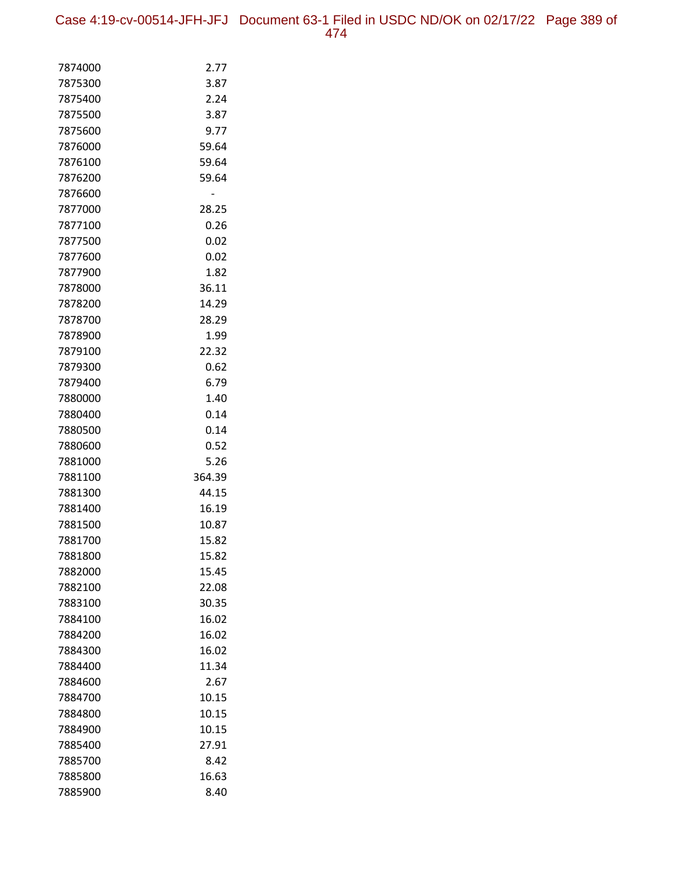| 7874000 | 2.77   |
|---------|--------|
| 7875300 | 3.87   |
| 7875400 | 2.24   |
| 7875500 | 3.87   |
| 7875600 | 9.77   |
| 7876000 | 59.64  |
| 7876100 | 59.64  |
| 7876200 | 59.64  |
| 7876600 |        |
| 7877000 | 28.25  |
| 7877100 | 0.26   |
| 7877500 | 0.02   |
| 7877600 | 0.02   |
| 7877900 | 1.82   |
| 7878000 | 36.11  |
| 7878200 | 14.29  |
| 7878700 | 28.29  |
| 7878900 | 1.99   |
| 7879100 | 22.32  |
| 7879300 | 0.62   |
| 7879400 | 6.79   |
| 7880000 | 1.40   |
| 7880400 | 0.14   |
| 7880500 | 0.14   |
| 7880600 | 0.52   |
| 7881000 | 5.26   |
| 7881100 | 364.39 |
| 7881300 | 44.15  |
| 7881400 | 16.19  |
| 7881500 | 10.87  |
| 7881700 | 15.82  |
| 7881800 | 15.82  |
| 7882000 | 15.45  |
| 7882100 | 22.08  |
| 7883100 | 30.35  |
| 7884100 | 16.02  |
| 7884200 | 16.02  |
| 7884300 | 16.02  |
| 7884400 | 11.34  |
| 7884600 | 2.67   |
| 7884700 | 10.15  |
| 7884800 | 10.15  |
| 7884900 | 10.15  |
| 7885400 | 27.91  |
| 7885700 | 8.42   |
| 7885800 | 16.63  |
| 7885900 | 8.40   |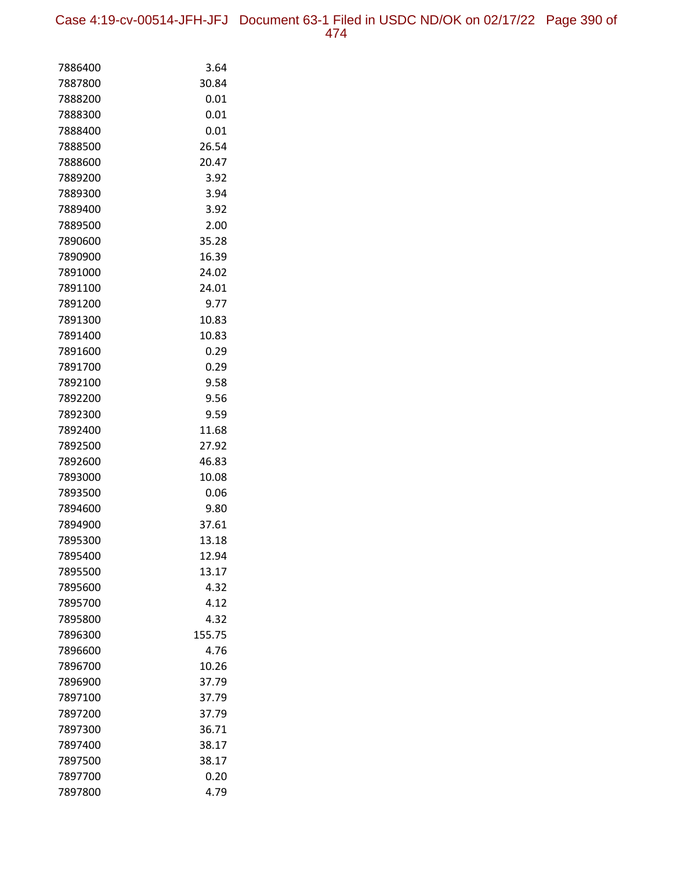Case 4:19-cv-00514-JFH-JFJ Document 63-1 Filed in USDC ND/OK on 02/17/22 Page 390 of 474

| 7886400            | 3.64          |
|--------------------|---------------|
| 7887800            | 30.84         |
| 7888200            | 0.01          |
| 7888300            | 0.01          |
| 7888400            | 0.01          |
| 7888500            | 26.54         |
| 7888600            | 20.47         |
| 7889200            | 3.92          |
| 7889300            | 3.94          |
| 7889400            | 3.92          |
| 7889500            | 2.00          |
| 7890600            | 35.28         |
| 7890900            | 16.39         |
| 7891000            | 24.02         |
| 7891100            | 24.01         |
| 7891200            | 9.77          |
| 7891300            | 10.83         |
| 7891400            | 10.83         |
| 7891600            | 0.29          |
| 7891700            | 0.29          |
| 7892100            | 9.58          |
| 7892200            | 9.56          |
| 7892300            | 9.59          |
| 7892400            | 11.68         |
| 7892500            | 27.92         |
| 7892600            | 46.83         |
| 7893000<br>7893500 | 10.08<br>0.06 |
| 7894600            | 9.80          |
| 7894900            | 37.61         |
| 7895300            | 13.18         |
| 7895400            | 12.94         |
| 7895500            | 13.17         |
| 7895600            | 4.32          |
| 7895700            | 4.12          |
| 7895800            | 4.32          |
| 7896300            | 155.75        |
| 7896600            | 4.76          |
| 7896700            | 10.26         |
| 7896900            | 37.79         |
| 7897100            | 37.79         |
| 7897200            | 37.79         |
| 7897300            | 36.71         |
| 7897400            | 38.17         |
| 7897500            | 38.17         |
| 7897700            | 0.20          |
| 7897800            | 4.79          |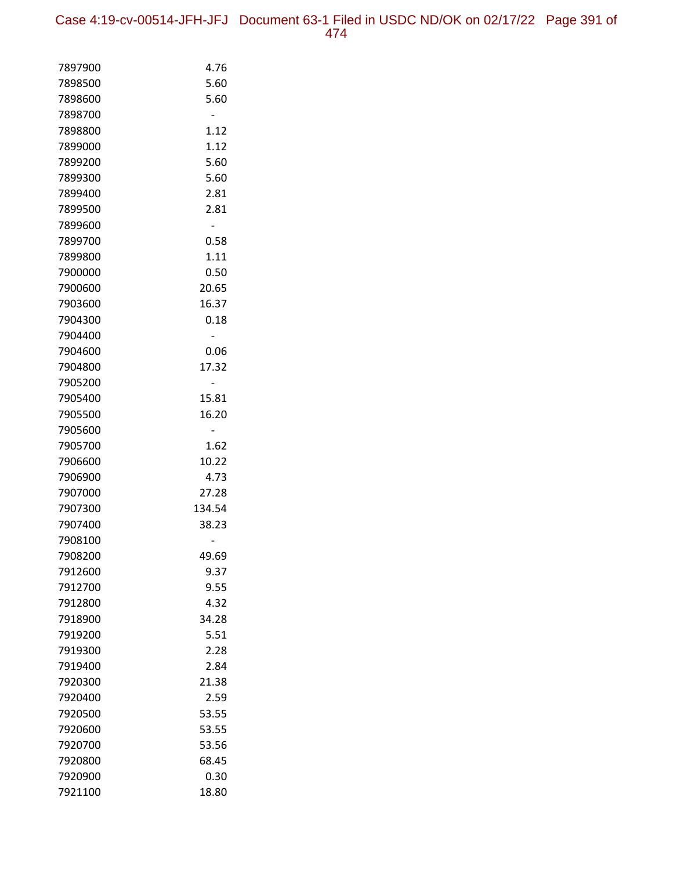| 7897900 | 4.76   |
|---------|--------|
| 7898500 | 5.60   |
| 7898600 | 5.60   |
| 7898700 |        |
| 7898800 | 1.12   |
| 7899000 | 1.12   |
| 7899200 | 5.60   |
| 7899300 | 5.60   |
| 7899400 | 2.81   |
| 7899500 | 2.81   |
| 7899600 |        |
| 7899700 | 0.58   |
| 7899800 | 1.11   |
| 7900000 | 0.50   |
| 7900600 | 20.65  |
| 7903600 | 16.37  |
| 7904300 | 0.18   |
| 7904400 |        |
| 7904600 | 0.06   |
| 7904800 | 17.32  |
| 7905200 |        |
| 7905400 | 15.81  |
| 7905500 | 16.20  |
| 7905600 |        |
| 7905700 | 1.62   |
| 7906600 | 10.22  |
| 7906900 | 4.73   |
| 7907000 | 27.28  |
| 7907300 | 134.54 |
| 7907400 | 38.23  |
| 7908100 |        |
| 7908200 | 49.69  |
| 7912600 | 9.37   |
| 7912700 | 9.55   |
| 7912800 | 4.32   |
| 7918900 | 34.28  |
| 7919200 | 5.51   |
| 7919300 | 2.28   |
| 7919400 | 2.84   |
| 7920300 | 21.38  |
| 7920400 | 2.59   |
| 7920500 | 53.55  |
| 7920600 | 53.55  |
| 7920700 | 53.56  |
| 7920800 | 68.45  |
| 7920900 | 0.30   |
| 7921100 | 18.80  |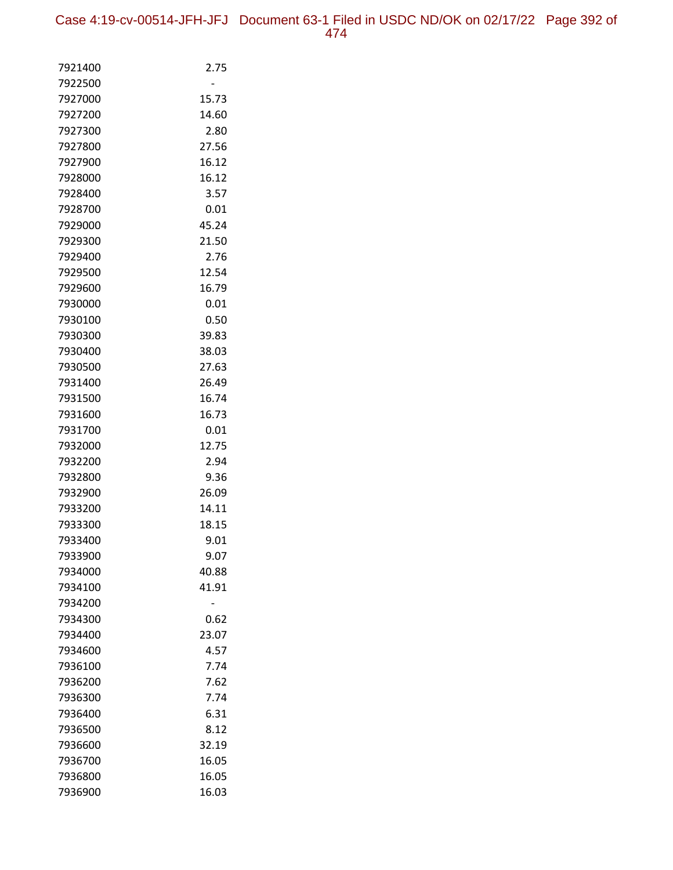| 7921400            | 2.75           |
|--------------------|----------------|
| 7922500            |                |
| 7927000            | 15.73          |
| 7927200            | 14.60          |
| 7927300            | 2.80           |
| 7927800            | 27.56          |
| 7927900            | 16.12          |
| 7928000            | 16.12          |
| 7928400            | 3.57           |
| 7928700            | 0.01           |
| 7929000            | 45.24          |
| 7929300            | 21.50          |
| 7929400            | 2.76           |
| 7929500            | 12.54          |
| 7929600            | 16.79          |
| 7930000            | 0.01           |
| 7930100            | 0.50           |
| 7930300            | 39.83          |
| 7930400            | 38.03          |
| 7930500            | 27.63          |
| 7931400            | 26.49          |
| 7931500<br>7931600 | 16.74<br>16.73 |
| 7931700            | 0.01           |
| 7932000            | 12.75          |
| 7932200            | 2.94           |
| 7932800            | 9.36           |
| 7932900            | 26.09          |
| 7933200            | 14.11          |
| 7933300            | 18.15          |
| 7933400            | 9.01           |
| 7933900            | 9.07           |
| 7934000            | 40.88          |
| 7934100            | 41.91          |
| 7934200            |                |
| 7934300            | 0.62           |
| 7934400            | 23.07          |
| 7934600            | 4.57           |
| 7936100            | 7.74           |
| 7936200            | 7.62           |
| 7936300            | 7.74           |
| 7936400            | 6.31           |
| 7936500            | 8.12           |
| 7936600            | 32.19          |
| 7936700            | 16.05          |
| 7936800            | 16.05          |
| 7936900            | 16.03          |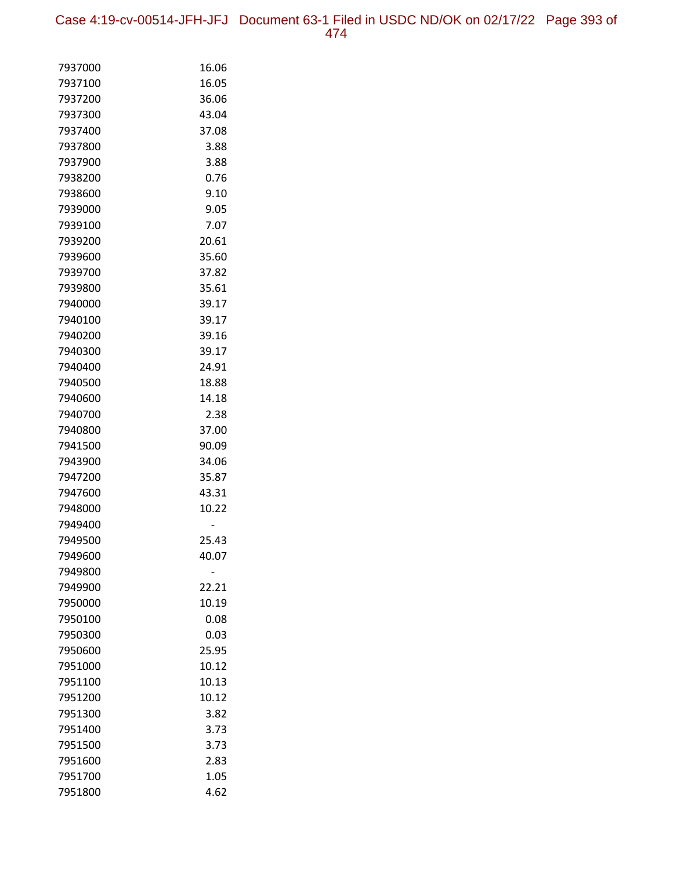Case 4:19-cv-00514-JFH-JFJ Document 63-1 Filed in USDC ND/OK on 02/17/22 Page 393 of 474

| 7937000            | 16.06          |
|--------------------|----------------|
| 7937100            | 16.05          |
| 7937200            | 36.06          |
| 7937300            | 43.04          |
| 7937400            | 37.08          |
| 7937800            | 3.88           |
| 7937900            | 3.88           |
| 7938200            | 0.76           |
| 7938600            | 9.10           |
| 7939000            | 9.05           |
| 7939100            | 7.07           |
| 7939200            | 20.61          |
| 7939600            | 35.60          |
| 7939700            | 37.82          |
| 7939800            | 35.61          |
| 7940000            | 39.17          |
| 7940100            | 39.17          |
| 7940200            | 39.16          |
| 7940300            | 39.17          |
| 7940400            | 24.91          |
| 7940500            | 18.88          |
| 7940600            | 14.18          |
| 7940700            | 2.38           |
| 7940800            | 37.00          |
| 7941500            | 90.09          |
| 7943900            | 34.06          |
| 7947200            | 35.87          |
| 7947600            | 43.31          |
| 7948000            | 10.22          |
| 7949400            |                |
| 7949500            | 25.43          |
| 7949600            | 40.07          |
| 7949800            |                |
| 7949900            | 22.21          |
| 7950000            | 10.19          |
| 7950100            | 0.08           |
| 7950300            | 0.03           |
| 7950600            | 25.95          |
| 7951000            | 10.12          |
| 7951100            | 10.13<br>10.12 |
| 7951200            |                |
| 7951300<br>7951400 | 3.82<br>3.73   |
| 7951500            | 3.73           |
| 7951600            | 2.83           |
| 7951700            | 1.05           |
| 7951800            | 4.62           |
|                    |                |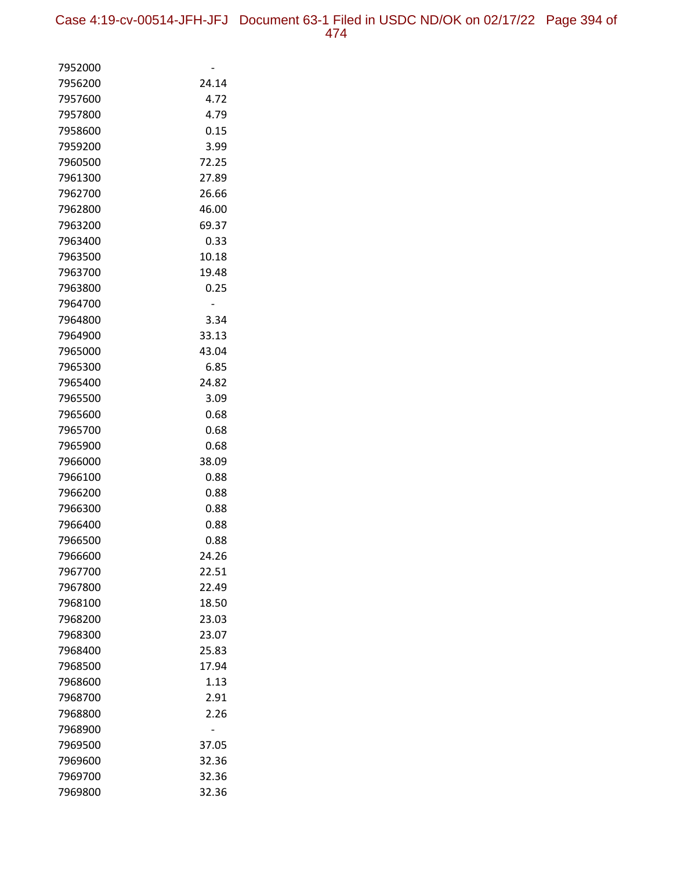| 7952000            |                |
|--------------------|----------------|
| 7956200            | 24.14          |
| 7957600            | 4.72           |
| 7957800            | 4.79           |
| 7958600            | 0.15           |
| 7959200            | 3.99           |
| 7960500            | 72.25          |
| 7961300            | 27.89          |
| 7962700            | 26.66          |
| 7962800            | 46.00          |
| 7963200            | 69.37          |
| 7963400            | 0.33           |
| 7963500            | 10.18          |
| 7963700            | 19.48          |
| 7963800            | 0.25           |
| 7964700            |                |
| 7964800            | 3.34           |
| 7964900            | 33.13          |
| 7965000            | 43.04          |
| 7965300            | 6.85           |
| 7965400            | 24.82          |
| 7965500            | 3.09           |
| 7965600            | 0.68           |
| 7965700            | 0.68           |
| 7965900            | 0.68           |
| 7966000            | 38.09          |
| 7966100            | 0.88           |
| 7966200            | 0.88           |
| 7966300            | 0.88           |
| 7966400            | 0.88           |
| 7966500            | 0.88           |
| 7966600            | 24.26          |
| 7967700            | 22.51          |
| 7967800            | 22.49          |
| 7968100<br>7968200 | 18.50<br>23.03 |
| 7968300            | 23.07          |
| 7968400            | 25.83          |
| 7968500            | 17.94          |
| 7968600            | 1.13           |
| 7968700            | 2.91           |
| 7968800            | 2.26           |
| 7968900            |                |
| 7969500            | 37.05          |
| 7969600            | 32.36          |
| 7969700            | 32.36          |
| 7969800            | 32.36          |
|                    |                |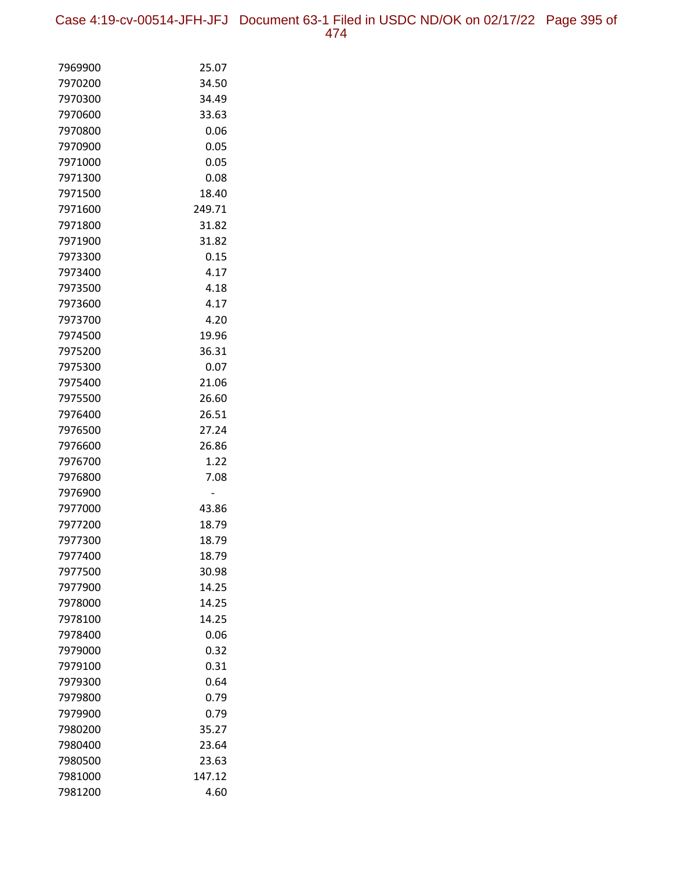Case 4:19-cv-00514-JFH-JFJ Document 63-1 Filed in USDC ND/OK on 02/17/22 Page 395 of 474

| 7969900            | 25.07         |
|--------------------|---------------|
| 7970200            | 34.50         |
| 7970300            | 34.49         |
| 7970600            | 33.63         |
| 7970800            | 0.06          |
| 7970900            | 0.05          |
| 7971000            | 0.05          |
| 7971300            | 0.08          |
| 7971500            | 18.40         |
| 7971600            | 249.71        |
| 7971800            | 31.82         |
| 7971900            | 31.82         |
| 7973300            | 0.15          |
| 7973400            | 4.17          |
| 7973500            | 4.18          |
| 7973600            | 4.17          |
| 7973700            | 4.20          |
| 7974500            | 19.96         |
| 7975200            | 36.31         |
| 7975300            | 0.07          |
| 7975400            | 21.06         |
| 7975500            | 26.60         |
| 7976400            | 26.51         |
| 7976500            | 27.24         |
| 7976600            | 26.86         |
| 7976700            | 1.22          |
| 7976800            | 7.08          |
| 7976900            |               |
| 7977000            | 43.86         |
| 7977200            | 18.79         |
| 7977300            | 18.79         |
| 7977400            | 18.79         |
| 7977500            | 30.98         |
| 7977900            | 14.25         |
| 7978000            | 14.25         |
| 7978100            | 14.25         |
| 7978400            | 0.06          |
| 7979000            | 0.32          |
| 7979100<br>7979300 | 0.31          |
|                    | 0.64          |
| 7979800<br>7979900 | 0.79          |
|                    | 0.79<br>35.27 |
| 7980200<br>7980400 | 23.64         |
| 7980500            | 23.63         |
| 7981000            | 147.12        |
| 7981200            | 4.60          |
|                    |               |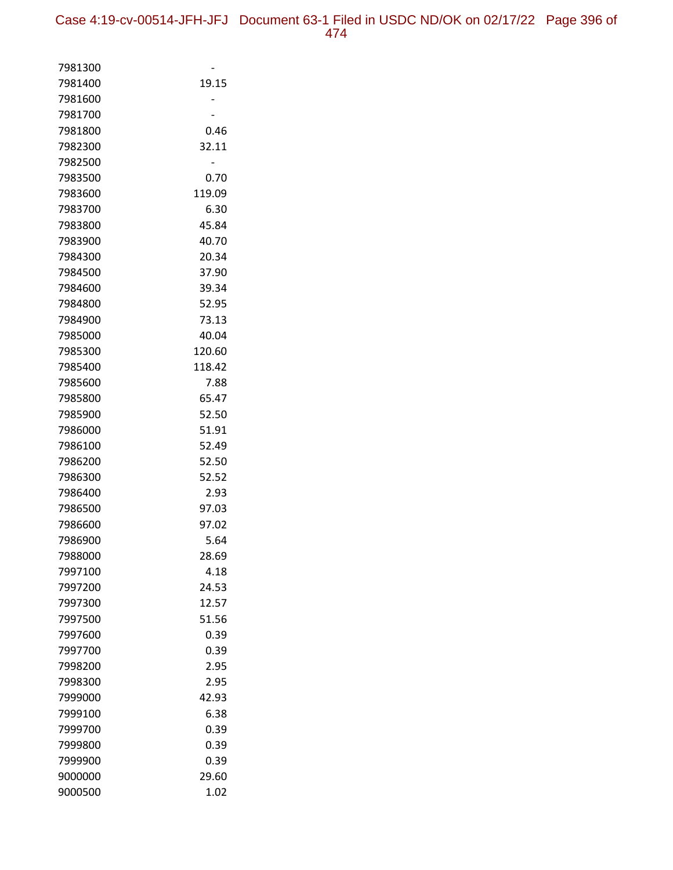| 7981300 |        |
|---------|--------|
| 7981400 | 19.15  |
| 7981600 |        |
| 7981700 |        |
| 7981800 | 0.46   |
| 7982300 | 32.11  |
| 7982500 |        |
| 7983500 | 0.70   |
| 7983600 | 119.09 |
| 7983700 | 6.30   |
| 7983800 | 45.84  |
| 7983900 | 40.70  |
| 7984300 | 20.34  |
| 7984500 | 37.90  |
| 7984600 | 39.34  |
| 7984800 | 52.95  |
| 7984900 | 73.13  |
| 7985000 | 40.04  |
| 7985300 | 120.60 |
| 7985400 | 118.42 |
| 7985600 | 7.88   |
| 7985800 | 65.47  |
| 7985900 | 52.50  |
| 7986000 | 51.91  |
| 7986100 | 52.49  |
| 7986200 | 52.50  |
| 7986300 | 52.52  |
| 7986400 | 2.93   |
| 7986500 | 97.03  |
| 7986600 | 97.02  |
| 7986900 | 5.64   |
| 7988000 | 28.69  |
| 7997100 | 4.18   |
| 7997200 | 24.53  |
| 7997300 | 12.57  |
| 7997500 | 51.56  |
| 7997600 | 0.39   |
| 7997700 | 0.39   |
| 7998200 | 2.95   |
| 7998300 | 2.95   |
| 7999000 | 42.93  |
| 7999100 | 6.38   |
| 7999700 | 0.39   |
| 7999800 | 0.39   |
| 7999900 | 0.39   |
| 9000000 | 29.60  |
| 9000500 | 1.02   |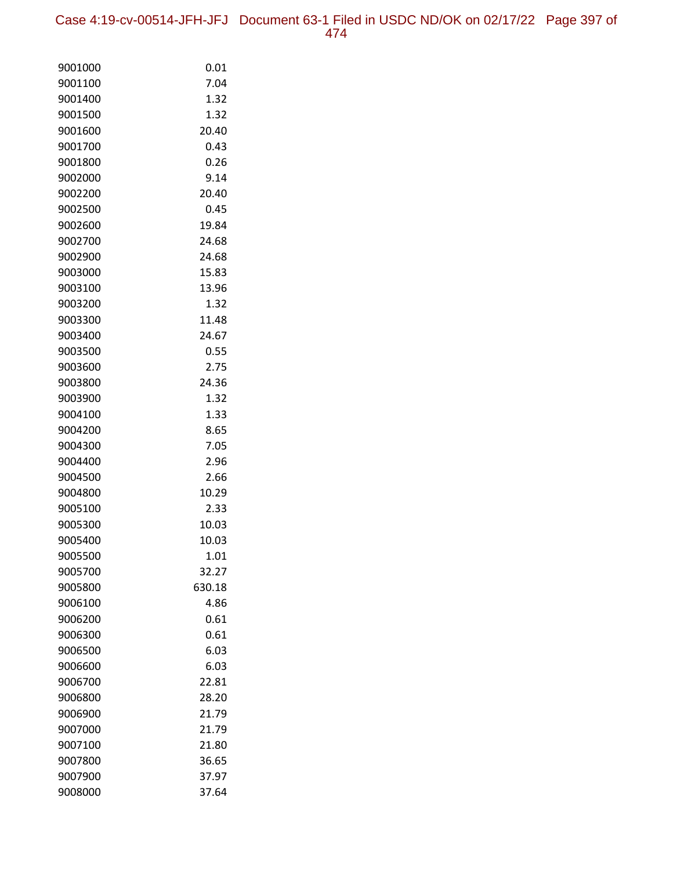Case 4:19-cv-00514-JFH-JFJ Document 63-1 Filed in USDC ND/OK on 02/17/22 Page 397 of 474

| 9001000            | 0.01         |
|--------------------|--------------|
| 9001100            | 7.04         |
| 9001400            | 1.32         |
| 9001500            | 1.32         |
| 9001600            | 20.40        |
| 9001700            | 0.43         |
| 9001800            | 0.26         |
| 9002000            | 9.14         |
| 9002200            | 20.40        |
| 9002500            | 0.45         |
| 9002600            | 19.84        |
| 9002700            | 24.68        |
| 9002900            | 24.68        |
| 9003000            | 15.83        |
| 9003100            | 13.96        |
| 9003200            | 1.32         |
| 9003300            | 11.48        |
| 9003400            | 24.67        |
| 9003500            | 0.55         |
| 9003600            | 2.75         |
| 9003800            | 24.36        |
| 9003900            | 1.32         |
| 9004100<br>9004200 | 1.33<br>8.65 |
| 9004300            | 7.05         |
| 9004400            | 2.96         |
| 9004500            | 2.66         |
| 9004800            | 10.29        |
| 9005100            | 2.33         |
| 9005300            | 10.03        |
| 9005400            | 10.03        |
| 9005500            | 1.01         |
| 9005700            | 32.27        |
| 9005800            | 630.18       |
| 9006100            | 4.86         |
| 9006200            | 0.61         |
| 9006300            | 0.61         |
| 9006500            | 6.03         |
| 9006600            | 6.03         |
| 9006700            | 22.81        |
| 9006800            | 28.20        |
| 9006900            | 21.79        |
| 9007000            | 21.79        |
| 9007100            | 21.80        |
| 9007800            | 36.65        |
| 9007900            | 37.97        |
| 9008000            | 37.64        |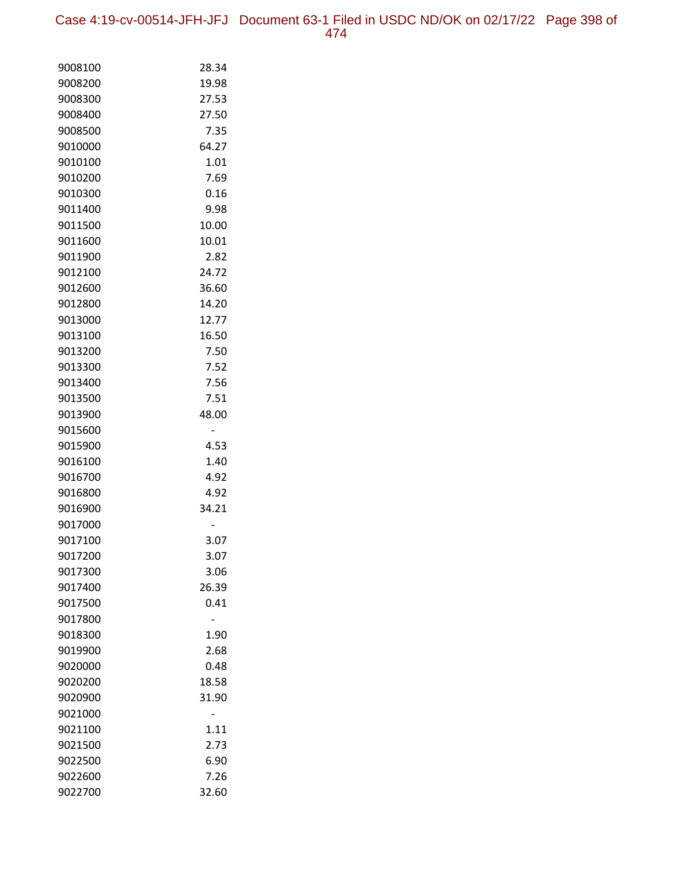Case 4:19-cv-00514-JFH-JFJ Document 63-1 Filed in USDC ND/OK on 02/17/22 Page 398 of 474

| 9008100            | 28.34         |
|--------------------|---------------|
| 9008200            | 19.98         |
| 9008300            | 27.53         |
| 9008400            | 27.50         |
| 9008500            | 7.35          |
| 9010000            | 64.27         |
| 9010100            | 1.01          |
| 9010200            | 7.69          |
| 9010300            | 0.16          |
| 9011400            | 9.98          |
| 9011500            | 10.00         |
| 9011600            | 10.01         |
| 9011900            | 2.82          |
| 9012100            | 24.72         |
| 9012600            | 36.60         |
| 9012800            | 14.20         |
| 9013000            | 12.77         |
| 9013100            | 16.50         |
| 9013200            | 7.50          |
| 9013300            | 7.52          |
| 9013400            | 7.56          |
| 9013500            | 7.51          |
| 9013900            | 48.00         |
| 9015600            |               |
| 9015900            | 4.53          |
| 9016100            | 1.40          |
| 9016700            | 4.92          |
| 9016800            | 4.92          |
| 9016900            | 34.21         |
| 9017000            |               |
| 9017100            | 3.07          |
| 9017200            | 3.07          |
| 9017300<br>9017400 | 3.06<br>26.39 |
| 9017500            | 0.41          |
| 9017800            |               |
| 9018300            | 1.90          |
| 9019900            | 2.68          |
| 9020000            | 0.48          |
| 9020200            | 18.58         |
| 9020900            | 31.90         |
| 9021000            |               |
| 9021100            | 1.11          |
| 9021500            | 2.73          |
| 9022500            | 6.90          |
| 9022600            | 7.26          |
| 9022700            | 32.60         |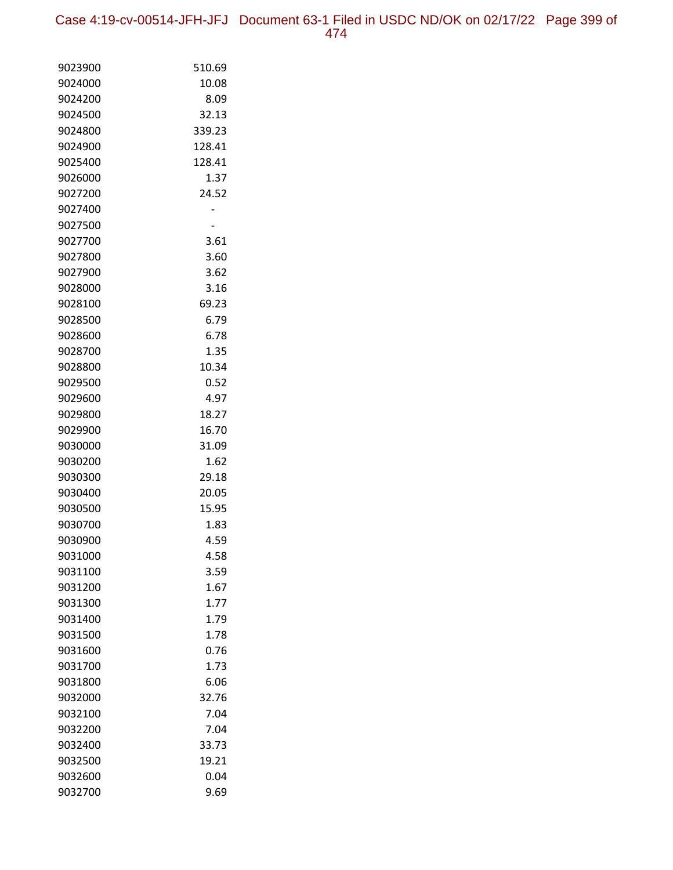Case 4:19-cv-00514-JFH-JFJ Document 63-1 Filed in USDC ND/OK on 02/17/22 Page 399 of 474

| 9023900            | 510.69        |
|--------------------|---------------|
| 9024000            | 10.08         |
| 9024200            | 8.09          |
| 9024500            | 32.13         |
| 9024800            | 339.23        |
| 9024900            | 128.41        |
| 9025400            | 128.41        |
| 9026000            | 1.37          |
| 9027200            | 24.52         |
| 9027400            |               |
| 9027500            |               |
| 9027700            | 3.61          |
| 9027800            | 3.60          |
| 9027900            | 3.62          |
| 9028000            | 3.16          |
| 9028100            | 69.23         |
| 9028500            | 6.79          |
| 9028600            | 6.78          |
| 9028700            | 1.35          |
| 9028800            | 10.34         |
| 9029500            | 0.52          |
| 9029600            | 4.97          |
| 9029800            | 18.27         |
| 9029900            | 16.70         |
| 9030000            | 31.09         |
| 9030200            | 1.62          |
| 9030300            | 29.18         |
| 9030400<br>9030500 | 20.05         |
| 9030700            | 15.95<br>1.83 |
| 9030900            | 4.59          |
| 9031000            | 4.58          |
| 9031100            | 3.59          |
| 9031200            | 1.67          |
| 9031300            | 1.77          |
| 9031400            | 1.79          |
| 9031500            | 1.78          |
| 9031600            | 0.76          |
| 9031700            | 1.73          |
| 9031800            | 6.06          |
| 9032000            | 32.76         |
| 9032100            | 7.04          |
| 9032200            | 7.04          |
| 9032400            | 33.73         |
| 9032500            | 19.21         |
| 9032600            | 0.04          |
| 9032700            | 9.69          |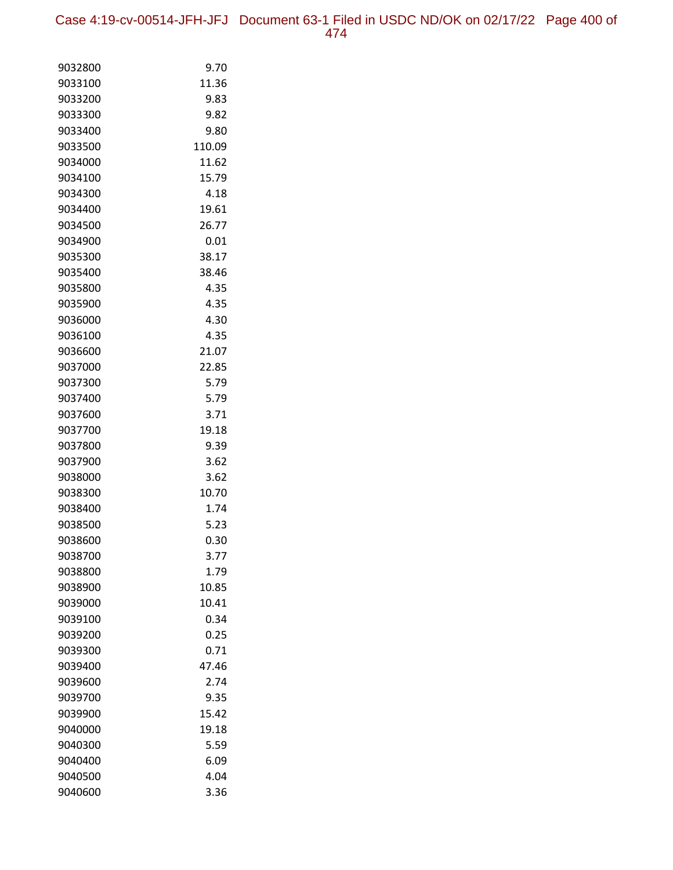Case 4:19-cv-00514-JFH-JFJ Document 63-1 Filed in USDC ND/OK on 02/17/22 Page 400 of 474

| 9032800 | 9.70   |
|---------|--------|
| 9033100 | 11.36  |
| 9033200 | 9.83   |
| 9033300 | 9.82   |
| 9033400 | 9.80   |
| 9033500 | 110.09 |
| 9034000 | 11.62  |
| 9034100 | 15.79  |
| 9034300 | 4.18   |
| 9034400 | 19.61  |
| 9034500 | 26.77  |
| 9034900 | 0.01   |
| 9035300 | 38.17  |
| 9035400 | 38.46  |
| 9035800 | 4.35   |
| 9035900 | 4.35   |
| 9036000 | 4.30   |
| 9036100 | 4.35   |
| 9036600 | 21.07  |
| 9037000 | 22.85  |
| 9037300 | 5.79   |
| 9037400 | 5.79   |
| 9037600 | 3.71   |
| 9037700 | 19.18  |
| 9037800 | 9.39   |
| 9037900 | 3.62   |
| 9038000 | 3.62   |
| 9038300 | 10.70  |
| 9038400 | 1.74   |
| 9038500 | 5.23   |
| 9038600 | 0.30   |
| 9038700 | 3.77   |
| 9038800 | 1.79   |
| 9038900 | 10.85  |
| 9039000 | 10.41  |
| 9039100 | 0.34   |
| 9039200 | 0.25   |
| 9039300 | 0.71   |
| 9039400 | 47.46  |
| 9039600 | 2.74   |
| 9039700 | 9.35   |
| 9039900 | 15.42  |
| 9040000 | 19.18  |
| 9040300 | 5.59   |
| 9040400 | 6.09   |
| 9040500 | 4.04   |
| 9040600 | 3.36   |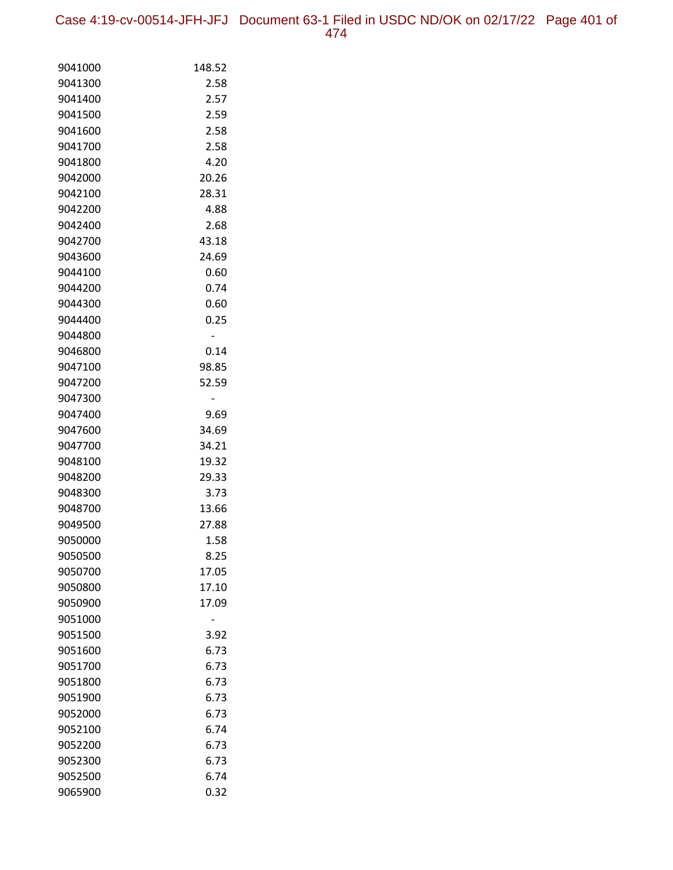Case 4:19-cv-00514-JFH-JFJ Document 63-1 Filed in USDC ND/OK on 02/17/22 Page 401 of 474

| 9041000 | 148.52 |
|---------|--------|
| 9041300 | 2.58   |
| 9041400 | 2.57   |
| 9041500 | 2.59   |
| 9041600 | 2.58   |
| 9041700 | 2.58   |
| 9041800 | 4.20   |
| 9042000 | 20.26  |
| 9042100 | 28.31  |
| 9042200 | 4.88   |
| 9042400 | 2.68   |
| 9042700 | 43.18  |
| 9043600 | 24.69  |
| 9044100 | 0.60   |
| 9044200 | 0.74   |
| 9044300 | 0.60   |
| 9044400 | 0.25   |
| 9044800 |        |
| 9046800 | 0.14   |
| 9047100 | 98.85  |
| 9047200 | 52.59  |
| 9047300 |        |
| 9047400 | 9.69   |
| 9047600 | 34.69  |
| 9047700 | 34.21  |
| 9048100 | 19.32  |
| 9048200 | 29.33  |
| 9048300 | 3.73   |
| 9048700 | 13.66  |
| 9049500 | 27.88  |
| 9050000 | 1.58   |
| 9050500 | 8.25   |
| 9050700 | 17.05  |
| 9050800 | 17.10  |
| 9050900 | 17.09  |
| 9051000 |        |
| 9051500 | 3.92   |
| 9051600 | 6.73   |
| 9051700 | 6.73   |
| 9051800 | 6.73   |
| 9051900 | 6.73   |
| 9052000 | 6.73   |
| 9052100 | 6.74   |
| 9052200 | 6.73   |
| 9052300 | 6.73   |
| 9052500 | 6.74   |
| 9065900 | 0.32   |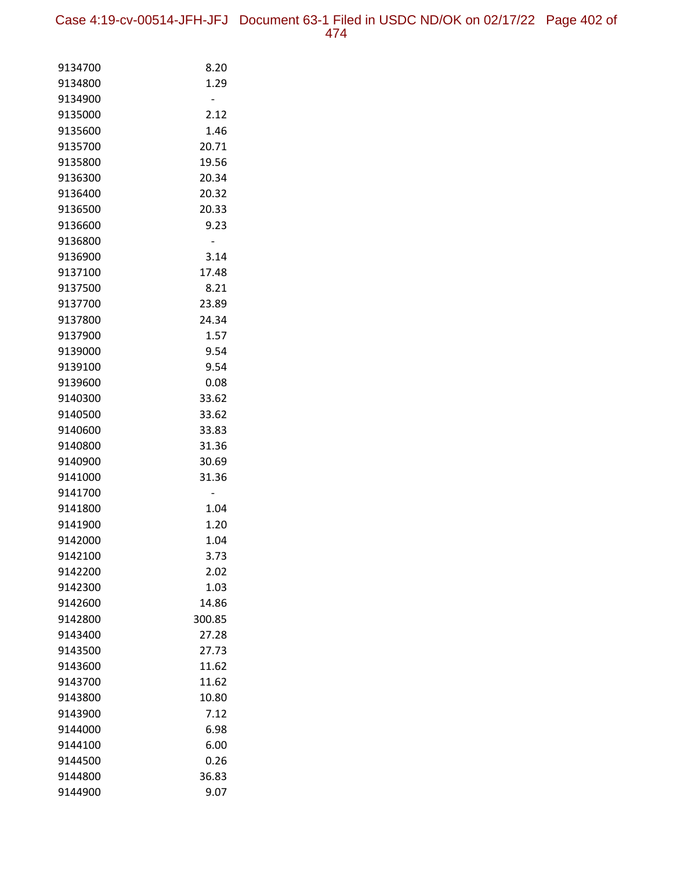| 9134700 | 8.20   |
|---------|--------|
| 9134800 | 1.29   |
| 9134900 |        |
| 9135000 | 2.12   |
| 9135600 | 1.46   |
| 9135700 | 20.71  |
| 9135800 | 19.56  |
| 9136300 | 20.34  |
| 9136400 | 20.32  |
| 9136500 | 20.33  |
| 9136600 | 9.23   |
| 9136800 |        |
| 9136900 | 3.14   |
| 9137100 | 17.48  |
| 9137500 | 8.21   |
| 9137700 | 23.89  |
| 9137800 | 24.34  |
| 9137900 | 1.57   |
| 9139000 | 9.54   |
| 9139100 | 9.54   |
| 9139600 | 0.08   |
| 9140300 | 33.62  |
| 9140500 | 33.62  |
| 9140600 | 33.83  |
| 9140800 | 31.36  |
| 9140900 | 30.69  |
| 9141000 | 31.36  |
| 9141700 |        |
| 9141800 | 1.04   |
| 9141900 | 1.20   |
| 9142000 | 1.04   |
| 9142100 | 3.73   |
| 9142200 | 2.02   |
| 9142300 | 1.03   |
| 9142600 | 14.86  |
| 9142800 | 300.85 |
| 9143400 | 27.28  |
| 9143500 | 27.73  |
| 9143600 | 11.62  |
| 9143700 | 11.62  |
| 9143800 | 10.80  |
| 9143900 | 7.12   |
| 9144000 | 6.98   |
| 9144100 | 6.00   |
| 9144500 | 0.26   |
| 9144800 | 36.83  |
| 9144900 | 9.07   |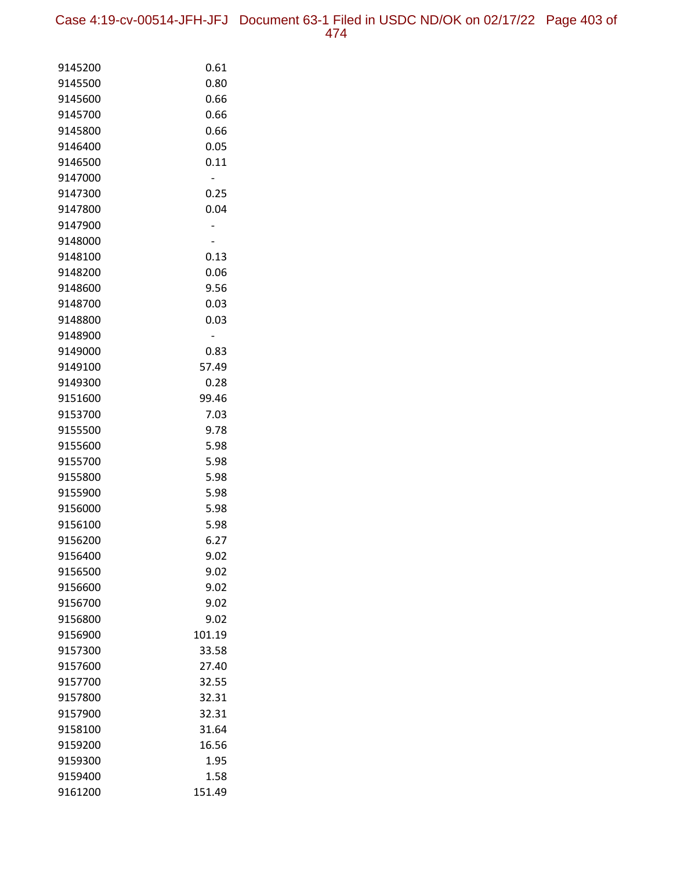Case 4:19-cv-00514-JFH-JFJ Document 63-1 Filed in USDC ND/OK on 02/17/22 Page 403 of 474

| 9145200            | 0.61          |
|--------------------|---------------|
| 9145500            | 0.80          |
| 9145600            | 0.66          |
| 9145700            | 0.66          |
| 9145800            | 0.66          |
| 9146400            | 0.05          |
| 9146500            | 0.11          |
| 9147000            |               |
| 9147300            | 0.25          |
| 9147800            | 0.04          |
| 9147900            |               |
| 9148000            |               |
| 9148100            | 0.13          |
| 9148200            | 0.06          |
| 9148600            | 9.56          |
| 9148700            | 0.03          |
| 9148800            | 0.03          |
| 9148900            |               |
| 9149000            | 0.83          |
| 9149100            | 57.49         |
| 9149300            | 0.28          |
| 9151600            | 99.46<br>7.03 |
| 9153700<br>9155500 | 9.78          |
| 9155600            | 5.98          |
| 9155700            | 5.98          |
| 9155800            | 5.98          |
| 9155900            | 5.98          |
| 9156000            | 5.98          |
| 9156100            | 5.98          |
| 9156200            | 6.27          |
| 9156400            | 9.02          |
| 9156500            | 9.02          |
| 9156600            | 9.02          |
| 9156700            | 9.02          |
| 9156800            | 9.02          |
| 9156900            | 101.19        |
| 9157300            | 33.58         |
| 9157600            | 27.40         |
| 9157700            | 32.55         |
| 9157800            | 32.31         |
| 9157900            | 32.31         |
| 9158100            | 31.64         |
| 9159200            | 16.56         |
| 9159300            | 1.95          |
| 9159400            | 1.58          |
| 9161200            | 151.49        |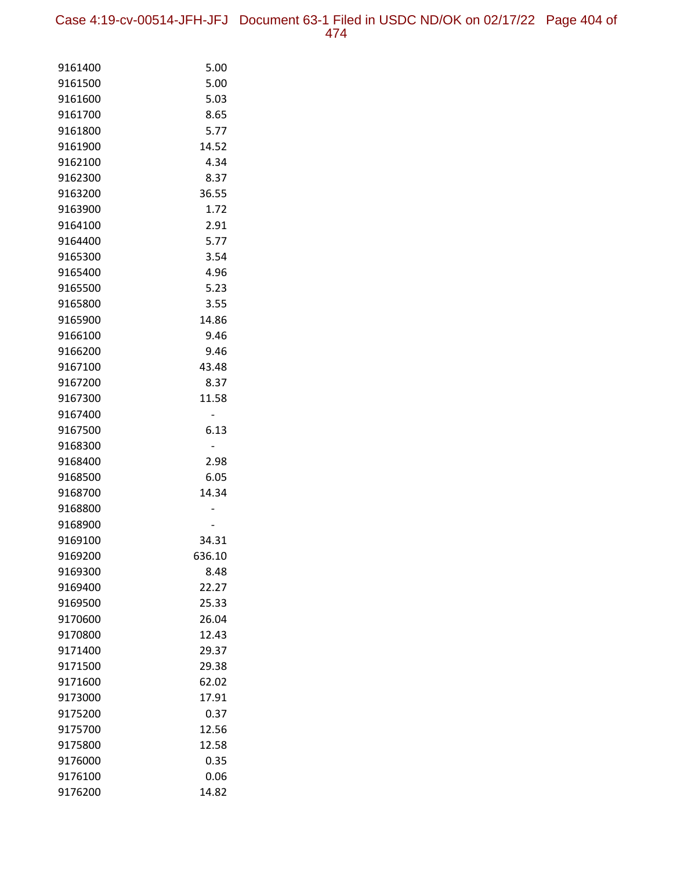Case 4:19-cv-00514-JFH-JFJ Document 63-1 Filed in USDC ND/OK on 02/17/22 Page 404 of 474

| 9161400            | 5.00   |
|--------------------|--------|
| 9161500            | 5.00   |
| 9161600            | 5.03   |
| 9161700            | 8.65   |
| 9161800            | 5.77   |
| 9161900            | 14.52  |
| 9162100            | 4.34   |
| 9162300            | 8.37   |
| 9163200            | 36.55  |
| 9163900            | 1.72   |
| 9164100            | 2.91   |
| 9164400            | 5.77   |
| 9165300            | 3.54   |
| 9165400            | 4.96   |
| 9165500            | 5.23   |
| 9165800            | 3.55   |
| 9165900            | 14.86  |
| 9166100            | 9.46   |
| 9166200            | 9.46   |
| 9167100            | 43.48  |
| 9167200            | 8.37   |
| 9167300            | 11.58  |
| 9167400            |        |
| 9167500            | 6.13   |
| 9168300<br>9168400 | 2.98   |
| 9168500            | 6.05   |
| 9168700            | 14.34  |
| 9168800            |        |
| 9168900            |        |
| 9169100            | 34.31  |
| 9169200            | 636.10 |
| 9169300            | 8.48   |
| 9169400            | 22.27  |
| 9169500            | 25.33  |
| 9170600            | 26.04  |
| 9170800            | 12.43  |
| 9171400            | 29.37  |
| 9171500            | 29.38  |
| 9171600            | 62.02  |
| 9173000            | 17.91  |
| 9175200            | 0.37   |
| 9175700            | 12.56  |
| 9175800            | 12.58  |
| 9176000            | 0.35   |
| 9176100            | 0.06   |
| 9176200            | 14.82  |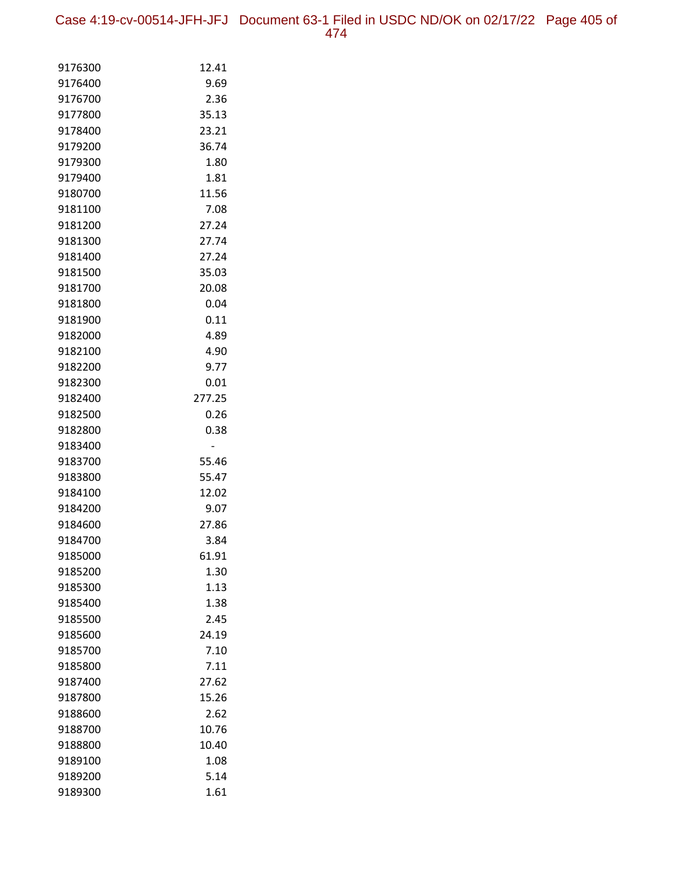Case 4:19-cv-00514-JFH-JFJ Document 63-1 Filed in USDC ND/OK on 02/17/22 Page 405 of 474

| 9176300            | 12.41         |
|--------------------|---------------|
| 9176400            | 9.69          |
| 9176700            | 2.36          |
| 9177800            | 35.13         |
| 9178400            | 23.21         |
| 9179200            | 36.74         |
| 9179300            | 1.80          |
| 9179400            | 1.81          |
| 9180700            | 11.56         |
| 9181100            | 7.08          |
| 9181200            | 27.24         |
| 9181300            | 27.74         |
| 9181400            | 27.24         |
| 9181500            | 35.03         |
| 9181700            | 20.08         |
| 9181800            | 0.04          |
| 9181900            | 0.11          |
| 9182000            | 4.89          |
| 9182100            | 4.90          |
| 9182200            | 9.77          |
| 9182300            | 0.01          |
| 9182400            | 277.25        |
| 9182500            | 0.26          |
| 9182800            | 0.38          |
| 9183400            |               |
| 9183700            | 55.46         |
| 9183800<br>9184100 | 55.47         |
|                    | 12.02         |
| 9184200<br>9184600 | 9.07<br>27.86 |
| 9184700            | 3.84          |
| 9185000            | 61.91         |
| 9185200            | 1.30          |
| 9185300            | 1.13          |
| 9185400            | 1.38          |
| 9185500            | 2.45          |
| 9185600            | 24.19         |
| 9185700            | 7.10          |
| 9185800            | 7.11          |
| 9187400            | 27.62         |
| 9187800            | 15.26         |
| 9188600            | 2.62          |
| 9188700            | 10.76         |
| 9188800            | 10.40         |
| 9189100            | 1.08          |
| 9189200            | 5.14          |
| 9189300            | 1.61          |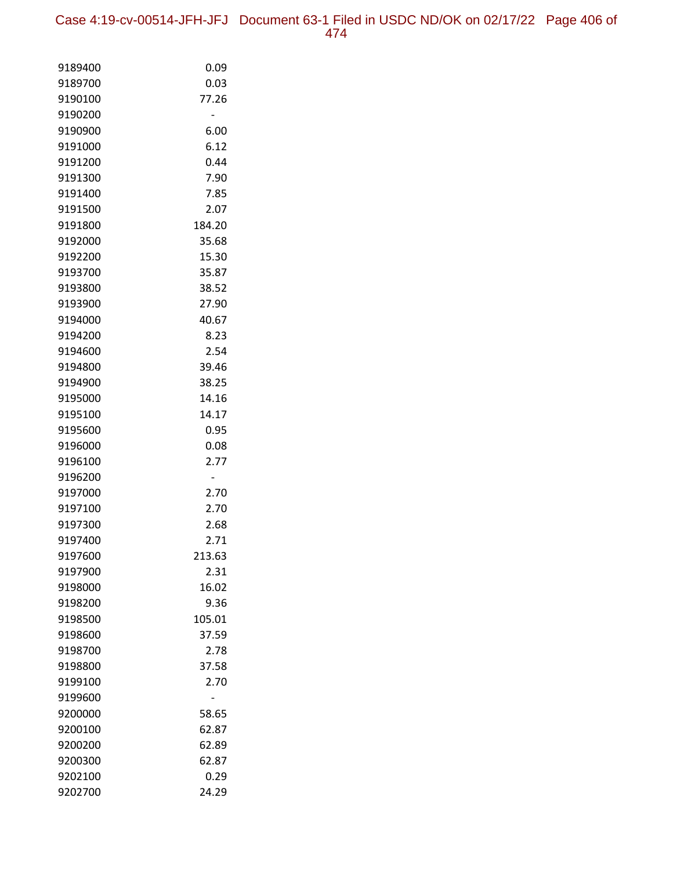Case 4:19-cv-00514-JFH-JFJ Document 63-1 Filed in USDC ND/OK on 02/17/22 Page 406 of 474

| 9189400            | 0.09          |
|--------------------|---------------|
| 9189700            | 0.03          |
| 9190100            | 77.26         |
| 9190200            |               |
| 9190900            | 6.00          |
| 9191000            | 6.12          |
| 9191200            | 0.44          |
| 9191300            | 7.90          |
| 9191400            | 7.85          |
| 9191500            | 2.07          |
| 9191800            | 184.20        |
| 9192000            | 35.68         |
| 9192200            | 15.30         |
| 9193700            | 35.87         |
| 9193800            | 38.52         |
| 9193900            | 27.90         |
| 9194000            | 40.67         |
| 9194200            | 8.23          |
| 9194600            | 2.54          |
| 9194800            | 39.46         |
| 9194900            | 38.25         |
| 9195000            | 14.16         |
| 9195100            | 14.17         |
| 9195600            | 0.95          |
| 9196000            | 0.08          |
| 9196100            | 2.77          |
| 9196200            |               |
| 9197000            | 2.70          |
| 9197100            | 2.70          |
| 9197300            | 2.68          |
| 9197400            | 2.71          |
| 9197600            | 213.63        |
| 9197900            | 2.31          |
| 9198000<br>9198200 | 16.02<br>9.36 |
| 9198500            | 105.01        |
| 9198600            | 37.59         |
| 9198700            | 2.78          |
| 9198800            | 37.58         |
| 9199100            | 2.70          |
| 9199600            |               |
| 9200000            | 58.65         |
| 9200100            | 62.87         |
| 9200200            | 62.89         |
| 9200300            | 62.87         |
| 9202100            | 0.29          |
| 9202700            | 24.29         |
|                    |               |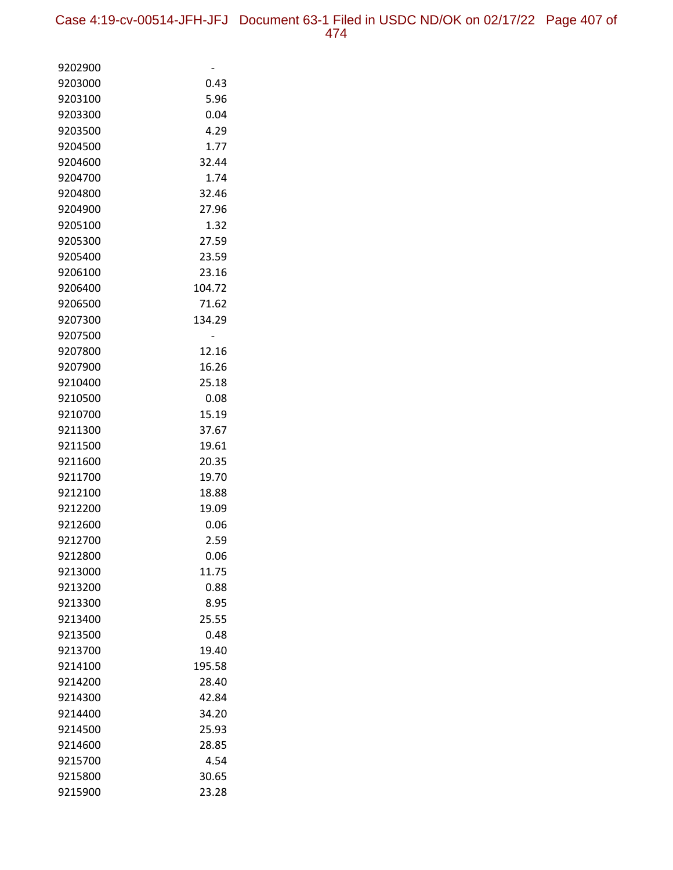| 9202900            |               |
|--------------------|---------------|
| 9203000            | 0.43          |
| 9203100            | 5.96          |
| 9203300            | 0.04          |
| 9203500            | 4.29          |
| 9204500            | 1.77          |
| 9204600            | 32.44         |
| 9204700            | 1.74          |
| 9204800            | 32.46         |
| 9204900            | 27.96         |
| 9205100            | 1.32          |
| 9205300            | 27.59         |
| 9205400            | 23.59         |
| 9206100            | 23.16         |
| 9206400            | 104.72        |
| 9206500            | 71.62         |
| 9207300            | 134.29        |
| 9207500            |               |
| 9207800            | 12.16         |
| 9207900            | 16.26         |
| 9210400            | 25.18         |
| 9210500<br>9210700 | 0.08<br>15.19 |
| 9211300            | 37.67         |
| 9211500            | 19.61         |
| 9211600            | 20.35         |
| 9211700            | 19.70         |
| 9212100            | 18.88         |
| 9212200            | 19.09         |
| 9212600            | 0.06          |
| 9212700            | 2.59          |
| 9212800            | 0.06          |
| 9213000            | 11.75         |
| 9213200            | 0.88          |
| 9213300            | 8.95          |
| 9213400            | 25.55         |
| 9213500            | 0.48          |
| 9213700            | 19.40         |
| 9214100            | 195.58        |
| 9214200            | 28.40         |
| 9214300            | 42.84         |
| 9214400            | 34.20         |
| 9214500            | 25.93         |
| 9214600            | 28.85         |
| 9215700            | 4.54          |
| 9215800            | 30.65         |
| 9215900            | 23.28         |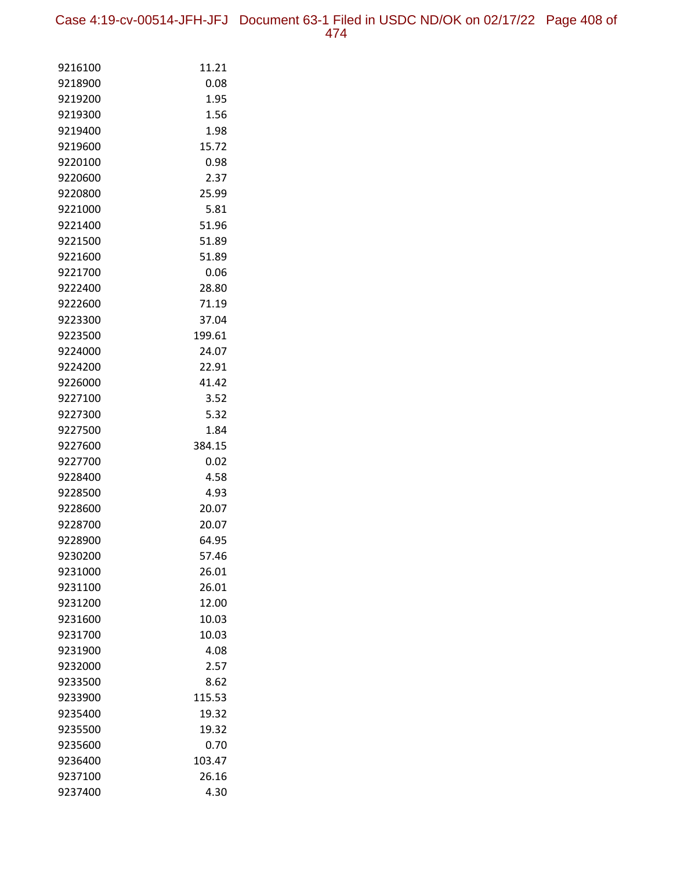Case 4:19-cv-00514-JFH-JFJ Document 63-1 Filed in USDC ND/OK on 02/17/22 Page 408 of 474

| 9216100            | 11.21          |
|--------------------|----------------|
| 9218900            | 0.08           |
| 9219200            | 1.95           |
| 9219300            | 1.56           |
| 9219400            | 1.98           |
| 9219600            | 15.72          |
| 9220100            | 0.98           |
| 9220600            | 2.37           |
| 9220800            | 25.99          |
| 9221000            | 5.81           |
| 9221400            | 51.96          |
| 9221500            | 51.89          |
| 9221600            | 51.89          |
| 9221700            | 0.06           |
| 9222400            | 28.80          |
| 9222600            | 71.19          |
| 9223300            | 37.04          |
| 9223500            | 199.61         |
| 9224000            | 24.07          |
| 9224200            | 22.91          |
| 9226000            | 41.42          |
| 9227100            | 3.52           |
| 9227300            | 5.32           |
| 9227500            | 1.84           |
| 9227600            | 384.15         |
| 9227700            | 0.02           |
| 9228400            | 4.58           |
| 9228500            | 4.93           |
| 9228600            | 20.07          |
| 9228700            | 20.07          |
| 9228900            | 64.95          |
| 9230200            | 57.46          |
| 9231000            | 26.01          |
| 9231100<br>9231200 | 26.01<br>12.00 |
| 9231600            | 10.03          |
| 9231700            | 10.03          |
| 9231900            | 4.08           |
| 9232000            | 2.57           |
| 9233500            | 8.62           |
| 9233900            | 115.53         |
| 9235400            | 19.32          |
| 9235500            | 19.32          |
| 9235600            | 0.70           |
| 9236400            | 103.47         |
| 9237100            | 26.16          |
| 9237400            | 4.30           |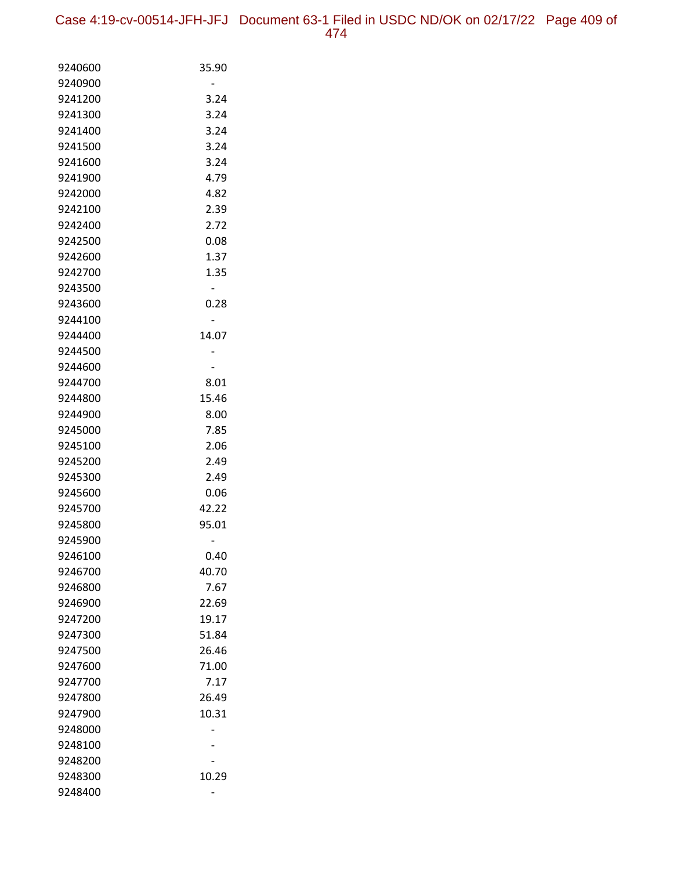| 9240600 | 35.90 |
|---------|-------|
| 9240900 |       |
| 9241200 | 3.24  |
| 9241300 | 3.24  |
| 9241400 | 3.24  |
| 9241500 | 3.24  |
| 9241600 | 3.24  |
| 9241900 | 4.79  |
| 9242000 | 4.82  |
| 9242100 | 2.39  |
| 9242400 | 2.72  |
| 9242500 | 0.08  |
| 9242600 | 1.37  |
| 9242700 | 1.35  |
| 9243500 |       |
| 9243600 | 0.28  |
| 9244100 |       |
| 9244400 | 14.07 |
| 9244500 |       |
| 9244600 |       |
| 9244700 | 8.01  |
| 9244800 | 15.46 |
| 9244900 | 8.00  |
| 9245000 | 7.85  |
| 9245100 | 2.06  |
| 9245200 | 2.49  |
| 9245300 | 2.49  |
| 9245600 | 0.06  |
| 9245700 | 42.22 |
| 9245800 | 95.01 |
| 9245900 |       |
| 9246100 | 0.40  |
| 9246700 | 40.70 |
| 9246800 | 7.67  |
| 9246900 | 22.69 |
| 9247200 | 19.17 |
| 9247300 | 51.84 |
| 9247500 | 26.46 |
| 9247600 | 71.00 |
| 9247700 | 7.17  |
| 9247800 | 26.49 |
| 9247900 | 10.31 |
| 9248000 |       |
| 9248100 |       |
| 9248200 |       |
| 9248300 | 10.29 |
| 9248400 |       |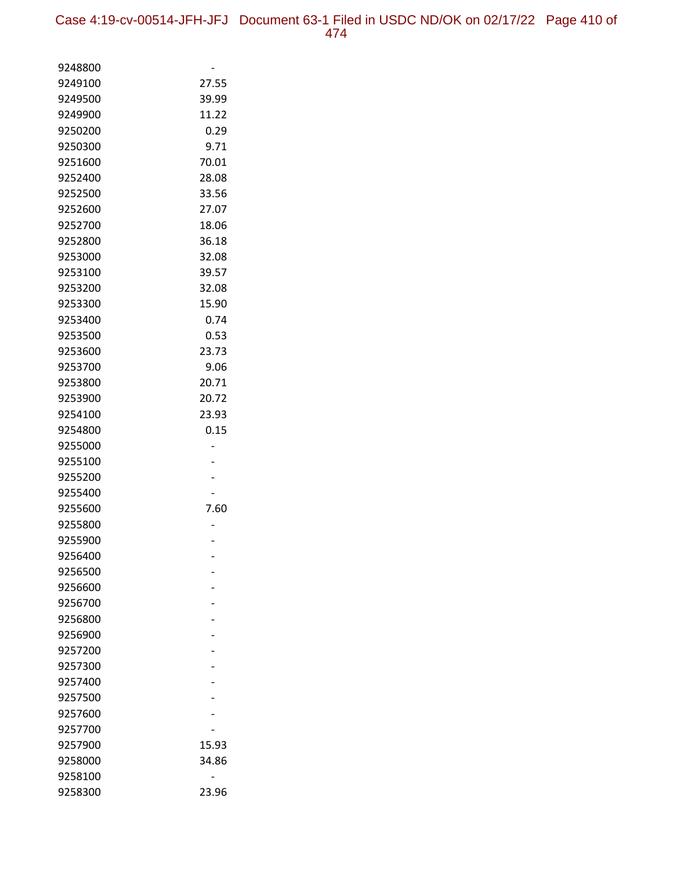| 9248800            |       |
|--------------------|-------|
| 9249100            | 27.55 |
| 9249500            | 39.99 |
| 9249900            | 11.22 |
| 9250200            | 0.29  |
| 9250300            | 9.71  |
| 9251600            | 70.01 |
| 9252400            | 28.08 |
| 9252500            | 33.56 |
| 9252600            | 27.07 |
| 9252700            | 18.06 |
| 9252800            | 36.18 |
| 9253000            | 32.08 |
| 9253100            | 39.57 |
| 9253200            | 32.08 |
| 9253300            | 15.90 |
| 9253400            | 0.74  |
| 9253500            | 0.53  |
| 9253600            | 23.73 |
| 9253700            | 9.06  |
| 9253800            | 20.71 |
| 9253900            | 20.72 |
| 9254100            | 23.93 |
| 9254800            | 0.15  |
| 9255000            |       |
| 9255100            |       |
| 9255200            |       |
| 9255400            |       |
| 9255600            | 7.60  |
| 9255800            |       |
| 9255900            |       |
| 9256400            |       |
| 9256500            |       |
| 9256600<br>9256700 |       |
| 9256800            |       |
| 9256900            |       |
| 9257200            |       |
| 9257300            |       |
| 9257400            |       |
| 9257500            |       |
| 9257600            |       |
| 9257700            |       |
| 9257900            | 15.93 |
| 9258000            | 34.86 |
| 9258100            |       |
| 9258300            | 23.96 |
|                    |       |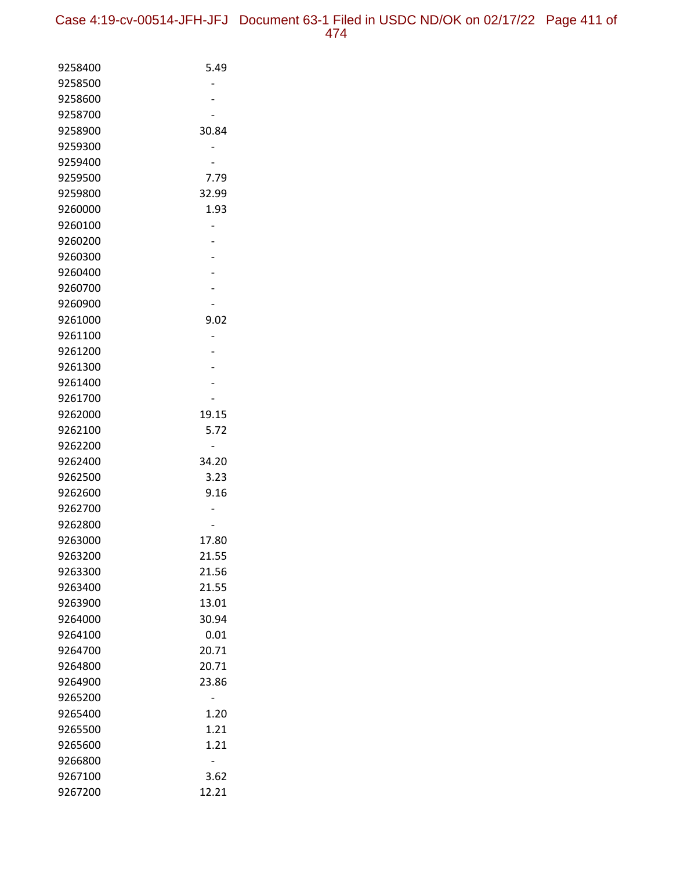| 9258400            | 5.49  |
|--------------------|-------|
| 9258500            |       |
| 9258600            |       |
| 9258700            |       |
| 9258900            | 30.84 |
| 9259300            |       |
| 9259400            |       |
| 9259500            | 7.79  |
| 9259800            | 32.99 |
| 9260000            | 1.93  |
| 9260100            |       |
| 9260200            |       |
| 9260300            |       |
| 9260400            |       |
| 9260700            |       |
| 9260900            |       |
| 9261000            | 9.02  |
| 9261100            |       |
| 9261200            |       |
| 9261300            |       |
| 9261400<br>9261700 |       |
| 9262000            | 19.15 |
| 9262100            | 5.72  |
| 9262200            |       |
| 9262400            | 34.20 |
| 9262500            | 3.23  |
| 9262600            | 9.16  |
| 9262700            |       |
| 9262800            |       |
| 9263000            | 17.80 |
| 9263200            | 21.55 |
| 9263300            | 21.56 |
| 9263400            | 21.55 |
| 9263900            | 13.01 |
| 9264000            | 30.94 |
| 9264100            | 0.01  |
| 9264700            | 20.71 |
| 9264800            | 20.71 |
| 9264900            | 23.86 |
| 9265200            |       |
| 9265400            | 1.20  |
| 9265500            | 1.21  |
| 9265600            | 1.21  |
| 9266800            |       |
| 9267100            | 3.62  |
| 9267200            | 12.21 |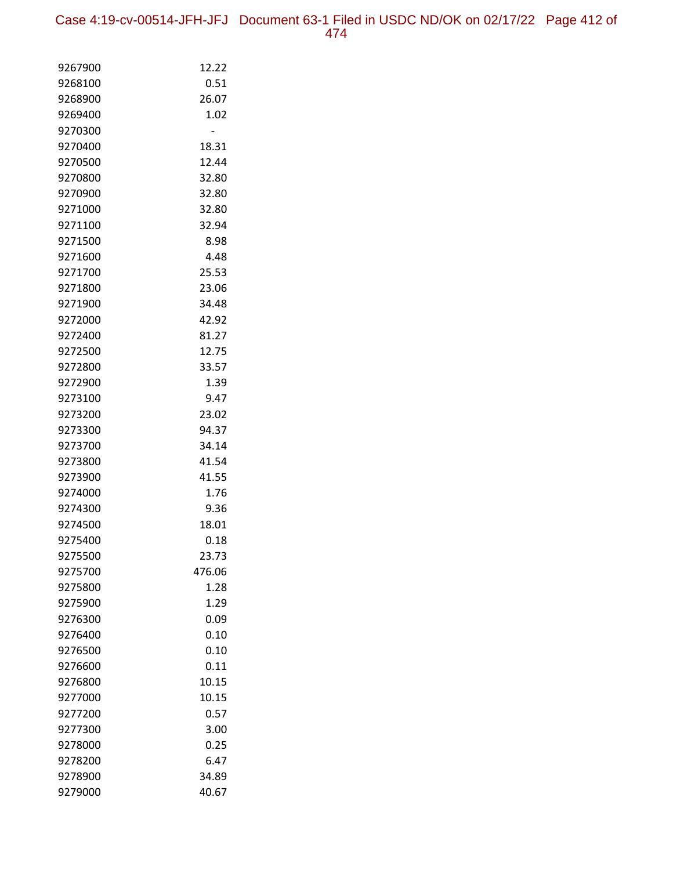Case 4:19-cv-00514-JFH-JFJ Document 63-1 Filed in USDC ND/OK on 02/17/22 Page 412 of 474

| 9267900            | 12.22         |
|--------------------|---------------|
| 9268100            | 0.51          |
| 9268900            | 26.07         |
| 9269400            | 1.02          |
| 9270300            |               |
| 9270400            | 18.31         |
| 9270500            | 12.44         |
| 9270800            | 32.80         |
| 9270900            | 32.80         |
| 9271000            | 32.80         |
| 9271100            | 32.94         |
| 9271500            | 8.98          |
| 9271600            | 4.48          |
| 9271700            | 25.53         |
| 9271800            | 23.06         |
| 9271900            | 34.48         |
| 9272000            | 42.92         |
| 9272400            | 81.27         |
| 9272500            | 12.75         |
| 9272800<br>9272900 | 33.57<br>1.39 |
| 9273100            | 9.47          |
| 9273200            | 23.02         |
| 9273300            | 94.37         |
| 9273700            | 34.14         |
| 9273800            | 41.54         |
| 9273900            | 41.55         |
| 9274000            | 1.76          |
| 9274300            | 9.36          |
| 9274500            | 18.01         |
| 9275400            | 0.18          |
| 9275500            | 23.73         |
| 9275700            | 476.06        |
| 9275800            | 1.28          |
| 9275900            | 1.29          |
| 9276300            | 0.09          |
| 9276400            | 0.10          |
| 9276500            | 0.10          |
| 9276600            | 0.11          |
| 9276800            | 10.15         |
| 9277000            | 10.15         |
| 9277200            | 0.57          |
| 9277300            | 3.00          |
| 9278000            | 0.25          |
| 9278200            | 6.47          |
| 9278900            | 34.89         |
| 9279000            | 40.67         |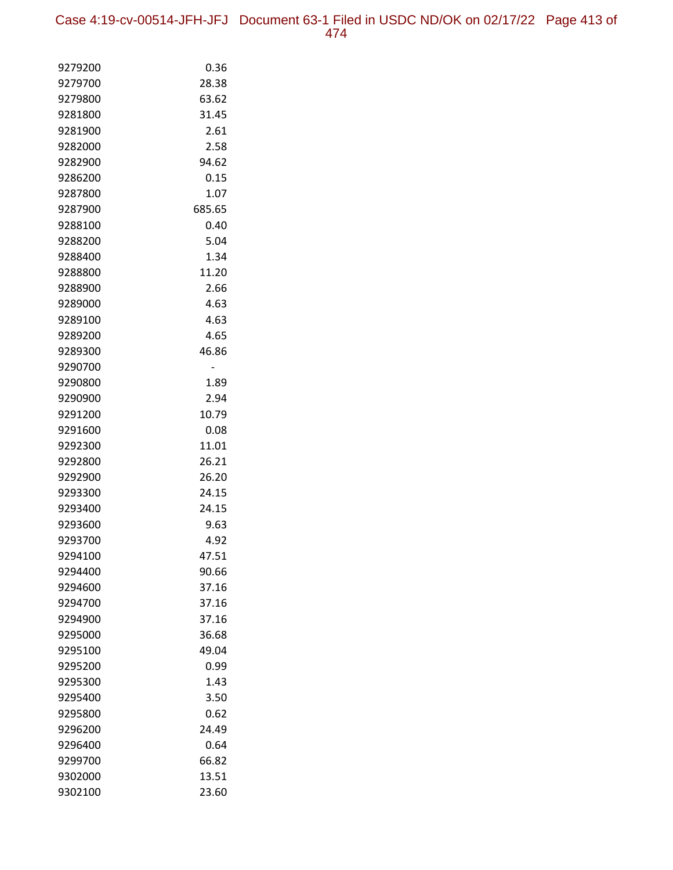Case 4:19-cv-00514-JFH-JFJ Document 63-1 Filed in USDC ND/OK on 02/17/22 Page 413 of 474

| 9279200 | 0.36   |
|---------|--------|
| 9279700 | 28.38  |
| 9279800 | 63.62  |
| 9281800 | 31.45  |
| 9281900 | 2.61   |
| 9282000 | 2.58   |
| 9282900 | 94.62  |
| 9286200 | 0.15   |
| 9287800 | 1.07   |
| 9287900 | 685.65 |
| 9288100 | 0.40   |
| 9288200 | 5.04   |
| 9288400 | 1.34   |
| 9288800 | 11.20  |
| 9288900 | 2.66   |
| 9289000 | 4.63   |
| 9289100 | 4.63   |
| 9289200 | 4.65   |
| 9289300 | 46.86  |
| 9290700 |        |
| 9290800 | 1.89   |
| 9290900 | 2.94   |
| 9291200 | 10.79  |
| 9291600 | 0.08   |
| 9292300 | 11.01  |
| 9292800 | 26.21  |
| 9292900 | 26.20  |
| 9293300 | 24.15  |
| 9293400 | 24.15  |
| 9293600 | 9.63   |
| 9293700 | 4.92   |
| 9294100 | 47.51  |
| 9294400 | 90.66  |
| 9294600 | 37.16  |
| 9294700 | 37.16  |
| 9294900 | 37.16  |
| 9295000 | 36.68  |
| 9295100 | 49.04  |
| 9295200 | 0.99   |
| 9295300 | 1.43   |
| 9295400 | 3.50   |
| 9295800 | 0.62   |
| 9296200 | 24.49  |
| 9296400 | 0.64   |
| 9299700 | 66.82  |
| 9302000 | 13.51  |
| 9302100 | 23.60  |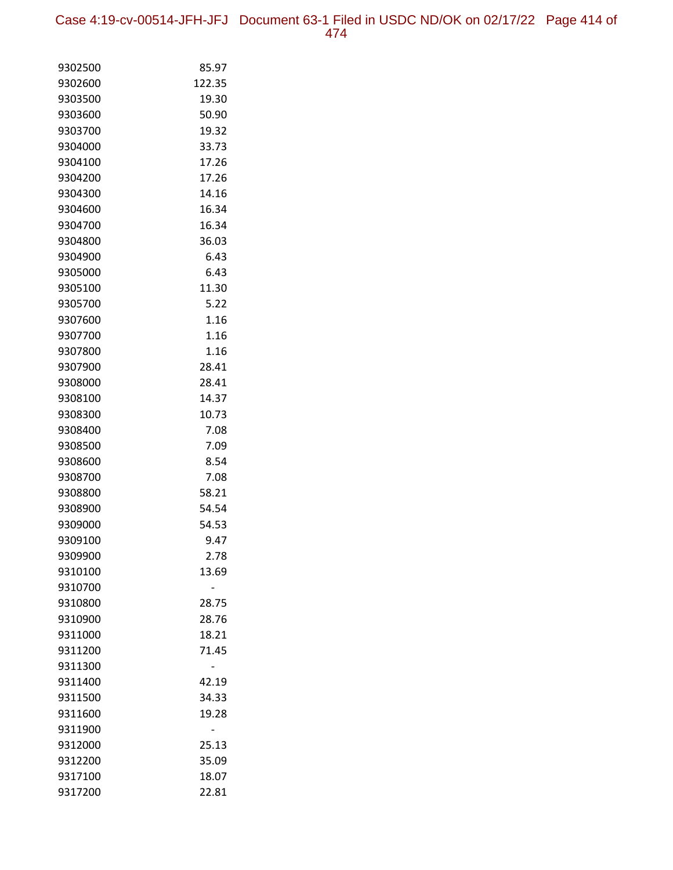Case 4:19-cv-00514-JFH-JFJ Document 63-1 Filed in USDC ND/OK on 02/17/22 Page 414 of 474

| 9302500            | 85.97  |
|--------------------|--------|
| 9302600            | 122.35 |
| 9303500            | 19.30  |
| 9303600            | 50.90  |
| 9303700            | 19.32  |
| 9304000            | 33.73  |
| 9304100            | 17.26  |
| 9304200            | 17.26  |
| 9304300            | 14.16  |
| 9304600            | 16.34  |
| 9304700            | 16.34  |
| 9304800            | 36.03  |
| 9304900            | 6.43   |
| 9305000            | 6.43   |
| 9305100            | 11.30  |
| 9305700            | 5.22   |
| 9307600            | 1.16   |
| 9307700            | 1.16   |
| 9307800            | 1.16   |
| 9307900            | 28.41  |
| 9308000            | 28.41  |
| 9308100            | 14.37  |
| 9308300            | 10.73  |
| 9308400            | 7.08   |
| 9308500            | 7.09   |
| 9308600            | 8.54   |
| 9308700            | 7.08   |
| 9308800            | 58.21  |
| 9308900            | 54.54  |
| 9309000            | 54.53  |
| 9309100            | 9.47   |
| 9309900            | 2.78   |
| 9310100<br>9310700 | 13.69  |
| 9310800            | 28.75  |
| 9310900            | 28.76  |
| 9311000            | 18.21  |
| 9311200            | 71.45  |
| 9311300            |        |
| 9311400            | 42.19  |
| 9311500            | 34.33  |
| 9311600            | 19.28  |
| 9311900            |        |
| 9312000            | 25.13  |
| 9312200            | 35.09  |
| 9317100            | 18.07  |
| 9317200            | 22.81  |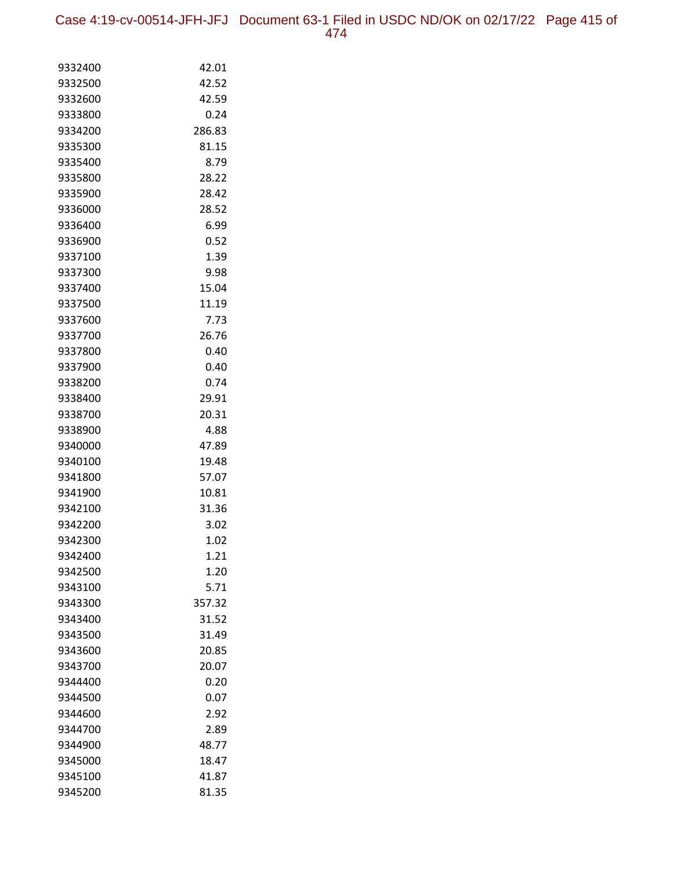Case 4:19-cv-00514-JFH-JFJ Document 63-1 Filed in USDC ND/OK on 02/17/22 Page 415 of 474

| 9332400            | 42.01        |
|--------------------|--------------|
| 9332500            | 42.52        |
| 9332600            | 42.59        |
| 9333800            | 0.24         |
| 9334200            | 286.83       |
| 9335300            | 81.15        |
| 9335400            | 8.79         |
| 9335800            | 28.22        |
| 9335900            | 28.42        |
| 9336000            | 28.52        |
| 9336400            | 6.99         |
| 9336900            | 0.52         |
| 9337100            | 1.39         |
| 9337300            | 9.98         |
| 9337400            | 15.04        |
| 9337500            | 11.19        |
| 9337600            | 7.73         |
| 9337700            | 26.76        |
| 9337800            | 0.40         |
| 9337900            | 0.40         |
| 9338200            | 0.74         |
| 9338400            | 29.91        |
| 9338700            | 20.31        |
| 9338900            | 4.88         |
| 9340000            | 47.89        |
| 9340100            | 19.48        |
| 9341800            | 57.07        |
| 9341900            | 10.81        |
| 9342100            | 31.36        |
| 9342200            | 3.02         |
| 9342300            | 1.02         |
| 9342400<br>9342500 | 1.21<br>1.20 |
| 9343100            | 5.71         |
| 9343300            | 357.32       |
| 9343400            | 31.52        |
| 9343500            | 31.49        |
| 9343600            | 20.85        |
| 9343700            | 20.07        |
| 9344400            | 0.20         |
| 9344500            | 0.07         |
| 9344600            | 2.92         |
| 9344700            | 2.89         |
| 9344900            | 48.77        |
| 9345000            | 18.47        |
| 9345100            | 41.87        |
| 9345200            | 81.35        |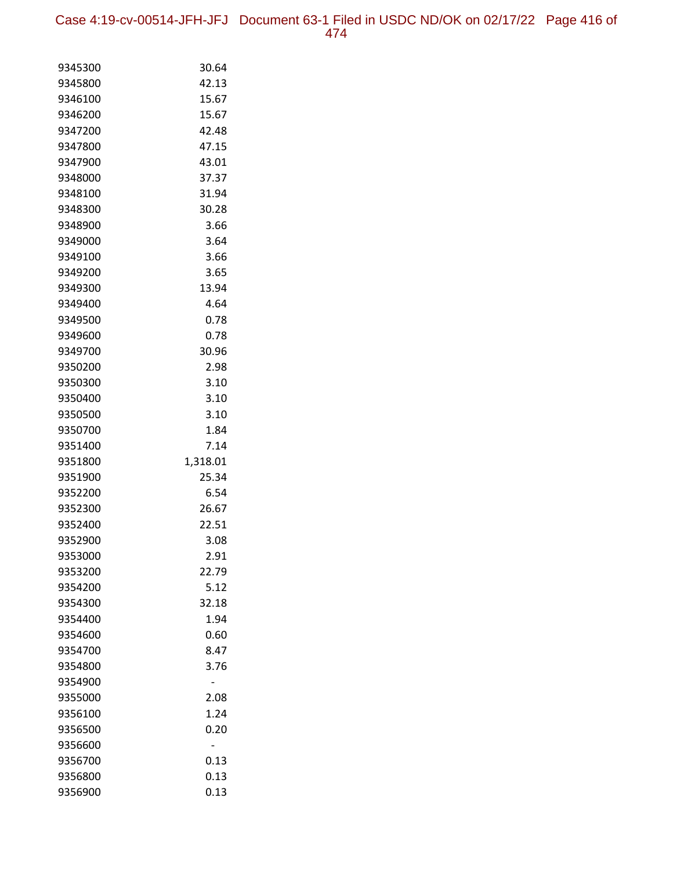Case 4:19-cv-00514-JFH-JFJ Document 63-1 Filed in USDC ND/OK on 02/17/22 Page 416 of 474

| 9345300            | 30.64         |
|--------------------|---------------|
| 9345800            | 42.13         |
| 9346100            | 15.67         |
| 9346200            | 15.67         |
| 9347200            | 42.48         |
| 9347800            | 47.15         |
| 9347900            | 43.01         |
| 9348000            | 37.37         |
| 9348100            | 31.94         |
| 9348300            | 30.28         |
| 9348900            | 3.66          |
| 9349000            | 3.64          |
| 9349100            | 3.66          |
| 9349200            | 3.65          |
| 9349300            | 13.94         |
| 9349400            | 4.64          |
| 9349500            | 0.78          |
| 9349600            | 0.78          |
| 9349700            | 30.96         |
| 9350200            | 2.98          |
| 9350300            | 3.10          |
| 9350400            | 3.10          |
| 9350500            | 3.10          |
| 9350700            | 1.84          |
| 9351400            | 7.14          |
| 9351800            | 1,318.01      |
| 9351900<br>9352200 | 25.34<br>6.54 |
| 9352300            | 26.67         |
| 9352400            | 22.51         |
| 9352900            | 3.08          |
| 9353000            | 2.91          |
| 9353200            | 22.79         |
| 9354200            | 5.12          |
| 9354300            | 32.18         |
| 9354400            | 1.94          |
| 9354600            | 0.60          |
| 9354700            | 8.47          |
| 9354800            | 3.76          |
| 9354900            |               |
| 9355000            | 2.08          |
| 9356100            | 1.24          |
| 9356500            | 0.20          |
| 9356600            |               |
| 9356700            | 0.13          |
| 9356800            | 0.13          |
| 9356900            | 0.13          |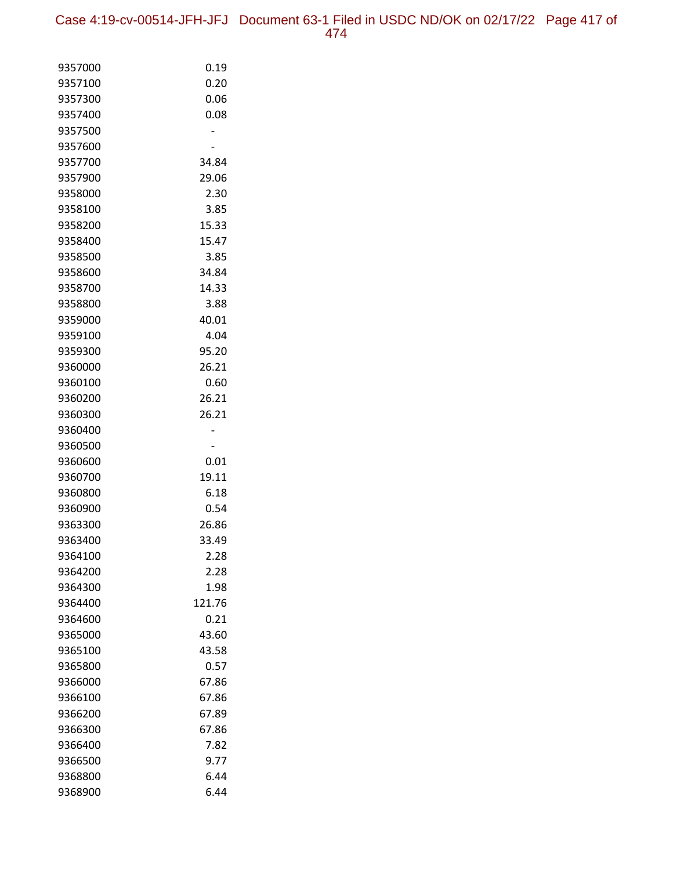Case 4:19-cv-00514-JFH-JFJ Document 63-1 Filed in USDC ND/OK on 02/17/22 Page 417 of 474

| 9357000 | 0.19   |
|---------|--------|
| 9357100 | 0.20   |
| 9357300 | 0.06   |
| 9357400 | 0.08   |
| 9357500 |        |
| 9357600 |        |
| 9357700 | 34.84  |
| 9357900 | 29.06  |
| 9358000 | 2.30   |
| 9358100 | 3.85   |
| 9358200 | 15.33  |
| 9358400 | 15.47  |
| 9358500 | 3.85   |
| 9358600 | 34.84  |
| 9358700 | 14.33  |
| 9358800 | 3.88   |
| 9359000 | 40.01  |
| 9359100 | 4.04   |
| 9359300 | 95.20  |
| 9360000 | 26.21  |
| 9360100 | 0.60   |
| 9360200 | 26.21  |
| 9360300 | 26.21  |
| 9360400 |        |
| 9360500 |        |
| 9360600 | 0.01   |
| 9360700 | 19.11  |
| 9360800 | 6.18   |
| 9360900 | 0.54   |
| 9363300 | 26.86  |
| 9363400 | 33.49  |
| 9364100 | 2.28   |
| 9364200 | 2.28   |
| 9364300 | 1.98   |
| 9364400 | 121.76 |
| 9364600 | 0.21   |
| 9365000 | 43.60  |
| 9365100 | 43.58  |
| 9365800 | 0.57   |
| 9366000 | 67.86  |
| 9366100 | 67.86  |
| 9366200 | 67.89  |
| 9366300 | 67.86  |
| 9366400 | 7.82   |
| 9366500 | 9.77   |
| 9368800 | 6.44   |
| 9368900 | 6.44   |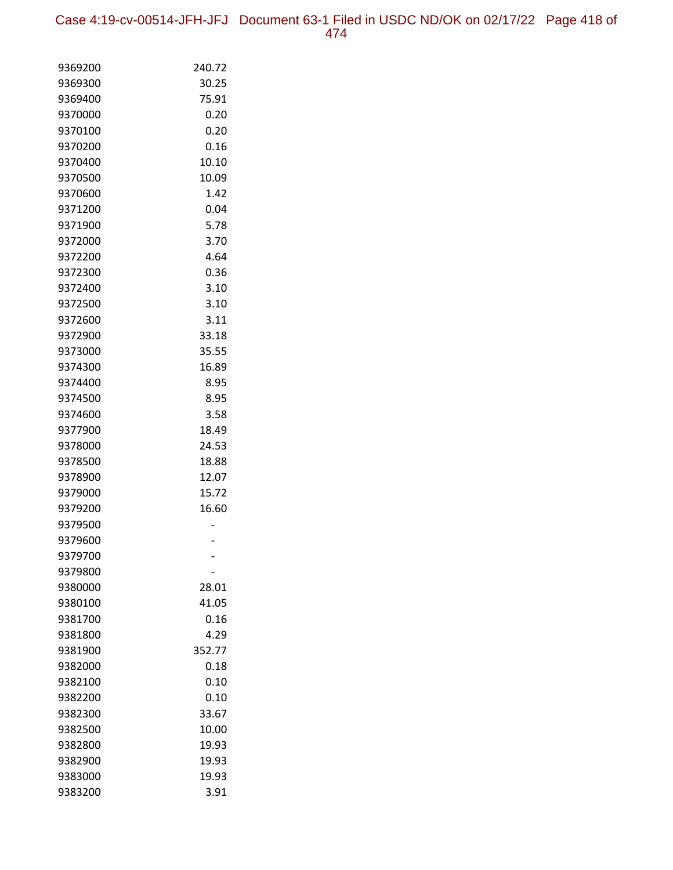Case 4:19-cv-00514-JFH-JFJ Document 63-1 Filed in USDC ND/OK on 02/17/22 Page 418 of 474

| 9369200            | 240.72       |
|--------------------|--------------|
| 9369300            | 30.25        |
| 9369400            | 75.91        |
| 9370000            | 0.20         |
| 9370100            | 0.20         |
| 9370200            | 0.16         |
| 9370400            | 10.10        |
| 9370500            | 10.09        |
| 9370600            | 1.42         |
| 9371200            | 0.04         |
| 9371900            | 5.78         |
| 9372000            | 3.70         |
| 9372200            | 4.64         |
| 9372300            | 0.36         |
| 9372400            | 3.10         |
| 9372500            | 3.10         |
| 9372600            | 3.11         |
| 9372900            | 33.18        |
| 9373000            | 35.55        |
| 9374300            | 16.89        |
| 9374400            | 8.95         |
| 9374500            | 8.95         |
| 9374600            | 3.58         |
| 9377900            | 18.49        |
| 9378000            | 24.53        |
| 9378500            | 18.88        |
| 9378900            | 12.07        |
| 9379000            | 15.72        |
| 9379200            | 16.60        |
| 9379500            |              |
| 9379600            |              |
| 9379700            |              |
| 9379800            |              |
| 9380000            | 28.01        |
| 9380100<br>9381700 | 41.05        |
| 9381800            | 0.16<br>4.29 |
| 9381900            | 352.77       |
| 9382000            | 0.18         |
| 9382100            | 0.10         |
| 9382200            | 0.10         |
| 9382300            | 33.67        |
| 9382500            | 10.00        |
| 9382800            | 19.93        |
| 9382900            | 19.93        |
| 9383000            | 19.93        |
| 9383200            | 3.91         |
|                    |              |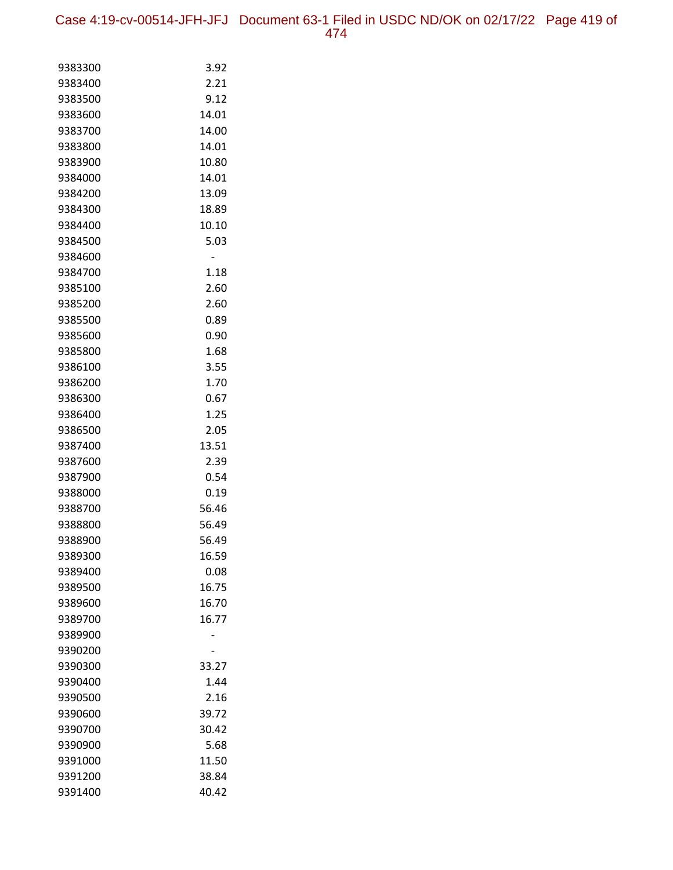Case 4:19-cv-00514-JFH-JFJ Document 63-1 Filed in USDC ND/OK on 02/17/22 Page 419 of 474

| 9383300            | 3.92           |
|--------------------|----------------|
| 9383400            | 2.21           |
| 9383500            | 9.12           |
| 9383600            | 14.01          |
| 9383700            | 14.00          |
| 9383800            | 14.01          |
| 9383900            | 10.80          |
| 9384000            | 14.01          |
| 9384200            | 13.09          |
| 9384300            | 18.89          |
| 9384400            | 10.10          |
| 9384500            | 5.03           |
| 9384600            |                |
| 9384700            | 1.18           |
| 9385100            | 2.60           |
| 9385200            | 2.60           |
| 9385500            | 0.89           |
| 9385600            | 0.90           |
| 9385800            | 1.68           |
| 9386100            | 3.55           |
| 9386200            | 1.70           |
| 9386300            | 0.67           |
| 9386400            | 1.25           |
| 9386500            | 2.05           |
| 9387400            | 13.51          |
| 9387600            | 2.39           |
| 9387900            | 0.54           |
| 9388000            | 0.19           |
| 9388700            | 56.46          |
| 9388800<br>9388900 | 56.49<br>56.49 |
| 9389300            | 16.59          |
| 9389400            | 0.08           |
| 9389500            | 16.75          |
| 9389600            | 16.70          |
| 9389700            | 16.77          |
| 9389900            |                |
| 9390200            |                |
| 9390300            | 33.27          |
| 9390400            | 1.44           |
| 9390500            | 2.16           |
| 9390600            | 39.72          |
| 9390700            | 30.42          |
| 9390900            | 5.68           |
| 9391000            | 11.50          |
| 9391200            | 38.84          |
| 9391400            | 40.42          |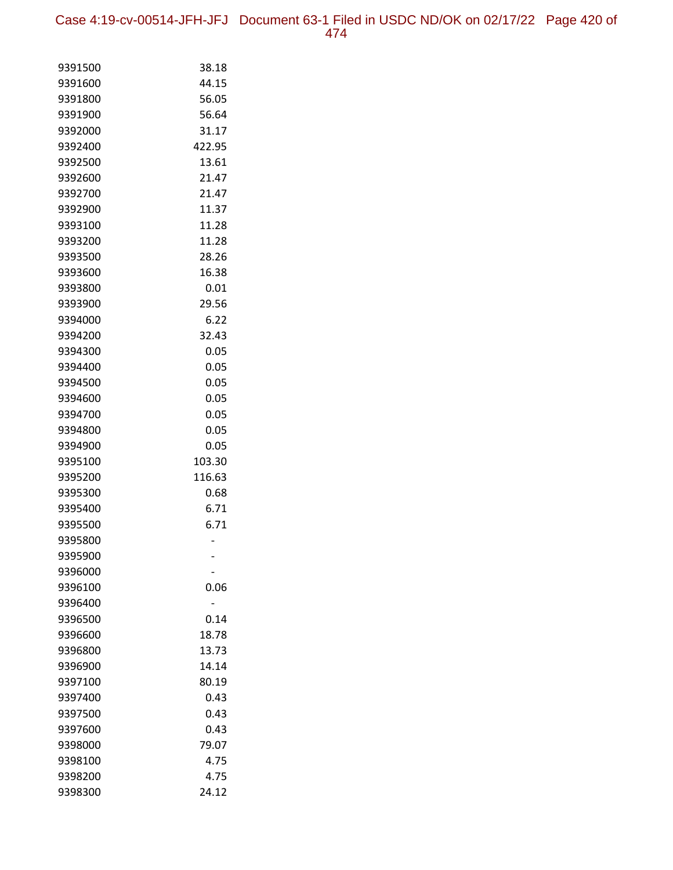Case 4:19-cv-00514-JFH-JFJ Document 63-1 Filed in USDC ND/OK on 02/17/22 Page 420 of 474

| 9391500            | 38.18  |
|--------------------|--------|
| 9391600            | 44.15  |
| 9391800            | 56.05  |
| 9391900            | 56.64  |
| 9392000            | 31.17  |
| 9392400            | 422.95 |
| 9392500            | 13.61  |
| 9392600            | 21.47  |
| 9392700            | 21.47  |
| 9392900            | 11.37  |
| 9393100            | 11.28  |
| 9393200            | 11.28  |
| 9393500            | 28.26  |
| 9393600            | 16.38  |
| 9393800            | 0.01   |
| 9393900            | 29.56  |
| 9394000            | 6.22   |
| 9394200            | 32.43  |
| 9394300            | 0.05   |
| 9394400            | 0.05   |
| 9394500            | 0.05   |
| 9394600            | 0.05   |
| 9394700            | 0.05   |
| 9394800            | 0.05   |
| 9394900            | 0.05   |
| 9395100            | 103.30 |
| 9395200            | 116.63 |
| 9395300            | 0.68   |
| 9395400            | 6.71   |
| 9395500<br>9395800 | 6.71   |
| 9395900            |        |
| 9396000            |        |
| 9396100            | 0.06   |
| 9396400            |        |
| 9396500            | 0.14   |
| 9396600            | 18.78  |
| 9396800            | 13.73  |
| 9396900            | 14.14  |
| 9397100            | 80.19  |
| 9397400            | 0.43   |
| 9397500            | 0.43   |
| 9397600            | 0.43   |
| 9398000            | 79.07  |
| 9398100            | 4.75   |
| 9398200            | 4.75   |
| 9398300            | 24.12  |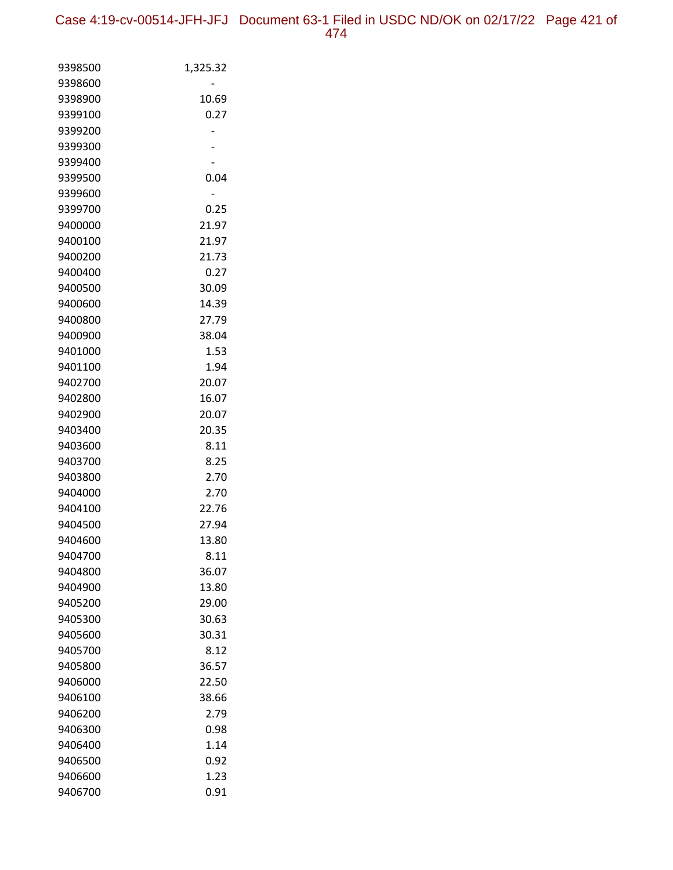| 9398500 | 1,325.32 |
|---------|----------|
| 9398600 |          |
| 9398900 | 10.69    |
| 9399100 | 0.27     |
| 9399200 |          |
| 9399300 |          |
| 9399400 |          |
| 9399500 | 0.04     |
| 9399600 |          |
| 9399700 | 0.25     |
| 9400000 | 21.97    |
| 9400100 | 21.97    |
| 9400200 | 21.73    |
| 9400400 | 0.27     |
| 9400500 | 30.09    |
| 9400600 | 14.39    |
| 9400800 | 27.79    |
| 9400900 | 38.04    |
| 9401000 | 1.53     |
| 9401100 | 1.94     |
| 9402700 | 20.07    |
| 9402800 | 16.07    |
| 9402900 | 20.07    |
| 9403400 | 20.35    |
| 9403600 | 8.11     |
| 9403700 | 8.25     |
| 9403800 | 2.70     |
| 9404000 | 2.70     |
| 9404100 | 22.76    |
| 9404500 | 27.94    |
| 9404600 | 13.80    |
| 9404700 | 8.11     |
| 9404800 | 36.07    |
| 9404900 | 13.80    |
| 9405200 | 29.00    |
| 9405300 | 30.63    |
| 9405600 | 30.31    |
| 9405700 | 8.12     |
| 9405800 | 36.57    |
| 9406000 | 22.50    |
| 9406100 | 38.66    |
| 9406200 | 2.79     |
| 9406300 | 0.98     |
| 9406400 | 1.14     |
| 9406500 | 0.92     |
| 9406600 | 1.23     |
| 9406700 | 0.91     |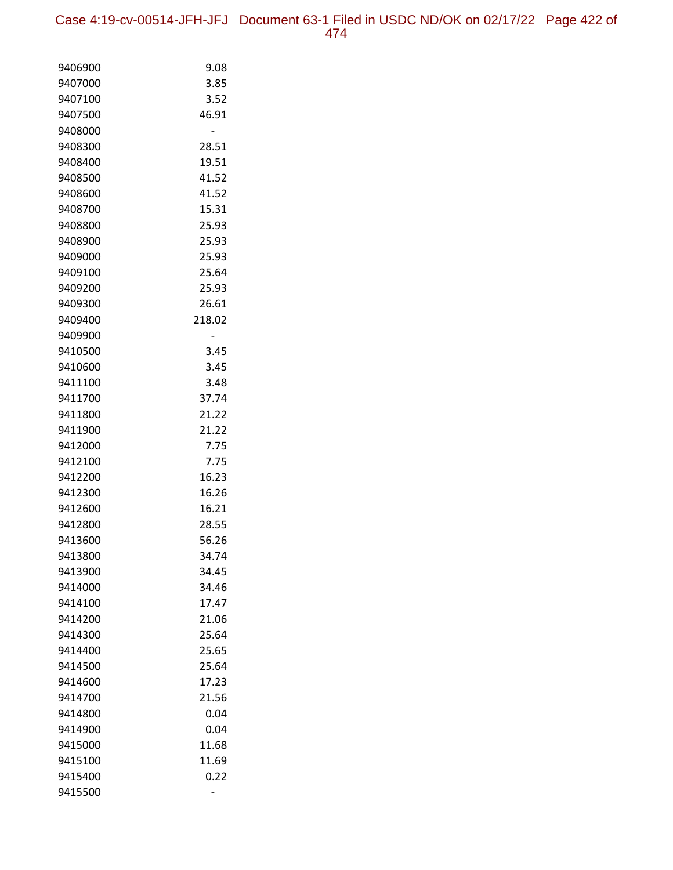| 9406900            | 9.08           |
|--------------------|----------------|
| 9407000            | 3.85           |
| 9407100            | 3.52           |
| 9407500            | 46.91          |
| 9408000            |                |
| 9408300            | 28.51          |
| 9408400            | 19.51          |
| 9408500            | 41.52          |
| 9408600            | 41.52          |
| 9408700            | 15.31          |
| 9408800            | 25.93          |
| 9408900            | 25.93          |
| 9409000            | 25.93          |
| 9409100            | 25.64          |
| 9409200            | 25.93          |
| 9409300            | 26.61          |
| 9409400            | 218.02         |
| 9409900            |                |
| 9410500            | 3.45           |
| 9410600            | 3.45           |
| 9411100            | 3.48           |
| 9411700            | 37.74          |
| 9411800            | 21.22          |
| 9411900            | 21.22          |
| 9412000            | 7.75           |
| 9412100            | 7.75           |
| 9412200<br>9412300 | 16.23<br>16.26 |
| 9412600            |                |
| 9412800            | 16.21<br>28.55 |
| 9413600            | 56.26          |
| 9413800            | 34.74          |
| 9413900            | 34.45          |
| 9414000            | 34.46          |
| 9414100            | 17.47          |
| 9414200            | 21.06          |
| 9414300            | 25.64          |
| 9414400            | 25.65          |
| 9414500            | 25.64          |
| 9414600            | 17.23          |
| 9414700            | 21.56          |
| 9414800            | 0.04           |
| 9414900            | 0.04           |
| 9415000            | 11.68          |
| 9415100            | 11.69          |
| 9415400            | 0.22           |
| 9415500            |                |
|                    |                |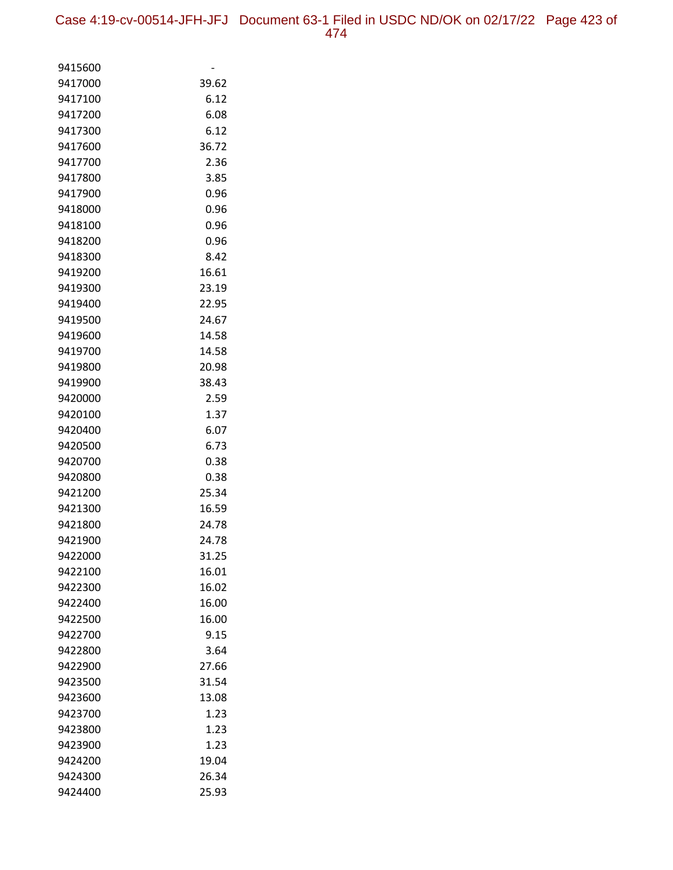| 9415600            |              |
|--------------------|--------------|
| 9417000            | 39.62        |
| 9417100            | 6.12         |
| 9417200            | 6.08         |
| 9417300            | 6.12         |
| 9417600            | 36.72        |
| 9417700            | 2.36         |
| 9417800            | 3.85         |
| 9417900            | 0.96         |
| 9418000            | 0.96         |
| 9418100            | 0.96         |
| 9418200            | 0.96         |
| 9418300            | 8.42         |
| 9419200            | 16.61        |
| 9419300            | 23.19        |
| 9419400            | 22.95        |
| 9419500            | 24.67        |
| 9419600            | 14.58        |
| 9419700            | 14.58        |
| 9419800            | 20.98        |
| 9419900            | 38.43        |
| 9420000            | 2.59         |
| 9420100            | 1.37         |
| 9420400            | 6.07         |
| 9420500            | 6.73         |
| 9420700            | 0.38         |
| 9420800            | 0.38         |
| 9421200            | 25.34        |
| 9421300            | 16.59        |
| 9421800            | 24.78        |
| 9421900            | 24.78        |
| 9422000            | 31.25        |
| 9422100            | 16.01        |
| 9422300            | 16.02        |
| 9422400            | 16.00        |
| 9422500            | 16.00        |
| 9422700            | 9.15         |
| 9422800            | 3.64         |
| 9422900            | 27.66        |
| 9423500            | 31.54        |
| 9423600            | 13.08        |
| 9423700            | 1.23<br>1.23 |
| 9423800<br>9423900 | 1.23         |
| 9424200            | 19.04        |
|                    |              |
| 9424300            | 26.34        |
| 9424400            | 25.93        |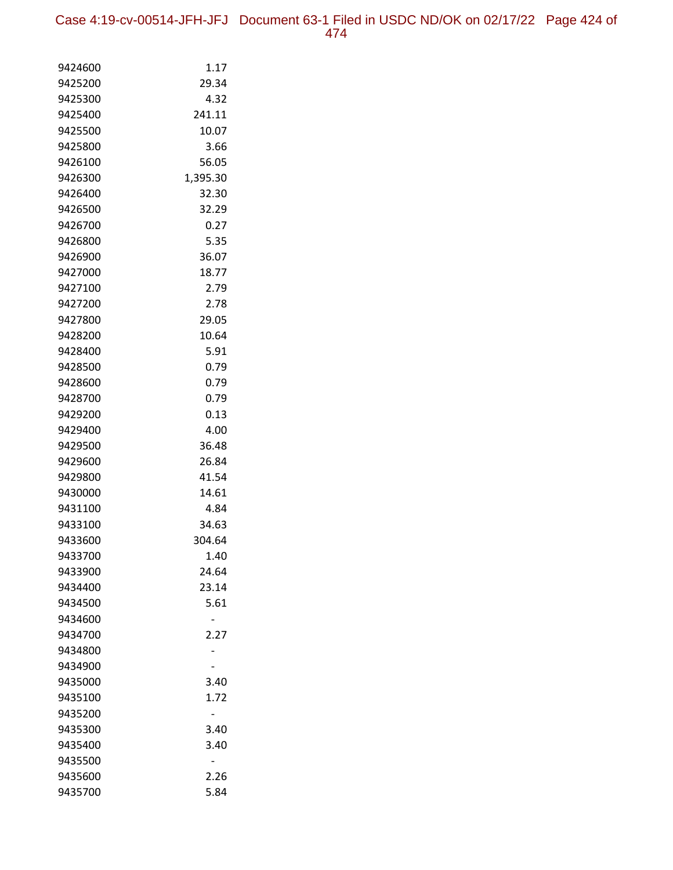| 9424600 | 1.17     |
|---------|----------|
| 9425200 | 29.34    |
| 9425300 | 4.32     |
| 9425400 | 241.11   |
| 9425500 | 10.07    |
| 9425800 | 3.66     |
| 9426100 | 56.05    |
| 9426300 | 1,395.30 |
| 9426400 | 32.30    |
| 9426500 | 32.29    |
| 9426700 | 0.27     |
| 9426800 | 5.35     |
| 9426900 | 36.07    |
| 9427000 | 18.77    |
| 9427100 | 2.79     |
| 9427200 | 2.78     |
| 9427800 | 29.05    |
| 9428200 | 10.64    |
| 9428400 | 5.91     |
| 9428500 | 0.79     |
| 9428600 | 0.79     |
| 9428700 | 0.79     |
| 9429200 | 0.13     |
| 9429400 | 4.00     |
| 9429500 | 36.48    |
| 9429600 | 26.84    |
| 9429800 | 41.54    |
| 9430000 | 14.61    |
| 9431100 | 4.84     |
| 9433100 | 34.63    |
| 9433600 | 304.64   |
| 9433700 | 1.40     |
| 9433900 | 24.64    |
| 9434400 | 23.14    |
| 9434500 | 5.61     |
| 9434600 |          |
| 9434700 | 2.27     |
| 9434800 |          |
| 9434900 |          |
| 9435000 | 3.40     |
| 9435100 | 1.72     |
| 9435200 |          |
| 9435300 | 3.40     |
| 9435400 | 3.40     |
| 9435500 |          |
| 9435600 | 2.26     |
| 9435700 | 5.84     |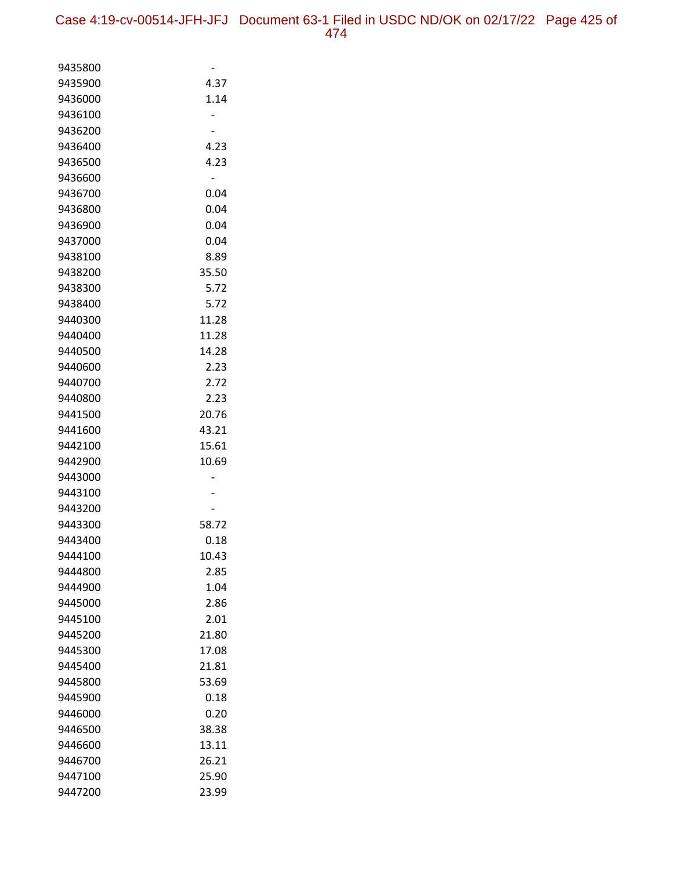| 9435800 |       |
|---------|-------|
| 9435900 | 4.37  |
| 9436000 | 1.14  |
| 9436100 |       |
| 9436200 |       |
| 9436400 | 4.23  |
| 9436500 | 4.23  |
| 9436600 |       |
| 9436700 | 0.04  |
| 9436800 | 0.04  |
| 9436900 | 0.04  |
| 9437000 | 0.04  |
| 9438100 | 8.89  |
| 9438200 | 35.50 |
| 9438300 | 5.72  |
| 9438400 | 5.72  |
| 9440300 | 11.28 |
| 9440400 | 11.28 |
| 9440500 | 14.28 |
| 9440600 | 2.23  |
| 9440700 | 2.72  |
| 9440800 | 2.23  |
| 9441500 | 20.76 |
| 9441600 | 43.21 |
| 9442100 | 15.61 |
| 9442900 | 10.69 |
| 9443000 |       |
| 9443100 |       |
| 9443200 |       |
| 9443300 | 58.72 |
| 9443400 | 0.18  |
| 9444100 | 10.43 |
| 9444800 | 2.85  |
| 9444900 | 1.04  |
| 9445000 | 2.86  |
| 9445100 | 2.01  |
| 9445200 | 21.80 |
| 9445300 | 17.08 |
| 9445400 | 21.81 |
| 9445800 | 53.69 |
| 9445900 | 0.18  |
| 9446000 | 0.20  |
| 9446500 | 38.38 |
| 9446600 | 13.11 |
| 9446700 | 26.21 |
| 9447100 | 25.90 |
| 9447200 | 23.99 |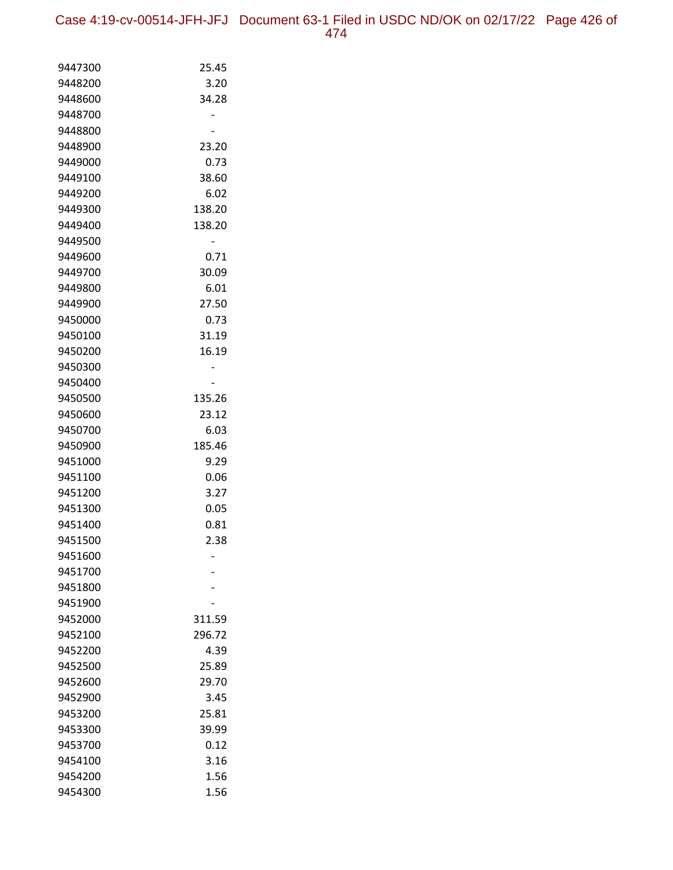Case 4:19-cv-00514-JFH-JFJ Document 63-1 Filed in USDC ND/OK on 02/17/22 Page 426 of 474

| 9447300            | 25.45          |
|--------------------|----------------|
| 9448200            | 3.20           |
| 9448600            | 34.28          |
| 9448700            |                |
| 9448800            |                |
| 9448900            | 23.20          |
| 9449000            | 0.73           |
| 9449100            | 38.60          |
| 9449200            | 6.02           |
| 9449300            | 138.20         |
| 9449400            | 138.20         |
| 9449500            |                |
| 9449600            | 0.71           |
| 9449700            | 30.09          |
| 9449800            | 6.01           |
| 9449900            | 27.50          |
| 9450000            | 0.73           |
| 9450100            | 31.19          |
| 9450200            | 16.19          |
| 9450300            |                |
| 9450400            |                |
| 9450500            | 135.26         |
| 9450600            | 23.12          |
| 9450700            | 6.03           |
| 9450900            | 185.46<br>9.29 |
| 9451000<br>9451100 | 0.06           |
| 9451200            | 3.27           |
| 9451300            | 0.05           |
| 9451400            | 0.81           |
| 9451500            | 2.38           |
| 9451600            |                |
| 9451700            |                |
| 9451800            |                |
| 9451900            |                |
| 9452000            | 311.59         |
| 9452100            | 296.72         |
| 9452200            | 4.39           |
| 9452500            | 25.89          |
| 9452600            | 29.70          |
| 9452900            | 3.45           |
| 9453200            | 25.81          |
| 9453300            | 39.99          |
| 9453700            | 0.12           |
| 9454100            | 3.16           |
| 9454200            | 1.56           |
| 9454300            | 1.56           |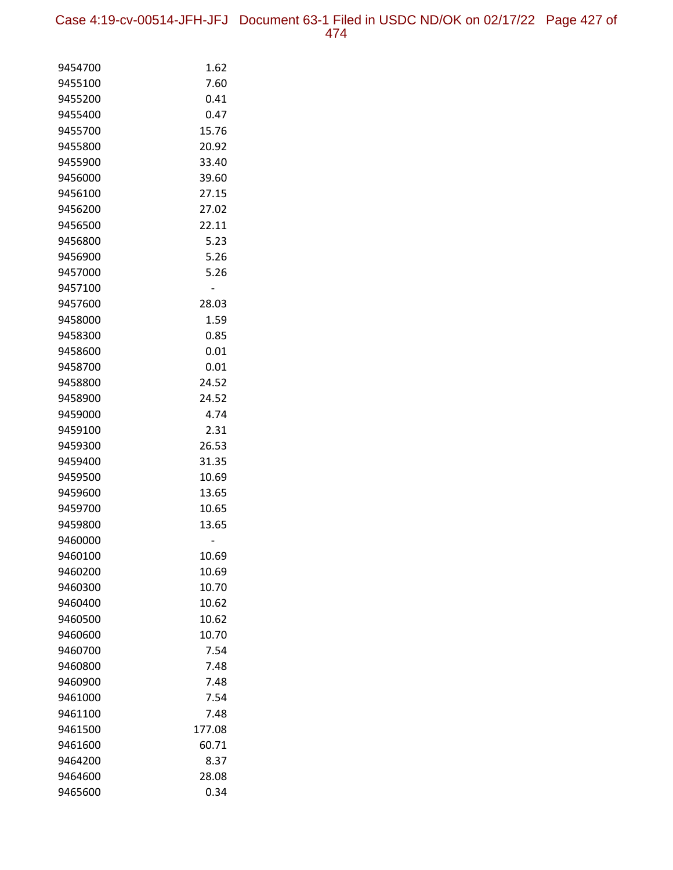Case 4:19-cv-00514-JFH-JFJ Document 63-1 Filed in USDC ND/OK on 02/17/22 Page 427 of 474

| 9454700 | 1.62   |
|---------|--------|
| 9455100 | 7.60   |
| 9455200 | 0.41   |
| 9455400 | 0.47   |
| 9455700 | 15.76  |
| 9455800 | 20.92  |
| 9455900 | 33.40  |
| 9456000 | 39.60  |
| 9456100 | 27.15  |
| 9456200 | 27.02  |
| 9456500 | 22.11  |
| 9456800 | 5.23   |
| 9456900 | 5.26   |
| 9457000 | 5.26   |
| 9457100 |        |
| 9457600 | 28.03  |
| 9458000 | 1.59   |
| 9458300 | 0.85   |
| 9458600 | 0.01   |
| 9458700 | 0.01   |
| 9458800 | 24.52  |
| 9458900 | 24.52  |
| 9459000 | 4.74   |
| 9459100 | 2.31   |
| 9459300 | 26.53  |
| 9459400 | 31.35  |
| 9459500 | 10.69  |
| 9459600 | 13.65  |
| 9459700 | 10.65  |
| 9459800 | 13.65  |
| 9460000 |        |
| 9460100 | 10.69  |
| 9460200 | 10.69  |
| 9460300 | 10.70  |
| 9460400 | 10.62  |
| 9460500 | 10.62  |
| 9460600 | 10.70  |
| 9460700 | 7.54   |
| 9460800 | 7.48   |
| 9460900 | 7.48   |
| 9461000 | 7.54   |
| 9461100 | 7.48   |
| 9461500 | 177.08 |
| 9461600 | 60.71  |
| 9464200 | 8.37   |
| 9464600 | 28.08  |
| 9465600 | 0.34   |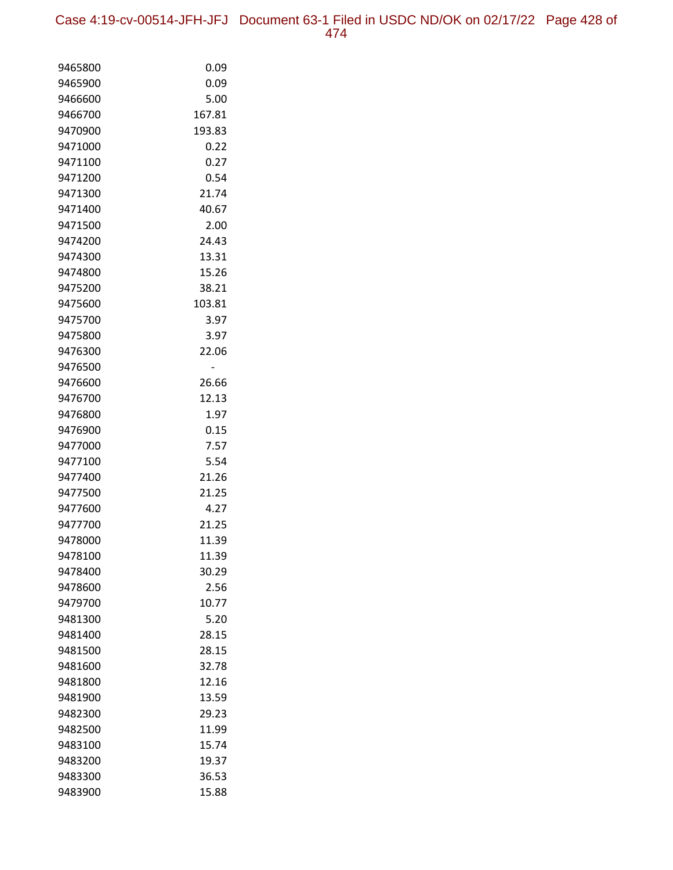Case 4:19-cv-00514-JFH-JFJ Document 63-1 Filed in USDC ND/OK on 02/17/22 Page 428 of 474

| 9465800            | 0.09           |
|--------------------|----------------|
| 9465900            | 0.09           |
| 9466600            | 5.00           |
| 9466700            | 167.81         |
| 9470900            | 193.83         |
| 9471000            | 0.22           |
| 9471100            | 0.27           |
| 9471200            | 0.54           |
| 9471300            | 21.74          |
| 9471400            | 40.67          |
| 9471500            | 2.00           |
| 9474200            | 24.43          |
| 9474300            | 13.31          |
| 9474800            | 15.26          |
| 9475200            | 38.21          |
| 9475600            | 103.81         |
| 9475700            | 3.97           |
| 9475800            | 3.97           |
| 9476300            | 22.06          |
| 9476500            |                |
| 9476600            | 26.66          |
| 9476700            | 12.13          |
| 9476800            | 1.97           |
| 9476900            | 0.15           |
| 9477000            | 7.57           |
| 9477100            | 5.54           |
| 9477400            | 21.26          |
| 9477500            | 21.25          |
| 9477600            | 4.27           |
| 9477700<br>9478000 | 21.25<br>11.39 |
| 9478100            | 11.39          |
| 9478400            | 30.29          |
| 9478600            | 2.56           |
| 9479700            | 10.77          |
| 9481300            | 5.20           |
| 9481400            | 28.15          |
| 9481500            | 28.15          |
| 9481600            | 32.78          |
| 9481800            | 12.16          |
| 9481900            | 13.59          |
| 9482300            | 29.23          |
| 9482500            | 11.99          |
| 9483100            | 15.74          |
| 9483200            | 19.37          |
| 9483300            | 36.53          |
| 9483900            | 15.88          |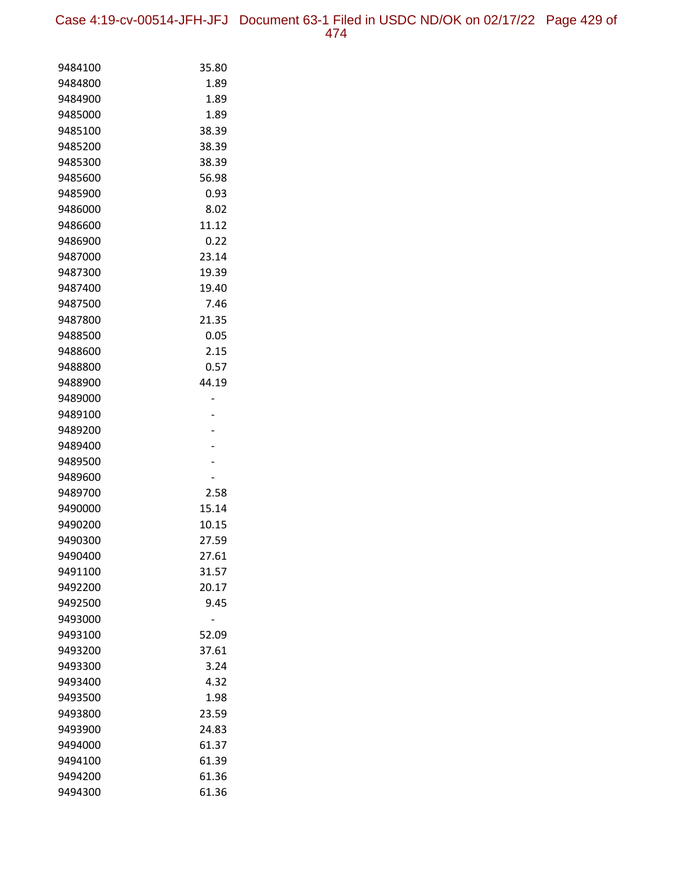| 9484100 | 35.80 |
|---------|-------|
| 9484800 | 1.89  |
| 9484900 | 1.89  |
| 9485000 | 1.89  |
| 9485100 | 38.39 |
| 9485200 | 38.39 |
| 9485300 | 38.39 |
| 9485600 | 56.98 |
| 9485900 | 0.93  |
| 9486000 | 8.02  |
| 9486600 | 11.12 |
| 9486900 | 0.22  |
| 9487000 | 23.14 |
| 9487300 | 19.39 |
| 9487400 | 19.40 |
| 9487500 | 7.46  |
| 9487800 | 21.35 |
| 9488500 | 0.05  |
| 9488600 | 2.15  |
| 9488800 | 0.57  |
| 9488900 | 44.19 |
| 9489000 |       |
| 9489100 |       |
| 9489200 |       |
| 9489400 |       |
| 9489500 |       |
| 9489600 |       |
| 9489700 | 2.58  |
| 9490000 | 15.14 |
| 9490200 | 10.15 |
| 9490300 | 27.59 |
| 9490400 | 27.61 |
| 9491100 | 31.57 |
| 9492200 | 20.17 |
| 9492500 | 9.45  |
| 9493000 |       |
| 9493100 | 52.09 |
| 9493200 | 37.61 |
| 9493300 | 3.24  |
| 9493400 | 4.32  |
| 9493500 | 1.98  |
| 9493800 | 23.59 |
| 9493900 | 24.83 |
| 9494000 | 61.37 |
| 9494100 | 61.39 |
| 9494200 | 61.36 |
| 9494300 | 61.36 |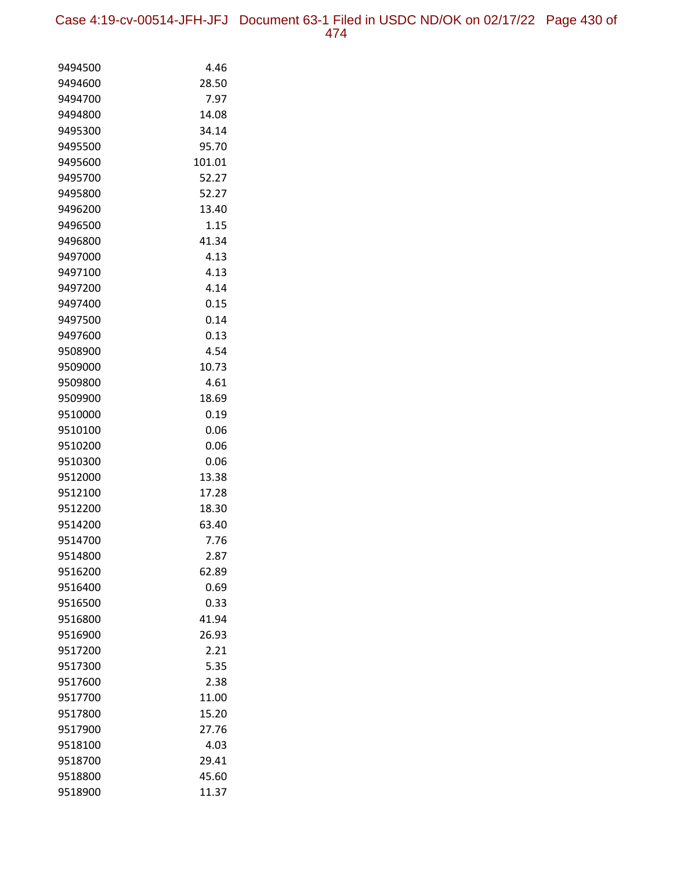Case 4:19-cv-00514-JFH-JFJ Document 63-1 Filed in USDC ND/OK on 02/17/22 Page 430 of 474

| 9494500            | 4.46           |
|--------------------|----------------|
| 9494600            | 28.50          |
| 9494700            | 7.97           |
| 9494800            | 14.08          |
| 9495300            | 34.14          |
| 9495500            | 95.70          |
| 9495600            | 101.01         |
| 9495700            | 52.27          |
| 9495800            | 52.27          |
| 9496200            | 13.40          |
| 9496500            | 1.15           |
| 9496800            | 41.34          |
| 9497000            | 4.13           |
| 9497100            | 4.13           |
| 9497200            | 4.14           |
| 9497400            | 0.15           |
| 9497500            | 0.14           |
| 9497600            | 0.13           |
| 9508900            | 4.54           |
| 9509000            | 10.73          |
| 9509800            | 4.61           |
| 9509900            | 18.69          |
| 9510000            | 0.19           |
| 9510100            | 0.06           |
| 9510200            | 0.06           |
| 9510300            | 0.06           |
| 9512000            | 13.38          |
| 9512100            | 17.28          |
| 9512200            | 18.30          |
| 9514200            | 63.40          |
| 9514700            | 7.76           |
| 9514800            | 2.87           |
| 9516200            | 62.89          |
| 9516400            | 0.69           |
| 9516500            | 0.33           |
| 9516800            | 41.94          |
| 9516900            | 26.93          |
| 9517200            | 2.21           |
| 9517300<br>9517600 | 5.35           |
|                    | 2.38           |
| 9517700            | 11.00<br>15.20 |
| 9517800<br>9517900 | 27.76          |
| 9518100            | 4.03           |
| 9518700            | 29.41          |
| 9518800            | 45.60          |
| 9518900            | 11.37          |
|                    |                |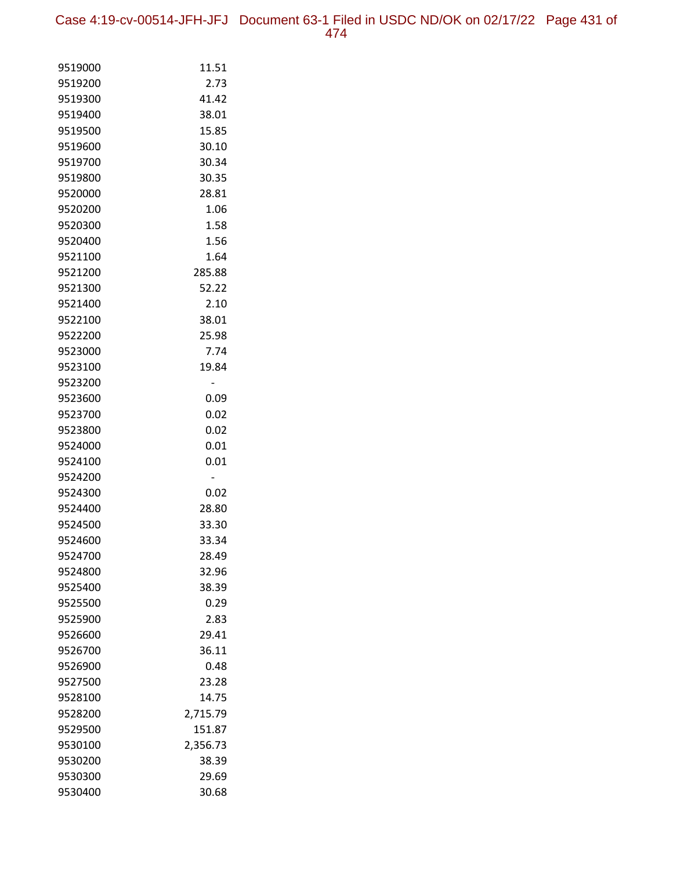Case 4:19-cv-00514-JFH-JFJ Document 63-1 Filed in USDC ND/OK on 02/17/22 Page 431 of 474

| 9519000            | 11.51         |
|--------------------|---------------|
| 9519200            | 2.73          |
| 9519300            | 41.42         |
| 9519400            | 38.01         |
| 9519500            | 15.85         |
| 9519600            | 30.10         |
| 9519700            | 30.34         |
| 9519800            | 30.35         |
| 9520000            | 28.81         |
| 9520200            | 1.06          |
| 9520300            | 1.58          |
| 9520400            | 1.56          |
| 9521100            | 1.64          |
| 9521200            | 285.88        |
| 9521300            | 52.22         |
| 9521400            | 2.10          |
| 9522100            | 38.01         |
| 9522200            | 25.98         |
| 9523000            | 7.74          |
| 9523100            | 19.84         |
| 9523200            | -             |
| 9523600            | 0.09          |
| 9523700            | 0.02          |
| 9523800            | 0.02          |
| 9524000            | 0.01          |
| 9524100            | 0.01          |
| 9524200<br>9524300 | -             |
| 9524400            | 0.02<br>28.80 |
| 9524500            | 33.30         |
| 9524600            | 33.34         |
| 9524700            | 28.49         |
| 9524800            | 32.96         |
| 9525400            | 38.39         |
| 9525500            | 0.29          |
| 9525900            | 2.83          |
| 9526600            | 29.41         |
| 9526700            | 36.11         |
| 9526900            | 0.48          |
| 9527500            | 23.28         |
| 9528100            | 14.75         |
| 9528200            | 2,715.79      |
| 9529500            | 151.87        |
| 9530100            | 2,356.73      |
| 9530200            | 38.39         |
| 9530300            | 29.69         |
| 9530400            | 30.68         |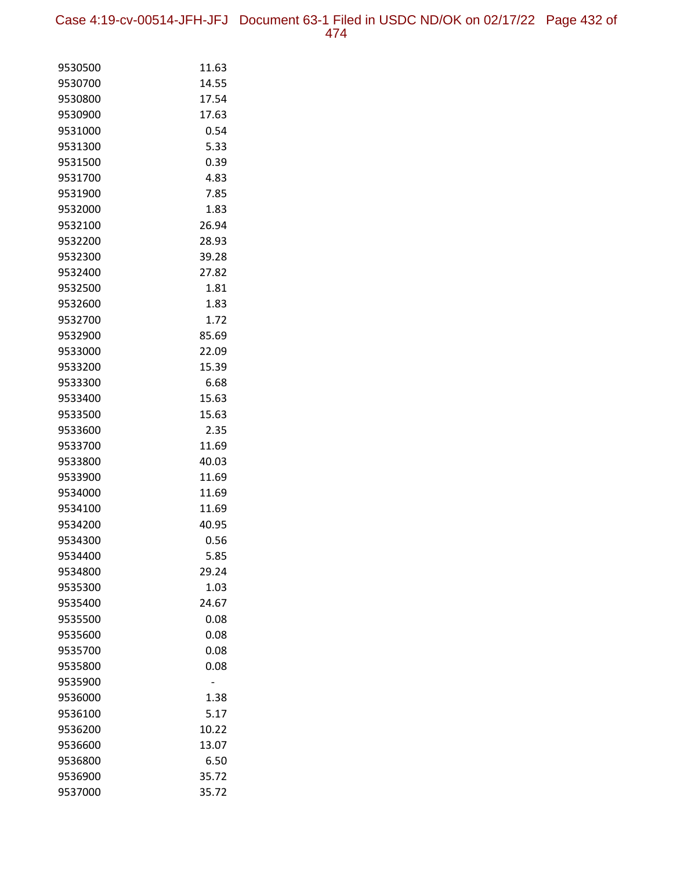Case 4:19-cv-00514-JFH-JFJ Document 63-1 Filed in USDC ND/OK on 02/17/22 Page 432 of 474

| 9530500            | 11.63         |
|--------------------|---------------|
| 9530700            | 14.55         |
| 9530800            | 17.54         |
| 9530900            | 17.63         |
| 9531000            | 0.54          |
| 9531300            | 5.33          |
| 9531500            | 0.39          |
| 9531700            | 4.83          |
| 9531900            | 7.85          |
| 9532000            | 1.83          |
| 9532100            | 26.94         |
| 9532200            | 28.93         |
| 9532300            | 39.28         |
| 9532400            | 27.82         |
| 9532500            | 1.81          |
| 9532600            | 1.83          |
| 9532700            | 1.72          |
| 9532900            | 85.69         |
| 9533000            | 22.09         |
| 9533200            | 15.39         |
| 9533300            | 6.68          |
| 9533400            | 15.63         |
| 9533500            | 15.63         |
| 9533600            | 2.35          |
| 9533700            | 11.69         |
| 9533800            | 40.03         |
| 9533900            | 11.69         |
| 9534000            | 11.69         |
| 9534100            | 11.69         |
| 9534200            | 40.95         |
| 9534300            | 0.56          |
| 9534400<br>9534800 | 5.85<br>29.24 |
| 9535300            | 1.03          |
| 9535400            | 24.67         |
| 9535500            | 0.08          |
| 9535600            | 0.08          |
| 9535700            | 0.08          |
| 9535800            | 0.08          |
| 9535900            |               |
| 9536000            | 1.38          |
| 9536100            | 5.17          |
| 9536200            | 10.22         |
| 9536600            | 13.07         |
| 9536800            | 6.50          |
| 9536900            | 35.72         |
| 9537000            | 35.72         |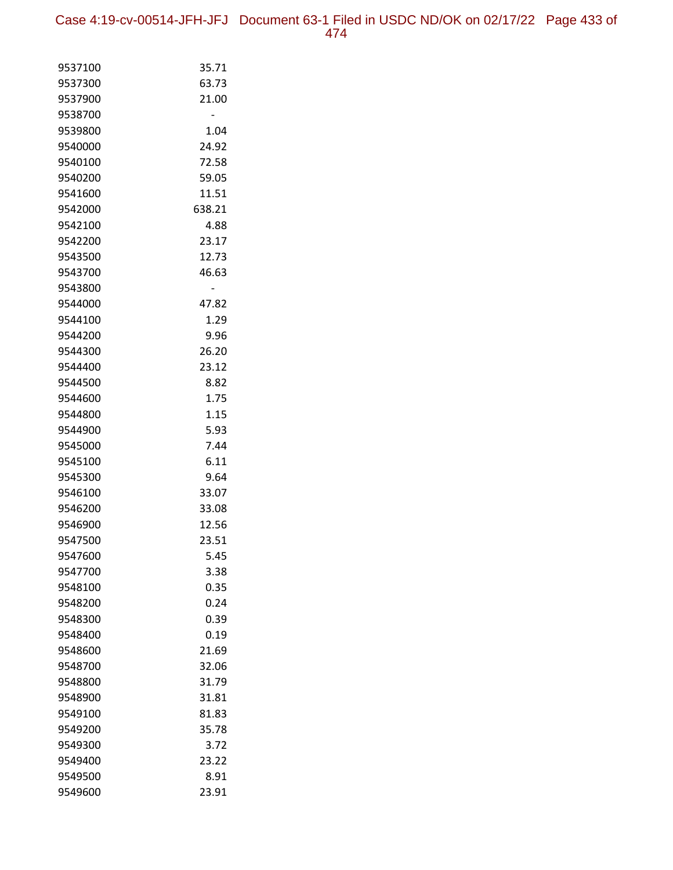Case 4:19-cv-00514-JFH-JFJ Document 63-1 Filed in USDC ND/OK on 02/17/22 Page 433 of 474

| 9537100            | 35.71        |
|--------------------|--------------|
| 9537300            | 63.73        |
| 9537900            | 21.00        |
| 9538700            |              |
| 9539800            | 1.04         |
| 9540000            | 24.92        |
| 9540100            | 72.58        |
| 9540200            | 59.05        |
| 9541600            | 11.51        |
| 9542000            | 638.21       |
| 9542100            | 4.88         |
| 9542200            | 23.17        |
| 9543500            | 12.73        |
| 9543700            | 46.63        |
| 9543800            |              |
| 9544000            | 47.82        |
| 9544100            | 1.29         |
| 9544200            | 9.96         |
| 9544300            | 26.20        |
| 9544400            | 23.12        |
| 9544500            | 8.82         |
| 9544600            | 1.75         |
| 9544800            | 1.15         |
| 9544900            | 5.93         |
| 9545000            | 7.44         |
| 9545100            | 6.11         |
| 9545300            | 9.64         |
| 9546100            | 33.07        |
| 9546200            | 33.08        |
| 9546900            | 12.56        |
| 9547500            | 23.51        |
| 9547600            | 5.45         |
| 9547700            | 3.38         |
| 9548100            | 0.35         |
| 9548200<br>9548300 | 0.24<br>0.39 |
| 9548400            | 0.19         |
| 9548600            | 21.69        |
| 9548700            | 32.06        |
| 9548800            | 31.79        |
| 9548900            | 31.81        |
| 9549100            | 81.83        |
| 9549200            | 35.78        |
| 9549300            | 3.72         |
| 9549400            | 23.22        |
| 9549500            | 8.91         |
| 9549600            | 23.91        |
|                    |              |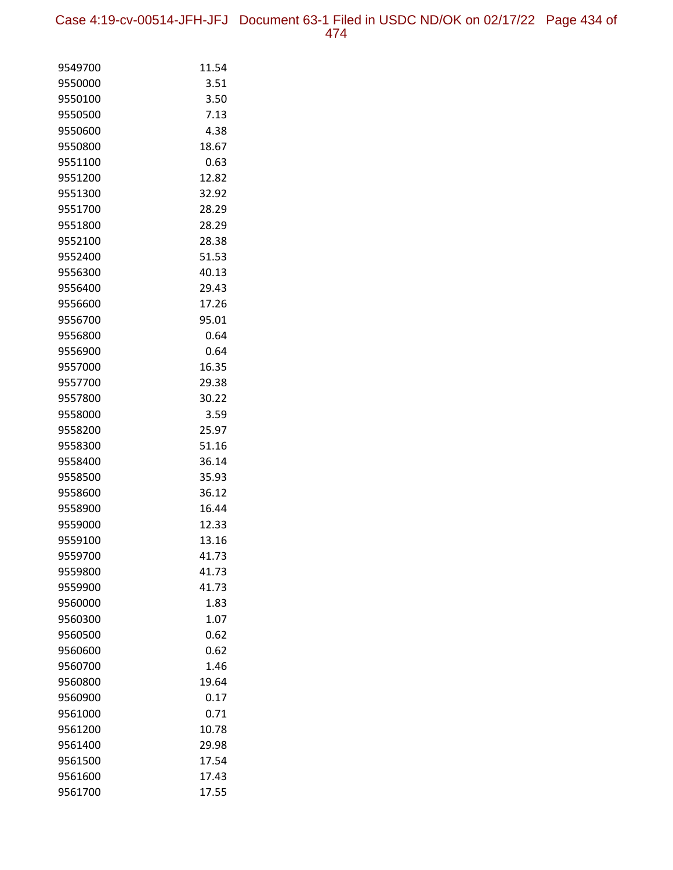| 9549700 | 11.54 |
|---------|-------|
| 9550000 | 3.51  |
| 9550100 | 3.50  |
| 9550500 | 7.13  |
| 9550600 | 4.38  |
| 9550800 | 18.67 |
| 9551100 | 0.63  |
| 9551200 | 12.82 |
| 9551300 | 32.92 |
| 9551700 | 28.29 |
| 9551800 | 28.29 |
| 9552100 | 28.38 |
| 9552400 | 51.53 |
| 9556300 | 40.13 |
| 9556400 | 29.43 |
| 9556600 | 17.26 |
| 9556700 | 95.01 |
| 9556800 | 0.64  |
| 9556900 | 0.64  |
| 9557000 | 16.35 |
| 9557700 | 29.38 |
| 9557800 | 30.22 |
| 9558000 | 3.59  |
| 9558200 | 25.97 |
| 9558300 | 51.16 |
| 9558400 | 36.14 |
| 9558500 | 35.93 |
| 9558600 | 36.12 |
| 9558900 | 16.44 |
| 9559000 | 12.33 |
| 9559100 | 13.16 |
| 9559700 | 41.73 |
| 9559800 | 41.73 |
| 9559900 | 41.73 |
| 9560000 | 1.83  |
| 9560300 | 1.07  |
| 9560500 | 0.62  |
| 9560600 | 0.62  |
| 9560700 | 1.46  |
| 9560800 | 19.64 |
| 9560900 | 0.17  |
| 9561000 | 0.71  |
| 9561200 | 10.78 |
| 9561400 | 29.98 |
| 9561500 | 17.54 |
| 9561600 | 17.43 |
| 9561700 | 17.55 |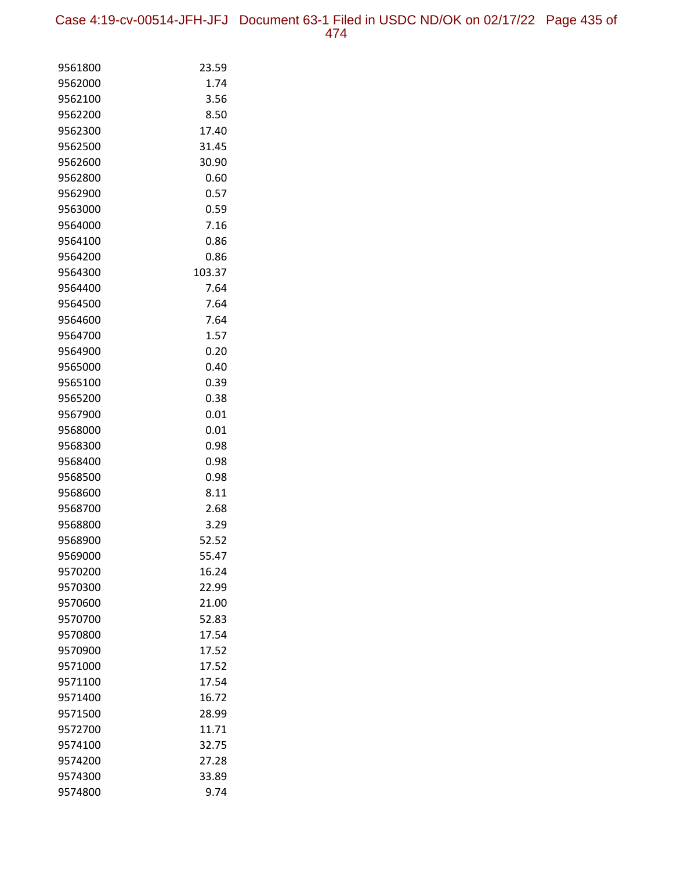Case 4:19-cv-00514-JFH-JFJ Document 63-1 Filed in USDC ND/OK on 02/17/22 Page 435 of 474

| 9561800            | 23.59          |
|--------------------|----------------|
| 9562000            | 1.74           |
| 9562100            | 3.56           |
| 9562200            | 8.50           |
| 9562300            | 17.40          |
| 9562500            | 31.45          |
| 9562600            | 30.90          |
| 9562800            | 0.60           |
| 9562900            | 0.57           |
| 9563000            | 0.59           |
| 9564000            | 7.16           |
| 9564100            | 0.86           |
| 9564200            | 0.86           |
| 9564300            | 103.37         |
| 9564400            | 7.64           |
| 9564500            | 7.64           |
| 9564600            | 7.64           |
| 9564700            | 1.57           |
| 9564900            | 0.20           |
| 9565000            | 0.40           |
| 9565100            | 0.39           |
| 9565200            | 0.38           |
| 9567900            | 0.01           |
| 9568000            | 0.01           |
| 9568300            | 0.98           |
| 9568400            | 0.98           |
| 9568500            | 0.98           |
| 9568600            | 8.11           |
| 9568700            | 2.68           |
| 9568800            | 3.29           |
| 9568900            | 52.52          |
| 9569000            | 55.47          |
| 9570200            | 16.24          |
| 9570300<br>9570600 | 22.99<br>21.00 |
| 9570700            | 52.83          |
| 9570800            | 17.54          |
| 9570900            | 17.52          |
| 9571000            | 17.52          |
| 9571100            | 17.54          |
| 9571400            | 16.72          |
| 9571500            | 28.99          |
| 9572700            | 11.71          |
| 9574100            | 32.75          |
| 9574200            | 27.28          |
| 9574300            | 33.89          |
| 9574800            | 9.74           |
|                    |                |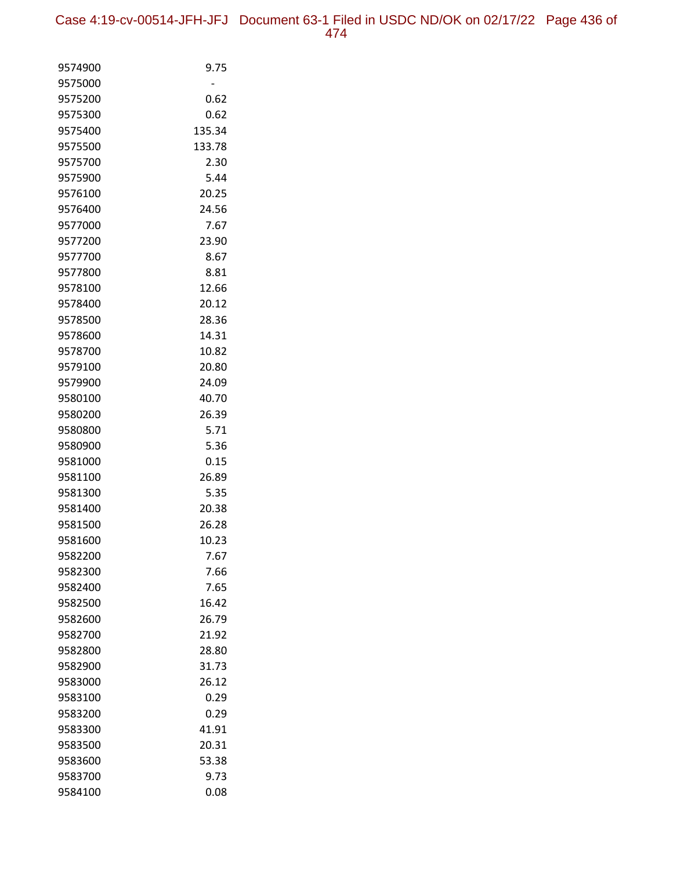| 9574900            | 9.75          |
|--------------------|---------------|
| 9575000            |               |
| 9575200            | 0.62          |
| 9575300            | 0.62          |
| 9575400            | 135.34        |
| 9575500            | 133.78        |
| 9575700            | 2.30          |
| 9575900            | 5.44          |
| 9576100            | 20.25         |
| 9576400            | 24.56         |
| 9577000            | 7.67          |
| 9577200            | 23.90         |
| 9577700            | 8.67          |
| 9577800            | 8.81          |
| 9578100            | 12.66         |
| 9578400            | 20.12         |
| 9578500            | 28.36         |
| 9578600            | 14.31         |
| 9578700            | 10.82         |
| 9579100            | 20.80         |
| 9579900            | 24.09         |
| 9580100            | 40.70         |
| 9580200            | 26.39         |
| 9580800            | 5.71          |
| 9580900            | 5.36          |
| 9581000            | 0.15          |
| 9581100<br>9581300 | 26.89         |
| 9581400            | 5.35<br>20.38 |
| 9581500            | 26.28         |
| 9581600            | 10.23         |
| 9582200            | 7.67          |
| 9582300            | 7.66          |
| 9582400            | 7.65          |
| 9582500            | 16.42         |
| 9582600            | 26.79         |
| 9582700            | 21.92         |
| 9582800            | 28.80         |
| 9582900            | 31.73         |
| 9583000            | 26.12         |
| 9583100            | 0.29          |
| 9583200            | 0.29          |
| 9583300            | 41.91         |
| 9583500            | 20.31         |
| 9583600            | 53.38         |
| 9583700            | 9.73          |
| 9584100            | 0.08          |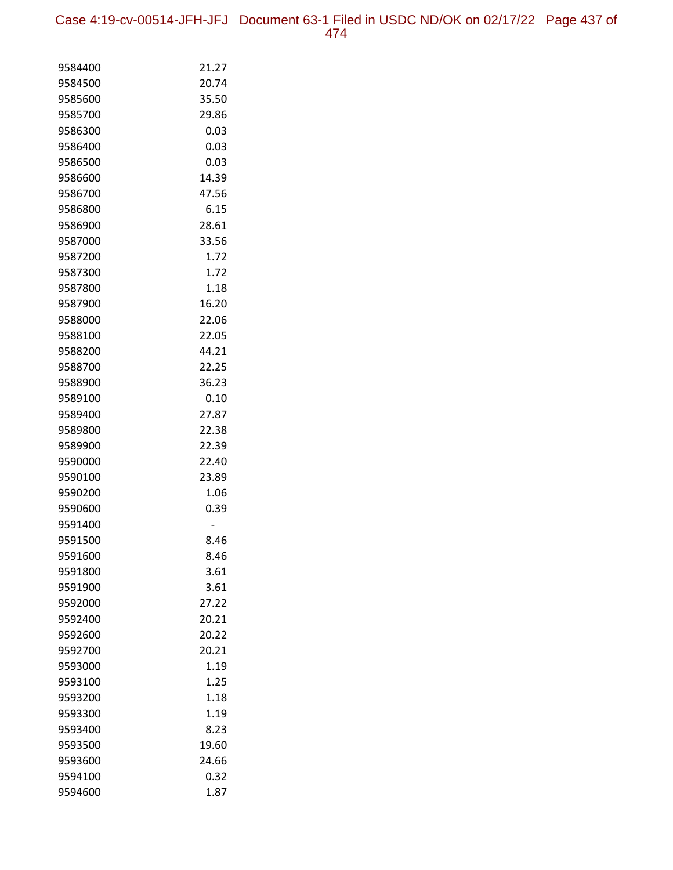Case 4:19-cv-00514-JFH-JFJ Document 63-1 Filed in USDC ND/OK on 02/17/22 Page 437 of 474

| 9584400            | 21.27 |
|--------------------|-------|
| 9584500            | 20.74 |
| 9585600            | 35.50 |
| 9585700            | 29.86 |
| 9586300            | 0.03  |
| 9586400            | 0.03  |
| 9586500            | 0.03  |
| 9586600            | 14.39 |
| 9586700            | 47.56 |
| 9586800            | 6.15  |
| 9586900            | 28.61 |
| 9587000            | 33.56 |
| 9587200            | 1.72  |
| 9587300            | 1.72  |
| 9587800            | 1.18  |
| 9587900            | 16.20 |
| 9588000            | 22.06 |
| 9588100            | 22.05 |
| 9588200            | 44.21 |
| 9588700            | 22.25 |
| 9588900            | 36.23 |
| 9589100            | 0.10  |
| 9589400            | 27.87 |
| 9589800            | 22.38 |
| 9589900            | 22.39 |
| 9590000            | 22.40 |
| 9590100            | 23.89 |
| 9590200            | 1.06  |
| 9590600            | 0.39  |
| 9591400<br>9591500 | 8.46  |
| 9591600            | 8.46  |
| 9591800            | 3.61  |
| 9591900            | 3.61  |
| 9592000            | 27.22 |
| 9592400            | 20.21 |
| 9592600            | 20.22 |
| 9592700            | 20.21 |
| 9593000            | 1.19  |
| 9593100            | 1.25  |
| 9593200            | 1.18  |
| 9593300            | 1.19  |
| 9593400            | 8.23  |
| 9593500            | 19.60 |
| 9593600            | 24.66 |
| 9594100            | 0.32  |
| 9594600            | 1.87  |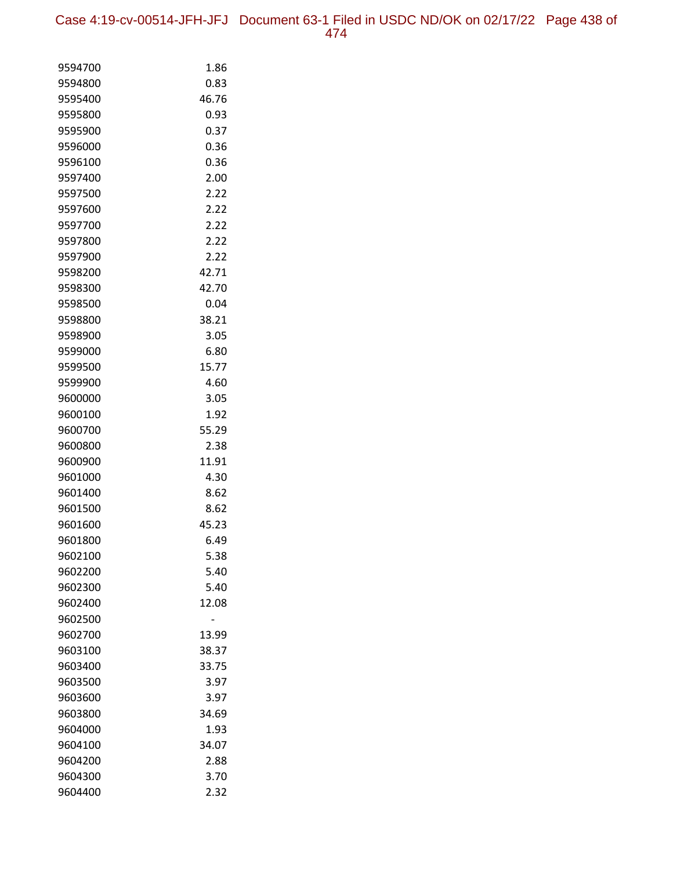| 9594700 | 1.86  |
|---------|-------|
| 9594800 | 0.83  |
| 9595400 | 46.76 |
| 9595800 | 0.93  |
| 9595900 | 0.37  |
| 9596000 | 0.36  |
| 9596100 | 0.36  |
| 9597400 | 2.00  |
| 9597500 | 2.22  |
| 9597600 | 2.22  |
| 9597700 | 2.22  |
| 9597800 | 2.22  |
| 9597900 | 2.22  |
| 9598200 | 42.71 |
| 9598300 | 42.70 |
| 9598500 | 0.04  |
| 9598800 | 38.21 |
| 9598900 | 3.05  |
| 9599000 | 6.80  |
| 9599500 | 15.77 |
| 9599900 | 4.60  |
| 9600000 | 3.05  |
| 9600100 | 1.92  |
| 9600700 | 55.29 |
| 9600800 | 2.38  |
| 9600900 | 11.91 |
| 9601000 | 4.30  |
| 9601400 | 8.62  |
| 9601500 | 8.62  |
| 9601600 | 45.23 |
| 9601800 | 6.49  |
| 9602100 | 5.38  |
| 9602200 | 5.40  |
| 9602300 | 5.40  |
| 9602400 | 12.08 |
| 9602500 |       |
| 9602700 | 13.99 |
| 9603100 | 38.37 |
| 9603400 | 33.75 |
| 9603500 | 3.97  |
| 9603600 | 3.97  |
| 9603800 | 34.69 |
| 9604000 | 1.93  |
| 9604100 | 34.07 |
| 9604200 | 2.88  |
| 9604300 | 3.70  |
| 9604400 | 2.32  |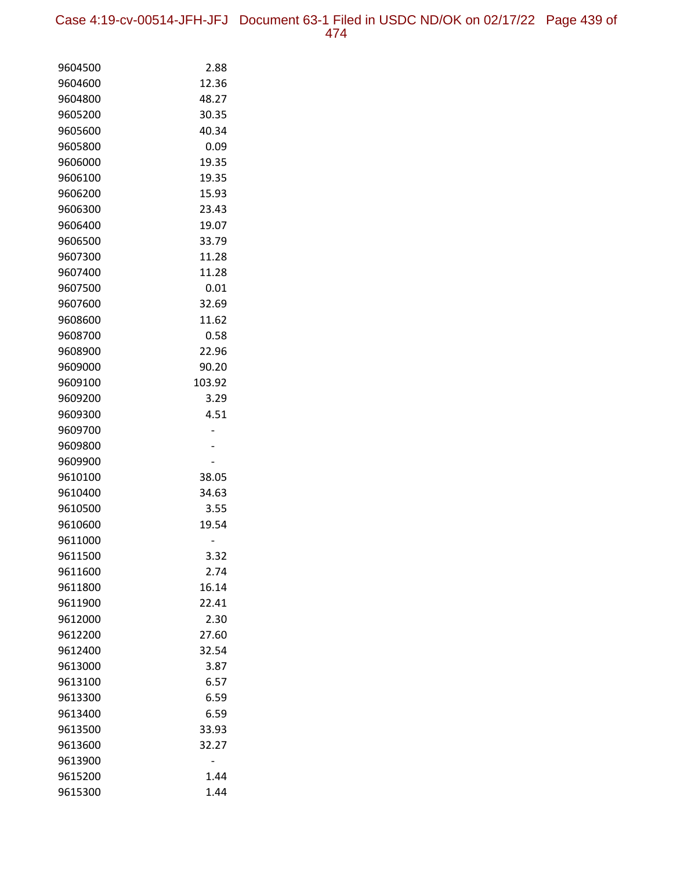Case 4:19-cv-00514-JFH-JFJ Document 63-1 Filed in USDC ND/OK on 02/17/22 Page 439 of 474

| 9604500            | 2.88         |
|--------------------|--------------|
| 9604600            | 12.36        |
| 9604800            | 48.27        |
| 9605200            | 30.35        |
| 9605600            | 40.34        |
| 9605800            | 0.09         |
| 9606000            | 19.35        |
| 9606100            | 19.35        |
| 9606200            | 15.93        |
| 9606300            | 23.43        |
| 9606400            | 19.07        |
| 9606500            | 33.79        |
| 9607300            | 11.28        |
| 9607400            | 11.28        |
| 9607500            | 0.01         |
| 9607600            | 32.69        |
| 9608600            | 11.62        |
| 9608700            | 0.58         |
| 9608900            | 22.96        |
| 9609000            | 90.20        |
| 9609100            | 103.92       |
| 9609200            | 3.29         |
| 9609300            | 4.51         |
| 9609700            |              |
| 9609800            |              |
| 9609900            |              |
| 9610100            | 38.05        |
| 9610400            | 34.63        |
| 9610500            | 3.55         |
| 9610600            | 19.54        |
| 9611000<br>9611500 |              |
| 9611600            | 3.32<br>2.74 |
| 9611800            | 16.14        |
| 9611900            | 22.41        |
| 9612000            | 2.30         |
| 9612200            | 27.60        |
| 9612400            | 32.54        |
| 9613000            | 3.87         |
| 9613100            | 6.57         |
| 9613300            | 6.59         |
| 9613400            | 6.59         |
| 9613500            | 33.93        |
| 9613600            | 32.27        |
| 9613900            |              |
| 9615200            | 1.44         |
| 9615300            | 1.44         |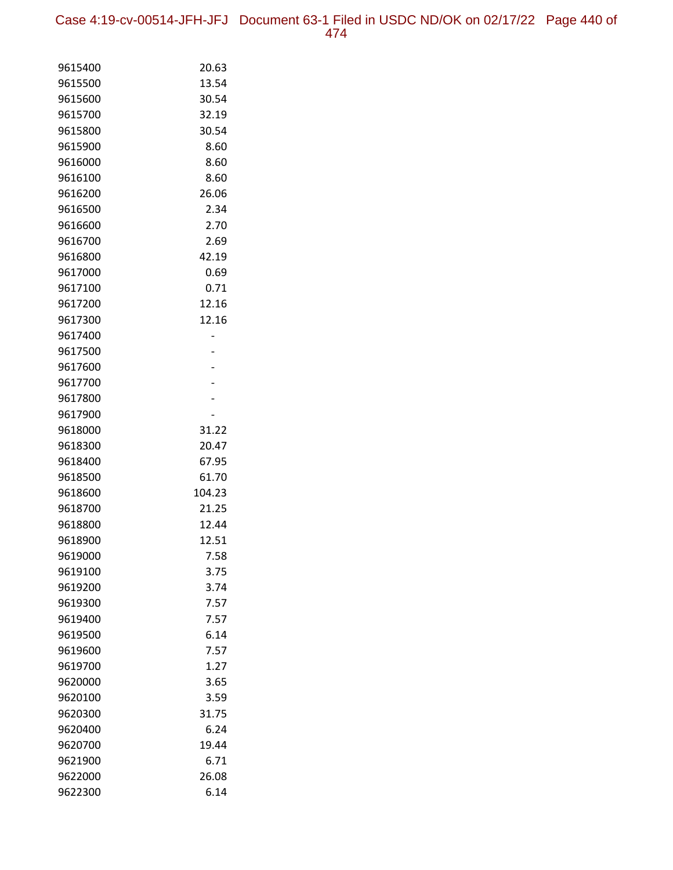Case 4:19-cv-00514-JFH-JFJ Document 63-1 Filed in USDC ND/OK on 02/17/22 Page 440 of 474

| 9615400            | 20.63          |
|--------------------|----------------|
| 9615500            | 13.54          |
| 9615600            | 30.54          |
| 9615700            | 32.19          |
| 9615800            | 30.54          |
| 9615900            | 8.60           |
| 9616000            | 8.60           |
| 9616100            | 8.60           |
| 9616200            | 26.06          |
| 9616500            | 2.34           |
| 9616600            | 2.70           |
| 9616700            | 2.69           |
| 9616800            | 42.19          |
| 9617000            | 0.69           |
| 9617100            | 0.71           |
| 9617200            | 12.16          |
| 9617300            | 12.16          |
| 9617400            |                |
| 9617500            |                |
| 9617600            |                |
| 9617700            |                |
| 9617800            |                |
| 9617900            |                |
| 9618000            | 31.22          |
| 9618300            | 20.47          |
| 9618400            | 67.95          |
| 9618500            | 61.70          |
| 9618600            | 104.23         |
| 9618700            | 21.25<br>12.44 |
| 9618800<br>9618900 | 12.51          |
| 9619000            | 7.58           |
| 9619100            | 3.75           |
| 9619200            | 3.74           |
| 9619300            | 7.57           |
| 9619400            | 7.57           |
| 9619500            | 6.14           |
| 9619600            | 7.57           |
| 9619700            | 1.27           |
| 9620000            | 3.65           |
| 9620100            | 3.59           |
| 9620300            | 31.75          |
| 9620400            | 6.24           |
| 9620700            | 19.44          |
| 9621900            | 6.71           |
| 9622000            | 26.08          |
| 9622300            | 6.14           |
|                    |                |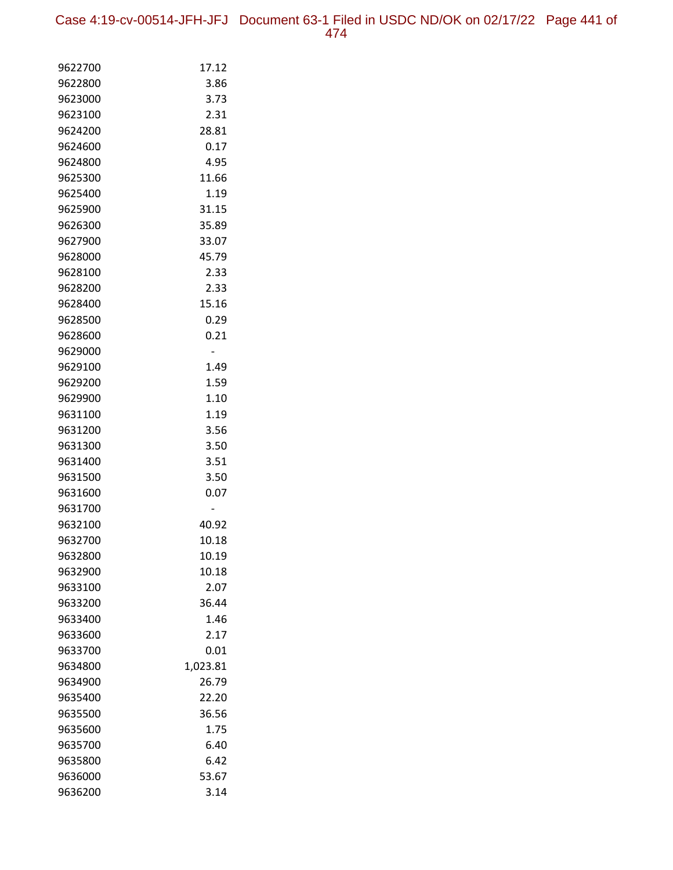Case 4:19-cv-00514-JFH-JFJ Document 63-1 Filed in USDC ND/OK on 02/17/22 Page 441 of 474

| 9622700            | 17.12    |
|--------------------|----------|
| 9622800            | 3.86     |
| 9623000            | 3.73     |
| 9623100            | 2.31     |
| 9624200            | 28.81    |
| 9624600            | 0.17     |
| 9624800            | 4.95     |
| 9625300            | 11.66    |
| 9625400            | 1.19     |
| 9625900            | 31.15    |
| 9626300            | 35.89    |
| 9627900            | 33.07    |
| 9628000            | 45.79    |
| 9628100            | 2.33     |
| 9628200            | 2.33     |
| 9628400            | 15.16    |
| 9628500            | 0.29     |
| 9628600            | 0.21     |
| 9629000            |          |
| 9629100            | 1.49     |
| 9629200            | 1.59     |
| 9629900            | 1.10     |
| 9631100            | 1.19     |
| 9631200            | 3.56     |
| 9631300            | 3.50     |
| 9631400            | 3.51     |
| 9631500            | 3.50     |
| 9631600            | 0.07     |
| 9631700<br>9632100 | 40.92    |
| 9632700            | 10.18    |
| 9632800            | 10.19    |
| 9632900            | 10.18    |
| 9633100            | 2.07     |
| 9633200            | 36.44    |
| 9633400            | 1.46     |
| 9633600            | 2.17     |
| 9633700            | 0.01     |
| 9634800            | 1,023.81 |
| 9634900            | 26.79    |
| 9635400            | 22.20    |
| 9635500            | 36.56    |
| 9635600            | 1.75     |
| 9635700            | 6.40     |
| 9635800            | 6.42     |
| 9636000            | 53.67    |
| 9636200            | 3.14     |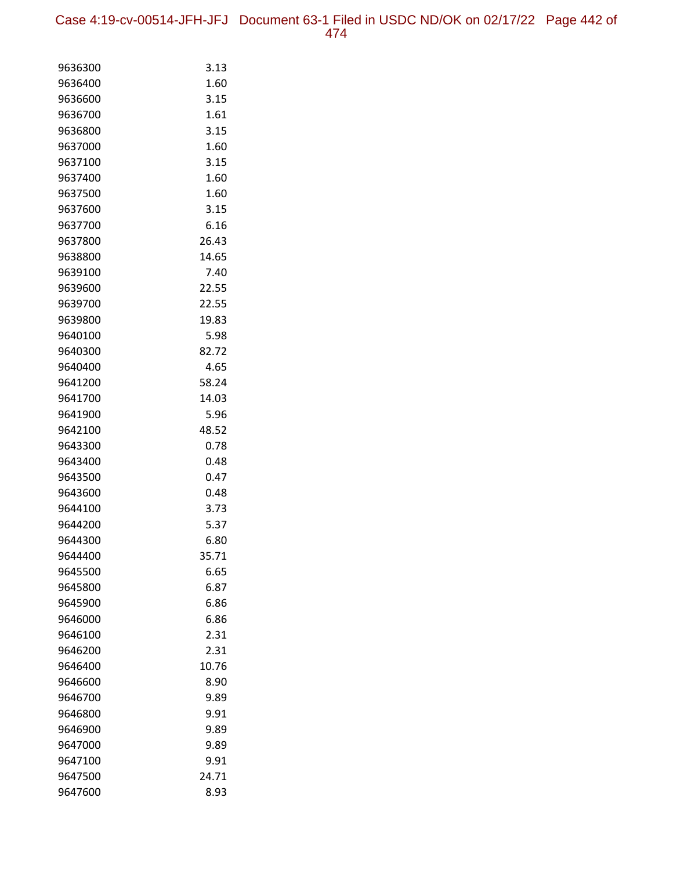Case 4:19-cv-00514-JFH-JFJ Document 63-1 Filed in USDC ND/OK on 02/17/22 Page 442 of 474

| 9636300            | 3.13         |
|--------------------|--------------|
| 9636400            | 1.60         |
| 9636600            | 3.15         |
| 9636700            | 1.61         |
| 9636800            | 3.15         |
| 9637000            | 1.60         |
| 9637100            | 3.15         |
| 9637400            | 1.60         |
| 9637500            | 1.60         |
| 9637600            | 3.15         |
| 9637700            | 6.16         |
| 9637800            | 26.43        |
| 9638800            | 14.65        |
| 9639100            | 7.40         |
| 9639600            | 22.55        |
| 9639700            | 22.55        |
| 9639800            | 19.83        |
| 9640100            | 5.98         |
| 9640300            | 82.72        |
| 9640400            | 4.65         |
| 9641200            | 58.24        |
| 9641700            | 14.03        |
| 9641900            | 5.96         |
| 9642100            | 48.52        |
| 9643300            | 0.78         |
| 9643400<br>9643500 | 0.48<br>0.47 |
| 9643600            | 0.48         |
| 9644100            | 3.73         |
| 9644200            | 5.37         |
| 9644300            | 6.80         |
| 9644400            | 35.71        |
| 9645500            | 6.65         |
| 9645800            | 6.87         |
| 9645900            | 6.86         |
| 9646000            | 6.86         |
| 9646100            | 2.31         |
| 9646200            | 2.31         |
| 9646400            | 10.76        |
| 9646600            | 8.90         |
| 9646700            | 9.89         |
| 9646800            | 9.91         |
| 9646900            | 9.89         |
| 9647000            | 9.89         |
| 9647100            | 9.91         |
| 9647500            | 24.71        |
| 9647600            | 8.93         |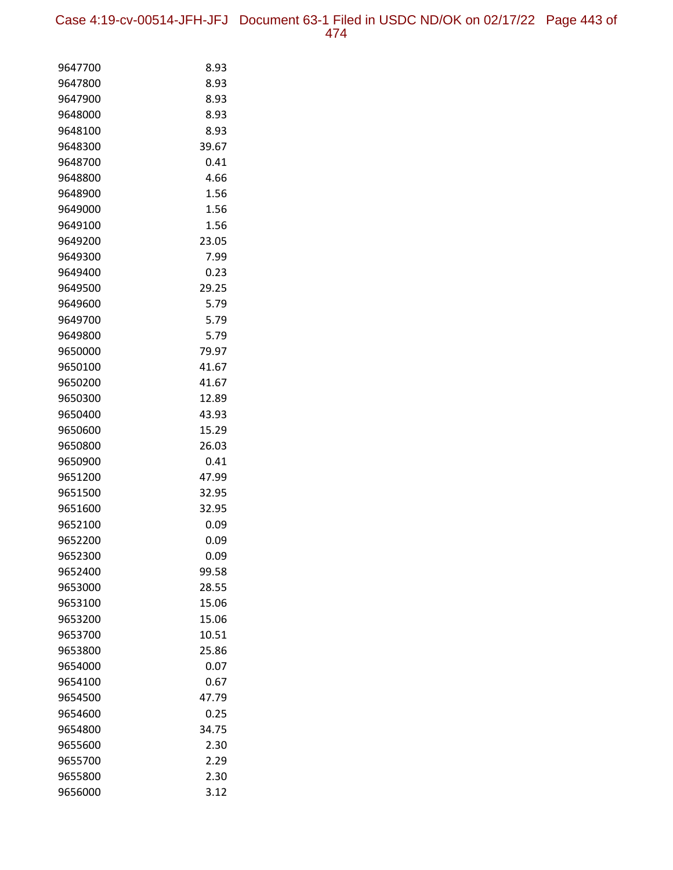| 9647700 | 8.93  |
|---------|-------|
| 9647800 | 8.93  |
| 9647900 | 8.93  |
| 9648000 | 8.93  |
| 9648100 | 8.93  |
| 9648300 | 39.67 |
| 9648700 | 0.41  |
| 9648800 | 4.66  |
| 9648900 | 1.56  |
| 9649000 | 1.56  |
| 9649100 | 1.56  |
| 9649200 | 23.05 |
| 9649300 | 7.99  |
| 9649400 | 0.23  |
| 9649500 | 29.25 |
| 9649600 | 5.79  |
| 9649700 | 5.79  |
| 9649800 | 5.79  |
| 9650000 | 79.97 |
| 9650100 | 41.67 |
| 9650200 | 41.67 |
| 9650300 | 12.89 |
| 9650400 | 43.93 |
| 9650600 | 15.29 |
| 9650800 | 26.03 |
| 9650900 | 0.41  |
| 9651200 | 47.99 |
| 9651500 | 32.95 |
| 9651600 | 32.95 |
| 9652100 | 0.09  |
| 9652200 | 0.09  |
| 9652300 | 0.09  |
| 9652400 | 99.58 |
| 9653000 | 28.55 |
| 9653100 | 15.06 |
| 9653200 | 15.06 |
| 9653700 | 10.51 |
| 9653800 | 25.86 |
| 9654000 | 0.07  |
| 9654100 | 0.67  |
| 9654500 | 47.79 |
| 9654600 | 0.25  |
| 9654800 | 34.75 |
| 9655600 | 2.30  |
| 9655700 | 2.29  |
| 9655800 | 2.30  |
| 9656000 | 3.12  |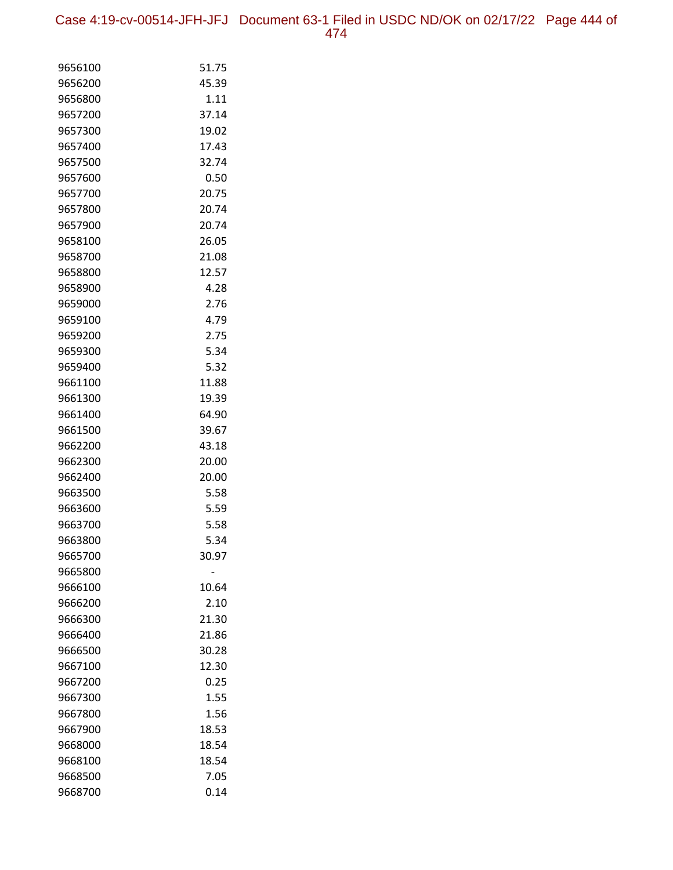Case 4:19-cv-00514-JFH-JFJ Document 63-1 Filed in USDC ND/OK on 02/17/22 Page 444 of 474

| 9656100 | 51.75 |
|---------|-------|
| 9656200 | 45.39 |
| 9656800 | 1.11  |
| 9657200 | 37.14 |
| 9657300 | 19.02 |
| 9657400 | 17.43 |
| 9657500 | 32.74 |
| 9657600 | 0.50  |
| 9657700 | 20.75 |
| 9657800 | 20.74 |
| 9657900 | 20.74 |
| 9658100 | 26.05 |
| 9658700 | 21.08 |
| 9658800 | 12.57 |
| 9658900 | 4.28  |
| 9659000 | 2.76  |
| 9659100 | 4.79  |
| 9659200 | 2.75  |
| 9659300 | 5.34  |
| 9659400 | 5.32  |
| 9661100 | 11.88 |
| 9661300 | 19.39 |
| 9661400 | 64.90 |
| 9661500 | 39.67 |
| 9662200 | 43.18 |
| 9662300 | 20.00 |
| 9662400 | 20.00 |
| 9663500 | 5.58  |
| 9663600 | 5.59  |
| 9663700 | 5.58  |
| 9663800 | 5.34  |
| 9665700 | 30.97 |
| 9665800 |       |
| 9666100 | 10.64 |
| 9666200 | 2.10  |
| 9666300 | 21.30 |
| 9666400 | 21.86 |
| 9666500 | 30.28 |
| 9667100 | 12.30 |
| 9667200 | 0.25  |
| 9667300 | 1.55  |
| 9667800 | 1.56  |
| 9667900 | 18.53 |
| 9668000 | 18.54 |
| 9668100 | 18.54 |
| 9668500 | 7.05  |
| 9668700 | 0.14  |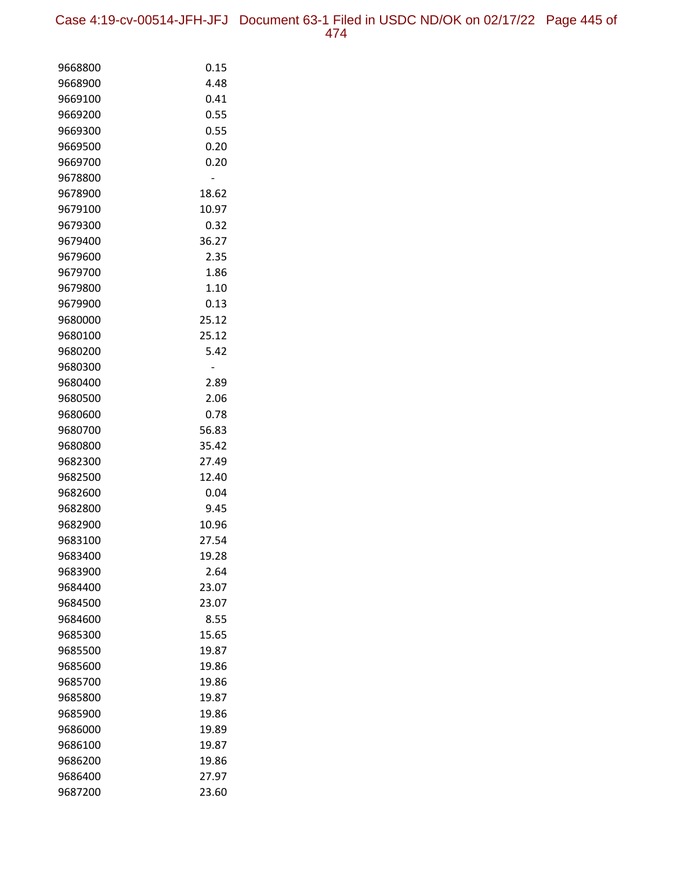Case 4:19-cv-00514-JFH-JFJ Document 63-1 Filed in USDC ND/OK on 02/17/22 Page 445 of 474

| 9668800            | 0.15          |
|--------------------|---------------|
| 9668900            | 4.48          |
| 9669100            | 0.41          |
| 9669200            | 0.55          |
| 9669300            | 0.55          |
| 9669500            | 0.20          |
| 9669700            | 0.20          |
| 9678800            |               |
| 9678900            | 18.62         |
| 9679100            | 10.97         |
| 9679300            | 0.32          |
| 9679400            | 36.27         |
| 9679600            | 2.35          |
| 9679700            | 1.86          |
| 9679800            | 1.10          |
| 9679900            | 0.13          |
| 9680000            | 25.12         |
| 9680100            | 25.12         |
| 9680200            | 5.42          |
| 9680300            |               |
| 9680400            | 2.89          |
| 9680500            | 2.06          |
| 9680600            | 0.78          |
| 9680700            | 56.83         |
| 9680800            | 35.42         |
| 9682300            | 27.49         |
| 9682500<br>9682600 | 12.40<br>0.04 |
| 9682800            | 9.45          |
| 9682900            | 10.96         |
| 9683100            | 27.54         |
| 9683400            | 19.28         |
| 9683900            | 2.64          |
| 9684400            | 23.07         |
| 9684500            | 23.07         |
| 9684600            | 8.55          |
| 9685300            | 15.65         |
| 9685500            | 19.87         |
| 9685600            | 19.86         |
| 9685700            | 19.86         |
| 9685800            | 19.87         |
| 9685900            | 19.86         |
| 9686000            | 19.89         |
| 9686100            | 19.87         |
| 9686200            | 19.86         |
| 9686400            | 27.97         |
| 9687200            | 23.60         |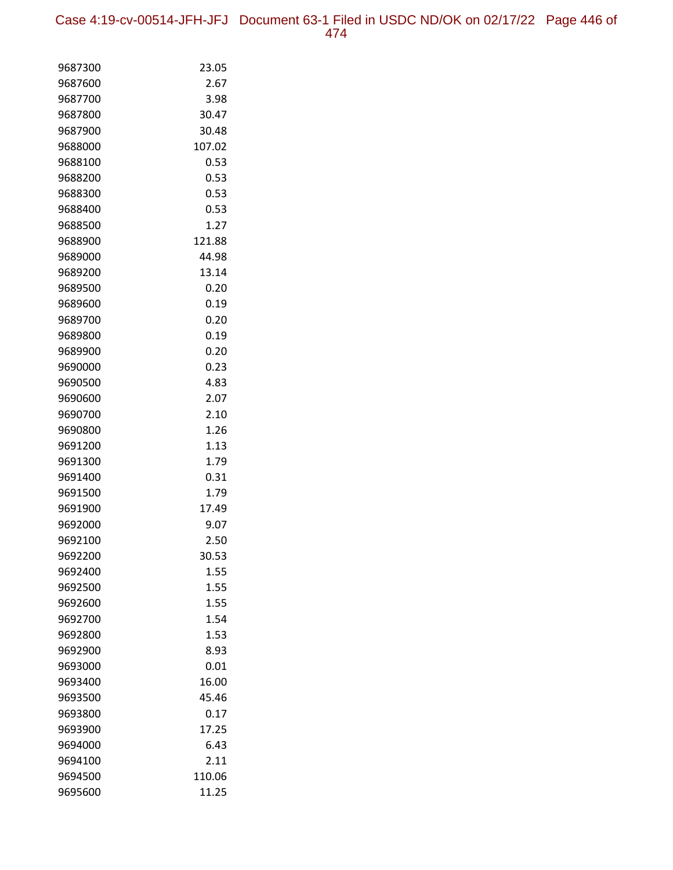Case 4:19-cv-00514-JFH-JFJ Document 63-1 Filed in USDC ND/OK on 02/17/22 Page 446 of 474

| 9687300 | 23.05  |
|---------|--------|
| 9687600 | 2.67   |
| 9687700 | 3.98   |
| 9687800 | 30.47  |
| 9687900 | 30.48  |
| 9688000 | 107.02 |
| 9688100 | 0.53   |
| 9688200 | 0.53   |
| 9688300 | 0.53   |
| 9688400 | 0.53   |
| 9688500 | 1.27   |
| 9688900 | 121.88 |
| 9689000 | 44.98  |
| 9689200 | 13.14  |
| 9689500 | 0.20   |
| 9689600 | 0.19   |
| 9689700 | 0.20   |
| 9689800 | 0.19   |
| 9689900 | 0.20   |
| 9690000 | 0.23   |
| 9690500 | 4.83   |
| 9690600 | 2.07   |
| 9690700 | 2.10   |
| 9690800 | 1.26   |
| 9691200 | 1.13   |
| 9691300 | 1.79   |
| 9691400 | 0.31   |
| 9691500 | 1.79   |
| 9691900 | 17.49  |
| 9692000 | 9.07   |
| 9692100 | 2.50   |
| 9692200 | 30.53  |
| 9692400 | 1.55   |
| 9692500 | 1.55   |
| 9692600 | 1.55   |
| 9692700 | 1.54   |
| 9692800 | 1.53   |
| 9692900 | 8.93   |
| 9693000 | 0.01   |
| 9693400 | 16.00  |
| 9693500 | 45.46  |
| 9693800 | 0.17   |
| 9693900 | 17.25  |
| 9694000 | 6.43   |
| 9694100 | 2.11   |
| 9694500 | 110.06 |
| 9695600 | 11.25  |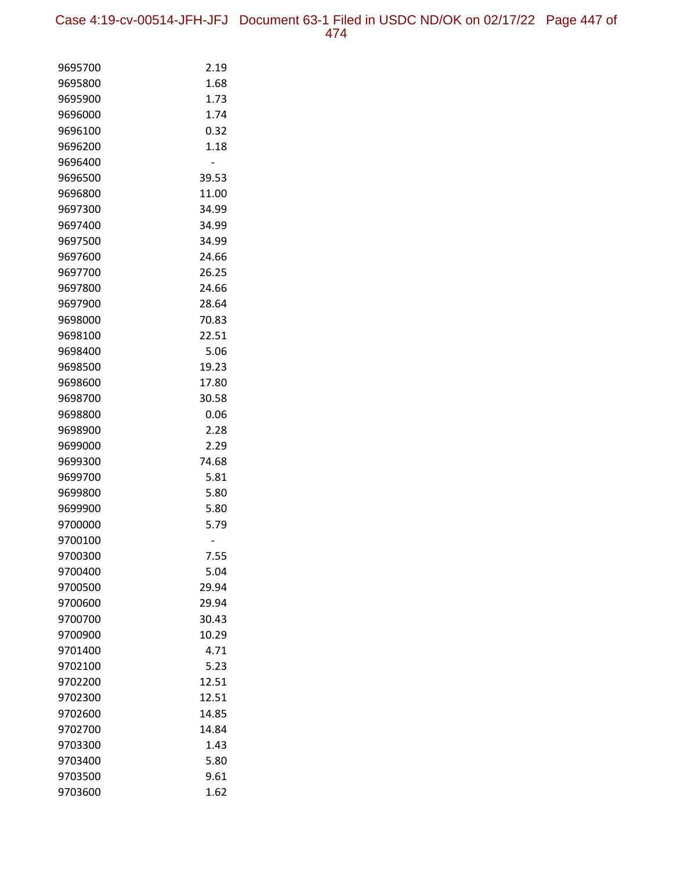Case 4:19-cv-00514-JFH-JFJ Document 63-1 Filed in USDC ND/OK on 02/17/22 Page 447 of 474

| 9695700            | 2.19  |
|--------------------|-------|
| 9695800            | 1.68  |
| 9695900            | 1.73  |
| 9696000            | 1.74  |
| 9696100            | 0.32  |
| 9696200            | 1.18  |
| 9696400            |       |
| 9696500            | 39.53 |
| 9696800            | 11.00 |
| 9697300            | 34.99 |
| 9697400            | 34.99 |
| 9697500            | 34.99 |
| 9697600            | 24.66 |
| 9697700            | 26.25 |
| 9697800            | 24.66 |
| 9697900            | 28.64 |
| 9698000            | 70.83 |
| 9698100            | 22.51 |
| 9698400            | 5.06  |
| 9698500            | 19.23 |
| 9698600            | 17.80 |
| 9698700            | 30.58 |
| 9698800            | 0.06  |
| 9698900            | 2.28  |
| 9699000            | 2.29  |
| 9699300            | 74.68 |
| 9699700            | 5.81  |
| 9699800            | 5.80  |
| 9699900            | 5.80  |
| 9700000            | 5.79  |
| 9700100<br>9700300 | 7.55  |
| 9700400            | 5.04  |
| 9700500            | 29.94 |
| 9700600            | 29.94 |
| 9700700            | 30.43 |
| 9700900            | 10.29 |
| 9701400            | 4.71  |
| 9702100            | 5.23  |
| 9702200            | 12.51 |
| 9702300            | 12.51 |
| 9702600            | 14.85 |
| 9702700            | 14.84 |
| 9703300            | 1.43  |
| 9703400            | 5.80  |
| 9703500            | 9.61  |
| 9703600            | 1.62  |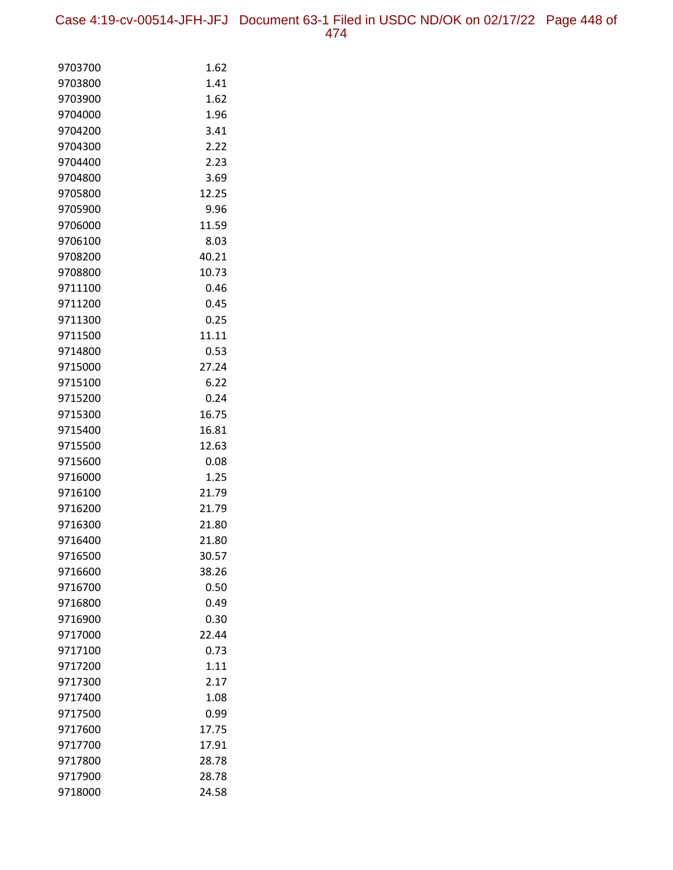| 9703700            | 1.62           |
|--------------------|----------------|
| 9703800            | 1.41           |
| 9703900            | 1.62           |
| 9704000            | 1.96           |
| 9704200            | 3.41           |
| 9704300            | 2.22           |
| 9704400            | 2.23           |
| 9704800            | 3.69           |
| 9705800            | 12.25          |
| 9705900            | 9.96           |
| 9706000            | 11.59          |
| 9706100            | 8.03           |
| 9708200            | 40.21          |
| 9708800            | 10.73          |
| 9711100            | 0.46           |
| 9711200            | 0.45           |
| 9711300            | 0.25           |
| 9711500            | 11.11          |
| 9714800            | 0.53           |
| 9715000            | 27.24          |
| 9715100            | 6.22           |
| 9715200            | 0.24           |
| 9715300            | 16.75          |
| 9715400            | 16.81          |
| 9715500            | 12.63          |
| 9715600            | 0.08           |
| 9716000            | 1.25           |
| 9716100            | 21.79<br>21.79 |
| 9716200<br>9716300 | 21.80          |
| 9716400            | 21.80          |
| 9716500            | 30.57          |
| 9716600            | 38.26          |
| 9716700            | 0.50           |
| 9716800            | 0.49           |
| 9716900            | 0.30           |
| 9717000            | 22.44          |
| 9717100            | 0.73           |
| 9717200            | 1.11           |
| 9717300            | 2.17           |
| 9717400            | 1.08           |
| 9717500            | 0.99           |
| 9717600            | 17.75          |
| 9717700            | 17.91          |
| 9717800            | 28.78          |
| 9717900            | 28.78          |
| 9718000            | 24.58          |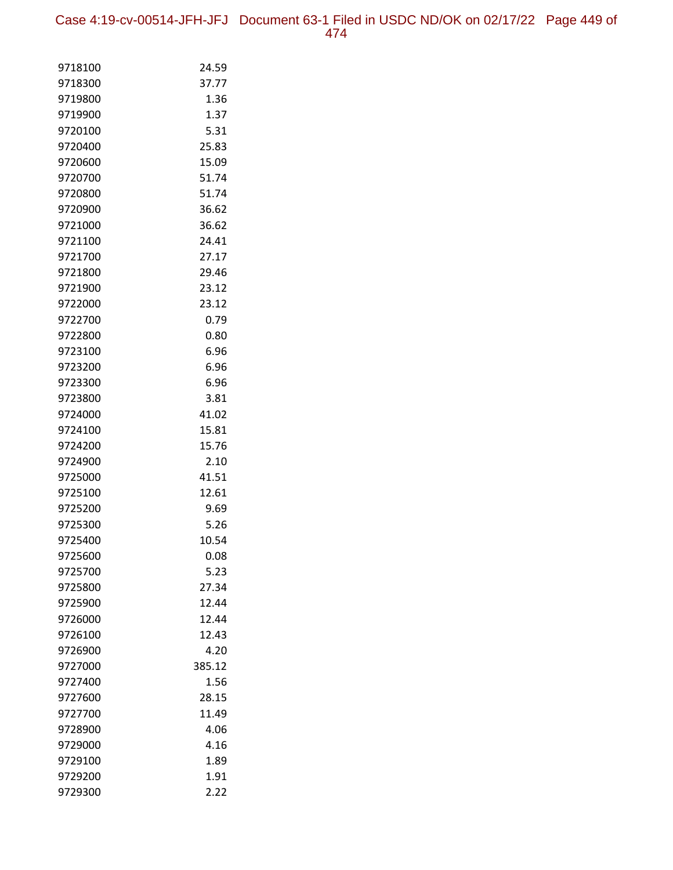Case 4:19-cv-00514-JFH-JFJ Document 63-1 Filed in USDC ND/OK on 02/17/22 Page 449 of 474

| 9718100 | 24.59  |
|---------|--------|
| 9718300 | 37.77  |
| 9719800 | 1.36   |
| 9719900 | 1.37   |
| 9720100 | 5.31   |
| 9720400 | 25.83  |
| 9720600 | 15.09  |
| 9720700 | 51.74  |
| 9720800 | 51.74  |
| 9720900 | 36.62  |
| 9721000 | 36.62  |
| 9721100 | 24.41  |
| 9721700 | 27.17  |
| 9721800 | 29.46  |
| 9721900 | 23.12  |
| 9722000 | 23.12  |
| 9722700 | 0.79   |
| 9722800 | 0.80   |
| 9723100 | 6.96   |
| 9723200 | 6.96   |
| 9723300 | 6.96   |
| 9723800 | 3.81   |
| 9724000 | 41.02  |
| 9724100 | 15.81  |
| 9724200 | 15.76  |
| 9724900 | 2.10   |
| 9725000 | 41.51  |
| 9725100 | 12.61  |
| 9725200 | 9.69   |
| 9725300 | 5.26   |
| 9725400 | 10.54  |
| 9725600 | 0.08   |
| 9725700 | 5.23   |
| 9725800 | 27.34  |
| 9725900 | 12.44  |
| 9726000 | 12.44  |
| 9726100 | 12.43  |
| 9726900 | 4.20   |
| 9727000 | 385.12 |
| 9727400 | 1.56   |
| 9727600 | 28.15  |
| 9727700 | 11.49  |
| 9728900 | 4.06   |
| 9729000 | 4.16   |
| 9729100 | 1.89   |
| 9729200 | 1.91   |
| 9729300 | 2.22   |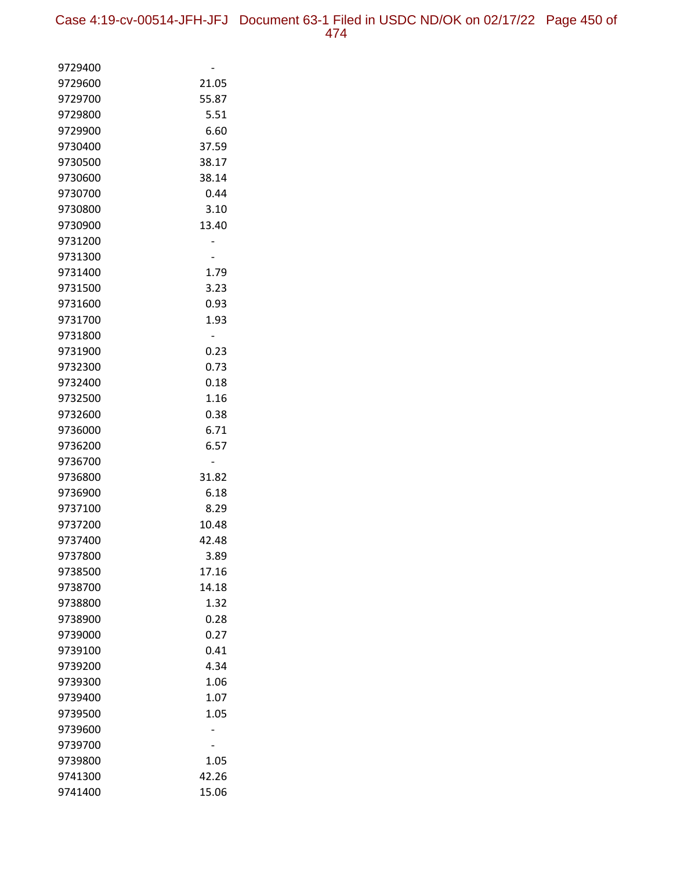| 9729400            |               |
|--------------------|---------------|
| 9729600            | 21.05         |
| 9729700            | 55.87         |
| 9729800            | 5.51          |
| 9729900            | 6.60          |
| 9730400            | 37.59         |
| 9730500            | 38.17         |
| 9730600            | 38.14         |
| 9730700            | 0.44          |
| 9730800            | 3.10          |
| 9730900            | 13.40         |
| 9731200            |               |
| 9731300            |               |
| 9731400            | 1.79          |
| 9731500            | 3.23          |
| 9731600            | 0.93          |
| 9731700            | 1.93          |
| 9731800            |               |
| 9731900            | 0.23          |
| 9732300            | 0.73          |
| 9732400            | 0.18          |
| 9732500            | 1.16          |
| 9732600            | 0.38          |
| 9736000            | 6.71          |
| 9736200            | 6.57          |
| 9736700            |               |
| 9736800            | 31.82         |
| 9736900            | 6.18          |
| 9737100            | 8.29          |
| 9737200            | 10.48         |
| 9737400            | 42.48         |
| 9737800            | 3.89<br>17.16 |
| 9738500<br>9738700 | 14.18         |
| 9738800            | 1.32          |
| 9738900            | 0.28          |
| 9739000            | 0.27          |
| 9739100            | 0.41          |
| 9739200            | 4.34          |
| 9739300            | 1.06          |
| 9739400            | 1.07          |
| 9739500            | 1.05          |
| 9739600            |               |
| 9739700            |               |
| 9739800            | 1.05          |
| 9741300            | 42.26         |
| 9741400            | 15.06         |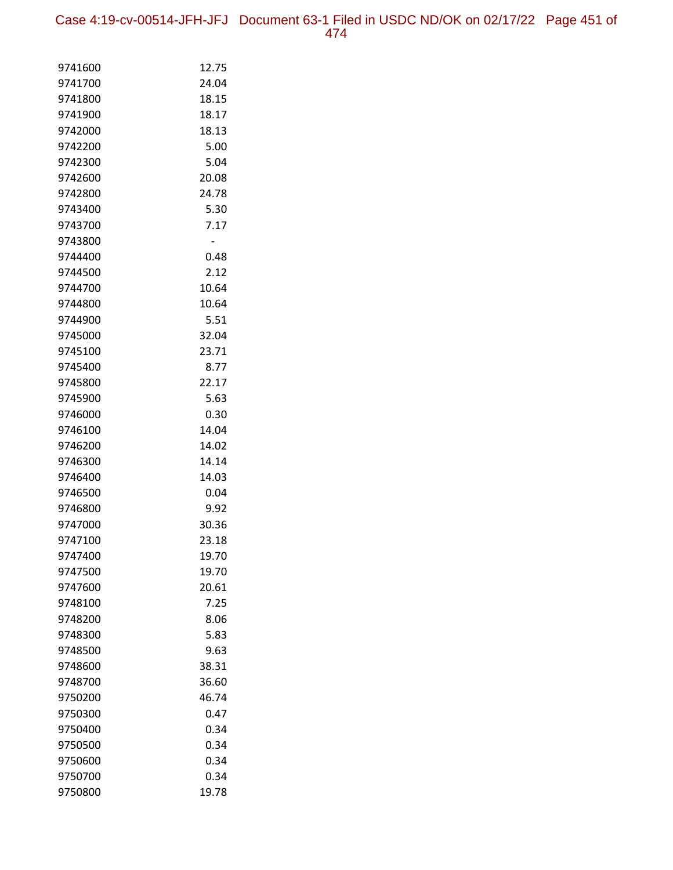Case 4:19-cv-00514-JFH-JFJ Document 63-1 Filed in USDC ND/OK on 02/17/22 Page 451 of 474

| 9741600 | 12.75 |
|---------|-------|
| 9741700 | 24.04 |
| 9741800 | 18.15 |
| 9741900 | 18.17 |
| 9742000 | 18.13 |
| 9742200 | 5.00  |
| 9742300 | 5.04  |
| 9742600 | 20.08 |
| 9742800 | 24.78 |
| 9743400 | 5.30  |
| 9743700 | 7.17  |
| 9743800 |       |
| 9744400 | 0.48  |
| 9744500 | 2.12  |
| 9744700 | 10.64 |
| 9744800 | 10.64 |
| 9744900 | 5.51  |
| 9745000 | 32.04 |
| 9745100 | 23.71 |
| 9745400 | 8.77  |
| 9745800 | 22.17 |
| 9745900 | 5.63  |
| 9746000 | 0.30  |
| 9746100 | 14.04 |
| 9746200 | 14.02 |
| 9746300 | 14.14 |
| 9746400 | 14.03 |
| 9746500 | 0.04  |
| 9746800 | 9.92  |
| 9747000 | 30.36 |
| 9747100 | 23.18 |
| 9747400 | 19.70 |
| 9747500 | 19.70 |
| 9747600 | 20.61 |
| 9748100 | 7.25  |
| 9748200 | 8.06  |
| 9748300 | 5.83  |
| 9748500 | 9.63  |
| 9748600 | 38.31 |
| 9748700 | 36.60 |
| 9750200 | 46.74 |
| 9750300 | 0.47  |
| 9750400 | 0.34  |
| 9750500 | 0.34  |
| 9750600 | 0.34  |
| 9750700 | 0.34  |
| 9750800 | 19.78 |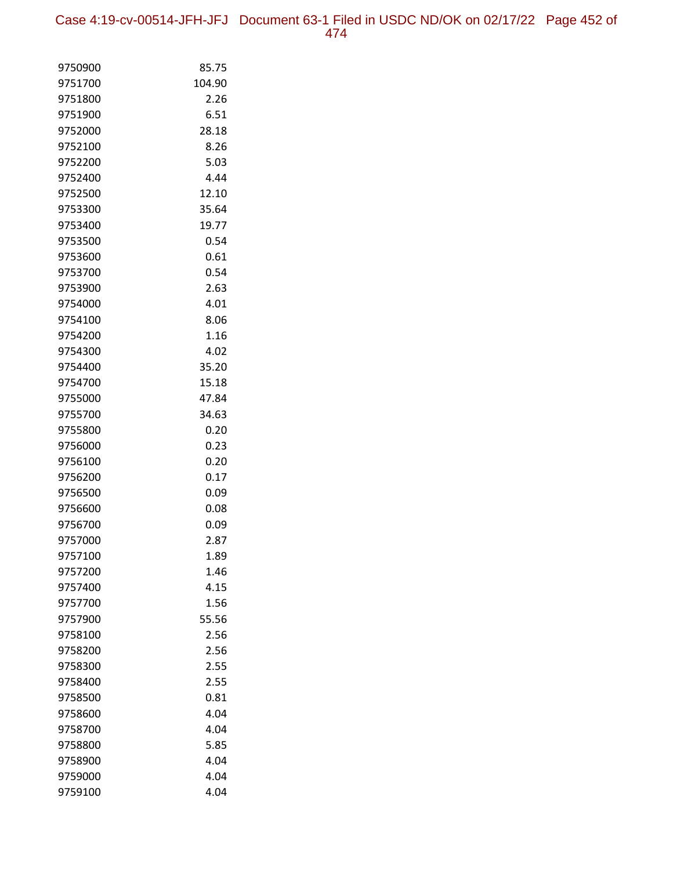Case 4:19-cv-00514-JFH-JFJ Document 63-1 Filed in USDC ND/OK on 02/17/22 Page 452 of 474

| 9750900            | 85.75        |
|--------------------|--------------|
| 9751700            | 104.90       |
| 9751800            | 2.26         |
| 9751900            | 6.51         |
| 9752000            | 28.18        |
| 9752100            | 8.26         |
| 9752200            | 5.03         |
| 9752400            | 4.44         |
| 9752500            | 12.10        |
| 9753300            | 35.64        |
| 9753400            | 19.77        |
| 9753500            | 0.54         |
| 9753600            | 0.61         |
| 9753700            | 0.54         |
| 9753900            | 2.63         |
| 9754000            | 4.01         |
| 9754100            | 8.06         |
| 9754200            | 1.16         |
| 9754300            | 4.02         |
| 9754400            | 35.20        |
| 9754700            | 15.18        |
| 9755000            | 47.84        |
| 9755700            | 34.63        |
| 9755800            | 0.20         |
| 9756000            | 0.23         |
| 9756100            | 0.20         |
| 9756200            | 0.17         |
| 9756500            | 0.09         |
| 9756600            | 0.08         |
| 9756700            | 0.09         |
| 9757000            | 2.87         |
| 9757100            | 1.89         |
| 9757200            | 1.46         |
| 9757400            | 4.15         |
| 9757700            | 1.56         |
| 9757900            | 55.56        |
| 9758100            | 2.56         |
| 9758200            | 2.56         |
| 9758300            | 2.55         |
| 9758400            | 2.55         |
| 9758500            | 0.81         |
| 9758600            | 4.04         |
| 9758700<br>9758800 | 4.04         |
| 9758900            | 5.85<br>4.04 |
|                    |              |
| 9759000            | 4.04         |
| 9759100            | 4.04         |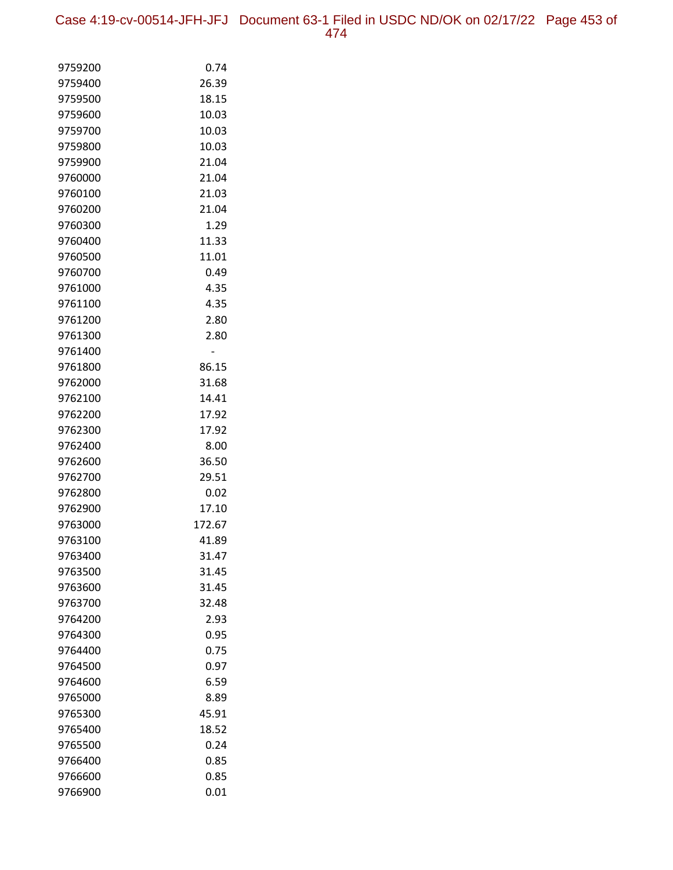Case 4:19-cv-00514-JFH-JFJ Document 63-1 Filed in USDC ND/OK on 02/17/22 Page 453 of 474

| 9759200            | 0.74           |
|--------------------|----------------|
| 9759400            | 26.39          |
| 9759500            | 18.15          |
| 9759600            | 10.03          |
| 9759700            | 10.03          |
| 9759800            | 10.03          |
| 9759900            | 21.04          |
| 9760000            | 21.04          |
| 9760100            | 21.03          |
| 9760200            | 21.04          |
| 9760300            | 1.29           |
| 9760400            | 11.33          |
| 9760500            | 11.01          |
| 9760700            | 0.49           |
| 9761000            | 4.35           |
| 9761100            | 4.35           |
| 9761200            | 2.80           |
| 9761300            | 2.80           |
| 9761400            |                |
| 9761800            | 86.15          |
| 9762000            | 31.68          |
| 9762100            | 14.41          |
| 9762200            | 17.92          |
| 9762300            | 17.92          |
| 9762400            | 8.00           |
| 9762600            | 36.50          |
| 9762700            | 29.51          |
| 9762800            | 0.02           |
| 9762900            | 17.10          |
| 9763000            | 172.67         |
| 9763100            | 41.89          |
| 9763400            | 31.47<br>31.45 |
| 9763500            | 31.45          |
| 9763600<br>9763700 | 32.48          |
| 9764200            | 2.93           |
| 9764300            | 0.95           |
| 9764400            | 0.75           |
| 9764500            | 0.97           |
| 9764600            | 6.59           |
| 9765000            | 8.89           |
| 9765300            | 45.91          |
| 9765400            | 18.52          |
| 9765500            | 0.24           |
| 9766400            | 0.85           |
| 9766600            | 0.85           |
| 9766900            | 0.01           |
|                    |                |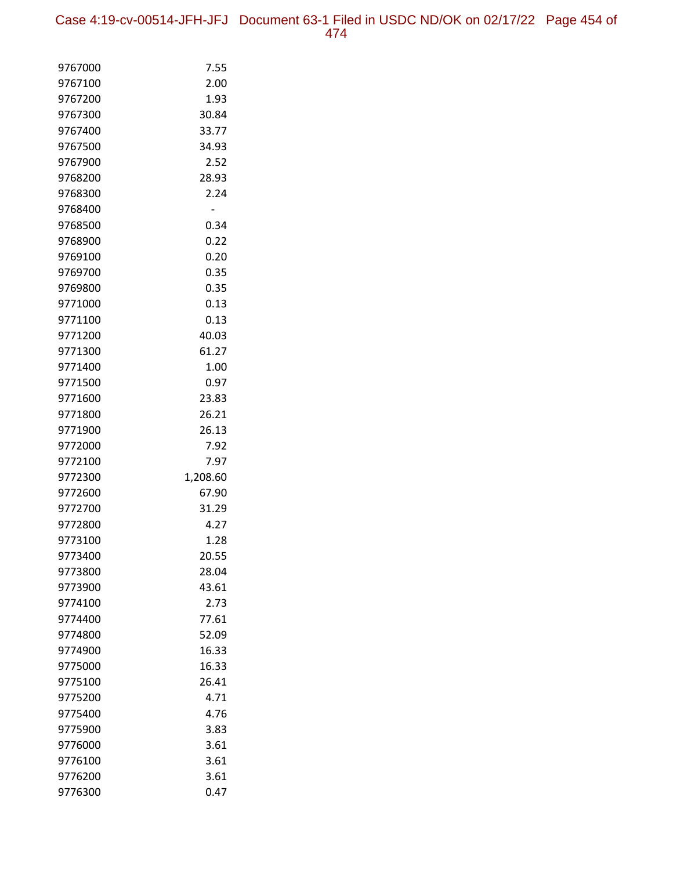Case 4:19-cv-00514-JFH-JFJ Document 63-1 Filed in USDC ND/OK on 02/17/22 Page 454 of 474

| 9767000            | 7.55           |
|--------------------|----------------|
| 9767100            | 2.00           |
| 9767200            | 1.93           |
| 9767300            | 30.84          |
| 9767400            | 33.77          |
| 9767500            | 34.93          |
| 9767900            | 2.52           |
| 9768200            | 28.93          |
| 9768300            | 2.24           |
| 9768400            |                |
| 9768500            | 0.34           |
| 9768900            | 0.22           |
| 9769100            | 0.20           |
| 9769700            | 0.35           |
| 9769800            | 0.35           |
| 9771000            | 0.13           |
| 9771100            | 0.13           |
| 9771200            | 40.03          |
| 9771300            | 61.27          |
| 9771400            | 1.00           |
| 9771500            | 0.97           |
| 9771600            | 23.83          |
| 9771800            | 26.21          |
| 9771900            | 26.13          |
| 9772000            | 7.92           |
| 9772100            | 7.97           |
| 9772300            | 1,208.60       |
| 9772600            | 67.90          |
| 9772700            | 31.29          |
| 9772800            | 4.27           |
| 9773100            | 1.28           |
| 9773400<br>9773800 | 20.55          |
| 9773900            | 28.04<br>43.61 |
| 9774100            | 2.73           |
| 9774400            | 77.61          |
| 9774800            | 52.09          |
| 9774900            | 16.33          |
| 9775000            | 16.33          |
| 9775100            | 26.41          |
| 9775200            | 4.71           |
| 9775400            | 4.76           |
| 9775900            | 3.83           |
| 9776000            | 3.61           |
| 9776100            | 3.61           |
| 9776200            | 3.61           |
| 9776300            | 0.47           |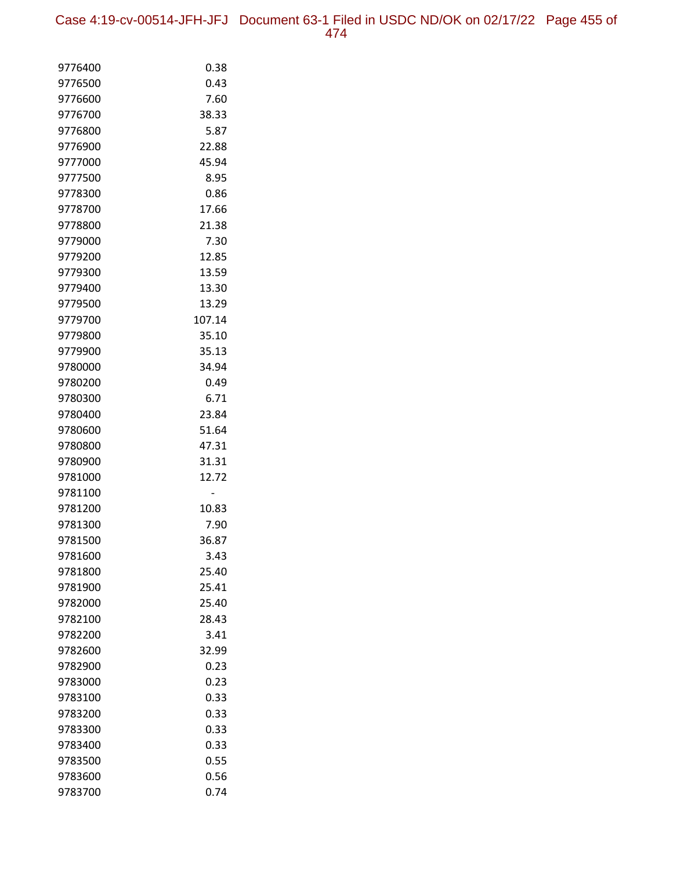| 9776400            | 0.38           |
|--------------------|----------------|
| 9776500            | 0.43           |
| 9776600            | 7.60           |
| 9776700            | 38.33          |
| 9776800            | 5.87           |
| 9776900            | 22.88          |
| 9777000            | 45.94          |
| 9777500            | 8.95           |
| 9778300            | 0.86           |
| 9778700            | 17.66          |
| 9778800            | 21.38          |
| 9779000            | 7.30           |
| 9779200            | 12.85          |
| 9779300            | 13.59          |
| 9779400            | 13.30          |
| 9779500            | 13.29          |
| 9779700            | 107.14         |
| 9779800            | 35.10          |
| 9779900            | 35.13          |
| 9780000            | 34.94          |
| 9780200            | 0.49           |
| 9780300            | 6.71           |
| 9780400            | 23.84          |
| 9780600            | 51.64          |
| 9780800            | 47.31          |
| 9780900<br>9781000 | 31.31<br>12.72 |
| 9781100            |                |
| 9781200            | 10.83          |
| 9781300            | 7.90           |
| 9781500            | 36.87          |
| 9781600            | 3.43           |
| 9781800            | 25.40          |
| 9781900            | 25.41          |
| 9782000            | 25.40          |
| 9782100            | 28.43          |
| 9782200            | 3.41           |
| 9782600            | 32.99          |
| 9782900            | 0.23           |
| 9783000            | 0.23           |
| 9783100            | 0.33           |
| 9783200            | 0.33           |
| 9783300            | 0.33           |
| 9783400            | 0.33           |
| 9783500            | 0.55           |
| 9783600            | 0.56           |
| 9783700            | 0.74           |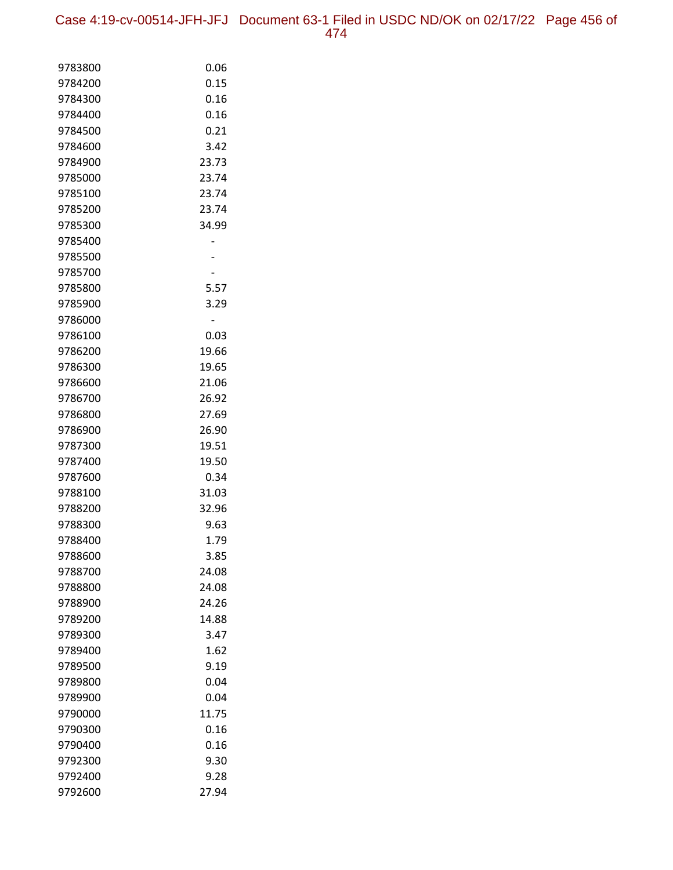Case 4:19-cv-00514-JFH-JFJ Document 63-1 Filed in USDC ND/OK on 02/17/22 Page 456 of 474

| 9783800            | 0.06         |
|--------------------|--------------|
| 9784200            | 0.15         |
| 9784300            | 0.16         |
| 9784400            | 0.16         |
| 9784500            | 0.21         |
| 9784600            | 3.42         |
| 9784900            | 23.73        |
| 9785000            | 23.74        |
| 9785100            | 23.74        |
| 9785200            | 23.74        |
| 9785300            | 34.99        |
| 9785400            |              |
| 9785500            |              |
| 9785700            |              |
| 9785800            | 5.57         |
| 9785900            | 3.29         |
| 9786000            |              |
| 9786100            | 0.03         |
| 9786200            | 19.66        |
| 9786300            | 19.65        |
| 9786600            | 21.06        |
| 9786700            | 26.92        |
| 9786800            | 27.69        |
| 9786900            | 26.90        |
| 9787300            | 19.51        |
| 9787400            | 19.50        |
| 9787600            | 0.34         |
| 9788100            | 31.03        |
| 9788200            | 32.96        |
| 9788300<br>9788400 | 9.63<br>1.79 |
| 9788600            | 3.85         |
| 9788700            | 24.08        |
| 9788800            | 24.08        |
| 9788900            | 24.26        |
| 9789200            | 14.88        |
| 9789300            | 3.47         |
| 9789400            | 1.62         |
| 9789500            | 9.19         |
| 9789800            | 0.04         |
| 9789900            | 0.04         |
| 9790000            | 11.75        |
| 9790300            | 0.16         |
| 9790400            | 0.16         |
| 9792300            | 9.30         |
| 9792400            | 9.28         |
| 9792600            | 27.94        |
|                    |              |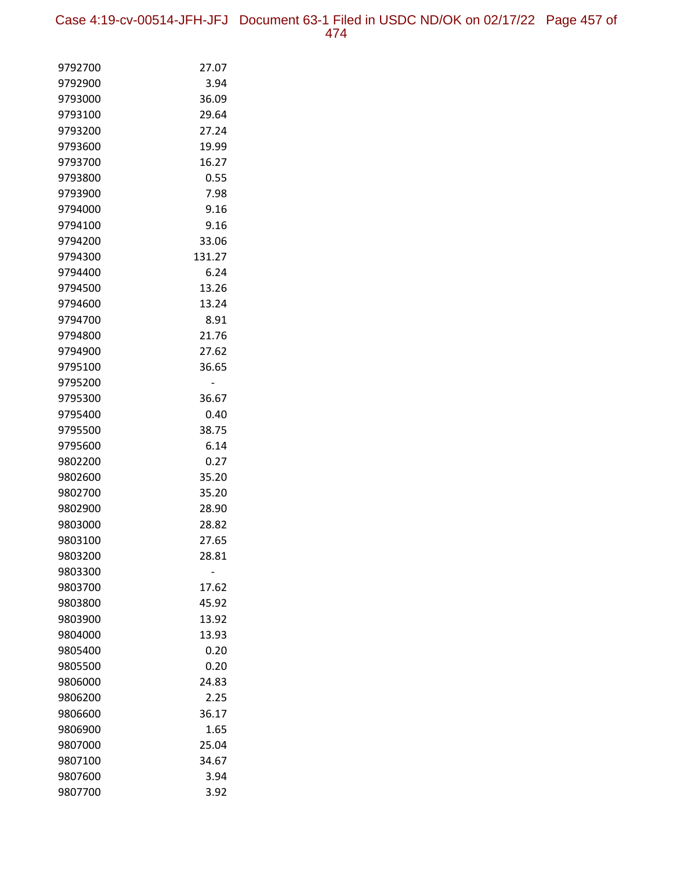Case 4:19-cv-00514-JFH-JFJ Document 63-1 Filed in USDC ND/OK on 02/17/22 Page 457 of 474

| 9792700            | 27.07         |
|--------------------|---------------|
| 9792900            | 3.94          |
| 9793000            | 36.09         |
| 9793100            | 29.64         |
| 9793200            | 27.24         |
| 9793600            | 19.99         |
| 9793700            | 16.27         |
| 9793800            | 0.55          |
| 9793900            | 7.98          |
| 9794000            | 9.16          |
| 9794100            | 9.16          |
| 9794200            | 33.06         |
| 9794300            | 131.27        |
| 9794400<br>9794500 | 6.24<br>13.26 |
| 9794600            | 13.24         |
| 9794700            | 8.91          |
| 9794800            | 21.76         |
| 9794900            | 27.62         |
| 9795100            | 36.65         |
| 9795200            |               |
| 9795300            | 36.67         |
| 9795400            | 0.40          |
| 9795500            | 38.75         |
| 9795600            | 6.14          |
| 9802200            | 0.27          |
| 9802600            | 35.20         |
| 9802700            | 35.20         |
| 9802900            | 28.90         |
| 9803000            | 28.82         |
| 9803100            | 27.65         |
| 9803200            | 28.81         |
| 9803300            |               |
| 9803700            | 17.62         |
| 9803800            | 45.92         |
| 9803900            | 13.92         |
| 9804000            | 13.93         |
| 9805400            | 0.20          |
| 9805500<br>9806000 | 0.20<br>24.83 |
| 9806200            | 2.25          |
| 9806600            | 36.17         |
| 9806900            | 1.65          |
| 9807000            | 25.04         |
| 9807100            | 34.67         |
| 9807600            | 3.94          |
| 9807700            | 3.92          |
|                    |               |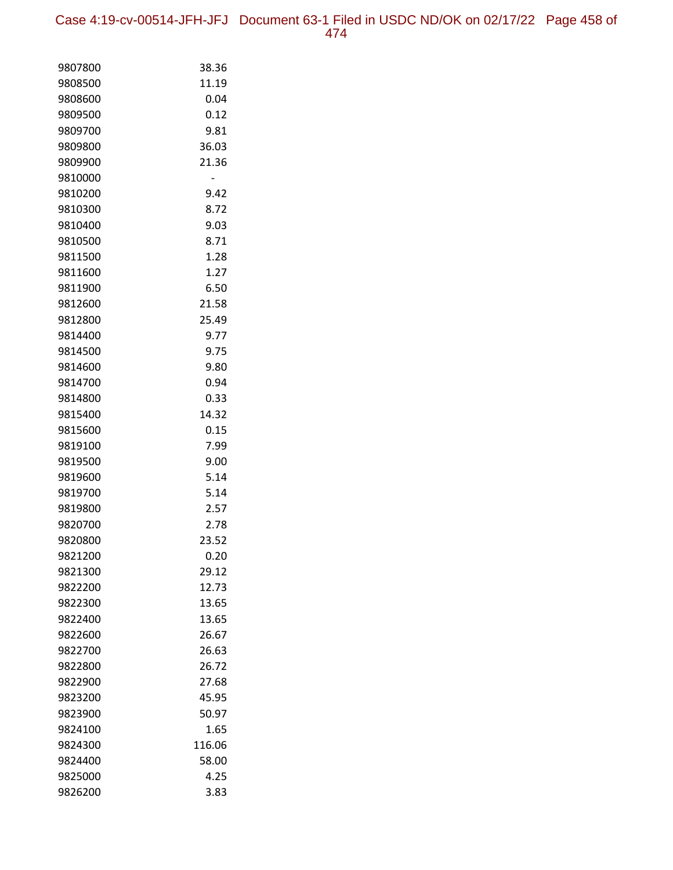Case 4:19-cv-00514-JFH-JFJ Document 63-1 Filed in USDC ND/OK on 02/17/22 Page 458 of 474

| 9807800            | 38.36         |
|--------------------|---------------|
| 9808500            | 11.19         |
| 9808600            | 0.04          |
| 9809500            | 0.12          |
| 9809700            | 9.81          |
| 9809800            | 36.03         |
| 9809900            | 21.36         |
| 9810000            |               |
| 9810200            | 9.42          |
| 9810300            | 8.72          |
| 9810400            | 9.03          |
| 9810500            | 8.71          |
| 9811500            | 1.28          |
| 9811600            | 1.27          |
| 9811900            | 6.50          |
| 9812600            | 21.58         |
| 9812800            | 25.49         |
| 9814400            | 9.77          |
| 9814500            | 9.75          |
| 9814600            | 9.80          |
| 9814700            | 0.94          |
| 9814800            | 0.33          |
| 9815400            | 14.32         |
| 9815600            | 0.15          |
| 9819100            | 7.99          |
| 9819500            | 9.00          |
| 9819600            | 5.14          |
| 9819700            | 5.14          |
| 9819800            | 2.57          |
| 9820700<br>9820800 | 2.78<br>23.52 |
| 9821200            | 0.20          |
| 9821300            | 29.12         |
| 9822200            | 12.73         |
| 9822300            | 13.65         |
| 9822400            | 13.65         |
| 9822600            | 26.67         |
| 9822700            | 26.63         |
| 9822800            | 26.72         |
| 9822900            | 27.68         |
| 9823200            | 45.95         |
| 9823900            | 50.97         |
| 9824100            | 1.65          |
| 9824300            | 116.06        |
| 9824400            | 58.00         |
| 9825000            | 4.25          |
| 9826200            | 3.83          |
|                    |               |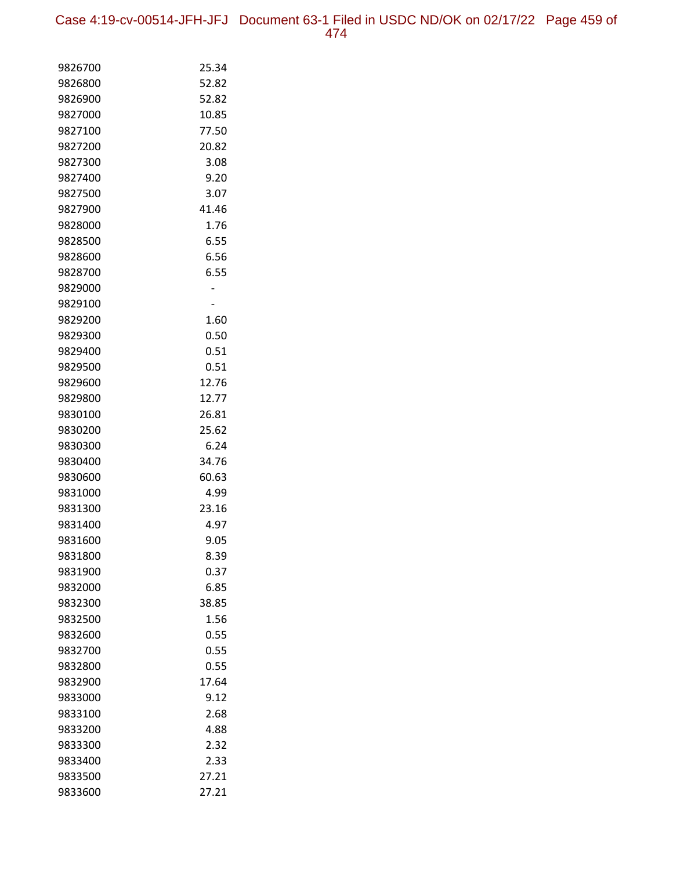Case 4:19-cv-00514-JFH-JFJ Document 63-1 Filed in USDC ND/OK on 02/17/22 Page 459 of 474

| 9826700            | 25.34          |
|--------------------|----------------|
| 9826800            | 52.82          |
| 9826900            | 52.82          |
| 9827000            | 10.85          |
| 9827100            | 77.50          |
| 9827200            | 20.82          |
| 9827300            | 3.08           |
| 9827400            | 9.20           |
| 9827500            | 3.07           |
| 9827900            | 41.46          |
| 9828000            | 1.76           |
| 9828500            | 6.55           |
| 9828600            | 6.56           |
| 9828700            | 6.55           |
| 9829000            |                |
| 9829100            |                |
| 9829200            | 1.60           |
| 9829300            | 0.50           |
| 9829400            | 0.51           |
| 9829500            | 0.51           |
| 9829600            | 12.76          |
| 9829800            | 12.77          |
| 9830100            | 26.81          |
| 9830200            | 25.62          |
| 9830300            | 6.24           |
| 9830400<br>9830600 | 34.76<br>60.63 |
| 9831000            | 4.99           |
| 9831300            | 23.16          |
| 9831400            | 4.97           |
| 9831600            | 9.05           |
| 9831800            | 8.39           |
| 9831900            | 0.37           |
| 9832000            | 6.85           |
| 9832300            | 38.85          |
| 9832500            | 1.56           |
| 9832600            | 0.55           |
| 9832700            | 0.55           |
| 9832800            | 0.55           |
| 9832900            | 17.64          |
| 9833000            | 9.12           |
| 9833100            | 2.68           |
| 9833200            | 4.88           |
| 9833300            | 2.32           |
| 9833400            | 2.33           |
| 9833500            | 27.21          |
| 9833600            | 27.21          |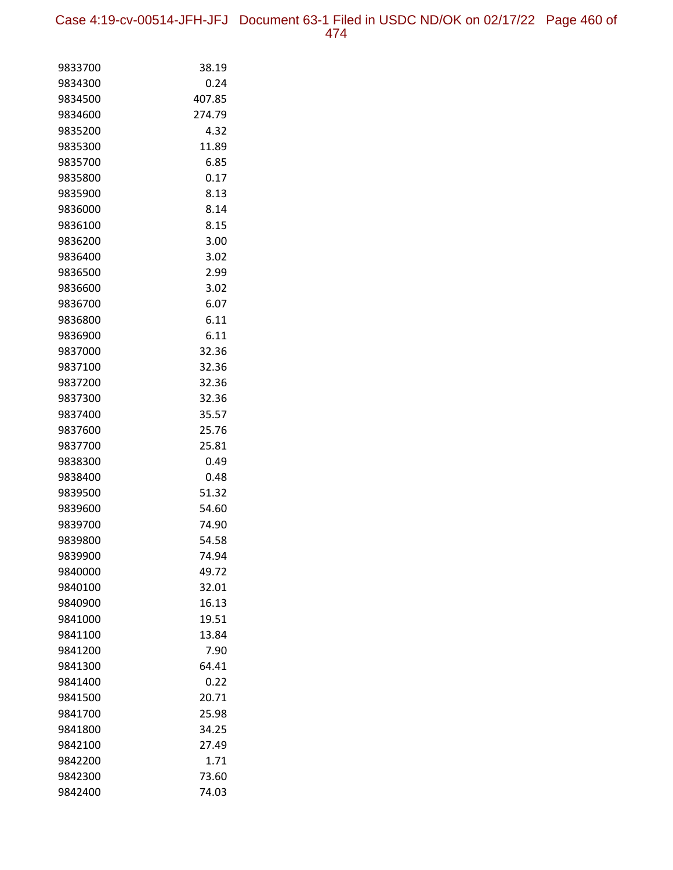Case 4:19-cv-00514-JFH-JFJ Document 63-1 Filed in USDC ND/OK on 02/17/22 Page 460 of 474

| 9833700<br>38.19<br>0.24<br>9834300<br>407.85<br>9834500<br>9834600<br>274.79<br>9835200<br>4.32<br>9835300<br>11.89<br>6.85<br>9835700<br>0.17<br>9835800<br>9835900<br>8.13<br>8.14<br>9836000<br>8.15<br>9836100<br>3.00<br>9836200<br>9836400<br>3.02<br>2.99<br>9836500<br>3.02<br>9836600<br>6.07<br>9836700<br>6.11<br>9836800<br>6.11<br>9836900<br>9837000<br>32.36<br>9837100<br>32.36<br>32.36<br>9837200<br>9837300<br>32.36<br>35.57<br>9837400<br>25.76<br>9837600<br>25.81<br>9837700<br>9838300<br>0.49<br>9838400<br>0.48<br>51.32<br>9839500<br>9839600<br>54.60<br>74.90<br>9839700<br>54.58<br>9839800<br>9839900<br>74.94<br>9840000<br>49.72<br>32.01<br>9840100<br>16.13<br>9840900<br>19.51<br>9841000<br>13.84<br>9841100<br>9841200<br>7.90<br>64.41<br>9841300<br>0.22<br>9841400<br>20.71<br>9841500<br>25.98<br>9841700<br>34.25<br>9841800<br>9842100<br>27.49<br>1.71<br>9842200<br>73.60<br>9842300<br>9842400 |       |
|------------------------------------------------------------------------------------------------------------------------------------------------------------------------------------------------------------------------------------------------------------------------------------------------------------------------------------------------------------------------------------------------------------------------------------------------------------------------------------------------------------------------------------------------------------------------------------------------------------------------------------------------------------------------------------------------------------------------------------------------------------------------------------------------------------------------------------------------------------------------------------------------------------------------------------------------|-------|
|                                                                                                                                                                                                                                                                                                                                                                                                                                                                                                                                                                                                                                                                                                                                                                                                                                                                                                                                                |       |
|                                                                                                                                                                                                                                                                                                                                                                                                                                                                                                                                                                                                                                                                                                                                                                                                                                                                                                                                                |       |
|                                                                                                                                                                                                                                                                                                                                                                                                                                                                                                                                                                                                                                                                                                                                                                                                                                                                                                                                                |       |
|                                                                                                                                                                                                                                                                                                                                                                                                                                                                                                                                                                                                                                                                                                                                                                                                                                                                                                                                                |       |
|                                                                                                                                                                                                                                                                                                                                                                                                                                                                                                                                                                                                                                                                                                                                                                                                                                                                                                                                                |       |
|                                                                                                                                                                                                                                                                                                                                                                                                                                                                                                                                                                                                                                                                                                                                                                                                                                                                                                                                                |       |
|                                                                                                                                                                                                                                                                                                                                                                                                                                                                                                                                                                                                                                                                                                                                                                                                                                                                                                                                                |       |
|                                                                                                                                                                                                                                                                                                                                                                                                                                                                                                                                                                                                                                                                                                                                                                                                                                                                                                                                                |       |
|                                                                                                                                                                                                                                                                                                                                                                                                                                                                                                                                                                                                                                                                                                                                                                                                                                                                                                                                                |       |
|                                                                                                                                                                                                                                                                                                                                                                                                                                                                                                                                                                                                                                                                                                                                                                                                                                                                                                                                                |       |
|                                                                                                                                                                                                                                                                                                                                                                                                                                                                                                                                                                                                                                                                                                                                                                                                                                                                                                                                                |       |
|                                                                                                                                                                                                                                                                                                                                                                                                                                                                                                                                                                                                                                                                                                                                                                                                                                                                                                                                                |       |
|                                                                                                                                                                                                                                                                                                                                                                                                                                                                                                                                                                                                                                                                                                                                                                                                                                                                                                                                                |       |
|                                                                                                                                                                                                                                                                                                                                                                                                                                                                                                                                                                                                                                                                                                                                                                                                                                                                                                                                                |       |
|                                                                                                                                                                                                                                                                                                                                                                                                                                                                                                                                                                                                                                                                                                                                                                                                                                                                                                                                                |       |
|                                                                                                                                                                                                                                                                                                                                                                                                                                                                                                                                                                                                                                                                                                                                                                                                                                                                                                                                                |       |
|                                                                                                                                                                                                                                                                                                                                                                                                                                                                                                                                                                                                                                                                                                                                                                                                                                                                                                                                                |       |
|                                                                                                                                                                                                                                                                                                                                                                                                                                                                                                                                                                                                                                                                                                                                                                                                                                                                                                                                                |       |
|                                                                                                                                                                                                                                                                                                                                                                                                                                                                                                                                                                                                                                                                                                                                                                                                                                                                                                                                                |       |
|                                                                                                                                                                                                                                                                                                                                                                                                                                                                                                                                                                                                                                                                                                                                                                                                                                                                                                                                                |       |
|                                                                                                                                                                                                                                                                                                                                                                                                                                                                                                                                                                                                                                                                                                                                                                                                                                                                                                                                                |       |
|                                                                                                                                                                                                                                                                                                                                                                                                                                                                                                                                                                                                                                                                                                                                                                                                                                                                                                                                                |       |
|                                                                                                                                                                                                                                                                                                                                                                                                                                                                                                                                                                                                                                                                                                                                                                                                                                                                                                                                                |       |
|                                                                                                                                                                                                                                                                                                                                                                                                                                                                                                                                                                                                                                                                                                                                                                                                                                                                                                                                                |       |
|                                                                                                                                                                                                                                                                                                                                                                                                                                                                                                                                                                                                                                                                                                                                                                                                                                                                                                                                                |       |
|                                                                                                                                                                                                                                                                                                                                                                                                                                                                                                                                                                                                                                                                                                                                                                                                                                                                                                                                                |       |
|                                                                                                                                                                                                                                                                                                                                                                                                                                                                                                                                                                                                                                                                                                                                                                                                                                                                                                                                                |       |
|                                                                                                                                                                                                                                                                                                                                                                                                                                                                                                                                                                                                                                                                                                                                                                                                                                                                                                                                                |       |
|                                                                                                                                                                                                                                                                                                                                                                                                                                                                                                                                                                                                                                                                                                                                                                                                                                                                                                                                                |       |
|                                                                                                                                                                                                                                                                                                                                                                                                                                                                                                                                                                                                                                                                                                                                                                                                                                                                                                                                                |       |
|                                                                                                                                                                                                                                                                                                                                                                                                                                                                                                                                                                                                                                                                                                                                                                                                                                                                                                                                                |       |
|                                                                                                                                                                                                                                                                                                                                                                                                                                                                                                                                                                                                                                                                                                                                                                                                                                                                                                                                                |       |
|                                                                                                                                                                                                                                                                                                                                                                                                                                                                                                                                                                                                                                                                                                                                                                                                                                                                                                                                                |       |
|                                                                                                                                                                                                                                                                                                                                                                                                                                                                                                                                                                                                                                                                                                                                                                                                                                                                                                                                                |       |
|                                                                                                                                                                                                                                                                                                                                                                                                                                                                                                                                                                                                                                                                                                                                                                                                                                                                                                                                                |       |
|                                                                                                                                                                                                                                                                                                                                                                                                                                                                                                                                                                                                                                                                                                                                                                                                                                                                                                                                                |       |
|                                                                                                                                                                                                                                                                                                                                                                                                                                                                                                                                                                                                                                                                                                                                                                                                                                                                                                                                                |       |
|                                                                                                                                                                                                                                                                                                                                                                                                                                                                                                                                                                                                                                                                                                                                                                                                                                                                                                                                                |       |
|                                                                                                                                                                                                                                                                                                                                                                                                                                                                                                                                                                                                                                                                                                                                                                                                                                                                                                                                                |       |
|                                                                                                                                                                                                                                                                                                                                                                                                                                                                                                                                                                                                                                                                                                                                                                                                                                                                                                                                                |       |
|                                                                                                                                                                                                                                                                                                                                                                                                                                                                                                                                                                                                                                                                                                                                                                                                                                                                                                                                                |       |
|                                                                                                                                                                                                                                                                                                                                                                                                                                                                                                                                                                                                                                                                                                                                                                                                                                                                                                                                                |       |
|                                                                                                                                                                                                                                                                                                                                                                                                                                                                                                                                                                                                                                                                                                                                                                                                                                                                                                                                                |       |
|                                                                                                                                                                                                                                                                                                                                                                                                                                                                                                                                                                                                                                                                                                                                                                                                                                                                                                                                                |       |
|                                                                                                                                                                                                                                                                                                                                                                                                                                                                                                                                                                                                                                                                                                                                                                                                                                                                                                                                                |       |
|                                                                                                                                                                                                                                                                                                                                                                                                                                                                                                                                                                                                                                                                                                                                                                                                                                                                                                                                                | 74.03 |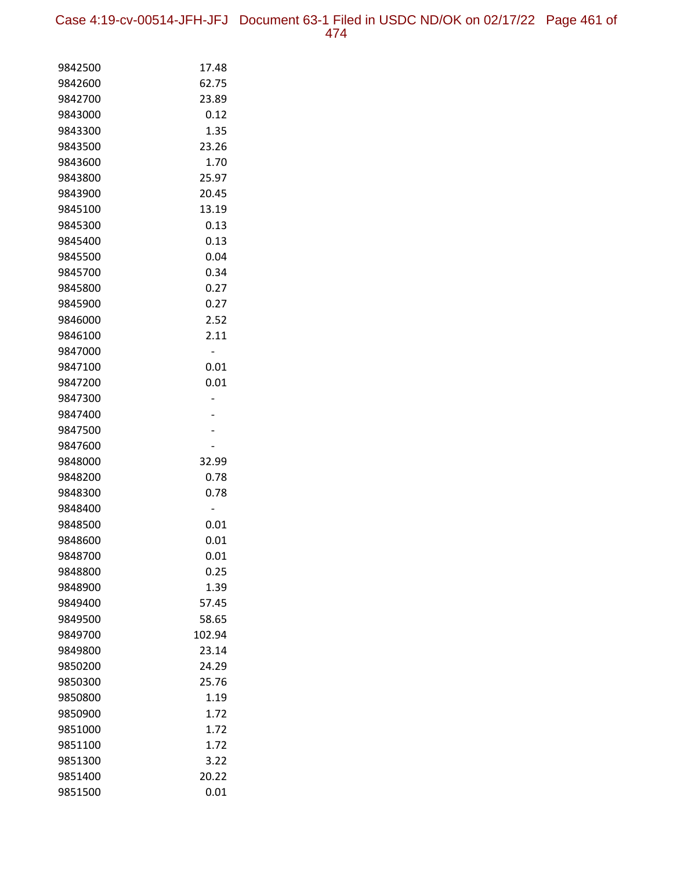Case 4:19-cv-00514-JFH-JFJ Document 63-1 Filed in USDC ND/OK on 02/17/22 Page 461 of 474

| 9842500            | 17.48        |
|--------------------|--------------|
| 9842600            | 62.75        |
| 9842700            | 23.89        |
| 9843000            | 0.12         |
| 9843300            | 1.35         |
| 9843500            | 23.26        |
| 9843600            | 1.70         |
| 9843800            | 25.97        |
| 9843900            | 20.45        |
| 9845100            | 13.19        |
| 9845300            | 0.13         |
| 9845400            | 0.13         |
| 9845500            | 0.04         |
| 9845700            | 0.34         |
| 9845800            | 0.27         |
| 9845900            | 0.27         |
| 9846000            | 2.52         |
| 9846100            | 2.11         |
| 9847000            |              |
| 9847100            | 0.01         |
| 9847200            | 0.01         |
| 9847300            |              |
| 9847400            |              |
| 9847500            |              |
| 9847600            |              |
| 9848000            | 32.99        |
| 9848200<br>9848300 | 0.78<br>0.78 |
| 9848400            |              |
| 9848500            | 0.01         |
| 9848600            | 0.01         |
| 9848700            | 0.01         |
| 9848800            | 0.25         |
| 9848900            | 1.39         |
| 9849400            | 57.45        |
| 9849500            | 58.65        |
| 9849700            | 102.94       |
| 9849800            | 23.14        |
| 9850200            | 24.29        |
| 9850300            | 25.76        |
| 9850800            | 1.19         |
| 9850900            | 1.72         |
| 9851000            | 1.72         |
| 9851100            | 1.72         |
| 9851300            | 3.22         |
| 9851400            | 20.22        |
| 9851500            | 0.01         |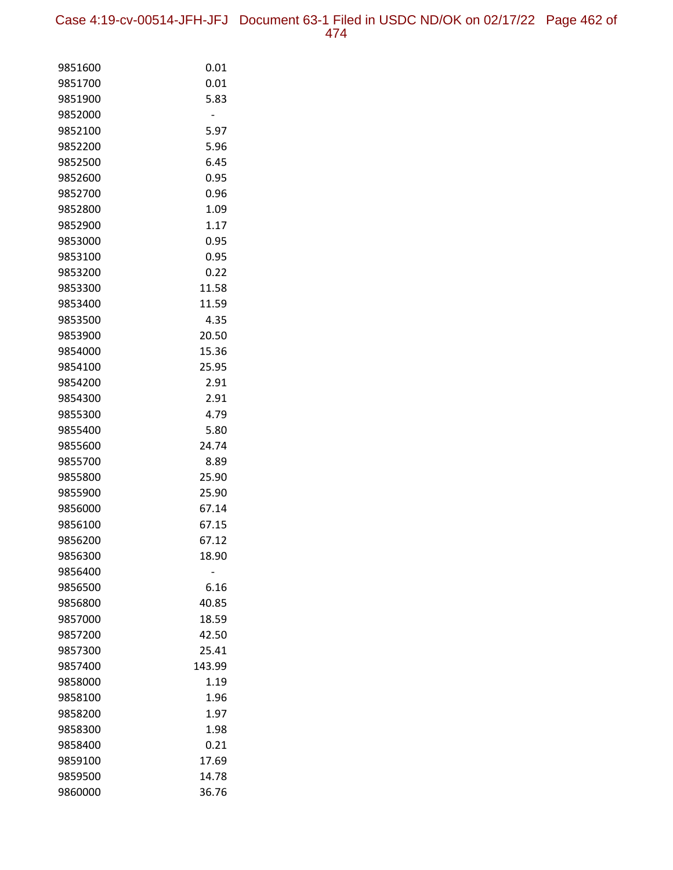Case 4:19-cv-00514-JFH-JFJ Document 63-1 Filed in USDC ND/OK on 02/17/22 Page 462 of 474

| 9851600 | 0.01   |
|---------|--------|
| 9851700 | 0.01   |
| 9851900 | 5.83   |
| 9852000 |        |
| 9852100 | 5.97   |
| 9852200 | 5.96   |
| 9852500 | 6.45   |
| 9852600 | 0.95   |
| 9852700 | 0.96   |
| 9852800 | 1.09   |
| 9852900 | 1.17   |
| 9853000 | 0.95   |
| 9853100 | 0.95   |
| 9853200 | 0.22   |
| 9853300 | 11.58  |
| 9853400 | 11.59  |
| 9853500 | 4.35   |
| 9853900 | 20.50  |
| 9854000 | 15.36  |
| 9854100 | 25.95  |
| 9854200 | 2.91   |
| 9854300 | 2.91   |
| 9855300 | 4.79   |
| 9855400 | 5.80   |
| 9855600 | 24.74  |
| 9855700 | 8.89   |
| 9855800 | 25.90  |
| 9855900 | 25.90  |
| 9856000 | 67.14  |
| 9856100 | 67.15  |
| 9856200 | 67.12  |
| 9856300 | 18.90  |
| 9856400 |        |
| 9856500 | 6.16   |
| 9856800 | 40.85  |
| 9857000 | 18.59  |
| 9857200 | 42.50  |
| 9857300 | 25.41  |
| 9857400 | 143.99 |
| 9858000 | 1.19   |
| 9858100 | 1.96   |
| 9858200 | 1.97   |
| 9858300 | 1.98   |
| 9858400 | 0.21   |
| 9859100 | 17.69  |
| 9859500 | 14.78  |
| 9860000 | 36.76  |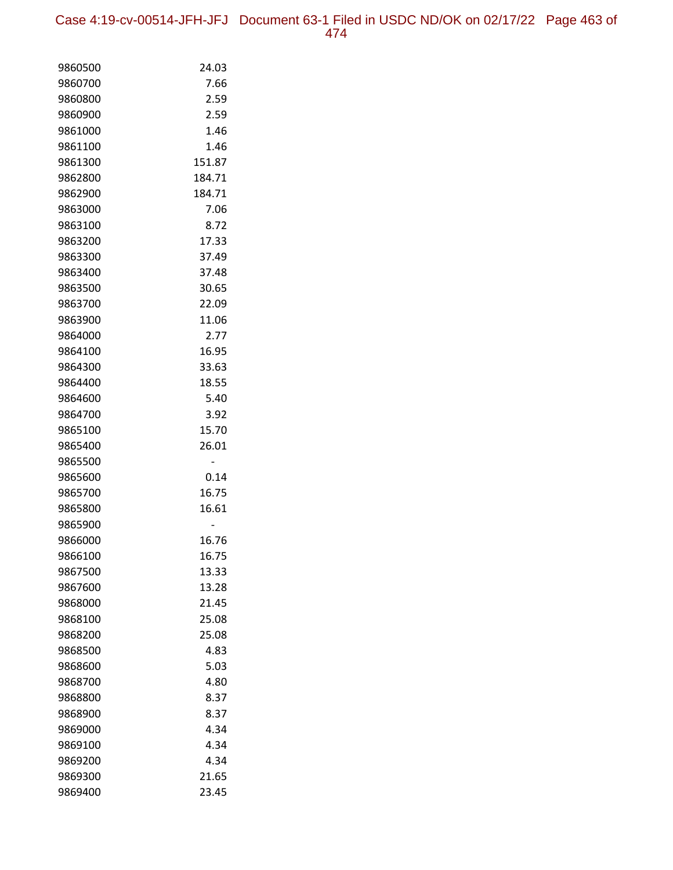Case 4:19-cv-00514-JFH-JFJ Document 63-1 Filed in USDC ND/OK on 02/17/22 Page 463 of 474

| 9860500            | 24.03  |
|--------------------|--------|
| 9860700            | 7.66   |
| 9860800            | 2.59   |
| 9860900            | 2.59   |
| 9861000            | 1.46   |
| 9861100            | 1.46   |
| 9861300            | 151.87 |
| 9862800            | 184.71 |
| 9862900            | 184.71 |
| 9863000            | 7.06   |
| 9863100            | 8.72   |
| 9863200            | 17.33  |
| 9863300            | 37.49  |
| 9863400            | 37.48  |
| 9863500            | 30.65  |
| 9863700            | 22.09  |
| 9863900            | 11.06  |
| 9864000            | 2.77   |
| 9864100            | 16.95  |
| 9864300            | 33.63  |
| 9864400            | 18.55  |
| 9864600            | 5.40   |
| 9864700            | 3.92   |
| 9865100            | 15.70  |
| 9865400            | 26.01  |
| 9865500            | -      |
| 9865600            | 0.14   |
| 9865700            | 16.75  |
| 9865800            | 16.61  |
| 9865900<br>9866000 | 16.76  |
| 9866100            | 16.75  |
| 9867500            | 13.33  |
| 9867600            | 13.28  |
| 9868000            | 21.45  |
| 9868100            | 25.08  |
| 9868200            | 25.08  |
| 9868500            | 4.83   |
| 9868600            | 5.03   |
| 9868700            | 4.80   |
| 9868800            | 8.37   |
| 9868900            | 8.37   |
| 9869000            | 4.34   |
| 9869100            | 4.34   |
| 9869200            | 4.34   |
| 9869300            | 21.65  |
| 9869400            | 23.45  |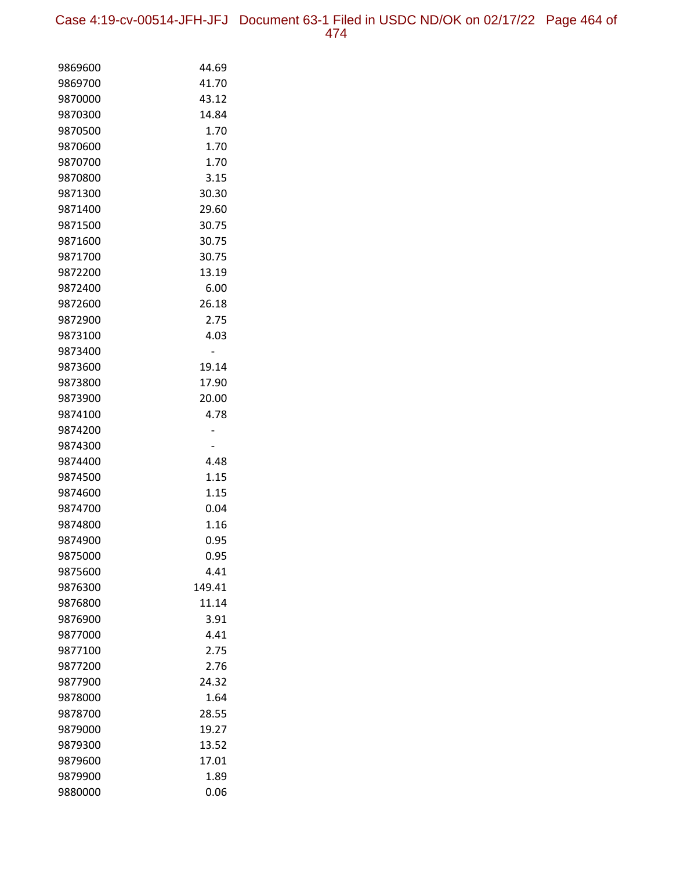Case 4:19-cv-00514-JFH-JFJ Document 63-1 Filed in USDC ND/OK on 02/17/22 Page 464 of 474

| 9869600            | 44.69        |
|--------------------|--------------|
| 9869700            | 41.70        |
| 9870000            | 43.12        |
| 9870300            | 14.84        |
| 9870500            | 1.70         |
| 9870600            | 1.70         |
| 9870700            | 1.70         |
| 9870800            | 3.15         |
| 9871300            | 30.30        |
| 9871400            | 29.60        |
| 9871500            | 30.75        |
| 9871600            | 30.75        |
| 9871700            | 30.75        |
| 9872200            | 13.19        |
| 9872400            | 6.00         |
| 9872600            | 26.18        |
| 9872900            | 2.75         |
| 9873100            | 4.03         |
| 9873400            |              |
| 9873600            | 19.14        |
| 9873800            | 17.90        |
| 9873900            | 20.00        |
| 9874100            | 4.78         |
| 9874200            |              |
| 9874300            |              |
| 9874400            | 4.48         |
| 9874500            | 1.15         |
| 9874600            | 1.15         |
| 9874700            | 0.04         |
| 9874800<br>9874900 | 1.16         |
|                    | 0.95         |
| 9875000<br>9875600 | 0.95<br>4.41 |
| 9876300            | 149.41       |
| 9876800            | 11.14        |
| 9876900            | 3.91         |
| 9877000            | 4.41         |
| 9877100            | 2.75         |
| 9877200            | 2.76         |
| 9877900            | 24.32        |
| 9878000            | 1.64         |
| 9878700            | 28.55        |
| 9879000            | 19.27        |
| 9879300            | 13.52        |
| 9879600            | 17.01        |
| 9879900            | 1.89         |
| 9880000            | 0.06         |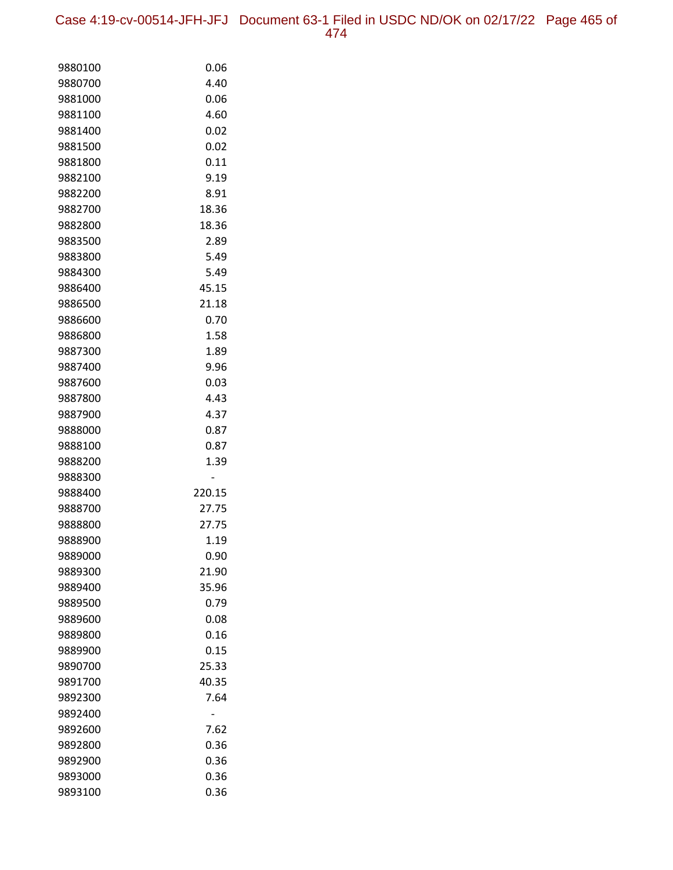Case 4:19-cv-00514-JFH-JFJ Document 63-1 Filed in USDC ND/OK on 02/17/22 Page 465 of 474

| 9880100            | 0.06   |
|--------------------|--------|
| 9880700            | 4.40   |
| 9881000            | 0.06   |
| 9881100            | 4.60   |
| 9881400            | 0.02   |
| 9881500            | 0.02   |
| 9881800            | 0.11   |
| 9882100            | 9.19   |
| 9882200            | 8.91   |
| 9882700            | 18.36  |
| 9882800            | 18.36  |
| 9883500            | 2.89   |
| 9883800            | 5.49   |
| 9884300            | 5.49   |
| 9886400            | 45.15  |
| 9886500            | 21.18  |
| 9886600            | 0.70   |
| 9886800            | 1.58   |
| 9887300            | 1.89   |
| 9887400            | 9.96   |
| 9887600            | 0.03   |
| 9887800            | 4.43   |
| 9887900            | 4.37   |
| 9888000            | 0.87   |
| 9888100            | 0.87   |
| 9888200            | 1.39   |
| 9888300<br>9888400 | 220.15 |
| 9888700            | 27.75  |
| 9888800            | 27.75  |
| 9888900            | 1.19   |
| 9889000            | 0.90   |
| 9889300            | 21.90  |
| 9889400            | 35.96  |
| 9889500            | 0.79   |
| 9889600            | 0.08   |
| 9889800            | 0.16   |
| 9889900            | 0.15   |
| 9890700            | 25.33  |
| 9891700            | 40.35  |
| 9892300            | 7.64   |
| 9892400            |        |
| 9892600            | 7.62   |
| 9892800            | 0.36   |
| 9892900            | 0.36   |
| 9893000            | 0.36   |
| 9893100            | 0.36   |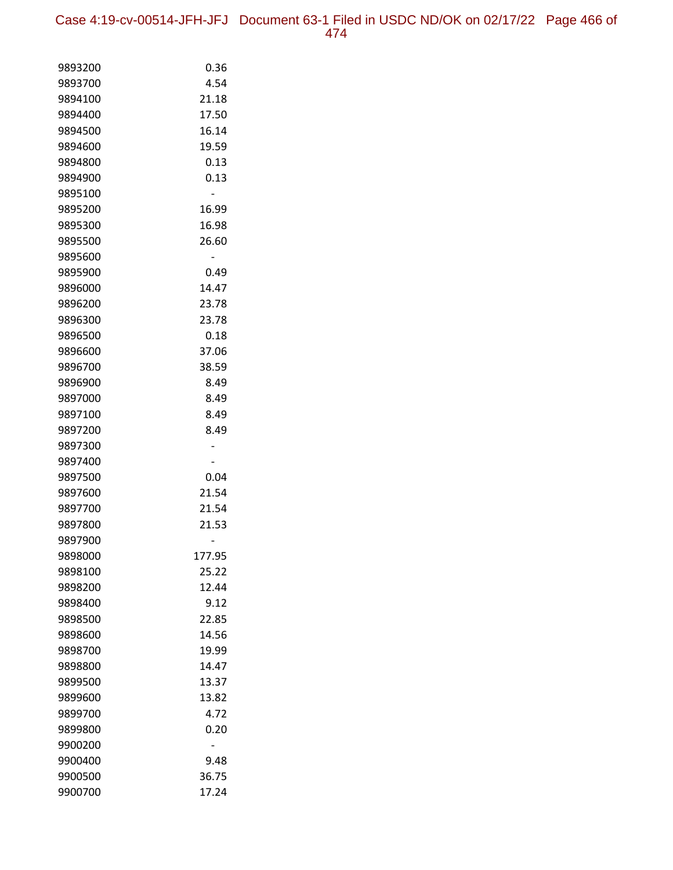Case 4:19-cv-00514-JFH-JFJ Document 63-1 Filed in USDC ND/OK on 02/17/22 Page 466 of 474

| 9893200            | 0.36           |
|--------------------|----------------|
| 9893700            | 4.54           |
| 9894100            | 21.18          |
| 9894400            | 17.50          |
| 9894500            | 16.14          |
| 9894600            | 19.59          |
| 9894800            | 0.13           |
| 9894900            | 0.13           |
| 9895100            |                |
| 9895200            | 16.99          |
| 9895300            | 16.98          |
| 9895500            | 26.60          |
| 9895600            |                |
| 9895900            | 0.49           |
| 9896000            | 14.47          |
| 9896200            | 23.78          |
| 9896300            | 23.78          |
| 9896500            | 0.18           |
| 9896600            | 37.06          |
| 9896700            | 38.59          |
| 9896900            | 8.49           |
| 9897000            | 8.49           |
| 9897100            | 8.49           |
| 9897200            | 8.49           |
| 9897300            |                |
| 9897400            |                |
| 9897500            | 0.04           |
| 9897600<br>9897700 | 21.54<br>21.54 |
| 9897800            | 21.53          |
| 9897900            |                |
| 9898000            | 177.95         |
| 9898100            | 25.22          |
| 9898200            | 12.44          |
| 9898400            | 9.12           |
| 9898500            | 22.85          |
| 9898600            | 14.56          |
| 9898700            | 19.99          |
| 9898800            | 14.47          |
| 9899500            | 13.37          |
| 9899600            | 13.82          |
| 9899700            | 4.72           |
| 9899800            | 0.20           |
| 9900200            |                |
| 9900400            | 9.48           |
| 9900500            | 36.75          |
| 9900700            | 17.24          |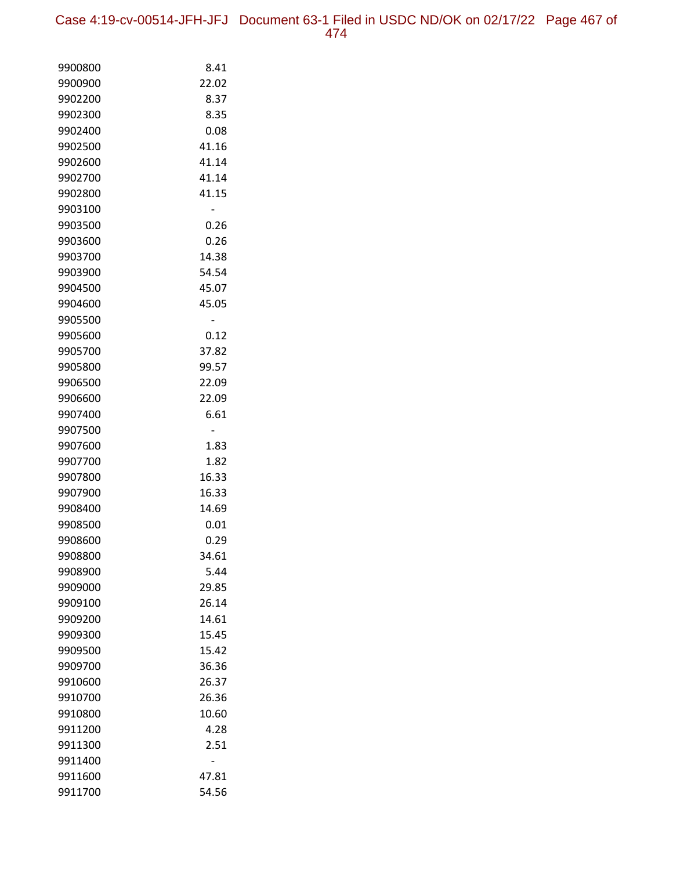Case 4:19-cv-00514-JFH-JFJ Document 63-1 Filed in USDC ND/OK on 02/17/22 Page 467 of 474

| 9900800            | 8.41         |
|--------------------|--------------|
| 9900900            | 22.02        |
| 9902200            | 8.37         |
| 9902300            | 8.35         |
| 9902400            | 0.08         |
| 9902500            | 41.16        |
| 9902600            | 41.14        |
| 9902700            | 41.14        |
| 9902800            | 41.15        |
| 9903100            |              |
| 9903500            | 0.26         |
| 9903600            | 0.26         |
| 9903700            | 14.38        |
| 9903900            | 54.54        |
| 9904500            | 45.07        |
| 9904600            | 45.05        |
| 9905500            | -            |
| 9905600            | 0.12         |
| 9905700            | 37.82        |
| 9905800            | 99.57        |
| 9906500            | 22.09        |
| 9906600            | 22.09        |
| 9907400            | 6.61         |
| 9907500            |              |
| 9907600<br>9907700 | 1.83<br>1.82 |
| 9907800            | 16.33        |
| 9907900            | 16.33        |
| 9908400            | 14.69        |
| 9908500            | 0.01         |
| 9908600            | 0.29         |
| 9908800            | 34.61        |
| 9908900            | 5.44         |
| 9909000            | 29.85        |
| 9909100            | 26.14        |
| 9909200            | 14.61        |
| 9909300            | 15.45        |
| 9909500            | 15.42        |
| 9909700            | 36.36        |
| 9910600            | 26.37        |
| 9910700            | 26.36        |
| 9910800            | 10.60        |
| 9911200            | 4.28         |
| 9911300            | 2.51         |
| 9911400            |              |
| 9911600            | 47.81        |
| 9911700            | 54.56        |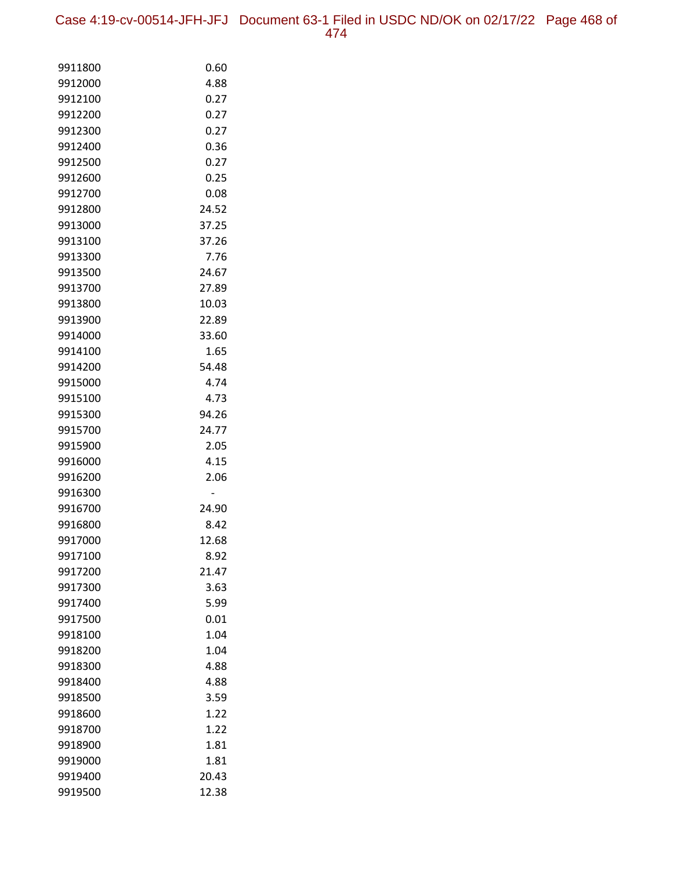Case 4:19-cv-00514-JFH-JFJ Document 63-1 Filed in USDC ND/OK on 02/17/22 Page 468 of 474

| 9911800            | 0.60         |
|--------------------|--------------|
| 9912000            | 4.88         |
| 9912100            | 0.27         |
| 9912200            | 0.27         |
| 9912300            | 0.27         |
| 9912400            | 0.36         |
| 9912500            | 0.27         |
| 9912600            | 0.25         |
| 9912700            | 0.08         |
| 9912800            | 24.52        |
| 9913000            | 37.25        |
| 9913100            | 37.26        |
| 9913300            | 7.76         |
| 9913500            | 24.67        |
| 9913700            | 27.89        |
| 9913800            | 10.03        |
| 9913900            | 22.89        |
| 9914000            | 33.60        |
| 9914100            | 1.65         |
| 9914200            | 54.48        |
| 9915000            | 4.74         |
| 9915100            | 4.73         |
| 9915300            | 94.26        |
| 9915700            | 24.77        |
| 9915900            | 2.05         |
| 9916000            | 4.15         |
| 9916200            | 2.06         |
| 9916300            |              |
| 9916700            | 24.90        |
| 9916800            | 8.42         |
| 9917000            | 12.68        |
| 9917100            | 8.92         |
| 9917200            | 21.47        |
| 9917300            | 3.63         |
| 9917400            | 5.99         |
| 9917500            | 0.01         |
| 9918100            | 1.04         |
| 9918200            | 1.04         |
| 9918300            | 4.88<br>4.88 |
| 9918400            |              |
| 9918500<br>9918600 | 3.59         |
|                    | 1.22<br>1.22 |
| 9918700<br>9918900 | 1.81         |
| 9919000            | 1.81         |
| 9919400            | 20.43        |
| 9919500            | 12.38        |
|                    |              |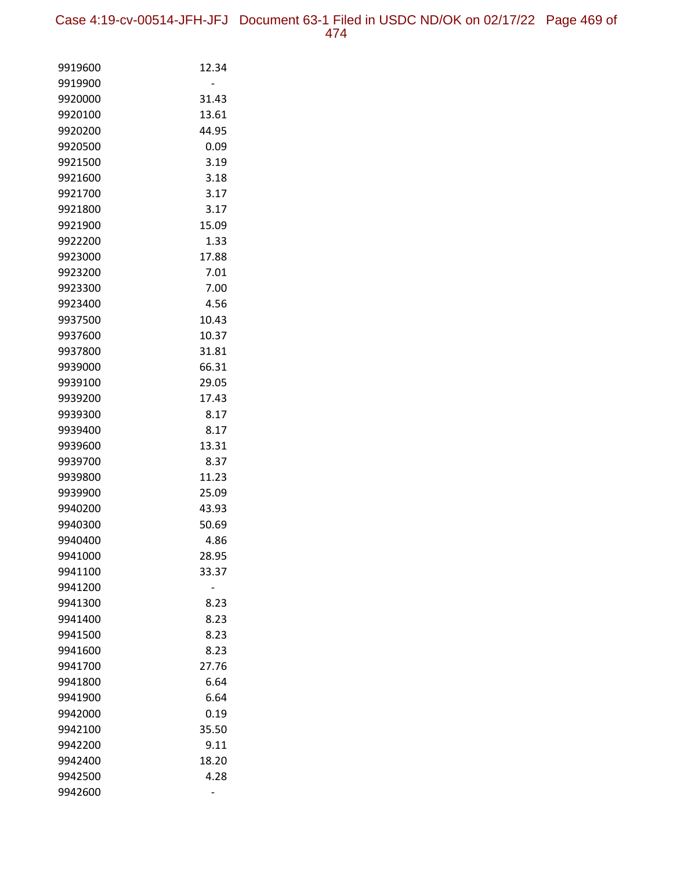Case 4:19-cv-00514-JFH-JFJ Document 63-1 Filed in USDC ND/OK on 02/17/22 Page 469 of 474

| 9919600 | 12.34 |
|---------|-------|
| 9919900 |       |
| 9920000 | 31.43 |
| 9920100 | 13.61 |
| 9920200 | 44.95 |
| 9920500 | 0.09  |
| 9921500 | 3.19  |
| 9921600 | 3.18  |
| 9921700 | 3.17  |
| 9921800 | 3.17  |
| 9921900 | 15.09 |
| 9922200 | 1.33  |
| 9923000 | 17.88 |
| 9923200 | 7.01  |
| 9923300 | 7.00  |
| 9923400 | 4.56  |
| 9937500 | 10.43 |
| 9937600 | 10.37 |
| 9937800 | 31.81 |
| 9939000 | 66.31 |
| 9939100 | 29.05 |
| 9939200 | 17.43 |
| 9939300 | 8.17  |
| 9939400 | 8.17  |
| 9939600 | 13.31 |
| 9939700 | 8.37  |
| 9939800 | 11.23 |
| 9939900 | 25.09 |
| 9940200 | 43.93 |
| 9940300 | 50.69 |
| 9940400 | 4.86  |
| 9941000 | 28.95 |
| 9941100 | 33.37 |
| 9941200 |       |
| 9941300 | 8.23  |
| 9941400 | 8.23  |
| 9941500 | 8.23  |
| 9941600 | 8.23  |
| 9941700 | 27.76 |
| 9941800 | 6.64  |
| 9941900 | 6.64  |
| 9942000 | 0.19  |
| 9942100 | 35.50 |
| 9942200 | 9.11  |
| 9942400 | 18.20 |
| 9942500 | 4.28  |
| 9942600 |       |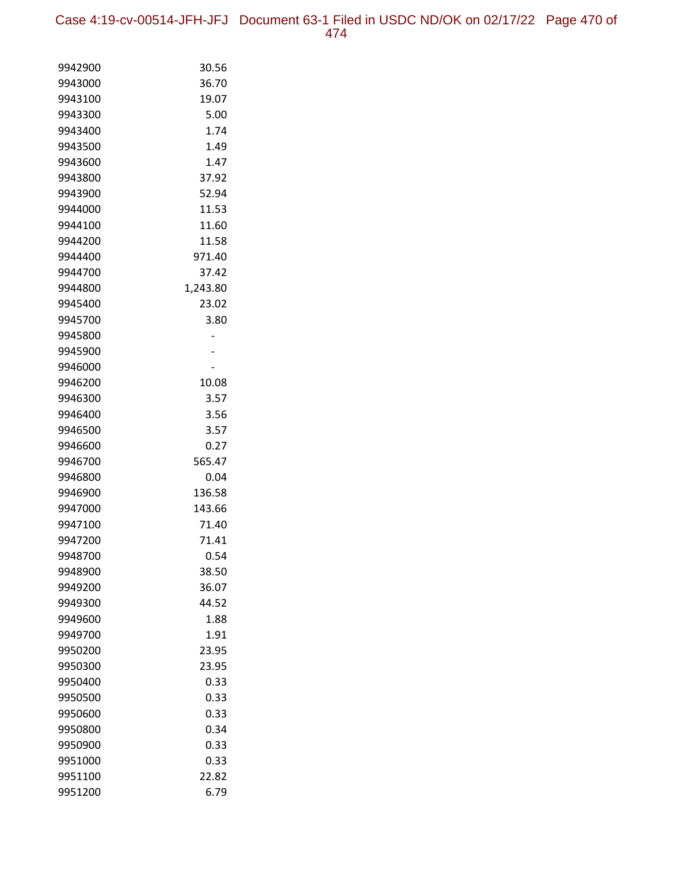Case 4:19-cv-00514-JFH-JFJ Document 63-1 Filed in USDC ND/OK on 02/17/22 Page 470 of 474

| 9942900            | 30.56          |
|--------------------|----------------|
| 9943000            | 36.70          |
| 9943100            | 19.07          |
| 9943300            | 5.00           |
| 9943400            | 1.74           |
| 9943500            | 1.49           |
| 9943600            | 1.47           |
| 9943800            | 37.92          |
| 9943900            | 52.94          |
| 9944000            | 11.53          |
| 9944100            | 11.60          |
| 9944200            | 11.58          |
| 9944400            | 971.40         |
| 9944700            | 37.42          |
| 9944800            | 1,243.80       |
| 9945400            | 23.02          |
| 9945700            | 3.80           |
| 9945800            |                |
| 9945900            |                |
| 9946000            |                |
| 9946200            | 10.08          |
| 9946300            | 3.57           |
| 9946400            | 3.56           |
| 9946500            | 3.57           |
| 9946600            | 0.27           |
| 9946700<br>9946800 | 565.47<br>0.04 |
| 9946900            | 136.58         |
| 9947000            | 143.66         |
| 9947100            | 71.40          |
| 9947200            | 71.41          |
| 9948700            | 0.54           |
| 9948900            | 38.50          |
| 9949200            | 36.07          |
| 9949300            | 44.52          |
| 9949600            | 1.88           |
| 9949700            | 1.91           |
| 9950200            | 23.95          |
| 9950300            | 23.95          |
| 9950400            | 0.33           |
| 9950500            | 0.33           |
| 9950600            | 0.33           |
| 9950800            | 0.34           |
| 9950900            | 0.33           |
| 9951000            | 0.33           |
| 9951100            | 22.82          |
| 9951200            | 6.79           |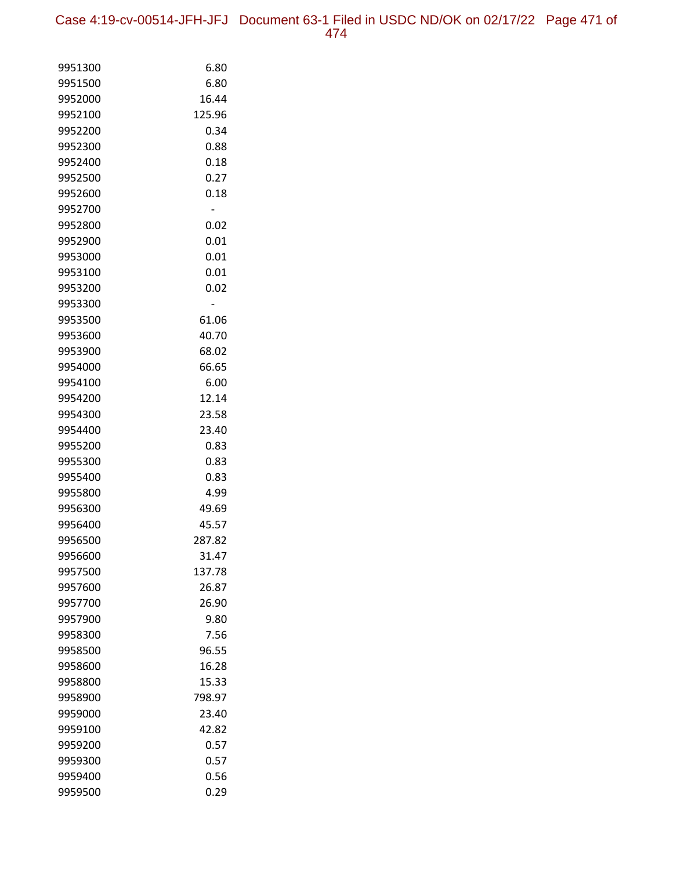| 9951300 | 6.80   |
|---------|--------|
| 9951500 | 6.80   |
| 9952000 | 16.44  |
| 9952100 | 125.96 |
| 9952200 | 0.34   |
| 9952300 | 0.88   |
| 9952400 | 0.18   |
| 9952500 | 0.27   |
| 9952600 | 0.18   |
| 9952700 |        |
| 9952800 | 0.02   |
| 9952900 | 0.01   |
| 9953000 | 0.01   |
| 9953100 | 0.01   |
| 9953200 | 0.02   |
| 9953300 |        |
| 9953500 | 61.06  |
| 9953600 | 40.70  |
| 9953900 | 68.02  |
| 9954000 | 66.65  |
| 9954100 | 6.00   |
| 9954200 | 12.14  |
| 9954300 | 23.58  |
| 9954400 | 23.40  |
| 9955200 | 0.83   |
| 9955300 | 0.83   |
| 9955400 | 0.83   |
| 9955800 | 4.99   |
| 9956300 | 49.69  |
| 9956400 | 45.57  |
| 9956500 | 287.82 |
| 9956600 | 31.47  |
| 9957500 | 137.78 |
| 9957600 | 26.87  |
| 9957700 | 26.90  |
| 9957900 | 9.80   |
| 9958300 | 7.56   |
| 9958500 | 96.55  |
| 9958600 | 16.28  |
| 9958800 | 15.33  |
| 9958900 | 798.97 |
| 9959000 | 23.40  |
| 9959100 | 42.82  |
| 9959200 | 0.57   |
| 9959300 | 0.57   |
| 9959400 | 0.56   |
| 9959500 | 0.29   |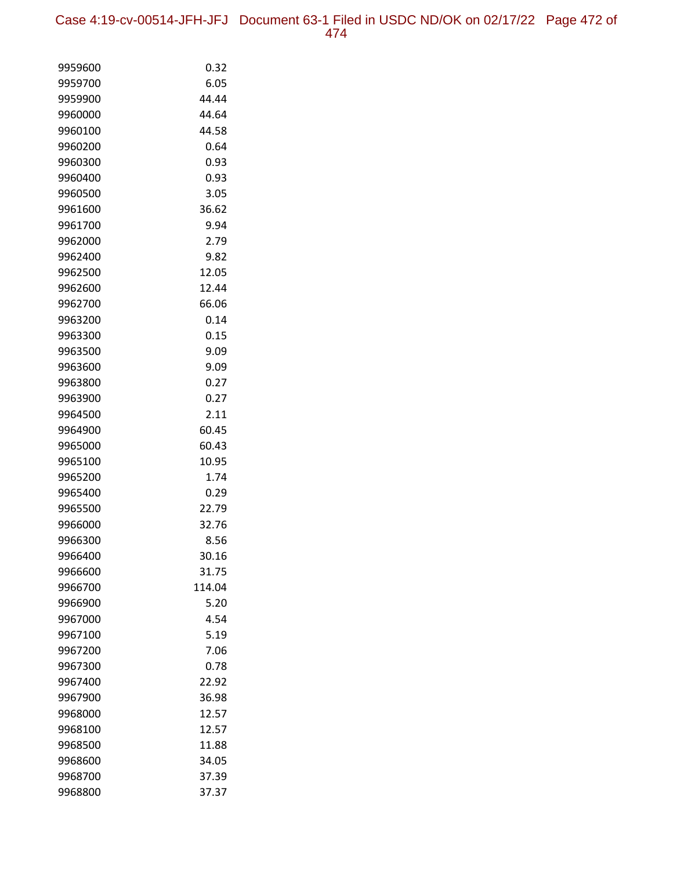Case 4:19-cv-00514-JFH-JFJ Document 63-1 Filed in USDC ND/OK on 02/17/22 Page 472 of 474

| 9959600 | 0.32   |
|---------|--------|
| 9959700 | 6.05   |
| 9959900 | 44.44  |
| 9960000 | 44.64  |
| 9960100 | 44.58  |
| 9960200 | 0.64   |
| 9960300 | 0.93   |
| 9960400 | 0.93   |
| 9960500 | 3.05   |
| 9961600 | 36.62  |
| 9961700 | 9.94   |
| 9962000 | 2.79   |
| 9962400 | 9.82   |
| 9962500 | 12.05  |
| 9962600 | 12.44  |
| 9962700 | 66.06  |
| 9963200 | 0.14   |
| 9963300 | 0.15   |
| 9963500 | 9.09   |
| 9963600 | 9.09   |
| 9963800 | 0.27   |
| 9963900 | 0.27   |
| 9964500 | 2.11   |
| 9964900 | 60.45  |
| 9965000 | 60.43  |
| 9965100 | 10.95  |
| 9965200 | 1.74   |
| 9965400 | 0.29   |
| 9965500 | 22.79  |
| 9966000 | 32.76  |
| 9966300 | 8.56   |
| 9966400 | 30.16  |
| 9966600 | 31.75  |
| 9966700 | 114.04 |
| 9966900 | 5.20   |
| 9967000 | 4.54   |
| 9967100 | 5.19   |
| 9967200 | 7.06   |
| 9967300 | 0.78   |
| 9967400 | 22.92  |
| 9967900 | 36.98  |
| 9968000 | 12.57  |
| 9968100 | 12.57  |
| 9968500 | 11.88  |
| 9968600 | 34.05  |
| 9968700 | 37.39  |
| 9968800 | 37.37  |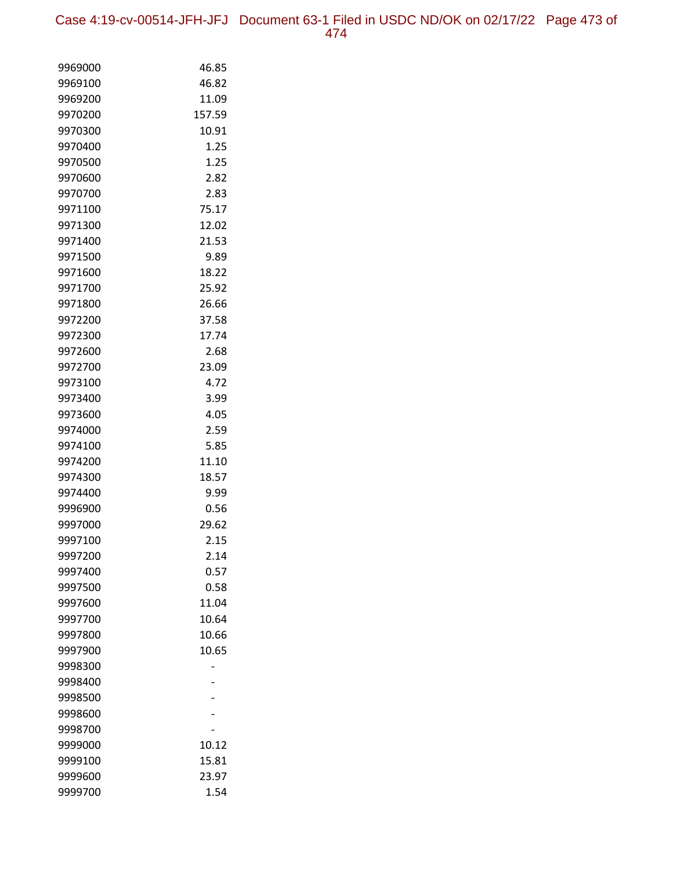Case 4:19-cv-00514-JFH-JFJ Document 63-1 Filed in USDC ND/OK on 02/17/22 Page 473 of 474

| 9969000 | 46.85  |
|---------|--------|
| 9969100 | 46.82  |
| 9969200 | 11.09  |
| 9970200 | 157.59 |
| 9970300 | 10.91  |
| 9970400 | 1.25   |
| 9970500 | 1.25   |
| 9970600 | 2.82   |
| 9970700 | 2.83   |
| 9971100 | 75.17  |
| 9971300 | 12.02  |
| 9971400 | 21.53  |
| 9971500 | 9.89   |
| 9971600 | 18.22  |
| 9971700 | 25.92  |
| 9971800 | 26.66  |
| 9972200 | 37.58  |
| 9972300 | 17.74  |
| 9972600 | 2.68   |
| 9972700 | 23.09  |
| 9973100 | 4.72   |
| 9973400 | 3.99   |
| 9973600 | 4.05   |
| 9974000 | 2.59   |
| 9974100 | 5.85   |
| 9974200 | 11.10  |
| 9974300 | 18.57  |
| 9974400 | 9.99   |
| 9996900 | 0.56   |
| 9997000 | 29.62  |
| 9997100 | 2.15   |
| 9997200 | 2.14   |
| 9997400 | 0.57   |
| 9997500 | 0.58   |
| 9997600 | 11.04  |
| 9997700 | 10.64  |
| 9997800 | 10.66  |
| 9997900 | 10.65  |
| 9998300 |        |
| 9998400 |        |
| 9998500 |        |
| 9998600 |        |
| 9998700 |        |
| 9999000 | 10.12  |
| 9999100 | 15.81  |
| 9999600 | 23.97  |
| 9999700 | 1.54   |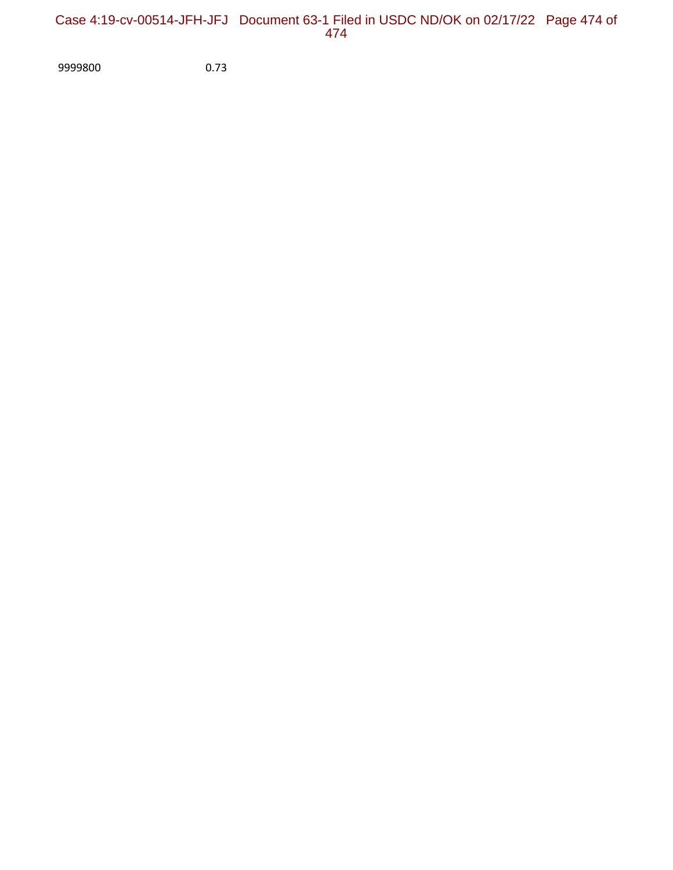## Case 4:19-cv-00514-JFH-JFJ Document 63-1 Filed in USDC ND/OK on 02/17/22 Page 474 of 474

9999800 0.73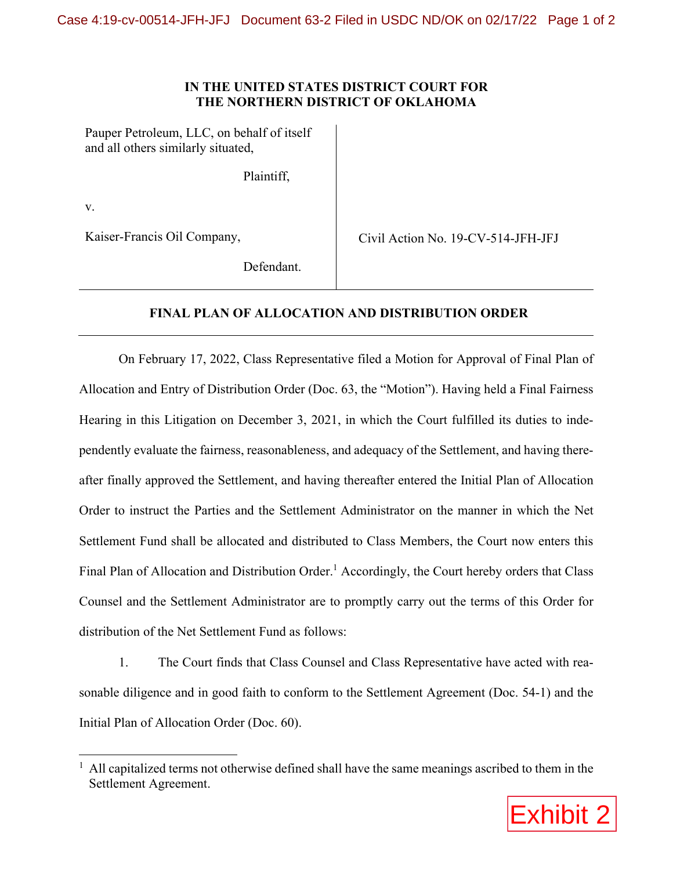## **IN THE UNITED STATES DISTRICT COURT FOR THE NORTHERN DISTRICT OF OKLAHOMA**

Pauper Petroleum, LLC, on behalf of itself and all others similarly situated,

Plaintiff,

v.

Kaiser-Francis Oil Company,

Civil Action No. 19-CV-514-JFH-JFJ

Defendant.

## **FINAL PLAN OF ALLOCATION AND DISTRIBUTION ORDER**

On February 17, 2022, Class Representative filed a Motion for Approval of Final Plan of Allocation and Entry of Distribution Order (Doc. 63, the "Motion"). Having held a Final Fairness Hearing in this Litigation on December 3, 2021, in which the Court fulfilled its duties to independently evaluate the fairness, reasonableness, and adequacy of the Settlement, and having thereafter finally approved the Settlement, and having thereafter entered the Initial Plan of Allocation Order to instruct the Parties and the Settlement Administrator on the manner in which the Net Settlement Fund shall be allocated and distributed to Class Members, the Court now enters this Final Plan of Allocation and Distribution Order.<sup>1</sup> Accordingly, the Court hereby orders that Class Counsel and the Settlement Administrator are to promptly carry out the terms of this Order for distribution of the Net Settlement Fund as follows:

1. The Court finds that Class Counsel and Class Representative have acted with reasonable diligence and in good faith to conform to the Settlement Agreement (Doc. 54-1) and the Initial Plan of Allocation Order (Doc. 60).

 $<sup>1</sup>$  All capitalized terms not otherwise defined shall have the same meanings ascribed to them in the</sup> Settlement Agreement.